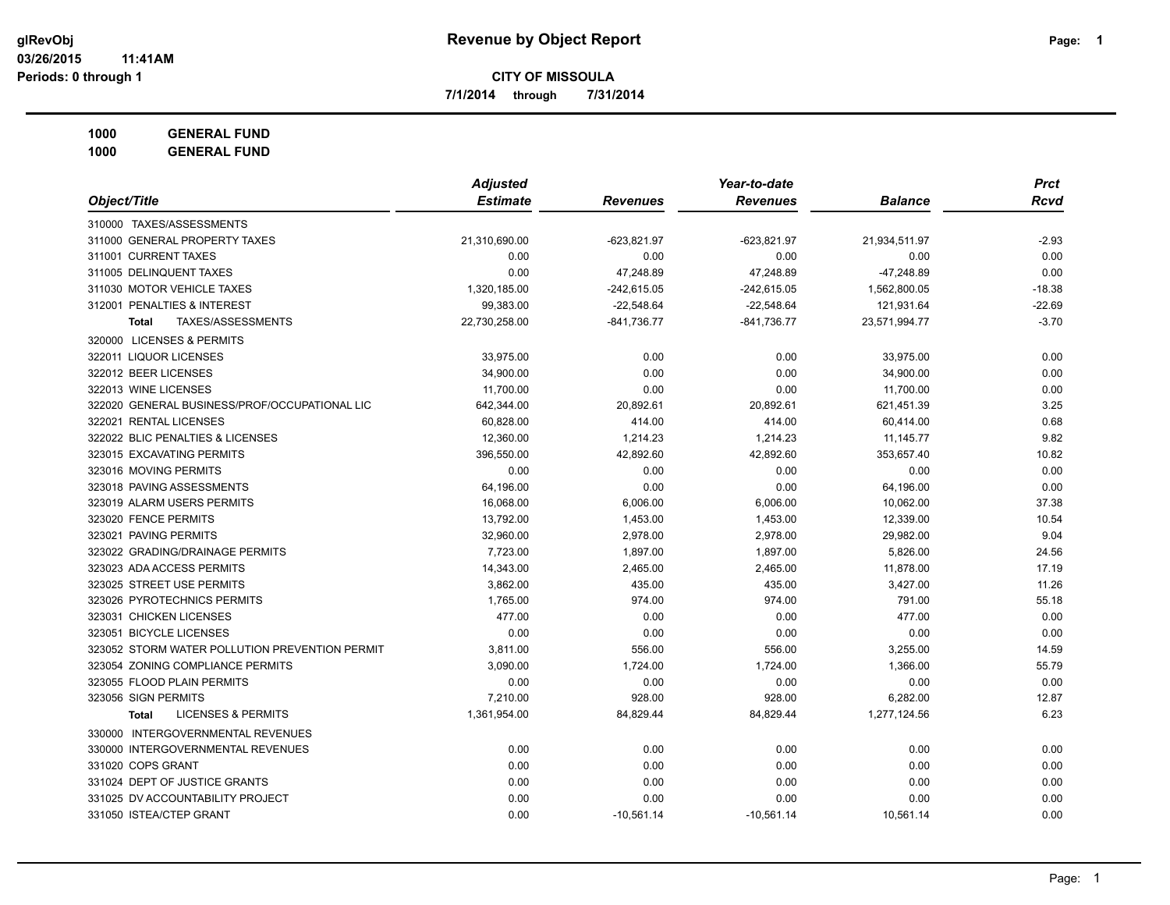**7/1/2014 through 7/31/2014**

**1000 GENERAL FUND**

|                                                | <b>Adjusted</b> |                 | Year-to-date    |                | <b>Prct</b> |
|------------------------------------------------|-----------------|-----------------|-----------------|----------------|-------------|
| Object/Title                                   | <b>Estimate</b> | <b>Revenues</b> | <b>Revenues</b> | <b>Balance</b> | <b>Rcvd</b> |
| 310000 TAXES/ASSESSMENTS                       |                 |                 |                 |                |             |
| 311000 GENERAL PROPERTY TAXES                  | 21,310,690.00   | $-623,821.97$   | $-623,821.97$   | 21,934,511.97  | $-2.93$     |
| 311001 CURRENT TAXES                           | 0.00            | 0.00            | 0.00            | 0.00           | 0.00        |
| 311005 DELINQUENT TAXES                        | 0.00            | 47,248.89       | 47,248.89       | -47,248.89     | 0.00        |
| 311030 MOTOR VEHICLE TAXES                     | 1,320,185.00    | $-242,615.05$   | $-242,615.05$   | 1,562,800.05   | $-18.38$    |
| 312001 PENALTIES & INTEREST                    | 99,383.00       | $-22,548.64$    | $-22,548.64$    | 121,931.64     | $-22.69$    |
| TAXES/ASSESSMENTS<br><b>Total</b>              | 22,730,258.00   | -841,736.77     | -841,736.77     | 23,571,994.77  | $-3.70$     |
| 320000 LICENSES & PERMITS                      |                 |                 |                 |                |             |
| 322011 LIQUOR LICENSES                         | 33,975.00       | 0.00            | 0.00            | 33,975.00      | 0.00        |
| 322012 BEER LICENSES                           | 34,900.00       | 0.00            | 0.00            | 34,900.00      | 0.00        |
| 322013 WINE LICENSES                           | 11,700.00       | 0.00            | 0.00            | 11,700.00      | 0.00        |
| 322020 GENERAL BUSINESS/PROF/OCCUPATIONAL LIC  | 642,344.00      | 20,892.61       | 20,892.61       | 621,451.39     | 3.25        |
| 322021 RENTAL LICENSES                         | 60,828.00       | 414.00          | 414.00          | 60,414.00      | 0.68        |
| 322022 BLIC PENALTIES & LICENSES               | 12,360.00       | 1,214.23        | 1,214.23        | 11, 145. 77    | 9.82        |
| 323015 EXCAVATING PERMITS                      | 396,550.00      | 42,892.60       | 42,892.60       | 353,657.40     | 10.82       |
| 323016 MOVING PERMITS                          | 0.00            | 0.00            | 0.00            | 0.00           | 0.00        |
| 323018 PAVING ASSESSMENTS                      | 64,196.00       | 0.00            | 0.00            | 64,196.00      | 0.00        |
| 323019 ALARM USERS PERMITS                     | 16,068.00       | 6,006.00        | 6,006.00        | 10,062.00      | 37.38       |
| 323020 FENCE PERMITS                           | 13,792.00       | 1,453.00        | 1,453.00        | 12,339.00      | 10.54       |
| 323021 PAVING PERMITS                          | 32,960.00       | 2,978.00        | 2,978.00        | 29.982.00      | 9.04        |
| 323022 GRADING/DRAINAGE PERMITS                | 7,723.00        | 1,897.00        | 1,897.00        | 5,826.00       | 24.56       |
| 323023 ADA ACCESS PERMITS                      | 14,343.00       | 2,465.00        | 2,465.00        | 11,878.00      | 17.19       |
| 323025 STREET USE PERMITS                      | 3,862.00        | 435.00          | 435.00          | 3,427.00       | 11.26       |
| 323026 PYROTECHNICS PERMITS                    | 1,765.00        | 974.00          | 974.00          | 791.00         | 55.18       |
| 323031 CHICKEN LICENSES                        | 477.00          | 0.00            | 0.00            | 477.00         | 0.00        |
| 323051 BICYCLE LICENSES                        | 0.00            | 0.00            | 0.00            | 0.00           | 0.00        |
| 323052 STORM WATER POLLUTION PREVENTION PERMIT | 3,811.00        | 556.00          | 556.00          | 3,255.00       | 14.59       |
| 323054 ZONING COMPLIANCE PERMITS               | 3,090.00        | 1,724.00        | 1,724.00        | 1,366.00       | 55.79       |
| 323055 FLOOD PLAIN PERMITS                     | 0.00            | 0.00            | 0.00            | 0.00           | 0.00        |
| 323056 SIGN PERMITS                            | 7,210.00        | 928.00          | 928.00          | 6,282.00       | 12.87       |
| <b>LICENSES &amp; PERMITS</b><br><b>Total</b>  | 1,361,954.00    | 84,829.44       | 84,829.44       | 1,277,124.56   | 6.23        |
| 330000 INTERGOVERNMENTAL REVENUES              |                 |                 |                 |                |             |
| 330000 INTERGOVERNMENTAL REVENUES              | 0.00            | 0.00            | 0.00            | 0.00           | 0.00        |
| 331020 COPS GRANT                              | 0.00            | 0.00            | 0.00            | 0.00           | 0.00        |
| 331024 DEPT OF JUSTICE GRANTS                  | 0.00            | 0.00            | 0.00            | 0.00           | 0.00        |
| 331025 DV ACCOUNTABILITY PROJECT               | 0.00            | 0.00            | 0.00            | 0.00           | 0.00        |
| 331050 ISTEA/CTEP GRANT                        | 0.00            | $-10,561.14$    | $-10,561.14$    | 10,561.14      | 0.00        |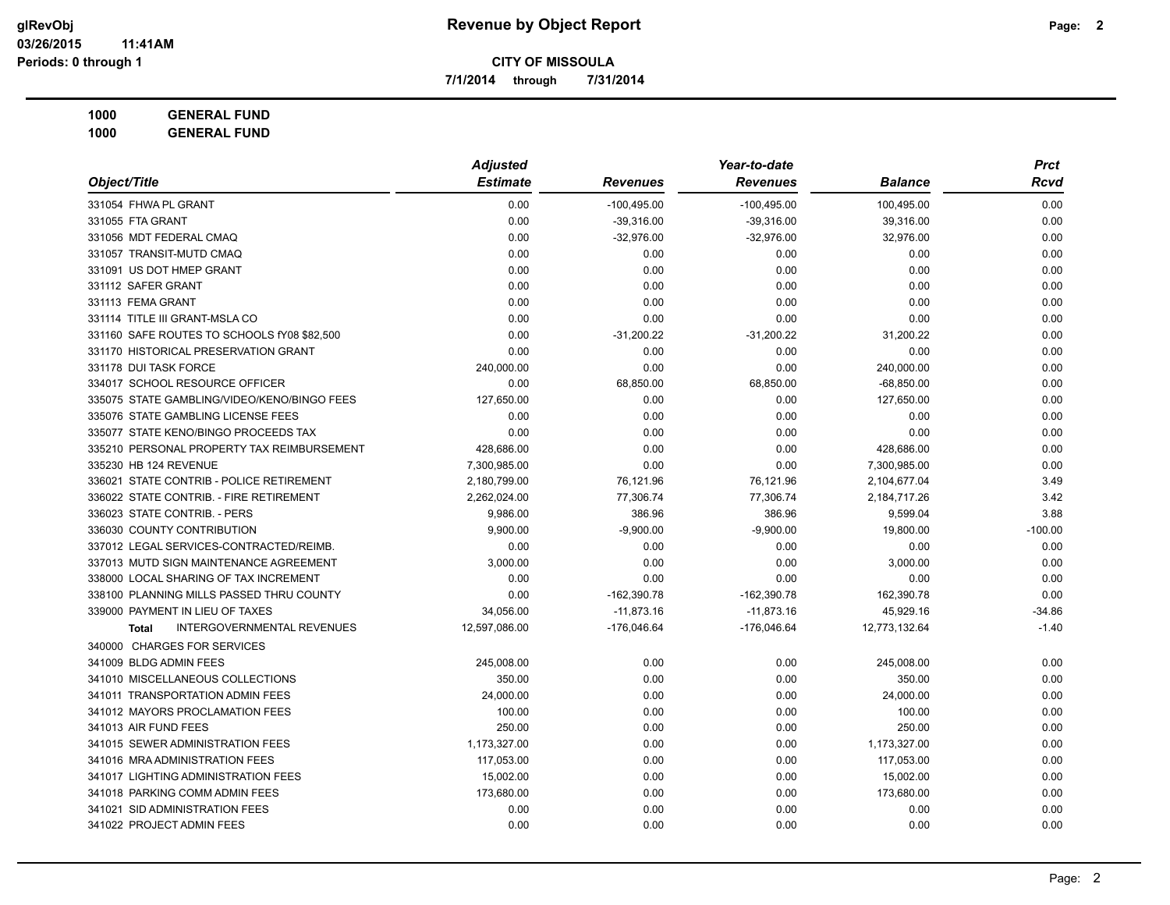**7/1/2014 through 7/31/2014**

**1000 GENERAL FUND 1000 GENERAL FUND**

|                                                   | <b>Adjusted</b> |                 | Year-to-date    |                | <b>Prct</b> |
|---------------------------------------------------|-----------------|-----------------|-----------------|----------------|-------------|
| Object/Title                                      | <b>Estimate</b> | <b>Revenues</b> | <b>Revenues</b> | <b>Balance</b> | Rcvd        |
| 331054 FHWA PL GRANT                              | 0.00            | $-100,495.00$   | $-100,495.00$   | 100,495.00     | 0.00        |
| 331055 FTA GRANT                                  | 0.00            | $-39,316.00$    | $-39,316.00$    | 39,316.00      | 0.00        |
| 331056 MDT FEDERAL CMAQ                           | 0.00            | $-32,976.00$    | $-32,976.00$    | 32,976.00      | 0.00        |
| 331057 TRANSIT-MUTD CMAQ                          | 0.00            | 0.00            | 0.00            | 0.00           | 0.00        |
| 331091 US DOT HMEP GRANT                          | 0.00            | 0.00            | 0.00            | 0.00           | 0.00        |
| 331112 SAFER GRANT                                | 0.00            | 0.00            | 0.00            | 0.00           | 0.00        |
| 331113 FEMA GRANT                                 | 0.00            | 0.00            | 0.00            | 0.00           | 0.00        |
| 331114 TITLE III GRANT-MSLA CO                    | 0.00            | 0.00            | 0.00            | 0.00           | 0.00        |
| 331160 SAFE ROUTES TO SCHOOLS fY08 \$82,500       | 0.00            | $-31,200.22$    | $-31,200.22$    | 31,200.22      | 0.00        |
| 331170 HISTORICAL PRESERVATION GRANT              | 0.00            | 0.00            | 0.00            | 0.00           | 0.00        |
| 331178 DUI TASK FORCE                             | 240,000.00      | 0.00            | 0.00            | 240,000.00     | 0.00        |
| 334017 SCHOOL RESOURCE OFFICER                    | 0.00            | 68,850.00       | 68,850.00       | $-68,850.00$   | 0.00        |
| 335075 STATE GAMBLING/VIDEO/KENO/BINGO FEES       | 127,650.00      | 0.00            | 0.00            | 127,650.00     | 0.00        |
| 335076 STATE GAMBLING LICENSE FEES                | 0.00            | 0.00            | 0.00            | 0.00           | 0.00        |
| 335077 STATE KENO/BINGO PROCEEDS TAX              | 0.00            | 0.00            | 0.00            | 0.00           | 0.00        |
| 335210 PERSONAL PROPERTY TAX REIMBURSEMENT        | 428,686.00      | 0.00            | 0.00            | 428,686.00     | 0.00        |
| 335230 HB 124 REVENUE                             | 7,300,985.00    | 0.00            | 0.00            | 7,300,985.00   | 0.00        |
| 336021 STATE CONTRIB - POLICE RETIREMENT          | 2,180,799.00    | 76,121.96       | 76,121.96       | 2,104,677.04   | 3.49        |
| 336022 STATE CONTRIB. - FIRE RETIREMENT           | 2,262,024.00    | 77,306.74       | 77,306.74       | 2,184,717.26   | 3.42        |
| 336023 STATE CONTRIB. - PERS                      | 9,986.00        | 386.96          | 386.96          | 9,599.04       | 3.88        |
| 336030 COUNTY CONTRIBUTION                        | 9,900.00        | $-9,900.00$     | $-9,900.00$     | 19,800.00      | $-100.00$   |
| 337012 LEGAL SERVICES-CONTRACTED/REIMB.           | 0.00            | 0.00            | 0.00            | 0.00           | 0.00        |
| 337013 MUTD SIGN MAINTENANCE AGREEMENT            | 3,000.00        | 0.00            | 0.00            | 3,000.00       | 0.00        |
| 338000 LOCAL SHARING OF TAX INCREMENT             | 0.00            | 0.00            | 0.00            | 0.00           | 0.00        |
| 338100 PLANNING MILLS PASSED THRU COUNTY          | 0.00            | $-162,390.78$   | $-162,390.78$   | 162,390.78     | 0.00        |
| 339000 PAYMENT IN LIEU OF TAXES                   | 34,056.00       | $-11,873.16$    | $-11,873.16$    | 45,929.16      | $-34.86$    |
| <b>INTERGOVERNMENTAL REVENUES</b><br><b>Total</b> | 12,597,086.00   | -176,046.64     | $-176,046.64$   | 12,773,132.64  | $-1.40$     |
| 340000 CHARGES FOR SERVICES                       |                 |                 |                 |                |             |
| 341009 BLDG ADMIN FEES                            | 245,008.00      | 0.00            | 0.00            | 245,008.00     | 0.00        |
| 341010 MISCELLANEOUS COLLECTIONS                  | 350.00          | 0.00            | 0.00            | 350.00         | 0.00        |
| 341011 TRANSPORTATION ADMIN FEES                  | 24,000.00       | 0.00            | 0.00            | 24,000.00      | 0.00        |
| 341012 MAYORS PROCLAMATION FEES                   | 100.00          | 0.00            | 0.00            | 100.00         | 0.00        |
| 341013 AIR FUND FEES                              | 250.00          | 0.00            | 0.00            | 250.00         | 0.00        |
| 341015 SEWER ADMINISTRATION FEES                  | 1,173,327.00    | 0.00            | 0.00            | 1,173,327.00   | 0.00        |
| 341016 MRA ADMINISTRATION FEES                    | 117,053.00      | 0.00            | 0.00            | 117,053.00     | 0.00        |
| 341017 LIGHTING ADMINISTRATION FEES               | 15,002.00       | 0.00            | 0.00            | 15,002.00      | 0.00        |
| 341018 PARKING COMM ADMIN FEES                    | 173,680.00      | 0.00            | 0.00            | 173,680.00     | 0.00        |
| 341021 SID ADMINISTRATION FEES                    | 0.00            | 0.00            | 0.00            | 0.00           | 0.00        |
| 341022 PROJECT ADMIN FEES                         | 0.00            | 0.00            | 0.00            | 0.00           | 0.00        |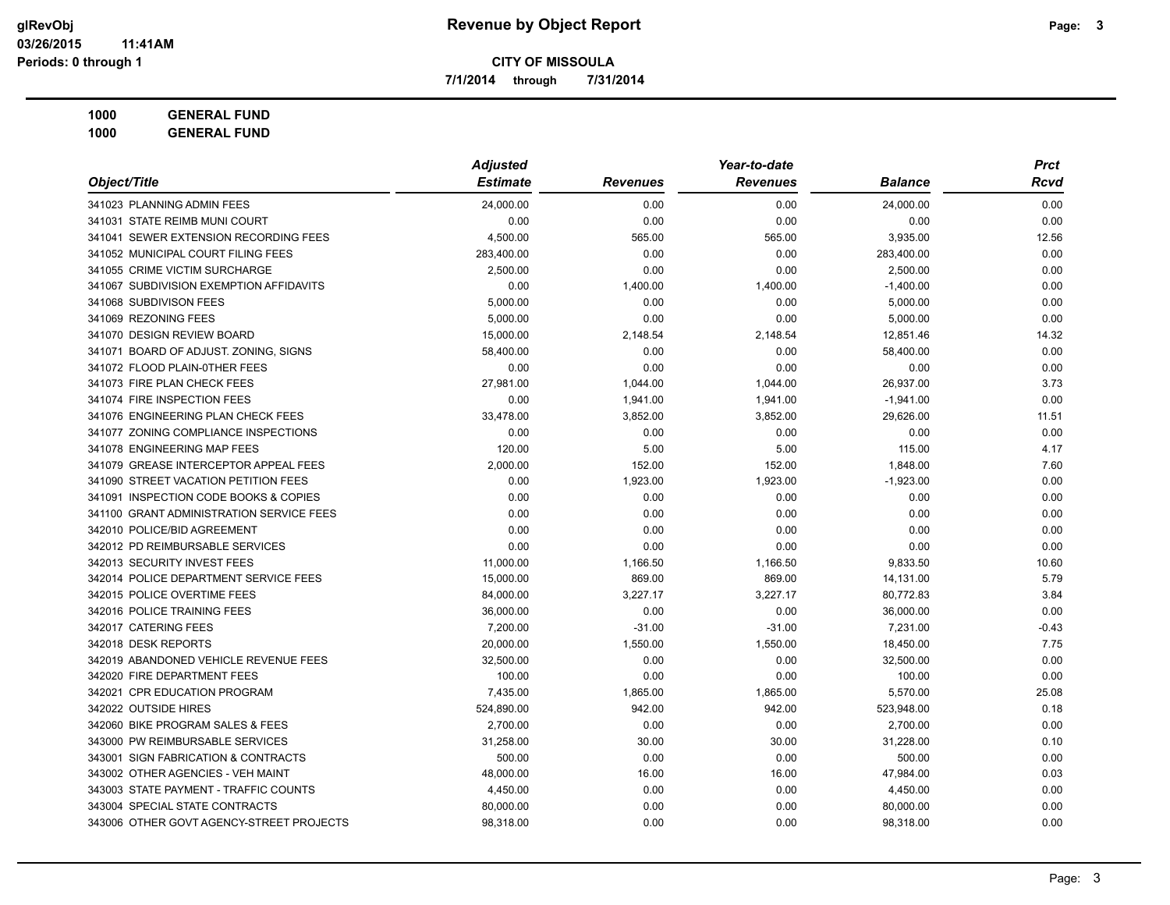**7/1/2014 through 7/31/2014**

**1000 GENERAL FUND 1000 GENERAL FUND**

|                                          | <b>Adjusted</b> |                 | Year-to-date    |             | <b>Prct</b> |
|------------------------------------------|-----------------|-----------------|-----------------|-------------|-------------|
| Object/Title                             | <b>Estimate</b> | <b>Revenues</b> | <b>Revenues</b> | Balance     | Rcvd        |
| 341023 PLANNING ADMIN FEES               | 24,000.00       | 0.00            | 0.00            | 24,000.00   | 0.00        |
| 341031 STATE REIMB MUNI COURT            | 0.00            | 0.00            | 0.00            | 0.00        | 0.00        |
| 341041 SEWER EXTENSION RECORDING FEES    | 4,500.00        | 565.00          | 565.00          | 3,935.00    | 12.56       |
| 341052 MUNICIPAL COURT FILING FEES       | 283,400.00      | 0.00            | 0.00            | 283,400.00  | 0.00        |
| 341055 CRIME VICTIM SURCHARGE            | 2,500.00        | 0.00            | 0.00            | 2,500.00    | 0.00        |
| 341067 SUBDIVISION EXEMPTION AFFIDAVITS  | 0.00            | 1,400.00        | 1,400.00        | $-1,400.00$ | 0.00        |
| 341068 SUBDIVISON FEES                   | 5,000.00        | 0.00            | 0.00            | 5,000.00    | 0.00        |
| 341069 REZONING FEES                     | 5,000.00        | 0.00            | 0.00            | 5,000.00    | 0.00        |
| 341070 DESIGN REVIEW BOARD               | 15,000.00       | 2,148.54        | 2,148.54        | 12,851.46   | 14.32       |
| 341071 BOARD OF ADJUST. ZONING, SIGNS    | 58,400.00       | 0.00            | 0.00            | 58,400.00   | 0.00        |
| 341072 FLOOD PLAIN-0THER FEES            | 0.00            | 0.00            | 0.00            | 0.00        | 0.00        |
| 341073 FIRE PLAN CHECK FEES              | 27,981.00       | 1,044.00        | 1,044.00        | 26,937.00   | 3.73        |
| 341074 FIRE INSPECTION FEES              | 0.00            | 1,941.00        | 1,941.00        | $-1,941.00$ | 0.00        |
| 341076 ENGINEERING PLAN CHECK FEES       | 33,478.00       | 3,852.00        | 3,852.00        | 29,626.00   | 11.51       |
| 341077 ZONING COMPLIANCE INSPECTIONS     | 0.00            | 0.00            | 0.00            | 0.00        | 0.00        |
| 341078 ENGINEERING MAP FEES              | 120.00          | 5.00            | 5.00            | 115.00      | 4.17        |
| 341079 GREASE INTERCEPTOR APPEAL FEES    | 2,000.00        | 152.00          | 152.00          | 1,848.00    | 7.60        |
| 341090 STREET VACATION PETITION FEES     | 0.00            | 1,923.00        | 1,923.00        | $-1,923.00$ | 0.00        |
| 341091 INSPECTION CODE BOOKS & COPIES    | 0.00            | 0.00            | 0.00            | 0.00        | 0.00        |
| 341100 GRANT ADMINISTRATION SERVICE FEES | 0.00            | 0.00            | 0.00            | 0.00        | 0.00        |
| 342010 POLICE/BID AGREEMENT              | 0.00            | 0.00            | 0.00            | 0.00        | 0.00        |
| 342012 PD REIMBURSABLE SERVICES          | 0.00            | 0.00            | 0.00            | 0.00        | 0.00        |
| 342013 SECURITY INVEST FEES              | 11,000.00       | 1,166.50        | 1,166.50        | 9,833.50    | 10.60       |
| 342014 POLICE DEPARTMENT SERVICE FEES    | 15,000.00       | 869.00          | 869.00          | 14,131.00   | 5.79        |
| 342015 POLICE OVERTIME FEES              | 84,000.00       | 3,227.17        | 3,227.17        | 80,772.83   | 3.84        |
| 342016 POLICE TRAINING FEES              | 36,000.00       | 0.00            | 0.00            | 36,000.00   | 0.00        |
| 342017 CATERING FEES                     | 7,200.00        | $-31.00$        | $-31.00$        | 7,231.00    | $-0.43$     |
| 342018 DESK REPORTS                      | 20,000.00       | 1,550.00        | 1,550.00        | 18,450.00   | 7.75        |
| 342019 ABANDONED VEHICLE REVENUE FEES    | 32,500.00       | 0.00            | 0.00            | 32,500.00   | 0.00        |
| 342020 FIRE DEPARTMENT FEES              | 100.00          | 0.00            | 0.00            | 100.00      | 0.00        |
| 342021 CPR EDUCATION PROGRAM             | 7,435.00        | 1,865.00        | 1,865.00        | 5,570.00    | 25.08       |
| 342022 OUTSIDE HIRES                     | 524,890.00      | 942.00          | 942.00          | 523,948.00  | 0.18        |
| 342060 BIKE PROGRAM SALES & FEES         | 2,700.00        | 0.00            | 0.00            | 2,700.00    | 0.00        |
| 343000 PW REIMBURSABLE SERVICES          | 31,258.00       | 30.00           | 30.00           | 31,228.00   | 0.10        |
| 343001 SIGN FABRICATION & CONTRACTS      | 500.00          | 0.00            | 0.00            | 500.00      | 0.00        |
| 343002 OTHER AGENCIES - VEH MAINT        | 48,000.00       | 16.00           | 16.00           | 47,984.00   | 0.03        |
| 343003 STATE PAYMENT - TRAFFIC COUNTS    | 4,450.00        | 0.00            | 0.00            | 4,450.00    | 0.00        |
| 343004 SPECIAL STATE CONTRACTS           | 80,000.00       | 0.00            | 0.00            | 80,000.00   | 0.00        |
| 343006 OTHER GOVT AGENCY-STREET PROJECTS | 98,318.00       | 0.00            | 0.00            | 98,318.00   | 0.00        |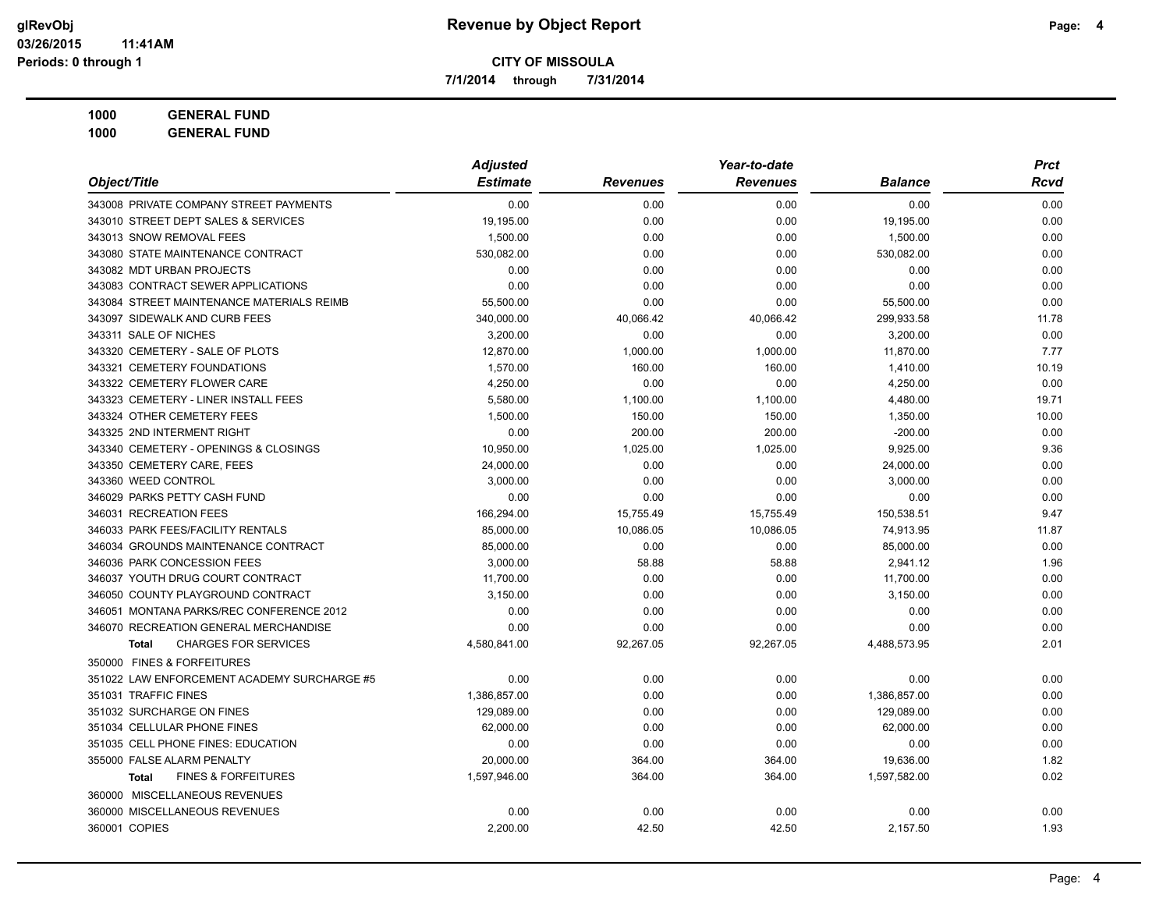**7/1/2014 through 7/31/2014**

**1000 GENERAL FUND 1000 GENERAL FUND**

*Object/Title Adjusted Estimate Revenues Year-to-date Revenues Balance Prct Rcvd* 343008 PRIVATE COMPANY STREET PAYMENTS 0.00 0.00 0.00 0.00 0.00 343010 STREET DEPT SALES & SERVICES 19,195.00 0.00 0.00 19,195.00 0.00 343013 SNOW REMOVAL FEES 1,500.00 0.00 0.00 1,500.00 0.00 343080 STATE MAINTENANCE CONTRACT 530,082.00 0.00 0.00 530,082.00 0.00  $0.00 \hspace{1.5cm} 0.00 \hspace{3.2cm} 0.00 \hspace{1.5cm} 0.00 \hspace{1.5cm} 0.00 \hspace{1.5cm} 0.00 \hspace{1.5cm} 0.00 \hspace{1.5cm} 0.00 \hspace{1.5cm} 0.00 \hspace{1.5cm} 0.00 \hspace{1.5cm} 0.00 \hspace{1.5cm} 0.00 \hspace{1.5cm} 0.00 \hspace{1.5cm} 0.00 \hspace{1.5cm} 0.00 \hspace{1.5cm} 0.00 \hspace{1.5$ 343083 CONTRACT SEWER APPLICATIONS 0.00 0.00 0.00 0.00 0.00 343084 STREET MAINTENANCE MATERIALS REIMB 55,500.00 0.00 0.00 55,500.00 0.00 343097 SIDEWALK AND CURB FEES 340,000.00 40,066.42 40,066.42 299,933.58 11.78 343311 SALE OF NICHES 3,200.00 0.00 0.00 3,200.00 0.00 343320 CEMETERY - SALE OF PLOTS 12,870.00 1,000.00 1,000.00 11,870.00 7.77 343321 CEMETERY FOUNDATIONS 1.570.00 160.00 1.410.00 10.19 343322 CEMETERY FLOWER CARE 4,250.00 0.00 0.00 4,250.00 0.00 343323 CEMETERY - LINER INSTALL FEES **5,580.00** 5,580.00 1,100.00 1,100.00 1,100.00 4,480.00 19.71 343324 OTHER CEMETERY FEES 1.500.00 150.00 1.350.00 10.00  $343325$  2ND INTERMENT RIGHT  $0.00$   $200.00$   $200.00$   $200.00$   $-200.00$   $-200.00$   $-200.00$   $-200.00$   $-200.00$ 343340 CEMETERY - OPENINGS & CLOSINGS 10,950.00 1,025.00 1,025.00 9,925.00 9.36 343350 CEMETERY CARE, FEES 24,000.00 0.00 0.00 24,000.00 0.00 343360 WEED CONTROL 3,000.00 0.00 0.00 3,000.00 0.00 346029 PARKS PETTY CASH FUND 0.00 0.00 0.00 0.00 0.00 346031 RECREATION FEES 166,294.00 15,755.49 15,755.49 150,538.51 9.47 346033 PARK FEES/FACILITY RENTALS 85,000.00 10,086.05 10,086.05 74,913.95 11.87 346034 GROUNDS MAINTENANCE CONTRACT  $85,000.00$   $85,000.00$   $0.00$   $85,000.00$   $85,000.00$   $0.00$ 346036 PARK CONCESSION FEES 3,000.00 58.88 58.88 2,941.12 1.96 346037 YOUTH DRUG COURT CONTRACT 11,700.00 0.00 0.00 11,700.00 0.00 346050 COUNTY PLAYGROUND CONTRACT 3,150.00 0.00 0.00 3,150.00 0.00 346051 MONTANA PARKS/REC CONFERENCE 2012 0.00 0.00 0.00 0.00 0.00 346070 RECREATION GENERAL MERCHANDISE 0.00 0.00 0.00 0.00 0.00 **Total** CHARGES FOR SERVICES 4,580,841.00 92,267.05 92,267.05 4,488,573.95 2.01 350000 FINES & FORFEITURES 351022 LAW ENFORCEMENT ACADEMY SURCHARGE #5 0.00 0.00 0.00 0.00 0.00 351031 TRAFFIC FINES 1.386.857.00 0.00 1.386.857.00 0.00 351032 SURCHARGE ON FINES 129,089.00 0.00 129,089.00 0.00 351034 CELLULAR PHONE FINES 62,000.00 0.00 0.00 62,000.00 0.00 351035 CELL PHONE FINES: EDUCATION 0.00 0.00 0.00 0.00 0.00 355000 FALSE ALARM PENALTY 20,000.00 364.00 364.00 19,636.00 1.82 **Total** FINES & FORFEITURES 1,597,946.00 364.00 364.00 1,597,582.00 0.02 360000 MISCELLANEOUS REVENUES 360000 MISCELLANEOUS REVENUES 0.00 0.00 0.00 0.00 0.00 360001 COPIES 2,200.00 42.50 42.50 2,157.50 1.93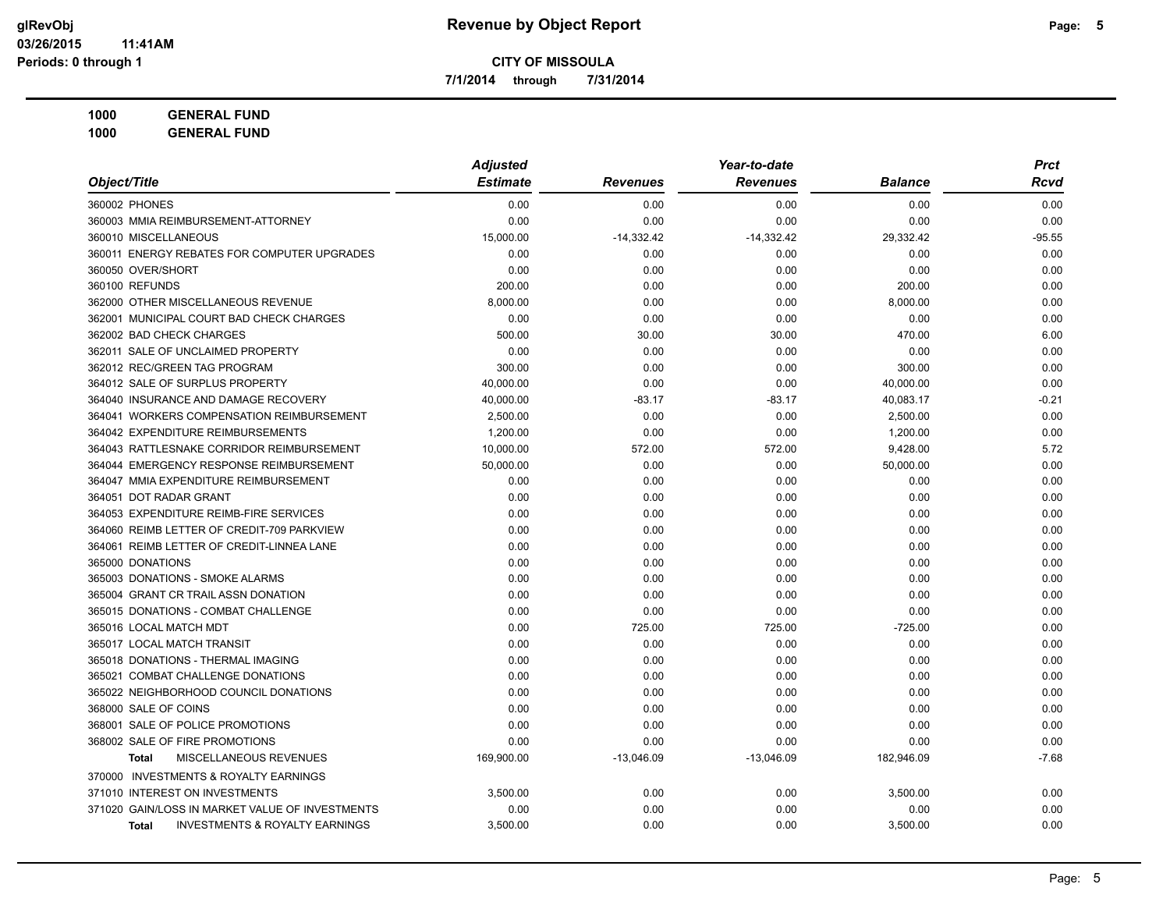**7/1/2014 through 7/31/2014**

| 1000 | <b>GENERAL FUND</b> |
|------|---------------------|
|      |                     |

| Object/Title                                              | <b>Adjusted</b> |                 | Year-to-date    |                | <b>Prct</b> |
|-----------------------------------------------------------|-----------------|-----------------|-----------------|----------------|-------------|
|                                                           | <b>Estimate</b> | <b>Revenues</b> | <b>Revenues</b> | <b>Balance</b> | Rcvd        |
| 360002 PHONES                                             | 0.00            | 0.00            | 0.00            | 0.00           | 0.00        |
| 360003 MMIA REIMBURSEMENT-ATTORNEY                        | 0.00            | 0.00            | 0.00            | 0.00           | 0.00        |
| 360010 MISCELLANEOUS                                      | 15,000.00       | $-14,332.42$    | $-14,332.42$    | 29,332.42      | $-95.55$    |
| 360011 ENERGY REBATES FOR COMPUTER UPGRADES               | 0.00            | 0.00            | 0.00            | 0.00           | 0.00        |
| 360050 OVER/SHORT                                         | 0.00            | 0.00            | 0.00            | 0.00           | 0.00        |
| 360100 REFUNDS                                            | 200.00          | 0.00            | 0.00            | 200.00         | 0.00        |
| 362000 OTHER MISCELLANEOUS REVENUE                        | 8,000.00        | 0.00            | 0.00            | 8,000.00       | 0.00        |
| 362001 MUNICIPAL COURT BAD CHECK CHARGES                  | 0.00            | 0.00            | 0.00            | 0.00           | 0.00        |
| 362002 BAD CHECK CHARGES                                  | 500.00          | 30.00           | 30.00           | 470.00         | 6.00        |
| 362011 SALE OF UNCLAIMED PROPERTY                         | 0.00            | 0.00            | 0.00            | 0.00           | 0.00        |
| 362012 REC/GREEN TAG PROGRAM                              | 300.00          | 0.00            | 0.00            | 300.00         | 0.00        |
| 364012 SALE OF SURPLUS PROPERTY                           | 40,000.00       | 0.00            | 0.00            | 40,000.00      | 0.00        |
| 364040 INSURANCE AND DAMAGE RECOVERY                      | 40,000.00       | -83.17          | -83.17          | 40,083.17      | $-0.21$     |
| 364041 WORKERS COMPENSATION REIMBURSEMENT                 | 2,500.00        | 0.00            | 0.00            | 2,500.00       | 0.00        |
| 364042 EXPENDITURE REIMBURSEMENTS                         | 1,200.00        | 0.00            | 0.00            | 1,200.00       | 0.00        |
| 364043 RATTLESNAKE CORRIDOR REIMBURSEMENT                 | 10,000.00       | 572.00          | 572.00          | 9,428.00       | 5.72        |
| 364044 EMERGENCY RESPONSE REIMBURSEMENT                   | 50,000.00       | 0.00            | 0.00            | 50,000.00      | 0.00        |
| 364047 MMIA EXPENDITURE REIMBURSEMENT                     | 0.00            | 0.00            | 0.00            | 0.00           | 0.00        |
| 364051 DOT RADAR GRANT                                    | 0.00            | 0.00            | 0.00            | 0.00           | 0.00        |
| 364053 EXPENDITURE REIMB-FIRE SERVICES                    | 0.00            | 0.00            | 0.00            | 0.00           | 0.00        |
| 364060 REIMB LETTER OF CREDIT-709 PARKVIEW                | 0.00            | 0.00            | 0.00            | 0.00           | 0.00        |
| 364061 REIMB LETTER OF CREDIT-LINNEA LANE                 | 0.00            | 0.00            | 0.00            | 0.00           | 0.00        |
| 365000 DONATIONS                                          | 0.00            | 0.00            | 0.00            | 0.00           | 0.00        |
| 365003 DONATIONS - SMOKE ALARMS                           | 0.00            | 0.00            | 0.00            | 0.00           | 0.00        |
| 365004 GRANT CR TRAIL ASSN DONATION                       | 0.00            | 0.00            | 0.00            | 0.00           | 0.00        |
| 365015 DONATIONS - COMBAT CHALLENGE                       | 0.00            | 0.00            | 0.00            | 0.00           | 0.00        |
| 365016 LOCAL MATCH MDT                                    | 0.00            | 725.00          | 725.00          | $-725.00$      | 0.00        |
| 365017 LOCAL MATCH TRANSIT                                | 0.00            | 0.00            | 0.00            | 0.00           | 0.00        |
| 365018 DONATIONS - THERMAL IMAGING                        | 0.00            | 0.00            | 0.00            | 0.00           | 0.00        |
| 365021 COMBAT CHALLENGE DONATIONS                         | 0.00            | 0.00            | 0.00            | 0.00           | 0.00        |
| 365022 NEIGHBORHOOD COUNCIL DONATIONS                     | 0.00            | 0.00            | 0.00            | 0.00           | 0.00        |
| 368000 SALE OF COINS                                      | 0.00            | 0.00            | 0.00            | 0.00           | 0.00        |
| 368001 SALE OF POLICE PROMOTIONS                          | 0.00            | 0.00            | 0.00            | 0.00           | 0.00        |
| 368002 SALE OF FIRE PROMOTIONS                            | 0.00            | 0.00            | 0.00            | 0.00           | 0.00        |
| MISCELLANEOUS REVENUES<br><b>Total</b>                    | 169,900.00      | $-13,046.09$    | $-13,046.09$    | 182,946.09     | $-7.68$     |
| 370000 INVESTMENTS & ROYALTY EARNINGS                     |                 |                 |                 |                |             |
| 371010 INTEREST ON INVESTMENTS                            | 3,500.00        | 0.00            | 0.00            | 3,500.00       | 0.00        |
| 371020 GAIN/LOSS IN MARKET VALUE OF INVESTMENTS           | 0.00            | 0.00            | 0.00            | 0.00           | 0.00        |
| <b>INVESTMENTS &amp; ROYALTY EARNINGS</b><br><b>Total</b> | 3,500.00        | 0.00            | 0.00            | 3,500.00       | 0.00        |
|                                                           |                 |                 |                 |                |             |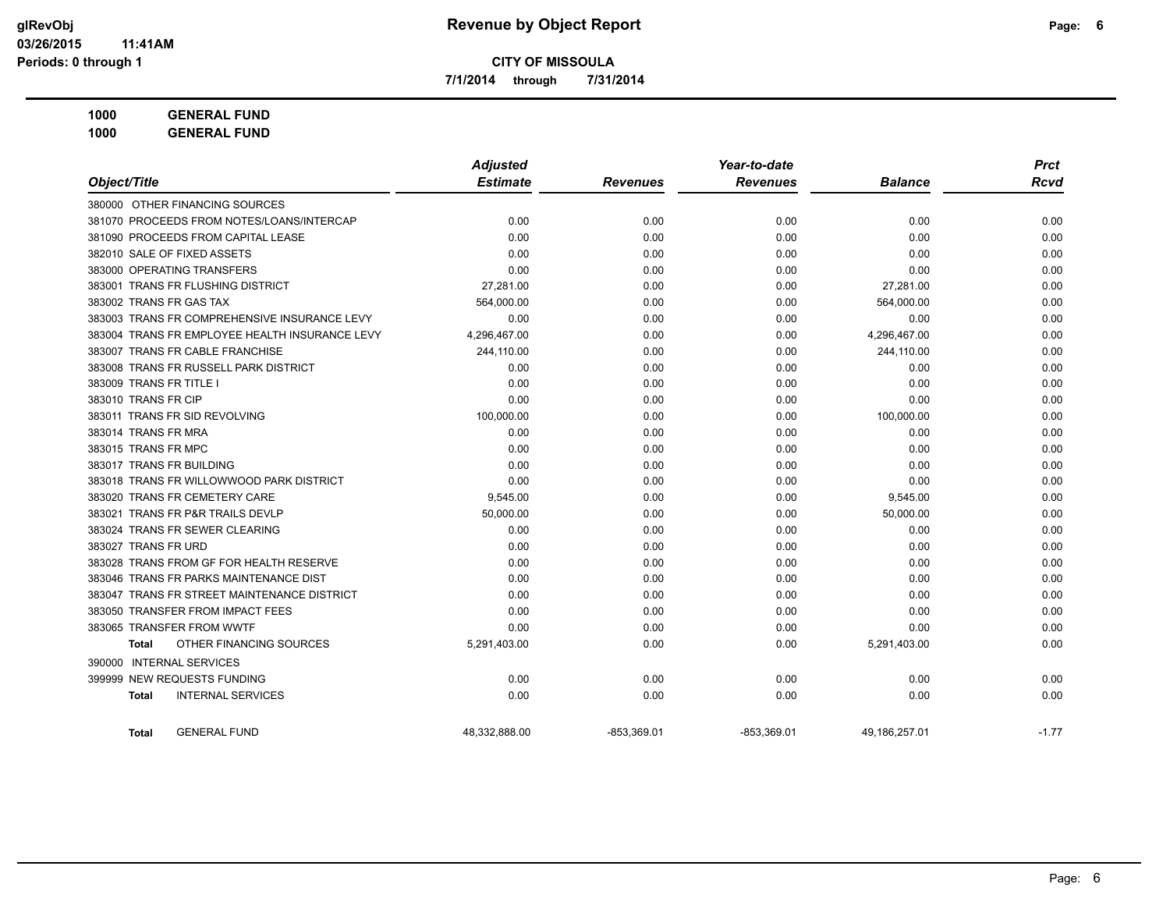**7/1/2014 through 7/31/2014**

**1000 GENERAL FUND 1000 GENERAL FUND**

|                                                | <b>Adjusted</b> |                 | Year-to-date    |                | <b>Prct</b> |
|------------------------------------------------|-----------------|-----------------|-----------------|----------------|-------------|
| Object/Title                                   | <b>Estimate</b> | <b>Revenues</b> | <b>Revenues</b> | <b>Balance</b> | <b>Rcvd</b> |
| 380000 OTHER FINANCING SOURCES                 |                 |                 |                 |                |             |
| 381070 PROCEEDS FROM NOTES/LOANS/INTERCAP      | 0.00            | 0.00            | 0.00            | 0.00           | 0.00        |
| 381090 PROCEEDS FROM CAPITAL LEASE             | 0.00            | 0.00            | 0.00            | 0.00           | 0.00        |
| 382010 SALE OF FIXED ASSETS                    | 0.00            | 0.00            | 0.00            | 0.00           | 0.00        |
| 383000 OPERATING TRANSFERS                     | 0.00            | 0.00            | 0.00            | 0.00           | 0.00        |
| 383001 TRANS FR FLUSHING DISTRICT              | 27,281.00       | 0.00            | 0.00            | 27,281.00      | 0.00        |
| 383002 TRANS FR GAS TAX                        | 564,000.00      | 0.00            | 0.00            | 564,000.00     | 0.00        |
| 383003 TRANS FR COMPREHENSIVE INSURANCE LEVY   | 0.00            | 0.00            | 0.00            | 0.00           | 0.00        |
| 383004 TRANS FR EMPLOYEE HEALTH INSURANCE LEVY | 4,296,467.00    | 0.00            | 0.00            | 4,296,467.00   | 0.00        |
| 383007 TRANS FR CABLE FRANCHISE                | 244,110.00      | 0.00            | 0.00            | 244,110.00     | 0.00        |
| 383008 TRANS FR RUSSELL PARK DISTRICT          | 0.00            | 0.00            | 0.00            | 0.00           | 0.00        |
| 383009 TRANS FR TITLE I                        | 0.00            | 0.00            | 0.00            | 0.00           | 0.00        |
| 383010 TRANS FR CIP                            | 0.00            | 0.00            | 0.00            | 0.00           | 0.00        |
| 383011 TRANS FR SID REVOLVING                  | 100,000.00      | 0.00            | 0.00            | 100,000.00     | 0.00        |
| 383014 TRANS FR MRA                            | 0.00            | 0.00            | 0.00            | 0.00           | 0.00        |
| 383015 TRANS FR MPC                            | 0.00            | 0.00            | 0.00            | 0.00           | 0.00        |
| 383017 TRANS FR BUILDING                       | 0.00            | 0.00            | 0.00            | 0.00           | 0.00        |
| 383018 TRANS FR WILLOWWOOD PARK DISTRICT       | 0.00            | 0.00            | 0.00            | 0.00           | 0.00        |
| 383020 TRANS FR CEMETERY CARE                  | 9,545.00        | 0.00            | 0.00            | 9,545.00       | 0.00        |
| 383021 TRANS FR P&R TRAILS DEVLP               | 50,000.00       | 0.00            | 0.00            | 50,000.00      | 0.00        |
| 383024 TRANS FR SEWER CLEARING                 | 0.00            | 0.00            | 0.00            | 0.00           | 0.00        |
| 383027 TRANS FR URD                            | 0.00            | 0.00            | 0.00            | 0.00           | 0.00        |
| 383028 TRANS FROM GF FOR HEALTH RESERVE        | 0.00            | 0.00            | 0.00            | 0.00           | 0.00        |
| 383046 TRANS FR PARKS MAINTENANCE DIST         | 0.00            | 0.00            | 0.00            | 0.00           | 0.00        |
| 383047 TRANS FR STREET MAINTENANCE DISTRICT    | 0.00            | 0.00            | 0.00            | 0.00           | 0.00        |
| 383050 TRANSFER FROM IMPACT FEES               | 0.00            | 0.00            | 0.00            | 0.00           | 0.00        |
| 383065 TRANSFER FROM WWTF                      | 0.00            | 0.00            | 0.00            | 0.00           | 0.00        |
| OTHER FINANCING SOURCES<br>Total               | 5,291,403.00    | 0.00            | 0.00            | 5,291,403.00   | 0.00        |
| 390000 INTERNAL SERVICES                       |                 |                 |                 |                |             |

399999 NEW REQUESTS FUNDING 0.00 0.00 0.00 0.00 0.00 **Total** INTERNAL SERVICES 0.00 0.00 0.00 0.00 0.00

Total GENERAL FUND 48,332,888.00 -853,369.01 -853,369.01 49,186,257.01 -1.77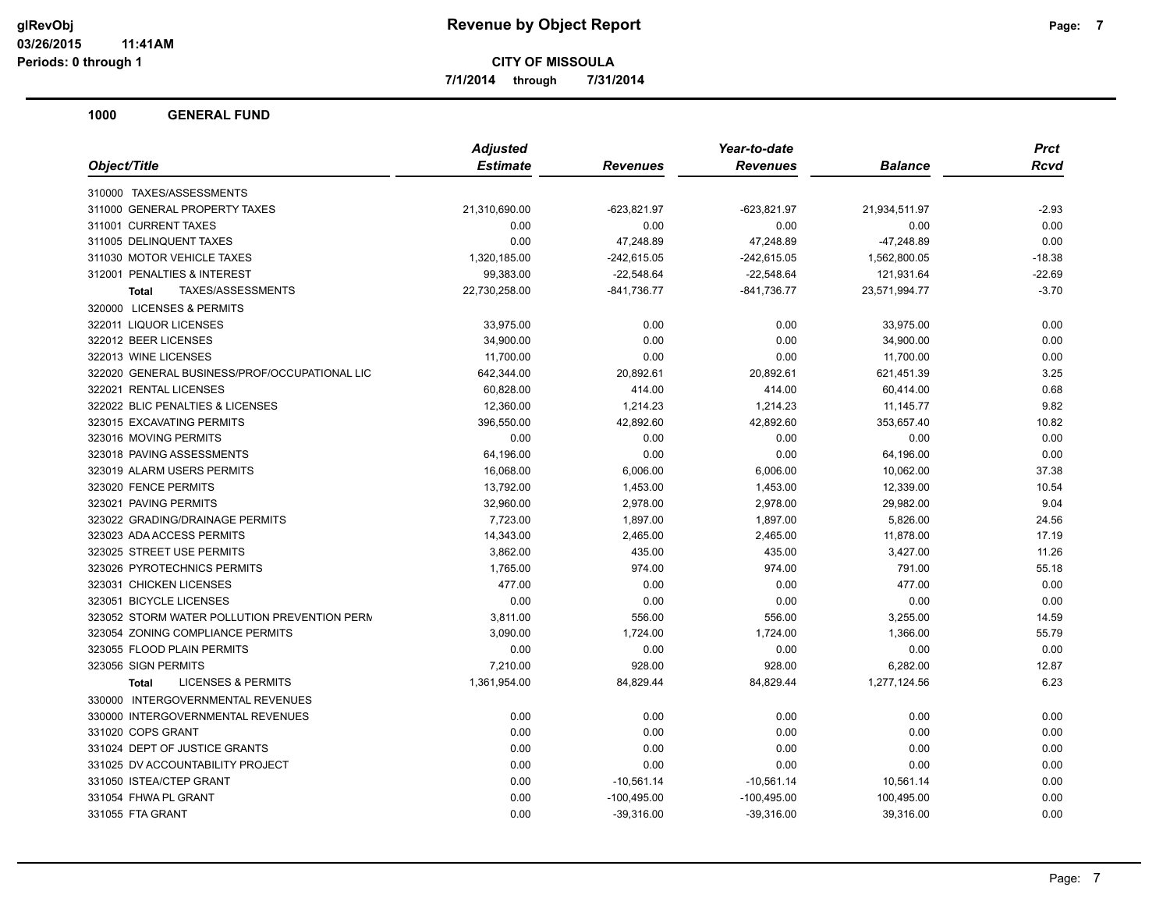**7/1/2014 through 7/31/2014**

|                                               | <b>Adjusted</b> | Year-to-date  |                 |                | <b>Prct</b> |
|-----------------------------------------------|-----------------|---------------|-----------------|----------------|-------------|
| Object/Title                                  | <b>Estimate</b> | Revenues      | <b>Revenues</b> | <b>Balance</b> | Rcvd        |
| 310000 TAXES/ASSESSMENTS                      |                 |               |                 |                |             |
| 311000 GENERAL PROPERTY TAXES                 | 21,310,690.00   | $-623,821.97$ | $-623,821.97$   | 21,934,511.97  | $-2.93$     |
| 311001 CURRENT TAXES                          | 0.00            | 0.00          | 0.00            | 0.00           | 0.00        |
| 311005 DELINQUENT TAXES                       | 0.00            | 47,248.89     | 47,248.89       | -47,248.89     | 0.00        |
| 311030 MOTOR VEHICLE TAXES                    | 1,320,185.00    | $-242,615.05$ | $-242,615.05$   | 1,562,800.05   | $-18.38$    |
| 312001 PENALTIES & INTEREST                   | 99,383.00       | $-22,548.64$  | $-22,548.64$    | 121,931.64     | $-22.69$    |
| TAXES/ASSESSMENTS<br><b>Total</b>             | 22,730,258.00   | $-841,736.77$ | $-841,736.77$   | 23,571,994.77  | $-3.70$     |
| 320000 LICENSES & PERMITS                     |                 |               |                 |                |             |
| 322011 LIQUOR LICENSES                        | 33,975.00       | 0.00          | 0.00            | 33,975.00      | 0.00        |
| 322012 BEER LICENSES                          | 34,900.00       | 0.00          | 0.00            | 34,900.00      | 0.00        |
| 322013 WINE LICENSES                          | 11,700.00       | 0.00          | 0.00            | 11,700.00      | 0.00        |
| 322020 GENERAL BUSINESS/PROF/OCCUPATIONAL LIC | 642,344.00      | 20,892.61     | 20,892.61       | 621,451.39     | 3.25        |
| 322021 RENTAL LICENSES                        | 60,828.00       | 414.00        | 414.00          | 60,414.00      | 0.68        |
| 322022 BLIC PENALTIES & LICENSES              | 12,360.00       | 1,214.23      | 1,214.23        | 11,145.77      | 9.82        |
| 323015 EXCAVATING PERMITS                     | 396,550.00      | 42,892.60     | 42,892.60       | 353,657.40     | 10.82       |
| 323016 MOVING PERMITS                         | 0.00            | 0.00          | 0.00            | 0.00           | 0.00        |
| 323018 PAVING ASSESSMENTS                     | 64,196.00       | 0.00          | 0.00            | 64,196.00      | 0.00        |
| 323019 ALARM USERS PERMITS                    | 16,068.00       | 6,006.00      | 6,006.00        | 10,062.00      | 37.38       |
| 323020 FENCE PERMITS                          | 13,792.00       | 1,453.00      | 1,453.00        | 12,339.00      | 10.54       |
| 323021 PAVING PERMITS                         | 32,960.00       | 2,978.00      | 2,978.00        | 29,982.00      | 9.04        |
| 323022 GRADING/DRAINAGE PERMITS               | 7,723.00        | 1,897.00      | 1,897.00        | 5,826.00       | 24.56       |
| 323023 ADA ACCESS PERMITS                     | 14,343.00       | 2,465.00      | 2,465.00        | 11,878.00      | 17.19       |
| 323025 STREET USE PERMITS                     | 3,862.00        | 435.00        | 435.00          | 3,427.00       | 11.26       |
| 323026 PYROTECHNICS PERMITS                   | 1,765.00        | 974.00        | 974.00          | 791.00         | 55.18       |
| 323031 CHICKEN LICENSES                       | 477.00          | 0.00          | 0.00            | 477.00         | 0.00        |
| 323051 BICYCLE LICENSES                       | 0.00            | 0.00          | 0.00            | 0.00           | 0.00        |
| 323052 STORM WATER POLLUTION PREVENTION PERM  | 3,811.00        | 556.00        | 556.00          | 3,255.00       | 14.59       |
| 323054 ZONING COMPLIANCE PERMITS              | 3,090.00        | 1,724.00      | 1,724.00        | 1,366.00       | 55.79       |
| 323055 FLOOD PLAIN PERMITS                    | 0.00            | 0.00          | 0.00            | 0.00           | 0.00        |
| 323056 SIGN PERMITS                           | 7,210.00        | 928.00        | 928.00          | 6,282.00       | 12.87       |
| <b>LICENSES &amp; PERMITS</b><br><b>Total</b> | 1,361,954.00    | 84,829.44     | 84,829.44       | 1,277,124.56   | 6.23        |
| 330000 INTERGOVERNMENTAL REVENUES             |                 |               |                 |                |             |
| 330000 INTERGOVERNMENTAL REVENUES             | 0.00            | 0.00          | 0.00            | 0.00           | 0.00        |
| 331020 COPS GRANT                             | 0.00            | 0.00          | 0.00            | 0.00           | 0.00        |
| 331024 DEPT OF JUSTICE GRANTS                 | 0.00            | 0.00          | 0.00            | 0.00           | 0.00        |
| 331025 DV ACCOUNTABILITY PROJECT              | 0.00            | 0.00          | 0.00            | 0.00           | 0.00        |
| 331050 ISTEA/CTEP GRANT                       | 0.00            | $-10,561.14$  | $-10,561.14$    | 10,561.14      | 0.00        |
| 331054 FHWA PL GRANT                          | 0.00            | $-100,495.00$ | $-100,495.00$   | 100,495.00     | 0.00        |
| 331055 FTA GRANT                              | 0.00            | $-39,316.00$  | $-39,316.00$    | 39,316.00      | 0.00        |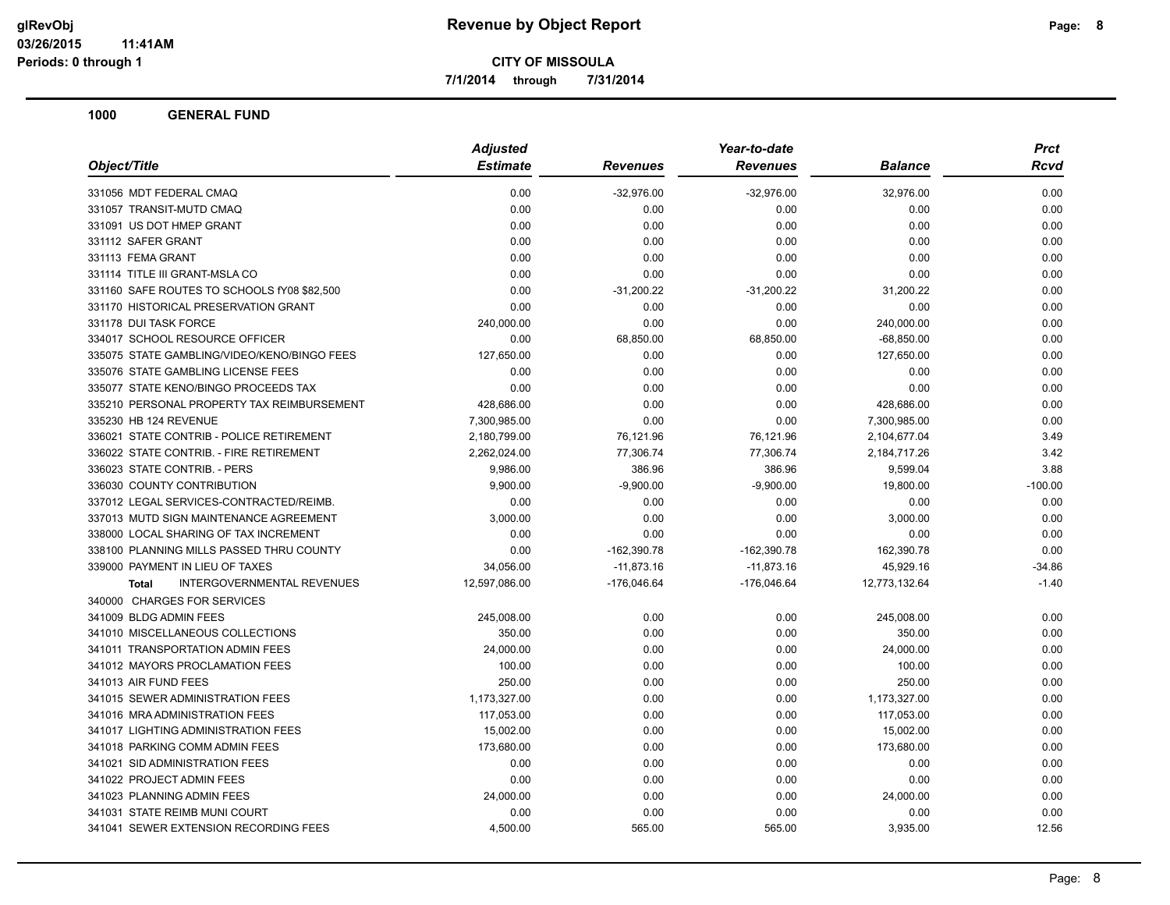**7/1/2014 through 7/31/2014**

|                                                   | <b>Adjusted</b> |                 | Year-to-date    |                | <b>Prct</b> |
|---------------------------------------------------|-----------------|-----------------|-----------------|----------------|-------------|
| Object/Title                                      | <b>Estimate</b> | <b>Revenues</b> | <b>Revenues</b> | <b>Balance</b> | Rcvd        |
| 331056 MDT FEDERAL CMAQ                           | 0.00            | $-32,976.00$    | $-32,976.00$    | 32,976.00      | 0.00        |
| 331057 TRANSIT-MUTD CMAQ                          | 0.00            | 0.00            | 0.00            | 0.00           | 0.00        |
| 331091 US DOT HMEP GRANT                          | 0.00            | 0.00            | 0.00            | 0.00           | 0.00        |
| 331112 SAFER GRANT                                | 0.00            | 0.00            | 0.00            | 0.00           | 0.00        |
| 331113 FEMA GRANT                                 | 0.00            | 0.00            | 0.00            | 0.00           | 0.00        |
| 331114 TITLE III GRANT-MSLA CO                    | 0.00            | 0.00            | 0.00            | 0.00           | 0.00        |
| 331160 SAFE ROUTES TO SCHOOLS fY08 \$82,500       | 0.00            | $-31,200.22$    | $-31,200.22$    | 31,200.22      | 0.00        |
| 331170 HISTORICAL PRESERVATION GRANT              | 0.00            | 0.00            | 0.00            | 0.00           | 0.00        |
| 331178 DUI TASK FORCE                             | 240,000.00      | 0.00            | 0.00            | 240,000.00     | 0.00        |
| 334017 SCHOOL RESOURCE OFFICER                    | 0.00            | 68,850.00       | 68,850.00       | $-68,850.00$   | 0.00        |
| 335075 STATE GAMBLING/VIDEO/KENO/BINGO FEES       | 127,650.00      | 0.00            | 0.00            | 127,650.00     | 0.00        |
| 335076 STATE GAMBLING LICENSE FEES                | 0.00            | 0.00            | 0.00            | 0.00           | 0.00        |
| 335077 STATE KENO/BINGO PROCEEDS TAX              | 0.00            | 0.00            | 0.00            | 0.00           | 0.00        |
| 335210 PERSONAL PROPERTY TAX REIMBURSEMENT        | 428,686.00      | 0.00            | 0.00            | 428,686.00     | 0.00        |
| 335230 HB 124 REVENUE                             | 7,300,985.00    | 0.00            | 0.00            | 7,300,985.00   | 0.00        |
| 336021 STATE CONTRIB - POLICE RETIREMENT          | 2,180,799.00    | 76,121.96       | 76,121.96       | 2,104,677.04   | 3.49        |
| 336022 STATE CONTRIB. - FIRE RETIREMENT           | 2,262,024.00    | 77,306.74       | 77,306.74       | 2,184,717.26   | 3.42        |
| 336023 STATE CONTRIB. - PERS                      | 9,986.00        | 386.96          | 386.96          | 9,599.04       | 3.88        |
| 336030 COUNTY CONTRIBUTION                        | 9,900.00        | $-9,900.00$     | $-9,900.00$     | 19,800.00      | $-100.00$   |
| 337012 LEGAL SERVICES-CONTRACTED/REIMB.           | 0.00            | 0.00            | 0.00            | 0.00           | 0.00        |
| 337013 MUTD SIGN MAINTENANCE AGREEMENT            | 3,000.00        | 0.00            | 0.00            | 3,000.00       | 0.00        |
| 338000 LOCAL SHARING OF TAX INCREMENT             | 0.00            | 0.00            | 0.00            | 0.00           | 0.00        |
| 338100 PLANNING MILLS PASSED THRU COUNTY          | 0.00            | $-162,390.78$   | $-162,390.78$   | 162,390.78     | 0.00        |
| 339000 PAYMENT IN LIEU OF TAXES                   | 34,056.00       | $-11,873.16$    | $-11,873.16$    | 45,929.16      | $-34.86$    |
| <b>INTERGOVERNMENTAL REVENUES</b><br><b>Total</b> | 12,597,086.00   | $-176,046.64$   | $-176,046.64$   | 12,773,132.64  | $-1.40$     |
| 340000 CHARGES FOR SERVICES                       |                 |                 |                 |                |             |
| 341009 BLDG ADMIN FEES                            | 245,008.00      | 0.00            | 0.00            | 245,008.00     | 0.00        |
| 341010 MISCELLANEOUS COLLECTIONS                  | 350.00          | 0.00            | 0.00            | 350.00         | 0.00        |
| 341011 TRANSPORTATION ADMIN FEES                  | 24,000.00       | 0.00            | 0.00            | 24,000.00      | 0.00        |
| 341012 MAYORS PROCLAMATION FEES                   | 100.00          | 0.00            | 0.00            | 100.00         | 0.00        |
| 341013 AIR FUND FEES                              | 250.00          | 0.00            | 0.00            | 250.00         | 0.00        |
| 341015 SEWER ADMINISTRATION FEES                  | 1,173,327.00    | 0.00            | 0.00            | 1,173,327.00   | 0.00        |
| 341016 MRA ADMINISTRATION FEES                    | 117,053.00      | 0.00            | 0.00            | 117,053.00     | 0.00        |
| 341017 LIGHTING ADMINISTRATION FEES               | 15,002.00       | 0.00            | 0.00            | 15,002.00      | 0.00        |
| 341018 PARKING COMM ADMIN FEES                    | 173,680.00      | 0.00            | 0.00            | 173,680.00     | 0.00        |
| 341021 SID ADMINISTRATION FEES                    | 0.00            | 0.00            | 0.00            | 0.00           | 0.00        |
| 341022 PROJECT ADMIN FEES                         | 0.00            | 0.00            | 0.00            | 0.00           | 0.00        |
| 341023 PLANNING ADMIN FEES                        | 24,000.00       | 0.00            | 0.00            | 24,000.00      | 0.00        |
| 341031 STATE REIMB MUNI COURT                     | 0.00            | 0.00            | 0.00            | 0.00           | 0.00        |
| 341041 SEWER EXTENSION RECORDING FEES             | 4,500.00        | 565.00          | 565.00          | 3,935.00       | 12.56       |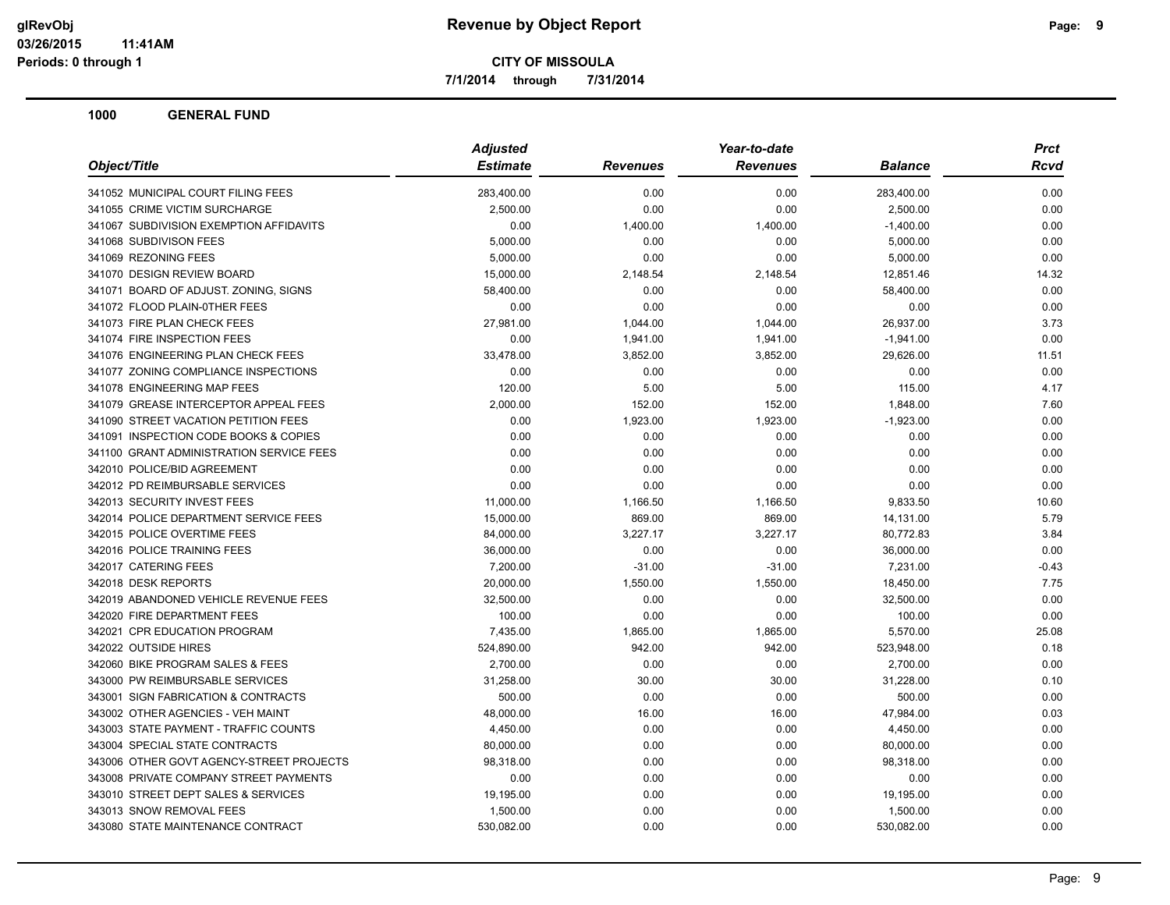**7/1/2014 through 7/31/2014**

| Object/Title                             | <b>Adjusted</b> |                 | Year-to-date    |                | <b>Prct</b> |
|------------------------------------------|-----------------|-----------------|-----------------|----------------|-------------|
|                                          | <b>Estimate</b> | <b>Revenues</b> | <b>Revenues</b> | <b>Balance</b> | Rcvd        |
| 341052 MUNICIPAL COURT FILING FEES       | 283,400.00      | 0.00            | 0.00            | 283,400.00     | 0.00        |
| 341055 CRIME VICTIM SURCHARGE            | 2,500.00        | 0.00            | 0.00            | 2,500.00       | 0.00        |
| 341067 SUBDIVISION EXEMPTION AFFIDAVITS  | 0.00            | 1,400.00        | 1,400.00        | $-1,400.00$    | 0.00        |
| 341068 SUBDIVISON FEES                   | 5,000.00        | 0.00            | 0.00            | 5,000.00       | 0.00        |
| 341069 REZONING FEES                     | 5,000.00        | 0.00            | 0.00            | 5,000.00       | 0.00        |
| 341070 DESIGN REVIEW BOARD               | 15,000.00       | 2,148.54        | 2,148.54        | 12,851.46      | 14.32       |
| 341071 BOARD OF ADJUST. ZONING, SIGNS    | 58,400.00       | 0.00            | 0.00            | 58,400.00      | 0.00        |
| 341072 FLOOD PLAIN-0THER FEES            | 0.00            | 0.00            | 0.00            | 0.00           | 0.00        |
| 341073 FIRE PLAN CHECK FEES              | 27,981.00       | 1,044.00        | 1,044.00        | 26,937.00      | 3.73        |
| 341074 FIRE INSPECTION FEES              | 0.00            | 1,941.00        | 1,941.00        | $-1,941.00$    | 0.00        |
| 341076 ENGINEERING PLAN CHECK FEES       | 33,478.00       | 3,852.00        | 3,852.00        | 29,626.00      | 11.51       |
| 341077 ZONING COMPLIANCE INSPECTIONS     | 0.00            | 0.00            | 0.00            | 0.00           | 0.00        |
| 341078 ENGINEERING MAP FEES              | 120.00          | 5.00            | 5.00            | 115.00         | 4.17        |
| 341079 GREASE INTERCEPTOR APPEAL FEES    | 2,000.00        | 152.00          | 152.00          | 1,848.00       | 7.60        |
| 341090 STREET VACATION PETITION FEES     | 0.00            | 1,923.00        | 1,923.00        | $-1,923.00$    | 0.00        |
| 341091 INSPECTION CODE BOOKS & COPIES    | 0.00            | 0.00            | 0.00            | 0.00           | 0.00        |
| 341100 GRANT ADMINISTRATION SERVICE FEES | 0.00            | 0.00            | 0.00            | 0.00           | 0.00        |
| 342010 POLICE/BID AGREEMENT              | 0.00            | 0.00            | 0.00            | 0.00           | 0.00        |
| 342012 PD REIMBURSABLE SERVICES          | 0.00            | 0.00            | 0.00            | 0.00           | 0.00        |
| 342013 SECURITY INVEST FEES              | 11,000.00       | 1,166.50        | 1,166.50        | 9,833.50       | 10.60       |
| 342014 POLICE DEPARTMENT SERVICE FEES    | 15,000.00       | 869.00          | 869.00          | 14,131.00      | 5.79        |
| 342015 POLICE OVERTIME FEES              | 84,000.00       | 3,227.17        | 3,227.17        | 80,772.83      | 3.84        |
| 342016 POLICE TRAINING FEES              | 36,000.00       | 0.00            | 0.00            | 36,000.00      | 0.00        |
| 342017 CATERING FEES                     | 7,200.00        | $-31.00$        | $-31.00$        | 7,231.00       | $-0.43$     |
| 342018 DESK REPORTS                      | 20,000.00       | 1,550.00        | 1,550.00        | 18,450.00      | 7.75        |
| 342019 ABANDONED VEHICLE REVENUE FEES    | 32,500.00       | 0.00            | 0.00            | 32,500.00      | 0.00        |
| 342020 FIRE DEPARTMENT FEES              | 100.00          | 0.00            | 0.00            | 100.00         | 0.00        |
| 342021 CPR EDUCATION PROGRAM             | 7,435.00        | 1,865.00        | 1,865.00        | 5,570.00       | 25.08       |
| 342022 OUTSIDE HIRES                     | 524,890.00      | 942.00          | 942.00          | 523,948.00     | 0.18        |
| 342060 BIKE PROGRAM SALES & FEES         | 2,700.00        | 0.00            | 0.00            | 2,700.00       | 0.00        |
| 343000 PW REIMBURSABLE SERVICES          | 31,258.00       | 30.00           | 30.00           | 31,228.00      | 0.10        |
| 343001 SIGN FABRICATION & CONTRACTS      | 500.00          | 0.00            | 0.00            | 500.00         | 0.00        |
| 343002 OTHER AGENCIES - VEH MAINT        | 48,000.00       | 16.00           | 16.00           | 47,984.00      | 0.03        |
| 343003 STATE PAYMENT - TRAFFIC COUNTS    | 4,450.00        | 0.00            | 0.00            | 4,450.00       | 0.00        |
| 343004 SPECIAL STATE CONTRACTS           | 80,000.00       | 0.00            | 0.00            | 80,000.00      | 0.00        |
| 343006 OTHER GOVT AGENCY-STREET PROJECTS | 98,318.00       | 0.00            | 0.00            | 98,318.00      | 0.00        |
| 343008 PRIVATE COMPANY STREET PAYMENTS   | 0.00            | 0.00            | 0.00            | 0.00           | 0.00        |
| 343010 STREET DEPT SALES & SERVICES      | 19,195.00       | 0.00            | 0.00            | 19,195.00      | 0.00        |
| 343013 SNOW REMOVAL FEES                 | 1,500.00        | 0.00            | 0.00            | 1,500.00       | 0.00        |
| 343080 STATE MAINTENANCE CONTRACT        | 530,082.00      | 0.00            | 0.00            | 530,082.00     | 0.00        |
|                                          |                 |                 |                 |                |             |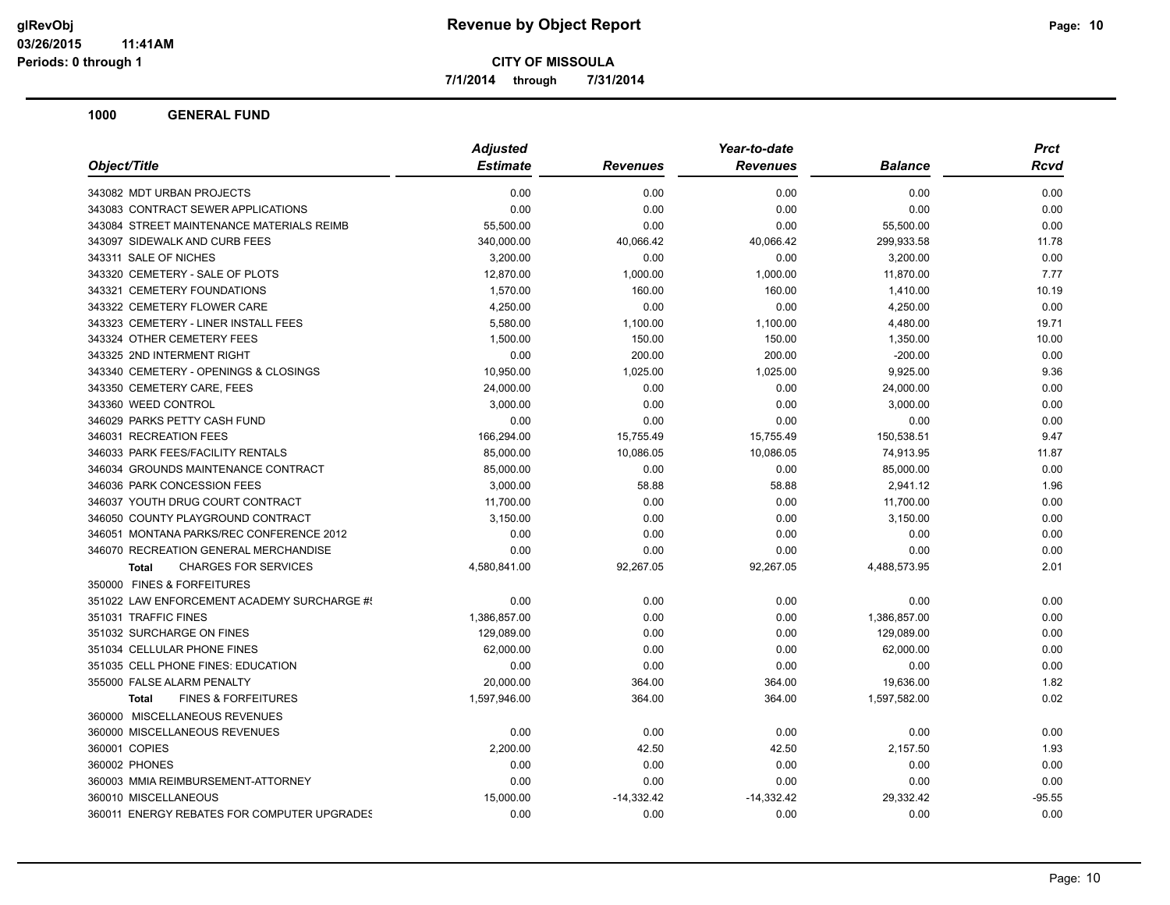**7/1/2014 through 7/31/2014**

|                                                | <b>Adjusted</b> | Year-to-date    |                 |                | Prct        |
|------------------------------------------------|-----------------|-----------------|-----------------|----------------|-------------|
| Object/Title                                   | <b>Estimate</b> | <b>Revenues</b> | <b>Revenues</b> | <b>Balance</b> | <b>Rcvd</b> |
| 343082 MDT URBAN PROJECTS                      | 0.00            | 0.00            | 0.00            | 0.00           | 0.00        |
| 343083 CONTRACT SEWER APPLICATIONS             | 0.00            | 0.00            | 0.00            | 0.00           | 0.00        |
| 343084 STREET MAINTENANCE MATERIALS REIMB      | 55,500.00       | 0.00            | 0.00            | 55,500.00      | 0.00        |
| 343097 SIDEWALK AND CURB FEES                  | 340,000.00      | 40,066.42       | 40,066.42       | 299,933.58     | 11.78       |
| 343311 SALE OF NICHES                          | 3,200.00        | 0.00            | 0.00            | 3,200.00       | 0.00        |
| 343320 CEMETERY - SALE OF PLOTS                | 12.870.00       | 1.000.00        | 1,000.00        | 11,870.00      | 7.77        |
| 343321 CEMETERY FOUNDATIONS                    | 1,570.00        | 160.00          | 160.00          | 1,410.00       | 10.19       |
| 343322 CEMETERY FLOWER CARE                    | 4,250.00        | 0.00            | 0.00            | 4,250.00       | 0.00        |
| 343323 CEMETERY - LINER INSTALL FEES           | 5,580.00        | 1,100.00        | 1,100.00        | 4,480.00       | 19.71       |
| 343324 OTHER CEMETERY FEES                     | 1,500.00        | 150.00          | 150.00          | 1,350.00       | 10.00       |
| 343325 2ND INTERMENT RIGHT                     | 0.00            | 200.00          | 200.00          | $-200.00$      | 0.00        |
| 343340 CEMETERY - OPENINGS & CLOSINGS          | 10,950.00       | 1,025.00        | 1,025.00        | 9,925.00       | 9.36        |
| 343350 CEMETERY CARE, FEES                     | 24,000.00       | 0.00            | 0.00            | 24,000.00      | 0.00        |
| 343360 WEED CONTROL                            | 3,000.00        | 0.00            | 0.00            | 3,000.00       | 0.00        |
| 346029 PARKS PETTY CASH FUND                   | 0.00            | 0.00            | 0.00            | 0.00           | 0.00        |
| 346031 RECREATION FEES                         | 166,294.00      | 15,755.49       | 15,755.49       | 150,538.51     | 9.47        |
| 346033 PARK FEES/FACILITY RENTALS              | 85,000.00       | 10,086.05       | 10,086.05       | 74,913.95      | 11.87       |
| 346034 GROUNDS MAINTENANCE CONTRACT            | 85,000.00       | 0.00            | 0.00            | 85,000.00      | 0.00        |
| 346036 PARK CONCESSION FEES                    | 3,000.00        | 58.88           | 58.88           | 2,941.12       | 1.96        |
| 346037 YOUTH DRUG COURT CONTRACT               | 11,700.00       | 0.00            | 0.00            | 11,700.00      | 0.00        |
| 346050 COUNTY PLAYGROUND CONTRACT              | 3,150.00        | 0.00            | 0.00            | 3,150.00       | 0.00        |
| 346051 MONTANA PARKS/REC CONFERENCE 2012       | 0.00            | 0.00            | 0.00            | 0.00           | 0.00        |
| 346070 RECREATION GENERAL MERCHANDISE          | 0.00            | 0.00            | 0.00            | 0.00           | 0.00        |
| <b>CHARGES FOR SERVICES</b><br><b>Total</b>    | 4,580,841.00    | 92,267.05       | 92,267.05       | 4,488,573.95   | 2.01        |
| 350000 FINES & FORFEITURES                     |                 |                 |                 |                |             |
| 351022 LAW ENFORCEMENT ACADEMY SURCHARGE #!    | 0.00            | 0.00            | 0.00            | 0.00           | 0.00        |
| 351031 TRAFFIC FINES                           | 1,386,857.00    | 0.00            | 0.00            | 1,386,857.00   | 0.00        |
| 351032 SURCHARGE ON FINES                      | 129,089.00      | 0.00            | 0.00            | 129,089.00     | 0.00        |
| 351034 CELLULAR PHONE FINES                    | 62,000.00       | 0.00            | 0.00            | 62,000.00      | 0.00        |
| 351035 CELL PHONE FINES: EDUCATION             | 0.00            | 0.00            | 0.00            | 0.00           | 0.00        |
| 355000 FALSE ALARM PENALTY                     | 20,000.00       | 364.00          | 364.00          | 19,636.00      | 1.82        |
| <b>FINES &amp; FORFEITURES</b><br><b>Total</b> | 1,597,946.00    | 364.00          | 364.00          | 1,597,582.00   | 0.02        |
| 360000 MISCELLANEOUS REVENUES                  |                 |                 |                 |                |             |
| 360000 MISCELLANEOUS REVENUES                  | 0.00            | 0.00            | 0.00            | 0.00           | 0.00        |
| 360001 COPIES                                  | 2,200.00        | 42.50           | 42.50           | 2,157.50       | 1.93        |
| 360002 PHONES                                  | 0.00            | 0.00            | 0.00            | 0.00           | 0.00        |
| 360003 MMIA REIMBURSEMENT-ATTORNEY             | 0.00            | 0.00            | 0.00            | 0.00           | 0.00        |
| 360010 MISCELLANEOUS                           | 15,000.00       | $-14,332.42$    | $-14,332.42$    | 29,332.42      | $-95.55$    |
| 360011 ENERGY REBATES FOR COMPUTER UPGRADES    | 0.00            | 0.00            | 0.00            | 0.00           | 0.00        |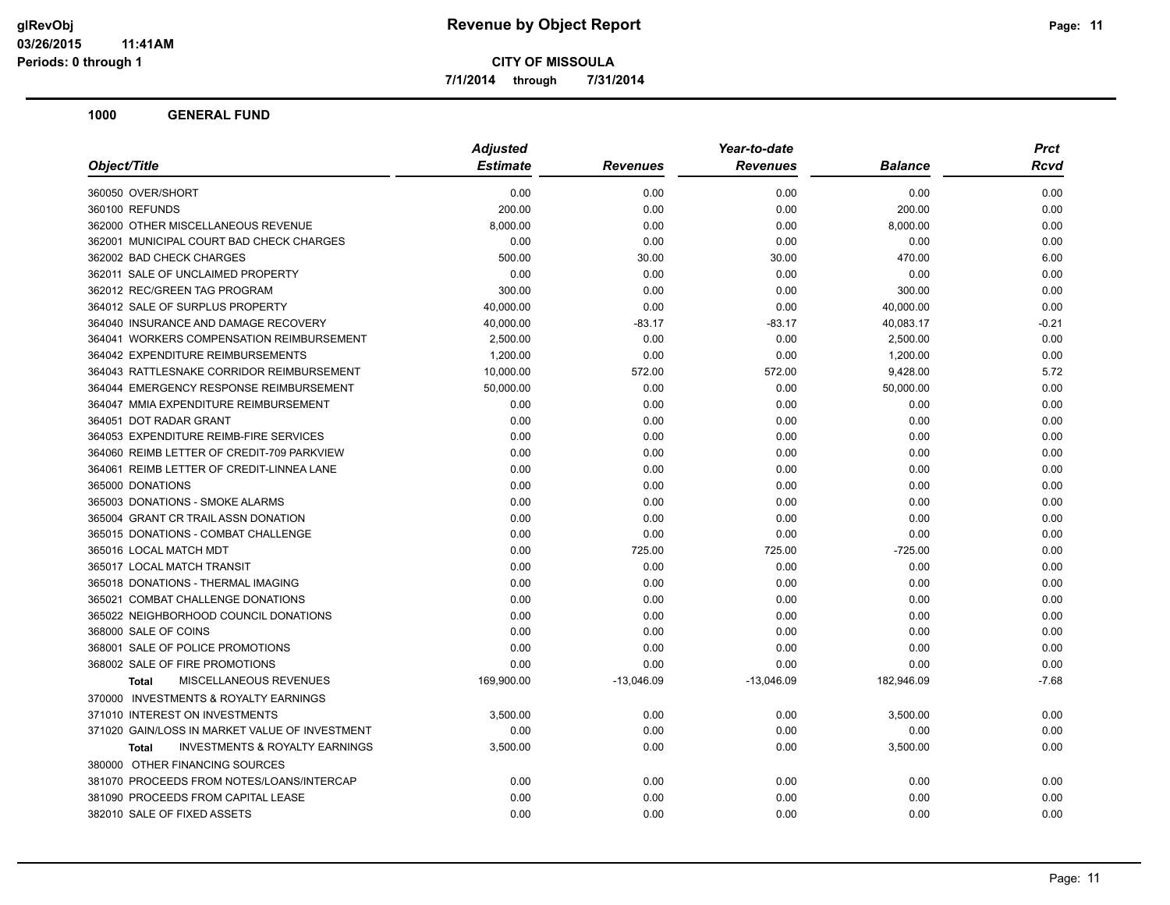**7/1/2014 through 7/31/2014**

| <b>Estimate</b><br>Object/Title<br><b>Revenues</b><br><b>Revenues</b><br><b>Balance</b><br>360050 OVER/SHORT<br>0.00<br>0.00<br>0.00<br>0.00<br>360100 REFUNDS<br>200.00<br>0.00<br>0.00<br>200.00<br>362000 OTHER MISCELLANEOUS REVENUE<br>8,000.00<br>0.00<br>0.00<br>8,000.00<br>362001 MUNICIPAL COURT BAD CHECK CHARGES<br>0.00<br>0.00<br>0.00<br>0.00<br>362002 BAD CHECK CHARGES<br>500.00<br>30.00<br>30.00<br>470.00<br>362011 SALE OF UNCLAIMED PROPERTY<br>0.00<br>0.00<br>0.00<br>0.00<br>362012 REC/GREEN TAG PROGRAM<br>300.00<br>0.00<br>0.00<br>300.00<br>364012 SALE OF SURPLUS PROPERTY<br>40,000.00<br>0.00<br>0.00<br>40,000.00<br>364040 INSURANCE AND DAMAGE RECOVERY<br>40,000.00<br>$-83.17$<br>$-83.17$<br>40,083.17<br>364041 WORKERS COMPENSATION REIMBURSEMENT<br>2,500.00<br>0.00<br>0.00<br>2,500.00<br>364042 EXPENDITURE REIMBURSEMENTS<br>0.00<br>0.00<br>1,200.00<br>1,200.00<br>364043 RATTLESNAKE CORRIDOR REIMBURSEMENT<br>10,000.00<br>572.00<br>572.00<br>9,428.00<br>364044 EMERGENCY RESPONSE REIMBURSEMENT<br>50,000.00<br>0.00<br>0.00<br>50,000.00<br>364047 MMIA EXPENDITURE REIMBURSEMENT<br>0.00<br>0.00<br>0.00<br>0.00<br>364051 DOT RADAR GRANT<br>0.00<br>0.00<br>0.00<br>0.00<br>364053 EXPENDITURE REIMB-FIRE SERVICES<br>0.00<br>0.00<br>0.00<br>0.00<br>364060 REIMB LETTER OF CREDIT-709 PARKVIEW<br>0.00<br>0.00<br>0.00<br>0.00<br>364061 REIMB LETTER OF CREDIT-LINNEA LANE<br>0.00<br>0.00<br>0.00<br>0.00<br>365000 DONATIONS<br>0.00<br>0.00<br>0.00<br>0.00<br>365003 DONATIONS - SMOKE ALARMS<br>0.00<br>0.00<br>0.00<br>0.00 |                                     | <b>Adjusted</b> | Year-to-date |  | <b>Prct</b> |
|------------------------------------------------------------------------------------------------------------------------------------------------------------------------------------------------------------------------------------------------------------------------------------------------------------------------------------------------------------------------------------------------------------------------------------------------------------------------------------------------------------------------------------------------------------------------------------------------------------------------------------------------------------------------------------------------------------------------------------------------------------------------------------------------------------------------------------------------------------------------------------------------------------------------------------------------------------------------------------------------------------------------------------------------------------------------------------------------------------------------------------------------------------------------------------------------------------------------------------------------------------------------------------------------------------------------------------------------------------------------------------------------------------------------------------------------------------------------------------------------------------------------------------------------------------------------------------------------|-------------------------------------|-----------------|--------------|--|-------------|
|                                                                                                                                                                                                                                                                                                                                                                                                                                                                                                                                                                                                                                                                                                                                                                                                                                                                                                                                                                                                                                                                                                                                                                                                                                                                                                                                                                                                                                                                                                                                                                                                |                                     |                 |              |  | Rcvd        |
|                                                                                                                                                                                                                                                                                                                                                                                                                                                                                                                                                                                                                                                                                                                                                                                                                                                                                                                                                                                                                                                                                                                                                                                                                                                                                                                                                                                                                                                                                                                                                                                                |                                     |                 |              |  | 0.00        |
|                                                                                                                                                                                                                                                                                                                                                                                                                                                                                                                                                                                                                                                                                                                                                                                                                                                                                                                                                                                                                                                                                                                                                                                                                                                                                                                                                                                                                                                                                                                                                                                                |                                     |                 |              |  | 0.00        |
|                                                                                                                                                                                                                                                                                                                                                                                                                                                                                                                                                                                                                                                                                                                                                                                                                                                                                                                                                                                                                                                                                                                                                                                                                                                                                                                                                                                                                                                                                                                                                                                                |                                     |                 |              |  | 0.00        |
|                                                                                                                                                                                                                                                                                                                                                                                                                                                                                                                                                                                                                                                                                                                                                                                                                                                                                                                                                                                                                                                                                                                                                                                                                                                                                                                                                                                                                                                                                                                                                                                                |                                     |                 |              |  | 0.00        |
|                                                                                                                                                                                                                                                                                                                                                                                                                                                                                                                                                                                                                                                                                                                                                                                                                                                                                                                                                                                                                                                                                                                                                                                                                                                                                                                                                                                                                                                                                                                                                                                                |                                     |                 |              |  | 6.00        |
|                                                                                                                                                                                                                                                                                                                                                                                                                                                                                                                                                                                                                                                                                                                                                                                                                                                                                                                                                                                                                                                                                                                                                                                                                                                                                                                                                                                                                                                                                                                                                                                                |                                     |                 |              |  | 0.00        |
|                                                                                                                                                                                                                                                                                                                                                                                                                                                                                                                                                                                                                                                                                                                                                                                                                                                                                                                                                                                                                                                                                                                                                                                                                                                                                                                                                                                                                                                                                                                                                                                                |                                     |                 |              |  | 0.00        |
|                                                                                                                                                                                                                                                                                                                                                                                                                                                                                                                                                                                                                                                                                                                                                                                                                                                                                                                                                                                                                                                                                                                                                                                                                                                                                                                                                                                                                                                                                                                                                                                                |                                     |                 |              |  | 0.00        |
|                                                                                                                                                                                                                                                                                                                                                                                                                                                                                                                                                                                                                                                                                                                                                                                                                                                                                                                                                                                                                                                                                                                                                                                                                                                                                                                                                                                                                                                                                                                                                                                                |                                     |                 |              |  | $-0.21$     |
|                                                                                                                                                                                                                                                                                                                                                                                                                                                                                                                                                                                                                                                                                                                                                                                                                                                                                                                                                                                                                                                                                                                                                                                                                                                                                                                                                                                                                                                                                                                                                                                                |                                     |                 |              |  | 0.00        |
|                                                                                                                                                                                                                                                                                                                                                                                                                                                                                                                                                                                                                                                                                                                                                                                                                                                                                                                                                                                                                                                                                                                                                                                                                                                                                                                                                                                                                                                                                                                                                                                                |                                     |                 |              |  | 0.00        |
|                                                                                                                                                                                                                                                                                                                                                                                                                                                                                                                                                                                                                                                                                                                                                                                                                                                                                                                                                                                                                                                                                                                                                                                                                                                                                                                                                                                                                                                                                                                                                                                                |                                     |                 |              |  | 5.72        |
|                                                                                                                                                                                                                                                                                                                                                                                                                                                                                                                                                                                                                                                                                                                                                                                                                                                                                                                                                                                                                                                                                                                                                                                                                                                                                                                                                                                                                                                                                                                                                                                                |                                     |                 |              |  | 0.00        |
|                                                                                                                                                                                                                                                                                                                                                                                                                                                                                                                                                                                                                                                                                                                                                                                                                                                                                                                                                                                                                                                                                                                                                                                                                                                                                                                                                                                                                                                                                                                                                                                                |                                     |                 |              |  | 0.00        |
|                                                                                                                                                                                                                                                                                                                                                                                                                                                                                                                                                                                                                                                                                                                                                                                                                                                                                                                                                                                                                                                                                                                                                                                                                                                                                                                                                                                                                                                                                                                                                                                                |                                     |                 |              |  | 0.00        |
|                                                                                                                                                                                                                                                                                                                                                                                                                                                                                                                                                                                                                                                                                                                                                                                                                                                                                                                                                                                                                                                                                                                                                                                                                                                                                                                                                                                                                                                                                                                                                                                                |                                     |                 |              |  | 0.00        |
|                                                                                                                                                                                                                                                                                                                                                                                                                                                                                                                                                                                                                                                                                                                                                                                                                                                                                                                                                                                                                                                                                                                                                                                                                                                                                                                                                                                                                                                                                                                                                                                                |                                     |                 |              |  | 0.00        |
|                                                                                                                                                                                                                                                                                                                                                                                                                                                                                                                                                                                                                                                                                                                                                                                                                                                                                                                                                                                                                                                                                                                                                                                                                                                                                                                                                                                                                                                                                                                                                                                                |                                     |                 |              |  | 0.00        |
|                                                                                                                                                                                                                                                                                                                                                                                                                                                                                                                                                                                                                                                                                                                                                                                                                                                                                                                                                                                                                                                                                                                                                                                                                                                                                                                                                                                                                                                                                                                                                                                                |                                     |                 |              |  | 0.00        |
|                                                                                                                                                                                                                                                                                                                                                                                                                                                                                                                                                                                                                                                                                                                                                                                                                                                                                                                                                                                                                                                                                                                                                                                                                                                                                                                                                                                                                                                                                                                                                                                                |                                     |                 |              |  | 0.00        |
| 0.00<br>0.00<br>0.00                                                                                                                                                                                                                                                                                                                                                                                                                                                                                                                                                                                                                                                                                                                                                                                                                                                                                                                                                                                                                                                                                                                                                                                                                                                                                                                                                                                                                                                                                                                                                                           | 365004 GRANT CR TRAIL ASSN DONATION |                 | 0.00         |  | 0.00        |
| 365015 DONATIONS - COMBAT CHALLENGE<br>0.00<br>0.00<br>0.00<br>0.00                                                                                                                                                                                                                                                                                                                                                                                                                                                                                                                                                                                                                                                                                                                                                                                                                                                                                                                                                                                                                                                                                                                                                                                                                                                                                                                                                                                                                                                                                                                            |                                     |                 |              |  | 0.00        |
| 365016 LOCAL MATCH MDT<br>0.00<br>725.00<br>725.00<br>$-725.00$                                                                                                                                                                                                                                                                                                                                                                                                                                                                                                                                                                                                                                                                                                                                                                                                                                                                                                                                                                                                                                                                                                                                                                                                                                                                                                                                                                                                                                                                                                                                |                                     |                 |              |  | 0.00        |
| 365017 LOCAL MATCH TRANSIT<br>0.00<br>0.00<br>0.00<br>0.00                                                                                                                                                                                                                                                                                                                                                                                                                                                                                                                                                                                                                                                                                                                                                                                                                                                                                                                                                                                                                                                                                                                                                                                                                                                                                                                                                                                                                                                                                                                                     |                                     |                 |              |  | 0.00        |
| 365018 DONATIONS - THERMAL IMAGING<br>0.00<br>0.00<br>0.00<br>0.00                                                                                                                                                                                                                                                                                                                                                                                                                                                                                                                                                                                                                                                                                                                                                                                                                                                                                                                                                                                                                                                                                                                                                                                                                                                                                                                                                                                                                                                                                                                             |                                     |                 |              |  | 0.00        |
| 365021 COMBAT CHALLENGE DONATIONS<br>0.00<br>0.00<br>0.00<br>0.00                                                                                                                                                                                                                                                                                                                                                                                                                                                                                                                                                                                                                                                                                                                                                                                                                                                                                                                                                                                                                                                                                                                                                                                                                                                                                                                                                                                                                                                                                                                              |                                     |                 |              |  | 0.00        |
| 365022 NEIGHBORHOOD COUNCIL DONATIONS<br>0.00<br>0.00<br>0.00<br>0.00                                                                                                                                                                                                                                                                                                                                                                                                                                                                                                                                                                                                                                                                                                                                                                                                                                                                                                                                                                                                                                                                                                                                                                                                                                                                                                                                                                                                                                                                                                                          |                                     |                 |              |  | 0.00        |
| 368000 SALE OF COINS<br>0.00<br>0.00<br>0.00<br>0.00                                                                                                                                                                                                                                                                                                                                                                                                                                                                                                                                                                                                                                                                                                                                                                                                                                                                                                                                                                                                                                                                                                                                                                                                                                                                                                                                                                                                                                                                                                                                           |                                     |                 |              |  | 0.00        |
| 368001 SALE OF POLICE PROMOTIONS<br>0.00<br>0.00<br>0.00<br>0.00                                                                                                                                                                                                                                                                                                                                                                                                                                                                                                                                                                                                                                                                                                                                                                                                                                                                                                                                                                                                                                                                                                                                                                                                                                                                                                                                                                                                                                                                                                                               |                                     |                 |              |  | 0.00        |
| 368002 SALE OF FIRE PROMOTIONS<br>0.00<br>0.00<br>0.00<br>0.00                                                                                                                                                                                                                                                                                                                                                                                                                                                                                                                                                                                                                                                                                                                                                                                                                                                                                                                                                                                                                                                                                                                                                                                                                                                                                                                                                                                                                                                                                                                                 |                                     |                 |              |  | 0.00        |
| MISCELLANEOUS REVENUES<br>169,900.00<br>$-13,046.09$<br>$-13,046.09$<br>182,946.09<br><b>Total</b>                                                                                                                                                                                                                                                                                                                                                                                                                                                                                                                                                                                                                                                                                                                                                                                                                                                                                                                                                                                                                                                                                                                                                                                                                                                                                                                                                                                                                                                                                             |                                     |                 |              |  | $-7.68$     |
| 370000 INVESTMENTS & ROYALTY EARNINGS                                                                                                                                                                                                                                                                                                                                                                                                                                                                                                                                                                                                                                                                                                                                                                                                                                                                                                                                                                                                                                                                                                                                                                                                                                                                                                                                                                                                                                                                                                                                                          |                                     |                 |              |  |             |
| 371010 INTEREST ON INVESTMENTS<br>3,500.00<br>0.00<br>0.00<br>3,500.00                                                                                                                                                                                                                                                                                                                                                                                                                                                                                                                                                                                                                                                                                                                                                                                                                                                                                                                                                                                                                                                                                                                                                                                                                                                                                                                                                                                                                                                                                                                         |                                     |                 |              |  | 0.00        |
| 371020 GAIN/LOSS IN MARKET VALUE OF INVESTMENT<br>0.00<br>0.00<br>0.00<br>0.00                                                                                                                                                                                                                                                                                                                                                                                                                                                                                                                                                                                                                                                                                                                                                                                                                                                                                                                                                                                                                                                                                                                                                                                                                                                                                                                                                                                                                                                                                                                 |                                     |                 |              |  | 0.00        |
| <b>INVESTMENTS &amp; ROYALTY EARNINGS</b><br>3,500.00<br>0.00<br>0.00<br>3,500.00<br><b>Total</b>                                                                                                                                                                                                                                                                                                                                                                                                                                                                                                                                                                                                                                                                                                                                                                                                                                                                                                                                                                                                                                                                                                                                                                                                                                                                                                                                                                                                                                                                                              |                                     |                 |              |  | 0.00        |
| 380000 OTHER FINANCING SOURCES                                                                                                                                                                                                                                                                                                                                                                                                                                                                                                                                                                                                                                                                                                                                                                                                                                                                                                                                                                                                                                                                                                                                                                                                                                                                                                                                                                                                                                                                                                                                                                 |                                     |                 |              |  |             |
| 381070 PROCEEDS FROM NOTES/LOANS/INTERCAP<br>0.00<br>0.00<br>0.00<br>0.00                                                                                                                                                                                                                                                                                                                                                                                                                                                                                                                                                                                                                                                                                                                                                                                                                                                                                                                                                                                                                                                                                                                                                                                                                                                                                                                                                                                                                                                                                                                      |                                     |                 |              |  | 0.00        |
| 381090 PROCEEDS FROM CAPITAL LEASE<br>0.00<br>0.00<br>0.00<br>0.00                                                                                                                                                                                                                                                                                                                                                                                                                                                                                                                                                                                                                                                                                                                                                                                                                                                                                                                                                                                                                                                                                                                                                                                                                                                                                                                                                                                                                                                                                                                             |                                     |                 |              |  | 0.00        |
| 382010 SALE OF FIXED ASSETS<br>0.00<br>0.00<br>0.00<br>0.00                                                                                                                                                                                                                                                                                                                                                                                                                                                                                                                                                                                                                                                                                                                                                                                                                                                                                                                                                                                                                                                                                                                                                                                                                                                                                                                                                                                                                                                                                                                                    |                                     |                 |              |  | 0.00        |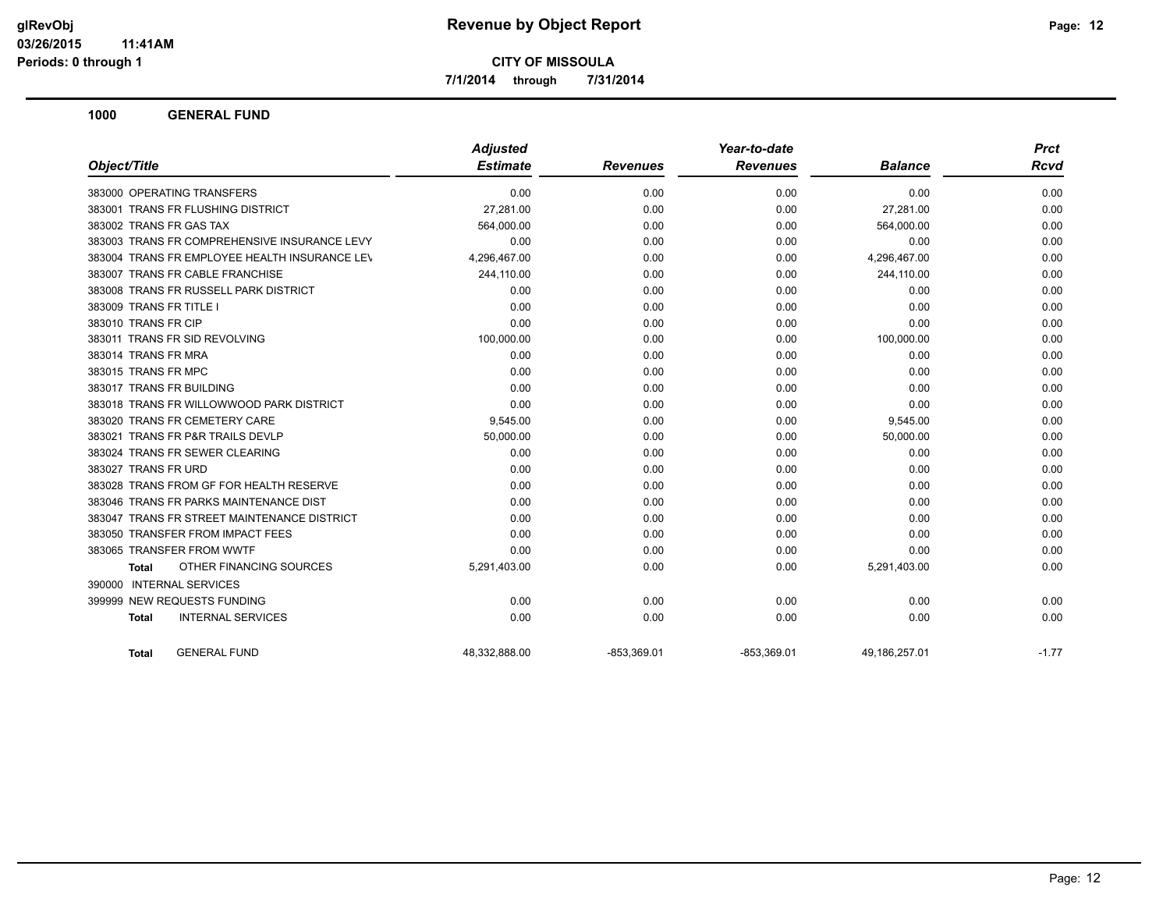**7/1/2014 through 7/31/2014**

|                                               | <b>Adjusted</b> |                 | Year-to-date    |                | <b>Prct</b> |
|-----------------------------------------------|-----------------|-----------------|-----------------|----------------|-------------|
| Object/Title                                  | <b>Estimate</b> | <b>Revenues</b> | <b>Revenues</b> | <b>Balance</b> | <b>Rcvd</b> |
| 383000 OPERATING TRANSFERS                    | 0.00            | 0.00            | 0.00            | 0.00           | 0.00        |
| 383001 TRANS FR FLUSHING DISTRICT             | 27,281.00       | 0.00            | 0.00            | 27,281.00      | 0.00        |
| 383002 TRANS FR GAS TAX                       | 564,000.00      | 0.00            | 0.00            | 564,000.00     | 0.00        |
| 383003 TRANS FR COMPREHENSIVE INSURANCE LEVY  | 0.00            | 0.00            | 0.00            | 0.00           | 0.00        |
| 383004 TRANS FR EMPLOYEE HEALTH INSURANCE LEV | 4,296,467.00    | 0.00            | 0.00            | 4,296,467.00   | 0.00        |
| 383007 TRANS FR CABLE FRANCHISE               | 244,110.00      | 0.00            | 0.00            | 244,110.00     | 0.00        |
| 383008 TRANS FR RUSSELL PARK DISTRICT         | 0.00            | 0.00            | 0.00            | 0.00           | 0.00        |
| 383009 TRANS FR TITLE I                       | 0.00            | 0.00            | 0.00            | 0.00           | 0.00        |
| 383010 TRANS FR CIP                           | 0.00            | 0.00            | 0.00            | 0.00           | 0.00        |
| 383011 TRANS FR SID REVOLVING                 | 100,000.00      | 0.00            | 0.00            | 100,000.00     | 0.00        |
| 383014 TRANS FR MRA                           | 0.00            | 0.00            | 0.00            | 0.00           | 0.00        |
| 383015 TRANS FR MPC                           | 0.00            | 0.00            | 0.00            | 0.00           | 0.00        |
| 383017 TRANS FR BUILDING                      | 0.00            | 0.00            | 0.00            | 0.00           | 0.00        |
| 383018 TRANS FR WILLOWWOOD PARK DISTRICT      | 0.00            | 0.00            | 0.00            | 0.00           | 0.00        |
| 383020 TRANS FR CEMETERY CARE                 | 9,545.00        | 0.00            | 0.00            | 9,545.00       | 0.00        |
| 383021 TRANS FR P&R TRAILS DEVLP              | 50,000.00       | 0.00            | 0.00            | 50,000.00      | 0.00        |
| 383024 TRANS FR SEWER CLEARING                | 0.00            | 0.00            | 0.00            | 0.00           | 0.00        |
| 383027 TRANS FR URD                           | 0.00            | 0.00            | 0.00            | 0.00           | 0.00        |
| 383028 TRANS FROM GF FOR HEALTH RESERVE       | 0.00            | 0.00            | 0.00            | 0.00           | 0.00        |
| 383046 TRANS FR PARKS MAINTENANCE DIST        | 0.00            | 0.00            | 0.00            | 0.00           | 0.00        |
| 383047 TRANS FR STREET MAINTENANCE DISTRICT   | 0.00            | 0.00            | 0.00            | 0.00           | 0.00        |
| 383050 TRANSFER FROM IMPACT FEES              | 0.00            | 0.00            | 0.00            | 0.00           | 0.00        |
| 383065 TRANSFER FROM WWTF                     | 0.00            | 0.00            | 0.00            | 0.00           | 0.00        |
| OTHER FINANCING SOURCES<br>Total              | 5,291,403.00    | 0.00            | 0.00            | 5,291,403.00   | 0.00        |
| 390000 INTERNAL SERVICES                      |                 |                 |                 |                |             |
| 399999 NEW REQUESTS FUNDING                   | 0.00            | 0.00            | 0.00            | 0.00           | 0.00        |
| <b>INTERNAL SERVICES</b><br><b>Total</b>      | 0.00            | 0.00            | 0.00            | 0.00           | 0.00        |
| <b>GENERAL FUND</b><br><b>Total</b>           | 48,332,888.00   | $-853,369.01$   | $-853,369.01$   | 49,186,257.01  | $-1.77$     |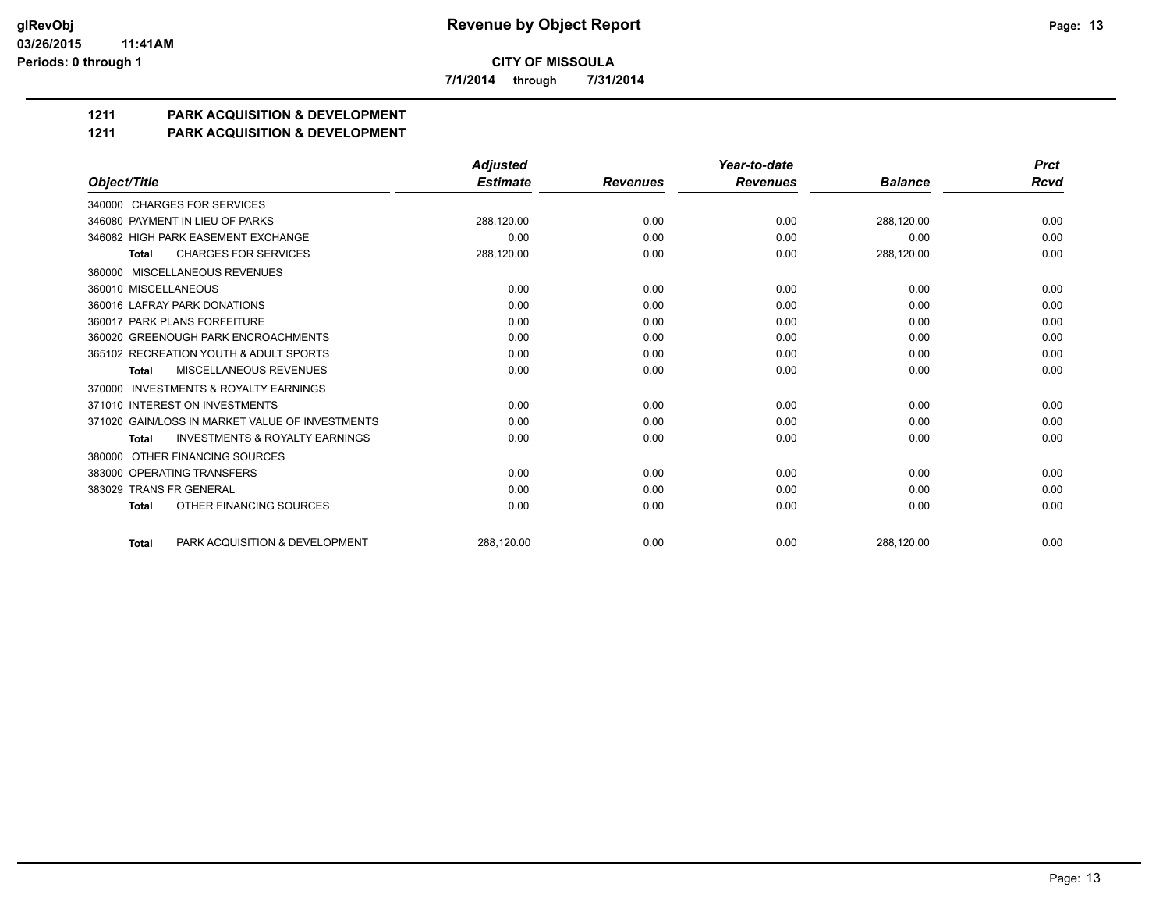**7/1/2014 through 7/31/2014**

## **1211 PARK ACQUISITION & DEVELOPMENT**

#### **1211 PARK ACQUISITION & DEVELOPMENT**

|                                                           | <b>Adjusted</b> |                 | Year-to-date    |                | <b>Prct</b> |
|-----------------------------------------------------------|-----------------|-----------------|-----------------|----------------|-------------|
| Object/Title                                              | <b>Estimate</b> | <b>Revenues</b> | <b>Revenues</b> | <b>Balance</b> | <b>Rcvd</b> |
| 340000 CHARGES FOR SERVICES                               |                 |                 |                 |                |             |
| 346080 PAYMENT IN LIEU OF PARKS                           | 288,120.00      | 0.00            | 0.00            | 288,120.00     | 0.00        |
| 346082 HIGH PARK EASEMENT EXCHANGE                        | 0.00            | 0.00            | 0.00            | 0.00           | 0.00        |
| <b>CHARGES FOR SERVICES</b><br><b>Total</b>               | 288,120.00      | 0.00            | 0.00            | 288,120.00     | 0.00        |
| MISCELLANEOUS REVENUES<br>360000                          |                 |                 |                 |                |             |
| 360010 MISCELLANEOUS                                      | 0.00            | 0.00            | 0.00            | 0.00           | 0.00        |
| 360016 LAFRAY PARK DONATIONS                              | 0.00            | 0.00            | 0.00            | 0.00           | 0.00        |
| 360017 PARK PLANS FORFEITURE                              | 0.00            | 0.00            | 0.00            | 0.00           | 0.00        |
| 360020 GREENOUGH PARK ENCROACHMENTS                       | 0.00            | 0.00            | 0.00            | 0.00           | 0.00        |
| 365102 RECREATION YOUTH & ADULT SPORTS                    | 0.00            | 0.00            | 0.00            | 0.00           | 0.00        |
| MISCELLANEOUS REVENUES<br><b>Total</b>                    | 0.00            | 0.00            | 0.00            | 0.00           | 0.00        |
| <b>INVESTMENTS &amp; ROYALTY EARNINGS</b><br>370000       |                 |                 |                 |                |             |
| 371010 INTEREST ON INVESTMENTS                            | 0.00            | 0.00            | 0.00            | 0.00           | 0.00        |
| 371020 GAIN/LOSS IN MARKET VALUE OF INVESTMENTS           | 0.00            | 0.00            | 0.00            | 0.00           | 0.00        |
| <b>INVESTMENTS &amp; ROYALTY EARNINGS</b><br><b>Total</b> | 0.00            | 0.00            | 0.00            | 0.00           | 0.00        |
| OTHER FINANCING SOURCES<br>380000                         |                 |                 |                 |                |             |
| 383000 OPERATING TRANSFERS                                | 0.00            | 0.00            | 0.00            | 0.00           | 0.00        |
| 383029 TRANS FR GENERAL                                   | 0.00            | 0.00            | 0.00            | 0.00           | 0.00        |
| OTHER FINANCING SOURCES<br><b>Total</b>                   | 0.00            | 0.00            | 0.00            | 0.00           | 0.00        |
| PARK ACQUISITION & DEVELOPMENT<br><b>Total</b>            | 288.120.00      | 0.00            | 0.00            | 288.120.00     | 0.00        |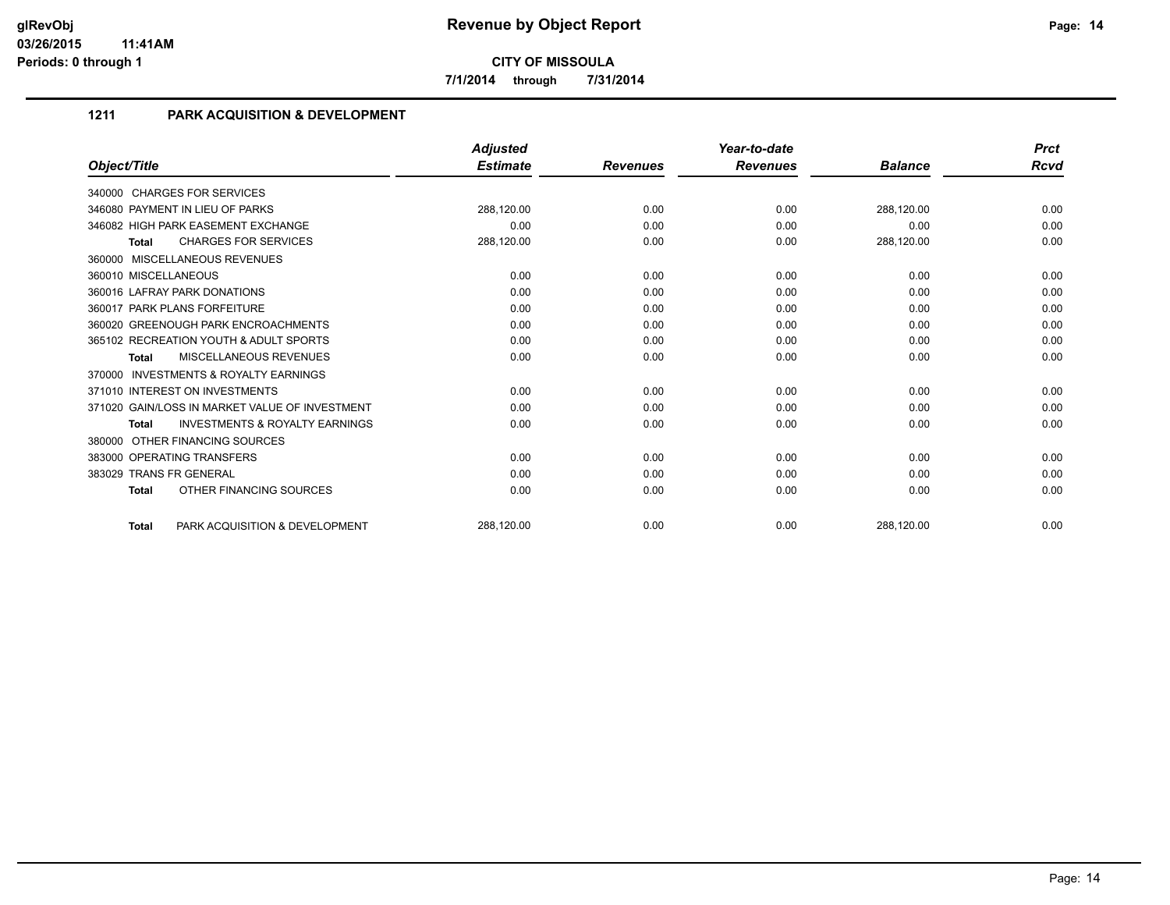**7/1/2014 through 7/31/2014**

## **1211 PARK ACQUISITION & DEVELOPMENT**

|                                                           | <b>Adjusted</b> |                 | Year-to-date    |                | <b>Prct</b> |
|-----------------------------------------------------------|-----------------|-----------------|-----------------|----------------|-------------|
| Object/Title                                              | <b>Estimate</b> | <b>Revenues</b> | <b>Revenues</b> | <b>Balance</b> | Rcvd        |
| 340000 CHARGES FOR SERVICES                               |                 |                 |                 |                |             |
| 346080 PAYMENT IN LIEU OF PARKS                           | 288,120.00      | 0.00            | 0.00            | 288,120.00     | 0.00        |
| 346082 HIGH PARK EASEMENT EXCHANGE                        | 0.00            | 0.00            | 0.00            | 0.00           | 0.00        |
| <b>CHARGES FOR SERVICES</b><br><b>Total</b>               | 288,120.00      | 0.00            | 0.00            | 288,120.00     | 0.00        |
| 360000 MISCELLANEOUS REVENUES                             |                 |                 |                 |                |             |
| 360010 MISCELLANEOUS                                      | 0.00            | 0.00            | 0.00            | 0.00           | 0.00        |
| 360016 LAFRAY PARK DONATIONS                              | 0.00            | 0.00            | 0.00            | 0.00           | 0.00        |
| 360017 PARK PLANS FORFEITURE                              | 0.00            | 0.00            | 0.00            | 0.00           | 0.00        |
| 360020 GREENOUGH PARK ENCROACHMENTS                       | 0.00            | 0.00            | 0.00            | 0.00           | 0.00        |
| 365102 RECREATION YOUTH & ADULT SPORTS                    | 0.00            | 0.00            | 0.00            | 0.00           | 0.00        |
| <b>MISCELLANEOUS REVENUES</b><br><b>Total</b>             | 0.00            | 0.00            | 0.00            | 0.00           | 0.00        |
| <b>INVESTMENTS &amp; ROYALTY EARNINGS</b><br>370000       |                 |                 |                 |                |             |
| 371010 INTEREST ON INVESTMENTS                            | 0.00            | 0.00            | 0.00            | 0.00           | 0.00        |
| 371020 GAIN/LOSS IN MARKET VALUE OF INVESTMENT            | 0.00            | 0.00            | 0.00            | 0.00           | 0.00        |
| <b>INVESTMENTS &amp; ROYALTY EARNINGS</b><br><b>Total</b> | 0.00            | 0.00            | 0.00            | 0.00           | 0.00        |
| OTHER FINANCING SOURCES<br>380000                         |                 |                 |                 |                |             |
| 383000 OPERATING TRANSFERS                                | 0.00            | 0.00            | 0.00            | 0.00           | 0.00        |
| 383029 TRANS FR GENERAL                                   | 0.00            | 0.00            | 0.00            | 0.00           | 0.00        |
| OTHER FINANCING SOURCES<br><b>Total</b>                   | 0.00            | 0.00            | 0.00            | 0.00           | 0.00        |
| PARK ACQUISITION & DEVELOPMENT<br><b>Total</b>            | 288,120.00      | 0.00            | 0.00            | 288,120.00     | 0.00        |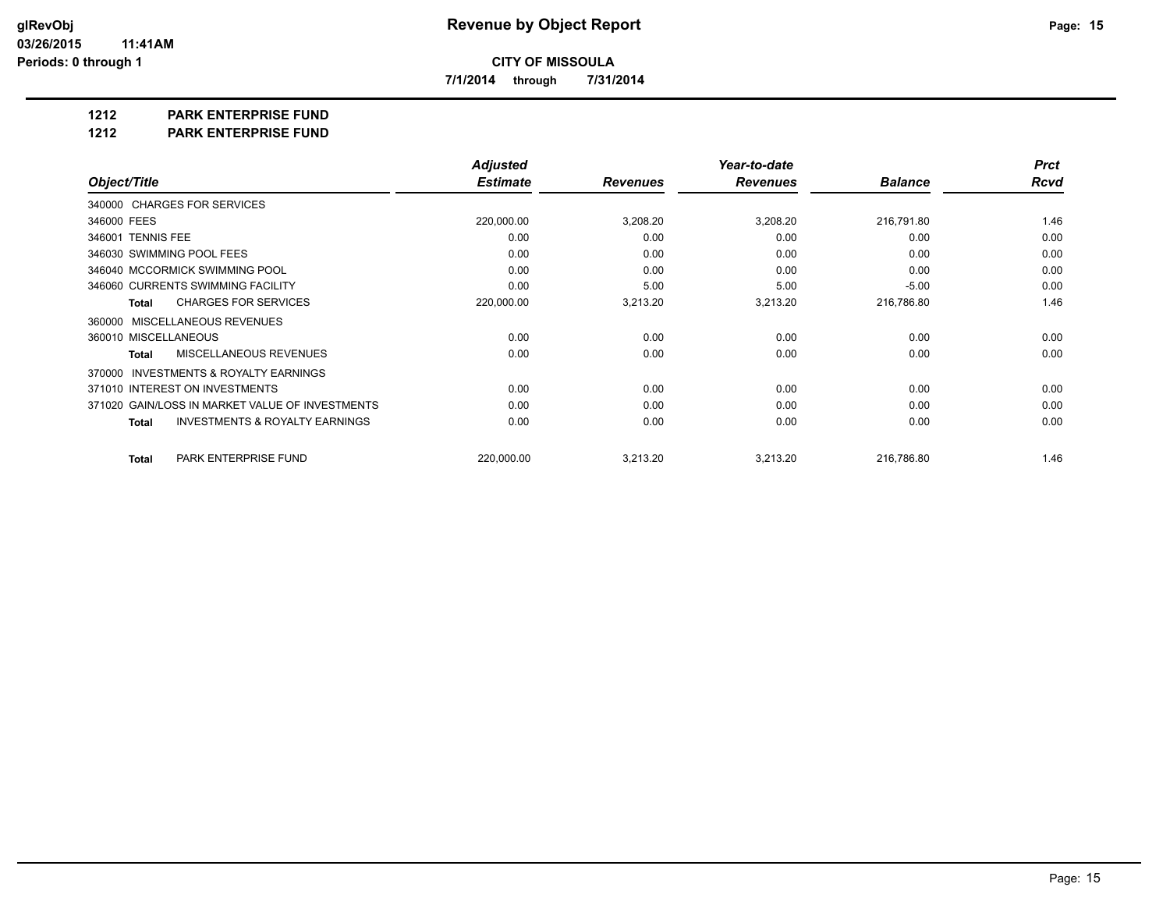**7/1/2014 through 7/31/2014**

**1212 PARK ENTERPRISE FUND**

**1212 PARK ENTERPRISE FUND**

|                                                           | <b>Adjusted</b> |                 | Year-to-date    |                | <b>Prct</b> |
|-----------------------------------------------------------|-----------------|-----------------|-----------------|----------------|-------------|
| Object/Title                                              | <b>Estimate</b> | <b>Revenues</b> | <b>Revenues</b> | <b>Balance</b> | Rcvd        |
| 340000 CHARGES FOR SERVICES                               |                 |                 |                 |                |             |
| 346000 FEES                                               | 220,000.00      | 3,208.20        | 3,208.20        | 216,791.80     | 1.46        |
| 346001 TENNIS FEE                                         | 0.00            | 0.00            | 0.00            | 0.00           | 0.00        |
| 346030 SWIMMING POOL FEES                                 | 0.00            | 0.00            | 0.00            | 0.00           | 0.00        |
| 346040 MCCORMICK SWIMMING POOL                            | 0.00            | 0.00            | 0.00            | 0.00           | 0.00        |
| 346060 CURRENTS SWIMMING FACILITY                         | 0.00            | 5.00            | 5.00            | $-5.00$        | 0.00        |
| <b>CHARGES FOR SERVICES</b><br><b>Total</b>               | 220,000.00      | 3,213.20        | 3,213.20        | 216,786.80     | 1.46        |
| 360000 MISCELLANEOUS REVENUES                             |                 |                 |                 |                |             |
| 360010 MISCELLANEOUS                                      | 0.00            | 0.00            | 0.00            | 0.00           | 0.00        |
| MISCELLANEOUS REVENUES<br><b>Total</b>                    | 0.00            | 0.00            | 0.00            | 0.00           | 0.00        |
| 370000 INVESTMENTS & ROYALTY EARNINGS                     |                 |                 |                 |                |             |
| 371010 INTEREST ON INVESTMENTS                            | 0.00            | 0.00            | 0.00            | 0.00           | 0.00        |
| 371020 GAIN/LOSS IN MARKET VALUE OF INVESTMENTS           | 0.00            | 0.00            | 0.00            | 0.00           | 0.00        |
| <b>INVESTMENTS &amp; ROYALTY EARNINGS</b><br><b>Total</b> | 0.00            | 0.00            | 0.00            | 0.00           | 0.00        |
| PARK ENTERPRISE FUND<br>Total                             | 220,000.00      | 3,213.20        | 3,213.20        | 216,786.80     | 1.46        |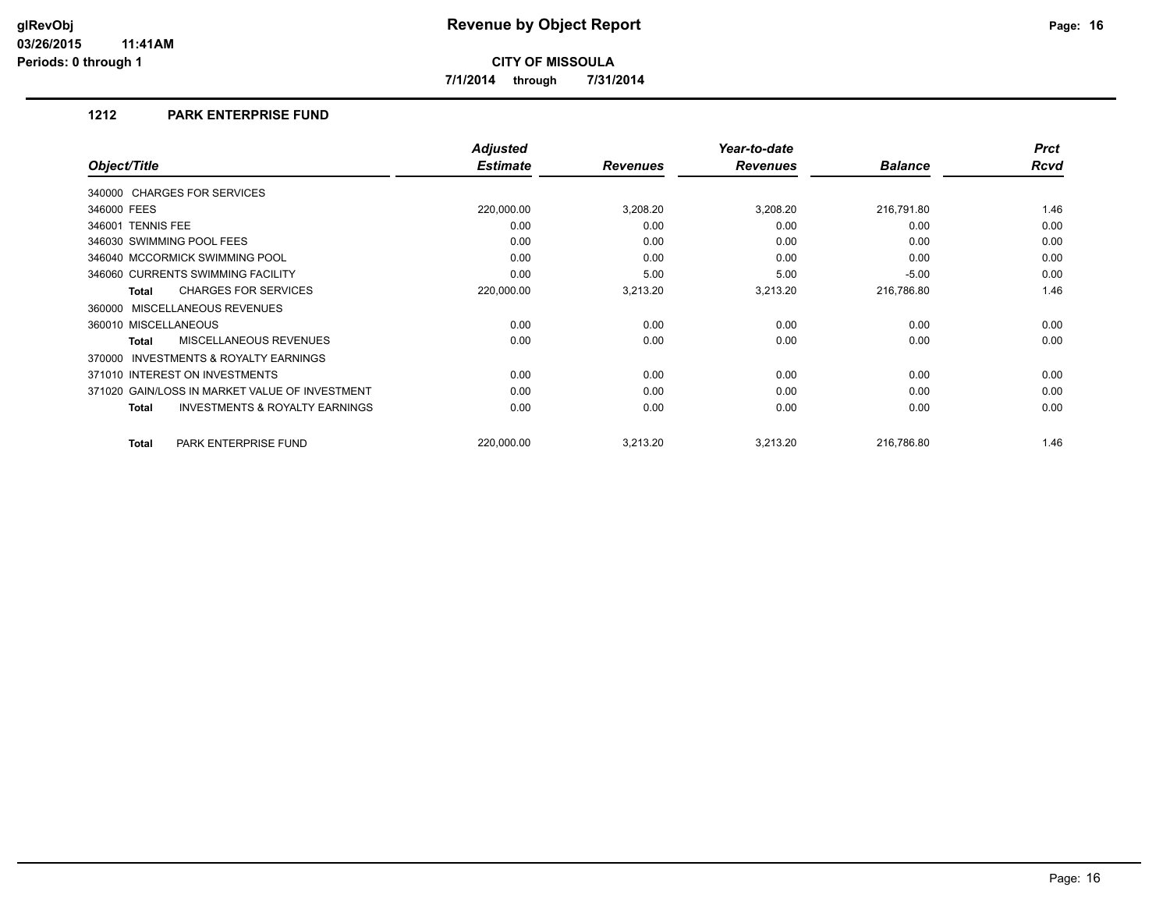**7/1/2014 through 7/31/2014**

#### **1212 PARK ENTERPRISE FUND**

|                                                     | <b>Adjusted</b> |                 | Year-to-date    |                | <b>Prct</b> |
|-----------------------------------------------------|-----------------|-----------------|-----------------|----------------|-------------|
| Object/Title                                        | <b>Estimate</b> | <b>Revenues</b> | <b>Revenues</b> | <b>Balance</b> | Rcvd        |
| 340000 CHARGES FOR SERVICES                         |                 |                 |                 |                |             |
| 346000 FEES                                         | 220,000.00      | 3,208.20        | 3,208.20        | 216,791.80     | 1.46        |
| 346001 TENNIS FEE                                   | 0.00            | 0.00            | 0.00            | 0.00           | 0.00        |
| 346030 SWIMMING POOL FEES                           | 0.00            | 0.00            | 0.00            | 0.00           | 0.00        |
| 346040 MCCORMICK SWIMMING POOL                      | 0.00            | 0.00            | 0.00            | 0.00           | 0.00        |
| 346060 CURRENTS SWIMMING FACILITY                   | 0.00            | 5.00            | 5.00            | $-5.00$        | 0.00        |
| <b>CHARGES FOR SERVICES</b><br>Total                | 220,000.00      | 3,213.20        | 3,213.20        | 216,786.80     | 1.46        |
| 360000 MISCELLANEOUS REVENUES                       |                 |                 |                 |                |             |
| 360010 MISCELLANEOUS                                | 0.00            | 0.00            | 0.00            | 0.00           | 0.00        |
| MISCELLANEOUS REVENUES<br><b>Total</b>              | 0.00            | 0.00            | 0.00            | 0.00           | 0.00        |
| <b>INVESTMENTS &amp; ROYALTY EARNINGS</b><br>370000 |                 |                 |                 |                |             |
| 371010 INTEREST ON INVESTMENTS                      | 0.00            | 0.00            | 0.00            | 0.00           | 0.00        |
| 371020 GAIN/LOSS IN MARKET VALUE OF INVESTMENT      | 0.00            | 0.00            | 0.00            | 0.00           | 0.00        |
| <b>INVESTMENTS &amp; ROYALTY EARNINGS</b><br>Total  | 0.00            | 0.00            | 0.00            | 0.00           | 0.00        |
| PARK ENTERPRISE FUND<br>Total                       | 220,000.00      | 3,213.20        | 3,213.20        | 216,786.80     | 1.46        |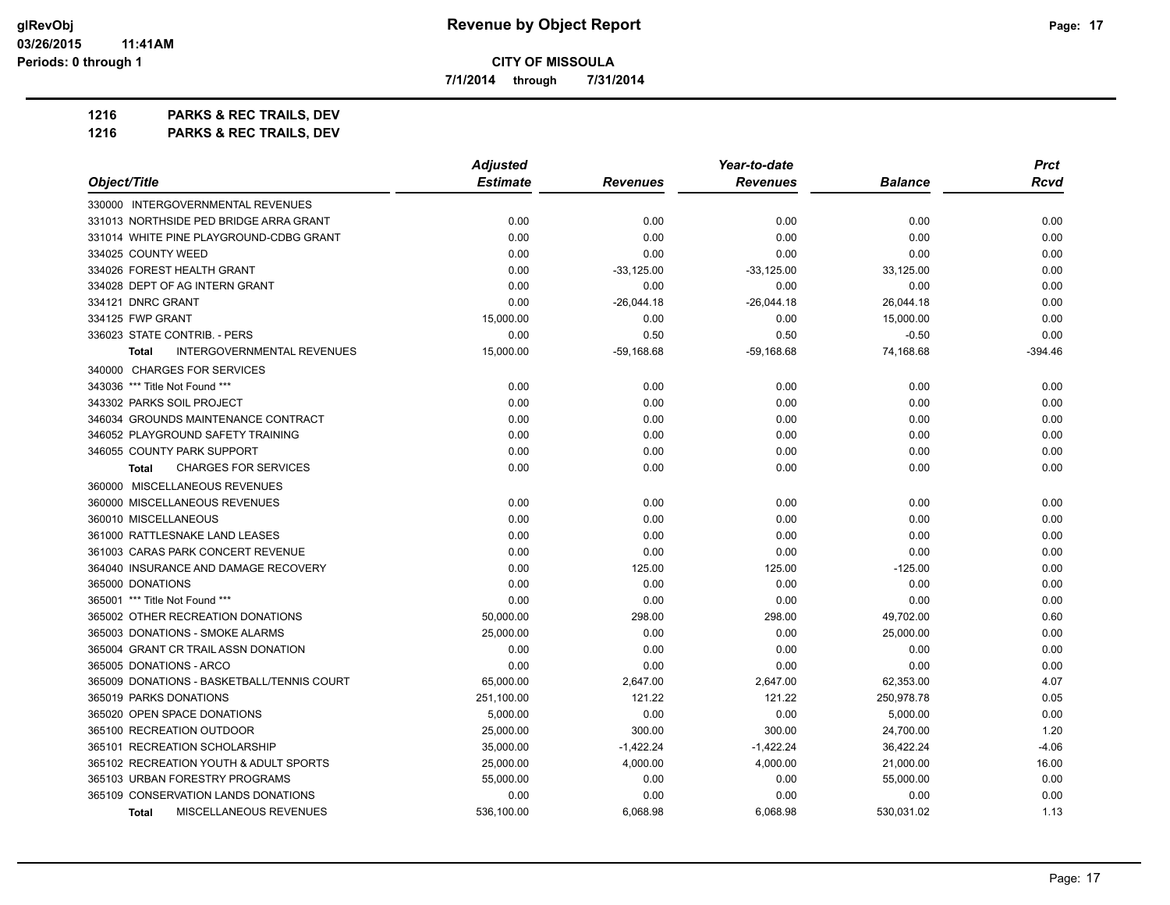**7/1/2014 through 7/31/2014**

**1216 PARKS & REC TRAILS, DEV**

| 1216 | <b>PARKS &amp; REC TRAILS, DEV</b> |
|------|------------------------------------|
|------|------------------------------------|

| Object/Title                                      | <b>Adjusted</b> |                 | Year-to-date    |                | <b>Prct</b> |
|---------------------------------------------------|-----------------|-----------------|-----------------|----------------|-------------|
|                                                   | <b>Estimate</b> | <b>Revenues</b> | <b>Revenues</b> | <b>Balance</b> | <b>Rcvd</b> |
| 330000 INTERGOVERNMENTAL REVENUES                 |                 |                 |                 |                |             |
| 331013 NORTHSIDE PED BRIDGE ARRA GRANT            | 0.00            | 0.00            | 0.00            | 0.00           | 0.00        |
| 331014 WHITE PINE PLAYGROUND-CDBG GRANT           | 0.00            | 0.00            | 0.00            | 0.00           | 0.00        |
| 334025 COUNTY WEED                                | 0.00            | 0.00            | 0.00            | 0.00           | 0.00        |
| 334026 FOREST HEALTH GRANT                        | 0.00            | $-33,125.00$    | $-33,125.00$    | 33,125.00      | 0.00        |
| 334028 DEPT OF AG INTERN GRANT                    | 0.00            | 0.00            | 0.00            | 0.00           | 0.00        |
| 334121 DNRC GRANT                                 | 0.00            | $-26,044.18$    | $-26,044.18$    | 26,044.18      | 0.00        |
| 334125 FWP GRANT                                  | 15,000.00       | 0.00            | 0.00            | 15,000.00      | 0.00        |
| 336023 STATE CONTRIB. - PERS                      | 0.00            | 0.50            | 0.50            | $-0.50$        | 0.00        |
| <b>INTERGOVERNMENTAL REVENUES</b><br><b>Total</b> | 15,000.00       | $-59,168.68$    | $-59,168.68$    | 74,168.68      | $-394.46$   |
| 340000 CHARGES FOR SERVICES                       |                 |                 |                 |                |             |
| 343036 *** Title Not Found ***                    | 0.00            | 0.00            | 0.00            | 0.00           | 0.00        |
| 343302 PARKS SOIL PROJECT                         | 0.00            | 0.00            | 0.00            | 0.00           | 0.00        |
| 346034 GROUNDS MAINTENANCE CONTRACT               | 0.00            | 0.00            | 0.00            | 0.00           | 0.00        |
| 346052 PLAYGROUND SAFETY TRAINING                 | 0.00            | 0.00            | 0.00            | 0.00           | 0.00        |
| 346055 COUNTY PARK SUPPORT                        | 0.00            | 0.00            | 0.00            | 0.00           | 0.00        |
| <b>CHARGES FOR SERVICES</b><br><b>Total</b>       | 0.00            | 0.00            | 0.00            | 0.00           | 0.00        |
| 360000 MISCELLANEOUS REVENUES                     |                 |                 |                 |                |             |
| 360000 MISCELLANEOUS REVENUES                     | 0.00            | 0.00            | 0.00            | 0.00           | 0.00        |
| 360010 MISCELLANEOUS                              | 0.00            | 0.00            | 0.00            | 0.00           | 0.00        |
| 361000 RATTLESNAKE LAND LEASES                    | 0.00            | 0.00            | 0.00            | 0.00           | 0.00        |
| 361003 CARAS PARK CONCERT REVENUE                 | 0.00            | 0.00            | 0.00            | 0.00           | 0.00        |
| 364040 INSURANCE AND DAMAGE RECOVERY              | 0.00            | 125.00          | 125.00          | $-125.00$      | 0.00        |
| 365000 DONATIONS                                  | 0.00            | 0.00            | 0.00            | 0.00           | 0.00        |
| 365001 *** Title Not Found ***                    | 0.00            | 0.00            | 0.00            | 0.00           | 0.00        |
| 365002 OTHER RECREATION DONATIONS                 | 50,000.00       | 298.00          | 298.00          | 49,702.00      | 0.60        |
| 365003 DONATIONS - SMOKE ALARMS                   | 25,000.00       | 0.00            | 0.00            | 25,000.00      | 0.00        |
| 365004 GRANT CR TRAIL ASSN DONATION               | 0.00            | 0.00            | 0.00            | 0.00           | 0.00        |
| 365005 DONATIONS - ARCO                           | 0.00            | 0.00            | 0.00            | 0.00           | 0.00        |
| 365009 DONATIONS - BASKETBALL/TENNIS COURT        | 65,000.00       | 2,647.00        | 2,647.00        | 62,353.00      | 4.07        |
| 365019 PARKS DONATIONS                            | 251,100.00      | 121.22          | 121.22          | 250,978.78     | 0.05        |
| 365020 OPEN SPACE DONATIONS                       | 5,000.00        | 0.00            | 0.00            | 5,000.00       | 0.00        |
| 365100 RECREATION OUTDOOR                         | 25,000.00       | 300.00          | 300.00          | 24,700.00      | 1.20        |
| 365101 RECREATION SCHOLARSHIP                     | 35,000.00       | $-1,422.24$     | $-1,422.24$     | 36,422.24      | $-4.06$     |
| 365102 RECREATION YOUTH & ADULT SPORTS            | 25,000.00       | 4,000.00        | 4,000.00        | 21,000.00      | 16.00       |
| 365103 URBAN FORESTRY PROGRAMS                    | 55,000.00       | 0.00            | 0.00            | 55,000.00      | 0.00        |
| 365109 CONSERVATION LANDS DONATIONS               | 0.00            | 0.00            | 0.00            | 0.00           | 0.00        |
| <b>MISCELLANEOUS REVENUES</b><br><b>Total</b>     | 536,100.00      | 6,068.98        | 6,068.98        | 530,031.02     | 1.13        |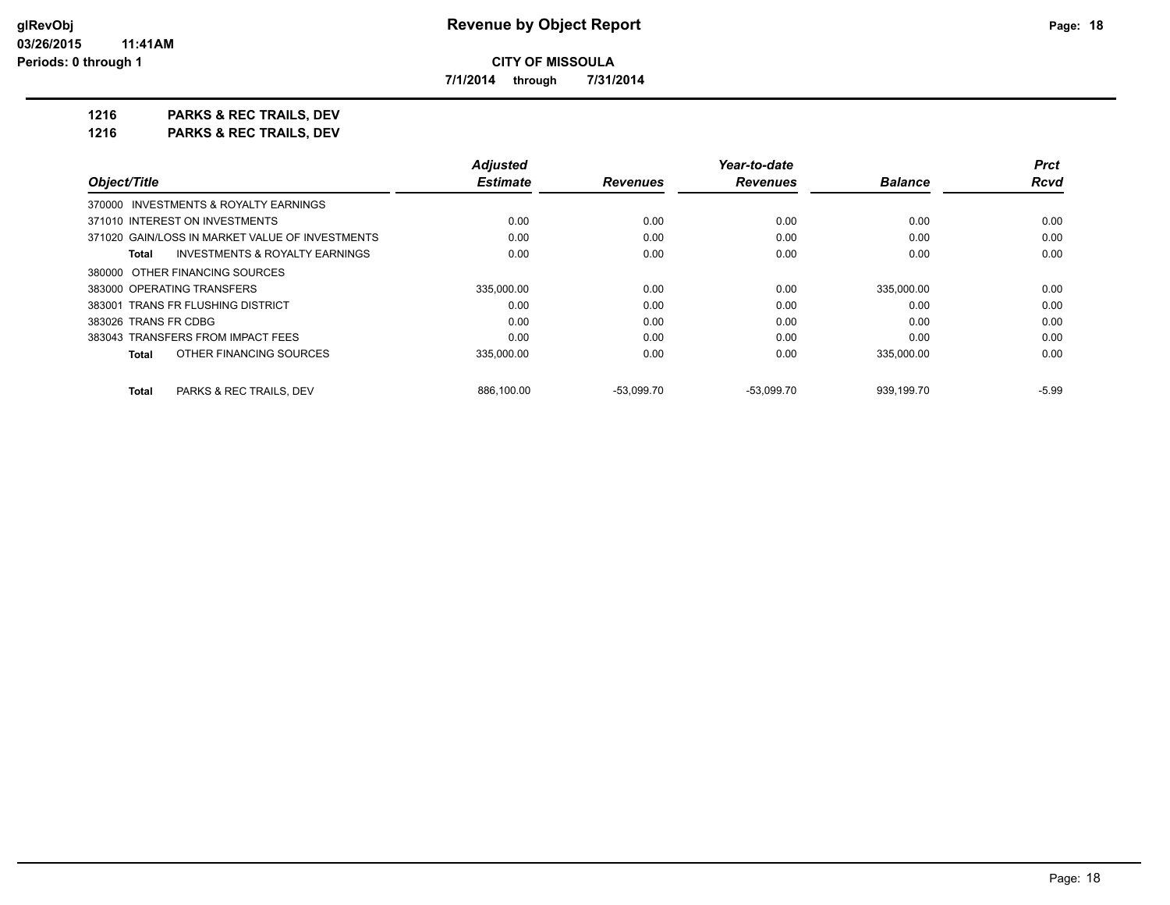*Prct Rcvd*

**CITY OF MISSOULA**

**7/1/2014 through 7/31/2014**

**1216 PARKS & REC TRAILS, DEV 1216 PARKS & REC TRAILS, DEV**

|                                                 | Adjusted        |                 | Year-to-date    |                | <b>Prct</b> |
|-------------------------------------------------|-----------------|-----------------|-----------------|----------------|-------------|
| Object/Title                                    | <b>Estimate</b> | <b>Revenues</b> | <b>Revenues</b> | <b>Balance</b> | Rcva        |
| 370000 INVESTMENTS & ROYALTY EARNINGS           |                 |                 |                 |                |             |
| 371010 INTEREST ON INVESTMENTS                  | 0.00            | 0.00            | 0.00            | 0.00           | 0.00        |
| 371020 GAIN/LOSS IN MARKET VALUE OF INVESTMENTS | 0.00            | 0.00            | 0.00            | 0.00           | 0.00        |
| INVESTMENTS & ROYALTY EARNINGS<br>Total         | 0.00            | 0.00            | 0.00            | 0.00           | 0.00        |
| 380000 OTHER FINANCING SOURCES                  |                 |                 |                 |                |             |
| 383000 OPERATING TRANSFERS                      | 335.000.00      | 0.00            | 0.00            | 335,000.00     | 0.00        |
| 383001 TRANS FR FLUSHING DISTRICT               | 0.00            | 0.00            | 0.00            | 0.00           | 0.00        |
| 383026 TRANS FR CDBG                            | 0.00            | 0.00            | 0.00            | 0.00           | 0.00        |
| 383043 TRANSFERS FROM IMPACT FEES               | 0.00            | 0.00            | 0.00            | 0.00           | 0.00        |
| OTHER FINANCING SOURCES<br>Total                | 335,000.00      | 0.00            | 0.00            | 335,000.00     | 0.00        |
|                                                 |                 |                 |                 |                |             |
| <b>PARKS &amp; REC TRAILS, DEV</b><br>Total     | 886,100.00      | $-53,099.70$    | $-53,099.70$    | 939,199.70     | $-5.99$     |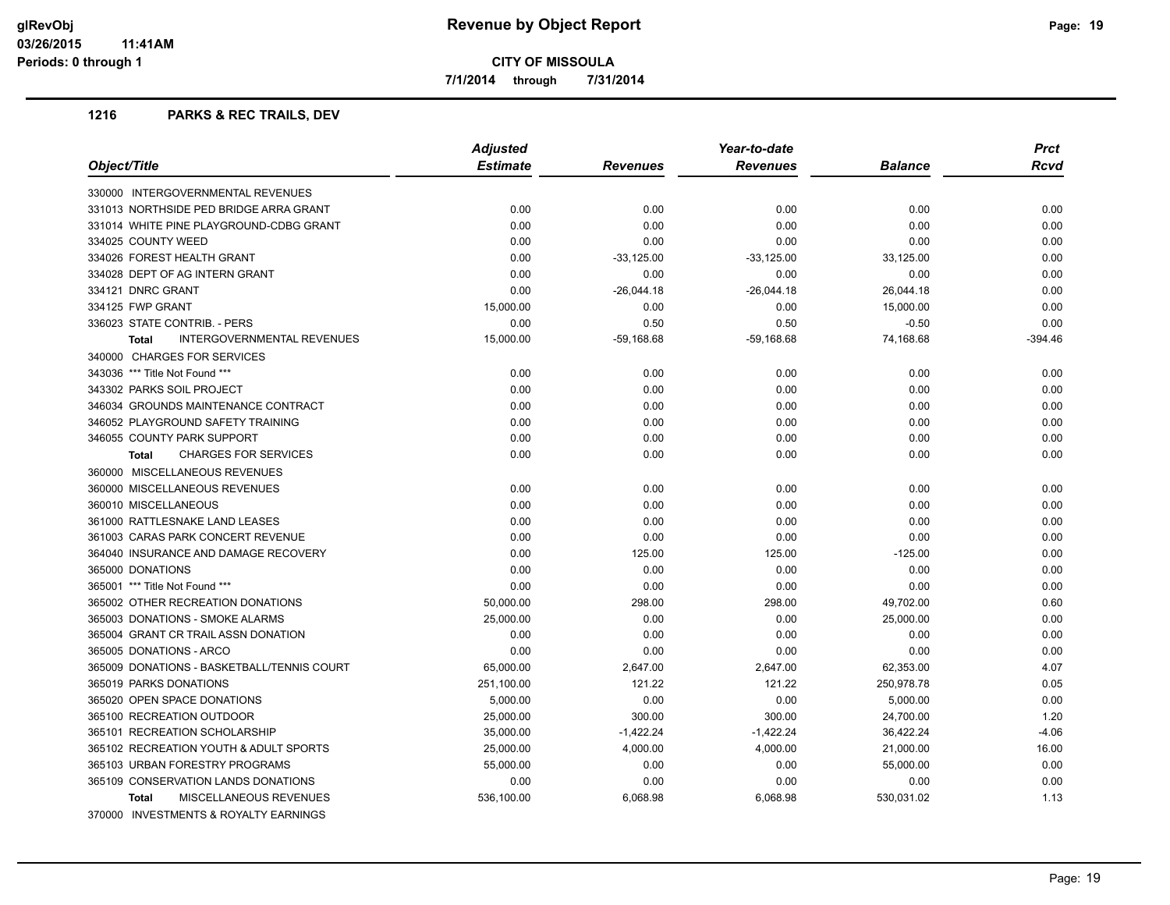**7/1/2014 through 7/31/2014**

#### **1216 PARKS & REC TRAILS, DEV**

| Object/Title                                      | <b>Adjusted</b> | Year-to-date    |                 |                | Prct        |
|---------------------------------------------------|-----------------|-----------------|-----------------|----------------|-------------|
|                                                   | <b>Estimate</b> | <b>Revenues</b> | <b>Revenues</b> | <b>Balance</b> | <b>Rcvd</b> |
| 330000 INTERGOVERNMENTAL REVENUES                 |                 |                 |                 |                |             |
| 331013 NORTHSIDE PED BRIDGE ARRA GRANT            | 0.00            | 0.00            | 0.00            | 0.00           | 0.00        |
| 331014 WHITE PINE PLAYGROUND-CDBG GRANT           | 0.00            | 0.00            | 0.00            | 0.00           | 0.00        |
| 334025 COUNTY WEED                                | 0.00            | 0.00            | 0.00            | 0.00           | 0.00        |
| 334026 FOREST HEALTH GRANT                        | 0.00            | $-33,125.00$    | $-33,125.00$    | 33,125.00      | 0.00        |
| 334028 DEPT OF AG INTERN GRANT                    | 0.00            | 0.00            | 0.00            | 0.00           | 0.00        |
| 334121 DNRC GRANT                                 | 0.00            | $-26,044.18$    | $-26,044.18$    | 26,044.18      | 0.00        |
| 334125 FWP GRANT                                  | 15,000.00       | 0.00            | 0.00            | 15,000.00      | 0.00        |
| 336023 STATE CONTRIB. - PERS                      | 0.00            | 0.50            | 0.50            | $-0.50$        | 0.00        |
| <b>INTERGOVERNMENTAL REVENUES</b><br><b>Total</b> | 15,000.00       | $-59,168.68$    | $-59,168.68$    | 74,168.68      | $-394.46$   |
| 340000 CHARGES FOR SERVICES                       |                 |                 |                 |                |             |
| 343036 *** Title Not Found ***                    | 0.00            | 0.00            | 0.00            | 0.00           | 0.00        |
| 343302 PARKS SOIL PROJECT                         | 0.00            | 0.00            | 0.00            | 0.00           | 0.00        |
| 346034 GROUNDS MAINTENANCE CONTRACT               | 0.00            | 0.00            | 0.00            | 0.00           | 0.00        |
| 346052 PLAYGROUND SAFETY TRAINING                 | 0.00            | 0.00            | 0.00            | 0.00           | 0.00        |
| 346055 COUNTY PARK SUPPORT                        | 0.00            | 0.00            | 0.00            | 0.00           | 0.00        |
| <b>CHARGES FOR SERVICES</b><br><b>Total</b>       | 0.00            | 0.00            | 0.00            | 0.00           | 0.00        |
| 360000 MISCELLANEOUS REVENUES                     |                 |                 |                 |                |             |
| 360000 MISCELLANEOUS REVENUES                     | 0.00            | 0.00            | 0.00            | 0.00           | 0.00        |
| 360010 MISCELLANEOUS                              | 0.00            | 0.00            | 0.00            | 0.00           | 0.00        |
| 361000 RATTLESNAKE LAND LEASES                    | 0.00            | 0.00            | 0.00            | 0.00           | 0.00        |
| 361003 CARAS PARK CONCERT REVENUE                 | 0.00            | 0.00            | 0.00            | 0.00           | 0.00        |
| 364040 INSURANCE AND DAMAGE RECOVERY              | 0.00            | 125.00          | 125.00          | $-125.00$      | 0.00        |
| 365000 DONATIONS                                  | 0.00            | 0.00            | 0.00            | 0.00           | 0.00        |
| 365001 *** Title Not Found ***                    | 0.00            | 0.00            | 0.00            | 0.00           | 0.00        |
| 365002 OTHER RECREATION DONATIONS                 | 50,000.00       | 298.00          | 298.00          | 49,702.00      | 0.60        |
| 365003 DONATIONS - SMOKE ALARMS                   | 25,000.00       | 0.00            | 0.00            | 25,000.00      | 0.00        |
| 365004 GRANT CR TRAIL ASSN DONATION               | 0.00            | 0.00            | 0.00            | 0.00           | 0.00        |
| 365005 DONATIONS - ARCO                           | 0.00            | 0.00            | 0.00            | 0.00           | 0.00        |
| 365009 DONATIONS - BASKETBALL/TENNIS COURT        | 65,000.00       | 2,647.00        | 2,647.00        | 62,353.00      | 4.07        |
| 365019 PARKS DONATIONS                            | 251,100.00      | 121.22          | 121.22          | 250,978.78     | 0.05        |
| 365020 OPEN SPACE DONATIONS                       | 5,000.00        | 0.00            | 0.00            | 5,000.00       | 0.00        |
| 365100 RECREATION OUTDOOR                         | 25,000.00       | 300.00          | 300.00          | 24,700.00      | 1.20        |
| 365101 RECREATION SCHOLARSHIP                     | 35,000.00       | $-1,422.24$     | $-1,422.24$     | 36,422.24      | $-4.06$     |
| 365102 RECREATION YOUTH & ADULT SPORTS            | 25,000.00       | 4,000.00        | 4,000.00        | 21,000.00      | 16.00       |
| 365103 URBAN FORESTRY PROGRAMS                    | 55,000.00       | 0.00            | 0.00            | 55,000.00      | 0.00        |
| 365109 CONSERVATION LANDS DONATIONS               | 0.00            | 0.00            | 0.00            | 0.00           | 0.00        |
| <b>MISCELLANEOUS REVENUES</b><br>Total            | 536,100.00      | 6,068.98        | 6,068.98        | 530,031.02     | 1.13        |
| 370000 INVESTMENTS & ROYALTY EARNINGS             |                 |                 |                 |                |             |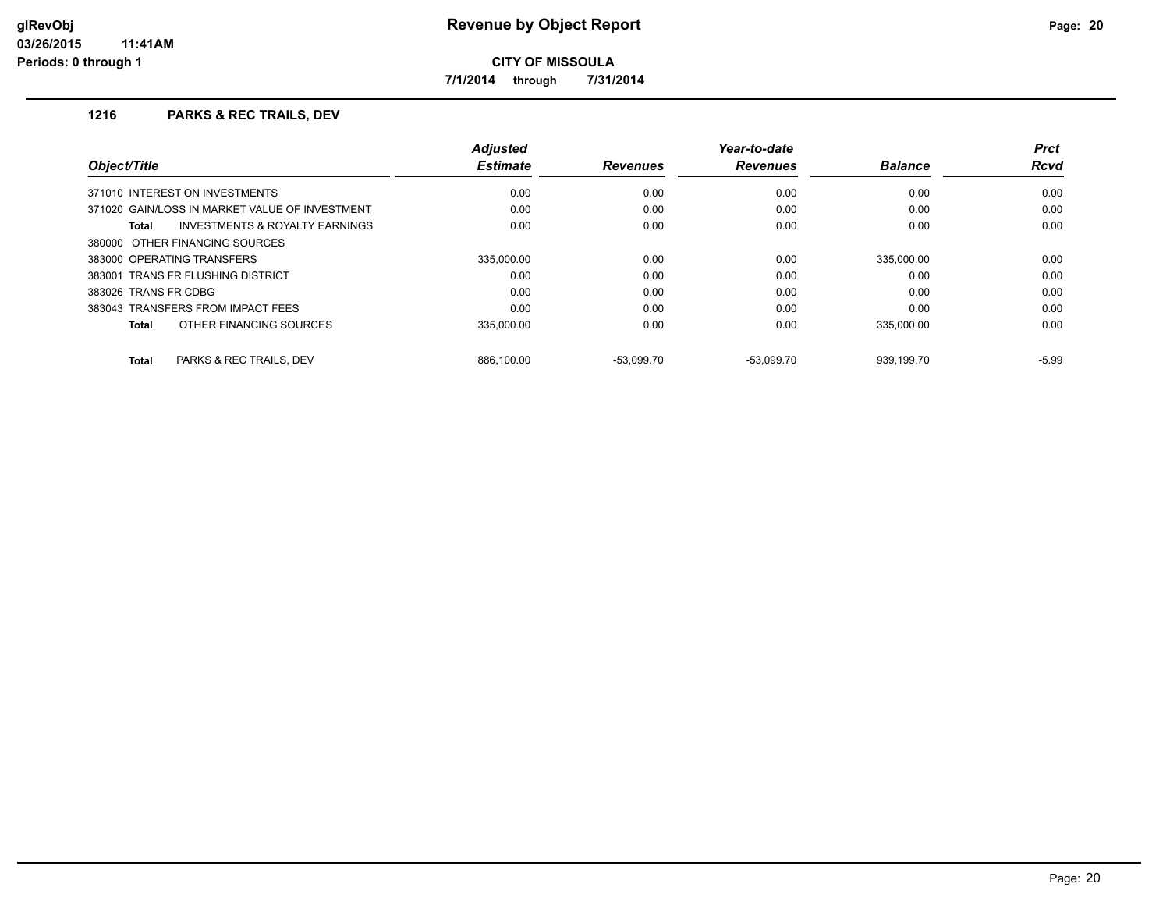**7/1/2014 through 7/31/2014**

#### **1216 PARKS & REC TRAILS, DEV**

| Object/Title                                                 | <b>Adjusted</b><br><b>Estimate</b> | <b>Revenues</b> | Year-to-date<br><b>Revenues</b> | <b>Balance</b> | <b>Prct</b><br><b>Rcvd</b> |
|--------------------------------------------------------------|------------------------------------|-----------------|---------------------------------|----------------|----------------------------|
| 371010 INTEREST ON INVESTMENTS                               | 0.00                               | 0.00            | 0.00                            | 0.00           | 0.00                       |
| 371020 GAIN/LOSS IN MARKET VALUE OF INVESTMENT               | 0.00                               | 0.00            | 0.00                            | 0.00           | 0.00                       |
| <b>INVESTMENTS &amp; ROYALTY EARNINGS</b><br>Total           | 0.00                               | 0.00            | 0.00                            | 0.00           | 0.00                       |
| 380000 OTHER FINANCING SOURCES<br>383000 OPERATING TRANSFERS | 335.000.00                         | 0.00            | 0.00                            | 335,000.00     | 0.00                       |
|                                                              |                                    |                 |                                 |                |                            |
| 383026 TRANS FR CDBG                                         | 0.00                               | 0.00            | 0.00                            | 0.00           | 0.00                       |
| 383043 TRANSFERS FROM IMPACT FEES                            | 0.00                               | 0.00            | 0.00                            | 0.00           | 0.00                       |
| OTHER FINANCING SOURCES<br><b>Total</b>                      | 335,000.00                         | 0.00            | 0.00                            | 335,000.00     | 0.00                       |
| <b>PARKS &amp; REC TRAILS, DEV</b><br><b>Total</b>           | 886.100.00                         | $-53.099.70$    | $-53.099.70$                    | 939.199.70     | $-5.99$                    |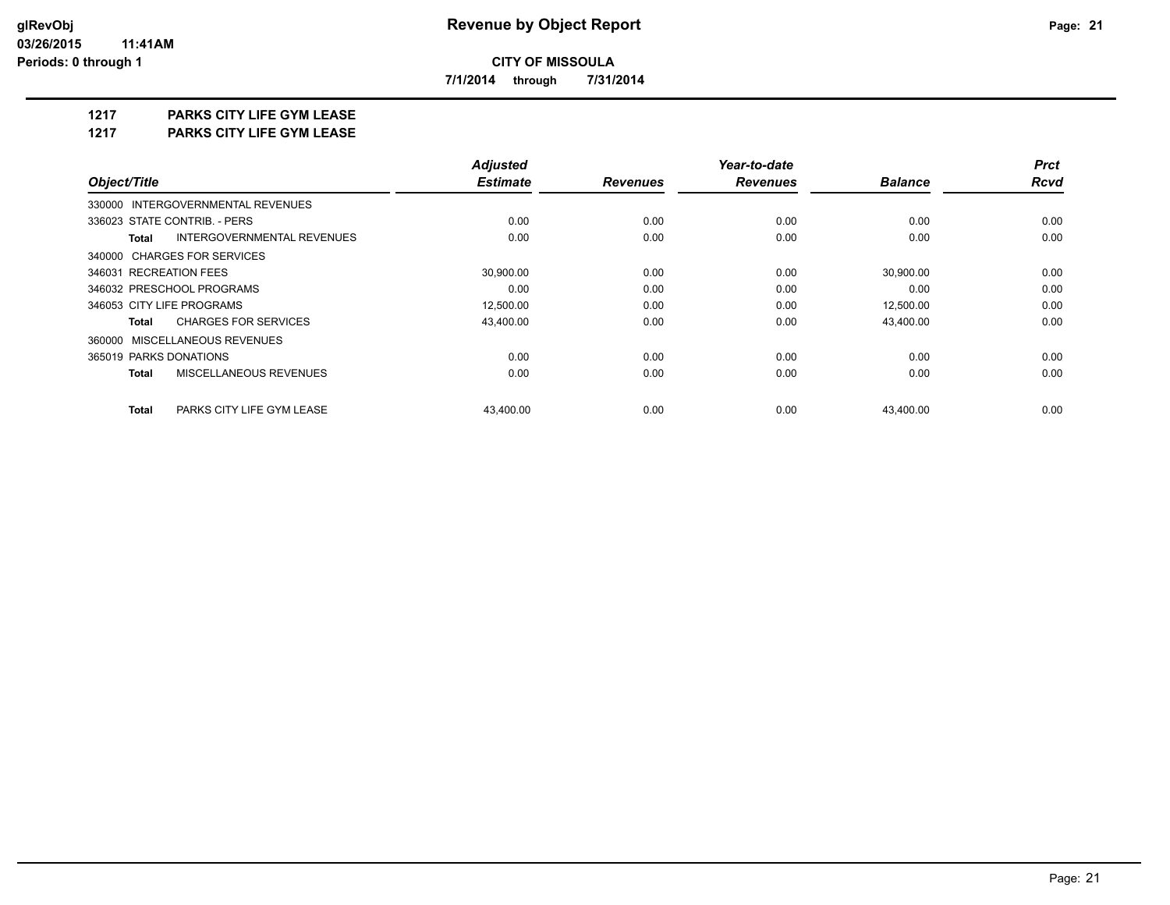**7/1/2014 through 7/31/2014**

## **1217 PARKS CITY LIFE GYM LEASE**

**1217 PARKS CITY LIFE GYM LEASE**

|                                            | <b>Adjusted</b> |                 | Year-to-date    |                | <b>Prct</b> |
|--------------------------------------------|-----------------|-----------------|-----------------|----------------|-------------|
| Object/Title                               | <b>Estimate</b> | <b>Revenues</b> | <b>Revenues</b> | <b>Balance</b> | <b>Rcvd</b> |
| 330000 INTERGOVERNMENTAL REVENUES          |                 |                 |                 |                |             |
| 336023 STATE CONTRIB. - PERS               | 0.00            | 0.00            | 0.00            | 0.00           | 0.00        |
| INTERGOVERNMENTAL REVENUES<br><b>Total</b> | 0.00            | 0.00            | 0.00            | 0.00           | 0.00        |
| 340000 CHARGES FOR SERVICES                |                 |                 |                 |                |             |
| 346031 RECREATION FEES                     | 30,900.00       | 0.00            | 0.00            | 30,900.00      | 0.00        |
| 346032 PRESCHOOL PROGRAMS                  | 0.00            | 0.00            | 0.00            | 0.00           | 0.00        |
| 346053 CITY LIFE PROGRAMS                  | 12,500.00       | 0.00            | 0.00            | 12,500.00      | 0.00        |
| <b>CHARGES FOR SERVICES</b><br>Total       | 43,400.00       | 0.00            | 0.00            | 43,400.00      | 0.00        |
| 360000 MISCELLANEOUS REVENUES              |                 |                 |                 |                |             |
| 365019 PARKS DONATIONS                     | 0.00            | 0.00            | 0.00            | 0.00           | 0.00        |
| MISCELLANEOUS REVENUES<br><b>Total</b>     | 0.00            | 0.00            | 0.00            | 0.00           | 0.00        |
| <b>Total</b><br>PARKS CITY LIFE GYM LEASE  | 43.400.00       | 0.00            | 0.00            | 43.400.00      | 0.00        |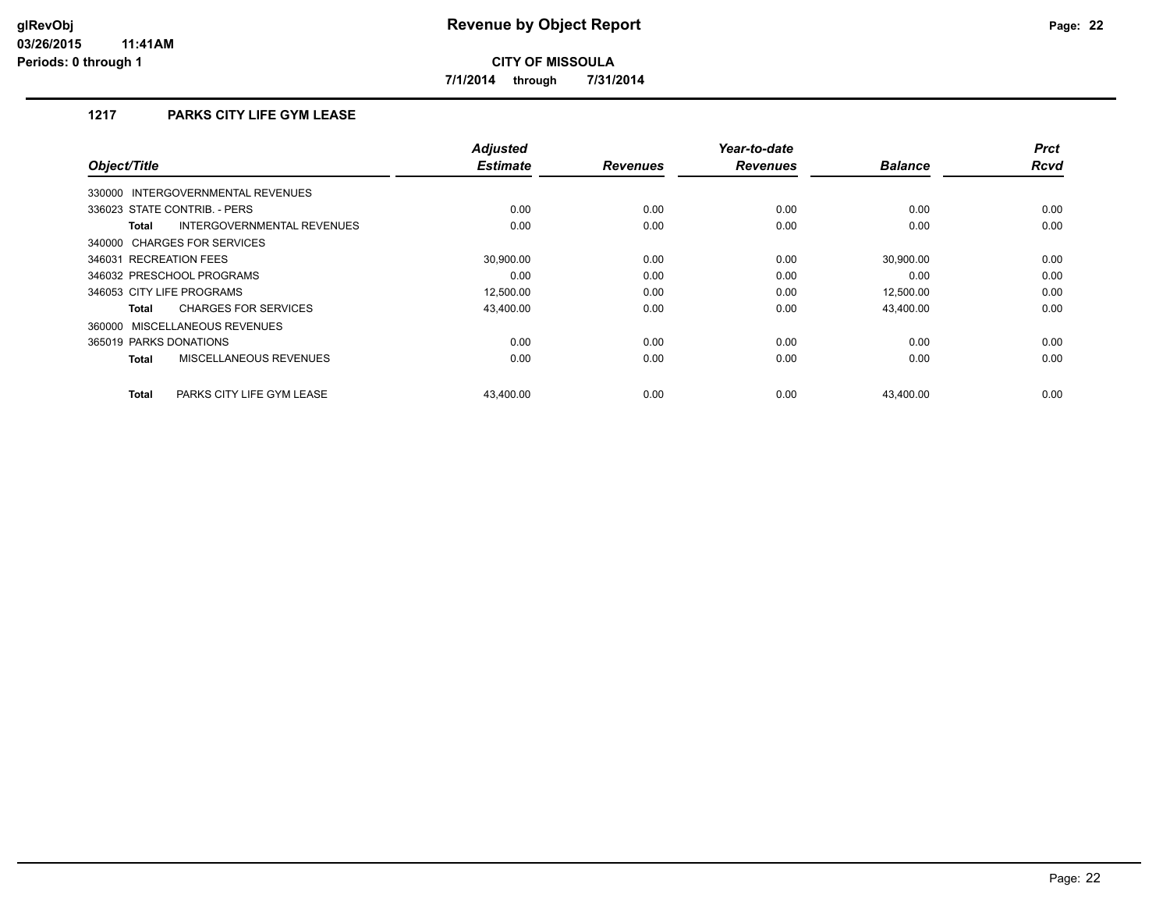**7/1/2014 through 7/31/2014**

## **1217 PARKS CITY LIFE GYM LEASE**

| Object/Title                                  | <b>Adjusted</b><br><b>Estimate</b> | <b>Revenues</b> | Year-to-date<br><b>Revenues</b> | <b>Balance</b> | <b>Prct</b><br><b>Rcvd</b> |
|-----------------------------------------------|------------------------------------|-----------------|---------------------------------|----------------|----------------------------|
| INTERGOVERNMENTAL REVENUES<br>330000          |                                    |                 |                                 |                |                            |
| 336023 STATE CONTRIB. - PERS                  | 0.00                               | 0.00            | 0.00                            | 0.00           | 0.00                       |
| INTERGOVERNMENTAL REVENUES<br><b>Total</b>    | 0.00                               | 0.00            | 0.00                            | 0.00           | 0.00                       |
| 340000 CHARGES FOR SERVICES                   |                                    |                 |                                 |                |                            |
| 346031 RECREATION FEES                        | 30.900.00                          | 0.00            | 0.00                            | 30.900.00      | 0.00                       |
| 346032 PRESCHOOL PROGRAMS                     | 0.00                               | 0.00            | 0.00                            | 0.00           | 0.00                       |
| 346053 CITY LIFE PROGRAMS                     | 12,500.00                          | 0.00            | 0.00                            | 12,500.00      | 0.00                       |
| <b>CHARGES FOR SERVICES</b><br><b>Total</b>   | 43,400.00                          | 0.00            | 0.00                            | 43,400.00      | 0.00                       |
| 360000 MISCELLANEOUS REVENUES                 |                                    |                 |                                 |                |                            |
| 365019 PARKS DONATIONS                        | 0.00                               | 0.00            | 0.00                            | 0.00           | 0.00                       |
| <b>MISCELLANEOUS REVENUES</b><br><b>Total</b> | 0.00                               | 0.00            | 0.00                            | 0.00           | 0.00                       |
| PARKS CITY LIFE GYM LEASE<br><b>Total</b>     | 43,400.00                          | 0.00            | 0.00                            | 43,400.00      | 0.00                       |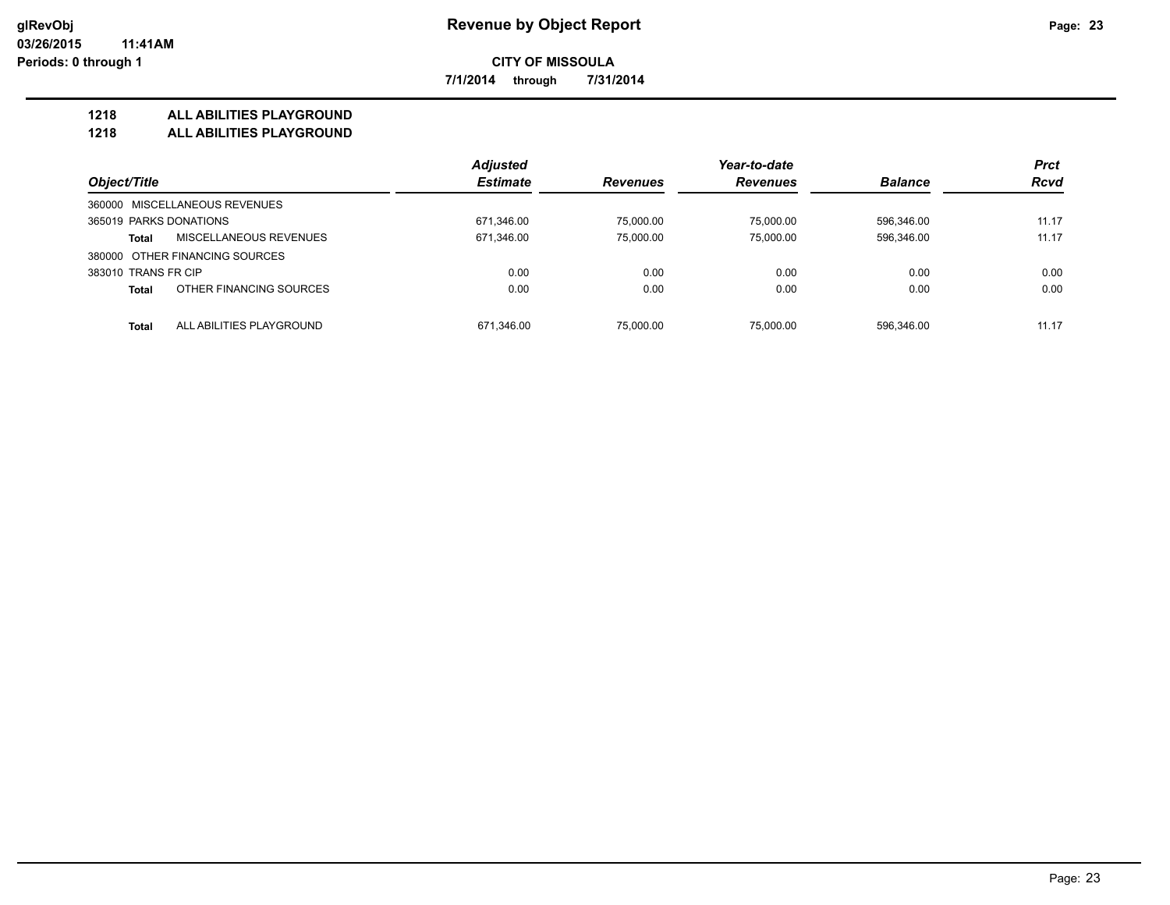**7/1/2014 through 7/31/2014**

#### **1218 ALL ABILITIES PLAYGROUND**

**1218 ALL ABILITIES PLAYGROUND**

|                                               | <b>Adjusted</b> |                 | Year-to-date    |                | <b>Prct</b><br><b>Rcvd</b> |
|-----------------------------------------------|-----------------|-----------------|-----------------|----------------|----------------------------|
| Object/Title<br>360000 MISCELLANEOUS REVENUES | <b>Estimate</b> | <b>Revenues</b> | <b>Revenues</b> | <b>Balance</b> |                            |
|                                               |                 |                 |                 |                |                            |
| MISCELLANEOUS REVENUES<br><b>Total</b>        | 671,346.00      | 75.000.00       | 75.000.00       | 596.346.00     | 11.17                      |
| 380000 OTHER FINANCING SOURCES                |                 |                 |                 |                |                            |
| 383010 TRANS FR CIP                           | 0.00            | 0.00            | 0.00            | 0.00           | 0.00                       |
| OTHER FINANCING SOURCES<br><b>Total</b>       | 0.00            | 0.00            | 0.00            | 0.00           | 0.00                       |
| ALL ABILITIES PLAYGROUND<br><b>Total</b>      | 671.346.00      | 75,000.00       | 75.000.00       | 596.346.00     | 11.17                      |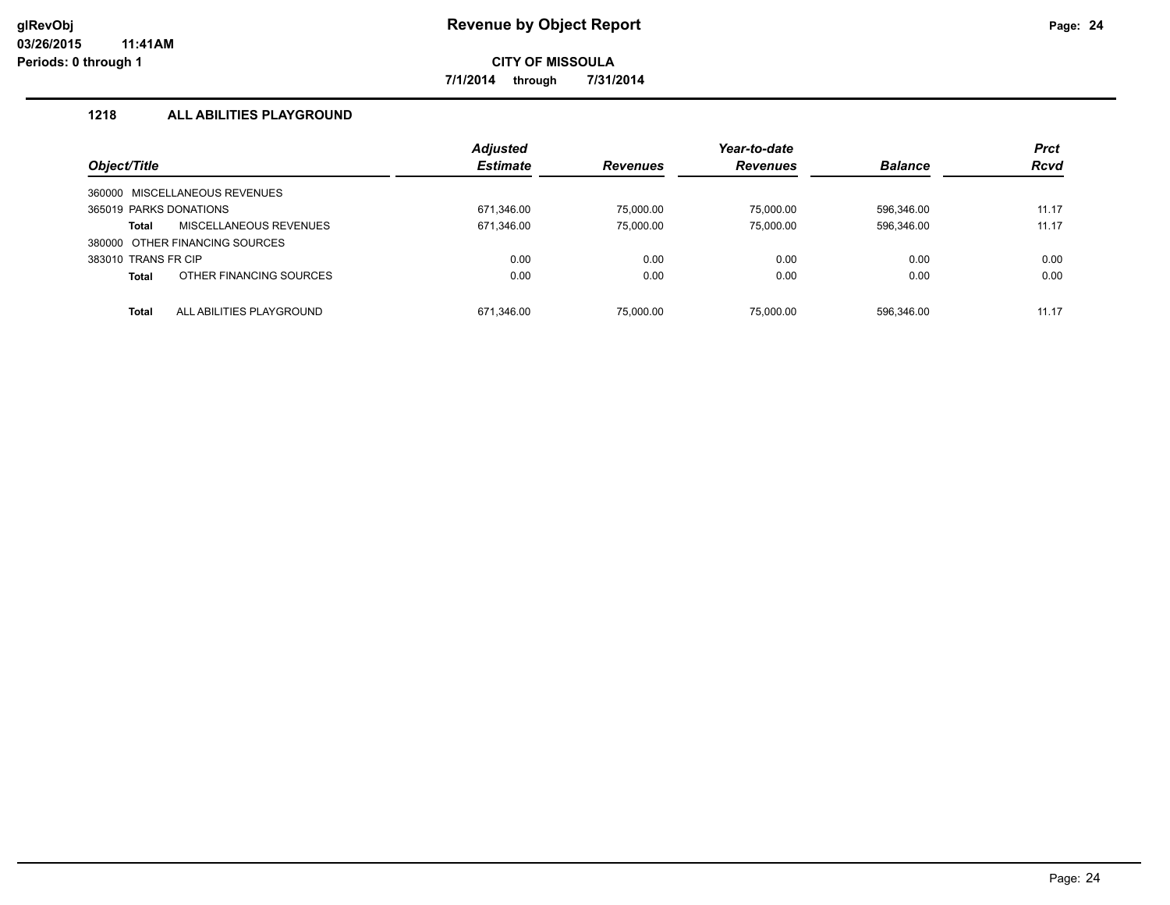**7/1/2014 through 7/31/2014**

## **1218 ALL ABILITIES PLAYGROUND**

|                        |                                | <b>Adjusted</b> |                 | Year-to-date    |                | <b>Prct</b> |
|------------------------|--------------------------------|-----------------|-----------------|-----------------|----------------|-------------|
| Object/Title           |                                | <b>Estimate</b> | <b>Revenues</b> | <b>Revenues</b> | <b>Balance</b> | <b>Rcvd</b> |
|                        | 360000 MISCELLANEOUS REVENUES  |                 |                 |                 |                |             |
| 365019 PARKS DONATIONS |                                | 671,346.00      | 75,000.00       | 75.000.00       | 596.346.00     | 11.17       |
| <b>Total</b>           | MISCELLANEOUS REVENUES         | 671,346.00      | 75,000.00       | 75.000.00       | 596,346.00     | 11.17       |
|                        | 380000 OTHER FINANCING SOURCES |                 |                 |                 |                |             |
| 383010 TRANS FR CIP    |                                | 0.00            | 0.00            | 0.00            | 0.00           | 0.00        |
| <b>Total</b>           | OTHER FINANCING SOURCES        | 0.00            | 0.00            | 0.00            | 0.00           | 0.00        |
| <b>Total</b>           | ALL ABILITIES PLAYGROUND       | 671,346.00      | 75.000.00       | 75.000.00       | 596.346.00     | 11.17       |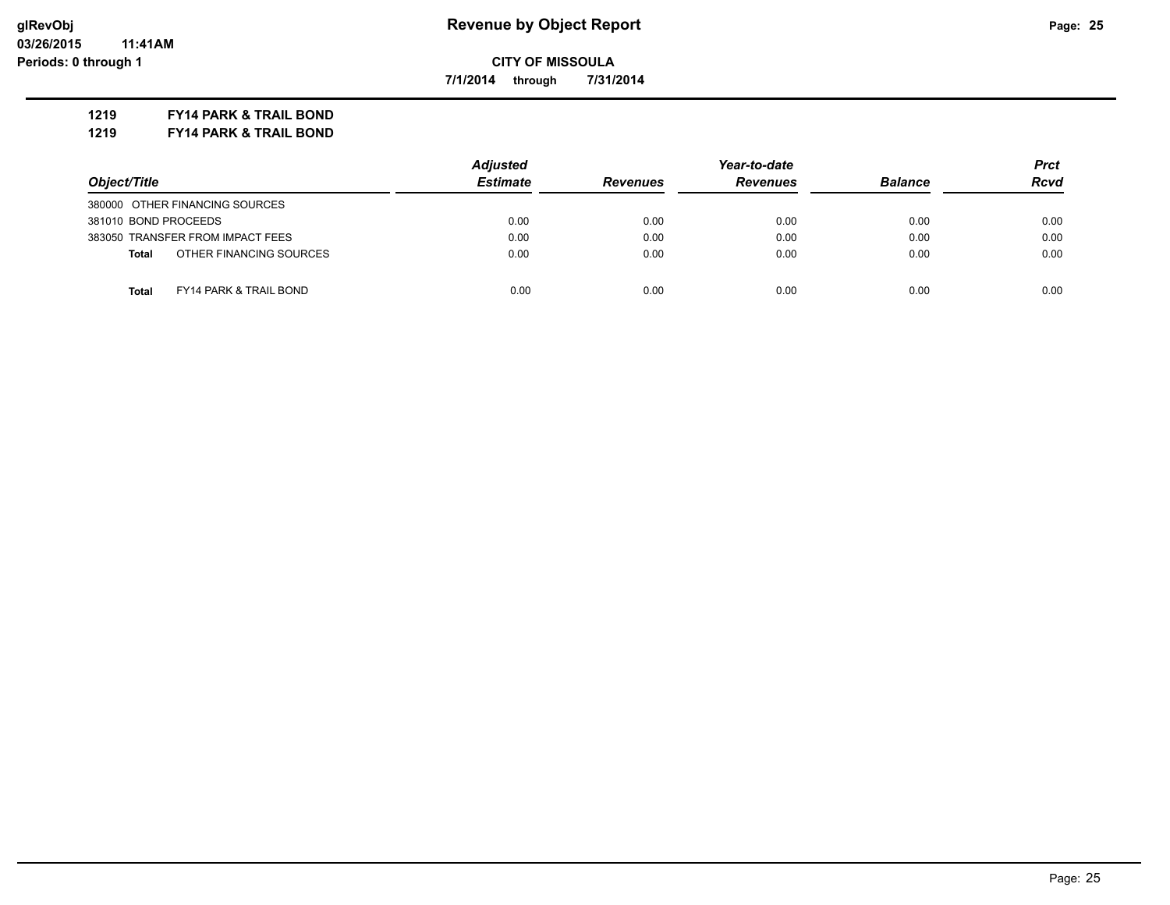**7/1/2014 through 7/31/2014**

**1219 FY14 PARK & TRAIL BOND**

**1219 FY14 PARK & TRAIL BOND**

|                                         | <b>Adjusted</b> | Year-to-date                       |      |                | Prct        |
|-----------------------------------------|-----------------|------------------------------------|------|----------------|-------------|
| Object/Title                            | <b>Estimate</b> | <b>Revenues</b><br><b>Revenues</b> |      | <b>Balance</b> | <b>Rcvd</b> |
| 380000 OTHER FINANCING SOURCES          |                 |                                    |      |                |             |
| 381010 BOND PROCEEDS                    | 0.00            | 0.00                               | 0.00 | 0.00           | 0.00        |
| 383050 TRANSFER FROM IMPACT FEES        | 0.00            | 0.00                               | 0.00 | 0.00           | 0.00        |
| OTHER FINANCING SOURCES<br><b>Total</b> | 0.00            | 0.00                               | 0.00 | 0.00           | 0.00        |
| Total<br>FY14 PARK & TRAIL BOND         | 0.00            | 0.00                               | 0.00 | 0.00           | 0.00        |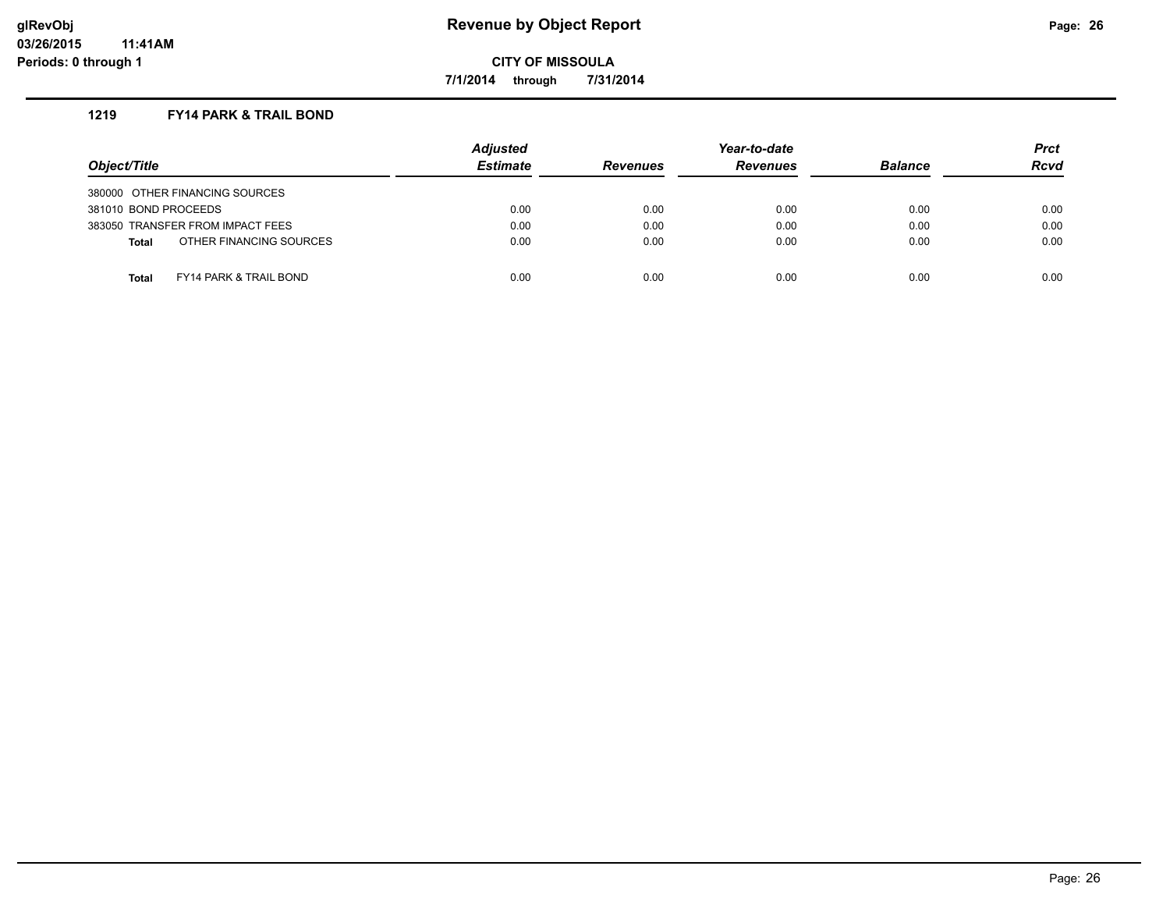**7/1/2014 through 7/31/2014**

#### **1219 FY14 PARK & TRAIL BOND**

| Object/Title                                      | <b>Adjusted</b><br><b>Estimate</b> | <b>Revenues</b> | Year-to-date<br><b>Revenues</b> | <b>Balance</b> | <b>Prct</b><br><b>Rcvd</b> |
|---------------------------------------------------|------------------------------------|-----------------|---------------------------------|----------------|----------------------------|
| 380000 OTHER FINANCING SOURCES                    |                                    |                 |                                 |                |                            |
| 381010 BOND PROCEEDS                              | 0.00                               | 0.00            | 0.00                            | 0.00           | 0.00                       |
| 383050 TRANSFER FROM IMPACT FEES                  | 0.00                               | 0.00            | 0.00                            | 0.00           | 0.00                       |
| OTHER FINANCING SOURCES<br><b>Total</b>           | 0.00                               | 0.00            | 0.00                            | 0.00           | 0.00                       |
| <b>FY14 PARK &amp; TRAIL BOND</b><br><b>Total</b> | 0.00                               | 0.00            | 0.00                            | 0.00           | 0.00                       |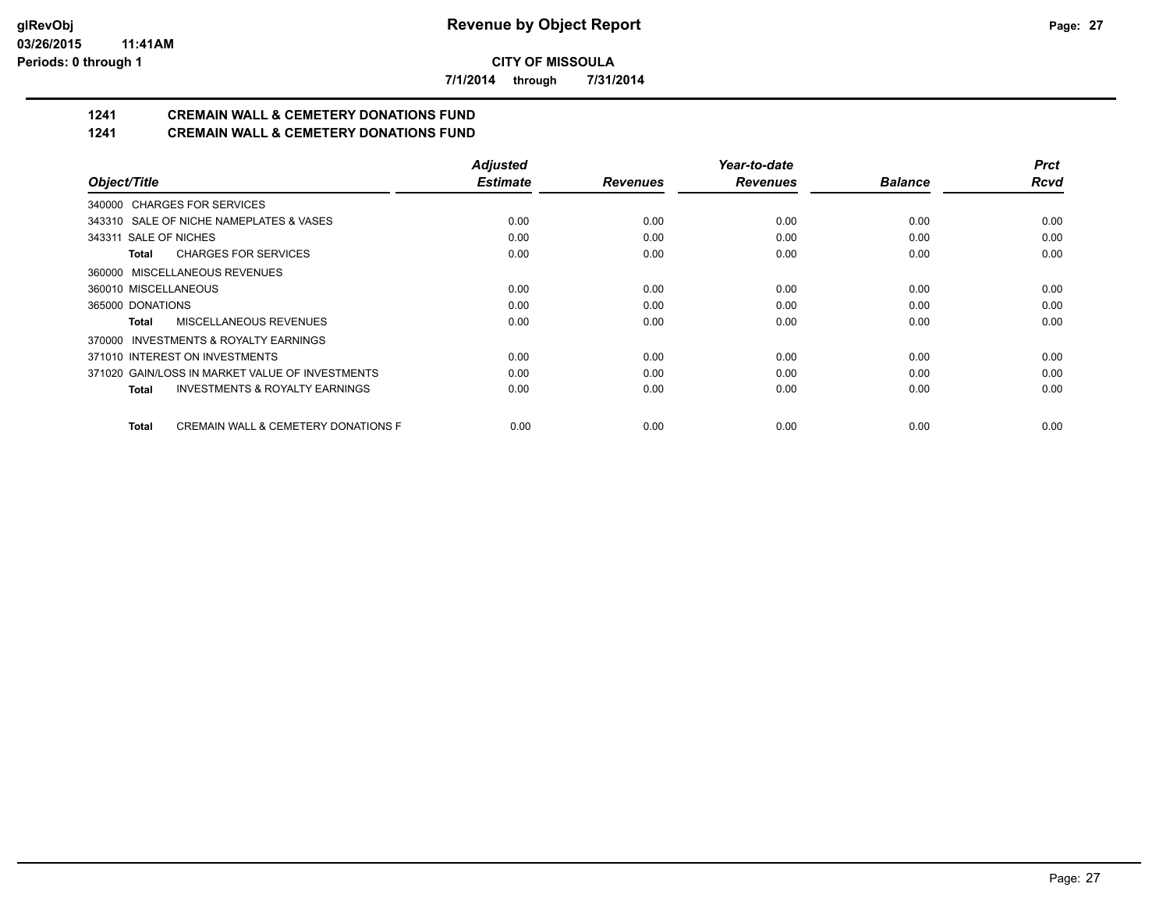**7/1/2014 through 7/31/2014**

# **1241 CREMAIN WALL & CEMETERY DONATIONS FUND**

## **1241 CREMAIN WALL & CEMETERY DONATIONS FUND**

|                                                                | <b>Adjusted</b> |                 | Year-to-date    |                | <b>Prct</b> |
|----------------------------------------------------------------|-----------------|-----------------|-----------------|----------------|-------------|
| Object/Title                                                   | <b>Estimate</b> | <b>Revenues</b> | <b>Revenues</b> | <b>Balance</b> | <b>Rcvd</b> |
| 340000 CHARGES FOR SERVICES                                    |                 |                 |                 |                |             |
| 343310 SALE OF NICHE NAMEPLATES & VASES                        | 0.00            | 0.00            | 0.00            | 0.00           | 0.00        |
| 343311 SALE OF NICHES                                          | 0.00            | 0.00            | 0.00            | 0.00           | 0.00        |
| <b>CHARGES FOR SERVICES</b><br>Total                           | 0.00            | 0.00            | 0.00            | 0.00           | 0.00        |
| 360000 MISCELLANEOUS REVENUES                                  |                 |                 |                 |                |             |
| 360010 MISCELLANEOUS                                           | 0.00            | 0.00            | 0.00            | 0.00           | 0.00        |
| 365000 DONATIONS                                               | 0.00            | 0.00            | 0.00            | 0.00           | 0.00        |
| MISCELLANEOUS REVENUES<br>Total                                | 0.00            | 0.00            | 0.00            | 0.00           | 0.00        |
| <b>INVESTMENTS &amp; ROYALTY EARNINGS</b><br>370000            |                 |                 |                 |                |             |
| 371010 INTEREST ON INVESTMENTS                                 | 0.00            | 0.00            | 0.00            | 0.00           | 0.00        |
| 371020 GAIN/LOSS IN MARKET VALUE OF INVESTMENTS                | 0.00            | 0.00            | 0.00            | 0.00           | 0.00        |
| <b>INVESTMENTS &amp; ROYALTY EARNINGS</b><br>Total             | 0.00            | 0.00            | 0.00            | 0.00           | 0.00        |
| <b>CREMAIN WALL &amp; CEMETERY DONATIONS F</b><br><b>Total</b> | 0.00            | 0.00            | 0.00            | 0.00           | 0.00        |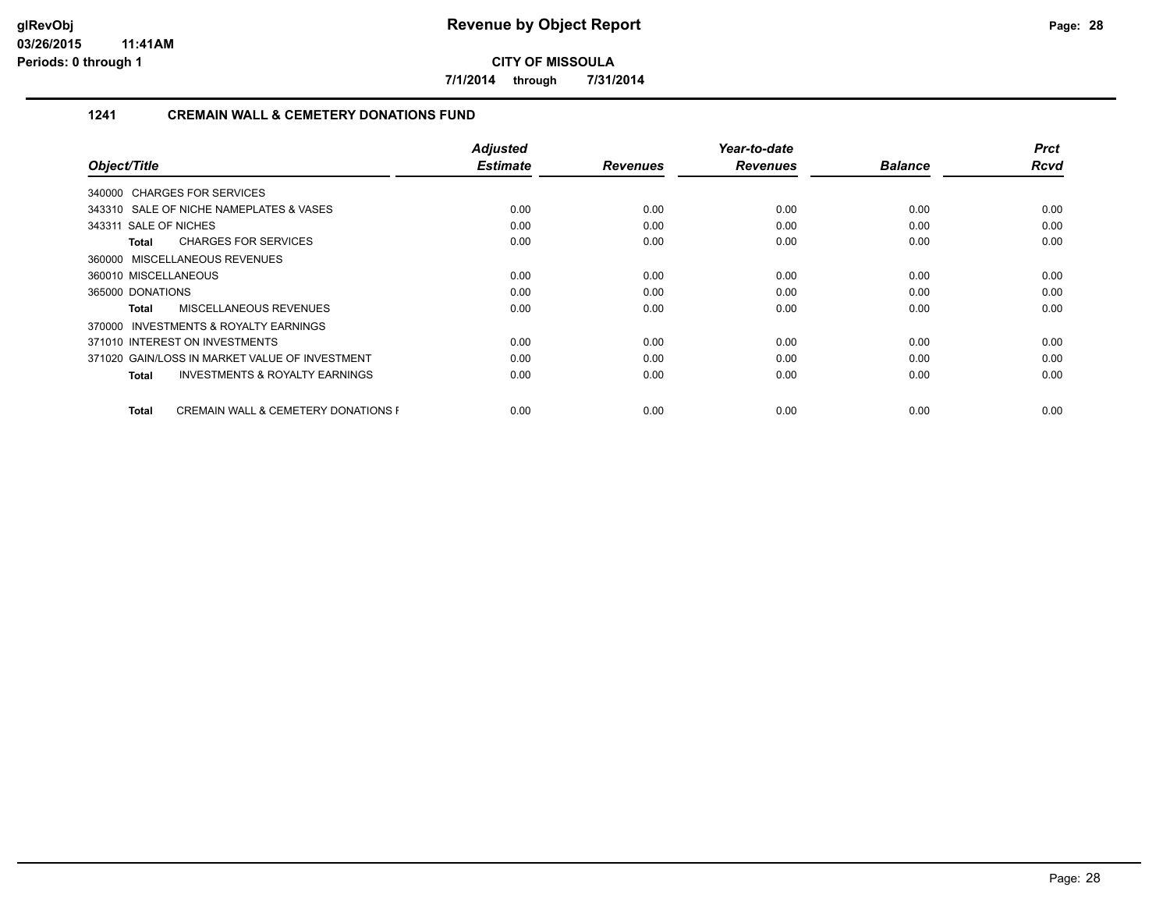**7/1/2014 through 7/31/2014**

#### **1241 CREMAIN WALL & CEMETERY DONATIONS FUND**

|                                                                | <b>Adjusted</b> |                 | Year-to-date    |                | <b>Prct</b> |
|----------------------------------------------------------------|-----------------|-----------------|-----------------|----------------|-------------|
| Object/Title                                                   | <b>Estimate</b> | <b>Revenues</b> | <b>Revenues</b> | <b>Balance</b> | <b>Rcvd</b> |
| 340000 CHARGES FOR SERVICES                                    |                 |                 |                 |                |             |
| 343310 SALE OF NICHE NAMEPLATES & VASES                        | 0.00            | 0.00            | 0.00            | 0.00           | 0.00        |
| 343311 SALE OF NICHES                                          | 0.00            | 0.00            | 0.00            | 0.00           | 0.00        |
| <b>CHARGES FOR SERVICES</b><br>Total                           | 0.00            | 0.00            | 0.00            | 0.00           | 0.00        |
| 360000 MISCELLANEOUS REVENUES                                  |                 |                 |                 |                |             |
| 360010 MISCELLANEOUS                                           | 0.00            | 0.00            | 0.00            | 0.00           | 0.00        |
| 365000 DONATIONS                                               | 0.00            | 0.00            | 0.00            | 0.00           | 0.00        |
| MISCELLANEOUS REVENUES<br>Total                                | 0.00            | 0.00            | 0.00            | 0.00           | 0.00        |
| 370000 INVESTMENTS & ROYALTY EARNINGS                          |                 |                 |                 |                |             |
| 371010 INTEREST ON INVESTMENTS                                 | 0.00            | 0.00            | 0.00            | 0.00           | 0.00        |
| 371020 GAIN/LOSS IN MARKET VALUE OF INVESTMENT                 | 0.00            | 0.00            | 0.00            | 0.00           | 0.00        |
| <b>INVESTMENTS &amp; ROYALTY EARNINGS</b><br>Total             | 0.00            | 0.00            | 0.00            | 0.00           | 0.00        |
|                                                                |                 |                 |                 |                |             |
| <b>CREMAIN WALL &amp; CEMETERY DONATIONS F</b><br><b>Total</b> | 0.00            | 0.00            | 0.00            | 0.00           | 0.00        |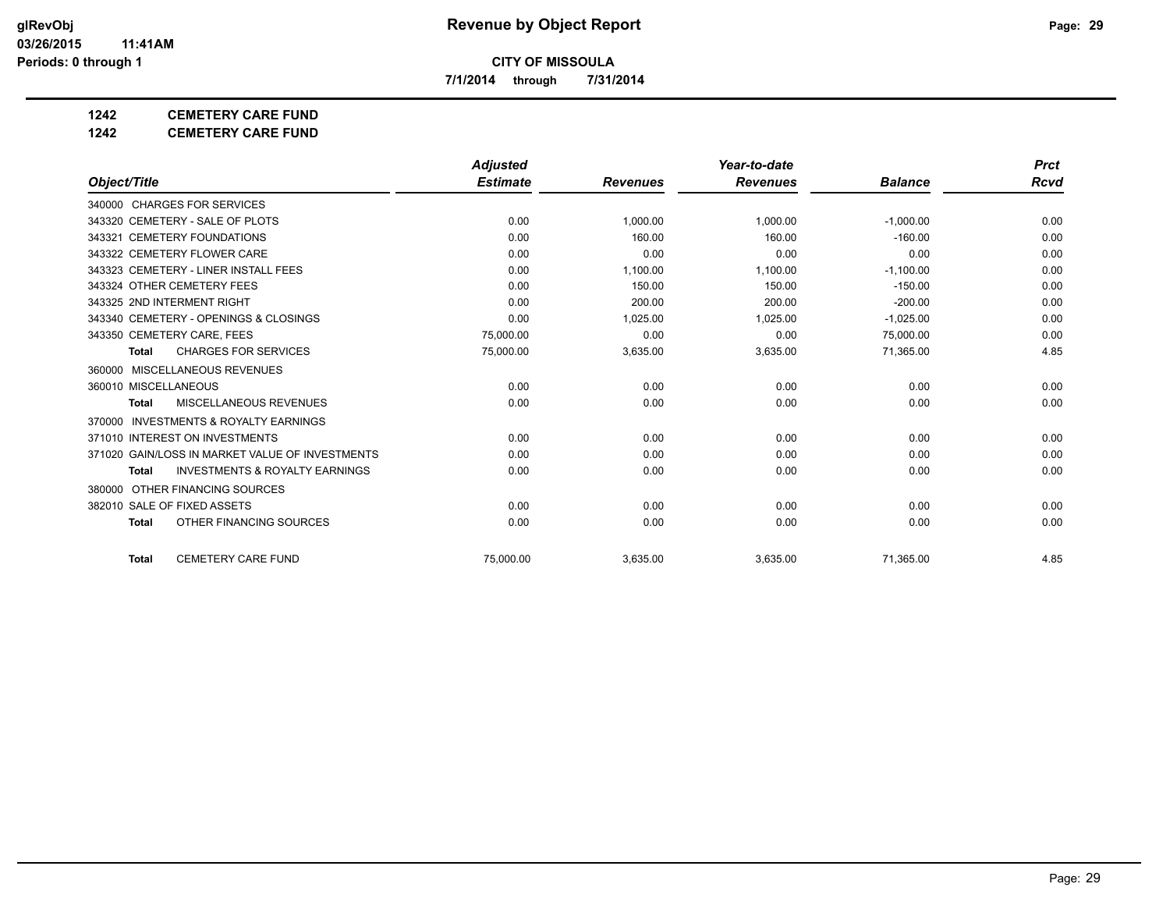**7/1/2014 through 7/31/2014**

## **1242 CEMETERY CARE FUND**

**1242 CEMETERY CARE FUND**

|                                                           | <b>Adjusted</b> |                 | Year-to-date    |                | <b>Prct</b> |
|-----------------------------------------------------------|-----------------|-----------------|-----------------|----------------|-------------|
| Object/Title                                              | <b>Estimate</b> | <b>Revenues</b> | <b>Revenues</b> | <b>Balance</b> | Rcvd        |
| 340000 CHARGES FOR SERVICES                               |                 |                 |                 |                |             |
| 343320 CEMETERY - SALE OF PLOTS                           | 0.00            | 1,000.00        | 1,000.00        | $-1,000.00$    | 0.00        |
| 343321 CEMETERY FOUNDATIONS                               | 0.00            | 160.00          | 160.00          | $-160.00$      | 0.00        |
| 343322 CEMETERY FLOWER CARE                               | 0.00            | 0.00            | 0.00            | 0.00           | 0.00        |
| 343323 CEMETERY - LINER INSTALL FEES                      | 0.00            | 1,100.00        | 1,100.00        | $-1,100.00$    | 0.00        |
| 343324 OTHER CEMETERY FEES                                | 0.00            | 150.00          | 150.00          | $-150.00$      | 0.00        |
| 343325 2ND INTERMENT RIGHT                                | 0.00            | 200.00          | 200.00          | $-200.00$      | 0.00        |
| 343340 CEMETERY - OPENINGS & CLOSINGS                     | 0.00            | 1,025.00        | 1,025.00        | $-1,025.00$    | 0.00        |
| 343350 CEMETERY CARE, FEES                                | 75.000.00       | 0.00            | 0.00            | 75,000.00      | 0.00        |
| <b>CHARGES FOR SERVICES</b><br><b>Total</b>               | 75,000.00       | 3,635.00        | 3,635.00        | 71,365.00      | 4.85        |
| 360000 MISCELLANEOUS REVENUES                             |                 |                 |                 |                |             |
| 360010 MISCELLANEOUS                                      | 0.00            | 0.00            | 0.00            | 0.00           | 0.00        |
| <b>MISCELLANEOUS REVENUES</b><br><b>Total</b>             | 0.00            | 0.00            | 0.00            | 0.00           | 0.00        |
| <b>INVESTMENTS &amp; ROYALTY EARNINGS</b><br>370000       |                 |                 |                 |                |             |
| 371010 INTEREST ON INVESTMENTS                            | 0.00            | 0.00            | 0.00            | 0.00           | 0.00        |
| 371020 GAIN/LOSS IN MARKET VALUE OF INVESTMENTS           | 0.00            | 0.00            | 0.00            | 0.00           | 0.00        |
| <b>INVESTMENTS &amp; ROYALTY EARNINGS</b><br><b>Total</b> | 0.00            | 0.00            | 0.00            | 0.00           | 0.00        |
| 380000 OTHER FINANCING SOURCES                            |                 |                 |                 |                |             |
| 382010 SALE OF FIXED ASSETS                               | 0.00            | 0.00            | 0.00            | 0.00           | 0.00        |
| OTHER FINANCING SOURCES<br><b>Total</b>                   | 0.00            | 0.00            | 0.00            | 0.00           | 0.00        |
| <b>CEMETERY CARE FUND</b><br><b>Total</b>                 | 75.000.00       | 3,635.00        | 3,635.00        | 71,365.00      | 4.85        |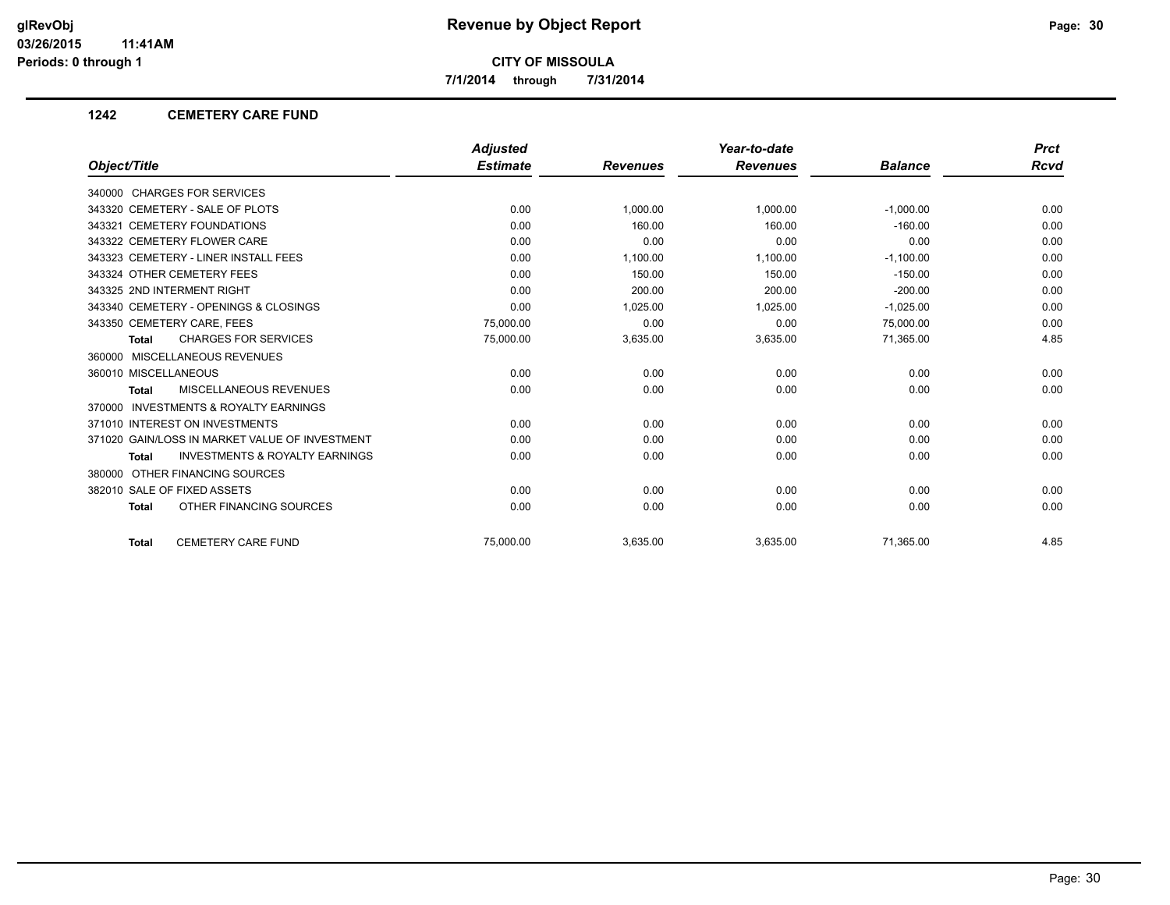**7/1/2014 through 7/31/2014**

#### **1242 CEMETERY CARE FUND**

|                                                           | <b>Adjusted</b> |                 | Year-to-date    |                | <b>Prct</b> |
|-----------------------------------------------------------|-----------------|-----------------|-----------------|----------------|-------------|
| Object/Title                                              | <b>Estimate</b> | <b>Revenues</b> | <b>Revenues</b> | <b>Balance</b> | Rcvd        |
| 340000 CHARGES FOR SERVICES                               |                 |                 |                 |                |             |
| 343320 CEMETERY - SALE OF PLOTS                           | 0.00            | 1,000.00        | 1,000.00        | $-1,000.00$    | 0.00        |
| 343321 CEMETERY FOUNDATIONS                               | 0.00            | 160.00          | 160.00          | $-160.00$      | 0.00        |
| 343322 CEMETERY FLOWER CARE                               | 0.00            | 0.00            | 0.00            | 0.00           | 0.00        |
| 343323 CEMETERY - LINER INSTALL FEES                      | 0.00            | 1,100.00        | 1,100.00        | $-1,100.00$    | 0.00        |
| 343324 OTHER CEMETERY FEES                                | 0.00            | 150.00          | 150.00          | $-150.00$      | 0.00        |
| 343325 2ND INTERMENT RIGHT                                | 0.00            | 200.00          | 200.00          | $-200.00$      | 0.00        |
| 343340 CEMETERY - OPENINGS & CLOSINGS                     | 0.00            | 1,025.00        | 1,025.00        | $-1,025.00$    | 0.00        |
| 343350 CEMETERY CARE, FEES                                | 75,000.00       | 0.00            | 0.00            | 75,000.00      | 0.00        |
| <b>CHARGES FOR SERVICES</b><br><b>Total</b>               | 75,000.00       | 3,635.00        | 3,635.00        | 71,365.00      | 4.85        |
| 360000 MISCELLANEOUS REVENUES                             |                 |                 |                 |                |             |
| 360010 MISCELLANEOUS                                      | 0.00            | 0.00            | 0.00            | 0.00           | 0.00        |
| <b>MISCELLANEOUS REVENUES</b><br><b>Total</b>             | 0.00            | 0.00            | 0.00            | 0.00           | 0.00        |
| <b>INVESTMENTS &amp; ROYALTY EARNINGS</b><br>370000       |                 |                 |                 |                |             |
| 371010 INTEREST ON INVESTMENTS                            | 0.00            | 0.00            | 0.00            | 0.00           | 0.00        |
| 371020 GAIN/LOSS IN MARKET VALUE OF INVESTMENT            | 0.00            | 0.00            | 0.00            | 0.00           | 0.00        |
| <b>INVESTMENTS &amp; ROYALTY EARNINGS</b><br><b>Total</b> | 0.00            | 0.00            | 0.00            | 0.00           | 0.00        |
| 380000 OTHER FINANCING SOURCES                            |                 |                 |                 |                |             |
| 382010 SALE OF FIXED ASSETS                               | 0.00            | 0.00            | 0.00            | 0.00           | 0.00        |
| OTHER FINANCING SOURCES<br><b>Total</b>                   | 0.00            | 0.00            | 0.00            | 0.00           | 0.00        |
| <b>CEMETERY CARE FUND</b><br><b>Total</b>                 | 75.000.00       | 3,635.00        | 3,635.00        | 71.365.00      | 4.85        |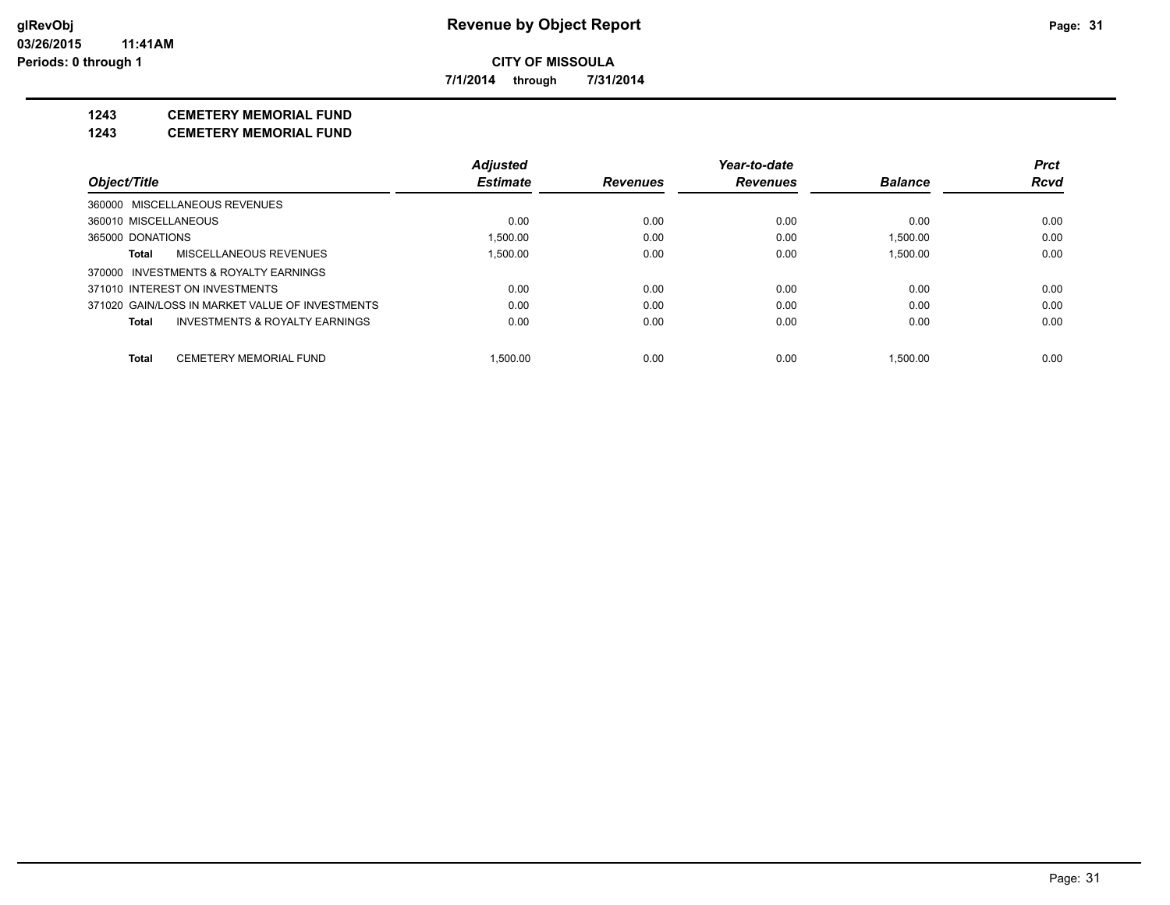**7/1/2014 through 7/31/2014**

## **1243 CEMETERY MEMORIAL FUND**

**1243 CEMETERY MEMORIAL FUND**

|                                |                                                 | <b>Adjusted</b> |                 | Year-to-date    |                | <b>Prct</b> |
|--------------------------------|-------------------------------------------------|-----------------|-----------------|-----------------|----------------|-------------|
| Object/Title                   |                                                 | <b>Estimate</b> | <b>Revenues</b> | <b>Revenues</b> | <b>Balance</b> | Rcvd        |
|                                | 360000 MISCELLANEOUS REVENUES                   |                 |                 |                 |                |             |
| 360010 MISCELLANEOUS           |                                                 | 0.00            | 0.00            | 0.00            | 0.00           | 0.00        |
| 365000 DONATIONS               |                                                 | 1.500.00        | 0.00            | 0.00            | 1,500.00       | 0.00        |
| Total                          | MISCELLANEOUS REVENUES                          | 1.500.00        | 0.00            | 0.00            | 1.500.00       | 0.00        |
|                                | 370000 INVESTMENTS & ROYALTY EARNINGS           |                 |                 |                 |                |             |
| 371010 INTEREST ON INVESTMENTS |                                                 | 0.00            | 0.00            | 0.00            | 0.00           | 0.00        |
|                                | 371020 GAIN/LOSS IN MARKET VALUE OF INVESTMENTS | 0.00            | 0.00            | 0.00            | 0.00           | 0.00        |
| <b>Total</b>                   | INVESTMENTS & ROYALTY EARNINGS                  | 0.00            | 0.00            | 0.00            | 0.00           | 0.00        |
| Total                          | <b>CEMETERY MEMORIAL FUND</b>                   | 1.500.00        | 0.00            | 0.00            | 1.500.00       | 0.00        |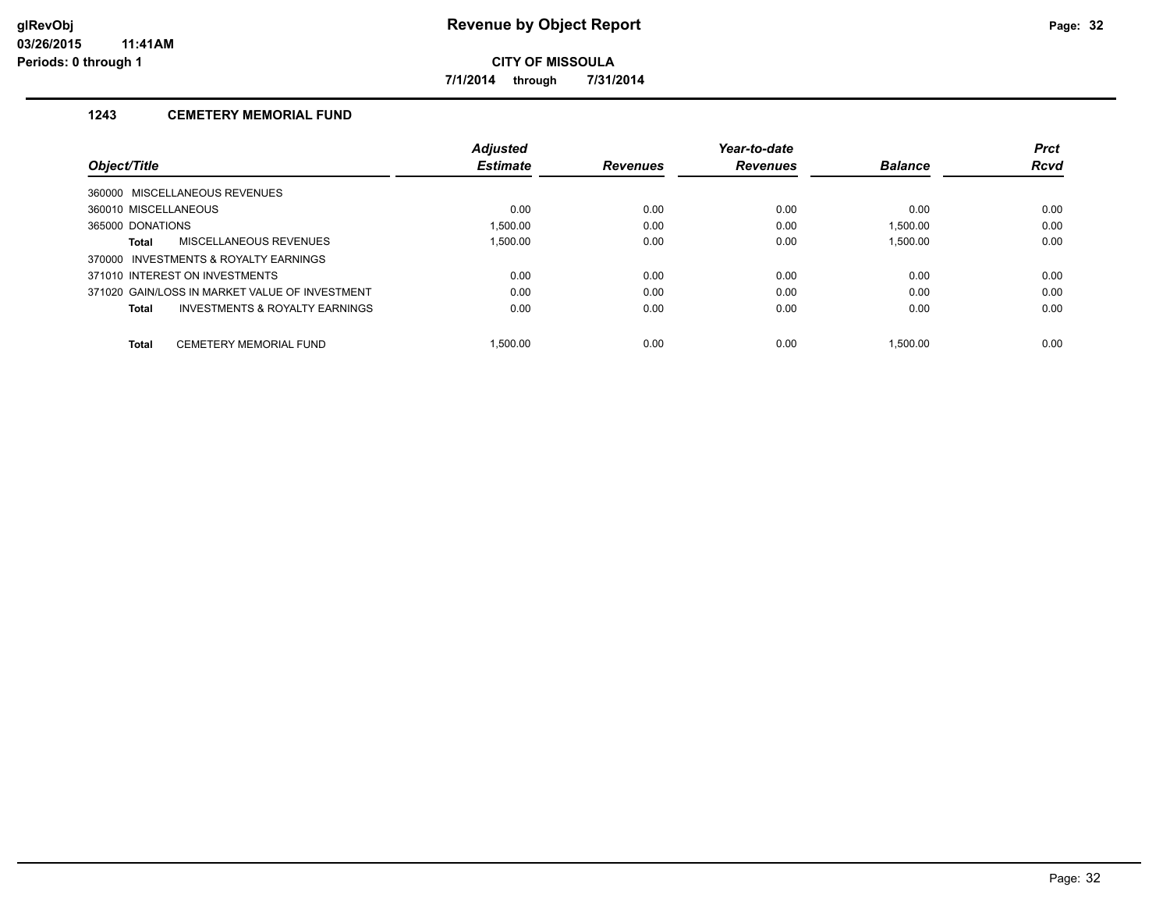**7/1/2014 through 7/31/2014**

## **1243 CEMETERY MEMORIAL FUND**

|                                       |                                                | <b>Adjusted</b> |                 | Year-to-date    |                | <b>Prct</b> |
|---------------------------------------|------------------------------------------------|-----------------|-----------------|-----------------|----------------|-------------|
| Object/Title                          |                                                | <b>Estimate</b> | <b>Revenues</b> | <b>Revenues</b> | <b>Balance</b> | <b>Rcvd</b> |
| 360000 MISCELLANEOUS REVENUES         |                                                |                 |                 |                 |                |             |
| 360010 MISCELLANEOUS                  |                                                | 0.00            | 0.00            | 0.00            | 0.00           | 0.00        |
| 365000 DONATIONS                      |                                                | 1.500.00        | 0.00            | 0.00            | 1.500.00       | 0.00        |
| <b>Total</b>                          | MISCELLANEOUS REVENUES                         | 1.500.00        | 0.00            | 0.00            | 1.500.00       | 0.00        |
| 370000 INVESTMENTS & ROYALTY EARNINGS |                                                |                 |                 |                 |                |             |
| 371010 INTEREST ON INVESTMENTS        |                                                | 0.00            | 0.00            | 0.00            | 0.00           | 0.00        |
|                                       | 371020 GAIN/LOSS IN MARKET VALUE OF INVESTMENT | 0.00            | 0.00            | 0.00            | 0.00           | 0.00        |
| <b>Total</b>                          | <b>INVESTMENTS &amp; ROYALTY EARNINGS</b>      | 0.00            | 0.00            | 0.00            | 0.00           | 0.00        |
| <b>Total</b>                          | <b>CEMETERY MEMORIAL FUND</b>                  | 1.500.00        | 0.00            | 0.00            | 1.500.00       | 0.00        |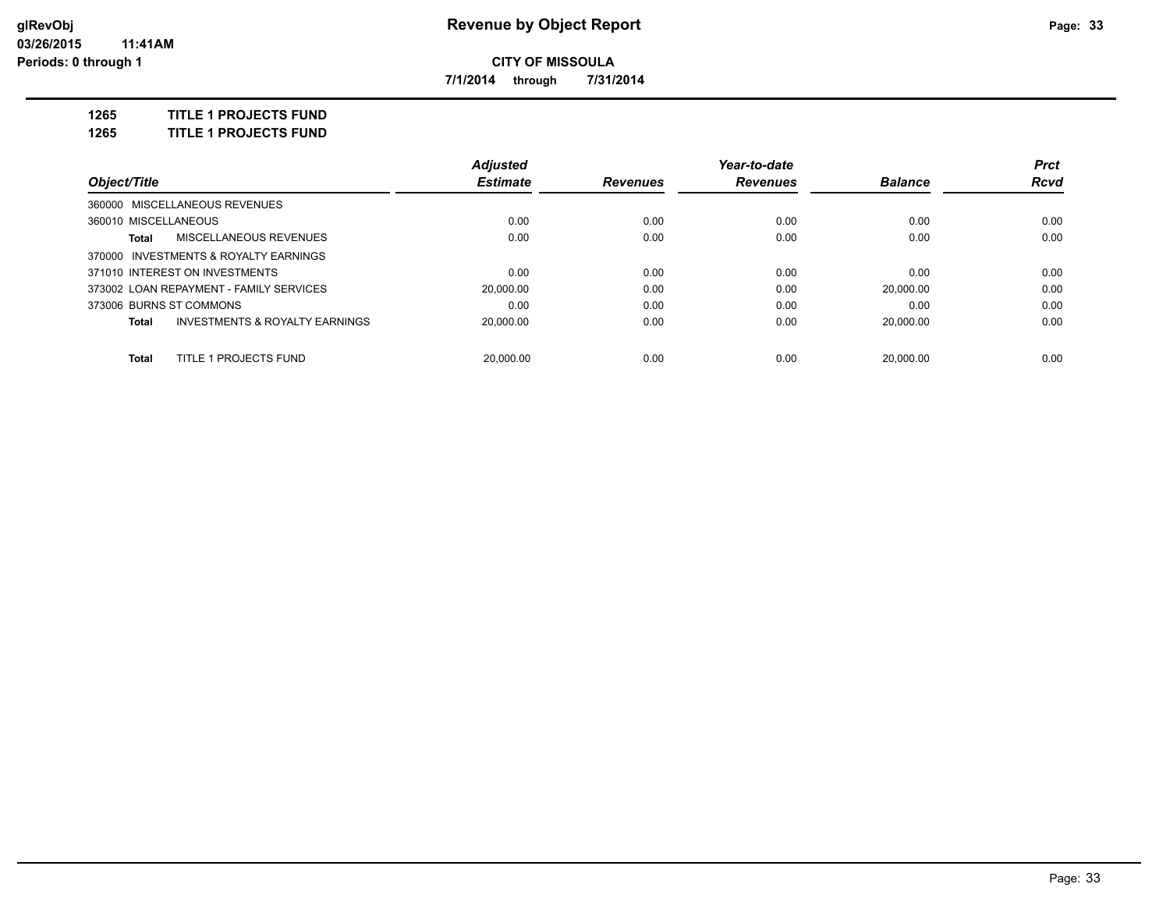**7/1/2014 through 7/31/2014**

**1265 TITLE 1 PROJECTS FUND**

**1265 TITLE 1 PROJECTS FUND**

|                         |                                           | <b>Adjusted</b> |                 | Year-to-date    |                | <b>Prct</b> |
|-------------------------|-------------------------------------------|-----------------|-----------------|-----------------|----------------|-------------|
| Object/Title            |                                           | <b>Estimate</b> | <b>Revenues</b> | <b>Revenues</b> | <b>Balance</b> | <b>Rcvd</b> |
|                         | 360000 MISCELLANEOUS REVENUES             |                 |                 |                 |                |             |
| 360010 MISCELLANEOUS    |                                           | 0.00            | 0.00            | 0.00            | 0.00           | 0.00        |
| Total                   | <b>MISCELLANEOUS REVENUES</b>             | 0.00            | 0.00            | 0.00            | 0.00           | 0.00        |
|                         | 370000 INVESTMENTS & ROYALTY EARNINGS     |                 |                 |                 |                |             |
|                         | 371010 INTEREST ON INVESTMENTS            | 0.00            | 0.00            | 0.00            | 0.00           | 0.00        |
|                         | 373002 LOAN REPAYMENT - FAMILY SERVICES   | 20,000.00       | 0.00            | 0.00            | 20.000.00      | 0.00        |
| 373006 BURNS ST COMMONS |                                           | 0.00            | 0.00            | 0.00            | 0.00           | 0.00        |
| Total                   | <b>INVESTMENTS &amp; ROYALTY EARNINGS</b> | 20,000.00       | 0.00            | 0.00            | 20.000.00      | 0.00        |
| Total                   | <b>TITLE 1 PROJECTS FUND</b>              | 20.000.00       | 0.00            | 0.00            | 20.000.00      | 0.00        |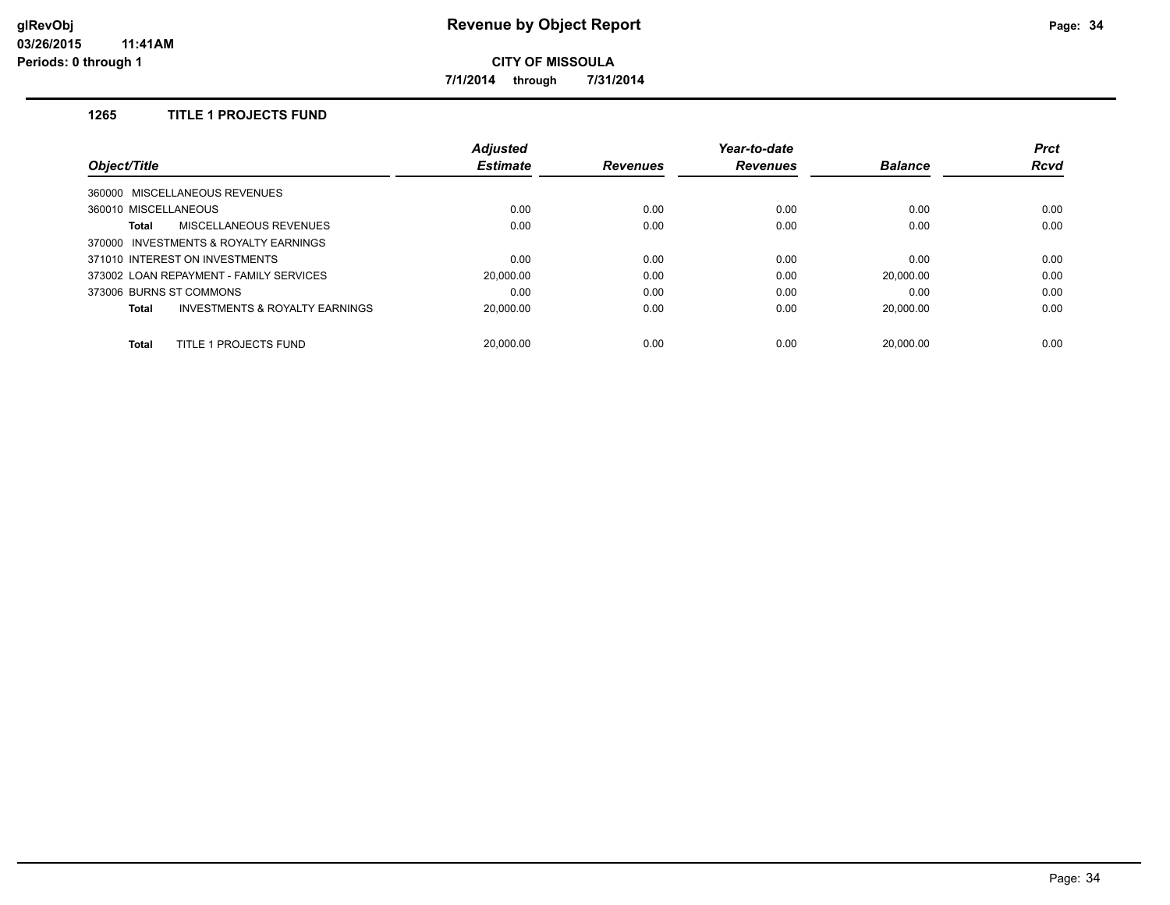**7/1/2014 through 7/31/2014**

## **1265 TITLE 1 PROJECTS FUND**

|                                         | <b>Adjusted</b> |                 | Year-to-date    |                | <b>Prct</b> |
|-----------------------------------------|-----------------|-----------------|-----------------|----------------|-------------|
| Object/Title                            | <b>Estimate</b> | <b>Revenues</b> | <b>Revenues</b> | <b>Balance</b> | <b>Rcvd</b> |
| 360000 MISCELLANEOUS REVENUES           |                 |                 |                 |                |             |
| 360010 MISCELLANEOUS                    | 0.00            | 0.00            | 0.00            | 0.00           | 0.00        |
| MISCELLANEOUS REVENUES<br>Total         | 0.00            | 0.00            | 0.00            | 0.00           | 0.00        |
| 370000 INVESTMENTS & ROYALTY EARNINGS   |                 |                 |                 |                |             |
| 371010 INTEREST ON INVESTMENTS          | 0.00            | 0.00            | 0.00            | 0.00           | 0.00        |
| 373002 LOAN REPAYMENT - FAMILY SERVICES | 20,000.00       | 0.00            | 0.00            | 20.000.00      | 0.00        |
| 373006 BURNS ST COMMONS                 | 0.00            | 0.00            | 0.00            | 0.00           | 0.00        |
| INVESTMENTS & ROYALTY EARNINGS<br>Total | 20,000.00       | 0.00            | 0.00            | 20.000.00      | 0.00        |
| TITLE 1 PROJECTS FUND<br><b>Total</b>   | 20.000.00       | 0.00            | 0.00            | 20.000.00      | 0.00        |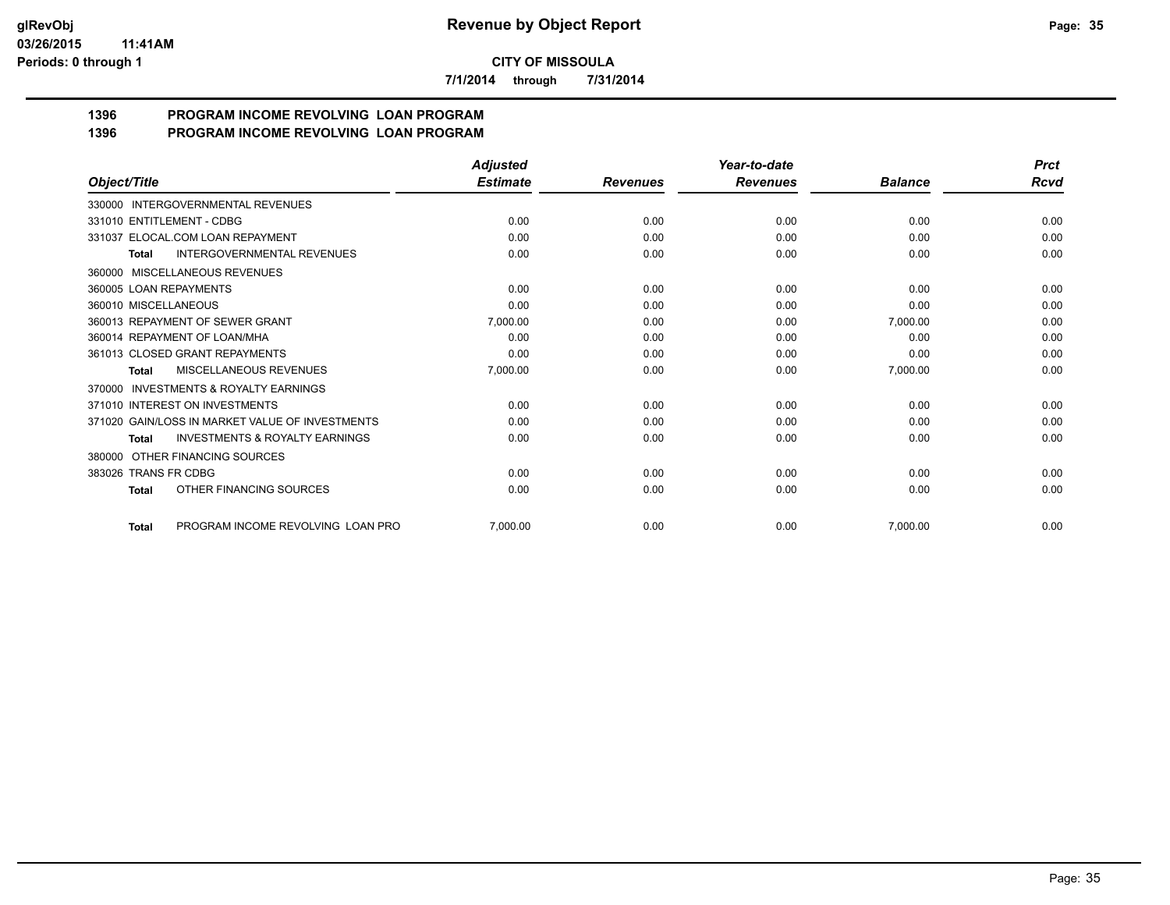**7/1/2014 through 7/31/2014**

#### **1396 PROGRAM INCOME REVOLVING LOAN PROGRAM 1396 PROGRAM INCOME REVOLVING LOAN PROGRAM**

|                                                           | Adjusted        |                 | Year-to-date    |                | <b>Prct</b> |
|-----------------------------------------------------------|-----------------|-----------------|-----------------|----------------|-------------|
| Object/Title                                              | <b>Estimate</b> | <b>Revenues</b> | <b>Revenues</b> | <b>Balance</b> | Rcvd        |
| <b>INTERGOVERNMENTAL REVENUES</b><br>330000               |                 |                 |                 |                |             |
| 331010 ENTITLEMENT - CDBG                                 | 0.00            | 0.00            | 0.00            | 0.00           | 0.00        |
| 331037 ELOCAL.COM LOAN REPAYMENT                          | 0.00            | 0.00            | 0.00            | 0.00           | 0.00        |
| <b>INTERGOVERNMENTAL REVENUES</b><br><b>Total</b>         | 0.00            | 0.00            | 0.00            | 0.00           | 0.00        |
| MISCELLANEOUS REVENUES<br>360000                          |                 |                 |                 |                |             |
| 360005 LOAN REPAYMENTS                                    | 0.00            | 0.00            | 0.00            | 0.00           | 0.00        |
| 360010 MISCELLANEOUS                                      | 0.00            | 0.00            | 0.00            | 0.00           | 0.00        |
| 360013 REPAYMENT OF SEWER GRANT                           | 7,000.00        | 0.00            | 0.00            | 7,000.00       | 0.00        |
| 360014 REPAYMENT OF LOAN/MHA                              | 0.00            | 0.00            | 0.00            | 0.00           | 0.00        |
| 361013 CLOSED GRANT REPAYMENTS                            | 0.00            | 0.00            | 0.00            | 0.00           | 0.00        |
| <b>MISCELLANEOUS REVENUES</b><br><b>Total</b>             | 7,000.00        | 0.00            | 0.00            | 7,000.00       | 0.00        |
| <b>INVESTMENTS &amp; ROYALTY EARNINGS</b><br>370000       |                 |                 |                 |                |             |
| 371010 INTEREST ON INVESTMENTS                            | 0.00            | 0.00            | 0.00            | 0.00           | 0.00        |
| 371020 GAIN/LOSS IN MARKET VALUE OF INVESTMENTS           | 0.00            | 0.00            | 0.00            | 0.00           | 0.00        |
| <b>INVESTMENTS &amp; ROYALTY EARNINGS</b><br><b>Total</b> | 0.00            | 0.00            | 0.00            | 0.00           | 0.00        |
| OTHER FINANCING SOURCES<br>380000                         |                 |                 |                 |                |             |
| 383026 TRANS FR CDBG                                      | 0.00            | 0.00            | 0.00            | 0.00           | 0.00        |
| OTHER FINANCING SOURCES<br><b>Total</b>                   | 0.00            | 0.00            | 0.00            | 0.00           | 0.00        |
| PROGRAM INCOME REVOLVING LOAN PRO<br><b>Total</b>         | 7,000.00        | 0.00            | 0.00            | 7.000.00       | 0.00        |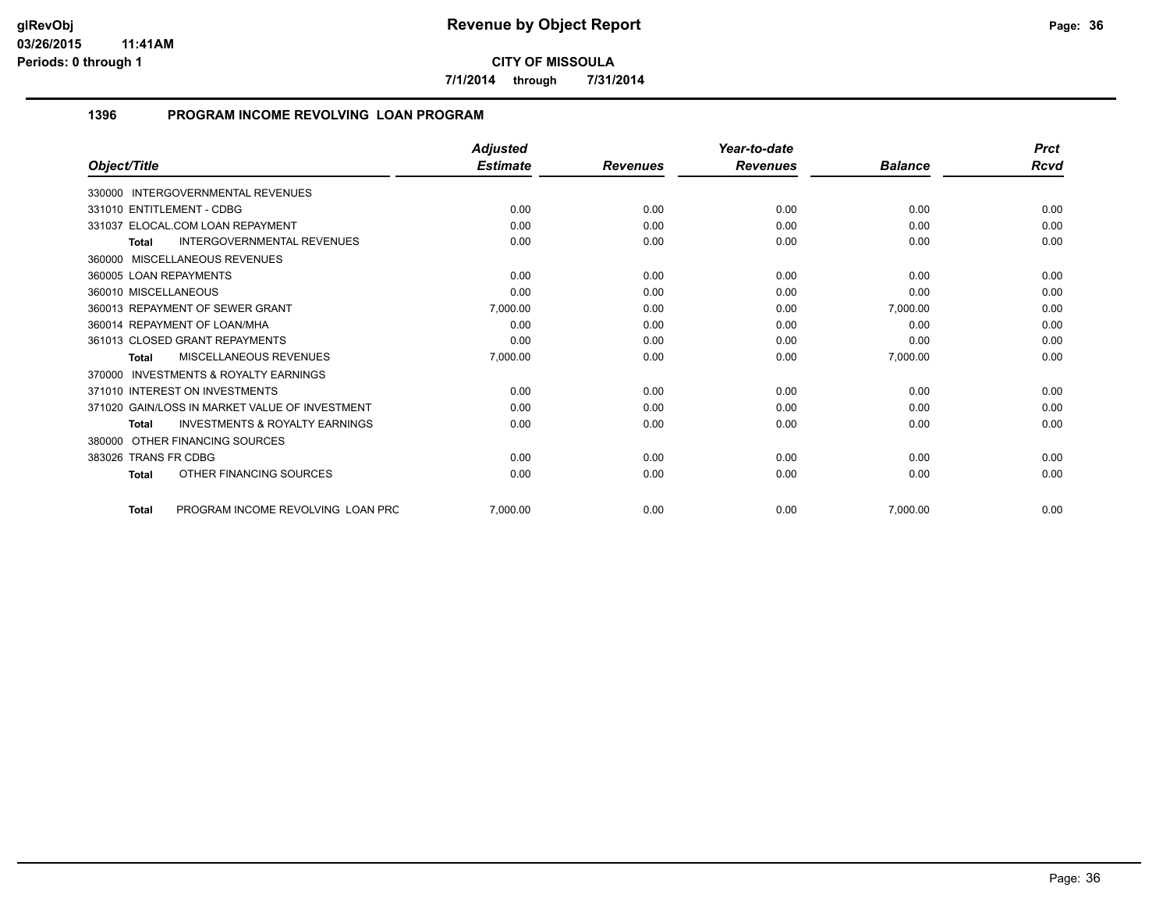**7/1/2014 through 7/31/2014**

## **1396 PROGRAM INCOME REVOLVING LOAN PROGRAM**

| Object/Title                                              | <b>Adjusted</b><br><b>Estimate</b> |                 | Year-to-date<br><b>Revenues</b> | <b>Balance</b> | <b>Prct</b><br>Rcvd |
|-----------------------------------------------------------|------------------------------------|-----------------|---------------------------------|----------------|---------------------|
|                                                           |                                    | <b>Revenues</b> |                                 |                |                     |
| <b>INTERGOVERNMENTAL REVENUES</b><br>330000               |                                    |                 |                                 |                |                     |
| 331010 ENTITLEMENT - CDBG                                 | 0.00                               | 0.00            | 0.00                            | 0.00           | 0.00                |
| 331037 ELOCAL.COM LOAN REPAYMENT                          | 0.00                               | 0.00            | 0.00                            | 0.00           | 0.00                |
| <b>INTERGOVERNMENTAL REVENUES</b><br><b>Total</b>         | 0.00                               | 0.00            | 0.00                            | 0.00           | 0.00                |
| MISCELLANEOUS REVENUES<br>360000                          |                                    |                 |                                 |                |                     |
| 360005 LOAN REPAYMENTS                                    | 0.00                               | 0.00            | 0.00                            | 0.00           | 0.00                |
| 360010 MISCELLANEOUS                                      | 0.00                               | 0.00            | 0.00                            | 0.00           | 0.00                |
| 360013 REPAYMENT OF SEWER GRANT                           | 7,000.00                           | 0.00            | 0.00                            | 7,000.00       | 0.00                |
| 360014 REPAYMENT OF LOAN/MHA                              | 0.00                               | 0.00            | 0.00                            | 0.00           | 0.00                |
| 361013 CLOSED GRANT REPAYMENTS                            | 0.00                               | 0.00            | 0.00                            | 0.00           | 0.00                |
| MISCELLANEOUS REVENUES<br>Total                           | 7,000.00                           | 0.00            | 0.00                            | 7,000.00       | 0.00                |
| <b>INVESTMENTS &amp; ROYALTY EARNINGS</b><br>370000       |                                    |                 |                                 |                |                     |
| 371010 INTEREST ON INVESTMENTS                            | 0.00                               | 0.00            | 0.00                            | 0.00           | 0.00                |
| 371020 GAIN/LOSS IN MARKET VALUE OF INVESTMENT            | 0.00                               | 0.00            | 0.00                            | 0.00           | 0.00                |
| <b>INVESTMENTS &amp; ROYALTY EARNINGS</b><br><b>Total</b> | 0.00                               | 0.00            | 0.00                            | 0.00           | 0.00                |
| OTHER FINANCING SOURCES<br>380000                         |                                    |                 |                                 |                |                     |
| 383026 TRANS FR CDBG                                      | 0.00                               | 0.00            | 0.00                            | 0.00           | 0.00                |
| OTHER FINANCING SOURCES<br><b>Total</b>                   | 0.00                               | 0.00            | 0.00                            | 0.00           | 0.00                |
| PROGRAM INCOME REVOLVING LOAN PRC<br><b>Total</b>         | 7.000.00                           | 0.00            | 0.00                            | 7.000.00       | 0.00                |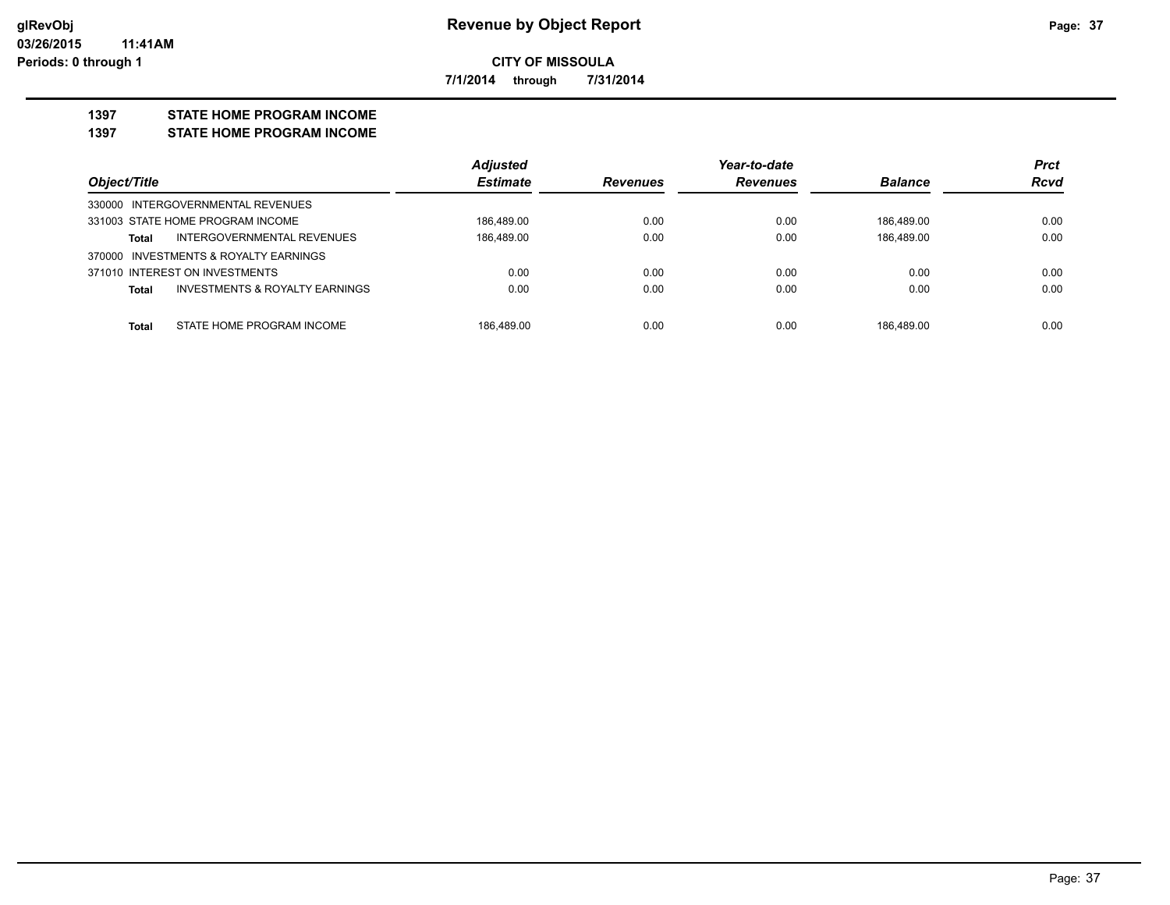**7/1/2014 through 7/31/2014**

#### **1397 STATE HOME PROGRAM INCOME**

**1397 STATE HOME PROGRAM INCOME**

|                                                           | <b>Adjusted</b> |                 | Year-to-date    |                | <b>Prct</b> |
|-----------------------------------------------------------|-----------------|-----------------|-----------------|----------------|-------------|
| Object/Title                                              | <b>Estimate</b> | <b>Revenues</b> | <b>Revenues</b> | <b>Balance</b> | <b>Rcvd</b> |
| 330000 INTERGOVERNMENTAL REVENUES                         |                 |                 |                 |                |             |
| 331003 STATE HOME PROGRAM INCOME                          | 186.489.00      | 0.00            | 0.00            | 186.489.00     | 0.00        |
| INTERGOVERNMENTAL REVENUES<br><b>Total</b>                | 186.489.00      | 0.00            | 0.00            | 186.489.00     | 0.00        |
| 370000 INVESTMENTS & ROYALTY EARNINGS                     |                 |                 |                 |                |             |
| 371010 INTEREST ON INVESTMENTS                            | 0.00            | 0.00            | 0.00            | 0.00           | 0.00        |
| <b>INVESTMENTS &amp; ROYALTY EARNINGS</b><br><b>Total</b> | 0.00            | 0.00            | 0.00            | 0.00           | 0.00        |
|                                                           |                 |                 |                 |                |             |
| STATE HOME PROGRAM INCOME<br><b>Total</b>                 | 186.489.00      | 0.00            | 0.00            | 186.489.00     | 0.00        |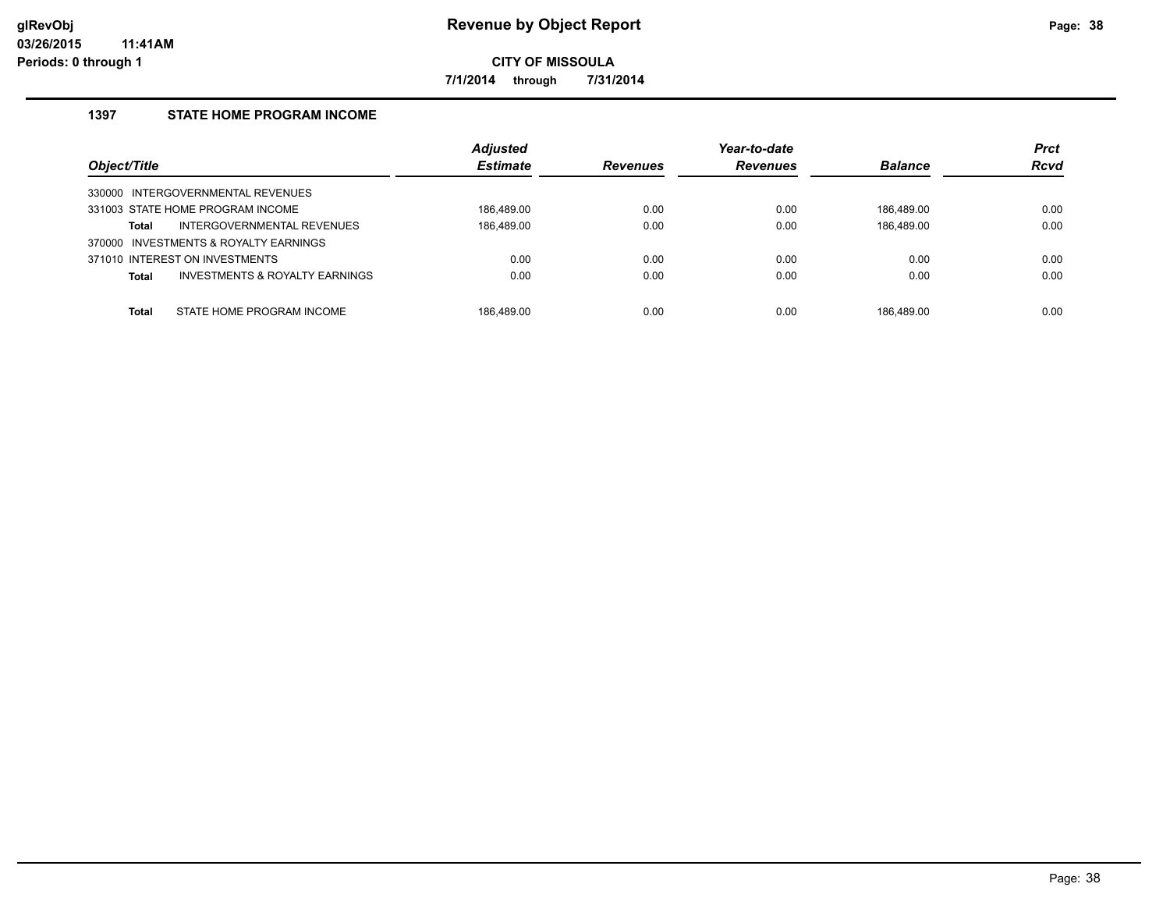**7/1/2014 through 7/31/2014**

#### **1397 STATE HOME PROGRAM INCOME**

| Object/Title                                              | <b>Adjusted</b><br><b>Estimate</b> | <b>Revenues</b> | Year-to-date<br><b>Revenues</b> | <b>Balance</b> | <b>Prct</b><br><b>Rcvd</b> |
|-----------------------------------------------------------|------------------------------------|-----------------|---------------------------------|----------------|----------------------------|
| 330000 INTERGOVERNMENTAL REVENUES                         |                                    |                 |                                 |                |                            |
| 331003 STATE HOME PROGRAM INCOME                          | 186.489.00                         | 0.00            | 0.00                            | 186.489.00     | 0.00                       |
| INTERGOVERNMENTAL REVENUES<br>Total                       | 186,489.00                         | 0.00            | 0.00                            | 186,489.00     | 0.00                       |
| 370000 INVESTMENTS & ROYALTY EARNINGS                     |                                    |                 |                                 |                |                            |
| 371010 INTEREST ON INVESTMENTS                            | 0.00                               | 0.00            | 0.00                            | 0.00           | 0.00                       |
| <b>INVESTMENTS &amp; ROYALTY EARNINGS</b><br><b>Total</b> | 0.00                               | 0.00            | 0.00                            | 0.00           | 0.00                       |
|                                                           |                                    |                 |                                 |                |                            |
| STATE HOME PROGRAM INCOME<br><b>Total</b>                 | 186.489.00                         | 0.00            | 0.00                            | 186.489.00     | 0.00                       |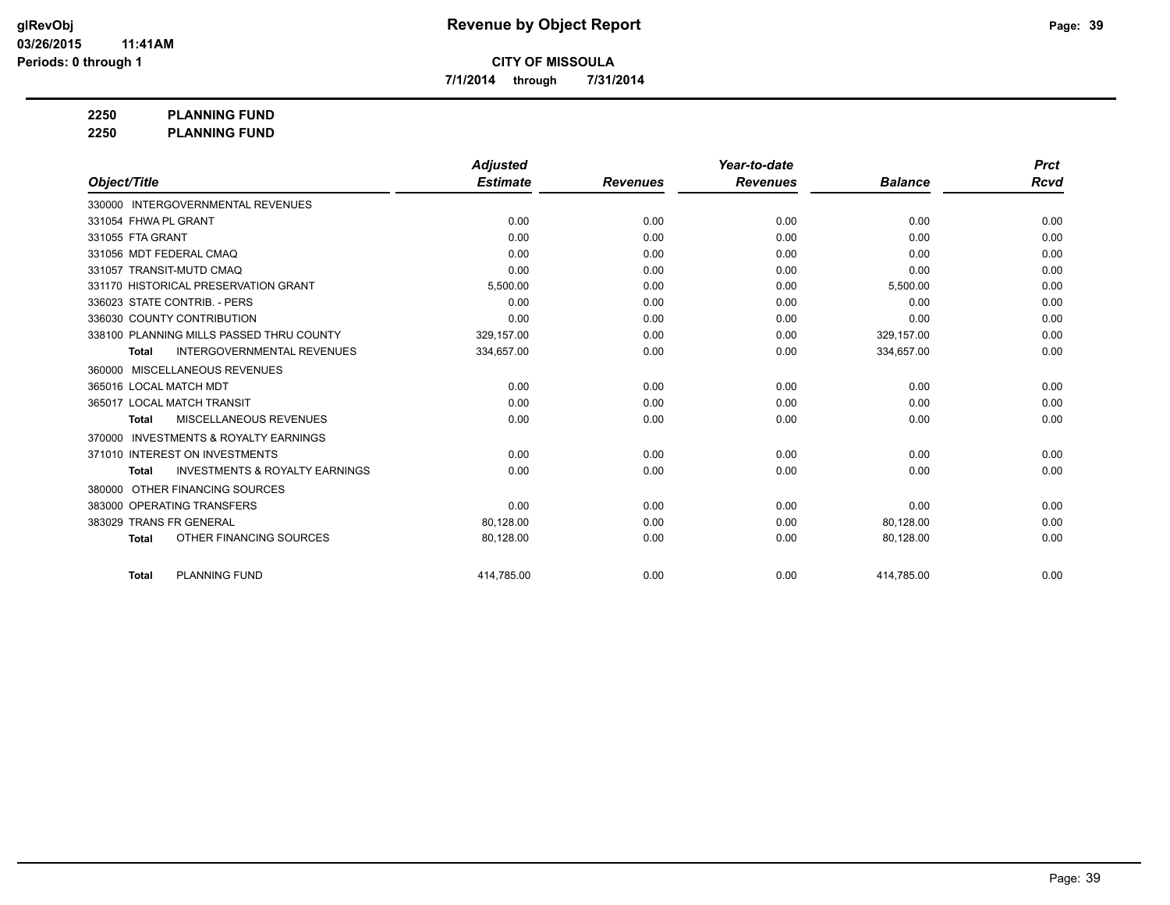**7/1/2014 through 7/31/2014**

**2250 PLANNING FUND**

**2250 PLANNING FUND**

|                                                           | <b>Adjusted</b> |                 | Year-to-date    |                | <b>Prct</b> |
|-----------------------------------------------------------|-----------------|-----------------|-----------------|----------------|-------------|
| Object/Title                                              | <b>Estimate</b> | <b>Revenues</b> | <b>Revenues</b> | <b>Balance</b> | Rcvd        |
| 330000 INTERGOVERNMENTAL REVENUES                         |                 |                 |                 |                |             |
| 331054 FHWA PL GRANT                                      | 0.00            | 0.00            | 0.00            | 0.00           | 0.00        |
| 331055 FTA GRANT                                          | 0.00            | 0.00            | 0.00            | 0.00           | 0.00        |
| 331056 MDT FEDERAL CMAQ                                   | 0.00            | 0.00            | 0.00            | 0.00           | 0.00        |
| 331057 TRANSIT-MUTD CMAQ                                  | 0.00            | 0.00            | 0.00            | 0.00           | 0.00        |
| 331170 HISTORICAL PRESERVATION GRANT                      | 5,500.00        | 0.00            | 0.00            | 5,500.00       | 0.00        |
| 336023 STATE CONTRIB. - PERS                              | 0.00            | 0.00            | 0.00            | 0.00           | 0.00        |
| 336030 COUNTY CONTRIBUTION                                | 0.00            | 0.00            | 0.00            | 0.00           | 0.00        |
| 338100 PLANNING MILLS PASSED THRU COUNTY                  | 329,157.00      | 0.00            | 0.00            | 329,157.00     | 0.00        |
| <b>INTERGOVERNMENTAL REVENUES</b><br><b>Total</b>         | 334,657.00      | 0.00            | 0.00            | 334,657.00     | 0.00        |
| <b>MISCELLANEOUS REVENUES</b><br>360000                   |                 |                 |                 |                |             |
| 365016 LOCAL MATCH MDT                                    | 0.00            | 0.00            | 0.00            | 0.00           | 0.00        |
| 365017 LOCAL MATCH TRANSIT                                | 0.00            | 0.00            | 0.00            | 0.00           | 0.00        |
| MISCELLANEOUS REVENUES<br><b>Total</b>                    | 0.00            | 0.00            | 0.00            | 0.00           | 0.00        |
| <b>INVESTMENTS &amp; ROYALTY EARNINGS</b><br>370000       |                 |                 |                 |                |             |
| 371010 INTEREST ON INVESTMENTS                            | 0.00            | 0.00            | 0.00            | 0.00           | 0.00        |
| <b>INVESTMENTS &amp; ROYALTY EARNINGS</b><br><b>Total</b> | 0.00            | 0.00            | 0.00            | 0.00           | 0.00        |
| OTHER FINANCING SOURCES<br>380000                         |                 |                 |                 |                |             |
| 383000 OPERATING TRANSFERS                                | 0.00            | 0.00            | 0.00            | 0.00           | 0.00        |
| 383029 TRANS FR GENERAL                                   | 80,128.00       | 0.00            | 0.00            | 80,128.00      | 0.00        |
| OTHER FINANCING SOURCES<br><b>Total</b>                   | 80,128.00       | 0.00            | 0.00            | 80,128.00      | 0.00        |
| <b>PLANNING FUND</b><br><b>Total</b>                      | 414.785.00      | 0.00            | 0.00            | 414,785.00     | 0.00        |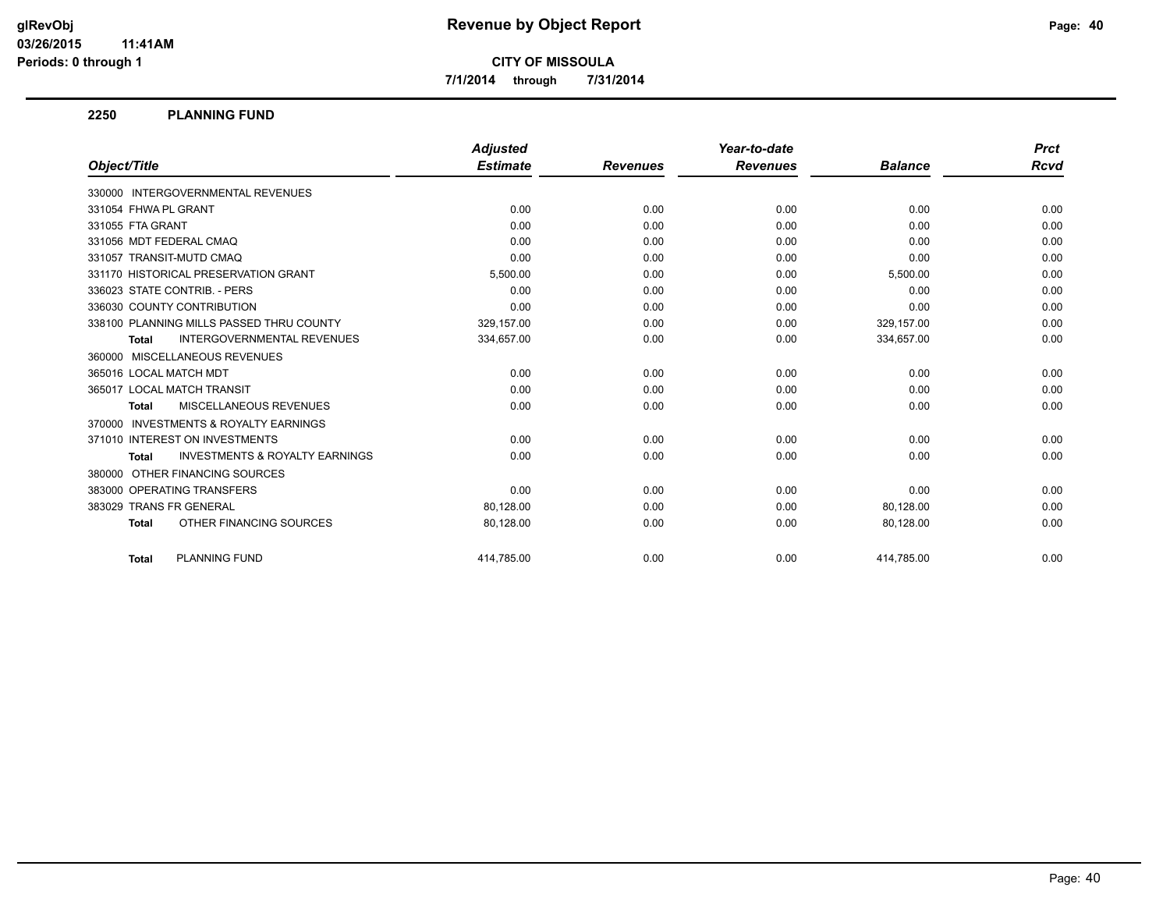**7/1/2014 through 7/31/2014**

#### **2250 PLANNING FUND**

|                                                           | <b>Adjusted</b> |                 | Year-to-date    |                | <b>Prct</b> |
|-----------------------------------------------------------|-----------------|-----------------|-----------------|----------------|-------------|
| Object/Title                                              | <b>Estimate</b> | <b>Revenues</b> | <b>Revenues</b> | <b>Balance</b> | Rcvd        |
| 330000 INTERGOVERNMENTAL REVENUES                         |                 |                 |                 |                |             |
| 331054 FHWA PL GRANT                                      | 0.00            | 0.00            | 0.00            | 0.00           | 0.00        |
| 331055 FTA GRANT                                          | 0.00            | 0.00            | 0.00            | 0.00           | 0.00        |
| 331056 MDT FEDERAL CMAQ                                   | 0.00            | 0.00            | 0.00            | 0.00           | 0.00        |
| 331057 TRANSIT-MUTD CMAQ                                  | 0.00            | 0.00            | 0.00            | 0.00           | 0.00        |
| 331170 HISTORICAL PRESERVATION GRANT                      | 5,500.00        | 0.00            | 0.00            | 5,500.00       | 0.00        |
| 336023 STATE CONTRIB. - PERS                              | 0.00            | 0.00            | 0.00            | 0.00           | 0.00        |
| 336030 COUNTY CONTRIBUTION                                | 0.00            | 0.00            | 0.00            | 0.00           | 0.00        |
| 338100 PLANNING MILLS PASSED THRU COUNTY                  | 329,157.00      | 0.00            | 0.00            | 329,157.00     | 0.00        |
| <b>INTERGOVERNMENTAL REVENUES</b><br><b>Total</b>         | 334,657.00      | 0.00            | 0.00            | 334,657.00     | 0.00        |
| 360000 MISCELLANEOUS REVENUES                             |                 |                 |                 |                |             |
| 365016 LOCAL MATCH MDT                                    | 0.00            | 0.00            | 0.00            | 0.00           | 0.00        |
| 365017 LOCAL MATCH TRANSIT                                | 0.00            | 0.00            | 0.00            | 0.00           | 0.00        |
| MISCELLANEOUS REVENUES<br><b>Total</b>                    | 0.00            | 0.00            | 0.00            | 0.00           | 0.00        |
| 370000 INVESTMENTS & ROYALTY EARNINGS                     |                 |                 |                 |                |             |
| 371010 INTEREST ON INVESTMENTS                            | 0.00            | 0.00            | 0.00            | 0.00           | 0.00        |
| <b>INVESTMENTS &amp; ROYALTY EARNINGS</b><br><b>Total</b> | 0.00            | 0.00            | 0.00            | 0.00           | 0.00        |
| 380000 OTHER FINANCING SOURCES                            |                 |                 |                 |                |             |
| 383000 OPERATING TRANSFERS                                | 0.00            | 0.00            | 0.00            | 0.00           | 0.00        |
| 383029 TRANS FR GENERAL                                   | 80.128.00       | 0.00            | 0.00            | 80,128.00      | 0.00        |
| OTHER FINANCING SOURCES<br><b>Total</b>                   | 80,128.00       | 0.00            | 0.00            | 80,128.00      | 0.00        |
| <b>PLANNING FUND</b><br><b>Total</b>                      | 414.785.00      | 0.00            | 0.00            | 414.785.00     | 0.00        |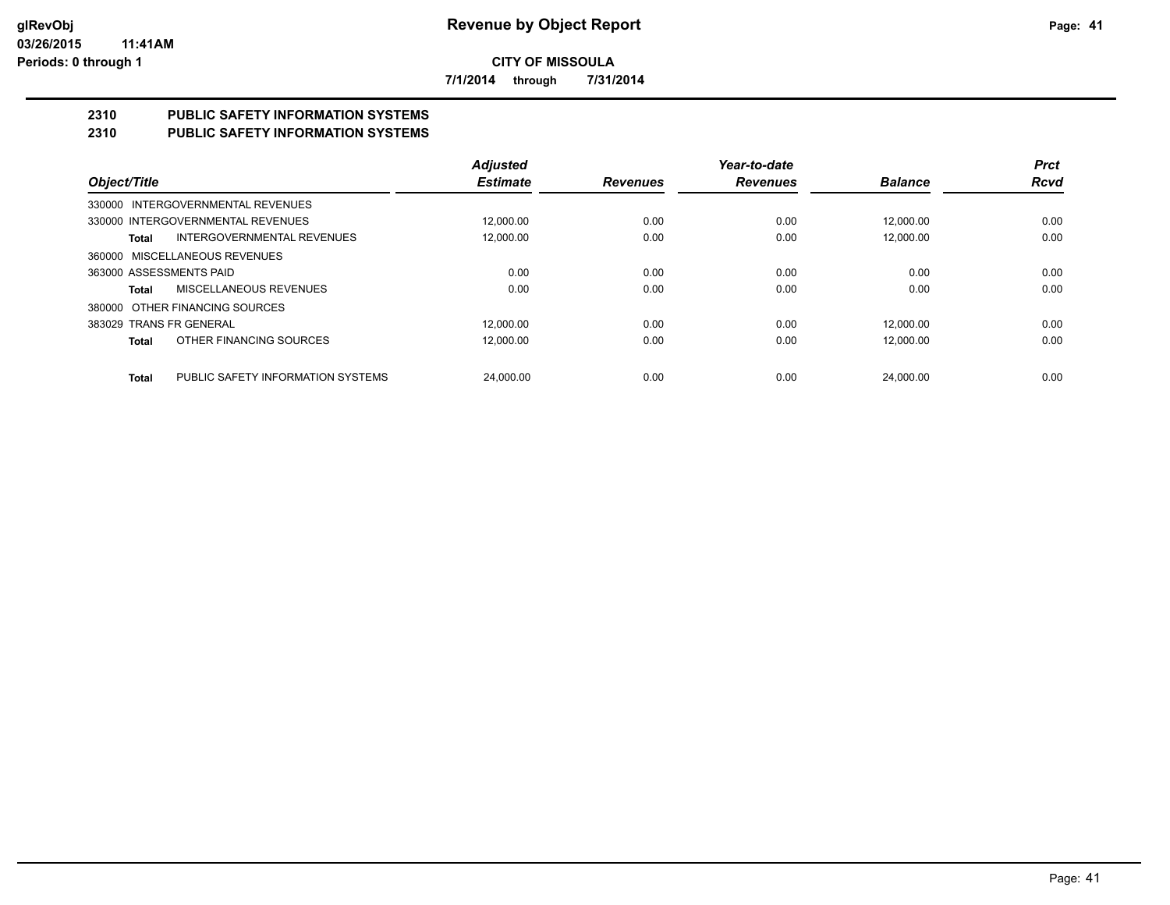**7/1/2014 through 7/31/2014**

#### **2310 PUBLIC SAFETY INFORMATION SYSTEMS 2310 PUBLIC SAFETY INFORMATION SYSTEMS**

|                                                   | <b>Adjusted</b> |                 | Year-to-date    |                | <b>Prct</b> |
|---------------------------------------------------|-----------------|-----------------|-----------------|----------------|-------------|
| Object/Title                                      | <b>Estimate</b> | <b>Revenues</b> | <b>Revenues</b> | <b>Balance</b> | <b>Rcvd</b> |
| 330000 INTERGOVERNMENTAL REVENUES                 |                 |                 |                 |                |             |
| 330000 INTERGOVERNMENTAL REVENUES                 | 12.000.00       | 0.00            | 0.00            | 12.000.00      | 0.00        |
| <b>INTERGOVERNMENTAL REVENUES</b><br>Total        | 12,000.00       | 0.00            | 0.00            | 12.000.00      | 0.00        |
| 360000 MISCELLANEOUS REVENUES                     |                 |                 |                 |                |             |
| 363000 ASSESSMENTS PAID                           | 0.00            | 0.00            | 0.00            | 0.00           | 0.00        |
| MISCELLANEOUS REVENUES<br>Total                   | 0.00            | 0.00            | 0.00            | 0.00           | 0.00        |
| OTHER FINANCING SOURCES<br>380000                 |                 |                 |                 |                |             |
| 383029 TRANS FR GENERAL                           | 12.000.00       | 0.00            | 0.00            | 12.000.00      | 0.00        |
| OTHER FINANCING SOURCES<br>Total                  | 12.000.00       | 0.00            | 0.00            | 12.000.00      | 0.00        |
|                                                   |                 |                 |                 |                |             |
| PUBLIC SAFETY INFORMATION SYSTEMS<br><b>Total</b> | 24.000.00       | 0.00            | 0.00            | 24.000.00      | 0.00        |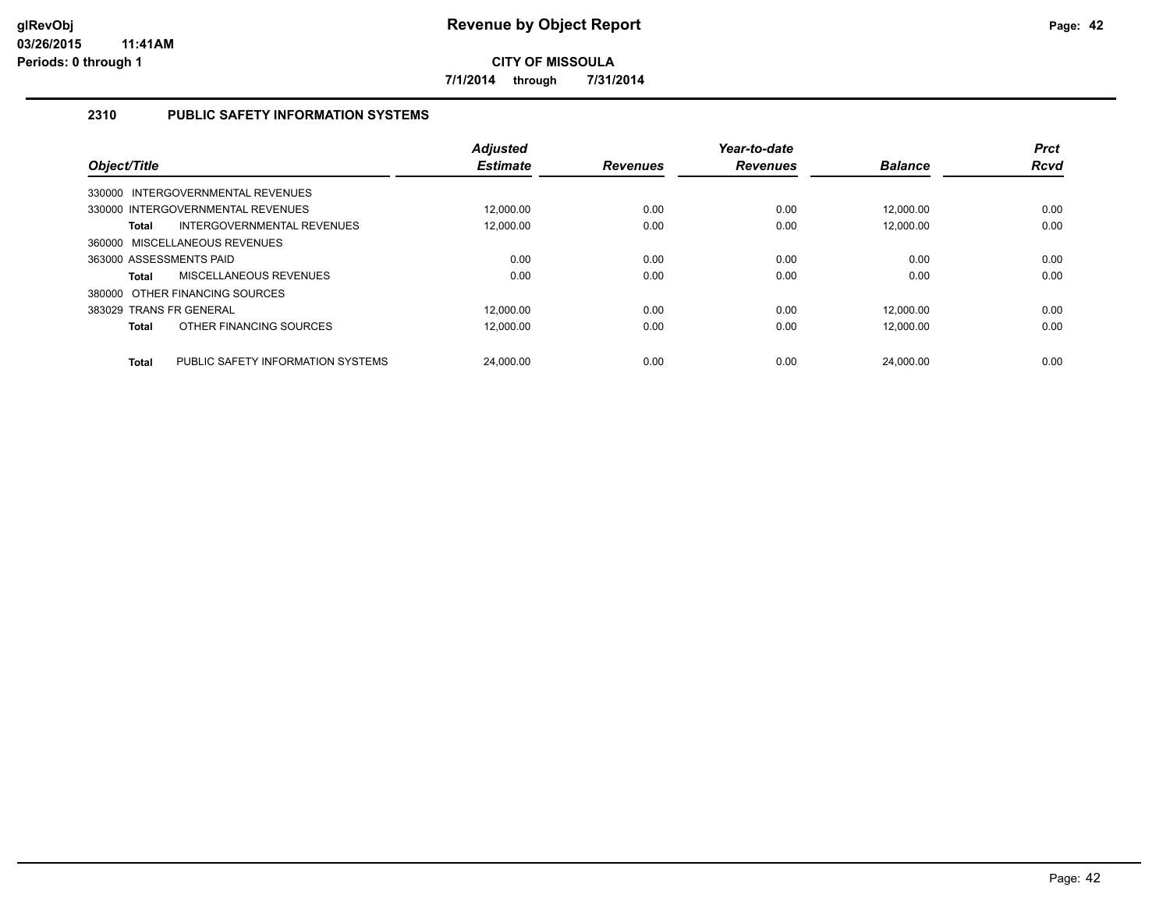**7/1/2014 through 7/31/2014**

#### **2310 PUBLIC SAFETY INFORMATION SYSTEMS**

| Object/Title                                      | <b>Adjusted</b><br><b>Estimate</b> | <b>Revenues</b> | Year-to-date<br><b>Revenues</b> | <b>Balance</b> | <b>Prct</b><br><b>Rcvd</b> |
|---------------------------------------------------|------------------------------------|-----------------|---------------------------------|----------------|----------------------------|
| 330000 INTERGOVERNMENTAL REVENUES                 |                                    |                 |                                 |                |                            |
| 330000 INTERGOVERNMENTAL REVENUES                 | 12.000.00                          | 0.00            | 0.00                            | 12.000.00      | 0.00                       |
| INTERGOVERNMENTAL REVENUES<br><b>Total</b>        | 12.000.00                          | 0.00            | 0.00                            | 12.000.00      | 0.00                       |
| 360000 MISCELLANEOUS REVENUES                     |                                    |                 |                                 |                |                            |
| 363000 ASSESSMENTS PAID                           | 0.00                               | 0.00            | 0.00                            | 0.00           | 0.00                       |
| MISCELLANEOUS REVENUES<br><b>Total</b>            | 0.00                               | 0.00            | 0.00                            | 0.00           | 0.00                       |
| 380000 OTHER FINANCING SOURCES                    |                                    |                 |                                 |                |                            |
| 383029 TRANS FR GENERAL                           | 12.000.00                          | 0.00            | 0.00                            | 12.000.00      | 0.00                       |
| OTHER FINANCING SOURCES<br><b>Total</b>           | 12.000.00                          | 0.00            | 0.00                            | 12.000.00      | 0.00                       |
| PUBLIC SAFETY INFORMATION SYSTEMS<br><b>Total</b> | 24.000.00                          | 0.00            | 0.00                            | 24.000.00      | 0.00                       |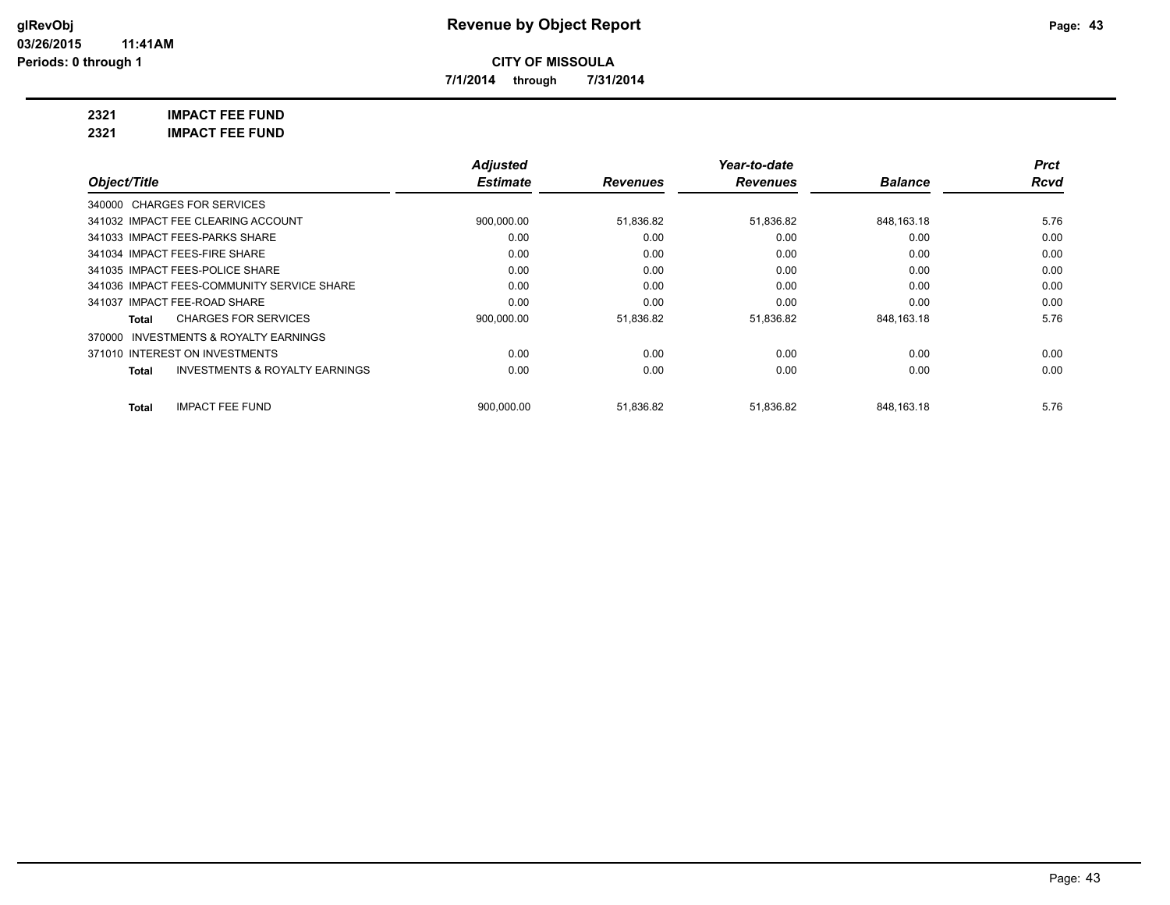**7/1/2014 through 7/31/2014**

**2321 IMPACT FEE FUND**

**2321 IMPACT FEE FUND**

|                                                           | <b>Adjusted</b> |                 | Year-to-date    |                | <b>Prct</b> |
|-----------------------------------------------------------|-----------------|-----------------|-----------------|----------------|-------------|
| Object/Title                                              | <b>Estimate</b> | <b>Revenues</b> | <b>Revenues</b> | <b>Balance</b> | Rcvd        |
| 340000 CHARGES FOR SERVICES                               |                 |                 |                 |                |             |
| 341032 IMPACT FEE CLEARING ACCOUNT                        | 900,000.00      | 51,836.82       | 51,836.82       | 848.163.18     | 5.76        |
| 341033 IMPACT FEES-PARKS SHARE                            | 0.00            | 0.00            | 0.00            | 0.00           | 0.00        |
| 341034 IMPACT FEES-FIRE SHARE                             | 0.00            | 0.00            | 0.00            | 0.00           | 0.00        |
| 341035 IMPACT FEES-POLICE SHARE                           | 0.00            | 0.00            | 0.00            | 0.00           | 0.00        |
| 341036 IMPACT FEES-COMMUNITY SERVICE SHARE                | 0.00            | 0.00            | 0.00            | 0.00           | 0.00        |
| 341037 IMPACT FEE-ROAD SHARE                              | 0.00            | 0.00            | 0.00            | 0.00           | 0.00        |
| <b>CHARGES FOR SERVICES</b><br>Total                      | 900,000.00      | 51,836.82       | 51,836.82       | 848,163.18     | 5.76        |
| 370000 INVESTMENTS & ROYALTY EARNINGS                     |                 |                 |                 |                |             |
| 371010 INTEREST ON INVESTMENTS                            | 0.00            | 0.00            | 0.00            | 0.00           | 0.00        |
| <b>INVESTMENTS &amp; ROYALTY EARNINGS</b><br><b>Total</b> | 0.00            | 0.00            | 0.00            | 0.00           | 0.00        |
| <b>IMPACT FEE FUND</b><br><b>Total</b>                    | 900.000.00      | 51.836.82       | 51,836.82       | 848.163.18     | 5.76        |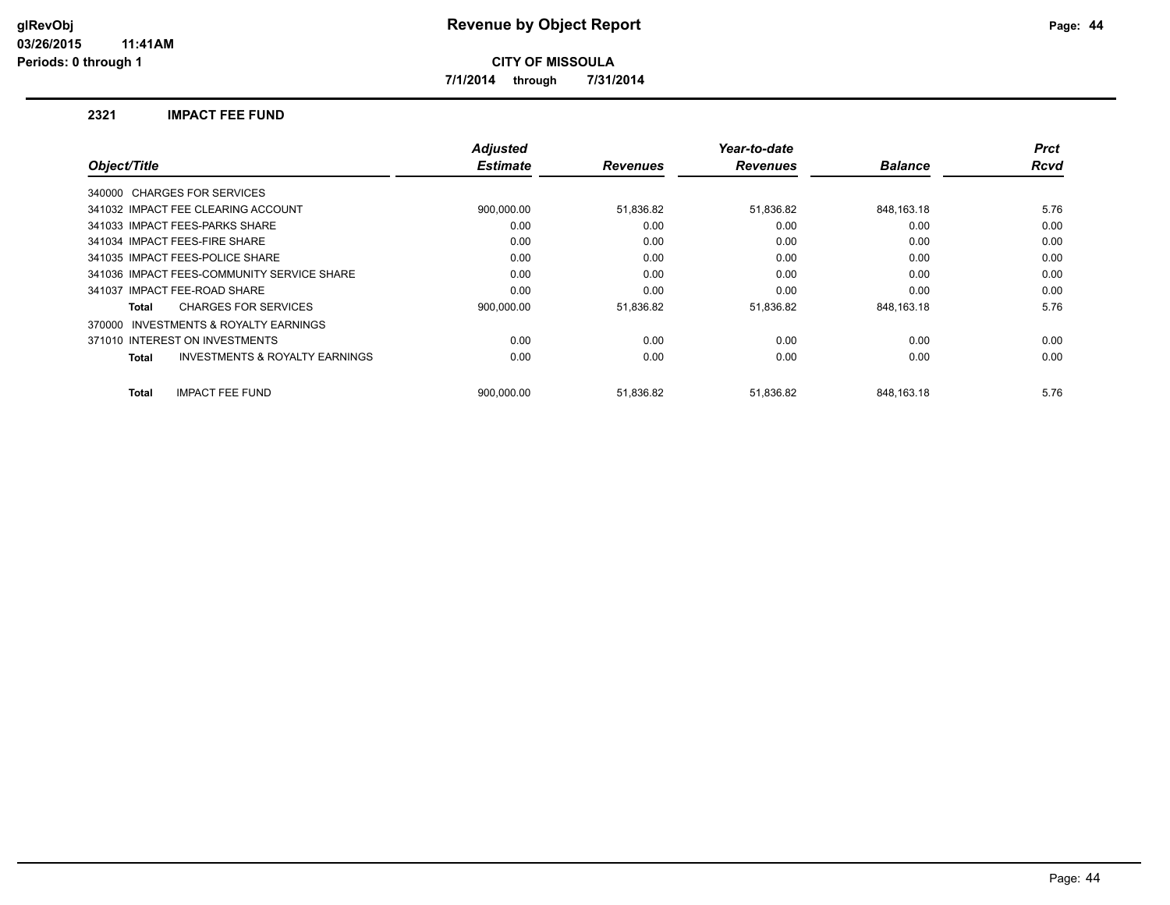**7/1/2014 through 7/31/2014**

#### **2321 IMPACT FEE FUND**

|              |                                            | <b>Adjusted</b> |                 | Year-to-date    |                | <b>Prct</b> |
|--------------|--------------------------------------------|-----------------|-----------------|-----------------|----------------|-------------|
| Object/Title |                                            | <b>Estimate</b> | <b>Revenues</b> | <b>Revenues</b> | <b>Balance</b> | <b>Rcvd</b> |
|              | 340000 CHARGES FOR SERVICES                |                 |                 |                 |                |             |
|              | 341032 IMPACT FEE CLEARING ACCOUNT         | 900,000.00      | 51,836.82       | 51,836.82       | 848,163.18     | 5.76        |
|              | 341033 IMPACT FEES-PARKS SHARE             | 0.00            | 0.00            | 0.00            | 0.00           | 0.00        |
|              | 341034 IMPACT FEES-FIRE SHARE              | 0.00            | 0.00            | 0.00            | 0.00           | 0.00        |
|              | 341035 IMPACT FEES-POLICE SHARE            | 0.00            | 0.00            | 0.00            | 0.00           | 0.00        |
|              | 341036 IMPACT FEES-COMMUNITY SERVICE SHARE | 0.00            | 0.00            | 0.00            | 0.00           | 0.00        |
|              | 341037 IMPACT FEE-ROAD SHARE               | 0.00            | 0.00            | 0.00            | 0.00           | 0.00        |
| Total        | <b>CHARGES FOR SERVICES</b>                | 900.000.00      | 51,836.82       | 51,836.82       | 848.163.18     | 5.76        |
| 370000       | <b>INVESTMENTS &amp; ROYALTY EARNINGS</b>  |                 |                 |                 |                |             |
|              | 371010 INTEREST ON INVESTMENTS             | 0.00            | 0.00            | 0.00            | 0.00           | 0.00        |
| Total        | <b>INVESTMENTS &amp; ROYALTY EARNINGS</b>  | 0.00            | 0.00            | 0.00            | 0.00           | 0.00        |
| <b>Total</b> | <b>IMPACT FEE FUND</b>                     | 900.000.00      | 51,836.82       | 51.836.82       | 848.163.18     | 5.76        |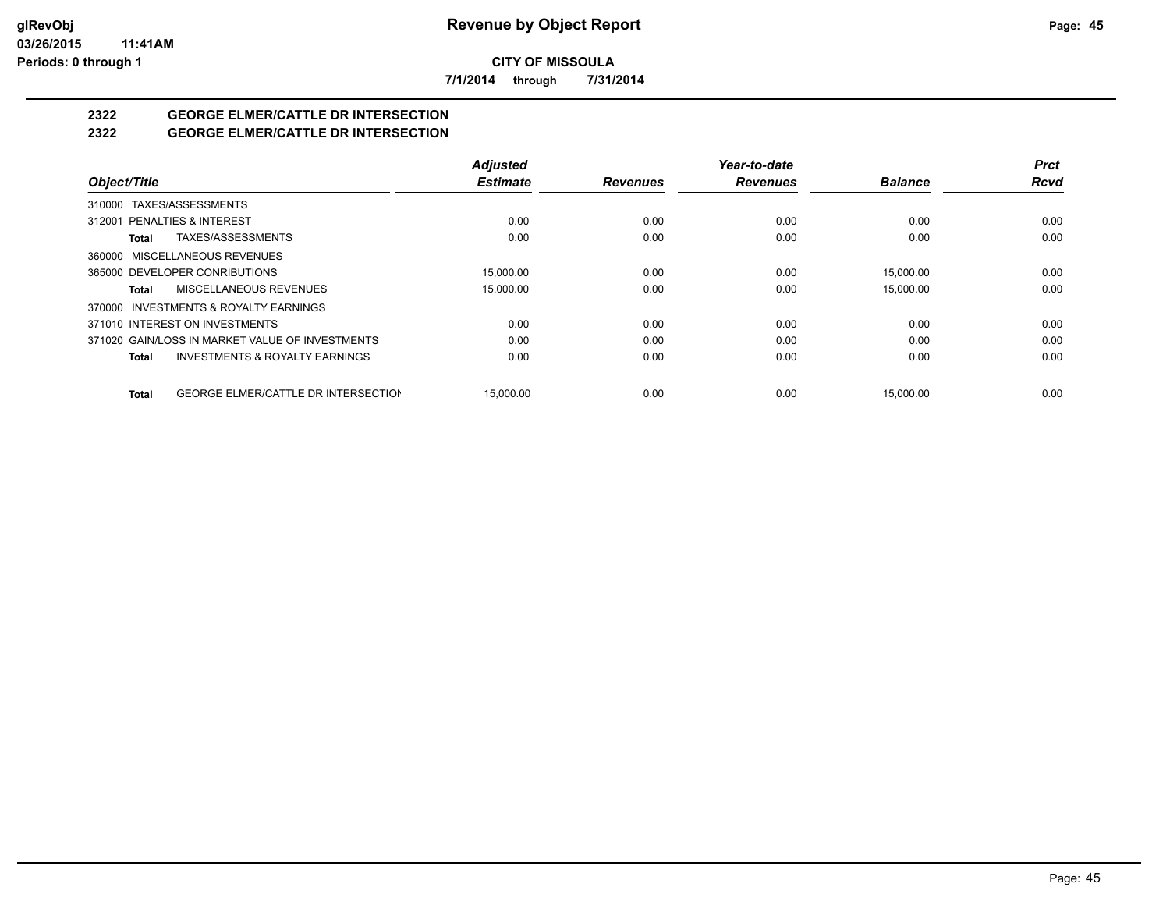**7/1/2014 through 7/31/2014**

# **2322 GEORGE ELMER/CATTLE DR INTERSECTION**

#### **2322 GEORGE ELMER/CATTLE DR INTERSECTION**

|                                                            | <b>Adjusted</b> |                 | Year-to-date    |                | <b>Prct</b> |
|------------------------------------------------------------|-----------------|-----------------|-----------------|----------------|-------------|
| Object/Title                                               | <b>Estimate</b> | <b>Revenues</b> | <b>Revenues</b> | <b>Balance</b> | <b>Rcvd</b> |
| 310000 TAXES/ASSESSMENTS                                   |                 |                 |                 |                |             |
| 312001 PENALTIES & INTEREST                                | 0.00            | 0.00            | 0.00            | 0.00           | 0.00        |
| TAXES/ASSESSMENTS<br>Total                                 | 0.00            | 0.00            | 0.00            | 0.00           | 0.00        |
| 360000 MISCELLANEOUS REVENUES                              |                 |                 |                 |                |             |
| 365000 DEVELOPER CONRIBUTIONS                              | 15.000.00       | 0.00            | 0.00            | 15.000.00      | 0.00        |
| MISCELLANEOUS REVENUES<br>Total                            | 15,000.00       | 0.00            | 0.00            | 15,000.00      | 0.00        |
| 370000 INVESTMENTS & ROYALTY EARNINGS                      |                 |                 |                 |                |             |
| 371010 INTEREST ON INVESTMENTS                             | 0.00            | 0.00            | 0.00            | 0.00           | 0.00        |
| 371020 GAIN/LOSS IN MARKET VALUE OF INVESTMENTS            | 0.00            | 0.00            | 0.00            | 0.00           | 0.00        |
| <b>INVESTMENTS &amp; ROYALTY EARNINGS</b><br>Total         | 0.00            | 0.00            | 0.00            | 0.00           | 0.00        |
| <b>GEORGE ELMER/CATTLE DR INTERSECTION</b><br><b>Total</b> | 15.000.00       | 0.00            | 0.00            | 15.000.00      | 0.00        |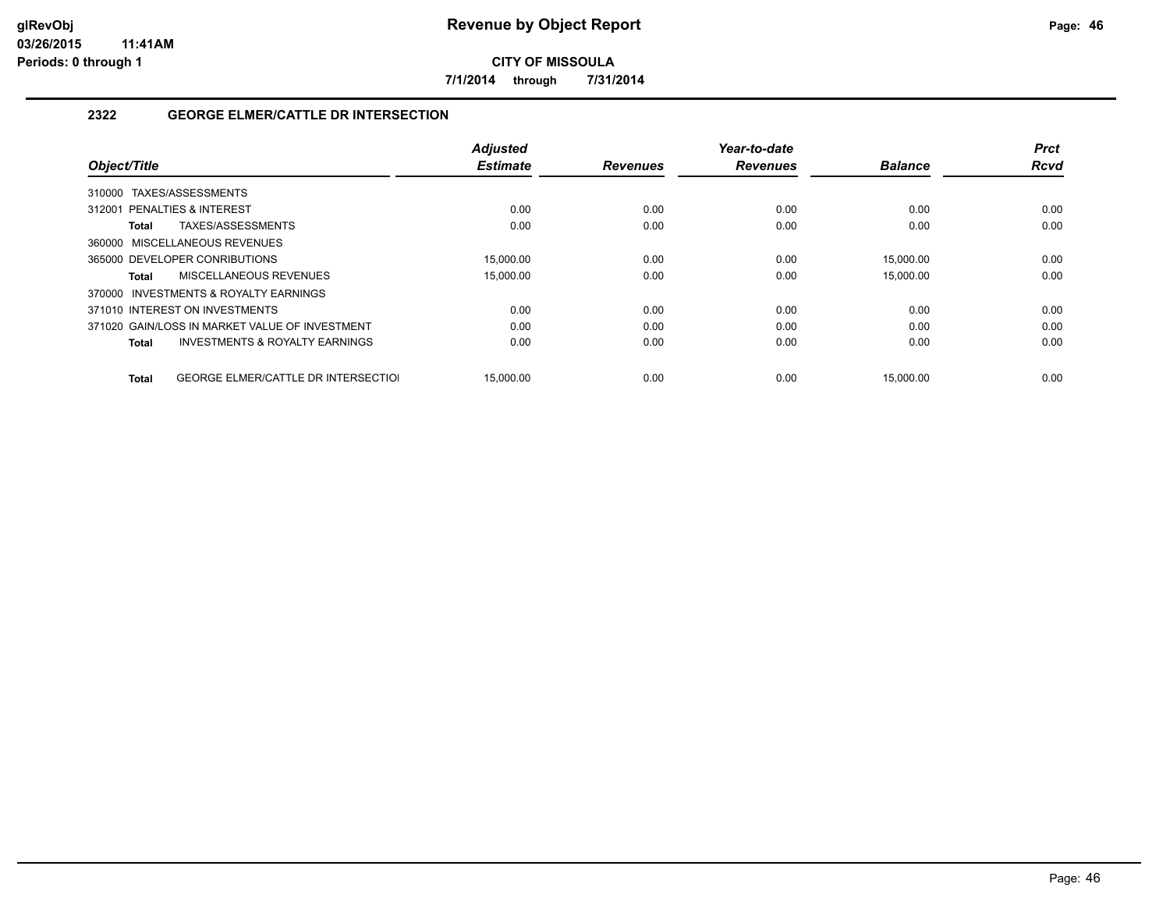**7/1/2014 through 7/31/2014**

#### **2322 GEORGE ELMER/CATTLE DR INTERSECTION**

|                                                     | <b>Adjusted</b> |                 | Year-to-date    |                | <b>Prct</b> |
|-----------------------------------------------------|-----------------|-----------------|-----------------|----------------|-------------|
| Object/Title                                        | <b>Estimate</b> | <b>Revenues</b> | <b>Revenues</b> | <b>Balance</b> | <b>Rcvd</b> |
| TAXES/ASSESSMENTS<br>310000                         |                 |                 |                 |                |             |
| 312001 PENALTIES & INTEREST                         | 0.00            | 0.00            | 0.00            | 0.00           | 0.00        |
| TAXES/ASSESSMENTS<br>Total                          | 0.00            | 0.00            | 0.00            | 0.00           | 0.00        |
| 360000 MISCELLANEOUS REVENUES                       |                 |                 |                 |                |             |
| 365000 DEVELOPER CONRIBUTIONS                       | 15.000.00       | 0.00            | 0.00            | 15,000.00      | 0.00        |
| MISCELLANEOUS REVENUES<br>Total                     | 15.000.00       | 0.00            | 0.00            | 15,000.00      | 0.00        |
| <b>INVESTMENTS &amp; ROYALTY EARNINGS</b><br>370000 |                 |                 |                 |                |             |
| 371010 INTEREST ON INVESTMENTS                      | 0.00            | 0.00            | 0.00            | 0.00           | 0.00        |
| 371020 GAIN/LOSS IN MARKET VALUE OF INVESTMENT      | 0.00            | 0.00            | 0.00            | 0.00           | 0.00        |
| <b>INVESTMENTS &amp; ROYALTY EARNINGS</b><br>Total  | 0.00            | 0.00            | 0.00            | 0.00           | 0.00        |
|                                                     |                 |                 |                 |                |             |
| <b>GEORGE ELMER/CATTLE DR INTERSECTIOL</b><br>Total | 15.000.00       | 0.00            | 0.00            | 15.000.00      | 0.00        |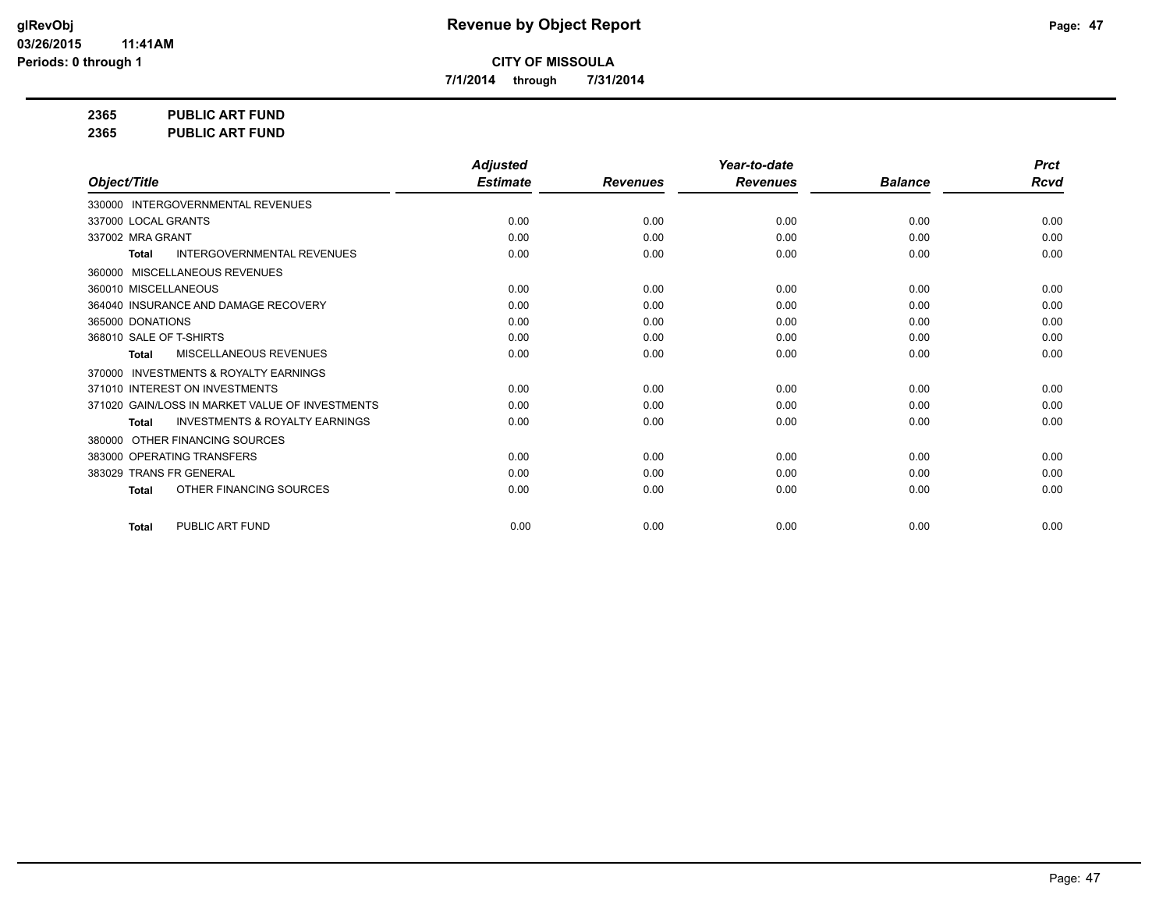**7/1/2014 through 7/31/2014**

**2365 PUBLIC ART FUND**

**2365 PUBLIC ART FUND**

|                                                           | <b>Adjusted</b> |                 | Year-to-date    |                | <b>Prct</b> |
|-----------------------------------------------------------|-----------------|-----------------|-----------------|----------------|-------------|
| Object/Title                                              | <b>Estimate</b> | <b>Revenues</b> | <b>Revenues</b> | <b>Balance</b> | <b>Rcvd</b> |
| 330000 INTERGOVERNMENTAL REVENUES                         |                 |                 |                 |                |             |
| 337000 LOCAL GRANTS                                       | 0.00            | 0.00            | 0.00            | 0.00           | 0.00        |
| 337002 MRA GRANT                                          | 0.00            | 0.00            | 0.00            | 0.00           | 0.00        |
| <b>INTERGOVERNMENTAL REVENUES</b><br><b>Total</b>         | 0.00            | 0.00            | 0.00            | 0.00           | 0.00        |
| 360000 MISCELLANEOUS REVENUES                             |                 |                 |                 |                |             |
| 360010 MISCELLANEOUS                                      | 0.00            | 0.00            | 0.00            | 0.00           | 0.00        |
| 364040 INSURANCE AND DAMAGE RECOVERY                      | 0.00            | 0.00            | 0.00            | 0.00           | 0.00        |
| 365000 DONATIONS                                          | 0.00            | 0.00            | 0.00            | 0.00           | 0.00        |
| 368010 SALE OF T-SHIRTS                                   | 0.00            | 0.00            | 0.00            | 0.00           | 0.00        |
| <b>MISCELLANEOUS REVENUES</b><br>Total                    | 0.00            | 0.00            | 0.00            | 0.00           | 0.00        |
| <b>INVESTMENTS &amp; ROYALTY EARNINGS</b><br>370000       |                 |                 |                 |                |             |
| 371010 INTEREST ON INVESTMENTS                            | 0.00            | 0.00            | 0.00            | 0.00           | 0.00        |
| 371020 GAIN/LOSS IN MARKET VALUE OF INVESTMENTS           | 0.00            | 0.00            | 0.00            | 0.00           | 0.00        |
| <b>INVESTMENTS &amp; ROYALTY EARNINGS</b><br><b>Total</b> | 0.00            | 0.00            | 0.00            | 0.00           | 0.00        |
| 380000 OTHER FINANCING SOURCES                            |                 |                 |                 |                |             |
| 383000 OPERATING TRANSFERS                                | 0.00            | 0.00            | 0.00            | 0.00           | 0.00        |
| 383029 TRANS FR GENERAL                                   | 0.00            | 0.00            | 0.00            | 0.00           | 0.00        |
| OTHER FINANCING SOURCES<br><b>Total</b>                   | 0.00            | 0.00            | 0.00            | 0.00           | 0.00        |
| PUBLIC ART FUND<br><b>Total</b>                           | 0.00            | 0.00            | 0.00            | 0.00           | 0.00        |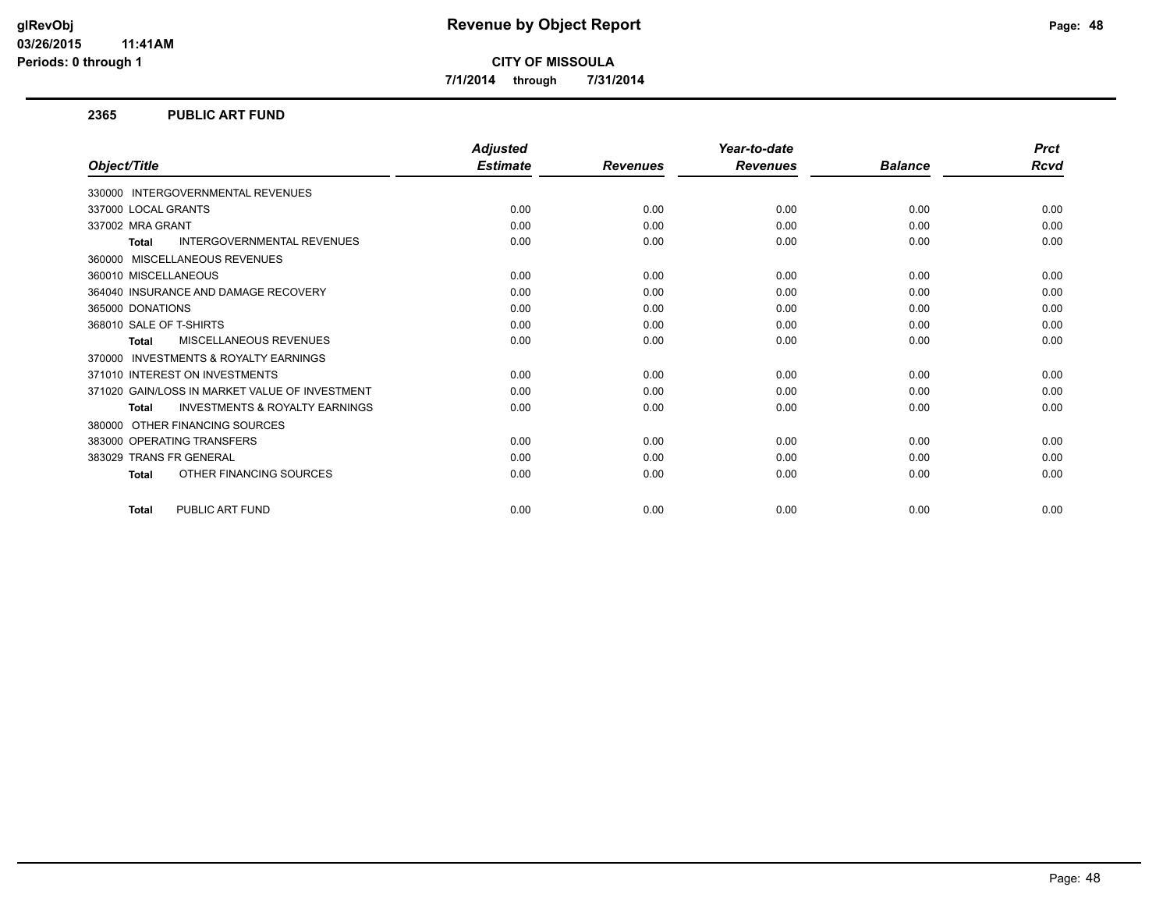**7/1/2014 through 7/31/2014**

#### **2365 PUBLIC ART FUND**

|                                                           | <b>Adjusted</b> |                 | Year-to-date    |                | <b>Prct</b> |
|-----------------------------------------------------------|-----------------|-----------------|-----------------|----------------|-------------|
| Object/Title                                              | <b>Estimate</b> | <b>Revenues</b> | <b>Revenues</b> | <b>Balance</b> | Rcvd        |
| 330000 INTERGOVERNMENTAL REVENUES                         |                 |                 |                 |                |             |
| 337000 LOCAL GRANTS                                       | 0.00            | 0.00            | 0.00            | 0.00           | 0.00        |
| 337002 MRA GRANT                                          | 0.00            | 0.00            | 0.00            | 0.00           | 0.00        |
| <b>INTERGOVERNMENTAL REVENUES</b><br><b>Total</b>         | 0.00            | 0.00            | 0.00            | 0.00           | 0.00        |
| MISCELLANEOUS REVENUES<br>360000                          |                 |                 |                 |                |             |
| 360010 MISCELLANEOUS                                      | 0.00            | 0.00            | 0.00            | 0.00           | 0.00        |
| 364040 INSURANCE AND DAMAGE RECOVERY                      | 0.00            | 0.00            | 0.00            | 0.00           | 0.00        |
| 365000 DONATIONS                                          | 0.00            | 0.00            | 0.00            | 0.00           | 0.00        |
| 368010 SALE OF T-SHIRTS                                   | 0.00            | 0.00            | 0.00            | 0.00           | 0.00        |
| <b>MISCELLANEOUS REVENUES</b><br><b>Total</b>             | 0.00            | 0.00            | 0.00            | 0.00           | 0.00        |
| <b>INVESTMENTS &amp; ROYALTY EARNINGS</b><br>370000       |                 |                 |                 |                |             |
| 371010 INTEREST ON INVESTMENTS                            | 0.00            | 0.00            | 0.00            | 0.00           | 0.00        |
| 371020 GAIN/LOSS IN MARKET VALUE OF INVESTMENT            | 0.00            | 0.00            | 0.00            | 0.00           | 0.00        |
| <b>INVESTMENTS &amp; ROYALTY EARNINGS</b><br><b>Total</b> | 0.00            | 0.00            | 0.00            | 0.00           | 0.00        |
| OTHER FINANCING SOURCES<br>380000                         |                 |                 |                 |                |             |
| 383000 OPERATING TRANSFERS                                | 0.00            | 0.00            | 0.00            | 0.00           | 0.00        |
| 383029 TRANS FR GENERAL                                   | 0.00            | 0.00            | 0.00            | 0.00           | 0.00        |
| OTHER FINANCING SOURCES<br><b>Total</b>                   | 0.00            | 0.00            | 0.00            | 0.00           | 0.00        |
| PUBLIC ART FUND<br><b>Total</b>                           | 0.00            | 0.00            | 0.00            | 0.00           | 0.00        |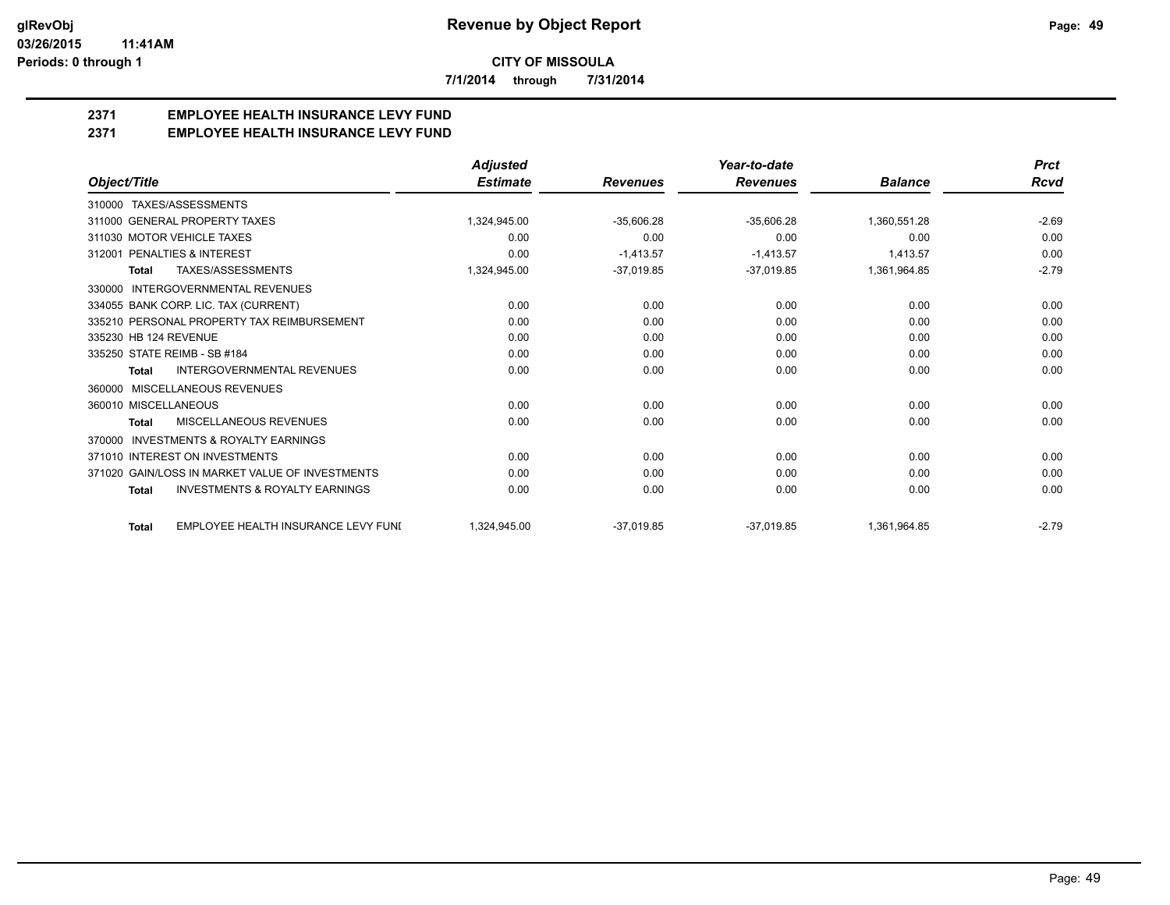**7/1/2014 through 7/31/2014**

## **2371 EMPLOYEE HEALTH INSURANCE LEVY FUND**

**2371 EMPLOYEE HEALTH INSURANCE LEVY FUND**

|                                                           | <b>Adjusted</b> |                 | Year-to-date    |                | <b>Prct</b> |
|-----------------------------------------------------------|-----------------|-----------------|-----------------|----------------|-------------|
| Object/Title                                              | <b>Estimate</b> | <b>Revenues</b> | <b>Revenues</b> | <b>Balance</b> | Rcvd        |
| 310000 TAXES/ASSESSMENTS                                  |                 |                 |                 |                |             |
| 311000 GENERAL PROPERTY TAXES                             | 1.324.945.00    | $-35,606.28$    | $-35,606.28$    | 1,360,551.28   | $-2.69$     |
| 311030 MOTOR VEHICLE TAXES                                | 0.00            | 0.00            | 0.00            | 0.00           | 0.00        |
| 312001 PENALTIES & INTEREST                               | 0.00            | $-1,413.57$     | $-1,413.57$     | 1,413.57       | 0.00        |
| <b>TAXES/ASSESSMENTS</b><br>Total                         | 1,324,945.00    | $-37,019.85$    | $-37,019.85$    | 1,361,964.85   | $-2.79$     |
| <b>INTERGOVERNMENTAL REVENUES</b><br>330000               |                 |                 |                 |                |             |
| 334055 BANK CORP. LIC. TAX (CURRENT)                      | 0.00            | 0.00            | 0.00            | 0.00           | 0.00        |
| 335210 PERSONAL PROPERTY TAX REIMBURSEMENT                | 0.00            | 0.00            | 0.00            | 0.00           | 0.00        |
| 335230 HB 124 REVENUE                                     | 0.00            | 0.00            | 0.00            | 0.00           | 0.00        |
| 335250 STATE REIMB - SB #184                              | 0.00            | 0.00            | 0.00            | 0.00           | 0.00        |
| INTERGOVERNMENTAL REVENUES<br><b>Total</b>                | 0.00            | 0.00            | 0.00            | 0.00           | 0.00        |
| MISCELLANEOUS REVENUES<br>360000                          |                 |                 |                 |                |             |
| 360010 MISCELLANEOUS                                      | 0.00            | 0.00            | 0.00            | 0.00           | 0.00        |
| MISCELLANEOUS REVENUES<br><b>Total</b>                    | 0.00            | 0.00            | 0.00            | 0.00           | 0.00        |
| INVESTMENTS & ROYALTY EARNINGS<br>370000                  |                 |                 |                 |                |             |
| 371010 INTEREST ON INVESTMENTS                            | 0.00            | 0.00            | 0.00            | 0.00           | 0.00        |
| 371020 GAIN/LOSS IN MARKET VALUE OF INVESTMENTS           | 0.00            | 0.00            | 0.00            | 0.00           | 0.00        |
| <b>INVESTMENTS &amp; ROYALTY EARNINGS</b><br><b>Total</b> | 0.00            | 0.00            | 0.00            | 0.00           | 0.00        |
| EMPLOYEE HEALTH INSURANCE LEVY FUNI<br><b>Total</b>       | 1,324,945.00    | $-37.019.85$    | $-37,019.85$    | 1,361,964.85   | $-2.79$     |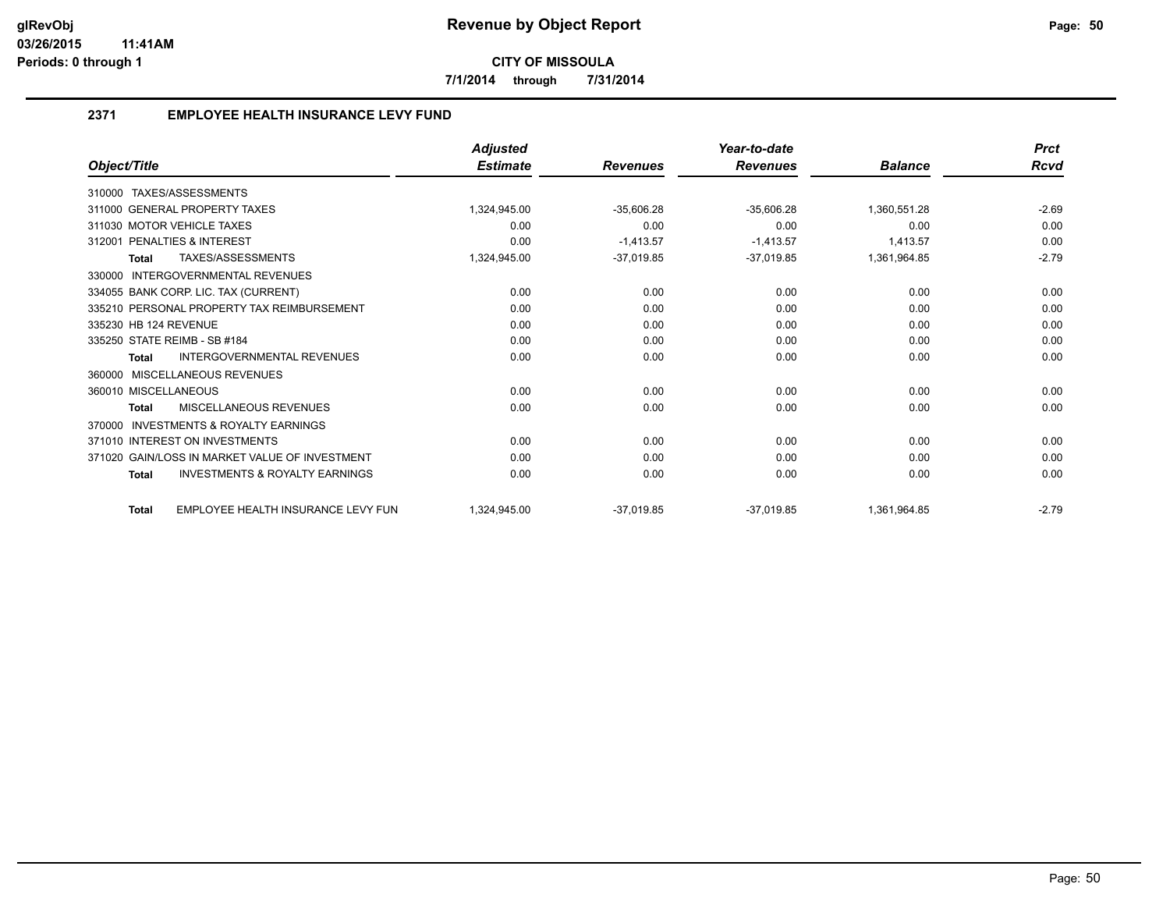**7/1/2014 through 7/31/2014**

#### **2371 EMPLOYEE HEALTH INSURANCE LEVY FUND**

|                                                           | <b>Adjusted</b> |                 | Year-to-date    |                | <b>Prct</b> |
|-----------------------------------------------------------|-----------------|-----------------|-----------------|----------------|-------------|
| Object/Title                                              | <b>Estimate</b> | <b>Revenues</b> | <b>Revenues</b> | <b>Balance</b> | <b>Rcvd</b> |
| TAXES/ASSESSMENTS<br>310000                               |                 |                 |                 |                |             |
| 311000 GENERAL PROPERTY TAXES                             | 1,324,945.00    | $-35,606.28$    | $-35,606.28$    | 1,360,551.28   | $-2.69$     |
| 311030 MOTOR VEHICLE TAXES                                | 0.00            | 0.00            | 0.00            | 0.00           | 0.00        |
| 312001 PENALTIES & INTEREST                               | 0.00            | $-1.413.57$     | $-1,413.57$     | 1.413.57       | 0.00        |
| TAXES/ASSESSMENTS<br><b>Total</b>                         | 1,324,945.00    | $-37,019.85$    | $-37,019.85$    | 1,361,964.85   | $-2.79$     |
| INTERGOVERNMENTAL REVENUES<br>330000                      |                 |                 |                 |                |             |
| 334055 BANK CORP. LIC. TAX (CURRENT)                      | 0.00            | 0.00            | 0.00            | 0.00           | 0.00        |
| 335210 PERSONAL PROPERTY TAX REIMBURSEMENT                | 0.00            | 0.00            | 0.00            | 0.00           | 0.00        |
| 335230 HB 124 REVENUE                                     | 0.00            | 0.00            | 0.00            | 0.00           | 0.00        |
| 335250 STATE REIMB - SB #184                              | 0.00            | 0.00            | 0.00            | 0.00           | 0.00        |
| <b>INTERGOVERNMENTAL REVENUES</b><br><b>Total</b>         | 0.00            | 0.00            | 0.00            | 0.00           | 0.00        |
| MISCELLANEOUS REVENUES<br>360000                          |                 |                 |                 |                |             |
| 360010 MISCELLANEOUS                                      | 0.00            | 0.00            | 0.00            | 0.00           | 0.00        |
| <b>MISCELLANEOUS REVENUES</b><br><b>Total</b>             | 0.00            | 0.00            | 0.00            | 0.00           | 0.00        |
| <b>INVESTMENTS &amp; ROYALTY EARNINGS</b><br>370000       |                 |                 |                 |                |             |
| 371010 INTEREST ON INVESTMENTS                            | 0.00            | 0.00            | 0.00            | 0.00           | 0.00        |
| 371020 GAIN/LOSS IN MARKET VALUE OF INVESTMENT            | 0.00            | 0.00            | 0.00            | 0.00           | 0.00        |
| <b>INVESTMENTS &amp; ROYALTY EARNINGS</b><br><b>Total</b> | 0.00            | 0.00            | 0.00            | 0.00           | 0.00        |
| EMPLOYEE HEALTH INSURANCE LEVY FUN<br><b>Total</b>        | 1,324,945.00    | $-37.019.85$    | $-37.019.85$    | 1,361,964.85   | $-2.79$     |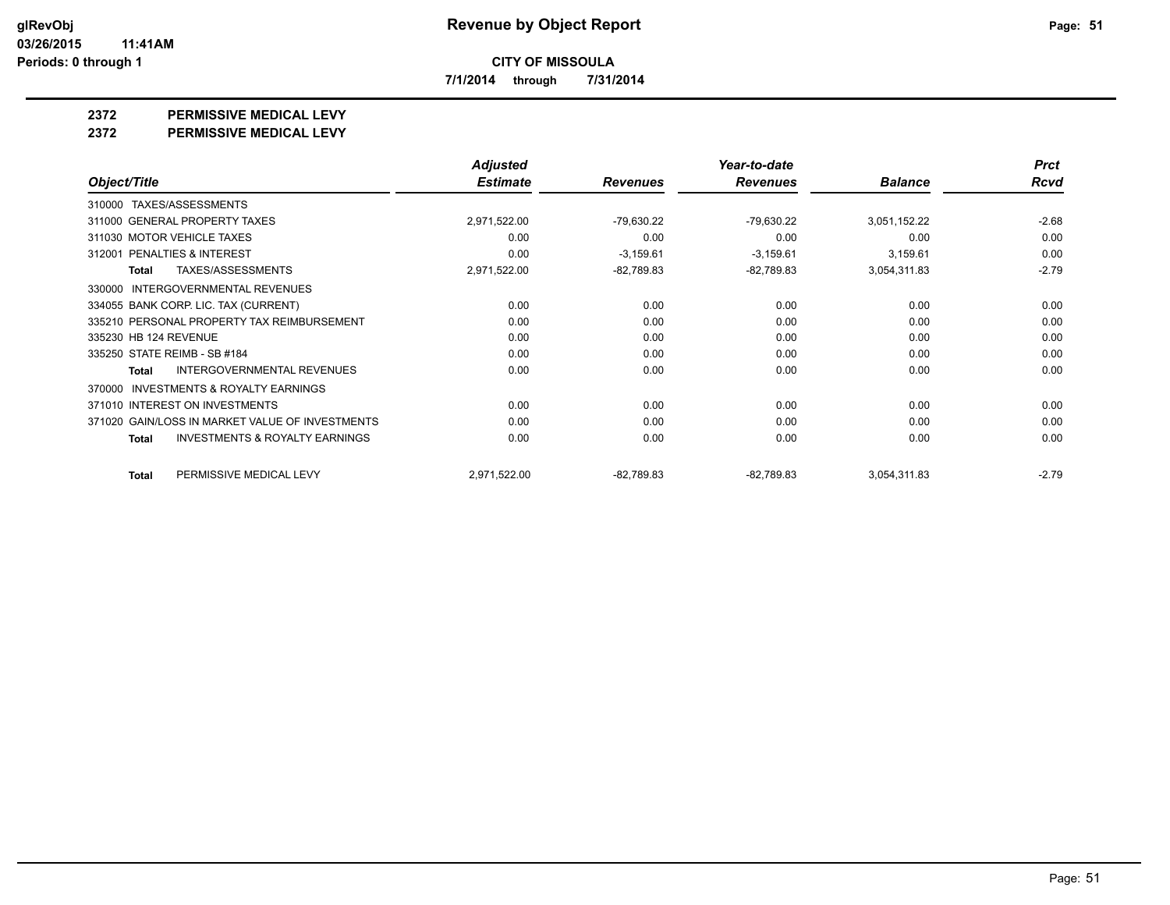**7/1/2014 through 7/31/2014**

**2372 PERMISSIVE MEDICAL LEVY**

**2372 PERMISSIVE MEDICAL LEVY**

|                                                     | <b>Adjusted</b> |                 | Year-to-date    |                | <b>Prct</b> |
|-----------------------------------------------------|-----------------|-----------------|-----------------|----------------|-------------|
| Object/Title                                        | <b>Estimate</b> | <b>Revenues</b> | <b>Revenues</b> | <b>Balance</b> | <b>Rcvd</b> |
| TAXES/ASSESSMENTS<br>310000                         |                 |                 |                 |                |             |
| 311000 GENERAL PROPERTY TAXES                       | 2,971,522.00    | -79,630.22      | -79,630.22      | 3,051,152.22   | $-2.68$     |
| 311030 MOTOR VEHICLE TAXES                          | 0.00            | 0.00            | 0.00            | 0.00           | 0.00        |
| PENALTIES & INTEREST<br>312001                      | 0.00            | $-3,159.61$     | $-3,159.61$     | 3,159.61       | 0.00        |
| TAXES/ASSESSMENTS<br>Total                          | 2,971,522.00    | $-82,789.83$    | $-82,789.83$    | 3,054,311.83   | $-2.79$     |
| INTERGOVERNMENTAL REVENUES<br>330000                |                 |                 |                 |                |             |
| 334055 BANK CORP. LIC. TAX (CURRENT)                | 0.00            | 0.00            | 0.00            | 0.00           | 0.00        |
| 335210 PERSONAL PROPERTY TAX REIMBURSEMENT          | 0.00            | 0.00            | 0.00            | 0.00           | 0.00        |
| 335230 HB 124 REVENUE                               | 0.00            | 0.00            | 0.00            | 0.00           | 0.00        |
| 335250 STATE REIMB - SB #184                        | 0.00            | 0.00            | 0.00            | 0.00           | 0.00        |
| <b>INTERGOVERNMENTAL REVENUES</b><br>Total          | 0.00            | 0.00            | 0.00            | 0.00           | 0.00        |
| <b>INVESTMENTS &amp; ROYALTY EARNINGS</b><br>370000 |                 |                 |                 |                |             |
| 371010 INTEREST ON INVESTMENTS                      | 0.00            | 0.00            | 0.00            | 0.00           | 0.00        |
| 371020 GAIN/LOSS IN MARKET VALUE OF INVESTMENTS     | 0.00            | 0.00            | 0.00            | 0.00           | 0.00        |
| <b>INVESTMENTS &amp; ROYALTY EARNINGS</b><br>Total  | 0.00            | 0.00            | 0.00            | 0.00           | 0.00        |
| PERMISSIVE MEDICAL LEVY<br>Total                    | 2,971,522.00    | $-82,789.83$    | $-82,789.83$    | 3,054,311.83   | $-2.79$     |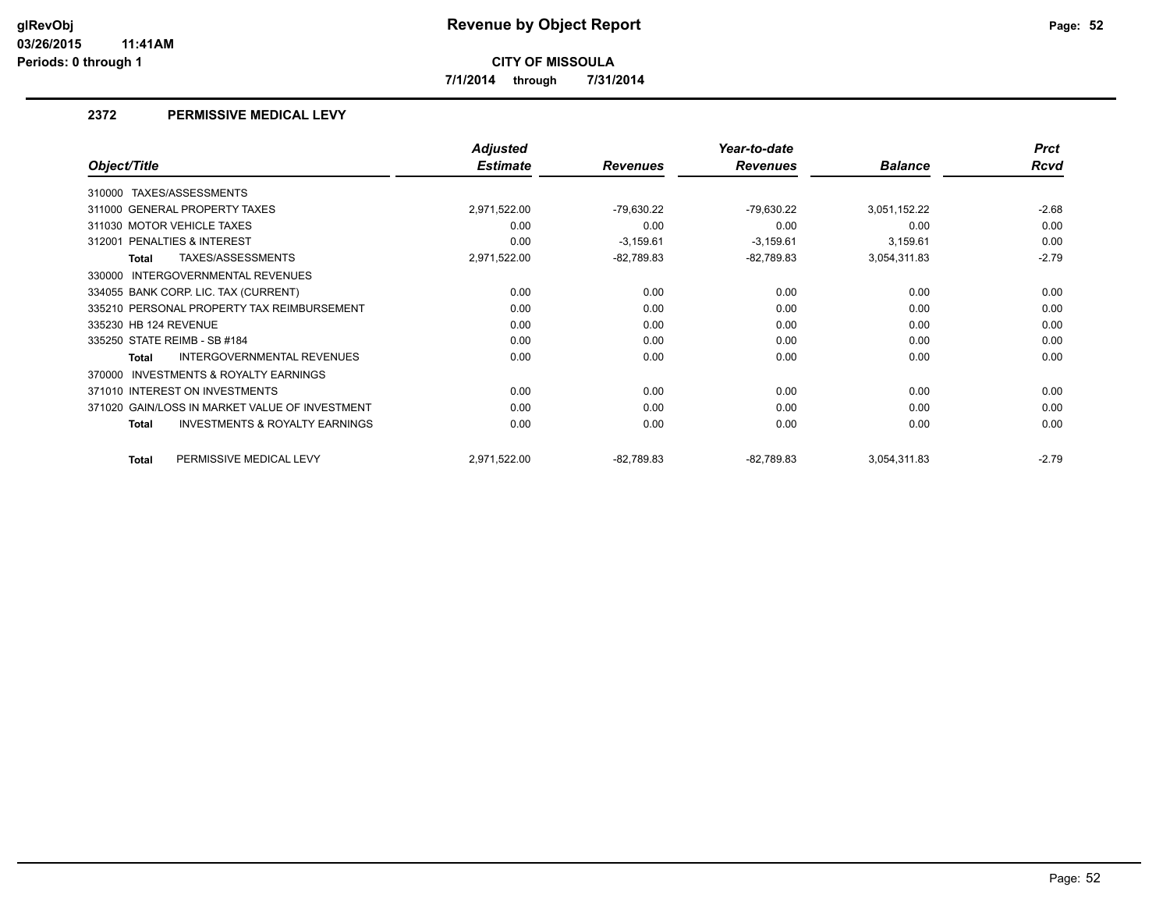**7/1/2014 through 7/31/2014**

#### **2372 PERMISSIVE MEDICAL LEVY**

|                                                           | <b>Adjusted</b> |                 | Year-to-date    |                | <b>Prct</b> |
|-----------------------------------------------------------|-----------------|-----------------|-----------------|----------------|-------------|
| Object/Title                                              | <b>Estimate</b> | <b>Revenues</b> | <b>Revenues</b> | <b>Balance</b> | <b>Rcvd</b> |
| TAXES/ASSESSMENTS<br>310000                               |                 |                 |                 |                |             |
| 311000 GENERAL PROPERTY TAXES                             | 2,971,522.00    | $-79,630.22$    | -79,630.22      | 3,051,152.22   | $-2.68$     |
| 311030 MOTOR VEHICLE TAXES                                | 0.00            | 0.00            | 0.00            | 0.00           | 0.00        |
| 312001 PENALTIES & INTEREST                               | 0.00            | $-3,159.61$     | $-3,159.61$     | 3,159.61       | 0.00        |
| TAXES/ASSESSMENTS<br><b>Total</b>                         | 2,971,522.00    | $-82,789.83$    | $-82,789.83$    | 3,054,311.83   | $-2.79$     |
| INTERGOVERNMENTAL REVENUES<br>330000                      |                 |                 |                 |                |             |
| 334055 BANK CORP. LIC. TAX (CURRENT)                      | 0.00            | 0.00            | 0.00            | 0.00           | 0.00        |
| 335210 PERSONAL PROPERTY TAX REIMBURSEMENT                | 0.00            | 0.00            | 0.00            | 0.00           | 0.00        |
| 335230 HB 124 REVENUE                                     | 0.00            | 0.00            | 0.00            | 0.00           | 0.00        |
| 335250 STATE REIMB - SB #184                              | 0.00            | 0.00            | 0.00            | 0.00           | 0.00        |
| INTERGOVERNMENTAL REVENUES<br>Total                       | 0.00            | 0.00            | 0.00            | 0.00           | 0.00        |
| <b>INVESTMENTS &amp; ROYALTY EARNINGS</b><br>370000       |                 |                 |                 |                |             |
| 371010 INTEREST ON INVESTMENTS                            | 0.00            | 0.00            | 0.00            | 0.00           | 0.00        |
| 371020 GAIN/LOSS IN MARKET VALUE OF INVESTMENT            | 0.00            | 0.00            | 0.00            | 0.00           | 0.00        |
| <b>INVESTMENTS &amp; ROYALTY EARNINGS</b><br><b>Total</b> | 0.00            | 0.00            | 0.00            | 0.00           | 0.00        |
| PERMISSIVE MEDICAL LEVY<br><b>Total</b>                   | 2,971,522.00    | $-82,789.83$    | $-82,789.83$    | 3,054,311.83   | $-2.79$     |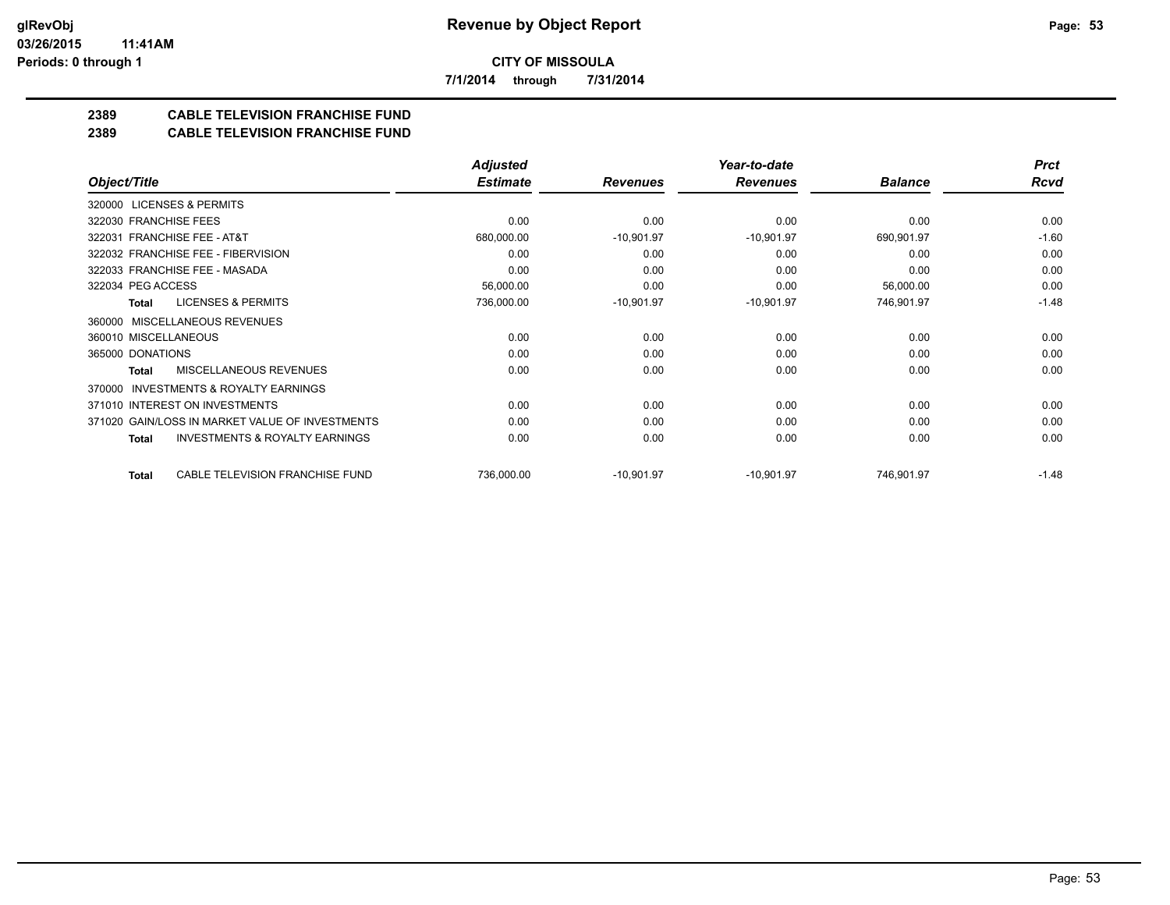**7/1/2014 through 7/31/2014**

### **2389 CABLE TELEVISION FRANCHISE FUND**

#### **2389 CABLE TELEVISION FRANCHISE FUND**

|                                                     | <b>Adjusted</b> |                 | Year-to-date    |                | <b>Prct</b> |
|-----------------------------------------------------|-----------------|-----------------|-----------------|----------------|-------------|
| Object/Title                                        | <b>Estimate</b> | <b>Revenues</b> | <b>Revenues</b> | <b>Balance</b> | <b>Rcvd</b> |
| 320000 LICENSES & PERMITS                           |                 |                 |                 |                |             |
| 322030 FRANCHISE FEES                               | 0.00            | 0.00            | 0.00            | 0.00           | 0.00        |
| 322031 FRANCHISE FEE - AT&T                         | 680,000.00      | $-10,901.97$    | $-10,901.97$    | 690,901.97     | $-1.60$     |
| 322032 FRANCHISE FEE - FIBERVISION                  | 0.00            | 0.00            | 0.00            | 0.00           | 0.00        |
| 322033 FRANCHISE FEE - MASADA                       | 0.00            | 0.00            | 0.00            | 0.00           | 0.00        |
| 322034 PEG ACCESS                                   | 56,000.00       | 0.00            | 0.00            | 56,000.00      | 0.00        |
| <b>LICENSES &amp; PERMITS</b><br>Total              | 736,000.00      | $-10,901.97$    | $-10,901.97$    | 746,901.97     | $-1.48$     |
| 360000 MISCELLANEOUS REVENUES                       |                 |                 |                 |                |             |
| 360010 MISCELLANEOUS                                | 0.00            | 0.00            | 0.00            | 0.00           | 0.00        |
| 365000 DONATIONS                                    | 0.00            | 0.00            | 0.00            | 0.00           | 0.00        |
| <b>MISCELLANEOUS REVENUES</b><br>Total              | 0.00            | 0.00            | 0.00            | 0.00           | 0.00        |
| <b>INVESTMENTS &amp; ROYALTY EARNINGS</b><br>370000 |                 |                 |                 |                |             |
| 371010 INTEREST ON INVESTMENTS                      | 0.00            | 0.00            | 0.00            | 0.00           | 0.00        |
| 371020 GAIN/LOSS IN MARKET VALUE OF INVESTMENTS     | 0.00            | 0.00            | 0.00            | 0.00           | 0.00        |
| <b>INVESTMENTS &amp; ROYALTY EARNINGS</b><br>Total  | 0.00            | 0.00            | 0.00            | 0.00           | 0.00        |
| CABLE TELEVISION FRANCHISE FUND<br>Total            | 736,000.00      | $-10,901.97$    | $-10,901.97$    | 746,901.97     | $-1.48$     |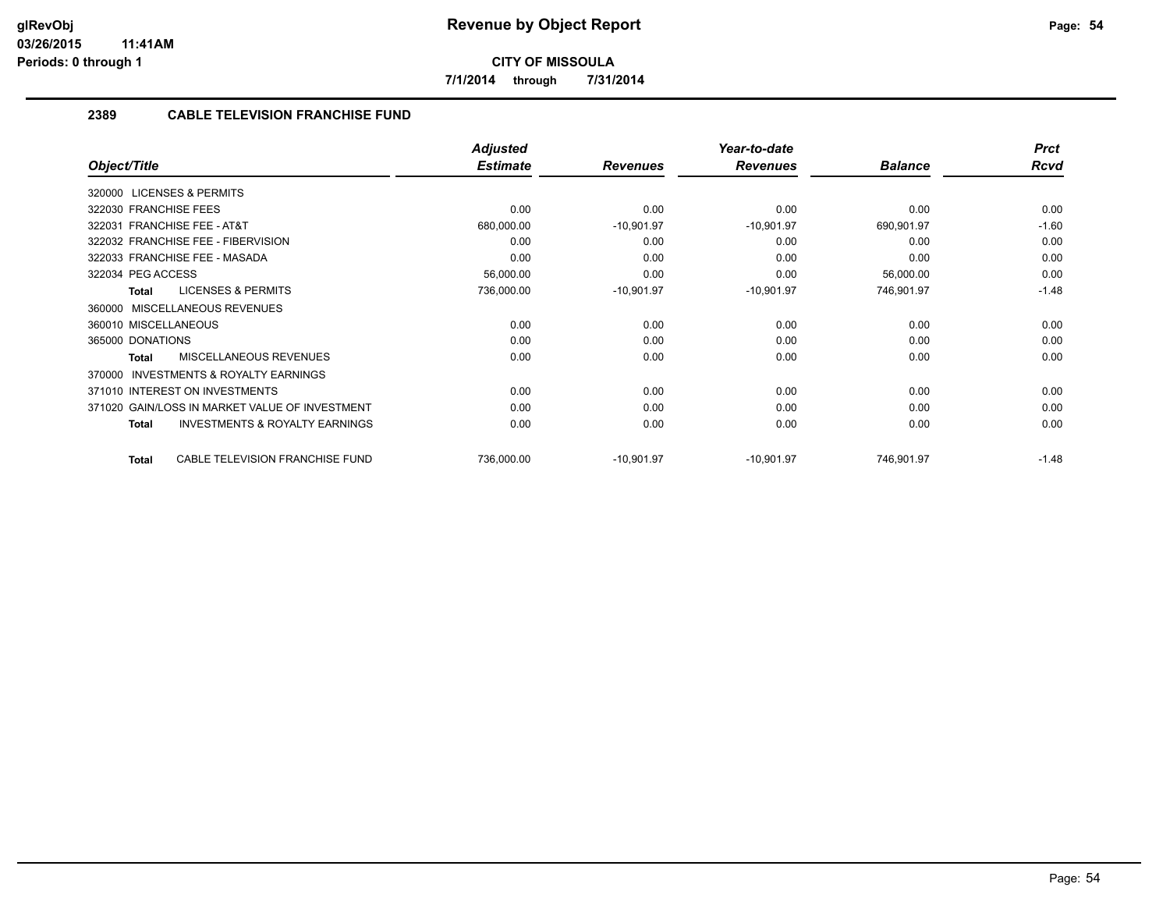**7/1/2014 through 7/31/2014**

#### **2389 CABLE TELEVISION FRANCHISE FUND**

|                                                           | <b>Adjusted</b> |                 | Year-to-date    |                | <b>Prct</b> |
|-----------------------------------------------------------|-----------------|-----------------|-----------------|----------------|-------------|
| Object/Title                                              | <b>Estimate</b> | <b>Revenues</b> | <b>Revenues</b> | <b>Balance</b> | Rcvd        |
| 320000 LICENSES & PERMITS                                 |                 |                 |                 |                |             |
| 322030 FRANCHISE FEES                                     | 0.00            | 0.00            | 0.00            | 0.00           | 0.00        |
| 322031 FRANCHISE FEE - AT&T                               | 680,000.00      | $-10,901.97$    | $-10,901.97$    | 690,901.97     | $-1.60$     |
| 322032 FRANCHISE FEE - FIBERVISION                        | 0.00            | 0.00            | 0.00            | 0.00           | 0.00        |
| 322033 FRANCHISE FEE - MASADA                             | 0.00            | 0.00            | 0.00            | 0.00           | 0.00        |
| 322034 PEG ACCESS                                         | 56,000.00       | 0.00            | 0.00            | 56,000.00      | 0.00        |
| <b>LICENSES &amp; PERMITS</b><br><b>Total</b>             | 736,000.00      | $-10,901.97$    | $-10,901.97$    | 746,901.97     | $-1.48$     |
| MISCELLANEOUS REVENUES<br>360000                          |                 |                 |                 |                |             |
| 360010 MISCELLANEOUS                                      | 0.00            | 0.00            | 0.00            | 0.00           | 0.00        |
| 365000 DONATIONS                                          | 0.00            | 0.00            | 0.00            | 0.00           | 0.00        |
| MISCELLANEOUS REVENUES<br>Total                           | 0.00            | 0.00            | 0.00            | 0.00           | 0.00        |
| <b>INVESTMENTS &amp; ROYALTY EARNINGS</b><br>370000       |                 |                 |                 |                |             |
| 371010 INTEREST ON INVESTMENTS                            | 0.00            | 0.00            | 0.00            | 0.00           | 0.00        |
| 371020 GAIN/LOSS IN MARKET VALUE OF INVESTMENT            | 0.00            | 0.00            | 0.00            | 0.00           | 0.00        |
| <b>INVESTMENTS &amp; ROYALTY EARNINGS</b><br><b>Total</b> | 0.00            | 0.00            | 0.00            | 0.00           | 0.00        |
|                                                           |                 |                 |                 |                |             |
| CABLE TELEVISION FRANCHISE FUND<br><b>Total</b>           | 736,000.00      | $-10,901.97$    | $-10,901.97$    | 746,901.97     | $-1.48$     |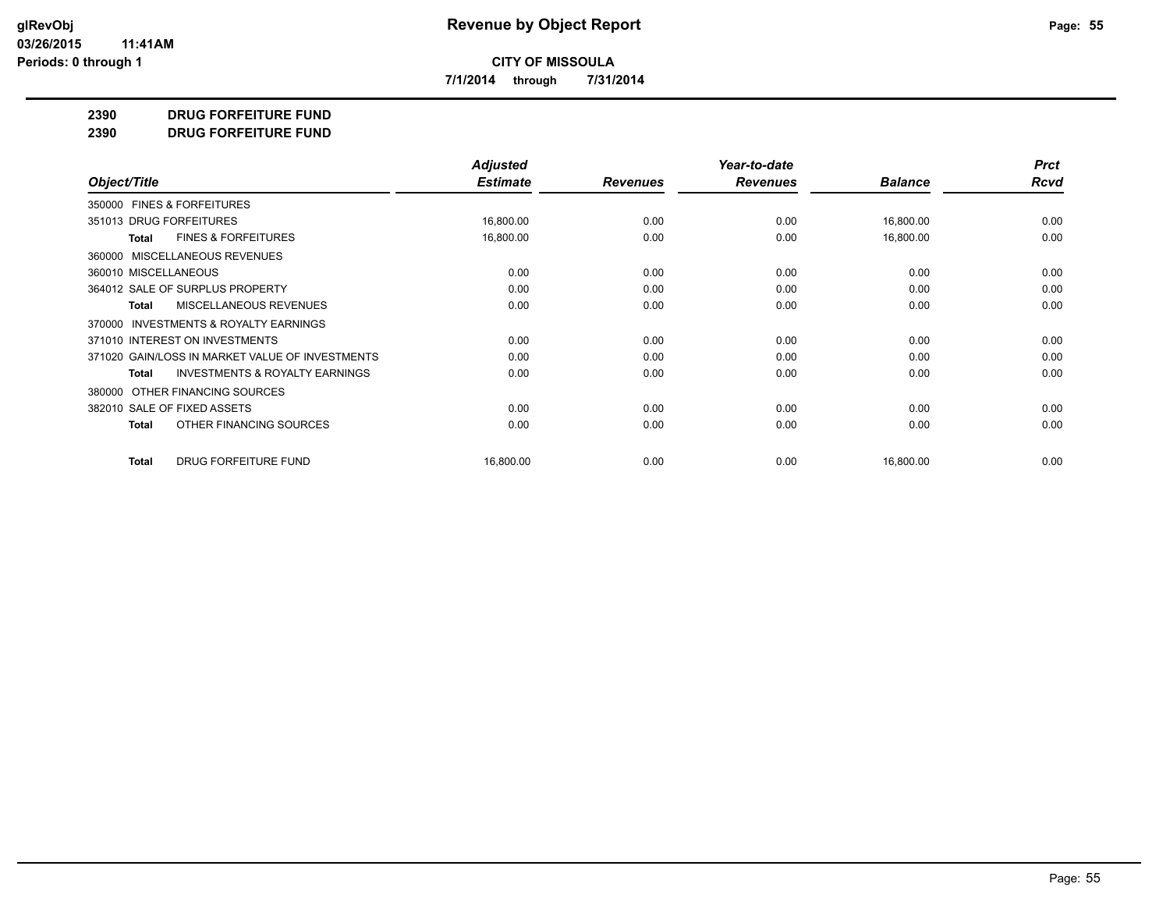**7/1/2014 through 7/31/2014**

**2390 DRUG FORFEITURE FUND**

**2390 DRUG FORFEITURE FUND**

|                                                     | <b>Adjusted</b> |                 | Year-to-date    |                | <b>Prct</b> |
|-----------------------------------------------------|-----------------|-----------------|-----------------|----------------|-------------|
| Object/Title                                        | <b>Estimate</b> | <b>Revenues</b> | <b>Revenues</b> | <b>Balance</b> | <b>Rcvd</b> |
| 350000 FINES & FORFEITURES                          |                 |                 |                 |                |             |
| 351013 DRUG FORFEITURES                             | 16,800.00       | 0.00            | 0.00            | 16,800.00      | 0.00        |
| <b>FINES &amp; FORFEITURES</b><br>Total             | 16,800.00       | 0.00            | 0.00            | 16,800.00      | 0.00        |
| MISCELLANEOUS REVENUES<br>360000                    |                 |                 |                 |                |             |
| 360010 MISCELLANEOUS                                | 0.00            | 0.00            | 0.00            | 0.00           | 0.00        |
| 364012 SALE OF SURPLUS PROPERTY                     | 0.00            | 0.00            | 0.00            | 0.00           | 0.00        |
| MISCELLANEOUS REVENUES<br>Total                     | 0.00            | 0.00            | 0.00            | 0.00           | 0.00        |
| <b>INVESTMENTS &amp; ROYALTY EARNINGS</b><br>370000 |                 |                 |                 |                |             |
| 371010 INTEREST ON INVESTMENTS                      | 0.00            | 0.00            | 0.00            | 0.00           | 0.00        |
| 371020 GAIN/LOSS IN MARKET VALUE OF INVESTMENTS     | 0.00            | 0.00            | 0.00            | 0.00           | 0.00        |
| <b>INVESTMENTS &amp; ROYALTY EARNINGS</b><br>Total  | 0.00            | 0.00            | 0.00            | 0.00           | 0.00        |
| OTHER FINANCING SOURCES<br>380000                   |                 |                 |                 |                |             |
| 382010 SALE OF FIXED ASSETS                         | 0.00            | 0.00            | 0.00            | 0.00           | 0.00        |
| OTHER FINANCING SOURCES<br><b>Total</b>             | 0.00            | 0.00            | 0.00            | 0.00           | 0.00        |
| <b>DRUG FORFEITURE FUND</b><br>Total                | 16,800.00       | 0.00            | 0.00            | 16,800.00      | 0.00        |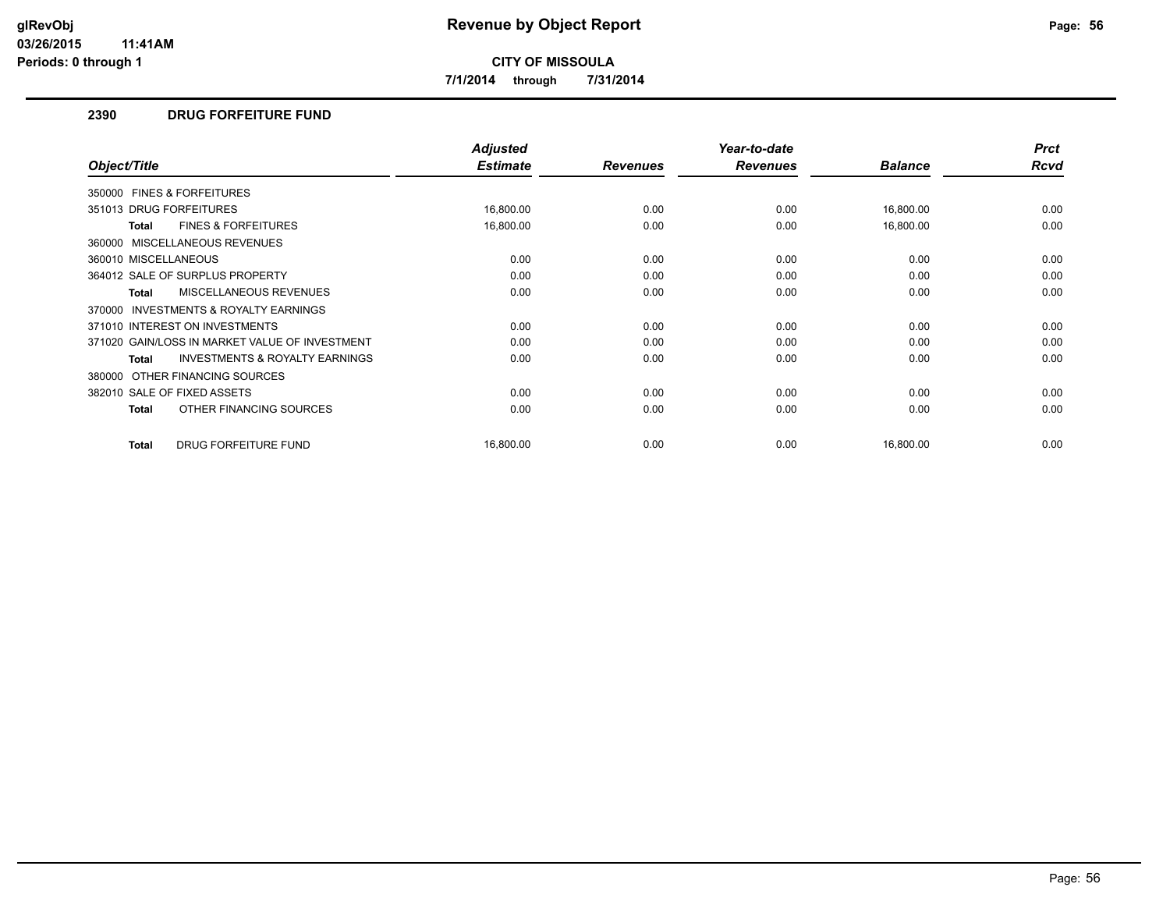**7/1/2014 through 7/31/2014**

#### **2390 DRUG FORFEITURE FUND**

|                                                     | <b>Adjusted</b> |                 | Year-to-date    |                | <b>Prct</b> |
|-----------------------------------------------------|-----------------|-----------------|-----------------|----------------|-------------|
| Object/Title                                        | <b>Estimate</b> | <b>Revenues</b> | <b>Revenues</b> | <b>Balance</b> | Rcvd        |
| 350000 FINES & FORFEITURES                          |                 |                 |                 |                |             |
| 351013 DRUG FORFEITURES                             | 16,800.00       | 0.00            | 0.00            | 16,800.00      | 0.00        |
| <b>FINES &amp; FORFEITURES</b><br>Total             | 16,800.00       | 0.00            | 0.00            | 16,800.00      | 0.00        |
| 360000 MISCELLANEOUS REVENUES                       |                 |                 |                 |                |             |
| 360010 MISCELLANEOUS                                | 0.00            | 0.00            | 0.00            | 0.00           | 0.00        |
| 364012 SALE OF SURPLUS PROPERTY                     | 0.00            | 0.00            | 0.00            | 0.00           | 0.00        |
| <b>MISCELLANEOUS REVENUES</b><br>Total              | 0.00            | 0.00            | 0.00            | 0.00           | 0.00        |
| <b>INVESTMENTS &amp; ROYALTY EARNINGS</b><br>370000 |                 |                 |                 |                |             |
| 371010 INTEREST ON INVESTMENTS                      | 0.00            | 0.00            | 0.00            | 0.00           | 0.00        |
| 371020 GAIN/LOSS IN MARKET VALUE OF INVESTMENT      | 0.00            | 0.00            | 0.00            | 0.00           | 0.00        |
| <b>INVESTMENTS &amp; ROYALTY EARNINGS</b><br>Total  | 0.00            | 0.00            | 0.00            | 0.00           | 0.00        |
| 380000 OTHER FINANCING SOURCES                      |                 |                 |                 |                |             |
| 382010 SALE OF FIXED ASSETS                         | 0.00            | 0.00            | 0.00            | 0.00           | 0.00        |
| OTHER FINANCING SOURCES<br>Total                    | 0.00            | 0.00            | 0.00            | 0.00           | 0.00        |
| DRUG FORFEITURE FUND<br><b>Total</b>                | 16,800.00       | 0.00            | 0.00            | 16,800.00      | 0.00        |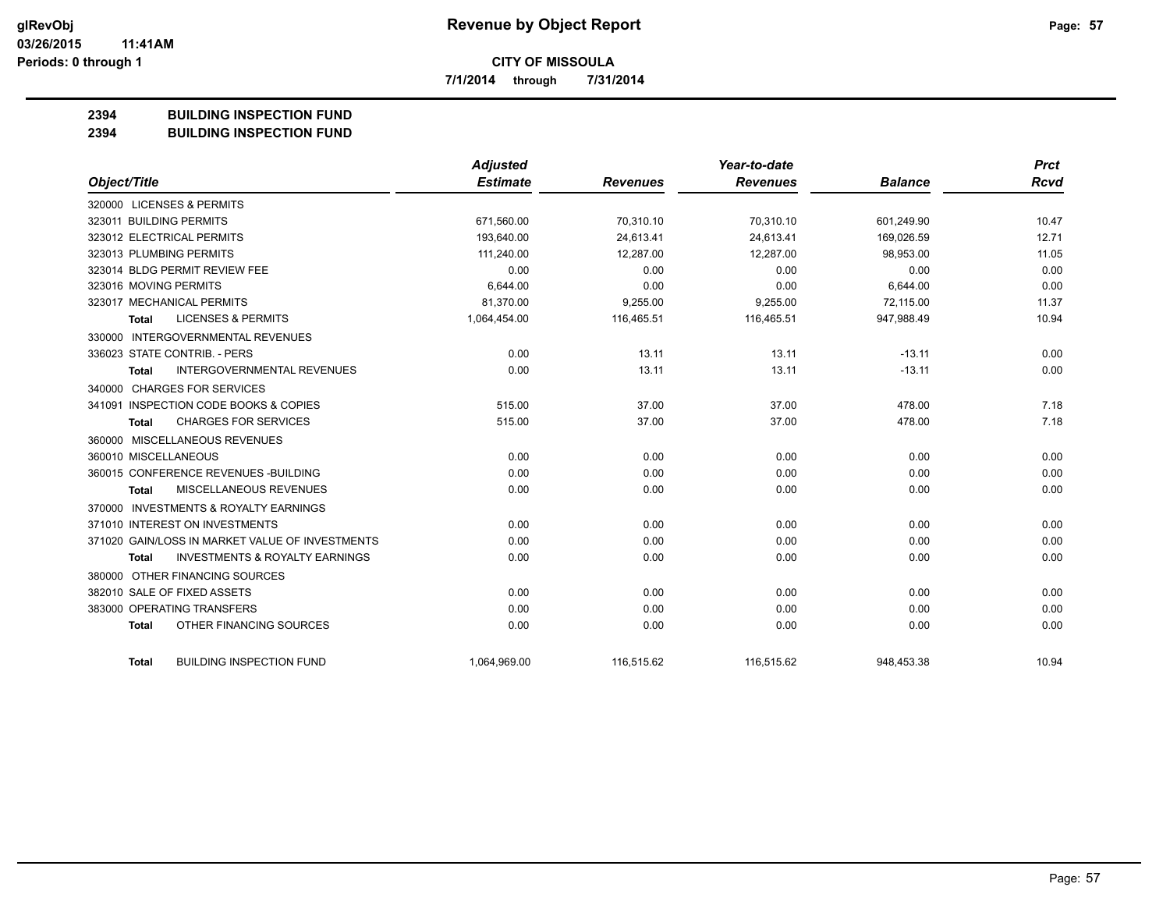**7/1/2014 through 7/31/2014**

#### **2394 BUILDING INSPECTION FUND**

#### **2394 BUILDING INSPECTION FUND**

|                                                           | <b>Adjusted</b> |                 | Year-to-date    |                | <b>Prct</b> |
|-----------------------------------------------------------|-----------------|-----------------|-----------------|----------------|-------------|
| Object/Title                                              | <b>Estimate</b> | <b>Revenues</b> | <b>Revenues</b> | <b>Balance</b> | <b>Rcvd</b> |
| 320000 LICENSES & PERMITS                                 |                 |                 |                 |                |             |
| 323011 BUILDING PERMITS                                   | 671,560.00      | 70,310.10       | 70,310.10       | 601,249.90     | 10.47       |
| 323012 ELECTRICAL PERMITS                                 | 193,640.00      | 24.613.41       | 24.613.41       | 169.026.59     | 12.71       |
| 323013 PLUMBING PERMITS                                   | 111,240.00      | 12,287.00       | 12,287.00       | 98,953.00      | 11.05       |
| 323014 BLDG PERMIT REVIEW FEE                             | 0.00            | 0.00            | 0.00            | 0.00           | 0.00        |
| 323016 MOVING PERMITS                                     | 6,644.00        | 0.00            | 0.00            | 6,644.00       | 0.00        |
| 323017 MECHANICAL PERMITS                                 | 81,370.00       | 9,255.00        | 9,255.00        | 72,115.00      | 11.37       |
| <b>LICENSES &amp; PERMITS</b><br>Total                    | 1,064,454.00    | 116,465.51      | 116,465.51      | 947,988.49     | 10.94       |
| 330000 INTERGOVERNMENTAL REVENUES                         |                 |                 |                 |                |             |
| 336023 STATE CONTRIB. - PERS                              | 0.00            | 13.11           | 13.11           | $-13.11$       | 0.00        |
| <b>INTERGOVERNMENTAL REVENUES</b><br><b>Total</b>         | 0.00            | 13.11           | 13.11           | $-13.11$       | 0.00        |
| 340000 CHARGES FOR SERVICES                               |                 |                 |                 |                |             |
| 341091 INSPECTION CODE BOOKS & COPIES                     | 515.00          | 37.00           | 37.00           | 478.00         | 7.18        |
| <b>CHARGES FOR SERVICES</b><br><b>Total</b>               | 515.00          | 37.00           | 37.00           | 478.00         | 7.18        |
| 360000 MISCELLANEOUS REVENUES                             |                 |                 |                 |                |             |
| 360010 MISCELLANEOUS                                      | 0.00            | 0.00            | 0.00            | 0.00           | 0.00        |
| 360015 CONFERENCE REVENUES - BUILDING                     | 0.00            | 0.00            | 0.00            | 0.00           | 0.00        |
| MISCELLANEOUS REVENUES<br><b>Total</b>                    | 0.00            | 0.00            | 0.00            | 0.00           | 0.00        |
| 370000 INVESTMENTS & ROYALTY EARNINGS                     |                 |                 |                 |                |             |
| 371010 INTEREST ON INVESTMENTS                            | 0.00            | 0.00            | 0.00            | 0.00           | 0.00        |
| 371020 GAIN/LOSS IN MARKET VALUE OF INVESTMENTS           | 0.00            | 0.00            | 0.00            | 0.00           | 0.00        |
| <b>INVESTMENTS &amp; ROYALTY EARNINGS</b><br><b>Total</b> | 0.00            | 0.00            | 0.00            | 0.00           | 0.00        |
| 380000 OTHER FINANCING SOURCES                            |                 |                 |                 |                |             |
| 382010 SALE OF FIXED ASSETS                               | 0.00            | 0.00            | 0.00            | 0.00           | 0.00        |
| 383000 OPERATING TRANSFERS                                | 0.00            | 0.00            | 0.00            | 0.00           | 0.00        |
| OTHER FINANCING SOURCES<br><b>Total</b>                   | 0.00            | 0.00            | 0.00            | 0.00           | 0.00        |
| <b>BUILDING INSPECTION FUND</b><br><b>Total</b>           | 1,064,969.00    | 116,515.62      | 116,515.62      | 948,453.38     | 10.94       |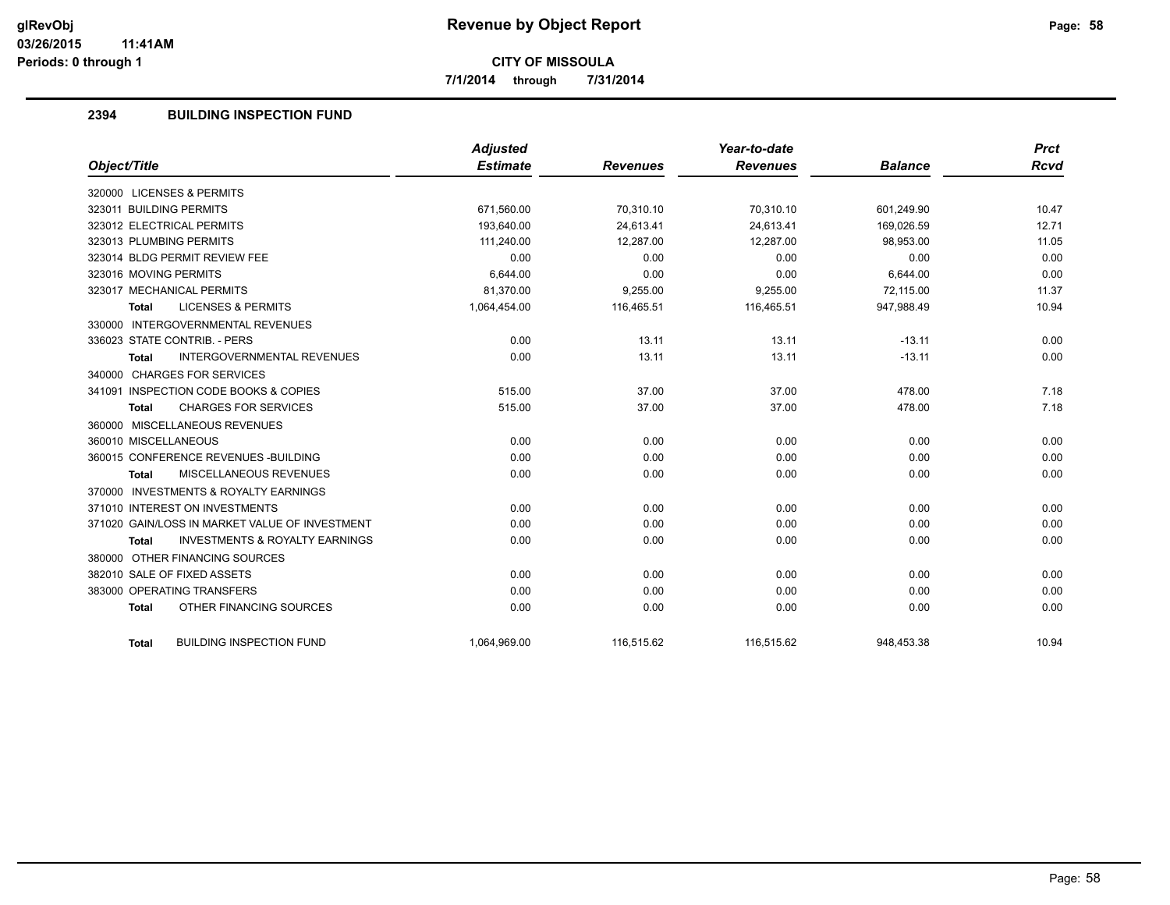**7/1/2014 through 7/31/2014**

#### **2394 BUILDING INSPECTION FUND**

|                                                           | <b>Adjusted</b> |                 | Year-to-date    |                | <b>Prct</b> |
|-----------------------------------------------------------|-----------------|-----------------|-----------------|----------------|-------------|
| Object/Title                                              | <b>Estimate</b> | <b>Revenues</b> | <b>Revenues</b> | <b>Balance</b> | Rcvd        |
| 320000 LICENSES & PERMITS                                 |                 |                 |                 |                |             |
| 323011 BUILDING PERMITS                                   | 671,560.00      | 70,310.10       | 70,310.10       | 601,249.90     | 10.47       |
| 323012 ELECTRICAL PERMITS                                 | 193.640.00      | 24.613.41       | 24.613.41       | 169,026.59     | 12.71       |
| 323013 PLUMBING PERMITS                                   | 111,240.00      | 12,287.00       | 12,287.00       | 98,953.00      | 11.05       |
| 323014 BLDG PERMIT REVIEW FEE                             | 0.00            | 0.00            | 0.00            | 0.00           | 0.00        |
| 323016 MOVING PERMITS                                     | 6,644.00        | 0.00            | 0.00            | 6,644.00       | 0.00        |
| 323017 MECHANICAL PERMITS                                 | 81,370.00       | 9,255.00        | 9,255.00        | 72,115.00      | 11.37       |
| <b>LICENSES &amp; PERMITS</b><br><b>Total</b>             | 1,064,454.00    | 116,465.51      | 116,465.51      | 947,988.49     | 10.94       |
| 330000 INTERGOVERNMENTAL REVENUES                         |                 |                 |                 |                |             |
| 336023 STATE CONTRIB. - PERS                              | 0.00            | 13.11           | 13.11           | $-13.11$       | 0.00        |
| <b>INTERGOVERNMENTAL REVENUES</b><br><b>Total</b>         | 0.00            | 13.11           | 13.11           | $-13.11$       | 0.00        |
| 340000 CHARGES FOR SERVICES                               |                 |                 |                 |                |             |
| 341091 INSPECTION CODE BOOKS & COPIES                     | 515.00          | 37.00           | 37.00           | 478.00         | 7.18        |
| <b>CHARGES FOR SERVICES</b><br><b>Total</b>               | 515.00          | 37.00           | 37.00           | 478.00         | 7.18        |
| 360000 MISCELLANEOUS REVENUES                             |                 |                 |                 |                |             |
| 360010 MISCELLANEOUS                                      | 0.00            | 0.00            | 0.00            | 0.00           | 0.00        |
| 360015 CONFERENCE REVENUES - BUILDING                     | 0.00            | 0.00            | 0.00            | 0.00           | 0.00        |
| MISCELLANEOUS REVENUES<br><b>Total</b>                    | 0.00            | 0.00            | 0.00            | 0.00           | 0.00        |
| 370000 INVESTMENTS & ROYALTY EARNINGS                     |                 |                 |                 |                |             |
| 371010 INTEREST ON INVESTMENTS                            | 0.00            | 0.00            | 0.00            | 0.00           | 0.00        |
| 371020 GAIN/LOSS IN MARKET VALUE OF INVESTMENT            | 0.00            | 0.00            | 0.00            | 0.00           | 0.00        |
| <b>INVESTMENTS &amp; ROYALTY EARNINGS</b><br><b>Total</b> | 0.00            | 0.00            | 0.00            | 0.00           | 0.00        |
| 380000 OTHER FINANCING SOURCES                            |                 |                 |                 |                |             |
| 382010 SALE OF FIXED ASSETS                               | 0.00            | 0.00            | 0.00            | 0.00           | 0.00        |
| 383000 OPERATING TRANSFERS                                | 0.00            | 0.00            | 0.00            | 0.00           | 0.00        |
| OTHER FINANCING SOURCES<br><b>Total</b>                   | 0.00            | 0.00            | 0.00            | 0.00           | 0.00        |
| <b>BUILDING INSPECTION FUND</b><br><b>Total</b>           | 1,064,969.00    | 116,515.62      | 116,515.62      | 948,453.38     | 10.94       |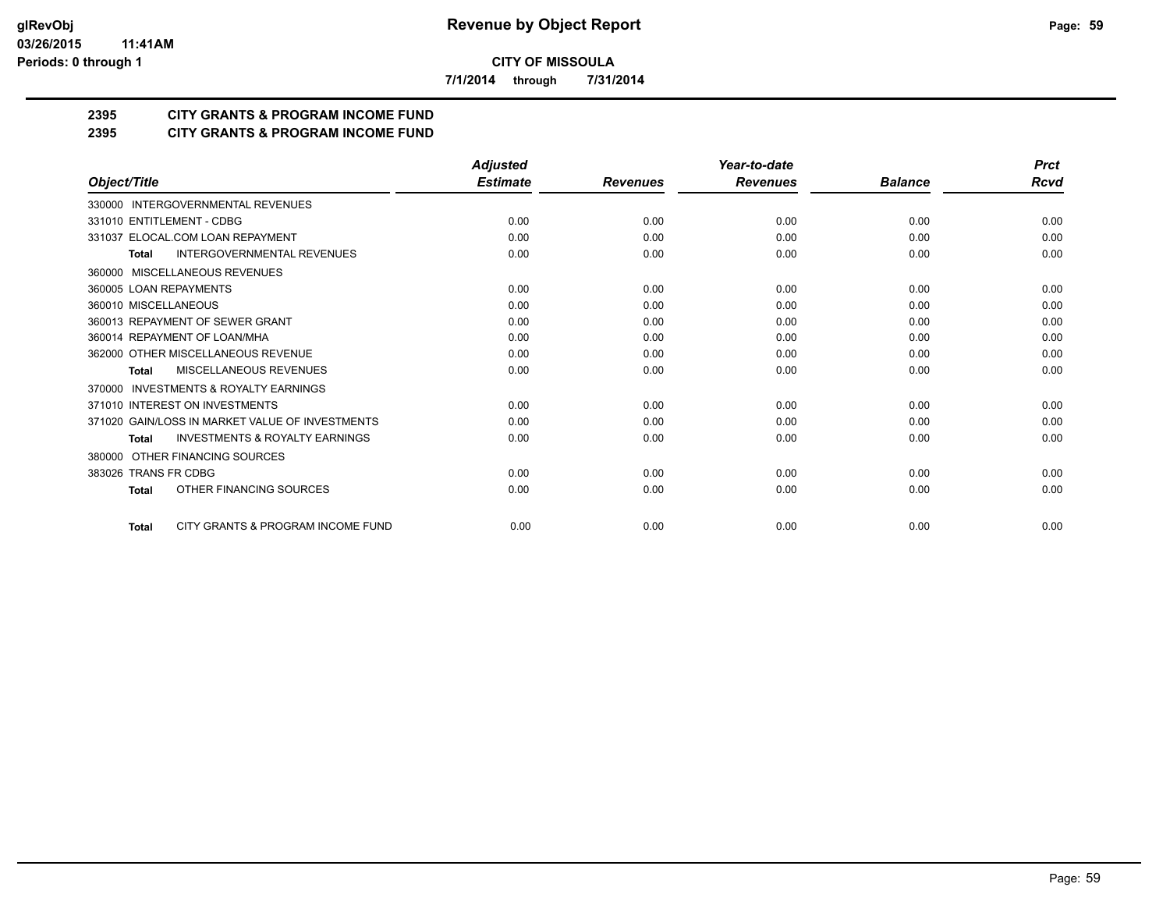**7/1/2014 through 7/31/2014**

## **2395 CITY GRANTS & PROGRAM INCOME FUND**

**2395 CITY GRANTS & PROGRAM INCOME FUND**

|                                                           | <b>Adjusted</b> |                 | Year-to-date    |                | <b>Prct</b> |
|-----------------------------------------------------------|-----------------|-----------------|-----------------|----------------|-------------|
| Object/Title                                              | <b>Estimate</b> | <b>Revenues</b> | <b>Revenues</b> | <b>Balance</b> | <b>Rcvd</b> |
| 330000 INTERGOVERNMENTAL REVENUES                         |                 |                 |                 |                |             |
| 331010 ENTITLEMENT - CDBG                                 | 0.00            | 0.00            | 0.00            | 0.00           | 0.00        |
| 331037 ELOCAL.COM LOAN REPAYMENT                          | 0.00            | 0.00            | 0.00            | 0.00           | 0.00        |
| <b>INTERGOVERNMENTAL REVENUES</b><br><b>Total</b>         | 0.00            | 0.00            | 0.00            | 0.00           | 0.00        |
| MISCELLANEOUS REVENUES<br>360000                          |                 |                 |                 |                |             |
| 360005 LOAN REPAYMENTS                                    | 0.00            | 0.00            | 0.00            | 0.00           | 0.00        |
| 360010 MISCELLANEOUS                                      | 0.00            | 0.00            | 0.00            | 0.00           | 0.00        |
| 360013 REPAYMENT OF SEWER GRANT                           | 0.00            | 0.00            | 0.00            | 0.00           | 0.00        |
| 360014 REPAYMENT OF LOAN/MHA                              | 0.00            | 0.00            | 0.00            | 0.00           | 0.00        |
| 362000 OTHER MISCELLANEOUS REVENUE                        | 0.00            | 0.00            | 0.00            | 0.00           | 0.00        |
| <b>MISCELLANEOUS REVENUES</b><br><b>Total</b>             | 0.00            | 0.00            | 0.00            | 0.00           | 0.00        |
| <b>INVESTMENTS &amp; ROYALTY EARNINGS</b><br>370000       |                 |                 |                 |                |             |
| 371010 INTEREST ON INVESTMENTS                            | 0.00            | 0.00            | 0.00            | 0.00           | 0.00        |
| 371020 GAIN/LOSS IN MARKET VALUE OF INVESTMENTS           | 0.00            | 0.00            | 0.00            | 0.00           | 0.00        |
| <b>INVESTMENTS &amp; ROYALTY EARNINGS</b><br><b>Total</b> | 0.00            | 0.00            | 0.00            | 0.00           | 0.00        |
| OTHER FINANCING SOURCES<br>380000                         |                 |                 |                 |                |             |
| 383026 TRANS FR CDBG                                      | 0.00            | 0.00            | 0.00            | 0.00           | 0.00        |
| OTHER FINANCING SOURCES<br><b>Total</b>                   | 0.00            | 0.00            | 0.00            | 0.00           | 0.00        |
| CITY GRANTS & PROGRAM INCOME FUND<br><b>Total</b>         | 0.00            | 0.00            | 0.00            | 0.00           | 0.00        |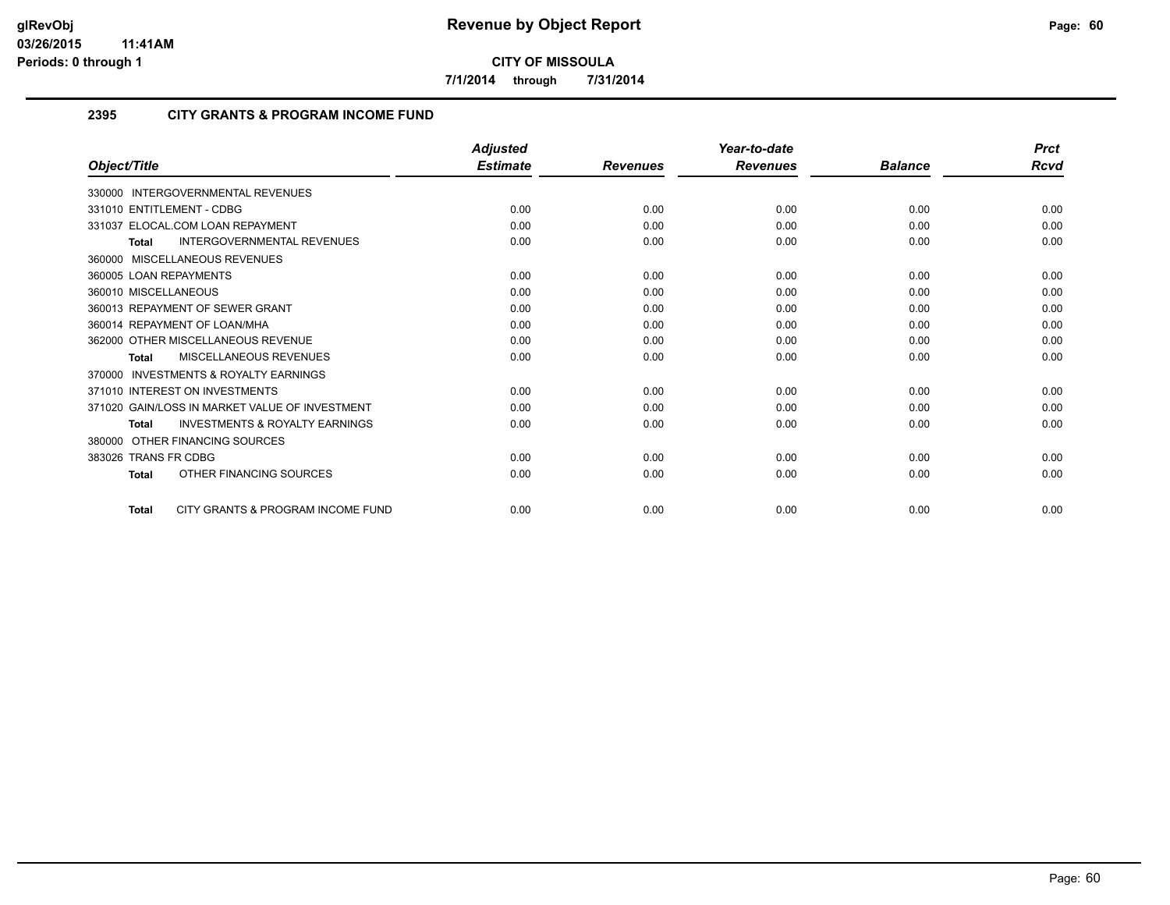**7/1/2014 through 7/31/2014**

#### **2395 CITY GRANTS & PROGRAM INCOME FUND**

|                                                     | <b>Adjusted</b> |                 | Year-to-date    |                | <b>Prct</b> |
|-----------------------------------------------------|-----------------|-----------------|-----------------|----------------|-------------|
| Object/Title                                        | <b>Estimate</b> | <b>Revenues</b> | <b>Revenues</b> | <b>Balance</b> | Rcvd        |
| 330000 INTERGOVERNMENTAL REVENUES                   |                 |                 |                 |                |             |
| 331010 ENTITLEMENT - CDBG                           | 0.00            | 0.00            | 0.00            | 0.00           | 0.00        |
| 331037 ELOCAL.COM LOAN REPAYMENT                    | 0.00            | 0.00            | 0.00            | 0.00           | 0.00        |
| <b>INTERGOVERNMENTAL REVENUES</b><br><b>Total</b>   | 0.00            | 0.00            | 0.00            | 0.00           | 0.00        |
| 360000 MISCELLANEOUS REVENUES                       |                 |                 |                 |                |             |
| 360005 LOAN REPAYMENTS                              | 0.00            | 0.00            | 0.00            | 0.00           | 0.00        |
| 360010 MISCELLANEOUS                                | 0.00            | 0.00            | 0.00            | 0.00           | 0.00        |
| 360013 REPAYMENT OF SEWER GRANT                     | 0.00            | 0.00            | 0.00            | 0.00           | 0.00        |
| 360014 REPAYMENT OF LOAN/MHA                        | 0.00            | 0.00            | 0.00            | 0.00           | 0.00        |
| 362000 OTHER MISCELLANEOUS REVENUE                  | 0.00            | 0.00            | 0.00            | 0.00           | 0.00        |
| <b>MISCELLANEOUS REVENUES</b><br>Total              | 0.00            | 0.00            | 0.00            | 0.00           | 0.00        |
| <b>INVESTMENTS &amp; ROYALTY EARNINGS</b><br>370000 |                 |                 |                 |                |             |
| 371010 INTEREST ON INVESTMENTS                      | 0.00            | 0.00            | 0.00            | 0.00           | 0.00        |
| 371020 GAIN/LOSS IN MARKET VALUE OF INVESTMENT      | 0.00            | 0.00            | 0.00            | 0.00           | 0.00        |
| <b>INVESTMENTS &amp; ROYALTY EARNINGS</b><br>Total  | 0.00            | 0.00            | 0.00            | 0.00           | 0.00        |
| OTHER FINANCING SOURCES<br>380000                   |                 |                 |                 |                |             |
| 383026 TRANS FR CDBG                                | 0.00            | 0.00            | 0.00            | 0.00           | 0.00        |
| OTHER FINANCING SOURCES<br>Total                    | 0.00            | 0.00            | 0.00            | 0.00           | 0.00        |
|                                                     |                 |                 |                 |                |             |
| CITY GRANTS & PROGRAM INCOME FUND<br>Total          | 0.00            | 0.00            | 0.00            | 0.00           | 0.00        |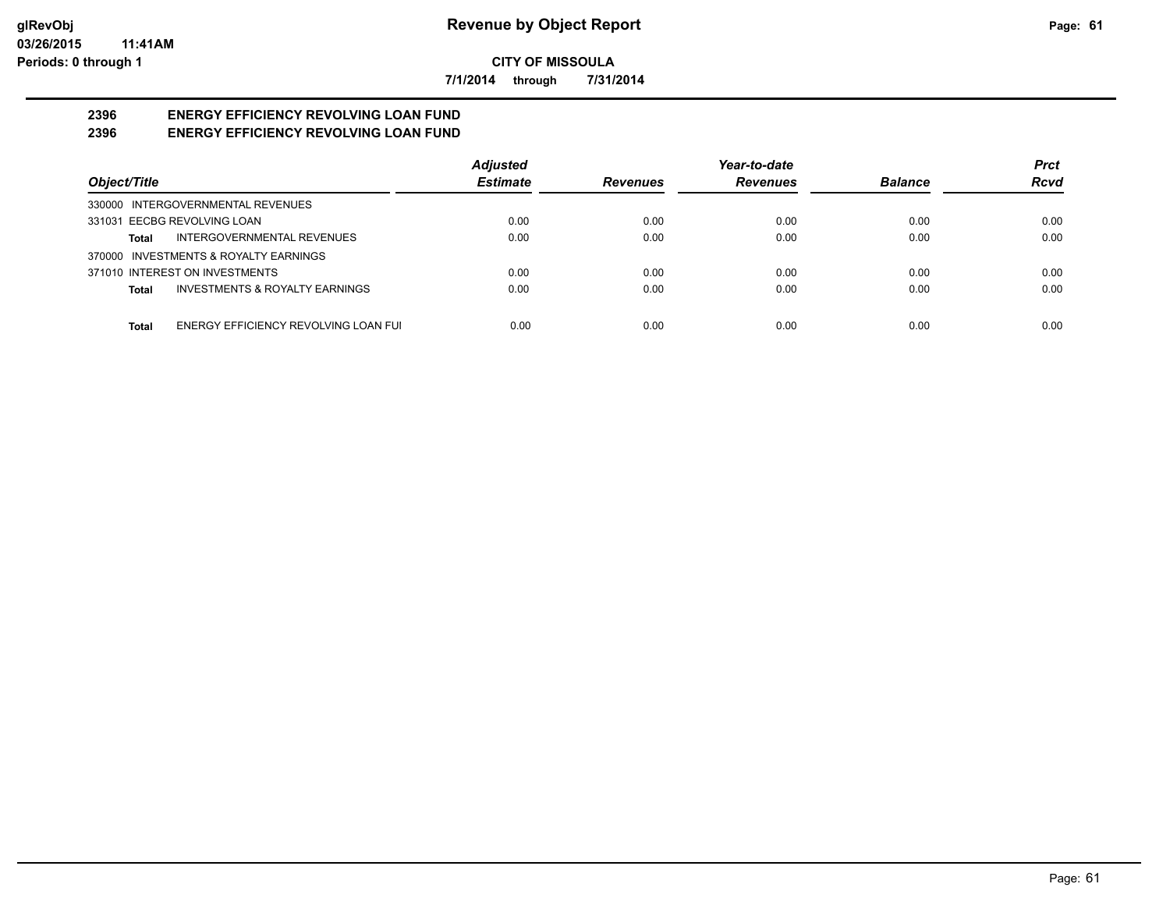**7/1/2014 through 7/31/2014**

#### **2396 ENERGY EFFICIENCY REVOLVING LOAN FUND 2396 ENERGY EFFICIENCY REVOLVING LOAN FUND**

|                                               | <b>Adjusted</b> |                 | Year-to-date    |                | <b>Prct</b> |
|-----------------------------------------------|-----------------|-----------------|-----------------|----------------|-------------|
| Object/Title                                  | <b>Estimate</b> | <b>Revenues</b> | <b>Revenues</b> | <b>Balance</b> | <b>Rcvd</b> |
| 330000 INTERGOVERNMENTAL REVENUES             |                 |                 |                 |                |             |
| 331031 EECBG REVOLVING LOAN                   | 0.00            | 0.00            | 0.00            | 0.00           | 0.00        |
| INTERGOVERNMENTAL REVENUES<br>Total           | 0.00            | 0.00            | 0.00            | 0.00           | 0.00        |
| 370000 INVESTMENTS & ROYALTY EARNINGS         |                 |                 |                 |                |             |
| 371010 INTEREST ON INVESTMENTS                | 0.00            | 0.00            | 0.00            | 0.00           | 0.00        |
| INVESTMENTS & ROYALTY EARNINGS<br>Total       | 0.00            | 0.00            | 0.00            | 0.00           | 0.00        |
|                                               |                 |                 |                 |                |             |
| ENERGY EFFICIENCY REVOLVING LOAN FUI<br>Total | 0.00            | 0.00            | 0.00            | 0.00           | 0.00        |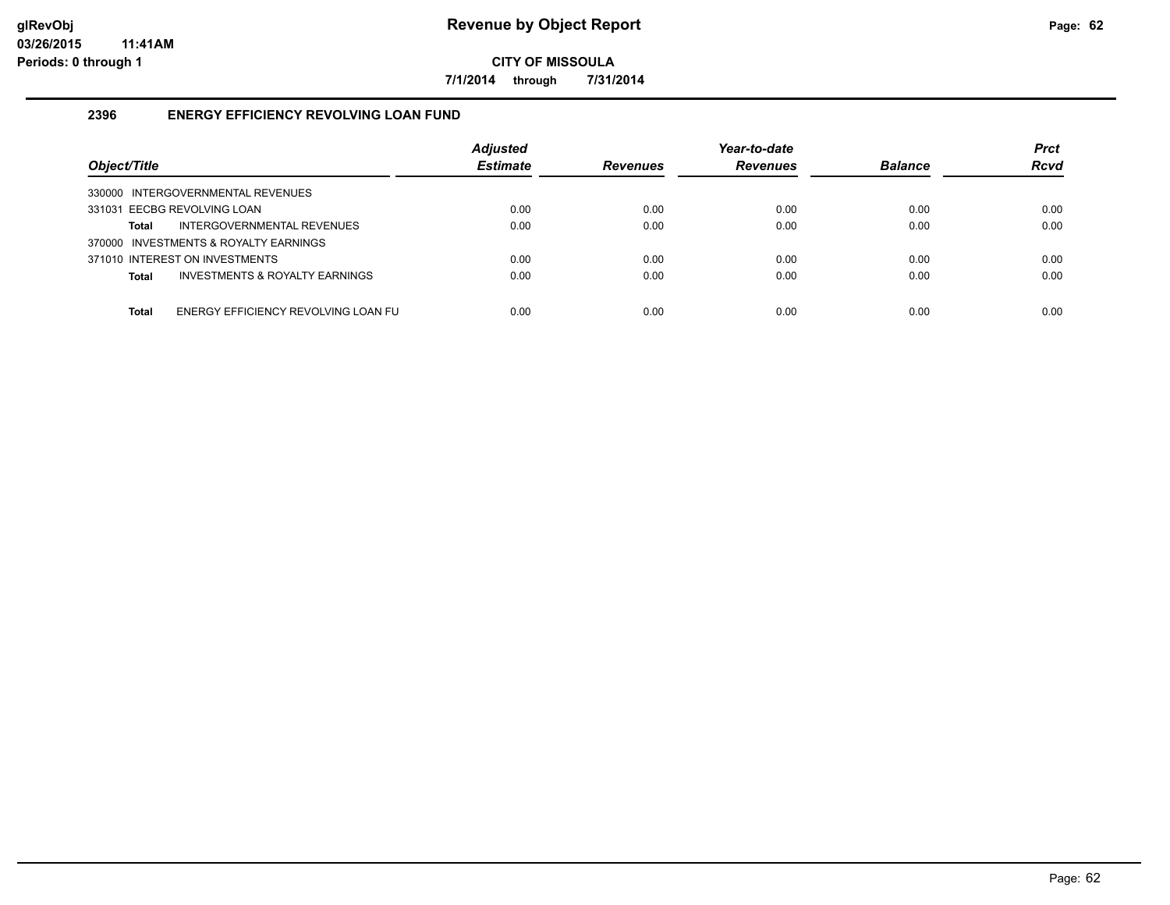**7/1/2014 through 7/31/2014**

#### **2396 ENERGY EFFICIENCY REVOLVING LOAN FUND**

| Object/Title                                        | <b>Adjusted</b><br><b>Estimate</b> | <b>Revenues</b> | Year-to-date<br><b>Revenues</b> | <b>Balance</b> | <b>Prct</b><br><b>Rcvd</b> |
|-----------------------------------------------------|------------------------------------|-----------------|---------------------------------|----------------|----------------------------|
| 330000 INTERGOVERNMENTAL REVENUES                   |                                    |                 |                                 |                |                            |
| 331031 EECBG REVOLVING LOAN                         | 0.00                               | 0.00            | 0.00                            | 0.00           | 0.00                       |
| INTERGOVERNMENTAL REVENUES<br>Total                 | 0.00                               | 0.00            | 0.00                            | 0.00           | 0.00                       |
| 370000 INVESTMENTS & ROYALTY EARNINGS               |                                    |                 |                                 |                |                            |
| 371010 INTEREST ON INVESTMENTS                      | 0.00                               | 0.00            | 0.00                            | 0.00           | 0.00                       |
| INVESTMENTS & ROYALTY EARNINGS<br><b>Total</b>      | 0.00                               | 0.00            | 0.00                            | 0.00           | 0.00                       |
|                                                     |                                    |                 |                                 |                |                            |
| ENERGY EFFICIENCY REVOLVING LOAN FU<br><b>Total</b> | 0.00                               | 0.00            | 0.00                            | 0.00           | 0.00                       |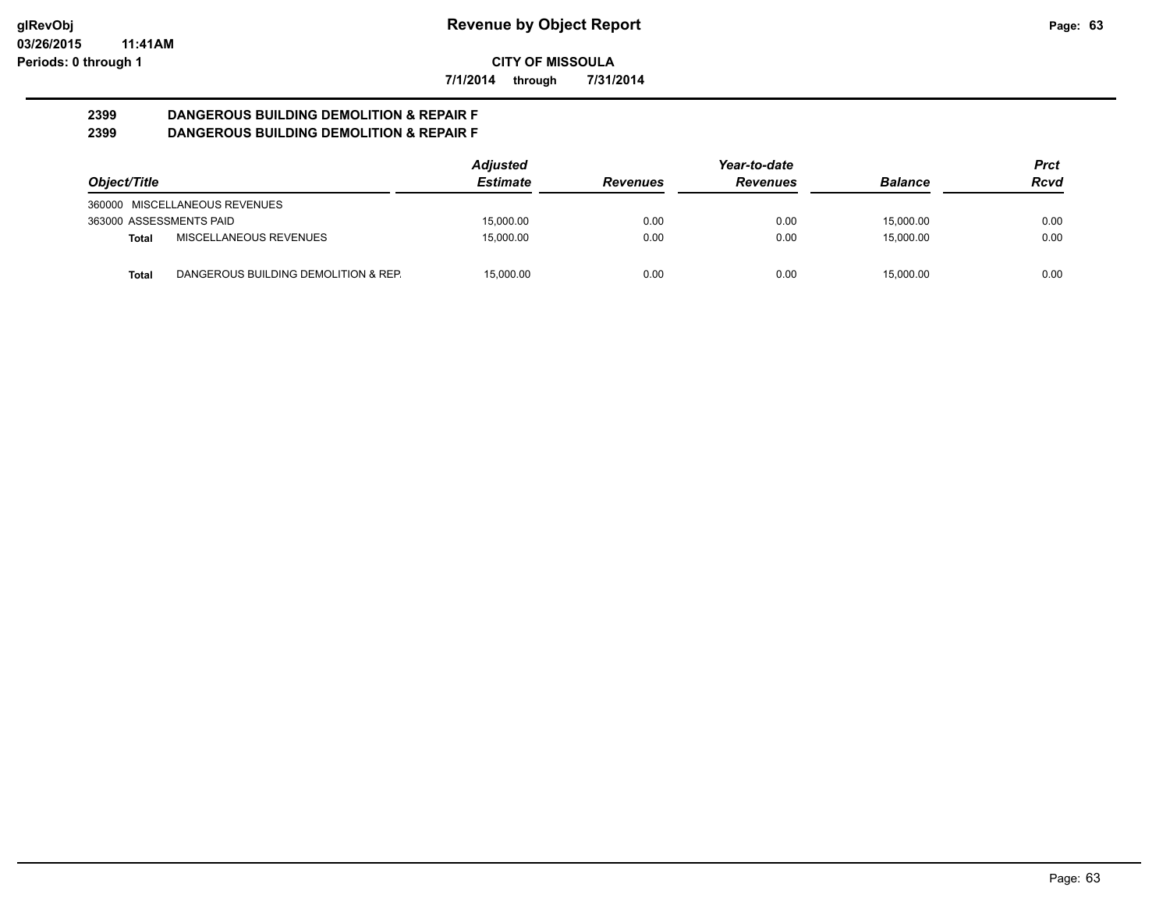**7/1/2014 through 7/31/2014**

#### **2399 DANGEROUS BUILDING DEMOLITION & REPAIR F 2399 DANGEROUS BUILDING DEMOLITION & REPAIR F**

| Object/Title            |                                      | <b>Adjusted</b> | Year-to-date                       |      |                | Prct |
|-------------------------|--------------------------------------|-----------------|------------------------------------|------|----------------|------|
|                         |                                      | <b>Estimate</b> | <b>Revenues</b><br><b>Revenues</b> |      | <b>Balance</b> | Rcvd |
|                         | 360000 MISCELLANEOUS REVENUES        |                 |                                    |      |                |      |
| 363000 ASSESSMENTS PAID |                                      | 15,000.00       | 0.00                               | 0.00 | 15.000.00      | 0.00 |
| Total                   | MISCELLANEOUS REVENUES               | 15.000.00       | 0.00                               | 0.00 | 15.000.00      | 0.00 |
| <b>Total</b>            | DANGEROUS BUILDING DEMOLITION & REP. | 15.000.00       | 0.00                               | 0.00 | 15.000.00      | 0.00 |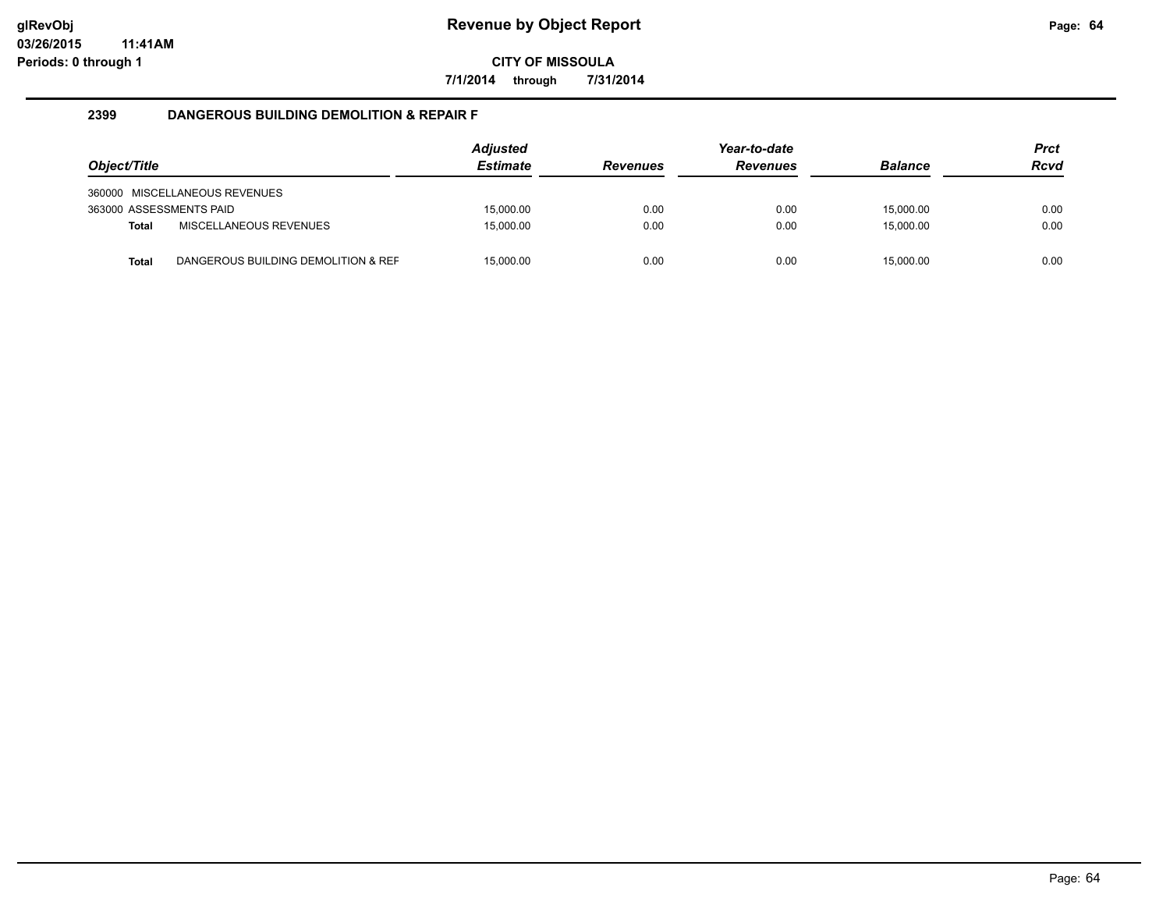**7/1/2014 through 7/31/2014**

#### **2399 DANGEROUS BUILDING DEMOLITION & REPAIR F**

| Object/Title            |                                     | Adjusted<br><b>Estimate</b> | <b>Revenues</b> | Year-to-date<br><b>Revenues</b> | <b>Balance</b> | <b>Prct</b><br><b>Rcvd</b> |
|-------------------------|-------------------------------------|-----------------------------|-----------------|---------------------------------|----------------|----------------------------|
|                         | 360000 MISCELLANEOUS REVENUES       |                             |                 |                                 |                |                            |
| 363000 ASSESSMENTS PAID |                                     | 15.000.00                   | 0.00            | 0.00                            | 15.000.00      | 0.00                       |
| <b>Total</b>            | <b>MISCELLANEOUS REVENUES</b>       | 15.000.00                   | 0.00            | 0.00                            | 15.000.00      | 0.00                       |
| <b>Total</b>            | DANGEROUS BUILDING DEMOLITION & REF | 15,000.00                   | 0.00            | 0.00                            | 15,000.00      | 0.00                       |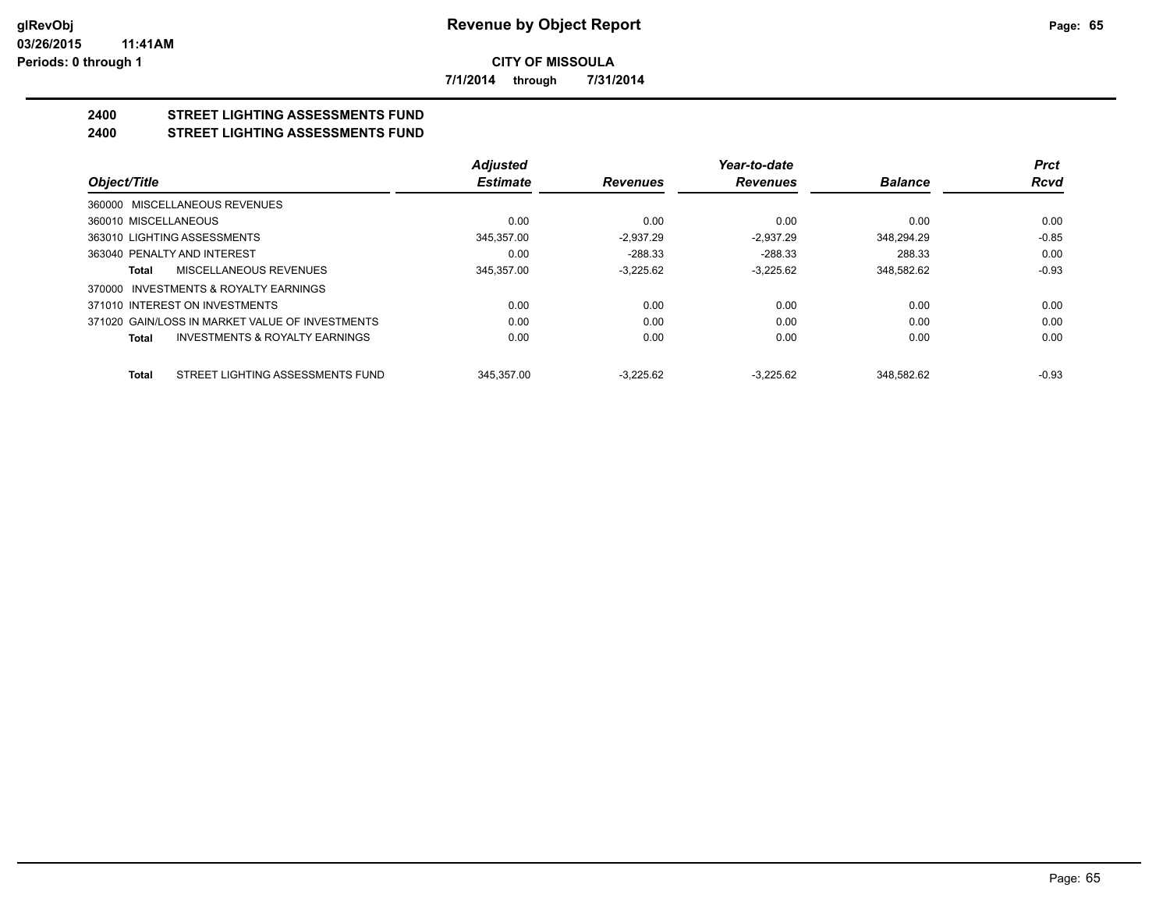**7/1/2014 through 7/31/2014**

#### **2400 STREET LIGHTING ASSESSMENTS FUND 2400 STREET LIGHTING ASSESSMENTS FUND**

|                                                    | Adjusted        |                 | Year-to-date    |                | <b>Prct</b> |
|----------------------------------------------------|-----------------|-----------------|-----------------|----------------|-------------|
| Object/Title                                       | <b>Estimate</b> | <b>Revenues</b> | <b>Revenues</b> | <b>Balance</b> | <b>Rcvd</b> |
| 360000 MISCELLANEOUS REVENUES                      |                 |                 |                 |                |             |
| 360010 MISCELLANEOUS                               | 0.00            | 0.00            | 0.00            | 0.00           | 0.00        |
| 363010 LIGHTING ASSESSMENTS                        | 345.357.00      | $-2.937.29$     | $-2.937.29$     | 348.294.29     | $-0.85$     |
| 363040 PENALTY AND INTEREST                        | 0.00            | $-288.33$       | $-288.33$       | 288.33         | 0.00        |
| MISCELLANEOUS REVENUES<br>Total                    | 345.357.00      | $-3.225.62$     | $-3.225.62$     | 348,582.62     | $-0.93$     |
| 370000 INVESTMENTS & ROYALTY EARNINGS              |                 |                 |                 |                |             |
| 371010 INTEREST ON INVESTMENTS                     | 0.00            | 0.00            | 0.00            | 0.00           | 0.00        |
| 371020 GAIN/LOSS IN MARKET VALUE OF INVESTMENTS    | 0.00            | 0.00            | 0.00            | 0.00           | 0.00        |
| <b>INVESTMENTS &amp; ROYALTY EARNINGS</b><br>Total | 0.00            | 0.00            | 0.00            | 0.00           | 0.00        |
| STREET LIGHTING ASSESSMENTS FUND<br><b>Total</b>   | 345.357.00      | $-3.225.62$     | $-3.225.62$     | 348.582.62     | $-0.93$     |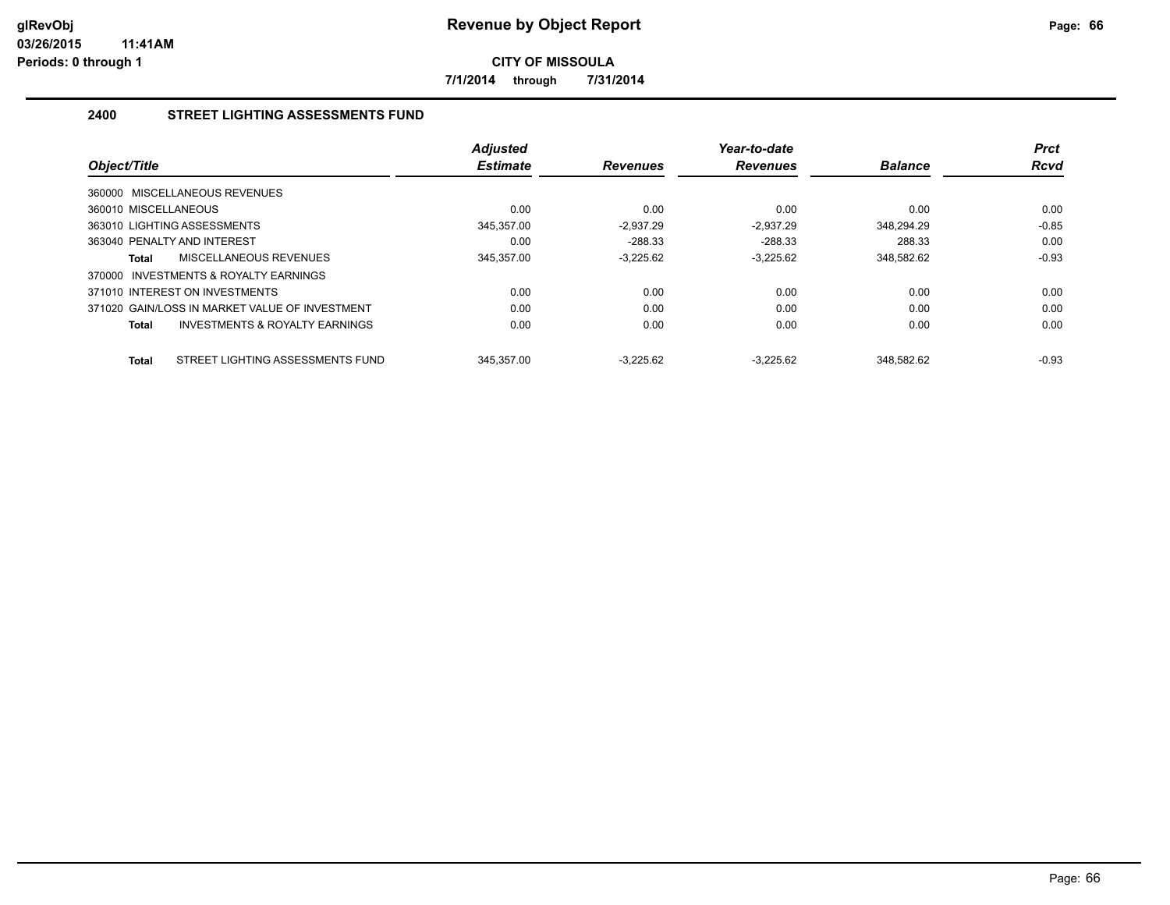**7/1/2014 through 7/31/2014**

#### **2400 STREET LIGHTING ASSESSMENTS FUND**

| Object/Title                                   | <b>Adjusted</b><br><b>Estimate</b> | <b>Revenues</b> | Year-to-date<br><b>Revenues</b> | <b>Balance</b> | <b>Prct</b><br><b>Rcvd</b> |
|------------------------------------------------|------------------------------------|-----------------|---------------------------------|----------------|----------------------------|
| 360000 MISCELLANEOUS REVENUES                  |                                    |                 |                                 |                |                            |
| 360010 MISCELLANEOUS                           | 0.00                               | 0.00            | 0.00                            | 0.00           | 0.00                       |
| 363010 LIGHTING ASSESSMENTS                    | 345,357.00                         | $-2.937.29$     | $-2.937.29$                     | 348,294.29     | $-0.85$                    |
| 363040 PENALTY AND INTEREST                    | 0.00                               | $-288.33$       | $-288.33$                       | 288.33         | 0.00                       |
| MISCELLANEOUS REVENUES<br>Total                | 345,357.00                         | $-3,225.62$     | $-3.225.62$                     | 348,582.62     | $-0.93$                    |
| INVESTMENTS & ROYALTY EARNINGS<br>370000       |                                    |                 |                                 |                |                            |
| 371010 INTEREST ON INVESTMENTS                 | 0.00                               | 0.00            | 0.00                            | 0.00           | 0.00                       |
| 371020 GAIN/LOSS IN MARKET VALUE OF INVESTMENT | 0.00                               | 0.00            | 0.00                            | 0.00           | 0.00                       |
| INVESTMENTS & ROYALTY EARNINGS<br>Total        | 0.00                               | 0.00            | 0.00                            | 0.00           | 0.00                       |
|                                                |                                    |                 |                                 |                |                            |
| STREET LIGHTING ASSESSMENTS FUND<br>Total      | 345.357.00                         | $-3.225.62$     | $-3.225.62$                     | 348.582.62     | $-0.93$                    |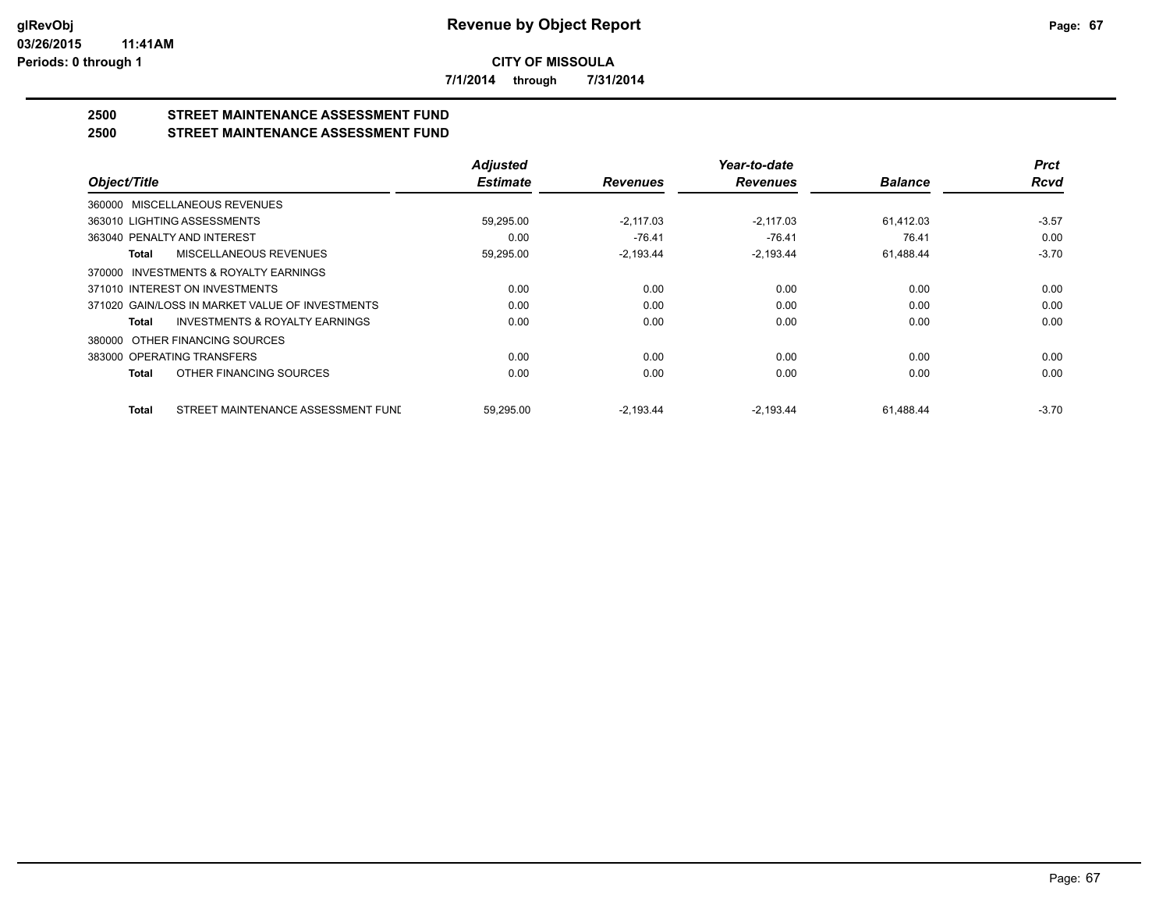**7/1/2014 through 7/31/2014**

## **2500 STREET MAINTENANCE ASSESSMENT FUND**

#### **2500 STREET MAINTENANCE ASSESSMENT FUND**

|                                                    | <b>Adjusted</b> |                 | Year-to-date    |                | <b>Prct</b> |
|----------------------------------------------------|-----------------|-----------------|-----------------|----------------|-------------|
| Object/Title                                       | <b>Estimate</b> | <b>Revenues</b> | <b>Revenues</b> | <b>Balance</b> | <b>Rcvd</b> |
| 360000 MISCELLANEOUS REVENUES                      |                 |                 |                 |                |             |
| 363010 LIGHTING ASSESSMENTS                        | 59,295.00       | $-2.117.03$     | $-2.117.03$     | 61,412.03      | $-3.57$     |
| 363040 PENALTY AND INTEREST                        | 0.00            | $-76.41$        | $-76.41$        | 76.41          | 0.00        |
| <b>MISCELLANEOUS REVENUES</b><br>Total             | 59,295.00       | $-2,193.44$     | $-2,193.44$     | 61,488.44      | $-3.70$     |
| 370000 INVESTMENTS & ROYALTY EARNINGS              |                 |                 |                 |                |             |
| 371010 INTEREST ON INVESTMENTS                     | 0.00            | 0.00            | 0.00            | 0.00           | 0.00        |
| 371020 GAIN/LOSS IN MARKET VALUE OF INVESTMENTS    | 0.00            | 0.00            | 0.00            | 0.00           | 0.00        |
| <b>INVESTMENTS &amp; ROYALTY EARNINGS</b><br>Total | 0.00            | 0.00            | 0.00            | 0.00           | 0.00        |
| OTHER FINANCING SOURCES<br>380000                  |                 |                 |                 |                |             |
| 383000 OPERATING TRANSFERS                         | 0.00            | 0.00            | 0.00            | 0.00           | 0.00        |
| OTHER FINANCING SOURCES<br><b>Total</b>            | 0.00            | 0.00            | 0.00            | 0.00           | 0.00        |
| STREET MAINTENANCE ASSESSMENT FUNI<br><b>Total</b> | 59.295.00       | $-2.193.44$     | $-2.193.44$     | 61.488.44      | $-3.70$     |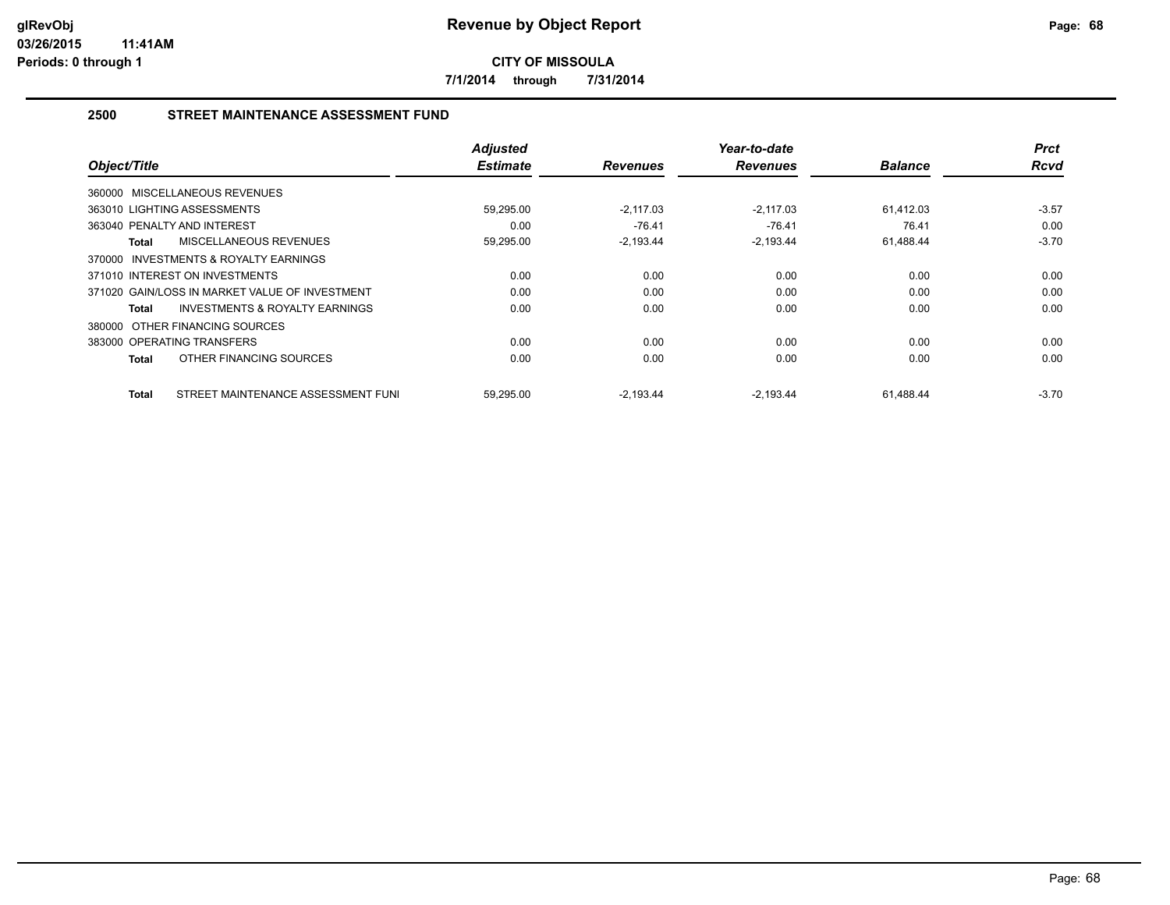**7/1/2014 through 7/31/2014**

#### **2500 STREET MAINTENANCE ASSESSMENT FUND**

| Object/Title                                       | <b>Adjusted</b><br><b>Estimate</b> | <b>Revenues</b> | Year-to-date<br><b>Revenues</b> | <b>Balance</b> | <b>Prct</b><br>Rcvd |
|----------------------------------------------------|------------------------------------|-----------------|---------------------------------|----------------|---------------------|
| 360000 MISCELLANEOUS REVENUES                      |                                    |                 |                                 |                |                     |
| 363010 LIGHTING ASSESSMENTS                        | 59,295.00                          | $-2.117.03$     | $-2.117.03$                     | 61.412.03      | $-3.57$             |
| 363040 PENALTY AND INTEREST                        | 0.00                               | $-76.41$        | $-76.41$                        | 76.41          | 0.00                |
| MISCELLANEOUS REVENUES<br>Total                    | 59,295.00                          | $-2,193.44$     | $-2,193.44$                     | 61,488.44      | $-3.70$             |
| INVESTMENTS & ROYALTY EARNINGS<br>370000           |                                    |                 |                                 |                |                     |
| 371010 INTEREST ON INVESTMENTS                     | 0.00                               | 0.00            | 0.00                            | 0.00           | 0.00                |
| 371020 GAIN/LOSS IN MARKET VALUE OF INVESTMENT     | 0.00                               | 0.00            | 0.00                            | 0.00           | 0.00                |
| <b>INVESTMENTS &amp; ROYALTY EARNINGS</b><br>Total | 0.00                               | 0.00            | 0.00                            | 0.00           | 0.00                |
| 380000 OTHER FINANCING SOURCES                     |                                    |                 |                                 |                |                     |
| 383000 OPERATING TRANSFERS                         | 0.00                               | 0.00            | 0.00                            | 0.00           | 0.00                |
| OTHER FINANCING SOURCES<br><b>Total</b>            | 0.00                               | 0.00            | 0.00                            | 0.00           | 0.00                |
| STREET MAINTENANCE ASSESSMENT FUNI<br><b>Total</b> | 59,295.00                          | $-2,193.44$     | $-2,193.44$                     | 61,488.44      | $-3.70$             |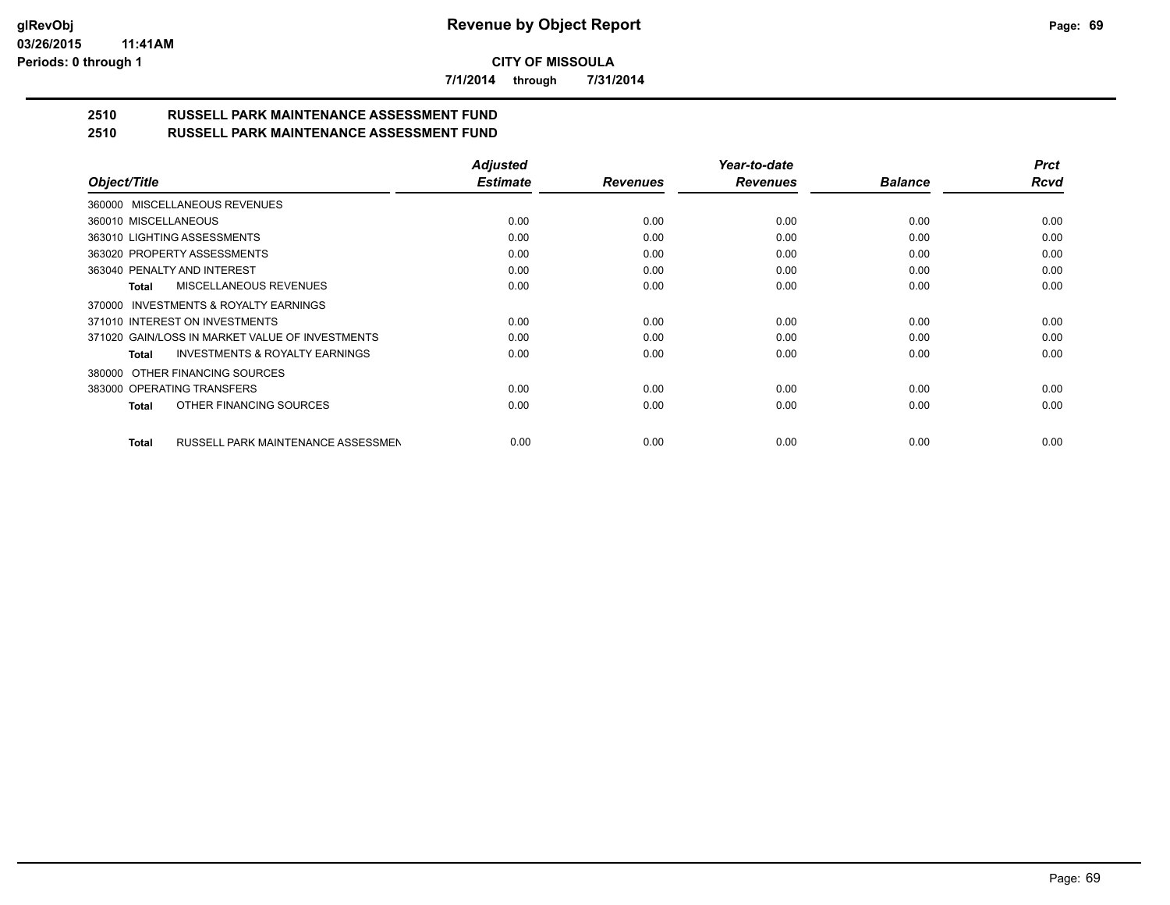**7/1/2014 through 7/31/2014**

# **2510 RUSSELL PARK MAINTENANCE ASSESSMENT FUND**

| 2510 | <b>RUSSELL PARK MAINTENANCE ASSESSMENT FUND</b> |
|------|-------------------------------------------------|
|      |                                                 |

|                                                    | <b>Adjusted</b> |                 | Year-to-date    |                | <b>Prct</b> |
|----------------------------------------------------|-----------------|-----------------|-----------------|----------------|-------------|
| Object/Title                                       | <b>Estimate</b> | <b>Revenues</b> | <b>Revenues</b> | <b>Balance</b> | Rcvd        |
| 360000 MISCELLANEOUS REVENUES                      |                 |                 |                 |                |             |
| 360010 MISCELLANEOUS                               | 0.00            | 0.00            | 0.00            | 0.00           | 0.00        |
| 363010 LIGHTING ASSESSMENTS                        | 0.00            | 0.00            | 0.00            | 0.00           | 0.00        |
| 363020 PROPERTY ASSESSMENTS                        | 0.00            | 0.00            | 0.00            | 0.00           | 0.00        |
| 363040 PENALTY AND INTEREST                        | 0.00            | 0.00            | 0.00            | 0.00           | 0.00        |
| MISCELLANEOUS REVENUES<br>Total                    | 0.00            | 0.00            | 0.00            | 0.00           | 0.00        |
| 370000 INVESTMENTS & ROYALTY EARNINGS              |                 |                 |                 |                |             |
| 371010 INTEREST ON INVESTMENTS                     | 0.00            | 0.00            | 0.00            | 0.00           | 0.00        |
| 371020 GAIN/LOSS IN MARKET VALUE OF INVESTMENTS    | 0.00            | 0.00            | 0.00            | 0.00           | 0.00        |
| <b>INVESTMENTS &amp; ROYALTY EARNINGS</b><br>Total | 0.00            | 0.00            | 0.00            | 0.00           | 0.00        |
| OTHER FINANCING SOURCES<br>380000                  |                 |                 |                 |                |             |
| 383000 OPERATING TRANSFERS                         | 0.00            | 0.00            | 0.00            | 0.00           | 0.00        |
| OTHER FINANCING SOURCES<br>Total                   | 0.00            | 0.00            | 0.00            | 0.00           | 0.00        |
| RUSSELL PARK MAINTENANCE ASSESSMEN<br><b>Total</b> | 0.00            | 0.00            | 0.00            | 0.00           | 0.00        |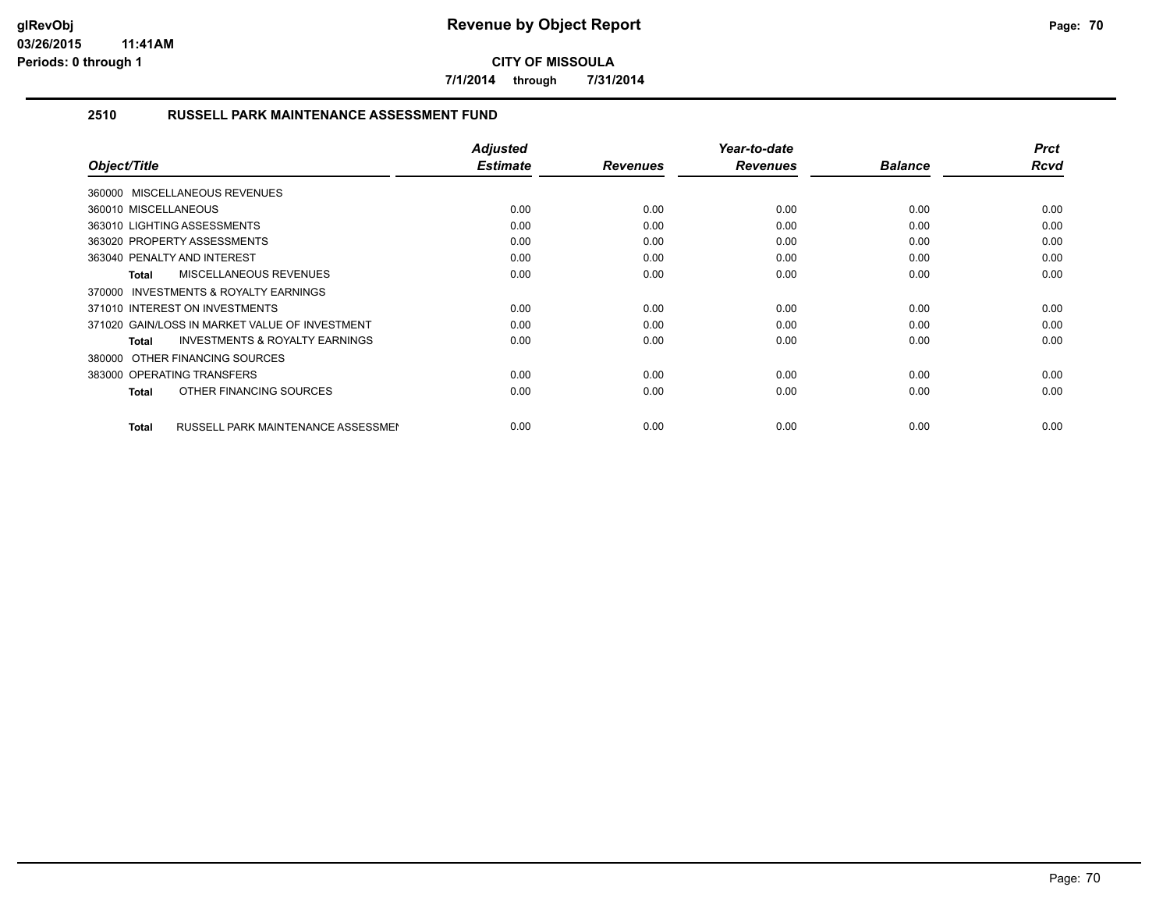**7/1/2014 through 7/31/2014**

#### **2510 RUSSELL PARK MAINTENANCE ASSESSMENT FUND**

| Object/Title                                              | <b>Adjusted</b><br><b>Estimate</b> | <b>Revenues</b> | Year-to-date<br><b>Revenues</b> | <b>Balance</b> | <b>Prct</b><br><b>Rcvd</b> |
|-----------------------------------------------------------|------------------------------------|-----------------|---------------------------------|----------------|----------------------------|
| 360000 MISCELLANEOUS REVENUES                             |                                    |                 |                                 |                |                            |
| 360010 MISCELLANEOUS                                      | 0.00                               | 0.00            | 0.00                            | 0.00           | 0.00                       |
| 363010 LIGHTING ASSESSMENTS                               | 0.00                               | 0.00            | 0.00                            | 0.00           | 0.00                       |
| 363020 PROPERTY ASSESSMENTS                               | 0.00                               | 0.00            | 0.00                            | 0.00           | 0.00                       |
| 363040 PENALTY AND INTEREST                               | 0.00                               | 0.00            | 0.00                            | 0.00           | 0.00                       |
| <b>MISCELLANEOUS REVENUES</b><br><b>Total</b>             | 0.00                               | 0.00            | 0.00                            | 0.00           | 0.00                       |
| 370000 INVESTMENTS & ROYALTY EARNINGS                     |                                    |                 |                                 |                |                            |
| 371010 INTEREST ON INVESTMENTS                            | 0.00                               | 0.00            | 0.00                            | 0.00           | 0.00                       |
| 371020 GAIN/LOSS IN MARKET VALUE OF INVESTMENT            | 0.00                               | 0.00            | 0.00                            | 0.00           | 0.00                       |
| <b>INVESTMENTS &amp; ROYALTY EARNINGS</b><br><b>Total</b> | 0.00                               | 0.00            | 0.00                            | 0.00           | 0.00                       |
| 380000 OTHER FINANCING SOURCES                            |                                    |                 |                                 |                |                            |
| 383000 OPERATING TRANSFERS                                | 0.00                               | 0.00            | 0.00                            | 0.00           | 0.00                       |
| OTHER FINANCING SOURCES<br><b>Total</b>                   | 0.00                               | 0.00            | 0.00                            | 0.00           | 0.00                       |
|                                                           |                                    |                 |                                 |                |                            |
| <b>RUSSELL PARK MAINTENANCE ASSESSMEN</b><br><b>Total</b> | 0.00                               | 0.00            | 0.00                            | 0.00           | 0.00                       |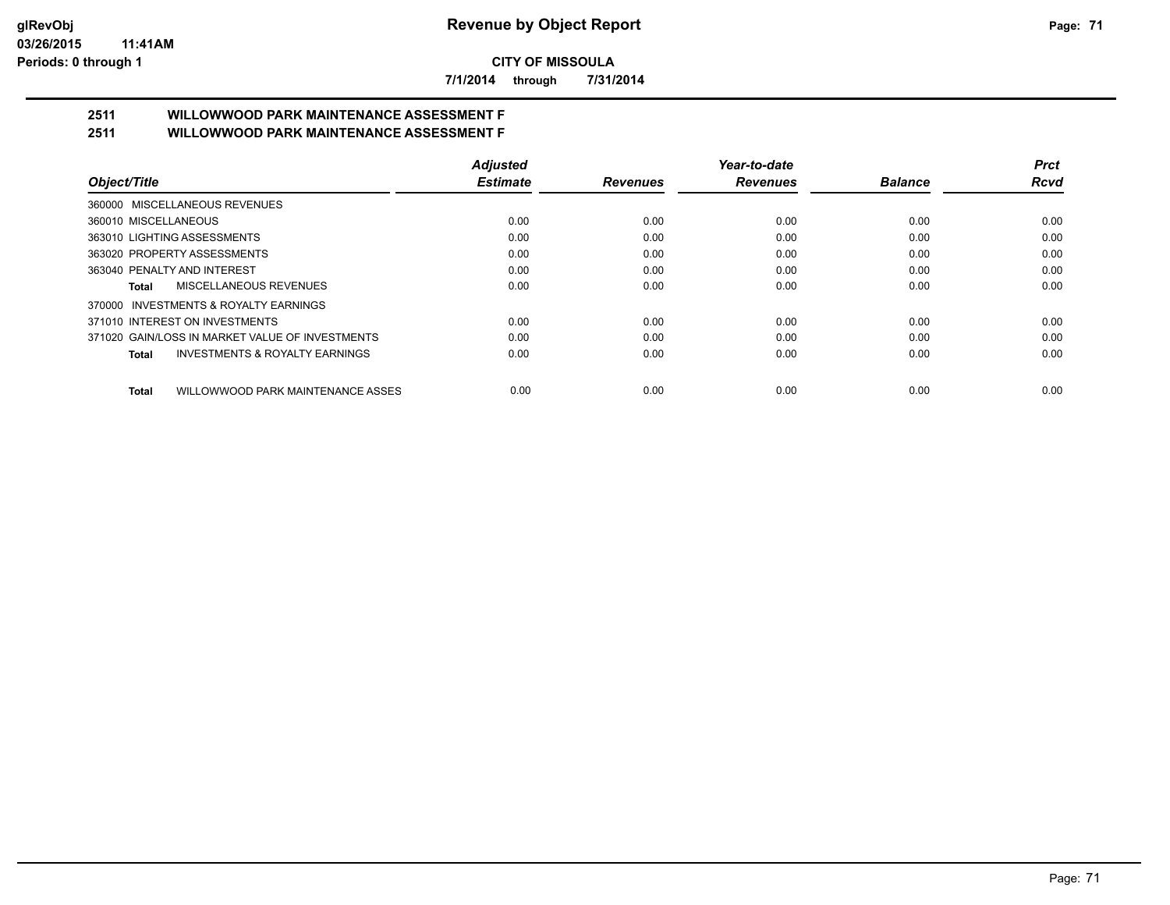**7/1/2014 through 7/31/2014**

# **2511 WILLOWWOOD PARK MAINTENANCE ASSESSMENT F**

| 2511 | <b>WILLOWWOOD PARK MAINTENANCE ASSESSMENT F</b> |  |
|------|-------------------------------------------------|--|
|      |                                                 |  |

|                                                    | <b>Adjusted</b> |                 | Year-to-date    |                | <b>Prct</b> |
|----------------------------------------------------|-----------------|-----------------|-----------------|----------------|-------------|
| Object/Title                                       | <b>Estimate</b> | <b>Revenues</b> | <b>Revenues</b> | <b>Balance</b> | <b>Rcvd</b> |
| 360000 MISCELLANEOUS REVENUES                      |                 |                 |                 |                |             |
| 360010 MISCELLANEOUS                               | 0.00            | 0.00            | 0.00            | 0.00           | 0.00        |
| 363010 LIGHTING ASSESSMENTS                        | 0.00            | 0.00            | 0.00            | 0.00           | 0.00        |
| 363020 PROPERTY ASSESSMENTS                        | 0.00            | 0.00            | 0.00            | 0.00           | 0.00        |
| 363040 PENALTY AND INTEREST                        | 0.00            | 0.00            | 0.00            | 0.00           | 0.00        |
| MISCELLANEOUS REVENUES<br>Total                    | 0.00            | 0.00            | 0.00            | 0.00           | 0.00        |
| 370000 INVESTMENTS & ROYALTY EARNINGS              |                 |                 |                 |                |             |
| 371010 INTEREST ON INVESTMENTS                     | 0.00            | 0.00            | 0.00            | 0.00           | 0.00        |
| 371020 GAIN/LOSS IN MARKET VALUE OF INVESTMENTS    | 0.00            | 0.00            | 0.00            | 0.00           | 0.00        |
| <b>INVESTMENTS &amp; ROYALTY EARNINGS</b><br>Total | 0.00            | 0.00            | 0.00            | 0.00           | 0.00        |
| Total<br>WILLOWWOOD PARK MAINTENANCE ASSES         | 0.00            | 0.00            | 0.00            | 0.00           | 0.00        |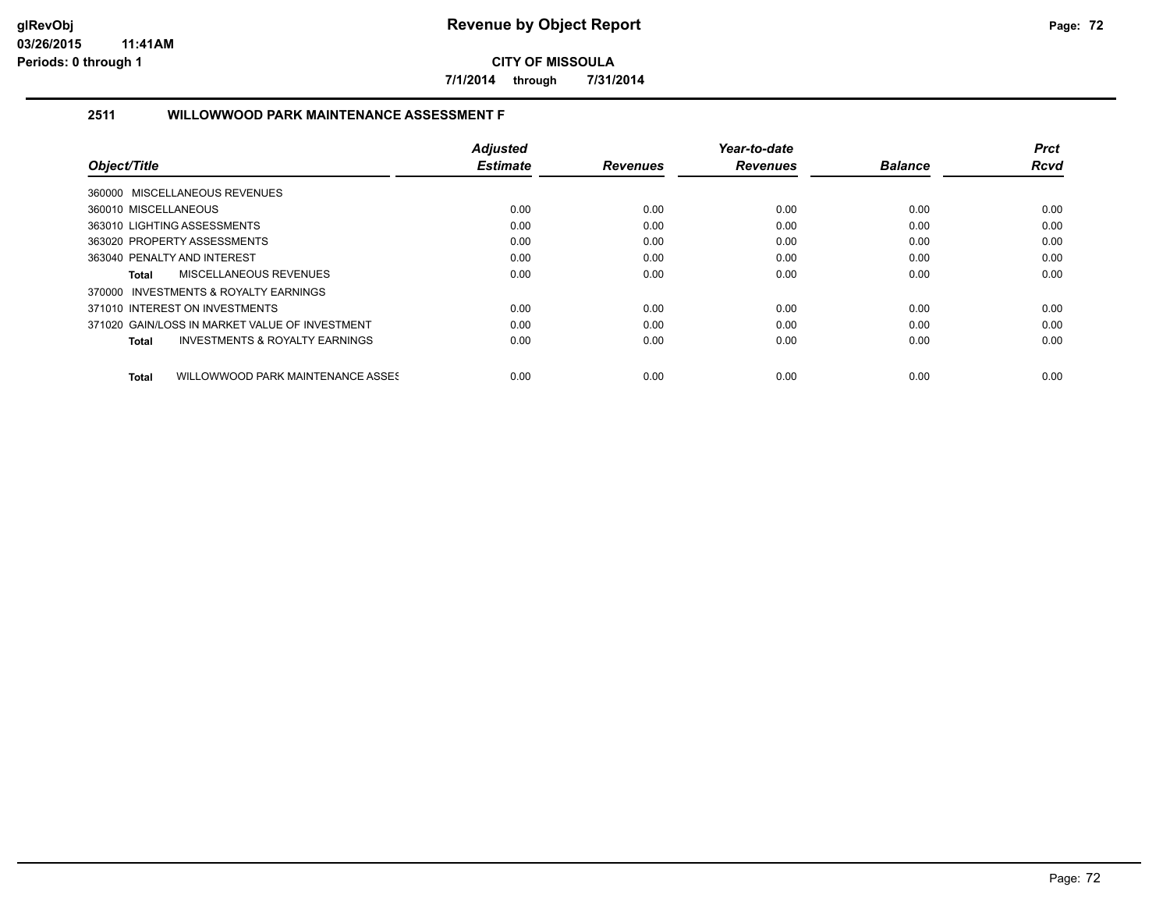**7/1/2014 through 7/31/2014**

#### **2511 WILLOWWOOD PARK MAINTENANCE ASSESSMENT F**

|                                                    | <b>Adjusted</b> |                 | Year-to-date    |                | <b>Prct</b> |
|----------------------------------------------------|-----------------|-----------------|-----------------|----------------|-------------|
| Object/Title                                       | <b>Estimate</b> | <b>Revenues</b> | <b>Revenues</b> | <b>Balance</b> | <b>Rcvd</b> |
| 360000 MISCELLANEOUS REVENUES                      |                 |                 |                 |                |             |
| 360010 MISCELLANEOUS                               | 0.00            | 0.00            | 0.00            | 0.00           | 0.00        |
| 363010 LIGHTING ASSESSMENTS                        | 0.00            | 0.00            | 0.00            | 0.00           | 0.00        |
| 363020 PROPERTY ASSESSMENTS                        | 0.00            | 0.00            | 0.00            | 0.00           | 0.00        |
| 363040 PENALTY AND INTEREST                        | 0.00            | 0.00            | 0.00            | 0.00           | 0.00        |
| MISCELLANEOUS REVENUES<br>Total                    | 0.00            | 0.00            | 0.00            | 0.00           | 0.00        |
| 370000 INVESTMENTS & ROYALTY EARNINGS              |                 |                 |                 |                |             |
| 371010 INTEREST ON INVESTMENTS                     | 0.00            | 0.00            | 0.00            | 0.00           | 0.00        |
| 371020 GAIN/LOSS IN MARKET VALUE OF INVESTMENT     | 0.00            | 0.00            | 0.00            | 0.00           | 0.00        |
| <b>INVESTMENTS &amp; ROYALTY EARNINGS</b><br>Total | 0.00            | 0.00            | 0.00            | 0.00           | 0.00        |
| WILLOWWOOD PARK MAINTENANCE ASSES<br>Total         | 0.00            | 0.00            | 0.00            | 0.00           | 0.00        |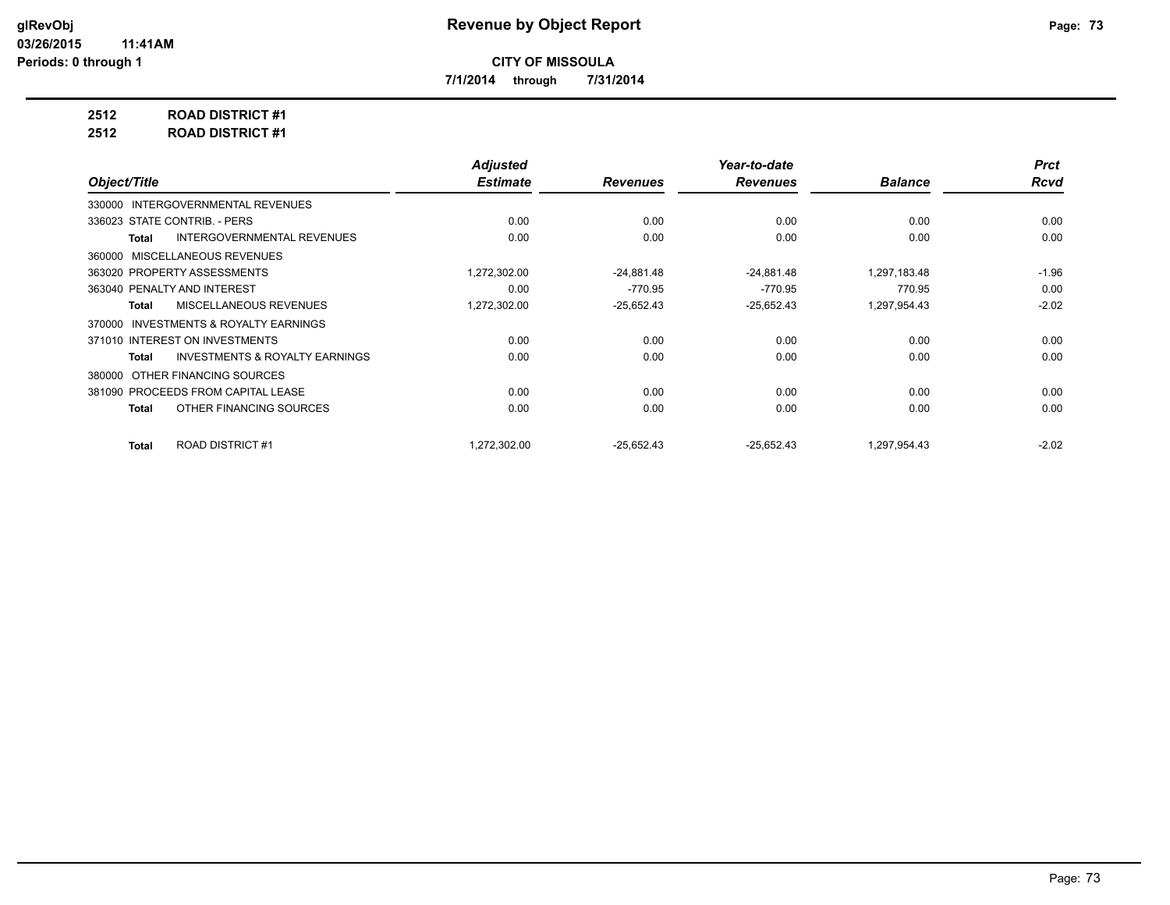**7/1/2014 through 7/31/2014**

**2512 ROAD DISTRICT #1**

**2512 ROAD DISTRICT #1**

|                                                    | <b>Adjusted</b> |                 | Year-to-date    |                | <b>Prct</b> |
|----------------------------------------------------|-----------------|-----------------|-----------------|----------------|-------------|
| Object/Title                                       | <b>Estimate</b> | <b>Revenues</b> | <b>Revenues</b> | <b>Balance</b> | <b>Rcvd</b> |
| 330000 INTERGOVERNMENTAL REVENUES                  |                 |                 |                 |                |             |
| 336023 STATE CONTRIB. - PERS                       | 0.00            | 0.00            | 0.00            | 0.00           | 0.00        |
| <b>INTERGOVERNMENTAL REVENUES</b><br>Total         | 0.00            | 0.00            | 0.00            | 0.00           | 0.00        |
| MISCELLANEOUS REVENUES<br>360000                   |                 |                 |                 |                |             |
| 363020 PROPERTY ASSESSMENTS                        | 1,272,302.00    | $-24,881.48$    | $-24,881.48$    | 1,297,183.48   | $-1.96$     |
| 363040 PENALTY AND INTEREST                        | 0.00            | $-770.95$       | $-770.95$       | 770.95         | 0.00        |
| <b>MISCELLANEOUS REVENUES</b><br><b>Total</b>      | 1,272,302.00    | $-25,652.43$    | $-25,652.43$    | 1,297,954.43   | $-2.02$     |
| INVESTMENTS & ROYALTY EARNINGS<br>370000           |                 |                 |                 |                |             |
| 371010 INTEREST ON INVESTMENTS                     | 0.00            | 0.00            | 0.00            | 0.00           | 0.00        |
| <b>INVESTMENTS &amp; ROYALTY EARNINGS</b><br>Total | 0.00            | 0.00            | 0.00            | 0.00           | 0.00        |
| OTHER FINANCING SOURCES<br>380000                  |                 |                 |                 |                |             |
| 381090 PROCEEDS FROM CAPITAL LEASE                 | 0.00            | 0.00            | 0.00            | 0.00           | 0.00        |
| OTHER FINANCING SOURCES<br>Total                   | 0.00            | 0.00            | 0.00            | 0.00           | 0.00        |
|                                                    |                 |                 |                 |                |             |
| <b>ROAD DISTRICT #1</b><br><b>Total</b>            | 1,272,302.00    | $-25,652.43$    | $-25,652.43$    | 1,297,954.43   | $-2.02$     |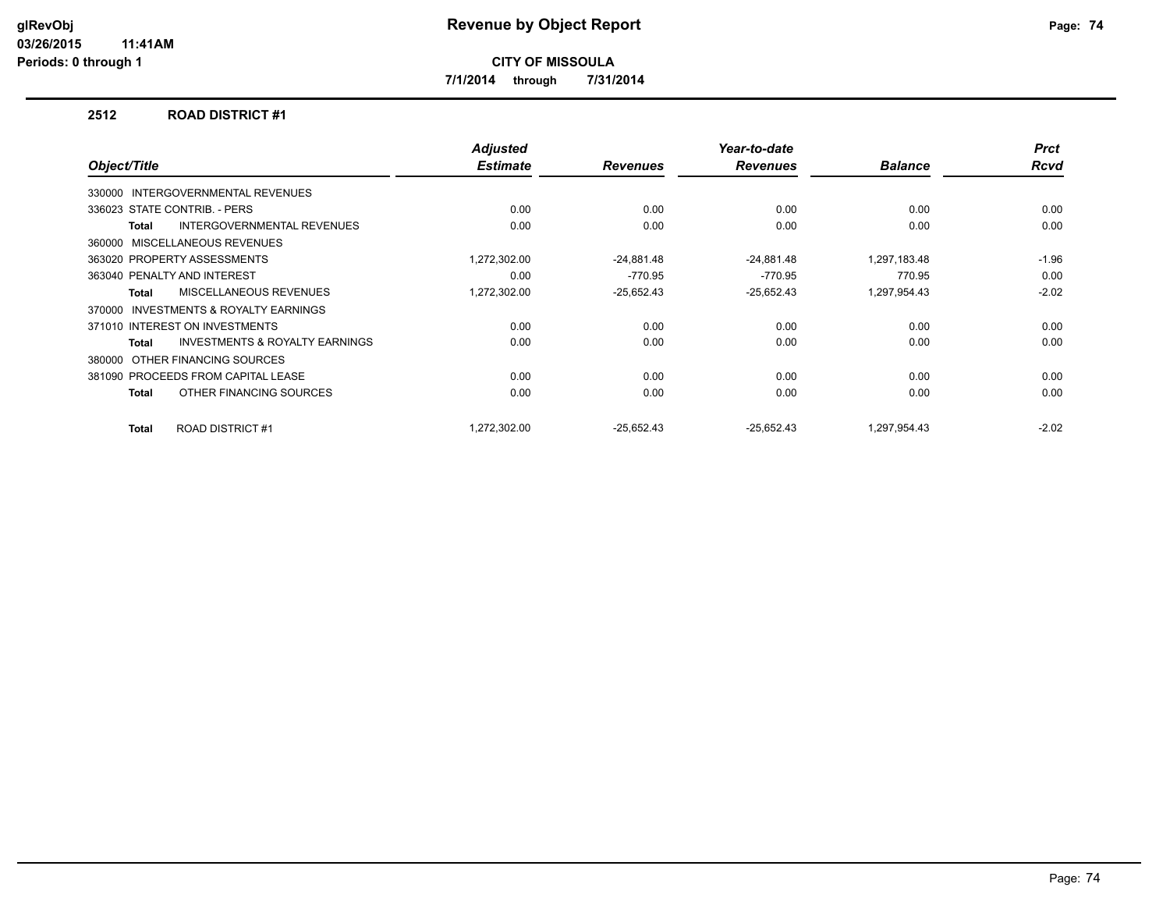**7/1/2014 through 7/31/2014**

### **2512 ROAD DISTRICT #1**

| Object/Title                                        | <b>Adjusted</b><br><b>Estimate</b> | <b>Revenues</b> | Year-to-date<br><b>Revenues</b> | <b>Balance</b> | <b>Prct</b><br><b>Rcvd</b> |
|-----------------------------------------------------|------------------------------------|-----------------|---------------------------------|----------------|----------------------------|
|                                                     |                                    |                 |                                 |                |                            |
| 330000 INTERGOVERNMENTAL REVENUES                   |                                    |                 |                                 |                |                            |
| 336023 STATE CONTRIB. - PERS                        | 0.00                               | 0.00            | 0.00                            | 0.00           | 0.00                       |
| <b>INTERGOVERNMENTAL REVENUES</b><br>Total          | 0.00                               | 0.00            | 0.00                            | 0.00           | 0.00                       |
| MISCELLANEOUS REVENUES<br>360000                    |                                    |                 |                                 |                |                            |
| 363020 PROPERTY ASSESSMENTS                         | 1,272,302.00                       | $-24,881.48$    | $-24,881.48$                    | 1,297,183.48   | $-1.96$                    |
| 363040 PENALTY AND INTEREST                         | 0.00                               | $-770.95$       | $-770.95$                       | 770.95         | 0.00                       |
| MISCELLANEOUS REVENUES<br><b>Total</b>              | 1,272,302.00                       | $-25,652.43$    | $-25,652.43$                    | 1,297,954.43   | $-2.02$                    |
| <b>INVESTMENTS &amp; ROYALTY EARNINGS</b><br>370000 |                                    |                 |                                 |                |                            |
| 371010 INTEREST ON INVESTMENTS                      | 0.00                               | 0.00            | 0.00                            | 0.00           | 0.00                       |
| <b>INVESTMENTS &amp; ROYALTY EARNINGS</b><br>Total  | 0.00                               | 0.00            | 0.00                            | 0.00           | 0.00                       |
| OTHER FINANCING SOURCES<br>380000                   |                                    |                 |                                 |                |                            |
| 381090 PROCEEDS FROM CAPITAL LEASE                  | 0.00                               | 0.00            | 0.00                            | 0.00           | 0.00                       |
| OTHER FINANCING SOURCES<br>Total                    | 0.00                               | 0.00            | 0.00                            | 0.00           | 0.00                       |
|                                                     |                                    |                 |                                 |                |                            |
| <b>ROAD DISTRICT #1</b><br>Total                    | 1.272.302.00                       | $-25.652.43$    | $-25.652.43$                    | 1.297.954.43   | $-2.02$                    |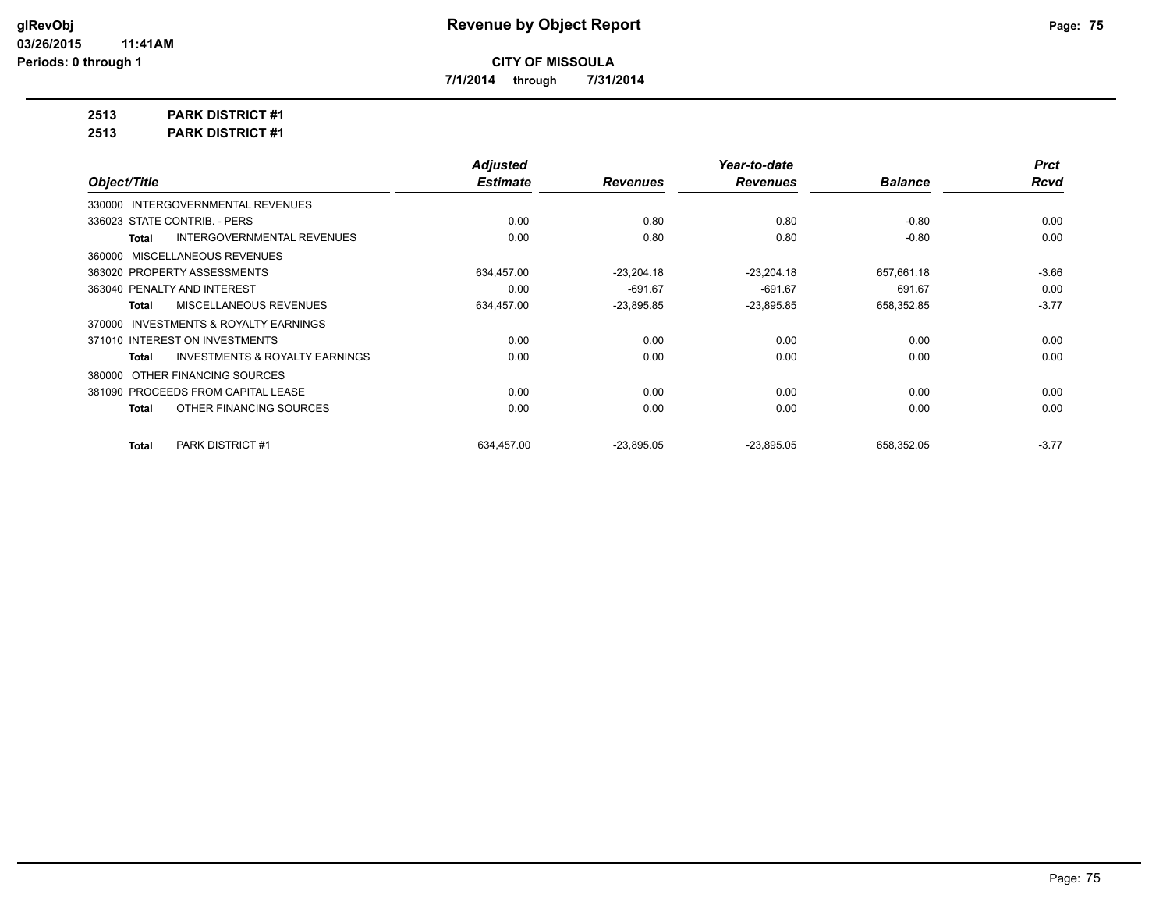**7/1/2014 through 7/31/2014**

**2513 PARK DISTRICT #1**

**2513 PARK DISTRICT #1**

|                                            | <b>Adjusted</b> |                 | Year-to-date    |                | <b>Prct</b> |
|--------------------------------------------|-----------------|-----------------|-----------------|----------------|-------------|
| Object/Title                               | <b>Estimate</b> | <b>Revenues</b> | <b>Revenues</b> | <b>Balance</b> | <b>Rcvd</b> |
| 330000 INTERGOVERNMENTAL REVENUES          |                 |                 |                 |                |             |
| 336023 STATE CONTRIB. - PERS               | 0.00            | 0.80            | 0.80            | $-0.80$        | 0.00        |
| <b>INTERGOVERNMENTAL REVENUES</b><br>Total | 0.00            | 0.80            | 0.80            | $-0.80$        | 0.00        |
| 360000 MISCELLANEOUS REVENUES              |                 |                 |                 |                |             |
| 363020 PROPERTY ASSESSMENTS                | 634.457.00      | $-23,204.18$    | $-23,204.18$    | 657.661.18     | $-3.66$     |
| 363040 PENALTY AND INTEREST                | 0.00            | $-691.67$       | $-691.67$       | 691.67         | 0.00        |
| MISCELLANEOUS REVENUES<br>Total            | 634,457.00      | $-23,895.85$    | $-23,895.85$    | 658,352.85     | $-3.77$     |
| 370000 INVESTMENTS & ROYALTY EARNINGS      |                 |                 |                 |                |             |
| 371010 INTEREST ON INVESTMENTS             | 0.00            | 0.00            | 0.00            | 0.00           | 0.00        |
| INVESTMENTS & ROYALTY EARNINGS<br>Total    | 0.00            | 0.00            | 0.00            | 0.00           | 0.00        |
| 380000 OTHER FINANCING SOURCES             |                 |                 |                 |                |             |
| 381090 PROCEEDS FROM CAPITAL LEASE         | 0.00            | 0.00            | 0.00            | 0.00           | 0.00        |
| OTHER FINANCING SOURCES<br>Total           | 0.00            | 0.00            | 0.00            | 0.00           | 0.00        |
| <b>PARK DISTRICT #1</b><br><b>Total</b>    | 634.457.00      | $-23,895.05$    | $-23,895.05$    | 658,352.05     | $-3.77$     |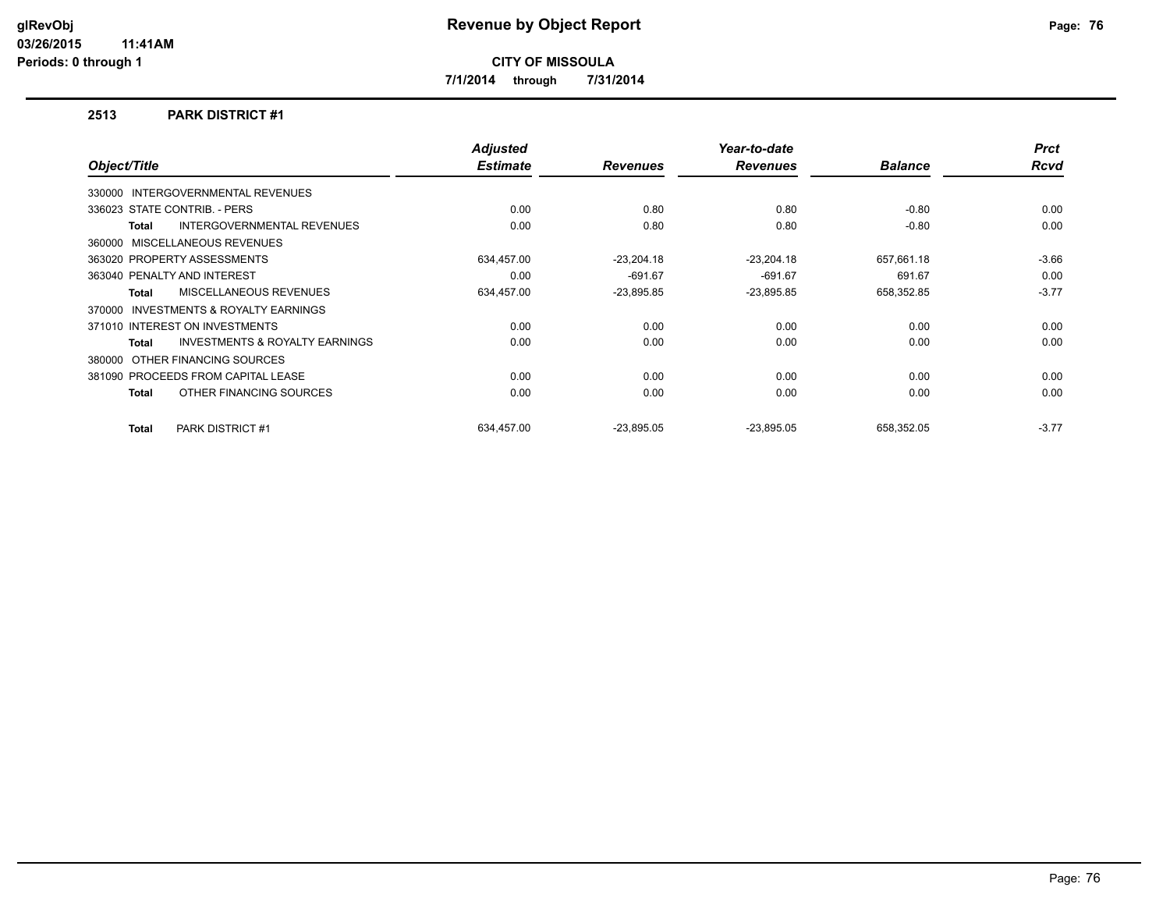**7/1/2014 through 7/31/2014**

### **2513 PARK DISTRICT #1**

|              |                                           | <b>Adjusted</b> |                 | Year-to-date    |                | <b>Prct</b> |
|--------------|-------------------------------------------|-----------------|-----------------|-----------------|----------------|-------------|
| Object/Title |                                           | <b>Estimate</b> | <b>Revenues</b> | <b>Revenues</b> | <b>Balance</b> | <b>Rcvd</b> |
|              | 330000 INTERGOVERNMENTAL REVENUES         |                 |                 |                 |                |             |
|              | 336023 STATE CONTRIB. - PERS              | 0.00            | 0.80            | 0.80            | $-0.80$        | 0.00        |
| Total        | <b>INTERGOVERNMENTAL REVENUES</b>         | 0.00            | 0.80            | 0.80            | $-0.80$        | 0.00        |
|              | 360000 MISCELLANEOUS REVENUES             |                 |                 |                 |                |             |
|              | 363020 PROPERTY ASSESSMENTS               | 634,457.00      | $-23,204.18$    | $-23,204.18$    | 657,661.18     | $-3.66$     |
|              | 363040 PENALTY AND INTEREST               | 0.00            | $-691.67$       | $-691.67$       | 691.67         | 0.00        |
| <b>Total</b> | MISCELLANEOUS REVENUES                    | 634,457.00      | $-23,895.85$    | $-23,895.85$    | 658,352.85     | $-3.77$     |
| 370000       | <b>INVESTMENTS &amp; ROYALTY EARNINGS</b> |                 |                 |                 |                |             |
|              | 371010 INTEREST ON INVESTMENTS            | 0.00            | 0.00            | 0.00            | 0.00           | 0.00        |
| Total        | <b>INVESTMENTS &amp; ROYALTY EARNINGS</b> | 0.00            | 0.00            | 0.00            | 0.00           | 0.00        |
|              | 380000 OTHER FINANCING SOURCES            |                 |                 |                 |                |             |
|              | 381090 PROCEEDS FROM CAPITAL LEASE        | 0.00            | 0.00            | 0.00            | 0.00           | 0.00        |
| Total        | OTHER FINANCING SOURCES                   | 0.00            | 0.00            | 0.00            | 0.00           | 0.00        |
| Total        | <b>PARK DISTRICT #1</b>                   | 634.457.00      | $-23.895.05$    | $-23,895.05$    | 658.352.05     | $-3.77$     |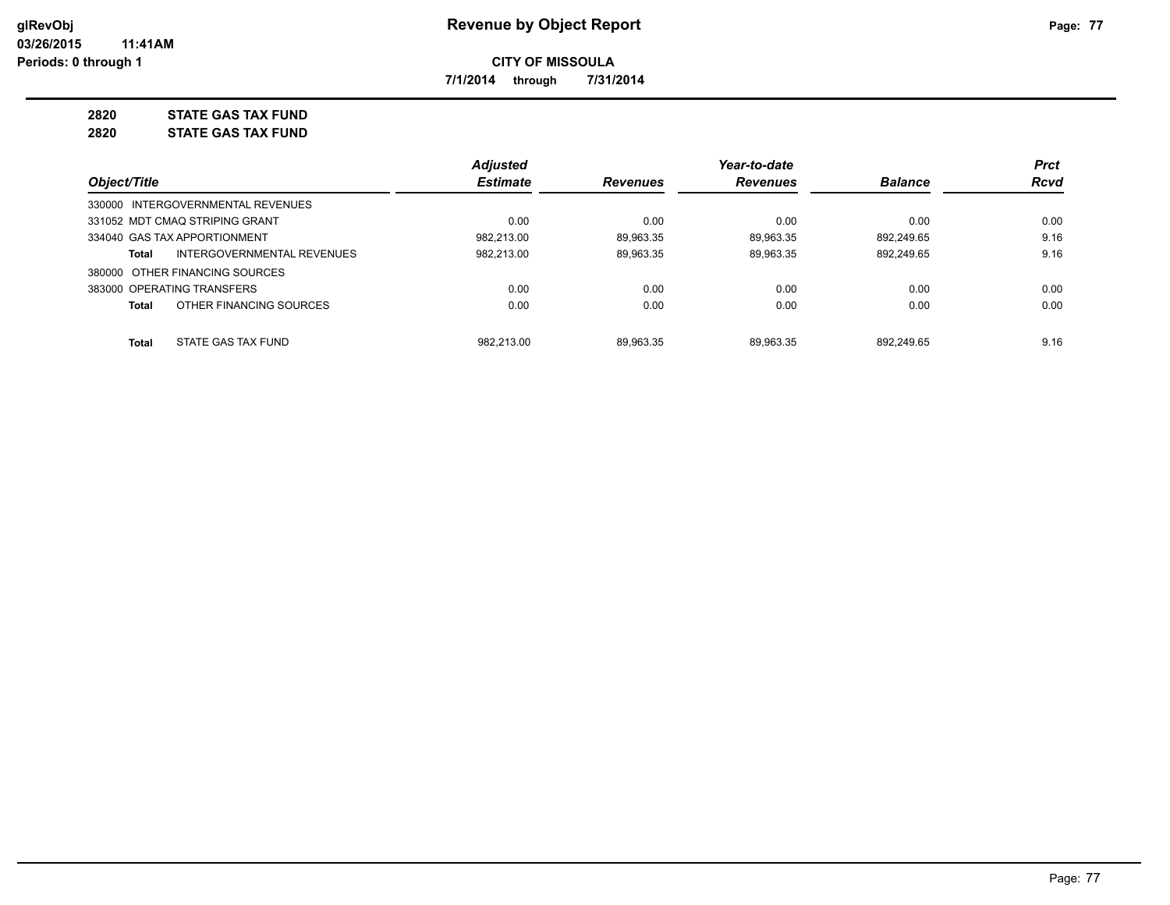**7/1/2014 through 7/31/2014**

# **2820 STATE GAS TAX FUND**

**2820 STATE GAS TAX FUND**

|                                            | <b>Adjusted</b> |                 | Year-to-date    |                | <b>Prct</b> |
|--------------------------------------------|-----------------|-----------------|-----------------|----------------|-------------|
| Object/Title                               | <b>Estimate</b> | <b>Revenues</b> | <b>Revenues</b> | <b>Balance</b> | <b>Rcvd</b> |
| 330000 INTERGOVERNMENTAL REVENUES          |                 |                 |                 |                |             |
| 331052 MDT CMAQ STRIPING GRANT             | 0.00            | 0.00            | 0.00            | 0.00           | 0.00        |
| 334040 GAS TAX APPORTIONMENT               | 982.213.00      | 89.963.35       | 89.963.35       | 892.249.65     | 9.16        |
| INTERGOVERNMENTAL REVENUES<br><b>Total</b> | 982,213.00      | 89.963.35       | 89.963.35       | 892.249.65     | 9.16        |
| 380000 OTHER FINANCING SOURCES             |                 |                 |                 |                |             |
| 383000 OPERATING TRANSFERS                 | 0.00            | 0.00            | 0.00            | 0.00           | 0.00        |
| OTHER FINANCING SOURCES<br><b>Total</b>    | 0.00            | 0.00            | 0.00            | 0.00           | 0.00        |
| <b>Total</b><br>STATE GAS TAX FUND         | 982.213.00      | 89.963.35       | 89.963.35       | 892.249.65     | 9.16        |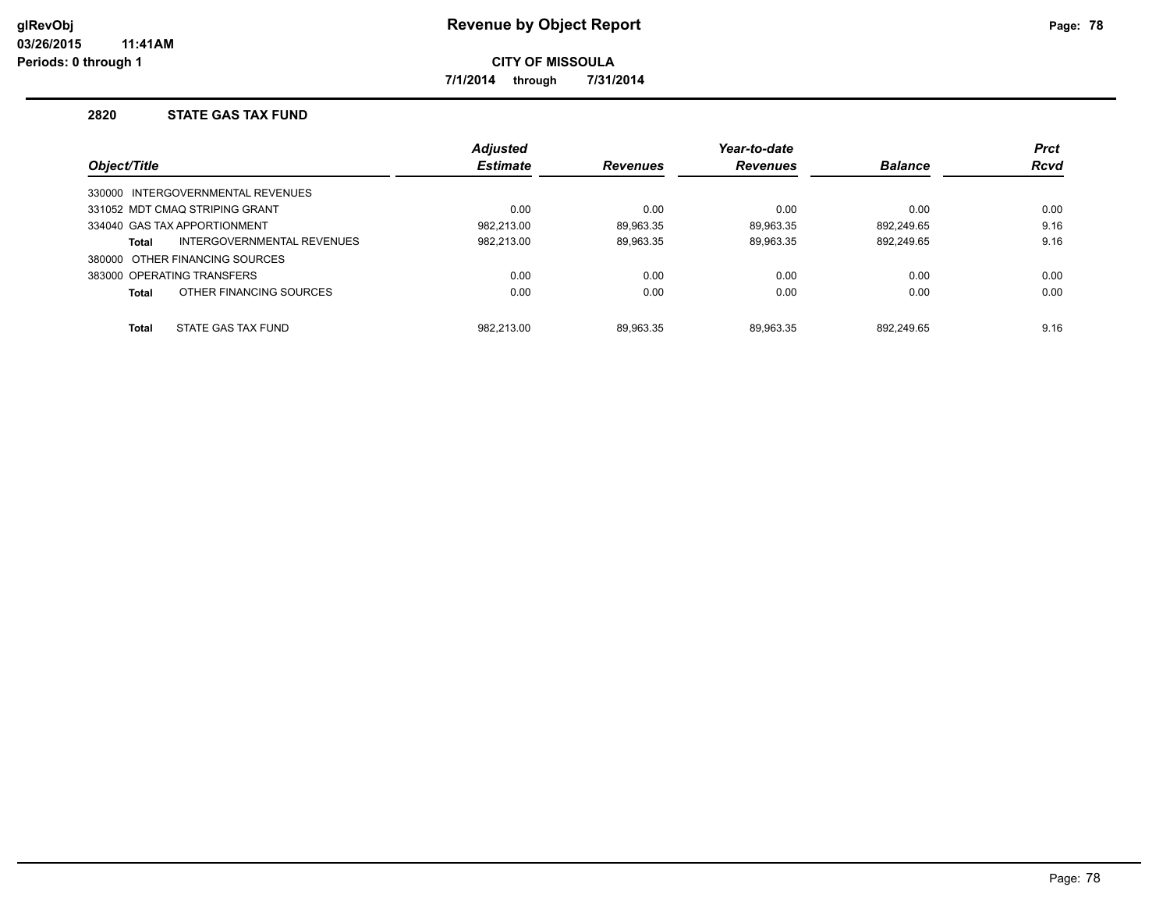**7/1/2014 through 7/31/2014**

### **2820 STATE GAS TAX FUND**

|              |                                   | <b>Adjusted</b> |                 | Year-to-date    |                | <b>Prct</b> |
|--------------|-----------------------------------|-----------------|-----------------|-----------------|----------------|-------------|
| Object/Title |                                   | <b>Estimate</b> | <b>Revenues</b> | <b>Revenues</b> | <b>Balance</b> | <b>Rcvd</b> |
|              | 330000 INTERGOVERNMENTAL REVENUES |                 |                 |                 |                |             |
|              | 331052 MDT CMAQ STRIPING GRANT    | 0.00            | 0.00            | 0.00            | 0.00           | 0.00        |
|              | 334040 GAS TAX APPORTIONMENT      | 982.213.00      | 89.963.35       | 89.963.35       | 892.249.65     | 9.16        |
| Total        | INTERGOVERNMENTAL REVENUES        | 982.213.00      | 89,963.35       | 89,963.35       | 892,249.65     | 9.16        |
|              | 380000 OTHER FINANCING SOURCES    |                 |                 |                 |                |             |
|              | 383000 OPERATING TRANSFERS        | 0.00            | 0.00            | 0.00            | 0.00           | 0.00        |
| <b>Total</b> | OTHER FINANCING SOURCES           | 0.00            | 0.00            | 0.00            | 0.00           | 0.00        |
| <b>Total</b> | STATE GAS TAX FUND                | 982.213.00      | 89.963.35       | 89.963.35       | 892.249.65     | 9.16        |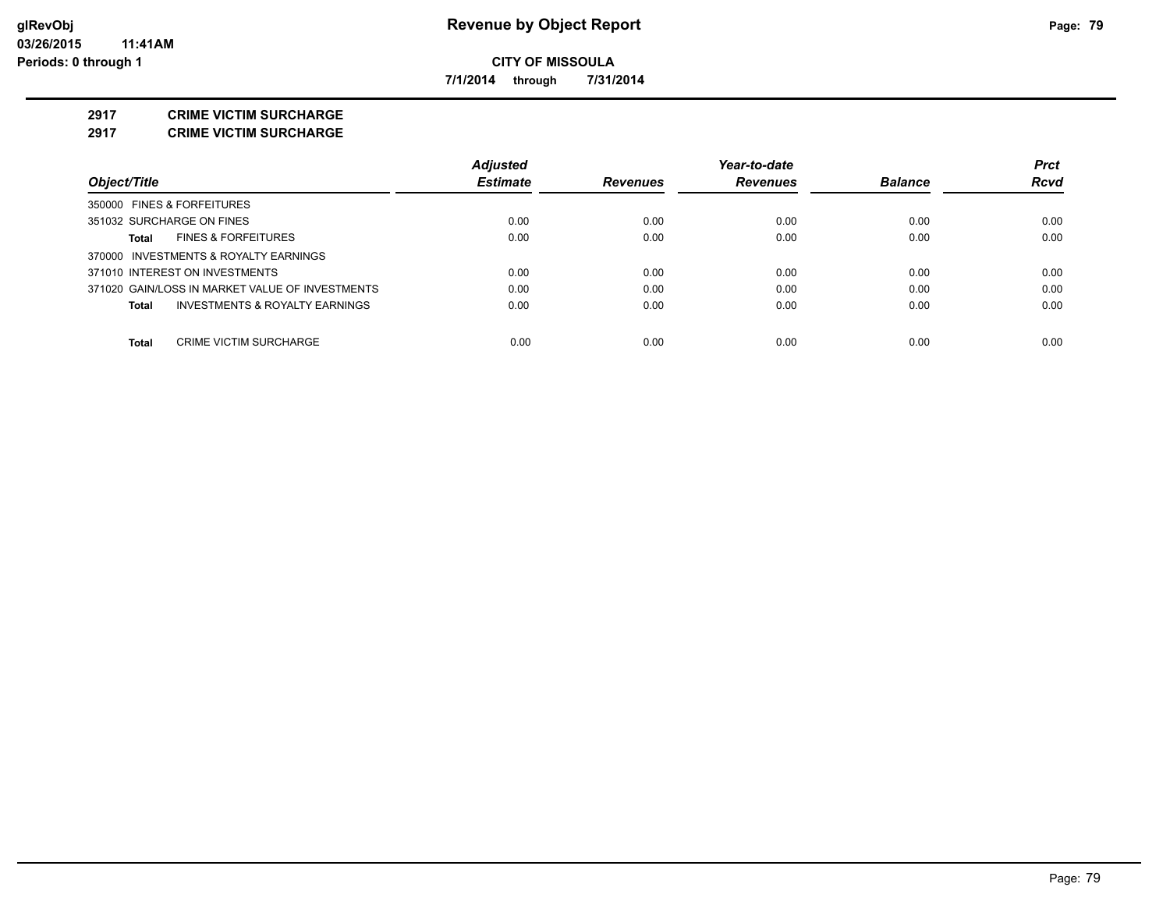**7/1/2014 through 7/31/2014**

#### **2917 CRIME VICTIM SURCHARGE**

**2917 CRIME VICTIM SURCHARGE**

|                                                 | <b>Adjusted</b> |                 | Year-to-date    |                | <b>Prct</b> |
|-------------------------------------------------|-----------------|-----------------|-----------------|----------------|-------------|
| Object/Title                                    | <b>Estimate</b> | <b>Revenues</b> | <b>Revenues</b> | <b>Balance</b> | <b>Rcvd</b> |
| 350000 FINES & FORFEITURES                      |                 |                 |                 |                |             |
| 351032 SURCHARGE ON FINES                       | 0.00            | 0.00            | 0.00            | 0.00           | 0.00        |
| <b>FINES &amp; FORFEITURES</b><br>Total         | 0.00            | 0.00            | 0.00            | 0.00           | 0.00        |
| 370000 INVESTMENTS & ROYALTY EARNINGS           |                 |                 |                 |                |             |
| 371010 INTEREST ON INVESTMENTS                  | 0.00            | 0.00            | 0.00            | 0.00           | 0.00        |
| 371020 GAIN/LOSS IN MARKET VALUE OF INVESTMENTS | 0.00            | 0.00            | 0.00            | 0.00           | 0.00        |
| INVESTMENTS & ROYALTY EARNINGS<br>Total         | 0.00            | 0.00            | 0.00            | 0.00           | 0.00        |
| <b>Total</b><br><b>CRIME VICTIM SURCHARGE</b>   | 0.00            | 0.00            | 0.00            | 0.00           | 0.00        |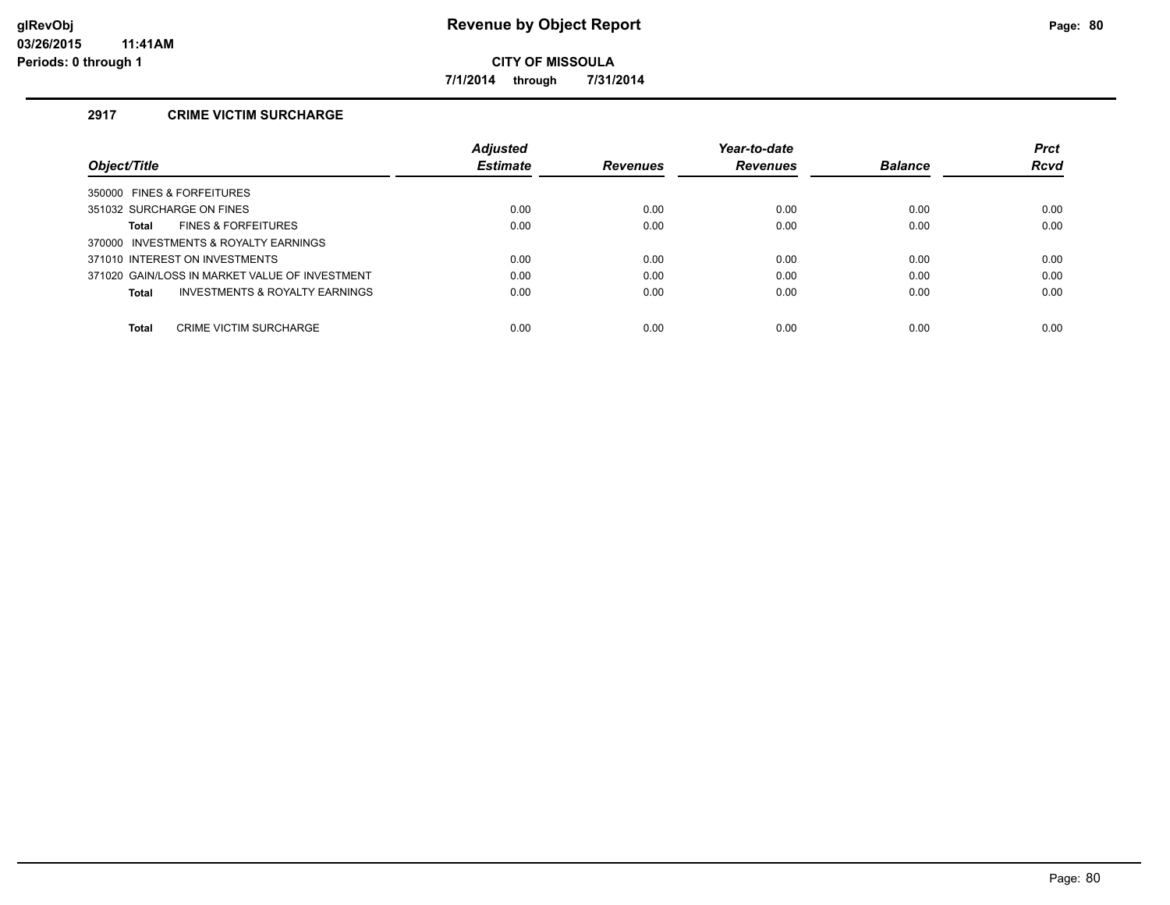**7/1/2014 through 7/31/2014**

# **2917 CRIME VICTIM SURCHARGE**

|                                                | <b>Adjusted</b> |                 | Year-to-date    |                | <b>Prct</b> |
|------------------------------------------------|-----------------|-----------------|-----------------|----------------|-------------|
| Object/Title                                   | <b>Estimate</b> | <b>Revenues</b> | <b>Revenues</b> | <b>Balance</b> | <b>Rcvd</b> |
| 350000 FINES & FORFEITURES                     |                 |                 |                 |                |             |
| 351032 SURCHARGE ON FINES                      | 0.00            | 0.00            | 0.00            | 0.00           | 0.00        |
| <b>FINES &amp; FORFEITURES</b><br>Total        | 0.00            | 0.00            | 0.00            | 0.00           | 0.00        |
| 370000 INVESTMENTS & ROYALTY EARNINGS          |                 |                 |                 |                |             |
| 371010 INTEREST ON INVESTMENTS                 | 0.00            | 0.00            | 0.00            | 0.00           | 0.00        |
| 371020 GAIN/LOSS IN MARKET VALUE OF INVESTMENT | 0.00            | 0.00            | 0.00            | 0.00           | 0.00        |
| INVESTMENTS & ROYALTY EARNINGS<br>Total        | 0.00            | 0.00            | 0.00            | 0.00           | 0.00        |
| Total<br><b>CRIME VICTIM SURCHARGE</b>         | 0.00            | 0.00            | 0.00            | 0.00           | 0.00        |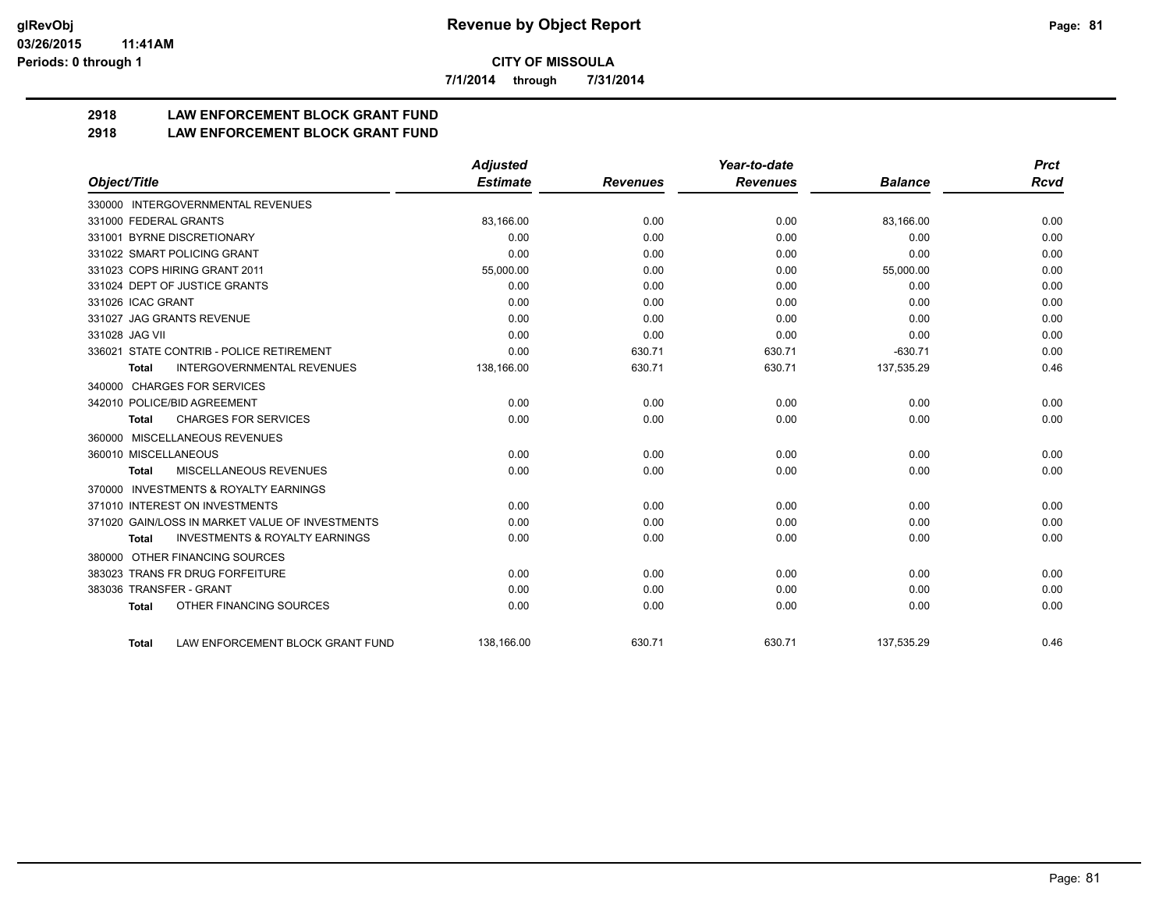**7/1/2014 through 7/31/2014**

# **2918 LAW ENFORCEMENT BLOCK GRANT FUND**

## **2918 LAW ENFORCEMENT BLOCK GRANT FUND**

|                                                           | <b>Adjusted</b> |                 | Year-to-date    |                | <b>Prct</b> |
|-----------------------------------------------------------|-----------------|-----------------|-----------------|----------------|-------------|
| Object/Title                                              | <b>Estimate</b> | <b>Revenues</b> | <b>Revenues</b> | <b>Balance</b> | <b>Rcvd</b> |
| 330000 INTERGOVERNMENTAL REVENUES                         |                 |                 |                 |                |             |
| 331000 FEDERAL GRANTS                                     | 83.166.00       | 0.00            | 0.00            | 83.166.00      | 0.00        |
| 331001 BYRNE DISCRETIONARY                                | 0.00            | 0.00            | 0.00            | 0.00           | 0.00        |
| 331022 SMART POLICING GRANT                               | 0.00            | 0.00            | 0.00            | 0.00           | 0.00        |
| 331023 COPS HIRING GRANT 2011                             | 55,000.00       | 0.00            | 0.00            | 55,000.00      | 0.00        |
| 331024 DEPT OF JUSTICE GRANTS                             | 0.00            | 0.00            | 0.00            | 0.00           | 0.00        |
| 331026 ICAC GRANT                                         | 0.00            | 0.00            | 0.00            | 0.00           | 0.00        |
| 331027 JAG GRANTS REVENUE                                 | 0.00            | 0.00            | 0.00            | 0.00           | 0.00        |
| 331028 JAG VII                                            | 0.00            | 0.00            | 0.00            | 0.00           | 0.00        |
| 336021 STATE CONTRIB - POLICE RETIREMENT                  | 0.00            | 630.71          | 630.71          | $-630.71$      | 0.00        |
| <b>INTERGOVERNMENTAL REVENUES</b><br><b>Total</b>         | 138,166.00      | 630.71          | 630.71          | 137,535.29     | 0.46        |
| 340000 CHARGES FOR SERVICES                               |                 |                 |                 |                |             |
| 342010 POLICE/BID AGREEMENT                               | 0.00            | 0.00            | 0.00            | 0.00           | 0.00        |
| <b>CHARGES FOR SERVICES</b><br><b>Total</b>               | 0.00            | 0.00            | 0.00            | 0.00           | 0.00        |
| MISCELLANEOUS REVENUES<br>360000                          |                 |                 |                 |                |             |
| 360010 MISCELLANEOUS                                      | 0.00            | 0.00            | 0.00            | 0.00           | 0.00        |
| MISCELLANEOUS REVENUES<br><b>Total</b>                    | 0.00            | 0.00            | 0.00            | 0.00           | 0.00        |
| <b>INVESTMENTS &amp; ROYALTY EARNINGS</b><br>370000       |                 |                 |                 |                |             |
| 371010 INTEREST ON INVESTMENTS                            | 0.00            | 0.00            | 0.00            | 0.00           | 0.00        |
| 371020 GAIN/LOSS IN MARKET VALUE OF INVESTMENTS           | 0.00            | 0.00            | 0.00            | 0.00           | 0.00        |
| <b>INVESTMENTS &amp; ROYALTY EARNINGS</b><br><b>Total</b> | 0.00            | 0.00            | 0.00            | 0.00           | 0.00        |
| OTHER FINANCING SOURCES<br>380000                         |                 |                 |                 |                |             |
| 383023 TRANS FR DRUG FORFEITURE                           | 0.00            | 0.00            | 0.00            | 0.00           | 0.00        |
| 383036 TRANSFER - GRANT                                   | 0.00            | 0.00            | 0.00            | 0.00           | 0.00        |
| OTHER FINANCING SOURCES<br><b>Total</b>                   | 0.00            | 0.00            | 0.00            | 0.00           | 0.00        |
| LAW ENFORCEMENT BLOCK GRANT FUND<br><b>Total</b>          | 138,166.00      | 630.71          | 630.71          | 137,535.29     | 0.46        |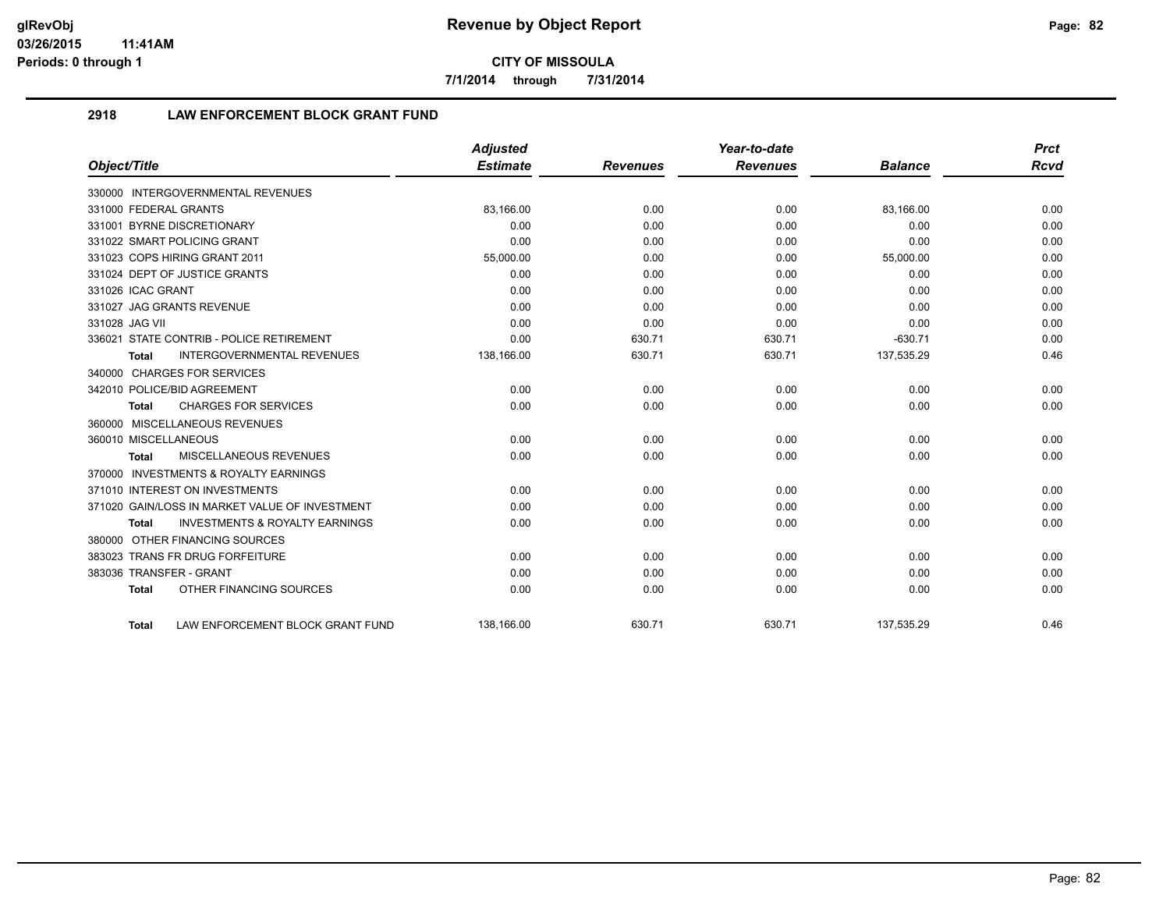**7/1/2014 through 7/31/2014**

# **2918 LAW ENFORCEMENT BLOCK GRANT FUND**

|                                                           | <b>Adjusted</b> |                 | Year-to-date    |                | <b>Prct</b> |
|-----------------------------------------------------------|-----------------|-----------------|-----------------|----------------|-------------|
| Object/Title                                              | <b>Estimate</b> | <b>Revenues</b> | <b>Revenues</b> | <b>Balance</b> | <b>Rcvd</b> |
| 330000 INTERGOVERNMENTAL REVENUES                         |                 |                 |                 |                |             |
| 331000 FEDERAL GRANTS                                     | 83,166.00       | 0.00            | 0.00            | 83,166.00      | 0.00        |
| 331001 BYRNE DISCRETIONARY                                | 0.00            | 0.00            | 0.00            | 0.00           | 0.00        |
| 331022 SMART POLICING GRANT                               | 0.00            | 0.00            | 0.00            | 0.00           | 0.00        |
| 331023 COPS HIRING GRANT 2011                             | 55,000.00       | 0.00            | 0.00            | 55,000.00      | 0.00        |
| 331024 DEPT OF JUSTICE GRANTS                             | 0.00            | 0.00            | 0.00            | 0.00           | 0.00        |
| 331026 ICAC GRANT                                         | 0.00            | 0.00            | 0.00            | 0.00           | 0.00        |
| 331027 JAG GRANTS REVENUE                                 | 0.00            | 0.00            | 0.00            | 0.00           | 0.00        |
| 331028 JAG VII                                            | 0.00            | 0.00            | 0.00            | 0.00           | 0.00        |
| 336021 STATE CONTRIB - POLICE RETIREMENT                  | 0.00            | 630.71          | 630.71          | $-630.71$      | 0.00        |
| <b>INTERGOVERNMENTAL REVENUES</b><br>Total                | 138,166.00      | 630.71          | 630.71          | 137,535.29     | 0.46        |
| 340000 CHARGES FOR SERVICES                               |                 |                 |                 |                |             |
| 342010 POLICE/BID AGREEMENT                               | 0.00            | 0.00            | 0.00            | 0.00           | 0.00        |
| <b>CHARGES FOR SERVICES</b><br>Total                      | 0.00            | 0.00            | 0.00            | 0.00           | 0.00        |
| 360000 MISCELLANEOUS REVENUES                             |                 |                 |                 |                |             |
| 360010 MISCELLANEOUS                                      | 0.00            | 0.00            | 0.00            | 0.00           | 0.00        |
| <b>MISCELLANEOUS REVENUES</b><br><b>Total</b>             | 0.00            | 0.00            | 0.00            | 0.00           | 0.00        |
| 370000 INVESTMENTS & ROYALTY EARNINGS                     |                 |                 |                 |                |             |
| 371010 INTEREST ON INVESTMENTS                            | 0.00            | 0.00            | 0.00            | 0.00           | 0.00        |
| 371020 GAIN/LOSS IN MARKET VALUE OF INVESTMENT            | 0.00            | 0.00            | 0.00            | 0.00           | 0.00        |
| <b>INVESTMENTS &amp; ROYALTY EARNINGS</b><br><b>Total</b> | 0.00            | 0.00            | 0.00            | 0.00           | 0.00        |
| 380000 OTHER FINANCING SOURCES                            |                 |                 |                 |                |             |
| 383023 TRANS FR DRUG FORFEITURE                           | 0.00            | 0.00            | 0.00            | 0.00           | 0.00        |
| 383036 TRANSFER - GRANT                                   | 0.00            | 0.00            | 0.00            | 0.00           | 0.00        |
| OTHER FINANCING SOURCES<br><b>Total</b>                   | 0.00            | 0.00            | 0.00            | 0.00           | 0.00        |
| LAW ENFORCEMENT BLOCK GRANT FUND<br>Total                 | 138.166.00      | 630.71          | 630.71          | 137,535.29     | 0.46        |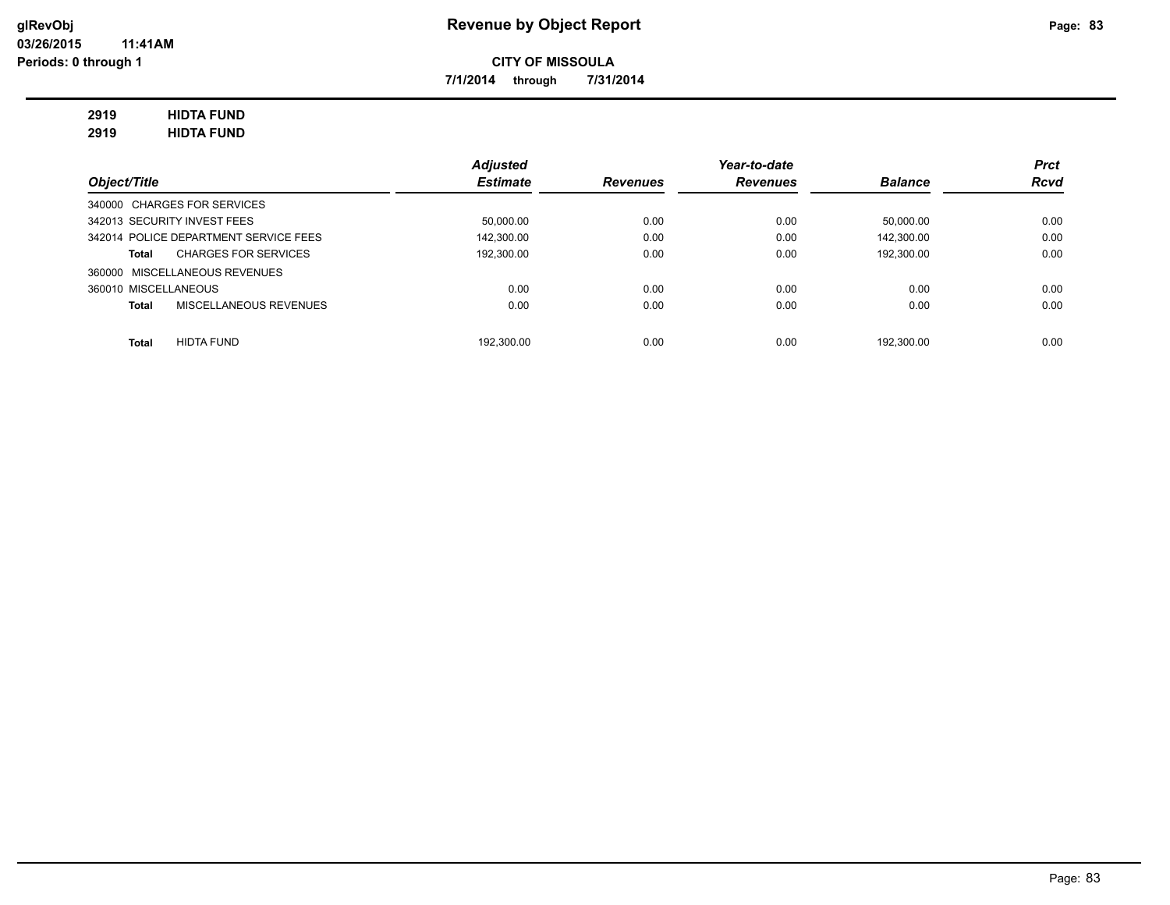**7/1/2014 through 7/31/2014**

# **2919 HIDTA FUND**

**2919 HIDTA FUND**

|                                       | <b>Adjusted</b> |                 | Year-to-date    |                | <b>Prct</b> |
|---------------------------------------|-----------------|-----------------|-----------------|----------------|-------------|
| Object/Title                          | <b>Estimate</b> | <b>Revenues</b> | <b>Revenues</b> | <b>Balance</b> | <b>Rcvd</b> |
| 340000 CHARGES FOR SERVICES           |                 |                 |                 |                |             |
| 342013 SECURITY INVEST FEES           | 50,000.00       | 0.00            | 0.00            | 50.000.00      | 0.00        |
| 342014 POLICE DEPARTMENT SERVICE FEES | 142.300.00      | 0.00            | 0.00            | 142.300.00     | 0.00        |
| <b>CHARGES FOR SERVICES</b><br>Total  | 192.300.00      | 0.00            | 0.00            | 192.300.00     | 0.00        |
| 360000 MISCELLANEOUS REVENUES         |                 |                 |                 |                |             |
| 360010 MISCELLANEOUS                  | 0.00            | 0.00            | 0.00            | 0.00           | 0.00        |
| MISCELLANEOUS REVENUES<br>Total       | 0.00            | 0.00            | 0.00            | 0.00           | 0.00        |
|                                       |                 |                 |                 |                |             |
| <b>HIDTA FUND</b><br><b>Total</b>     | 192.300.00      | 0.00            | 0.00            | 192.300.00     | 0.00        |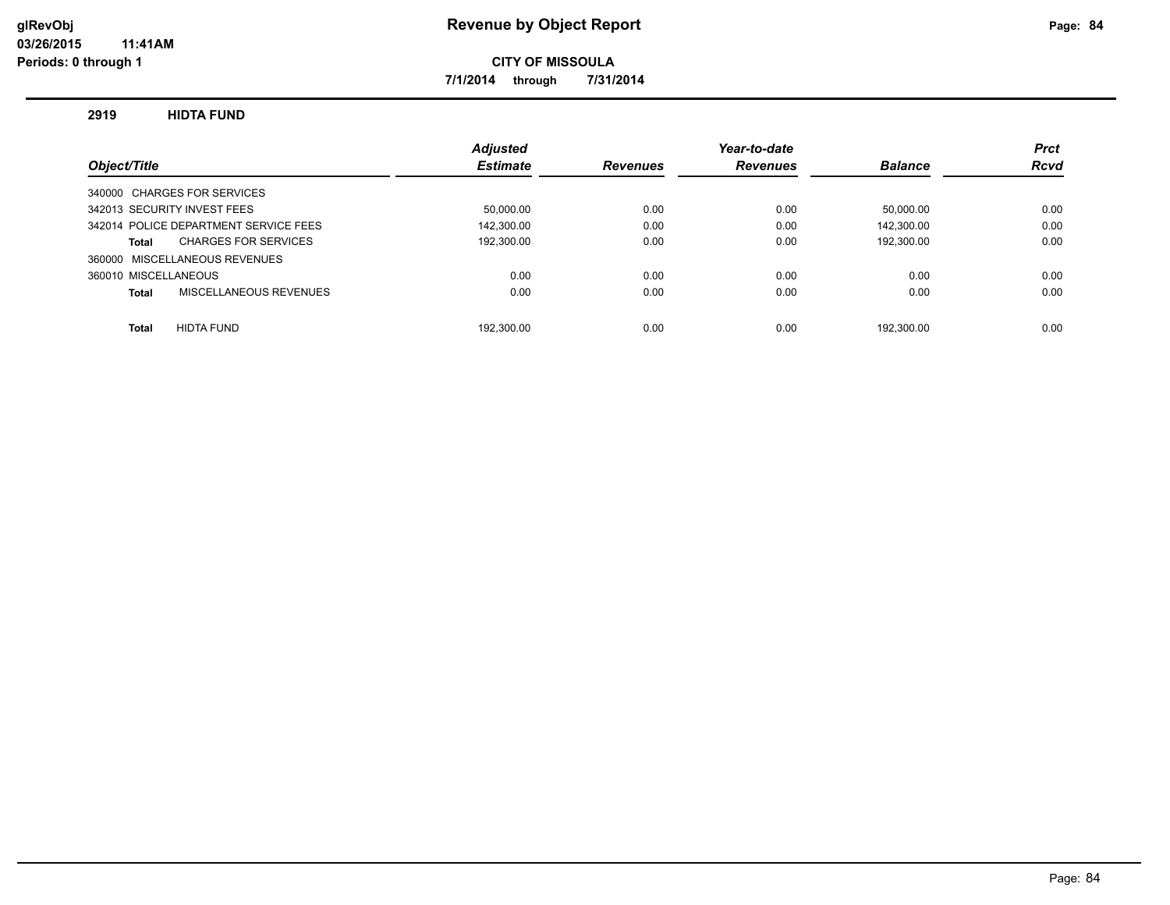**7/1/2014 through 7/31/2014**

### **2919 HIDTA FUND**

|                                       | <b>Adjusted</b> |                 | Year-to-date    |                | <b>Prct</b> |
|---------------------------------------|-----------------|-----------------|-----------------|----------------|-------------|
| Object/Title                          | <b>Estimate</b> | <b>Revenues</b> | <b>Revenues</b> | <b>Balance</b> | <b>Rcvd</b> |
| 340000 CHARGES FOR SERVICES           |                 |                 |                 |                |             |
| 342013 SECURITY INVEST FEES           | 50.000.00       | 0.00            | 0.00            | 50.000.00      | 0.00        |
| 342014 POLICE DEPARTMENT SERVICE FEES | 142.300.00      | 0.00            | 0.00            | 142.300.00     | 0.00        |
| <b>CHARGES FOR SERVICES</b><br>Total  | 192,300.00      | 0.00            | 0.00            | 192,300.00     | 0.00        |
| 360000 MISCELLANEOUS REVENUES         |                 |                 |                 |                |             |
| 360010 MISCELLANEOUS                  | 0.00            | 0.00            | 0.00            | 0.00           | 0.00        |
| MISCELLANEOUS REVENUES<br>Total       | 0.00            | 0.00            | 0.00            | 0.00           | 0.00        |
|                                       |                 |                 |                 |                |             |
| <b>HIDTA FUND</b><br><b>Total</b>     | 192.300.00      | 0.00            | 0.00            | 192.300.00     | 0.00        |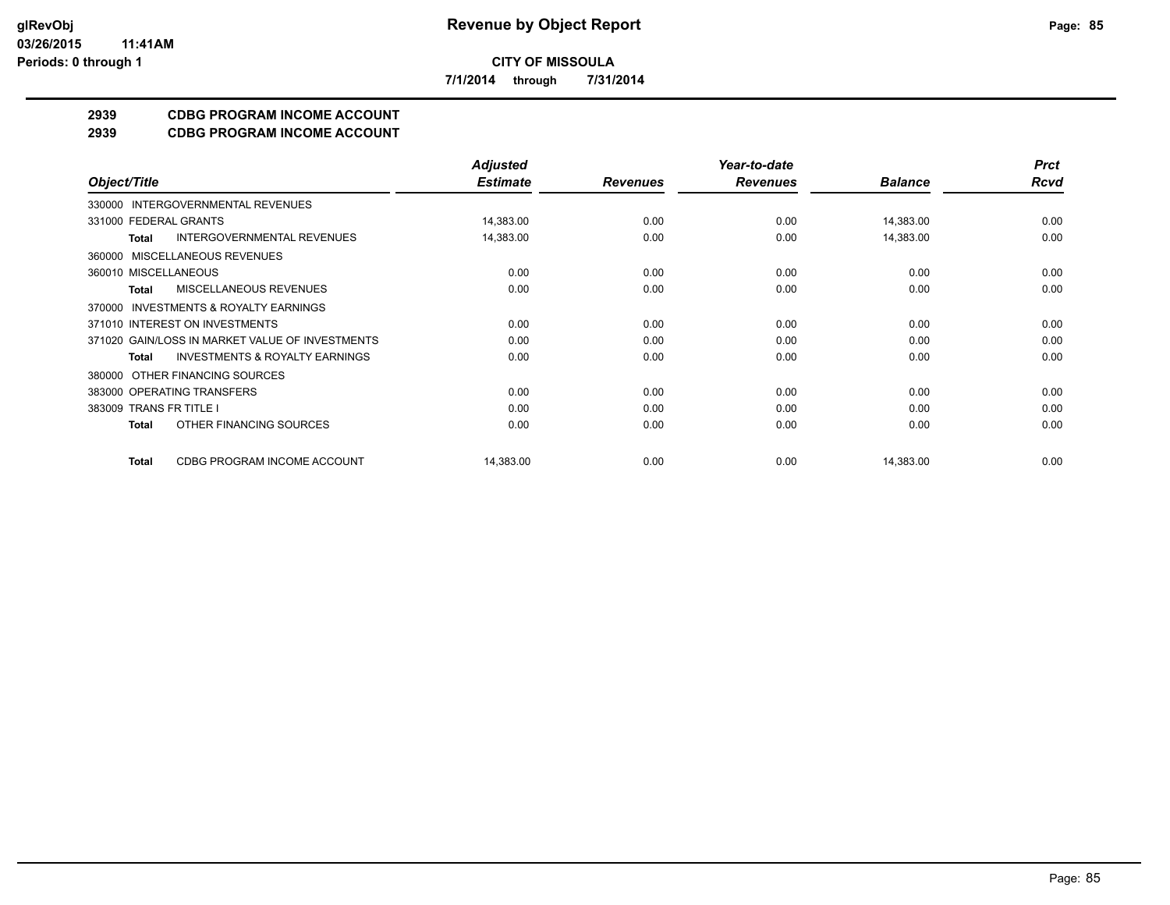**7/1/2014 through 7/31/2014**

# **2939 CDBG PROGRAM INCOME ACCOUNT**

**2939 CDBG PROGRAM INCOME ACCOUNT**

|                                                           | <b>Adjusted</b> |                 | Year-to-date    |                | <b>Prct</b> |
|-----------------------------------------------------------|-----------------|-----------------|-----------------|----------------|-------------|
| Object/Title                                              | <b>Estimate</b> | <b>Revenues</b> | <b>Revenues</b> | <b>Balance</b> | <b>Rcvd</b> |
| INTERGOVERNMENTAL REVENUES<br>330000                      |                 |                 |                 |                |             |
| 331000 FEDERAL GRANTS                                     | 14,383.00       | 0.00            | 0.00            | 14,383.00      | 0.00        |
| <b>INTERGOVERNMENTAL REVENUES</b><br><b>Total</b>         | 14,383.00       | 0.00            | 0.00            | 14,383.00      | 0.00        |
| MISCELLANEOUS REVENUES<br>360000                          |                 |                 |                 |                |             |
| 360010 MISCELLANEOUS                                      | 0.00            | 0.00            | 0.00            | 0.00           | 0.00        |
| <b>MISCELLANEOUS REVENUES</b><br>Total                    | 0.00            | 0.00            | 0.00            | 0.00           | 0.00        |
| <b>INVESTMENTS &amp; ROYALTY EARNINGS</b><br>370000       |                 |                 |                 |                |             |
| 371010 INTEREST ON INVESTMENTS                            | 0.00            | 0.00            | 0.00            | 0.00           | 0.00        |
| 371020 GAIN/LOSS IN MARKET VALUE OF INVESTMENTS           | 0.00            | 0.00            | 0.00            | 0.00           | 0.00        |
| <b>INVESTMENTS &amp; ROYALTY EARNINGS</b><br><b>Total</b> | 0.00            | 0.00            | 0.00            | 0.00           | 0.00        |
| OTHER FINANCING SOURCES<br>380000                         |                 |                 |                 |                |             |
| 383000 OPERATING TRANSFERS                                | 0.00            | 0.00            | 0.00            | 0.00           | 0.00        |
| 383009 TRANS FR TITLE I                                   | 0.00            | 0.00            | 0.00            | 0.00           | 0.00        |
| OTHER FINANCING SOURCES<br><b>Total</b>                   | 0.00            | 0.00            | 0.00            | 0.00           | 0.00        |
| CDBG PROGRAM INCOME ACCOUNT<br><b>Total</b>               | 14,383.00       | 0.00            | 0.00            | 14,383.00      | 0.00        |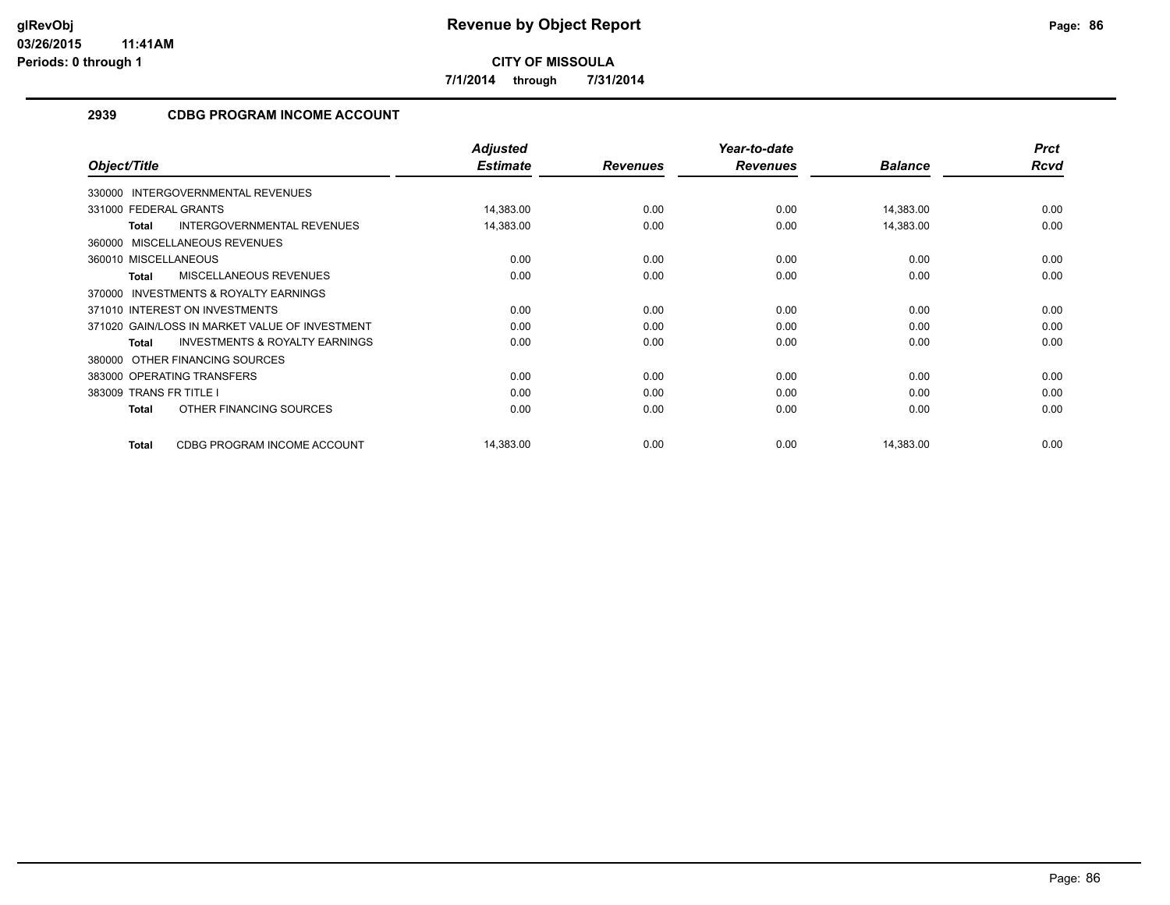**7/1/2014 through 7/31/2014**

# **2939 CDBG PROGRAM INCOME ACCOUNT**

|                                                     | <b>Adjusted</b> |                 | Year-to-date    |                | <b>Prct</b> |
|-----------------------------------------------------|-----------------|-----------------|-----------------|----------------|-------------|
| Object/Title                                        | <b>Estimate</b> | <b>Revenues</b> | <b>Revenues</b> | <b>Balance</b> | Rcvd        |
| 330000 INTERGOVERNMENTAL REVENUES                   |                 |                 |                 |                |             |
| 331000 FEDERAL GRANTS                               | 14,383.00       | 0.00            | 0.00            | 14,383.00      | 0.00        |
| INTERGOVERNMENTAL REVENUES<br><b>Total</b>          | 14,383.00       | 0.00            | 0.00            | 14,383.00      | 0.00        |
| 360000 MISCELLANEOUS REVENUES                       |                 |                 |                 |                |             |
| 360010 MISCELLANEOUS                                | 0.00            | 0.00            | 0.00            | 0.00           | 0.00        |
| <b>MISCELLANEOUS REVENUES</b><br><b>Total</b>       | 0.00            | 0.00            | 0.00            | 0.00           | 0.00        |
| <b>INVESTMENTS &amp; ROYALTY EARNINGS</b><br>370000 |                 |                 |                 |                |             |
| 371010 INTEREST ON INVESTMENTS                      | 0.00            | 0.00            | 0.00            | 0.00           | 0.00        |
| 371020 GAIN/LOSS IN MARKET VALUE OF INVESTMENT      | 0.00            | 0.00            | 0.00            | 0.00           | 0.00        |
| <b>INVESTMENTS &amp; ROYALTY EARNINGS</b><br>Total  | 0.00            | 0.00            | 0.00            | 0.00           | 0.00        |
| OTHER FINANCING SOURCES<br>380000                   |                 |                 |                 |                |             |
| 383000 OPERATING TRANSFERS                          | 0.00            | 0.00            | 0.00            | 0.00           | 0.00        |
| 383009 TRANS FR TITLE I                             | 0.00            | 0.00            | 0.00            | 0.00           | 0.00        |
| OTHER FINANCING SOURCES<br>Total                    | 0.00            | 0.00            | 0.00            | 0.00           | 0.00        |
| CDBG PROGRAM INCOME ACCOUNT<br><b>Total</b>         | 14,383.00       | 0.00            | 0.00            | 14,383.00      | 0.00        |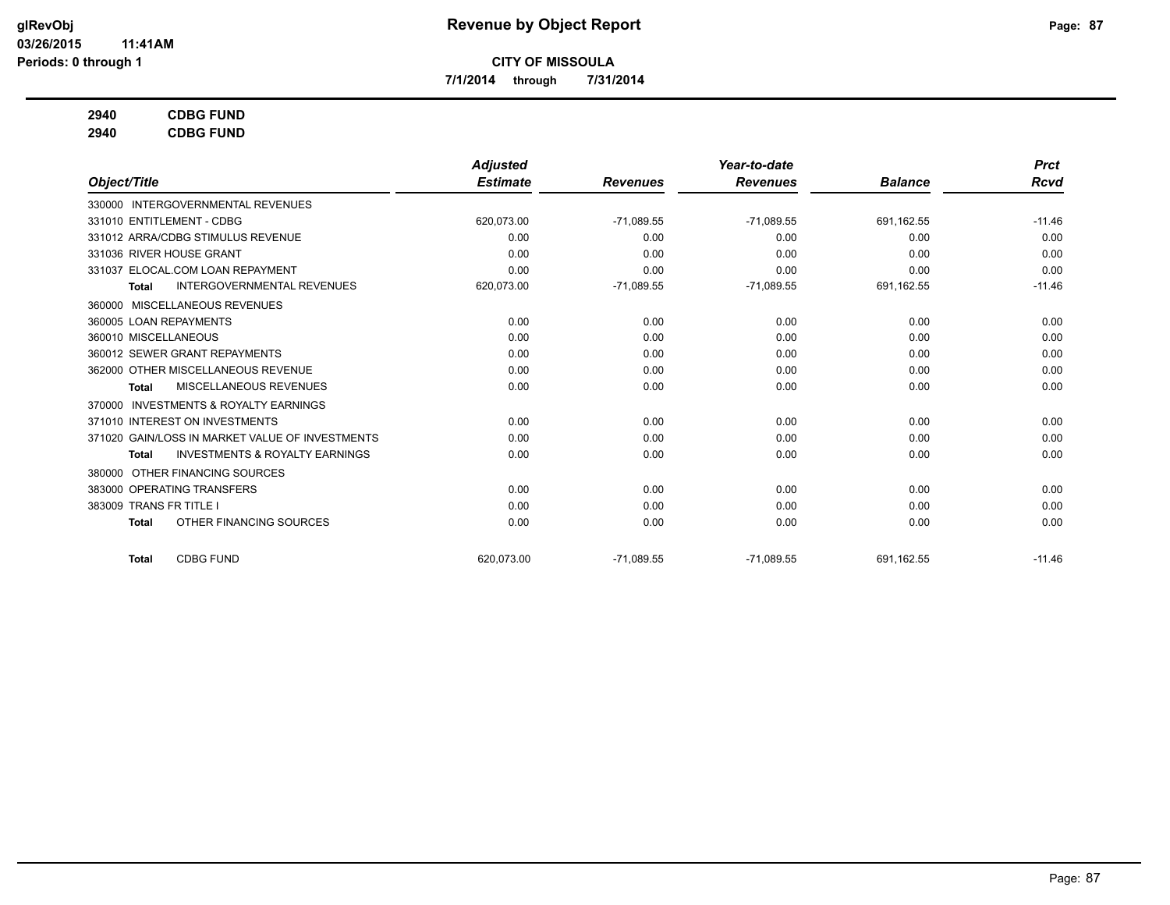**7/1/2014 through 7/31/2014**

# **2940 CDBG FUND**

**2940 CDBG FUND**

|                                                           | <b>Adjusted</b> |                 | Year-to-date    |                | <b>Prct</b> |
|-----------------------------------------------------------|-----------------|-----------------|-----------------|----------------|-------------|
| Object/Title                                              | <b>Estimate</b> | <b>Revenues</b> | <b>Revenues</b> | <b>Balance</b> | <b>Rcvd</b> |
| 330000 INTERGOVERNMENTAL REVENUES                         |                 |                 |                 |                |             |
| 331010 ENTITLEMENT - CDBG                                 | 620,073.00      | $-71,089.55$    | $-71,089.55$    | 691.162.55     | $-11.46$    |
| 331012 ARRA/CDBG STIMULUS REVENUE                         | 0.00            | 0.00            | 0.00            | 0.00           | 0.00        |
| 331036 RIVER HOUSE GRANT                                  | 0.00            | 0.00            | 0.00            | 0.00           | 0.00        |
| 331037 ELOCAL.COM LOAN REPAYMENT                          | 0.00            | 0.00            | 0.00            | 0.00           | 0.00        |
| <b>INTERGOVERNMENTAL REVENUES</b><br><b>Total</b>         | 620,073.00      | $-71,089.55$    | $-71,089.55$    | 691,162.55     | $-11.46$    |
| MISCELLANEOUS REVENUES<br>360000                          |                 |                 |                 |                |             |
| 360005 LOAN REPAYMENTS                                    | 0.00            | 0.00            | 0.00            | 0.00           | 0.00        |
| 360010 MISCELLANEOUS                                      | 0.00            | 0.00            | 0.00            | 0.00           | 0.00        |
| 360012 SEWER GRANT REPAYMENTS                             | 0.00            | 0.00            | 0.00            | 0.00           | 0.00        |
| 362000 OTHER MISCELLANEOUS REVENUE                        | 0.00            | 0.00            | 0.00            | 0.00           | 0.00        |
| <b>MISCELLANEOUS REVENUES</b><br><b>Total</b>             | 0.00            | 0.00            | 0.00            | 0.00           | 0.00        |
| <b>INVESTMENTS &amp; ROYALTY EARNINGS</b><br>370000       |                 |                 |                 |                |             |
| 371010 INTEREST ON INVESTMENTS                            | 0.00            | 0.00            | 0.00            | 0.00           | 0.00        |
| 371020 GAIN/LOSS IN MARKET VALUE OF INVESTMENTS           | 0.00            | 0.00            | 0.00            | 0.00           | 0.00        |
| <b>INVESTMENTS &amp; ROYALTY EARNINGS</b><br><b>Total</b> | 0.00            | 0.00            | 0.00            | 0.00           | 0.00        |
| OTHER FINANCING SOURCES<br>380000                         |                 |                 |                 |                |             |
| 383000 OPERATING TRANSFERS                                | 0.00            | 0.00            | 0.00            | 0.00           | 0.00        |
| <b>TRANS FR TITLE I</b><br>383009                         | 0.00            | 0.00            | 0.00            | 0.00           | 0.00        |
| OTHER FINANCING SOURCES<br>Total                          | 0.00            | 0.00            | 0.00            | 0.00           | 0.00        |
| <b>CDBG FUND</b><br><b>Total</b>                          | 620.073.00      | $-71.089.55$    | $-71,089.55$    | 691.162.55     | $-11.46$    |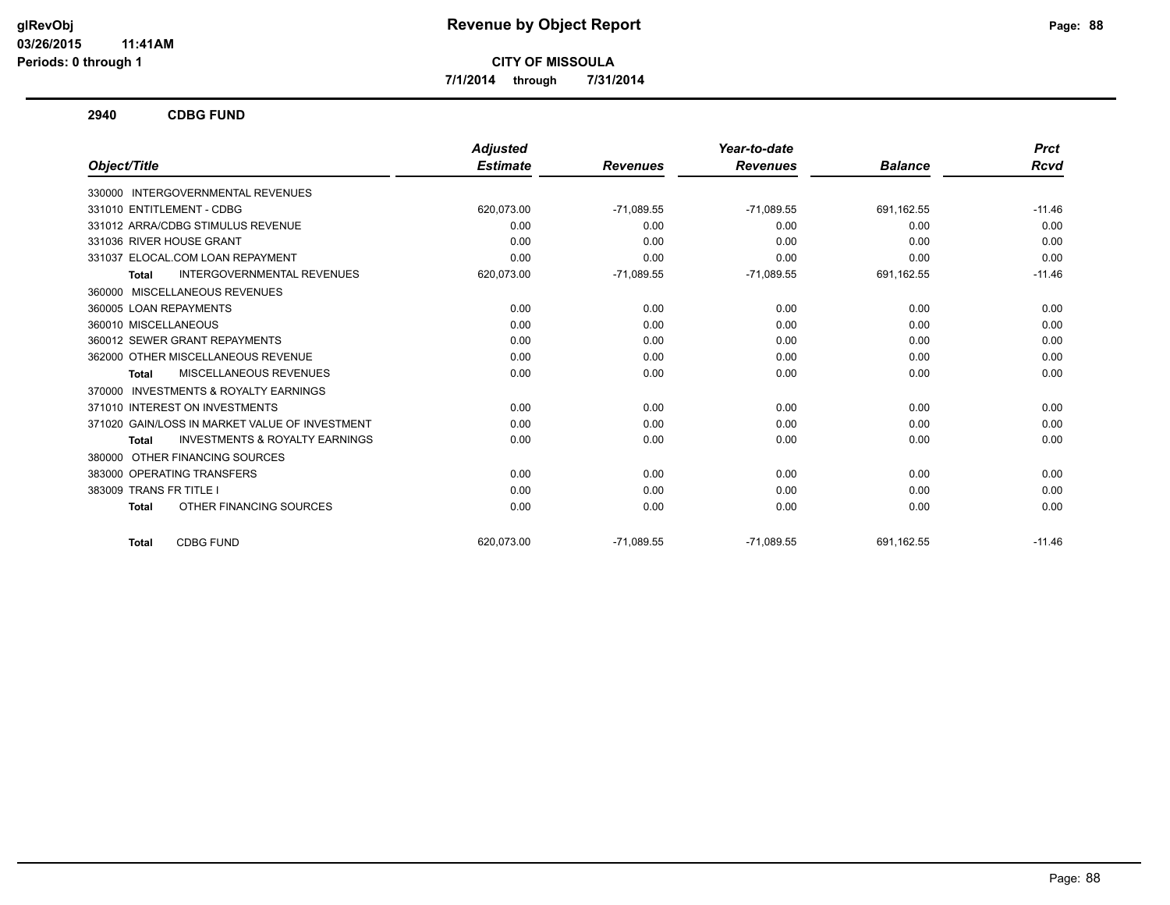**7/1/2014 through 7/31/2014**

**2940 CDBG FUND**

|                                                     | <b>Adjusted</b> |                 | Year-to-date    |                | <b>Prct</b> |
|-----------------------------------------------------|-----------------|-----------------|-----------------|----------------|-------------|
| Object/Title                                        | <b>Estimate</b> | <b>Revenues</b> | <b>Revenues</b> | <b>Balance</b> | Rcvd        |
| 330000 INTERGOVERNMENTAL REVENUES                   |                 |                 |                 |                |             |
| 331010 ENTITLEMENT - CDBG                           | 620,073.00      | $-71,089.55$    | $-71,089.55$    | 691,162.55     | $-11.46$    |
| 331012 ARRA/CDBG STIMULUS REVENUE                   | 0.00            | 0.00            | 0.00            | 0.00           | 0.00        |
| 331036 RIVER HOUSE GRANT                            | 0.00            | 0.00            | 0.00            | 0.00           | 0.00        |
| 331037 ELOCAL.COM LOAN REPAYMENT                    | 0.00            | 0.00            | 0.00            | 0.00           | 0.00        |
| <b>INTERGOVERNMENTAL REVENUES</b><br>Total          | 620,073.00      | $-71,089.55$    | $-71,089.55$    | 691,162.55     | $-11.46$    |
| 360000 MISCELLANEOUS REVENUES                       |                 |                 |                 |                |             |
| 360005 LOAN REPAYMENTS                              | 0.00            | 0.00            | 0.00            | 0.00           | 0.00        |
| 360010 MISCELLANEOUS                                | 0.00            | 0.00            | 0.00            | 0.00           | 0.00        |
| 360012 SEWER GRANT REPAYMENTS                       | 0.00            | 0.00            | 0.00            | 0.00           | 0.00        |
| 362000 OTHER MISCELLANEOUS REVENUE                  | 0.00            | 0.00            | 0.00            | 0.00           | 0.00        |
| MISCELLANEOUS REVENUES<br>Total                     | 0.00            | 0.00            | 0.00            | 0.00           | 0.00        |
| <b>INVESTMENTS &amp; ROYALTY EARNINGS</b><br>370000 |                 |                 |                 |                |             |
| 371010 INTEREST ON INVESTMENTS                      | 0.00            | 0.00            | 0.00            | 0.00           | 0.00        |
| 371020 GAIN/LOSS IN MARKET VALUE OF INVESTMENT      | 0.00            | 0.00            | 0.00            | 0.00           | 0.00        |
| <b>INVESTMENTS &amp; ROYALTY EARNINGS</b><br>Total  | 0.00            | 0.00            | 0.00            | 0.00           | 0.00        |
| OTHER FINANCING SOURCES<br>380000                   |                 |                 |                 |                |             |
| 383000 OPERATING TRANSFERS                          | 0.00            | 0.00            | 0.00            | 0.00           | 0.00        |
| 383009 TRANS FR TITLE I                             | 0.00            | 0.00            | 0.00            | 0.00           | 0.00        |
| OTHER FINANCING SOURCES<br><b>Total</b>             | 0.00            | 0.00            | 0.00            | 0.00           | 0.00        |
| <b>CDBG FUND</b><br>Total                           | 620,073.00      | $-71,089.55$    | $-71,089.55$    | 691,162.55     | $-11.46$    |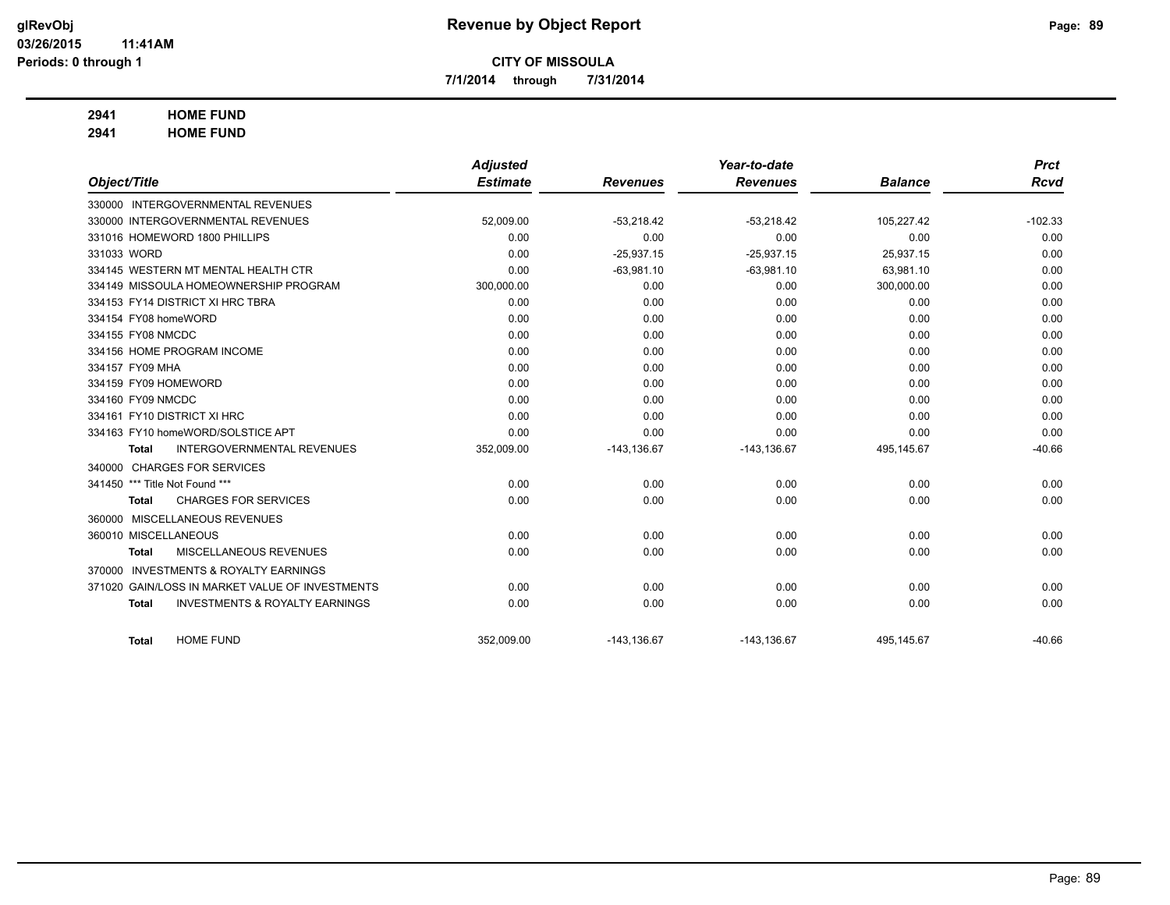**7/1/2014 through 7/31/2014**

# **2941 HOME FUND**

**2941 HOME FUND**

|                                                           | <b>Adjusted</b> |                 | Year-to-date    |                | <b>Prct</b> |
|-----------------------------------------------------------|-----------------|-----------------|-----------------|----------------|-------------|
| Object/Title                                              | <b>Estimate</b> | <b>Revenues</b> | <b>Revenues</b> | <b>Balance</b> | <b>Rcvd</b> |
| 330000 INTERGOVERNMENTAL REVENUES                         |                 |                 |                 |                |             |
| 330000 INTERGOVERNMENTAL REVENUES                         | 52,009.00       | $-53,218.42$    | $-53,218.42$    | 105,227.42     | $-102.33$   |
| 331016 HOMEWORD 1800 PHILLIPS                             | 0.00            | 0.00            | 0.00            | 0.00           | 0.00        |
| 331033 WORD                                               | 0.00            | $-25,937.15$    | $-25,937.15$    | 25,937.15      | 0.00        |
| 334145 WESTERN MT MENTAL HEALTH CTR                       | 0.00            | $-63,981.10$    | $-63,981.10$    | 63,981.10      | 0.00        |
| 334149 MISSOULA HOMEOWNERSHIP PROGRAM                     | 300,000.00      | 0.00            | 0.00            | 300,000.00     | 0.00        |
| 334153 FY14 DISTRICT XI HRC TBRA                          | 0.00            | 0.00            | 0.00            | 0.00           | 0.00        |
| 334154 FY08 homeWORD                                      | 0.00            | 0.00            | 0.00            | 0.00           | 0.00        |
| 334155 FY08 NMCDC                                         | 0.00            | 0.00            | 0.00            | 0.00           | 0.00        |
| 334156 HOME PROGRAM INCOME                                | 0.00            | 0.00            | 0.00            | 0.00           | 0.00        |
| 334157 FY09 MHA                                           | 0.00            | 0.00            | 0.00            | 0.00           | 0.00        |
| 334159 FY09 HOMEWORD                                      | 0.00            | 0.00            | 0.00            | 0.00           | 0.00        |
| 334160 FY09 NMCDC                                         | 0.00            | 0.00            | 0.00            | 0.00           | 0.00        |
| 334161 FY10 DISTRICT XI HRC                               | 0.00            | 0.00            | 0.00            | 0.00           | 0.00        |
| 334163 FY10 homeWORD/SOLSTICE APT                         | 0.00            | 0.00            | 0.00            | 0.00           | 0.00        |
| <b>INTERGOVERNMENTAL REVENUES</b><br><b>Total</b>         | 352,009.00      | $-143, 136.67$  | $-143, 136.67$  | 495,145.67     | $-40.66$    |
| 340000 CHARGES FOR SERVICES                               |                 |                 |                 |                |             |
| 341450 *** Title Not Found ***                            | 0.00            | 0.00            | 0.00            | 0.00           | 0.00        |
| <b>CHARGES FOR SERVICES</b><br><b>Total</b>               | 0.00            | 0.00            | 0.00            | 0.00           | 0.00        |
| 360000 MISCELLANEOUS REVENUES                             |                 |                 |                 |                |             |
| 360010 MISCELLANEOUS                                      | 0.00            | 0.00            | 0.00            | 0.00           | 0.00        |
| MISCELLANEOUS REVENUES<br><b>Total</b>                    | 0.00            | 0.00            | 0.00            | 0.00           | 0.00        |
| <b>INVESTMENTS &amp; ROYALTY EARNINGS</b><br>370000       |                 |                 |                 |                |             |
| 371020 GAIN/LOSS IN MARKET VALUE OF INVESTMENTS           | 0.00            | 0.00            | 0.00            | 0.00           | 0.00        |
| <b>INVESTMENTS &amp; ROYALTY EARNINGS</b><br><b>Total</b> | 0.00            | 0.00            | 0.00            | 0.00           | 0.00        |
| <b>HOME FUND</b><br><b>Total</b>                          | 352,009.00      | $-143, 136.67$  | $-143, 136.67$  | 495,145.67     | $-40.66$    |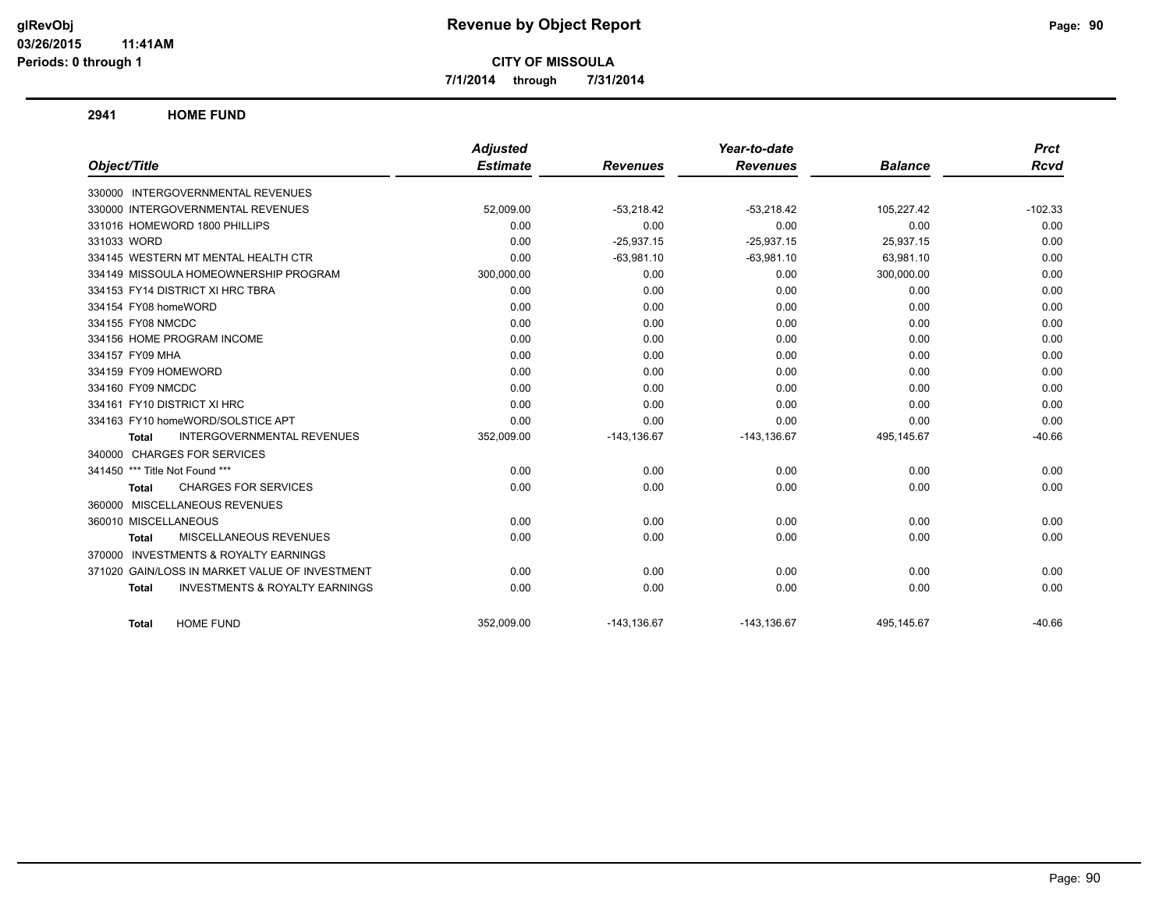**7/1/2014 through 7/31/2014**

**2941 HOME FUND**

|                                                           | <b>Adjusted</b> |                 | Year-to-date    |                | <b>Prct</b> |
|-----------------------------------------------------------|-----------------|-----------------|-----------------|----------------|-------------|
| Object/Title                                              | <b>Estimate</b> | <b>Revenues</b> | <b>Revenues</b> | <b>Balance</b> | <b>Rcvd</b> |
| 330000 INTERGOVERNMENTAL REVENUES                         |                 |                 |                 |                |             |
| 330000 INTERGOVERNMENTAL REVENUES                         | 52,009.00       | $-53,218.42$    | $-53,218.42$    | 105,227.42     | $-102.33$   |
| 331016 HOMEWORD 1800 PHILLIPS                             | 0.00            | 0.00            | 0.00            | 0.00           | 0.00        |
| 331033 WORD                                               | 0.00            | $-25,937.15$    | $-25,937.15$    | 25,937.15      | 0.00        |
| 334145 WESTERN MT MENTAL HEALTH CTR                       | 0.00            | $-63,981.10$    | $-63,981.10$    | 63,981.10      | 0.00        |
| 334149 MISSOULA HOMEOWNERSHIP PROGRAM                     | 300,000.00      | 0.00            | 0.00            | 300,000.00     | 0.00        |
| 334153 FY14 DISTRICT XI HRC TBRA                          | 0.00            | 0.00            | 0.00            | 0.00           | 0.00        |
| 334154 FY08 homeWORD                                      | 0.00            | 0.00            | 0.00            | 0.00           | 0.00        |
| 334155 FY08 NMCDC                                         | 0.00            | 0.00            | 0.00            | 0.00           | 0.00        |
| 334156 HOME PROGRAM INCOME                                | 0.00            | 0.00            | 0.00            | 0.00           | 0.00        |
| 334157 FY09 MHA                                           | 0.00            | 0.00            | 0.00            | 0.00           | 0.00        |
| 334159 FY09 HOMEWORD                                      | 0.00            | 0.00            | 0.00            | 0.00           | 0.00        |
| 334160 FY09 NMCDC                                         | 0.00            | 0.00            | 0.00            | 0.00           | 0.00        |
| 334161 FY10 DISTRICT XI HRC                               | 0.00            | 0.00            | 0.00            | 0.00           | 0.00        |
| 334163 FY10 homeWORD/SOLSTICE APT                         | 0.00            | 0.00            | 0.00            | 0.00           | 0.00        |
| <b>INTERGOVERNMENTAL REVENUES</b><br><b>Total</b>         | 352,009.00      | $-143, 136.67$  | $-143, 136.67$  | 495,145.67     | $-40.66$    |
| 340000 CHARGES FOR SERVICES                               |                 |                 |                 |                |             |
| 341450 *** Title Not Found ***                            | 0.00            | 0.00            | 0.00            | 0.00           | 0.00        |
| <b>CHARGES FOR SERVICES</b><br><b>Total</b>               | 0.00            | 0.00            | 0.00            | 0.00           | 0.00        |
| 360000 MISCELLANEOUS REVENUES                             |                 |                 |                 |                |             |
| 360010 MISCELLANEOUS                                      | 0.00            | 0.00            | 0.00            | 0.00           | 0.00        |
| MISCELLANEOUS REVENUES<br><b>Total</b>                    | 0.00            | 0.00            | 0.00            | 0.00           | 0.00        |
| 370000 INVESTMENTS & ROYALTY EARNINGS                     |                 |                 |                 |                |             |
| 371020 GAIN/LOSS IN MARKET VALUE OF INVESTMENT            | 0.00            | 0.00            | 0.00            | 0.00           | 0.00        |
| <b>INVESTMENTS &amp; ROYALTY EARNINGS</b><br><b>Total</b> | 0.00            | 0.00            | 0.00            | 0.00           | 0.00        |
| <b>HOME FUND</b><br><b>Total</b>                          | 352,009.00      | $-143, 136.67$  | $-143, 136.67$  | 495,145.67     | $-40.66$    |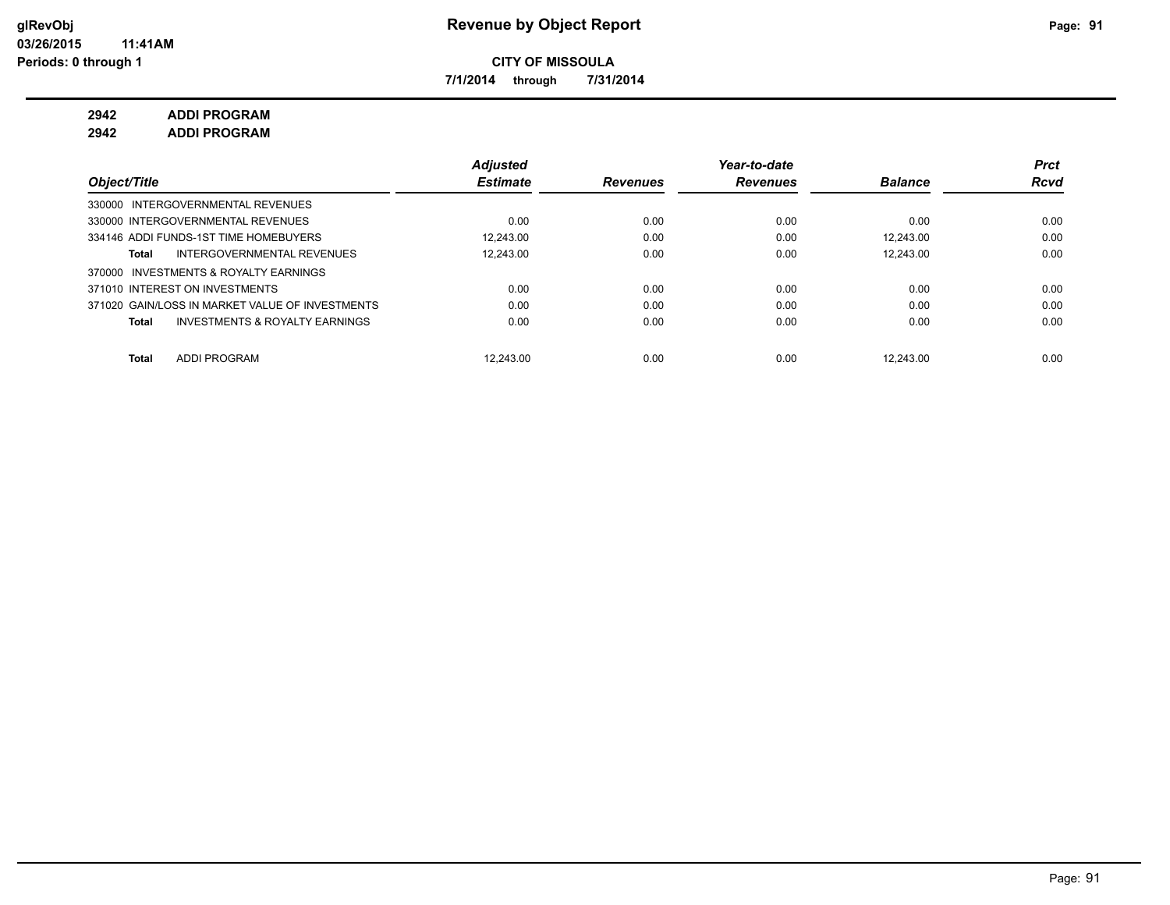**7/1/2014 through 7/31/2014**

**2942 ADDI PROGRAM**

**2942 ADDI PROGRAM**

|                                                           | <b>Adjusted</b> |                 | Year-to-date    |                | <b>Prct</b> |
|-----------------------------------------------------------|-----------------|-----------------|-----------------|----------------|-------------|
| Object/Title                                              | <b>Estimate</b> | <b>Revenues</b> | <b>Revenues</b> | <b>Balance</b> | <b>Rcvd</b> |
| 330000 INTERGOVERNMENTAL REVENUES                         |                 |                 |                 |                |             |
| 330000 INTERGOVERNMENTAL REVENUES                         | 0.00            | 0.00            | 0.00            | 0.00           | 0.00        |
| 334146 ADDI FUNDS-1ST TIME HOMEBUYERS                     | 12.243.00       | 0.00            | 0.00            | 12.243.00      | 0.00        |
| INTERGOVERNMENTAL REVENUES<br>Total                       | 12.243.00       | 0.00            | 0.00            | 12.243.00      | 0.00        |
| 370000 INVESTMENTS & ROYALTY EARNINGS                     |                 |                 |                 |                |             |
| 371010 INTEREST ON INVESTMENTS                            | 0.00            | 0.00            | 0.00            | 0.00           | 0.00        |
| 371020 GAIN/LOSS IN MARKET VALUE OF INVESTMENTS           | 0.00            | 0.00            | 0.00            | 0.00           | 0.00        |
| <b>INVESTMENTS &amp; ROYALTY EARNINGS</b><br><b>Total</b> | 0.00            | 0.00            | 0.00            | 0.00           | 0.00        |
|                                                           |                 |                 |                 |                |             |
| <b>ADDI PROGRAM</b><br>Total                              | 12.243.00       | 0.00            | 0.00            | 12.243.00      | 0.00        |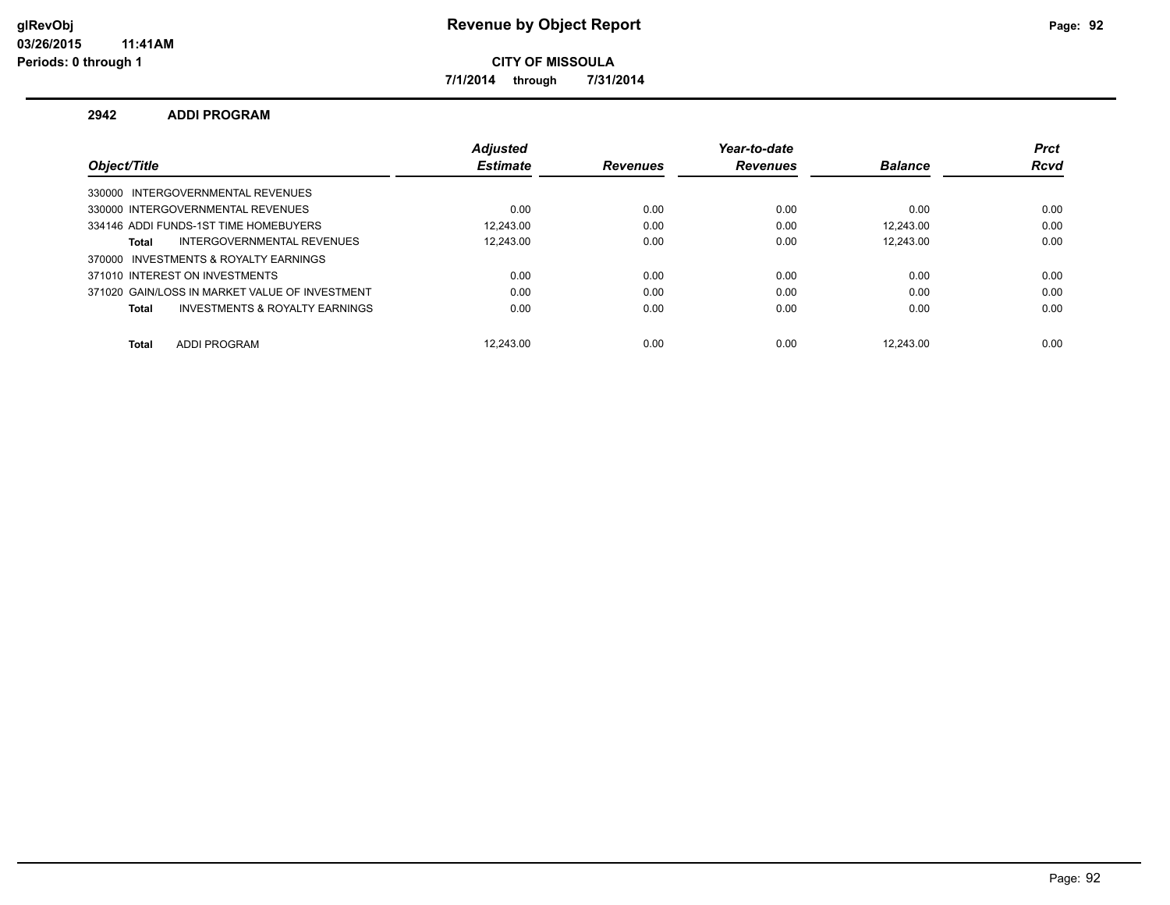**7/1/2014 through 7/31/2014**

### **2942 ADDI PROGRAM**

|                                                | <b>Adiusted</b> |                 | Year-to-date    |                | <b>Prct</b> |
|------------------------------------------------|-----------------|-----------------|-----------------|----------------|-------------|
| Object/Title                                   | <b>Estimate</b> | <b>Revenues</b> | <b>Revenues</b> | <b>Balance</b> | <b>Rcvd</b> |
| 330000 INTERGOVERNMENTAL REVENUES              |                 |                 |                 |                |             |
| 330000 INTERGOVERNMENTAL REVENUES              | 0.00            | 0.00            | 0.00            | 0.00           | 0.00        |
| 334146 ADDI FUNDS-1ST TIME HOMEBUYERS          | 12.243.00       | 0.00            | 0.00            | 12.243.00      | 0.00        |
| INTERGOVERNMENTAL REVENUES<br><b>Total</b>     | 12.243.00       | 0.00            | 0.00            | 12.243.00      | 0.00        |
| 370000 INVESTMENTS & ROYALTY EARNINGS          |                 |                 |                 |                |             |
| 371010 INTEREST ON INVESTMENTS                 | 0.00            | 0.00            | 0.00            | 0.00           | 0.00        |
| 371020 GAIN/LOSS IN MARKET VALUE OF INVESTMENT | 0.00            | 0.00            | 0.00            | 0.00           | 0.00        |
| INVESTMENTS & ROYALTY EARNINGS<br><b>Total</b> | 0.00            | 0.00            | 0.00            | 0.00           | 0.00        |
| <b>ADDI PROGRAM</b><br><b>Total</b>            | 12.243.00       | 0.00            | 0.00            | 12.243.00      | 0.00        |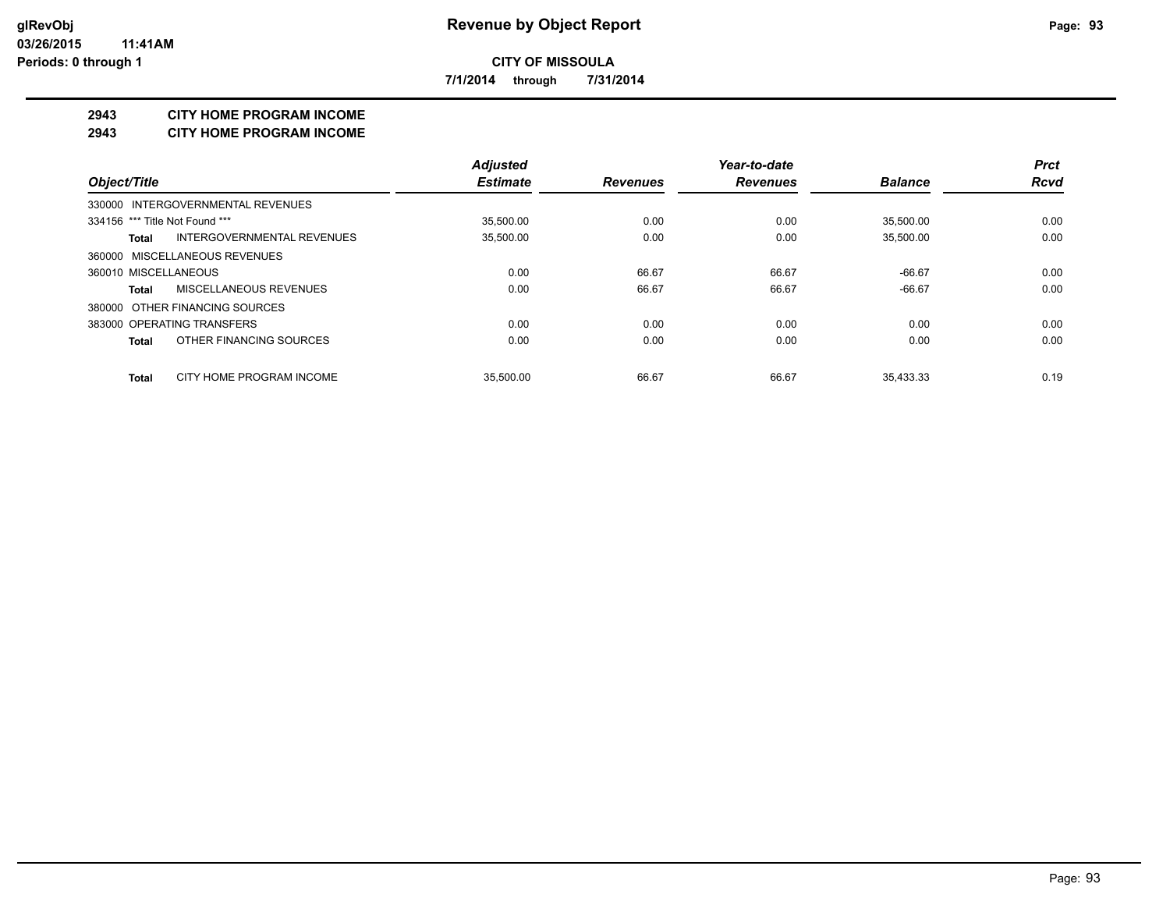**7/1/2014 through 7/31/2014**

### **2943 CITY HOME PROGRAM INCOME**

#### **2943 CITY HOME PROGRAM INCOME**

|                                        | <b>Adjusted</b> |                 | Year-to-date    |                | <b>Prct</b> |
|----------------------------------------|-----------------|-----------------|-----------------|----------------|-------------|
| Object/Title                           | <b>Estimate</b> | <b>Revenues</b> | <b>Revenues</b> | <b>Balance</b> | <b>Rcvd</b> |
| 330000 INTERGOVERNMENTAL REVENUES      |                 |                 |                 |                |             |
| 334156 *** Title Not Found ***         | 35.500.00       | 0.00            | 0.00            | 35.500.00      | 0.00        |
| INTERGOVERNMENTAL REVENUES<br>Total    | 35,500.00       | 0.00            | 0.00            | 35,500.00      | 0.00        |
| 360000 MISCELLANEOUS REVENUES          |                 |                 |                 |                |             |
| 360010 MISCELLANEOUS                   | 0.00            | 66.67           | 66.67           | $-66.67$       | 0.00        |
| <b>MISCELLANEOUS REVENUES</b><br>Total | 0.00            | 66.67           | 66.67           | $-66.67$       | 0.00        |
| 380000 OTHER FINANCING SOURCES         |                 |                 |                 |                |             |
| 383000 OPERATING TRANSFERS             | 0.00            | 0.00            | 0.00            | 0.00           | 0.00        |
| OTHER FINANCING SOURCES<br>Total       | 0.00            | 0.00            | 0.00            | 0.00           | 0.00        |
| CITY HOME PROGRAM INCOME<br>Total      | 35.500.00       | 66.67           | 66.67           | 35.433.33      | 0.19        |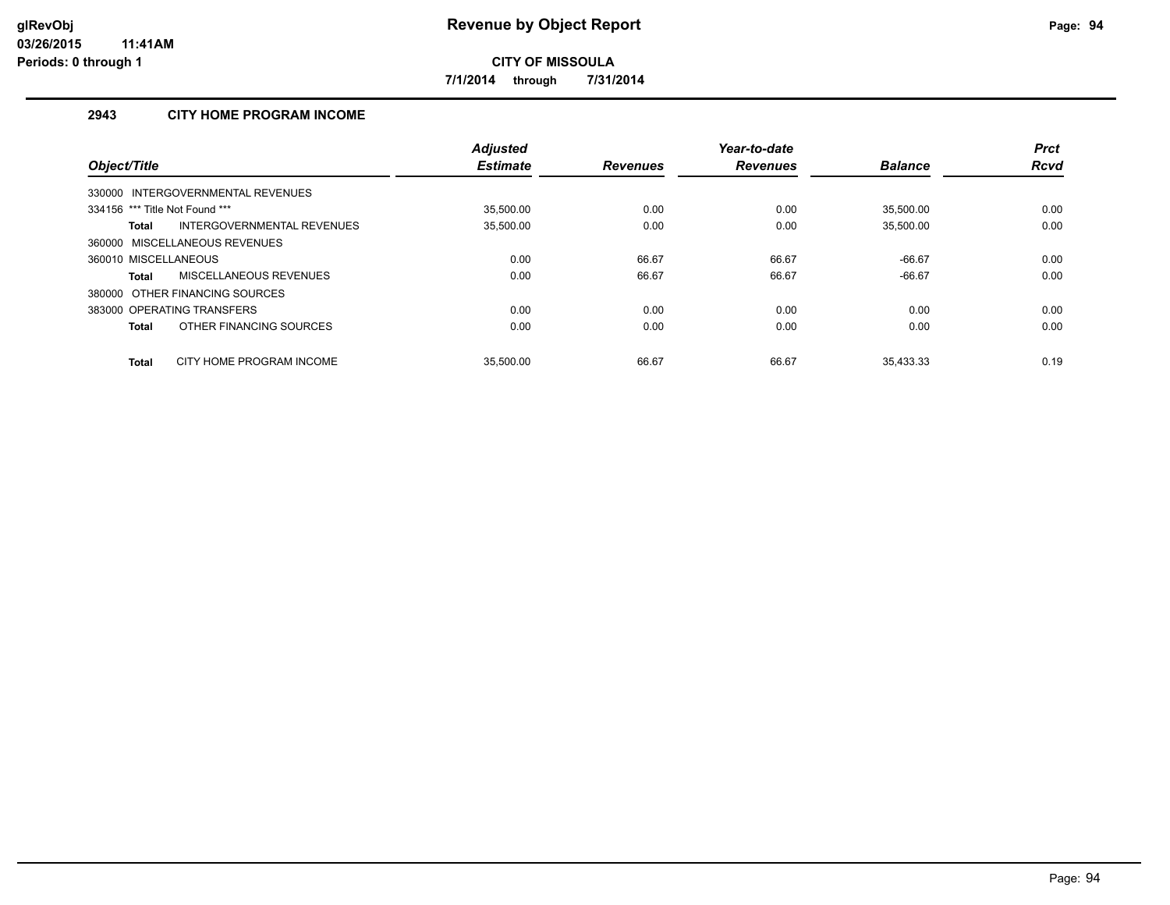**7/1/2014 through 7/31/2014**

# **2943 CITY HOME PROGRAM INCOME**

| Object/Title                             | <b>Adjusted</b><br><b>Estimate</b> | <b>Revenues</b> | Year-to-date<br><b>Revenues</b> | <b>Balance</b> | <b>Prct</b><br><b>Rcvd</b> |
|------------------------------------------|------------------------------------|-----------------|---------------------------------|----------------|----------------------------|
| 330000 INTERGOVERNMENTAL REVENUES        |                                    |                 |                                 |                |                            |
| 334156 *** Title Not Found ***           | 35.500.00                          | 0.00            | 0.00                            | 35.500.00      | 0.00                       |
| INTERGOVERNMENTAL REVENUES<br>Total      | 35,500.00                          | 0.00            | 0.00                            | 35,500.00      | 0.00                       |
| 360000 MISCELLANEOUS REVENUES            |                                    |                 |                                 |                |                            |
| 360010 MISCELLANEOUS                     | 0.00                               | 66.67           | 66.67                           | $-66.67$       | 0.00                       |
| <b>MISCELLANEOUS REVENUES</b><br>Total   | 0.00                               | 66.67           | 66.67                           | $-66.67$       | 0.00                       |
| 380000 OTHER FINANCING SOURCES           |                                    |                 |                                 |                |                            |
| 383000 OPERATING TRANSFERS               | 0.00                               | 0.00            | 0.00                            | 0.00           | 0.00                       |
| OTHER FINANCING SOURCES<br><b>Total</b>  | 0.00                               | 0.00            | 0.00                            | 0.00           | 0.00                       |
| CITY HOME PROGRAM INCOME<br><b>Total</b> | 35.500.00                          | 66.67           | 66.67                           | 35.433.33      | 0.19                       |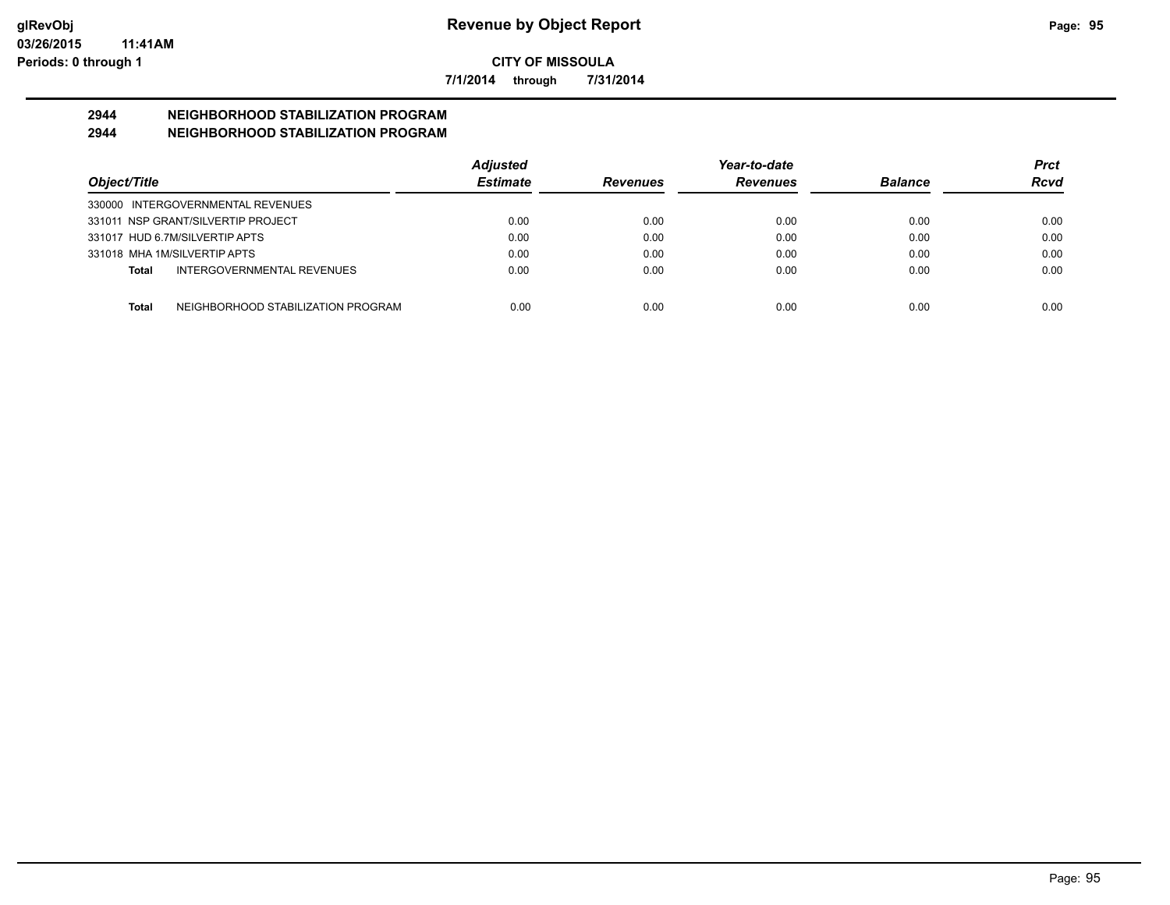**7/1/2014 through 7/31/2014**

# **2944 NEIGHBORHOOD STABILIZATION PROGRAM**

# **2944 NEIGHBORHOOD STABILIZATION PROGRAM**

|                                                    | <b>Adjusted</b> |                 | Year-to-date    |                | Prct |
|----------------------------------------------------|-----------------|-----------------|-----------------|----------------|------|
| Object/Title                                       | <b>Estimate</b> | <b>Revenues</b> | <b>Revenues</b> | <b>Balance</b> | Rcvd |
| 330000 INTERGOVERNMENTAL REVENUES                  |                 |                 |                 |                |      |
| 331011 NSP GRANT/SILVERTIP PROJECT                 | 0.00            | 0.00            | 0.00            | 0.00           | 0.00 |
| 331017 HUD 6.7M/SILVERTIP APTS                     | 0.00            | 0.00            | 0.00            | 0.00           | 0.00 |
| 331018 MHA 1M/SILVERTIP APTS                       | 0.00            | 0.00            | 0.00            | 0.00           | 0.00 |
| INTERGOVERNMENTAL REVENUES<br>Total                | 0.00            | 0.00            | 0.00            | 0.00           | 0.00 |
| NEIGHBORHOOD STABILIZATION PROGRAM<br><b>Total</b> | 0.00            | 0.00            | 0.00            | 0.00           | 0.00 |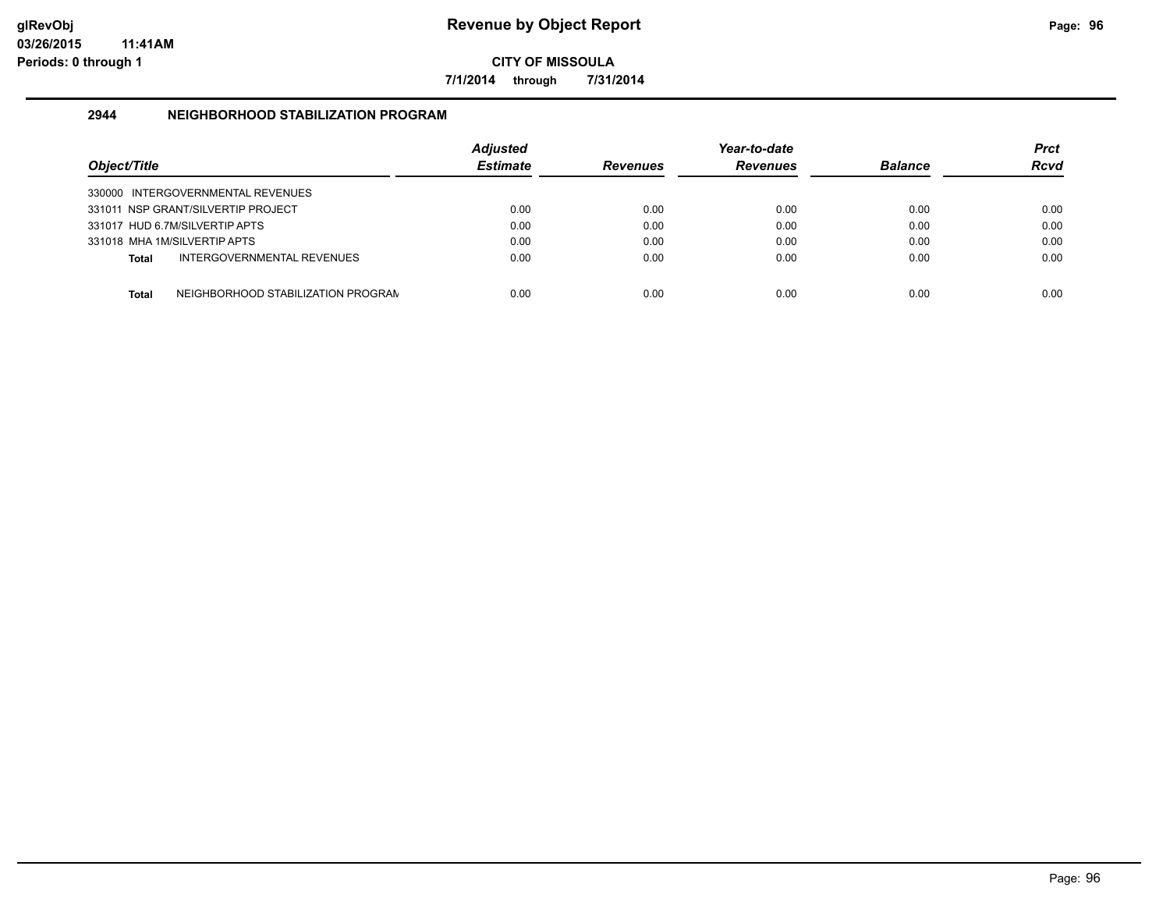**7/1/2014 through 7/31/2014**

### **2944 NEIGHBORHOOD STABILIZATION PROGRAM**

| Object/Title |                                    | Adjusted<br><b>Estimate</b> | <b>Revenues</b> | Year-to-date<br><b>Revenues</b> | <b>Balance</b> | Prct<br><b>Rcvd</b> |
|--------------|------------------------------------|-----------------------------|-----------------|---------------------------------|----------------|---------------------|
|              | 330000 INTERGOVERNMENTAL REVENUES  |                             |                 |                                 |                |                     |
|              | 331011 NSP GRANT/SILVERTIP PROJECT | 0.00                        | 0.00            | 0.00                            | 0.00           | 0.00                |
|              | 331017 HUD 6.7M/SILVERTIP APTS     | 0.00                        | 0.00            | 0.00                            | 0.00           | 0.00                |
|              | 331018 MHA 1M/SILVERTIP APTS       | 0.00                        | 0.00            | 0.00                            | 0.00           | 0.00                |
| <b>Total</b> | INTERGOVERNMENTAL REVENUES         | 0.00                        | 0.00            | 0.00                            | 0.00           | 0.00                |
| <b>Total</b> | NEIGHBORHOOD STABILIZATION PROGRAN | 0.00                        | 0.00            | 0.00                            | 0.00           | 0.00                |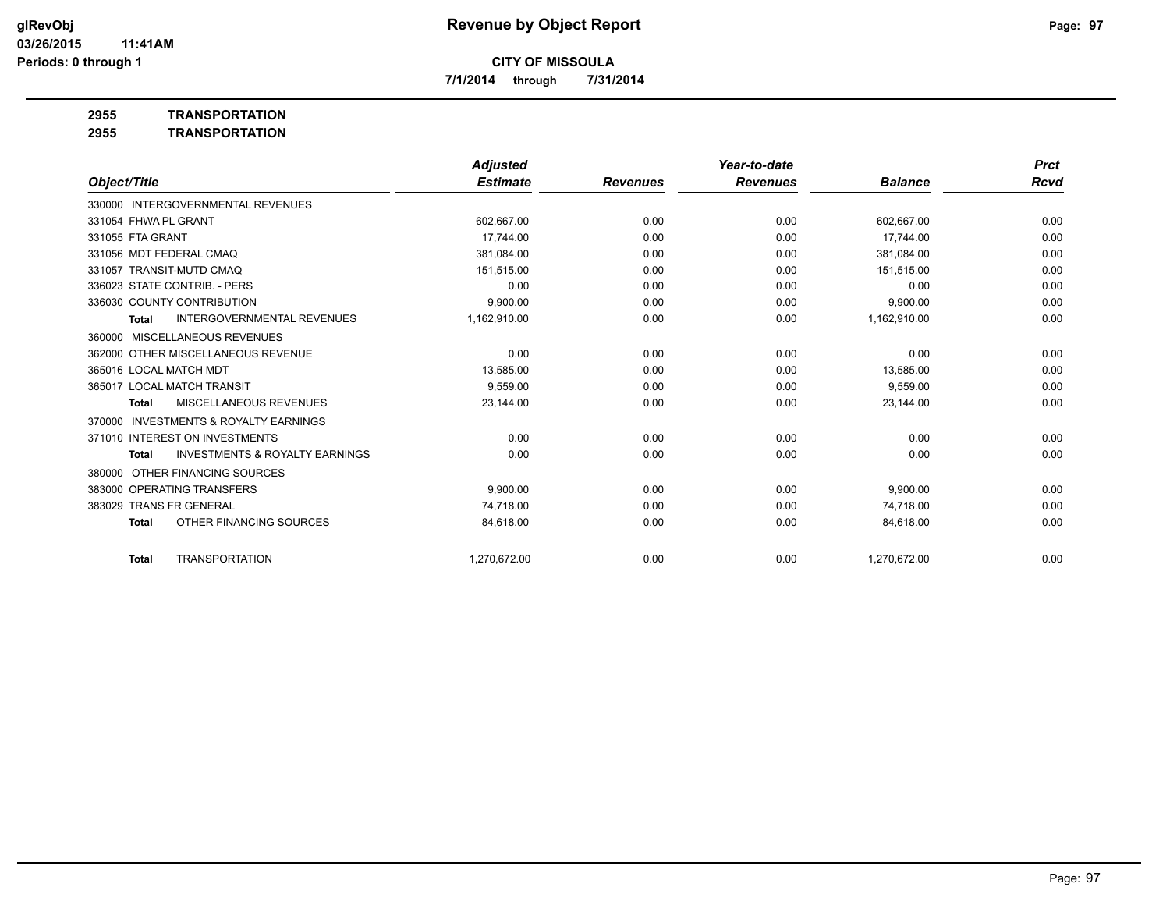**7/1/2014 through 7/31/2014**

**2955 TRANSPORTATION**

**2955 TRANSPORTATION**

|                                                           | <b>Adjusted</b> |                 | Year-to-date    |                | <b>Prct</b> |
|-----------------------------------------------------------|-----------------|-----------------|-----------------|----------------|-------------|
| Object/Title                                              | <b>Estimate</b> | <b>Revenues</b> | <b>Revenues</b> | <b>Balance</b> | Rcvd        |
| 330000 INTERGOVERNMENTAL REVENUES                         |                 |                 |                 |                |             |
| 331054 FHWA PL GRANT                                      | 602,667.00      | 0.00            | 0.00            | 602,667.00     | 0.00        |
| 331055 FTA GRANT                                          | 17.744.00       | 0.00            | 0.00            | 17.744.00      | 0.00        |
| 331056 MDT FEDERAL CMAQ                                   | 381,084.00      | 0.00            | 0.00            | 381,084.00     | 0.00        |
| 331057 TRANSIT-MUTD CMAQ                                  | 151,515.00      | 0.00            | 0.00            | 151,515.00     | 0.00        |
| 336023 STATE CONTRIB. - PERS                              | 0.00            | 0.00            | 0.00            | 0.00           | 0.00        |
| 336030 COUNTY CONTRIBUTION                                | 9,900.00        | 0.00            | 0.00            | 9,900.00       | 0.00        |
| <b>INTERGOVERNMENTAL REVENUES</b><br><b>Total</b>         | 1,162,910.00    | 0.00            | 0.00            | 1,162,910.00   | 0.00        |
| 360000 MISCELLANEOUS REVENUES                             |                 |                 |                 |                |             |
| 362000 OTHER MISCELLANEOUS REVENUE                        | 0.00            | 0.00            | 0.00            | 0.00           | 0.00        |
| 365016 LOCAL MATCH MDT                                    | 13,585.00       | 0.00            | 0.00            | 13,585.00      | 0.00        |
| 365017 LOCAL MATCH TRANSIT                                | 9.559.00        | 0.00            | 0.00            | 9.559.00       | 0.00        |
| <b>MISCELLANEOUS REVENUES</b><br><b>Total</b>             | 23,144.00       | 0.00            | 0.00            | 23,144.00      | 0.00        |
| <b>INVESTMENTS &amp; ROYALTY EARNINGS</b><br>370000       |                 |                 |                 |                |             |
| 371010 INTEREST ON INVESTMENTS                            | 0.00            | 0.00            | 0.00            | 0.00           | 0.00        |
| <b>INVESTMENTS &amp; ROYALTY EARNINGS</b><br><b>Total</b> | 0.00            | 0.00            | 0.00            | 0.00           | 0.00        |
| OTHER FINANCING SOURCES<br>380000                         |                 |                 |                 |                |             |
| 383000 OPERATING TRANSFERS                                | 9,900.00        | 0.00            | 0.00            | 9,900.00       | 0.00        |
| 383029 TRANS FR GENERAL                                   | 74.718.00       | 0.00            | 0.00            | 74.718.00      | 0.00        |
| OTHER FINANCING SOURCES<br><b>Total</b>                   | 84,618.00       | 0.00            | 0.00            | 84,618.00      | 0.00        |
| <b>TRANSPORTATION</b><br><b>Total</b>                     | 1.270.672.00    | 0.00            | 0.00            | 1.270.672.00   | 0.00        |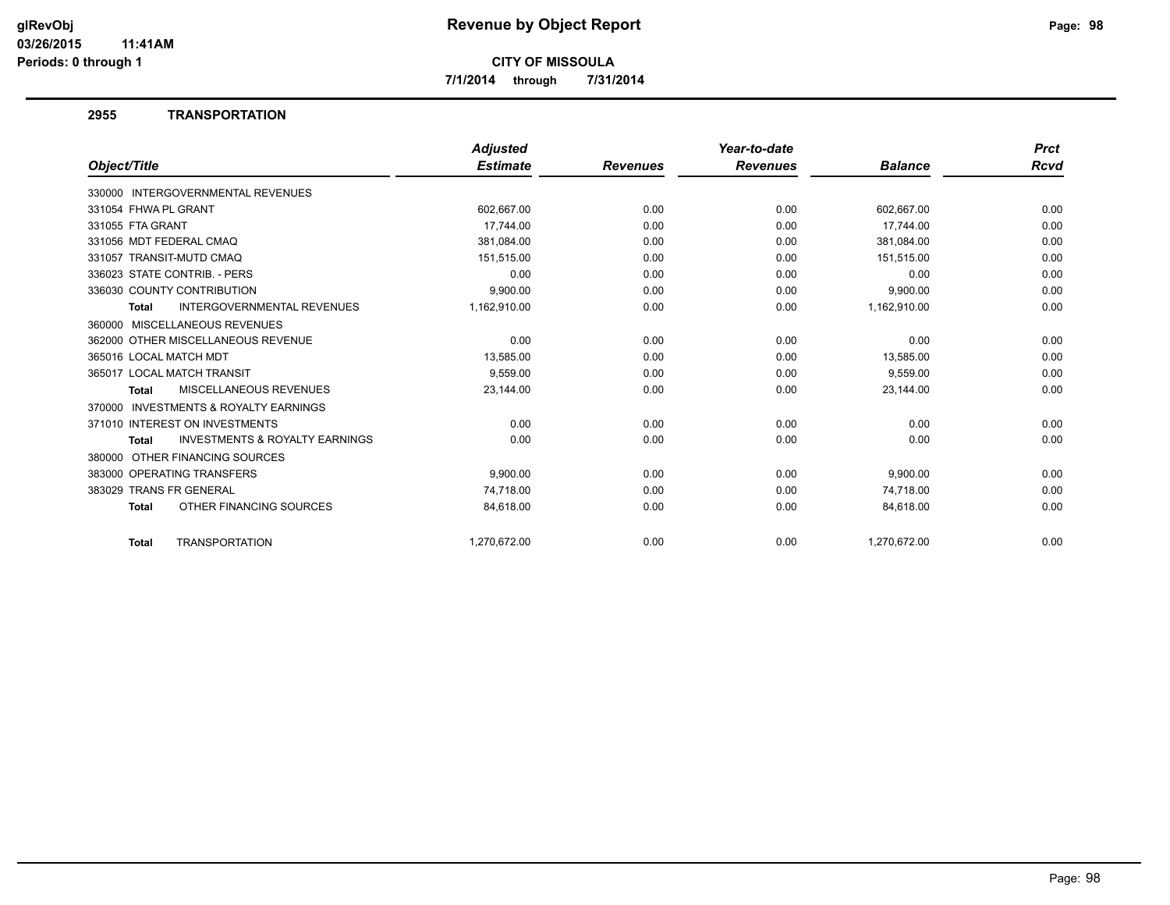**7/1/2014 through 7/31/2014**

### **2955 TRANSPORTATION**

|                                                           | <b>Adjusted</b> |                 | Year-to-date    |                | <b>Prct</b> |
|-----------------------------------------------------------|-----------------|-----------------|-----------------|----------------|-------------|
| Object/Title                                              | <b>Estimate</b> | <b>Revenues</b> | <b>Revenues</b> | <b>Balance</b> | <b>Rcvd</b> |
| <b>INTERGOVERNMENTAL REVENUES</b><br>330000               |                 |                 |                 |                |             |
| 331054 FHWA PL GRANT                                      | 602,667.00      | 0.00            | 0.00            | 602,667.00     | 0.00        |
| 331055 FTA GRANT                                          | 17.744.00       | 0.00            | 0.00            | 17,744.00      | 0.00        |
| 331056 MDT FEDERAL CMAQ                                   | 381,084.00      | 0.00            | 0.00            | 381,084.00     | 0.00        |
| 331057 TRANSIT-MUTD CMAQ                                  | 151,515.00      | 0.00            | 0.00            | 151,515.00     | 0.00        |
| 336023 STATE CONTRIB. - PERS                              | 0.00            | 0.00            | 0.00            | 0.00           | 0.00        |
| 336030 COUNTY CONTRIBUTION                                | 9,900.00        | 0.00            | 0.00            | 9,900.00       | 0.00        |
| <b>INTERGOVERNMENTAL REVENUES</b><br><b>Total</b>         | 1,162,910.00    | 0.00            | 0.00            | 1,162,910.00   | 0.00        |
| MISCELLANEOUS REVENUES<br>360000                          |                 |                 |                 |                |             |
| 362000 OTHER MISCELLANEOUS REVENUE                        | 0.00            | 0.00            | 0.00            | 0.00           | 0.00        |
| 365016 LOCAL MATCH MDT                                    | 13,585.00       | 0.00            | 0.00            | 13,585.00      | 0.00        |
| 365017 LOCAL MATCH TRANSIT                                | 9,559.00        | 0.00            | 0.00            | 9,559.00       | 0.00        |
| MISCELLANEOUS REVENUES<br><b>Total</b>                    | 23,144.00       | 0.00            | 0.00            | 23,144.00      | 0.00        |
| 370000 INVESTMENTS & ROYALTY EARNINGS                     |                 |                 |                 |                |             |
| 371010 INTEREST ON INVESTMENTS                            | 0.00            | 0.00            | 0.00            | 0.00           | 0.00        |
| <b>INVESTMENTS &amp; ROYALTY EARNINGS</b><br><b>Total</b> | 0.00            | 0.00            | 0.00            | 0.00           | 0.00        |
| OTHER FINANCING SOURCES<br>380000                         |                 |                 |                 |                |             |
| 383000 OPERATING TRANSFERS                                | 9,900.00        | 0.00            | 0.00            | 9,900.00       | 0.00        |
| 383029 TRANS FR GENERAL                                   | 74,718.00       | 0.00            | 0.00            | 74,718.00      | 0.00        |
| OTHER FINANCING SOURCES<br><b>Total</b>                   | 84,618.00       | 0.00            | 0.00            | 84,618.00      | 0.00        |
| <b>TRANSPORTATION</b><br><b>Total</b>                     | 1,270,672.00    | 0.00            | 0.00            | 1,270,672.00   | 0.00        |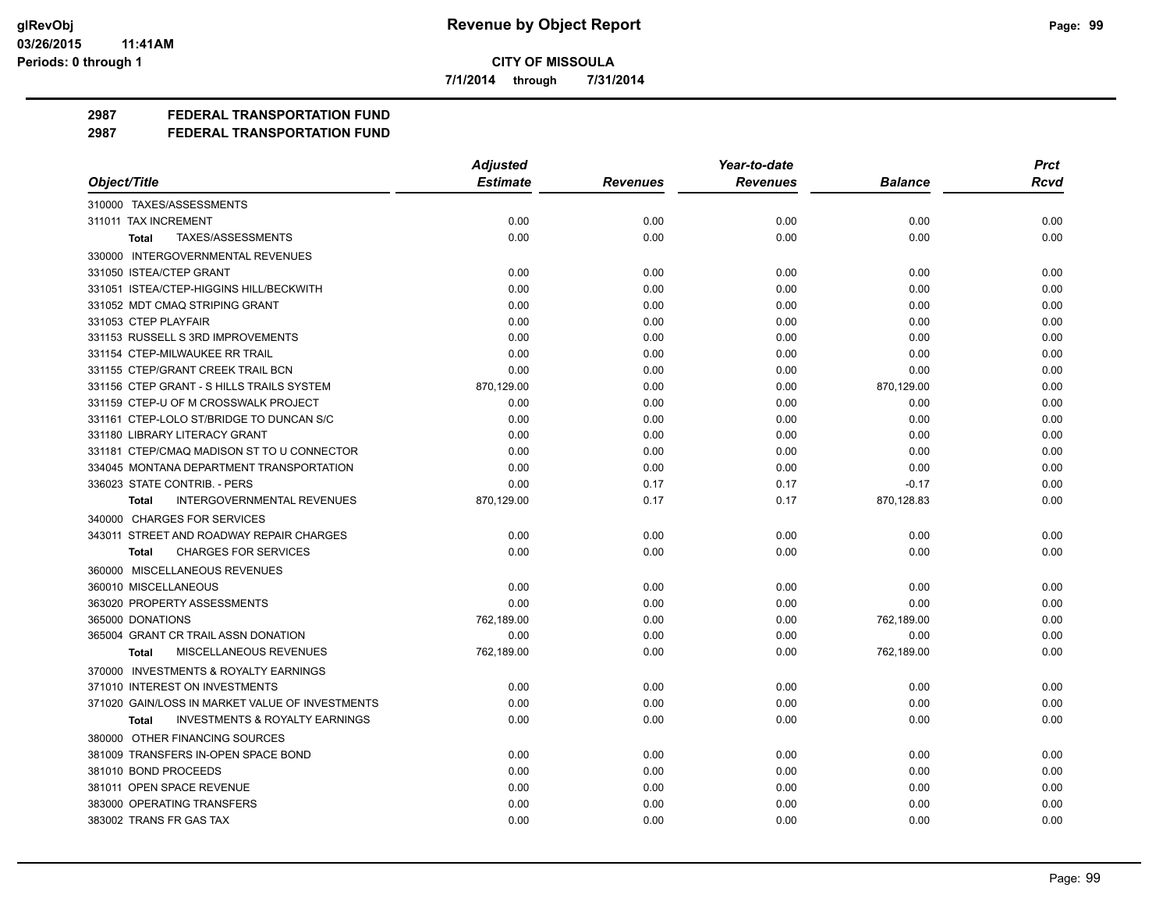**7/1/2014 through 7/31/2014**

# **2987 FEDERAL TRANSPORTATION FUND**

|                                                           | <b>Adjusted</b> |                 | Year-to-date    |                | <b>Prct</b> |
|-----------------------------------------------------------|-----------------|-----------------|-----------------|----------------|-------------|
| Object/Title                                              | <b>Estimate</b> | <b>Revenues</b> | <b>Revenues</b> | <b>Balance</b> | <b>Rcvd</b> |
| 310000 TAXES/ASSESSMENTS                                  |                 |                 |                 |                |             |
| 311011 TAX INCREMENT                                      | 0.00            | 0.00            | 0.00            | 0.00           | 0.00        |
| TAXES/ASSESSMENTS<br><b>Total</b>                         | 0.00            | 0.00            | 0.00            | 0.00           | 0.00        |
| 330000 INTERGOVERNMENTAL REVENUES                         |                 |                 |                 |                |             |
| 331050 ISTEA/CTEP GRANT                                   | 0.00            | 0.00            | 0.00            | 0.00           | 0.00        |
| 331051 ISTEA/CTEP-HIGGINS HILL/BECKWITH                   | 0.00            | 0.00            | 0.00            | 0.00           | 0.00        |
| 331052 MDT CMAQ STRIPING GRANT                            | 0.00            | 0.00            | 0.00            | 0.00           | 0.00        |
| 331053 CTEP PLAYFAIR                                      | 0.00            | 0.00            | 0.00            | 0.00           | 0.00        |
| 331153 RUSSELL S 3RD IMPROVEMENTS                         | 0.00            | 0.00            | 0.00            | 0.00           | 0.00        |
| 331154 CTEP-MILWAUKEE RR TRAIL                            | 0.00            | 0.00            | 0.00            | 0.00           | 0.00        |
| 331155 CTEP/GRANT CREEK TRAIL BCN                         | 0.00            | 0.00            | 0.00            | 0.00           | 0.00        |
| 331156 CTEP GRANT - S HILLS TRAILS SYSTEM                 | 870,129.00      | 0.00            | 0.00            | 870,129.00     | 0.00        |
| 331159 CTEP-U OF M CROSSWALK PROJECT                      | 0.00            | 0.00            | 0.00            | 0.00           | 0.00        |
| 331161 CTEP-LOLO ST/BRIDGE TO DUNCAN S/C                  | 0.00            | 0.00            | 0.00            | 0.00           | 0.00        |
| 331180 LIBRARY LITERACY GRANT                             | 0.00            | 0.00            | 0.00            | 0.00           | 0.00        |
| 331181 CTEP/CMAQ MADISON ST TO U CONNECTOR                | 0.00            | 0.00            | 0.00            | 0.00           | 0.00        |
| 334045 MONTANA DEPARTMENT TRANSPORTATION                  | 0.00            | 0.00            | 0.00            | 0.00           | 0.00        |
| 336023 STATE CONTRIB. - PERS                              | 0.00            | 0.17            | 0.17            | $-0.17$        | 0.00        |
| <b>INTERGOVERNMENTAL REVENUES</b><br>Total                | 870,129.00      | 0.17            | 0.17            | 870,128.83     | 0.00        |
| 340000 CHARGES FOR SERVICES                               |                 |                 |                 |                |             |
| 343011 STREET AND ROADWAY REPAIR CHARGES                  | 0.00            | 0.00            | 0.00            | 0.00           | 0.00        |
| <b>CHARGES FOR SERVICES</b><br><b>Total</b>               | 0.00            | 0.00            | 0.00            | 0.00           | 0.00        |
| 360000 MISCELLANEOUS REVENUES                             |                 |                 |                 |                |             |
| 360010 MISCELLANEOUS                                      | 0.00            | 0.00            | 0.00            | 0.00           | 0.00        |
| 363020 PROPERTY ASSESSMENTS                               | 0.00            | 0.00            | 0.00            | 0.00           | 0.00        |
| 365000 DONATIONS                                          | 762,189.00      | 0.00            | 0.00            | 762,189.00     | 0.00        |
| 365004 GRANT CR TRAIL ASSN DONATION                       | 0.00            | 0.00            | 0.00            | 0.00           | 0.00        |
| MISCELLANEOUS REVENUES<br>Total                           | 762,189.00      | 0.00            | 0.00            | 762,189.00     | 0.00        |
| 370000 INVESTMENTS & ROYALTY EARNINGS                     |                 |                 |                 |                |             |
| 371010 INTEREST ON INVESTMENTS                            | 0.00            | 0.00            | 0.00            | 0.00           | 0.00        |
| 371020 GAIN/LOSS IN MARKET VALUE OF INVESTMENTS           | 0.00            | 0.00            | 0.00            | 0.00           | 0.00        |
| <b>INVESTMENTS &amp; ROYALTY EARNINGS</b><br><b>Total</b> | 0.00            | 0.00            | 0.00            | 0.00           | 0.00        |
| 380000 OTHER FINANCING SOURCES                            |                 |                 |                 |                |             |
| 381009 TRANSFERS IN-OPEN SPACE BOND                       | 0.00            | 0.00            | 0.00            | 0.00           | 0.00        |
| 381010 BOND PROCEEDS                                      | 0.00            | 0.00            | 0.00            | 0.00           | 0.00        |
| 381011 OPEN SPACE REVENUE                                 | 0.00            | 0.00            | 0.00            | 0.00           | 0.00        |
| 383000 OPERATING TRANSFERS                                | 0.00            | 0.00            | 0.00            | 0.00           | 0.00        |
| 383002 TRANS FR GAS TAX                                   | 0.00            | 0.00            | 0.00            | 0.00           | 0.00        |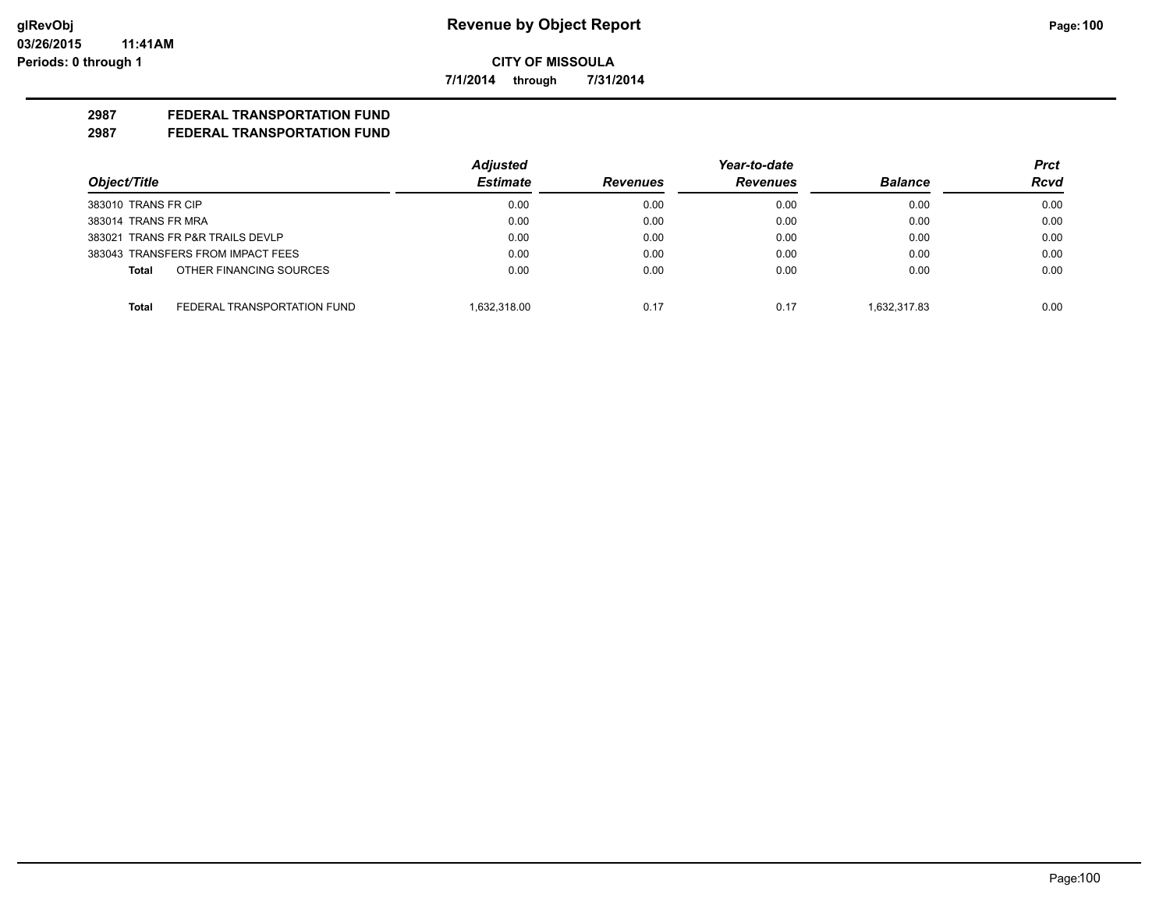**7/1/2014 through 7/31/2014**

# **2987 FEDERAL TRANSPORTATION FUND**

|                                             | <b>Adjusted</b> |                 | Year-to-date    |                | Prct        |
|---------------------------------------------|-----------------|-----------------|-----------------|----------------|-------------|
| Object/Title                                | <b>Estimate</b> | <b>Revenues</b> | <b>Revenues</b> | <b>Balance</b> | <b>Rcvd</b> |
| 383010 TRANS FR CIP                         | 0.00            | 0.00            | 0.00            | 0.00           | 0.00        |
| 383014 TRANS FR MRA                         | 0.00            | 0.00            | 0.00            | 0.00           | 0.00        |
| 383021 TRANS FR P&R TRAILS DEVLP            | 0.00            | 0.00            | 0.00            | 0.00           | 0.00        |
| 383043 TRANSFERS FROM IMPACT FEES           | 0.00            | 0.00            | 0.00            | 0.00           | 0.00        |
| OTHER FINANCING SOURCES<br>Total            | 0.00            | 0.00            | 0.00            | 0.00           | 0.00        |
| FEDERAL TRANSPORTATION FUND<br><b>Total</b> | 1.632.318.00    | 0.17            | 0.17            | 1.632.317.83   | 0.00        |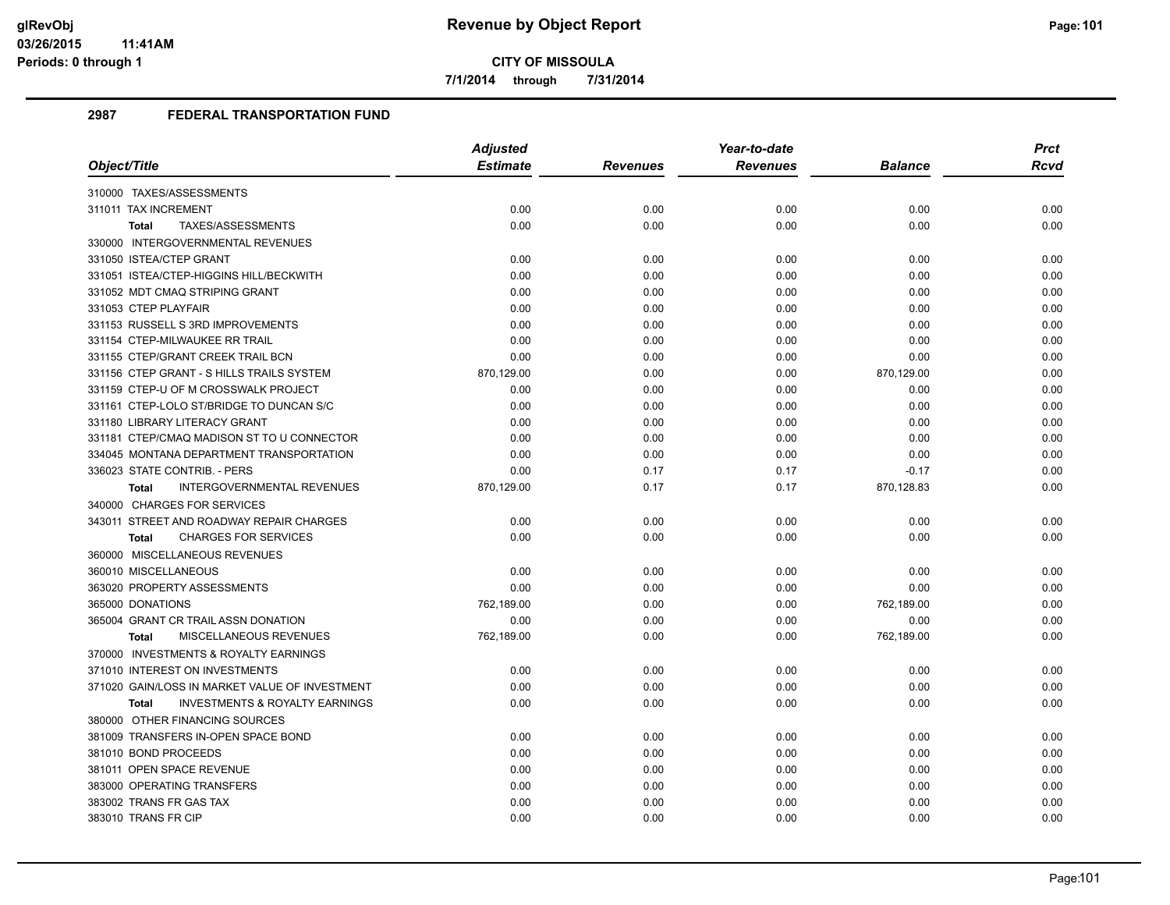**7/1/2014 through 7/31/2014**

|                                                           | <b>Adjusted</b> |                 | Year-to-date    |            | <b>Prct</b> |
|-----------------------------------------------------------|-----------------|-----------------|-----------------|------------|-------------|
| Object/Title                                              | <b>Estimate</b> | <b>Revenues</b> | <b>Revenues</b> | Balance    | Rcvd        |
| 310000 TAXES/ASSESSMENTS                                  |                 |                 |                 |            |             |
| 311011 TAX INCREMENT                                      | 0.00            | 0.00            | 0.00            | 0.00       | 0.00        |
| TAXES/ASSESSMENTS<br><b>Total</b>                         | 0.00            | 0.00            | 0.00            | 0.00       | 0.00        |
| 330000 INTERGOVERNMENTAL REVENUES                         |                 |                 |                 |            |             |
| 331050 ISTEA/CTEP GRANT                                   | 0.00            | 0.00            | 0.00            | 0.00       | 0.00        |
| 331051 ISTEA/CTEP-HIGGINS HILL/BECKWITH                   | 0.00            | 0.00            | 0.00            | 0.00       | 0.00        |
| 331052 MDT CMAQ STRIPING GRANT                            | 0.00            | 0.00            | 0.00            | 0.00       | 0.00        |
| 331053 CTEP PLAYFAIR                                      | 0.00            | 0.00            | 0.00            | 0.00       | 0.00        |
| 331153 RUSSELL S 3RD IMPROVEMENTS                         | 0.00            | 0.00            | 0.00            | 0.00       | 0.00        |
| 331154 CTEP-MILWAUKEE RR TRAIL                            | 0.00            | 0.00            | 0.00            | 0.00       | 0.00        |
| 331155 CTEP/GRANT CREEK TRAIL BCN                         | 0.00            | 0.00            | 0.00            | 0.00       | 0.00        |
| 331156 CTEP GRANT - S HILLS TRAILS SYSTEM                 | 870,129.00      | 0.00            | 0.00            | 870,129.00 | 0.00        |
| 331159 CTEP-U OF M CROSSWALK PROJECT                      | 0.00            | 0.00            | 0.00            | 0.00       | 0.00        |
| 331161 CTEP-LOLO ST/BRIDGE TO DUNCAN S/C                  | 0.00            | 0.00            | 0.00            | 0.00       | 0.00        |
| 331180 LIBRARY LITERACY GRANT                             | 0.00            | 0.00            | 0.00            | 0.00       | 0.00        |
| 331181 CTEP/CMAQ MADISON ST TO U CONNECTOR                | 0.00            | 0.00            | 0.00            | 0.00       | 0.00        |
| 334045 MONTANA DEPARTMENT TRANSPORTATION                  | 0.00            | 0.00            | 0.00            | 0.00       | 0.00        |
| 336023 STATE CONTRIB. - PERS                              | 0.00            | 0.17            | 0.17            | $-0.17$    | 0.00        |
| INTERGOVERNMENTAL REVENUES<br><b>Total</b>                | 870,129.00      | 0.17            | 0.17            | 870,128.83 | 0.00        |
| 340000 CHARGES FOR SERVICES                               |                 |                 |                 |            |             |
| 343011 STREET AND ROADWAY REPAIR CHARGES                  | 0.00            | 0.00            | 0.00            | 0.00       | 0.00        |
| <b>CHARGES FOR SERVICES</b><br><b>Total</b>               | 0.00            | 0.00            | 0.00            | 0.00       | 0.00        |
| 360000 MISCELLANEOUS REVENUES                             |                 |                 |                 |            |             |
| 360010 MISCELLANEOUS                                      | 0.00            | 0.00            | 0.00            | 0.00       | 0.00        |
| 363020 PROPERTY ASSESSMENTS                               | 0.00            | 0.00            | 0.00            | 0.00       | 0.00        |
| 365000 DONATIONS                                          | 762,189.00      | 0.00            | 0.00            | 762,189.00 | 0.00        |
| 365004 GRANT CR TRAIL ASSN DONATION                       | 0.00            | 0.00            | 0.00            | 0.00       | 0.00        |
| MISCELLANEOUS REVENUES<br><b>Total</b>                    | 762,189.00      | 0.00            | 0.00            | 762,189.00 | 0.00        |
| 370000 INVESTMENTS & ROYALTY EARNINGS                     |                 |                 |                 |            |             |
| 371010 INTEREST ON INVESTMENTS                            | 0.00            | 0.00            | 0.00            | 0.00       | 0.00        |
| 371020 GAIN/LOSS IN MARKET VALUE OF INVESTMENT            | 0.00            | 0.00            | 0.00            | 0.00       | 0.00        |
| <b>INVESTMENTS &amp; ROYALTY EARNINGS</b><br><b>Total</b> | 0.00            | 0.00            | 0.00            | 0.00       | 0.00        |
| 380000 OTHER FINANCING SOURCES                            |                 |                 |                 |            |             |
| 381009 TRANSFERS IN-OPEN SPACE BOND                       | 0.00            | 0.00            | 0.00            | 0.00       | 0.00        |
| 381010 BOND PROCEEDS                                      | 0.00            | 0.00            | 0.00            | 0.00       | 0.00        |
| 381011 OPEN SPACE REVENUE                                 | 0.00            | 0.00            | 0.00            | 0.00       | 0.00        |
| 383000 OPERATING TRANSFERS                                | 0.00            | 0.00            | 0.00            | 0.00       | 0.00        |
| 383002 TRANS FR GAS TAX                                   | 0.00            | 0.00            | 0.00            | 0.00       | 0.00        |
| 383010 TRANS FR CIP                                       | 0.00            | 0.00            | 0.00            | 0.00       | 0.00        |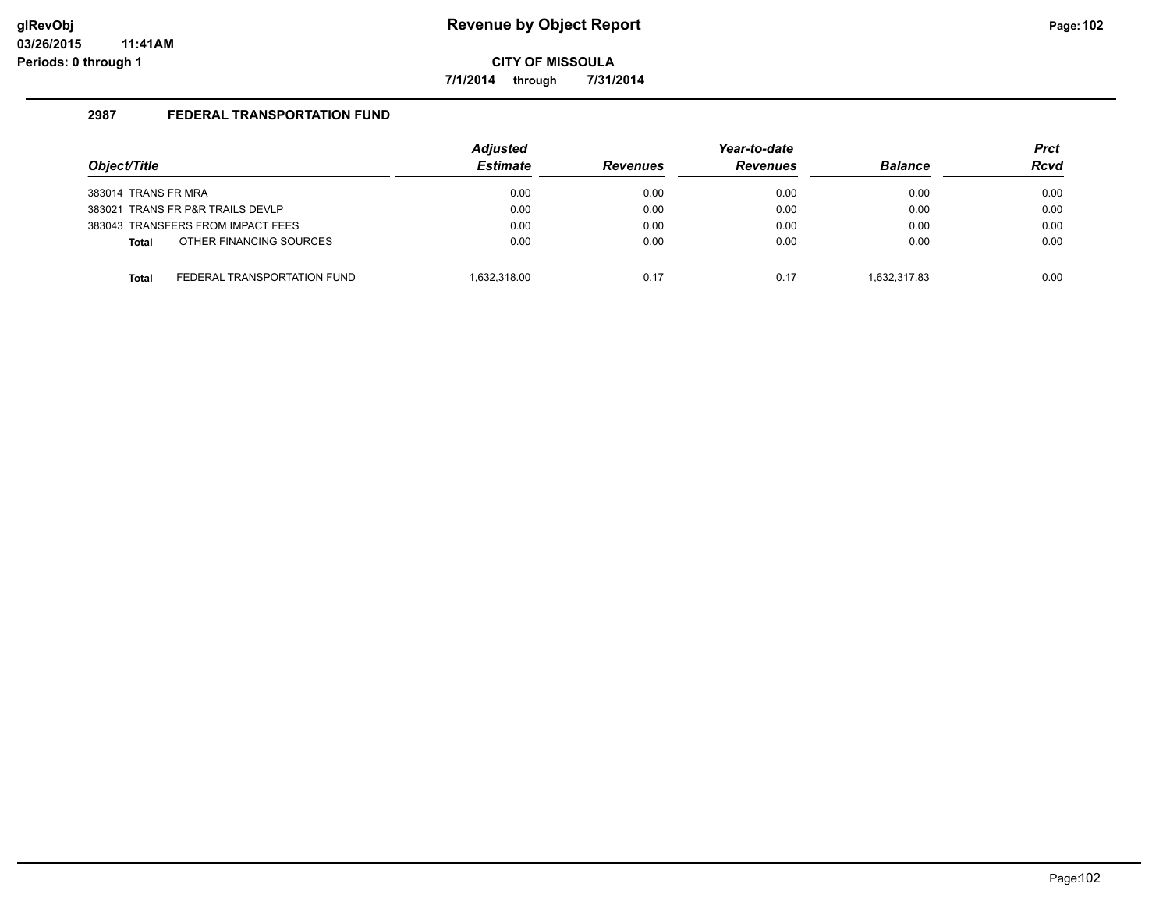**7/1/2014 through 7/31/2014**

| Object/Title        |                                   | <b>Adjusted</b><br><b>Estimate</b> | <b>Revenues</b> | Year-to-date<br><b>Revenues</b> | <b>Balance</b> | <b>Prct</b><br><b>Rcvd</b> |
|---------------------|-----------------------------------|------------------------------------|-----------------|---------------------------------|----------------|----------------------------|
| 383014 TRANS FR MRA |                                   | 0.00                               | 0.00            | 0.00                            | 0.00           | 0.00                       |
|                     | 383021 TRANS FR P&R TRAILS DEVLP  | 0.00                               | 0.00            | 0.00                            | 0.00           | 0.00                       |
|                     | 383043 TRANSFERS FROM IMPACT FEES | 0.00                               | 0.00            | 0.00                            | 0.00           | 0.00                       |
| <b>Total</b>        | OTHER FINANCING SOURCES           | 0.00                               | 0.00            | 0.00                            | 0.00           | 0.00                       |
| <b>Total</b>        | FEDERAL TRANSPORTATION FUND       | 1.632.318.00                       | 0.17            | 0.17                            | 1.632.317.83   | 0.00                       |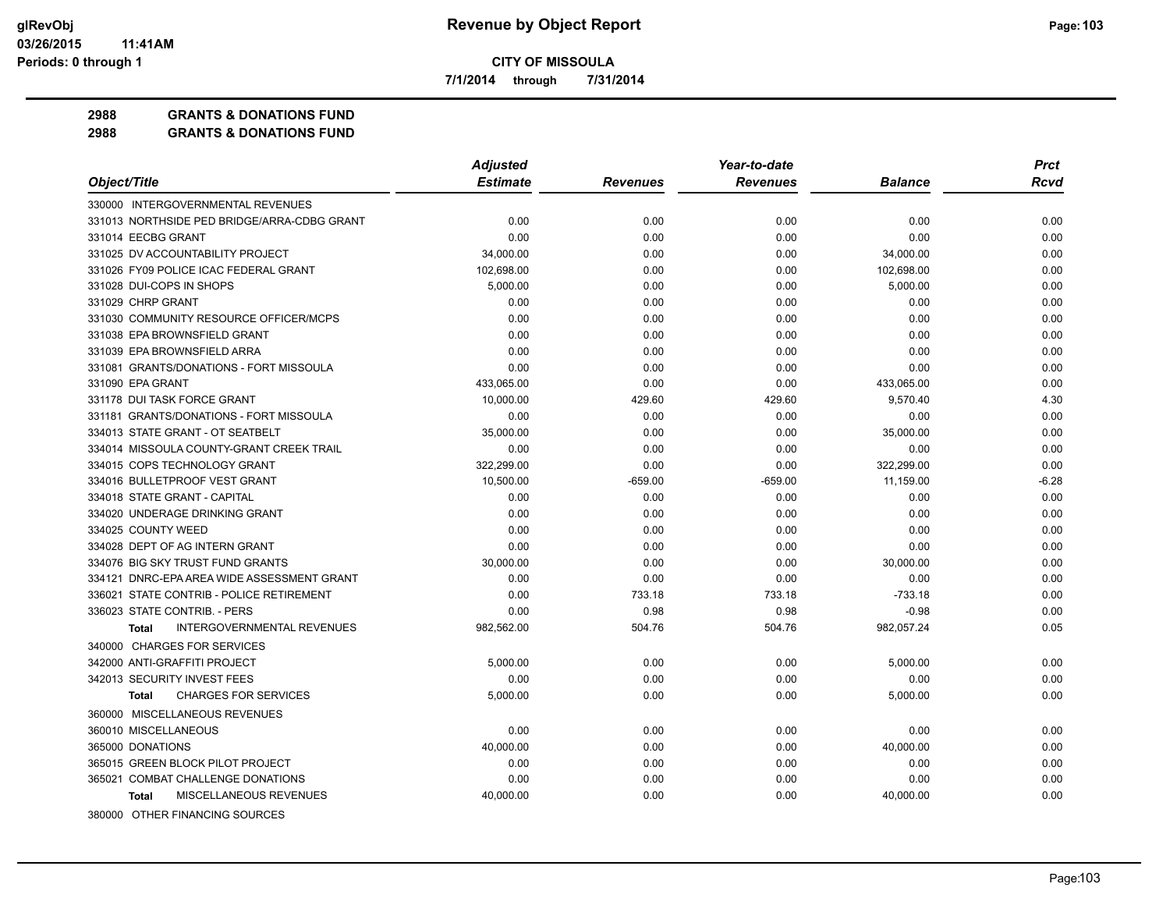**7/1/2014 through 7/31/2014**

**2988 GRANTS & DONATIONS FUND**

|                                                   | <b>Adjusted</b> | Year-to-date    |                 |                | <b>Prct</b> |
|---------------------------------------------------|-----------------|-----------------|-----------------|----------------|-------------|
| Object/Title                                      | <b>Estimate</b> | <b>Revenues</b> | <b>Revenues</b> | <b>Balance</b> | <b>Rcvd</b> |
| 330000 INTERGOVERNMENTAL REVENUES                 |                 |                 |                 |                |             |
| 331013 NORTHSIDE PED BRIDGE/ARRA-CDBG GRANT       | 0.00            | 0.00            | 0.00            | 0.00           | 0.00        |
| 331014 EECBG GRANT                                | 0.00            | 0.00            | 0.00            | 0.00           | 0.00        |
| 331025 DV ACCOUNTABILITY PROJECT                  | 34,000.00       | 0.00            | 0.00            | 34,000.00      | 0.00        |
| 331026 FY09 POLICE ICAC FEDERAL GRANT             | 102,698.00      | 0.00            | 0.00            | 102,698.00     | 0.00        |
| 331028 DUI-COPS IN SHOPS                          | 5,000.00        | 0.00            | 0.00            | 5,000.00       | 0.00        |
| 331029 CHRP GRANT                                 | 0.00            | 0.00            | 0.00            | 0.00           | 0.00        |
| 331030 COMMUNITY RESOURCE OFFICER/MCPS            | 0.00            | 0.00            | 0.00            | 0.00           | 0.00        |
| 331038 EPA BROWNSFIELD GRANT                      | 0.00            | 0.00            | 0.00            | 0.00           | 0.00        |
| 331039 EPA BROWNSFIELD ARRA                       | 0.00            | 0.00            | 0.00            | 0.00           | 0.00        |
| 331081 GRANTS/DONATIONS - FORT MISSOULA           | 0.00            | 0.00            | 0.00            | 0.00           | 0.00        |
| 331090 EPA GRANT                                  | 433,065.00      | 0.00            | 0.00            | 433,065.00     | 0.00        |
| 331178 DUI TASK FORCE GRANT                       | 10,000.00       | 429.60          | 429.60          | 9,570.40       | 4.30        |
| 331181 GRANTS/DONATIONS - FORT MISSOULA           | 0.00            | 0.00            | 0.00            | 0.00           | 0.00        |
| 334013 STATE GRANT - OT SEATBELT                  | 35,000.00       | 0.00            | 0.00            | 35,000.00      | 0.00        |
| 334014 MISSOULA COUNTY-GRANT CREEK TRAIL          | 0.00            | 0.00            | 0.00            | 0.00           | 0.00        |
| 334015 COPS TECHNOLOGY GRANT                      | 322,299.00      | 0.00            | 0.00            | 322,299.00     | 0.00        |
| 334016 BULLETPROOF VEST GRANT                     | 10,500.00       | $-659.00$       | $-659.00$       | 11,159.00      | $-6.28$     |
| 334018 STATE GRANT - CAPITAL                      | 0.00            | 0.00            | 0.00            | 0.00           | 0.00        |
| 334020 UNDERAGE DRINKING GRANT                    | 0.00            | 0.00            | 0.00            | 0.00           | 0.00        |
| 334025 COUNTY WEED                                | 0.00            | 0.00            | 0.00            | 0.00           | 0.00        |
| 334028 DEPT OF AG INTERN GRANT                    | 0.00            | 0.00            | 0.00            | 0.00           | 0.00        |
| 334076 BIG SKY TRUST FUND GRANTS                  | 30,000.00       | 0.00            | 0.00            | 30,000.00      | 0.00        |
| 334121 DNRC-EPA AREA WIDE ASSESSMENT GRANT        | 0.00            | 0.00            | 0.00            | 0.00           | 0.00        |
| 336021 STATE CONTRIB - POLICE RETIREMENT          | 0.00            | 733.18          | 733.18          | $-733.18$      | 0.00        |
| 336023 STATE CONTRIB. - PERS                      | 0.00            | 0.98            | 0.98            | $-0.98$        | 0.00        |
| <b>INTERGOVERNMENTAL REVENUES</b><br><b>Total</b> | 982,562.00      | 504.76          | 504.76          | 982,057.24     | 0.05        |
| 340000 CHARGES FOR SERVICES                       |                 |                 |                 |                |             |
| 342000 ANTI-GRAFFITI PROJECT                      | 5,000.00        | 0.00            | 0.00            | 5,000.00       | 0.00        |
| 342013 SECURITY INVEST FEES                       | 0.00            | 0.00            | 0.00            | 0.00           | 0.00        |
| <b>CHARGES FOR SERVICES</b><br><b>Total</b>       | 5.000.00        | 0.00            | 0.00            | 5,000.00       | 0.00        |
| 360000 MISCELLANEOUS REVENUES                     |                 |                 |                 |                |             |
| 360010 MISCELLANEOUS                              | 0.00            | 0.00            | 0.00            | 0.00           | 0.00        |
| 365000 DONATIONS                                  | 40,000.00       | 0.00            | 0.00            | 40,000.00      | 0.00        |
| 365015 GREEN BLOCK PILOT PROJECT                  | 0.00            | 0.00            | 0.00            | 0.00           | 0.00        |
| 365021 COMBAT CHALLENGE DONATIONS                 | 0.00            | 0.00            | 0.00            | 0.00           | 0.00        |
| MISCELLANEOUS REVENUES<br>Total                   | 40,000.00       | 0.00            | 0.00            | 40,000.00      | 0.00        |
| 380000 OTHER FINANCING SOURCES                    |                 |                 |                 |                |             |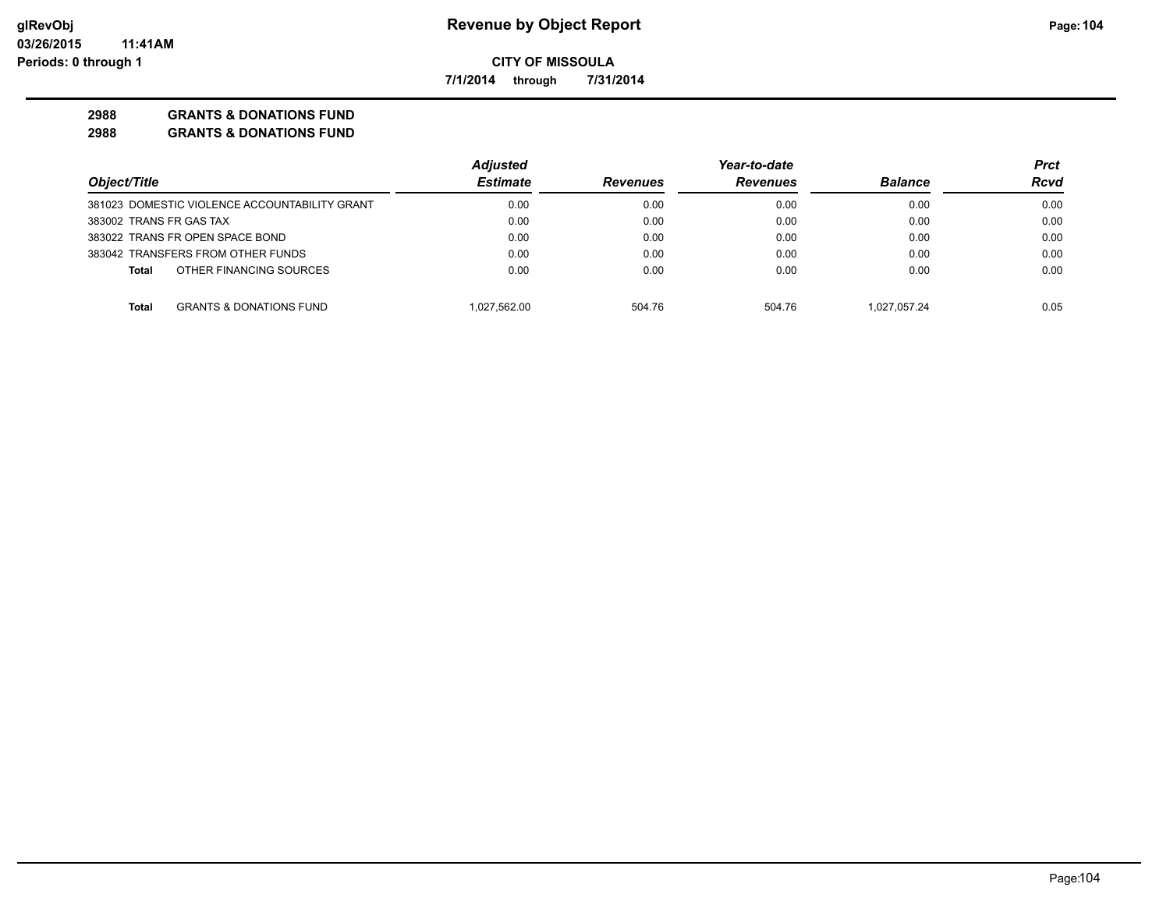**7/1/2014 through 7/31/2014**

## **2988 GRANTS & DONATIONS FUND**

|                                               | <b>Adjusted</b> |                 | Year-to-date    |                | Prct |
|-----------------------------------------------|-----------------|-----------------|-----------------|----------------|------|
| Object/Title                                  | <b>Estimate</b> | <b>Revenues</b> | <b>Revenues</b> | <b>Balance</b> | Rcvd |
| 381023 DOMESTIC VIOLENCE ACCOUNTABILITY GRANT | 0.00            | 0.00            | 0.00            | 0.00           | 0.00 |
| 383002 TRANS FR GAS TAX                       | 0.00            | 0.00            | 0.00            | 0.00           | 0.00 |
| 383022 TRANS FR OPEN SPACE BOND               | 0.00            | 0.00            | 0.00            | 0.00           | 0.00 |
| 383042 TRANSFERS FROM OTHER FUNDS             | 0.00            | 0.00            | 0.00            | 0.00           | 0.00 |
| OTHER FINANCING SOURCES<br><b>Total</b>       | 0.00            | 0.00            | 0.00            | 0.00           | 0.00 |
| <b>GRANTS &amp; DONATIONS FUND</b><br>Total   | 1.027.562.00    | 504.76          | 504.76          | 1.027.057.24   | 0.05 |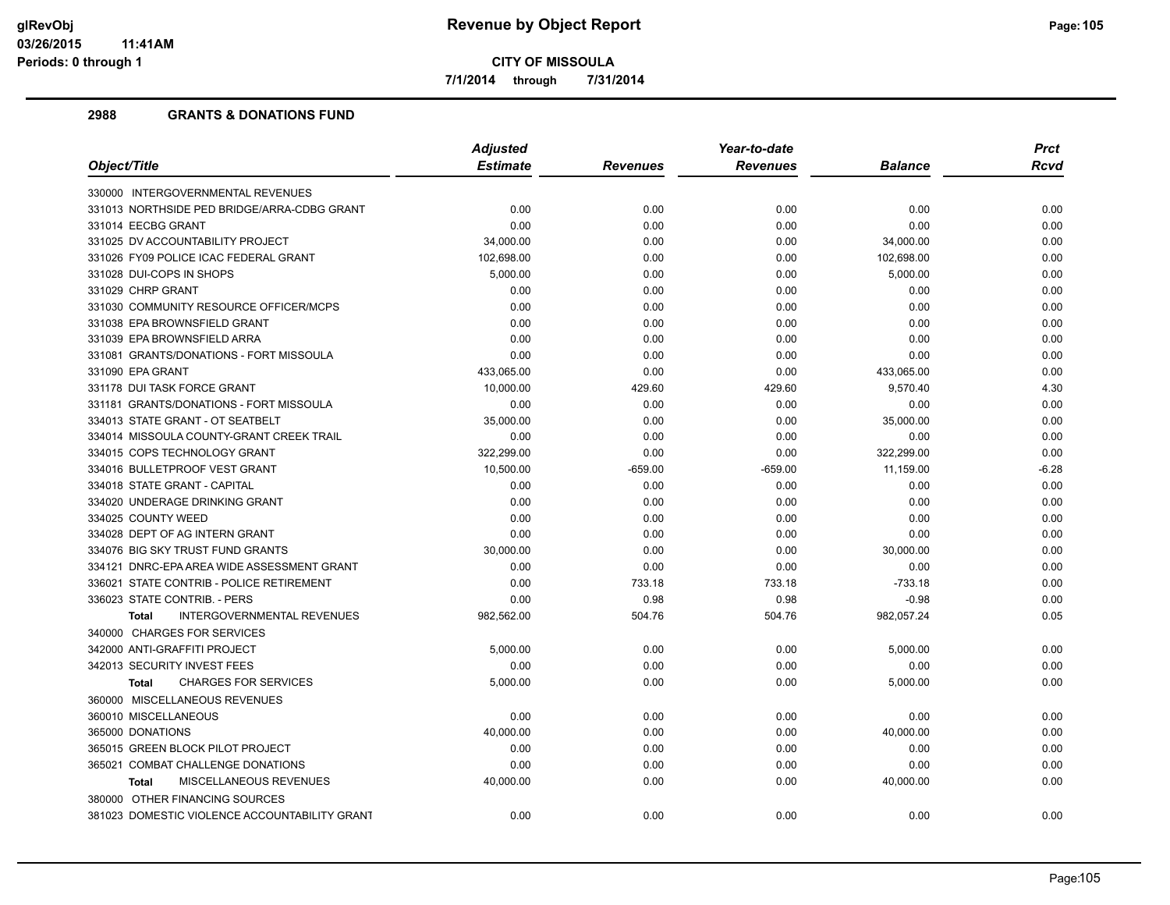**7/1/2014 through 7/31/2014**

|                                                   | <b>Adjusted</b> |                 | Year-to-date    |                | <b>Prct</b> |
|---------------------------------------------------|-----------------|-----------------|-----------------|----------------|-------------|
| Object/Title                                      | <b>Estimate</b> | <b>Revenues</b> | <b>Revenues</b> | <b>Balance</b> | Rcvd        |
| 330000 INTERGOVERNMENTAL REVENUES                 |                 |                 |                 |                |             |
| 331013 NORTHSIDE PED BRIDGE/ARRA-CDBG GRANT       | 0.00            | 0.00            | 0.00            | 0.00           | 0.00        |
| 331014 EECBG GRANT                                | 0.00            | 0.00            | 0.00            | 0.00           | 0.00        |
| 331025 DV ACCOUNTABILITY PROJECT                  | 34,000.00       | 0.00            | 0.00            | 34,000.00      | 0.00        |
| 331026 FY09 POLICE ICAC FEDERAL GRANT             | 102.698.00      | 0.00            | 0.00            | 102,698.00     | 0.00        |
| 331028 DUI-COPS IN SHOPS                          | 5,000.00        | 0.00            | 0.00            | 5,000.00       | 0.00        |
| 331029 CHRP GRANT                                 | 0.00            | 0.00            | 0.00            | 0.00           | 0.00        |
| 331030 COMMUNITY RESOURCE OFFICER/MCPS            | 0.00            | 0.00            | 0.00            | 0.00           | 0.00        |
| 331038 EPA BROWNSFIELD GRANT                      | 0.00            | 0.00            | 0.00            | 0.00           | 0.00        |
| 331039 EPA BROWNSFIELD ARRA                       | 0.00            | 0.00            | 0.00            | 0.00           | 0.00        |
| 331081 GRANTS/DONATIONS - FORT MISSOULA           | 0.00            | 0.00            | 0.00            | 0.00           | 0.00        |
| 331090 EPA GRANT                                  | 433,065.00      | 0.00            | 0.00            | 433,065.00     | 0.00        |
| 331178 DUI TASK FORCE GRANT                       | 10,000.00       | 429.60          | 429.60          | 9,570.40       | 4.30        |
| 331181 GRANTS/DONATIONS - FORT MISSOULA           | 0.00            | 0.00            | 0.00            | 0.00           | 0.00        |
| 334013 STATE GRANT - OT SEATBELT                  | 35,000.00       | 0.00            | 0.00            | 35,000.00      | 0.00        |
| 334014 MISSOULA COUNTY-GRANT CREEK TRAIL          | 0.00            | 0.00            | 0.00            | 0.00           | 0.00        |
| 334015 COPS TECHNOLOGY GRANT                      | 322.299.00      | 0.00            | 0.00            | 322,299.00     | 0.00        |
| 334016 BULLETPROOF VEST GRANT                     | 10,500.00       | $-659.00$       | $-659.00$       | 11,159.00      | $-6.28$     |
| 334018 STATE GRANT - CAPITAL                      | 0.00            | 0.00            | 0.00            | 0.00           | 0.00        |
| 334020 UNDERAGE DRINKING GRANT                    | 0.00            | 0.00            | 0.00            | 0.00           | 0.00        |
| 334025 COUNTY WEED                                | 0.00            | 0.00            | 0.00            | 0.00           | 0.00        |
| 334028 DEPT OF AG INTERN GRANT                    | 0.00            | 0.00            | 0.00            | 0.00           | 0.00        |
| 334076 BIG SKY TRUST FUND GRANTS                  | 30,000.00       | 0.00            | 0.00            | 30,000.00      | 0.00        |
| 334121 DNRC-EPA AREA WIDE ASSESSMENT GRANT        | 0.00            | 0.00            | 0.00            | 0.00           | 0.00        |
| 336021 STATE CONTRIB - POLICE RETIREMENT          | 0.00            | 733.18          | 733.18          | $-733.18$      | 0.00        |
| 336023 STATE CONTRIB. - PERS                      | 0.00            | 0.98            | 0.98            | $-0.98$        | 0.00        |
| <b>INTERGOVERNMENTAL REVENUES</b><br><b>Total</b> | 982,562.00      | 504.76          | 504.76          | 982,057.24     | 0.05        |
| 340000 CHARGES FOR SERVICES                       |                 |                 |                 |                |             |
| 342000 ANTI-GRAFFITI PROJECT                      | 5,000.00        | 0.00            | 0.00            | 5,000.00       | 0.00        |
| 342013 SECURITY INVEST FEES                       | 0.00            | 0.00            | 0.00            | 0.00           | 0.00        |
| <b>CHARGES FOR SERVICES</b><br><b>Total</b>       | 5,000.00        | 0.00            | 0.00            | 5,000.00       | 0.00        |
| 360000 MISCELLANEOUS REVENUES                     |                 |                 |                 |                |             |
| 360010 MISCELLANEOUS                              | 0.00            | 0.00            | 0.00            | 0.00           | 0.00        |
| 365000 DONATIONS                                  | 40,000.00       | 0.00            | 0.00            | 40,000.00      | 0.00        |
| 365015 GREEN BLOCK PILOT PROJECT                  | 0.00            | 0.00            | 0.00            | 0.00           | 0.00        |
| 365021 COMBAT CHALLENGE DONATIONS                 | 0.00            | 0.00            | 0.00            | 0.00           | 0.00        |
| MISCELLANEOUS REVENUES<br><b>Total</b>            | 40,000.00       | 0.00            | 0.00            | 40,000.00      | 0.00        |
| 380000 OTHER FINANCING SOURCES                    |                 |                 |                 |                |             |
| 381023 DOMESTIC VIOLENCE ACCOUNTABILITY GRANT     | 0.00            | 0.00            | 0.00            | 0.00           | 0.00        |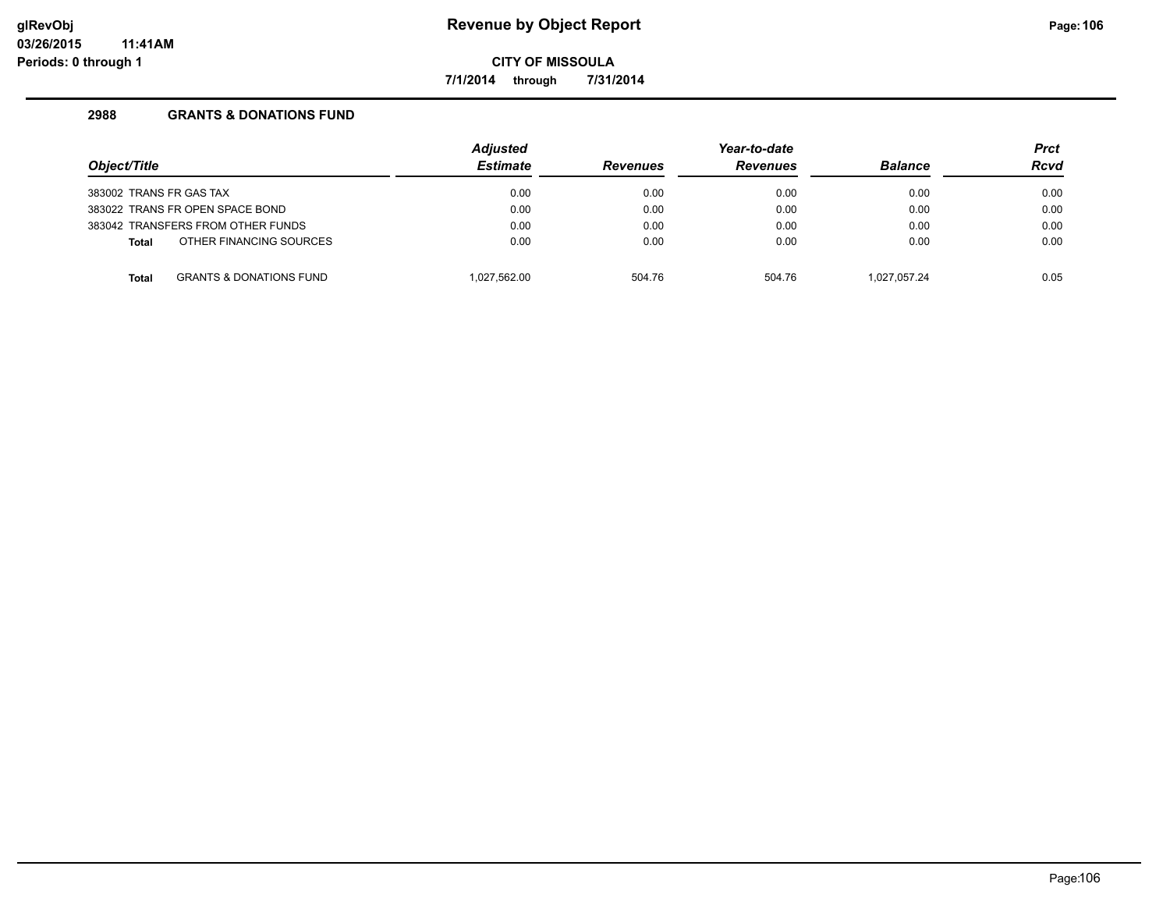**7/1/2014 through 7/31/2014**

| Object/Title            |                                    | <b>Adjusted</b><br><b>Estimate</b> | <b>Revenues</b> | Year-to-date<br><b>Revenues</b> | <b>Balance</b> | <b>Prct</b><br><b>Rcvd</b> |
|-------------------------|------------------------------------|------------------------------------|-----------------|---------------------------------|----------------|----------------------------|
| 383002 TRANS FR GAS TAX |                                    | 0.00                               | 0.00            | 0.00                            | 0.00           | 0.00                       |
|                         | 383022 TRANS FR OPEN SPACE BOND    | 0.00                               | 0.00            | 0.00                            | 0.00           | 0.00                       |
|                         | 383042 TRANSFERS FROM OTHER FUNDS  | 0.00                               | 0.00            | 0.00                            | 0.00           | 0.00                       |
| <b>Total</b>            | OTHER FINANCING SOURCES            | 0.00                               | 0.00            | 0.00                            | 0.00           | 0.00                       |
| Total                   | <b>GRANTS &amp; DONATIONS FUND</b> | 1,027,562.00                       | 504.76          | 504.76                          | 1.027.057.24   | 0.05                       |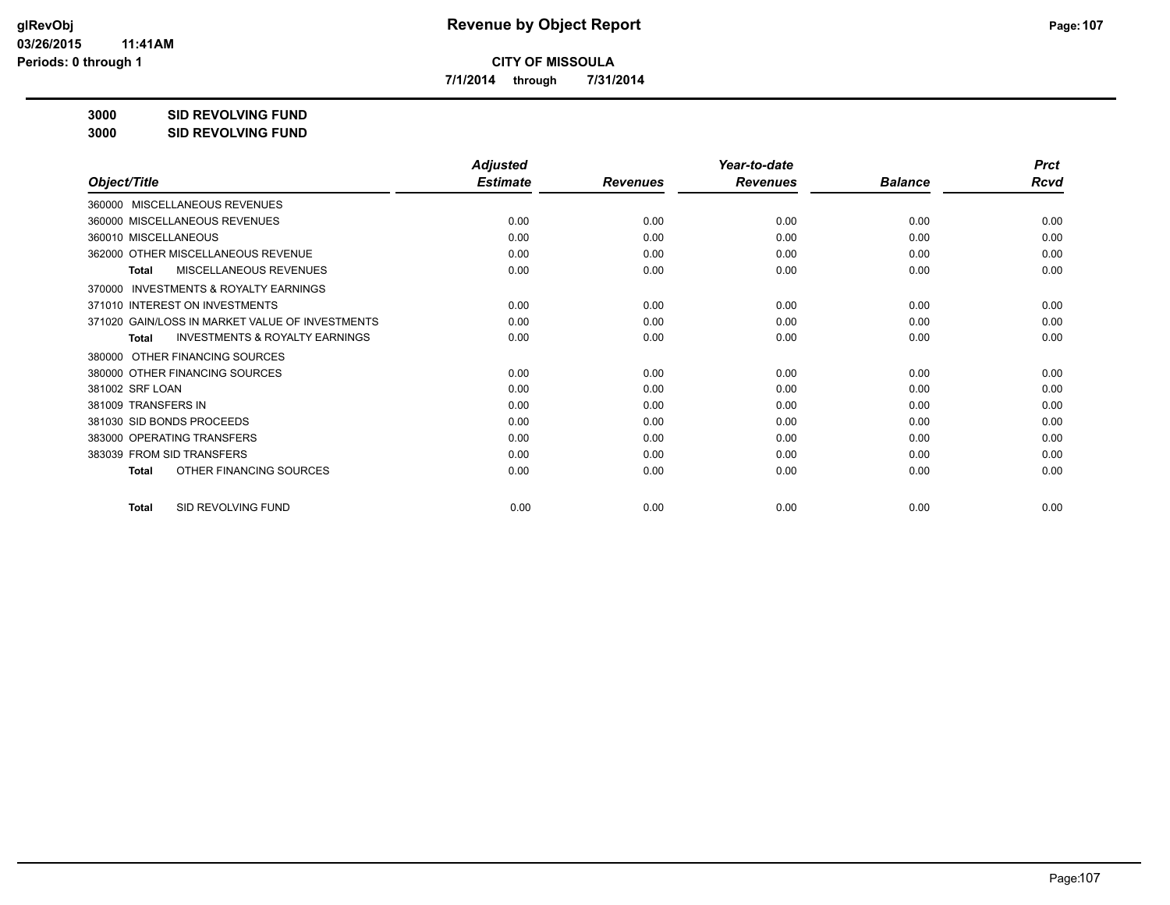**7/1/2014 through 7/31/2014**

**3000 SID REVOLVING FUND**

|                                                           | <b>Adjusted</b> |                 | Year-to-date    |                | <b>Prct</b> |
|-----------------------------------------------------------|-----------------|-----------------|-----------------|----------------|-------------|
| Object/Title                                              | <b>Estimate</b> | <b>Revenues</b> | <b>Revenues</b> | <b>Balance</b> | <b>Rcvd</b> |
| 360000 MISCELLANEOUS REVENUES                             |                 |                 |                 |                |             |
| 360000 MISCELLANEOUS REVENUES                             | 0.00            | 0.00            | 0.00            | 0.00           | 0.00        |
| 360010 MISCELLANEOUS                                      | 0.00            | 0.00            | 0.00            | 0.00           | 0.00        |
| 362000 OTHER MISCELLANEOUS REVENUE                        | 0.00            | 0.00            | 0.00            | 0.00           | 0.00        |
| MISCELLANEOUS REVENUES<br><b>Total</b>                    | 0.00            | 0.00            | 0.00            | 0.00           | 0.00        |
| <b>INVESTMENTS &amp; ROYALTY EARNINGS</b><br>370000       |                 |                 |                 |                |             |
| 371010 INTEREST ON INVESTMENTS                            | 0.00            | 0.00            | 0.00            | 0.00           | 0.00        |
| 371020 GAIN/LOSS IN MARKET VALUE OF INVESTMENTS           | 0.00            | 0.00            | 0.00            | 0.00           | 0.00        |
| <b>INVESTMENTS &amp; ROYALTY EARNINGS</b><br><b>Total</b> | 0.00            | 0.00            | 0.00            | 0.00           | 0.00        |
| OTHER FINANCING SOURCES<br>380000                         |                 |                 |                 |                |             |
| 380000 OTHER FINANCING SOURCES                            | 0.00            | 0.00            | 0.00            | 0.00           | 0.00        |
| 381002 SRF LOAN                                           | 0.00            | 0.00            | 0.00            | 0.00           | 0.00        |
| 381009 TRANSFERS IN                                       | 0.00            | 0.00            | 0.00            | 0.00           | 0.00        |
| 381030 SID BONDS PROCEEDS                                 | 0.00            | 0.00            | 0.00            | 0.00           | 0.00        |
| 383000 OPERATING TRANSFERS                                | 0.00            | 0.00            | 0.00            | 0.00           | 0.00        |
| 383039 FROM SID TRANSFERS                                 | 0.00            | 0.00            | 0.00            | 0.00           | 0.00        |
| OTHER FINANCING SOURCES<br><b>Total</b>                   | 0.00            | 0.00            | 0.00            | 0.00           | 0.00        |
| SID REVOLVING FUND<br><b>Total</b>                        | 0.00            | 0.00            | 0.00            | 0.00           | 0.00        |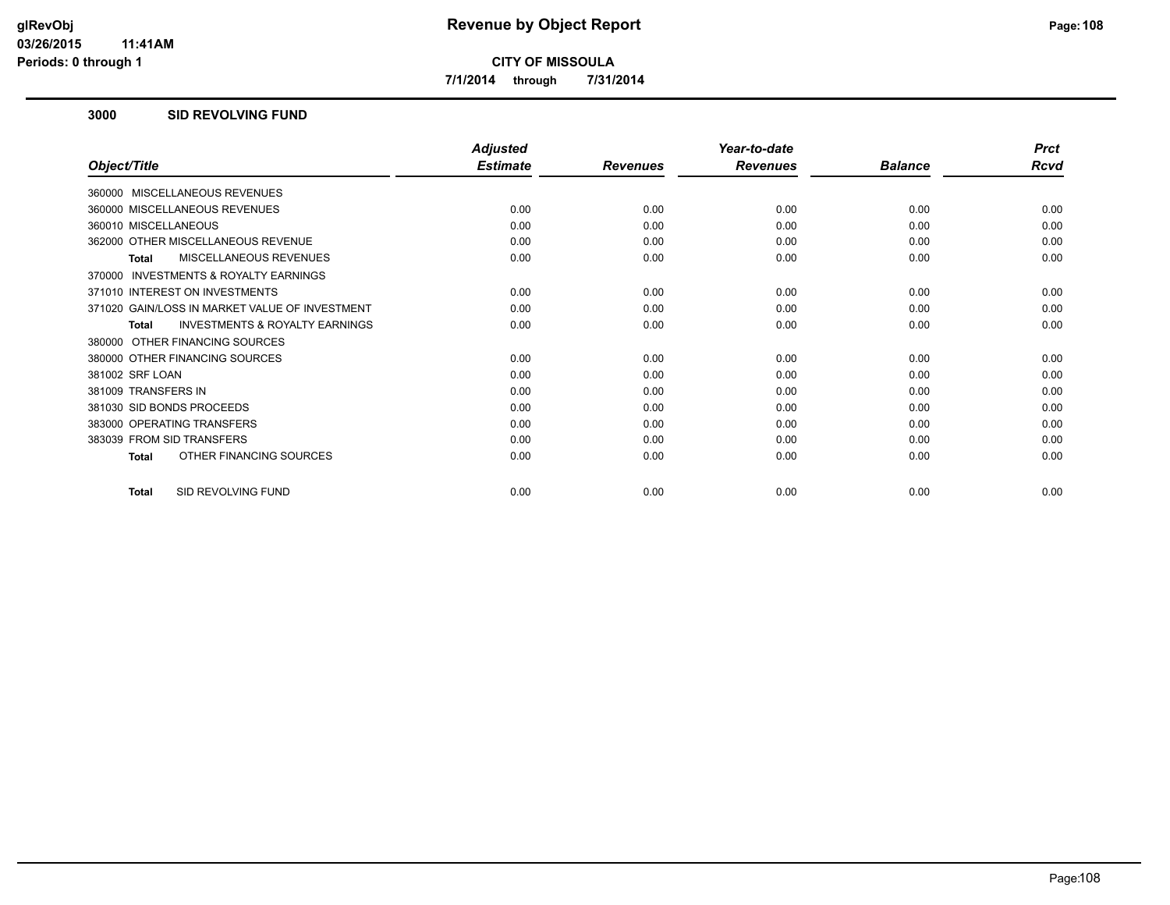**7/1/2014 through 7/31/2014**

### **3000 SID REVOLVING FUND**

|                                                           | <b>Adjusted</b> |                 | Year-to-date    |                | <b>Prct</b> |
|-----------------------------------------------------------|-----------------|-----------------|-----------------|----------------|-------------|
| Object/Title                                              | <b>Estimate</b> | <b>Revenues</b> | <b>Revenues</b> | <b>Balance</b> | Rcvd        |
| 360000 MISCELLANEOUS REVENUES                             |                 |                 |                 |                |             |
| 360000 MISCELLANEOUS REVENUES                             | 0.00            | 0.00            | 0.00            | 0.00           | 0.00        |
| 360010 MISCELLANEOUS                                      | 0.00            | 0.00            | 0.00            | 0.00           | 0.00        |
| 362000 OTHER MISCELLANEOUS REVENUE                        | 0.00            | 0.00            | 0.00            | 0.00           | 0.00        |
| <b>MISCELLANEOUS REVENUES</b><br><b>Total</b>             | 0.00            | 0.00            | 0.00            | 0.00           | 0.00        |
| <b>INVESTMENTS &amp; ROYALTY EARNINGS</b><br>370000       |                 |                 |                 |                |             |
| 371010 INTEREST ON INVESTMENTS                            | 0.00            | 0.00            | 0.00            | 0.00           | 0.00        |
| 371020 GAIN/LOSS IN MARKET VALUE OF INVESTMENT            | 0.00            | 0.00            | 0.00            | 0.00           | 0.00        |
| <b>INVESTMENTS &amp; ROYALTY EARNINGS</b><br><b>Total</b> | 0.00            | 0.00            | 0.00            | 0.00           | 0.00        |
| 380000 OTHER FINANCING SOURCES                            |                 |                 |                 |                |             |
| 380000 OTHER FINANCING SOURCES                            | 0.00            | 0.00            | 0.00            | 0.00           | 0.00        |
| 381002 SRF LOAN                                           | 0.00            | 0.00            | 0.00            | 0.00           | 0.00        |
| 381009 TRANSFERS IN                                       | 0.00            | 0.00            | 0.00            | 0.00           | 0.00        |
| 381030 SID BONDS PROCEEDS                                 | 0.00            | 0.00            | 0.00            | 0.00           | 0.00        |
| 383000 OPERATING TRANSFERS                                | 0.00            | 0.00            | 0.00            | 0.00           | 0.00        |
| 383039 FROM SID TRANSFERS                                 | 0.00            | 0.00            | 0.00            | 0.00           | 0.00        |
| OTHER FINANCING SOURCES<br><b>Total</b>                   | 0.00            | 0.00            | 0.00            | 0.00           | 0.00        |
| SID REVOLVING FUND<br><b>Total</b>                        | 0.00            | 0.00            | 0.00            | 0.00           | 0.00        |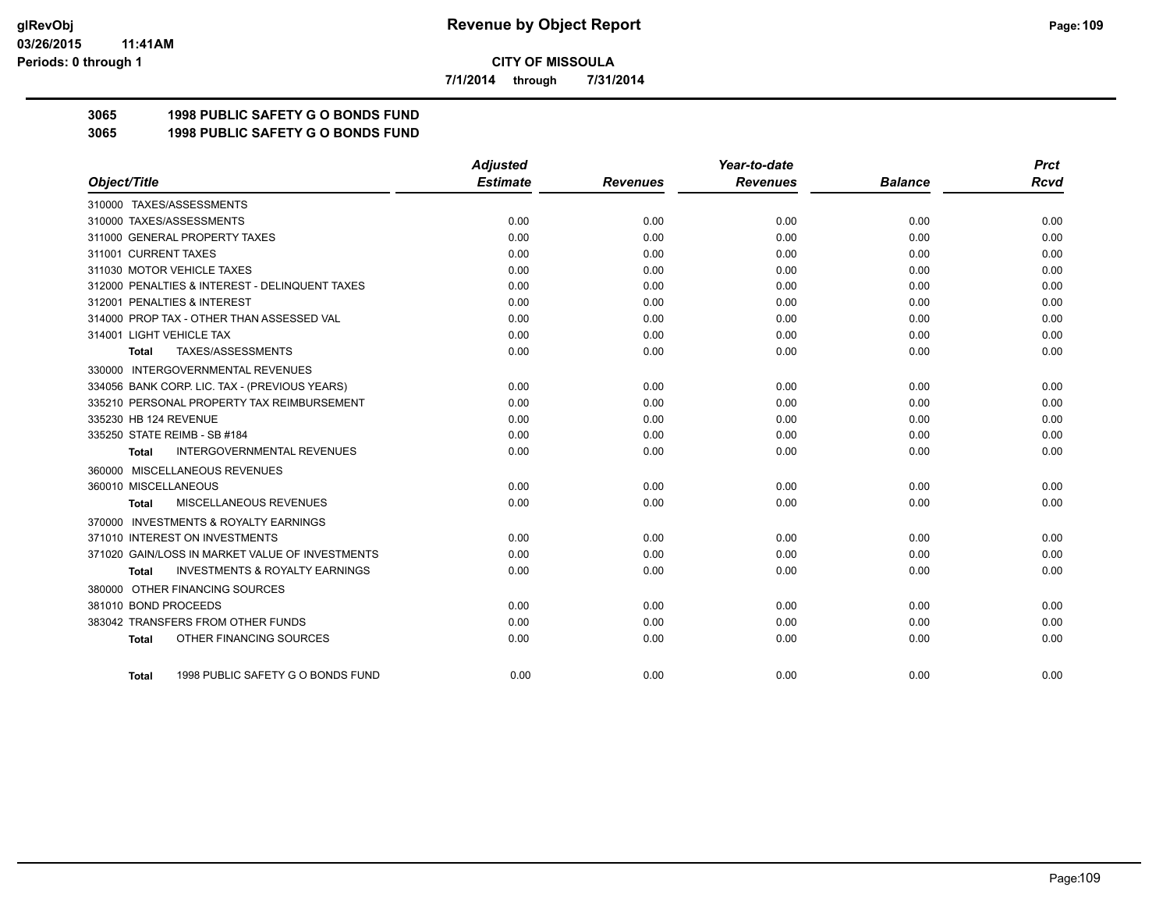**7/1/2014 through 7/31/2014**

## **3065 1998 PUBLIC SAFETY G O BONDS FUND**

**3065 1998 PUBLIC SAFETY G O BONDS FUND**

|                                                     | <b>Adjusted</b> |                 | Year-to-date    |                | <b>Prct</b> |
|-----------------------------------------------------|-----------------|-----------------|-----------------|----------------|-------------|
| Object/Title                                        | <b>Estimate</b> | <b>Revenues</b> | <b>Revenues</b> | <b>Balance</b> | <b>Rcvd</b> |
| 310000 TAXES/ASSESSMENTS                            |                 |                 |                 |                |             |
| 310000 TAXES/ASSESSMENTS                            | 0.00            | 0.00            | 0.00            | 0.00           | 0.00        |
| 311000 GENERAL PROPERTY TAXES                       | 0.00            | 0.00            | 0.00            | 0.00           | 0.00        |
| 311001 CURRENT TAXES                                | 0.00            | 0.00            | 0.00            | 0.00           | 0.00        |
| 311030 MOTOR VEHICLE TAXES                          | 0.00            | 0.00            | 0.00            | 0.00           | 0.00        |
| 312000 PENALTIES & INTEREST - DELINQUENT TAXES      | 0.00            | 0.00            | 0.00            | 0.00           | 0.00        |
| 312001 PENALTIES & INTEREST                         | 0.00            | 0.00            | 0.00            | 0.00           | 0.00        |
| 314000 PROP TAX - OTHER THAN ASSESSED VAL           | 0.00            | 0.00            | 0.00            | 0.00           | 0.00        |
| 314001 LIGHT VEHICLE TAX                            | 0.00            | 0.00            | 0.00            | 0.00           | 0.00        |
| TAXES/ASSESSMENTS<br>Total                          | 0.00            | 0.00            | 0.00            | 0.00           | 0.00        |
| 330000 INTERGOVERNMENTAL REVENUES                   |                 |                 |                 |                |             |
| 334056 BANK CORP. LIC. TAX - (PREVIOUS YEARS)       | 0.00            | 0.00            | 0.00            | 0.00           | 0.00        |
| 335210 PERSONAL PROPERTY TAX REIMBURSEMENT          | 0.00            | 0.00            | 0.00            | 0.00           | 0.00        |
| 335230 HB 124 REVENUE                               | 0.00            | 0.00            | 0.00            | 0.00           | 0.00        |
| 335250 STATE REIMB - SB #184                        | 0.00            | 0.00            | 0.00            | 0.00           | 0.00        |
| <b>INTERGOVERNMENTAL REVENUES</b><br><b>Total</b>   | 0.00            | 0.00            | 0.00            | 0.00           | 0.00        |
| 360000 MISCELLANEOUS REVENUES                       |                 |                 |                 |                |             |
| 360010 MISCELLANEOUS                                | 0.00            | 0.00            | 0.00            | 0.00           | 0.00        |
| <b>MISCELLANEOUS REVENUES</b><br>Total              | 0.00            | 0.00            | 0.00            | 0.00           | 0.00        |
| <b>INVESTMENTS &amp; ROYALTY EARNINGS</b><br>370000 |                 |                 |                 |                |             |
| 371010 INTEREST ON INVESTMENTS                      | 0.00            | 0.00            | 0.00            | 0.00           | 0.00        |
| 371020 GAIN/LOSS IN MARKET VALUE OF INVESTMENTS     | 0.00            | 0.00            | 0.00            | 0.00           | 0.00        |
| <b>INVESTMENTS &amp; ROYALTY EARNINGS</b><br>Total  | 0.00            | 0.00            | 0.00            | 0.00           | 0.00        |
| 380000 OTHER FINANCING SOURCES                      |                 |                 |                 |                |             |
| 381010 BOND PROCEEDS                                | 0.00            | 0.00            | 0.00            | 0.00           | 0.00        |
| 383042 TRANSFERS FROM OTHER FUNDS                   | 0.00            | 0.00            | 0.00            | 0.00           | 0.00        |
| OTHER FINANCING SOURCES<br><b>Total</b>             | 0.00            | 0.00            | 0.00            | 0.00           | 0.00        |
|                                                     |                 |                 |                 |                |             |
| 1998 PUBLIC SAFETY G O BONDS FUND<br>Total          | 0.00            | 0.00            | 0.00            | 0.00           | 0.00        |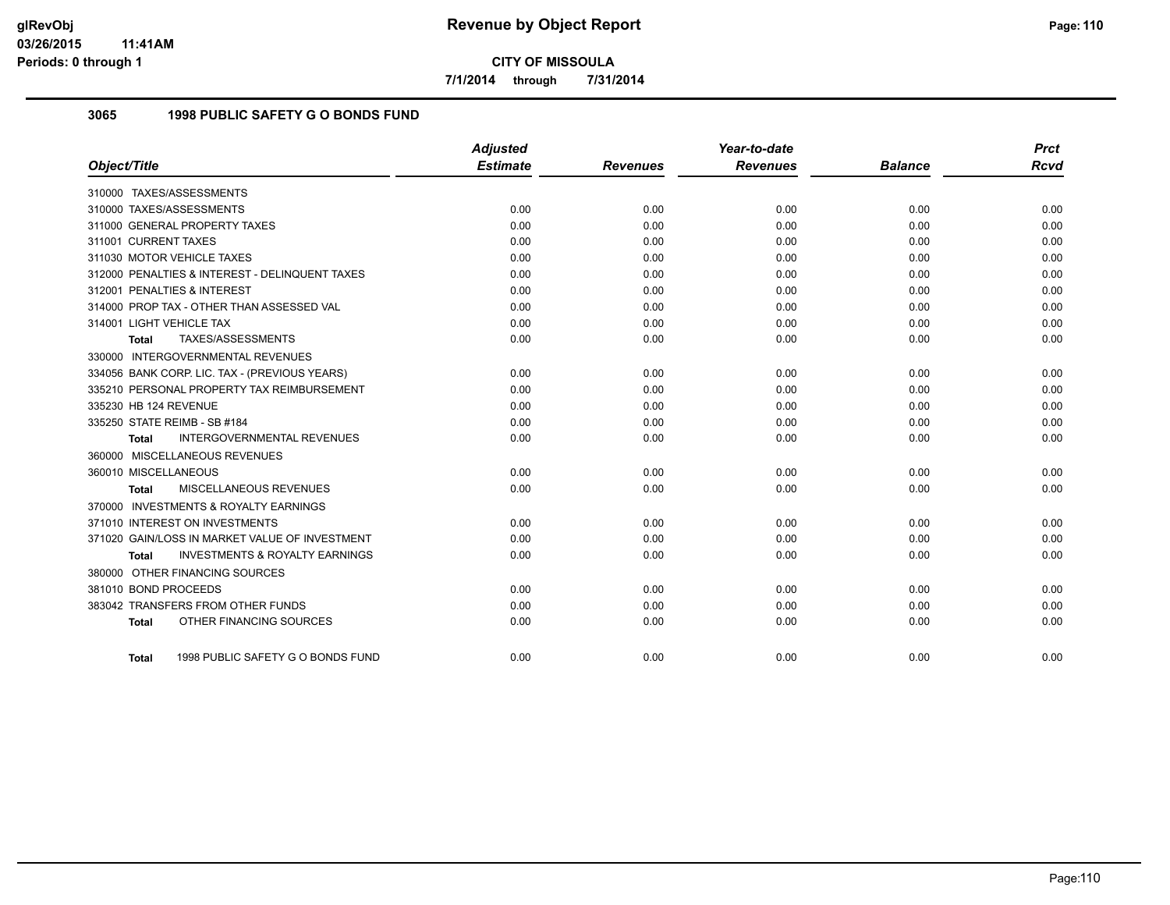**7/1/2014 through 7/31/2014**

## **3065 1998 PUBLIC SAFETY G O BONDS FUND**

|                                                    | <b>Adjusted</b> |                 | Year-to-date    |                | <b>Prct</b> |
|----------------------------------------------------|-----------------|-----------------|-----------------|----------------|-------------|
| Object/Title                                       | <b>Estimate</b> | <b>Revenues</b> | <b>Revenues</b> | <b>Balance</b> | <b>Rcvd</b> |
| 310000 TAXES/ASSESSMENTS                           |                 |                 |                 |                |             |
| 310000 TAXES/ASSESSMENTS                           | 0.00            | 0.00            | 0.00            | 0.00           | 0.00        |
| 311000 GENERAL PROPERTY TAXES                      | 0.00            | 0.00            | 0.00            | 0.00           | 0.00        |
| 311001 CURRENT TAXES                               | 0.00            | 0.00            | 0.00            | 0.00           | 0.00        |
| 311030 MOTOR VEHICLE TAXES                         | 0.00            | 0.00            | 0.00            | 0.00           | 0.00        |
| 312000 PENALTIES & INTEREST - DELINQUENT TAXES     | 0.00            | 0.00            | 0.00            | 0.00           | 0.00        |
| 312001 PENALTIES & INTEREST                        | 0.00            | 0.00            | 0.00            | 0.00           | 0.00        |
| 314000 PROP TAX - OTHER THAN ASSESSED VAL          | 0.00            | 0.00            | 0.00            | 0.00           | 0.00        |
| 314001 LIGHT VEHICLE TAX                           | 0.00            | 0.00            | 0.00            | 0.00           | 0.00        |
| TAXES/ASSESSMENTS<br><b>Total</b>                  | 0.00            | 0.00            | 0.00            | 0.00           | 0.00        |
| 330000 INTERGOVERNMENTAL REVENUES                  |                 |                 |                 |                |             |
| 334056 BANK CORP. LIC. TAX - (PREVIOUS YEARS)      | 0.00            | 0.00            | 0.00            | 0.00           | 0.00        |
| 335210 PERSONAL PROPERTY TAX REIMBURSEMENT         | 0.00            | 0.00            | 0.00            | 0.00           | 0.00        |
| 335230 HB 124 REVENUE                              | 0.00            | 0.00            | 0.00            | 0.00           | 0.00        |
| 335250 STATE REIMB - SB #184                       | 0.00            | 0.00            | 0.00            | 0.00           | 0.00        |
| <b>INTERGOVERNMENTAL REVENUES</b><br>Total         | 0.00            | 0.00            | 0.00            | 0.00           | 0.00        |
| 360000 MISCELLANEOUS REVENUES                      |                 |                 |                 |                |             |
| 360010 MISCELLANEOUS                               | 0.00            | 0.00            | 0.00            | 0.00           | 0.00        |
| MISCELLANEOUS REVENUES<br><b>Total</b>             | 0.00            | 0.00            | 0.00            | 0.00           | 0.00        |
| 370000 INVESTMENTS & ROYALTY EARNINGS              |                 |                 |                 |                |             |
| 371010 INTEREST ON INVESTMENTS                     | 0.00            | 0.00            | 0.00            | 0.00           | 0.00        |
| 371020 GAIN/LOSS IN MARKET VALUE OF INVESTMENT     | 0.00            | 0.00            | 0.00            | 0.00           | 0.00        |
| <b>INVESTMENTS &amp; ROYALTY EARNINGS</b><br>Total | 0.00            | 0.00            | 0.00            | 0.00           | 0.00        |
| 380000 OTHER FINANCING SOURCES                     |                 |                 |                 |                |             |
| 381010 BOND PROCEEDS                               | 0.00            | 0.00            | 0.00            | 0.00           | 0.00        |
| 383042 TRANSFERS FROM OTHER FUNDS                  | 0.00            | 0.00            | 0.00            | 0.00           | 0.00        |
| OTHER FINANCING SOURCES<br><b>Total</b>            | 0.00            | 0.00            | 0.00            | 0.00           | 0.00        |
|                                                    |                 |                 |                 |                |             |
| 1998 PUBLIC SAFETY G O BONDS FUND<br><b>Total</b>  | 0.00            | 0.00            | 0.00            | 0.00           | 0.00        |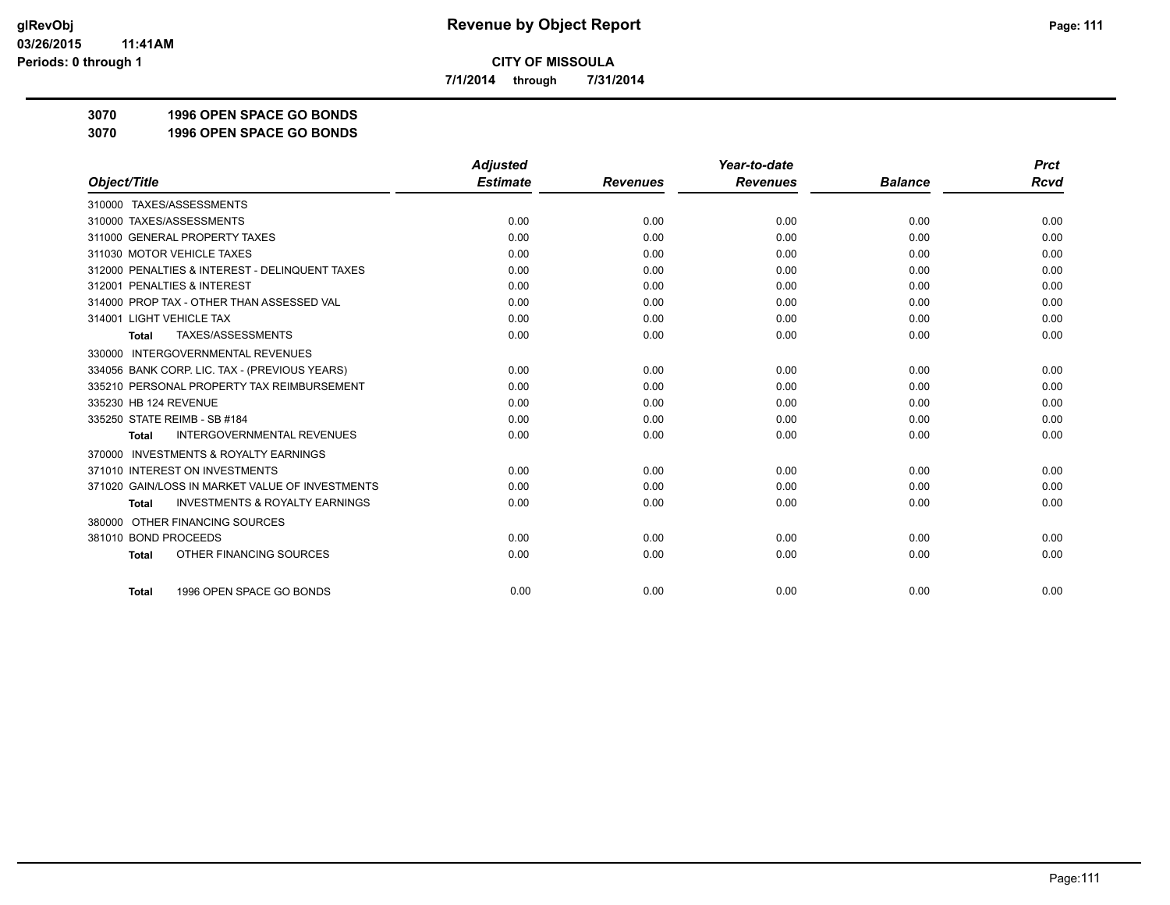**7/1/2014 through 7/31/2014**

**3070 1996 OPEN SPACE GO BONDS**

**3070 1996 OPEN SPACE GO BONDS**

|                                                           | <b>Adjusted</b> |                 | Year-to-date    |                | <b>Prct</b> |
|-----------------------------------------------------------|-----------------|-----------------|-----------------|----------------|-------------|
| Object/Title                                              | <b>Estimate</b> | <b>Revenues</b> | <b>Revenues</b> | <b>Balance</b> | <b>Rcvd</b> |
| 310000 TAXES/ASSESSMENTS                                  |                 |                 |                 |                |             |
| 310000 TAXES/ASSESSMENTS                                  | 0.00            | 0.00            | 0.00            | 0.00           | 0.00        |
| 311000 GENERAL PROPERTY TAXES                             | 0.00            | 0.00            | 0.00            | 0.00           | 0.00        |
| 311030 MOTOR VEHICLE TAXES                                | 0.00            | 0.00            | 0.00            | 0.00           | 0.00        |
| 312000 PENALTIES & INTEREST - DELINQUENT TAXES            | 0.00            | 0.00            | 0.00            | 0.00           | 0.00        |
| 312001 PENALTIES & INTEREST                               | 0.00            | 0.00            | 0.00            | 0.00           | 0.00        |
| 314000 PROP TAX - OTHER THAN ASSESSED VAL                 | 0.00            | 0.00            | 0.00            | 0.00           | 0.00        |
| 314001 LIGHT VEHICLE TAX                                  | 0.00            | 0.00            | 0.00            | 0.00           | 0.00        |
| TAXES/ASSESSMENTS<br><b>Total</b>                         | 0.00            | 0.00            | 0.00            | 0.00           | 0.00        |
| 330000 INTERGOVERNMENTAL REVENUES                         |                 |                 |                 |                |             |
| 334056 BANK CORP. LIC. TAX - (PREVIOUS YEARS)             | 0.00            | 0.00            | 0.00            | 0.00           | 0.00        |
| 335210 PERSONAL PROPERTY TAX REIMBURSEMENT                | 0.00            | 0.00            | 0.00            | 0.00           | 0.00        |
| 335230 HB 124 REVENUE                                     | 0.00            | 0.00            | 0.00            | 0.00           | 0.00        |
| 335250 STATE REIMB - SB #184                              | 0.00            | 0.00            | 0.00            | 0.00           | 0.00        |
| <b>INTERGOVERNMENTAL REVENUES</b><br><b>Total</b>         | 0.00            | 0.00            | 0.00            | 0.00           | 0.00        |
| <b>INVESTMENTS &amp; ROYALTY EARNINGS</b><br>370000       |                 |                 |                 |                |             |
| 371010 INTEREST ON INVESTMENTS                            | 0.00            | 0.00            | 0.00            | 0.00           | 0.00        |
| 371020 GAIN/LOSS IN MARKET VALUE OF INVESTMENTS           | 0.00            | 0.00            | 0.00            | 0.00           | 0.00        |
| <b>INVESTMENTS &amp; ROYALTY EARNINGS</b><br><b>Total</b> | 0.00            | 0.00            | 0.00            | 0.00           | 0.00        |
| OTHER FINANCING SOURCES<br>380000                         |                 |                 |                 |                |             |
| 381010 BOND PROCEEDS                                      | 0.00            | 0.00            | 0.00            | 0.00           | 0.00        |
| OTHER FINANCING SOURCES<br><b>Total</b>                   | 0.00            | 0.00            | 0.00            | 0.00           | 0.00        |
| 1996 OPEN SPACE GO BONDS<br><b>Total</b>                  | 0.00            | 0.00            | 0.00            | 0.00           | 0.00        |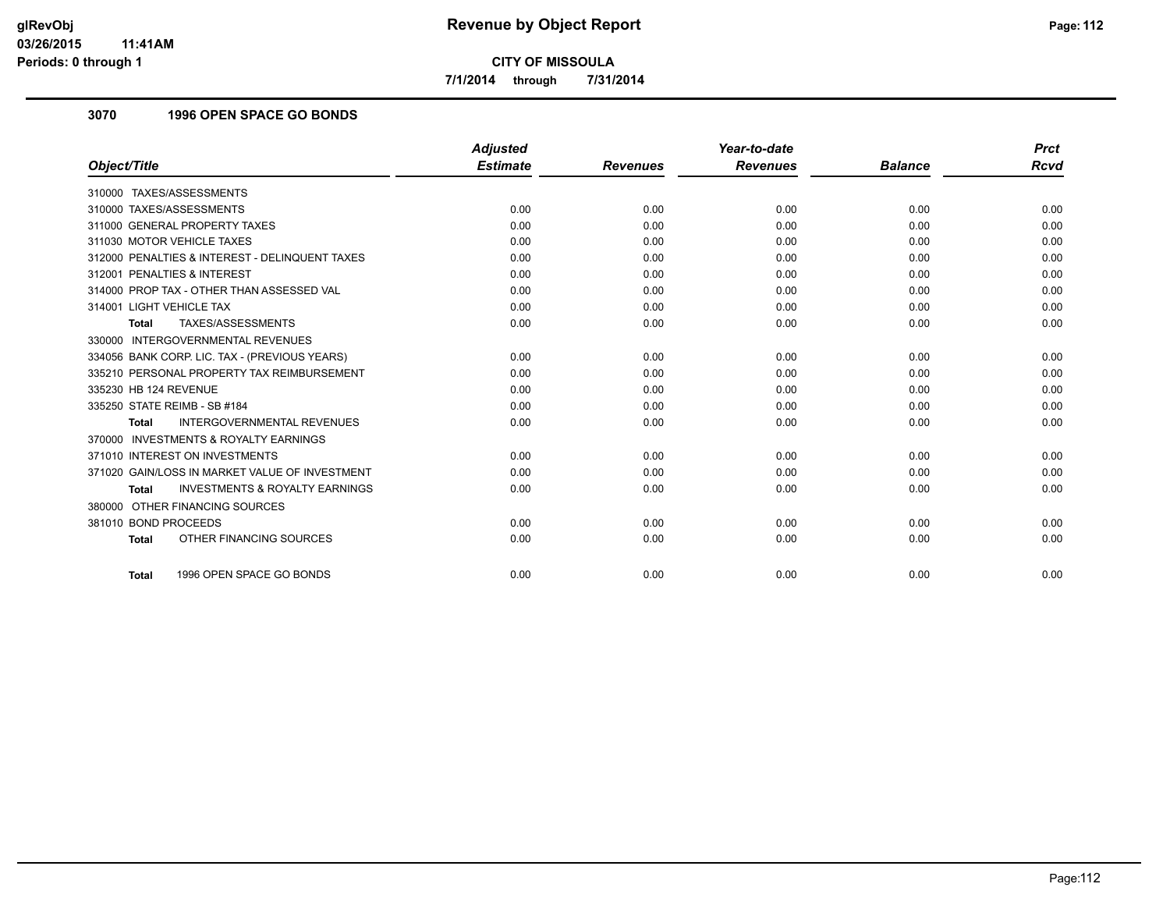**7/1/2014 through 7/31/2014**

## **3070 1996 OPEN SPACE GO BONDS**

|                                                           | <b>Adjusted</b> |                 | Year-to-date    |                | <b>Prct</b> |
|-----------------------------------------------------------|-----------------|-----------------|-----------------|----------------|-------------|
| Object/Title                                              | <b>Estimate</b> | <b>Revenues</b> | <b>Revenues</b> | <b>Balance</b> | <b>Rcvd</b> |
| 310000 TAXES/ASSESSMENTS                                  |                 |                 |                 |                |             |
| 310000 TAXES/ASSESSMENTS                                  | 0.00            | 0.00            | 0.00            | 0.00           | 0.00        |
| 311000 GENERAL PROPERTY TAXES                             | 0.00            | 0.00            | 0.00            | 0.00           | 0.00        |
| 311030 MOTOR VEHICLE TAXES                                | 0.00            | 0.00            | 0.00            | 0.00           | 0.00        |
| 312000 PENALTIES & INTEREST - DELINQUENT TAXES            | 0.00            | 0.00            | 0.00            | 0.00           | 0.00        |
| 312001 PENALTIES & INTEREST                               | 0.00            | 0.00            | 0.00            | 0.00           | 0.00        |
| 314000 PROP TAX - OTHER THAN ASSESSED VAL                 | 0.00            | 0.00            | 0.00            | 0.00           | 0.00        |
| 314001 LIGHT VEHICLE TAX                                  | 0.00            | 0.00            | 0.00            | 0.00           | 0.00        |
| TAXES/ASSESSMENTS<br><b>Total</b>                         | 0.00            | 0.00            | 0.00            | 0.00           | 0.00        |
| 330000 INTERGOVERNMENTAL REVENUES                         |                 |                 |                 |                |             |
| 334056 BANK CORP. LIC. TAX - (PREVIOUS YEARS)             | 0.00            | 0.00            | 0.00            | 0.00           | 0.00        |
| 335210 PERSONAL PROPERTY TAX REIMBURSEMENT                | 0.00            | 0.00            | 0.00            | 0.00           | 0.00        |
| 335230 HB 124 REVENUE                                     | 0.00            | 0.00            | 0.00            | 0.00           | 0.00        |
| 335250 STATE REIMB - SB #184                              | 0.00            | 0.00            | 0.00            | 0.00           | 0.00        |
| <b>INTERGOVERNMENTAL REVENUES</b><br><b>Total</b>         | 0.00            | 0.00            | 0.00            | 0.00           | 0.00        |
| 370000 INVESTMENTS & ROYALTY EARNINGS                     |                 |                 |                 |                |             |
| 371010 INTEREST ON INVESTMENTS                            | 0.00            | 0.00            | 0.00            | 0.00           | 0.00        |
| 371020 GAIN/LOSS IN MARKET VALUE OF INVESTMENT            | 0.00            | 0.00            | 0.00            | 0.00           | 0.00        |
| <b>INVESTMENTS &amp; ROYALTY EARNINGS</b><br><b>Total</b> | 0.00            | 0.00            | 0.00            | 0.00           | 0.00        |
| 380000 OTHER FINANCING SOURCES                            |                 |                 |                 |                |             |
| 381010 BOND PROCEEDS                                      | 0.00            | 0.00            | 0.00            | 0.00           | 0.00        |
| OTHER FINANCING SOURCES<br><b>Total</b>                   | 0.00            | 0.00            | 0.00            | 0.00           | 0.00        |
|                                                           |                 |                 |                 |                |             |
| 1996 OPEN SPACE GO BONDS<br><b>Total</b>                  | 0.00            | 0.00            | 0.00            | 0.00           | 0.00        |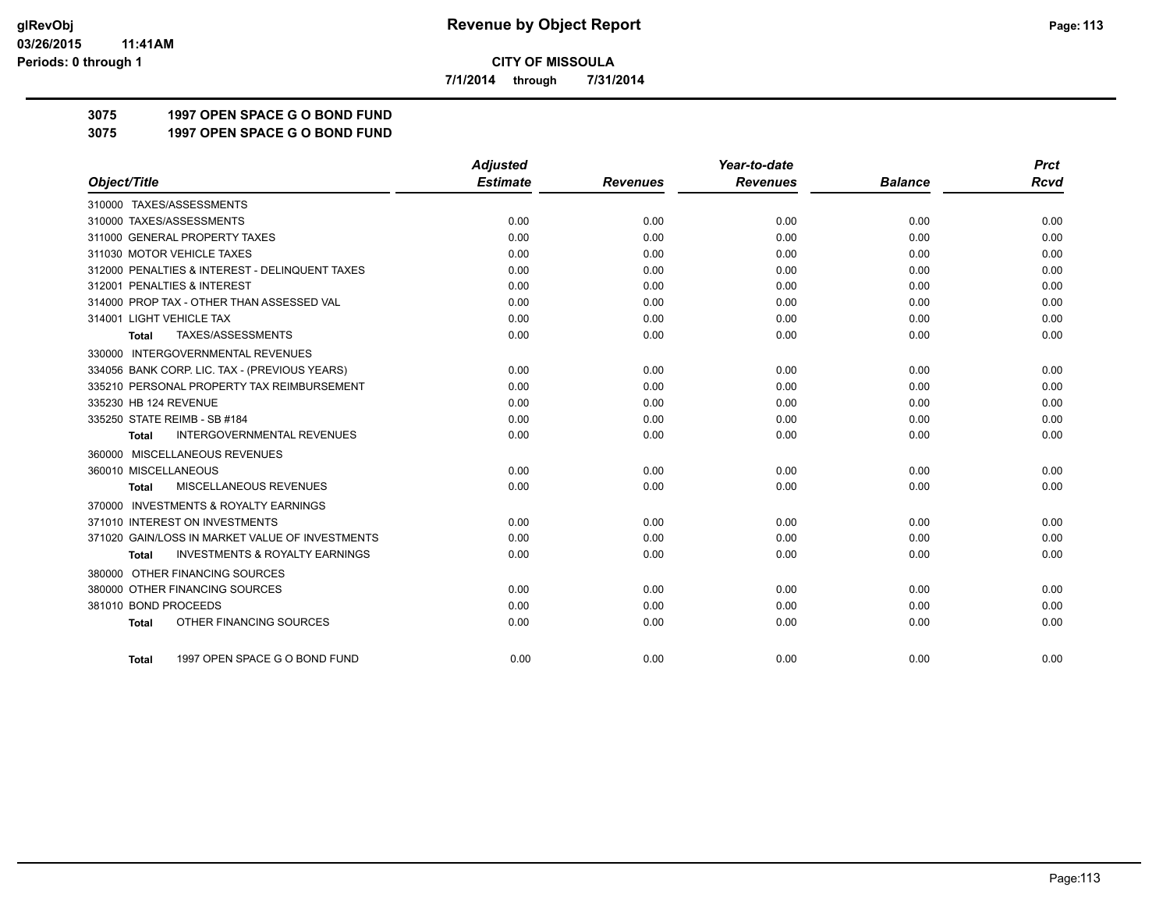**7/1/2014 through 7/31/2014**

## **3075 1997 OPEN SPACE G O BOND FUND**

**3075 1997 OPEN SPACE G O BOND FUND**

|                                                           | <b>Adjusted</b> |                 | Year-to-date    |                | <b>Prct</b> |
|-----------------------------------------------------------|-----------------|-----------------|-----------------|----------------|-------------|
| Object/Title                                              | <b>Estimate</b> | <b>Revenues</b> | <b>Revenues</b> | <b>Balance</b> | <b>Rcvd</b> |
| 310000 TAXES/ASSESSMENTS                                  |                 |                 |                 |                |             |
| 310000 TAXES/ASSESSMENTS                                  | 0.00            | 0.00            | 0.00            | 0.00           | 0.00        |
| 311000 GENERAL PROPERTY TAXES                             | 0.00            | 0.00            | 0.00            | 0.00           | 0.00        |
| 311030 MOTOR VEHICLE TAXES                                | 0.00            | 0.00            | 0.00            | 0.00           | 0.00        |
| 312000 PENALTIES & INTEREST - DELINQUENT TAXES            | 0.00            | 0.00            | 0.00            | 0.00           | 0.00        |
| 312001 PENALTIES & INTEREST                               | 0.00            | 0.00            | 0.00            | 0.00           | 0.00        |
| 314000 PROP TAX - OTHER THAN ASSESSED VAL                 | 0.00            | 0.00            | 0.00            | 0.00           | 0.00        |
| 314001 LIGHT VEHICLE TAX                                  | 0.00            | 0.00            | 0.00            | 0.00           | 0.00        |
| TAXES/ASSESSMENTS<br>Total                                | 0.00            | 0.00            | 0.00            | 0.00           | 0.00        |
| 330000 INTERGOVERNMENTAL REVENUES                         |                 |                 |                 |                |             |
| 334056 BANK CORP. LIC. TAX - (PREVIOUS YEARS)             | 0.00            | 0.00            | 0.00            | 0.00           | 0.00        |
| 335210 PERSONAL PROPERTY TAX REIMBURSEMENT                | 0.00            | 0.00            | 0.00            | 0.00           | 0.00        |
| 335230 HB 124 REVENUE                                     | 0.00            | 0.00            | 0.00            | 0.00           | 0.00        |
| 335250 STATE REIMB - SB #184                              | 0.00            | 0.00            | 0.00            | 0.00           | 0.00        |
| <b>INTERGOVERNMENTAL REVENUES</b><br><b>Total</b>         | 0.00            | 0.00            | 0.00            | 0.00           | 0.00        |
| 360000 MISCELLANEOUS REVENUES                             |                 |                 |                 |                |             |
| 360010 MISCELLANEOUS                                      | 0.00            | 0.00            | 0.00            | 0.00           | 0.00        |
| MISCELLANEOUS REVENUES<br><b>Total</b>                    | 0.00            | 0.00            | 0.00            | 0.00           | 0.00        |
| 370000 INVESTMENTS & ROYALTY EARNINGS                     |                 |                 |                 |                |             |
| 371010 INTEREST ON INVESTMENTS                            | 0.00            | 0.00            | 0.00            | 0.00           | 0.00        |
| 371020 GAIN/LOSS IN MARKET VALUE OF INVESTMENTS           | 0.00            | 0.00            | 0.00            | 0.00           | 0.00        |
| <b>INVESTMENTS &amp; ROYALTY EARNINGS</b><br><b>Total</b> | 0.00            | 0.00            | 0.00            | 0.00           | 0.00        |
| 380000 OTHER FINANCING SOURCES                            |                 |                 |                 |                |             |
| 380000 OTHER FINANCING SOURCES                            | 0.00            | 0.00            | 0.00            | 0.00           | 0.00        |
| 381010 BOND PROCEEDS                                      | 0.00            | 0.00            | 0.00            | 0.00           | 0.00        |
| OTHER FINANCING SOURCES<br><b>Total</b>                   | 0.00            | 0.00            | 0.00            | 0.00           | 0.00        |
|                                                           |                 |                 |                 |                |             |
| 1997 OPEN SPACE G O BOND FUND<br><b>Total</b>             | 0.00            | 0.00            | 0.00            | 0.00           | 0.00        |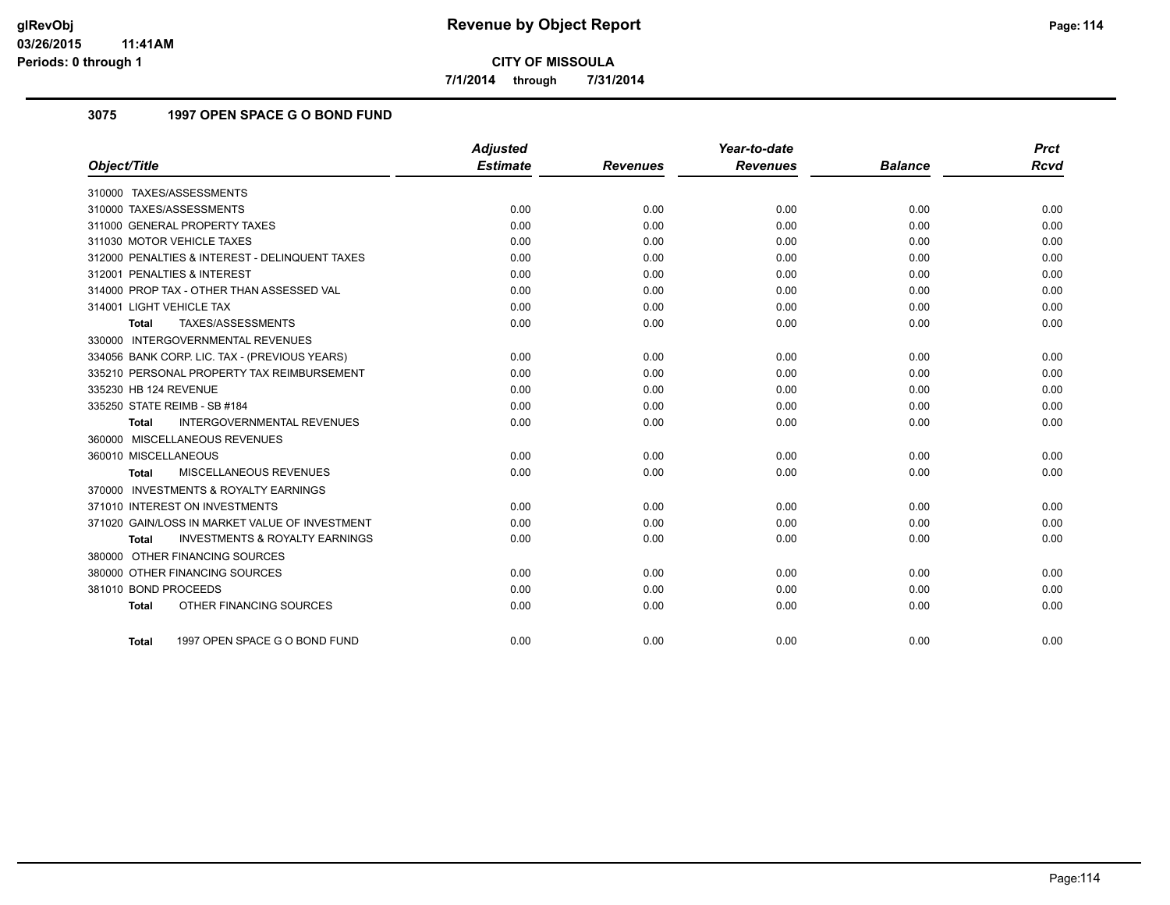**7/1/2014 through 7/31/2014**

## **3075 1997 OPEN SPACE G O BOND FUND**

|                                                           | <b>Adjusted</b> |                 | Year-to-date    |                | <b>Prct</b> |
|-----------------------------------------------------------|-----------------|-----------------|-----------------|----------------|-------------|
| Object/Title                                              | <b>Estimate</b> | <b>Revenues</b> | <b>Revenues</b> | <b>Balance</b> | <b>Rcvd</b> |
| 310000 TAXES/ASSESSMENTS                                  |                 |                 |                 |                |             |
| 310000 TAXES/ASSESSMENTS                                  | 0.00            | 0.00            | 0.00            | 0.00           | 0.00        |
| 311000 GENERAL PROPERTY TAXES                             | 0.00            | 0.00            | 0.00            | 0.00           | 0.00        |
| 311030 MOTOR VEHICLE TAXES                                | 0.00            | 0.00            | 0.00            | 0.00           | 0.00        |
| 312000 PENALTIES & INTEREST - DELINQUENT TAXES            | 0.00            | 0.00            | 0.00            | 0.00           | 0.00        |
| 312001 PENALTIES & INTEREST                               | 0.00            | 0.00            | 0.00            | 0.00           | 0.00        |
| 314000 PROP TAX - OTHER THAN ASSESSED VAL                 | 0.00            | 0.00            | 0.00            | 0.00           | 0.00        |
| 314001 LIGHT VEHICLE TAX                                  | 0.00            | 0.00            | 0.00            | 0.00           | 0.00        |
| TAXES/ASSESSMENTS<br><b>Total</b>                         | 0.00            | 0.00            | 0.00            | 0.00           | 0.00        |
| 330000 INTERGOVERNMENTAL REVENUES                         |                 |                 |                 |                |             |
| 334056 BANK CORP. LIC. TAX - (PREVIOUS YEARS)             | 0.00            | 0.00            | 0.00            | 0.00           | 0.00        |
| 335210 PERSONAL PROPERTY TAX REIMBURSEMENT                | 0.00            | 0.00            | 0.00            | 0.00           | 0.00        |
| 335230 HB 124 REVENUE                                     | 0.00            | 0.00            | 0.00            | 0.00           | 0.00        |
| 335250 STATE REIMB - SB #184                              | 0.00            | 0.00            | 0.00            | 0.00           | 0.00        |
| INTERGOVERNMENTAL REVENUES<br><b>Total</b>                | 0.00            | 0.00            | 0.00            | 0.00           | 0.00        |
| 360000 MISCELLANEOUS REVENUES                             |                 |                 |                 |                |             |
| 360010 MISCELLANEOUS                                      | 0.00            | 0.00            | 0.00            | 0.00           | 0.00        |
| MISCELLANEOUS REVENUES<br>Total                           | 0.00            | 0.00            | 0.00            | 0.00           | 0.00        |
| 370000 INVESTMENTS & ROYALTY EARNINGS                     |                 |                 |                 |                |             |
| 371010 INTEREST ON INVESTMENTS                            | 0.00            | 0.00            | 0.00            | 0.00           | 0.00        |
| 371020 GAIN/LOSS IN MARKET VALUE OF INVESTMENT            | 0.00            | 0.00            | 0.00            | 0.00           | 0.00        |
| <b>INVESTMENTS &amp; ROYALTY EARNINGS</b><br><b>Total</b> | 0.00            | 0.00            | 0.00            | 0.00           | 0.00        |
| 380000 OTHER FINANCING SOURCES                            |                 |                 |                 |                |             |
| 380000 OTHER FINANCING SOURCES                            | 0.00            | 0.00            | 0.00            | 0.00           | 0.00        |
| 381010 BOND PROCEEDS                                      | 0.00            | 0.00            | 0.00            | 0.00           | 0.00        |
| OTHER FINANCING SOURCES<br><b>Total</b>                   | 0.00            | 0.00            | 0.00            | 0.00           | 0.00        |
| 1997 OPEN SPACE G O BOND FUND<br>Total                    | 0.00            | 0.00            | 0.00            | 0.00           | 0.00        |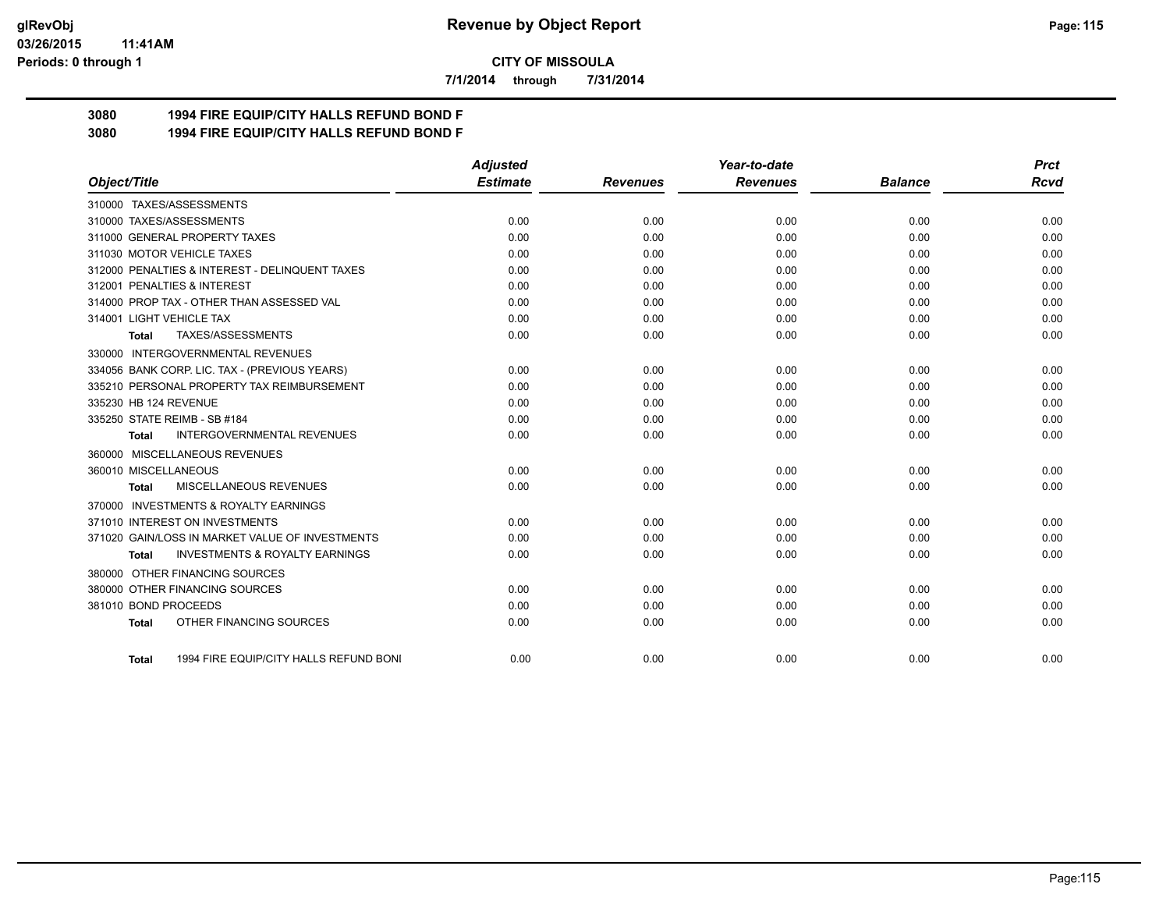#### **03/26/2015 11:41AM Periods: 0 through 1**

**CITY OF MISSOULA**

**7/1/2014 through 7/31/2014**

## **3080 1994 FIRE EQUIP/CITY HALLS REFUND BOND F**

**3080 1994 FIRE EQUIP/CITY HALLS REFUND BOND F**

|                                                           | <b>Adjusted</b> |                 | Year-to-date    |                | <b>Prct</b> |
|-----------------------------------------------------------|-----------------|-----------------|-----------------|----------------|-------------|
| Object/Title                                              | <b>Estimate</b> | <b>Revenues</b> | <b>Revenues</b> | <b>Balance</b> | <b>Rcvd</b> |
| 310000 TAXES/ASSESSMENTS                                  |                 |                 |                 |                |             |
| 310000 TAXES/ASSESSMENTS                                  | 0.00            | 0.00            | 0.00            | 0.00           | 0.00        |
| 311000 GENERAL PROPERTY TAXES                             | 0.00            | 0.00            | 0.00            | 0.00           | 0.00        |
| 311030 MOTOR VEHICLE TAXES                                | 0.00            | 0.00            | 0.00            | 0.00           | 0.00        |
| 312000 PENALTIES & INTEREST - DELINQUENT TAXES            | 0.00            | 0.00            | 0.00            | 0.00           | 0.00        |
| 312001 PENALTIES & INTEREST                               | 0.00            | 0.00            | 0.00            | 0.00           | 0.00        |
| 314000 PROP TAX - OTHER THAN ASSESSED VAL                 | 0.00            | 0.00            | 0.00            | 0.00           | 0.00        |
| 314001 LIGHT VEHICLE TAX                                  | 0.00            | 0.00            | 0.00            | 0.00           | 0.00        |
| TAXES/ASSESSMENTS<br>Total                                | 0.00            | 0.00            | 0.00            | 0.00           | 0.00        |
| 330000 INTERGOVERNMENTAL REVENUES                         |                 |                 |                 |                |             |
| 334056 BANK CORP. LIC. TAX - (PREVIOUS YEARS)             | 0.00            | 0.00            | 0.00            | 0.00           | 0.00        |
| 335210 PERSONAL PROPERTY TAX REIMBURSEMENT                | 0.00            | 0.00            | 0.00            | 0.00           | 0.00        |
| 335230 HB 124 REVENUE                                     | 0.00            | 0.00            | 0.00            | 0.00           | 0.00        |
| 335250 STATE REIMB - SB #184                              | 0.00            | 0.00            | 0.00            | 0.00           | 0.00        |
| <b>INTERGOVERNMENTAL REVENUES</b><br>Total                | 0.00            | 0.00            | 0.00            | 0.00           | 0.00        |
| 360000 MISCELLANEOUS REVENUES                             |                 |                 |                 |                |             |
| 360010 MISCELLANEOUS                                      | 0.00            | 0.00            | 0.00            | 0.00           | 0.00        |
| MISCELLANEOUS REVENUES<br><b>Total</b>                    | 0.00            | 0.00            | 0.00            | 0.00           | 0.00        |
| <b>INVESTMENTS &amp; ROYALTY EARNINGS</b><br>370000       |                 |                 |                 |                |             |
| 371010 INTEREST ON INVESTMENTS                            | 0.00            | 0.00            | 0.00            | 0.00           | 0.00        |
| 371020 GAIN/LOSS IN MARKET VALUE OF INVESTMENTS           | 0.00            | 0.00            | 0.00            | 0.00           | 0.00        |
| <b>INVESTMENTS &amp; ROYALTY EARNINGS</b><br><b>Total</b> | 0.00            | 0.00            | 0.00            | 0.00           | 0.00        |
| 380000 OTHER FINANCING SOURCES                            |                 |                 |                 |                |             |
| 380000 OTHER FINANCING SOURCES                            | 0.00            | 0.00            | 0.00            | 0.00           | 0.00        |
| 381010 BOND PROCEEDS                                      | 0.00            | 0.00            | 0.00            | 0.00           | 0.00        |
| OTHER FINANCING SOURCES<br><b>Total</b>                   | 0.00            | 0.00            | 0.00            | 0.00           | 0.00        |
|                                                           |                 |                 |                 |                |             |
| 1994 FIRE EQUIP/CITY HALLS REFUND BONI<br>Total           | 0.00            | 0.00            | 0.00            | 0.00           | 0.00        |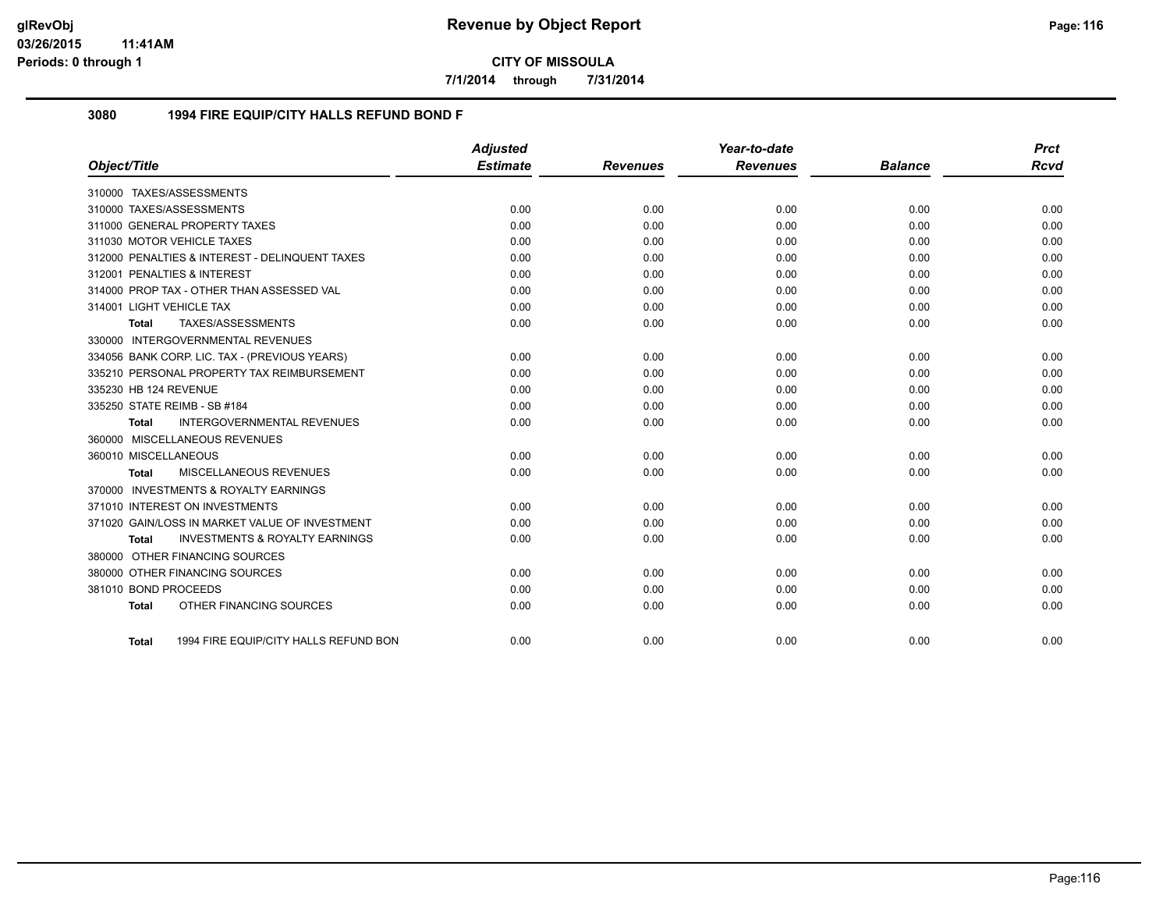**7/1/2014 through 7/31/2014**

### **3080 1994 FIRE EQUIP/CITY HALLS REFUND BOND F**

|                                |                                                | <b>Adjusted</b> |                 | Year-to-date    |                | <b>Prct</b> |
|--------------------------------|------------------------------------------------|-----------------|-----------------|-----------------|----------------|-------------|
| Object/Title                   |                                                | <b>Estimate</b> | <b>Revenues</b> | <b>Revenues</b> | <b>Balance</b> | <b>Rcvd</b> |
| 310000 TAXES/ASSESSMENTS       |                                                |                 |                 |                 |                |             |
| 310000 TAXES/ASSESSMENTS       |                                                | 0.00            | 0.00            | 0.00            | 0.00           | 0.00        |
| 311000 GENERAL PROPERTY TAXES  |                                                | 0.00            | 0.00            | 0.00            | 0.00           | 0.00        |
| 311030 MOTOR VEHICLE TAXES     |                                                | 0.00            | 0.00            | 0.00            | 0.00           | 0.00        |
|                                | 312000 PENALTIES & INTEREST - DELINQUENT TAXES | 0.00            | 0.00            | 0.00            | 0.00           | 0.00        |
| 312001 PENALTIES & INTEREST    |                                                | 0.00            | 0.00            | 0.00            | 0.00           | 0.00        |
|                                | 314000 PROP TAX - OTHER THAN ASSESSED VAL      | 0.00            | 0.00            | 0.00            | 0.00           | 0.00        |
| 314001 LIGHT VEHICLE TAX       |                                                | 0.00            | 0.00            | 0.00            | 0.00           | 0.00        |
| Total                          | TAXES/ASSESSMENTS                              | 0.00            | 0.00            | 0.00            | 0.00           | 0.00        |
|                                | 330000 INTERGOVERNMENTAL REVENUES              |                 |                 |                 |                |             |
|                                | 334056 BANK CORP. LIC. TAX - (PREVIOUS YEARS)  | 0.00            | 0.00            | 0.00            | 0.00           | 0.00        |
|                                | 335210 PERSONAL PROPERTY TAX REIMBURSEMENT     | 0.00            | 0.00            | 0.00            | 0.00           | 0.00        |
| 335230 HB 124 REVENUE          |                                                | 0.00            | 0.00            | 0.00            | 0.00           | 0.00        |
| 335250 STATE REIMB - SB #184   |                                                | 0.00            | 0.00            | 0.00            | 0.00           | 0.00        |
| <b>Total</b>                   | <b>INTERGOVERNMENTAL REVENUES</b>              | 0.00            | 0.00            | 0.00            | 0.00           | 0.00        |
| 360000 MISCELLANEOUS REVENUES  |                                                |                 |                 |                 |                |             |
| 360010 MISCELLANEOUS           |                                                | 0.00            | 0.00            | 0.00            | 0.00           | 0.00        |
| Total                          | MISCELLANEOUS REVENUES                         | 0.00            | 0.00            | 0.00            | 0.00           | 0.00        |
|                                | 370000 INVESTMENTS & ROYALTY EARNINGS          |                 |                 |                 |                |             |
| 371010 INTEREST ON INVESTMENTS |                                                | 0.00            | 0.00            | 0.00            | 0.00           | 0.00        |
|                                | 371020 GAIN/LOSS IN MARKET VALUE OF INVESTMENT | 0.00            | 0.00            | 0.00            | 0.00           | 0.00        |
| Total                          | <b>INVESTMENTS &amp; ROYALTY EARNINGS</b>      | 0.00            | 0.00            | 0.00            | 0.00           | 0.00        |
| 380000 OTHER FINANCING SOURCES |                                                |                 |                 |                 |                |             |
| 380000 OTHER FINANCING SOURCES |                                                | 0.00            | 0.00            | 0.00            | 0.00           | 0.00        |
| 381010 BOND PROCEEDS           |                                                | 0.00            | 0.00            | 0.00            | 0.00           | 0.00        |
| <b>Total</b>                   | OTHER FINANCING SOURCES                        | 0.00            | 0.00            | 0.00            | 0.00           | 0.00        |
|                                |                                                |                 |                 |                 |                |             |
| Total                          | 1994 FIRE EQUIP/CITY HALLS REFUND BON          | 0.00            | 0.00            | 0.00            | 0.00           | 0.00        |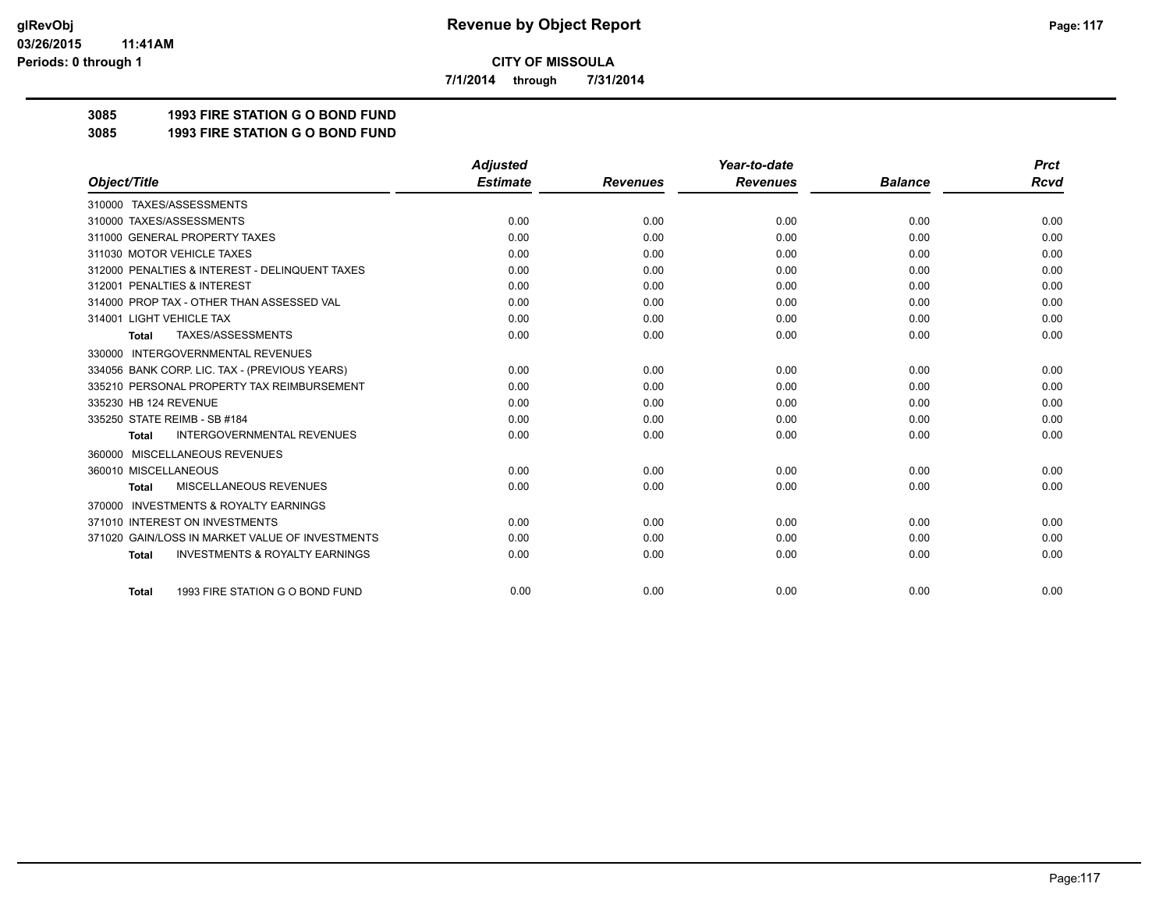**7/1/2014 through 7/31/2014**

## **3085 1993 FIRE STATION G O BOND FUND**

**3085 1993 FIRE STATION G O BOND FUND**

|                                                           | <b>Adjusted</b> |                 | Year-to-date    |                | <b>Prct</b> |
|-----------------------------------------------------------|-----------------|-----------------|-----------------|----------------|-------------|
| Object/Title                                              | <b>Estimate</b> | <b>Revenues</b> | <b>Revenues</b> | <b>Balance</b> | <b>Rcvd</b> |
| 310000 TAXES/ASSESSMENTS                                  |                 |                 |                 |                |             |
| 310000 TAXES/ASSESSMENTS                                  | 0.00            | 0.00            | 0.00            | 0.00           | 0.00        |
| 311000 GENERAL PROPERTY TAXES                             | 0.00            | 0.00            | 0.00            | 0.00           | 0.00        |
| 311030 MOTOR VEHICLE TAXES                                | 0.00            | 0.00            | 0.00            | 0.00           | 0.00        |
| 312000 PENALTIES & INTEREST - DELINQUENT TAXES            | 0.00            | 0.00            | 0.00            | 0.00           | 0.00        |
| 312001 PENALTIES & INTEREST                               | 0.00            | 0.00            | 0.00            | 0.00           | 0.00        |
| 314000 PROP TAX - OTHER THAN ASSESSED VAL                 | 0.00            | 0.00            | 0.00            | 0.00           | 0.00        |
| 314001 LIGHT VEHICLE TAX                                  | 0.00            | 0.00            | 0.00            | 0.00           | 0.00        |
| TAXES/ASSESSMENTS<br><b>Total</b>                         | 0.00            | 0.00            | 0.00            | 0.00           | 0.00        |
| 330000 INTERGOVERNMENTAL REVENUES                         |                 |                 |                 |                |             |
| 334056 BANK CORP. LIC. TAX - (PREVIOUS YEARS)             | 0.00            | 0.00            | 0.00            | 0.00           | 0.00        |
| 335210 PERSONAL PROPERTY TAX REIMBURSEMENT                | 0.00            | 0.00            | 0.00            | 0.00           | 0.00        |
| 335230 HB 124 REVENUE                                     | 0.00            | 0.00            | 0.00            | 0.00           | 0.00        |
| 335250 STATE REIMB - SB #184                              | 0.00            | 0.00            | 0.00            | 0.00           | 0.00        |
| <b>INTERGOVERNMENTAL REVENUES</b><br><b>Total</b>         | 0.00            | 0.00            | 0.00            | 0.00           | 0.00        |
| MISCELLANEOUS REVENUES<br>360000                          |                 |                 |                 |                |             |
| 360010 MISCELLANEOUS                                      | 0.00            | 0.00            | 0.00            | 0.00           | 0.00        |
| <b>MISCELLANEOUS REVENUES</b><br><b>Total</b>             | 0.00            | 0.00            | 0.00            | 0.00           | 0.00        |
| <b>INVESTMENTS &amp; ROYALTY EARNINGS</b><br>370000       |                 |                 |                 |                |             |
| 371010 INTEREST ON INVESTMENTS                            | 0.00            | 0.00            | 0.00            | 0.00           | 0.00        |
| 371020 GAIN/LOSS IN MARKET VALUE OF INVESTMENTS           | 0.00            | 0.00            | 0.00            | 0.00           | 0.00        |
| <b>INVESTMENTS &amp; ROYALTY EARNINGS</b><br><b>Total</b> | 0.00            | 0.00            | 0.00            | 0.00           | 0.00        |
| 1993 FIRE STATION G O BOND FUND<br><b>Total</b>           | 0.00            | 0.00            | 0.00            | 0.00           | 0.00        |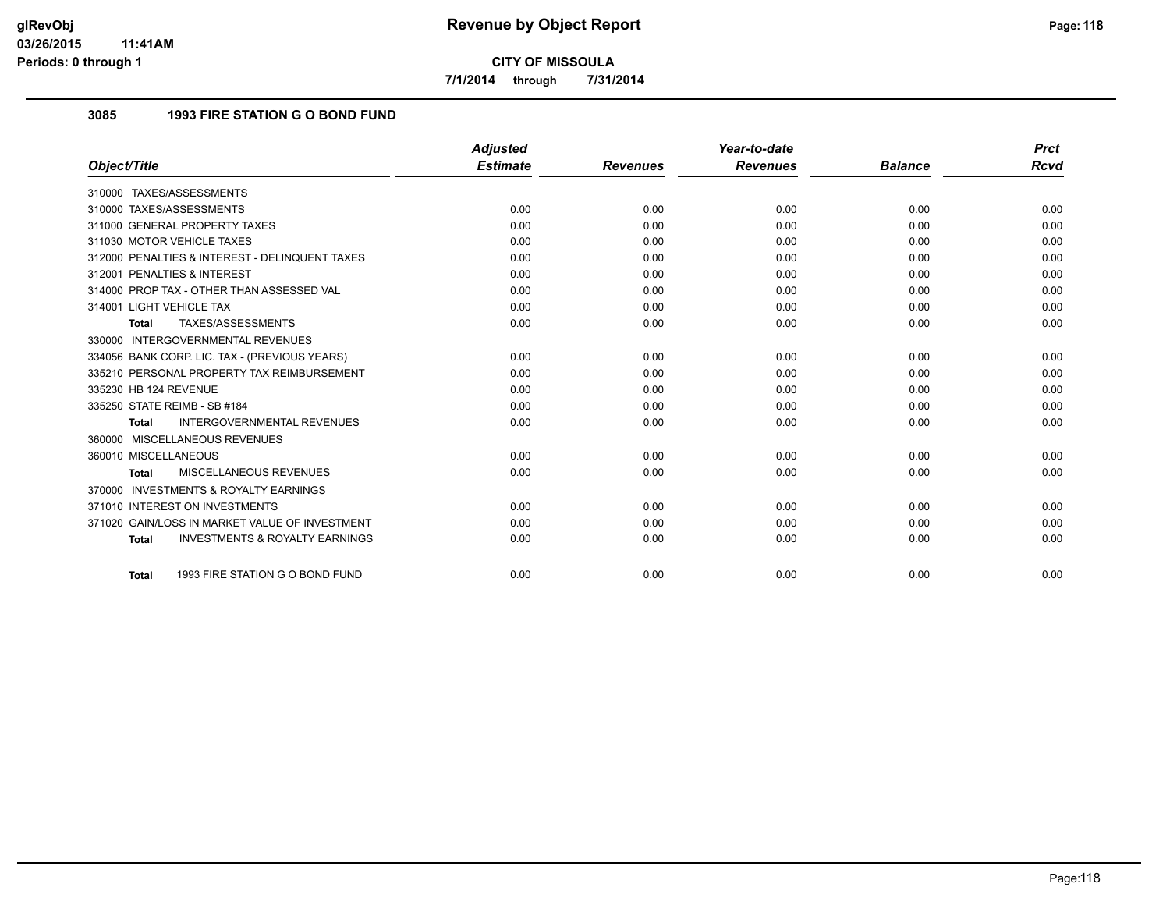**7/1/2014 through 7/31/2014**

## **3085 1993 FIRE STATION G O BOND FUND**

|                                                           | <b>Adjusted</b> |                 | Year-to-date    |                | <b>Prct</b> |
|-----------------------------------------------------------|-----------------|-----------------|-----------------|----------------|-------------|
| Object/Title                                              | <b>Estimate</b> | <b>Revenues</b> | <b>Revenues</b> | <b>Balance</b> | Rcvd        |
| 310000 TAXES/ASSESSMENTS                                  |                 |                 |                 |                |             |
| 310000 TAXES/ASSESSMENTS                                  | 0.00            | 0.00            | 0.00            | 0.00           | 0.00        |
| 311000 GENERAL PROPERTY TAXES                             | 0.00            | 0.00            | 0.00            | 0.00           | 0.00        |
| 311030 MOTOR VEHICLE TAXES                                | 0.00            | 0.00            | 0.00            | 0.00           | 0.00        |
| 312000 PENALTIES & INTEREST - DELINQUENT TAXES            | 0.00            | 0.00            | 0.00            | 0.00           | 0.00        |
| 312001 PENALTIES & INTEREST                               | 0.00            | 0.00            | 0.00            | 0.00           | 0.00        |
| 314000 PROP TAX - OTHER THAN ASSESSED VAL                 | 0.00            | 0.00            | 0.00            | 0.00           | 0.00        |
| 314001 LIGHT VEHICLE TAX                                  | 0.00            | 0.00            | 0.00            | 0.00           | 0.00        |
| TAXES/ASSESSMENTS<br><b>Total</b>                         | 0.00            | 0.00            | 0.00            | 0.00           | 0.00        |
| <b>INTERGOVERNMENTAL REVENUES</b><br>330000               |                 |                 |                 |                |             |
| 334056 BANK CORP. LIC. TAX - (PREVIOUS YEARS)             | 0.00            | 0.00            | 0.00            | 0.00           | 0.00        |
| 335210 PERSONAL PROPERTY TAX REIMBURSEMENT                | 0.00            | 0.00            | 0.00            | 0.00           | 0.00        |
| 335230 HB 124 REVENUE                                     | 0.00            | 0.00            | 0.00            | 0.00           | 0.00        |
| 335250 STATE REIMB - SB #184                              | 0.00            | 0.00            | 0.00            | 0.00           | 0.00        |
| <b>INTERGOVERNMENTAL REVENUES</b><br><b>Total</b>         | 0.00            | 0.00            | 0.00            | 0.00           | 0.00        |
| 360000 MISCELLANEOUS REVENUES                             |                 |                 |                 |                |             |
| 360010 MISCELLANEOUS                                      | 0.00            | 0.00            | 0.00            | 0.00           | 0.00        |
| <b>MISCELLANEOUS REVENUES</b><br><b>Total</b>             | 0.00            | 0.00            | 0.00            | 0.00           | 0.00        |
| <b>INVESTMENTS &amp; ROYALTY EARNINGS</b><br>370000       |                 |                 |                 |                |             |
| 371010 INTEREST ON INVESTMENTS                            | 0.00            | 0.00            | 0.00            | 0.00           | 0.00        |
| 371020 GAIN/LOSS IN MARKET VALUE OF INVESTMENT            | 0.00            | 0.00            | 0.00            | 0.00           | 0.00        |
| <b>INVESTMENTS &amp; ROYALTY EARNINGS</b><br><b>Total</b> | 0.00            | 0.00            | 0.00            | 0.00           | 0.00        |
| 1993 FIRE STATION G O BOND FUND<br><b>Total</b>           | 0.00            | 0.00            | 0.00            | 0.00           | 0.00        |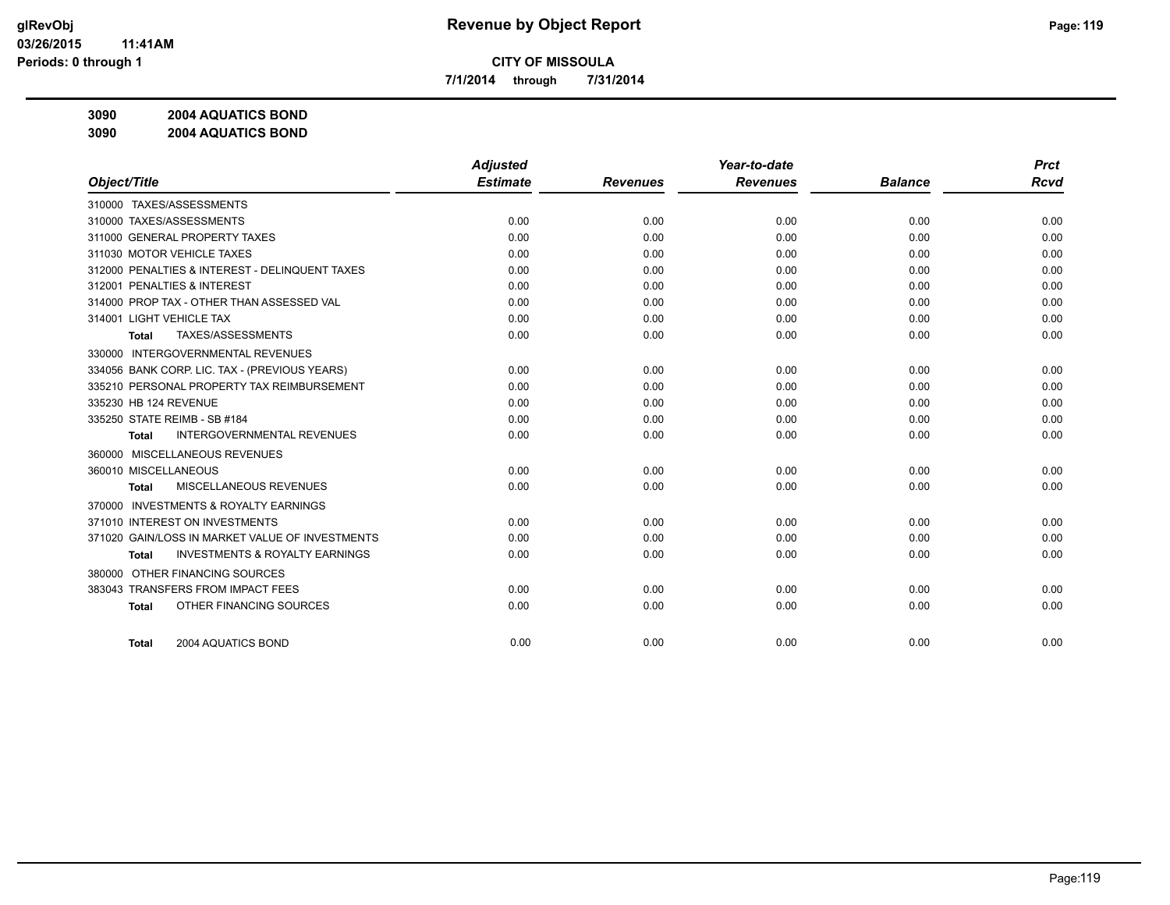**7/1/2014 through 7/31/2014**

**3090 2004 AQUATICS BOND**

**3090 2004 AQUATICS BOND**

|                                                     | <b>Adjusted</b> |                 | Year-to-date    |                | <b>Prct</b> |
|-----------------------------------------------------|-----------------|-----------------|-----------------|----------------|-------------|
| Object/Title                                        | <b>Estimate</b> | <b>Revenues</b> | <b>Revenues</b> | <b>Balance</b> | <b>Rcvd</b> |
| 310000 TAXES/ASSESSMENTS                            |                 |                 |                 |                |             |
| 310000 TAXES/ASSESSMENTS                            | 0.00            | 0.00            | 0.00            | 0.00           | 0.00        |
| 311000 GENERAL PROPERTY TAXES                       | 0.00            | 0.00            | 0.00            | 0.00           | 0.00        |
| 311030 MOTOR VEHICLE TAXES                          | 0.00            | 0.00            | 0.00            | 0.00           | 0.00        |
| 312000 PENALTIES & INTEREST - DELINQUENT TAXES      | 0.00            | 0.00            | 0.00            | 0.00           | 0.00        |
| 312001 PENALTIES & INTEREST                         | 0.00            | 0.00            | 0.00            | 0.00           | 0.00        |
| 314000 PROP TAX - OTHER THAN ASSESSED VAL           | 0.00            | 0.00            | 0.00            | 0.00           | 0.00        |
| 314001 LIGHT VEHICLE TAX                            | 0.00            | 0.00            | 0.00            | 0.00           | 0.00        |
| TAXES/ASSESSMENTS<br>Total                          | 0.00            | 0.00            | 0.00            | 0.00           | 0.00        |
| 330000 INTERGOVERNMENTAL REVENUES                   |                 |                 |                 |                |             |
| 334056 BANK CORP. LIC. TAX - (PREVIOUS YEARS)       | 0.00            | 0.00            | 0.00            | 0.00           | 0.00        |
| 335210 PERSONAL PROPERTY TAX REIMBURSEMENT          | 0.00            | 0.00            | 0.00            | 0.00           | 0.00        |
| 335230 HB 124 REVENUE                               | 0.00            | 0.00            | 0.00            | 0.00           | 0.00        |
| 335250 STATE REIMB - SB #184                        | 0.00            | 0.00            | 0.00            | 0.00           | 0.00        |
| <b>INTERGOVERNMENTAL REVENUES</b><br><b>Total</b>   | 0.00            | 0.00            | 0.00            | 0.00           | 0.00        |
| 360000 MISCELLANEOUS REVENUES                       |                 |                 |                 |                |             |
| 360010 MISCELLANEOUS                                | 0.00            | 0.00            | 0.00            | 0.00           | 0.00        |
| MISCELLANEOUS REVENUES<br>Total                     | 0.00            | 0.00            | 0.00            | 0.00           | 0.00        |
| <b>INVESTMENTS &amp; ROYALTY EARNINGS</b><br>370000 |                 |                 |                 |                |             |
| 371010 INTEREST ON INVESTMENTS                      | 0.00            | 0.00            | 0.00            | 0.00           | 0.00        |
| 371020 GAIN/LOSS IN MARKET VALUE OF INVESTMENTS     | 0.00            | 0.00            | 0.00            | 0.00           | 0.00        |
| <b>INVESTMENTS &amp; ROYALTY EARNINGS</b><br>Total  | 0.00            | 0.00            | 0.00            | 0.00           | 0.00        |
| OTHER FINANCING SOURCES<br>380000                   |                 |                 |                 |                |             |
| 383043 TRANSFERS FROM IMPACT FEES                   | 0.00            | 0.00            | 0.00            | 0.00           | 0.00        |
| OTHER FINANCING SOURCES<br><b>Total</b>             | 0.00            | 0.00            | 0.00            | 0.00           | 0.00        |
|                                                     |                 |                 |                 |                |             |
| 2004 AQUATICS BOND<br><b>Total</b>                  | 0.00            | 0.00            | 0.00            | 0.00           | 0.00        |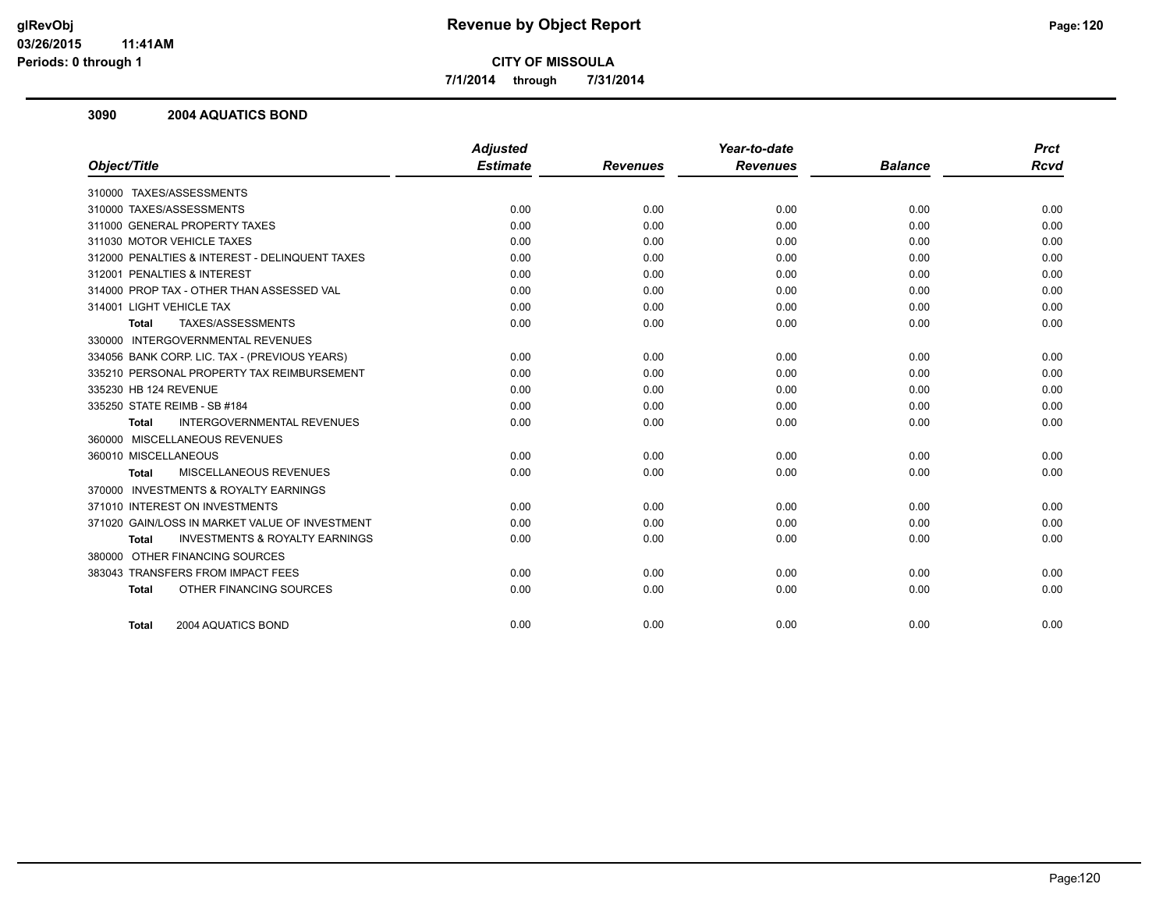**7/1/2014 through 7/31/2014**

#### **3090 2004 AQUATICS BOND**

|                                                           | <b>Adjusted</b> |                 | Year-to-date    |                | <b>Prct</b> |
|-----------------------------------------------------------|-----------------|-----------------|-----------------|----------------|-------------|
| Object/Title                                              | <b>Estimate</b> | <b>Revenues</b> | <b>Revenues</b> | <b>Balance</b> | <b>Rcvd</b> |
| 310000 TAXES/ASSESSMENTS                                  |                 |                 |                 |                |             |
| 310000 TAXES/ASSESSMENTS                                  | 0.00            | 0.00            | 0.00            | 0.00           | 0.00        |
| 311000 GENERAL PROPERTY TAXES                             | 0.00            | 0.00            | 0.00            | 0.00           | 0.00        |
| 311030 MOTOR VEHICLE TAXES                                | 0.00            | 0.00            | 0.00            | 0.00           | 0.00        |
| 312000 PENALTIES & INTEREST - DELINQUENT TAXES            | 0.00            | 0.00            | 0.00            | 0.00           | 0.00        |
| 312001 PENALTIES & INTEREST                               | 0.00            | 0.00            | 0.00            | 0.00           | 0.00        |
| 314000 PROP TAX - OTHER THAN ASSESSED VAL                 | 0.00            | 0.00            | 0.00            | 0.00           | 0.00        |
| 314001 LIGHT VEHICLE TAX                                  | 0.00            | 0.00            | 0.00            | 0.00           | 0.00        |
| TAXES/ASSESSMENTS<br><b>Total</b>                         | 0.00            | 0.00            | 0.00            | 0.00           | 0.00        |
| 330000 INTERGOVERNMENTAL REVENUES                         |                 |                 |                 |                |             |
| 334056 BANK CORP. LIC. TAX - (PREVIOUS YEARS)             | 0.00            | 0.00            | 0.00            | 0.00           | 0.00        |
| 335210 PERSONAL PROPERTY TAX REIMBURSEMENT                | 0.00            | 0.00            | 0.00            | 0.00           | 0.00        |
| 335230 HB 124 REVENUE                                     | 0.00            | 0.00            | 0.00            | 0.00           | 0.00        |
| 335250 STATE REIMB - SB #184                              | 0.00            | 0.00            | 0.00            | 0.00           | 0.00        |
| <b>INTERGOVERNMENTAL REVENUES</b><br><b>Total</b>         | 0.00            | 0.00            | 0.00            | 0.00           | 0.00        |
| 360000 MISCELLANEOUS REVENUES                             |                 |                 |                 |                |             |
| 360010 MISCELLANEOUS                                      | 0.00            | 0.00            | 0.00            | 0.00           | 0.00        |
| <b>MISCELLANEOUS REVENUES</b><br>Total                    | 0.00            | 0.00            | 0.00            | 0.00           | 0.00        |
| 370000 INVESTMENTS & ROYALTY EARNINGS                     |                 |                 |                 |                |             |
| 371010 INTEREST ON INVESTMENTS                            | 0.00            | 0.00            | 0.00            | 0.00           | 0.00        |
| 371020 GAIN/LOSS IN MARKET VALUE OF INVESTMENT            | 0.00            | 0.00            | 0.00            | 0.00           | 0.00        |
| <b>INVESTMENTS &amp; ROYALTY EARNINGS</b><br><b>Total</b> | 0.00            | 0.00            | 0.00            | 0.00           | 0.00        |
| 380000 OTHER FINANCING SOURCES                            |                 |                 |                 |                |             |
| 383043 TRANSFERS FROM IMPACT FEES                         | 0.00            | 0.00            | 0.00            | 0.00           | 0.00        |
| OTHER FINANCING SOURCES<br><b>Total</b>                   | 0.00            | 0.00            | 0.00            | 0.00           | 0.00        |
|                                                           |                 |                 |                 |                |             |
| 2004 AQUATICS BOND<br><b>Total</b>                        | 0.00            | 0.00            | 0.00            | 0.00           | 0.00        |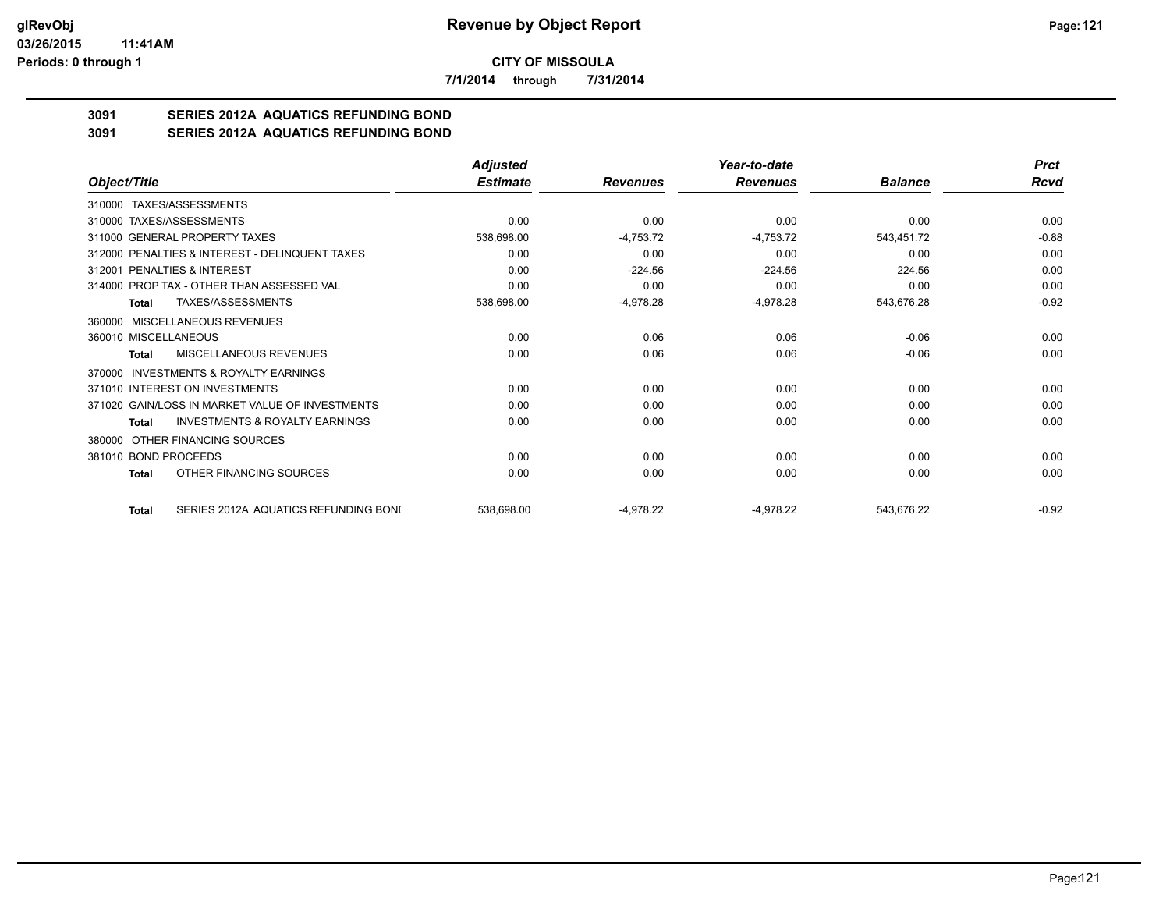**7/1/2014 through 7/31/2014**

# **3091 SERIES 2012A AQUATICS REFUNDING BOND**

**3091 SERIES 2012A AQUATICS REFUNDING BOND**

|                                                           | <b>Adjusted</b> |                 | Year-to-date    |                | <b>Prct</b> |
|-----------------------------------------------------------|-----------------|-----------------|-----------------|----------------|-------------|
| Object/Title                                              | <b>Estimate</b> | <b>Revenues</b> | <b>Revenues</b> | <b>Balance</b> | Rcvd        |
| TAXES/ASSESSMENTS<br>310000                               |                 |                 |                 |                |             |
| 310000 TAXES/ASSESSMENTS                                  | 0.00            | 0.00            | 0.00            | 0.00           | 0.00        |
| 311000 GENERAL PROPERTY TAXES                             | 538,698.00      | $-4,753.72$     | $-4,753.72$     | 543,451.72     | $-0.88$     |
| 312000 PENALTIES & INTEREST - DELINQUENT TAXES            | 0.00            | 0.00            | 0.00            | 0.00           | 0.00        |
| 312001 PENALTIES & INTEREST                               | 0.00            | $-224.56$       | $-224.56$       | 224.56         | 0.00        |
| 314000 PROP TAX - OTHER THAN ASSESSED VAL                 | 0.00            | 0.00            | 0.00            | 0.00           | 0.00        |
| TAXES/ASSESSMENTS<br>Total                                | 538,698.00      | $-4,978.28$     | $-4,978.28$     | 543,676.28     | $-0.92$     |
| 360000 MISCELLANEOUS REVENUES                             |                 |                 |                 |                |             |
| 360010 MISCELLANEOUS                                      | 0.00            | 0.06            | 0.06            | $-0.06$        | 0.00        |
| MISCELLANEOUS REVENUES<br>Total                           | 0.00            | 0.06            | 0.06            | $-0.06$        | 0.00        |
| INVESTMENTS & ROYALTY EARNINGS<br>370000                  |                 |                 |                 |                |             |
| 371010 INTEREST ON INVESTMENTS                            | 0.00            | 0.00            | 0.00            | 0.00           | 0.00        |
| 371020 GAIN/LOSS IN MARKET VALUE OF INVESTMENTS           | 0.00            | 0.00            | 0.00            | 0.00           | 0.00        |
| <b>INVESTMENTS &amp; ROYALTY EARNINGS</b><br><b>Total</b> | 0.00            | 0.00            | 0.00            | 0.00           | 0.00        |
| OTHER FINANCING SOURCES<br>380000                         |                 |                 |                 |                |             |
| 381010 BOND PROCEEDS                                      | 0.00            | 0.00            | 0.00            | 0.00           | 0.00        |
| OTHER FINANCING SOURCES<br>Total                          | 0.00            | 0.00            | 0.00            | 0.00           | 0.00        |
| SERIES 2012A AQUATICS REFUNDING BONI<br>Total             | 538,698.00      | $-4,978.22$     | $-4,978.22$     | 543,676.22     | $-0.92$     |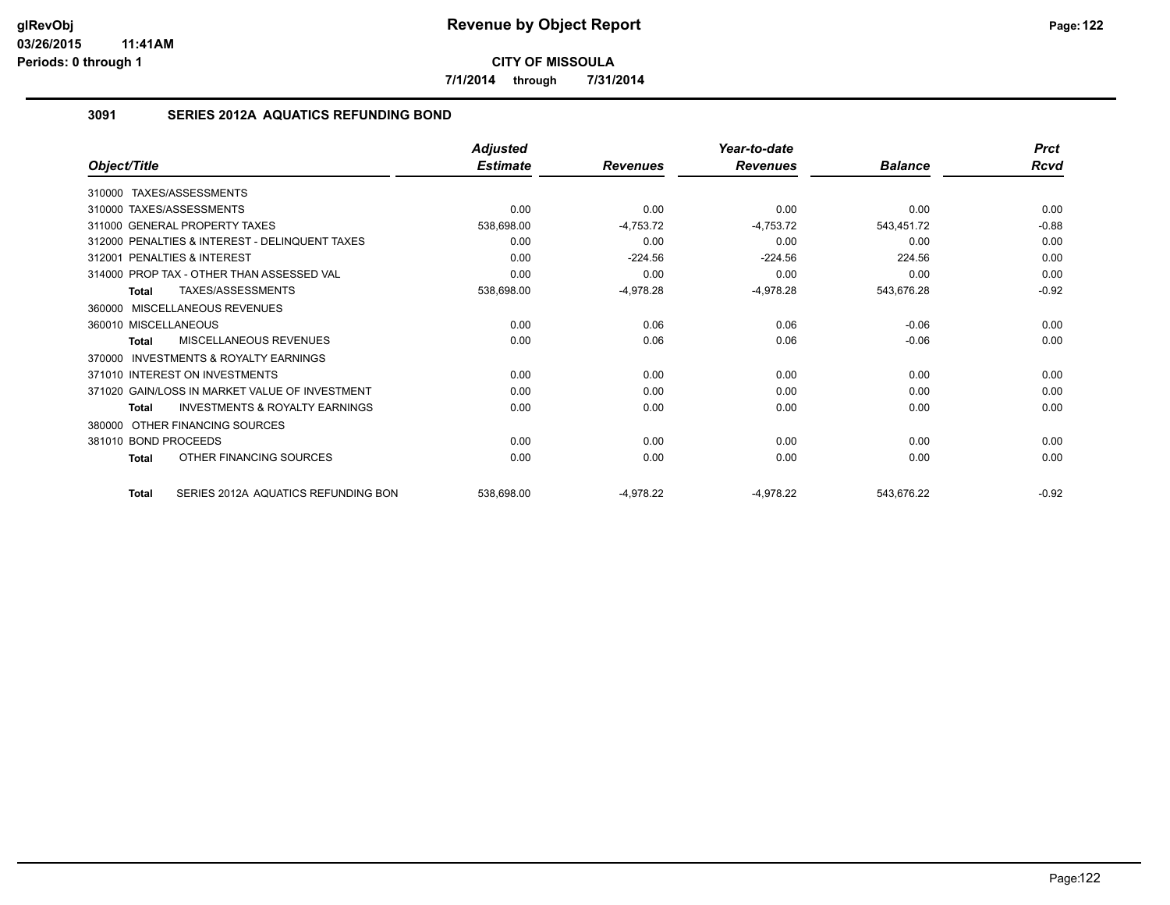**7/1/2014 through 7/31/2014**

## **3091 SERIES 2012A AQUATICS REFUNDING BOND**

|                                                           | <b>Adjusted</b> |                 | Year-to-date    |                | <b>Prct</b> |
|-----------------------------------------------------------|-----------------|-----------------|-----------------|----------------|-------------|
| Object/Title                                              | <b>Estimate</b> | <b>Revenues</b> | <b>Revenues</b> | <b>Balance</b> | <b>Rcvd</b> |
| 310000 TAXES/ASSESSMENTS                                  |                 |                 |                 |                |             |
| 310000 TAXES/ASSESSMENTS                                  | 0.00            | 0.00            | 0.00            | 0.00           | 0.00        |
| 311000 GENERAL PROPERTY TAXES                             | 538,698.00      | $-4,753.72$     | $-4,753.72$     | 543,451.72     | $-0.88$     |
| 312000 PENALTIES & INTEREST - DELINQUENT TAXES            | 0.00            | 0.00            | 0.00            | 0.00           | 0.00        |
| PENALTIES & INTEREST<br>312001                            | 0.00            | $-224.56$       | $-224.56$       | 224.56         | 0.00        |
| 314000 PROP TAX - OTHER THAN ASSESSED VAL                 | 0.00            | 0.00            | 0.00            | 0.00           | 0.00        |
| TAXES/ASSESSMENTS<br>Total                                | 538,698.00      | $-4,978.28$     | $-4,978.28$     | 543,676.28     | $-0.92$     |
| 360000 MISCELLANEOUS REVENUES                             |                 |                 |                 |                |             |
| 360010 MISCELLANEOUS                                      | 0.00            | 0.06            | 0.06            | $-0.06$        | 0.00        |
| MISCELLANEOUS REVENUES<br>Total                           | 0.00            | 0.06            | 0.06            | $-0.06$        | 0.00        |
| <b>INVESTMENTS &amp; ROYALTY EARNINGS</b><br>370000       |                 |                 |                 |                |             |
| 371010 INTEREST ON INVESTMENTS                            | 0.00            | 0.00            | 0.00            | 0.00           | 0.00        |
| 371020 GAIN/LOSS IN MARKET VALUE OF INVESTMENT            | 0.00            | 0.00            | 0.00            | 0.00           | 0.00        |
| <b>INVESTMENTS &amp; ROYALTY EARNINGS</b><br><b>Total</b> | 0.00            | 0.00            | 0.00            | 0.00           | 0.00        |
| OTHER FINANCING SOURCES<br>380000                         |                 |                 |                 |                |             |
| 381010 BOND PROCEEDS                                      | 0.00            | 0.00            | 0.00            | 0.00           | 0.00        |
| OTHER FINANCING SOURCES<br><b>Total</b>                   | 0.00            | 0.00            | 0.00            | 0.00           | 0.00        |
| SERIES 2012A AQUATICS REFUNDING BON<br><b>Total</b>       | 538,698.00      | $-4,978.22$     | $-4,978.22$     | 543,676.22     | $-0.92$     |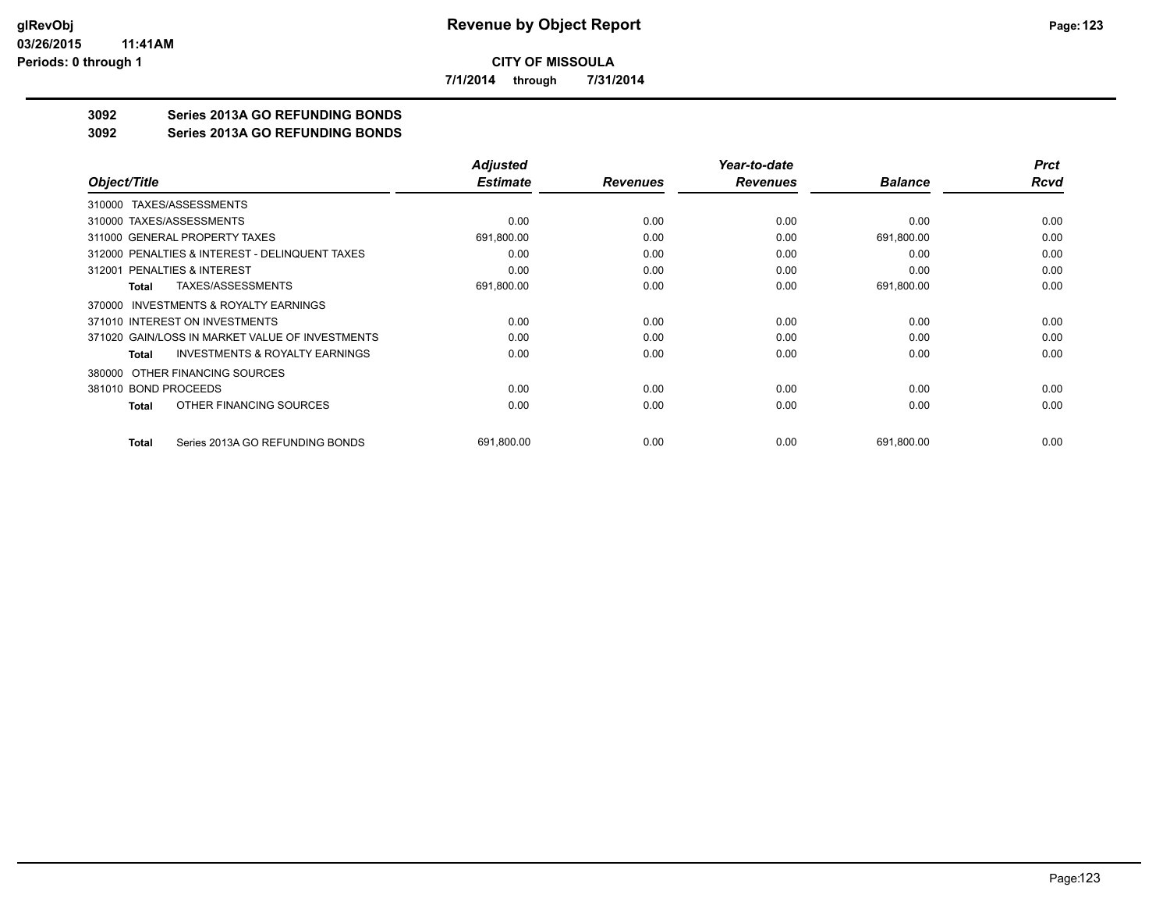**7/1/2014 through 7/31/2014**

## **3092 Series 2013A GO REFUNDING BONDS**

#### **3092 Series 2013A GO REFUNDING BONDS**

|                                                     | <b>Adjusted</b> |                 | Year-to-date    |                | <b>Prct</b> |
|-----------------------------------------------------|-----------------|-----------------|-----------------|----------------|-------------|
| Object/Title                                        | <b>Estimate</b> | <b>Revenues</b> | <b>Revenues</b> | <b>Balance</b> | Rcvd        |
| 310000 TAXES/ASSESSMENTS                            |                 |                 |                 |                |             |
| 310000 TAXES/ASSESSMENTS                            | 0.00            | 0.00            | 0.00            | 0.00           | 0.00        |
| 311000 GENERAL PROPERTY TAXES                       | 691,800.00      | 0.00            | 0.00            | 691,800.00     | 0.00        |
| 312000 PENALTIES & INTEREST - DELINQUENT TAXES      | 0.00            | 0.00            | 0.00            | 0.00           | 0.00        |
| 312001 PENALTIES & INTEREST                         | 0.00            | 0.00            | 0.00            | 0.00           | 0.00        |
| TAXES/ASSESSMENTS<br>Total                          | 691,800.00      | 0.00            | 0.00            | 691,800.00     | 0.00        |
| <b>INVESTMENTS &amp; ROYALTY EARNINGS</b><br>370000 |                 |                 |                 |                |             |
| 371010 INTEREST ON INVESTMENTS                      | 0.00            | 0.00            | 0.00            | 0.00           | 0.00        |
| 371020 GAIN/LOSS IN MARKET VALUE OF INVESTMENTS     | 0.00            | 0.00            | 0.00            | 0.00           | 0.00        |
| <b>INVESTMENTS &amp; ROYALTY EARNINGS</b><br>Total  | 0.00            | 0.00            | 0.00            | 0.00           | 0.00        |
| OTHER FINANCING SOURCES<br>380000                   |                 |                 |                 |                |             |
| 381010 BOND PROCEEDS                                | 0.00            | 0.00            | 0.00            | 0.00           | 0.00        |
| OTHER FINANCING SOURCES<br>Total                    | 0.00            | 0.00            | 0.00            | 0.00           | 0.00        |
| Series 2013A GO REFUNDING BONDS<br><b>Total</b>     | 691,800.00      | 0.00            | 0.00            | 691,800.00     | 0.00        |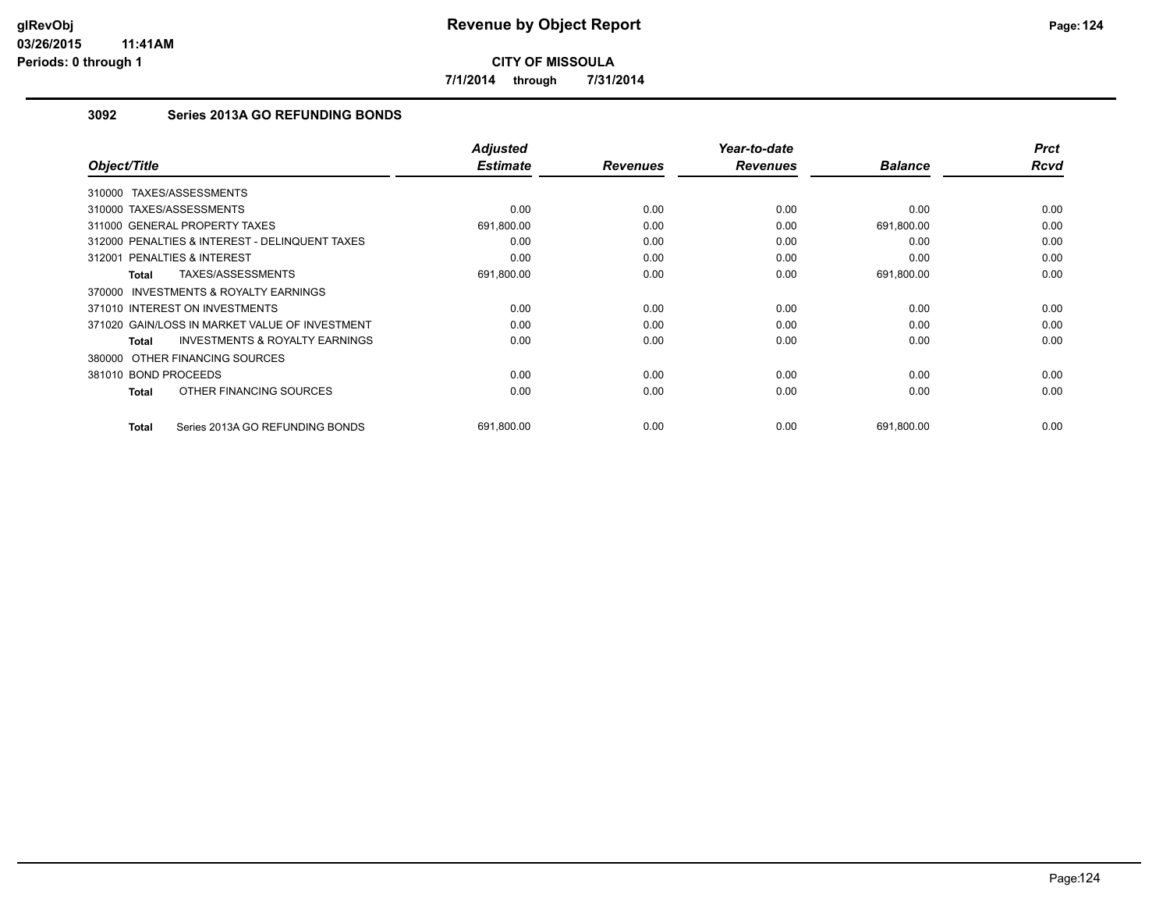**7/1/2014 through 7/31/2014**

## **3092 Series 2013A GO REFUNDING BONDS**

| Object/Title                                              | <b>Adjusted</b><br><b>Estimate</b> | <b>Revenues</b> | Year-to-date<br><b>Revenues</b> | <b>Balance</b> | <b>Prct</b><br>Rcvd |
|-----------------------------------------------------------|------------------------------------|-----------------|---------------------------------|----------------|---------------------|
|                                                           |                                    |                 |                                 |                |                     |
| 310000 TAXES/ASSESSMENTS                                  |                                    |                 |                                 |                |                     |
| 310000 TAXES/ASSESSMENTS                                  | 0.00                               | 0.00            | 0.00                            | 0.00           | 0.00                |
| 311000 GENERAL PROPERTY TAXES                             | 691,800.00                         | 0.00            | 0.00                            | 691,800.00     | 0.00                |
| 312000 PENALTIES & INTEREST - DELINQUENT TAXES            | 0.00                               | 0.00            | 0.00                            | 0.00           | 0.00                |
| 312001 PENALTIES & INTEREST                               | 0.00                               | 0.00            | 0.00                            | 0.00           | 0.00                |
| TAXES/ASSESSMENTS<br><b>Total</b>                         | 691,800.00                         | 0.00            | 0.00                            | 691,800.00     | 0.00                |
| 370000 INVESTMENTS & ROYALTY EARNINGS                     |                                    |                 |                                 |                |                     |
| 371010 INTEREST ON INVESTMENTS                            | 0.00                               | 0.00            | 0.00                            | 0.00           | 0.00                |
| 371020 GAIN/LOSS IN MARKET VALUE OF INVESTMENT            | 0.00                               | 0.00            | 0.00                            | 0.00           | 0.00                |
| <b>INVESTMENTS &amp; ROYALTY EARNINGS</b><br><b>Total</b> | 0.00                               | 0.00            | 0.00                            | 0.00           | 0.00                |
| 380000 OTHER FINANCING SOURCES                            |                                    |                 |                                 |                |                     |
| 381010 BOND PROCEEDS                                      | 0.00                               | 0.00            | 0.00                            | 0.00           | 0.00                |
| OTHER FINANCING SOURCES<br><b>Total</b>                   | 0.00                               | 0.00            | 0.00                            | 0.00           | 0.00                |
| Series 2013A GO REFUNDING BONDS<br><b>Total</b>           | 691,800.00                         | 0.00            | 0.00                            | 691,800.00     | 0.00                |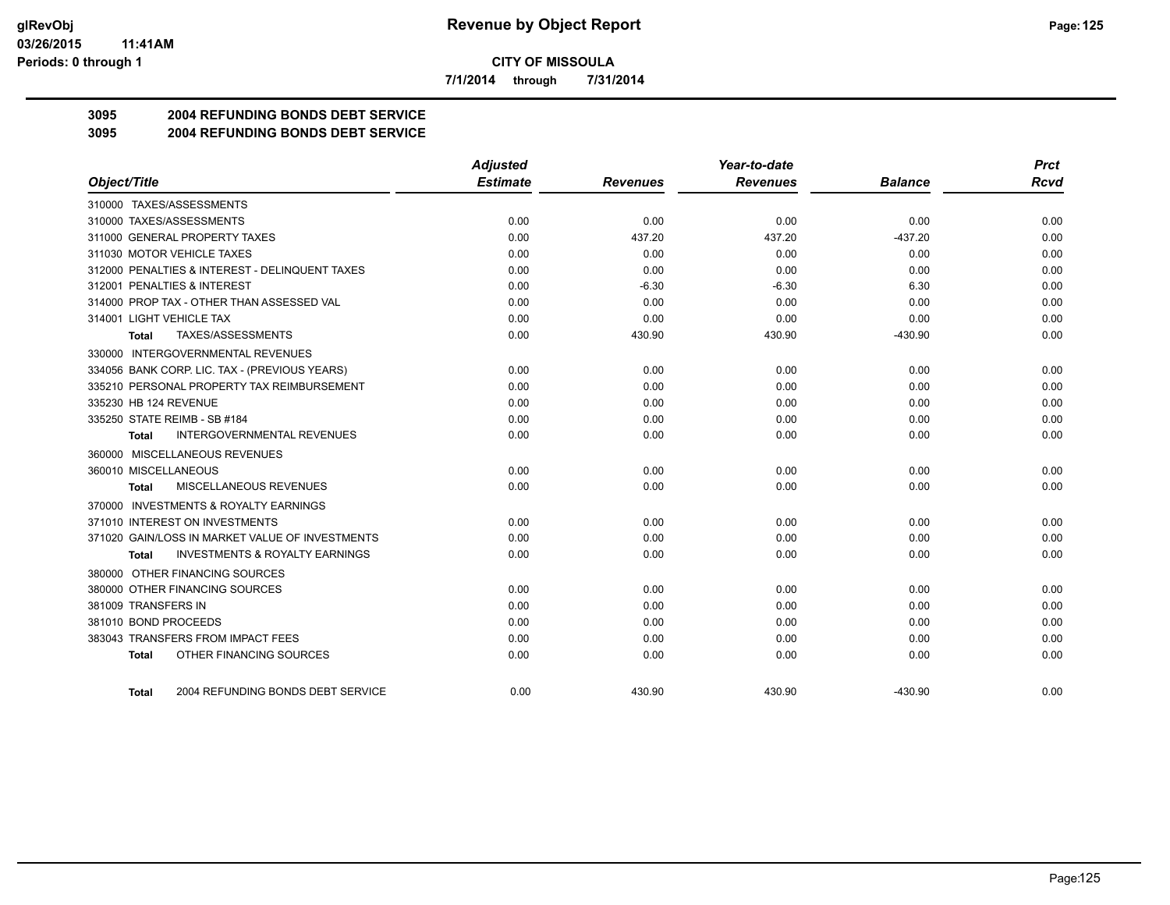**7/1/2014 through 7/31/2014**

# **3095 2004 REFUNDING BONDS DEBT SERVICE**

## **3095 2004 REFUNDING BONDS DEBT SERVICE**

|                                                    | <b>Adjusted</b> |                 | Year-to-date    |                | <b>Prct</b> |
|----------------------------------------------------|-----------------|-----------------|-----------------|----------------|-------------|
| Object/Title                                       | <b>Estimate</b> | <b>Revenues</b> | <b>Revenues</b> | <b>Balance</b> | Rcvd        |
| 310000 TAXES/ASSESSMENTS                           |                 |                 |                 |                |             |
| 310000 TAXES/ASSESSMENTS                           | 0.00            | 0.00            | 0.00            | 0.00           | 0.00        |
| 311000 GENERAL PROPERTY TAXES                      | 0.00            | 437.20          | 437.20          | $-437.20$      | 0.00        |
| 311030 MOTOR VEHICLE TAXES                         | 0.00            | 0.00            | 0.00            | 0.00           | 0.00        |
| 312000 PENALTIES & INTEREST - DELINQUENT TAXES     | 0.00            | 0.00            | 0.00            | 0.00           | 0.00        |
| 312001 PENALTIES & INTEREST                        | 0.00            | $-6.30$         | $-6.30$         | 6.30           | 0.00        |
| 314000 PROP TAX - OTHER THAN ASSESSED VAL          | 0.00            | 0.00            | 0.00            | 0.00           | 0.00        |
| 314001 LIGHT VEHICLE TAX                           | 0.00            | 0.00            | 0.00            | 0.00           | 0.00        |
| TAXES/ASSESSMENTS<br>Total                         | 0.00            | 430.90          | 430.90          | $-430.90$      | 0.00        |
| 330000 INTERGOVERNMENTAL REVENUES                  |                 |                 |                 |                |             |
| 334056 BANK CORP. LIC. TAX - (PREVIOUS YEARS)      | 0.00            | 0.00            | 0.00            | 0.00           | 0.00        |
| 335210 PERSONAL PROPERTY TAX REIMBURSEMENT         | 0.00            | 0.00            | 0.00            | 0.00           | 0.00        |
| 335230 HB 124 REVENUE                              | 0.00            | 0.00            | 0.00            | 0.00           | 0.00        |
| 335250 STATE REIMB - SB #184                       | 0.00            | 0.00            | 0.00            | 0.00           | 0.00        |
| <b>INTERGOVERNMENTAL REVENUES</b><br>Total         | 0.00            | 0.00            | 0.00            | 0.00           | 0.00        |
| 360000 MISCELLANEOUS REVENUES                      |                 |                 |                 |                |             |
| 360010 MISCELLANEOUS                               | 0.00            | 0.00            | 0.00            | 0.00           | 0.00        |
| <b>MISCELLANEOUS REVENUES</b><br>Total             | 0.00            | 0.00            | 0.00            | 0.00           | 0.00        |
| 370000 INVESTMENTS & ROYALTY EARNINGS              |                 |                 |                 |                |             |
| 371010 INTEREST ON INVESTMENTS                     | 0.00            | 0.00            | 0.00            | 0.00           | 0.00        |
| 371020 GAIN/LOSS IN MARKET VALUE OF INVESTMENTS    | 0.00            | 0.00            | 0.00            | 0.00           | 0.00        |
| <b>INVESTMENTS &amp; ROYALTY EARNINGS</b><br>Total | 0.00            | 0.00            | 0.00            | 0.00           | 0.00        |
| 380000 OTHER FINANCING SOURCES                     |                 |                 |                 |                |             |
| 380000 OTHER FINANCING SOURCES                     | 0.00            | 0.00            | 0.00            | 0.00           | 0.00        |
| 381009 TRANSFERS IN                                | 0.00            | 0.00            | 0.00            | 0.00           | 0.00        |
| 381010 BOND PROCEEDS                               | 0.00            | 0.00            | 0.00            | 0.00           | 0.00        |
| 383043 TRANSFERS FROM IMPACT FEES                  | 0.00            | 0.00            | 0.00            | 0.00           | 0.00        |
| OTHER FINANCING SOURCES<br>Total                   | 0.00            | 0.00            | 0.00            | 0.00           | 0.00        |
| 2004 REFUNDING BONDS DEBT SERVICE<br>Total         | 0.00            | 430.90          | 430.90          | $-430.90$      | 0.00        |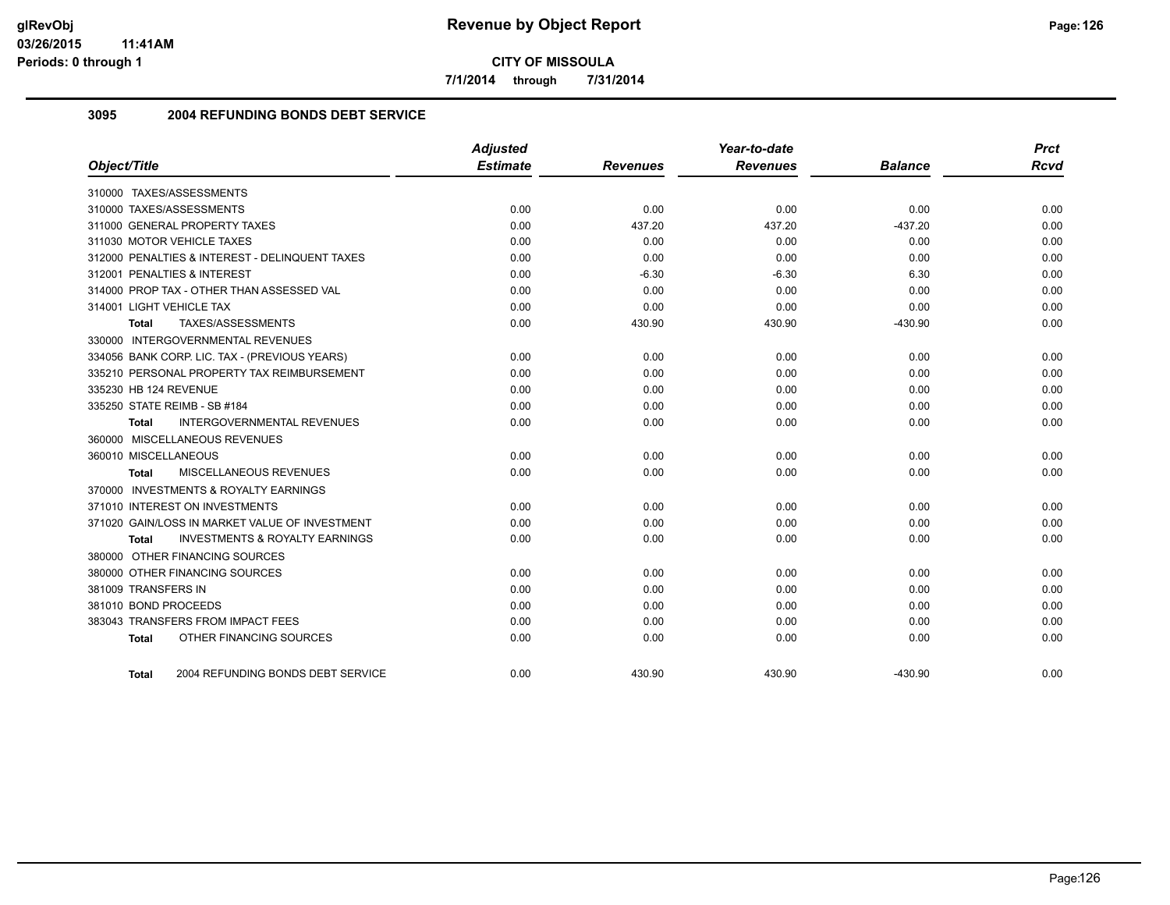**7/1/2014 through 7/31/2014**

## **3095 2004 REFUNDING BONDS DEBT SERVICE**

| Object/Title                                       | <b>Adjusted</b><br><b>Estimate</b> | <b>Revenues</b> | Year-to-date<br><b>Revenues</b> | <b>Balance</b> | <b>Prct</b><br><b>Rcvd</b> |
|----------------------------------------------------|------------------------------------|-----------------|---------------------------------|----------------|----------------------------|
| 310000 TAXES/ASSESSMENTS                           |                                    |                 |                                 |                |                            |
| 310000 TAXES/ASSESSMENTS                           | 0.00                               | 0.00            | 0.00                            | 0.00           | 0.00                       |
| 311000 GENERAL PROPERTY TAXES                      | 0.00                               | 437.20          | 437.20                          | $-437.20$      | 0.00                       |
| 311030 MOTOR VEHICLE TAXES                         | 0.00                               | 0.00            | 0.00                            | 0.00           | 0.00                       |
| 312000 PENALTIES & INTEREST - DELINQUENT TAXES     | 0.00                               | 0.00            | 0.00                            | 0.00           | 0.00                       |
| 312001 PENALTIES & INTEREST                        | 0.00                               | $-6.30$         | $-6.30$                         | 6.30           | 0.00                       |
| 314000 PROP TAX - OTHER THAN ASSESSED VAL          | 0.00                               | 0.00            | 0.00                            | 0.00           | 0.00                       |
| 314001 LIGHT VEHICLE TAX                           | 0.00                               | 0.00            | 0.00                            | 0.00           | 0.00                       |
| TAXES/ASSESSMENTS<br><b>Total</b>                  | 0.00                               | 430.90          | 430.90                          | $-430.90$      | 0.00                       |
| 330000 INTERGOVERNMENTAL REVENUES                  |                                    |                 |                                 |                |                            |
| 334056 BANK CORP. LIC. TAX - (PREVIOUS YEARS)      | 0.00                               | 0.00            | 0.00                            | 0.00           | 0.00                       |
| 335210 PERSONAL PROPERTY TAX REIMBURSEMENT         | 0.00                               | 0.00            | 0.00                            | 0.00           | 0.00                       |
| 335230 HB 124 REVENUE                              | 0.00                               | 0.00            | 0.00                            | 0.00           | 0.00                       |
| 335250 STATE REIMB - SB #184                       | 0.00                               | 0.00            | 0.00                            | 0.00           | 0.00                       |
| <b>INTERGOVERNMENTAL REVENUES</b><br>Total         | 0.00                               | 0.00            | 0.00                            | 0.00           | 0.00                       |
| 360000 MISCELLANEOUS REVENUES                      |                                    |                 |                                 |                |                            |
| 360010 MISCELLANEOUS                               | 0.00                               | 0.00            | 0.00                            | 0.00           | 0.00                       |
| MISCELLANEOUS REVENUES<br>Total                    | 0.00                               | 0.00            | 0.00                            | 0.00           | 0.00                       |
| 370000 INVESTMENTS & ROYALTY EARNINGS              |                                    |                 |                                 |                |                            |
| 371010 INTEREST ON INVESTMENTS                     | 0.00                               | 0.00            | 0.00                            | 0.00           | 0.00                       |
| 371020 GAIN/LOSS IN MARKET VALUE OF INVESTMENT     | 0.00                               | 0.00            | 0.00                            | 0.00           | 0.00                       |
| <b>INVESTMENTS &amp; ROYALTY EARNINGS</b><br>Total | 0.00                               | 0.00            | 0.00                            | 0.00           | 0.00                       |
| 380000 OTHER FINANCING SOURCES                     |                                    |                 |                                 |                |                            |
| 380000 OTHER FINANCING SOURCES                     | 0.00                               | 0.00            | 0.00                            | 0.00           | 0.00                       |
| 381009 TRANSFERS IN                                | 0.00                               | 0.00            | 0.00                            | 0.00           | 0.00                       |
| 381010 BOND PROCEEDS                               | 0.00                               | 0.00            | 0.00                            | 0.00           | 0.00                       |
| 383043 TRANSFERS FROM IMPACT FEES                  | 0.00                               | 0.00            | 0.00                            | 0.00           | 0.00                       |
| OTHER FINANCING SOURCES<br><b>Total</b>            | 0.00                               | 0.00            | 0.00                            | 0.00           | 0.00                       |
| 2004 REFUNDING BONDS DEBT SERVICE<br>Total         | 0.00                               | 430.90          | 430.90                          | $-430.90$      | 0.00                       |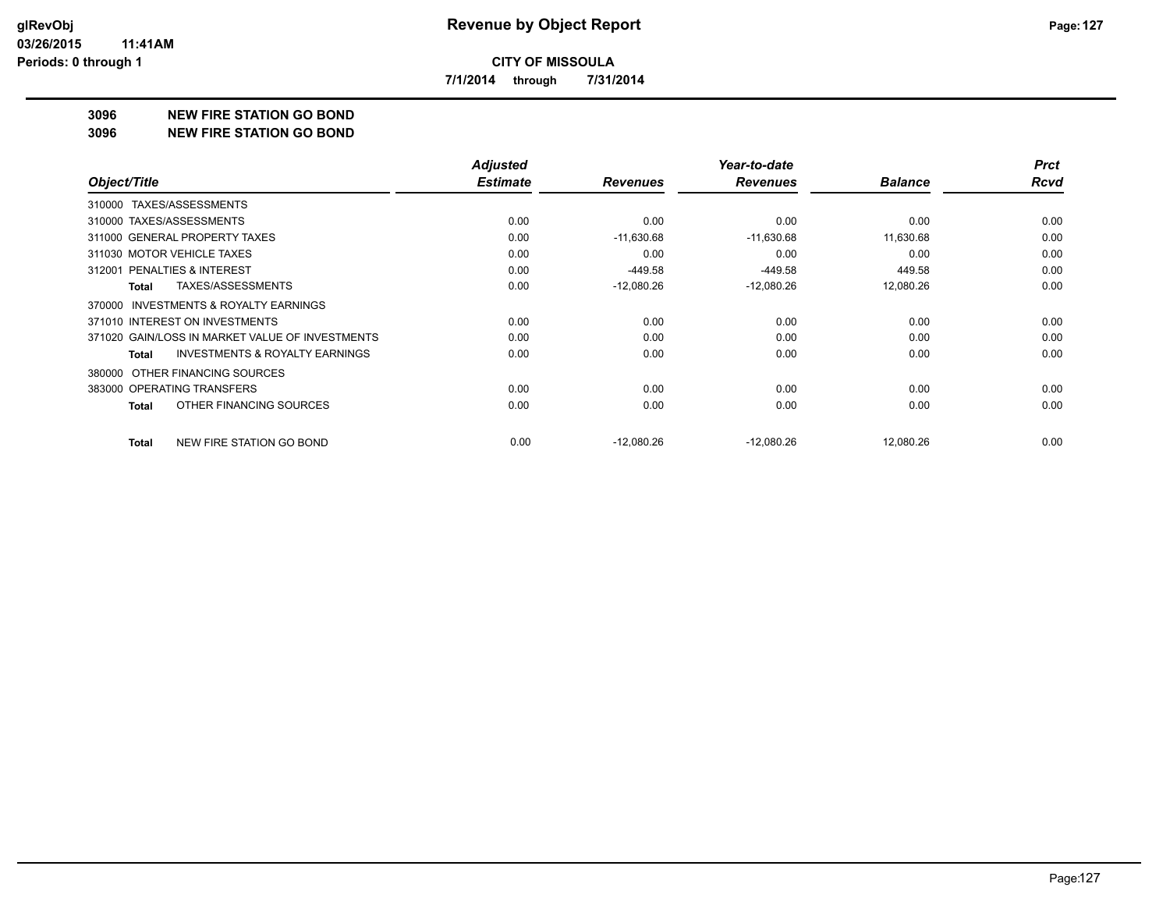**7/1/2014 through 7/31/2014**

#### **3096 NEW FIRE STATION GO BOND**

**3096 NEW FIRE STATION GO BOND**

|                                                    | <b>Adjusted</b> |                 | Year-to-date    |                | <b>Prct</b> |
|----------------------------------------------------|-----------------|-----------------|-----------------|----------------|-------------|
| Object/Title                                       | <b>Estimate</b> | <b>Revenues</b> | <b>Revenues</b> | <b>Balance</b> | <b>Rcvd</b> |
| 310000 TAXES/ASSESSMENTS                           |                 |                 |                 |                |             |
| 310000 TAXES/ASSESSMENTS                           | 0.00            | 0.00            | 0.00            | 0.00           | 0.00        |
| 311000 GENERAL PROPERTY TAXES                      | 0.00            | $-11,630.68$    | $-11,630.68$    | 11,630.68      | 0.00        |
| 311030 MOTOR VEHICLE TAXES                         | 0.00            | 0.00            | 0.00            | 0.00           | 0.00        |
| <b>PENALTIES &amp; INTEREST</b><br>312001          | 0.00            | -449.58         | $-449.58$       | 449.58         | 0.00        |
| TAXES/ASSESSMENTS<br><b>Total</b>                  | 0.00            | $-12,080.26$    | $-12,080.26$    | 12,080.26      | 0.00        |
| INVESTMENTS & ROYALTY EARNINGS<br>370000           |                 |                 |                 |                |             |
| 371010 INTEREST ON INVESTMENTS                     | 0.00            | 0.00            | 0.00            | 0.00           | 0.00        |
| 371020 GAIN/LOSS IN MARKET VALUE OF INVESTMENTS    | 0.00            | 0.00            | 0.00            | 0.00           | 0.00        |
| <b>INVESTMENTS &amp; ROYALTY EARNINGS</b><br>Total | 0.00            | 0.00            | 0.00            | 0.00           | 0.00        |
| OTHER FINANCING SOURCES<br>380000                  |                 |                 |                 |                |             |
| 383000 OPERATING TRANSFERS                         | 0.00            | 0.00            | 0.00            | 0.00           | 0.00        |
| OTHER FINANCING SOURCES<br>Total                   | 0.00            | 0.00            | 0.00            | 0.00           | 0.00        |
| NEW FIRE STATION GO BOND<br><b>Total</b>           | 0.00            | $-12,080.26$    | $-12,080.26$    | 12,080.26      | 0.00        |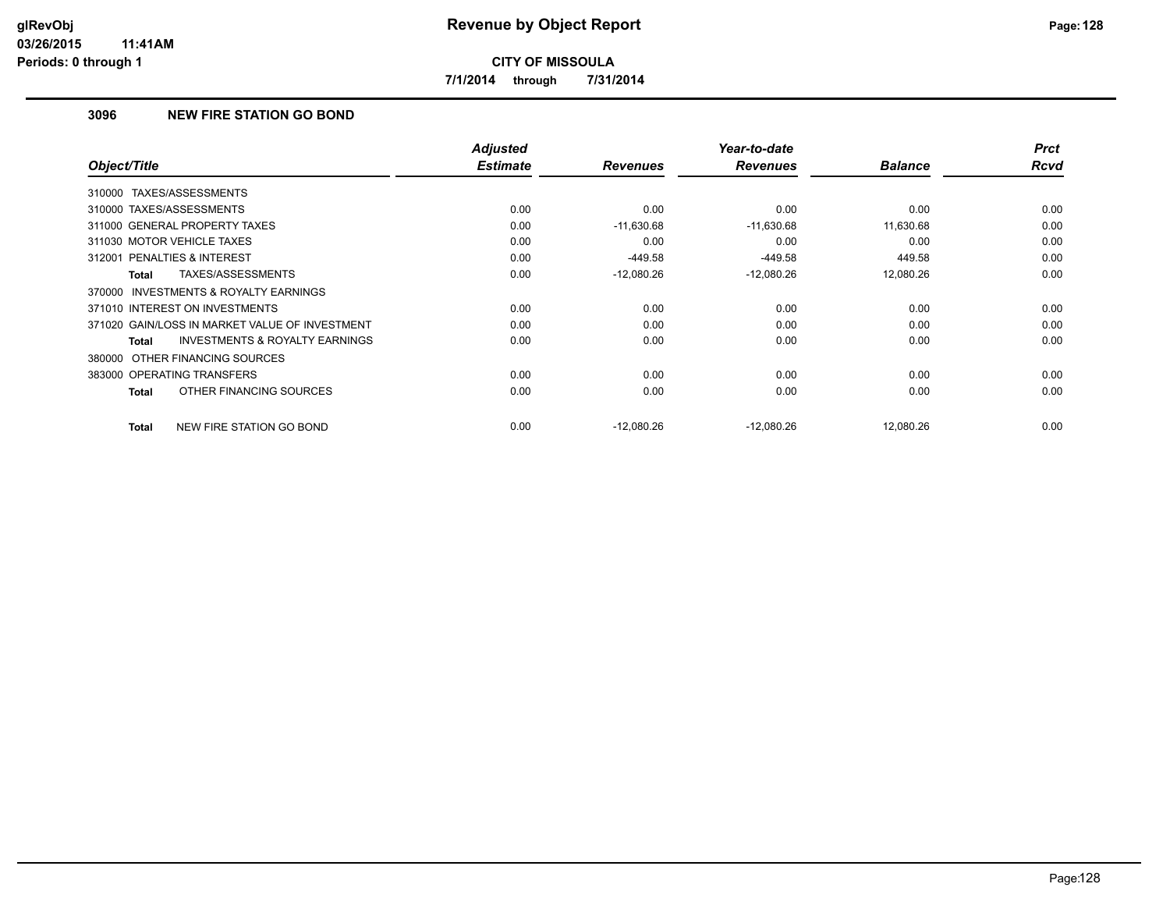**7/1/2014 through 7/31/2014**

## **3096 NEW FIRE STATION GO BOND**

|                                                     | <b>Adjusted</b><br><b>Estimate</b> |                 | Year-to-date    |                | <b>Prct</b> |
|-----------------------------------------------------|------------------------------------|-----------------|-----------------|----------------|-------------|
| Object/Title                                        |                                    | <b>Revenues</b> | <b>Revenues</b> | <b>Balance</b> | <b>Rcvd</b> |
| 310000 TAXES/ASSESSMENTS                            |                                    |                 |                 |                |             |
| 310000 TAXES/ASSESSMENTS                            | 0.00                               | 0.00            | 0.00            | 0.00           | 0.00        |
| 311000 GENERAL PROPERTY TAXES                       | 0.00                               | $-11,630.68$    | $-11,630.68$    | 11,630.68      | 0.00        |
| 311030 MOTOR VEHICLE TAXES                          | 0.00                               | 0.00            | 0.00            | 0.00           | 0.00        |
| 312001 PENALTIES & INTEREST                         | 0.00                               | $-449.58$       | $-449.58$       | 449.58         | 0.00        |
| TAXES/ASSESSMENTS<br>Total                          | 0.00                               | $-12,080.26$    | $-12,080.26$    | 12,080.26      | 0.00        |
| <b>INVESTMENTS &amp; ROYALTY EARNINGS</b><br>370000 |                                    |                 |                 |                |             |
| 371010 INTEREST ON INVESTMENTS                      | 0.00                               | 0.00            | 0.00            | 0.00           | 0.00        |
| 371020 GAIN/LOSS IN MARKET VALUE OF INVESTMENT      | 0.00                               | 0.00            | 0.00            | 0.00           | 0.00        |
| <b>INVESTMENTS &amp; ROYALTY EARNINGS</b><br>Total  | 0.00                               | 0.00            | 0.00            | 0.00           | 0.00        |
| 380000 OTHER FINANCING SOURCES                      |                                    |                 |                 |                |             |
| 383000 OPERATING TRANSFERS                          | 0.00                               | 0.00            | 0.00            | 0.00           | 0.00        |
| OTHER FINANCING SOURCES<br>Total                    | 0.00                               | 0.00            | 0.00            | 0.00           | 0.00        |
| NEW FIRE STATION GO BOND<br>Total                   | 0.00                               | $-12,080.26$    | $-12,080.26$    | 12,080.26      | 0.00        |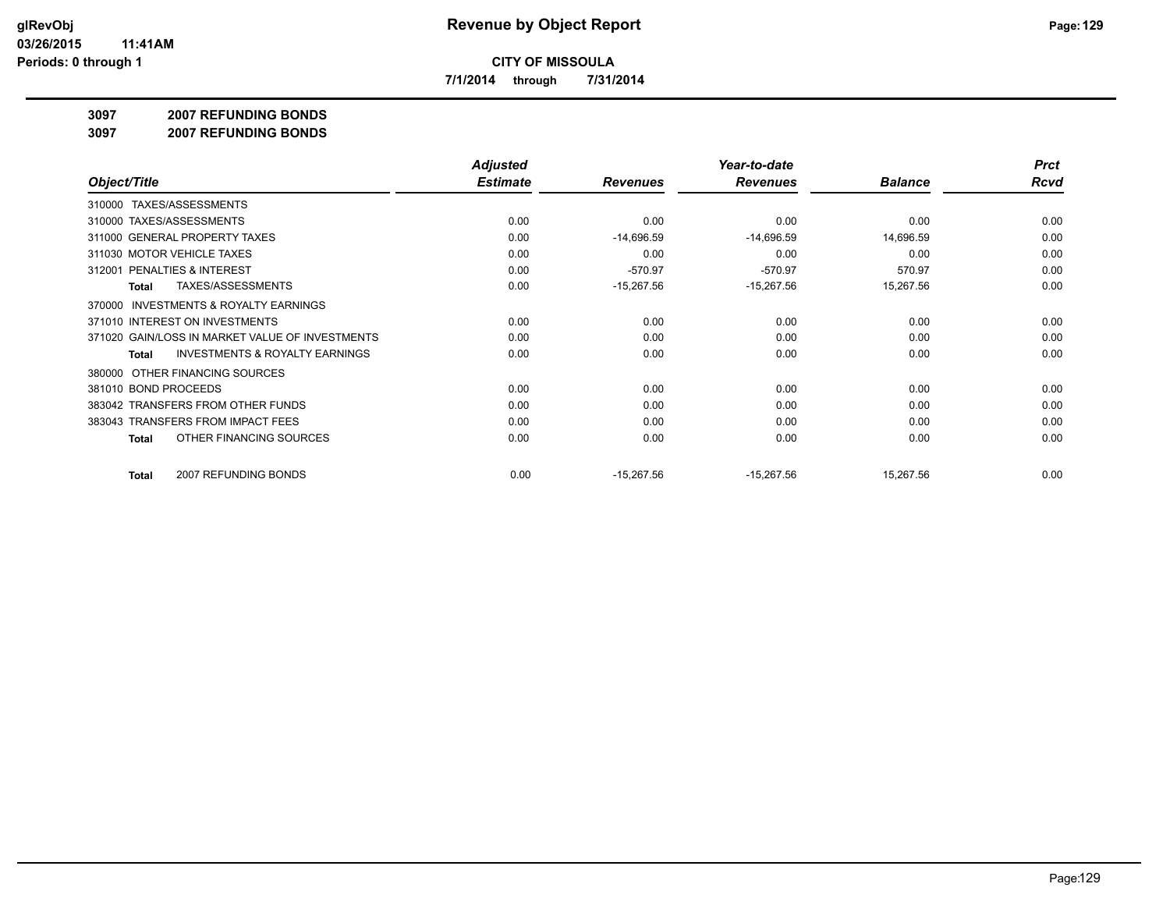**7/1/2014 through 7/31/2014**

#### **3097 2007 REFUNDING BONDS**

**3097 2007 REFUNDING BONDS**

|                                                     | <b>Adjusted</b> |                 | Year-to-date    |                | <b>Prct</b> |
|-----------------------------------------------------|-----------------|-----------------|-----------------|----------------|-------------|
| Object/Title                                        | <b>Estimate</b> | <b>Revenues</b> | <b>Revenues</b> | <b>Balance</b> | <b>Rcvd</b> |
| TAXES/ASSESSMENTS<br>310000                         |                 |                 |                 |                |             |
| 310000 TAXES/ASSESSMENTS                            | 0.00            | 0.00            | 0.00            | 0.00           | 0.00        |
| 311000 GENERAL PROPERTY TAXES                       | 0.00            | $-14,696.59$    | $-14,696.59$    | 14,696.59      | 0.00        |
| 311030 MOTOR VEHICLE TAXES                          | 0.00            | 0.00            | 0.00            | 0.00           | 0.00        |
| <b>PENALTIES &amp; INTEREST</b><br>312001           | 0.00            | $-570.97$       | $-570.97$       | 570.97         | 0.00        |
| <b>TAXES/ASSESSMENTS</b><br>Total                   | 0.00            | $-15,267.56$    | $-15,267.56$    | 15,267.56      | 0.00        |
| <b>INVESTMENTS &amp; ROYALTY EARNINGS</b><br>370000 |                 |                 |                 |                |             |
| 371010 INTEREST ON INVESTMENTS                      | 0.00            | 0.00            | 0.00            | 0.00           | 0.00        |
| 371020 GAIN/LOSS IN MARKET VALUE OF INVESTMENTS     | 0.00            | 0.00            | 0.00            | 0.00           | 0.00        |
| <b>INVESTMENTS &amp; ROYALTY EARNINGS</b><br>Total  | 0.00            | 0.00            | 0.00            | 0.00           | 0.00        |
| OTHER FINANCING SOURCES<br>380000                   |                 |                 |                 |                |             |
| 381010 BOND PROCEEDS                                | 0.00            | 0.00            | 0.00            | 0.00           | 0.00        |
| 383042 TRANSFERS FROM OTHER FUNDS                   | 0.00            | 0.00            | 0.00            | 0.00           | 0.00        |
| 383043 TRANSFERS FROM IMPACT FEES                   | 0.00            | 0.00            | 0.00            | 0.00           | 0.00        |
| OTHER FINANCING SOURCES<br>Total                    | 0.00            | 0.00            | 0.00            | 0.00           | 0.00        |
| 2007 REFUNDING BONDS<br>Total                       | 0.00            | $-15,267.56$    | $-15,267.56$    | 15,267.56      | 0.00        |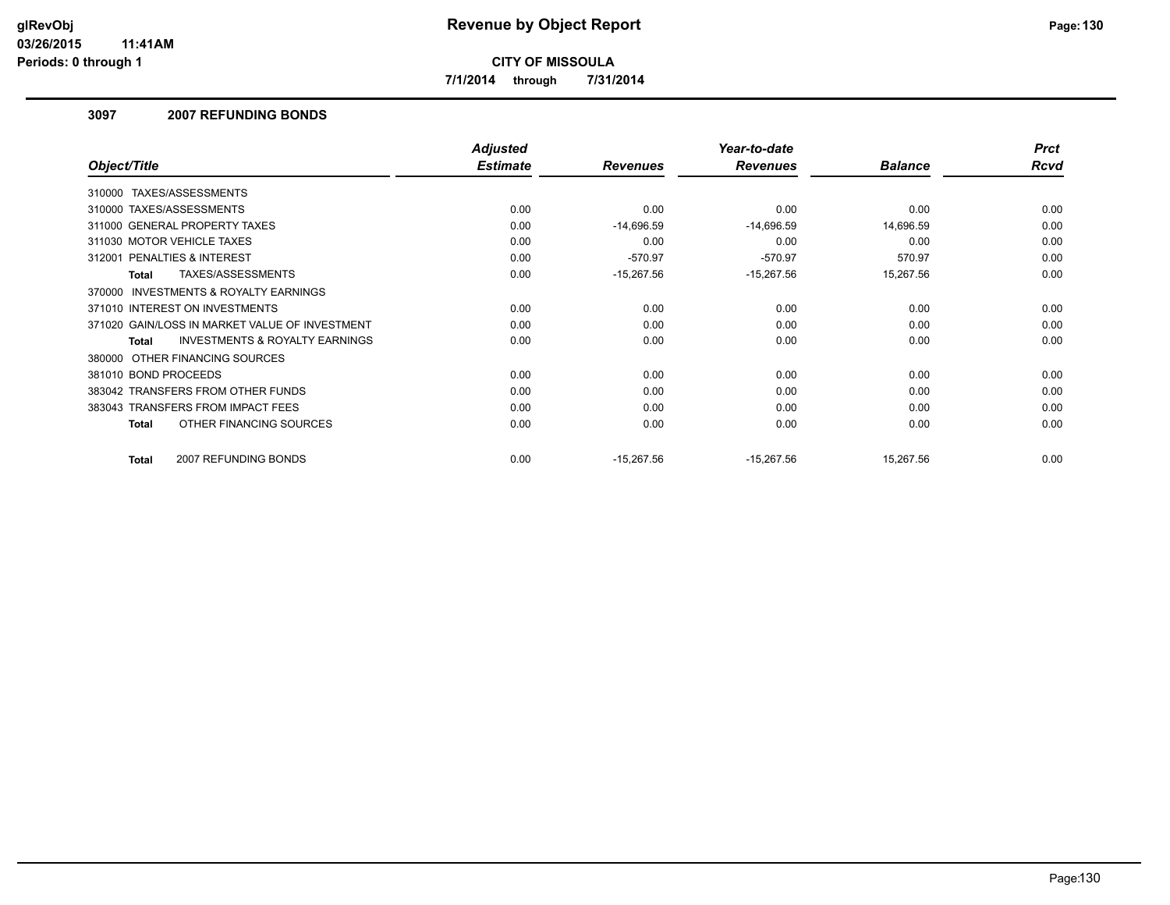**7/1/2014 through 7/31/2014**

## **3097 2007 REFUNDING BONDS**

|                                                           | <b>Adjusted</b> |                 | Year-to-date    |                | <b>Prct</b> |
|-----------------------------------------------------------|-----------------|-----------------|-----------------|----------------|-------------|
| Object/Title                                              | <b>Estimate</b> | <b>Revenues</b> | <b>Revenues</b> | <b>Balance</b> | Rcvd        |
| TAXES/ASSESSMENTS<br>310000                               |                 |                 |                 |                |             |
| 310000 TAXES/ASSESSMENTS                                  | 0.00            | 0.00            | 0.00            | 0.00           | 0.00        |
| 311000 GENERAL PROPERTY TAXES                             | 0.00            | $-14,696.59$    | $-14,696.59$    | 14,696.59      | 0.00        |
| 311030 MOTOR VEHICLE TAXES                                | 0.00            | 0.00            | 0.00            | 0.00           | 0.00        |
| 312001 PENALTIES & INTEREST                               | 0.00            | $-570.97$       | $-570.97$       | 570.97         | 0.00        |
| TAXES/ASSESSMENTS<br><b>Total</b>                         | 0.00            | $-15,267.56$    | $-15,267.56$    | 15,267.56      | 0.00        |
| <b>INVESTMENTS &amp; ROYALTY EARNINGS</b><br>370000       |                 |                 |                 |                |             |
| 371010 INTEREST ON INVESTMENTS                            | 0.00            | 0.00            | 0.00            | 0.00           | 0.00        |
| 371020 GAIN/LOSS IN MARKET VALUE OF INVESTMENT            | 0.00            | 0.00            | 0.00            | 0.00           | 0.00        |
| <b>INVESTMENTS &amp; ROYALTY EARNINGS</b><br><b>Total</b> | 0.00            | 0.00            | 0.00            | 0.00           | 0.00        |
| 380000 OTHER FINANCING SOURCES                            |                 |                 |                 |                |             |
| 381010 BOND PROCEEDS                                      | 0.00            | 0.00            | 0.00            | 0.00           | 0.00        |
| 383042 TRANSFERS FROM OTHER FUNDS                         | 0.00            | 0.00            | 0.00            | 0.00           | 0.00        |
| 383043 TRANSFERS FROM IMPACT FEES                         | 0.00            | 0.00            | 0.00            | 0.00           | 0.00        |
| OTHER FINANCING SOURCES<br><b>Total</b>                   | 0.00            | 0.00            | 0.00            | 0.00           | 0.00        |
| 2007 REFUNDING BONDS<br>Total                             | 0.00            | $-15,267.56$    | $-15,267.56$    | 15,267.56      | 0.00        |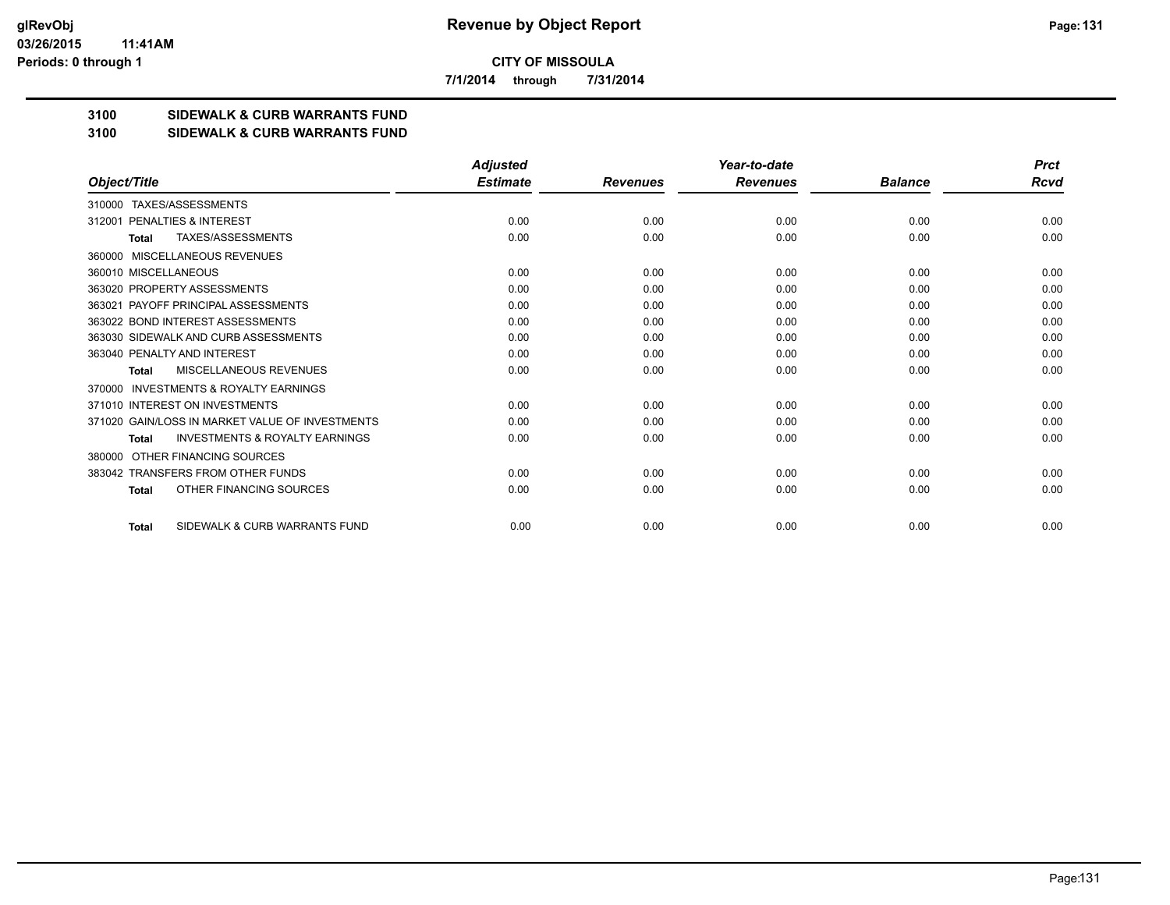**7/1/2014 through 7/31/2014**

## **3100 SIDEWALK & CURB WARRANTS FUND**

#### **3100 SIDEWALK & CURB WARRANTS FUND**

|                                                           | <b>Adjusted</b> |                 | Year-to-date    |                | <b>Prct</b> |
|-----------------------------------------------------------|-----------------|-----------------|-----------------|----------------|-------------|
| Object/Title                                              | <b>Estimate</b> | <b>Revenues</b> | <b>Revenues</b> | <b>Balance</b> | Rcvd        |
| TAXES/ASSESSMENTS<br>310000                               |                 |                 |                 |                |             |
| PENALTIES & INTEREST<br>312001                            | 0.00            | 0.00            | 0.00            | 0.00           | 0.00        |
| TAXES/ASSESSMENTS<br><b>Total</b>                         | 0.00            | 0.00            | 0.00            | 0.00           | 0.00        |
| MISCELLANEOUS REVENUES<br>360000                          |                 |                 |                 |                |             |
| 360010 MISCELLANEOUS                                      | 0.00            | 0.00            | 0.00            | 0.00           | 0.00        |
| 363020 PROPERTY ASSESSMENTS                               | 0.00            | 0.00            | 0.00            | 0.00           | 0.00        |
| 363021 PAYOFF PRINCIPAL ASSESSMENTS                       | 0.00            | 0.00            | 0.00            | 0.00           | 0.00        |
| 363022 BOND INTEREST ASSESSMENTS                          | 0.00            | 0.00            | 0.00            | 0.00           | 0.00        |
| 363030 SIDEWALK AND CURB ASSESSMENTS                      | 0.00            | 0.00            | 0.00            | 0.00           | 0.00        |
| 363040 PENALTY AND INTEREST                               | 0.00            | 0.00            | 0.00            | 0.00           | 0.00        |
| MISCELLANEOUS REVENUES<br><b>Total</b>                    | 0.00            | 0.00            | 0.00            | 0.00           | 0.00        |
| <b>INVESTMENTS &amp; ROYALTY EARNINGS</b><br>370000       |                 |                 |                 |                |             |
| 371010 INTEREST ON INVESTMENTS                            | 0.00            | 0.00            | 0.00            | 0.00           | 0.00        |
| 371020 GAIN/LOSS IN MARKET VALUE OF INVESTMENTS           | 0.00            | 0.00            | 0.00            | 0.00           | 0.00        |
| <b>INVESTMENTS &amp; ROYALTY EARNINGS</b><br><b>Total</b> | 0.00            | 0.00            | 0.00            | 0.00           | 0.00        |
| OTHER FINANCING SOURCES<br>380000                         |                 |                 |                 |                |             |
| 383042 TRANSFERS FROM OTHER FUNDS                         | 0.00            | 0.00            | 0.00            | 0.00           | 0.00        |
| OTHER FINANCING SOURCES<br><b>Total</b>                   | 0.00            | 0.00            | 0.00            | 0.00           | 0.00        |
| SIDEWALK & CURB WARRANTS FUND<br><b>Total</b>             | 0.00            | 0.00            | 0.00            | 0.00           | 0.00        |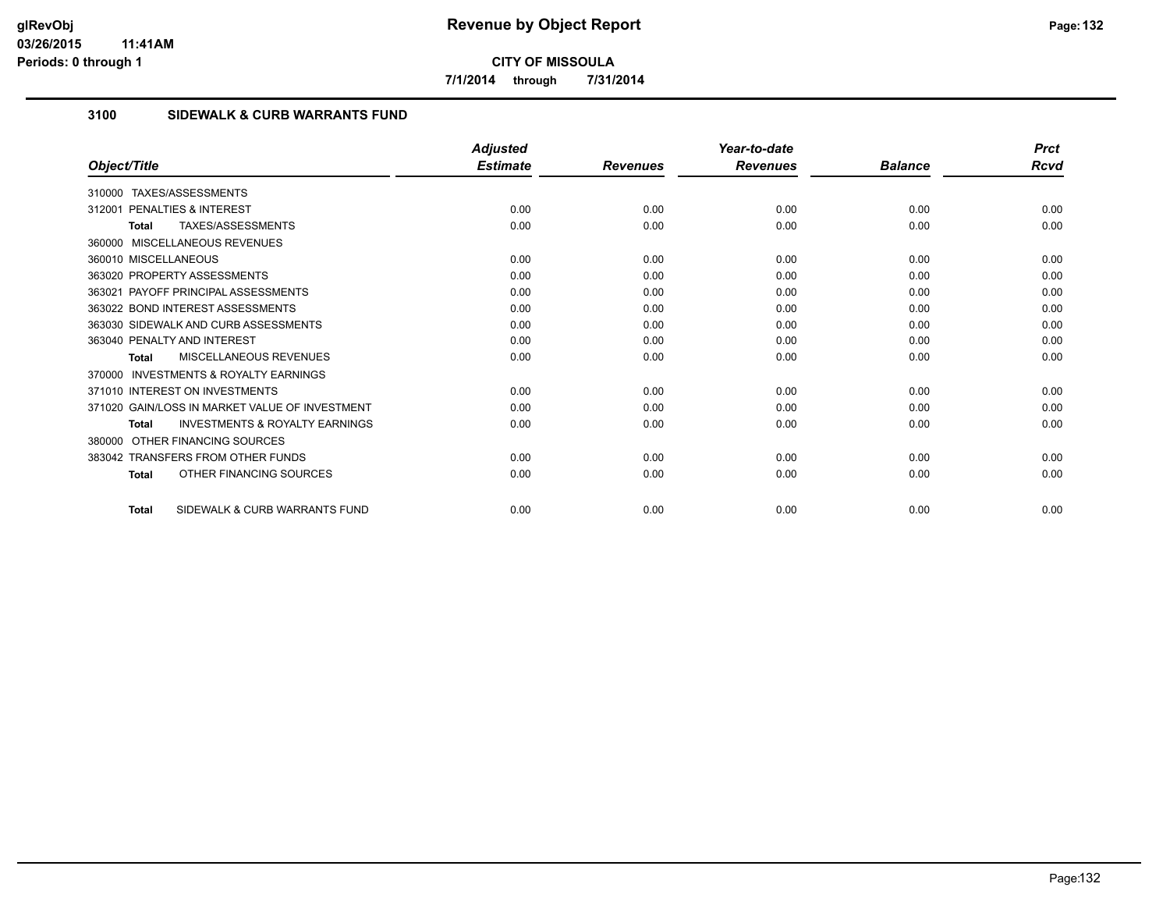**7/1/2014 through 7/31/2014**

## **3100 SIDEWALK & CURB WARRANTS FUND**

|                                                     | <b>Adjusted</b> |                 | Year-to-date    |                | <b>Prct</b> |
|-----------------------------------------------------|-----------------|-----------------|-----------------|----------------|-------------|
| Object/Title                                        | <b>Estimate</b> | <b>Revenues</b> | <b>Revenues</b> | <b>Balance</b> | Rcvd        |
| TAXES/ASSESSMENTS<br>310000                         |                 |                 |                 |                |             |
| PENALTIES & INTEREST<br>312001                      | 0.00            | 0.00            | 0.00            | 0.00           | 0.00        |
| TAXES/ASSESSMENTS<br>Total                          | 0.00            | 0.00            | 0.00            | 0.00           | 0.00        |
| 360000 MISCELLANEOUS REVENUES                       |                 |                 |                 |                |             |
| 360010 MISCELLANEOUS                                | 0.00            | 0.00            | 0.00            | 0.00           | 0.00        |
| 363020 PROPERTY ASSESSMENTS                         | 0.00            | 0.00            | 0.00            | 0.00           | 0.00        |
| 363021 PAYOFF PRINCIPAL ASSESSMENTS                 | 0.00            | 0.00            | 0.00            | 0.00           | 0.00        |
| 363022 BOND INTEREST ASSESSMENTS                    | 0.00            | 0.00            | 0.00            | 0.00           | 0.00        |
| 363030 SIDEWALK AND CURB ASSESSMENTS                | 0.00            | 0.00            | 0.00            | 0.00           | 0.00        |
| 363040 PENALTY AND INTEREST                         | 0.00            | 0.00            | 0.00            | 0.00           | 0.00        |
| MISCELLANEOUS REVENUES<br>Total                     | 0.00            | 0.00            | 0.00            | 0.00           | 0.00        |
| <b>INVESTMENTS &amp; ROYALTY EARNINGS</b><br>370000 |                 |                 |                 |                |             |
| 371010 INTEREST ON INVESTMENTS                      | 0.00            | 0.00            | 0.00            | 0.00           | 0.00        |
| 371020 GAIN/LOSS IN MARKET VALUE OF INVESTMENT      | 0.00            | 0.00            | 0.00            | 0.00           | 0.00        |
| <b>INVESTMENTS &amp; ROYALTY EARNINGS</b><br>Total  | 0.00            | 0.00            | 0.00            | 0.00           | 0.00        |
| OTHER FINANCING SOURCES<br>380000                   |                 |                 |                 |                |             |
| 383042 TRANSFERS FROM OTHER FUNDS                   | 0.00            | 0.00            | 0.00            | 0.00           | 0.00        |
| OTHER FINANCING SOURCES<br><b>Total</b>             | 0.00            | 0.00            | 0.00            | 0.00           | 0.00        |
| SIDEWALK & CURB WARRANTS FUND<br><b>Total</b>       | 0.00            | 0.00            | 0.00            | 0.00           | 0.00        |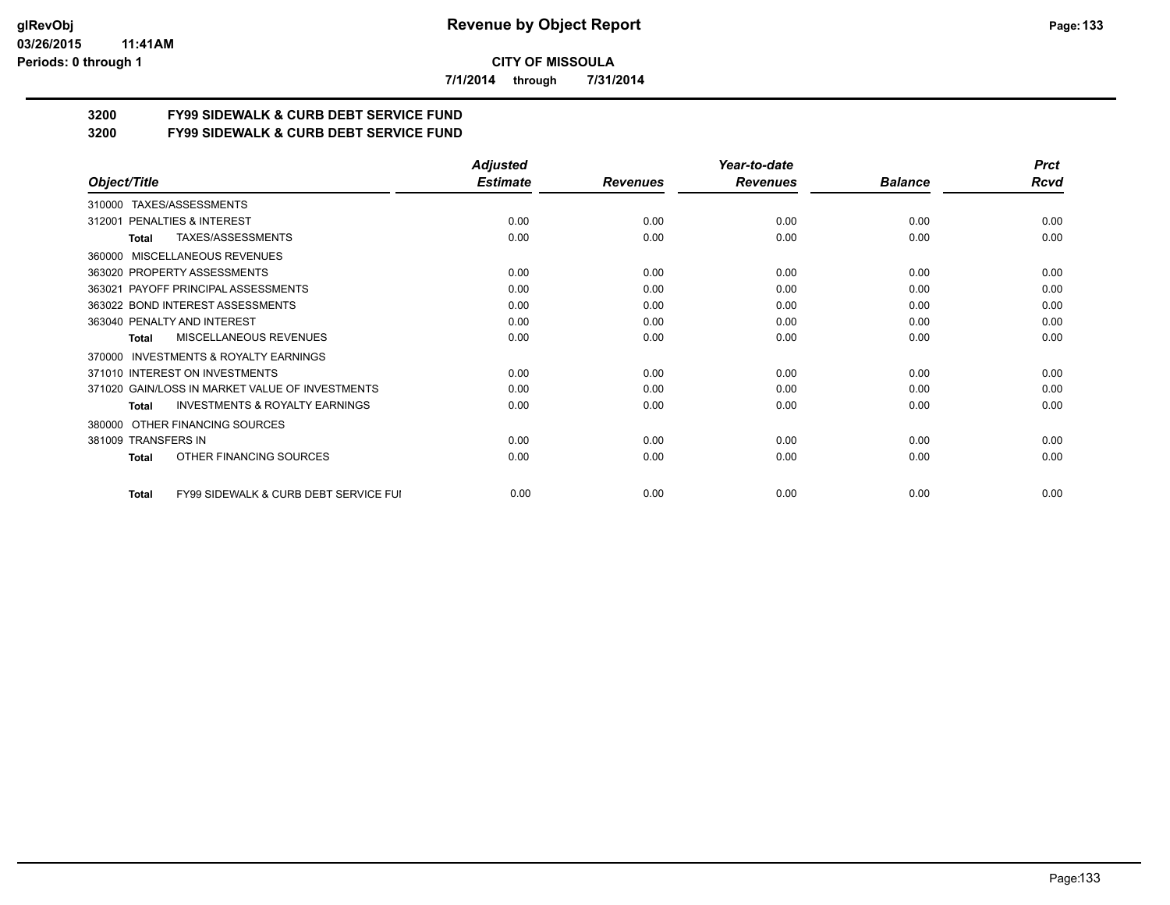#### **03/26/2015 11:41AM Periods: 0 through 1**

**CITY OF MISSOULA**

**7/1/2014 through 7/31/2014**

# **3200 FY99 SIDEWALK & CURB DEBT SERVICE FUND**

**3200 FY99 SIDEWALK & CURB DEBT SERVICE FUND**

|                                                           | <b>Adjusted</b> |                 | Year-to-date    |                | <b>Prct</b> |
|-----------------------------------------------------------|-----------------|-----------------|-----------------|----------------|-------------|
| Object/Title                                              | <b>Estimate</b> | <b>Revenues</b> | <b>Revenues</b> | <b>Balance</b> | <b>Rcvd</b> |
| TAXES/ASSESSMENTS<br>310000                               |                 |                 |                 |                |             |
| PENALTIES & INTEREST<br>312001                            | 0.00            | 0.00            | 0.00            | 0.00           | 0.00        |
| TAXES/ASSESSMENTS<br>Total                                | 0.00            | 0.00            | 0.00            | 0.00           | 0.00        |
| MISCELLANEOUS REVENUES<br>360000                          |                 |                 |                 |                |             |
| 363020 PROPERTY ASSESSMENTS                               | 0.00            | 0.00            | 0.00            | 0.00           | 0.00        |
| PAYOFF PRINCIPAL ASSESSMENTS<br>363021                    | 0.00            | 0.00            | 0.00            | 0.00           | 0.00        |
| 363022 BOND INTEREST ASSESSMENTS                          | 0.00            | 0.00            | 0.00            | 0.00           | 0.00        |
| 363040 PENALTY AND INTEREST                               | 0.00            | 0.00            | 0.00            | 0.00           | 0.00        |
| MISCELLANEOUS REVENUES<br>Total                           | 0.00            | 0.00            | 0.00            | 0.00           | 0.00        |
| <b>INVESTMENTS &amp; ROYALTY EARNINGS</b><br>370000       |                 |                 |                 |                |             |
| 371010 INTEREST ON INVESTMENTS                            | 0.00            | 0.00            | 0.00            | 0.00           | 0.00        |
| 371020 GAIN/LOSS IN MARKET VALUE OF INVESTMENTS           | 0.00            | 0.00            | 0.00            | 0.00           | 0.00        |
| <b>INVESTMENTS &amp; ROYALTY EARNINGS</b><br><b>Total</b> | 0.00            | 0.00            | 0.00            | 0.00           | 0.00        |
| OTHER FINANCING SOURCES<br>380000                         |                 |                 |                 |                |             |
| 381009 TRANSFERS IN                                       | 0.00            | 0.00            | 0.00            | 0.00           | 0.00        |
| OTHER FINANCING SOURCES<br><b>Total</b>                   | 0.00            | 0.00            | 0.00            | 0.00           | 0.00        |
| FY99 SIDEWALK & CURB DEBT SERVICE FUI<br><b>Total</b>     | 0.00            | 0.00            | 0.00            | 0.00           | 0.00        |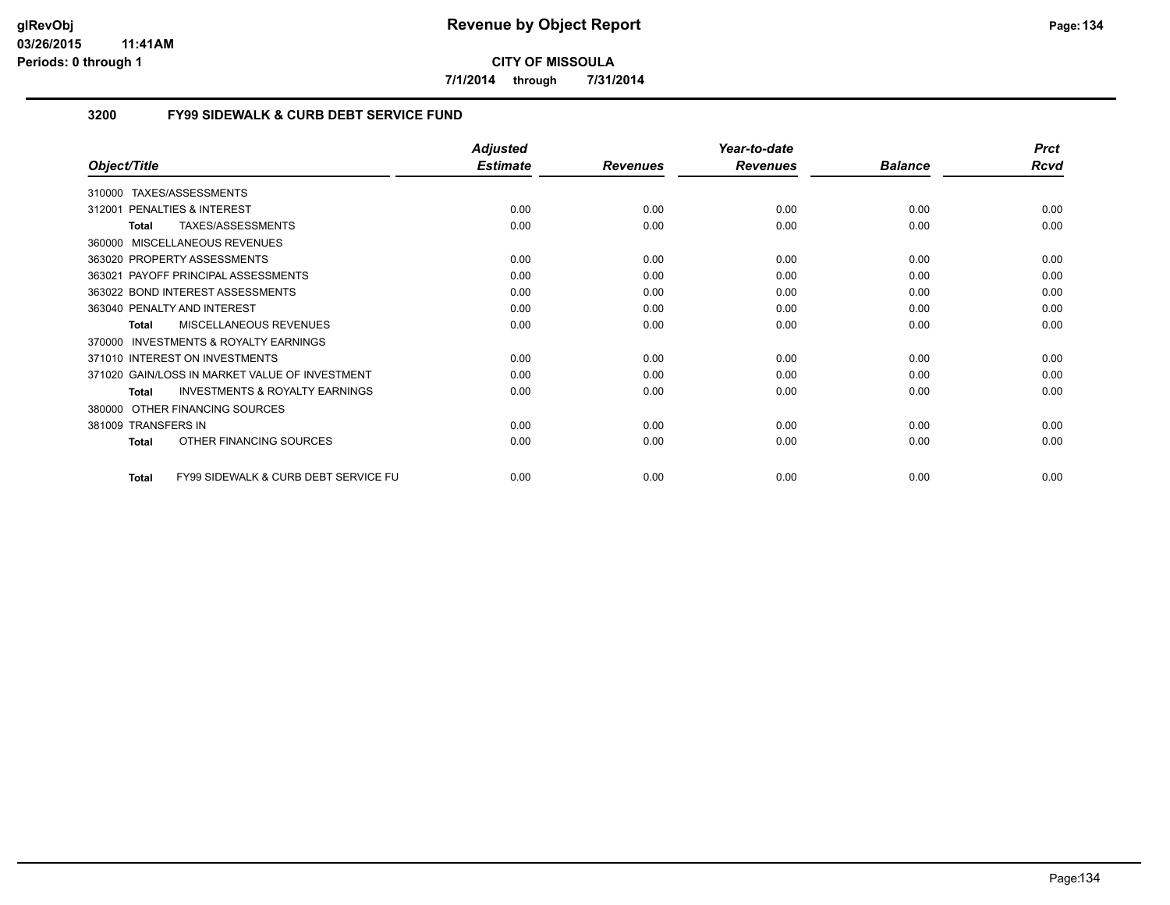**7/1/2014 through 7/31/2014**

## **3200 FY99 SIDEWALK & CURB DEBT SERVICE FUND**

|                                                          | <b>Adjusted</b> |                 | Year-to-date    |                | <b>Prct</b> |
|----------------------------------------------------------|-----------------|-----------------|-----------------|----------------|-------------|
| Object/Title                                             | <b>Estimate</b> | <b>Revenues</b> | <b>Revenues</b> | <b>Balance</b> | <b>Rcvd</b> |
| TAXES/ASSESSMENTS<br>310000                              |                 |                 |                 |                |             |
| PENALTIES & INTEREST<br>312001                           | 0.00            | 0.00            | 0.00            | 0.00           | 0.00        |
| TAXES/ASSESSMENTS<br><b>Total</b>                        | 0.00            | 0.00            | 0.00            | 0.00           | 0.00        |
| 360000 MISCELLANEOUS REVENUES                            |                 |                 |                 |                |             |
| 363020 PROPERTY ASSESSMENTS                              | 0.00            | 0.00            | 0.00            | 0.00           | 0.00        |
| PAYOFF PRINCIPAL ASSESSMENTS<br>363021                   | 0.00            | 0.00            | 0.00            | 0.00           | 0.00        |
| 363022 BOND INTEREST ASSESSMENTS                         | 0.00            | 0.00            | 0.00            | 0.00           | 0.00        |
| 363040 PENALTY AND INTEREST                              | 0.00            | 0.00            | 0.00            | 0.00           | 0.00        |
| <b>MISCELLANEOUS REVENUES</b><br>Total                   | 0.00            | 0.00            | 0.00            | 0.00           | 0.00        |
| INVESTMENTS & ROYALTY EARNINGS<br>370000                 |                 |                 |                 |                |             |
| 371010 INTEREST ON INVESTMENTS                           | 0.00            | 0.00            | 0.00            | 0.00           | 0.00        |
| 371020 GAIN/LOSS IN MARKET VALUE OF INVESTMENT           | 0.00            | 0.00            | 0.00            | 0.00           | 0.00        |
| <b>INVESTMENTS &amp; ROYALTY EARNINGS</b><br>Total       | 0.00            | 0.00            | 0.00            | 0.00           | 0.00        |
| OTHER FINANCING SOURCES<br>380000                        |                 |                 |                 |                |             |
| 381009 TRANSFERS IN                                      | 0.00            | 0.00            | 0.00            | 0.00           | 0.00        |
| OTHER FINANCING SOURCES<br><b>Total</b>                  | 0.00            | 0.00            | 0.00            | 0.00           | 0.00        |
| <b>FY99 SIDEWALK &amp; CURB DEBT SERVICE FU</b><br>Total | 0.00            | 0.00            | 0.00            | 0.00           | 0.00        |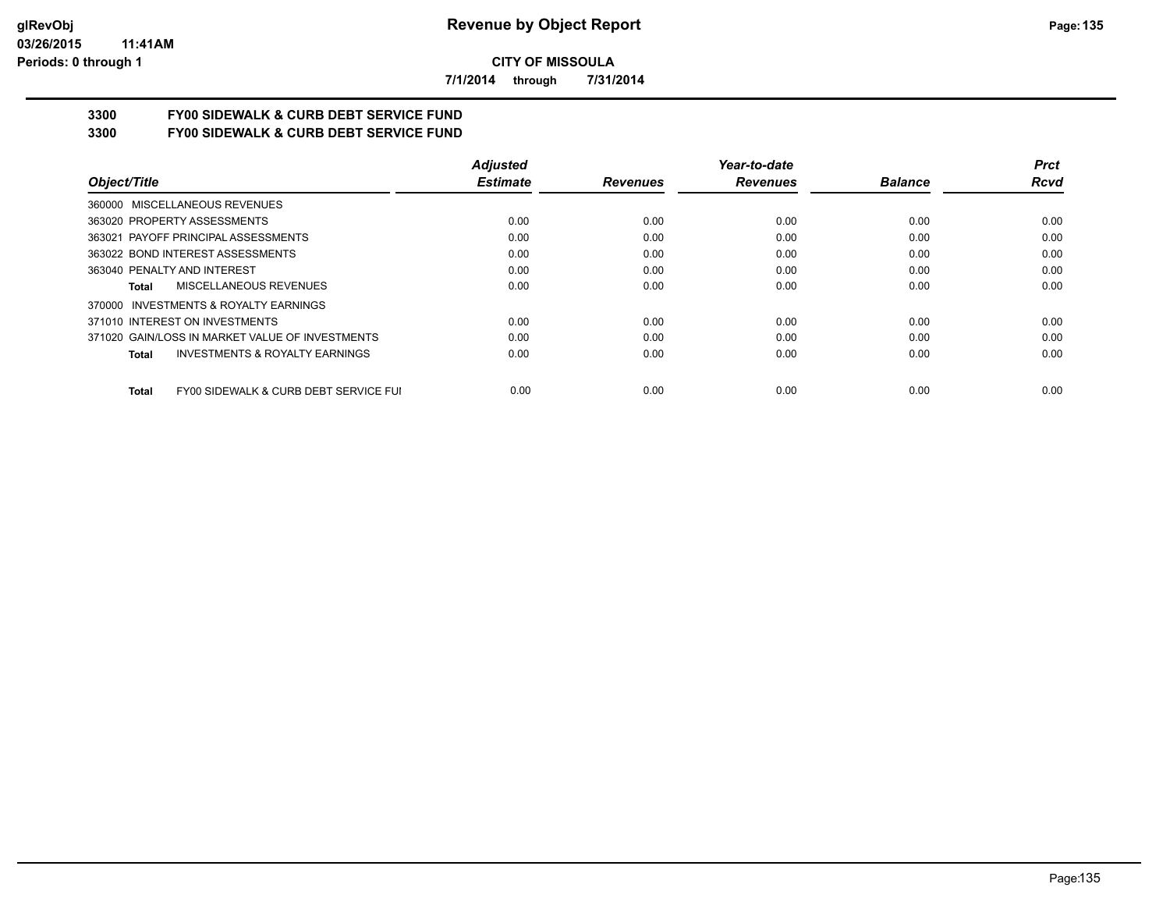**7/1/2014 through 7/31/2014**

# **3300 FY00 SIDEWALK & CURB DEBT SERVICE FUND**

**3300 FY00 SIDEWALK & CURB DEBT SERVICE FUND**

|                                                           | <b>Adjusted</b> |                 | Year-to-date    |                | <b>Prct</b> |
|-----------------------------------------------------------|-----------------|-----------------|-----------------|----------------|-------------|
| Object/Title                                              | <b>Estimate</b> | <b>Revenues</b> | <b>Revenues</b> | <b>Balance</b> | Rcvd        |
| 360000 MISCELLANEOUS REVENUES                             |                 |                 |                 |                |             |
| 363020 PROPERTY ASSESSMENTS                               | 0.00            | 0.00            | 0.00            | 0.00           | 0.00        |
| 363021 PAYOFF PRINCIPAL ASSESSMENTS                       | 0.00            | 0.00            | 0.00            | 0.00           | 0.00        |
| 363022 BOND INTEREST ASSESSMENTS                          | 0.00            | 0.00            | 0.00            | 0.00           | 0.00        |
| 363040 PENALTY AND INTEREST                               | 0.00            | 0.00            | 0.00            | 0.00           | 0.00        |
| MISCELLANEOUS REVENUES<br>Total                           | 0.00            | 0.00            | 0.00            | 0.00           | 0.00        |
| INVESTMENTS & ROYALTY EARNINGS<br>370000                  |                 |                 |                 |                |             |
| 371010 INTEREST ON INVESTMENTS                            | 0.00            | 0.00            | 0.00            | 0.00           | 0.00        |
| 371020 GAIN/LOSS IN MARKET VALUE OF INVESTMENTS           | 0.00            | 0.00            | 0.00            | 0.00           | 0.00        |
| <b>INVESTMENTS &amp; ROYALTY EARNINGS</b><br><b>Total</b> | 0.00            | 0.00            | 0.00            | 0.00           | 0.00        |
| FY00 SIDEWALK & CURB DEBT SERVICE FUI<br><b>Total</b>     | 0.00            | 0.00            | 0.00            | 0.00           | 0.00        |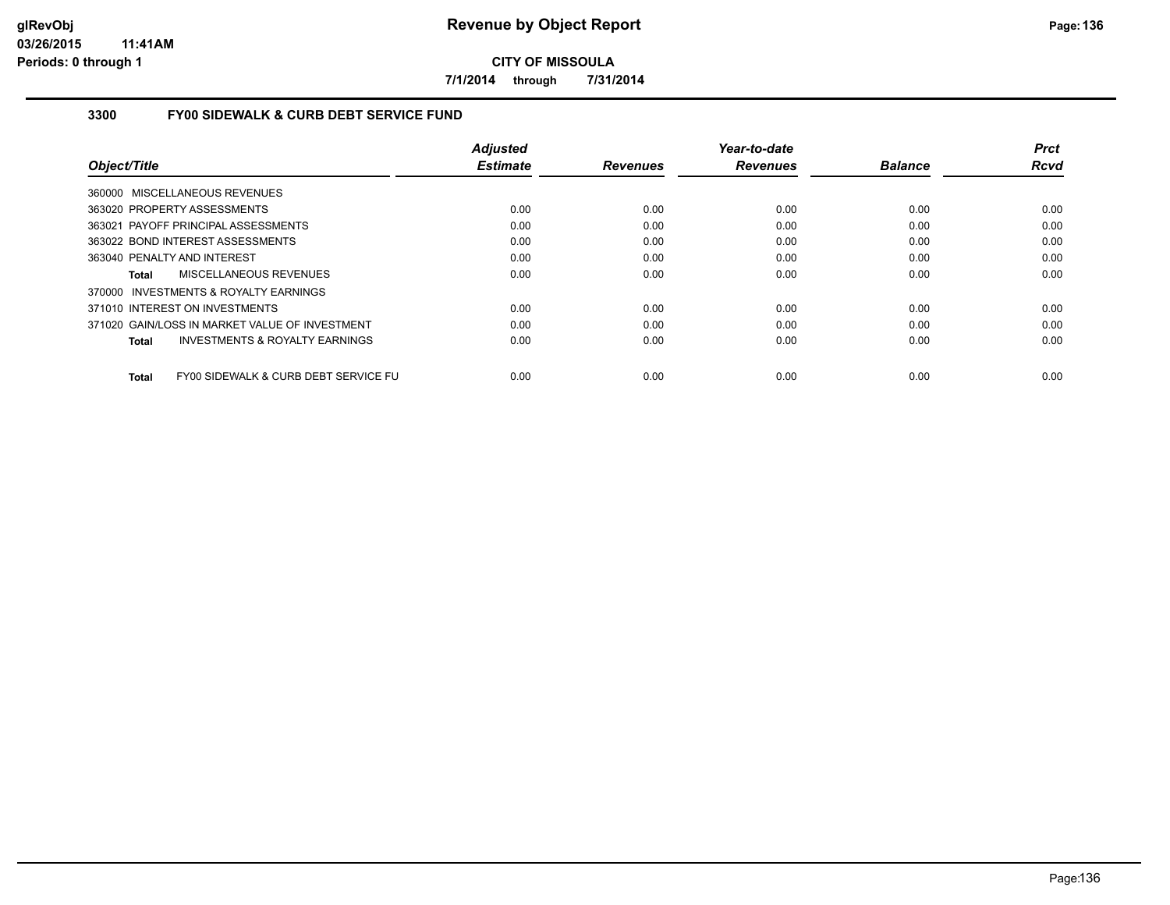**7/1/2014 through 7/31/2014**

## **3300 FY00 SIDEWALK & CURB DEBT SERVICE FUND**

|                                                           | <b>Adjusted</b> |                 | Year-to-date    |                | <b>Prct</b> |
|-----------------------------------------------------------|-----------------|-----------------|-----------------|----------------|-------------|
| Object/Title                                              | <b>Estimate</b> | <b>Revenues</b> | <b>Revenues</b> | <b>Balance</b> | <b>Rcvd</b> |
| 360000 MISCELLANEOUS REVENUES                             |                 |                 |                 |                |             |
| 363020 PROPERTY ASSESSMENTS                               | 0.00            | 0.00            | 0.00            | 0.00           | 0.00        |
| 363021 PAYOFF PRINCIPAL ASSESSMENTS                       | 0.00            | 0.00            | 0.00            | 0.00           | 0.00        |
| 363022 BOND INTEREST ASSESSMENTS                          | 0.00            | 0.00            | 0.00            | 0.00           | 0.00        |
| 363040 PENALTY AND INTEREST                               | 0.00            | 0.00            | 0.00            | 0.00           | 0.00        |
| <b>MISCELLANEOUS REVENUES</b><br>Total                    | 0.00            | 0.00            | 0.00            | 0.00           | 0.00        |
| 370000 INVESTMENTS & ROYALTY EARNINGS                     |                 |                 |                 |                |             |
| 371010 INTEREST ON INVESTMENTS                            | 0.00            | 0.00            | 0.00            | 0.00           | 0.00        |
| 371020 GAIN/LOSS IN MARKET VALUE OF INVESTMENT            | 0.00            | 0.00            | 0.00            | 0.00           | 0.00        |
| <b>INVESTMENTS &amp; ROYALTY EARNINGS</b><br><b>Total</b> | 0.00            | 0.00            | 0.00            | 0.00           | 0.00        |
| FY00 SIDEWALK & CURB DEBT SERVICE FU<br><b>Total</b>      | 0.00            | 0.00            | 0.00            | 0.00           | 0.00        |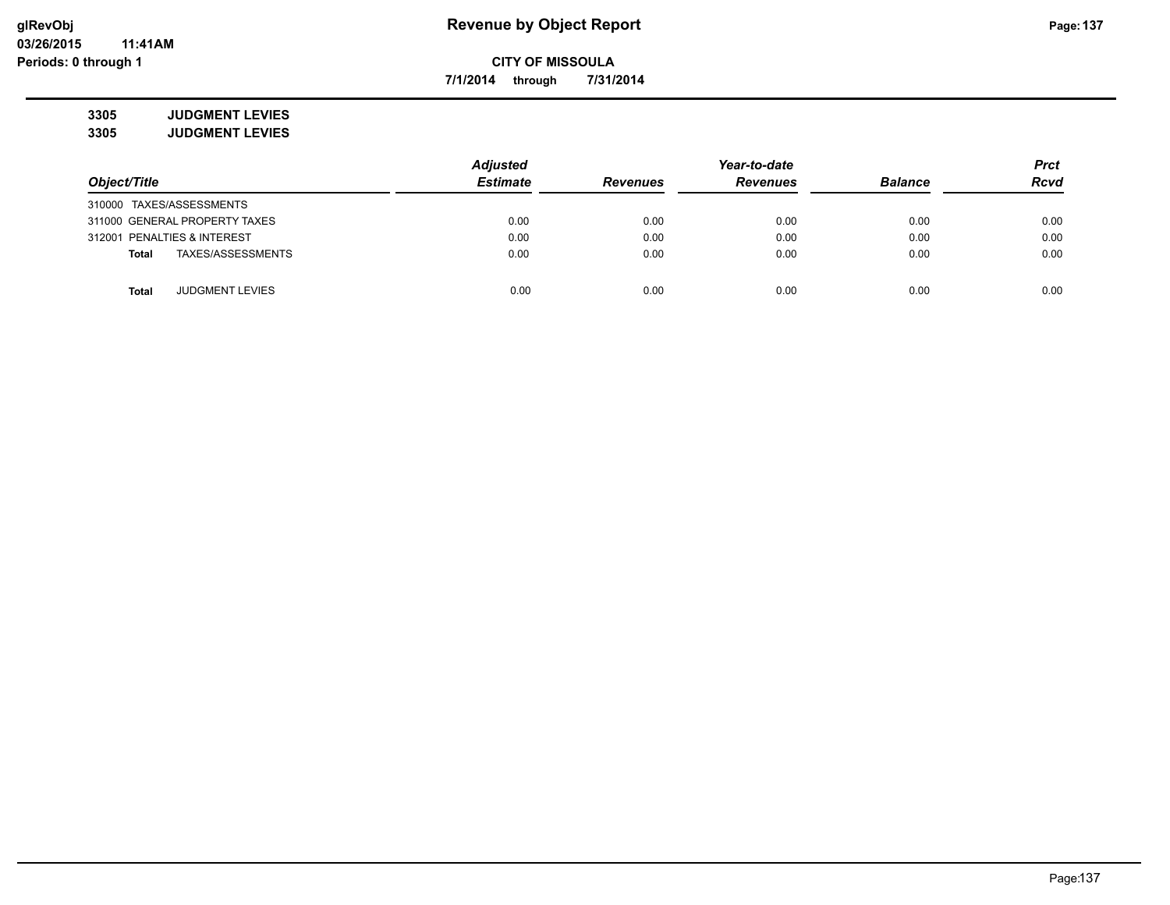**7/1/2014 through 7/31/2014**

**3305 JUDGMENT LEVIES 3305 JUDGMENT LEVIES**

|                                   | <b>Adjusted</b> |                 | Year-to-date    |                | <b>Prct</b> |
|-----------------------------------|-----------------|-----------------|-----------------|----------------|-------------|
| Object/Title                      | <b>Estimate</b> | <b>Revenues</b> | <b>Revenues</b> | <b>Balance</b> | <b>Rcvd</b> |
| 310000 TAXES/ASSESSMENTS          |                 |                 |                 |                |             |
| 311000 GENERAL PROPERTY TAXES     | 0.00            | 0.00            | 0.00            | 0.00           | 0.00        |
| 312001 PENALTIES & INTEREST       | 0.00            | 0.00            | 0.00            | 0.00           | 0.00        |
| TAXES/ASSESSMENTS<br><b>Total</b> | 0.00            | 0.00            | 0.00            | 0.00           | 0.00        |
|                                   |                 |                 |                 |                |             |
| <b>JUDGMENT LEVIES</b><br>Total   | 0.00            | 0.00            | 0.00            | 0.00           | 0.00        |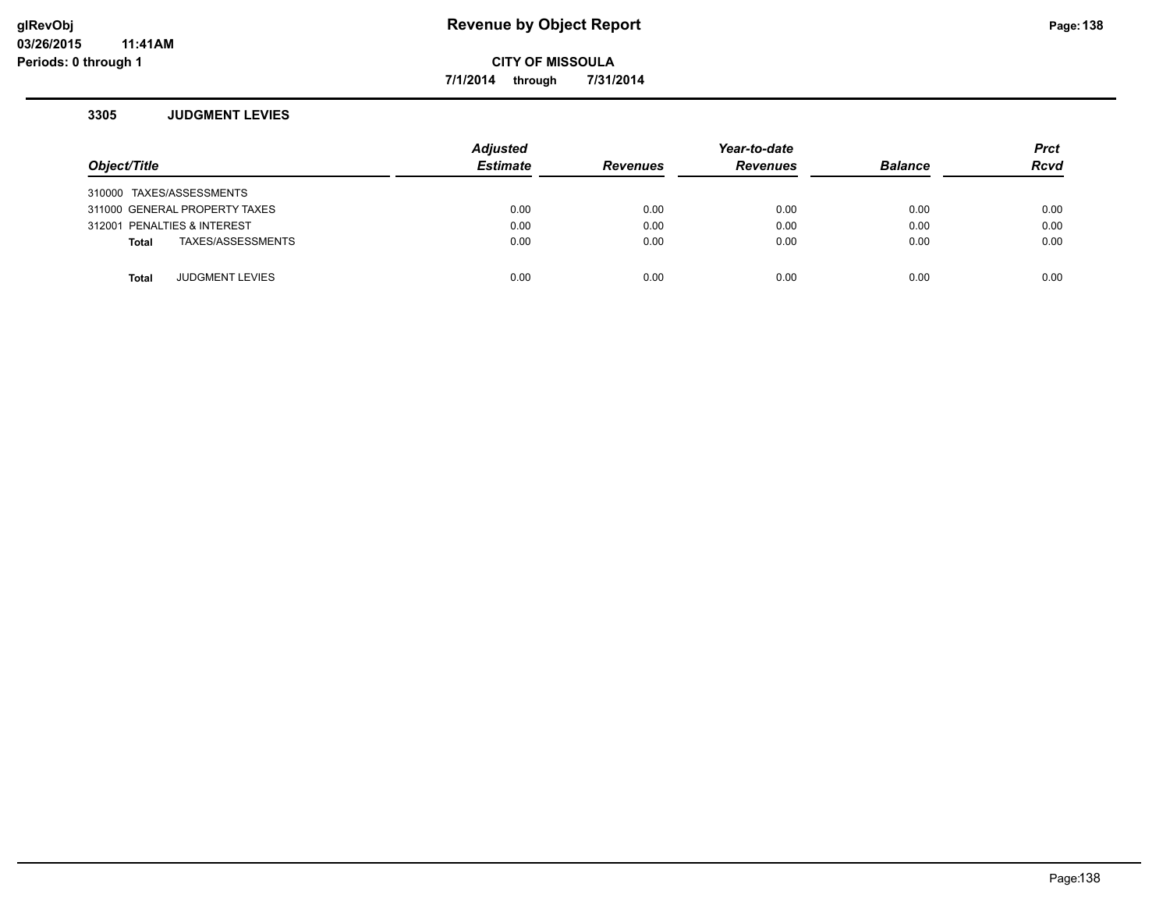## **glRevObj Revenue by Object Report Page:138**

**7/1/2014 through 7/31/2014**

#### **3305 JUDGMENT LEVIES**

| Object/Title                  |                        | <b>Adjusted</b><br><b>Estimate</b> | <b>Revenues</b> | Year-to-date<br><b>Revenues</b> | <b>Balance</b> | <b>Prct</b><br><b>Rcvd</b> |
|-------------------------------|------------------------|------------------------------------|-----------------|---------------------------------|----------------|----------------------------|
| 310000 TAXES/ASSESSMENTS      |                        |                                    |                 |                                 |                |                            |
| 311000 GENERAL PROPERTY TAXES |                        | 0.00                               | 0.00            | 0.00                            | 0.00           | 0.00                       |
| 312001 PENALTIES & INTEREST   |                        | 0.00                               | 0.00            | 0.00                            | 0.00           | 0.00                       |
| Total                         | TAXES/ASSESSMENTS      | 0.00                               | 0.00            | 0.00                            | 0.00           | 0.00                       |
|                               |                        |                                    |                 |                                 |                |                            |
| <b>Total</b>                  | <b>JUDGMENT LEVIES</b> | 0.00                               | 0.00            | 0.00                            | 0.00           | 0.00                       |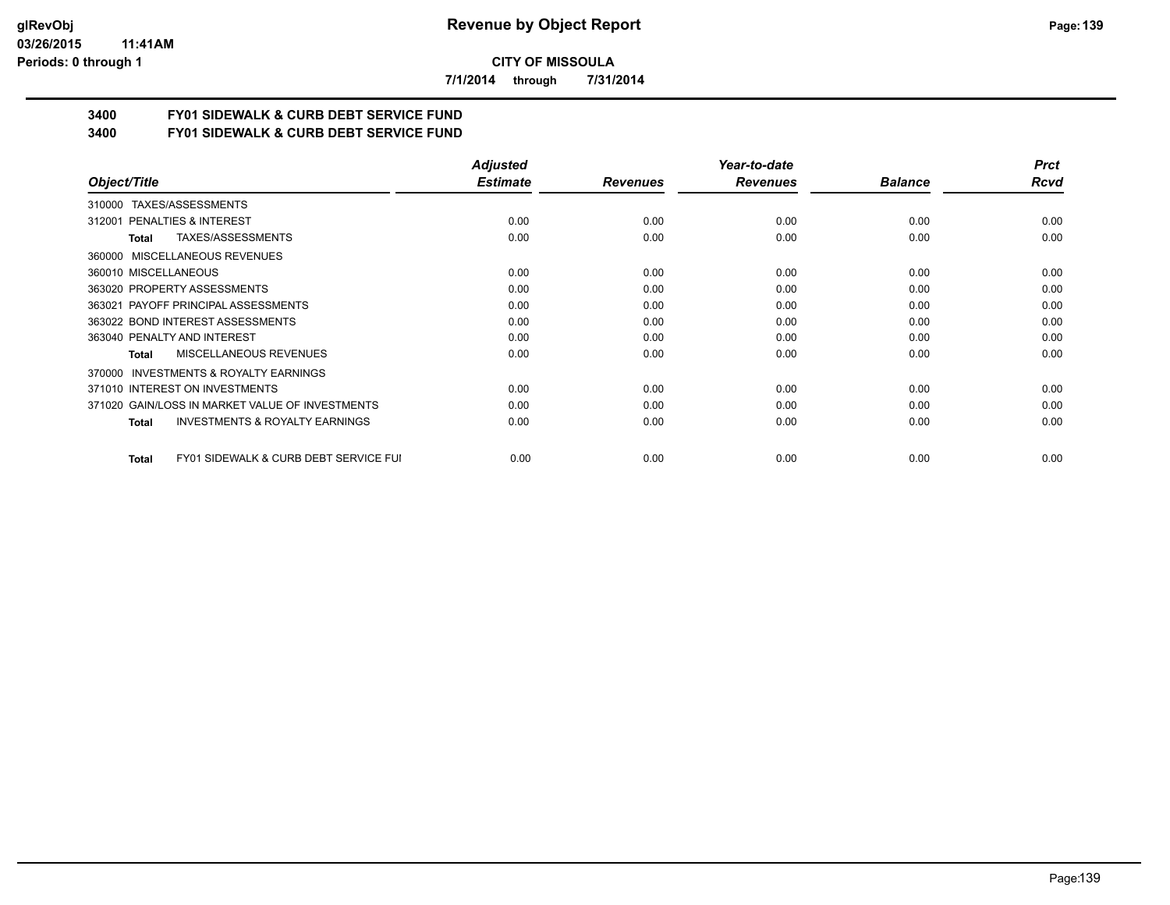#### **03/26/2015 11:41AM Periods: 0 through 1**

**CITY OF MISSOULA**

**7/1/2014 through 7/31/2014**

# **3400 FY01 SIDEWALK & CURB DEBT SERVICE FUND**

**3400 FY01 SIDEWALK & CURB DEBT SERVICE FUND**

|                                                     | <b>Adjusted</b> |                 | Year-to-date    |                | <b>Prct</b> |
|-----------------------------------------------------|-----------------|-----------------|-----------------|----------------|-------------|
| Object/Title                                        | <b>Estimate</b> | <b>Revenues</b> | <b>Revenues</b> | <b>Balance</b> | Rcvd        |
| TAXES/ASSESSMENTS<br>310000                         |                 |                 |                 |                |             |
| 312001 PENALTIES & INTEREST                         | 0.00            | 0.00            | 0.00            | 0.00           | 0.00        |
| TAXES/ASSESSMENTS<br>Total                          | 0.00            | 0.00            | 0.00            | 0.00           | 0.00        |
| MISCELLANEOUS REVENUES<br>360000                    |                 |                 |                 |                |             |
| 360010 MISCELLANEOUS                                | 0.00            | 0.00            | 0.00            | 0.00           | 0.00        |
| 363020 PROPERTY ASSESSMENTS                         | 0.00            | 0.00            | 0.00            | 0.00           | 0.00        |
| 363021 PAYOFF PRINCIPAL ASSESSMENTS                 | 0.00            | 0.00            | 0.00            | 0.00           | 0.00        |
| 363022 BOND INTEREST ASSESSMENTS                    | 0.00            | 0.00            | 0.00            | 0.00           | 0.00        |
| 363040 PENALTY AND INTEREST                         | 0.00            | 0.00            | 0.00            | 0.00           | 0.00        |
| MISCELLANEOUS REVENUES<br>Total                     | 0.00            | 0.00            | 0.00            | 0.00           | 0.00        |
| <b>INVESTMENTS &amp; ROYALTY EARNINGS</b><br>370000 |                 |                 |                 |                |             |
| 371010 INTEREST ON INVESTMENTS                      | 0.00            | 0.00            | 0.00            | 0.00           | 0.00        |
| 371020 GAIN/LOSS IN MARKET VALUE OF INVESTMENTS     | 0.00            | 0.00            | 0.00            | 0.00           | 0.00        |
| <b>INVESTMENTS &amp; ROYALTY EARNINGS</b><br>Total  | 0.00            | 0.00            | 0.00            | 0.00           | 0.00        |
| FY01 SIDEWALK & CURB DEBT SERVICE FUI<br>Total      | 0.00            | 0.00            | 0.00            | 0.00           | 0.00        |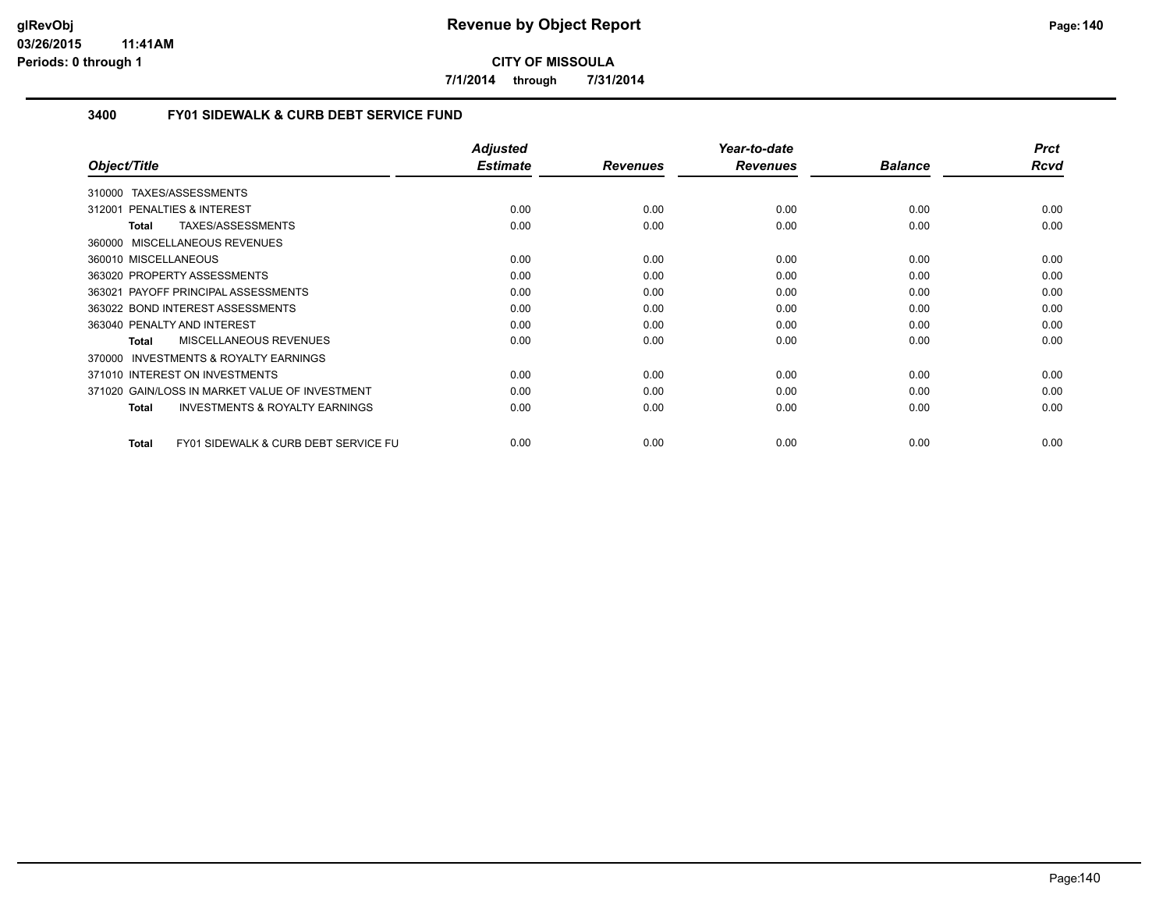**7/1/2014 through 7/31/2014**

## **3400 FY01 SIDEWALK & CURB DEBT SERVICE FUND**

|                                                                 | <b>Adjusted</b> |                 | Year-to-date    |                | <b>Prct</b> |
|-----------------------------------------------------------------|-----------------|-----------------|-----------------|----------------|-------------|
| Object/Title                                                    | <b>Estimate</b> | <b>Revenues</b> | <b>Revenues</b> | <b>Balance</b> | Rcvd        |
| TAXES/ASSESSMENTS<br>310000                                     |                 |                 |                 |                |             |
| 312001 PENALTIES & INTEREST                                     | 0.00            | 0.00            | 0.00            | 0.00           | 0.00        |
| TAXES/ASSESSMENTS<br>Total                                      | 0.00            | 0.00            | 0.00            | 0.00           | 0.00        |
| MISCELLANEOUS REVENUES<br>360000                                |                 |                 |                 |                |             |
| 360010 MISCELLANEOUS                                            | 0.00            | 0.00            | 0.00            | 0.00           | 0.00        |
| 363020 PROPERTY ASSESSMENTS                                     | 0.00            | 0.00            | 0.00            | 0.00           | 0.00        |
| 363021 PAYOFF PRINCIPAL ASSESSMENTS                             | 0.00            | 0.00            | 0.00            | 0.00           | 0.00        |
| 363022 BOND INTEREST ASSESSMENTS                                | 0.00            | 0.00            | 0.00            | 0.00           | 0.00        |
| 363040 PENALTY AND INTEREST                                     | 0.00            | 0.00            | 0.00            | 0.00           | 0.00        |
| MISCELLANEOUS REVENUES<br><b>Total</b>                          | 0.00            | 0.00            | 0.00            | 0.00           | 0.00        |
| INVESTMENTS & ROYALTY EARNINGS<br>370000                        |                 |                 |                 |                |             |
| 371010 INTEREST ON INVESTMENTS                                  | 0.00            | 0.00            | 0.00            | 0.00           | 0.00        |
| 371020 GAIN/LOSS IN MARKET VALUE OF INVESTMENT                  | 0.00            | 0.00            | 0.00            | 0.00           | 0.00        |
| <b>INVESTMENTS &amp; ROYALTY EARNINGS</b><br>Total              | 0.00            | 0.00            | 0.00            | 0.00           | 0.00        |
| <b>FY01 SIDEWALK &amp; CURB DEBT SERVICE FU</b><br><b>Total</b> | 0.00            | 0.00            | 0.00            | 0.00           | 0.00        |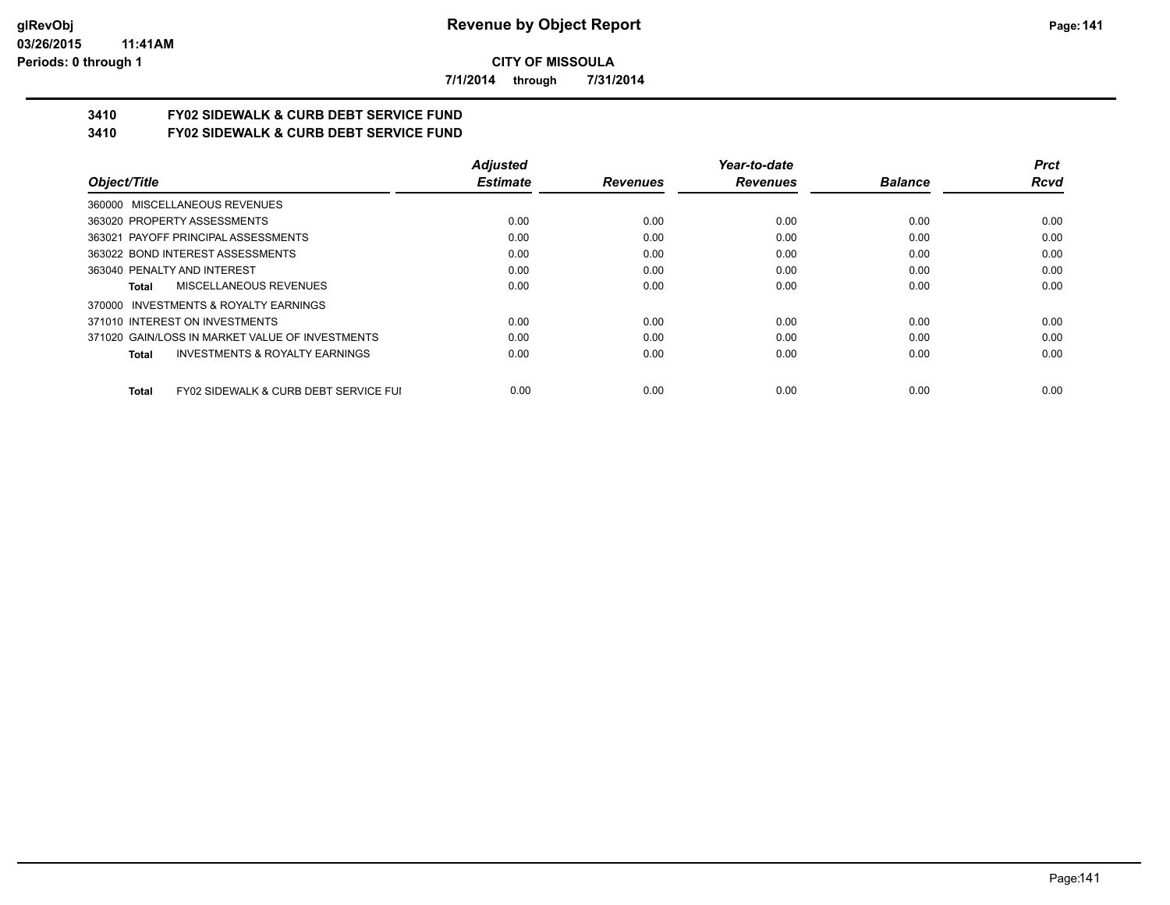**7/1/2014 through 7/31/2014**

# **3410 FY02 SIDEWALK & CURB DEBT SERVICE FUND**

**3410 FY02 SIDEWALK & CURB DEBT SERVICE FUND**

|                                                                  | <b>Adjusted</b> |                 | Year-to-date    |                | <b>Prct</b> |
|------------------------------------------------------------------|-----------------|-----------------|-----------------|----------------|-------------|
| Object/Title                                                     | <b>Estimate</b> | <b>Revenues</b> | <b>Revenues</b> | <b>Balance</b> | <b>Rcvd</b> |
| 360000 MISCELLANEOUS REVENUES                                    |                 |                 |                 |                |             |
| 363020 PROPERTY ASSESSMENTS                                      | 0.00            | 0.00            | 0.00            | 0.00           | 0.00        |
| 363021 PAYOFF PRINCIPAL ASSESSMENTS                              | 0.00            | 0.00            | 0.00            | 0.00           | 0.00        |
| 363022 BOND INTEREST ASSESSMENTS                                 | 0.00            | 0.00            | 0.00            | 0.00           | 0.00        |
| 363040 PENALTY AND INTEREST                                      | 0.00            | 0.00            | 0.00            | 0.00           | 0.00        |
| MISCELLANEOUS REVENUES<br>Total                                  | 0.00            | 0.00            | 0.00            | 0.00           | 0.00        |
| 370000 INVESTMENTS & ROYALTY EARNINGS                            |                 |                 |                 |                |             |
| 371010 INTEREST ON INVESTMENTS                                   | 0.00            | 0.00            | 0.00            | 0.00           | 0.00        |
| 371020 GAIN/LOSS IN MARKET VALUE OF INVESTMENTS                  | 0.00            | 0.00            | 0.00            | 0.00           | 0.00        |
| <b>INVESTMENTS &amp; ROYALTY EARNINGS</b><br>Total               | 0.00            | 0.00            | 0.00            | 0.00           | 0.00        |
| <b>FY02 SIDEWALK &amp; CURB DEBT SERVICE FUI</b><br><b>Total</b> | 0.00            | 0.00            | 0.00            | 0.00           | 0.00        |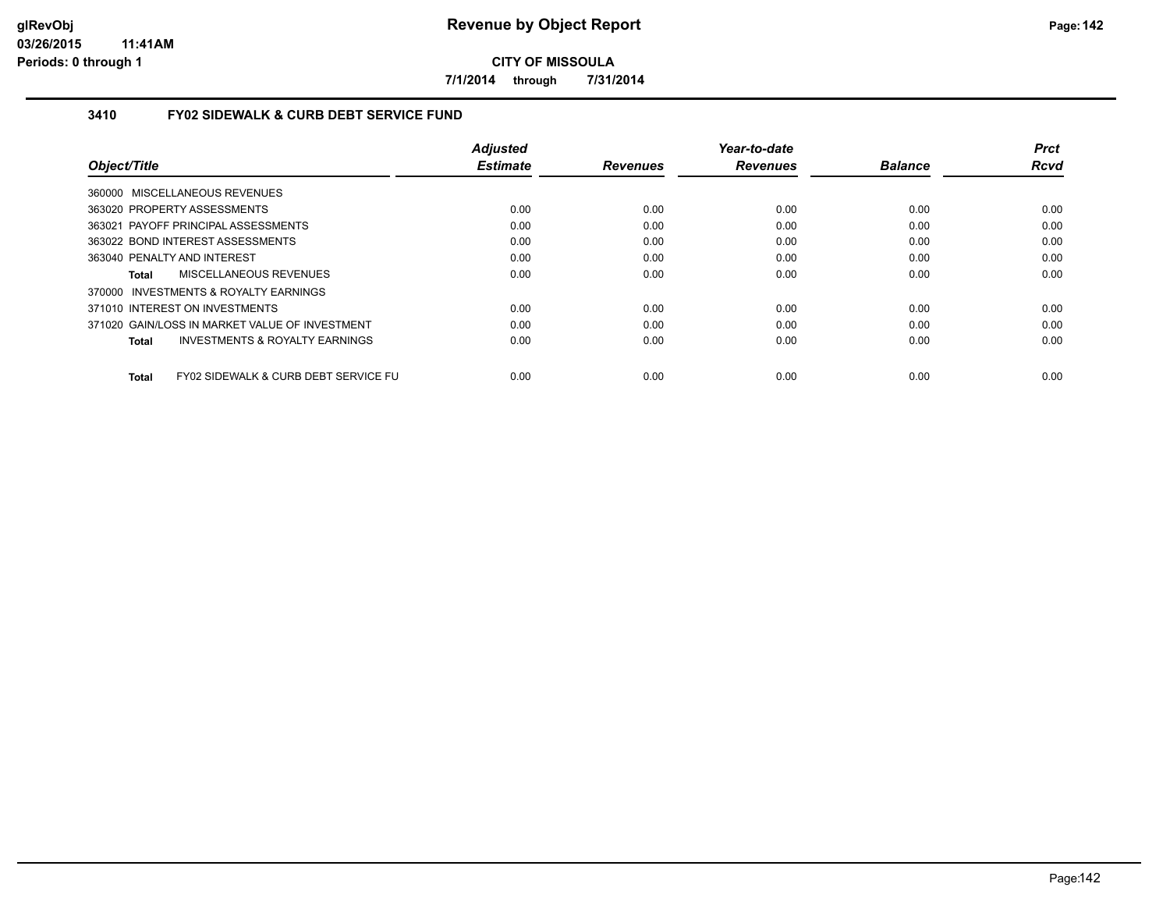**7/1/2014 through 7/31/2014**

## **3410 FY02 SIDEWALK & CURB DEBT SERVICE FUND**

|                                                      | <b>Adjusted</b> |                 | Year-to-date    |                | <b>Prct</b> |
|------------------------------------------------------|-----------------|-----------------|-----------------|----------------|-------------|
| Object/Title                                         | <b>Estimate</b> | <b>Revenues</b> | <b>Revenues</b> | <b>Balance</b> | <b>Rcvd</b> |
| 360000 MISCELLANEOUS REVENUES                        |                 |                 |                 |                |             |
| 363020 PROPERTY ASSESSMENTS                          | 0.00            | 0.00            | 0.00            | 0.00           | 0.00        |
| 363021 PAYOFF PRINCIPAL ASSESSMENTS                  | 0.00            | 0.00            | 0.00            | 0.00           | 0.00        |
| 363022 BOND INTEREST ASSESSMENTS                     | 0.00            | 0.00            | 0.00            | 0.00           | 0.00        |
| 363040 PENALTY AND INTEREST                          | 0.00            | 0.00            | 0.00            | 0.00           | 0.00        |
| MISCELLANEOUS REVENUES<br>Total                      | 0.00            | 0.00            | 0.00            | 0.00           | 0.00        |
| 370000 INVESTMENTS & ROYALTY EARNINGS                |                 |                 |                 |                |             |
| 371010 INTEREST ON INVESTMENTS                       | 0.00            | 0.00            | 0.00            | 0.00           | 0.00        |
| 371020 GAIN/LOSS IN MARKET VALUE OF INVESTMENT       | 0.00            | 0.00            | 0.00            | 0.00           | 0.00        |
| <b>INVESTMENTS &amp; ROYALTY EARNINGS</b><br>Total   | 0.00            | 0.00            | 0.00            | 0.00           | 0.00        |
| FY02 SIDEWALK & CURB DEBT SERVICE FU<br><b>Total</b> | 0.00            | 0.00            | 0.00            | 0.00           | 0.00        |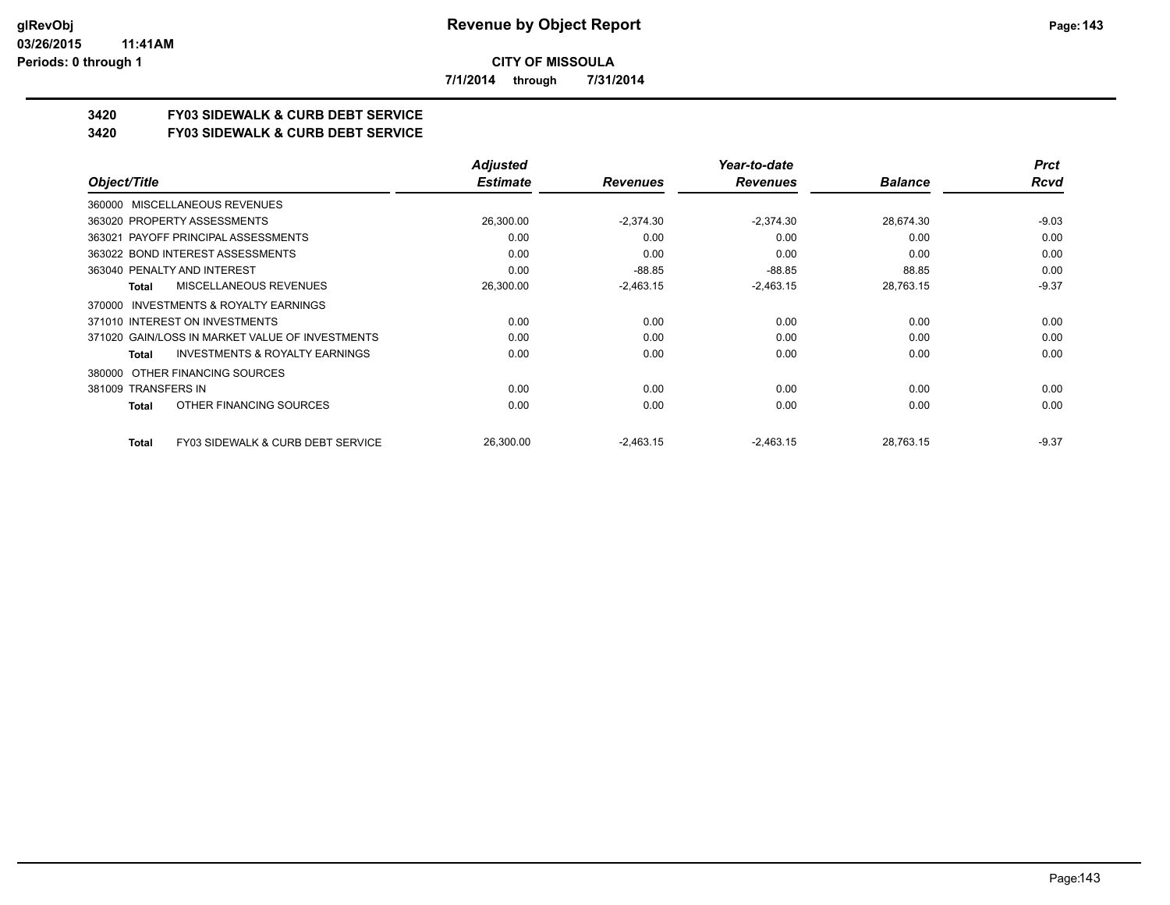**7/1/2014 through 7/31/2014**

# **3420 FY03 SIDEWALK & CURB DEBT SERVICE**

**3420 FY03 SIDEWALK & CURB DEBT SERVICE**

|                                                              | <b>Adjusted</b> |                 | Year-to-date    |                | <b>Prct</b> |
|--------------------------------------------------------------|-----------------|-----------------|-----------------|----------------|-------------|
| Object/Title                                                 | <b>Estimate</b> | <b>Revenues</b> | <b>Revenues</b> | <b>Balance</b> | Rcvd        |
| 360000 MISCELLANEOUS REVENUES                                |                 |                 |                 |                |             |
| 363020 PROPERTY ASSESSMENTS                                  | 26,300.00       | $-2,374.30$     | $-2.374.30$     | 28,674.30      | $-9.03$     |
| 363021 PAYOFF PRINCIPAL ASSESSMENTS                          | 0.00            | 0.00            | 0.00            | 0.00           | 0.00        |
| 363022 BOND INTEREST ASSESSMENTS                             | 0.00            | 0.00            | 0.00            | 0.00           | 0.00        |
| 363040 PENALTY AND INTEREST                                  | 0.00            | $-88.85$        | $-88.85$        | 88.85          | 0.00        |
| MISCELLANEOUS REVENUES<br>Total                              | 26,300.00       | $-2,463.15$     | $-2,463.15$     | 28,763.15      | $-9.37$     |
| 370000 INVESTMENTS & ROYALTY EARNINGS                        |                 |                 |                 |                |             |
| 371010 INTEREST ON INVESTMENTS                               | 0.00            | 0.00            | 0.00            | 0.00           | 0.00        |
| 371020 GAIN/LOSS IN MARKET VALUE OF INVESTMENTS              | 0.00            | 0.00            | 0.00            | 0.00           | 0.00        |
| <b>INVESTMENTS &amp; ROYALTY EARNINGS</b><br>Total           | 0.00            | 0.00            | 0.00            | 0.00           | 0.00        |
| OTHER FINANCING SOURCES<br>380000                            |                 |                 |                 |                |             |
| 381009 TRANSFERS IN                                          | 0.00            | 0.00            | 0.00            | 0.00           | 0.00        |
| OTHER FINANCING SOURCES<br>Total                             | 0.00            | 0.00            | 0.00            | 0.00           | 0.00        |
| <b>FY03 SIDEWALK &amp; CURB DEBT SERVICE</b><br><b>Total</b> | 26,300.00       | $-2,463.15$     | $-2,463.15$     | 28,763.15      | $-9.37$     |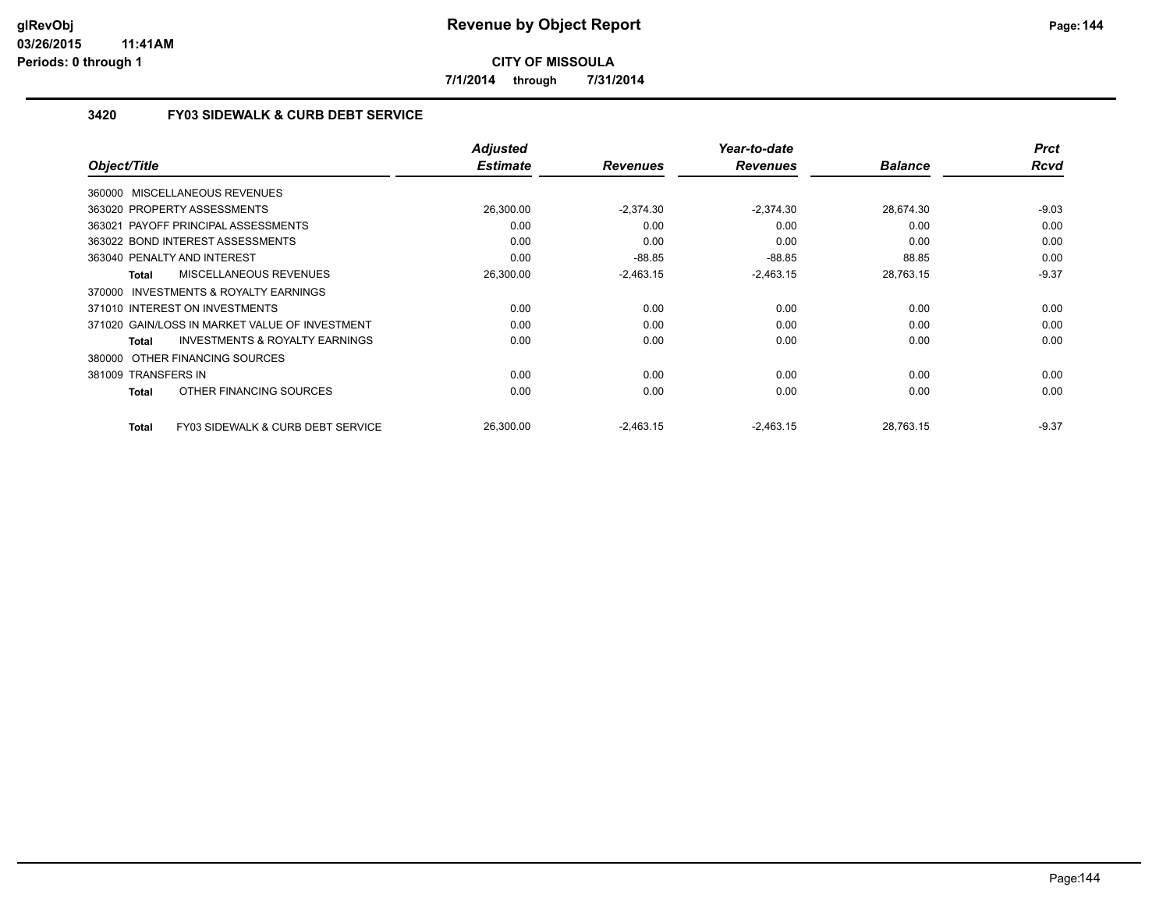**7/1/2014 through 7/31/2014**

## **3420 FY03 SIDEWALK & CURB DEBT SERVICE**

|                                                    | <b>Adjusted</b> |                 | Year-to-date    |                | <b>Prct</b> |
|----------------------------------------------------|-----------------|-----------------|-----------------|----------------|-------------|
| Object/Title                                       | <b>Estimate</b> | <b>Revenues</b> | <b>Revenues</b> | <b>Balance</b> | <b>Rcvd</b> |
| 360000 MISCELLANEOUS REVENUES                      |                 |                 |                 |                |             |
| 363020 PROPERTY ASSESSMENTS                        | 26.300.00       | $-2.374.30$     | $-2.374.30$     | 28.674.30      | $-9.03$     |
| 363021 PAYOFF PRINCIPAL ASSESSMENTS                | 0.00            | 0.00            | 0.00            | 0.00           | 0.00        |
| 363022 BOND INTEREST ASSESSMENTS                   | 0.00            | 0.00            | 0.00            | 0.00           | 0.00        |
| 363040 PENALTY AND INTEREST                        | 0.00            | $-88.85$        | $-88.85$        | 88.85          | 0.00        |
| MISCELLANEOUS REVENUES<br>Total                    | 26,300.00       | $-2,463.15$     | $-2,463.15$     | 28,763.15      | $-9.37$     |
| 370000 INVESTMENTS & ROYALTY EARNINGS              |                 |                 |                 |                |             |
| 371010 INTEREST ON INVESTMENTS                     | 0.00            | 0.00            | 0.00            | 0.00           | 0.00        |
| 371020 GAIN/LOSS IN MARKET VALUE OF INVESTMENT     | 0.00            | 0.00            | 0.00            | 0.00           | 0.00        |
| <b>INVESTMENTS &amp; ROYALTY EARNINGS</b><br>Total | 0.00            | 0.00            | 0.00            | 0.00           | 0.00        |
| 380000 OTHER FINANCING SOURCES                     |                 |                 |                 |                |             |
| 381009 TRANSFERS IN                                | 0.00            | 0.00            | 0.00            | 0.00           | 0.00        |
| OTHER FINANCING SOURCES<br>Total                   | 0.00            | 0.00            | 0.00            | 0.00           | 0.00        |
| FY03 SIDEWALK & CURB DEBT SERVICE<br>Total         | 26.300.00       | $-2,463.15$     | $-2,463.15$     | 28.763.15      | $-9.37$     |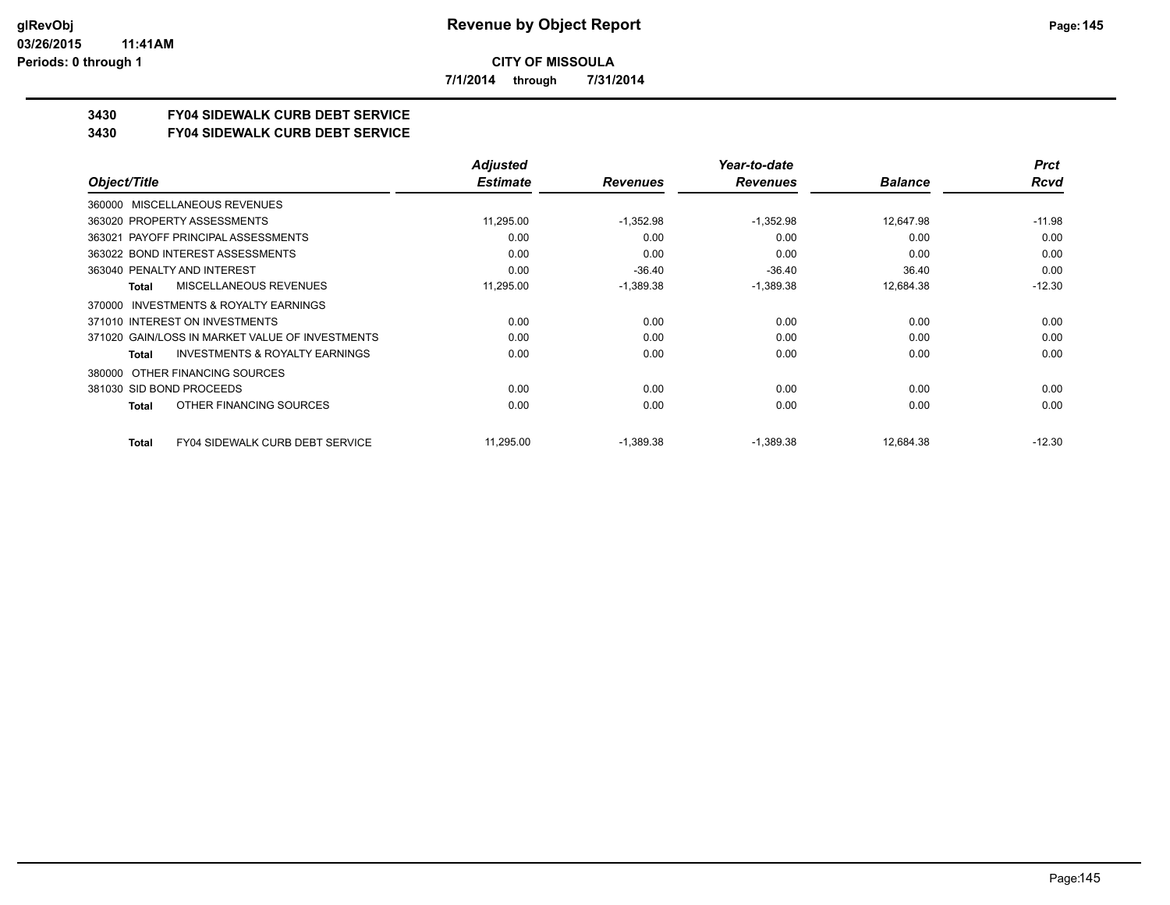**7/1/2014 through 7/31/2014**

# **3430 FY04 SIDEWALK CURB DEBT SERVICE**

#### **3430 FY04 SIDEWALK CURB DEBT SERVICE**

|                                                    | <b>Adjusted</b> |                 | Year-to-date    |                | <b>Prct</b> |
|----------------------------------------------------|-----------------|-----------------|-----------------|----------------|-------------|
| Object/Title                                       | <b>Estimate</b> | <b>Revenues</b> | <b>Revenues</b> | <b>Balance</b> | Rcvd        |
| MISCELLANEOUS REVENUES<br>360000                   |                 |                 |                 |                |             |
| 363020 PROPERTY ASSESSMENTS                        | 11,295.00       | $-1,352.98$     | $-1,352.98$     | 12,647.98      | $-11.98$    |
| 363021 PAYOFF PRINCIPAL ASSESSMENTS                | 0.00            | 0.00            | 0.00            | 0.00           | 0.00        |
| 363022 BOND INTEREST ASSESSMENTS                   | 0.00            | 0.00            | 0.00            | 0.00           | 0.00        |
| 363040 PENALTY AND INTEREST                        | 0.00            | $-36.40$        | $-36.40$        | 36.40          | 0.00        |
| MISCELLANEOUS REVENUES<br>Total                    | 11,295.00       | $-1,389.38$     | $-1,389.38$     | 12,684.38      | $-12.30$    |
| INVESTMENTS & ROYALTY EARNINGS<br>370000           |                 |                 |                 |                |             |
| 371010 INTEREST ON INVESTMENTS                     | 0.00            | 0.00            | 0.00            | 0.00           | 0.00        |
| 371020 GAIN/LOSS IN MARKET VALUE OF INVESTMENTS    | 0.00            | 0.00            | 0.00            | 0.00           | 0.00        |
| <b>INVESTMENTS &amp; ROYALTY EARNINGS</b><br>Total | 0.00            | 0.00            | 0.00            | 0.00           | 0.00        |
| OTHER FINANCING SOURCES<br>380000                  |                 |                 |                 |                |             |
| 381030 SID BOND PROCEEDS                           | 0.00            | 0.00            | 0.00            | 0.00           | 0.00        |
| OTHER FINANCING SOURCES<br>Total                   | 0.00            | 0.00            | 0.00            | 0.00           | 0.00        |
| <b>FY04 SIDEWALK CURB DEBT SERVICE</b><br>Total    | 11,295.00       | $-1,389.38$     | $-1,389.38$     | 12,684.38      | $-12.30$    |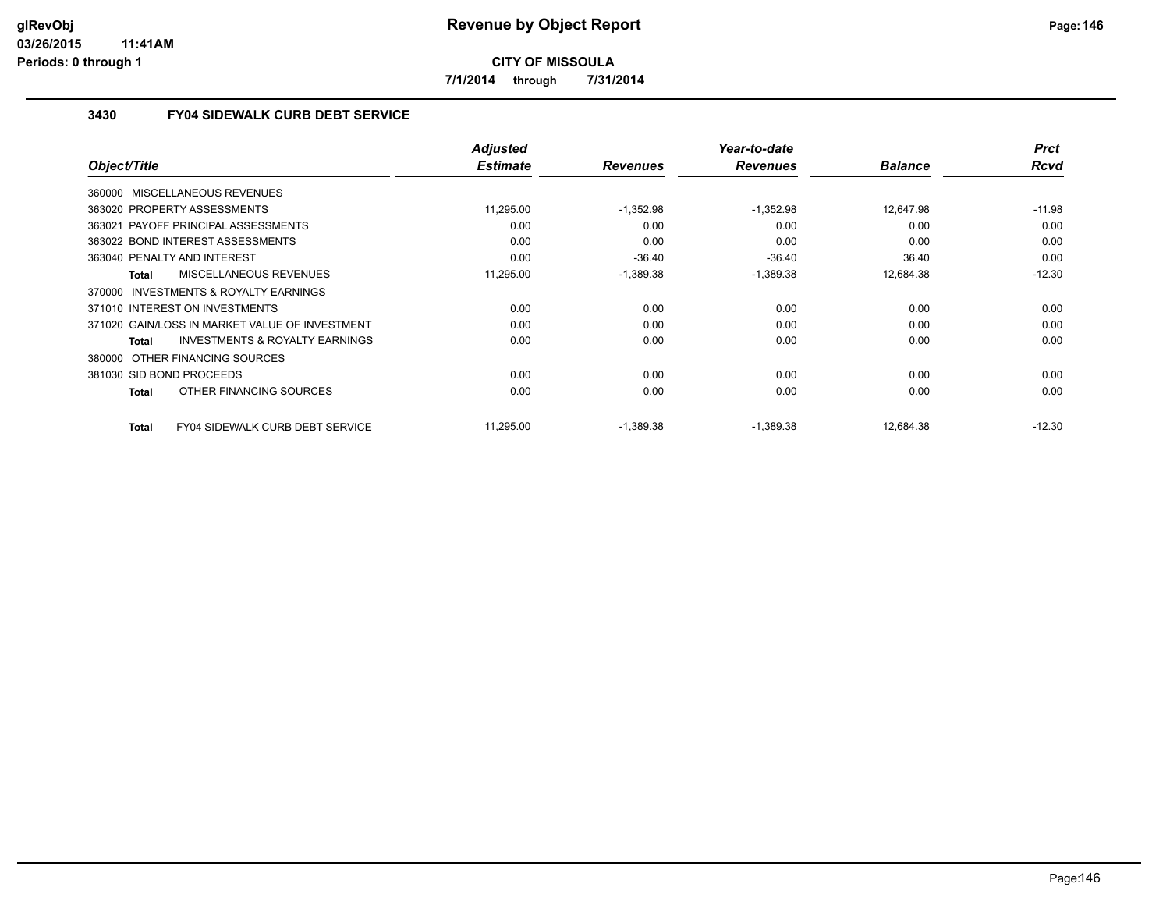**7/1/2014 through 7/31/2014**

## **3430 FY04 SIDEWALK CURB DEBT SERVICE**

|                                                     | <b>Adjusted</b> |                 | Year-to-date    |                | <b>Prct</b> |
|-----------------------------------------------------|-----------------|-----------------|-----------------|----------------|-------------|
| Object/Title                                        | <b>Estimate</b> | <b>Revenues</b> | <b>Revenues</b> | <b>Balance</b> | <b>Rcvd</b> |
| 360000 MISCELLANEOUS REVENUES                       |                 |                 |                 |                |             |
| 363020 PROPERTY ASSESSMENTS                         | 11,295.00       | $-1,352.98$     | $-1,352.98$     | 12,647.98      | $-11.98$    |
| 363021 PAYOFF PRINCIPAL ASSESSMENTS                 | 0.00            | 0.00            | 0.00            | 0.00           | 0.00        |
| 363022 BOND INTEREST ASSESSMENTS                    | 0.00            | 0.00            | 0.00            | 0.00           | 0.00        |
| 363040 PENALTY AND INTEREST                         | 0.00            | $-36.40$        | $-36.40$        | 36.40          | 0.00        |
| MISCELLANEOUS REVENUES<br>Total                     | 11,295.00       | $-1,389.38$     | $-1,389.38$     | 12,684.38      | $-12.30$    |
| <b>INVESTMENTS &amp; ROYALTY EARNINGS</b><br>370000 |                 |                 |                 |                |             |
| 371010 INTEREST ON INVESTMENTS                      | 0.00            | 0.00            | 0.00            | 0.00           | 0.00        |
| 371020 GAIN/LOSS IN MARKET VALUE OF INVESTMENT      | 0.00            | 0.00            | 0.00            | 0.00           | 0.00        |
| <b>INVESTMENTS &amp; ROYALTY EARNINGS</b><br>Total  | 0.00            | 0.00            | 0.00            | 0.00           | 0.00        |
| 380000 OTHER FINANCING SOURCES                      |                 |                 |                 |                |             |
| 381030 SID BOND PROCEEDS                            | 0.00            | 0.00            | 0.00            | 0.00           | 0.00        |
| OTHER FINANCING SOURCES<br>Total                    | 0.00            | 0.00            | 0.00            | 0.00           | 0.00        |
| FY04 SIDEWALK CURB DEBT SERVICE<br><b>Total</b>     | 11,295.00       | $-1,389.38$     | $-1,389.38$     | 12,684.38      | $-12.30$    |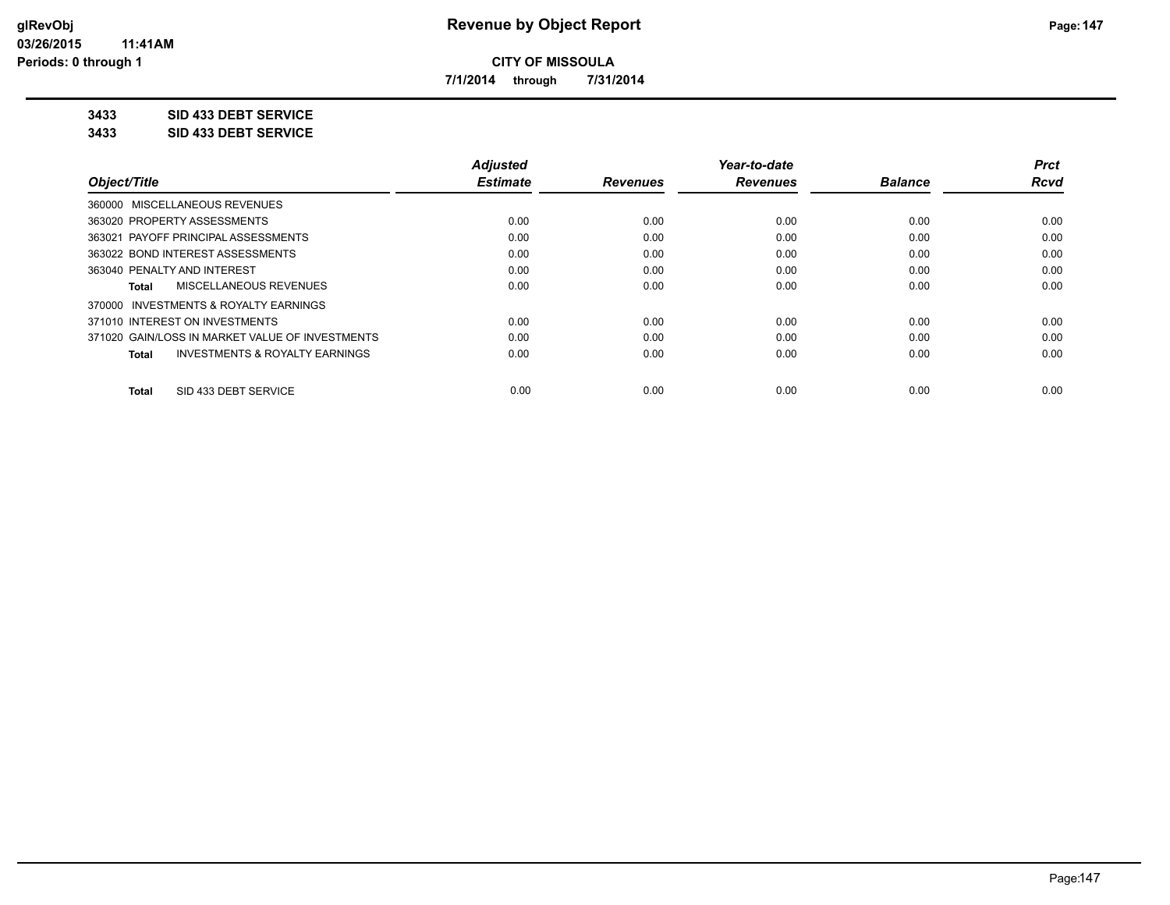**7/1/2014 through 7/31/2014**

**3433 SID 433 DEBT SERVICE**

**3433 SID 433 DEBT SERVICE**

|                                                    | <b>Adjusted</b> |                 | Year-to-date    |                | <b>Prct</b> |
|----------------------------------------------------|-----------------|-----------------|-----------------|----------------|-------------|
| Object/Title                                       | <b>Estimate</b> | <b>Revenues</b> | <b>Revenues</b> | <b>Balance</b> | <b>Rcvd</b> |
| 360000 MISCELLANEOUS REVENUES                      |                 |                 |                 |                |             |
| 363020 PROPERTY ASSESSMENTS                        | 0.00            | 0.00            | 0.00            | 0.00           | 0.00        |
| 363021 PAYOFF PRINCIPAL ASSESSMENTS                | 0.00            | 0.00            | 0.00            | 0.00           | 0.00        |
| 363022 BOND INTEREST ASSESSMENTS                   | 0.00            | 0.00            | 0.00            | 0.00           | 0.00        |
| 363040 PENALTY AND INTEREST                        | 0.00            | 0.00            | 0.00            | 0.00           | 0.00        |
| MISCELLANEOUS REVENUES<br>Total                    | 0.00            | 0.00            | 0.00            | 0.00           | 0.00        |
| INVESTMENTS & ROYALTY EARNINGS<br>370000           |                 |                 |                 |                |             |
| 371010 INTEREST ON INVESTMENTS                     | 0.00            | 0.00            | 0.00            | 0.00           | 0.00        |
| 371020 GAIN/LOSS IN MARKET VALUE OF INVESTMENTS    | 0.00            | 0.00            | 0.00            | 0.00           | 0.00        |
| <b>INVESTMENTS &amp; ROYALTY EARNINGS</b><br>Total | 0.00            | 0.00            | 0.00            | 0.00           | 0.00        |
| SID 433 DEBT SERVICE<br><b>Total</b>               | 0.00            | 0.00            | 0.00            | 0.00           | 0.00        |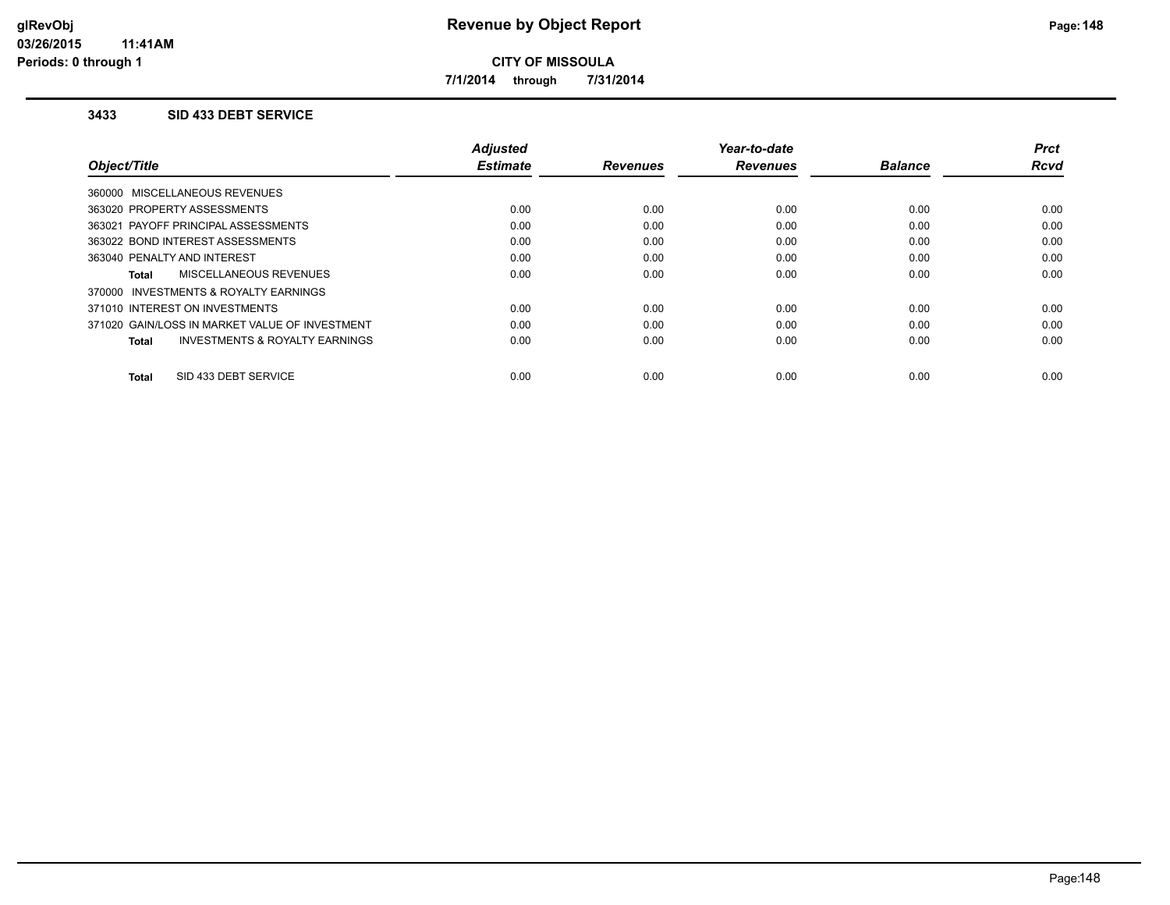**7/1/2014 through 7/31/2014**

### **3433 SID 433 DEBT SERVICE**

|                                                           | <b>Adjusted</b> |                 | Year-to-date    |                | Prct        |
|-----------------------------------------------------------|-----------------|-----------------|-----------------|----------------|-------------|
| Object/Title                                              | <b>Estimate</b> | <b>Revenues</b> | <b>Revenues</b> | <b>Balance</b> | <b>Rcvd</b> |
| 360000 MISCELLANEOUS REVENUES                             |                 |                 |                 |                |             |
| 363020 PROPERTY ASSESSMENTS                               | 0.00            | 0.00            | 0.00            | 0.00           | 0.00        |
| 363021 PAYOFF PRINCIPAL ASSESSMENTS                       | 0.00            | 0.00            | 0.00            | 0.00           | 0.00        |
| 363022 BOND INTEREST ASSESSMENTS                          | 0.00            | 0.00            | 0.00            | 0.00           | 0.00        |
| 363040 PENALTY AND INTEREST                               | 0.00            | 0.00            | 0.00            | 0.00           | 0.00        |
| MISCELLANEOUS REVENUES<br>Total                           | 0.00            | 0.00            | 0.00            | 0.00           | 0.00        |
| 370000 INVESTMENTS & ROYALTY EARNINGS                     |                 |                 |                 |                |             |
| 371010 INTEREST ON INVESTMENTS                            | 0.00            | 0.00            | 0.00            | 0.00           | 0.00        |
| 371020 GAIN/LOSS IN MARKET VALUE OF INVESTMENT            | 0.00            | 0.00            | 0.00            | 0.00           | 0.00        |
| <b>INVESTMENTS &amp; ROYALTY EARNINGS</b><br><b>Total</b> | 0.00            | 0.00            | 0.00            | 0.00           | 0.00        |
|                                                           |                 |                 |                 |                |             |
| SID 433 DEBT SERVICE<br><b>Total</b>                      | 0.00            | 0.00            | 0.00            | 0.00           | 0.00        |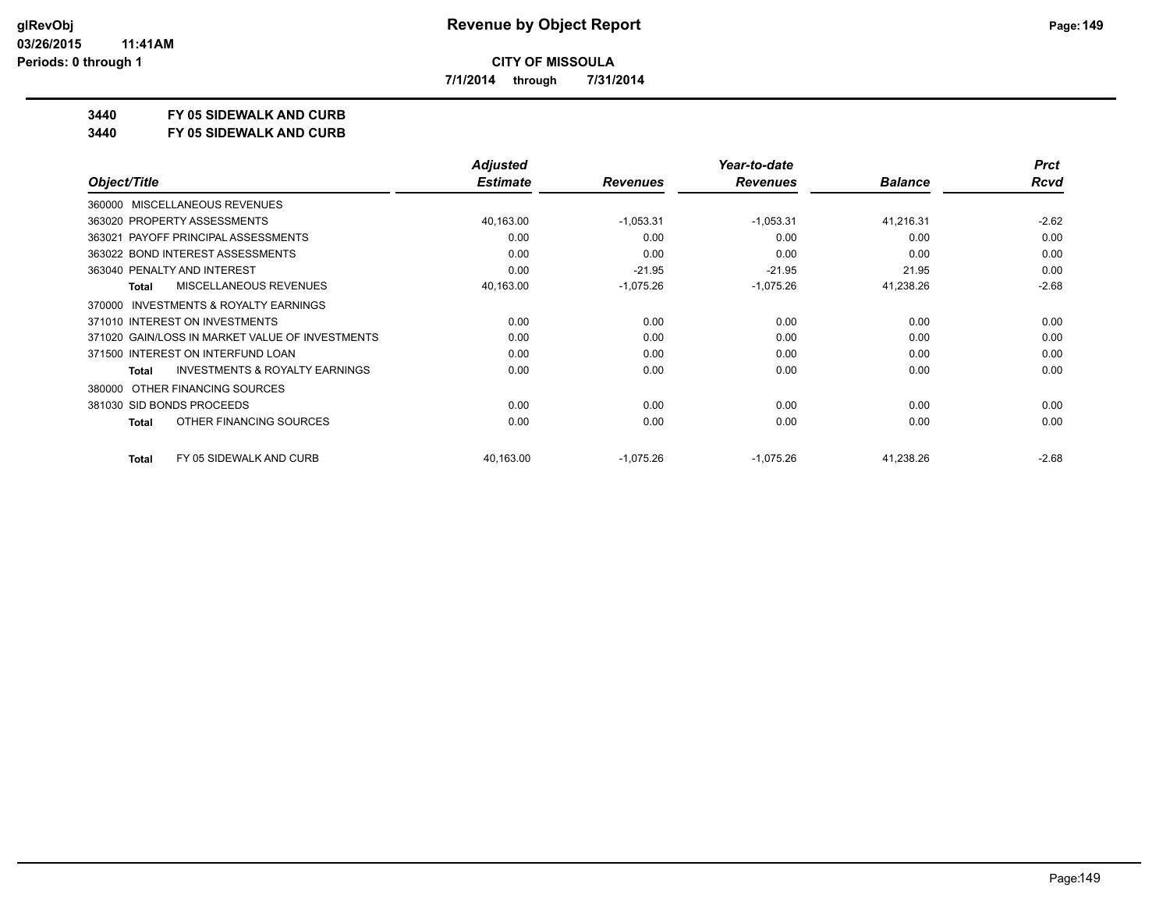**7/1/2014 through 7/31/2014**

## **3440 FY 05 SIDEWALK AND CURB**

**3440 FY 05 SIDEWALK AND CURB**

|                                                           | <b>Adjusted</b> |                 | Year-to-date    |                | <b>Prct</b> |
|-----------------------------------------------------------|-----------------|-----------------|-----------------|----------------|-------------|
| Object/Title                                              | <b>Estimate</b> | <b>Revenues</b> | <b>Revenues</b> | <b>Balance</b> | Rcvd        |
| 360000 MISCELLANEOUS REVENUES                             |                 |                 |                 |                |             |
| 363020 PROPERTY ASSESSMENTS                               | 40,163.00       | $-1,053.31$     | $-1,053.31$     | 41,216.31      | $-2.62$     |
| 363021 PAYOFF PRINCIPAL ASSESSMENTS                       | 0.00            | 0.00            | 0.00            | 0.00           | 0.00        |
| 363022 BOND INTEREST ASSESSMENTS                          | 0.00            | 0.00            | 0.00            | 0.00           | 0.00        |
| 363040 PENALTY AND INTEREST                               | 0.00            | $-21.95$        | $-21.95$        | 21.95          | 0.00        |
| <b>MISCELLANEOUS REVENUES</b><br><b>Total</b>             | 40,163.00       | $-1,075.26$     | $-1,075.26$     | 41,238.26      | $-2.68$     |
| INVESTMENTS & ROYALTY EARNINGS<br>370000                  |                 |                 |                 |                |             |
| 371010 INTEREST ON INVESTMENTS                            | 0.00            | 0.00            | 0.00            | 0.00           | 0.00        |
| 371020 GAIN/LOSS IN MARKET VALUE OF INVESTMENTS           | 0.00            | 0.00            | 0.00            | 0.00           | 0.00        |
| 371500 INTEREST ON INTERFUND LOAN                         | 0.00            | 0.00            | 0.00            | 0.00           | 0.00        |
| <b>INVESTMENTS &amp; ROYALTY EARNINGS</b><br><b>Total</b> | 0.00            | 0.00            | 0.00            | 0.00           | 0.00        |
| OTHER FINANCING SOURCES<br>380000                         |                 |                 |                 |                |             |
| 381030 SID BONDS PROCEEDS                                 | 0.00            | 0.00            | 0.00            | 0.00           | 0.00        |
| OTHER FINANCING SOURCES<br><b>Total</b>                   | 0.00            | 0.00            | 0.00            | 0.00           | 0.00        |
| FY 05 SIDEWALK AND CURB<br><b>Total</b>                   | 40,163.00       | $-1,075.26$     | $-1,075.26$     | 41,238.26      | $-2.68$     |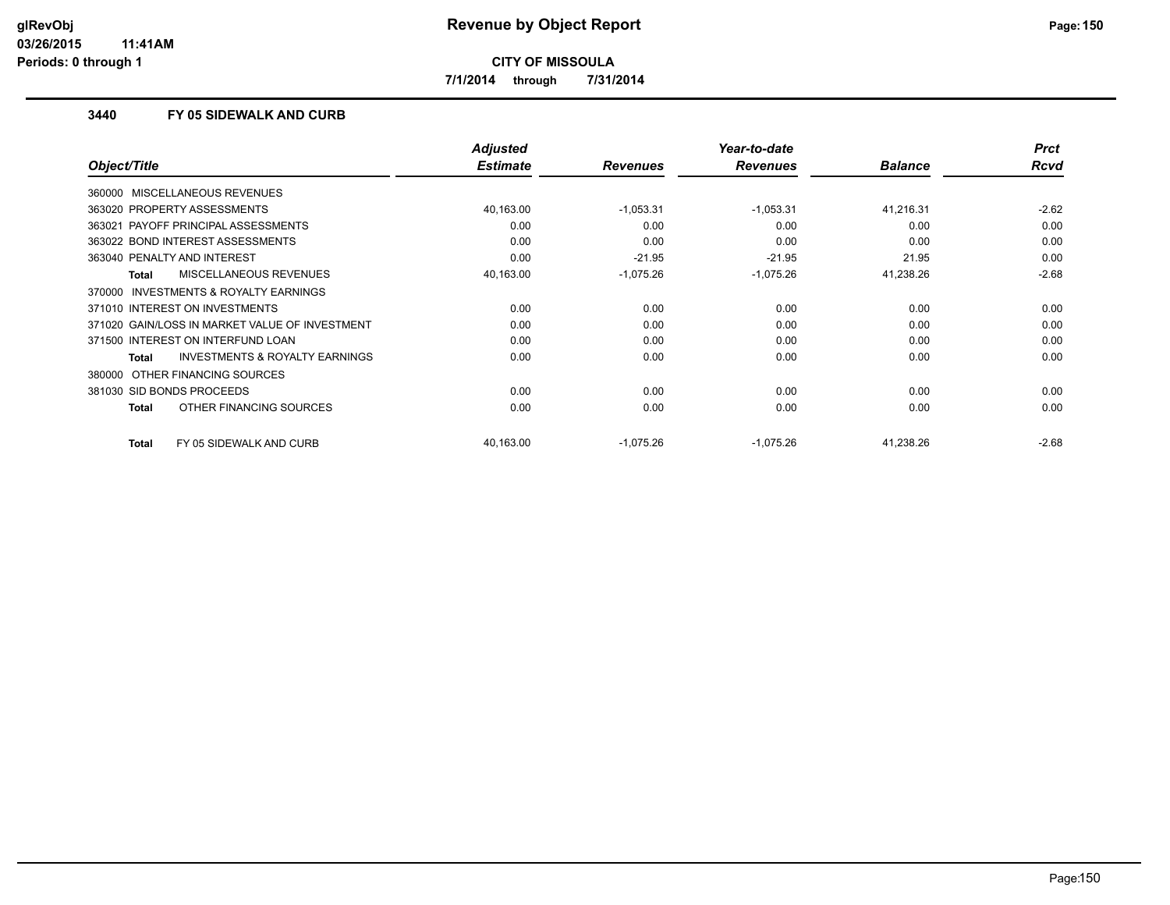**7/1/2014 through 7/31/2014**

### **3440 FY 05 SIDEWALK AND CURB**

|                                                           | <b>Adjusted</b> |                 | Year-to-date    |                | <b>Prct</b> |
|-----------------------------------------------------------|-----------------|-----------------|-----------------|----------------|-------------|
| Object/Title                                              | <b>Estimate</b> | <b>Revenues</b> | <b>Revenues</b> | <b>Balance</b> | Rcvd        |
| 360000 MISCELLANEOUS REVENUES                             |                 |                 |                 |                |             |
| 363020 PROPERTY ASSESSMENTS                               | 40,163.00       | $-1,053.31$     | $-1,053.31$     | 41,216.31      | $-2.62$     |
| 363021 PAYOFF PRINCIPAL ASSESSMENTS                       | 0.00            | 0.00            | 0.00            | 0.00           | 0.00        |
| 363022 BOND INTEREST ASSESSMENTS                          | 0.00            | 0.00            | 0.00            | 0.00           | 0.00        |
| 363040 PENALTY AND INTEREST                               | 0.00            | $-21.95$        | $-21.95$        | 21.95          | 0.00        |
| <b>MISCELLANEOUS REVENUES</b><br><b>Total</b>             | 40,163.00       | $-1,075.26$     | $-1,075.26$     | 41,238.26      | $-2.68$     |
| 370000 INVESTMENTS & ROYALTY EARNINGS                     |                 |                 |                 |                |             |
| 371010 INTEREST ON INVESTMENTS                            | 0.00            | 0.00            | 0.00            | 0.00           | 0.00        |
| 371020 GAIN/LOSS IN MARKET VALUE OF INVESTMENT            | 0.00            | 0.00            | 0.00            | 0.00           | 0.00        |
| 371500 INTEREST ON INTERFUND LOAN                         | 0.00            | 0.00            | 0.00            | 0.00           | 0.00        |
| <b>INVESTMENTS &amp; ROYALTY EARNINGS</b><br><b>Total</b> | 0.00            | 0.00            | 0.00            | 0.00           | 0.00        |
| 380000 OTHER FINANCING SOURCES                            |                 |                 |                 |                |             |
| 381030 SID BONDS PROCEEDS                                 | 0.00            | 0.00            | 0.00            | 0.00           | 0.00        |
| OTHER FINANCING SOURCES<br><b>Total</b>                   | 0.00            | 0.00            | 0.00            | 0.00           | 0.00        |
| FY 05 SIDEWALK AND CURB<br><b>Total</b>                   | 40,163.00       | $-1,075.26$     | $-1,075.26$     | 41,238.26      | $-2.68$     |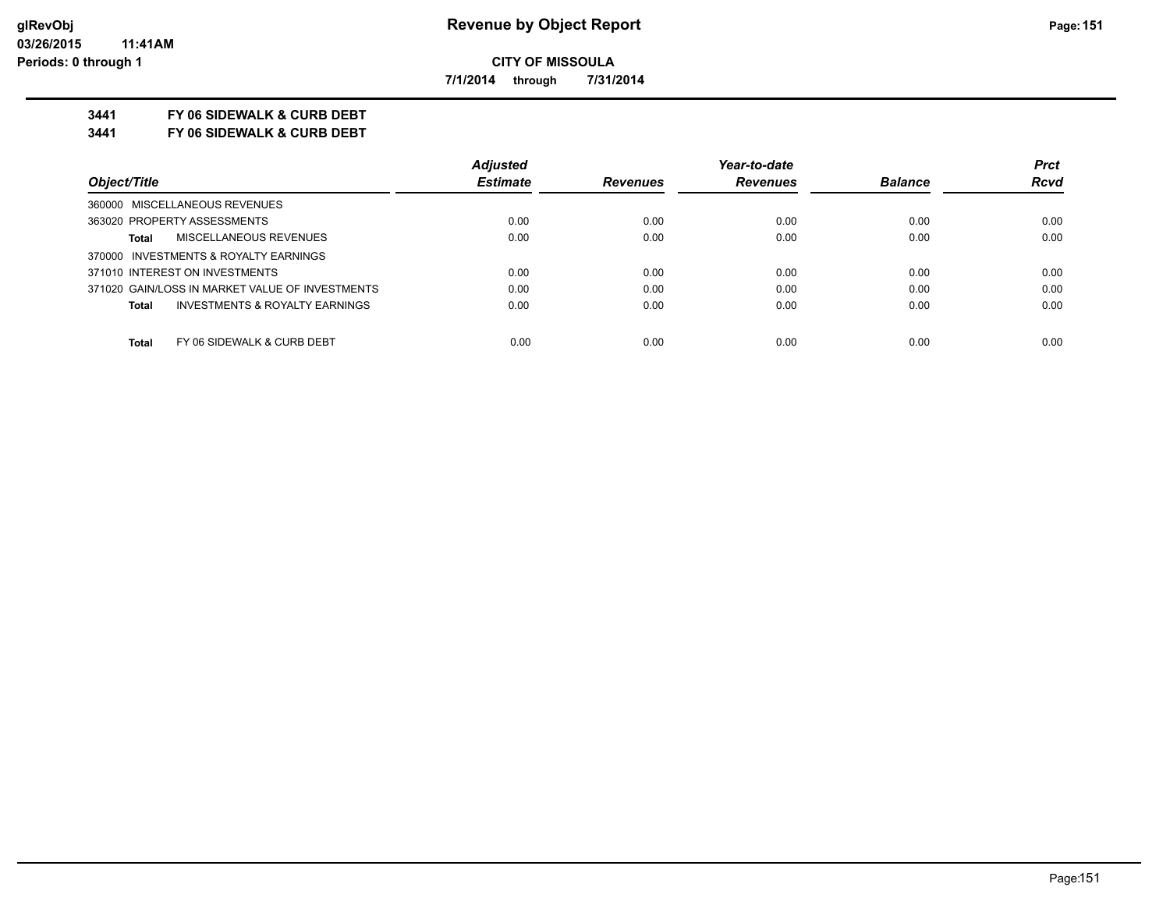**7/1/2014 through 7/31/2014**

## **3441 FY 06 SIDEWALK & CURB DEBT**

**3441 FY 06 SIDEWALK & CURB DEBT**

|                                                    | <b>Adjusted</b> |                 | Year-to-date    |                | <b>Prct</b> |
|----------------------------------------------------|-----------------|-----------------|-----------------|----------------|-------------|
| Object/Title                                       | <b>Estimate</b> | <b>Revenues</b> | <b>Revenues</b> | <b>Balance</b> | <b>Rcvd</b> |
| 360000 MISCELLANEOUS REVENUES                      |                 |                 |                 |                |             |
| 363020 PROPERTY ASSESSMENTS                        | 0.00            | 0.00            | 0.00            | 0.00           | 0.00        |
| MISCELLANEOUS REVENUES<br><b>Total</b>             | 0.00            | 0.00            | 0.00            | 0.00           | 0.00        |
| 370000 INVESTMENTS & ROYALTY EARNINGS              |                 |                 |                 |                |             |
| 371010 INTEREST ON INVESTMENTS                     | 0.00            | 0.00            | 0.00            | 0.00           | 0.00        |
| 371020 GAIN/LOSS IN MARKET VALUE OF INVESTMENTS    | 0.00            | 0.00            | 0.00            | 0.00           | 0.00        |
| <b>INVESTMENTS &amp; ROYALTY EARNINGS</b><br>Total | 0.00            | 0.00            | 0.00            | 0.00           | 0.00        |
| FY 06 SIDEWALK & CURB DEBT<br><b>Total</b>         | 0.00            | 0.00            | 0.00            | 0.00           | 0.00        |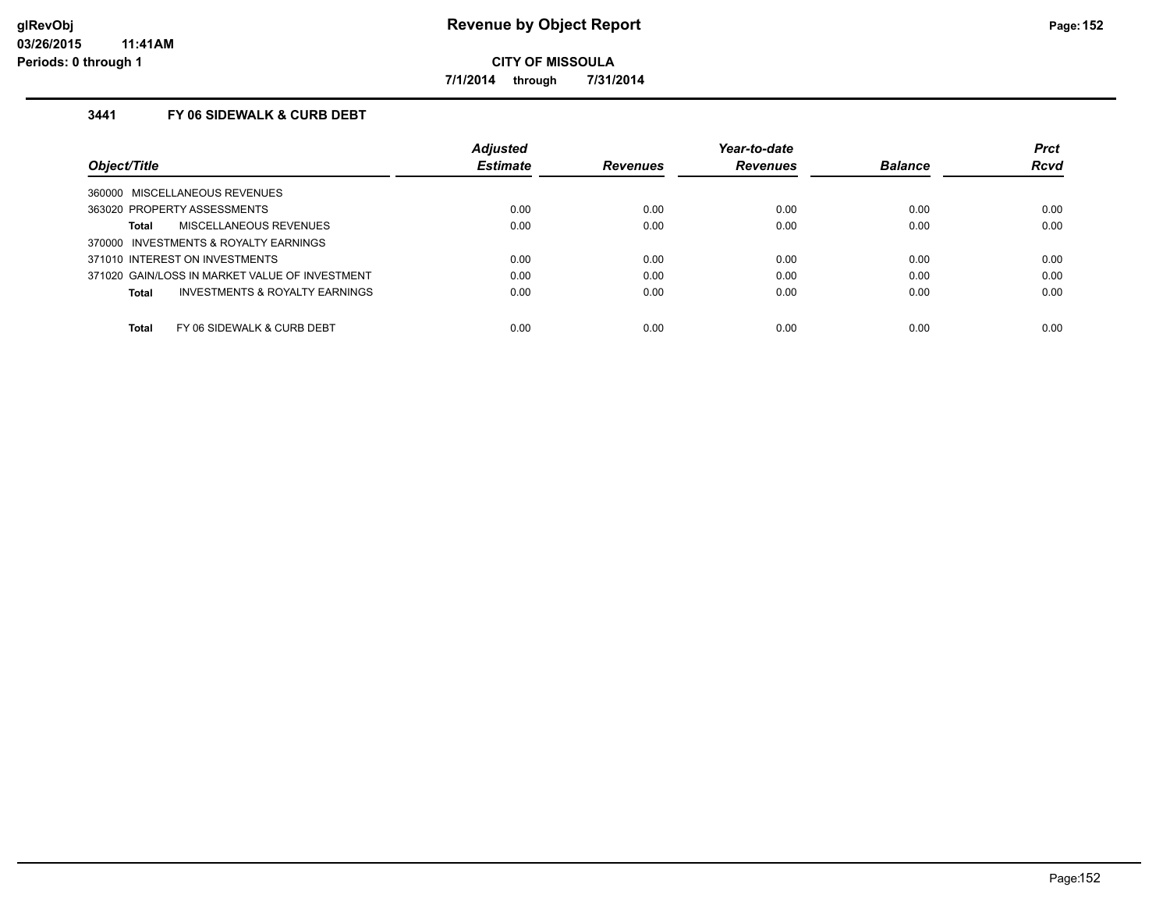**7/1/2014 through 7/31/2014**

## **3441 FY 06 SIDEWALK & CURB DEBT**

|                                                | <b>Adjusted</b> |                 | Year-to-date    |                | <b>Prct</b> |
|------------------------------------------------|-----------------|-----------------|-----------------|----------------|-------------|
| Object/Title                                   | <b>Estimate</b> | <b>Revenues</b> | <b>Revenues</b> | <b>Balance</b> | <b>Rcvd</b> |
| 360000 MISCELLANEOUS REVENUES                  |                 |                 |                 |                |             |
| 363020 PROPERTY ASSESSMENTS                    | 0.00            | 0.00            | 0.00            | 0.00           | 0.00        |
| MISCELLANEOUS REVENUES<br>Total                | 0.00            | 0.00            | 0.00            | 0.00           | 0.00        |
| 370000 INVESTMENTS & ROYALTY EARNINGS          |                 |                 |                 |                |             |
| 371010 INTEREST ON INVESTMENTS                 | 0.00            | 0.00            | 0.00            | 0.00           | 0.00        |
| 371020 GAIN/LOSS IN MARKET VALUE OF INVESTMENT | 0.00            | 0.00            | 0.00            | 0.00           | 0.00        |
| INVESTMENTS & ROYALTY EARNINGS<br>Total        | 0.00            | 0.00            | 0.00            | 0.00           | 0.00        |
| Total<br>FY 06 SIDEWALK & CURB DEBT            | 0.00            | 0.00            | 0.00            | 0.00           | 0.00        |
|                                                |                 |                 |                 |                |             |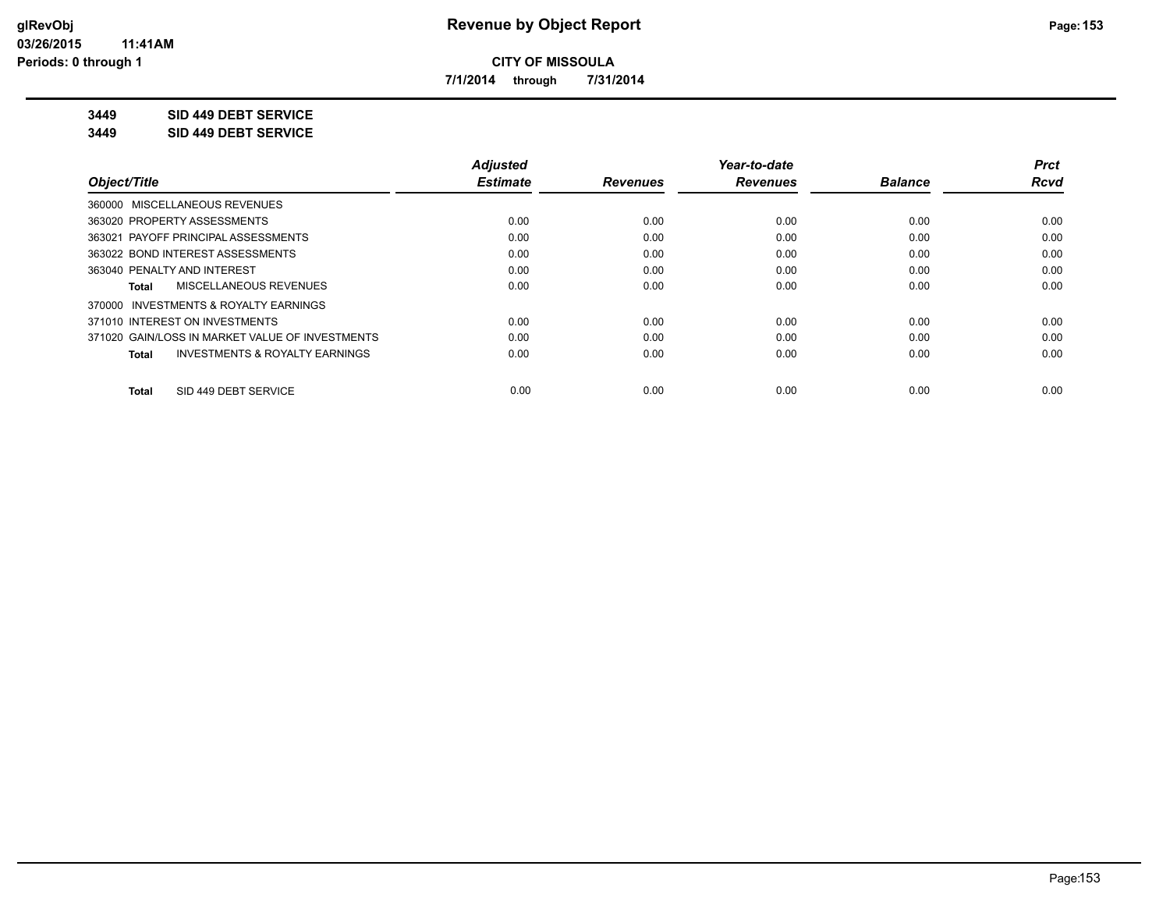**7/1/2014 through 7/31/2014**

**3449 SID 449 DEBT SERVICE**

**3449 SID 449 DEBT SERVICE**

|                                                    | <b>Adjusted</b> |                 | Year-to-date    |                | <b>Prct</b> |
|----------------------------------------------------|-----------------|-----------------|-----------------|----------------|-------------|
| Object/Title                                       | <b>Estimate</b> | <b>Revenues</b> | <b>Revenues</b> | <b>Balance</b> | Rcvd        |
| 360000 MISCELLANEOUS REVENUES                      |                 |                 |                 |                |             |
| 363020 PROPERTY ASSESSMENTS                        | 0.00            | 0.00            | 0.00            | 0.00           | 0.00        |
| 363021 PAYOFF PRINCIPAL ASSESSMENTS                | 0.00            | 0.00            | 0.00            | 0.00           | 0.00        |
| 363022 BOND INTEREST ASSESSMENTS                   | 0.00            | 0.00            | 0.00            | 0.00           | 0.00        |
| 363040 PENALTY AND INTEREST                        | 0.00            | 0.00            | 0.00            | 0.00           | 0.00        |
| MISCELLANEOUS REVENUES<br>Total                    | 0.00            | 0.00            | 0.00            | 0.00           | 0.00        |
| 370000 INVESTMENTS & ROYALTY EARNINGS              |                 |                 |                 |                |             |
| 371010 INTEREST ON INVESTMENTS                     | 0.00            | 0.00            | 0.00            | 0.00           | 0.00        |
| 371020 GAIN/LOSS IN MARKET VALUE OF INVESTMENTS    | 0.00            | 0.00            | 0.00            | 0.00           | 0.00        |
| <b>INVESTMENTS &amp; ROYALTY EARNINGS</b><br>Total | 0.00            | 0.00            | 0.00            | 0.00           | 0.00        |
| SID 449 DEBT SERVICE<br>Total                      | 0.00            | 0.00            | 0.00            | 0.00           | 0.00        |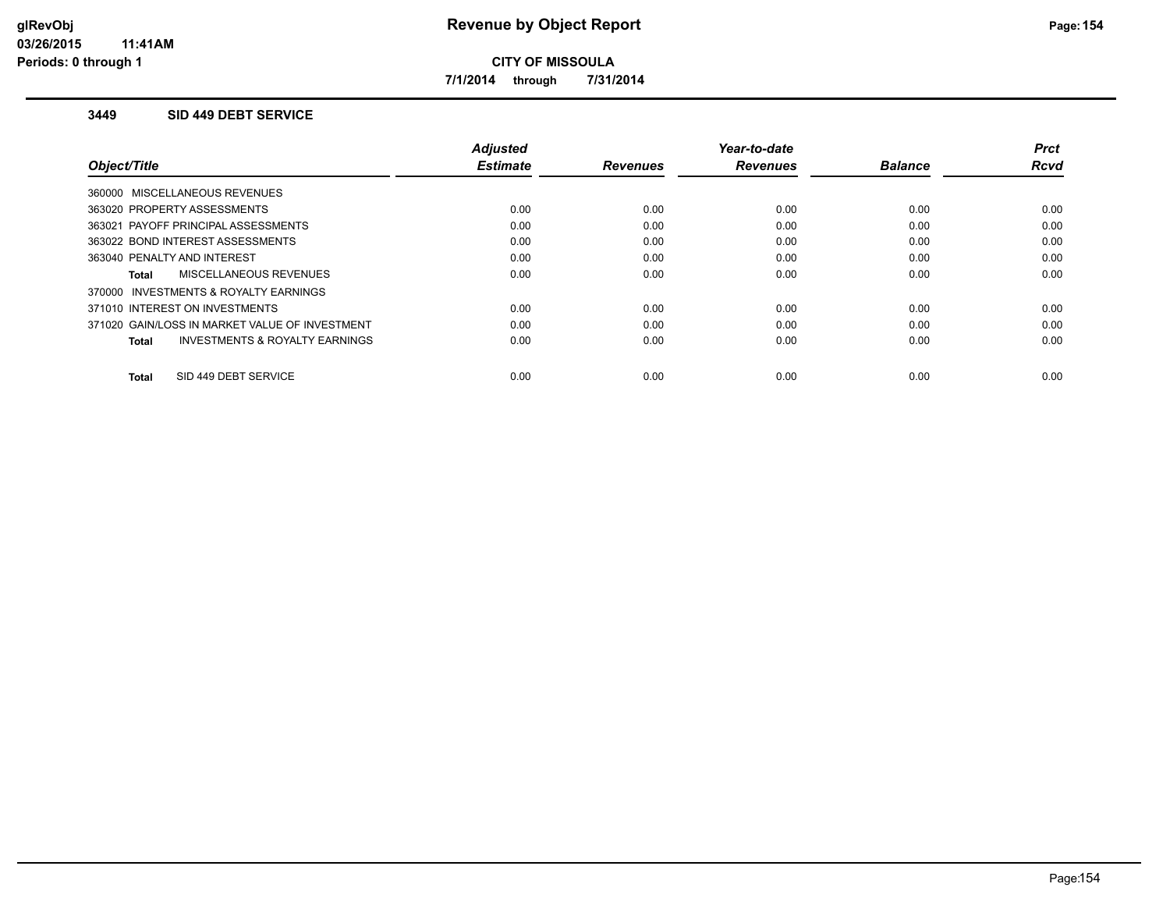**7/1/2014 through 7/31/2014**

### **3449 SID 449 DEBT SERVICE**

|                                                     | <b>Adjusted</b> |                 | Year-to-date    |                | <b>Prct</b> |
|-----------------------------------------------------|-----------------|-----------------|-----------------|----------------|-------------|
| Object/Title                                        | <b>Estimate</b> | <b>Revenues</b> | <b>Revenues</b> | <b>Balance</b> | <b>Rcvd</b> |
| 360000 MISCELLANEOUS REVENUES                       |                 |                 |                 |                |             |
| 363020 PROPERTY ASSESSMENTS                         | 0.00            | 0.00            | 0.00            | 0.00           | 0.00        |
| 363021 PAYOFF PRINCIPAL ASSESSMENTS                 | 0.00            | 0.00            | 0.00            | 0.00           | 0.00        |
| 363022 BOND INTEREST ASSESSMENTS                    | 0.00            | 0.00            | 0.00            | 0.00           | 0.00        |
| 363040 PENALTY AND INTEREST                         | 0.00            | 0.00            | 0.00            | 0.00           | 0.00        |
| <b>MISCELLANEOUS REVENUES</b><br>Total              | 0.00            | 0.00            | 0.00            | 0.00           | 0.00        |
| <b>INVESTMENTS &amp; ROYALTY EARNINGS</b><br>370000 |                 |                 |                 |                |             |
| 371010 INTEREST ON INVESTMENTS                      | 0.00            | 0.00            | 0.00            | 0.00           | 0.00        |
| 371020 GAIN/LOSS IN MARKET VALUE OF INVESTMENT      | 0.00            | 0.00            | 0.00            | 0.00           | 0.00        |
| <b>INVESTMENTS &amp; ROYALTY EARNINGS</b><br>Total  | 0.00            | 0.00            | 0.00            | 0.00           | 0.00        |
|                                                     |                 |                 |                 |                |             |
| SID 449 DEBT SERVICE<br>Total                       | 0.00            | 0.00            | 0.00            | 0.00           | 0.00        |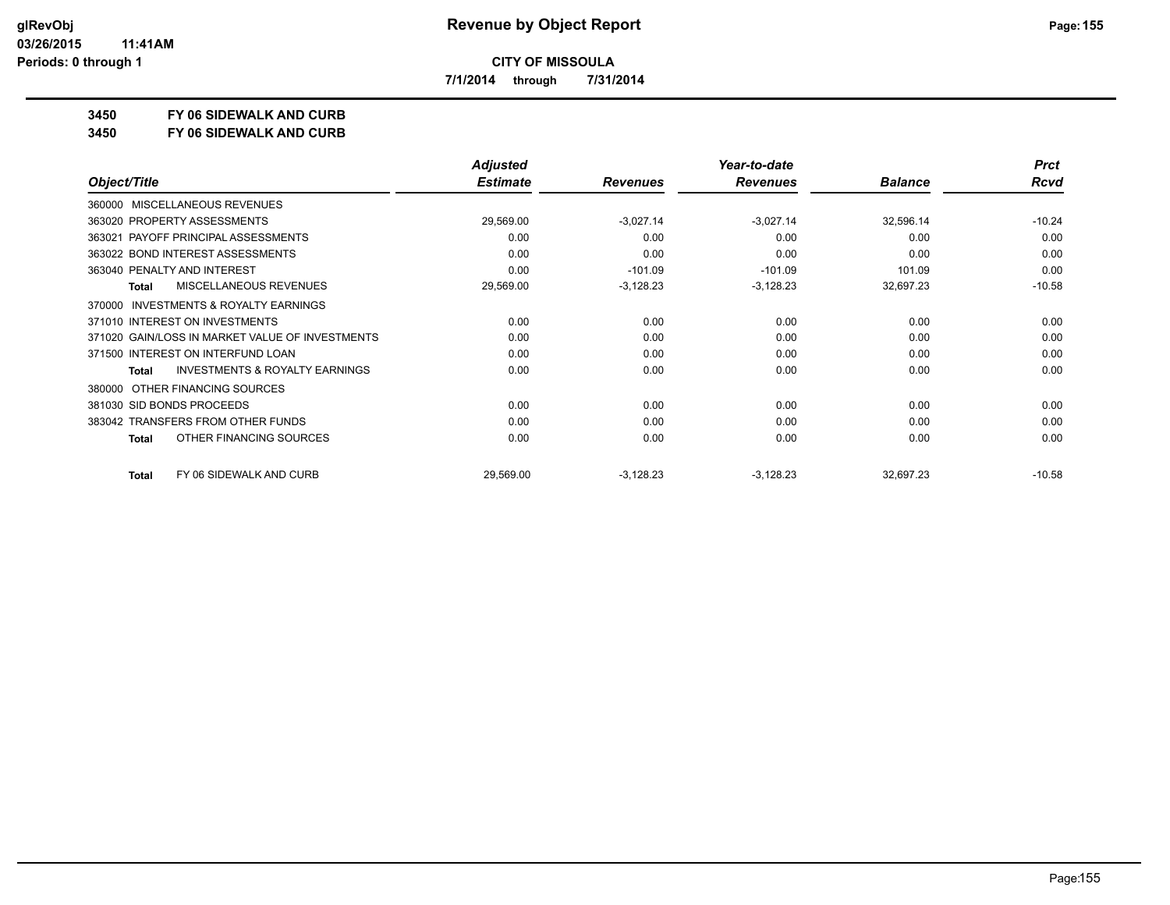**7/1/2014 through 7/31/2014**

**3450 FY 06 SIDEWALK AND CURB**

**3450 FY 06 SIDEWALK AND CURB**

|                                                           | <b>Adjusted</b> |                 | Year-to-date    |                | <b>Prct</b> |
|-----------------------------------------------------------|-----------------|-----------------|-----------------|----------------|-------------|
| Object/Title                                              | <b>Estimate</b> | <b>Revenues</b> | <b>Revenues</b> | <b>Balance</b> | <b>Rcvd</b> |
| <b>MISCELLANEOUS REVENUES</b><br>360000                   |                 |                 |                 |                |             |
| 363020 PROPERTY ASSESSMENTS                               | 29,569.00       | $-3,027.14$     | $-3,027.14$     | 32,596.14      | $-10.24$    |
| 363021 PAYOFF PRINCIPAL ASSESSMENTS                       | 0.00            | 0.00            | 0.00            | 0.00           | 0.00        |
| 363022 BOND INTEREST ASSESSMENTS                          | 0.00            | 0.00            | 0.00            | 0.00           | 0.00        |
| 363040 PENALTY AND INTEREST                               | 0.00            | $-101.09$       | $-101.09$       | 101.09         | 0.00        |
| <b>MISCELLANEOUS REVENUES</b><br><b>Total</b>             | 29,569.00       | $-3,128.23$     | $-3,128.23$     | 32,697.23      | $-10.58$    |
| <b>INVESTMENTS &amp; ROYALTY EARNINGS</b><br>370000       |                 |                 |                 |                |             |
| 371010 INTEREST ON INVESTMENTS                            | 0.00            | 0.00            | 0.00            | 0.00           | 0.00        |
| 371020 GAIN/LOSS IN MARKET VALUE OF INVESTMENTS           | 0.00            | 0.00            | 0.00            | 0.00           | 0.00        |
| 371500 INTEREST ON INTERFUND LOAN                         | 0.00            | 0.00            | 0.00            | 0.00           | 0.00        |
| <b>INVESTMENTS &amp; ROYALTY EARNINGS</b><br><b>Total</b> | 0.00            | 0.00            | 0.00            | 0.00           | 0.00        |
| OTHER FINANCING SOURCES<br>380000                         |                 |                 |                 |                |             |
| 381030 SID BONDS PROCEEDS                                 | 0.00            | 0.00            | 0.00            | 0.00           | 0.00        |
| 383042 TRANSFERS FROM OTHER FUNDS                         | 0.00            | 0.00            | 0.00            | 0.00           | 0.00        |
| OTHER FINANCING SOURCES<br>Total                          | 0.00            | 0.00            | 0.00            | 0.00           | 0.00        |
| FY 06 SIDEWALK AND CURB<br>Total                          | 29,569.00       | $-3,128.23$     | $-3,128.23$     | 32,697.23      | $-10.58$    |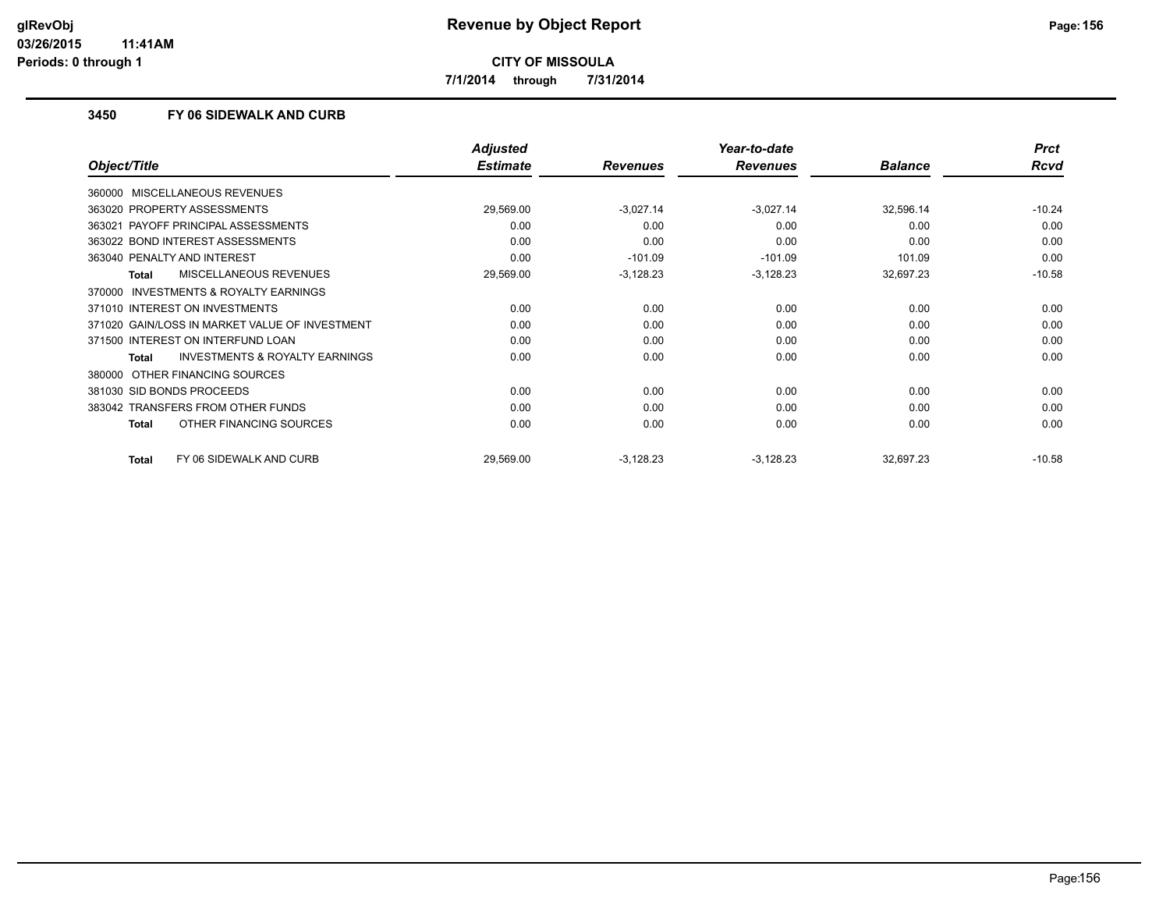**7/1/2014 through 7/31/2014**

### **3450 FY 06 SIDEWALK AND CURB**

|                                                           | <b>Adjusted</b> |                 | Year-to-date    |                | <b>Prct</b> |
|-----------------------------------------------------------|-----------------|-----------------|-----------------|----------------|-------------|
| Object/Title                                              | <b>Estimate</b> | <b>Revenues</b> | <b>Revenues</b> | <b>Balance</b> | <b>Rcvd</b> |
| MISCELLANEOUS REVENUES<br>360000                          |                 |                 |                 |                |             |
| 363020 PROPERTY ASSESSMENTS                               | 29,569.00       | $-3,027.14$     | $-3,027.14$     | 32,596.14      | $-10.24$    |
| 363021 PAYOFF PRINCIPAL ASSESSMENTS                       | 0.00            | 0.00            | 0.00            | 0.00           | 0.00        |
| 363022 BOND INTEREST ASSESSMENTS                          | 0.00            | 0.00            | 0.00            | 0.00           | 0.00        |
| 363040 PENALTY AND INTEREST                               | 0.00            | $-101.09$       | $-101.09$       | 101.09         | 0.00        |
| <b>MISCELLANEOUS REVENUES</b><br><b>Total</b>             | 29,569.00       | $-3,128.23$     | $-3,128.23$     | 32,697.23      | $-10.58$    |
| <b>INVESTMENTS &amp; ROYALTY EARNINGS</b><br>370000       |                 |                 |                 |                |             |
| 371010 INTEREST ON INVESTMENTS                            | 0.00            | 0.00            | 0.00            | 0.00           | 0.00        |
| 371020 GAIN/LOSS IN MARKET VALUE OF INVESTMENT            | 0.00            | 0.00            | 0.00            | 0.00           | 0.00        |
| 371500 INTEREST ON INTERFUND LOAN                         | 0.00            | 0.00            | 0.00            | 0.00           | 0.00        |
| <b>INVESTMENTS &amp; ROYALTY EARNINGS</b><br><b>Total</b> | 0.00            | 0.00            | 0.00            | 0.00           | 0.00        |
| OTHER FINANCING SOURCES<br>380000                         |                 |                 |                 |                |             |
| 381030 SID BONDS PROCEEDS                                 | 0.00            | 0.00            | 0.00            | 0.00           | 0.00        |
| 383042 TRANSFERS FROM OTHER FUNDS                         | 0.00            | 0.00            | 0.00            | 0.00           | 0.00        |
| OTHER FINANCING SOURCES<br><b>Total</b>                   | 0.00            | 0.00            | 0.00            | 0.00           | 0.00        |
| FY 06 SIDEWALK AND CURB<br><b>Total</b>                   | 29,569.00       | $-3,128.23$     | $-3,128.23$     | 32,697.23      | $-10.58$    |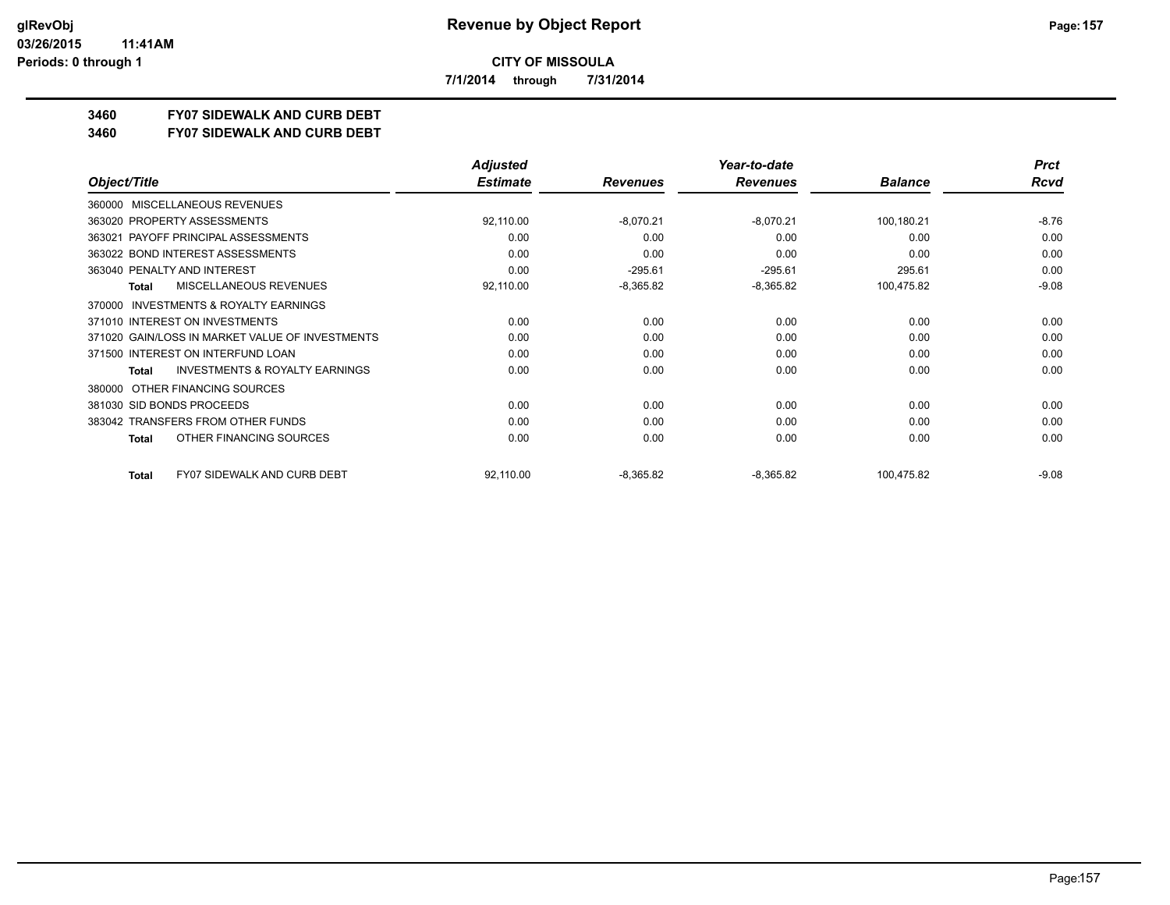**7/1/2014 through 7/31/2014**

# **3460 FY07 SIDEWALK AND CURB DEBT**

#### **3460 FY07 SIDEWALK AND CURB DEBT**

|                                                     | <b>Adjusted</b> |                 | Year-to-date    |                | <b>Prct</b> |
|-----------------------------------------------------|-----------------|-----------------|-----------------|----------------|-------------|
| Object/Title                                        | <b>Estimate</b> | <b>Revenues</b> | <b>Revenues</b> | <b>Balance</b> | Rcvd        |
| MISCELLANEOUS REVENUES<br>360000                    |                 |                 |                 |                |             |
| 363020 PROPERTY ASSESSMENTS                         | 92,110.00       | $-8,070.21$     | $-8,070.21$     | 100,180.21     | $-8.76$     |
| PAYOFF PRINCIPAL ASSESSMENTS<br>363021              | 0.00            | 0.00            | 0.00            | 0.00           | 0.00        |
| 363022 BOND INTEREST ASSESSMENTS                    | 0.00            | 0.00            | 0.00            | 0.00           | 0.00        |
| 363040 PENALTY AND INTEREST                         | 0.00            | $-295.61$       | $-295.61$       | 295.61         | 0.00        |
| MISCELLANEOUS REVENUES<br><b>Total</b>              | 92,110.00       | $-8,365.82$     | $-8,365.82$     | 100,475.82     | $-9.08$     |
| <b>INVESTMENTS &amp; ROYALTY EARNINGS</b><br>370000 |                 |                 |                 |                |             |
| 371010 INTEREST ON INVESTMENTS                      | 0.00            | 0.00            | 0.00            | 0.00           | 0.00        |
| 371020 GAIN/LOSS IN MARKET VALUE OF INVESTMENTS     | 0.00            | 0.00            | 0.00            | 0.00           | 0.00        |
| 371500 INTEREST ON INTERFUND LOAN                   | 0.00            | 0.00            | 0.00            | 0.00           | 0.00        |
| <b>INVESTMENTS &amp; ROYALTY EARNINGS</b><br>Total  | 0.00            | 0.00            | 0.00            | 0.00           | 0.00        |
| OTHER FINANCING SOURCES<br>380000                   |                 |                 |                 |                |             |
| 381030 SID BONDS PROCEEDS                           | 0.00            | 0.00            | 0.00            | 0.00           | 0.00        |
| 383042 TRANSFERS FROM OTHER FUNDS                   | 0.00            | 0.00            | 0.00            | 0.00           | 0.00        |
| OTHER FINANCING SOURCES<br><b>Total</b>             | 0.00            | 0.00            | 0.00            | 0.00           | 0.00        |
| <b>FY07 SIDEWALK AND CURB DEBT</b><br>Total         | 92,110.00       | $-8,365.82$     | $-8,365.82$     | 100,475.82     | $-9.08$     |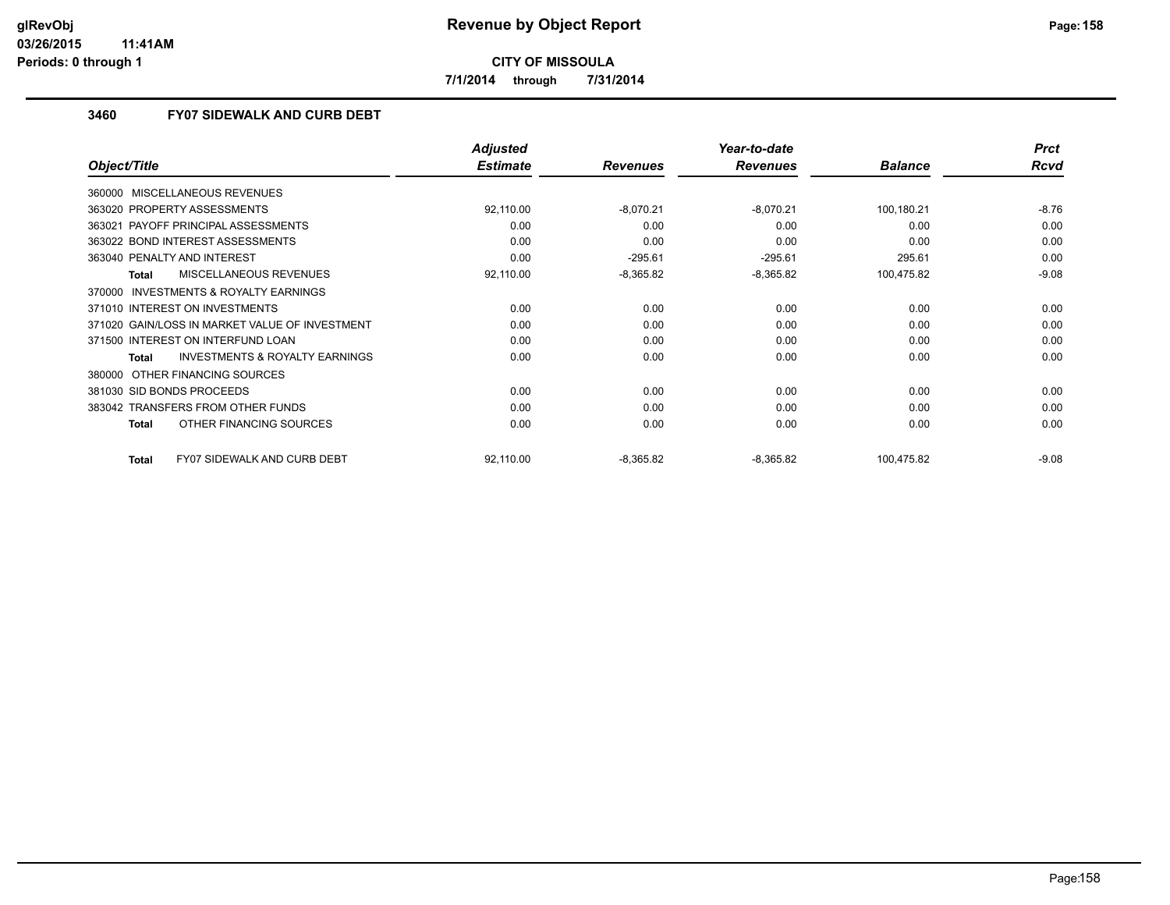**7/1/2014 through 7/31/2014**

## **3460 FY07 SIDEWALK AND CURB DEBT**

|                                                    | <b>Adjusted</b> |                 | Year-to-date    |                | <b>Prct</b> |
|----------------------------------------------------|-----------------|-----------------|-----------------|----------------|-------------|
| Object/Title                                       | <b>Estimate</b> | <b>Revenues</b> | <b>Revenues</b> | <b>Balance</b> | <b>Rcvd</b> |
| 360000 MISCELLANEOUS REVENUES                      |                 |                 |                 |                |             |
| 363020 PROPERTY ASSESSMENTS                        | 92,110.00       | $-8,070.21$     | $-8,070.21$     | 100,180.21     | $-8.76$     |
| PAYOFF PRINCIPAL ASSESSMENTS<br>363021             | 0.00            | 0.00            | 0.00            | 0.00           | 0.00        |
| 363022 BOND INTEREST ASSESSMENTS                   | 0.00            | 0.00            | 0.00            | 0.00           | 0.00        |
| 363040 PENALTY AND INTEREST                        | 0.00            | $-295.61$       | $-295.61$       | 295.61         | 0.00        |
| MISCELLANEOUS REVENUES<br>Total                    | 92,110.00       | $-8,365.82$     | $-8,365.82$     | 100,475.82     | $-9.08$     |
| 370000 INVESTMENTS & ROYALTY EARNINGS              |                 |                 |                 |                |             |
| 371010 INTEREST ON INVESTMENTS                     | 0.00            | 0.00            | 0.00            | 0.00           | 0.00        |
| 371020 GAIN/LOSS IN MARKET VALUE OF INVESTMENT     | 0.00            | 0.00            | 0.00            | 0.00           | 0.00        |
| 371500 INTEREST ON INTERFUND LOAN                  | 0.00            | 0.00            | 0.00            | 0.00           | 0.00        |
| INVESTMENTS & ROYALTY EARNINGS<br>Total            | 0.00            | 0.00            | 0.00            | 0.00           | 0.00        |
| 380000 OTHER FINANCING SOURCES                     |                 |                 |                 |                |             |
| 381030 SID BONDS PROCEEDS                          | 0.00            | 0.00            | 0.00            | 0.00           | 0.00        |
| 383042 TRANSFERS FROM OTHER FUNDS                  | 0.00            | 0.00            | 0.00            | 0.00           | 0.00        |
| OTHER FINANCING SOURCES<br><b>Total</b>            | 0.00            | 0.00            | 0.00            | 0.00           | 0.00        |
| <b>FY07 SIDEWALK AND CURB DEBT</b><br><b>Total</b> | 92,110.00       | $-8,365.82$     | $-8,365.82$     | 100,475.82     | $-9.08$     |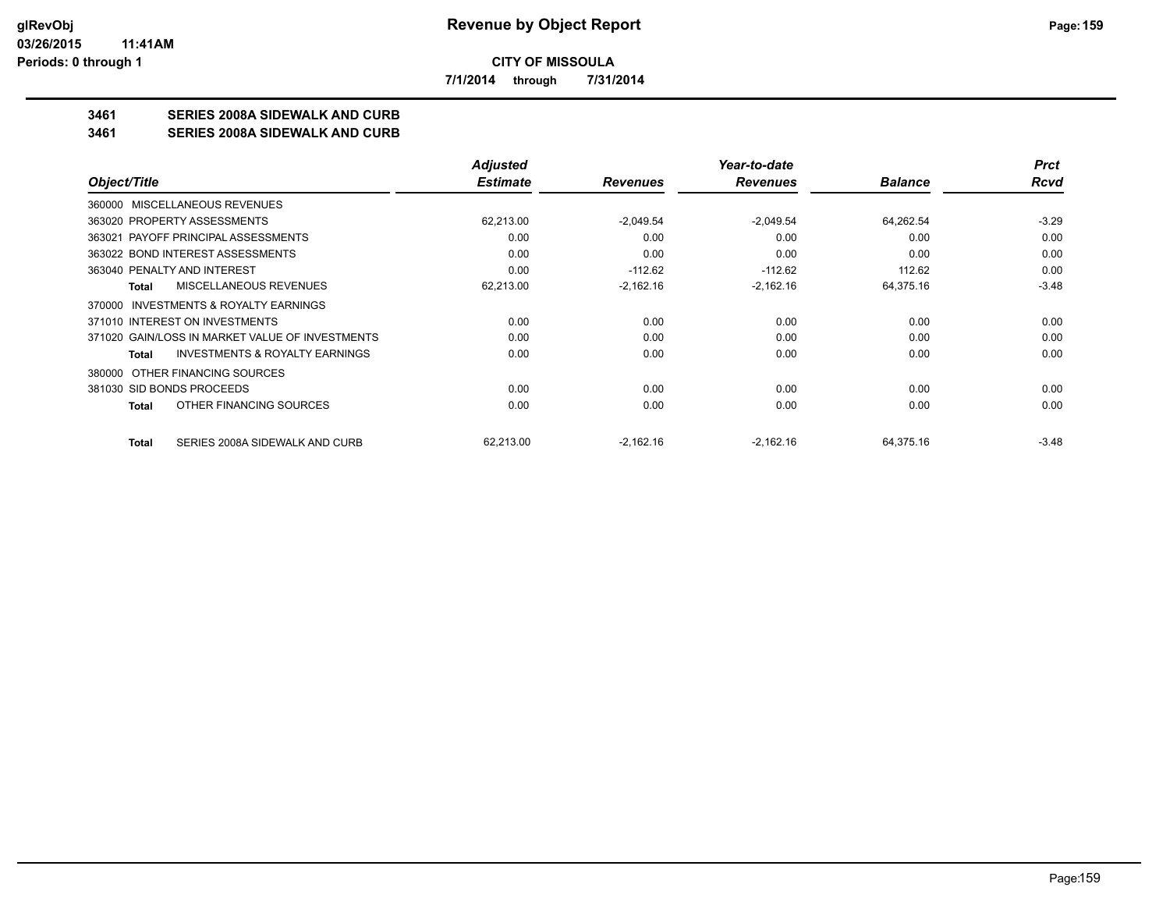**7/1/2014 through 7/31/2014**

# **3461 SERIES 2008A SIDEWALK AND CURB**

#### **3461 SERIES 2008A SIDEWALK AND CURB**

|                                                    | <b>Adjusted</b> |                 | Year-to-date    |                | <b>Prct</b> |
|----------------------------------------------------|-----------------|-----------------|-----------------|----------------|-------------|
| Object/Title                                       | <b>Estimate</b> | <b>Revenues</b> | <b>Revenues</b> | <b>Balance</b> | <b>Rcvd</b> |
| 360000 MISCELLANEOUS REVENUES                      |                 |                 |                 |                |             |
| 363020 PROPERTY ASSESSMENTS                        | 62,213.00       | $-2.049.54$     | $-2.049.54$     | 64,262.54      | $-3.29$     |
| 363021 PAYOFF PRINCIPAL ASSESSMENTS                | 0.00            | 0.00            | 0.00            | 0.00           | 0.00        |
| 363022 BOND INTEREST ASSESSMENTS                   | 0.00            | 0.00            | 0.00            | 0.00           | 0.00        |
| 363040 PENALTY AND INTEREST                        | 0.00            | $-112.62$       | $-112.62$       | 112.62         | 0.00        |
| MISCELLANEOUS REVENUES<br>Total                    | 62,213.00       | $-2,162.16$     | $-2,162.16$     | 64,375.16      | $-3.48$     |
| INVESTMENTS & ROYALTY EARNINGS<br>370000           |                 |                 |                 |                |             |
| 371010 INTEREST ON INVESTMENTS                     | 0.00            | 0.00            | 0.00            | 0.00           | 0.00        |
| 371020 GAIN/LOSS IN MARKET VALUE OF INVESTMENTS    | 0.00            | 0.00            | 0.00            | 0.00           | 0.00        |
| <b>INVESTMENTS &amp; ROYALTY EARNINGS</b><br>Total | 0.00            | 0.00            | 0.00            | 0.00           | 0.00        |
| OTHER FINANCING SOURCES<br>380000                  |                 |                 |                 |                |             |
| 381030 SID BONDS PROCEEDS                          | 0.00            | 0.00            | 0.00            | 0.00           | 0.00        |
| OTHER FINANCING SOURCES<br>Total                   | 0.00            | 0.00            | 0.00            | 0.00           | 0.00        |
| SERIES 2008A SIDEWALK AND CURB<br><b>Total</b>     | 62,213.00       | $-2,162.16$     | $-2,162.16$     | 64,375.16      | $-3.48$     |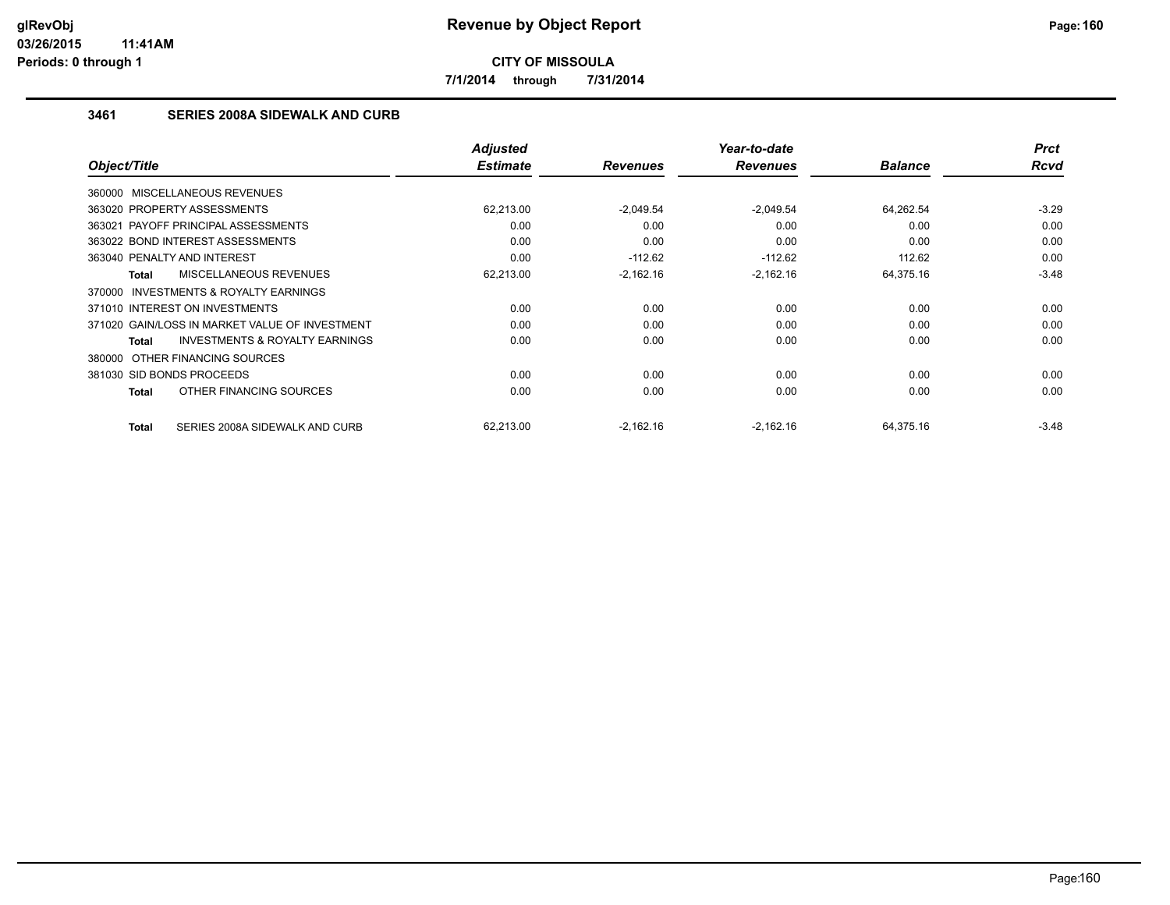**7/1/2014 through 7/31/2014**

## **3461 SERIES 2008A SIDEWALK AND CURB**

| Object/Title                                        | <b>Adjusted</b><br><b>Estimate</b> | <b>Revenues</b> | Year-to-date<br><b>Revenues</b> | <b>Balance</b> | <b>Prct</b><br><b>Rcvd</b> |
|-----------------------------------------------------|------------------------------------|-----------------|---------------------------------|----------------|----------------------------|
|                                                     |                                    |                 |                                 |                |                            |
| 360000 MISCELLANEOUS REVENUES                       |                                    |                 |                                 |                |                            |
| 363020 PROPERTY ASSESSMENTS                         | 62.213.00                          | $-2.049.54$     | $-2.049.54$                     | 64,262.54      | $-3.29$                    |
| 363021 PAYOFF PRINCIPAL ASSESSMENTS                 | 0.00                               | 0.00            | 0.00                            | 0.00           | 0.00                       |
| 363022 BOND INTEREST ASSESSMENTS                    | 0.00                               | 0.00            | 0.00                            | 0.00           | 0.00                       |
| 363040 PENALTY AND INTEREST                         | 0.00                               | $-112.62$       | $-112.62$                       | 112.62         | 0.00                       |
| <b>MISCELLANEOUS REVENUES</b><br>Total              | 62,213.00                          | $-2,162.16$     | $-2,162.16$                     | 64,375.16      | $-3.48$                    |
| <b>INVESTMENTS &amp; ROYALTY EARNINGS</b><br>370000 |                                    |                 |                                 |                |                            |
| 371010 INTEREST ON INVESTMENTS                      | 0.00                               | 0.00            | 0.00                            | 0.00           | 0.00                       |
| 371020 GAIN/LOSS IN MARKET VALUE OF INVESTMENT      | 0.00                               | 0.00            | 0.00                            | 0.00           | 0.00                       |
| <b>INVESTMENTS &amp; ROYALTY EARNINGS</b><br>Total  | 0.00                               | 0.00            | 0.00                            | 0.00           | 0.00                       |
| 380000 OTHER FINANCING SOURCES                      |                                    |                 |                                 |                |                            |
| 381030 SID BONDS PROCEEDS                           | 0.00                               | 0.00            | 0.00                            | 0.00           | 0.00                       |
| OTHER FINANCING SOURCES<br>Total                    | 0.00                               | 0.00            | 0.00                            | 0.00           | 0.00                       |
| SERIES 2008A SIDEWALK AND CURB<br>Total             | 62.213.00                          | $-2,162.16$     | $-2,162.16$                     | 64,375.16      | $-3.48$                    |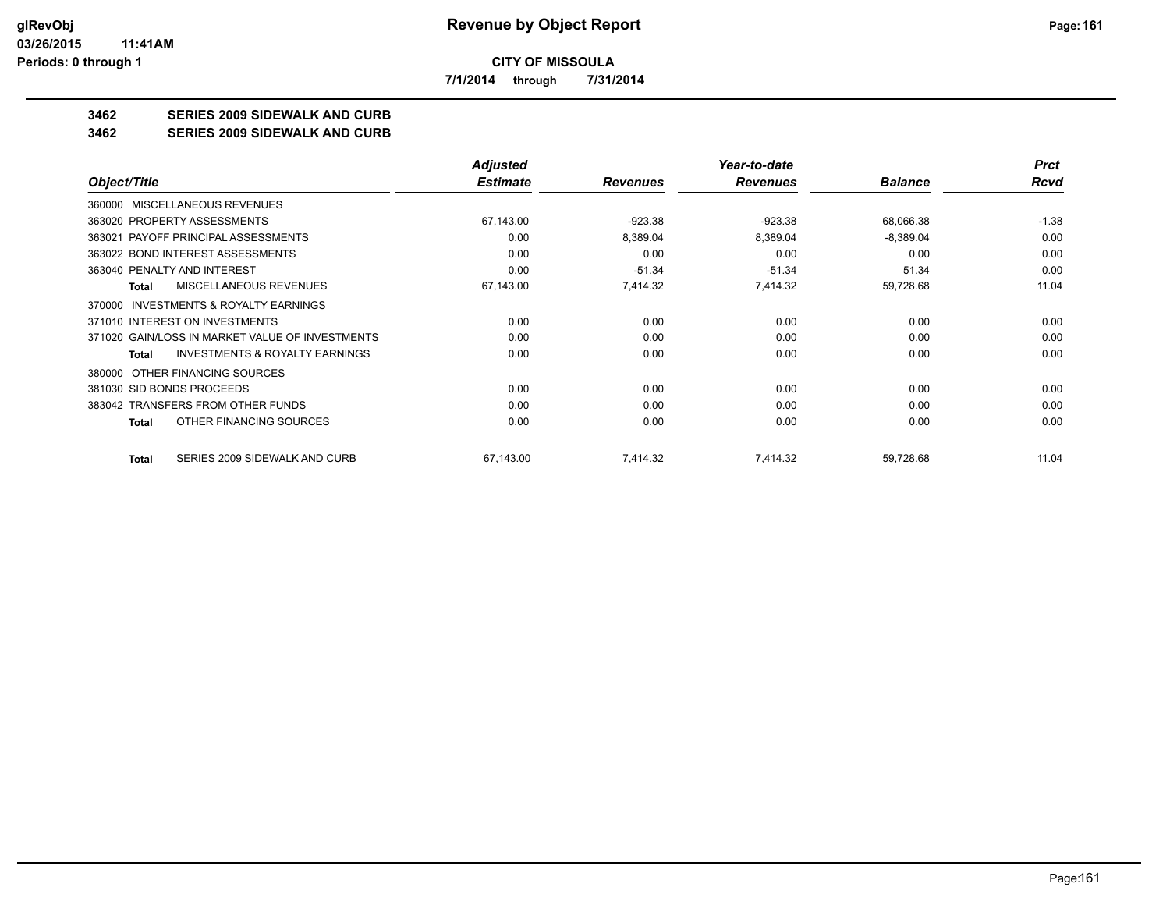**7/1/2014 through 7/31/2014**

# **3462 SERIES 2009 SIDEWALK AND CURB**

#### **3462 SERIES 2009 SIDEWALK AND CURB**

|                                                           | <b>Adjusted</b> |                 | Year-to-date    |                | <b>Prct</b> |
|-----------------------------------------------------------|-----------------|-----------------|-----------------|----------------|-------------|
| Object/Title                                              | <b>Estimate</b> | <b>Revenues</b> | <b>Revenues</b> | <b>Balance</b> | Rcvd        |
| <b>MISCELLANEOUS REVENUES</b><br>360000                   |                 |                 |                 |                |             |
| 363020 PROPERTY ASSESSMENTS                               | 67,143.00       | $-923.38$       | $-923.38$       | 68,066.38      | $-1.38$     |
| 363021 PAYOFF PRINCIPAL ASSESSMENTS                       | 0.00            | 8,389.04        | 8,389.04        | $-8,389.04$    | 0.00        |
| 363022 BOND INTEREST ASSESSMENTS                          | 0.00            | 0.00            | 0.00            | 0.00           | 0.00        |
| 363040 PENALTY AND INTEREST                               | 0.00            | $-51.34$        | $-51.34$        | 51.34          | 0.00        |
| <b>MISCELLANEOUS REVENUES</b><br><b>Total</b>             | 67,143.00       | 7,414.32        | 7,414.32        | 59,728.68      | 11.04       |
| <b>INVESTMENTS &amp; ROYALTY EARNINGS</b><br>370000       |                 |                 |                 |                |             |
| 371010 INTEREST ON INVESTMENTS                            | 0.00            | 0.00            | 0.00            | 0.00           | 0.00        |
| 371020 GAIN/LOSS IN MARKET VALUE OF INVESTMENTS           | 0.00            | 0.00            | 0.00            | 0.00           | 0.00        |
| <b>INVESTMENTS &amp; ROYALTY EARNINGS</b><br><b>Total</b> | 0.00            | 0.00            | 0.00            | 0.00           | 0.00        |
| OTHER FINANCING SOURCES<br>380000                         |                 |                 |                 |                |             |
| 381030 SID BONDS PROCEEDS                                 | 0.00            | 0.00            | 0.00            | 0.00           | 0.00        |
| 383042 TRANSFERS FROM OTHER FUNDS                         | 0.00            | 0.00            | 0.00            | 0.00           | 0.00        |
| OTHER FINANCING SOURCES<br>Total                          | 0.00            | 0.00            | 0.00            | 0.00           | 0.00        |
| SERIES 2009 SIDEWALK AND CURB<br>Total                    | 67,143.00       | 7,414.32        | 7,414.32        | 59,728.68      | 11.04       |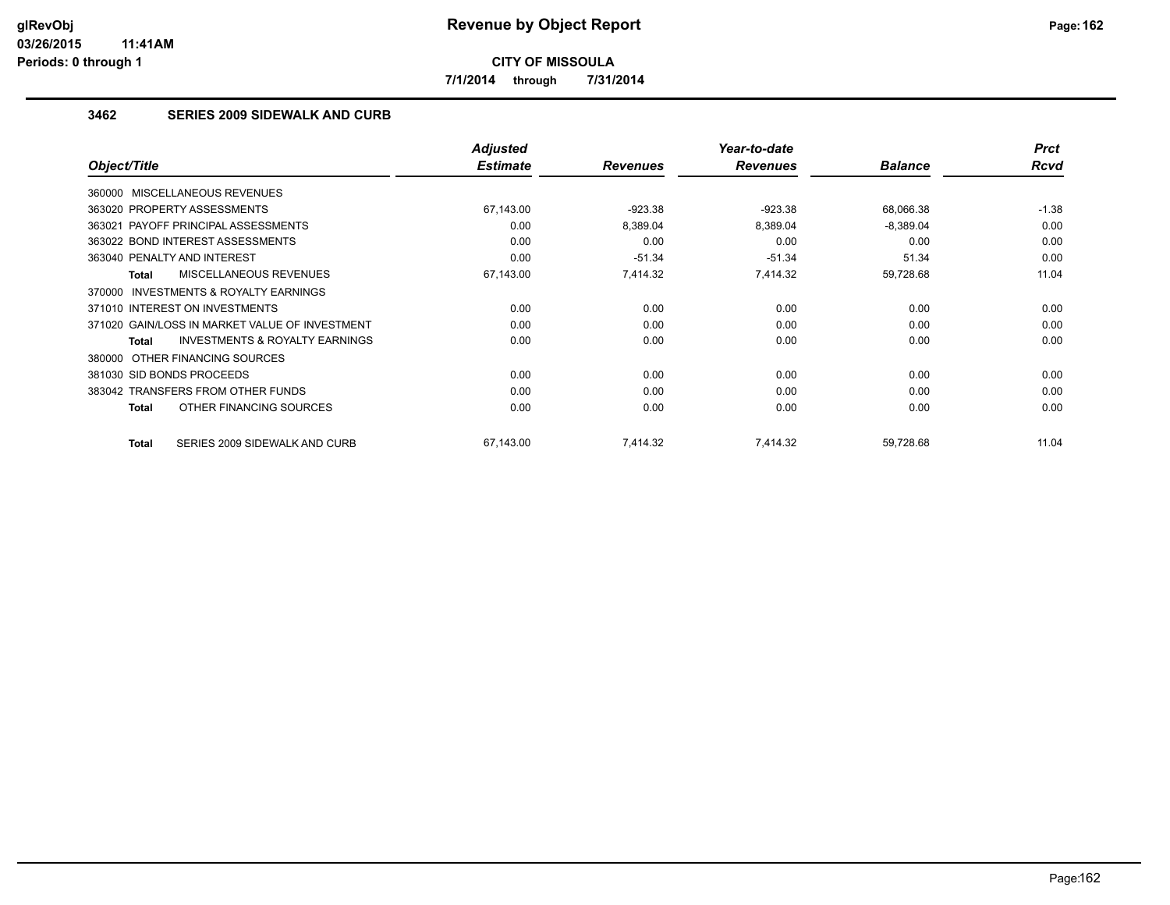**7/1/2014 through 7/31/2014**

## **3462 SERIES 2009 SIDEWALK AND CURB**

|                                                           | Adjusted        |                 | Year-to-date    |                | <b>Prct</b> |
|-----------------------------------------------------------|-----------------|-----------------|-----------------|----------------|-------------|
| Object/Title                                              | <b>Estimate</b> | <b>Revenues</b> | <b>Revenues</b> | <b>Balance</b> | Rcvd        |
| 360000 MISCELLANEOUS REVENUES                             |                 |                 |                 |                |             |
| 363020 PROPERTY ASSESSMENTS                               | 67,143.00       | $-923.38$       | $-923.38$       | 68,066.38      | $-1.38$     |
| 363021 PAYOFF PRINCIPAL ASSESSMENTS                       | 0.00            | 8,389.04        | 8,389.04        | $-8,389.04$    | 0.00        |
| 363022 BOND INTEREST ASSESSMENTS                          | 0.00            | 0.00            | 0.00            | 0.00           | 0.00        |
| 363040 PENALTY AND INTEREST                               | 0.00            | $-51.34$        | $-51.34$        | 51.34          | 0.00        |
| MISCELLANEOUS REVENUES<br>Total                           | 67,143.00       | 7,414.32        | 7,414.32        | 59,728.68      | 11.04       |
| INVESTMENTS & ROYALTY EARNINGS<br>370000                  |                 |                 |                 |                |             |
| 371010 INTEREST ON INVESTMENTS                            | 0.00            | 0.00            | 0.00            | 0.00           | 0.00        |
| 371020 GAIN/LOSS IN MARKET VALUE OF INVESTMENT            | 0.00            | 0.00            | 0.00            | 0.00           | 0.00        |
| <b>INVESTMENTS &amp; ROYALTY EARNINGS</b><br><b>Total</b> | 0.00            | 0.00            | 0.00            | 0.00           | 0.00        |
| 380000 OTHER FINANCING SOURCES                            |                 |                 |                 |                |             |
| 381030 SID BONDS PROCEEDS                                 | 0.00            | 0.00            | 0.00            | 0.00           | 0.00        |
| 383042 TRANSFERS FROM OTHER FUNDS                         | 0.00            | 0.00            | 0.00            | 0.00           | 0.00        |
| OTHER FINANCING SOURCES<br>Total                          | 0.00            | 0.00            | 0.00            | 0.00           | 0.00        |
| SERIES 2009 SIDEWALK AND CURB<br><b>Total</b>             | 67,143.00       | 7.414.32        | 7,414.32        | 59,728.68      | 11.04       |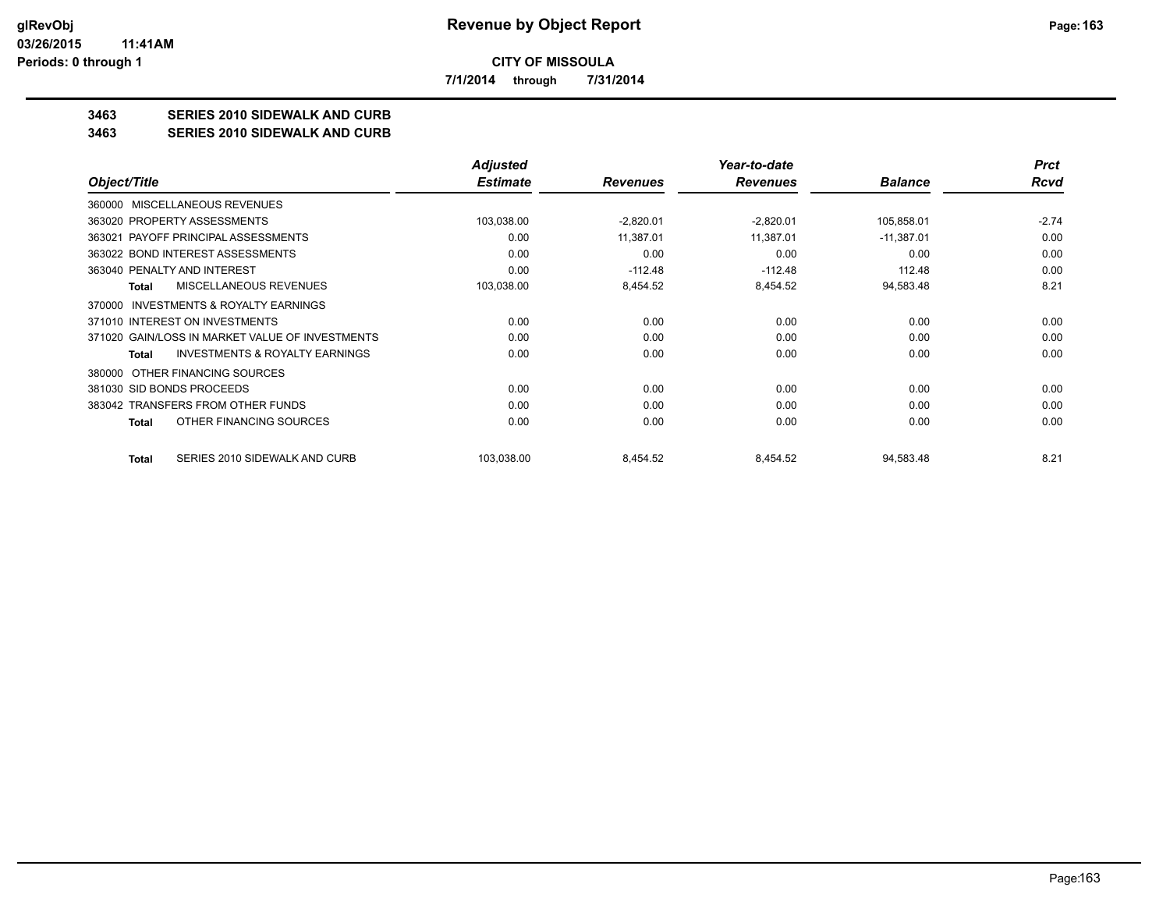**7/1/2014 through 7/31/2014**

# **3463 SERIES 2010 SIDEWALK AND CURB**

#### **3463 SERIES 2010 SIDEWALK AND CURB**

|                                                     | <b>Adjusted</b> |                 | Year-to-date    |                | <b>Prct</b> |
|-----------------------------------------------------|-----------------|-----------------|-----------------|----------------|-------------|
| Object/Title                                        | <b>Estimate</b> | <b>Revenues</b> | <b>Revenues</b> | <b>Balance</b> | <b>Rcvd</b> |
| <b>MISCELLANEOUS REVENUES</b><br>360000             |                 |                 |                 |                |             |
| 363020 PROPERTY ASSESSMENTS                         | 103,038.00      | $-2,820.01$     | $-2,820.01$     | 105,858.01     | $-2.74$     |
| PAYOFF PRINCIPAL ASSESSMENTS<br>363021              | 0.00            | 11,387.01       | 11,387.01       | $-11,387.01$   | 0.00        |
| 363022 BOND INTEREST ASSESSMENTS                    | 0.00            | 0.00            | 0.00            | 0.00           | 0.00        |
| 363040 PENALTY AND INTEREST                         | 0.00            | $-112.48$       | $-112.48$       | 112.48         | 0.00        |
| MISCELLANEOUS REVENUES<br>Total                     | 103,038.00      | 8,454.52        | 8,454.52        | 94,583.48      | 8.21        |
| <b>INVESTMENTS &amp; ROYALTY EARNINGS</b><br>370000 |                 |                 |                 |                |             |
| 371010 INTEREST ON INVESTMENTS                      | 0.00            | 0.00            | 0.00            | 0.00           | 0.00        |
| 371020 GAIN/LOSS IN MARKET VALUE OF INVESTMENTS     | 0.00            | 0.00            | 0.00            | 0.00           | 0.00        |
| <b>INVESTMENTS &amp; ROYALTY EARNINGS</b><br>Total  | 0.00            | 0.00            | 0.00            | 0.00           | 0.00        |
| 380000 OTHER FINANCING SOURCES                      |                 |                 |                 |                |             |
| 381030 SID BONDS PROCEEDS                           | 0.00            | 0.00            | 0.00            | 0.00           | 0.00        |
| 383042 TRANSFERS FROM OTHER FUNDS                   | 0.00            | 0.00            | 0.00            | 0.00           | 0.00        |
| OTHER FINANCING SOURCES<br>Total                    | 0.00            | 0.00            | 0.00            | 0.00           | 0.00        |
| SERIES 2010 SIDEWALK AND CURB<br>Total              | 103,038.00      | 8,454.52        | 8,454.52        | 94,583.48      | 8.21        |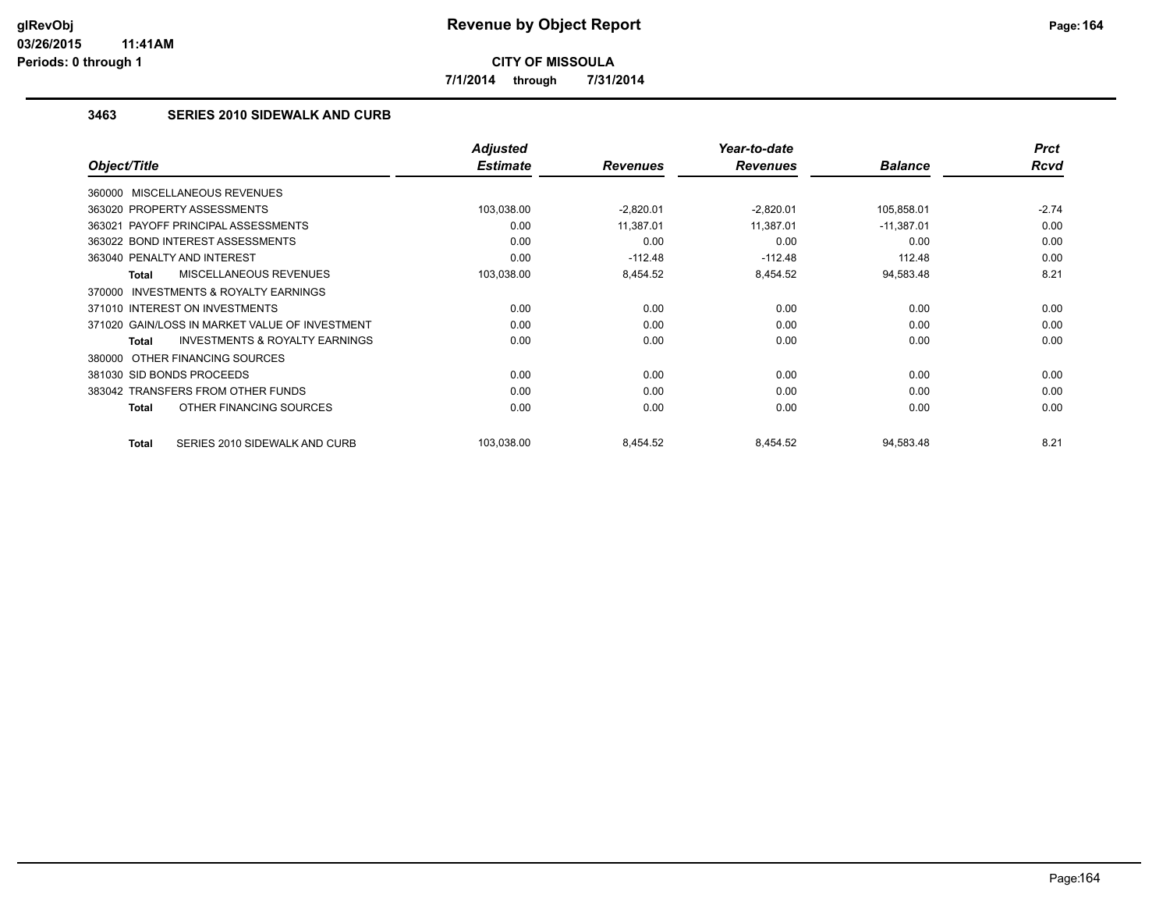**7/1/2014 through 7/31/2014**

## **3463 SERIES 2010 SIDEWALK AND CURB**

|                                                    | <b>Adjusted</b> |                 | Year-to-date    |                | <b>Prct</b> |
|----------------------------------------------------|-----------------|-----------------|-----------------|----------------|-------------|
| Object/Title                                       | <b>Estimate</b> | <b>Revenues</b> | <b>Revenues</b> | <b>Balance</b> | <b>Rcvd</b> |
| 360000 MISCELLANEOUS REVENUES                      |                 |                 |                 |                |             |
| 363020 PROPERTY ASSESSMENTS                        | 103,038.00      | $-2,820.01$     | $-2,820.01$     | 105,858.01     | $-2.74$     |
| 363021 PAYOFF PRINCIPAL ASSESSMENTS                | 0.00            | 11,387.01       | 11,387.01       | $-11,387.01$   | 0.00        |
| 363022 BOND INTEREST ASSESSMENTS                   | 0.00            | 0.00            | 0.00            | 0.00           | 0.00        |
| 363040 PENALTY AND INTEREST                        | 0.00            | $-112.48$       | $-112.48$       | 112.48         | 0.00        |
| MISCELLANEOUS REVENUES<br>Total                    | 103,038.00      | 8,454.52        | 8,454.52        | 94,583.48      | 8.21        |
| INVESTMENTS & ROYALTY EARNINGS<br>370000           |                 |                 |                 |                |             |
| 371010 INTEREST ON INVESTMENTS                     | 0.00            | 0.00            | 0.00            | 0.00           | 0.00        |
| 371020 GAIN/LOSS IN MARKET VALUE OF INVESTMENT     | 0.00            | 0.00            | 0.00            | 0.00           | 0.00        |
| <b>INVESTMENTS &amp; ROYALTY EARNINGS</b><br>Total | 0.00            | 0.00            | 0.00            | 0.00           | 0.00        |
| 380000 OTHER FINANCING SOURCES                     |                 |                 |                 |                |             |
| 381030 SID BONDS PROCEEDS                          | 0.00            | 0.00            | 0.00            | 0.00           | 0.00        |
| 383042 TRANSFERS FROM OTHER FUNDS                  | 0.00            | 0.00            | 0.00            | 0.00           | 0.00        |
| OTHER FINANCING SOURCES<br><b>Total</b>            | 0.00            | 0.00            | 0.00            | 0.00           | 0.00        |
| SERIES 2010 SIDEWALK AND CURB<br><b>Total</b>      | 103,038.00      | 8,454.52        | 8,454.52        | 94,583.48      | 8.21        |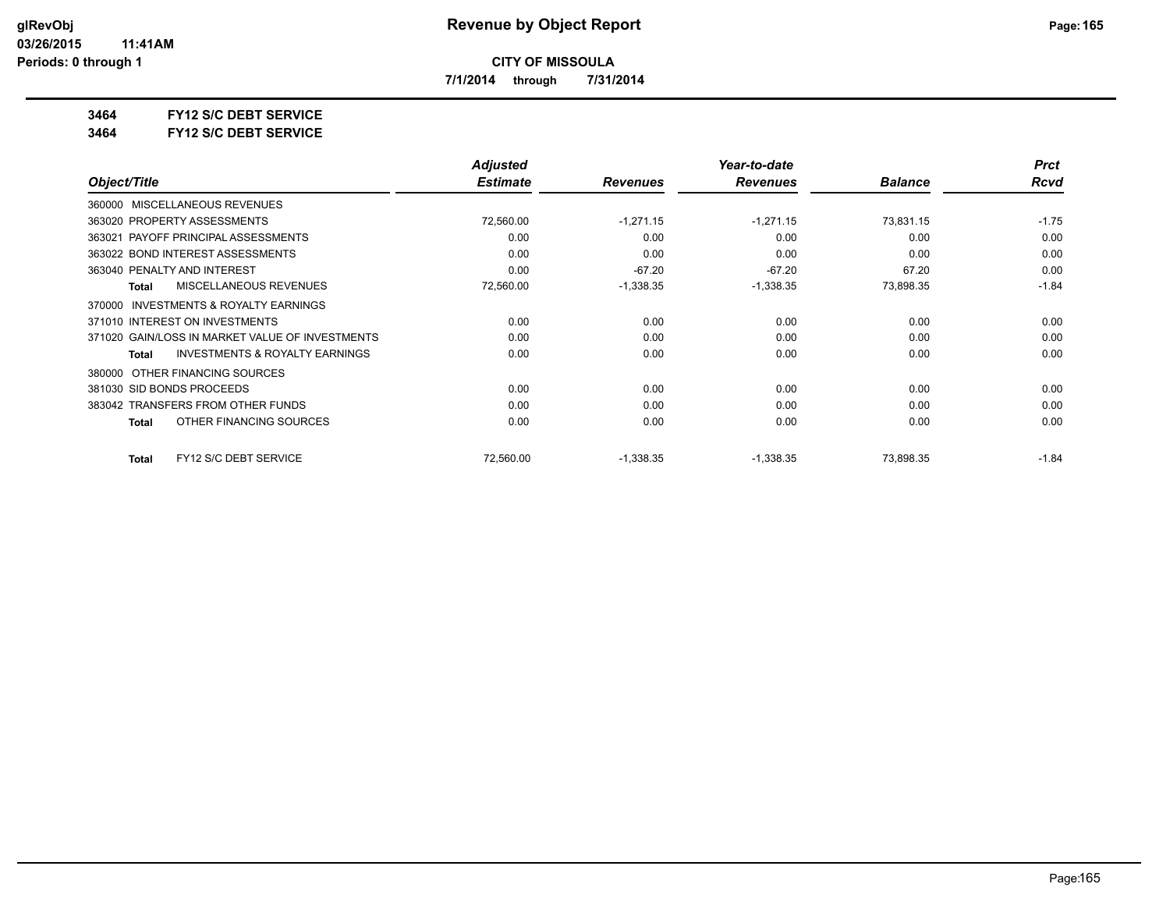**7/1/2014 through 7/31/2014**

**3464 FY12 S/C DEBT SERVICE**

**3464 FY12 S/C DEBT SERVICE**

|                                                    | <b>Adjusted</b> |                 | Year-to-date    |                | <b>Prct</b> |
|----------------------------------------------------|-----------------|-----------------|-----------------|----------------|-------------|
| Object/Title                                       | <b>Estimate</b> | <b>Revenues</b> | <b>Revenues</b> | <b>Balance</b> | Rcvd        |
| MISCELLANEOUS REVENUES<br>360000                   |                 |                 |                 |                |             |
| 363020 PROPERTY ASSESSMENTS                        | 72,560.00       | $-1,271.15$     | $-1,271.15$     | 73,831.15      | $-1.75$     |
| 363021 PAYOFF PRINCIPAL ASSESSMENTS                | 0.00            | 0.00            | 0.00            | 0.00           | 0.00        |
| 363022 BOND INTEREST ASSESSMENTS                   | 0.00            | 0.00            | 0.00            | 0.00           | 0.00        |
| 363040 PENALTY AND INTEREST                        | 0.00            | $-67.20$        | $-67.20$        | 67.20          | 0.00        |
| <b>MISCELLANEOUS REVENUES</b><br>Total             | 72,560.00       | $-1,338.35$     | $-1,338.35$     | 73,898.35      | $-1.84$     |
| INVESTMENTS & ROYALTY EARNINGS<br>370000           |                 |                 |                 |                |             |
| 371010 INTEREST ON INVESTMENTS                     | 0.00            | 0.00            | 0.00            | 0.00           | 0.00        |
| 371020 GAIN/LOSS IN MARKET VALUE OF INVESTMENTS    | 0.00            | 0.00            | 0.00            | 0.00           | 0.00        |
| <b>INVESTMENTS &amp; ROYALTY EARNINGS</b><br>Total | 0.00            | 0.00            | 0.00            | 0.00           | 0.00        |
| OTHER FINANCING SOURCES<br>380000                  |                 |                 |                 |                |             |
| 381030 SID BONDS PROCEEDS                          | 0.00            | 0.00            | 0.00            | 0.00           | 0.00        |
| 383042 TRANSFERS FROM OTHER FUNDS                  | 0.00            | 0.00            | 0.00            | 0.00           | 0.00        |
| OTHER FINANCING SOURCES<br><b>Total</b>            | 0.00            | 0.00            | 0.00            | 0.00           | 0.00        |
| FY12 S/C DEBT SERVICE<br><b>Total</b>              | 72,560.00       | $-1,338.35$     | $-1,338.35$     | 73,898.35      | $-1.84$     |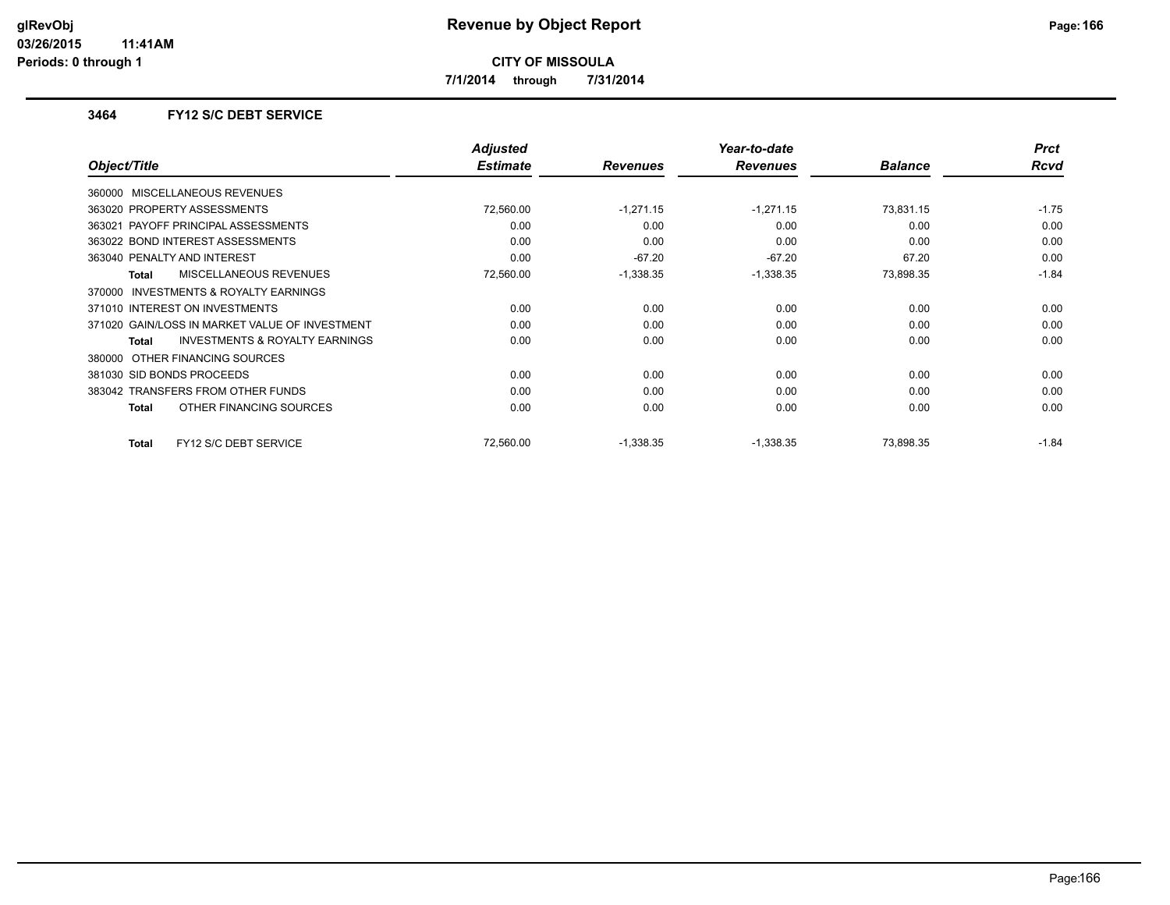**7/1/2014 through 7/31/2014**

### **3464 FY12 S/C DEBT SERVICE**

|                                                           | <b>Adjusted</b> |                 | Year-to-date    |                | <b>Prct</b> |
|-----------------------------------------------------------|-----------------|-----------------|-----------------|----------------|-------------|
| Object/Title                                              | <b>Estimate</b> | <b>Revenues</b> | <b>Revenues</b> | <b>Balance</b> | Rcvd        |
| 360000 MISCELLANEOUS REVENUES                             |                 |                 |                 |                |             |
| 363020 PROPERTY ASSESSMENTS                               | 72,560.00       | $-1,271.15$     | $-1,271.15$     | 73,831.15      | $-1.75$     |
| 363021 PAYOFF PRINCIPAL ASSESSMENTS                       | 0.00            | 0.00            | 0.00            | 0.00           | 0.00        |
| 363022 BOND INTEREST ASSESSMENTS                          | 0.00            | 0.00            | 0.00            | 0.00           | 0.00        |
| 363040 PENALTY AND INTEREST                               | 0.00            | $-67.20$        | $-67.20$        | 67.20          | 0.00        |
| <b>MISCELLANEOUS REVENUES</b><br>Total                    | 72,560.00       | $-1,338.35$     | $-1,338.35$     | 73,898.35      | $-1.84$     |
| <b>INVESTMENTS &amp; ROYALTY EARNINGS</b><br>370000       |                 |                 |                 |                |             |
| 371010 INTEREST ON INVESTMENTS                            | 0.00            | 0.00            | 0.00            | 0.00           | 0.00        |
| 371020 GAIN/LOSS IN MARKET VALUE OF INVESTMENT            | 0.00            | 0.00            | 0.00            | 0.00           | 0.00        |
| <b>INVESTMENTS &amp; ROYALTY EARNINGS</b><br><b>Total</b> | 0.00            | 0.00            | 0.00            | 0.00           | 0.00        |
| 380000 OTHER FINANCING SOURCES                            |                 |                 |                 |                |             |
| 381030 SID BONDS PROCEEDS                                 | 0.00            | 0.00            | 0.00            | 0.00           | 0.00        |
| 383042 TRANSFERS FROM OTHER FUNDS                         | 0.00            | 0.00            | 0.00            | 0.00           | 0.00        |
| OTHER FINANCING SOURCES<br>Total                          | 0.00            | 0.00            | 0.00            | 0.00           | 0.00        |
| FY12 S/C DEBT SERVICE<br><b>Total</b>                     | 72,560.00       | $-1,338.35$     | $-1,338.35$     | 73,898.35      | $-1.84$     |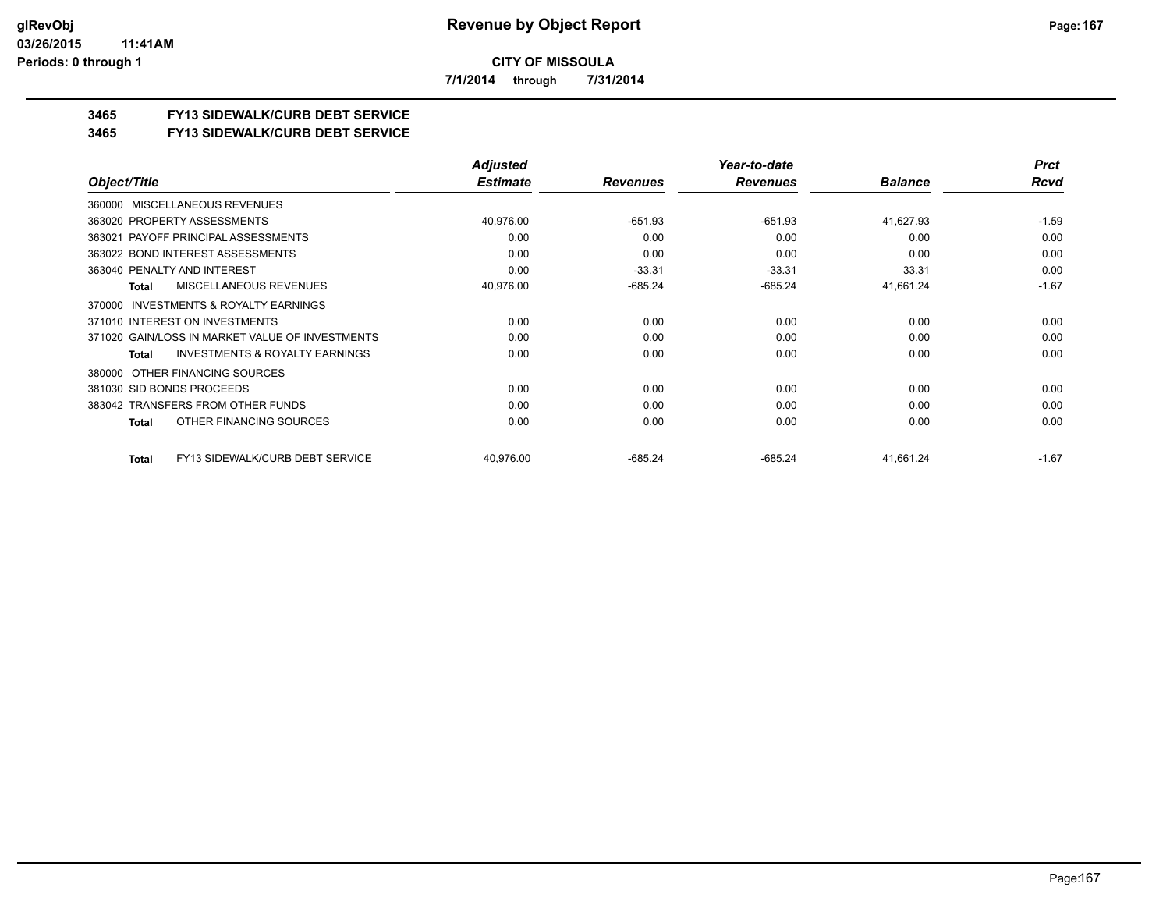**7/1/2014 through 7/31/2014**

## **3465 FY13 SIDEWALK/CURB DEBT SERVICE**

#### **3465 FY13 SIDEWALK/CURB DEBT SERVICE**

|                                                     | <b>Adjusted</b> |                 | Year-to-date    |                | <b>Prct</b> |
|-----------------------------------------------------|-----------------|-----------------|-----------------|----------------|-------------|
| Object/Title                                        | <b>Estimate</b> | <b>Revenues</b> | <b>Revenues</b> | <b>Balance</b> | Rcvd        |
| 360000 MISCELLANEOUS REVENUES                       |                 |                 |                 |                |             |
| 363020 PROPERTY ASSESSMENTS                         | 40,976.00       | $-651.93$       | $-651.93$       | 41,627.93      | $-1.59$     |
| 363021 PAYOFF PRINCIPAL ASSESSMENTS                 | 0.00            | 0.00            | 0.00            | 0.00           | 0.00        |
| 363022 BOND INTEREST ASSESSMENTS                    | 0.00            | 0.00            | 0.00            | 0.00           | 0.00        |
| 363040 PENALTY AND INTEREST                         | 0.00            | $-33.31$        | $-33.31$        | 33.31          | 0.00        |
| <b>MISCELLANEOUS REVENUES</b><br>Total              | 40,976.00       | $-685.24$       | $-685.24$       | 41,661.24      | $-1.67$     |
| <b>INVESTMENTS &amp; ROYALTY EARNINGS</b><br>370000 |                 |                 |                 |                |             |
| 371010 INTEREST ON INVESTMENTS                      | 0.00            | 0.00            | 0.00            | 0.00           | 0.00        |
| 371020 GAIN/LOSS IN MARKET VALUE OF INVESTMENTS     | 0.00            | 0.00            | 0.00            | 0.00           | 0.00        |
| <b>INVESTMENTS &amp; ROYALTY EARNINGS</b><br>Total  | 0.00            | 0.00            | 0.00            | 0.00           | 0.00        |
| 380000 OTHER FINANCING SOURCES                      |                 |                 |                 |                |             |
| 381030 SID BONDS PROCEEDS                           | 0.00            | 0.00            | 0.00            | 0.00           | 0.00        |
| 383042 TRANSFERS FROM OTHER FUNDS                   | 0.00            | 0.00            | 0.00            | 0.00           | 0.00        |
| OTHER FINANCING SOURCES<br>Total                    | 0.00            | 0.00            | 0.00            | 0.00           | 0.00        |
| FY13 SIDEWALK/CURB DEBT SERVICE<br>Total            | 40,976.00       | $-685.24$       | $-685.24$       | 41,661.24      | $-1.67$     |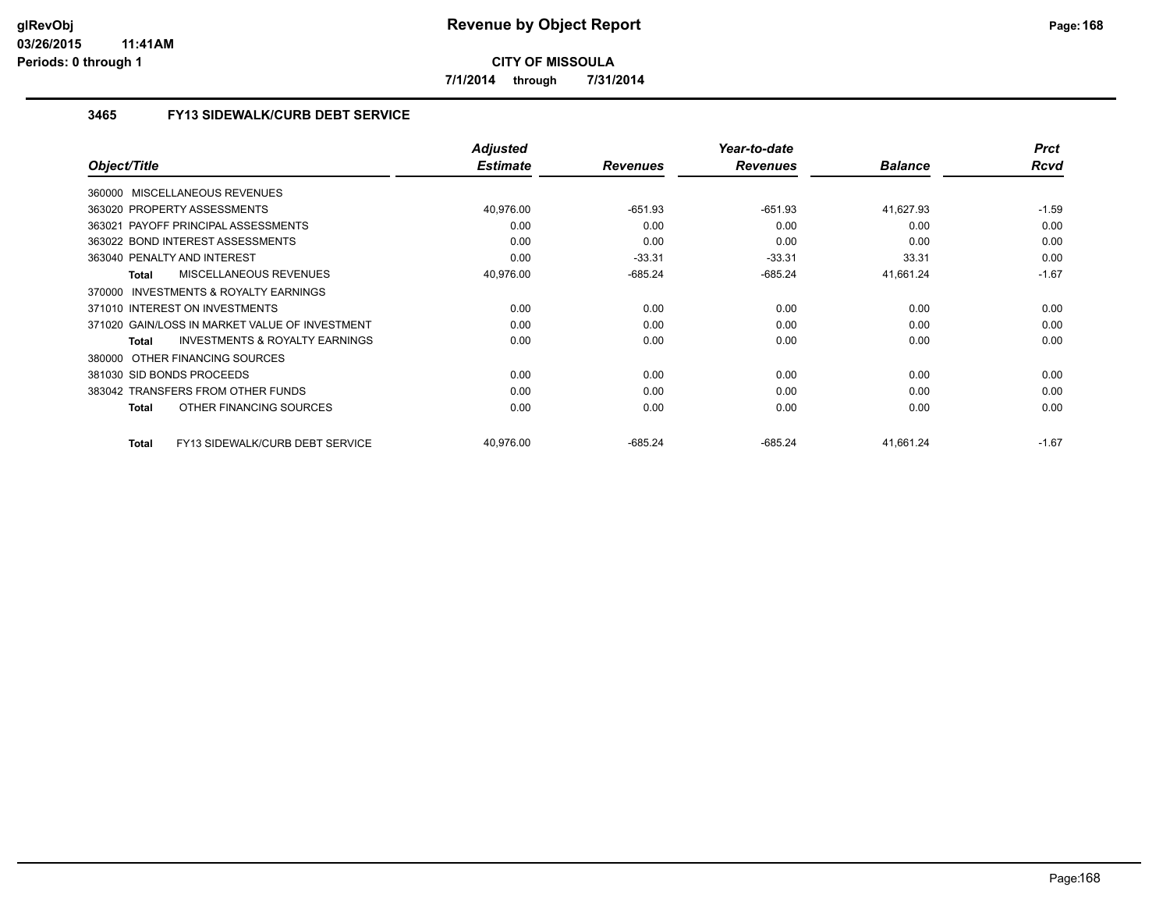**7/1/2014 through 7/31/2014**

## **3465 FY13 SIDEWALK/CURB DEBT SERVICE**

|                                                           | <b>Adjusted</b> |                 | Year-to-date    |                | <b>Prct</b> |
|-----------------------------------------------------------|-----------------|-----------------|-----------------|----------------|-------------|
| Object/Title                                              | <b>Estimate</b> | <b>Revenues</b> | <b>Revenues</b> | <b>Balance</b> | Rcvd        |
| 360000 MISCELLANEOUS REVENUES                             |                 |                 |                 |                |             |
| 363020 PROPERTY ASSESSMENTS                               | 40,976.00       | $-651.93$       | $-651.93$       | 41,627.93      | $-1.59$     |
| PAYOFF PRINCIPAL ASSESSMENTS<br>363021                    | 0.00            | 0.00            | 0.00            | 0.00           | 0.00        |
| 363022 BOND INTEREST ASSESSMENTS                          | 0.00            | 0.00            | 0.00            | 0.00           | 0.00        |
| 363040 PENALTY AND INTEREST                               | 0.00            | $-33.31$        | $-33.31$        | 33.31          | 0.00        |
| <b>MISCELLANEOUS REVENUES</b><br><b>Total</b>             | 40,976.00       | $-685.24$       | $-685.24$       | 41,661.24      | $-1.67$     |
| 370000 INVESTMENTS & ROYALTY EARNINGS                     |                 |                 |                 |                |             |
| 371010 INTEREST ON INVESTMENTS                            | 0.00            | 0.00            | 0.00            | 0.00           | 0.00        |
| 371020 GAIN/LOSS IN MARKET VALUE OF INVESTMENT            | 0.00            | 0.00            | 0.00            | 0.00           | 0.00        |
| <b>INVESTMENTS &amp; ROYALTY EARNINGS</b><br><b>Total</b> | 0.00            | 0.00            | 0.00            | 0.00           | 0.00        |
| OTHER FINANCING SOURCES<br>380000                         |                 |                 |                 |                |             |
| 381030 SID BONDS PROCEEDS                                 | 0.00            | 0.00            | 0.00            | 0.00           | 0.00        |
| 383042 TRANSFERS FROM OTHER FUNDS                         | 0.00            | 0.00            | 0.00            | 0.00           | 0.00        |
| OTHER FINANCING SOURCES<br><b>Total</b>                   | 0.00            | 0.00            | 0.00            | 0.00           | 0.00        |
| FY13 SIDEWALK/CURB DEBT SERVICE<br><b>Total</b>           | 40,976.00       | $-685.24$       | $-685.24$       | 41,661.24      | $-1.67$     |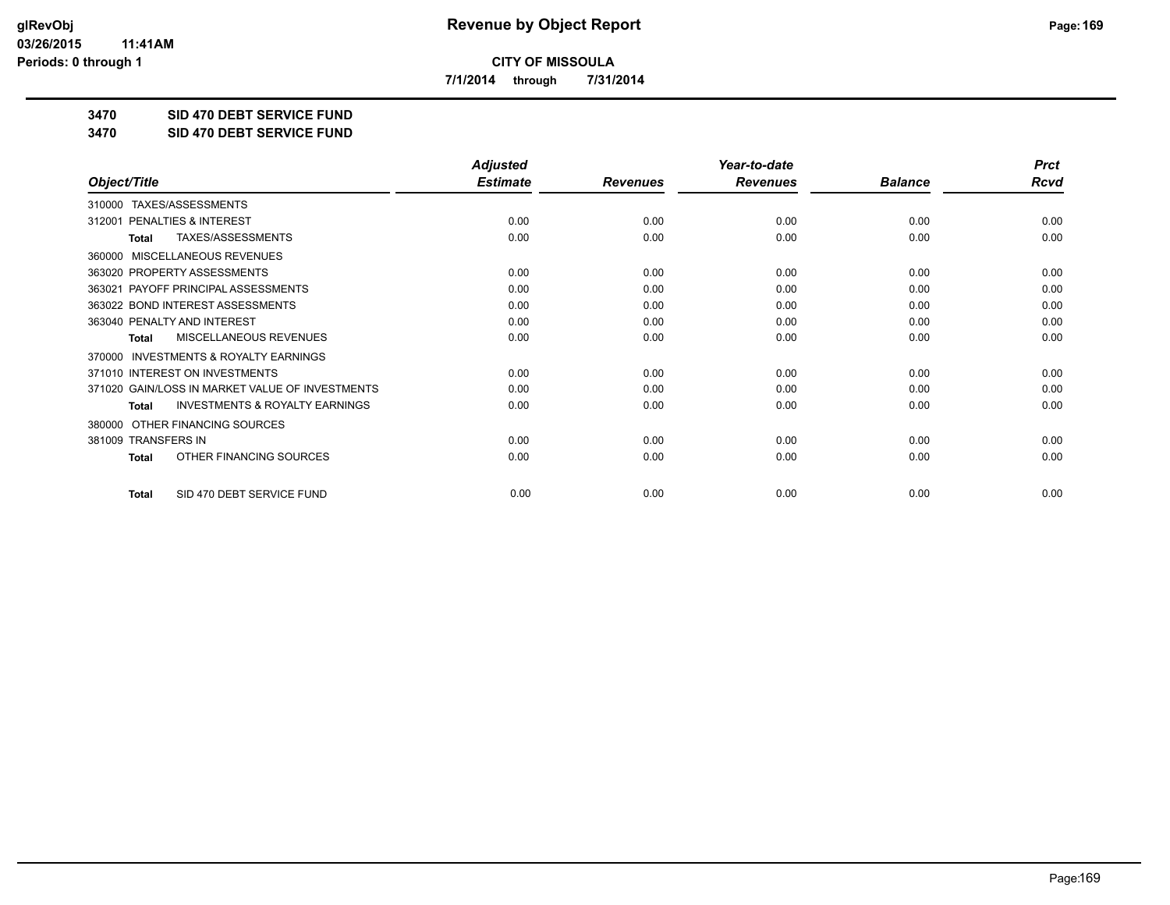**7/1/2014 through 7/31/2014**

**3470 SID 470 DEBT SERVICE FUND**

**3470 SID 470 DEBT SERVICE FUND**

|                                                           | <b>Adjusted</b> |                 | Year-to-date    |                | <b>Prct</b> |
|-----------------------------------------------------------|-----------------|-----------------|-----------------|----------------|-------------|
| Object/Title                                              | <b>Estimate</b> | <b>Revenues</b> | <b>Revenues</b> | <b>Balance</b> | <b>Rcvd</b> |
| TAXES/ASSESSMENTS<br>310000                               |                 |                 |                 |                |             |
| PENALTIES & INTEREST<br>312001                            | 0.00            | 0.00            | 0.00            | 0.00           | 0.00        |
| TAXES/ASSESSMENTS<br><b>Total</b>                         | 0.00            | 0.00            | 0.00            | 0.00           | 0.00        |
| MISCELLANEOUS REVENUES<br>360000                          |                 |                 |                 |                |             |
| 363020 PROPERTY ASSESSMENTS                               | 0.00            | 0.00            | 0.00            | 0.00           | 0.00        |
| 363021 PAYOFF PRINCIPAL ASSESSMENTS                       | 0.00            | 0.00            | 0.00            | 0.00           | 0.00        |
| 363022 BOND INTEREST ASSESSMENTS                          | 0.00            | 0.00            | 0.00            | 0.00           | 0.00        |
| 363040 PENALTY AND INTEREST                               | 0.00            | 0.00            | 0.00            | 0.00           | 0.00        |
| MISCELLANEOUS REVENUES<br><b>Total</b>                    | 0.00            | 0.00            | 0.00            | 0.00           | 0.00        |
| <b>INVESTMENTS &amp; ROYALTY EARNINGS</b><br>370000       |                 |                 |                 |                |             |
| 371010 INTEREST ON INVESTMENTS                            | 0.00            | 0.00            | 0.00            | 0.00           | 0.00        |
| 371020 GAIN/LOSS IN MARKET VALUE OF INVESTMENTS           | 0.00            | 0.00            | 0.00            | 0.00           | 0.00        |
| <b>INVESTMENTS &amp; ROYALTY EARNINGS</b><br><b>Total</b> | 0.00            | 0.00            | 0.00            | 0.00           | 0.00        |
| OTHER FINANCING SOURCES<br>380000                         |                 |                 |                 |                |             |
| 381009 TRANSFERS IN                                       | 0.00            | 0.00            | 0.00            | 0.00           | 0.00        |
| OTHER FINANCING SOURCES<br><b>Total</b>                   | 0.00            | 0.00            | 0.00            | 0.00           | 0.00        |
| SID 470 DEBT SERVICE FUND<br><b>Total</b>                 | 0.00            | 0.00            | 0.00            | 0.00           | 0.00        |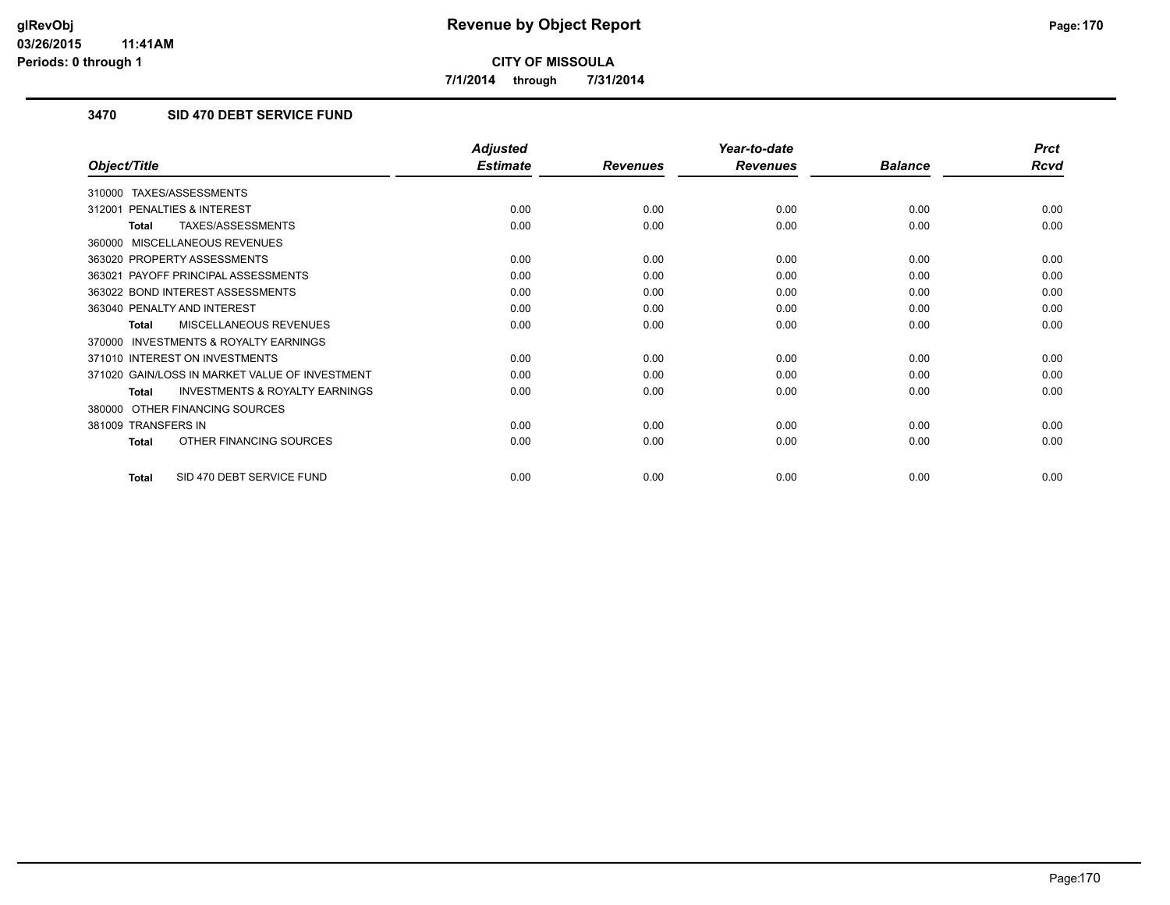**7/1/2014 through 7/31/2014**

## **3470 SID 470 DEBT SERVICE FUND**

|                                                           | <b>Adjusted</b> |                 | Year-to-date    |                | <b>Prct</b> |
|-----------------------------------------------------------|-----------------|-----------------|-----------------|----------------|-------------|
| Object/Title                                              | <b>Estimate</b> | <b>Revenues</b> | <b>Revenues</b> | <b>Balance</b> | <b>Rcvd</b> |
| TAXES/ASSESSMENTS<br>310000                               |                 |                 |                 |                |             |
| <b>PENALTIES &amp; INTEREST</b><br>312001                 | 0.00            | 0.00            | 0.00            | 0.00           | 0.00        |
| TAXES/ASSESSMENTS<br>Total                                | 0.00            | 0.00            | 0.00            | 0.00           | 0.00        |
| MISCELLANEOUS REVENUES<br>360000                          |                 |                 |                 |                |             |
| 363020 PROPERTY ASSESSMENTS                               | 0.00            | 0.00            | 0.00            | 0.00           | 0.00        |
| 363021 PAYOFF PRINCIPAL ASSESSMENTS                       | 0.00            | 0.00            | 0.00            | 0.00           | 0.00        |
| 363022 BOND INTEREST ASSESSMENTS                          | 0.00            | 0.00            | 0.00            | 0.00           | 0.00        |
| 363040 PENALTY AND INTEREST                               | 0.00            | 0.00            | 0.00            | 0.00           | 0.00        |
| <b>MISCELLANEOUS REVENUES</b><br><b>Total</b>             | 0.00            | 0.00            | 0.00            | 0.00           | 0.00        |
| <b>INVESTMENTS &amp; ROYALTY EARNINGS</b><br>370000       |                 |                 |                 |                |             |
| 371010 INTEREST ON INVESTMENTS                            | 0.00            | 0.00            | 0.00            | 0.00           | 0.00        |
| 371020 GAIN/LOSS IN MARKET VALUE OF INVESTMENT            | 0.00            | 0.00            | 0.00            | 0.00           | 0.00        |
| <b>INVESTMENTS &amp; ROYALTY EARNINGS</b><br><b>Total</b> | 0.00            | 0.00            | 0.00            | 0.00           | 0.00        |
| OTHER FINANCING SOURCES<br>380000                         |                 |                 |                 |                |             |
| 381009 TRANSFERS IN                                       | 0.00            | 0.00            | 0.00            | 0.00           | 0.00        |
| OTHER FINANCING SOURCES<br><b>Total</b>                   | 0.00            | 0.00            | 0.00            | 0.00           | 0.00        |
| SID 470 DEBT SERVICE FUND<br>Total                        | 0.00            | 0.00            | 0.00            | 0.00           | 0.00        |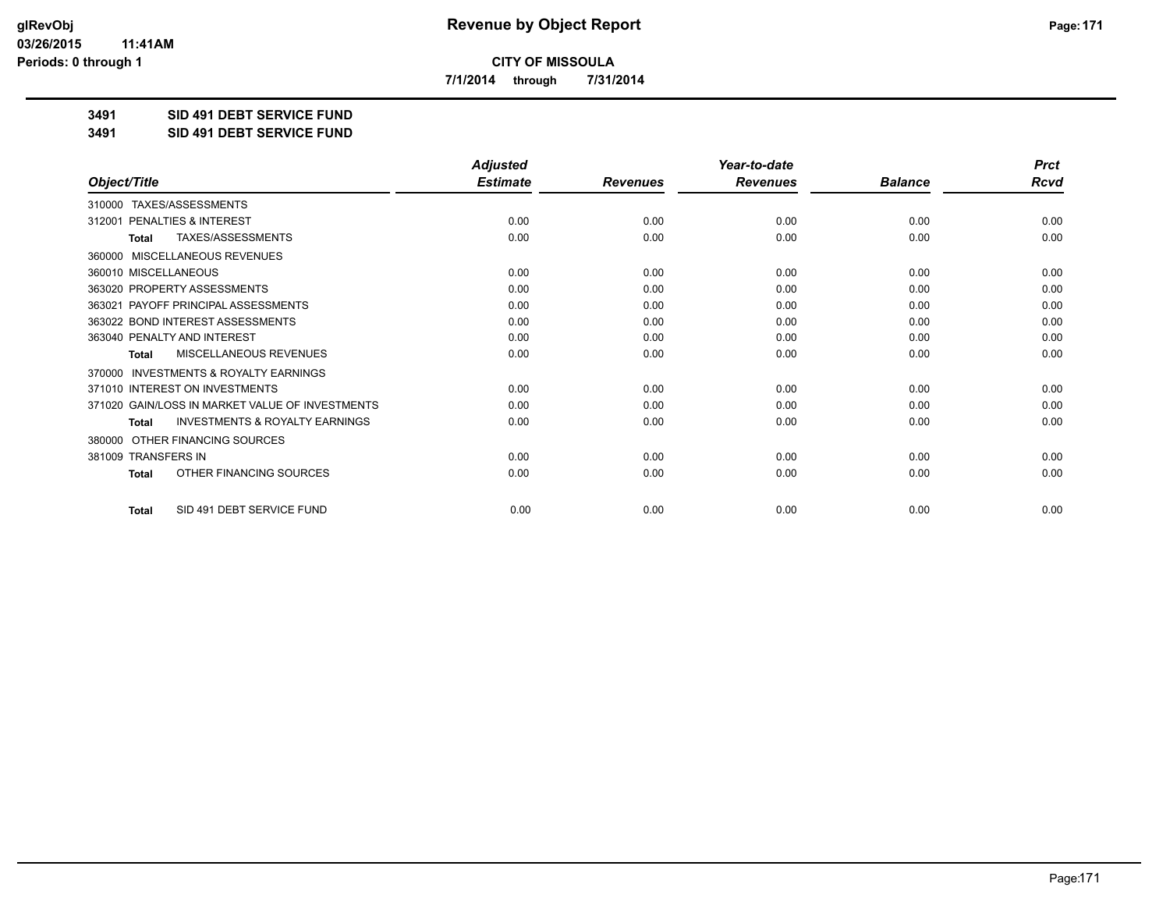**7/1/2014 through 7/31/2014**

**3491 SID 491 DEBT SERVICE FUND**

**3491 SID 491 DEBT SERVICE FUND**

|                                                           | <b>Adjusted</b> |                 | Year-to-date    |                | <b>Prct</b> |
|-----------------------------------------------------------|-----------------|-----------------|-----------------|----------------|-------------|
| Object/Title                                              | <b>Estimate</b> | <b>Revenues</b> | <b>Revenues</b> | <b>Balance</b> | <b>Rcvd</b> |
| TAXES/ASSESSMENTS<br>310000                               |                 |                 |                 |                |             |
| 312001 PENALTIES & INTEREST                               | 0.00            | 0.00            | 0.00            | 0.00           | 0.00        |
| TAXES/ASSESSMENTS<br><b>Total</b>                         | 0.00            | 0.00            | 0.00            | 0.00           | 0.00        |
| MISCELLANEOUS REVENUES<br>360000                          |                 |                 |                 |                |             |
| 360010 MISCELLANEOUS                                      | 0.00            | 0.00            | 0.00            | 0.00           | 0.00        |
| 363020 PROPERTY ASSESSMENTS                               | 0.00            | 0.00            | 0.00            | 0.00           | 0.00        |
| 363021 PAYOFF PRINCIPAL ASSESSMENTS                       | 0.00            | 0.00            | 0.00            | 0.00           | 0.00        |
| 363022 BOND INTEREST ASSESSMENTS                          | 0.00            | 0.00            | 0.00            | 0.00           | 0.00        |
| 363040 PENALTY AND INTEREST                               | 0.00            | 0.00            | 0.00            | 0.00           | 0.00        |
| <b>MISCELLANEOUS REVENUES</b><br><b>Total</b>             | 0.00            | 0.00            | 0.00            | 0.00           | 0.00        |
| <b>INVESTMENTS &amp; ROYALTY EARNINGS</b><br>370000       |                 |                 |                 |                |             |
| 371010 INTEREST ON INVESTMENTS                            | 0.00            | 0.00            | 0.00            | 0.00           | 0.00        |
| 371020 GAIN/LOSS IN MARKET VALUE OF INVESTMENTS           | 0.00            | 0.00            | 0.00            | 0.00           | 0.00        |
| <b>INVESTMENTS &amp; ROYALTY EARNINGS</b><br><b>Total</b> | 0.00            | 0.00            | 0.00            | 0.00           | 0.00        |
| OTHER FINANCING SOURCES<br>380000                         |                 |                 |                 |                |             |
| 381009 TRANSFERS IN                                       | 0.00            | 0.00            | 0.00            | 0.00           | 0.00        |
| OTHER FINANCING SOURCES<br><b>Total</b>                   | 0.00            | 0.00            | 0.00            | 0.00           | 0.00        |
| SID 491 DEBT SERVICE FUND<br><b>Total</b>                 | 0.00            | 0.00            | 0.00            | 0.00           | 0.00        |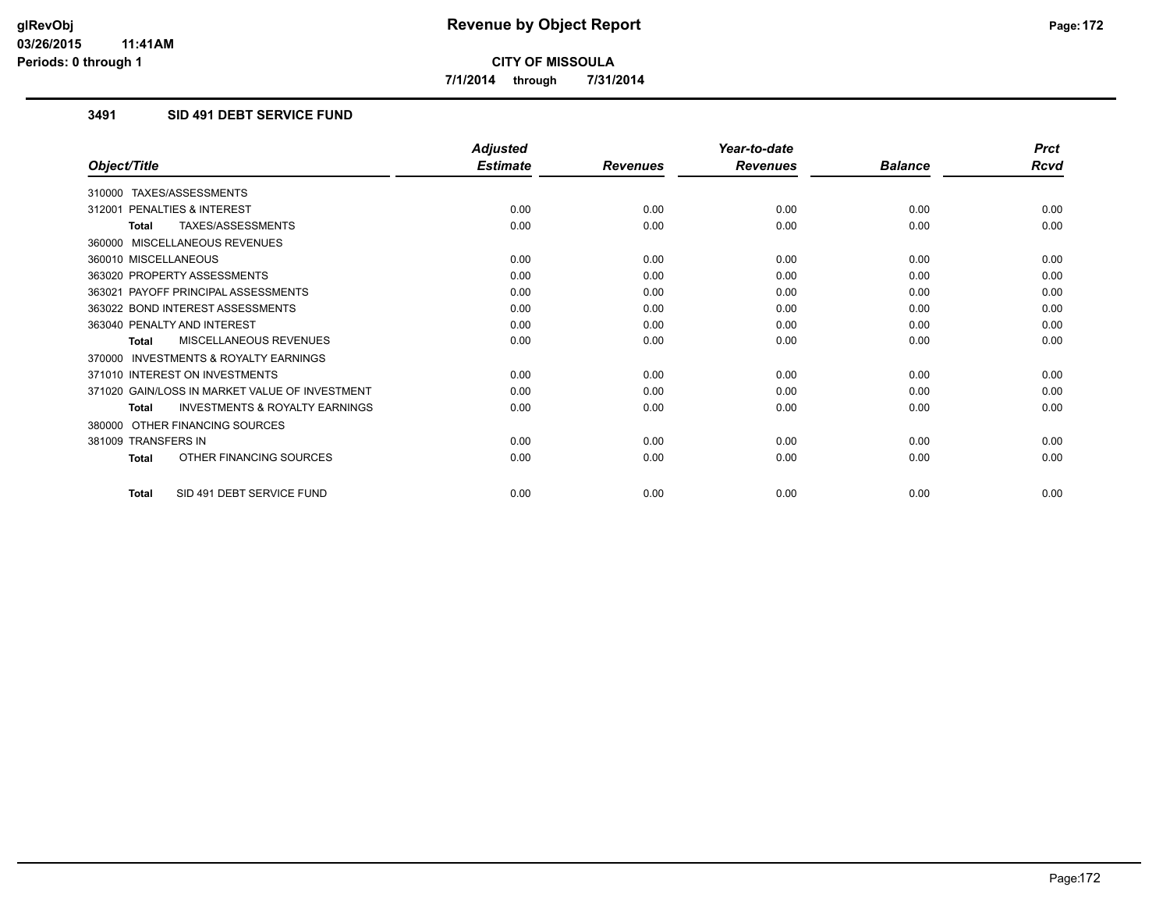**7/1/2014 through 7/31/2014**

## **3491 SID 491 DEBT SERVICE FUND**

|                                                           | <b>Adjusted</b> |                 | Year-to-date    |                | <b>Prct</b> |
|-----------------------------------------------------------|-----------------|-----------------|-----------------|----------------|-------------|
| Object/Title                                              | <b>Estimate</b> | <b>Revenues</b> | <b>Revenues</b> | <b>Balance</b> | <b>Rcvd</b> |
| 310000 TAXES/ASSESSMENTS                                  |                 |                 |                 |                |             |
| PENALTIES & INTEREST<br>312001                            | 0.00            | 0.00            | 0.00            | 0.00           | 0.00        |
| TAXES/ASSESSMENTS<br><b>Total</b>                         | 0.00            | 0.00            | 0.00            | 0.00           | 0.00        |
| 360000 MISCELLANEOUS REVENUES                             |                 |                 |                 |                |             |
| 360010 MISCELLANEOUS                                      | 0.00            | 0.00            | 0.00            | 0.00           | 0.00        |
| 363020 PROPERTY ASSESSMENTS                               | 0.00            | 0.00            | 0.00            | 0.00           | 0.00        |
| 363021 PAYOFF PRINCIPAL ASSESSMENTS                       | 0.00            | 0.00            | 0.00            | 0.00           | 0.00        |
| 363022 BOND INTEREST ASSESSMENTS                          | 0.00            | 0.00            | 0.00            | 0.00           | 0.00        |
| 363040 PENALTY AND INTEREST                               | 0.00            | 0.00            | 0.00            | 0.00           | 0.00        |
| <b>MISCELLANEOUS REVENUES</b><br><b>Total</b>             | 0.00            | 0.00            | 0.00            | 0.00           | 0.00        |
| <b>INVESTMENTS &amp; ROYALTY EARNINGS</b><br>370000       |                 |                 |                 |                |             |
| 371010 INTEREST ON INVESTMENTS                            | 0.00            | 0.00            | 0.00            | 0.00           | 0.00        |
| 371020 GAIN/LOSS IN MARKET VALUE OF INVESTMENT            | 0.00            | 0.00            | 0.00            | 0.00           | 0.00        |
| <b>INVESTMENTS &amp; ROYALTY EARNINGS</b><br><b>Total</b> | 0.00            | 0.00            | 0.00            | 0.00           | 0.00        |
| OTHER FINANCING SOURCES<br>380000                         |                 |                 |                 |                |             |
| 381009 TRANSFERS IN                                       | 0.00            | 0.00            | 0.00            | 0.00           | 0.00        |
| OTHER FINANCING SOURCES<br><b>Total</b>                   | 0.00            | 0.00            | 0.00            | 0.00           | 0.00        |
| SID 491 DEBT SERVICE FUND<br><b>Total</b>                 | 0.00            | 0.00            | 0.00            | 0.00           | 0.00        |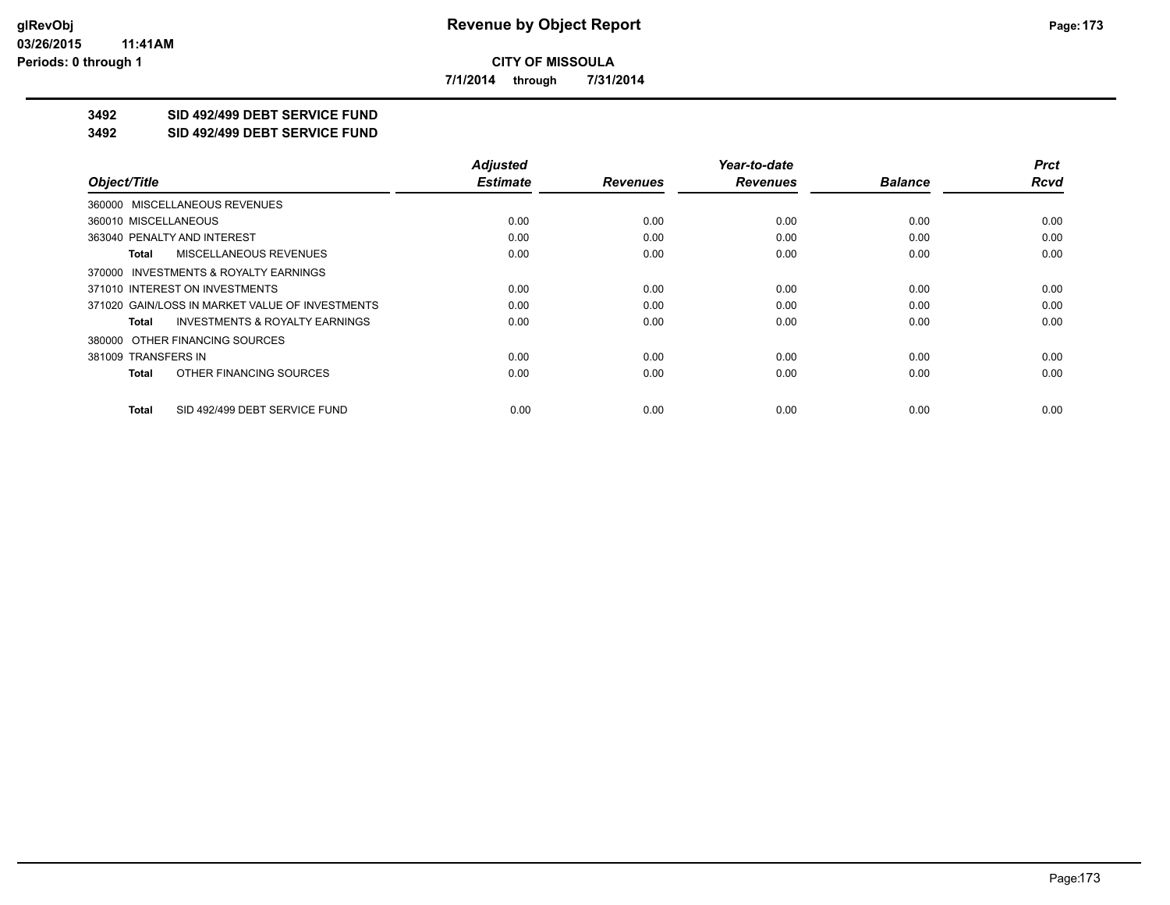**7/1/2014 through 7/31/2014**

# **3492 SID 492/499 DEBT SERVICE FUND**

**3492 SID 492/499 DEBT SERVICE FUND**

|                                                    | <b>Adjusted</b> |                 | Year-to-date    |                | <b>Prct</b> |
|----------------------------------------------------|-----------------|-----------------|-----------------|----------------|-------------|
| Object/Title                                       | <b>Estimate</b> | <b>Revenues</b> | <b>Revenues</b> | <b>Balance</b> | <b>Rcvd</b> |
| 360000 MISCELLANEOUS REVENUES                      |                 |                 |                 |                |             |
| 360010 MISCELLANEOUS                               | 0.00            | 0.00            | 0.00            | 0.00           | 0.00        |
| 363040 PENALTY AND INTEREST                        | 0.00            | 0.00            | 0.00            | 0.00           | 0.00        |
| <b>MISCELLANEOUS REVENUES</b><br>Total             | 0.00            | 0.00            | 0.00            | 0.00           | 0.00        |
| 370000 INVESTMENTS & ROYALTY EARNINGS              |                 |                 |                 |                |             |
| 371010 INTEREST ON INVESTMENTS                     | 0.00            | 0.00            | 0.00            | 0.00           | 0.00        |
| 371020 GAIN/LOSS IN MARKET VALUE OF INVESTMENTS    | 0.00            | 0.00            | 0.00            | 0.00           | 0.00        |
| <b>INVESTMENTS &amp; ROYALTY EARNINGS</b><br>Total | 0.00            | 0.00            | 0.00            | 0.00           | 0.00        |
| 380000 OTHER FINANCING SOURCES                     |                 |                 |                 |                |             |
| 381009 TRANSFERS IN                                | 0.00            | 0.00            | 0.00            | 0.00           | 0.00        |
| OTHER FINANCING SOURCES<br>Total                   | 0.00            | 0.00            | 0.00            | 0.00           | 0.00        |
| SID 492/499 DEBT SERVICE FUND<br>Total             | 0.00            | 0.00            | 0.00            | 0.00           | 0.00        |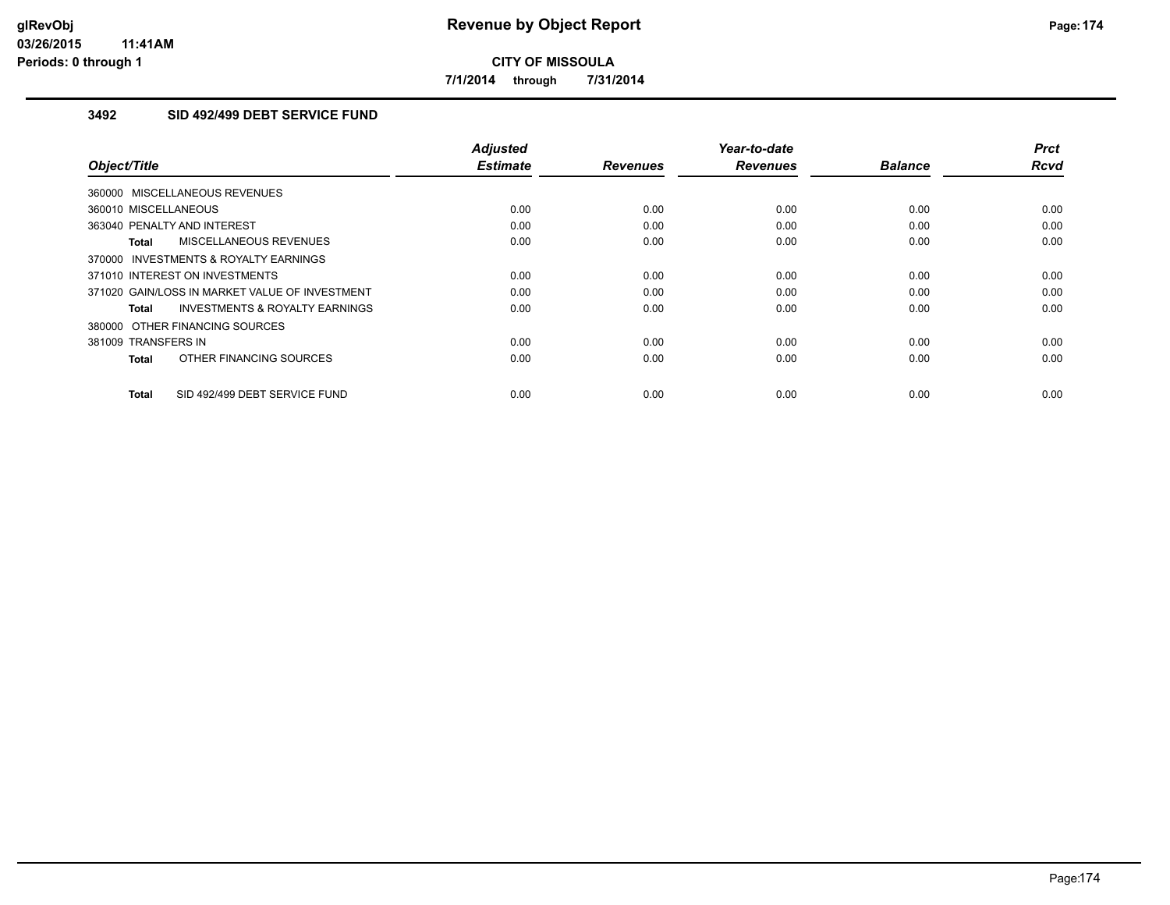**7/1/2014 through 7/31/2014**

## **3492 SID 492/499 DEBT SERVICE FUND**

| Object/Title                                              | Adjusted<br><b>Estimate</b> | <b>Revenues</b> | Year-to-date<br><b>Revenues</b> | <b>Balance</b> | <b>Prct</b><br><b>Rcvd</b> |
|-----------------------------------------------------------|-----------------------------|-----------------|---------------------------------|----------------|----------------------------|
| 360000 MISCELLANEOUS REVENUES                             |                             |                 |                                 |                |                            |
| 360010 MISCELLANEOUS                                      | 0.00                        | 0.00            | 0.00                            | 0.00           | 0.00                       |
| 363040 PENALTY AND INTEREST                               | 0.00                        | 0.00            | 0.00                            | 0.00           | 0.00                       |
| MISCELLANEOUS REVENUES<br>Total                           | 0.00                        | 0.00            | 0.00                            | 0.00           | 0.00                       |
| INVESTMENTS & ROYALTY EARNINGS<br>370000                  |                             |                 |                                 |                |                            |
| 371010 INTEREST ON INVESTMENTS                            | 0.00                        | 0.00            | 0.00                            | 0.00           | 0.00                       |
| 371020 GAIN/LOSS IN MARKET VALUE OF INVESTMENT            | 0.00                        | 0.00            | 0.00                            | 0.00           | 0.00                       |
| <b>INVESTMENTS &amp; ROYALTY EARNINGS</b><br><b>Total</b> | 0.00                        | 0.00            | 0.00                            | 0.00           | 0.00                       |
| 380000 OTHER FINANCING SOURCES                            |                             |                 |                                 |                |                            |
| 381009 TRANSFERS IN                                       | 0.00                        | 0.00            | 0.00                            | 0.00           | 0.00                       |
| OTHER FINANCING SOURCES<br><b>Total</b>                   | 0.00                        | 0.00            | 0.00                            | 0.00           | 0.00                       |
| SID 492/499 DEBT SERVICE FUND<br><b>Total</b>             | 0.00                        | 0.00            | 0.00                            | 0.00           | 0.00                       |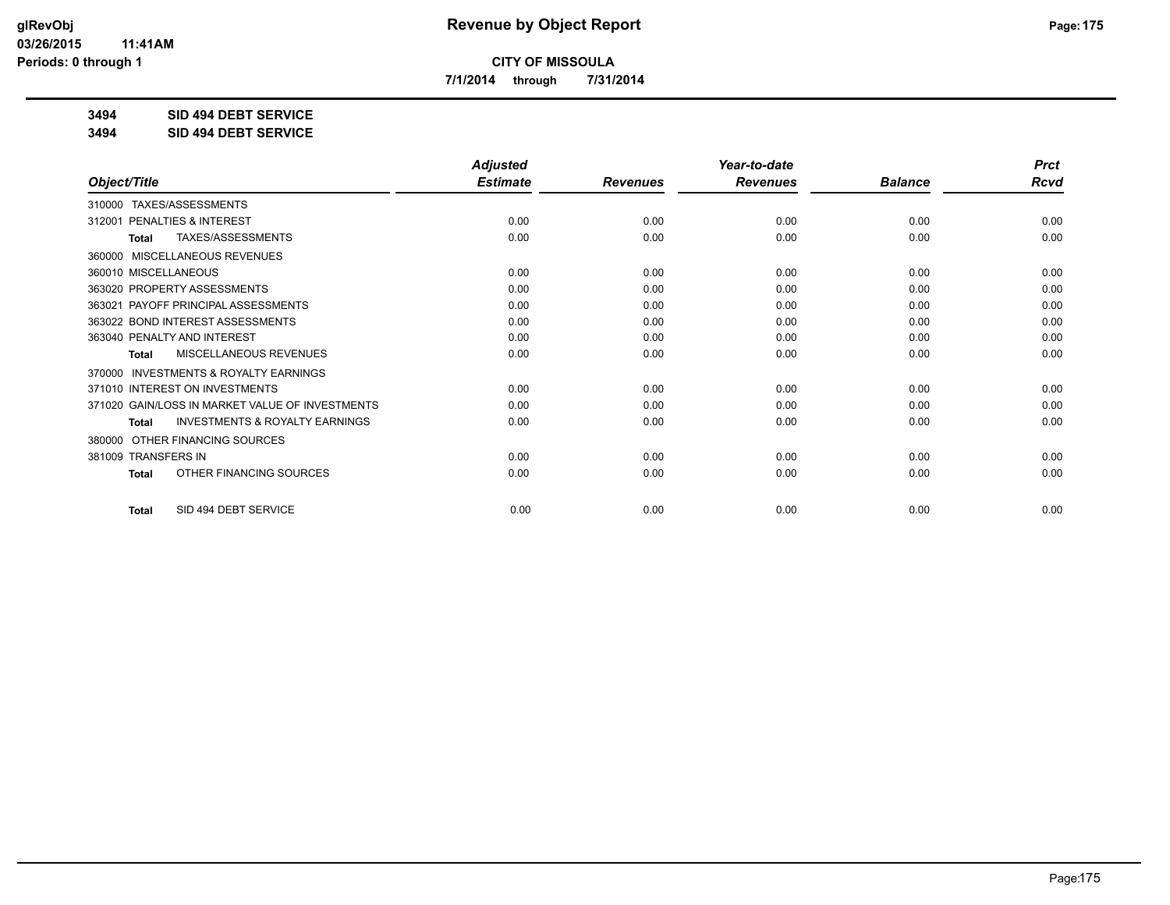**7/1/2014 through 7/31/2014**

**3494 SID 494 DEBT SERVICE**

**3494 SID 494 DEBT SERVICE**

|                                                           | <b>Adjusted</b> |                 | Year-to-date    |                | <b>Prct</b> |
|-----------------------------------------------------------|-----------------|-----------------|-----------------|----------------|-------------|
| Object/Title                                              | <b>Estimate</b> | <b>Revenues</b> | <b>Revenues</b> | <b>Balance</b> | <b>Rcvd</b> |
| 310000 TAXES/ASSESSMENTS                                  |                 |                 |                 |                |             |
| 312001 PENALTIES & INTEREST                               | 0.00            | 0.00            | 0.00            | 0.00           | 0.00        |
| TAXES/ASSESSMENTS<br><b>Total</b>                         | 0.00            | 0.00            | 0.00            | 0.00           | 0.00        |
| <b>MISCELLANEOUS REVENUES</b><br>360000                   |                 |                 |                 |                |             |
| 360010 MISCELLANEOUS                                      | 0.00            | 0.00            | 0.00            | 0.00           | 0.00        |
| 363020 PROPERTY ASSESSMENTS                               | 0.00            | 0.00            | 0.00            | 0.00           | 0.00        |
| 363021 PAYOFF PRINCIPAL ASSESSMENTS                       | 0.00            | 0.00            | 0.00            | 0.00           | 0.00        |
| 363022 BOND INTEREST ASSESSMENTS                          | 0.00            | 0.00            | 0.00            | 0.00           | 0.00        |
| 363040 PENALTY AND INTEREST                               | 0.00            | 0.00            | 0.00            | 0.00           | 0.00        |
| MISCELLANEOUS REVENUES<br>Total                           | 0.00            | 0.00            | 0.00            | 0.00           | 0.00        |
| <b>INVESTMENTS &amp; ROYALTY EARNINGS</b><br>370000       |                 |                 |                 |                |             |
| 371010 INTEREST ON INVESTMENTS                            | 0.00            | 0.00            | 0.00            | 0.00           | 0.00        |
| 371020 GAIN/LOSS IN MARKET VALUE OF INVESTMENTS           | 0.00            | 0.00            | 0.00            | 0.00           | 0.00        |
| <b>INVESTMENTS &amp; ROYALTY EARNINGS</b><br><b>Total</b> | 0.00            | 0.00            | 0.00            | 0.00           | 0.00        |
| OTHER FINANCING SOURCES<br>380000                         |                 |                 |                 |                |             |
| 381009 TRANSFERS IN                                       | 0.00            | 0.00            | 0.00            | 0.00           | 0.00        |
| OTHER FINANCING SOURCES<br><b>Total</b>                   | 0.00            | 0.00            | 0.00            | 0.00           | 0.00        |
| SID 494 DEBT SERVICE<br><b>Total</b>                      | 0.00            | 0.00            | 0.00            | 0.00           | 0.00        |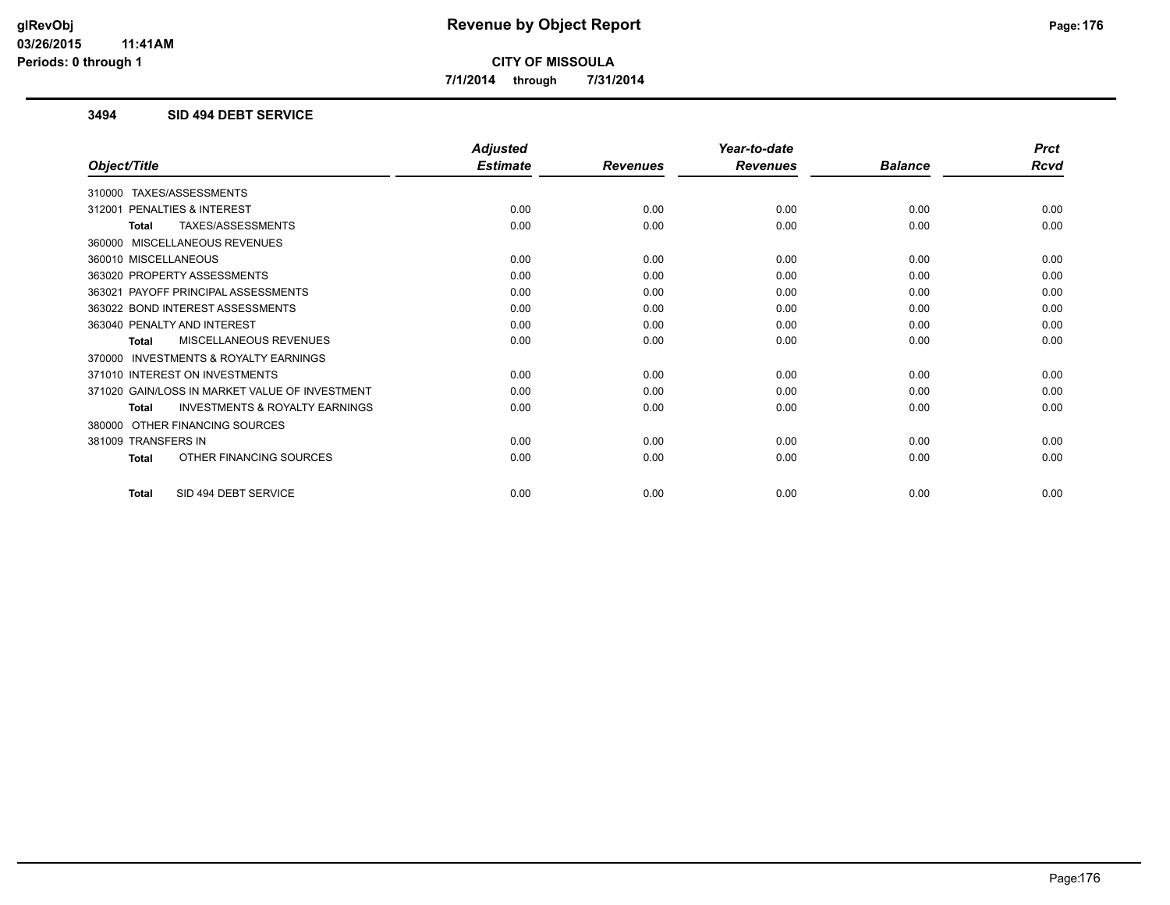**7/1/2014 through 7/31/2014**

### **3494 SID 494 DEBT SERVICE**

|                                                    | <b>Adjusted</b> |                 | Year-to-date    |                | <b>Prct</b> |
|----------------------------------------------------|-----------------|-----------------|-----------------|----------------|-------------|
| Object/Title                                       | <b>Estimate</b> | <b>Revenues</b> | <b>Revenues</b> | <b>Balance</b> | <b>Rcvd</b> |
| 310000 TAXES/ASSESSMENTS                           |                 |                 |                 |                |             |
| PENALTIES & INTEREST<br>312001                     | 0.00            | 0.00            | 0.00            | 0.00           | 0.00        |
| TAXES/ASSESSMENTS<br>Total                         | 0.00            | 0.00            | 0.00            | 0.00           | 0.00        |
| 360000 MISCELLANEOUS REVENUES                      |                 |                 |                 |                |             |
| 360010 MISCELLANEOUS                               | 0.00            | 0.00            | 0.00            | 0.00           | 0.00        |
| 363020 PROPERTY ASSESSMENTS                        | 0.00            | 0.00            | 0.00            | 0.00           | 0.00        |
| 363021 PAYOFF PRINCIPAL ASSESSMENTS                | 0.00            | 0.00            | 0.00            | 0.00           | 0.00        |
| 363022 BOND INTEREST ASSESSMENTS                   | 0.00            | 0.00            | 0.00            | 0.00           | 0.00        |
| 363040 PENALTY AND INTEREST                        | 0.00            | 0.00            | 0.00            | 0.00           | 0.00        |
| <b>MISCELLANEOUS REVENUES</b><br>Total             | 0.00            | 0.00            | 0.00            | 0.00           | 0.00        |
| 370000 INVESTMENTS & ROYALTY EARNINGS              |                 |                 |                 |                |             |
| 371010 INTEREST ON INVESTMENTS                     | 0.00            | 0.00            | 0.00            | 0.00           | 0.00        |
| 371020 GAIN/LOSS IN MARKET VALUE OF INVESTMENT     | 0.00            | 0.00            | 0.00            | 0.00           | 0.00        |
| <b>INVESTMENTS &amp; ROYALTY EARNINGS</b><br>Total | 0.00            | 0.00            | 0.00            | 0.00           | 0.00        |
| 380000 OTHER FINANCING SOURCES                     |                 |                 |                 |                |             |
| 381009 TRANSFERS IN                                | 0.00            | 0.00            | 0.00            | 0.00           | 0.00        |
| OTHER FINANCING SOURCES<br>Total                   | 0.00            | 0.00            | 0.00            | 0.00           | 0.00        |
| SID 494 DEBT SERVICE<br><b>Total</b>               | 0.00            | 0.00            | 0.00            | 0.00           | 0.00        |
|                                                    |                 |                 |                 |                |             |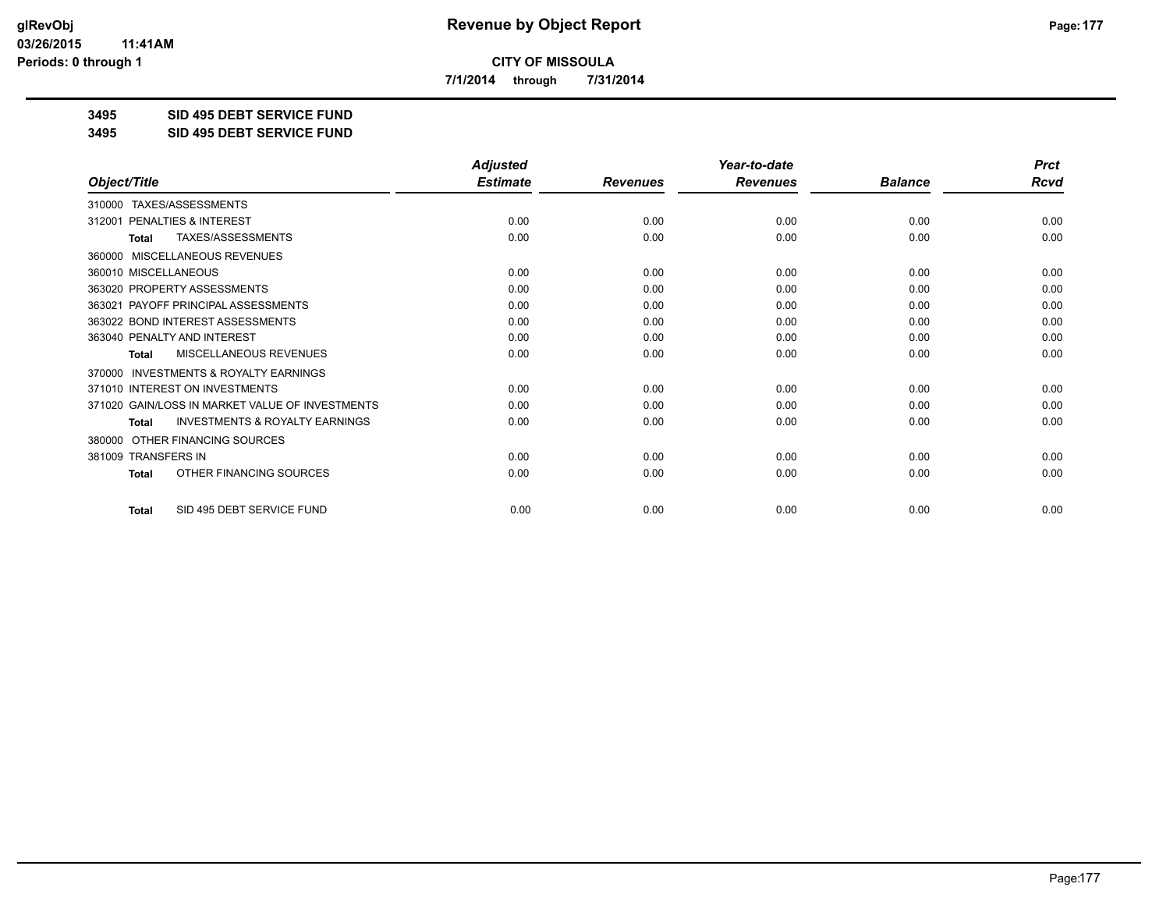**7/1/2014 through 7/31/2014**

**3495 SID 495 DEBT SERVICE FUND**

**3495 SID 495 DEBT SERVICE FUND**

|                                                           | <b>Adjusted</b> |                 | Year-to-date    |                | <b>Prct</b> |
|-----------------------------------------------------------|-----------------|-----------------|-----------------|----------------|-------------|
| Object/Title                                              | <b>Estimate</b> | <b>Revenues</b> | <b>Revenues</b> | <b>Balance</b> | <b>Rcvd</b> |
| 310000 TAXES/ASSESSMENTS                                  |                 |                 |                 |                |             |
| PENALTIES & INTEREST<br>312001                            | 0.00            | 0.00            | 0.00            | 0.00           | 0.00        |
| TAXES/ASSESSMENTS<br><b>Total</b>                         | 0.00            | 0.00            | 0.00            | 0.00           | 0.00        |
| <b>MISCELLANEOUS REVENUES</b><br>360000                   |                 |                 |                 |                |             |
| 360010 MISCELLANEOUS                                      | 0.00            | 0.00            | 0.00            | 0.00           | 0.00        |
| 363020 PROPERTY ASSESSMENTS                               | 0.00            | 0.00            | 0.00            | 0.00           | 0.00        |
| 363021 PAYOFF PRINCIPAL ASSESSMENTS                       | 0.00            | 0.00            | 0.00            | 0.00           | 0.00        |
| 363022 BOND INTEREST ASSESSMENTS                          | 0.00            | 0.00            | 0.00            | 0.00           | 0.00        |
| 363040 PENALTY AND INTEREST                               | 0.00            | 0.00            | 0.00            | 0.00           | 0.00        |
| MISCELLANEOUS REVENUES<br>Total                           | 0.00            | 0.00            | 0.00            | 0.00           | 0.00        |
| <b>INVESTMENTS &amp; ROYALTY EARNINGS</b><br>370000       |                 |                 |                 |                |             |
| 371010 INTEREST ON INVESTMENTS                            | 0.00            | 0.00            | 0.00            | 0.00           | 0.00        |
| 371020 GAIN/LOSS IN MARKET VALUE OF INVESTMENTS           | 0.00            | 0.00            | 0.00            | 0.00           | 0.00        |
| <b>INVESTMENTS &amp; ROYALTY EARNINGS</b><br><b>Total</b> | 0.00            | 0.00            | 0.00            | 0.00           | 0.00        |
| OTHER FINANCING SOURCES<br>380000                         |                 |                 |                 |                |             |
| 381009 TRANSFERS IN                                       | 0.00            | 0.00            | 0.00            | 0.00           | 0.00        |
| OTHER FINANCING SOURCES<br><b>Total</b>                   | 0.00            | 0.00            | 0.00            | 0.00           | 0.00        |
| SID 495 DEBT SERVICE FUND<br><b>Total</b>                 | 0.00            | 0.00            | 0.00            | 0.00           | 0.00        |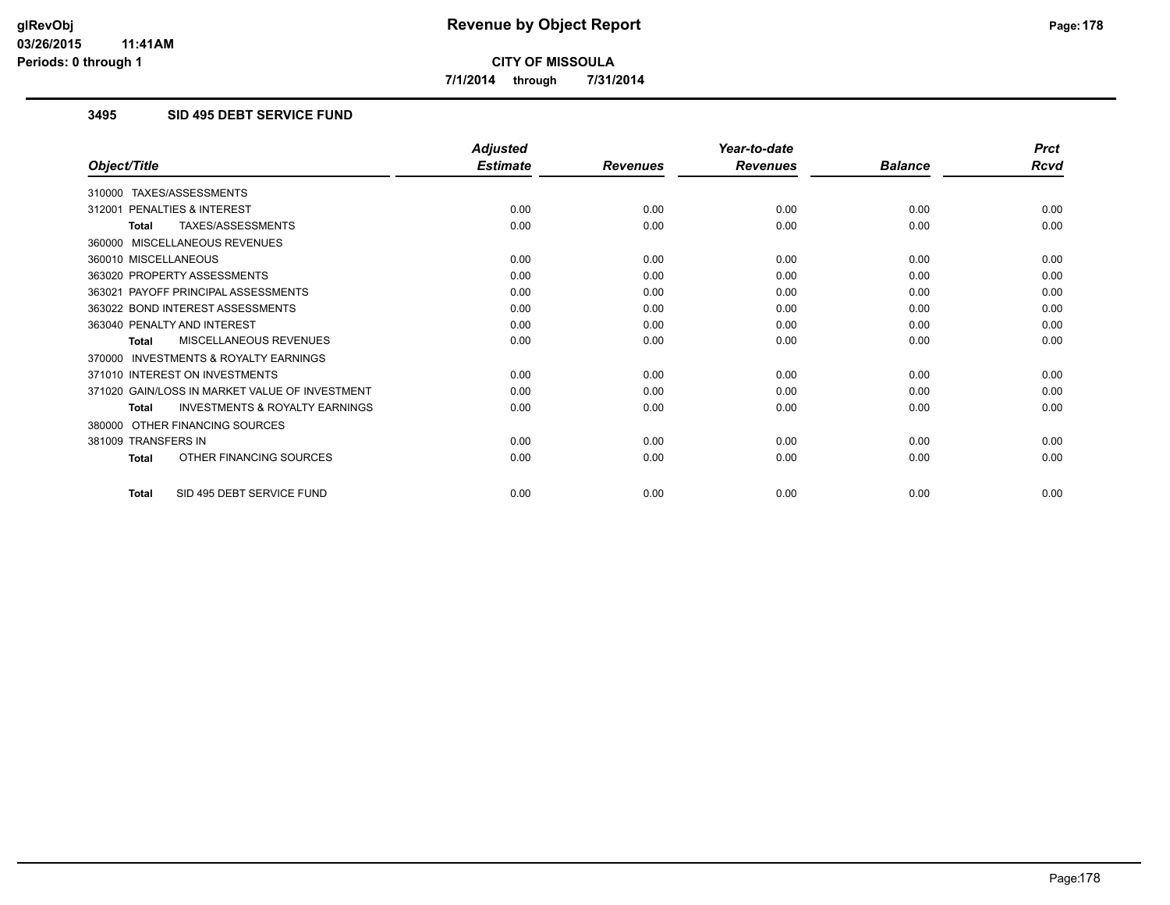**7/1/2014 through 7/31/2014**

## **3495 SID 495 DEBT SERVICE FUND**

|                                                           | <b>Adjusted</b> |                 | Year-to-date    |                | <b>Prct</b> |
|-----------------------------------------------------------|-----------------|-----------------|-----------------|----------------|-------------|
| Object/Title                                              | <b>Estimate</b> | <b>Revenues</b> | <b>Revenues</b> | <b>Balance</b> | <b>Rcvd</b> |
| 310000 TAXES/ASSESSMENTS                                  |                 |                 |                 |                |             |
| PENALTIES & INTEREST<br>312001                            | 0.00            | 0.00            | 0.00            | 0.00           | 0.00        |
| TAXES/ASSESSMENTS<br><b>Total</b>                         | 0.00            | 0.00            | 0.00            | 0.00           | 0.00        |
| 360000 MISCELLANEOUS REVENUES                             |                 |                 |                 |                |             |
| 360010 MISCELLANEOUS                                      | 0.00            | 0.00            | 0.00            | 0.00           | 0.00        |
| 363020 PROPERTY ASSESSMENTS                               | 0.00            | 0.00            | 0.00            | 0.00           | 0.00        |
| 363021 PAYOFF PRINCIPAL ASSESSMENTS                       | 0.00            | 0.00            | 0.00            | 0.00           | 0.00        |
| 363022 BOND INTEREST ASSESSMENTS                          | 0.00            | 0.00            | 0.00            | 0.00           | 0.00        |
| 363040 PENALTY AND INTEREST                               | 0.00            | 0.00            | 0.00            | 0.00           | 0.00        |
| <b>MISCELLANEOUS REVENUES</b><br><b>Total</b>             | 0.00            | 0.00            | 0.00            | 0.00           | 0.00        |
| <b>INVESTMENTS &amp; ROYALTY EARNINGS</b><br>370000       |                 |                 |                 |                |             |
| 371010 INTEREST ON INVESTMENTS                            | 0.00            | 0.00            | 0.00            | 0.00           | 0.00        |
| 371020 GAIN/LOSS IN MARKET VALUE OF INVESTMENT            | 0.00            | 0.00            | 0.00            | 0.00           | 0.00        |
| <b>INVESTMENTS &amp; ROYALTY EARNINGS</b><br><b>Total</b> | 0.00            | 0.00            | 0.00            | 0.00           | 0.00        |
| OTHER FINANCING SOURCES<br>380000                         |                 |                 |                 |                |             |
| 381009 TRANSFERS IN                                       | 0.00            | 0.00            | 0.00            | 0.00           | 0.00        |
| OTHER FINANCING SOURCES<br><b>Total</b>                   | 0.00            | 0.00            | 0.00            | 0.00           | 0.00        |
| SID 495 DEBT SERVICE FUND<br><b>Total</b>                 | 0.00            | 0.00            | 0.00            | 0.00           | 0.00        |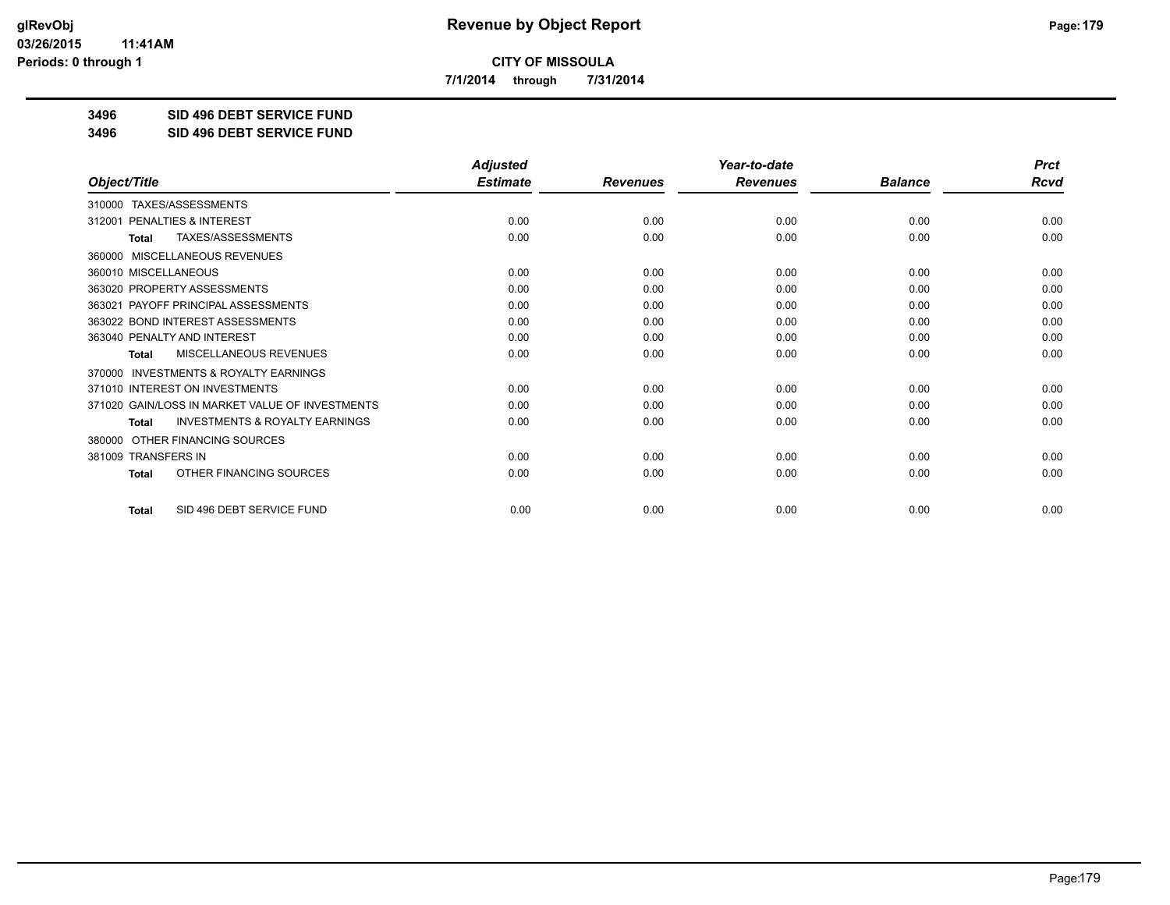**7/1/2014 through 7/31/2014**

**3496 SID 496 DEBT SERVICE FUND**

**3496 SID 496 DEBT SERVICE FUND**

|                                                     | <b>Adjusted</b> |                 | Year-to-date    |                | <b>Prct</b> |
|-----------------------------------------------------|-----------------|-----------------|-----------------|----------------|-------------|
| Object/Title                                        | <b>Estimate</b> | <b>Revenues</b> | <b>Revenues</b> | <b>Balance</b> | <b>Rcvd</b> |
| 310000 TAXES/ASSESSMENTS                            |                 |                 |                 |                |             |
| <b>PENALTIES &amp; INTEREST</b><br>312001           | 0.00            | 0.00            | 0.00            | 0.00           | 0.00        |
| TAXES/ASSESSMENTS<br><b>Total</b>                   | 0.00            | 0.00            | 0.00            | 0.00           | 0.00        |
| MISCELLANEOUS REVENUES<br>360000                    |                 |                 |                 |                |             |
| 360010 MISCELLANEOUS                                | 0.00            | 0.00            | 0.00            | 0.00           | 0.00        |
| 363020 PROPERTY ASSESSMENTS                         | 0.00            | 0.00            | 0.00            | 0.00           | 0.00        |
| 363021 PAYOFF PRINCIPAL ASSESSMENTS                 | 0.00            | 0.00            | 0.00            | 0.00           | 0.00        |
| 363022 BOND INTEREST ASSESSMENTS                    | 0.00            | 0.00            | 0.00            | 0.00           | 0.00        |
| 363040 PENALTY AND INTEREST                         | 0.00            | 0.00            | 0.00            | 0.00           | 0.00        |
| MISCELLANEOUS REVENUES<br><b>Total</b>              | 0.00            | 0.00            | 0.00            | 0.00           | 0.00        |
| <b>INVESTMENTS &amp; ROYALTY EARNINGS</b><br>370000 |                 |                 |                 |                |             |
| 371010 INTEREST ON INVESTMENTS                      | 0.00            | 0.00            | 0.00            | 0.00           | 0.00        |
| 371020 GAIN/LOSS IN MARKET VALUE OF INVESTMENTS     | 0.00            | 0.00            | 0.00            | 0.00           | 0.00        |
| <b>INVESTMENTS &amp; ROYALTY EARNINGS</b><br>Total  | 0.00            | 0.00            | 0.00            | 0.00           | 0.00        |
| OTHER FINANCING SOURCES<br>380000                   |                 |                 |                 |                |             |
| 381009 TRANSFERS IN                                 | 0.00            | 0.00            | 0.00            | 0.00           | 0.00        |
| OTHER FINANCING SOURCES<br>Total                    | 0.00            | 0.00            | 0.00            | 0.00           | 0.00        |
| SID 496 DEBT SERVICE FUND<br><b>Total</b>           | 0.00            | 0.00            | 0.00            | 0.00           | 0.00        |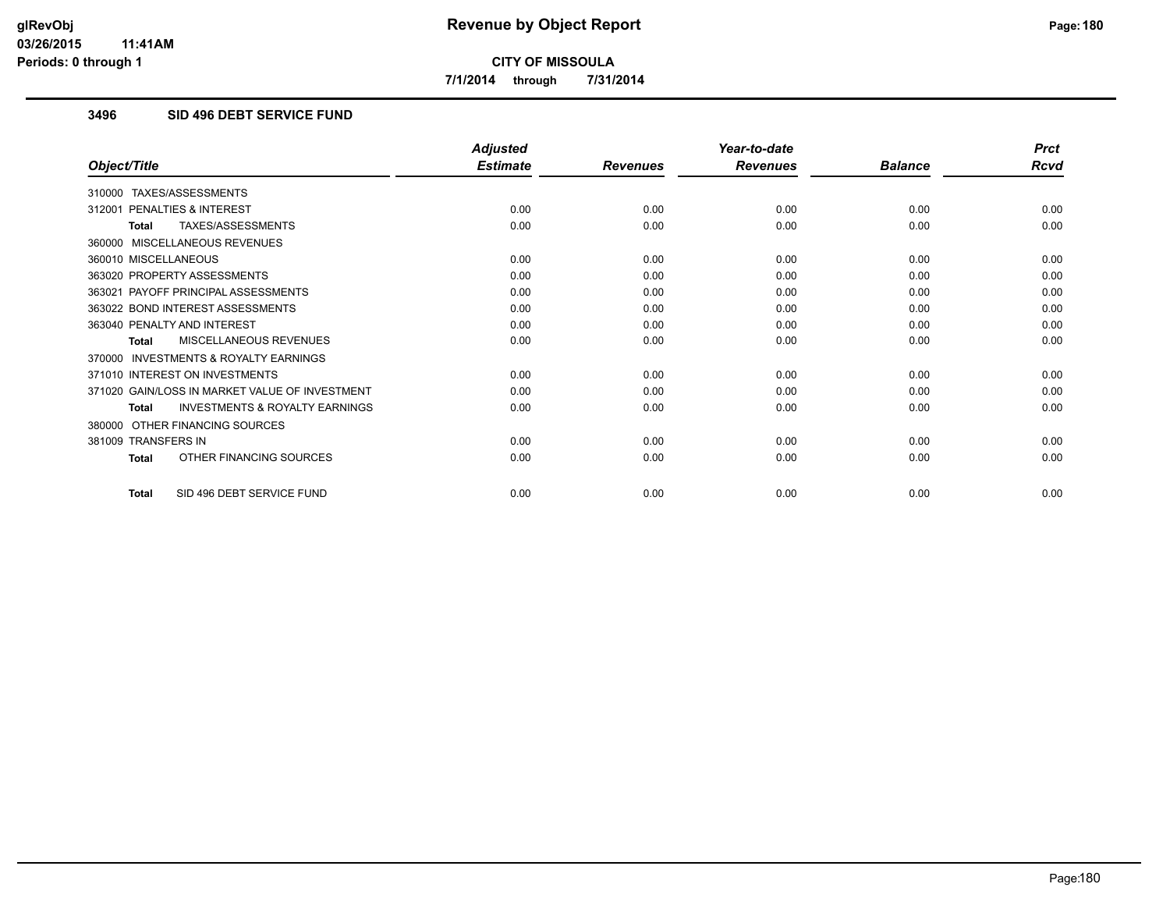**7/1/2014 through 7/31/2014**

## **3496 SID 496 DEBT SERVICE FUND**

|                                                           | <b>Adjusted</b> |                 | Year-to-date    |                | <b>Prct</b> |
|-----------------------------------------------------------|-----------------|-----------------|-----------------|----------------|-------------|
| Object/Title                                              | <b>Estimate</b> | <b>Revenues</b> | <b>Revenues</b> | <b>Balance</b> | <b>Rcvd</b> |
| 310000 TAXES/ASSESSMENTS                                  |                 |                 |                 |                |             |
| PENALTIES & INTEREST<br>312001                            | 0.00            | 0.00            | 0.00            | 0.00           | 0.00        |
| TAXES/ASSESSMENTS<br><b>Total</b>                         | 0.00            | 0.00            | 0.00            | 0.00           | 0.00        |
| 360000 MISCELLANEOUS REVENUES                             |                 |                 |                 |                |             |
| 360010 MISCELLANEOUS                                      | 0.00            | 0.00            | 0.00            | 0.00           | 0.00        |
| 363020 PROPERTY ASSESSMENTS                               | 0.00            | 0.00            | 0.00            | 0.00           | 0.00        |
| 363021 PAYOFF PRINCIPAL ASSESSMENTS                       | 0.00            | 0.00            | 0.00            | 0.00           | 0.00        |
| 363022 BOND INTEREST ASSESSMENTS                          | 0.00            | 0.00            | 0.00            | 0.00           | 0.00        |
| 363040 PENALTY AND INTEREST                               | 0.00            | 0.00            | 0.00            | 0.00           | 0.00        |
| <b>MISCELLANEOUS REVENUES</b><br><b>Total</b>             | 0.00            | 0.00            | 0.00            | 0.00           | 0.00        |
| <b>INVESTMENTS &amp; ROYALTY EARNINGS</b><br>370000       |                 |                 |                 |                |             |
| 371010 INTEREST ON INVESTMENTS                            | 0.00            | 0.00            | 0.00            | 0.00           | 0.00        |
| 371020 GAIN/LOSS IN MARKET VALUE OF INVESTMENT            | 0.00            | 0.00            | 0.00            | 0.00           | 0.00        |
| <b>INVESTMENTS &amp; ROYALTY EARNINGS</b><br><b>Total</b> | 0.00            | 0.00            | 0.00            | 0.00           | 0.00        |
| 380000 OTHER FINANCING SOURCES                            |                 |                 |                 |                |             |
| 381009 TRANSFERS IN                                       | 0.00            | 0.00            | 0.00            | 0.00           | 0.00        |
| OTHER FINANCING SOURCES<br><b>Total</b>                   | 0.00            | 0.00            | 0.00            | 0.00           | 0.00        |
| SID 496 DEBT SERVICE FUND<br><b>Total</b>                 | 0.00            | 0.00            | 0.00            | 0.00           | 0.00        |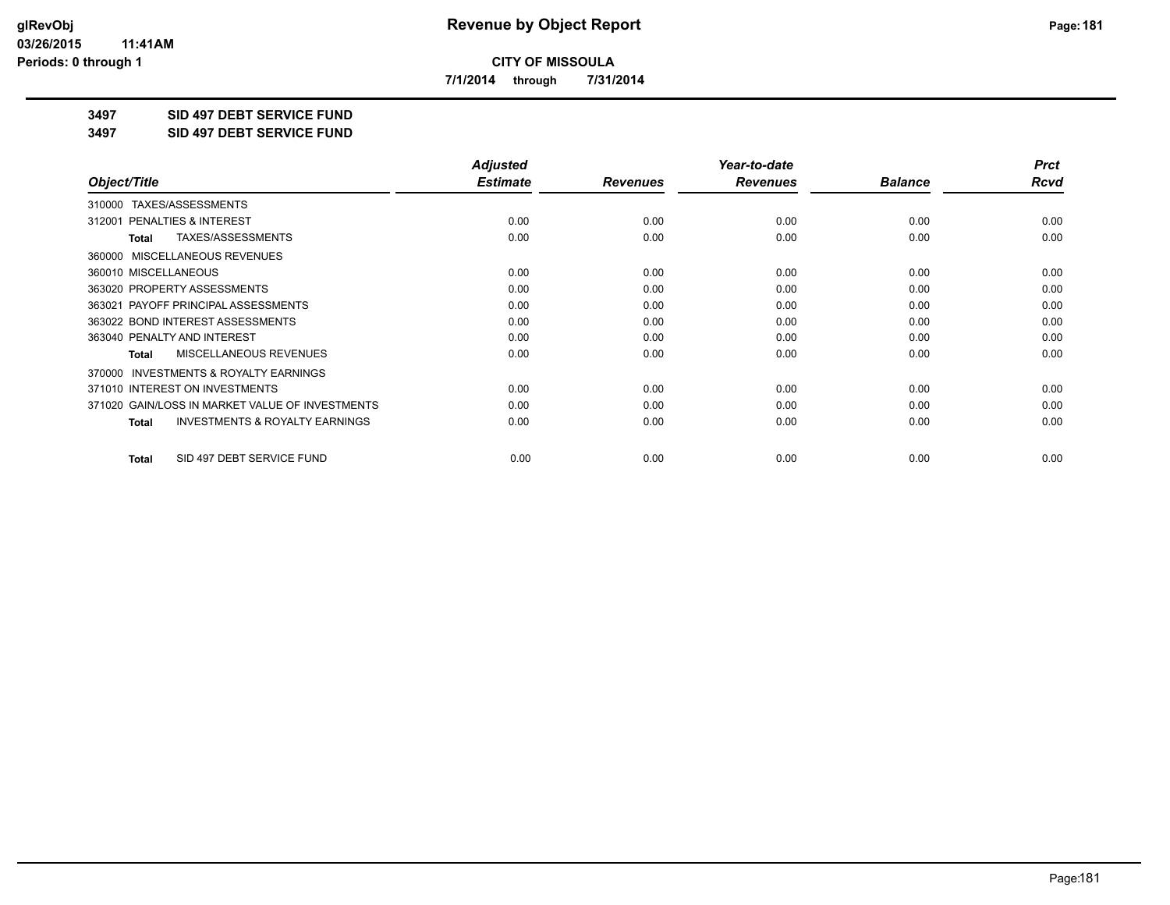**7/1/2014 through 7/31/2014**

**3497 SID 497 DEBT SERVICE FUND**

**3497 SID 497 DEBT SERVICE FUND**

|                                                           | <b>Adjusted</b> |                 | Year-to-date    |                | <b>Prct</b> |
|-----------------------------------------------------------|-----------------|-----------------|-----------------|----------------|-------------|
| Object/Title                                              | <b>Estimate</b> | <b>Revenues</b> | <b>Revenues</b> | <b>Balance</b> | Rcvd        |
| TAXES/ASSESSMENTS<br>310000                               |                 |                 |                 |                |             |
| 312001 PENALTIES & INTEREST                               | 0.00            | 0.00            | 0.00            | 0.00           | 0.00        |
| TAXES/ASSESSMENTS<br>Total                                | 0.00            | 0.00            | 0.00            | 0.00           | 0.00        |
| MISCELLANEOUS REVENUES<br>360000                          |                 |                 |                 |                |             |
| 360010 MISCELLANEOUS                                      | 0.00            | 0.00            | 0.00            | 0.00           | 0.00        |
| 363020 PROPERTY ASSESSMENTS                               | 0.00            | 0.00            | 0.00            | 0.00           | 0.00        |
| 363021 PAYOFF PRINCIPAL ASSESSMENTS                       | 0.00            | 0.00            | 0.00            | 0.00           | 0.00        |
| 363022 BOND INTEREST ASSESSMENTS                          | 0.00            | 0.00            | 0.00            | 0.00           | 0.00        |
| 363040 PENALTY AND INTEREST                               | 0.00            | 0.00            | 0.00            | 0.00           | 0.00        |
| MISCELLANEOUS REVENUES<br><b>Total</b>                    | 0.00            | 0.00            | 0.00            | 0.00           | 0.00        |
| <b>INVESTMENTS &amp; ROYALTY EARNINGS</b><br>370000       |                 |                 |                 |                |             |
| 371010 INTEREST ON INVESTMENTS                            | 0.00            | 0.00            | 0.00            | 0.00           | 0.00        |
| 371020 GAIN/LOSS IN MARKET VALUE OF INVESTMENTS           | 0.00            | 0.00            | 0.00            | 0.00           | 0.00        |
| <b>INVESTMENTS &amp; ROYALTY EARNINGS</b><br><b>Total</b> | 0.00            | 0.00            | 0.00            | 0.00           | 0.00        |
| SID 497 DEBT SERVICE FUND<br><b>Total</b>                 | 0.00            | 0.00            | 0.00            | 0.00           | 0.00        |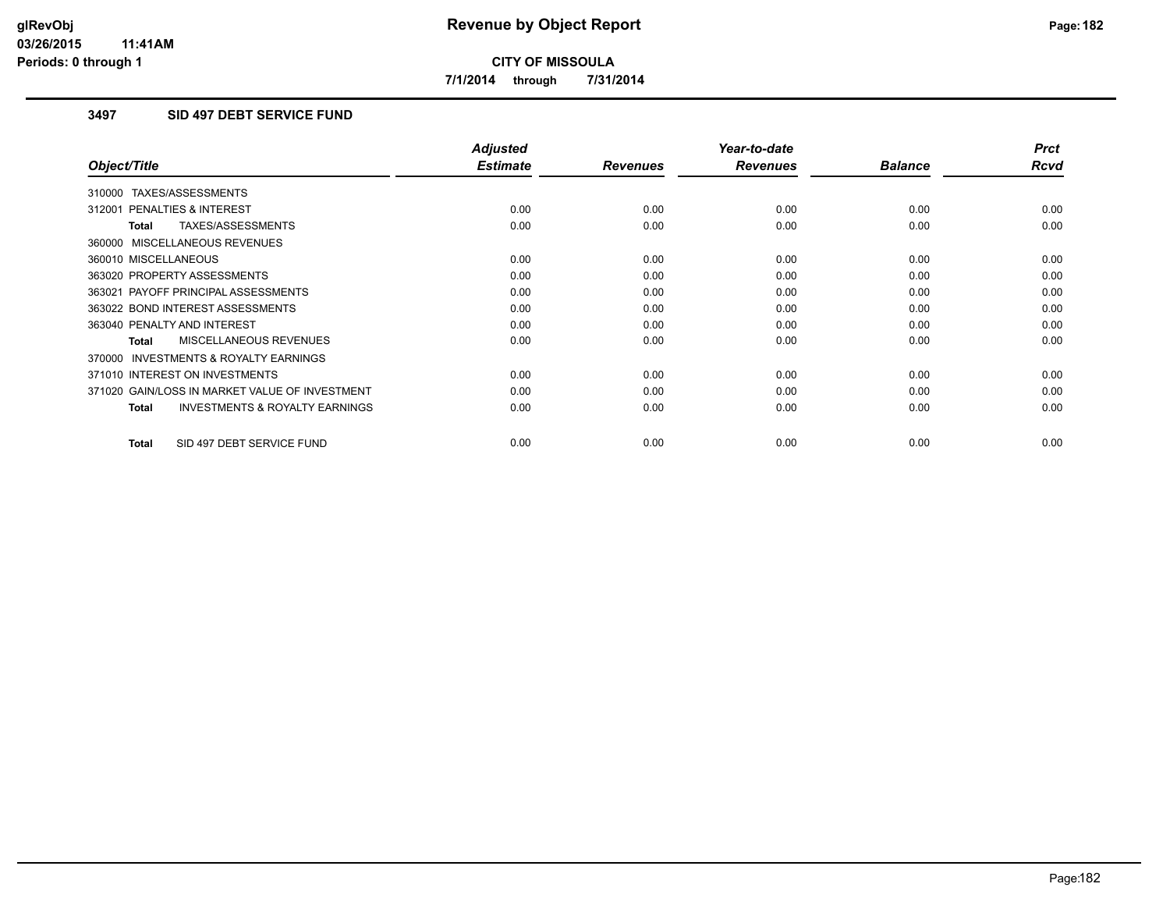**7/1/2014 through 7/31/2014**

# **3497 SID 497 DEBT SERVICE FUND**

|                                                           | <b>Adjusted</b> |                 | Year-to-date    |                | <b>Prct</b> |
|-----------------------------------------------------------|-----------------|-----------------|-----------------|----------------|-------------|
| Object/Title                                              | <b>Estimate</b> | <b>Revenues</b> | <b>Revenues</b> | <b>Balance</b> | <b>Rcvd</b> |
| 310000 TAXES/ASSESSMENTS                                  |                 |                 |                 |                |             |
| 312001 PENALTIES & INTEREST                               | 0.00            | 0.00            | 0.00            | 0.00           | 0.00        |
| TAXES/ASSESSMENTS<br><b>Total</b>                         | 0.00            | 0.00            | 0.00            | 0.00           | 0.00        |
| 360000 MISCELLANEOUS REVENUES                             |                 |                 |                 |                |             |
| 360010 MISCELLANEOUS                                      | 0.00            | 0.00            | 0.00            | 0.00           | 0.00        |
| 363020 PROPERTY ASSESSMENTS                               | 0.00            | 0.00            | 0.00            | 0.00           | 0.00        |
| 363021 PAYOFF PRINCIPAL ASSESSMENTS                       | 0.00            | 0.00            | 0.00            | 0.00           | 0.00        |
| 363022 BOND INTEREST ASSESSMENTS                          | 0.00            | 0.00            | 0.00            | 0.00           | 0.00        |
| 363040 PENALTY AND INTEREST                               | 0.00            | 0.00            | 0.00            | 0.00           | 0.00        |
| MISCELLANEOUS REVENUES<br>Total                           | 0.00            | 0.00            | 0.00            | 0.00           | 0.00        |
| <b>INVESTMENTS &amp; ROYALTY EARNINGS</b><br>370000       |                 |                 |                 |                |             |
| 371010 INTEREST ON INVESTMENTS                            | 0.00            | 0.00            | 0.00            | 0.00           | 0.00        |
| 371020 GAIN/LOSS IN MARKET VALUE OF INVESTMENT            | 0.00            | 0.00            | 0.00            | 0.00           | 0.00        |
| <b>INVESTMENTS &amp; ROYALTY EARNINGS</b><br><b>Total</b> | 0.00            | 0.00            | 0.00            | 0.00           | 0.00        |
| SID 497 DEBT SERVICE FUND<br><b>Total</b>                 | 0.00            | 0.00            | 0.00            | 0.00           | 0.00        |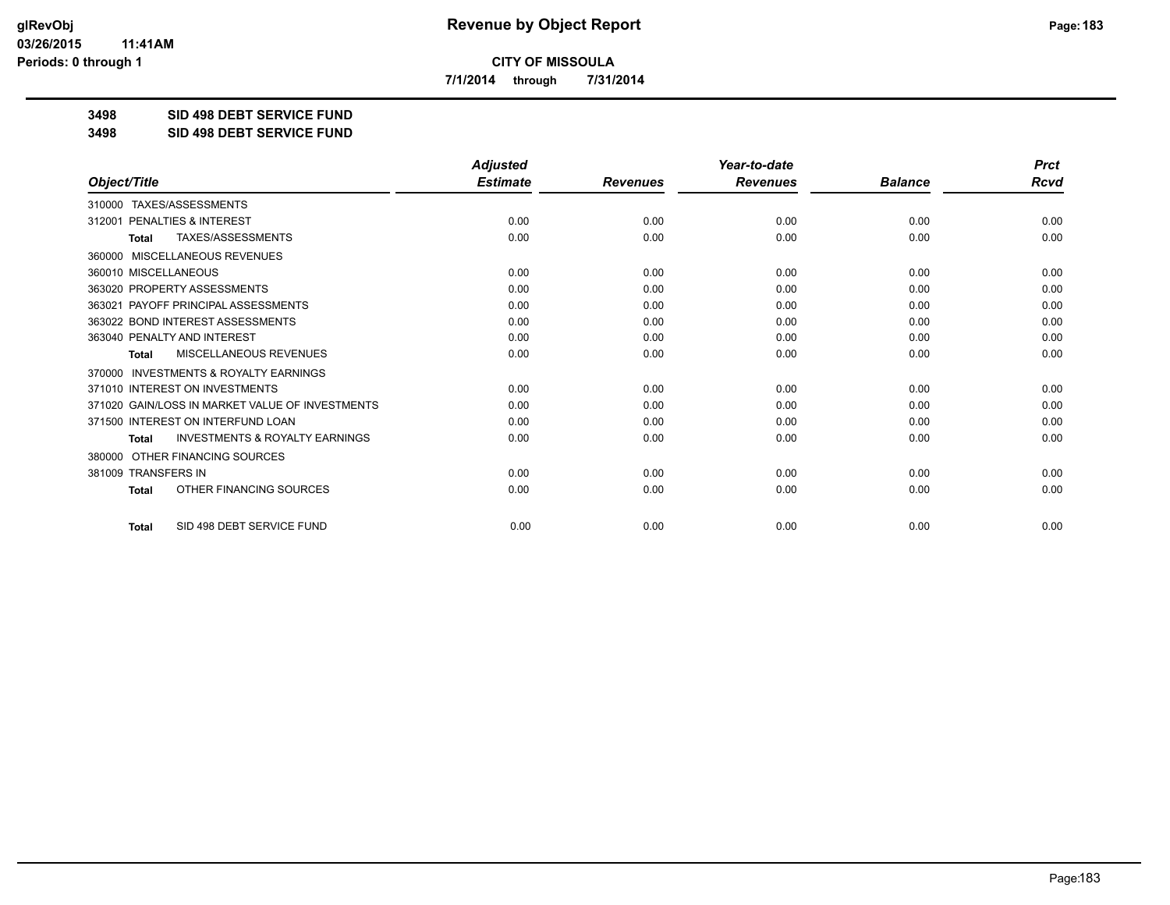**7/1/2014 through 7/31/2014**

**3498 SID 498 DEBT SERVICE FUND**

**3498 SID 498 DEBT SERVICE FUND**

|                                                           | <b>Adjusted</b> |                 | Year-to-date    |                | <b>Prct</b> |
|-----------------------------------------------------------|-----------------|-----------------|-----------------|----------------|-------------|
| Object/Title                                              | <b>Estimate</b> | <b>Revenues</b> | <b>Revenues</b> | <b>Balance</b> | Rcvd        |
| TAXES/ASSESSMENTS<br>310000                               |                 |                 |                 |                |             |
| PENALTIES & INTEREST<br>312001                            | 0.00            | 0.00            | 0.00            | 0.00           | 0.00        |
| TAXES/ASSESSMENTS<br><b>Total</b>                         | 0.00            | 0.00            | 0.00            | 0.00           | 0.00        |
| 360000 MISCELLANEOUS REVENUES                             |                 |                 |                 |                |             |
| 360010 MISCELLANEOUS                                      | 0.00            | 0.00            | 0.00            | 0.00           | 0.00        |
| 363020 PROPERTY ASSESSMENTS                               | 0.00            | 0.00            | 0.00            | 0.00           | 0.00        |
| PAYOFF PRINCIPAL ASSESSMENTS<br>363021                    | 0.00            | 0.00            | 0.00            | 0.00           | 0.00        |
| 363022 BOND INTEREST ASSESSMENTS                          | 0.00            | 0.00            | 0.00            | 0.00           | 0.00        |
| 363040 PENALTY AND INTEREST                               | 0.00            | 0.00            | 0.00            | 0.00           | 0.00        |
| MISCELLANEOUS REVENUES<br><b>Total</b>                    | 0.00            | 0.00            | 0.00            | 0.00           | 0.00        |
| 370000 INVESTMENTS & ROYALTY EARNINGS                     |                 |                 |                 |                |             |
| 371010 INTEREST ON INVESTMENTS                            | 0.00            | 0.00            | 0.00            | 0.00           | 0.00        |
| 371020 GAIN/LOSS IN MARKET VALUE OF INVESTMENTS           | 0.00            | 0.00            | 0.00            | 0.00           | 0.00        |
| 371500 INTEREST ON INTERFUND LOAN                         | 0.00            | 0.00            | 0.00            | 0.00           | 0.00        |
| <b>INVESTMENTS &amp; ROYALTY EARNINGS</b><br><b>Total</b> | 0.00            | 0.00            | 0.00            | 0.00           | 0.00        |
| OTHER FINANCING SOURCES<br>380000                         |                 |                 |                 |                |             |
| 381009 TRANSFERS IN                                       | 0.00            | 0.00            | 0.00            | 0.00           | 0.00        |
| OTHER FINANCING SOURCES<br><b>Total</b>                   | 0.00            | 0.00            | 0.00            | 0.00           | 0.00        |
| SID 498 DEBT SERVICE FUND<br>Total                        | 0.00            | 0.00            | 0.00            | 0.00           | 0.00        |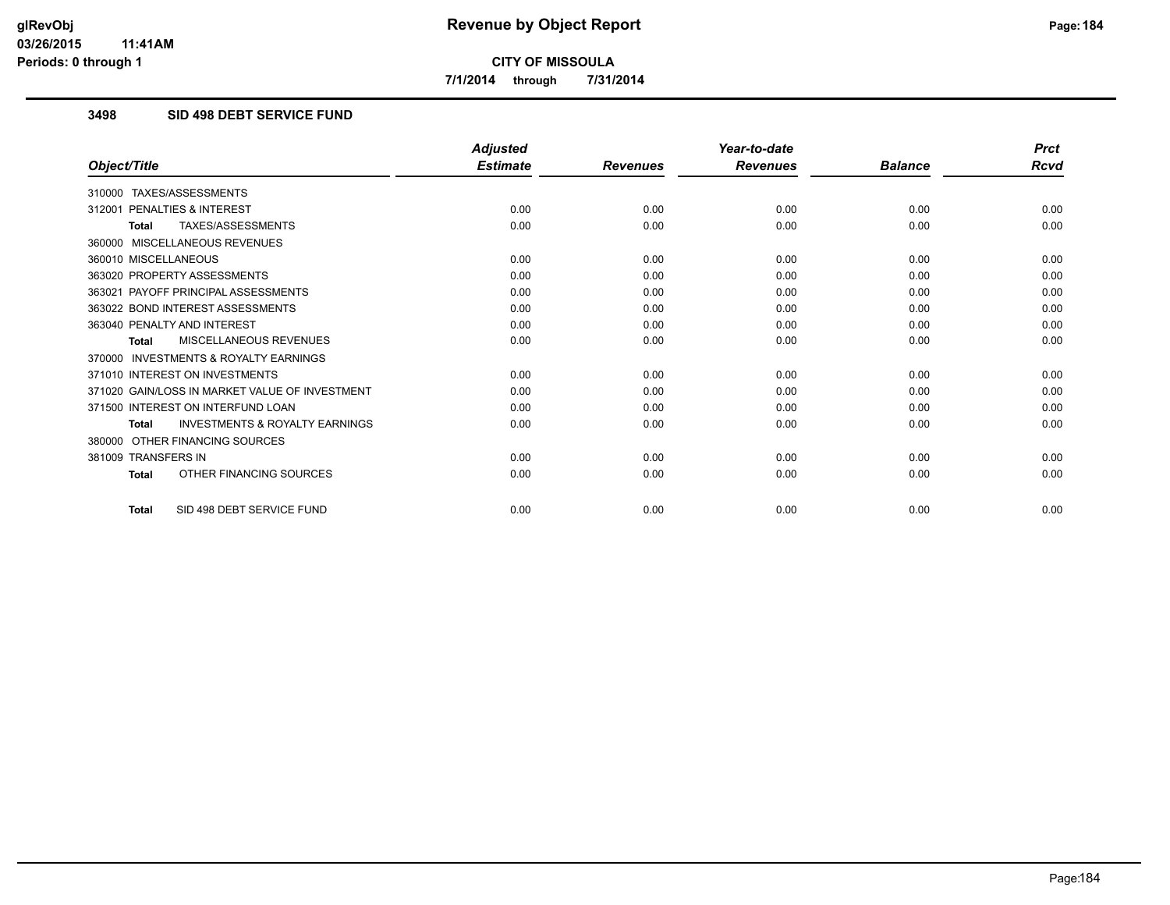**7/1/2014 through 7/31/2014**

#### **3498 SID 498 DEBT SERVICE FUND**

|                                                           | <b>Adjusted</b> |                 | Year-to-date    |                | <b>Prct</b> |
|-----------------------------------------------------------|-----------------|-----------------|-----------------|----------------|-------------|
| Object/Title                                              | <b>Estimate</b> | <b>Revenues</b> | <b>Revenues</b> | <b>Balance</b> | Rcvd        |
| TAXES/ASSESSMENTS<br>310000                               |                 |                 |                 |                |             |
| PENALTIES & INTEREST<br>312001                            | 0.00            | 0.00            | 0.00            | 0.00           | 0.00        |
| TAXES/ASSESSMENTS<br><b>Total</b>                         | 0.00            | 0.00            | 0.00            | 0.00           | 0.00        |
| 360000 MISCELLANEOUS REVENUES                             |                 |                 |                 |                |             |
| 360010 MISCELLANEOUS                                      | 0.00            | 0.00            | 0.00            | 0.00           | 0.00        |
| 363020 PROPERTY ASSESSMENTS                               | 0.00            | 0.00            | 0.00            | 0.00           | 0.00        |
| 363021 PAYOFF PRINCIPAL ASSESSMENTS                       | 0.00            | 0.00            | 0.00            | 0.00           | 0.00        |
| 363022 BOND INTEREST ASSESSMENTS                          | 0.00            | 0.00            | 0.00            | 0.00           | 0.00        |
| 363040 PENALTY AND INTEREST                               | 0.00            | 0.00            | 0.00            | 0.00           | 0.00        |
| MISCELLANEOUS REVENUES<br><b>Total</b>                    | 0.00            | 0.00            | 0.00            | 0.00           | 0.00        |
| <b>INVESTMENTS &amp; ROYALTY EARNINGS</b><br>370000       |                 |                 |                 |                |             |
| 371010 INTEREST ON INVESTMENTS                            | 0.00            | 0.00            | 0.00            | 0.00           | 0.00        |
| 371020 GAIN/LOSS IN MARKET VALUE OF INVESTMENT            | 0.00            | 0.00            | 0.00            | 0.00           | 0.00        |
| 371500 INTEREST ON INTERFUND LOAN                         | 0.00            | 0.00            | 0.00            | 0.00           | 0.00        |
| <b>INVESTMENTS &amp; ROYALTY EARNINGS</b><br><b>Total</b> | 0.00            | 0.00            | 0.00            | 0.00           | 0.00        |
| OTHER FINANCING SOURCES<br>380000                         |                 |                 |                 |                |             |
| 381009 TRANSFERS IN                                       | 0.00            | 0.00            | 0.00            | 0.00           | 0.00        |
| OTHER FINANCING SOURCES<br><b>Total</b>                   | 0.00            | 0.00            | 0.00            | 0.00           | 0.00        |
| SID 498 DEBT SERVICE FUND<br><b>Total</b>                 | 0.00            | 0.00            | 0.00            | 0.00           | 0.00        |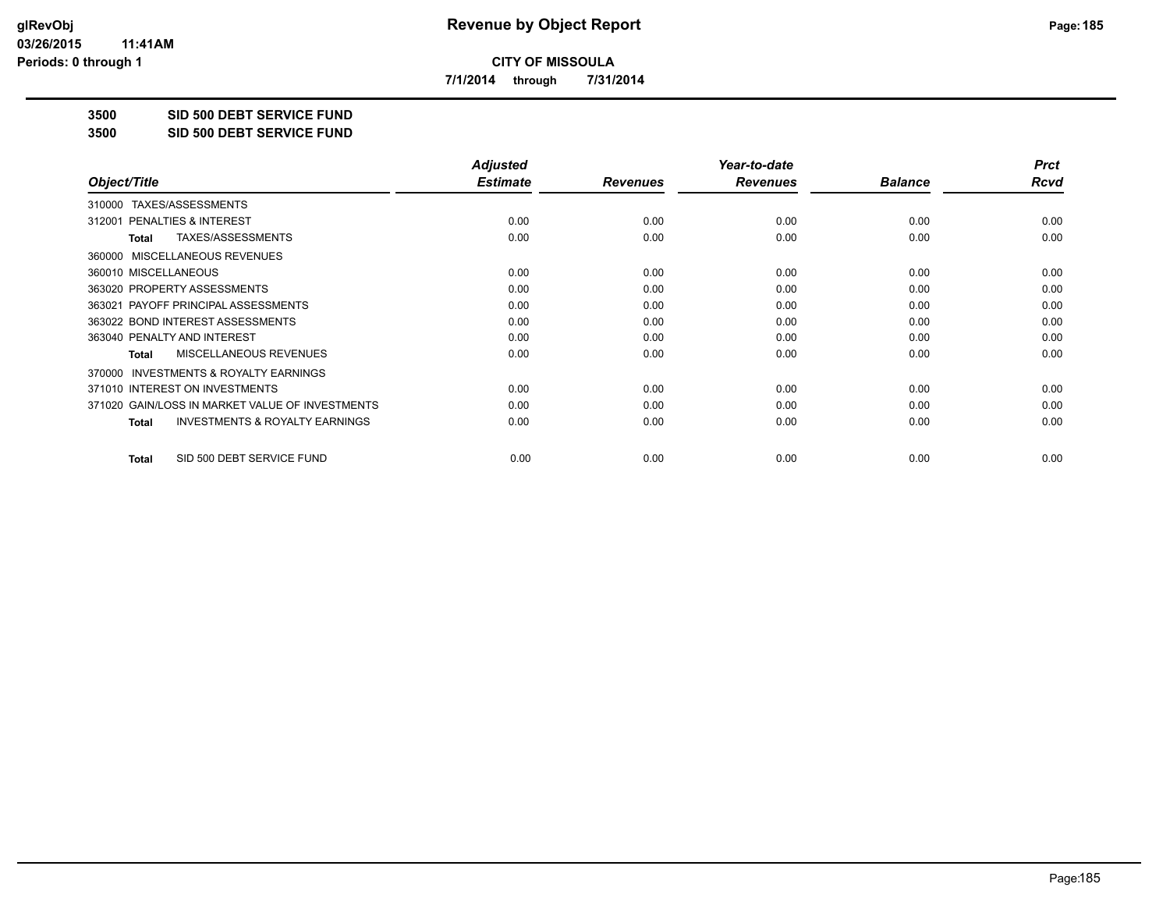**7/1/2014 through 7/31/2014**

**3500 SID 500 DEBT SERVICE FUND**

**3500 SID 500 DEBT SERVICE FUND**

|                                                           | <b>Adjusted</b> |                 | Year-to-date    |                | <b>Prct</b> |
|-----------------------------------------------------------|-----------------|-----------------|-----------------|----------------|-------------|
| Object/Title                                              | <b>Estimate</b> | <b>Revenues</b> | <b>Revenues</b> | <b>Balance</b> | Rcvd        |
| TAXES/ASSESSMENTS<br>310000                               |                 |                 |                 |                |             |
| 312001 PENALTIES & INTEREST                               | 0.00            | 0.00            | 0.00            | 0.00           | 0.00        |
| TAXES/ASSESSMENTS<br>Total                                | 0.00            | 0.00            | 0.00            | 0.00           | 0.00        |
| MISCELLANEOUS REVENUES<br>360000                          |                 |                 |                 |                |             |
| 360010 MISCELLANEOUS                                      | 0.00            | 0.00            | 0.00            | 0.00           | 0.00        |
| 363020 PROPERTY ASSESSMENTS                               | 0.00            | 0.00            | 0.00            | 0.00           | 0.00        |
| 363021 PAYOFF PRINCIPAL ASSESSMENTS                       | 0.00            | 0.00            | 0.00            | 0.00           | 0.00        |
| 363022 BOND INTEREST ASSESSMENTS                          | 0.00            | 0.00            | 0.00            | 0.00           | 0.00        |
| 363040 PENALTY AND INTEREST                               | 0.00            | 0.00            | 0.00            | 0.00           | 0.00        |
| MISCELLANEOUS REVENUES<br><b>Total</b>                    | 0.00            | 0.00            | 0.00            | 0.00           | 0.00        |
| <b>INVESTMENTS &amp; ROYALTY EARNINGS</b><br>370000       |                 |                 |                 |                |             |
| 371010 INTEREST ON INVESTMENTS                            | 0.00            | 0.00            | 0.00            | 0.00           | 0.00        |
| 371020 GAIN/LOSS IN MARKET VALUE OF INVESTMENTS           | 0.00            | 0.00            | 0.00            | 0.00           | 0.00        |
| <b>INVESTMENTS &amp; ROYALTY EARNINGS</b><br><b>Total</b> | 0.00            | 0.00            | 0.00            | 0.00           | 0.00        |
| SID 500 DEBT SERVICE FUND<br><b>Total</b>                 | 0.00            | 0.00            | 0.00            | 0.00           | 0.00        |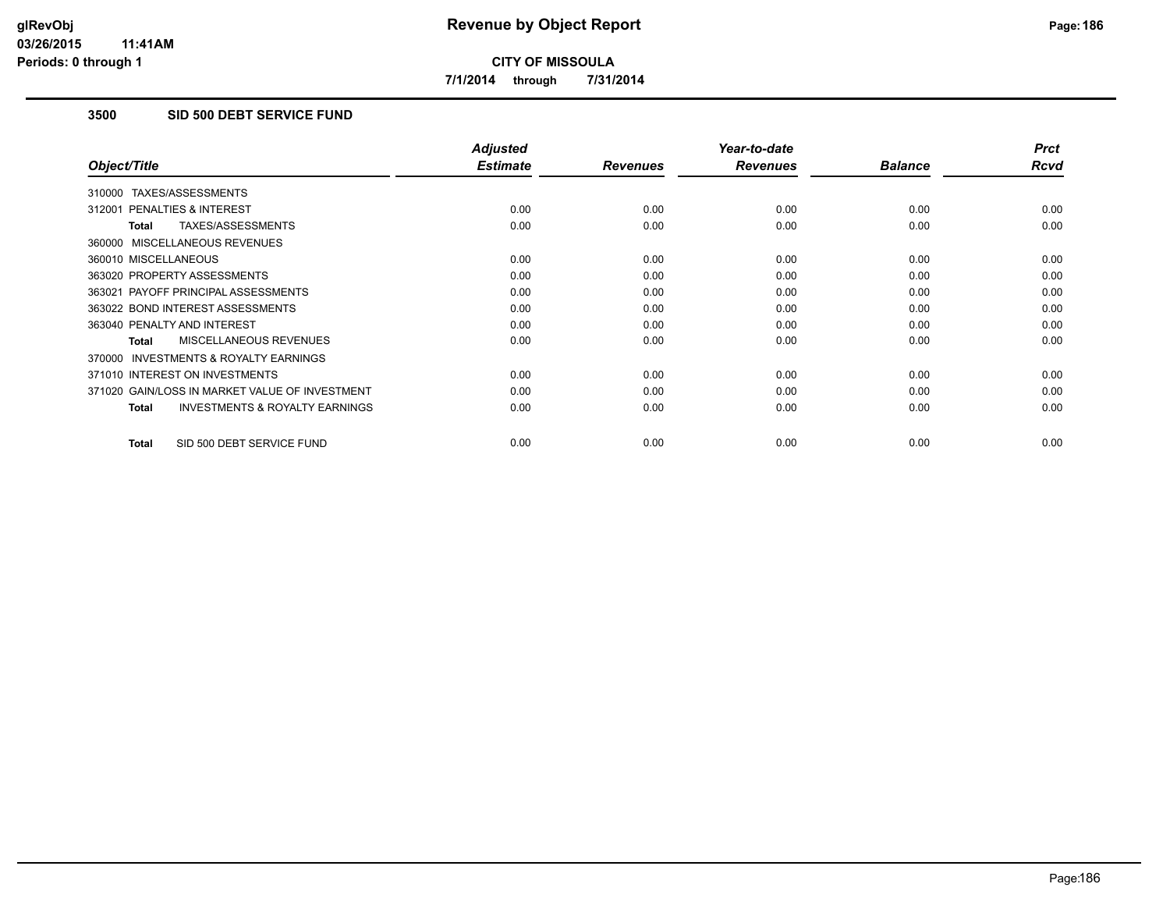**7/1/2014 through 7/31/2014**

# **3500 SID 500 DEBT SERVICE FUND**

|                                                           | <b>Adjusted</b> |                 | Year-to-date    |                | <b>Prct</b> |
|-----------------------------------------------------------|-----------------|-----------------|-----------------|----------------|-------------|
| Object/Title                                              | <b>Estimate</b> | <b>Revenues</b> | <b>Revenues</b> | <b>Balance</b> | <b>Rcvd</b> |
| 310000 TAXES/ASSESSMENTS                                  |                 |                 |                 |                |             |
| 312001 PENALTIES & INTEREST                               | 0.00            | 0.00            | 0.00            | 0.00           | 0.00        |
| TAXES/ASSESSMENTS<br><b>Total</b>                         | 0.00            | 0.00            | 0.00            | 0.00           | 0.00        |
| 360000 MISCELLANEOUS REVENUES                             |                 |                 |                 |                |             |
| 360010 MISCELLANEOUS                                      | 0.00            | 0.00            | 0.00            | 0.00           | 0.00        |
| 363020 PROPERTY ASSESSMENTS                               | 0.00            | 0.00            | 0.00            | 0.00           | 0.00        |
| 363021 PAYOFF PRINCIPAL ASSESSMENTS                       | 0.00            | 0.00            | 0.00            | 0.00           | 0.00        |
| 363022 BOND INTEREST ASSESSMENTS                          | 0.00            | 0.00            | 0.00            | 0.00           | 0.00        |
| 363040 PENALTY AND INTEREST                               | 0.00            | 0.00            | 0.00            | 0.00           | 0.00        |
| MISCELLANEOUS REVENUES<br>Total                           | 0.00            | 0.00            | 0.00            | 0.00           | 0.00        |
| <b>INVESTMENTS &amp; ROYALTY EARNINGS</b><br>370000       |                 |                 |                 |                |             |
| 371010 INTEREST ON INVESTMENTS                            | 0.00            | 0.00            | 0.00            | 0.00           | 0.00        |
| 371020 GAIN/LOSS IN MARKET VALUE OF INVESTMENT            | 0.00            | 0.00            | 0.00            | 0.00           | 0.00        |
| <b>INVESTMENTS &amp; ROYALTY EARNINGS</b><br><b>Total</b> | 0.00            | 0.00            | 0.00            | 0.00           | 0.00        |
| SID 500 DEBT SERVICE FUND<br><b>Total</b>                 | 0.00            | 0.00            | 0.00            | 0.00           | 0.00        |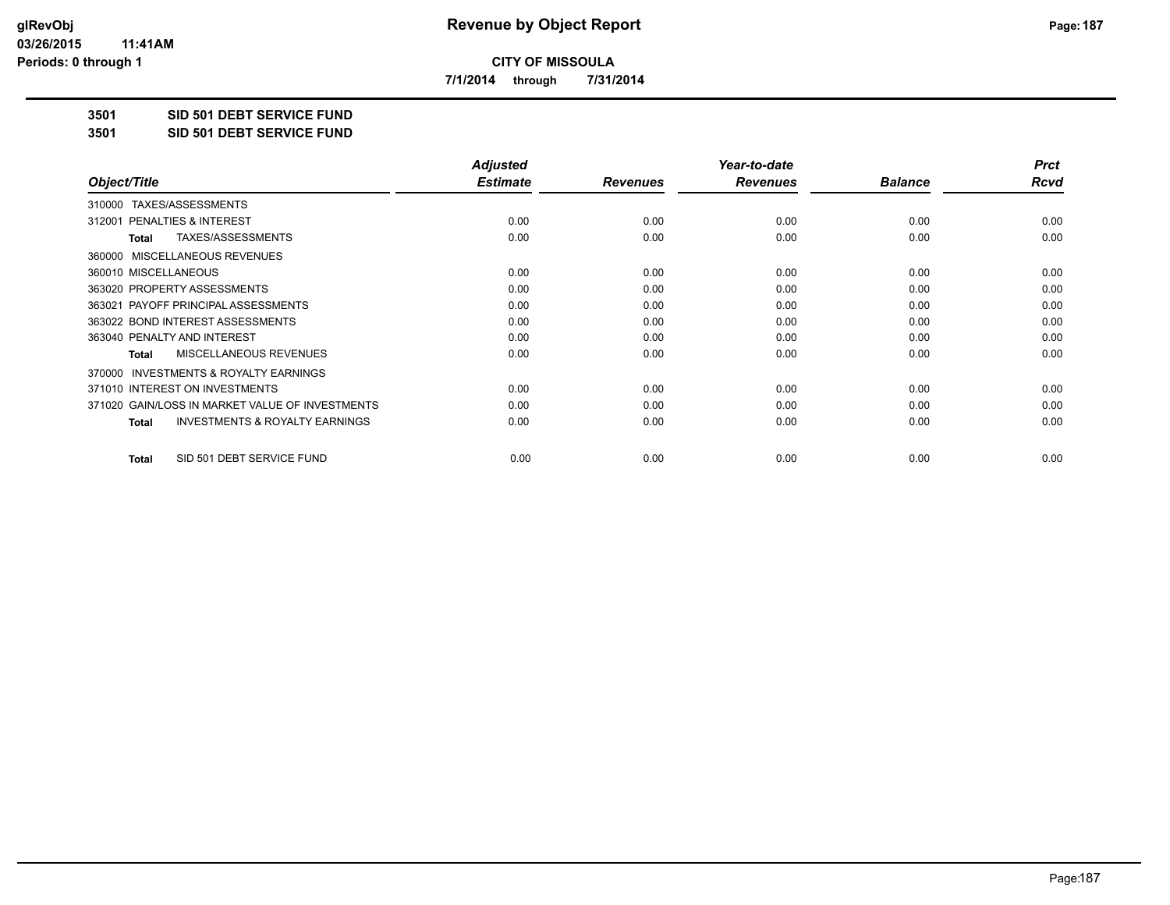**7/1/2014 through 7/31/2014**

**3501 SID 501 DEBT SERVICE FUND**

**3501 SID 501 DEBT SERVICE FUND**

|                                                           | <b>Adjusted</b> |                 | Year-to-date    |                | <b>Prct</b> |
|-----------------------------------------------------------|-----------------|-----------------|-----------------|----------------|-------------|
| Object/Title                                              | <b>Estimate</b> | <b>Revenues</b> | <b>Revenues</b> | <b>Balance</b> | Rcvd        |
| TAXES/ASSESSMENTS<br>310000                               |                 |                 |                 |                |             |
| 312001 PENALTIES & INTEREST                               | 0.00            | 0.00            | 0.00            | 0.00           | 0.00        |
| TAXES/ASSESSMENTS<br><b>Total</b>                         | 0.00            | 0.00            | 0.00            | 0.00           | 0.00        |
| MISCELLANEOUS REVENUES<br>360000                          |                 |                 |                 |                |             |
| 360010 MISCELLANEOUS                                      | 0.00            | 0.00            | 0.00            | 0.00           | 0.00        |
| 363020 PROPERTY ASSESSMENTS                               | 0.00            | 0.00            | 0.00            | 0.00           | 0.00        |
| 363021 PAYOFF PRINCIPAL ASSESSMENTS                       | 0.00            | 0.00            | 0.00            | 0.00           | 0.00        |
| 363022 BOND INTEREST ASSESSMENTS                          | 0.00            | 0.00            | 0.00            | 0.00           | 0.00        |
| 363040 PENALTY AND INTEREST                               | 0.00            | 0.00            | 0.00            | 0.00           | 0.00        |
| MISCELLANEOUS REVENUES<br><b>Total</b>                    | 0.00            | 0.00            | 0.00            | 0.00           | 0.00        |
| <b>INVESTMENTS &amp; ROYALTY EARNINGS</b><br>370000       |                 |                 |                 |                |             |
| 371010 INTEREST ON INVESTMENTS                            | 0.00            | 0.00            | 0.00            | 0.00           | 0.00        |
| 371020 GAIN/LOSS IN MARKET VALUE OF INVESTMENTS           | 0.00            | 0.00            | 0.00            | 0.00           | 0.00        |
| <b>INVESTMENTS &amp; ROYALTY EARNINGS</b><br><b>Total</b> | 0.00            | 0.00            | 0.00            | 0.00           | 0.00        |
| SID 501 DEBT SERVICE FUND<br><b>Total</b>                 | 0.00            | 0.00            | 0.00            | 0.00           | 0.00        |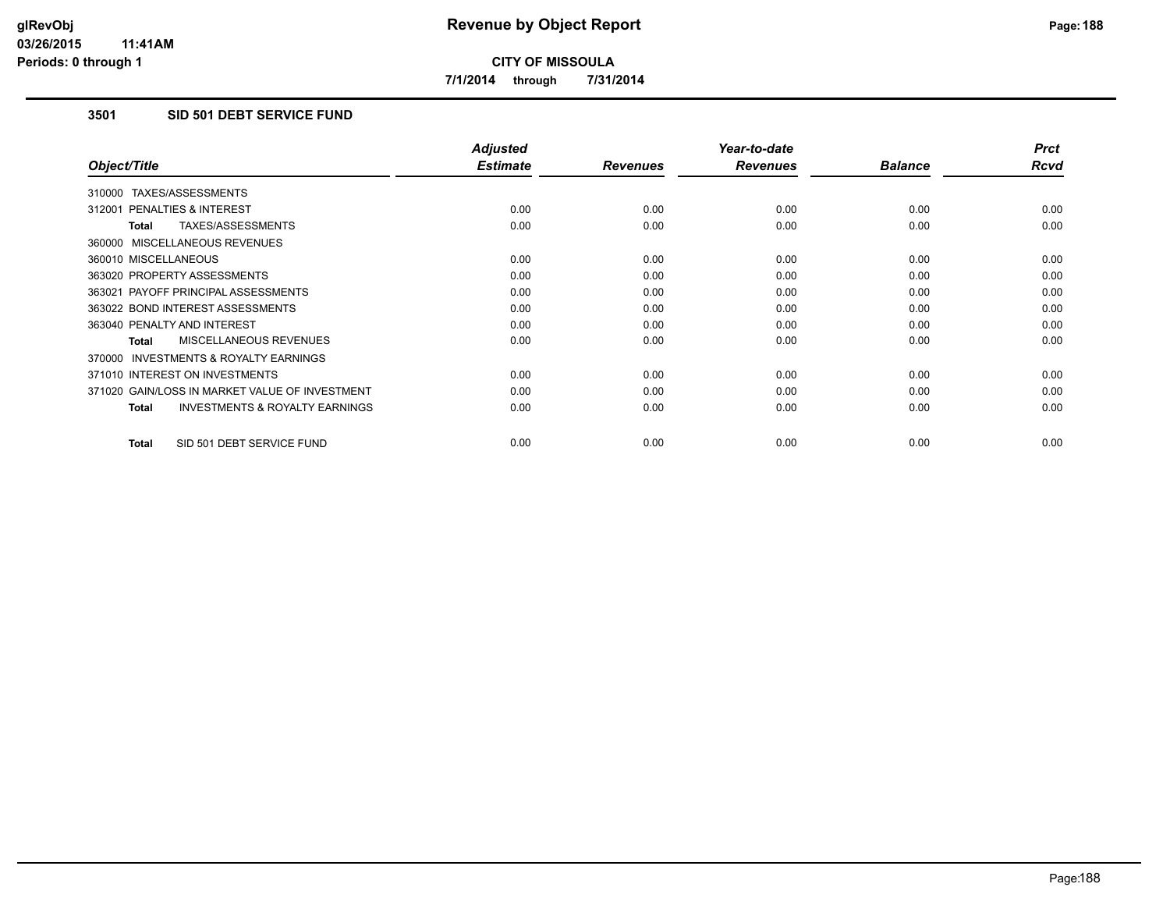**7/1/2014 through 7/31/2014**

# **3501 SID 501 DEBT SERVICE FUND**

|                                                           | <b>Adjusted</b> |                 | Year-to-date    |                | <b>Prct</b> |
|-----------------------------------------------------------|-----------------|-----------------|-----------------|----------------|-------------|
| Object/Title                                              | <b>Estimate</b> | <b>Revenues</b> | <b>Revenues</b> | <b>Balance</b> | <b>Rcvd</b> |
| 310000 TAXES/ASSESSMENTS                                  |                 |                 |                 |                |             |
| 312001 PENALTIES & INTEREST                               | 0.00            | 0.00            | 0.00            | 0.00           | 0.00        |
| <b>TAXES/ASSESSMENTS</b><br><b>Total</b>                  | 0.00            | 0.00            | 0.00            | 0.00           | 0.00        |
| 360000 MISCELLANEOUS REVENUES                             |                 |                 |                 |                |             |
| 360010 MISCELLANEOUS                                      | 0.00            | 0.00            | 0.00            | 0.00           | 0.00        |
| 363020 PROPERTY ASSESSMENTS                               | 0.00            | 0.00            | 0.00            | 0.00           | 0.00        |
| 363021 PAYOFF PRINCIPAL ASSESSMENTS                       | 0.00            | 0.00            | 0.00            | 0.00           | 0.00        |
| 363022 BOND INTEREST ASSESSMENTS                          | 0.00            | 0.00            | 0.00            | 0.00           | 0.00        |
| 363040 PENALTY AND INTEREST                               | 0.00            | 0.00            | 0.00            | 0.00           | 0.00        |
| <b>MISCELLANEOUS REVENUES</b><br><b>Total</b>             | 0.00            | 0.00            | 0.00            | 0.00           | 0.00        |
| <b>INVESTMENTS &amp; ROYALTY EARNINGS</b><br>370000       |                 |                 |                 |                |             |
| 371010 INTEREST ON INVESTMENTS                            | 0.00            | 0.00            | 0.00            | 0.00           | 0.00        |
| 371020 GAIN/LOSS IN MARKET VALUE OF INVESTMENT            | 0.00            | 0.00            | 0.00            | 0.00           | 0.00        |
| <b>INVESTMENTS &amp; ROYALTY EARNINGS</b><br><b>Total</b> | 0.00            | 0.00            | 0.00            | 0.00           | 0.00        |
| SID 501 DEBT SERVICE FUND<br><b>Total</b>                 | 0.00            | 0.00            | 0.00            | 0.00           | 0.00        |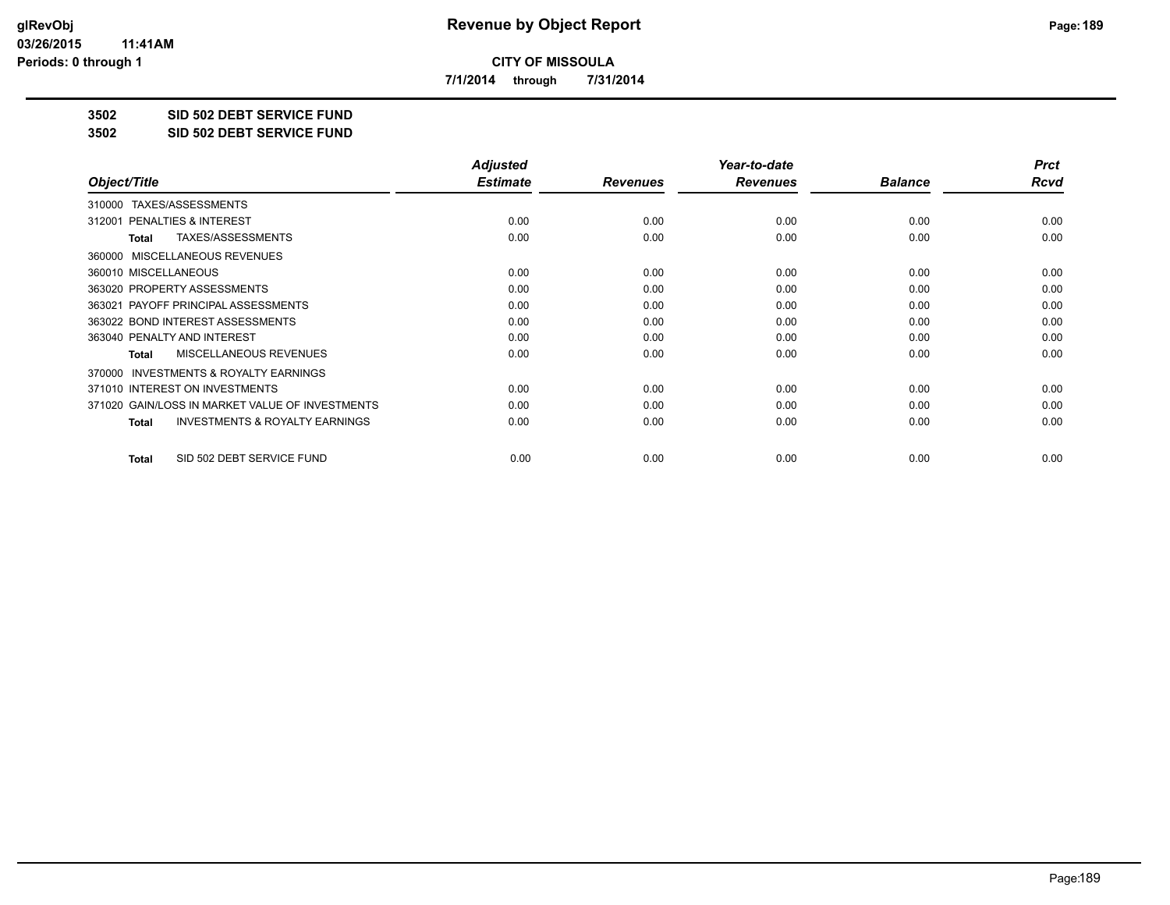**7/1/2014 through 7/31/2014**

**3502 SID 502 DEBT SERVICE FUND**

**3502 SID 502 DEBT SERVICE FUND**

|                                                           | <b>Adjusted</b> |                 | Year-to-date    |                | <b>Prct</b> |
|-----------------------------------------------------------|-----------------|-----------------|-----------------|----------------|-------------|
| Object/Title                                              | <b>Estimate</b> | <b>Revenues</b> | <b>Revenues</b> | <b>Balance</b> | Rcvd        |
| TAXES/ASSESSMENTS<br>310000                               |                 |                 |                 |                |             |
| 312001 PENALTIES & INTEREST                               | 0.00            | 0.00            | 0.00            | 0.00           | 0.00        |
| TAXES/ASSESSMENTS<br>Total                                | 0.00            | 0.00            | 0.00            | 0.00           | 0.00        |
| MISCELLANEOUS REVENUES<br>360000                          |                 |                 |                 |                |             |
| 360010 MISCELLANEOUS                                      | 0.00            | 0.00            | 0.00            | 0.00           | 0.00        |
| 363020 PROPERTY ASSESSMENTS                               | 0.00            | 0.00            | 0.00            | 0.00           | 0.00        |
| 363021 PAYOFF PRINCIPAL ASSESSMENTS                       | 0.00            | 0.00            | 0.00            | 0.00           | 0.00        |
| 363022 BOND INTEREST ASSESSMENTS                          | 0.00            | 0.00            | 0.00            | 0.00           | 0.00        |
| 363040 PENALTY AND INTEREST                               | 0.00            | 0.00            | 0.00            | 0.00           | 0.00        |
| MISCELLANEOUS REVENUES<br><b>Total</b>                    | 0.00            | 0.00            | 0.00            | 0.00           | 0.00        |
| <b>INVESTMENTS &amp; ROYALTY EARNINGS</b><br>370000       |                 |                 |                 |                |             |
| 371010 INTEREST ON INVESTMENTS                            | 0.00            | 0.00            | 0.00            | 0.00           | 0.00        |
| 371020 GAIN/LOSS IN MARKET VALUE OF INVESTMENTS           | 0.00            | 0.00            | 0.00            | 0.00           | 0.00        |
| <b>INVESTMENTS &amp; ROYALTY EARNINGS</b><br><b>Total</b> | 0.00            | 0.00            | 0.00            | 0.00           | 0.00        |
| SID 502 DEBT SERVICE FUND<br><b>Total</b>                 | 0.00            | 0.00            | 0.00            | 0.00           | 0.00        |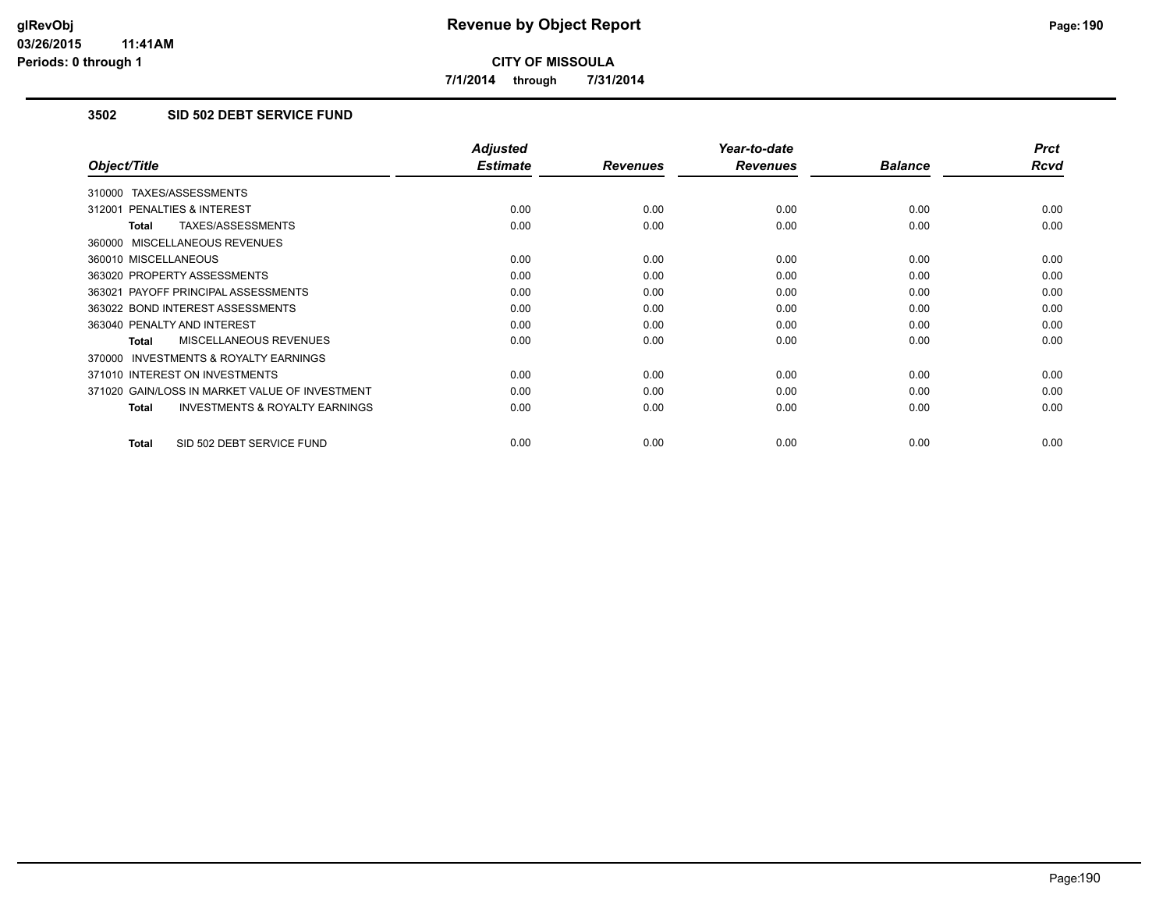**7/1/2014 through 7/31/2014**

# **3502 SID 502 DEBT SERVICE FUND**

|                                                           | <b>Adjusted</b> |                 | Year-to-date    |                | <b>Prct</b> |
|-----------------------------------------------------------|-----------------|-----------------|-----------------|----------------|-------------|
| Object/Title                                              | <b>Estimate</b> | <b>Revenues</b> | <b>Revenues</b> | <b>Balance</b> | <b>Rcvd</b> |
| 310000 TAXES/ASSESSMENTS                                  |                 |                 |                 |                |             |
| 312001 PENALTIES & INTEREST                               | 0.00            | 0.00            | 0.00            | 0.00           | 0.00        |
| TAXES/ASSESSMENTS<br><b>Total</b>                         | 0.00            | 0.00            | 0.00            | 0.00           | 0.00        |
| 360000 MISCELLANEOUS REVENUES                             |                 |                 |                 |                |             |
| 360010 MISCELLANEOUS                                      | 0.00            | 0.00            | 0.00            | 0.00           | 0.00        |
| 363020 PROPERTY ASSESSMENTS                               | 0.00            | 0.00            | 0.00            | 0.00           | 0.00        |
| 363021 PAYOFF PRINCIPAL ASSESSMENTS                       | 0.00            | 0.00            | 0.00            | 0.00           | 0.00        |
| 363022 BOND INTEREST ASSESSMENTS                          | 0.00            | 0.00            | 0.00            | 0.00           | 0.00        |
| 363040 PENALTY AND INTEREST                               | 0.00            | 0.00            | 0.00            | 0.00           | 0.00        |
| MISCELLANEOUS REVENUES<br>Total                           | 0.00            | 0.00            | 0.00            | 0.00           | 0.00        |
| <b>INVESTMENTS &amp; ROYALTY EARNINGS</b><br>370000       |                 |                 |                 |                |             |
| 371010 INTEREST ON INVESTMENTS                            | 0.00            | 0.00            | 0.00            | 0.00           | 0.00        |
| 371020 GAIN/LOSS IN MARKET VALUE OF INVESTMENT            | 0.00            | 0.00            | 0.00            | 0.00           | 0.00        |
| <b>INVESTMENTS &amp; ROYALTY EARNINGS</b><br><b>Total</b> | 0.00            | 0.00            | 0.00            | 0.00           | 0.00        |
|                                                           |                 |                 |                 |                |             |
| SID 502 DEBT SERVICE FUND<br><b>Total</b>                 | 0.00            | 0.00            | 0.00            | 0.00           | 0.00        |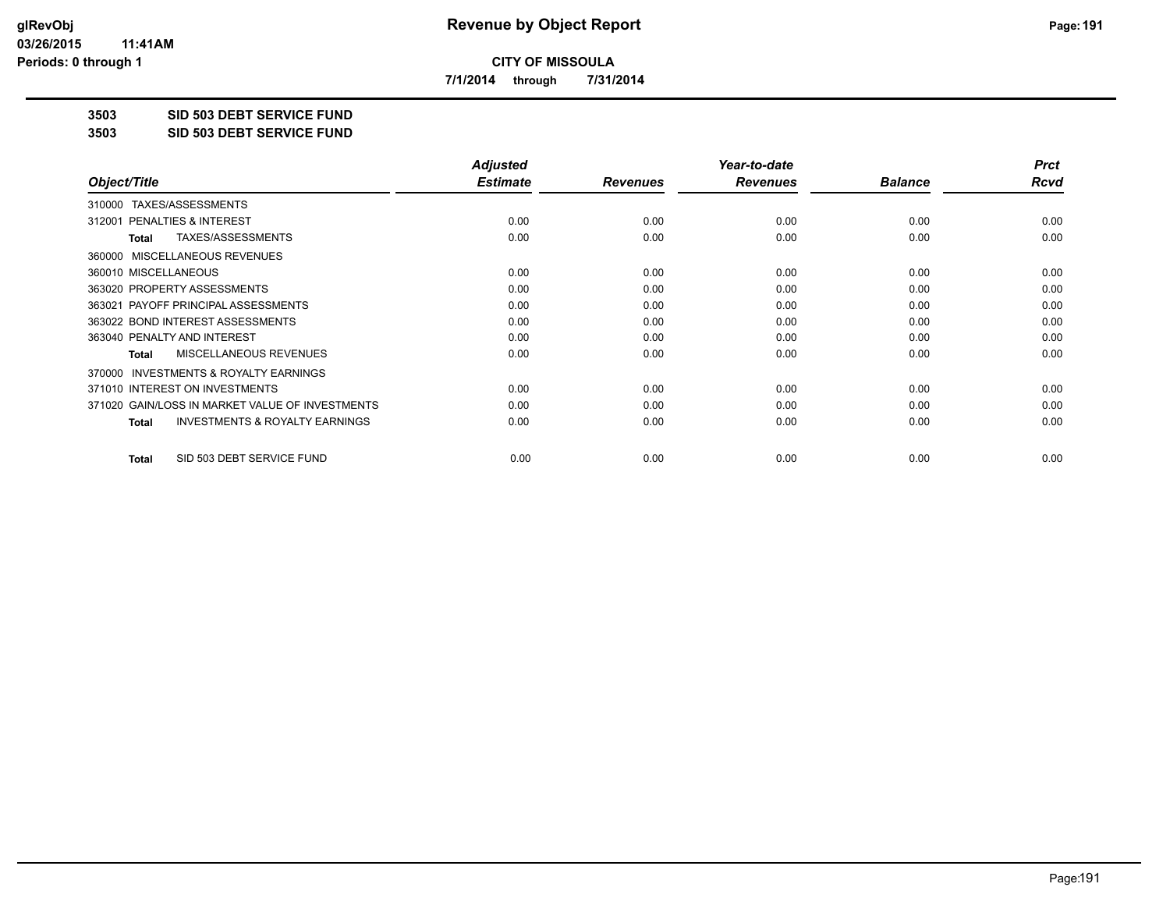**7/1/2014 through 7/31/2014**

**3503 SID 503 DEBT SERVICE FUND**

**3503 SID 503 DEBT SERVICE FUND**

|                                                           | <b>Adjusted</b> |                 | Year-to-date    |                | <b>Prct</b> |
|-----------------------------------------------------------|-----------------|-----------------|-----------------|----------------|-------------|
| Object/Title                                              | <b>Estimate</b> | <b>Revenues</b> | <b>Revenues</b> | <b>Balance</b> | Rcvd        |
| TAXES/ASSESSMENTS<br>310000                               |                 |                 |                 |                |             |
| 312001 PENALTIES & INTEREST                               | 0.00            | 0.00            | 0.00            | 0.00           | 0.00        |
| TAXES/ASSESSMENTS<br>Total                                | 0.00            | 0.00            | 0.00            | 0.00           | 0.00        |
| MISCELLANEOUS REVENUES<br>360000                          |                 |                 |                 |                |             |
| 360010 MISCELLANEOUS                                      | 0.00            | 0.00            | 0.00            | 0.00           | 0.00        |
| 363020 PROPERTY ASSESSMENTS                               | 0.00            | 0.00            | 0.00            | 0.00           | 0.00        |
| 363021 PAYOFF PRINCIPAL ASSESSMENTS                       | 0.00            | 0.00            | 0.00            | 0.00           | 0.00        |
| 363022 BOND INTEREST ASSESSMENTS                          | 0.00            | 0.00            | 0.00            | 0.00           | 0.00        |
| 363040 PENALTY AND INTEREST                               | 0.00            | 0.00            | 0.00            | 0.00           | 0.00        |
| MISCELLANEOUS REVENUES<br><b>Total</b>                    | 0.00            | 0.00            | 0.00            | 0.00           | 0.00        |
| <b>INVESTMENTS &amp; ROYALTY EARNINGS</b><br>370000       |                 |                 |                 |                |             |
| 371010 INTEREST ON INVESTMENTS                            | 0.00            | 0.00            | 0.00            | 0.00           | 0.00        |
| 371020 GAIN/LOSS IN MARKET VALUE OF INVESTMENTS           | 0.00            | 0.00            | 0.00            | 0.00           | 0.00        |
| <b>INVESTMENTS &amp; ROYALTY EARNINGS</b><br><b>Total</b> | 0.00            | 0.00            | 0.00            | 0.00           | 0.00        |
| SID 503 DEBT SERVICE FUND<br>Total                        | 0.00            | 0.00            | 0.00            | 0.00           | 0.00        |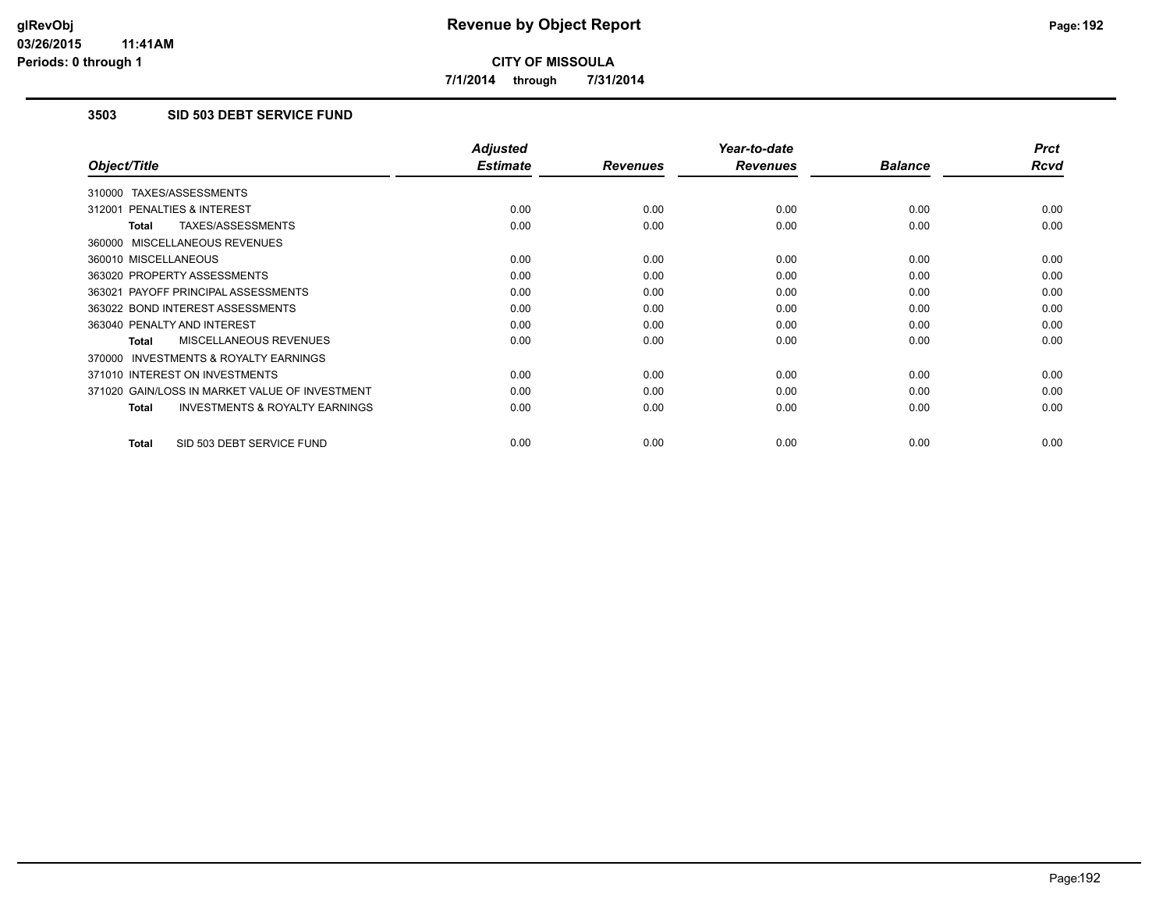**7/1/2014 through 7/31/2014**

# **3503 SID 503 DEBT SERVICE FUND**

|                                                           | <b>Adjusted</b> |                 | Year-to-date    |                | <b>Prct</b> |
|-----------------------------------------------------------|-----------------|-----------------|-----------------|----------------|-------------|
| Object/Title                                              | <b>Estimate</b> | <b>Revenues</b> | <b>Revenues</b> | <b>Balance</b> | <b>Rcvd</b> |
| 310000 TAXES/ASSESSMENTS                                  |                 |                 |                 |                |             |
| 312001 PENALTIES & INTEREST                               | 0.00            | 0.00            | 0.00            | 0.00           | 0.00        |
| <b>TAXES/ASSESSMENTS</b><br><b>Total</b>                  | 0.00            | 0.00            | 0.00            | 0.00           | 0.00        |
| 360000 MISCELLANEOUS REVENUES                             |                 |                 |                 |                |             |
| 360010 MISCELLANEOUS                                      | 0.00            | 0.00            | 0.00            | 0.00           | 0.00        |
| 363020 PROPERTY ASSESSMENTS                               | 0.00            | 0.00            | 0.00            | 0.00           | 0.00        |
| 363021 PAYOFF PRINCIPAL ASSESSMENTS                       | 0.00            | 0.00            | 0.00            | 0.00           | 0.00        |
| 363022 BOND INTEREST ASSESSMENTS                          | 0.00            | 0.00            | 0.00            | 0.00           | 0.00        |
| 363040 PENALTY AND INTEREST                               | 0.00            | 0.00            | 0.00            | 0.00           | 0.00        |
| <b>MISCELLANEOUS REVENUES</b><br><b>Total</b>             | 0.00            | 0.00            | 0.00            | 0.00           | 0.00        |
| <b>INVESTMENTS &amp; ROYALTY EARNINGS</b><br>370000       |                 |                 |                 |                |             |
| 371010 INTEREST ON INVESTMENTS                            | 0.00            | 0.00            | 0.00            | 0.00           | 0.00        |
| 371020 GAIN/LOSS IN MARKET VALUE OF INVESTMENT            | 0.00            | 0.00            | 0.00            | 0.00           | 0.00        |
| <b>INVESTMENTS &amp; ROYALTY EARNINGS</b><br><b>Total</b> | 0.00            | 0.00            | 0.00            | 0.00           | 0.00        |
| SID 503 DEBT SERVICE FUND<br><b>Total</b>                 | 0.00            | 0.00            | 0.00            | 0.00           | 0.00        |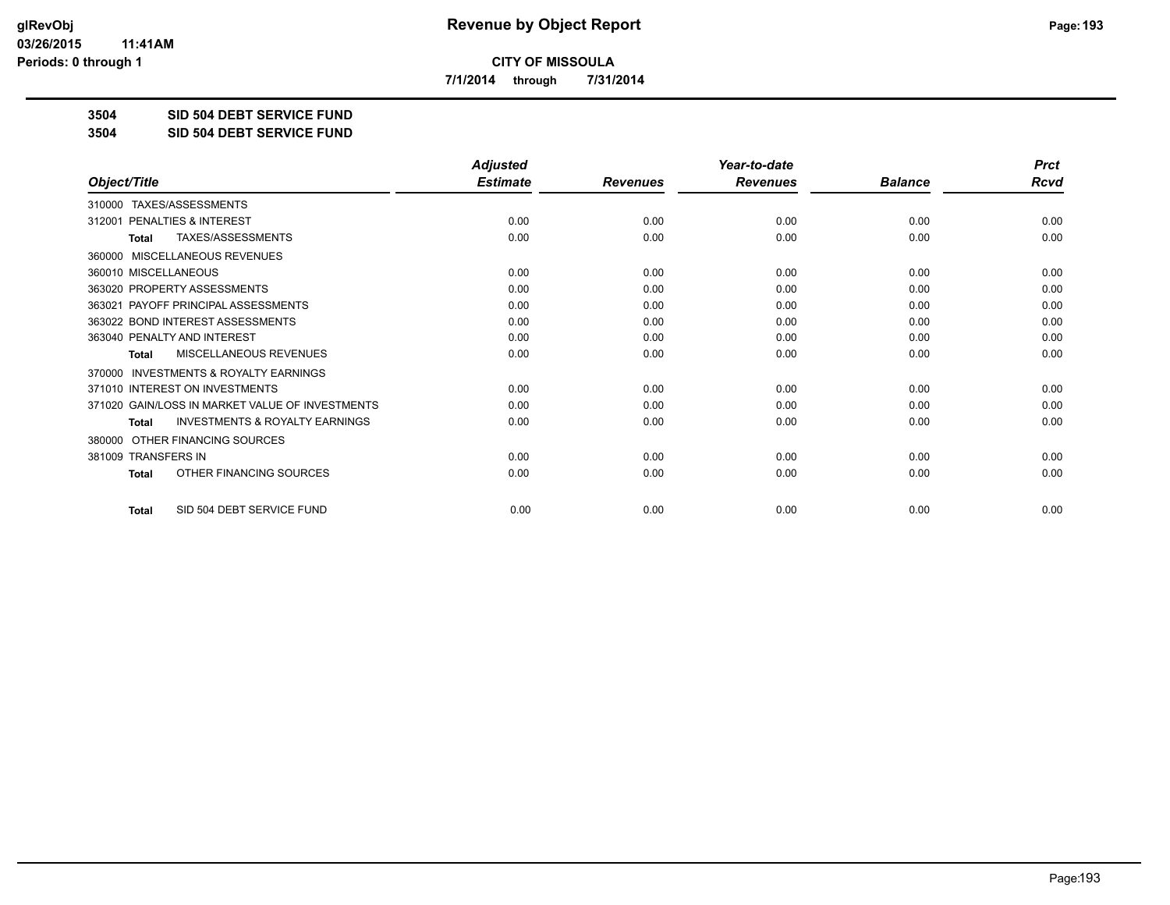**7/1/2014 through 7/31/2014**

**3504 SID 504 DEBT SERVICE FUND**

**3504 SID 504 DEBT SERVICE FUND**

|                                                           | <b>Adjusted</b> |                 | Year-to-date    |                | <b>Prct</b> |
|-----------------------------------------------------------|-----------------|-----------------|-----------------|----------------|-------------|
| Object/Title                                              | <b>Estimate</b> | <b>Revenues</b> | <b>Revenues</b> | <b>Balance</b> | Rcvd        |
| TAXES/ASSESSMENTS<br>310000                               |                 |                 |                 |                |             |
| PENALTIES & INTEREST<br>312001                            | 0.00            | 0.00            | 0.00            | 0.00           | 0.00        |
| TAXES/ASSESSMENTS<br>Total                                | 0.00            | 0.00            | 0.00            | 0.00           | 0.00        |
| MISCELLANEOUS REVENUES<br>360000                          |                 |                 |                 |                |             |
| 360010 MISCELLANEOUS                                      | 0.00            | 0.00            | 0.00            | 0.00           | 0.00        |
| 363020 PROPERTY ASSESSMENTS                               | 0.00            | 0.00            | 0.00            | 0.00           | 0.00        |
| 363021 PAYOFF PRINCIPAL ASSESSMENTS                       | 0.00            | 0.00            | 0.00            | 0.00           | 0.00        |
| 363022 BOND INTEREST ASSESSMENTS                          | 0.00            | 0.00            | 0.00            | 0.00           | 0.00        |
| 363040 PENALTY AND INTEREST                               | 0.00            | 0.00            | 0.00            | 0.00           | 0.00        |
| <b>MISCELLANEOUS REVENUES</b><br><b>Total</b>             | 0.00            | 0.00            | 0.00            | 0.00           | 0.00        |
| <b>INVESTMENTS &amp; ROYALTY EARNINGS</b><br>370000       |                 |                 |                 |                |             |
| 371010 INTEREST ON INVESTMENTS                            | 0.00            | 0.00            | 0.00            | 0.00           | 0.00        |
| 371020 GAIN/LOSS IN MARKET VALUE OF INVESTMENTS           | 0.00            | 0.00            | 0.00            | 0.00           | 0.00        |
| <b>INVESTMENTS &amp; ROYALTY EARNINGS</b><br><b>Total</b> | 0.00            | 0.00            | 0.00            | 0.00           | 0.00        |
| OTHER FINANCING SOURCES<br>380000                         |                 |                 |                 |                |             |
| 381009 TRANSFERS IN                                       | 0.00            | 0.00            | 0.00            | 0.00           | 0.00        |
| OTHER FINANCING SOURCES<br><b>Total</b>                   | 0.00            | 0.00            | 0.00            | 0.00           | 0.00        |
| SID 504 DEBT SERVICE FUND<br><b>Total</b>                 | 0.00            | 0.00            | 0.00            | 0.00           | 0.00        |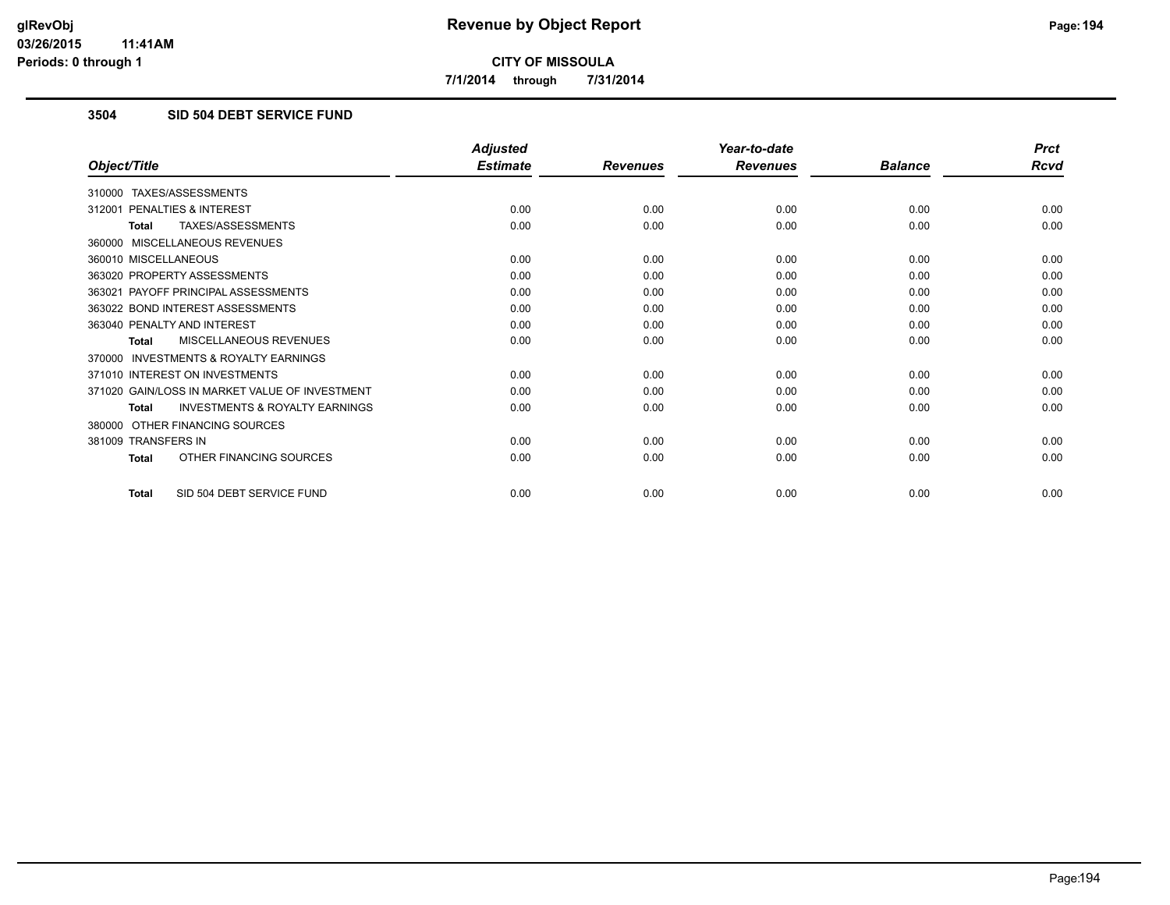**7/1/2014 through 7/31/2014**

# **3504 SID 504 DEBT SERVICE FUND**

|                                                           | <b>Adjusted</b> |                 | Year-to-date    |                | <b>Prct</b> |
|-----------------------------------------------------------|-----------------|-----------------|-----------------|----------------|-------------|
| Object/Title                                              | <b>Estimate</b> | <b>Revenues</b> | <b>Revenues</b> | <b>Balance</b> | <b>Rcvd</b> |
| 310000 TAXES/ASSESSMENTS                                  |                 |                 |                 |                |             |
| 312001 PENALTIES & INTEREST                               | 0.00            | 0.00            | 0.00            | 0.00           | 0.00        |
| TAXES/ASSESSMENTS<br><b>Total</b>                         | 0.00            | 0.00            | 0.00            | 0.00           | 0.00        |
| 360000 MISCELLANEOUS REVENUES                             |                 |                 |                 |                |             |
| 360010 MISCELLANEOUS                                      | 0.00            | 0.00            | 0.00            | 0.00           | 0.00        |
| 363020 PROPERTY ASSESSMENTS                               | 0.00            | 0.00            | 0.00            | 0.00           | 0.00        |
| 363021 PAYOFF PRINCIPAL ASSESSMENTS                       | 0.00            | 0.00            | 0.00            | 0.00           | 0.00        |
| 363022 BOND INTEREST ASSESSMENTS                          | 0.00            | 0.00            | 0.00            | 0.00           | 0.00        |
| 363040 PENALTY AND INTEREST                               | 0.00            | 0.00            | 0.00            | 0.00           | 0.00        |
| MISCELLANEOUS REVENUES<br><b>Total</b>                    | 0.00            | 0.00            | 0.00            | 0.00           | 0.00        |
| <b>INVESTMENTS &amp; ROYALTY EARNINGS</b><br>370000       |                 |                 |                 |                |             |
| 371010 INTEREST ON INVESTMENTS                            | 0.00            | 0.00            | 0.00            | 0.00           | 0.00        |
| 371020 GAIN/LOSS IN MARKET VALUE OF INVESTMENT            | 0.00            | 0.00            | 0.00            | 0.00           | 0.00        |
| <b>INVESTMENTS &amp; ROYALTY EARNINGS</b><br><b>Total</b> | 0.00            | 0.00            | 0.00            | 0.00           | 0.00        |
| OTHER FINANCING SOURCES<br>380000                         |                 |                 |                 |                |             |
| 381009 TRANSFERS IN                                       | 0.00            | 0.00            | 0.00            | 0.00           | 0.00        |
| OTHER FINANCING SOURCES<br><b>Total</b>                   | 0.00            | 0.00            | 0.00            | 0.00           | 0.00        |
| SID 504 DEBT SERVICE FUND<br><b>Total</b>                 | 0.00            | 0.00            | 0.00            | 0.00           | 0.00        |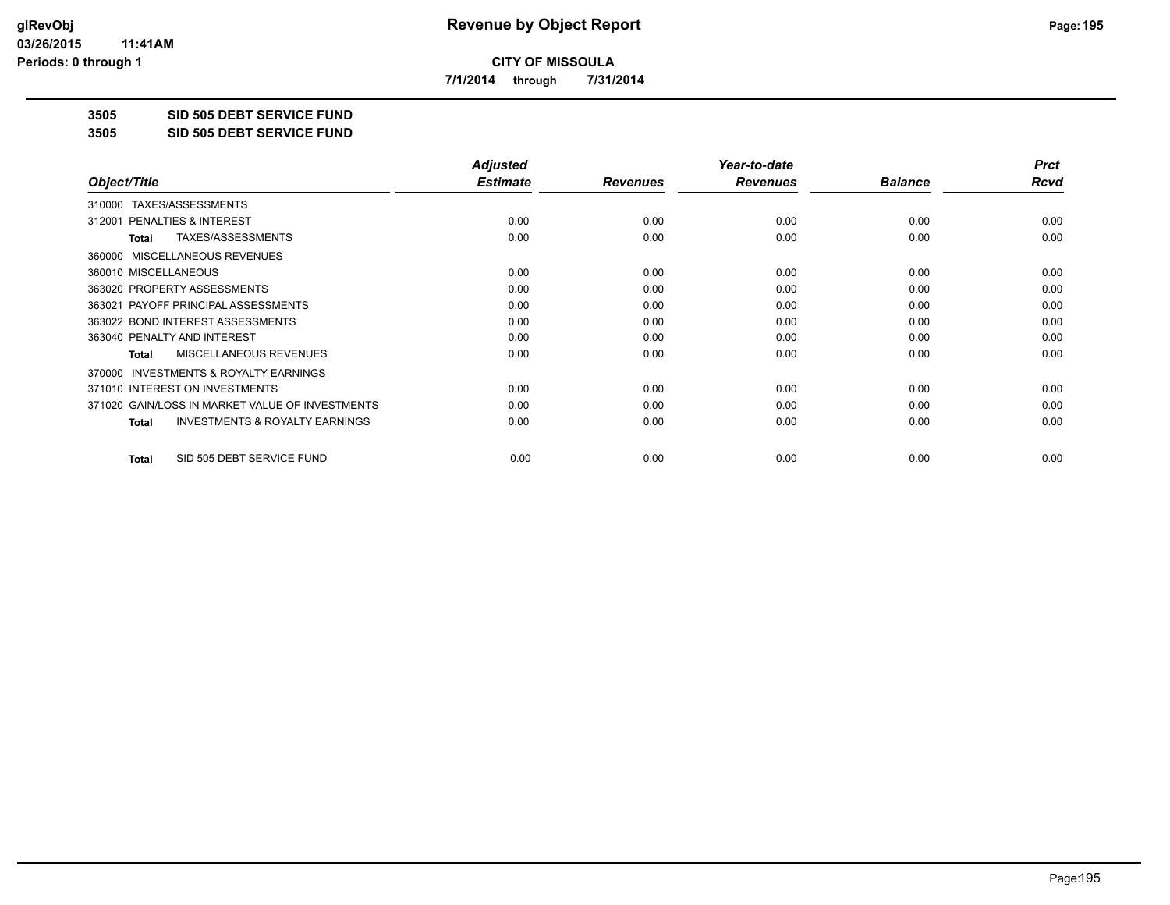**7/1/2014 through 7/31/2014**

**3505 SID 505 DEBT SERVICE FUND**

**3505 SID 505 DEBT SERVICE FUND**

|                                                           | <b>Adjusted</b> |                 | Year-to-date    |                | <b>Prct</b> |
|-----------------------------------------------------------|-----------------|-----------------|-----------------|----------------|-------------|
| Object/Title                                              | <b>Estimate</b> | <b>Revenues</b> | <b>Revenues</b> | <b>Balance</b> | Rcvd        |
| TAXES/ASSESSMENTS<br>310000                               |                 |                 |                 |                |             |
| 312001 PENALTIES & INTEREST                               | 0.00            | 0.00            | 0.00            | 0.00           | 0.00        |
| TAXES/ASSESSMENTS<br>Total                                | 0.00            | 0.00            | 0.00            | 0.00           | 0.00        |
| MISCELLANEOUS REVENUES<br>360000                          |                 |                 |                 |                |             |
| 360010 MISCELLANEOUS                                      | 0.00            | 0.00            | 0.00            | 0.00           | 0.00        |
| 363020 PROPERTY ASSESSMENTS                               | 0.00            | 0.00            | 0.00            | 0.00           | 0.00        |
| 363021 PAYOFF PRINCIPAL ASSESSMENTS                       | 0.00            | 0.00            | 0.00            | 0.00           | 0.00        |
| 363022 BOND INTEREST ASSESSMENTS                          | 0.00            | 0.00            | 0.00            | 0.00           | 0.00        |
| 363040 PENALTY AND INTEREST                               | 0.00            | 0.00            | 0.00            | 0.00           | 0.00        |
| <b>MISCELLANEOUS REVENUES</b><br><b>Total</b>             | 0.00            | 0.00            | 0.00            | 0.00           | 0.00        |
| 370000 INVESTMENTS & ROYALTY EARNINGS                     |                 |                 |                 |                |             |
| 371010 INTEREST ON INVESTMENTS                            | 0.00            | 0.00            | 0.00            | 0.00           | 0.00        |
| 371020 GAIN/LOSS IN MARKET VALUE OF INVESTMENTS           | 0.00            | 0.00            | 0.00            | 0.00           | 0.00        |
| <b>INVESTMENTS &amp; ROYALTY EARNINGS</b><br><b>Total</b> | 0.00            | 0.00            | 0.00            | 0.00           | 0.00        |
| SID 505 DEBT SERVICE FUND<br><b>Total</b>                 | 0.00            | 0.00            | 0.00            | 0.00           | 0.00        |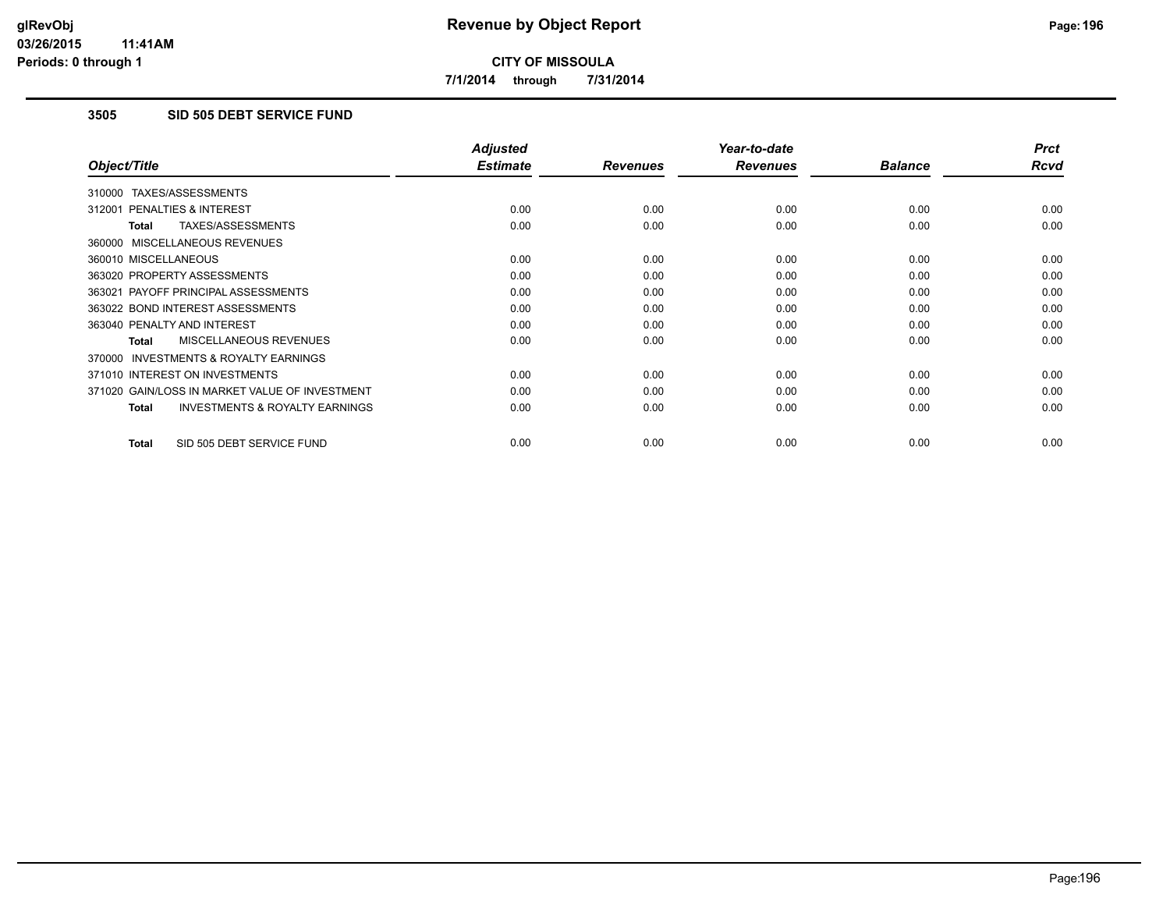**7/1/2014 through 7/31/2014**

# **3505 SID 505 DEBT SERVICE FUND**

|                                                           | <b>Adjusted</b> |                 | Year-to-date    |                | <b>Prct</b> |
|-----------------------------------------------------------|-----------------|-----------------|-----------------|----------------|-------------|
| Object/Title                                              | <b>Estimate</b> | <b>Revenues</b> | <b>Revenues</b> | <b>Balance</b> | <b>Rcvd</b> |
| 310000 TAXES/ASSESSMENTS                                  |                 |                 |                 |                |             |
| 312001 PENALTIES & INTEREST                               | 0.00            | 0.00            | 0.00            | 0.00           | 0.00        |
| TAXES/ASSESSMENTS<br><b>Total</b>                         | 0.00            | 0.00            | 0.00            | 0.00           | 0.00        |
| 360000 MISCELLANEOUS REVENUES                             |                 |                 |                 |                |             |
| 360010 MISCELLANEOUS                                      | 0.00            | 0.00            | 0.00            | 0.00           | 0.00        |
| 363020 PROPERTY ASSESSMENTS                               | 0.00            | 0.00            | 0.00            | 0.00           | 0.00        |
| 363021 PAYOFF PRINCIPAL ASSESSMENTS                       | 0.00            | 0.00            | 0.00            | 0.00           | 0.00        |
| 363022 BOND INTEREST ASSESSMENTS                          | 0.00            | 0.00            | 0.00            | 0.00           | 0.00        |
| 363040 PENALTY AND INTEREST                               | 0.00            | 0.00            | 0.00            | 0.00           | 0.00        |
| MISCELLANEOUS REVENUES<br>Total                           | 0.00            | 0.00            | 0.00            | 0.00           | 0.00        |
| <b>INVESTMENTS &amp; ROYALTY EARNINGS</b><br>370000       |                 |                 |                 |                |             |
| 371010 INTEREST ON INVESTMENTS                            | 0.00            | 0.00            | 0.00            | 0.00           | 0.00        |
| 371020 GAIN/LOSS IN MARKET VALUE OF INVESTMENT            | 0.00            | 0.00            | 0.00            | 0.00           | 0.00        |
| <b>INVESTMENTS &amp; ROYALTY EARNINGS</b><br><b>Total</b> | 0.00            | 0.00            | 0.00            | 0.00           | 0.00        |
|                                                           |                 |                 |                 |                |             |
| SID 505 DEBT SERVICE FUND<br><b>Total</b>                 | 0.00            | 0.00            | 0.00            | 0.00           | 0.00        |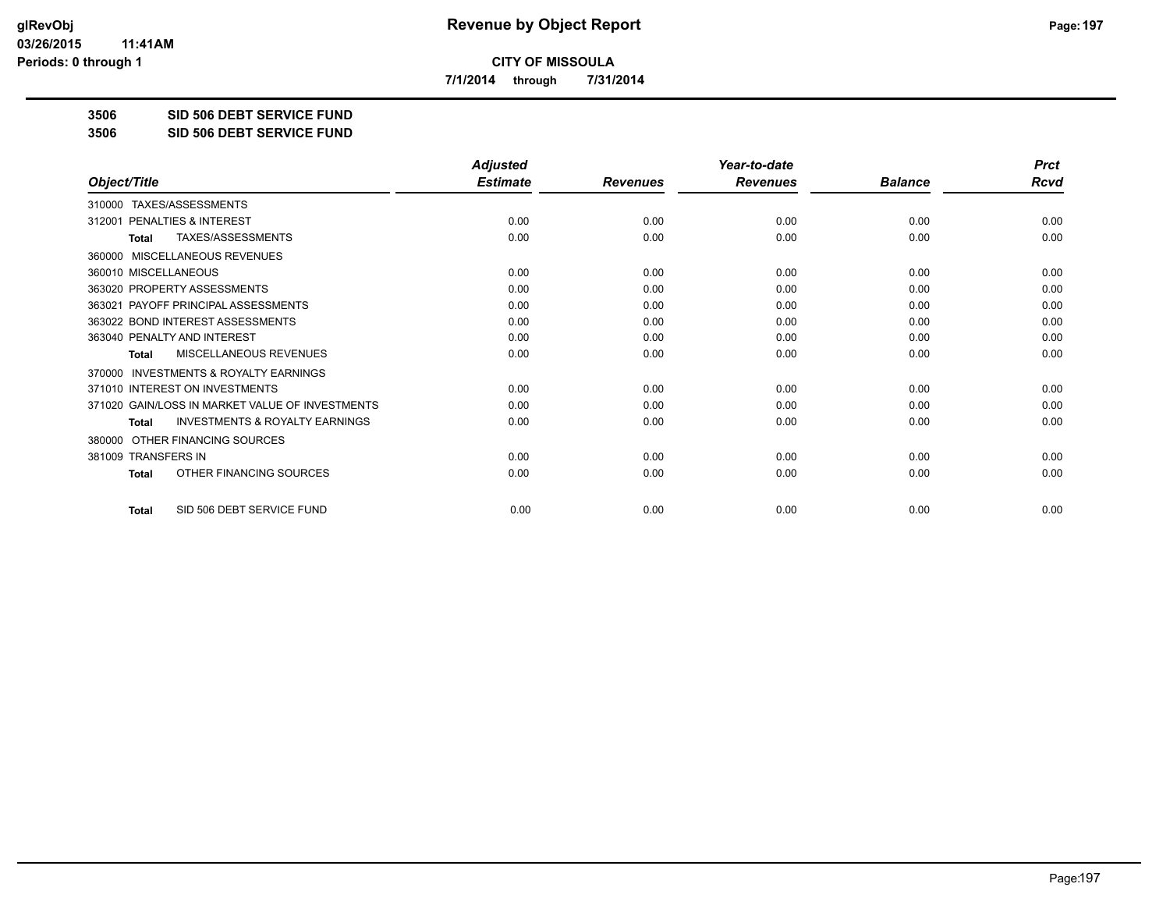**7/1/2014 through 7/31/2014**

**3506 SID 506 DEBT SERVICE FUND**

**3506 SID 506 DEBT SERVICE FUND**

|                                                           | <b>Adjusted</b> |                 | Year-to-date    |                | <b>Prct</b> |
|-----------------------------------------------------------|-----------------|-----------------|-----------------|----------------|-------------|
| Object/Title                                              | <b>Estimate</b> | <b>Revenues</b> | <b>Revenues</b> | <b>Balance</b> | <b>Rcvd</b> |
| TAXES/ASSESSMENTS<br>310000                               |                 |                 |                 |                |             |
| 312001 PENALTIES & INTEREST                               | 0.00            | 0.00            | 0.00            | 0.00           | 0.00        |
| TAXES/ASSESSMENTS<br><b>Total</b>                         | 0.00            | 0.00            | 0.00            | 0.00           | 0.00        |
| MISCELLANEOUS REVENUES<br>360000                          |                 |                 |                 |                |             |
| 360010 MISCELLANEOUS                                      | 0.00            | 0.00            | 0.00            | 0.00           | 0.00        |
| 363020 PROPERTY ASSESSMENTS                               | 0.00            | 0.00            | 0.00            | 0.00           | 0.00        |
| 363021 PAYOFF PRINCIPAL ASSESSMENTS                       | 0.00            | 0.00            | 0.00            | 0.00           | 0.00        |
| 363022 BOND INTEREST ASSESSMENTS                          | 0.00            | 0.00            | 0.00            | 0.00           | 0.00        |
| 363040 PENALTY AND INTEREST                               | 0.00            | 0.00            | 0.00            | 0.00           | 0.00        |
| MISCELLANEOUS REVENUES<br><b>Total</b>                    | 0.00            | 0.00            | 0.00            | 0.00           | 0.00        |
| <b>INVESTMENTS &amp; ROYALTY EARNINGS</b><br>370000       |                 |                 |                 |                |             |
| 371010 INTEREST ON INVESTMENTS                            | 0.00            | 0.00            | 0.00            | 0.00           | 0.00        |
| 371020 GAIN/LOSS IN MARKET VALUE OF INVESTMENTS           | 0.00            | 0.00            | 0.00            | 0.00           | 0.00        |
| <b>INVESTMENTS &amp; ROYALTY EARNINGS</b><br><b>Total</b> | 0.00            | 0.00            | 0.00            | 0.00           | 0.00        |
| OTHER FINANCING SOURCES<br>380000                         |                 |                 |                 |                |             |
| 381009 TRANSFERS IN                                       | 0.00            | 0.00            | 0.00            | 0.00           | 0.00        |
| OTHER FINANCING SOURCES<br><b>Total</b>                   | 0.00            | 0.00            | 0.00            | 0.00           | 0.00        |
| SID 506 DEBT SERVICE FUND<br><b>Total</b>                 | 0.00            | 0.00            | 0.00            | 0.00           | 0.00        |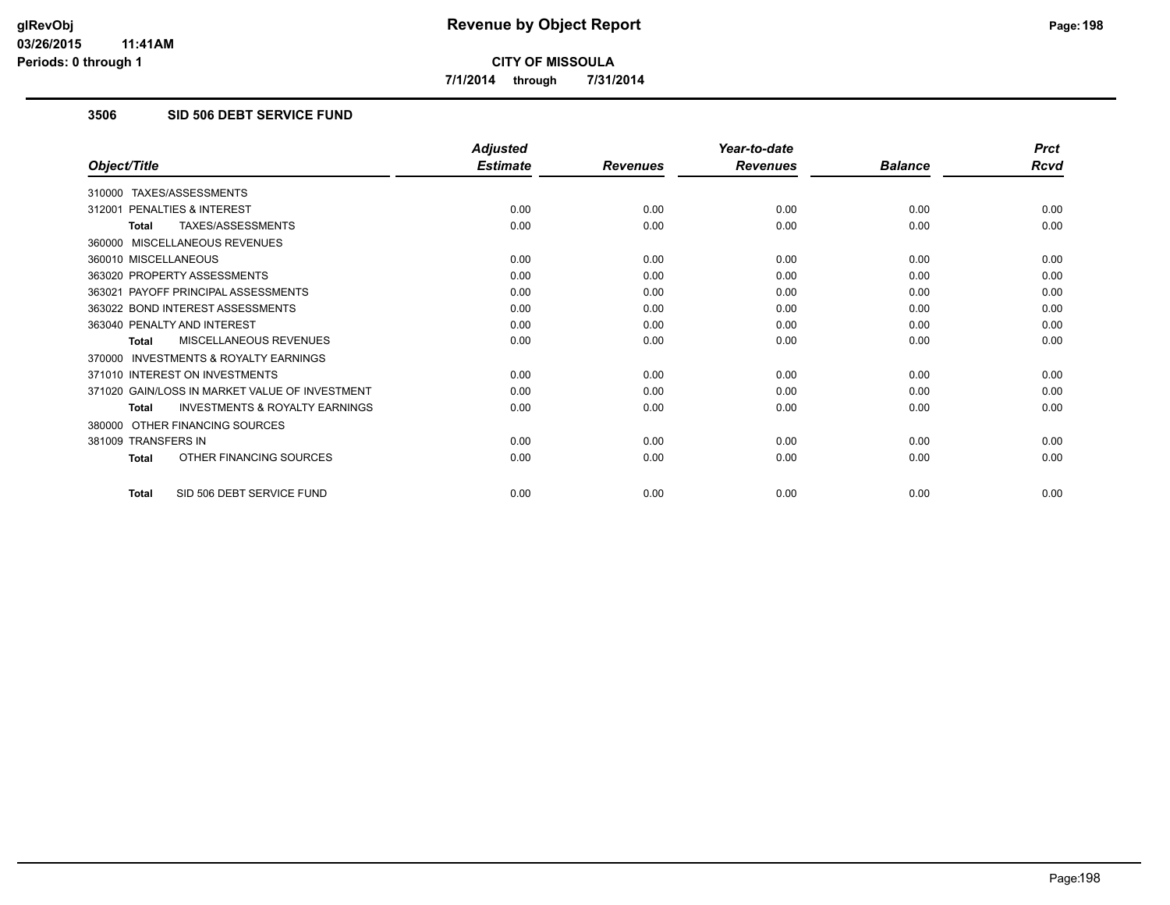**7/1/2014 through 7/31/2014**

# **3506 SID 506 DEBT SERVICE FUND**

|                                                           | <b>Adjusted</b> |                 | Year-to-date    |                | <b>Prct</b> |
|-----------------------------------------------------------|-----------------|-----------------|-----------------|----------------|-------------|
| Object/Title                                              | <b>Estimate</b> | <b>Revenues</b> | <b>Revenues</b> | <b>Balance</b> | <b>Rcvd</b> |
| 310000 TAXES/ASSESSMENTS                                  |                 |                 |                 |                |             |
| 312001 PENALTIES & INTEREST                               | 0.00            | 0.00            | 0.00            | 0.00           | 0.00        |
| TAXES/ASSESSMENTS<br><b>Total</b>                         | 0.00            | 0.00            | 0.00            | 0.00           | 0.00        |
| 360000 MISCELLANEOUS REVENUES                             |                 |                 |                 |                |             |
| 360010 MISCELLANEOUS                                      | 0.00            | 0.00            | 0.00            | 0.00           | 0.00        |
| 363020 PROPERTY ASSESSMENTS                               | 0.00            | 0.00            | 0.00            | 0.00           | 0.00        |
| 363021 PAYOFF PRINCIPAL ASSESSMENTS                       | 0.00            | 0.00            | 0.00            | 0.00           | 0.00        |
| 363022 BOND INTEREST ASSESSMENTS                          | 0.00            | 0.00            | 0.00            | 0.00           | 0.00        |
| 363040 PENALTY AND INTEREST                               | 0.00            | 0.00            | 0.00            | 0.00           | 0.00        |
| MISCELLANEOUS REVENUES<br>Total                           | 0.00            | 0.00            | 0.00            | 0.00           | 0.00        |
| 370000 INVESTMENTS & ROYALTY EARNINGS                     |                 |                 |                 |                |             |
| 371010 INTEREST ON INVESTMENTS                            | 0.00            | 0.00            | 0.00            | 0.00           | 0.00        |
| 371020 GAIN/LOSS IN MARKET VALUE OF INVESTMENT            | 0.00            | 0.00            | 0.00            | 0.00           | 0.00        |
| <b>INVESTMENTS &amp; ROYALTY EARNINGS</b><br><b>Total</b> | 0.00            | 0.00            | 0.00            | 0.00           | 0.00        |
| 380000 OTHER FINANCING SOURCES                            |                 |                 |                 |                |             |
| 381009 TRANSFERS IN                                       | 0.00            | 0.00            | 0.00            | 0.00           | 0.00        |
| OTHER FINANCING SOURCES<br><b>Total</b>                   | 0.00            | 0.00            | 0.00            | 0.00           | 0.00        |
| SID 506 DEBT SERVICE FUND<br><b>Total</b>                 | 0.00            | 0.00            | 0.00            | 0.00           | 0.00        |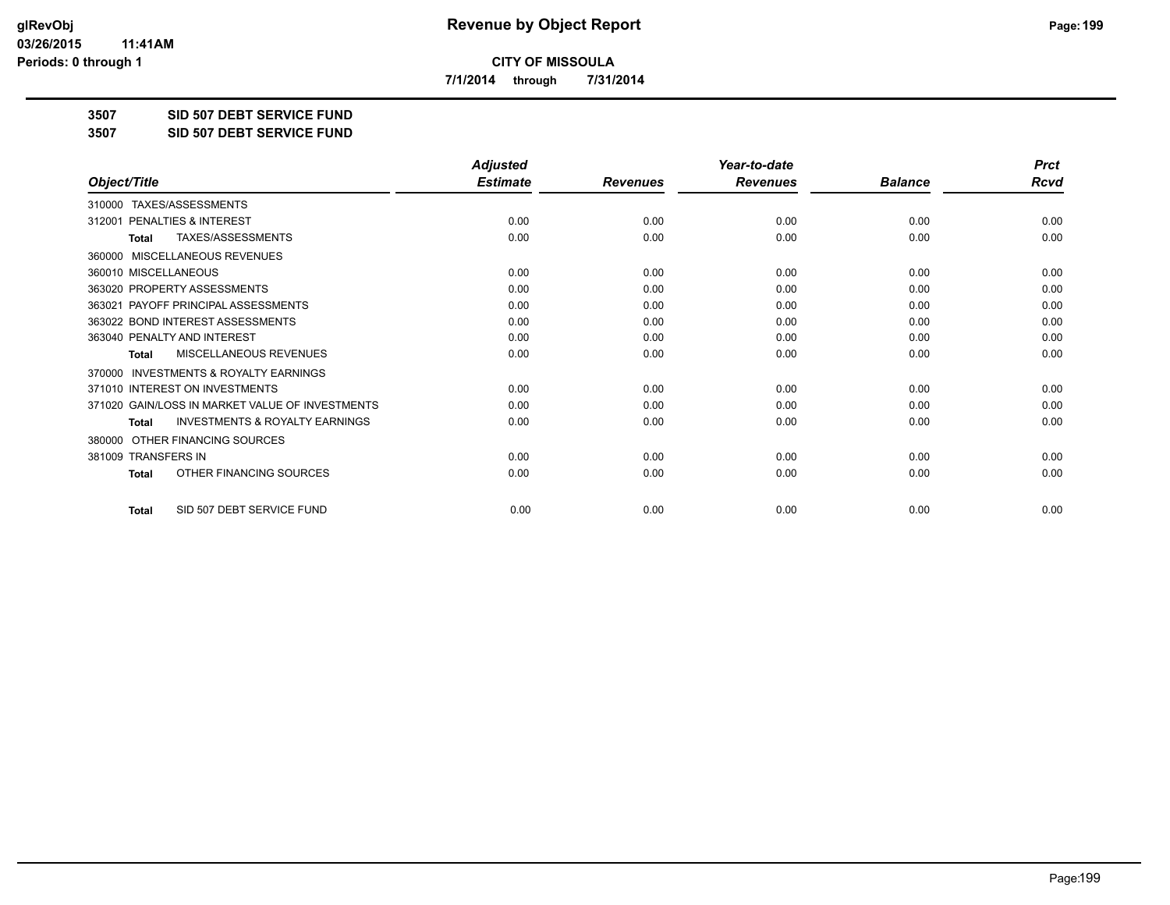**7/1/2014 through 7/31/2014**

**3507 SID 507 DEBT SERVICE FUND**

**3507 SID 507 DEBT SERVICE FUND**

|                                                           | <b>Adjusted</b> |                 | Year-to-date    |                | <b>Prct</b> |
|-----------------------------------------------------------|-----------------|-----------------|-----------------|----------------|-------------|
| Object/Title                                              | <b>Estimate</b> | <b>Revenues</b> | <b>Revenues</b> | <b>Balance</b> | <b>Rcvd</b> |
| TAXES/ASSESSMENTS<br>310000                               |                 |                 |                 |                |             |
| 312001 PENALTIES & INTEREST                               | 0.00            | 0.00            | 0.00            | 0.00           | 0.00        |
| TAXES/ASSESSMENTS<br><b>Total</b>                         | 0.00            | 0.00            | 0.00            | 0.00           | 0.00        |
| MISCELLANEOUS REVENUES<br>360000                          |                 |                 |                 |                |             |
| 360010 MISCELLANEOUS                                      | 0.00            | 0.00            | 0.00            | 0.00           | 0.00        |
| 363020 PROPERTY ASSESSMENTS                               | 0.00            | 0.00            | 0.00            | 0.00           | 0.00        |
| 363021 PAYOFF PRINCIPAL ASSESSMENTS                       | 0.00            | 0.00            | 0.00            | 0.00           | 0.00        |
| 363022 BOND INTEREST ASSESSMENTS                          | 0.00            | 0.00            | 0.00            | 0.00           | 0.00        |
| 363040 PENALTY AND INTEREST                               | 0.00            | 0.00            | 0.00            | 0.00           | 0.00        |
| <b>MISCELLANEOUS REVENUES</b><br><b>Total</b>             | 0.00            | 0.00            | 0.00            | 0.00           | 0.00        |
| <b>INVESTMENTS &amp; ROYALTY EARNINGS</b><br>370000       |                 |                 |                 |                |             |
| 371010 INTEREST ON INVESTMENTS                            | 0.00            | 0.00            | 0.00            | 0.00           | 0.00        |
| 371020 GAIN/LOSS IN MARKET VALUE OF INVESTMENTS           | 0.00            | 0.00            | 0.00            | 0.00           | 0.00        |
| <b>INVESTMENTS &amp; ROYALTY EARNINGS</b><br><b>Total</b> | 0.00            | 0.00            | 0.00            | 0.00           | 0.00        |
| OTHER FINANCING SOURCES<br>380000                         |                 |                 |                 |                |             |
| 381009 TRANSFERS IN                                       | 0.00            | 0.00            | 0.00            | 0.00           | 0.00        |
| OTHER FINANCING SOURCES<br>Total                          | 0.00            | 0.00            | 0.00            | 0.00           | 0.00        |
| SID 507 DEBT SERVICE FUND<br><b>Total</b>                 | 0.00            | 0.00            | 0.00            | 0.00           | 0.00        |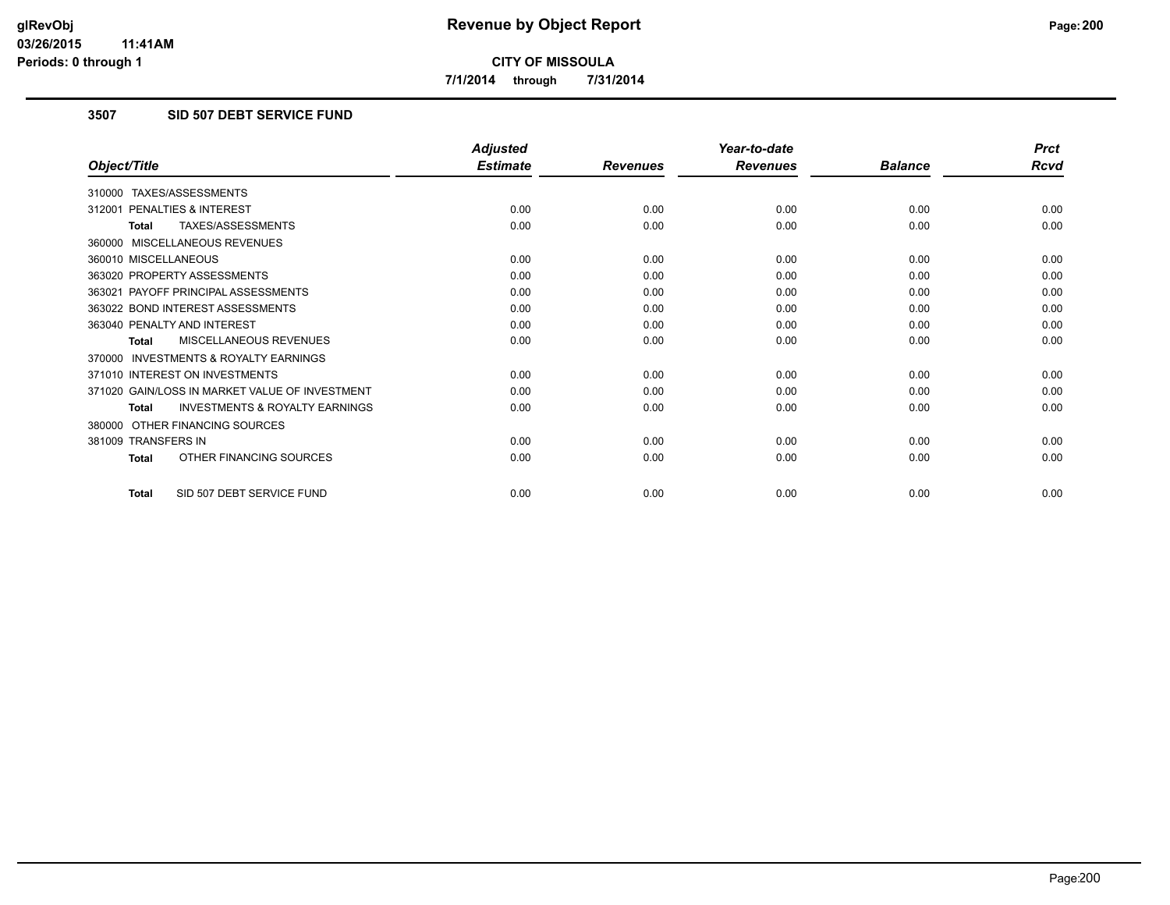**7/1/2014 through 7/31/2014**

# **3507 SID 507 DEBT SERVICE FUND**

|                                                           | <b>Adjusted</b> |                 | Year-to-date    |                | <b>Prct</b> |
|-----------------------------------------------------------|-----------------|-----------------|-----------------|----------------|-------------|
| Object/Title                                              | <b>Estimate</b> | <b>Revenues</b> | <b>Revenues</b> | <b>Balance</b> | <b>Rcvd</b> |
| 310000 TAXES/ASSESSMENTS                                  |                 |                 |                 |                |             |
| 312001 PENALTIES & INTEREST                               | 0.00            | 0.00            | 0.00            | 0.00           | 0.00        |
| <b>TAXES/ASSESSMENTS</b><br><b>Total</b>                  | 0.00            | 0.00            | 0.00            | 0.00           | 0.00        |
| 360000 MISCELLANEOUS REVENUES                             |                 |                 |                 |                |             |
| 360010 MISCELLANEOUS                                      | 0.00            | 0.00            | 0.00            | 0.00           | 0.00        |
| 363020 PROPERTY ASSESSMENTS                               | 0.00            | 0.00            | 0.00            | 0.00           | 0.00        |
| 363021 PAYOFF PRINCIPAL ASSESSMENTS                       | 0.00            | 0.00            | 0.00            | 0.00           | 0.00        |
| 363022 BOND INTEREST ASSESSMENTS                          | 0.00            | 0.00            | 0.00            | 0.00           | 0.00        |
| 363040 PENALTY AND INTEREST                               | 0.00            | 0.00            | 0.00            | 0.00           | 0.00        |
| MISCELLANEOUS REVENUES<br><b>Total</b>                    | 0.00            | 0.00            | 0.00            | 0.00           | 0.00        |
| <b>INVESTMENTS &amp; ROYALTY EARNINGS</b><br>370000       |                 |                 |                 |                |             |
| 371010 INTEREST ON INVESTMENTS                            | 0.00            | 0.00            | 0.00            | 0.00           | 0.00        |
| 371020 GAIN/LOSS IN MARKET VALUE OF INVESTMENT            | 0.00            | 0.00            | 0.00            | 0.00           | 0.00        |
| <b>INVESTMENTS &amp; ROYALTY EARNINGS</b><br><b>Total</b> | 0.00            | 0.00            | 0.00            | 0.00           | 0.00        |
| 380000 OTHER FINANCING SOURCES                            |                 |                 |                 |                |             |
| 381009 TRANSFERS IN                                       | 0.00            | 0.00            | 0.00            | 0.00           | 0.00        |
| OTHER FINANCING SOURCES<br><b>Total</b>                   | 0.00            | 0.00            | 0.00            | 0.00           | 0.00        |
| SID 507 DEBT SERVICE FUND<br><b>Total</b>                 | 0.00            | 0.00            | 0.00            | 0.00           | 0.00        |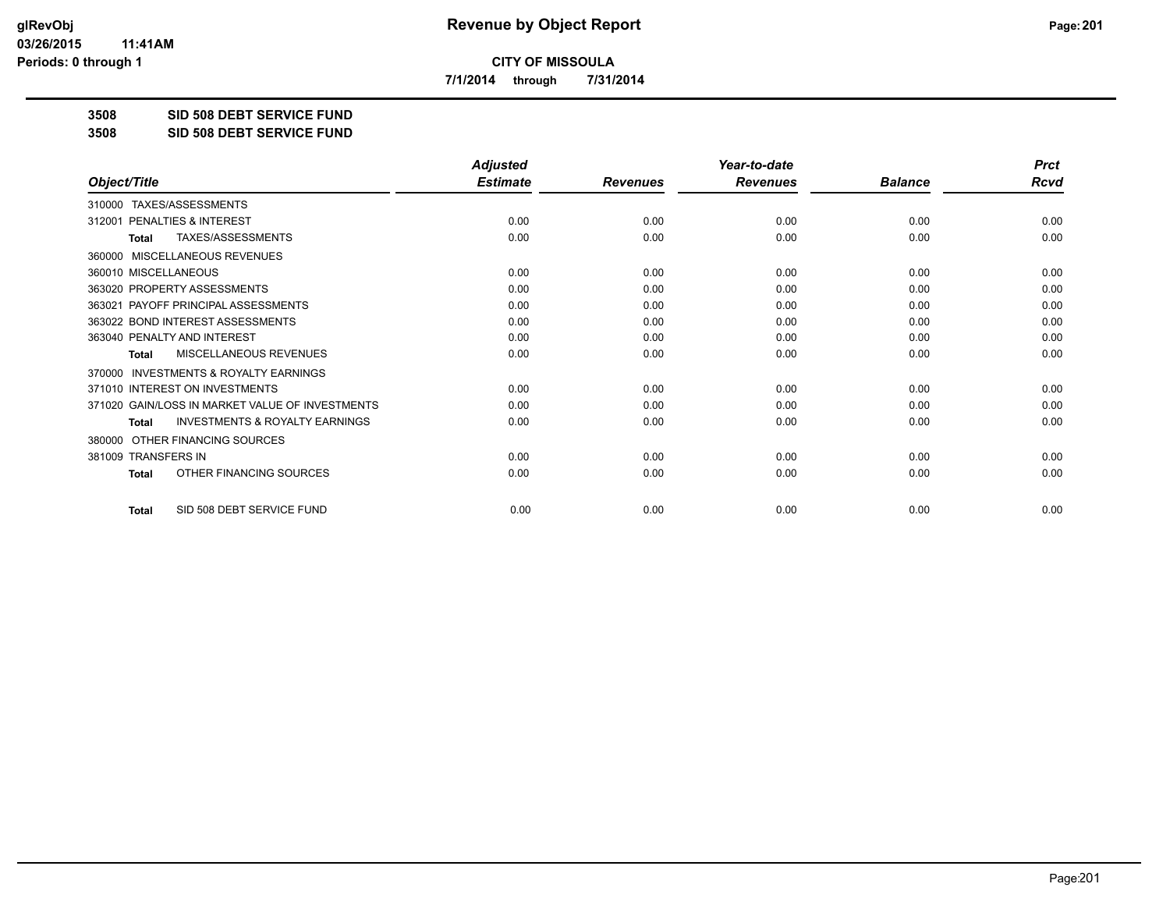**7/1/2014 through 7/31/2014**

**3508 SID 508 DEBT SERVICE FUND**

**3508 SID 508 DEBT SERVICE FUND**

|                                                           | <b>Adjusted</b> |                 | Year-to-date    |                | <b>Prct</b> |
|-----------------------------------------------------------|-----------------|-----------------|-----------------|----------------|-------------|
| Object/Title                                              | <b>Estimate</b> | <b>Revenues</b> | <b>Revenues</b> | <b>Balance</b> | Rcvd        |
| TAXES/ASSESSMENTS<br>310000                               |                 |                 |                 |                |             |
| PENALTIES & INTEREST<br>312001                            | 0.00            | 0.00            | 0.00            | 0.00           | 0.00        |
| TAXES/ASSESSMENTS<br>Total                                | 0.00            | 0.00            | 0.00            | 0.00           | 0.00        |
| MISCELLANEOUS REVENUES<br>360000                          |                 |                 |                 |                |             |
| 360010 MISCELLANEOUS                                      | 0.00            | 0.00            | 0.00            | 0.00           | 0.00        |
| 363020 PROPERTY ASSESSMENTS                               | 0.00            | 0.00            | 0.00            | 0.00           | 0.00        |
| 363021 PAYOFF PRINCIPAL ASSESSMENTS                       | 0.00            | 0.00            | 0.00            | 0.00           | 0.00        |
| 363022 BOND INTEREST ASSESSMENTS                          | 0.00            | 0.00            | 0.00            | 0.00           | 0.00        |
| 363040 PENALTY AND INTEREST                               | 0.00            | 0.00            | 0.00            | 0.00           | 0.00        |
| <b>MISCELLANEOUS REVENUES</b><br><b>Total</b>             | 0.00            | 0.00            | 0.00            | 0.00           | 0.00        |
| <b>INVESTMENTS &amp; ROYALTY EARNINGS</b><br>370000       |                 |                 |                 |                |             |
| 371010 INTEREST ON INVESTMENTS                            | 0.00            | 0.00            | 0.00            | 0.00           | 0.00        |
| 371020 GAIN/LOSS IN MARKET VALUE OF INVESTMENTS           | 0.00            | 0.00            | 0.00            | 0.00           | 0.00        |
| <b>INVESTMENTS &amp; ROYALTY EARNINGS</b><br><b>Total</b> | 0.00            | 0.00            | 0.00            | 0.00           | 0.00        |
| OTHER FINANCING SOURCES<br>380000                         |                 |                 |                 |                |             |
| 381009 TRANSFERS IN                                       | 0.00            | 0.00            | 0.00            | 0.00           | 0.00        |
| OTHER FINANCING SOURCES<br><b>Total</b>                   | 0.00            | 0.00            | 0.00            | 0.00           | 0.00        |
| SID 508 DEBT SERVICE FUND<br><b>Total</b>                 | 0.00            | 0.00            | 0.00            | 0.00           | 0.00        |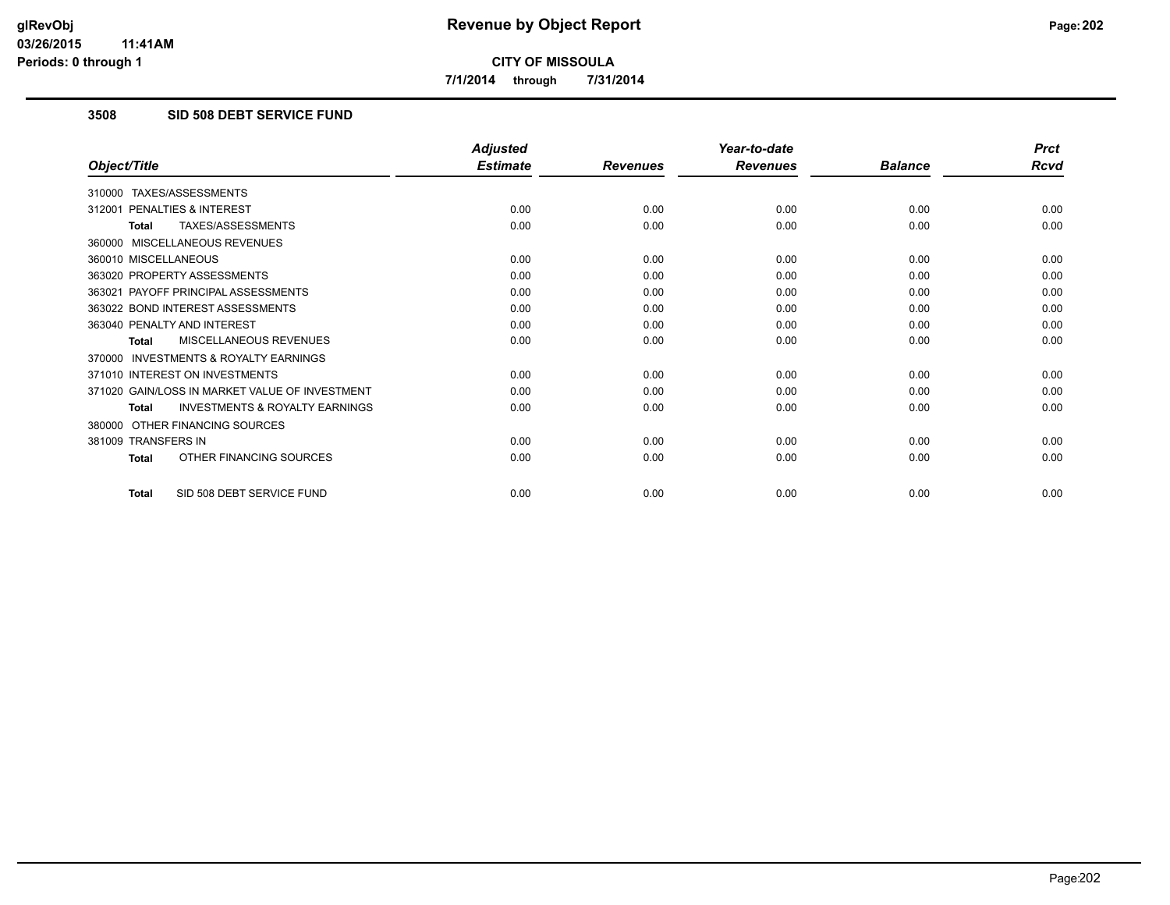**7/1/2014 through 7/31/2014**

#### **3508 SID 508 DEBT SERVICE FUND**

|                                                           | <b>Adjusted</b> |                 | Year-to-date    |                | <b>Prct</b> |
|-----------------------------------------------------------|-----------------|-----------------|-----------------|----------------|-------------|
| Object/Title                                              | <b>Estimate</b> | <b>Revenues</b> | <b>Revenues</b> | <b>Balance</b> | <b>Rcvd</b> |
| 310000 TAXES/ASSESSMENTS                                  |                 |                 |                 |                |             |
| 312001 PENALTIES & INTEREST                               | 0.00            | 0.00            | 0.00            | 0.00           | 0.00        |
| <b>TAXES/ASSESSMENTS</b><br><b>Total</b>                  | 0.00            | 0.00            | 0.00            | 0.00           | 0.00        |
| 360000 MISCELLANEOUS REVENUES                             |                 |                 |                 |                |             |
| 360010 MISCELLANEOUS                                      | 0.00            | 0.00            | 0.00            | 0.00           | 0.00        |
| 363020 PROPERTY ASSESSMENTS                               | 0.00            | 0.00            | 0.00            | 0.00           | 0.00        |
| 363021 PAYOFF PRINCIPAL ASSESSMENTS                       | 0.00            | 0.00            | 0.00            | 0.00           | 0.00        |
| 363022 BOND INTEREST ASSESSMENTS                          | 0.00            | 0.00            | 0.00            | 0.00           | 0.00        |
| 363040 PENALTY AND INTEREST                               | 0.00            | 0.00            | 0.00            | 0.00           | 0.00        |
| MISCELLANEOUS REVENUES<br><b>Total</b>                    | 0.00            | 0.00            | 0.00            | 0.00           | 0.00        |
| <b>INVESTMENTS &amp; ROYALTY EARNINGS</b><br>370000       |                 |                 |                 |                |             |
| 371010 INTEREST ON INVESTMENTS                            | 0.00            | 0.00            | 0.00            | 0.00           | 0.00        |
| 371020 GAIN/LOSS IN MARKET VALUE OF INVESTMENT            | 0.00            | 0.00            | 0.00            | 0.00           | 0.00        |
| <b>INVESTMENTS &amp; ROYALTY EARNINGS</b><br><b>Total</b> | 0.00            | 0.00            | 0.00            | 0.00           | 0.00        |
| 380000 OTHER FINANCING SOURCES                            |                 |                 |                 |                |             |
| 381009 TRANSFERS IN                                       | 0.00            | 0.00            | 0.00            | 0.00           | 0.00        |
| OTHER FINANCING SOURCES<br><b>Total</b>                   | 0.00            | 0.00            | 0.00            | 0.00           | 0.00        |
| SID 508 DEBT SERVICE FUND<br><b>Total</b>                 | 0.00            | 0.00            | 0.00            | 0.00           | 0.00        |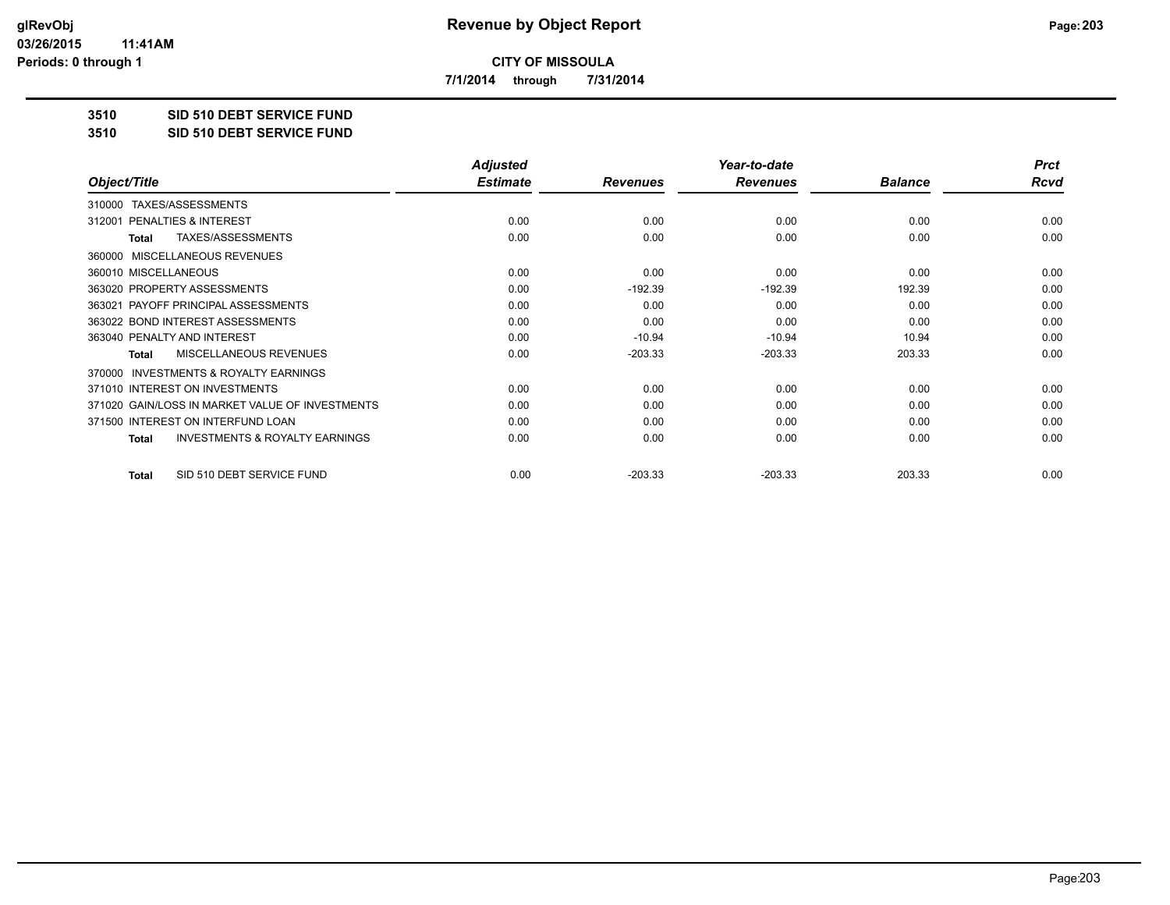**7/1/2014 through 7/31/2014**

**3510 SID 510 DEBT SERVICE FUND**

**3510 SID 510 DEBT SERVICE FUND**

|                                                           | <b>Adjusted</b> |                 | Year-to-date    |                | <b>Prct</b> |
|-----------------------------------------------------------|-----------------|-----------------|-----------------|----------------|-------------|
| Object/Title                                              | <b>Estimate</b> | <b>Revenues</b> | <b>Revenues</b> | <b>Balance</b> | <b>Rcvd</b> |
| TAXES/ASSESSMENTS<br>310000                               |                 |                 |                 |                |             |
| PENALTIES & INTEREST<br>312001                            | 0.00            | 0.00            | 0.00            | 0.00           | 0.00        |
| TAXES/ASSESSMENTS<br><b>Total</b>                         | 0.00            | 0.00            | 0.00            | 0.00           | 0.00        |
| MISCELLANEOUS REVENUES<br>360000                          |                 |                 |                 |                |             |
| 360010 MISCELLANEOUS                                      | 0.00            | 0.00            | 0.00            | 0.00           | 0.00        |
| 363020 PROPERTY ASSESSMENTS                               | 0.00            | $-192.39$       | $-192.39$       | 192.39         | 0.00        |
| 363021 PAYOFF PRINCIPAL ASSESSMENTS                       | 0.00            | 0.00            | 0.00            | 0.00           | 0.00        |
| 363022 BOND INTEREST ASSESSMENTS                          | 0.00            | 0.00            | 0.00            | 0.00           | 0.00        |
| 363040 PENALTY AND INTEREST                               | 0.00            | $-10.94$        | $-10.94$        | 10.94          | 0.00        |
| <b>MISCELLANEOUS REVENUES</b><br><b>Total</b>             | 0.00            | $-203.33$       | $-203.33$       | 203.33         | 0.00        |
| <b>INVESTMENTS &amp; ROYALTY EARNINGS</b><br>370000       |                 |                 |                 |                |             |
| 371010 INTEREST ON INVESTMENTS                            | 0.00            | 0.00            | 0.00            | 0.00           | 0.00        |
| 371020 GAIN/LOSS IN MARKET VALUE OF INVESTMENTS           | 0.00            | 0.00            | 0.00            | 0.00           | 0.00        |
| 371500 INTEREST ON INTERFUND LOAN                         | 0.00            | 0.00            | 0.00            | 0.00           | 0.00        |
| <b>INVESTMENTS &amp; ROYALTY EARNINGS</b><br><b>Total</b> | 0.00            | 0.00            | 0.00            | 0.00           | 0.00        |
| SID 510 DEBT SERVICE FUND<br><b>Total</b>                 | 0.00            | $-203.33$       | $-203.33$       | 203.33         | 0.00        |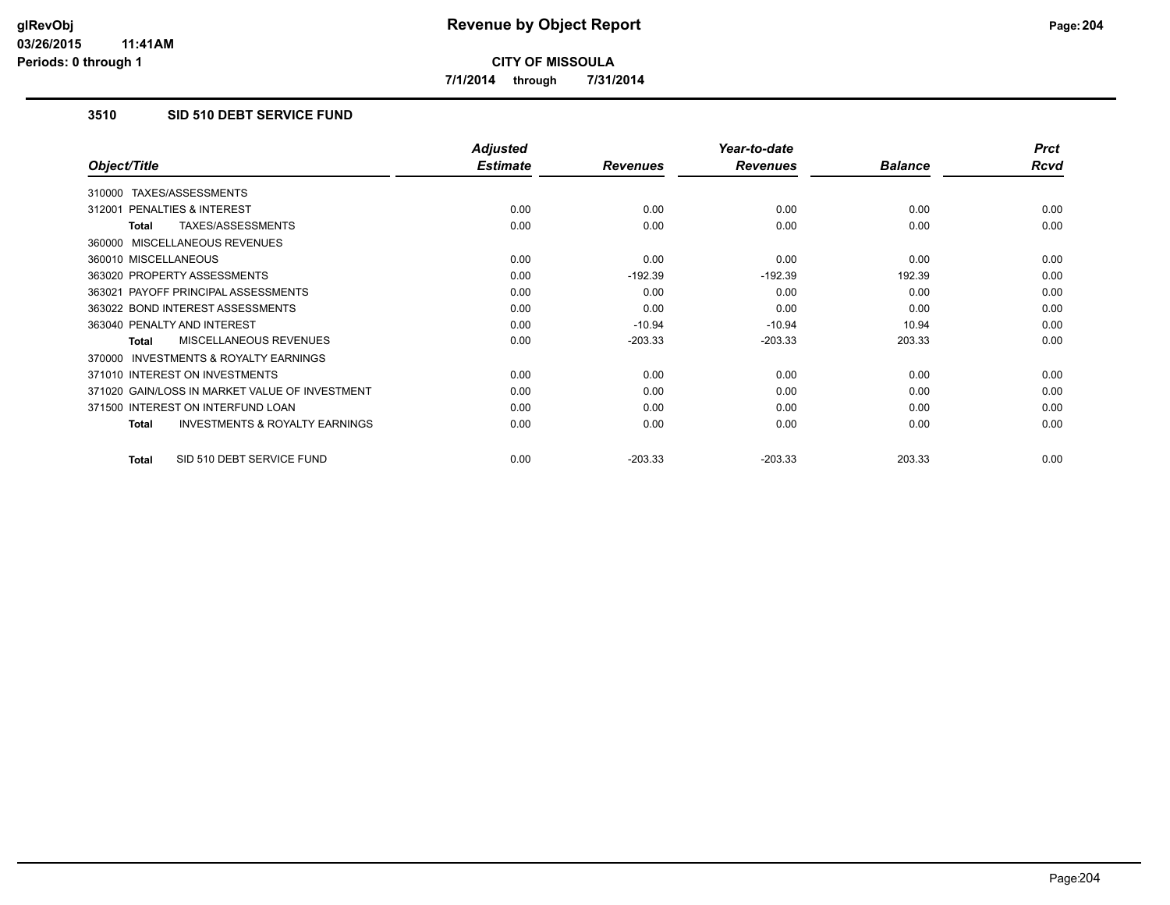**7/1/2014 through 7/31/2014**

# **3510 SID 510 DEBT SERVICE FUND**

|                                                    | <b>Adjusted</b> |                 | Year-to-date    |                | <b>Prct</b> |
|----------------------------------------------------|-----------------|-----------------|-----------------|----------------|-------------|
| Object/Title                                       | <b>Estimate</b> | <b>Revenues</b> | <b>Revenues</b> | <b>Balance</b> | <b>Rcvd</b> |
| TAXES/ASSESSMENTS<br>310000                        |                 |                 |                 |                |             |
| 312001 PENALTIES & INTEREST                        | 0.00            | 0.00            | 0.00            | 0.00           | 0.00        |
| TAXES/ASSESSMENTS<br>Total                         | 0.00            | 0.00            | 0.00            | 0.00           | 0.00        |
| 360000 MISCELLANEOUS REVENUES                      |                 |                 |                 |                |             |
| 360010 MISCELLANEOUS                               | 0.00            | 0.00            | 0.00            | 0.00           | 0.00        |
| 363020 PROPERTY ASSESSMENTS                        | 0.00            | $-192.39$       | $-192.39$       | 192.39         | 0.00        |
| 363021 PAYOFF PRINCIPAL ASSESSMENTS                | 0.00            | 0.00            | 0.00            | 0.00           | 0.00        |
| 363022 BOND INTEREST ASSESSMENTS                   | 0.00            | 0.00            | 0.00            | 0.00           | 0.00        |
| 363040 PENALTY AND INTEREST                        | 0.00            | $-10.94$        | $-10.94$        | 10.94          | 0.00        |
| MISCELLANEOUS REVENUES<br>Total                    | 0.00            | $-203.33$       | $-203.33$       | 203.33         | 0.00        |
| 370000 INVESTMENTS & ROYALTY EARNINGS              |                 |                 |                 |                |             |
| 371010 INTEREST ON INVESTMENTS                     | 0.00            | 0.00            | 0.00            | 0.00           | 0.00        |
| 371020 GAIN/LOSS IN MARKET VALUE OF INVESTMENT     | 0.00            | 0.00            | 0.00            | 0.00           | 0.00        |
| 371500 INTEREST ON INTERFUND LOAN                  | 0.00            | 0.00            | 0.00            | 0.00           | 0.00        |
| <b>INVESTMENTS &amp; ROYALTY EARNINGS</b><br>Total | 0.00            | 0.00            | 0.00            | 0.00           | 0.00        |
| SID 510 DEBT SERVICE FUND<br>Total                 | 0.00            | $-203.33$       | $-203.33$       | 203.33         | 0.00        |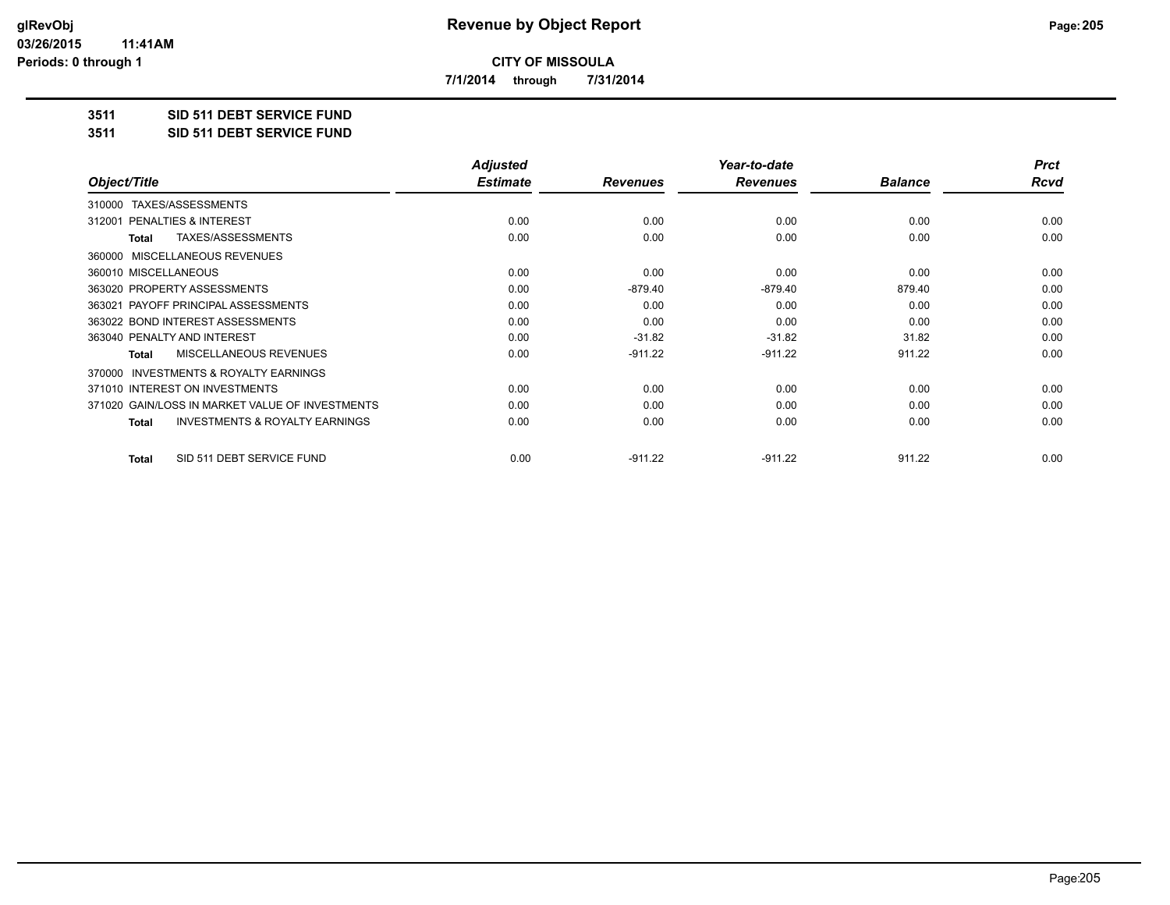**7/1/2014 through 7/31/2014**

# **3511 SID 511 DEBT SERVICE FUND**

**3511 SID 511 DEBT SERVICE FUND**

|                                                           | <b>Adjusted</b> |                 | Year-to-date    |                | <b>Prct</b> |
|-----------------------------------------------------------|-----------------|-----------------|-----------------|----------------|-------------|
| Object/Title                                              | <b>Estimate</b> | <b>Revenues</b> | <b>Revenues</b> | <b>Balance</b> | Rcvd        |
| TAXES/ASSESSMENTS<br>310000                               |                 |                 |                 |                |             |
| 312001 PENALTIES & INTEREST                               | 0.00            | 0.00            | 0.00            | 0.00           | 0.00        |
| TAXES/ASSESSMENTS<br>Total                                | 0.00            | 0.00            | 0.00            | 0.00           | 0.00        |
| MISCELLANEOUS REVENUES<br>360000                          |                 |                 |                 |                |             |
| 360010 MISCELLANEOUS                                      | 0.00            | 0.00            | 0.00            | 0.00           | 0.00        |
| 363020 PROPERTY ASSESSMENTS                               | 0.00            | $-879.40$       | $-879.40$       | 879.40         | 0.00        |
| 363021 PAYOFF PRINCIPAL ASSESSMENTS                       | 0.00            | 0.00            | 0.00            | 0.00           | 0.00        |
| 363022 BOND INTEREST ASSESSMENTS                          | 0.00            | 0.00            | 0.00            | 0.00           | 0.00        |
| 363040 PENALTY AND INTEREST                               | 0.00            | $-31.82$        | $-31.82$        | 31.82          | 0.00        |
| MISCELLANEOUS REVENUES<br>Total                           | 0.00            | $-911.22$       | $-911.22$       | 911.22         | 0.00        |
| <b>INVESTMENTS &amp; ROYALTY EARNINGS</b><br>370000       |                 |                 |                 |                |             |
| 371010 INTEREST ON INVESTMENTS                            | 0.00            | 0.00            | 0.00            | 0.00           | 0.00        |
| 371020 GAIN/LOSS IN MARKET VALUE OF INVESTMENTS           | 0.00            | 0.00            | 0.00            | 0.00           | 0.00        |
| <b>INVESTMENTS &amp; ROYALTY EARNINGS</b><br><b>Total</b> | 0.00            | 0.00            | 0.00            | 0.00           | 0.00        |
| SID 511 DEBT SERVICE FUND<br>Total                        | 0.00            | $-911.22$       | $-911.22$       | 911.22         | 0.00        |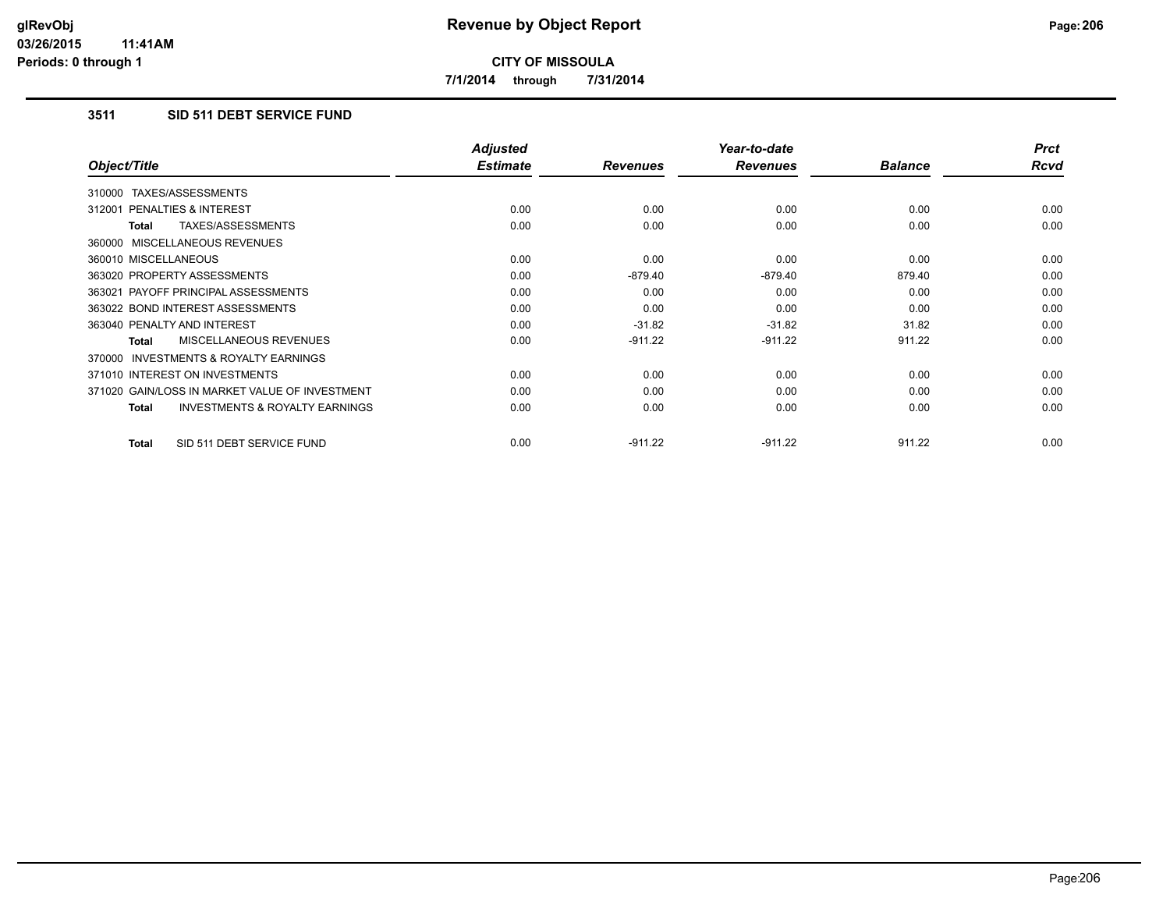**7/1/2014 through 7/31/2014**

# **3511 SID 511 DEBT SERVICE FUND**

|                                                           | <b>Adjusted</b> |                 | Year-to-date    |                | <b>Prct</b> |
|-----------------------------------------------------------|-----------------|-----------------|-----------------|----------------|-------------|
| Object/Title                                              | <b>Estimate</b> | <b>Revenues</b> | <b>Revenues</b> | <b>Balance</b> | Rcvd        |
| 310000 TAXES/ASSESSMENTS                                  |                 |                 |                 |                |             |
| 312001 PENALTIES & INTEREST                               | 0.00            | 0.00            | 0.00            | 0.00           | 0.00        |
| TAXES/ASSESSMENTS<br><b>Total</b>                         | 0.00            | 0.00            | 0.00            | 0.00           | 0.00        |
| 360000 MISCELLANEOUS REVENUES                             |                 |                 |                 |                |             |
| 360010 MISCELLANEOUS                                      | 0.00            | 0.00            | 0.00            | 0.00           | 0.00        |
| 363020 PROPERTY ASSESSMENTS                               | 0.00            | $-879.40$       | $-879.40$       | 879.40         | 0.00        |
| 363021 PAYOFF PRINCIPAL ASSESSMENTS                       | 0.00            | 0.00            | 0.00            | 0.00           | 0.00        |
| 363022 BOND INTEREST ASSESSMENTS                          | 0.00            | 0.00            | 0.00            | 0.00           | 0.00        |
| 363040 PENALTY AND INTEREST                               | 0.00            | $-31.82$        | $-31.82$        | 31.82          | 0.00        |
| <b>MISCELLANEOUS REVENUES</b><br>Total                    | 0.00            | $-911.22$       | $-911.22$       | 911.22         | 0.00        |
| <b>INVESTMENTS &amp; ROYALTY EARNINGS</b><br>370000       |                 |                 |                 |                |             |
| 371010 INTEREST ON INVESTMENTS                            | 0.00            | 0.00            | 0.00            | 0.00           | 0.00        |
| 371020 GAIN/LOSS IN MARKET VALUE OF INVESTMENT            | 0.00            | 0.00            | 0.00            | 0.00           | 0.00        |
| <b>INVESTMENTS &amp; ROYALTY EARNINGS</b><br><b>Total</b> | 0.00            | 0.00            | 0.00            | 0.00           | 0.00        |
| SID 511 DEBT SERVICE FUND<br><b>Total</b>                 | 0.00            | $-911.22$       | $-911.22$       | 911.22         | 0.00        |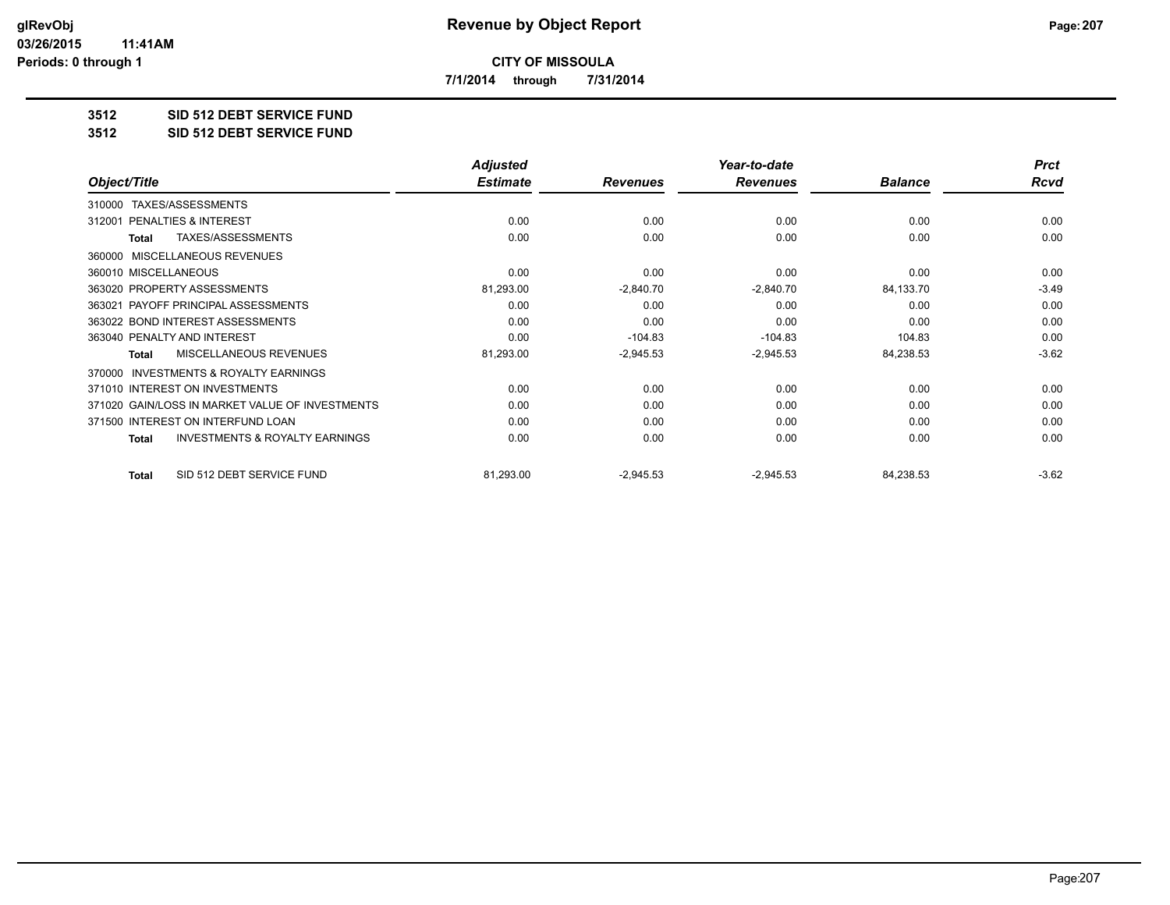**7/1/2014 through 7/31/2014**

**3512 SID 512 DEBT SERVICE FUND**

**3512 SID 512 DEBT SERVICE FUND**

|                                                     | <b>Adjusted</b> |                 | Year-to-date    |                | <b>Prct</b> |
|-----------------------------------------------------|-----------------|-----------------|-----------------|----------------|-------------|
| Object/Title                                        | <b>Estimate</b> | <b>Revenues</b> | <b>Revenues</b> | <b>Balance</b> | <b>Rcvd</b> |
| TAXES/ASSESSMENTS<br>310000                         |                 |                 |                 |                |             |
| PENALTIES & INTEREST<br>312001                      | 0.00            | 0.00            | 0.00            | 0.00           | 0.00        |
| TAXES/ASSESSMENTS<br><b>Total</b>                   | 0.00            | 0.00            | 0.00            | 0.00           | 0.00        |
| <b>MISCELLANEOUS REVENUES</b><br>360000             |                 |                 |                 |                |             |
| 360010 MISCELLANEOUS                                | 0.00            | 0.00            | 0.00            | 0.00           | 0.00        |
| 363020 PROPERTY ASSESSMENTS                         | 81,293.00       | $-2,840.70$     | $-2,840.70$     | 84,133.70      | $-3.49$     |
| 363021 PAYOFF PRINCIPAL ASSESSMENTS                 | 0.00            | 0.00            | 0.00            | 0.00           | 0.00        |
| 363022 BOND INTEREST ASSESSMENTS                    | 0.00            | 0.00            | 0.00            | 0.00           | 0.00        |
| 363040 PENALTY AND INTEREST                         | 0.00            | $-104.83$       | $-104.83$       | 104.83         | 0.00        |
| MISCELLANEOUS REVENUES<br><b>Total</b>              | 81,293.00       | $-2,945.53$     | $-2,945.53$     | 84,238.53      | $-3.62$     |
| <b>INVESTMENTS &amp; ROYALTY EARNINGS</b><br>370000 |                 |                 |                 |                |             |
| 371010 INTEREST ON INVESTMENTS                      | 0.00            | 0.00            | 0.00            | 0.00           | 0.00        |
| 371020 GAIN/LOSS IN MARKET VALUE OF INVESTMENTS     | 0.00            | 0.00            | 0.00            | 0.00           | 0.00        |
| 371500 INTEREST ON INTERFUND LOAN                   | 0.00            | 0.00            | 0.00            | 0.00           | 0.00        |
| <b>INVESTMENTS &amp; ROYALTY EARNINGS</b><br>Total  | 0.00            | 0.00            | 0.00            | 0.00           | 0.00        |
| SID 512 DEBT SERVICE FUND<br><b>Total</b>           | 81,293.00       | $-2,945.53$     | $-2,945.53$     | 84,238.53      | $-3.62$     |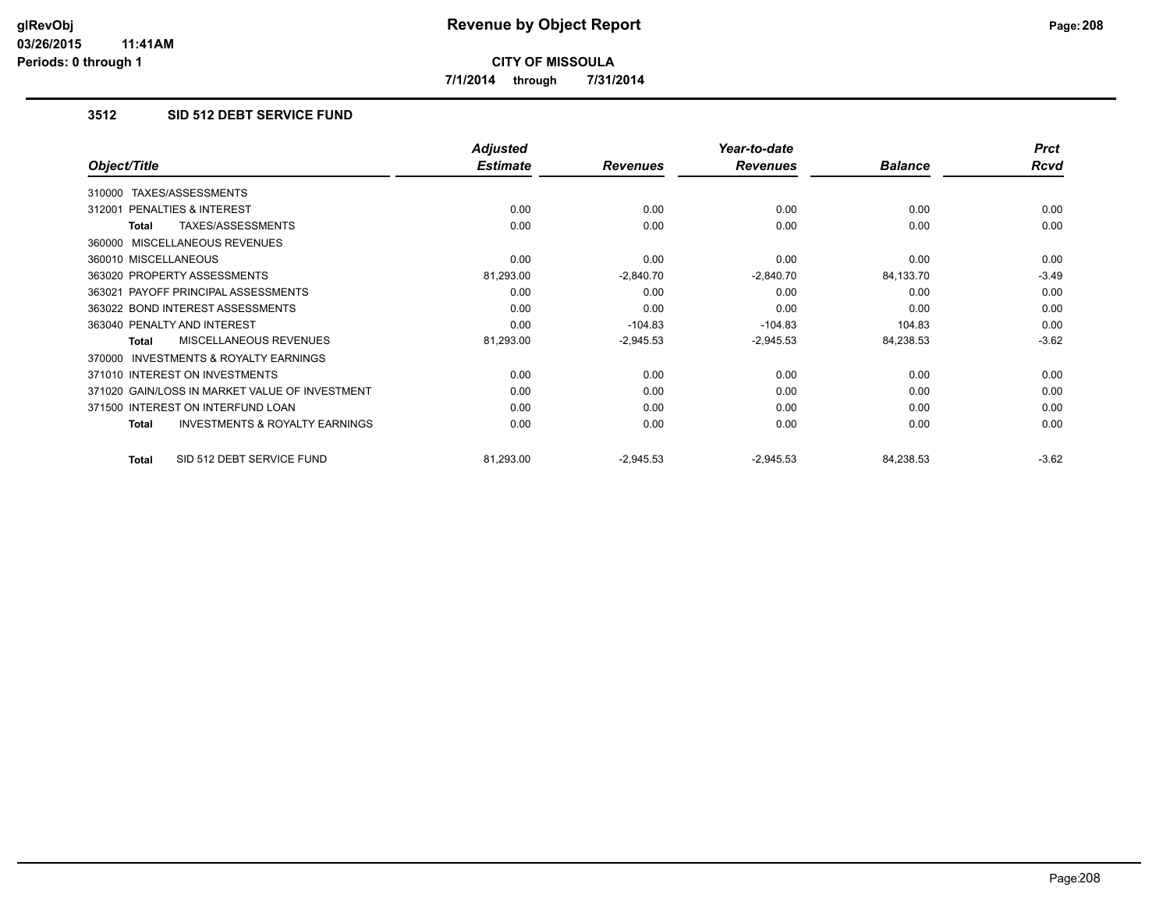**7/1/2014 through 7/31/2014**

# **3512 SID 512 DEBT SERVICE FUND**

|                                                           | <b>Adjusted</b> |                 | Year-to-date    |                | <b>Prct</b> |
|-----------------------------------------------------------|-----------------|-----------------|-----------------|----------------|-------------|
| Object/Title                                              | <b>Estimate</b> | <b>Revenues</b> | <b>Revenues</b> | <b>Balance</b> | <b>Rcvd</b> |
| TAXES/ASSESSMENTS<br>310000                               |                 |                 |                 |                |             |
| 312001 PENALTIES & INTEREST                               | 0.00            | 0.00            | 0.00            | 0.00           | 0.00        |
| TAXES/ASSESSMENTS<br>Total                                | 0.00            | 0.00            | 0.00            | 0.00           | 0.00        |
| 360000 MISCELLANEOUS REVENUES                             |                 |                 |                 |                |             |
| 360010 MISCELLANEOUS                                      | 0.00            | 0.00            | 0.00            | 0.00           | 0.00        |
| 363020 PROPERTY ASSESSMENTS                               | 81,293.00       | $-2,840.70$     | $-2,840.70$     | 84,133.70      | $-3.49$     |
| 363021 PAYOFF PRINCIPAL ASSESSMENTS                       | 0.00            | 0.00            | 0.00            | 0.00           | 0.00        |
| 363022 BOND INTEREST ASSESSMENTS                          | 0.00            | 0.00            | 0.00            | 0.00           | 0.00        |
| 363040 PENALTY AND INTEREST                               | 0.00            | $-104.83$       | $-104.83$       | 104.83         | 0.00        |
| MISCELLANEOUS REVENUES<br>Total                           | 81,293.00       | $-2,945.53$     | $-2,945.53$     | 84,238.53      | $-3.62$     |
| <b>INVESTMENTS &amp; ROYALTY EARNINGS</b><br>370000       |                 |                 |                 |                |             |
| 371010 INTEREST ON INVESTMENTS                            | 0.00            | 0.00            | 0.00            | 0.00           | 0.00        |
| 371020 GAIN/LOSS IN MARKET VALUE OF INVESTMENT            | 0.00            | 0.00            | 0.00            | 0.00           | 0.00        |
| 371500 INTEREST ON INTERFUND LOAN                         | 0.00            | 0.00            | 0.00            | 0.00           | 0.00        |
| <b>INVESTMENTS &amp; ROYALTY EARNINGS</b><br><b>Total</b> | 0.00            | 0.00            | 0.00            | 0.00           | 0.00        |
| SID 512 DEBT SERVICE FUND<br><b>Total</b>                 | 81,293.00       | $-2,945.53$     | $-2,945.53$     | 84,238.53      | $-3.62$     |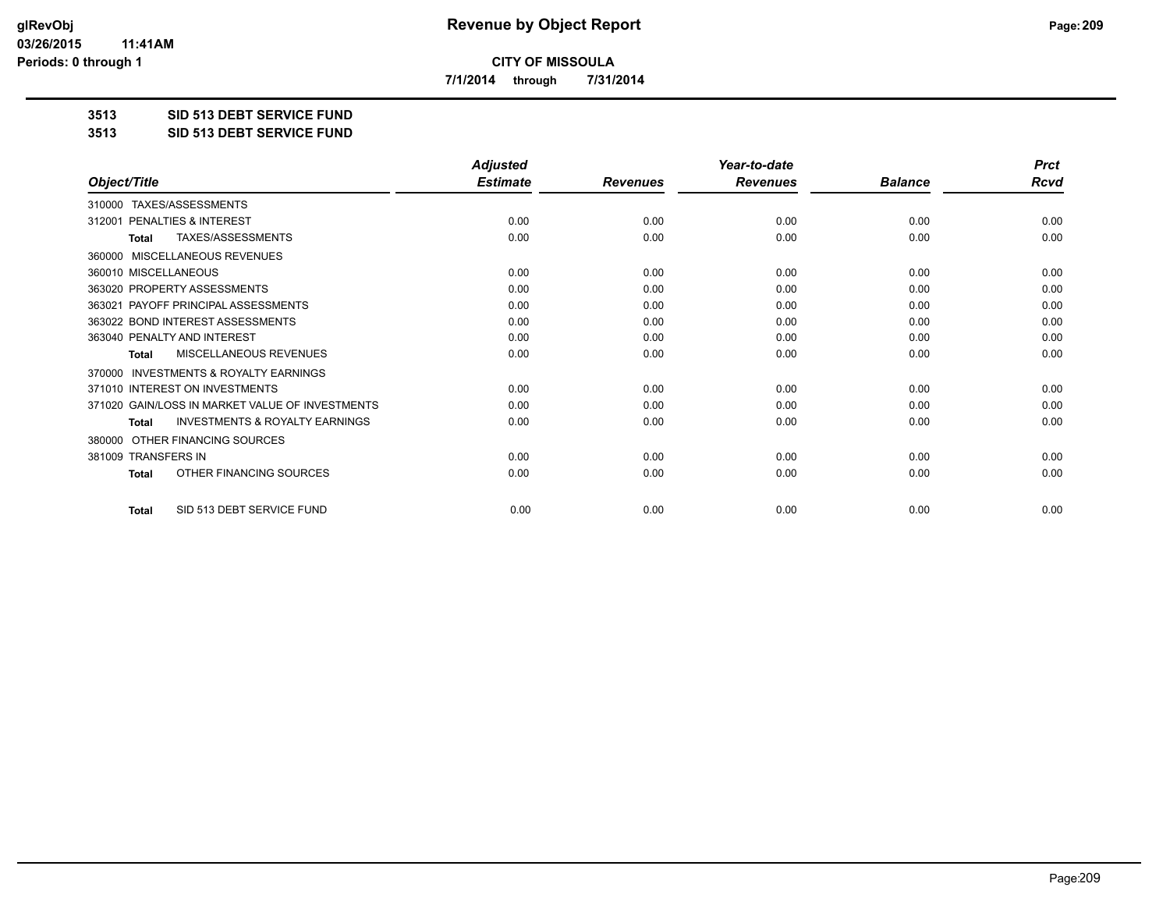**7/1/2014 through 7/31/2014**

**3513 SID 513 DEBT SERVICE FUND**

**3513 SID 513 DEBT SERVICE FUND**

|                                                           | <b>Adjusted</b> |                 | Year-to-date    |                |             |
|-----------------------------------------------------------|-----------------|-----------------|-----------------|----------------|-------------|
| Object/Title                                              | <b>Estimate</b> | <b>Revenues</b> | <b>Revenues</b> | <b>Balance</b> | <b>Rcvd</b> |
| TAXES/ASSESSMENTS<br>310000                               |                 |                 |                 |                |             |
| 312001 PENALTIES & INTEREST                               | 0.00            | 0.00            | 0.00            | 0.00           | 0.00        |
| TAXES/ASSESSMENTS<br><b>Total</b>                         | 0.00            | 0.00            | 0.00            | 0.00           | 0.00        |
| MISCELLANEOUS REVENUES<br>360000                          |                 |                 |                 |                |             |
| 360010 MISCELLANEOUS                                      | 0.00            | 0.00            | 0.00            | 0.00           | 0.00        |
| 363020 PROPERTY ASSESSMENTS                               | 0.00            | 0.00            | 0.00            | 0.00           | 0.00        |
| 363021 PAYOFF PRINCIPAL ASSESSMENTS                       | 0.00            | 0.00            | 0.00            | 0.00           | 0.00        |
| 363022 BOND INTEREST ASSESSMENTS                          | 0.00            | 0.00            | 0.00            | 0.00           | 0.00        |
| 363040 PENALTY AND INTEREST                               | 0.00            | 0.00            | 0.00            | 0.00           | 0.00        |
| MISCELLANEOUS REVENUES<br><b>Total</b>                    | 0.00            | 0.00            | 0.00            | 0.00           | 0.00        |
| <b>INVESTMENTS &amp; ROYALTY EARNINGS</b><br>370000       |                 |                 |                 |                |             |
| 371010 INTEREST ON INVESTMENTS                            | 0.00            | 0.00            | 0.00            | 0.00           | 0.00        |
| 371020 GAIN/LOSS IN MARKET VALUE OF INVESTMENTS           | 0.00            | 0.00            | 0.00            | 0.00           | 0.00        |
| <b>INVESTMENTS &amp; ROYALTY EARNINGS</b><br><b>Total</b> | 0.00            | 0.00            | 0.00            | 0.00           | 0.00        |
| OTHER FINANCING SOURCES<br>380000                         |                 |                 |                 |                |             |
| 381009 TRANSFERS IN                                       | 0.00            | 0.00            | 0.00            | 0.00           | 0.00        |
| OTHER FINANCING SOURCES<br><b>Total</b>                   | 0.00            | 0.00            | 0.00            | 0.00           | 0.00        |
| SID 513 DEBT SERVICE FUND<br><b>Total</b>                 | 0.00            | 0.00            | 0.00            | 0.00           | 0.00        |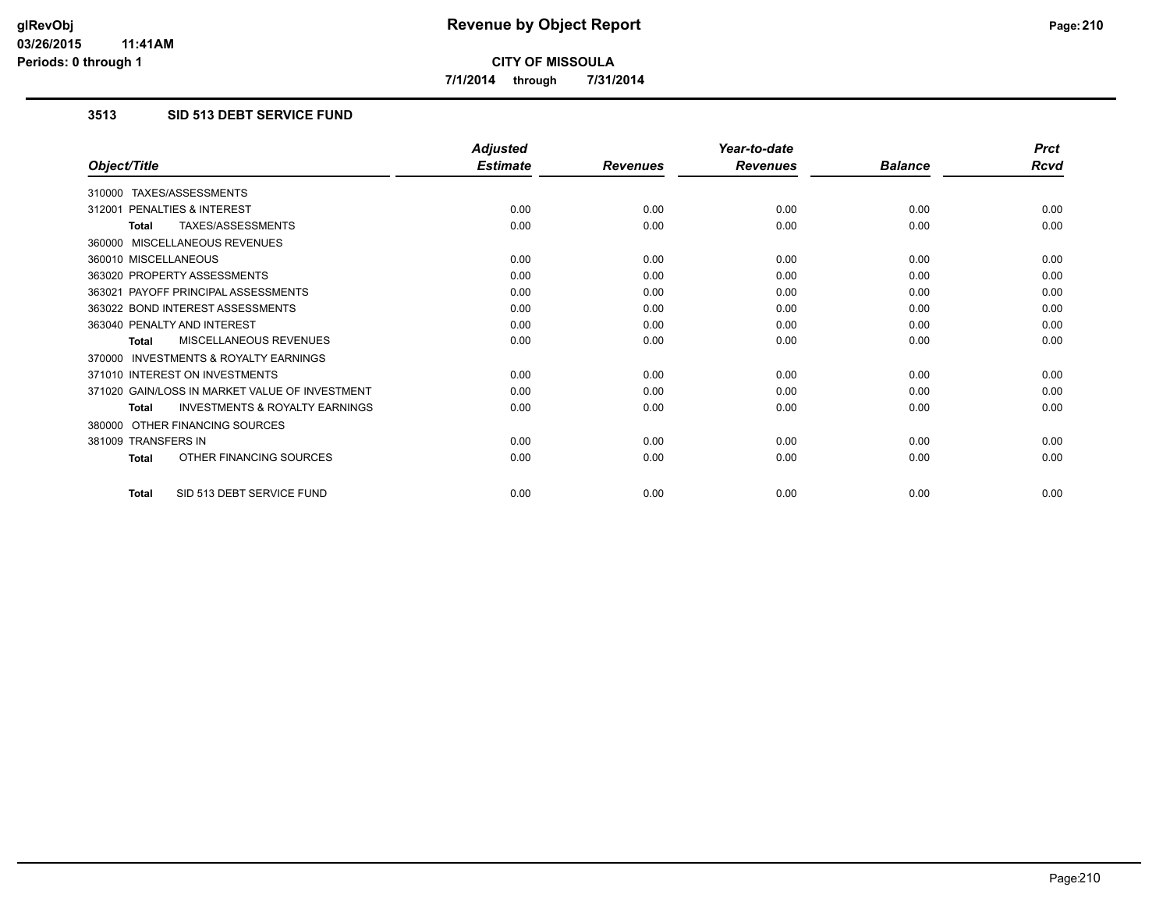**7/1/2014 through 7/31/2014**

# **3513 SID 513 DEBT SERVICE FUND**

|                                                           | <b>Adjusted</b> |                 | Year-to-date    |                | <b>Prct</b> |
|-----------------------------------------------------------|-----------------|-----------------|-----------------|----------------|-------------|
| Object/Title                                              | <b>Estimate</b> | <b>Revenues</b> | <b>Revenues</b> | <b>Balance</b> | <b>Rcvd</b> |
| 310000 TAXES/ASSESSMENTS                                  |                 |                 |                 |                |             |
| PENALTIES & INTEREST<br>312001                            | 0.00            | 0.00            | 0.00            | 0.00           | 0.00        |
| TAXES/ASSESSMENTS<br><b>Total</b>                         | 0.00            | 0.00            | 0.00            | 0.00           | 0.00        |
| 360000 MISCELLANEOUS REVENUES                             |                 |                 |                 |                |             |
| 360010 MISCELLANEOUS                                      | 0.00            | 0.00            | 0.00            | 0.00           | 0.00        |
| 363020 PROPERTY ASSESSMENTS                               | 0.00            | 0.00            | 0.00            | 0.00           | 0.00        |
| 363021 PAYOFF PRINCIPAL ASSESSMENTS                       | 0.00            | 0.00            | 0.00            | 0.00           | 0.00        |
| 363022 BOND INTEREST ASSESSMENTS                          | 0.00            | 0.00            | 0.00            | 0.00           | 0.00        |
| 363040 PENALTY AND INTEREST                               | 0.00            | 0.00            | 0.00            | 0.00           | 0.00        |
| MISCELLANEOUS REVENUES<br><b>Total</b>                    | 0.00            | 0.00            | 0.00            | 0.00           | 0.00        |
| <b>INVESTMENTS &amp; ROYALTY EARNINGS</b><br>370000       |                 |                 |                 |                |             |
| 371010 INTEREST ON INVESTMENTS                            | 0.00            | 0.00            | 0.00            | 0.00           | 0.00        |
| 371020 GAIN/LOSS IN MARKET VALUE OF INVESTMENT            | 0.00            | 0.00            | 0.00            | 0.00           | 0.00        |
| <b>INVESTMENTS &amp; ROYALTY EARNINGS</b><br><b>Total</b> | 0.00            | 0.00            | 0.00            | 0.00           | 0.00        |
| 380000 OTHER FINANCING SOURCES                            |                 |                 |                 |                |             |
| 381009 TRANSFERS IN                                       | 0.00            | 0.00            | 0.00            | 0.00           | 0.00        |
| OTHER FINANCING SOURCES<br><b>Total</b>                   | 0.00            | 0.00            | 0.00            | 0.00           | 0.00        |
| SID 513 DEBT SERVICE FUND<br><b>Total</b>                 | 0.00            | 0.00            | 0.00            | 0.00           | 0.00        |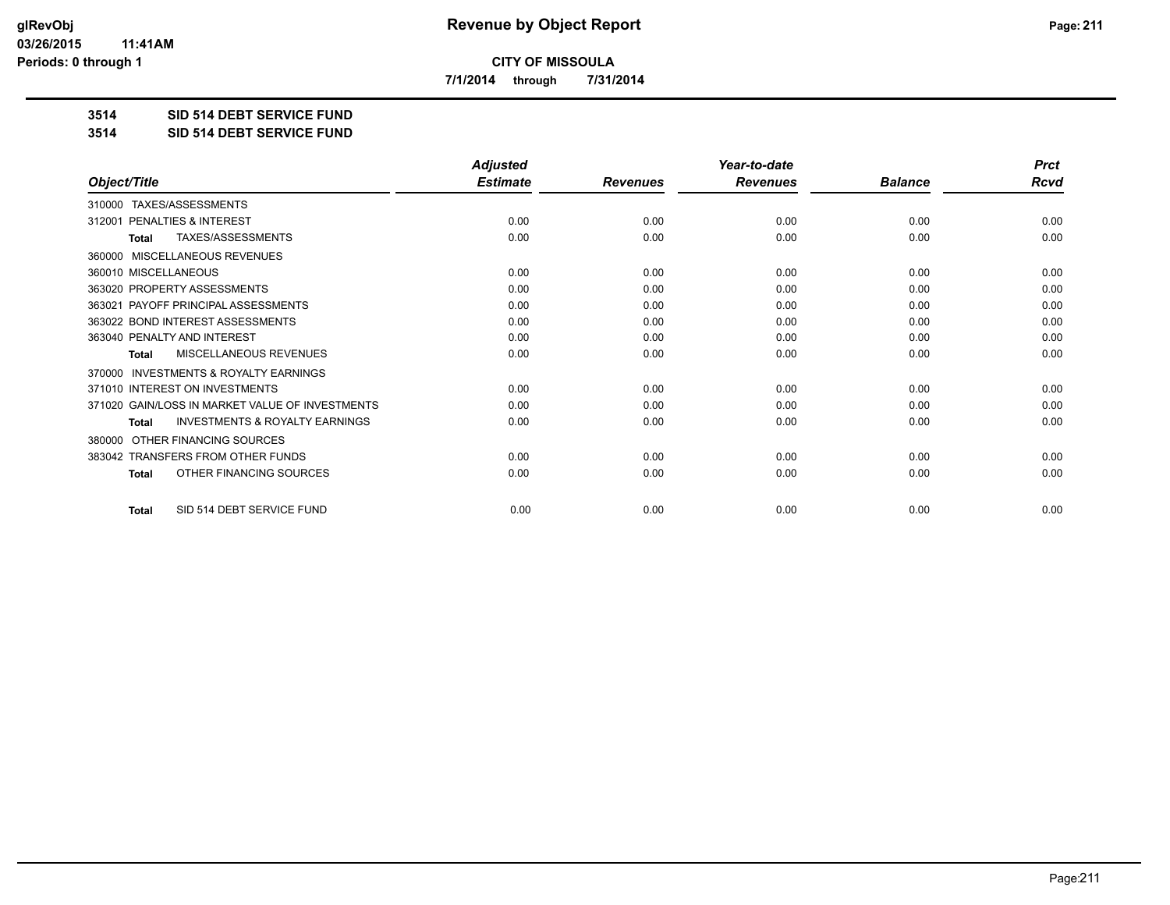**7/1/2014 through 7/31/2014**

**3514 SID 514 DEBT SERVICE FUND**

**3514 SID 514 DEBT SERVICE FUND**

|                                                           | <b>Adjusted</b> |                 | Year-to-date    |                | <b>Prct</b> |
|-----------------------------------------------------------|-----------------|-----------------|-----------------|----------------|-------------|
| Object/Title                                              | <b>Estimate</b> | <b>Revenues</b> | <b>Revenues</b> | <b>Balance</b> | <b>Rcvd</b> |
| TAXES/ASSESSMENTS<br>310000                               |                 |                 |                 |                |             |
| 312001 PENALTIES & INTEREST                               | 0.00            | 0.00            | 0.00            | 0.00           | 0.00        |
| <b>TAXES/ASSESSMENTS</b><br><b>Total</b>                  | 0.00            | 0.00            | 0.00            | 0.00           | 0.00        |
| MISCELLANEOUS REVENUES<br>360000                          |                 |                 |                 |                |             |
| 360010 MISCELLANEOUS                                      | 0.00            | 0.00            | 0.00            | 0.00           | 0.00        |
| 363020 PROPERTY ASSESSMENTS                               | 0.00            | 0.00            | 0.00            | 0.00           | 0.00        |
| 363021 PAYOFF PRINCIPAL ASSESSMENTS                       | 0.00            | 0.00            | 0.00            | 0.00           | 0.00        |
| 363022 BOND INTEREST ASSESSMENTS                          | 0.00            | 0.00            | 0.00            | 0.00           | 0.00        |
| 363040 PENALTY AND INTEREST                               | 0.00            | 0.00            | 0.00            | 0.00           | 0.00        |
| <b>MISCELLANEOUS REVENUES</b><br><b>Total</b>             | 0.00            | 0.00            | 0.00            | 0.00           | 0.00        |
| <b>INVESTMENTS &amp; ROYALTY EARNINGS</b><br>370000       |                 |                 |                 |                |             |
| 371010 INTEREST ON INVESTMENTS                            | 0.00            | 0.00            | 0.00            | 0.00           | 0.00        |
| 371020 GAIN/LOSS IN MARKET VALUE OF INVESTMENTS           | 0.00            | 0.00            | 0.00            | 0.00           | 0.00        |
| <b>INVESTMENTS &amp; ROYALTY EARNINGS</b><br><b>Total</b> | 0.00            | 0.00            | 0.00            | 0.00           | 0.00        |
| OTHER FINANCING SOURCES<br>380000                         |                 |                 |                 |                |             |
| 383042 TRANSFERS FROM OTHER FUNDS                         | 0.00            | 0.00            | 0.00            | 0.00           | 0.00        |
| OTHER FINANCING SOURCES<br><b>Total</b>                   | 0.00            | 0.00            | 0.00            | 0.00           | 0.00        |
| SID 514 DEBT SERVICE FUND<br><b>Total</b>                 | 0.00            | 0.00            | 0.00            | 0.00           | 0.00        |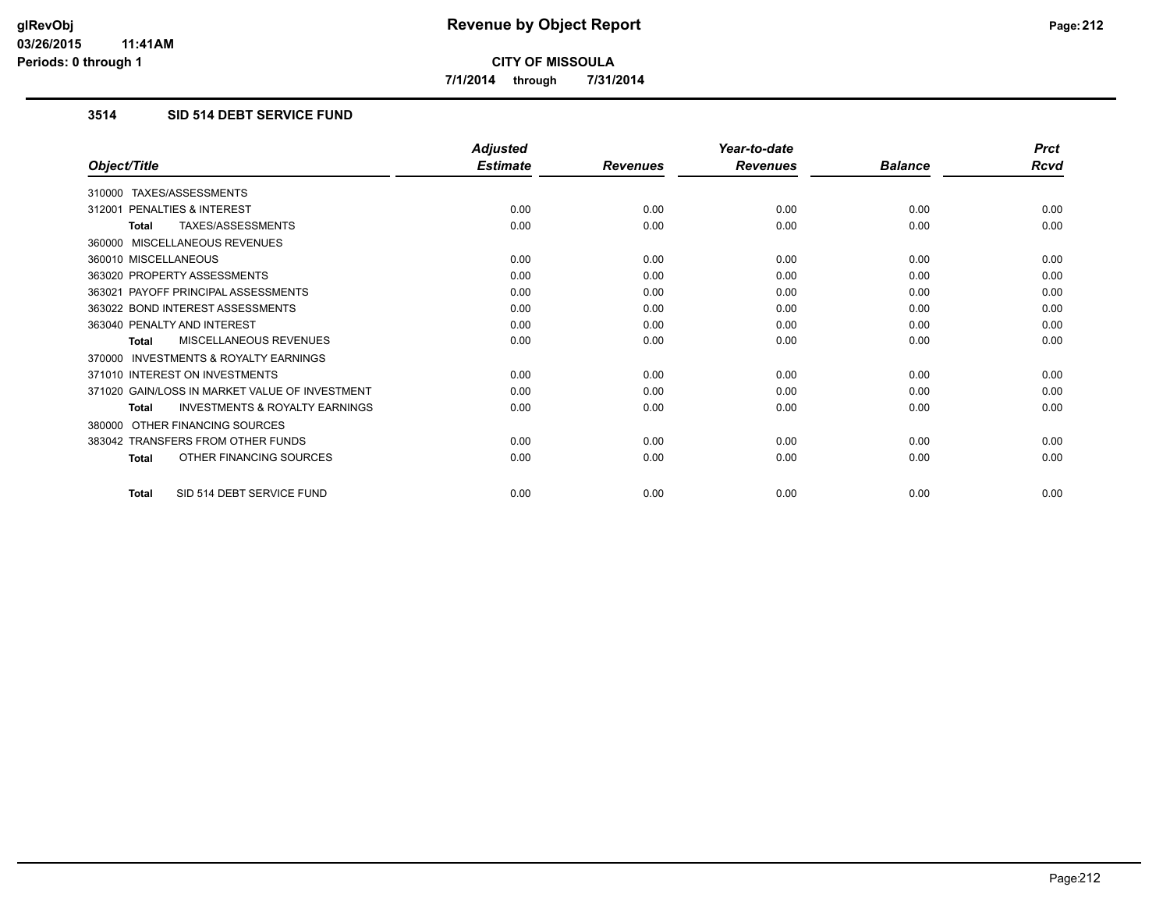**7/1/2014 through 7/31/2014**

# **3514 SID 514 DEBT SERVICE FUND**

|                                                           | <b>Adjusted</b> |                 | Year-to-date    |                | <b>Prct</b> |
|-----------------------------------------------------------|-----------------|-----------------|-----------------|----------------|-------------|
| Object/Title                                              | <b>Estimate</b> | <b>Revenues</b> | <b>Revenues</b> | <b>Balance</b> | Rcvd        |
| 310000 TAXES/ASSESSMENTS                                  |                 |                 |                 |                |             |
| 312001 PENALTIES & INTEREST                               | 0.00            | 0.00            | 0.00            | 0.00           | 0.00        |
| <b>TAXES/ASSESSMENTS</b><br><b>Total</b>                  | 0.00            | 0.00            | 0.00            | 0.00           | 0.00        |
| 360000 MISCELLANEOUS REVENUES                             |                 |                 |                 |                |             |
| 360010 MISCELLANEOUS                                      | 0.00            | 0.00            | 0.00            | 0.00           | 0.00        |
| 363020 PROPERTY ASSESSMENTS                               | 0.00            | 0.00            | 0.00            | 0.00           | 0.00        |
| 363021 PAYOFF PRINCIPAL ASSESSMENTS                       | 0.00            | 0.00            | 0.00            | 0.00           | 0.00        |
| 363022 BOND INTEREST ASSESSMENTS                          | 0.00            | 0.00            | 0.00            | 0.00           | 0.00        |
| 363040 PENALTY AND INTEREST                               | 0.00            | 0.00            | 0.00            | 0.00           | 0.00        |
| MISCELLANEOUS REVENUES<br><b>Total</b>                    | 0.00            | 0.00            | 0.00            | 0.00           | 0.00        |
| <b>INVESTMENTS &amp; ROYALTY EARNINGS</b><br>370000       |                 |                 |                 |                |             |
| 371010 INTEREST ON INVESTMENTS                            | 0.00            | 0.00            | 0.00            | 0.00           | 0.00        |
| 371020 GAIN/LOSS IN MARKET VALUE OF INVESTMENT            | 0.00            | 0.00            | 0.00            | 0.00           | 0.00        |
| <b>INVESTMENTS &amp; ROYALTY EARNINGS</b><br><b>Total</b> | 0.00            | 0.00            | 0.00            | 0.00           | 0.00        |
| OTHER FINANCING SOURCES<br>380000                         |                 |                 |                 |                |             |
| 383042 TRANSFERS FROM OTHER FUNDS                         | 0.00            | 0.00            | 0.00            | 0.00           | 0.00        |
| OTHER FINANCING SOURCES<br><b>Total</b>                   | 0.00            | 0.00            | 0.00            | 0.00           | 0.00        |
| SID 514 DEBT SERVICE FUND<br>Total                        | 0.00            | 0.00            | 0.00            | 0.00           | 0.00        |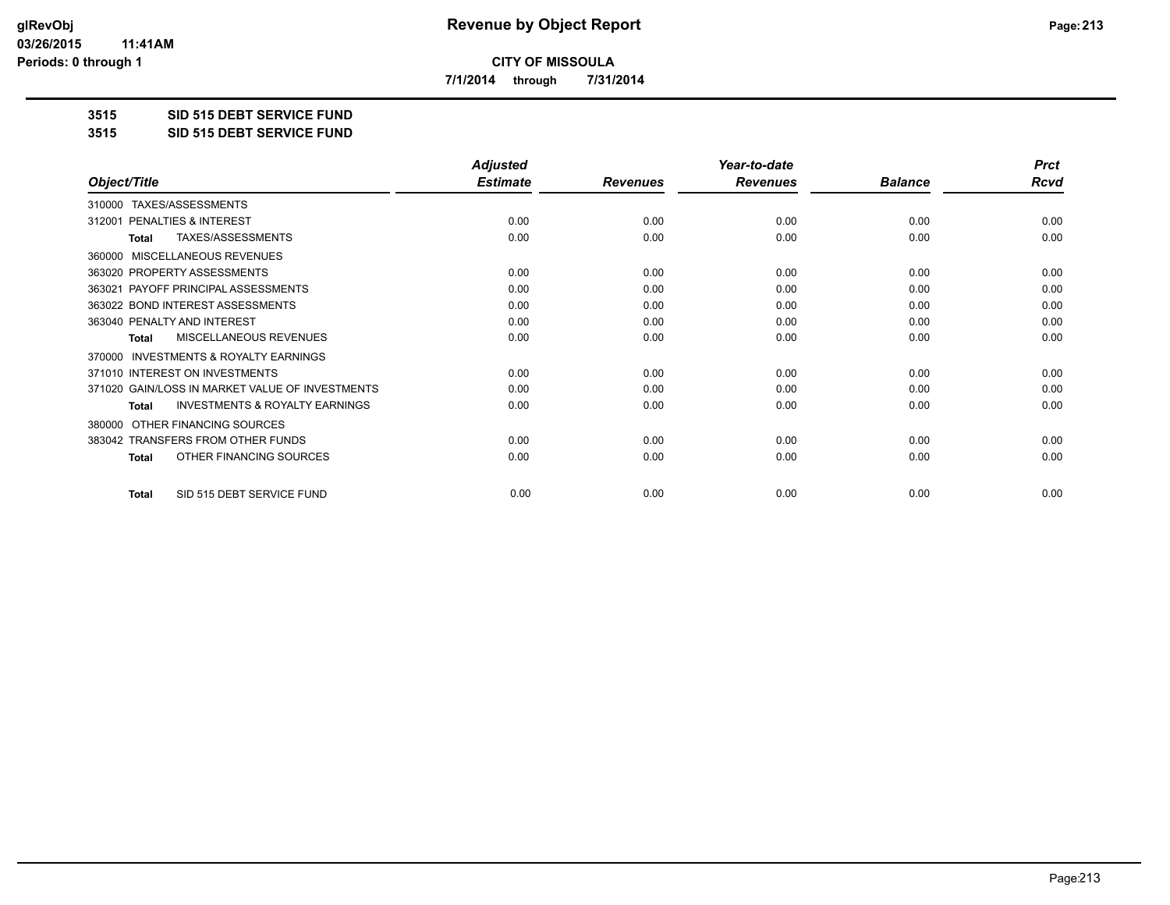**7/1/2014 through 7/31/2014**

**3515 SID 515 DEBT SERVICE FUND**

**3515 SID 515 DEBT SERVICE FUND**

|                                                           | <b>Adjusted</b> |                 | Year-to-date    |                | <b>Prct</b> |
|-----------------------------------------------------------|-----------------|-----------------|-----------------|----------------|-------------|
| Object/Title                                              | <b>Estimate</b> | <b>Revenues</b> | <b>Revenues</b> | <b>Balance</b> | <b>Rcvd</b> |
| TAXES/ASSESSMENTS<br>310000                               |                 |                 |                 |                |             |
| PENALTIES & INTEREST<br>312001                            | 0.00            | 0.00            | 0.00            | 0.00           | 0.00        |
| TAXES/ASSESSMENTS<br>Total                                | 0.00            | 0.00            | 0.00            | 0.00           | 0.00        |
| MISCELLANEOUS REVENUES<br>360000                          |                 |                 |                 |                |             |
| 363020 PROPERTY ASSESSMENTS                               | 0.00            | 0.00            | 0.00            | 0.00           | 0.00        |
| PAYOFF PRINCIPAL ASSESSMENTS<br>363021                    | 0.00            | 0.00            | 0.00            | 0.00           | 0.00        |
| 363022 BOND INTEREST ASSESSMENTS                          | 0.00            | 0.00            | 0.00            | 0.00           | 0.00        |
| 363040 PENALTY AND INTEREST                               | 0.00            | 0.00            | 0.00            | 0.00           | 0.00        |
| MISCELLANEOUS REVENUES<br>Total                           | 0.00            | 0.00            | 0.00            | 0.00           | 0.00        |
| <b>INVESTMENTS &amp; ROYALTY EARNINGS</b><br>370000       |                 |                 |                 |                |             |
| 371010 INTEREST ON INVESTMENTS                            | 0.00            | 0.00            | 0.00            | 0.00           | 0.00        |
| 371020 GAIN/LOSS IN MARKET VALUE OF INVESTMENTS           | 0.00            | 0.00            | 0.00            | 0.00           | 0.00        |
| <b>INVESTMENTS &amp; ROYALTY EARNINGS</b><br><b>Total</b> | 0.00            | 0.00            | 0.00            | 0.00           | 0.00        |
| OTHER FINANCING SOURCES<br>380000                         |                 |                 |                 |                |             |
| 383042 TRANSFERS FROM OTHER FUNDS                         | 0.00            | 0.00            | 0.00            | 0.00           | 0.00        |
| OTHER FINANCING SOURCES<br><b>Total</b>                   | 0.00            | 0.00            | 0.00            | 0.00           | 0.00        |
| SID 515 DEBT SERVICE FUND<br><b>Total</b>                 | 0.00            | 0.00            | 0.00            | 0.00           | 0.00        |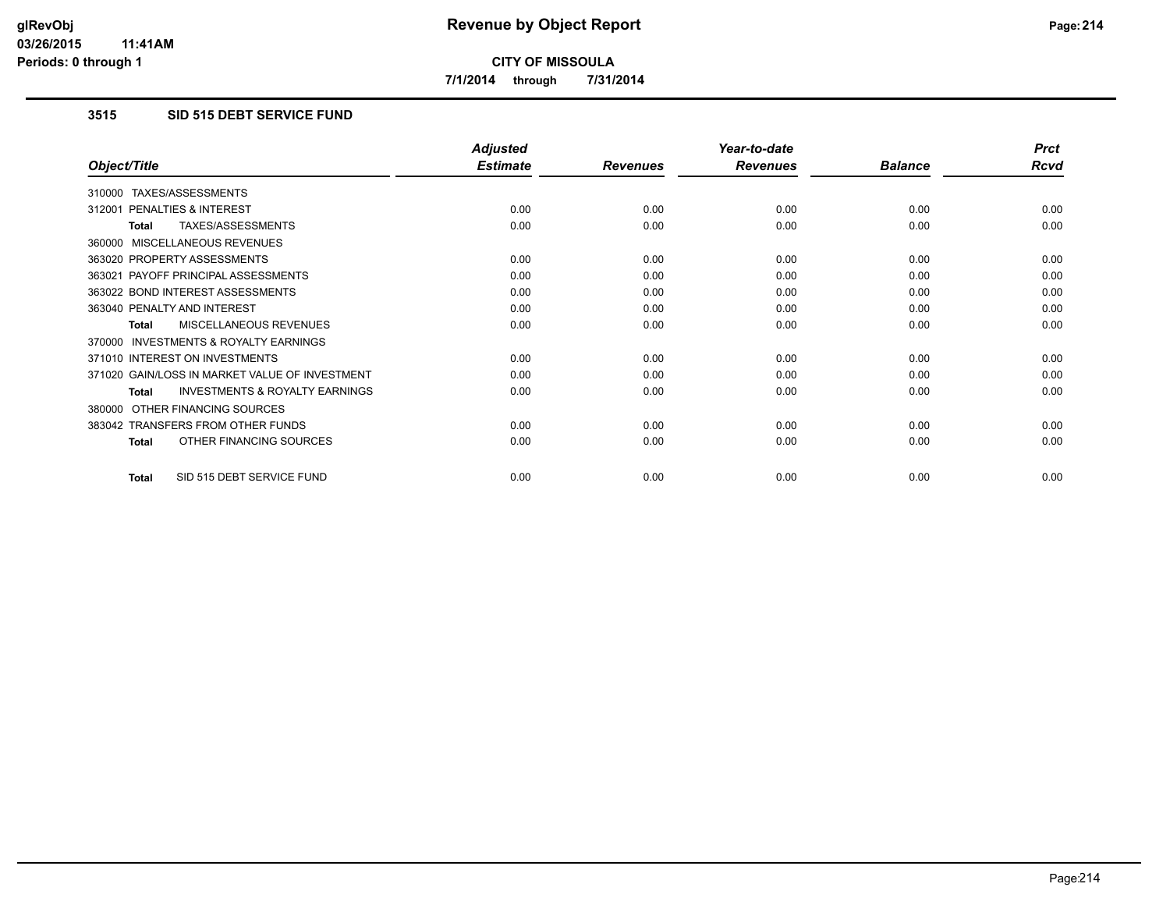**7/1/2014 through 7/31/2014**

# **3515 SID 515 DEBT SERVICE FUND**

|                                                           | <b>Adjusted</b> |                 | Year-to-date    |                | <b>Prct</b> |
|-----------------------------------------------------------|-----------------|-----------------|-----------------|----------------|-------------|
| Object/Title                                              | <b>Estimate</b> | <b>Revenues</b> | <b>Revenues</b> | <b>Balance</b> | <b>Rcvd</b> |
| TAXES/ASSESSMENTS<br>310000                               |                 |                 |                 |                |             |
| <b>PENALTIES &amp; INTEREST</b><br>312001                 | 0.00            | 0.00            | 0.00            | 0.00           | 0.00        |
| <b>TAXES/ASSESSMENTS</b><br>Total                         | 0.00            | 0.00            | 0.00            | 0.00           | 0.00        |
| MISCELLANEOUS REVENUES<br>360000                          |                 |                 |                 |                |             |
| 363020 PROPERTY ASSESSMENTS                               | 0.00            | 0.00            | 0.00            | 0.00           | 0.00        |
| 363021 PAYOFF PRINCIPAL ASSESSMENTS                       | 0.00            | 0.00            | 0.00            | 0.00           | 0.00        |
| 363022 BOND INTEREST ASSESSMENTS                          | 0.00            | 0.00            | 0.00            | 0.00           | 0.00        |
| 363040 PENALTY AND INTEREST                               | 0.00            | 0.00            | 0.00            | 0.00           | 0.00        |
| <b>MISCELLANEOUS REVENUES</b><br><b>Total</b>             | 0.00            | 0.00            | 0.00            | 0.00           | 0.00        |
| <b>INVESTMENTS &amp; ROYALTY EARNINGS</b><br>370000       |                 |                 |                 |                |             |
| 371010 INTEREST ON INVESTMENTS                            | 0.00            | 0.00            | 0.00            | 0.00           | 0.00        |
| 371020 GAIN/LOSS IN MARKET VALUE OF INVESTMENT            | 0.00            | 0.00            | 0.00            | 0.00           | 0.00        |
| <b>INVESTMENTS &amp; ROYALTY EARNINGS</b><br><b>Total</b> | 0.00            | 0.00            | 0.00            | 0.00           | 0.00        |
| OTHER FINANCING SOURCES<br>380000                         |                 |                 |                 |                |             |
| 383042 TRANSFERS FROM OTHER FUNDS                         | 0.00            | 0.00            | 0.00            | 0.00           | 0.00        |
| OTHER FINANCING SOURCES<br><b>Total</b>                   | 0.00            | 0.00            | 0.00            | 0.00           | 0.00        |
| SID 515 DEBT SERVICE FUND<br><b>Total</b>                 | 0.00            | 0.00            | 0.00            | 0.00           | 0.00        |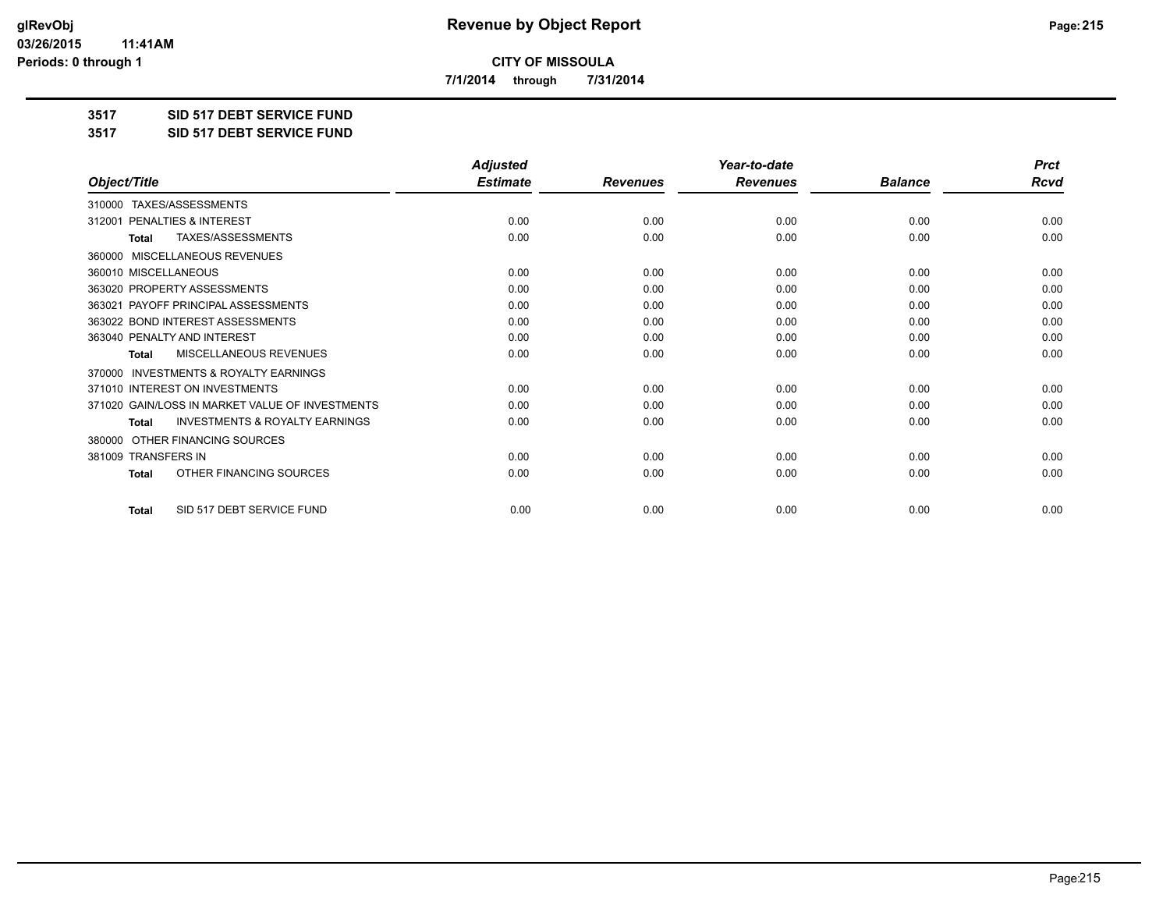**7/1/2014 through 7/31/2014**

**3517 SID 517 DEBT SERVICE FUND**

**3517 SID 517 DEBT SERVICE FUND**

|                                                           | <b>Adjusted</b> |                 | Year-to-date    |                | <b>Prct</b> |
|-----------------------------------------------------------|-----------------|-----------------|-----------------|----------------|-------------|
| Object/Title                                              | <b>Estimate</b> | <b>Revenues</b> | <b>Revenues</b> | <b>Balance</b> | Rcvd        |
| TAXES/ASSESSMENTS<br>310000                               |                 |                 |                 |                |             |
| PENALTIES & INTEREST<br>312001                            | 0.00            | 0.00            | 0.00            | 0.00           | 0.00        |
| TAXES/ASSESSMENTS<br>Total                                | 0.00            | 0.00            | 0.00            | 0.00           | 0.00        |
| MISCELLANEOUS REVENUES<br>360000                          |                 |                 |                 |                |             |
| 360010 MISCELLANEOUS                                      | 0.00            | 0.00            | 0.00            | 0.00           | 0.00        |
| 363020 PROPERTY ASSESSMENTS                               | 0.00            | 0.00            | 0.00            | 0.00           | 0.00        |
| 363021 PAYOFF PRINCIPAL ASSESSMENTS                       | 0.00            | 0.00            | 0.00            | 0.00           | 0.00        |
| 363022 BOND INTEREST ASSESSMENTS                          | 0.00            | 0.00            | 0.00            | 0.00           | 0.00        |
| 363040 PENALTY AND INTEREST                               | 0.00            | 0.00            | 0.00            | 0.00           | 0.00        |
| <b>MISCELLANEOUS REVENUES</b><br><b>Total</b>             | 0.00            | 0.00            | 0.00            | 0.00           | 0.00        |
| <b>INVESTMENTS &amp; ROYALTY EARNINGS</b><br>370000       |                 |                 |                 |                |             |
| 371010 INTEREST ON INVESTMENTS                            | 0.00            | 0.00            | 0.00            | 0.00           | 0.00        |
| 371020 GAIN/LOSS IN MARKET VALUE OF INVESTMENTS           | 0.00            | 0.00            | 0.00            | 0.00           | 0.00        |
| <b>INVESTMENTS &amp; ROYALTY EARNINGS</b><br><b>Total</b> | 0.00            | 0.00            | 0.00            | 0.00           | 0.00        |
| OTHER FINANCING SOURCES<br>380000                         |                 |                 |                 |                |             |
| 381009 TRANSFERS IN                                       | 0.00            | 0.00            | 0.00            | 0.00           | 0.00        |
| OTHER FINANCING SOURCES<br><b>Total</b>                   | 0.00            | 0.00            | 0.00            | 0.00           | 0.00        |
| SID 517 DEBT SERVICE FUND<br><b>Total</b>                 | 0.00            | 0.00            | 0.00            | 0.00           | 0.00        |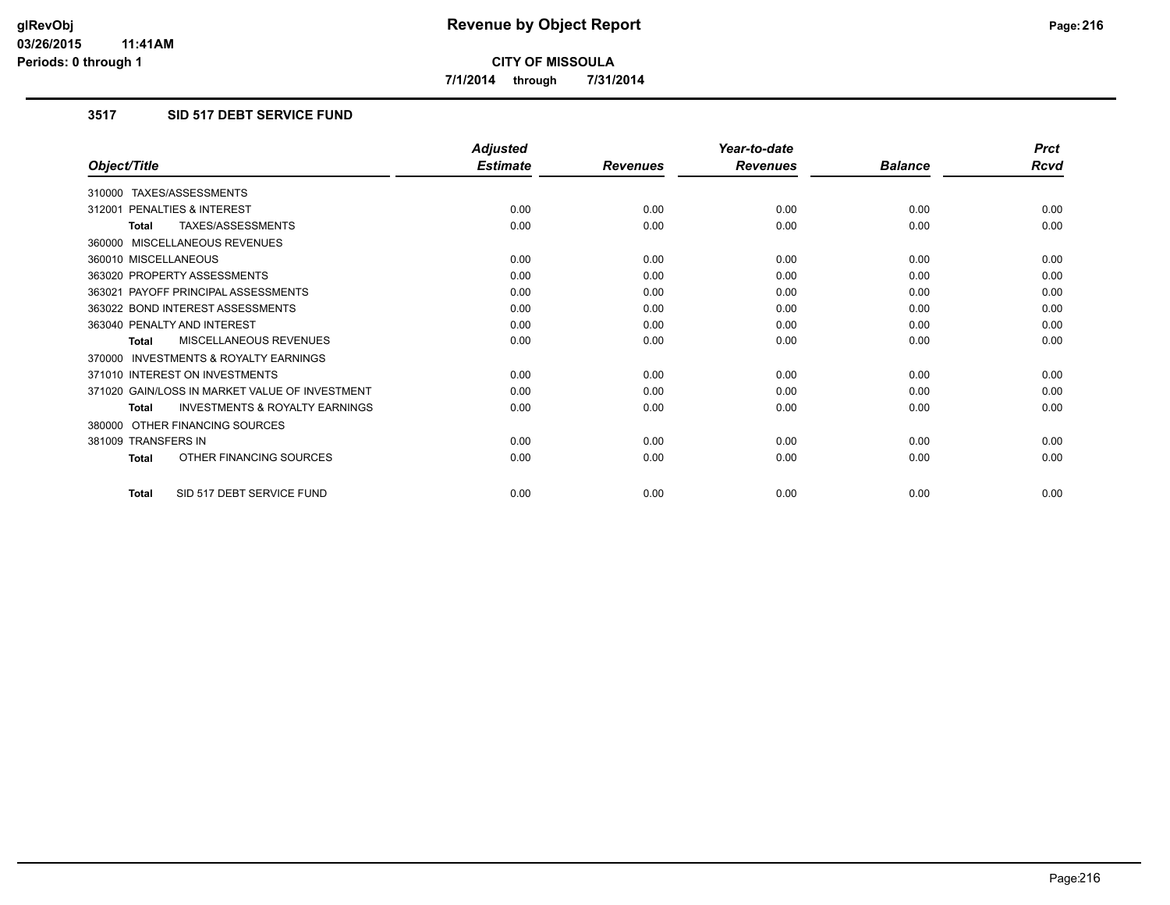**7/1/2014 through 7/31/2014**

# **3517 SID 517 DEBT SERVICE FUND**

|                                                           | <b>Adjusted</b> |                 | Year-to-date    |                | <b>Prct</b> |
|-----------------------------------------------------------|-----------------|-----------------|-----------------|----------------|-------------|
| Object/Title                                              | <b>Estimate</b> | <b>Revenues</b> | <b>Revenues</b> | <b>Balance</b> | <b>Rcvd</b> |
| 310000 TAXES/ASSESSMENTS                                  |                 |                 |                 |                |             |
| 312001 PENALTIES & INTEREST                               | 0.00            | 0.00            | 0.00            | 0.00           | 0.00        |
| TAXES/ASSESSMENTS<br><b>Total</b>                         | 0.00            | 0.00            | 0.00            | 0.00           | 0.00        |
| 360000 MISCELLANEOUS REVENUES                             |                 |                 |                 |                |             |
| 360010 MISCELLANEOUS                                      | 0.00            | 0.00            | 0.00            | 0.00           | 0.00        |
| 363020 PROPERTY ASSESSMENTS                               | 0.00            | 0.00            | 0.00            | 0.00           | 0.00        |
| 363021 PAYOFF PRINCIPAL ASSESSMENTS                       | 0.00            | 0.00            | 0.00            | 0.00           | 0.00        |
| 363022 BOND INTEREST ASSESSMENTS                          | 0.00            | 0.00            | 0.00            | 0.00           | 0.00        |
| 363040 PENALTY AND INTEREST                               | 0.00            | 0.00            | 0.00            | 0.00           | 0.00        |
| MISCELLANEOUS REVENUES<br><b>Total</b>                    | 0.00            | 0.00            | 0.00            | 0.00           | 0.00        |
| <b>INVESTMENTS &amp; ROYALTY EARNINGS</b><br>370000       |                 |                 |                 |                |             |
| 371010 INTEREST ON INVESTMENTS                            | 0.00            | 0.00            | 0.00            | 0.00           | 0.00        |
| 371020 GAIN/LOSS IN MARKET VALUE OF INVESTMENT            | 0.00            | 0.00            | 0.00            | 0.00           | 0.00        |
| <b>INVESTMENTS &amp; ROYALTY EARNINGS</b><br><b>Total</b> | 0.00            | 0.00            | 0.00            | 0.00           | 0.00        |
| 380000 OTHER FINANCING SOURCES                            |                 |                 |                 |                |             |
| 381009 TRANSFERS IN                                       | 0.00            | 0.00            | 0.00            | 0.00           | 0.00        |
| OTHER FINANCING SOURCES<br>Total                          | 0.00            | 0.00            | 0.00            | 0.00           | 0.00        |
| SID 517 DEBT SERVICE FUND<br><b>Total</b>                 | 0.00            | 0.00            | 0.00            | 0.00           | 0.00        |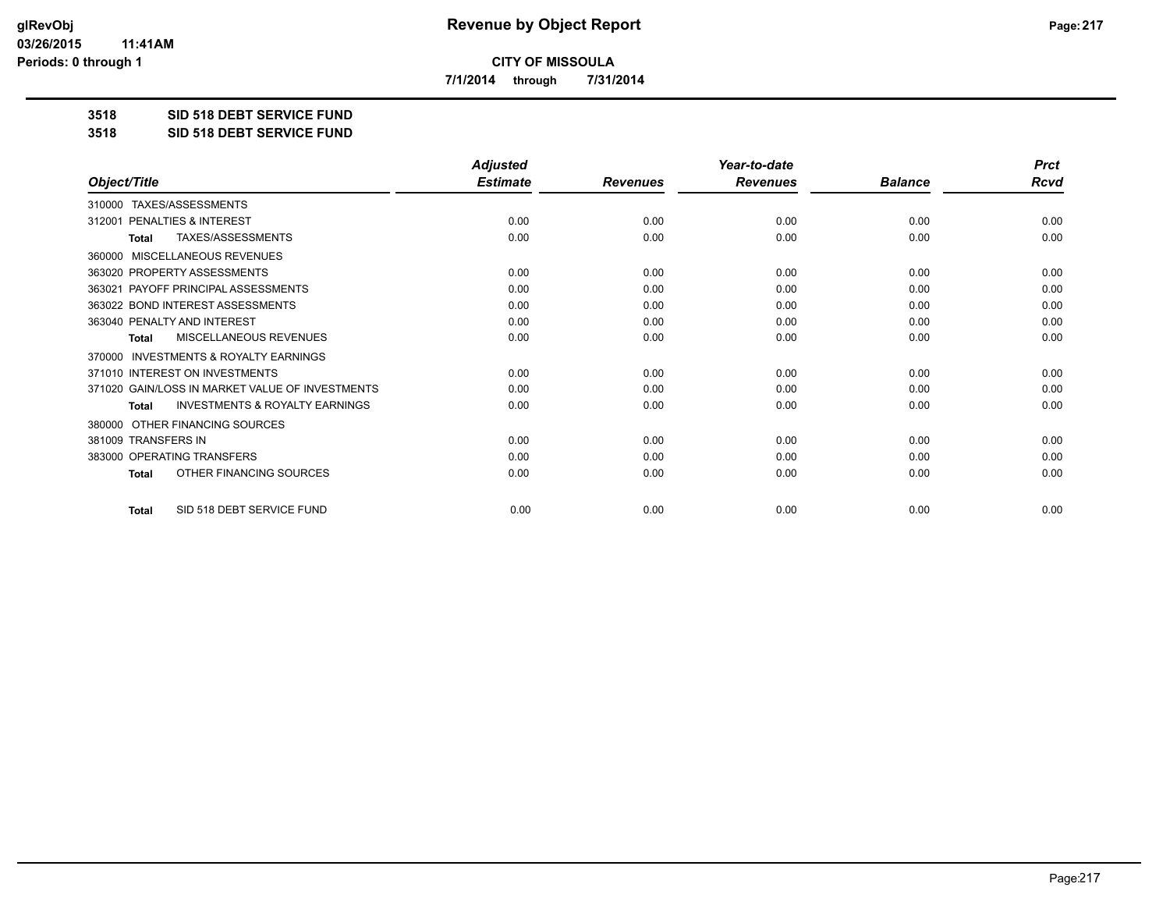**7/1/2014 through 7/31/2014**

**3518 SID 518 DEBT SERVICE FUND**

**3518 SID 518 DEBT SERVICE FUND**

|                                                           | <b>Adjusted</b> |                 | Year-to-date    |                | <b>Prct</b> |
|-----------------------------------------------------------|-----------------|-----------------|-----------------|----------------|-------------|
| Object/Title                                              | <b>Estimate</b> | <b>Revenues</b> | <b>Revenues</b> | <b>Balance</b> | <b>Rcvd</b> |
| 310000 TAXES/ASSESSMENTS                                  |                 |                 |                 |                |             |
| PENALTIES & INTEREST<br>312001                            | 0.00            | 0.00            | 0.00            | 0.00           | 0.00        |
| TAXES/ASSESSMENTS<br><b>Total</b>                         | 0.00            | 0.00            | 0.00            | 0.00           | 0.00        |
| <b>MISCELLANEOUS REVENUES</b><br>360000                   |                 |                 |                 |                |             |
| 363020 PROPERTY ASSESSMENTS                               | 0.00            | 0.00            | 0.00            | 0.00           | 0.00        |
| 363021 PAYOFF PRINCIPAL ASSESSMENTS                       | 0.00            | 0.00            | 0.00            | 0.00           | 0.00        |
| 363022 BOND INTEREST ASSESSMENTS                          | 0.00            | 0.00            | 0.00            | 0.00           | 0.00        |
| 363040 PENALTY AND INTEREST                               | 0.00            | 0.00            | 0.00            | 0.00           | 0.00        |
| MISCELLANEOUS REVENUES<br><b>Total</b>                    | 0.00            | 0.00            | 0.00            | 0.00           | 0.00        |
| <b>INVESTMENTS &amp; ROYALTY EARNINGS</b><br>370000       |                 |                 |                 |                |             |
| 371010 INTEREST ON INVESTMENTS                            | 0.00            | 0.00            | 0.00            | 0.00           | 0.00        |
| 371020 GAIN/LOSS IN MARKET VALUE OF INVESTMENTS           | 0.00            | 0.00            | 0.00            | 0.00           | 0.00        |
| <b>INVESTMENTS &amp; ROYALTY EARNINGS</b><br><b>Total</b> | 0.00            | 0.00            | 0.00            | 0.00           | 0.00        |
| OTHER FINANCING SOURCES<br>380000                         |                 |                 |                 |                |             |
| 381009 TRANSFERS IN                                       | 0.00            | 0.00            | 0.00            | 0.00           | 0.00        |
| 383000 OPERATING TRANSFERS                                | 0.00            | 0.00            | 0.00            | 0.00           | 0.00        |
| OTHER FINANCING SOURCES<br><b>Total</b>                   | 0.00            | 0.00            | 0.00            | 0.00           | 0.00        |
| SID 518 DEBT SERVICE FUND<br><b>Total</b>                 | 0.00            | 0.00            | 0.00            | 0.00           | 0.00        |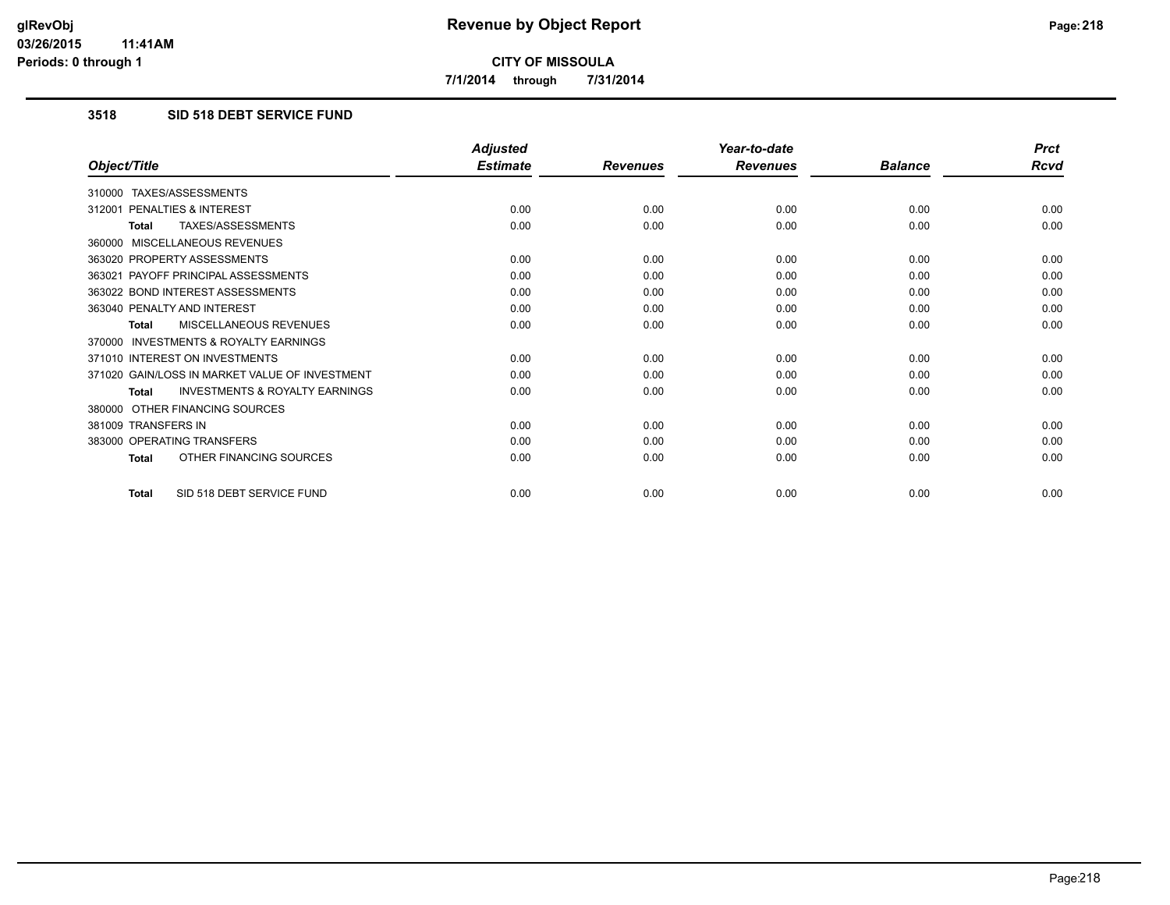**7/1/2014 through 7/31/2014**

## **3518 SID 518 DEBT SERVICE FUND**

|                                                           | <b>Adjusted</b> |                 | Year-to-date    |                | <b>Prct</b> |
|-----------------------------------------------------------|-----------------|-----------------|-----------------|----------------|-------------|
| Object/Title                                              | <b>Estimate</b> | <b>Revenues</b> | <b>Revenues</b> | <b>Balance</b> | Rcvd        |
| 310000 TAXES/ASSESSMENTS                                  |                 |                 |                 |                |             |
| 312001 PENALTIES & INTEREST                               | 0.00            | 0.00            | 0.00            | 0.00           | 0.00        |
| TAXES/ASSESSMENTS<br><b>Total</b>                         | 0.00            | 0.00            | 0.00            | 0.00           | 0.00        |
| 360000 MISCELLANEOUS REVENUES                             |                 |                 |                 |                |             |
| 363020 PROPERTY ASSESSMENTS                               | 0.00            | 0.00            | 0.00            | 0.00           | 0.00        |
| 363021 PAYOFF PRINCIPAL ASSESSMENTS                       | 0.00            | 0.00            | 0.00            | 0.00           | 0.00        |
| 363022 BOND INTEREST ASSESSMENTS                          | 0.00            | 0.00            | 0.00            | 0.00           | 0.00        |
| 363040 PENALTY AND INTEREST                               | 0.00            | 0.00            | 0.00            | 0.00           | 0.00        |
| MISCELLANEOUS REVENUES<br><b>Total</b>                    | 0.00            | 0.00            | 0.00            | 0.00           | 0.00        |
| <b>INVESTMENTS &amp; ROYALTY EARNINGS</b><br>370000       |                 |                 |                 |                |             |
| 371010 INTEREST ON INVESTMENTS                            | 0.00            | 0.00            | 0.00            | 0.00           | 0.00        |
| 371020 GAIN/LOSS IN MARKET VALUE OF INVESTMENT            | 0.00            | 0.00            | 0.00            | 0.00           | 0.00        |
| <b>INVESTMENTS &amp; ROYALTY EARNINGS</b><br><b>Total</b> | 0.00            | 0.00            | 0.00            | 0.00           | 0.00        |
| 380000 OTHER FINANCING SOURCES                            |                 |                 |                 |                |             |
| 381009 TRANSFERS IN                                       | 0.00            | 0.00            | 0.00            | 0.00           | 0.00        |
| 383000 OPERATING TRANSFERS                                | 0.00            | 0.00            | 0.00            | 0.00           | 0.00        |
| OTHER FINANCING SOURCES<br><b>Total</b>                   | 0.00            | 0.00            | 0.00            | 0.00           | 0.00        |
| SID 518 DEBT SERVICE FUND<br><b>Total</b>                 | 0.00            | 0.00            | 0.00            | 0.00           | 0.00        |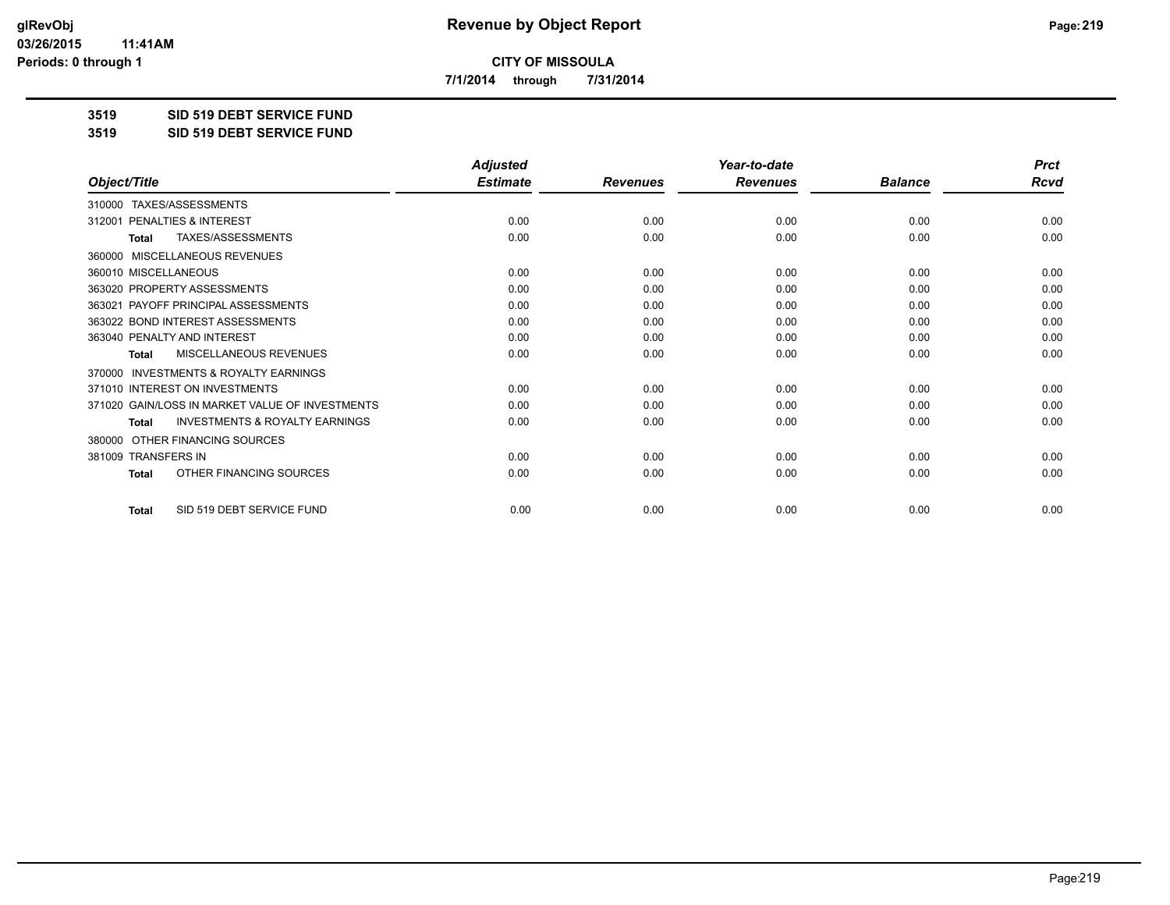**7/1/2014 through 7/31/2014**

**3519 SID 519 DEBT SERVICE FUND**

**3519 SID 519 DEBT SERVICE FUND**

|                                                           | <b>Adjusted</b> |                 | Year-to-date    |                | <b>Prct</b> |
|-----------------------------------------------------------|-----------------|-----------------|-----------------|----------------|-------------|
| Object/Title                                              | <b>Estimate</b> | <b>Revenues</b> | <b>Revenues</b> | <b>Balance</b> | <b>Rcvd</b> |
| 310000 TAXES/ASSESSMENTS                                  |                 |                 |                 |                |             |
| 312001 PENALTIES & INTEREST                               | 0.00            | 0.00            | 0.00            | 0.00           | 0.00        |
| TAXES/ASSESSMENTS<br><b>Total</b>                         | 0.00            | 0.00            | 0.00            | 0.00           | 0.00        |
| MISCELLANEOUS REVENUES<br>360000                          |                 |                 |                 |                |             |
| 360010 MISCELLANEOUS                                      | 0.00            | 0.00            | 0.00            | 0.00           | 0.00        |
| 363020 PROPERTY ASSESSMENTS                               | 0.00            | 0.00            | 0.00            | 0.00           | 0.00        |
| 363021 PAYOFF PRINCIPAL ASSESSMENTS                       | 0.00            | 0.00            | 0.00            | 0.00           | 0.00        |
| 363022 BOND INTEREST ASSESSMENTS                          | 0.00            | 0.00            | 0.00            | 0.00           | 0.00        |
| 363040 PENALTY AND INTEREST                               | 0.00            | 0.00            | 0.00            | 0.00           | 0.00        |
| MISCELLANEOUS REVENUES<br><b>Total</b>                    | 0.00            | 0.00            | 0.00            | 0.00           | 0.00        |
| <b>INVESTMENTS &amp; ROYALTY EARNINGS</b><br>370000       |                 |                 |                 |                |             |
| 371010 INTEREST ON INVESTMENTS                            | 0.00            | 0.00            | 0.00            | 0.00           | 0.00        |
| 371020 GAIN/LOSS IN MARKET VALUE OF INVESTMENTS           | 0.00            | 0.00            | 0.00            | 0.00           | 0.00        |
| <b>INVESTMENTS &amp; ROYALTY EARNINGS</b><br><b>Total</b> | 0.00            | 0.00            | 0.00            | 0.00           | 0.00        |
| OTHER FINANCING SOURCES<br>380000                         |                 |                 |                 |                |             |
| 381009 TRANSFERS IN                                       | 0.00            | 0.00            | 0.00            | 0.00           | 0.00        |
| OTHER FINANCING SOURCES<br><b>Total</b>                   | 0.00            | 0.00            | 0.00            | 0.00           | 0.00        |
| SID 519 DEBT SERVICE FUND<br><b>Total</b>                 | 0.00            | 0.00            | 0.00            | 0.00           | 0.00        |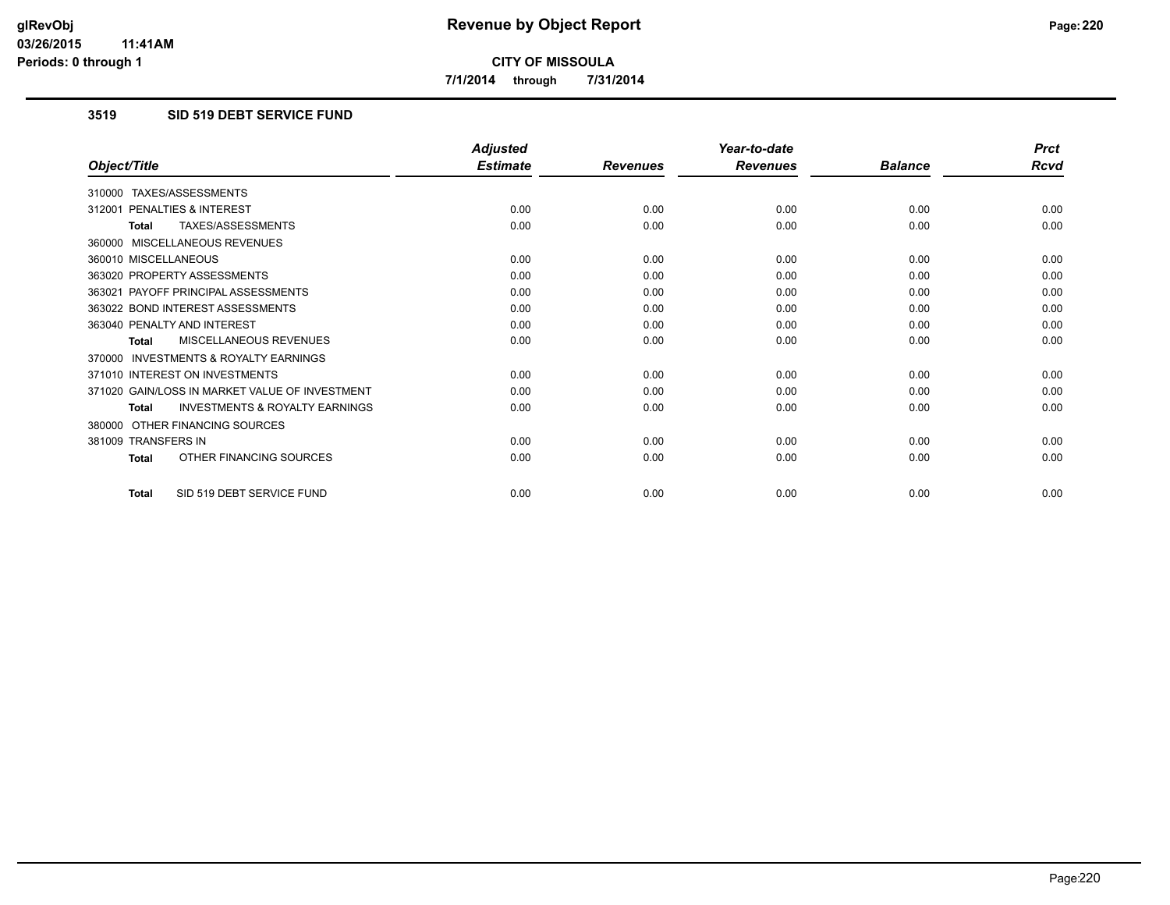**7/1/2014 through 7/31/2014**

## **3519 SID 519 DEBT SERVICE FUND**

|                                                           | <b>Adjusted</b> |                 | Year-to-date    |                | <b>Prct</b> |
|-----------------------------------------------------------|-----------------|-----------------|-----------------|----------------|-------------|
| Object/Title                                              | <b>Estimate</b> | <b>Revenues</b> | <b>Revenues</b> | <b>Balance</b> | <b>Rcvd</b> |
| 310000 TAXES/ASSESSMENTS                                  |                 |                 |                 |                |             |
| PENALTIES & INTEREST<br>312001                            | 0.00            | 0.00            | 0.00            | 0.00           | 0.00        |
| TAXES/ASSESSMENTS<br><b>Total</b>                         | 0.00            | 0.00            | 0.00            | 0.00           | 0.00        |
| 360000 MISCELLANEOUS REVENUES                             |                 |                 |                 |                |             |
| 360010 MISCELLANEOUS                                      | 0.00            | 0.00            | 0.00            | 0.00           | 0.00        |
| 363020 PROPERTY ASSESSMENTS                               | 0.00            | 0.00            | 0.00            | 0.00           | 0.00        |
| 363021 PAYOFF PRINCIPAL ASSESSMENTS                       | 0.00            | 0.00            | 0.00            | 0.00           | 0.00        |
| 363022 BOND INTEREST ASSESSMENTS                          | 0.00            | 0.00            | 0.00            | 0.00           | 0.00        |
| 363040 PENALTY AND INTEREST                               | 0.00            | 0.00            | 0.00            | 0.00           | 0.00        |
| <b>MISCELLANEOUS REVENUES</b><br><b>Total</b>             | 0.00            | 0.00            | 0.00            | 0.00           | 0.00        |
| <b>INVESTMENTS &amp; ROYALTY EARNINGS</b><br>370000       |                 |                 |                 |                |             |
| 371010 INTEREST ON INVESTMENTS                            | 0.00            | 0.00            | 0.00            | 0.00           | 0.00        |
| 371020 GAIN/LOSS IN MARKET VALUE OF INVESTMENT            | 0.00            | 0.00            | 0.00            | 0.00           | 0.00        |
| <b>INVESTMENTS &amp; ROYALTY EARNINGS</b><br><b>Total</b> | 0.00            | 0.00            | 0.00            | 0.00           | 0.00        |
| OTHER FINANCING SOURCES<br>380000                         |                 |                 |                 |                |             |
| 381009 TRANSFERS IN                                       | 0.00            | 0.00            | 0.00            | 0.00           | 0.00        |
| OTHER FINANCING SOURCES<br><b>Total</b>                   | 0.00            | 0.00            | 0.00            | 0.00           | 0.00        |
| SID 519 DEBT SERVICE FUND<br><b>Total</b>                 | 0.00            | 0.00            | 0.00            | 0.00           | 0.00        |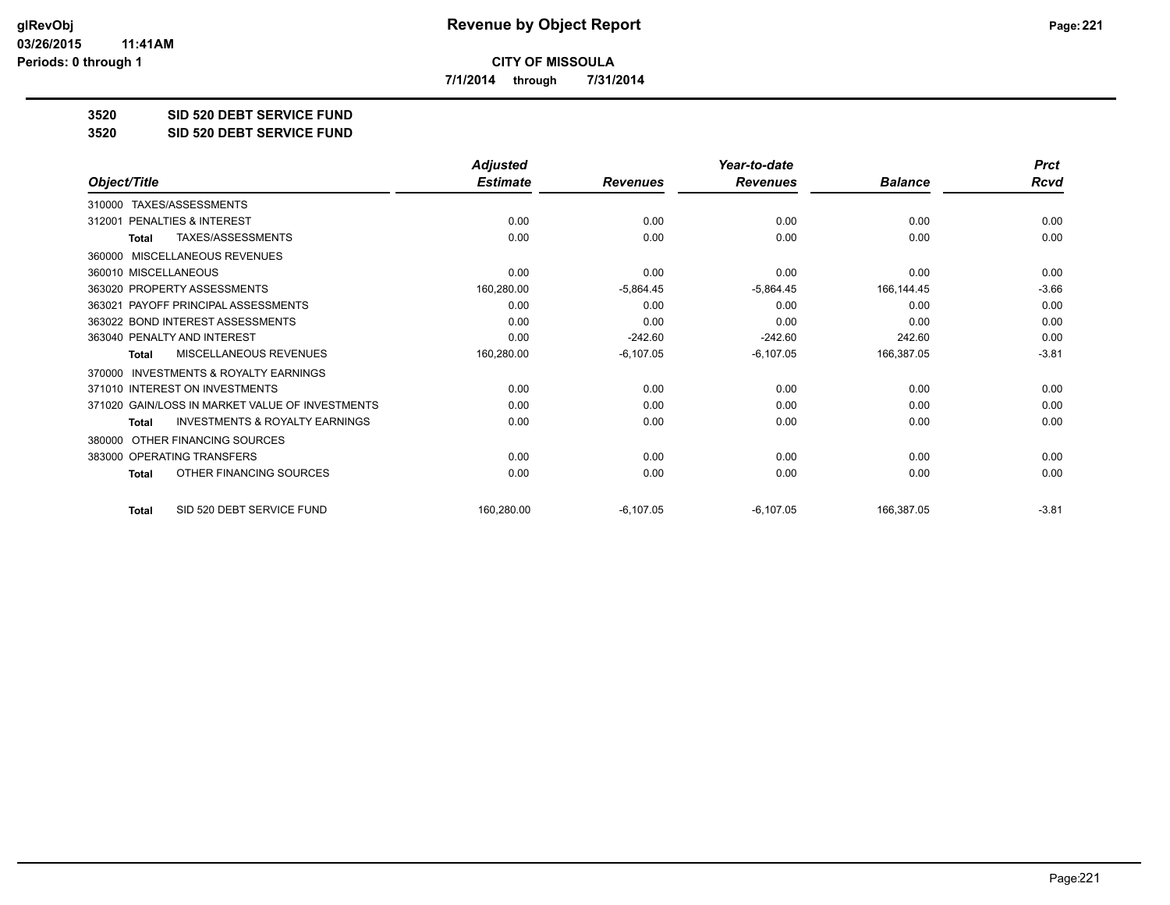**7/1/2014 through 7/31/2014**

**3520 SID 520 DEBT SERVICE FUND**

**3520 SID 520 DEBT SERVICE FUND**

|                                                           | <b>Adjusted</b> |                 | Year-to-date    |                | <b>Prct</b> |
|-----------------------------------------------------------|-----------------|-----------------|-----------------|----------------|-------------|
| Object/Title                                              | <b>Estimate</b> | <b>Revenues</b> | <b>Revenues</b> | <b>Balance</b> | <b>Rcvd</b> |
| TAXES/ASSESSMENTS<br>310000                               |                 |                 |                 |                |             |
| PENALTIES & INTEREST<br>312001                            | 0.00            | 0.00            | 0.00            | 0.00           | 0.00        |
| <b>TAXES/ASSESSMENTS</b><br><b>Total</b>                  | 0.00            | 0.00            | 0.00            | 0.00           | 0.00        |
| <b>MISCELLANEOUS REVENUES</b><br>360000                   |                 |                 |                 |                |             |
| 360010 MISCELLANEOUS                                      | 0.00            | 0.00            | 0.00            | 0.00           | 0.00        |
| 363020 PROPERTY ASSESSMENTS                               | 160,280.00      | $-5,864.45$     | $-5,864.45$     | 166,144.45     | $-3.66$     |
| 363021 PAYOFF PRINCIPAL ASSESSMENTS                       | 0.00            | 0.00            | 0.00            | 0.00           | 0.00        |
| 363022 BOND INTEREST ASSESSMENTS                          | 0.00            | 0.00            | 0.00            | 0.00           | 0.00        |
| 363040 PENALTY AND INTEREST                               | 0.00            | $-242.60$       | $-242.60$       | 242.60         | 0.00        |
| MISCELLANEOUS REVENUES<br>Total                           | 160,280.00      | $-6,107.05$     | $-6,107.05$     | 166,387.05     | $-3.81$     |
| INVESTMENTS & ROYALTY EARNINGS<br>370000                  |                 |                 |                 |                |             |
| 371010 INTEREST ON INVESTMENTS                            | 0.00            | 0.00            | 0.00            | 0.00           | 0.00        |
| 371020 GAIN/LOSS IN MARKET VALUE OF INVESTMENTS           | 0.00            | 0.00            | 0.00            | 0.00           | 0.00        |
| <b>INVESTMENTS &amp; ROYALTY EARNINGS</b><br><b>Total</b> | 0.00            | 0.00            | 0.00            | 0.00           | 0.00        |
| OTHER FINANCING SOURCES<br>380000                         |                 |                 |                 |                |             |
| 383000 OPERATING TRANSFERS                                | 0.00            | 0.00            | 0.00            | 0.00           | 0.00        |
| OTHER FINANCING SOURCES<br><b>Total</b>                   | 0.00            | 0.00            | 0.00            | 0.00           | 0.00        |
| SID 520 DEBT SERVICE FUND<br><b>Total</b>                 | 160,280.00      | $-6,107.05$     | $-6,107.05$     | 166,387.05     | $-3.81$     |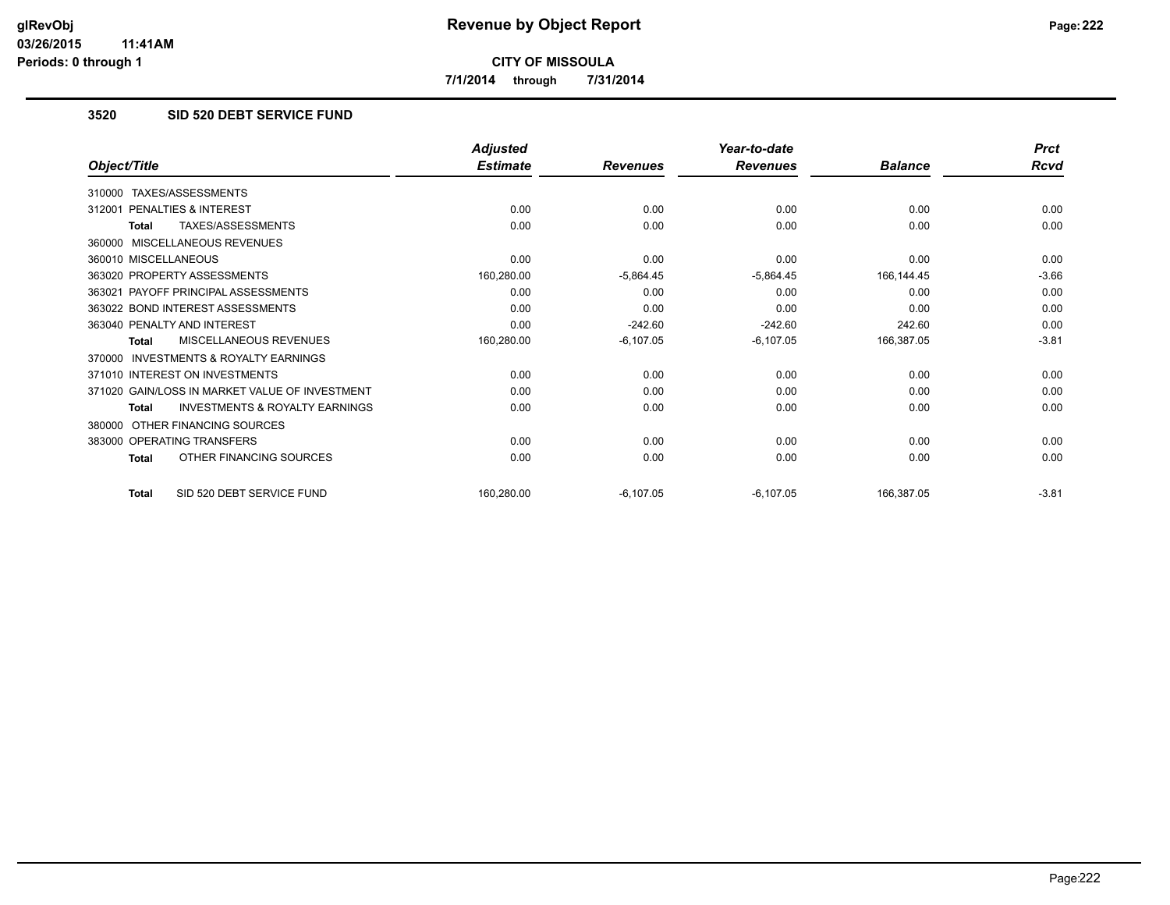**7/1/2014 through 7/31/2014**

## **3520 SID 520 DEBT SERVICE FUND**

|                                                     | <b>Adjusted</b> |                 | Year-to-date    |                | <b>Prct</b> |
|-----------------------------------------------------|-----------------|-----------------|-----------------|----------------|-------------|
| Object/Title                                        | <b>Estimate</b> | <b>Revenues</b> | <b>Revenues</b> | <b>Balance</b> | Rcvd        |
| 310000 TAXES/ASSESSMENTS                            |                 |                 |                 |                |             |
| PENALTIES & INTEREST<br>312001                      | 0.00            | 0.00            | 0.00            | 0.00           | 0.00        |
| TAXES/ASSESSMENTS<br>Total                          | 0.00            | 0.00            | 0.00            | 0.00           | 0.00        |
| 360000 MISCELLANEOUS REVENUES                       |                 |                 |                 |                |             |
| 360010 MISCELLANEOUS                                | 0.00            | 0.00            | 0.00            | 0.00           | 0.00        |
| 363020 PROPERTY ASSESSMENTS                         | 160,280.00      | $-5,864.45$     | $-5,864.45$     | 166.144.45     | $-3.66$     |
| 363021 PAYOFF PRINCIPAL ASSESSMENTS                 | 0.00            | 0.00            | 0.00            | 0.00           | 0.00        |
| 363022 BOND INTEREST ASSESSMENTS                    | 0.00            | 0.00            | 0.00            | 0.00           | 0.00        |
| 363040 PENALTY AND INTEREST                         | 0.00            | $-242.60$       | $-242.60$       | 242.60         | 0.00        |
| MISCELLANEOUS REVENUES<br>Total                     | 160,280.00      | $-6,107.05$     | $-6,107.05$     | 166,387.05     | $-3.81$     |
| <b>INVESTMENTS &amp; ROYALTY EARNINGS</b><br>370000 |                 |                 |                 |                |             |
| 371010 INTEREST ON INVESTMENTS                      | 0.00            | 0.00            | 0.00            | 0.00           | 0.00        |
| 371020 GAIN/LOSS IN MARKET VALUE OF INVESTMENT      | 0.00            | 0.00            | 0.00            | 0.00           | 0.00        |
| <b>INVESTMENTS &amp; ROYALTY EARNINGS</b><br>Total  | 0.00            | 0.00            | 0.00            | 0.00           | 0.00        |
| OTHER FINANCING SOURCES<br>380000                   |                 |                 |                 |                |             |
| 383000 OPERATING TRANSFERS                          | 0.00            | 0.00            | 0.00            | 0.00           | 0.00        |
| OTHER FINANCING SOURCES<br><b>Total</b>             | 0.00            | 0.00            | 0.00            | 0.00           | 0.00        |
| SID 520 DEBT SERVICE FUND<br><b>Total</b>           | 160,280.00      | $-6.107.05$     | $-6,107.05$     | 166,387.05     | $-3.81$     |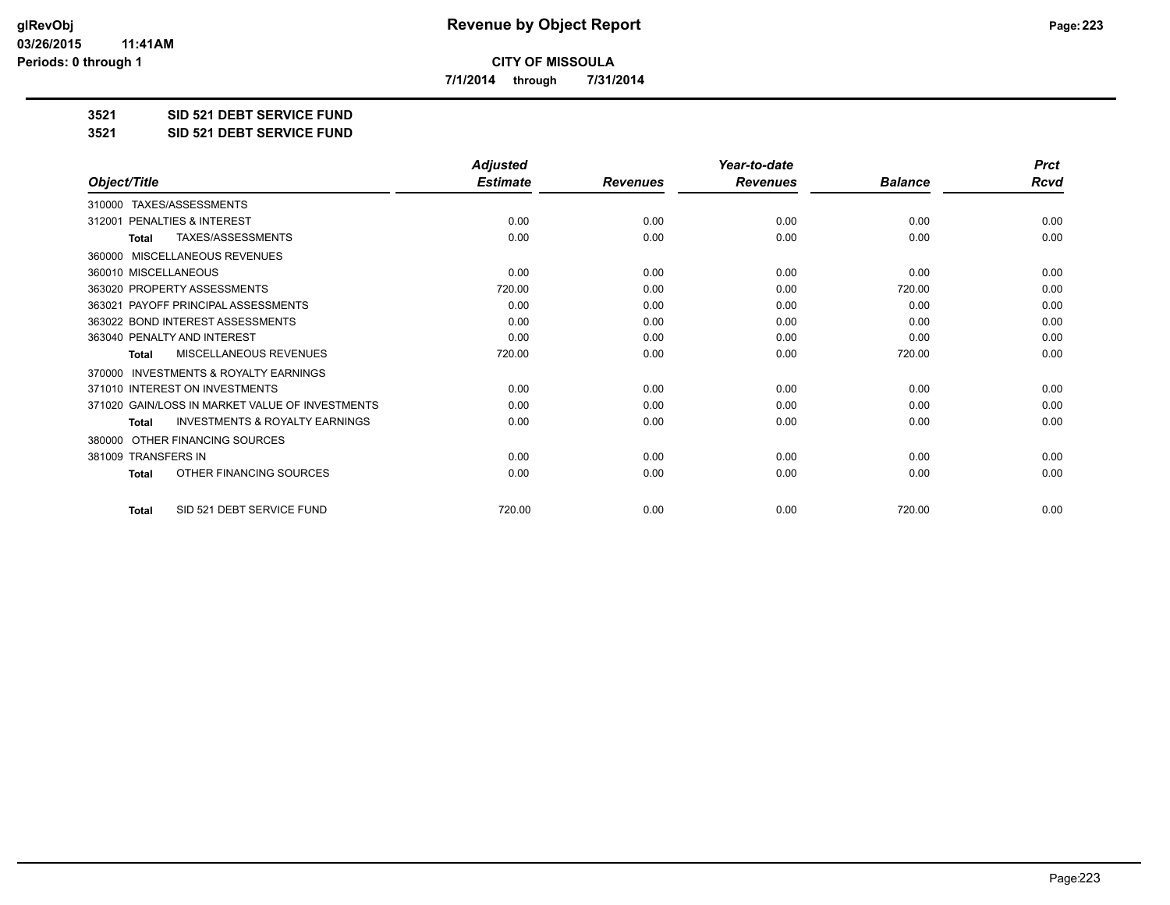**7/1/2014 through 7/31/2014**

**3521 SID 521 DEBT SERVICE FUND**

**3521 SID 521 DEBT SERVICE FUND**

|                                                           | <b>Adjusted</b> |                 | Year-to-date    |                |             |
|-----------------------------------------------------------|-----------------|-----------------|-----------------|----------------|-------------|
| Object/Title                                              | <b>Estimate</b> | <b>Revenues</b> | <b>Revenues</b> | <b>Balance</b> | <b>Rcvd</b> |
| TAXES/ASSESSMENTS<br>310000                               |                 |                 |                 |                |             |
| 312001 PENALTIES & INTEREST                               | 0.00            | 0.00            | 0.00            | 0.00           | 0.00        |
| TAXES/ASSESSMENTS<br><b>Total</b>                         | 0.00            | 0.00            | 0.00            | 0.00           | 0.00        |
| <b>MISCELLANEOUS REVENUES</b><br>360000                   |                 |                 |                 |                |             |
| 360010 MISCELLANEOUS                                      | 0.00            | 0.00            | 0.00            | 0.00           | 0.00        |
| 363020 PROPERTY ASSESSMENTS                               | 720.00          | 0.00            | 0.00            | 720.00         | 0.00        |
| 363021 PAYOFF PRINCIPAL ASSESSMENTS                       | 0.00            | 0.00            | 0.00            | 0.00           | 0.00        |
| 363022 BOND INTEREST ASSESSMENTS                          | 0.00            | 0.00            | 0.00            | 0.00           | 0.00        |
| 363040 PENALTY AND INTEREST                               | 0.00            | 0.00            | 0.00            | 0.00           | 0.00        |
| <b>MISCELLANEOUS REVENUES</b><br><b>Total</b>             | 720.00          | 0.00            | 0.00            | 720.00         | 0.00        |
| <b>INVESTMENTS &amp; ROYALTY EARNINGS</b><br>370000       |                 |                 |                 |                |             |
| 371010 INTEREST ON INVESTMENTS                            | 0.00            | 0.00            | 0.00            | 0.00           | 0.00        |
| 371020 GAIN/LOSS IN MARKET VALUE OF INVESTMENTS           | 0.00            | 0.00            | 0.00            | 0.00           | 0.00        |
| <b>INVESTMENTS &amp; ROYALTY EARNINGS</b><br><b>Total</b> | 0.00            | 0.00            | 0.00            | 0.00           | 0.00        |
| OTHER FINANCING SOURCES<br>380000                         |                 |                 |                 |                |             |
| 381009 TRANSFERS IN                                       | 0.00            | 0.00            | 0.00            | 0.00           | 0.00        |
| OTHER FINANCING SOURCES<br><b>Total</b>                   | 0.00            | 0.00            | 0.00            | 0.00           | 0.00        |
| SID 521 DEBT SERVICE FUND<br><b>Total</b>                 | 720.00          | 0.00            | 0.00            | 720.00         | 0.00        |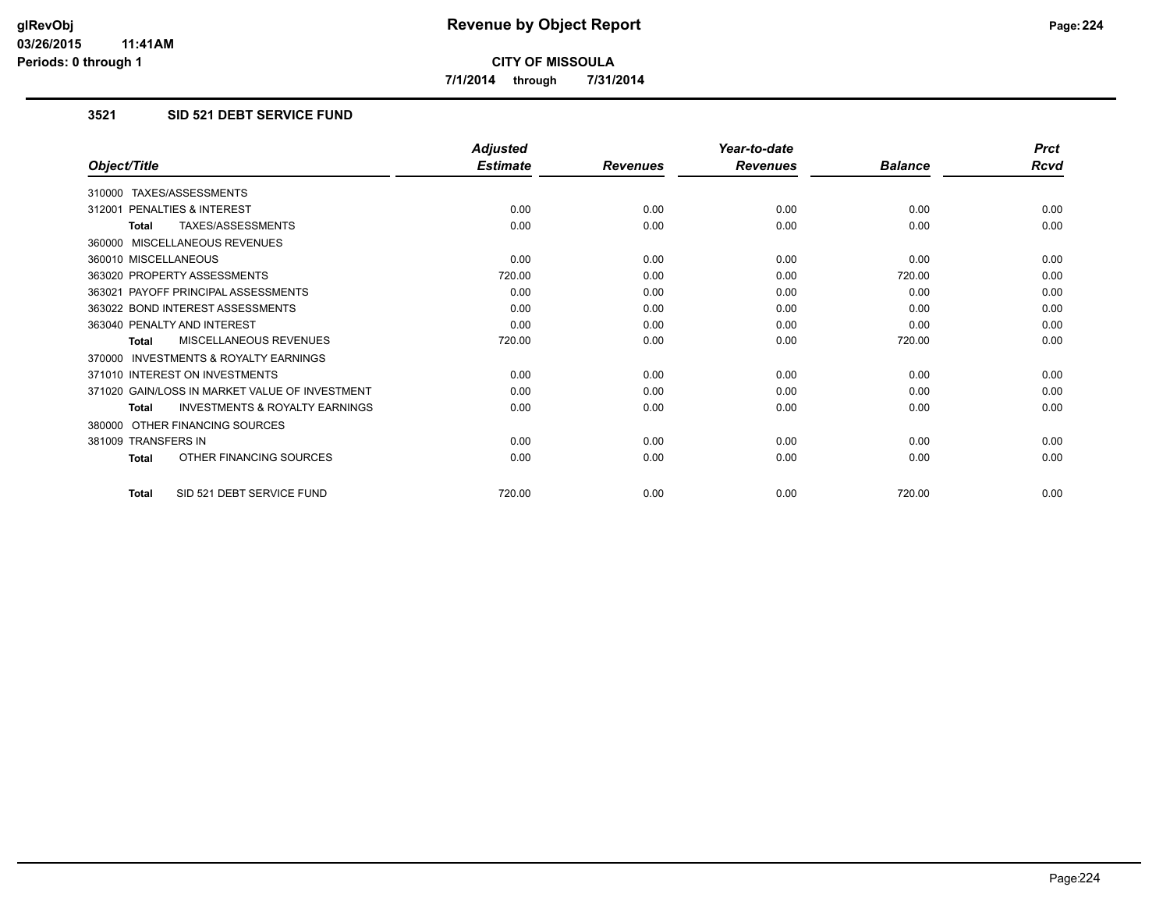**7/1/2014 through 7/31/2014**

## **3521 SID 521 DEBT SERVICE FUND**

|                                                           | <b>Adjusted</b> |                 | Year-to-date    |                | <b>Prct</b> |
|-----------------------------------------------------------|-----------------|-----------------|-----------------|----------------|-------------|
| Object/Title                                              | <b>Estimate</b> | <b>Revenues</b> | <b>Revenues</b> | <b>Balance</b> | Rcvd        |
| 310000 TAXES/ASSESSMENTS                                  |                 |                 |                 |                |             |
| 312001 PENALTIES & INTEREST                               | 0.00            | 0.00            | 0.00            | 0.00           | 0.00        |
| <b>TAXES/ASSESSMENTS</b><br><b>Total</b>                  | 0.00            | 0.00            | 0.00            | 0.00           | 0.00        |
| 360000 MISCELLANEOUS REVENUES                             |                 |                 |                 |                |             |
| 360010 MISCELLANEOUS                                      | 0.00            | 0.00            | 0.00            | 0.00           | 0.00        |
| 363020 PROPERTY ASSESSMENTS                               | 720.00          | 0.00            | 0.00            | 720.00         | 0.00        |
| 363021 PAYOFF PRINCIPAL ASSESSMENTS                       | 0.00            | 0.00            | 0.00            | 0.00           | 0.00        |
| 363022 BOND INTEREST ASSESSMENTS                          | 0.00            | 0.00            | 0.00            | 0.00           | 0.00        |
| 363040 PENALTY AND INTEREST                               | 0.00            | 0.00            | 0.00            | 0.00           | 0.00        |
| <b>MISCELLANEOUS REVENUES</b><br><b>Total</b>             | 720.00          | 0.00            | 0.00            | 720.00         | 0.00        |
| <b>INVESTMENTS &amp; ROYALTY EARNINGS</b><br>370000       |                 |                 |                 |                |             |
| 371010 INTEREST ON INVESTMENTS                            | 0.00            | 0.00            | 0.00            | 0.00           | 0.00        |
| 371020 GAIN/LOSS IN MARKET VALUE OF INVESTMENT            | 0.00            | 0.00            | 0.00            | 0.00           | 0.00        |
| <b>INVESTMENTS &amp; ROYALTY EARNINGS</b><br><b>Total</b> | 0.00            | 0.00            | 0.00            | 0.00           | 0.00        |
| 380000 OTHER FINANCING SOURCES                            |                 |                 |                 |                |             |
| 381009 TRANSFERS IN                                       | 0.00            | 0.00            | 0.00            | 0.00           | 0.00        |
| OTHER FINANCING SOURCES<br><b>Total</b>                   | 0.00            | 0.00            | 0.00            | 0.00           | 0.00        |
| SID 521 DEBT SERVICE FUND<br>Total                        | 720.00          | 0.00            | 0.00            | 720.00         | 0.00        |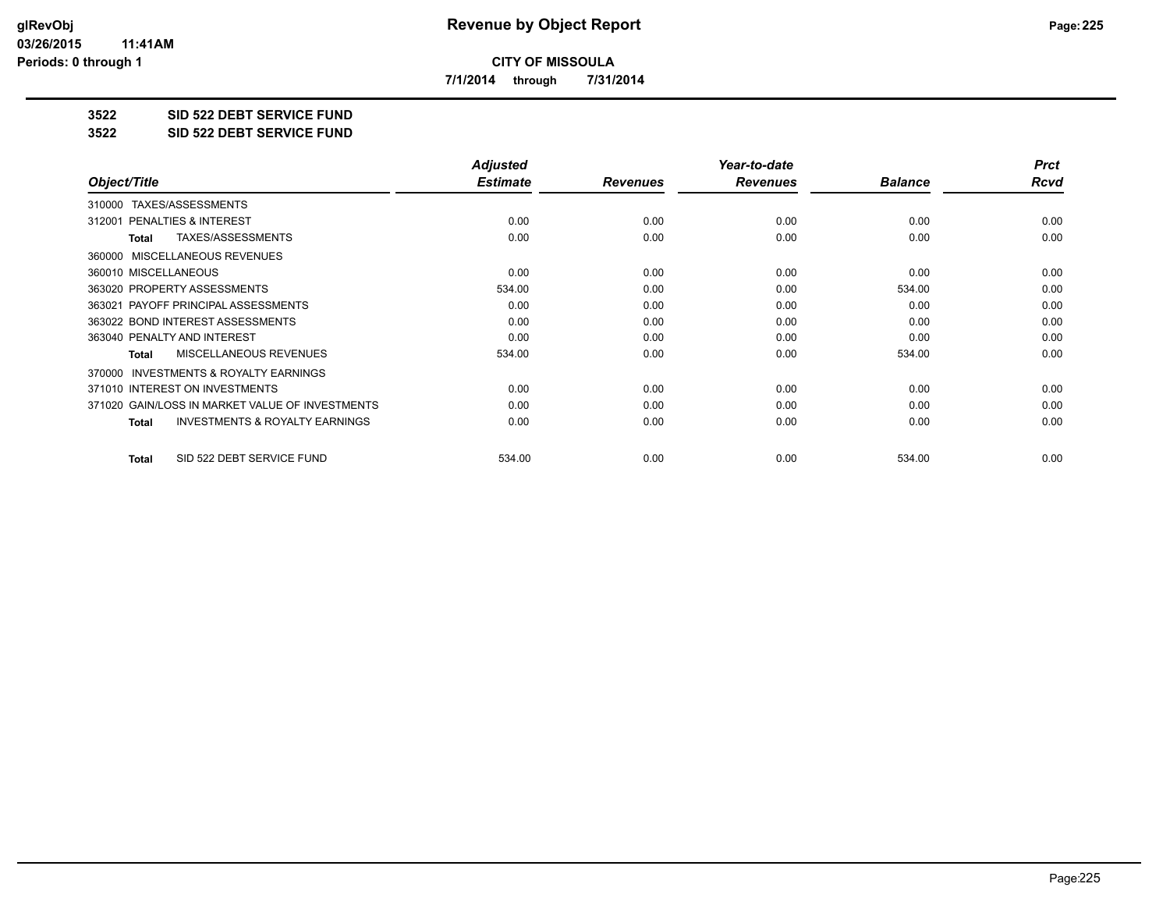**7/1/2014 through 7/31/2014**

**3522 SID 522 DEBT SERVICE FUND**

**3522 SID 522 DEBT SERVICE FUND**

|                                                           | <b>Adjusted</b> |                 | Year-to-date    |                | <b>Prct</b> |
|-----------------------------------------------------------|-----------------|-----------------|-----------------|----------------|-------------|
| Object/Title                                              | <b>Estimate</b> | <b>Revenues</b> | <b>Revenues</b> | <b>Balance</b> | Rcvd        |
| TAXES/ASSESSMENTS<br>310000                               |                 |                 |                 |                |             |
| 312001 PENALTIES & INTEREST                               | 0.00            | 0.00            | 0.00            | 0.00           | 0.00        |
| TAXES/ASSESSMENTS<br>Total                                | 0.00            | 0.00            | 0.00            | 0.00           | 0.00        |
| MISCELLANEOUS REVENUES<br>360000                          |                 |                 |                 |                |             |
| 360010 MISCELLANEOUS                                      | 0.00            | 0.00            | 0.00            | 0.00           | 0.00        |
| 363020 PROPERTY ASSESSMENTS                               | 534.00          | 0.00            | 0.00            | 534.00         | 0.00        |
| 363021 PAYOFF PRINCIPAL ASSESSMENTS                       | 0.00            | 0.00            | 0.00            | 0.00           | 0.00        |
| 363022 BOND INTEREST ASSESSMENTS                          | 0.00            | 0.00            | 0.00            | 0.00           | 0.00        |
| 363040 PENALTY AND INTEREST                               | 0.00            | 0.00            | 0.00            | 0.00           | 0.00        |
| <b>MISCELLANEOUS REVENUES</b><br>Total                    | 534.00          | 0.00            | 0.00            | 534.00         | 0.00        |
| <b>INVESTMENTS &amp; ROYALTY EARNINGS</b><br>370000       |                 |                 |                 |                |             |
| 371010 INTEREST ON INVESTMENTS                            | 0.00            | 0.00            | 0.00            | 0.00           | 0.00        |
| 371020 GAIN/LOSS IN MARKET VALUE OF INVESTMENTS           | 0.00            | 0.00            | 0.00            | 0.00           | 0.00        |
| <b>INVESTMENTS &amp; ROYALTY EARNINGS</b><br><b>Total</b> | 0.00            | 0.00            | 0.00            | 0.00           | 0.00        |
| SID 522 DEBT SERVICE FUND<br>Total                        | 534.00          | 0.00            | 0.00            | 534.00         | 0.00        |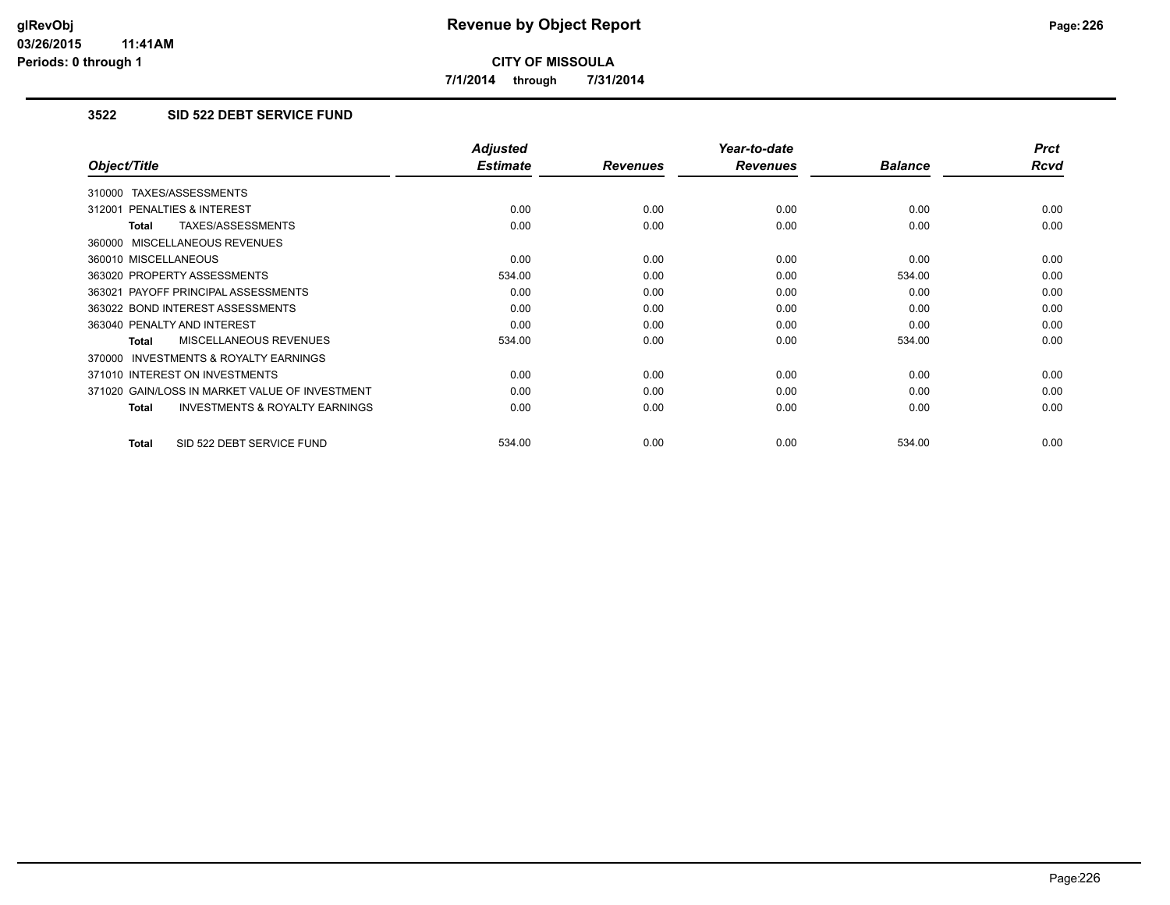**7/1/2014 through 7/31/2014**

## **3522 SID 522 DEBT SERVICE FUND**

|                                                           | <b>Adjusted</b> |                 | Year-to-date    |                | <b>Prct</b> |
|-----------------------------------------------------------|-----------------|-----------------|-----------------|----------------|-------------|
| Object/Title                                              | <b>Estimate</b> | <b>Revenues</b> | <b>Revenues</b> | <b>Balance</b> | <b>Rcvd</b> |
| 310000 TAXES/ASSESSMENTS                                  |                 |                 |                 |                |             |
| 312001 PENALTIES & INTEREST                               | 0.00            | 0.00            | 0.00            | 0.00           | 0.00        |
| TAXES/ASSESSMENTS<br><b>Total</b>                         | 0.00            | 0.00            | 0.00            | 0.00           | 0.00        |
| 360000 MISCELLANEOUS REVENUES                             |                 |                 |                 |                |             |
| 360010 MISCELLANEOUS                                      | 0.00            | 0.00            | 0.00            | 0.00           | 0.00        |
| 363020 PROPERTY ASSESSMENTS                               | 534.00          | 0.00            | 0.00            | 534.00         | 0.00        |
| 363021 PAYOFF PRINCIPAL ASSESSMENTS                       | 0.00            | 0.00            | 0.00            | 0.00           | 0.00        |
| 363022 BOND INTEREST ASSESSMENTS                          | 0.00            | 0.00            | 0.00            | 0.00           | 0.00        |
| 363040 PENALTY AND INTEREST                               | 0.00            | 0.00            | 0.00            | 0.00           | 0.00        |
| MISCELLANEOUS REVENUES<br><b>Total</b>                    | 534.00          | 0.00            | 0.00            | 534.00         | 0.00        |
| INVESTMENTS & ROYALTY EARNINGS<br>370000                  |                 |                 |                 |                |             |
| 371010 INTEREST ON INVESTMENTS                            | 0.00            | 0.00            | 0.00            | 0.00           | 0.00        |
| 371020 GAIN/LOSS IN MARKET VALUE OF INVESTMENT            | 0.00            | 0.00            | 0.00            | 0.00           | 0.00        |
| <b>INVESTMENTS &amp; ROYALTY EARNINGS</b><br><b>Total</b> | 0.00            | 0.00            | 0.00            | 0.00           | 0.00        |
| SID 522 DEBT SERVICE FUND<br><b>Total</b>                 | 534.00          | 0.00            | 0.00            | 534.00         | 0.00        |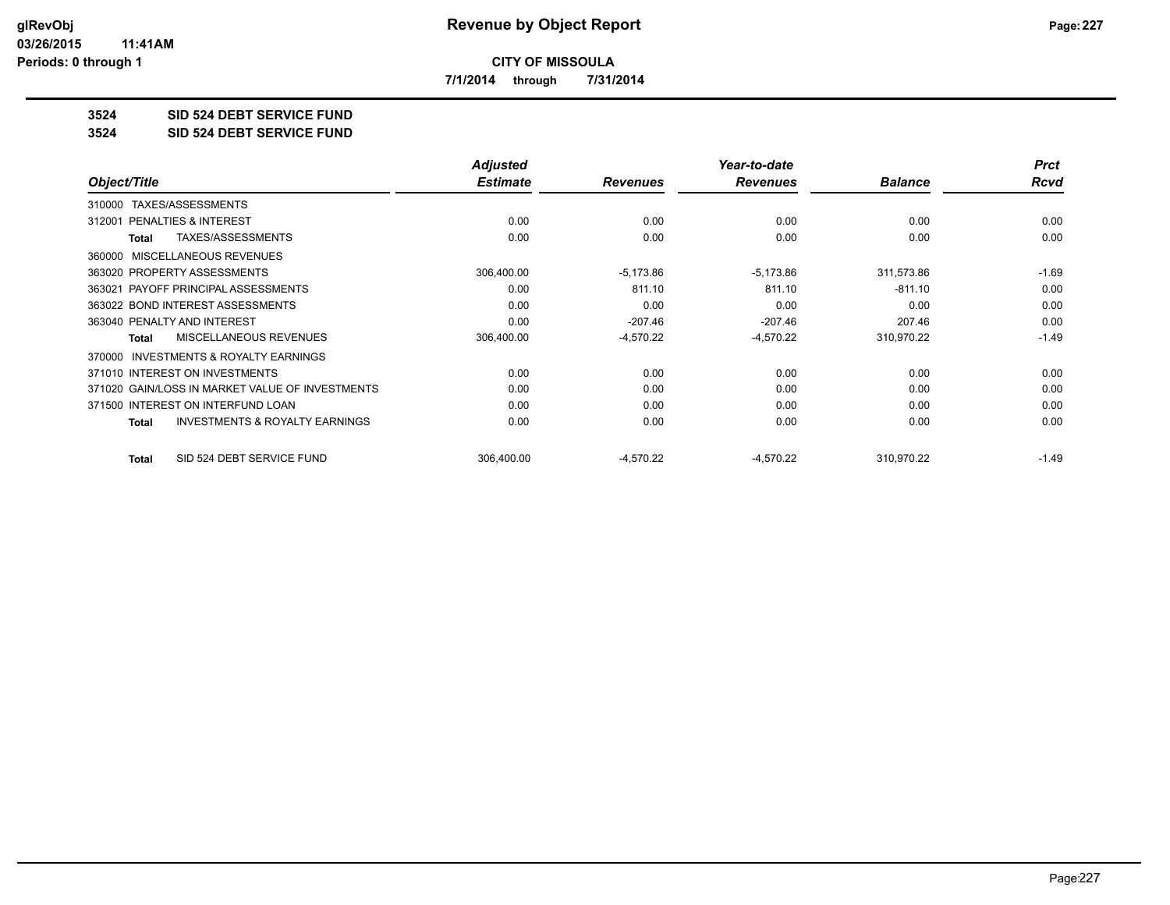**7/1/2014 through 7/31/2014**

**3524 SID 524 DEBT SERVICE FUND**

**3524 SID 524 DEBT SERVICE FUND**

|                                                     | <b>Adjusted</b> |                 | Year-to-date    |                | <b>Prct</b> |
|-----------------------------------------------------|-----------------|-----------------|-----------------|----------------|-------------|
| Object/Title                                        | <b>Estimate</b> | <b>Revenues</b> | <b>Revenues</b> | <b>Balance</b> | <b>Rcvd</b> |
| TAXES/ASSESSMENTS<br>310000                         |                 |                 |                 |                |             |
| 312001 PENALTIES & INTEREST                         | 0.00            | 0.00            | 0.00            | 0.00           | 0.00        |
| TAXES/ASSESSMENTS<br>Total                          | 0.00            | 0.00            | 0.00            | 0.00           | 0.00        |
| MISCELLANEOUS REVENUES<br>360000                    |                 |                 |                 |                |             |
| 363020 PROPERTY ASSESSMENTS                         | 306,400.00      | $-5,173.86$     | $-5,173.86$     | 311,573.86     | $-1.69$     |
| 363021 PAYOFF PRINCIPAL ASSESSMENTS                 | 0.00            | 811.10          | 811.10          | $-811.10$      | 0.00        |
| 363022 BOND INTEREST ASSESSMENTS                    | 0.00            | 0.00            | 0.00            | 0.00           | 0.00        |
| 363040 PENALTY AND INTEREST                         | 0.00            | $-207.46$       | $-207.46$       | 207.46         | 0.00        |
| MISCELLANEOUS REVENUES<br>Total                     | 306,400.00      | $-4,570.22$     | $-4,570.22$     | 310,970.22     | $-1.49$     |
| <b>INVESTMENTS &amp; ROYALTY EARNINGS</b><br>370000 |                 |                 |                 |                |             |
| 371010 INTEREST ON INVESTMENTS                      | 0.00            | 0.00            | 0.00            | 0.00           | 0.00        |
| 371020 GAIN/LOSS IN MARKET VALUE OF INVESTMENTS     | 0.00            | 0.00            | 0.00            | 0.00           | 0.00        |
| 371500 INTEREST ON INTERFUND LOAN                   | 0.00            | 0.00            | 0.00            | 0.00           | 0.00        |
| <b>INVESTMENTS &amp; ROYALTY EARNINGS</b><br>Total  | 0.00            | 0.00            | 0.00            | 0.00           | 0.00        |
| SID 524 DEBT SERVICE FUND<br><b>Total</b>           | 306,400.00      | $-4,570.22$     | $-4,570.22$     | 310,970.22     | $-1.49$     |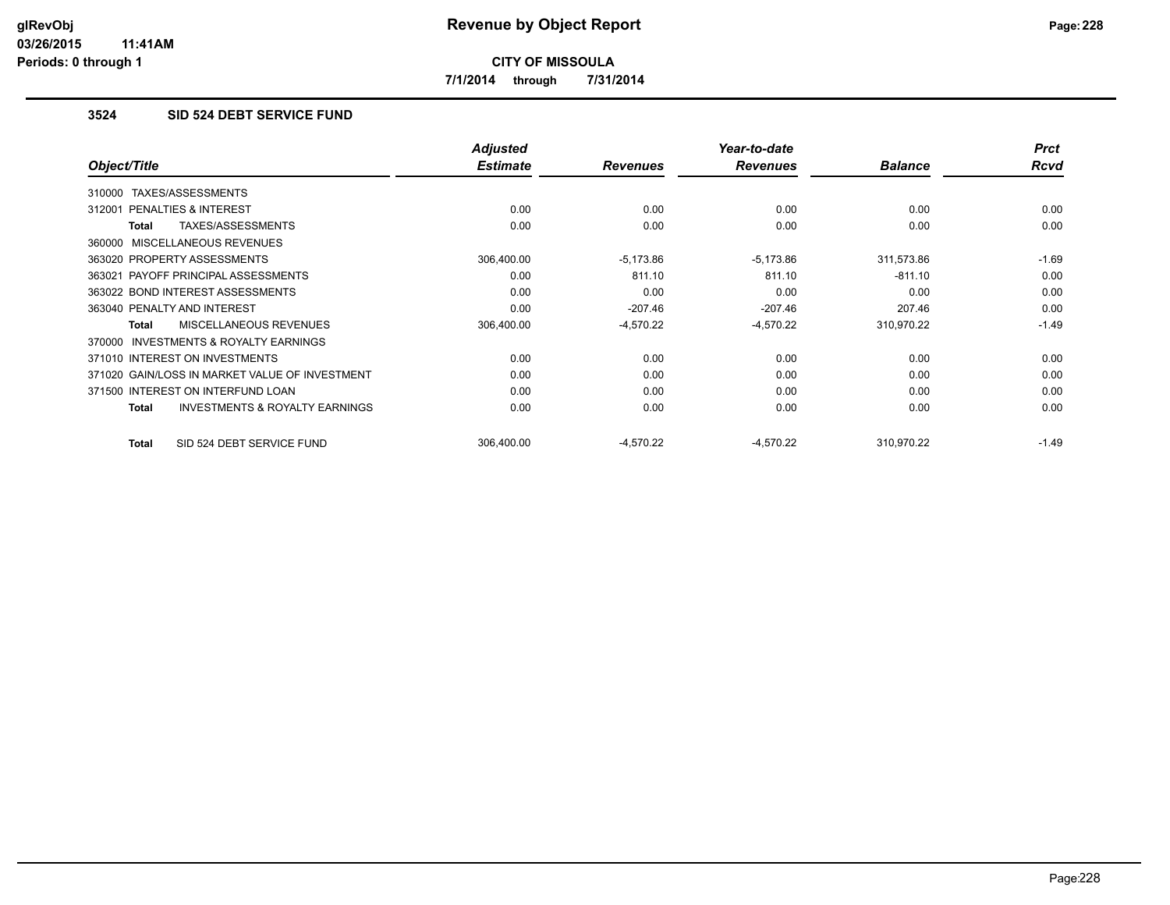**7/1/2014 through 7/31/2014**

## **3524 SID 524 DEBT SERVICE FUND**

|                                                     | <b>Adjusted</b> |                 | Year-to-date    |                | <b>Prct</b> |
|-----------------------------------------------------|-----------------|-----------------|-----------------|----------------|-------------|
| Object/Title                                        | <b>Estimate</b> | <b>Revenues</b> | <b>Revenues</b> | <b>Balance</b> | <b>Rcvd</b> |
| TAXES/ASSESSMENTS<br>310000                         |                 |                 |                 |                |             |
| 312001 PENALTIES & INTEREST                         | 0.00            | 0.00            | 0.00            | 0.00           | 0.00        |
| TAXES/ASSESSMENTS<br>Total                          | 0.00            | 0.00            | 0.00            | 0.00           | 0.00        |
| 360000 MISCELLANEOUS REVENUES                       |                 |                 |                 |                |             |
| 363020 PROPERTY ASSESSMENTS                         | 306,400.00      | $-5,173.86$     | $-5,173.86$     | 311,573.86     | $-1.69$     |
| 363021 PAYOFF PRINCIPAL ASSESSMENTS                 | 0.00            | 811.10          | 811.10          | $-811.10$      | 0.00        |
| 363022 BOND INTEREST ASSESSMENTS                    | 0.00            | 0.00            | 0.00            | 0.00           | 0.00        |
| 363040 PENALTY AND INTEREST                         | 0.00            | $-207.46$       | $-207.46$       | 207.46         | 0.00        |
| <b>MISCELLANEOUS REVENUES</b><br><b>Total</b>       | 306,400.00      | $-4,570.22$     | $-4,570.22$     | 310,970.22     | $-1.49$     |
| <b>INVESTMENTS &amp; ROYALTY EARNINGS</b><br>370000 |                 |                 |                 |                |             |
| 371010 INTEREST ON INVESTMENTS                      | 0.00            | 0.00            | 0.00            | 0.00           | 0.00        |
| 371020 GAIN/LOSS IN MARKET VALUE OF INVESTMENT      | 0.00            | 0.00            | 0.00            | 0.00           | 0.00        |
| 371500 INTEREST ON INTERFUND LOAN                   | 0.00            | 0.00            | 0.00            | 0.00           | 0.00        |
| <b>INVESTMENTS &amp; ROYALTY EARNINGS</b><br>Total  | 0.00            | 0.00            | 0.00            | 0.00           | 0.00        |
| SID 524 DEBT SERVICE FUND<br>Total                  | 306.400.00      | $-4,570.22$     | $-4,570.22$     | 310,970.22     | $-1.49$     |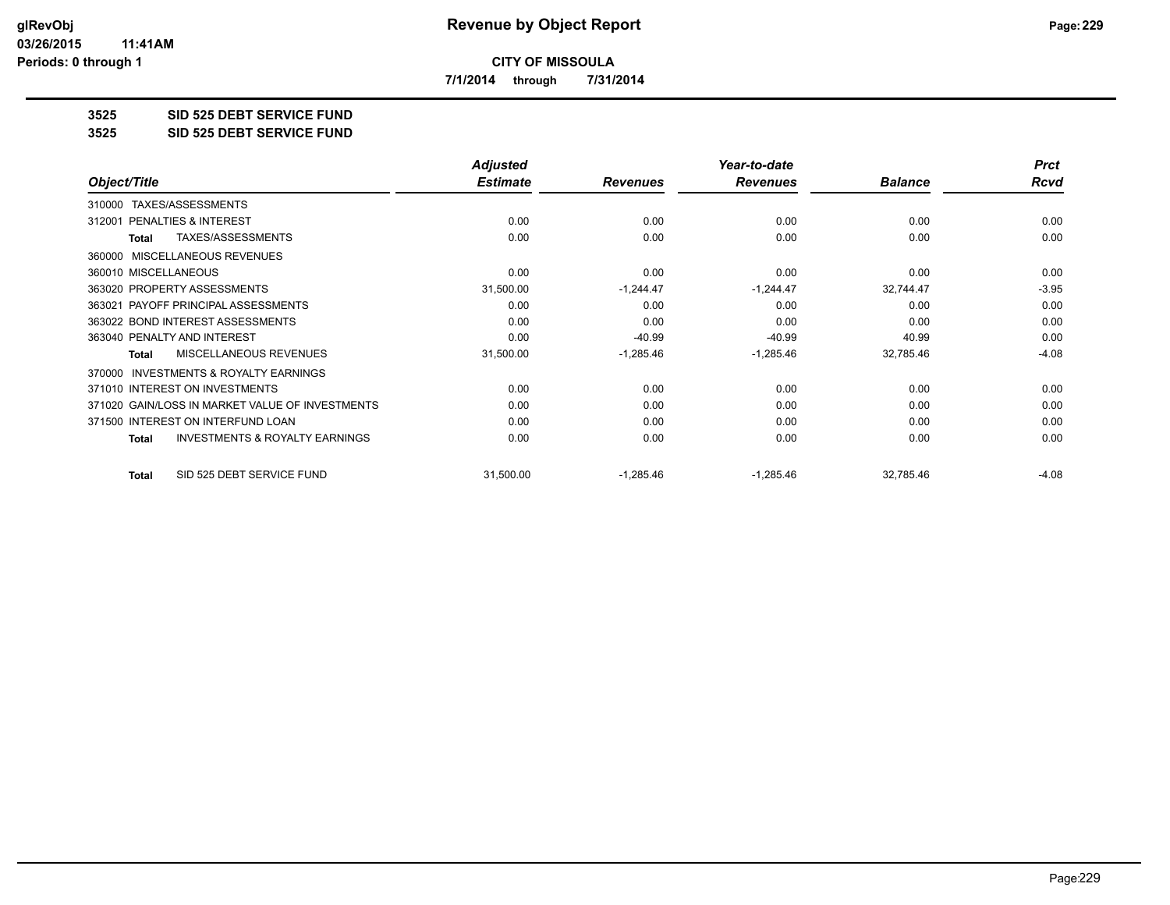**7/1/2014 through 7/31/2014**

**3525 SID 525 DEBT SERVICE FUND**

**3525 SID 525 DEBT SERVICE FUND**

|                                                           | <b>Adjusted</b> |                 | Year-to-date    |                | <b>Prct</b> |
|-----------------------------------------------------------|-----------------|-----------------|-----------------|----------------|-------------|
| Object/Title                                              | <b>Estimate</b> | <b>Revenues</b> | <b>Revenues</b> | <b>Balance</b> | Rcvd        |
| TAXES/ASSESSMENTS<br>310000                               |                 |                 |                 |                |             |
| <b>PENALTIES &amp; INTEREST</b><br>312001                 | 0.00            | 0.00            | 0.00            | 0.00           | 0.00        |
| TAXES/ASSESSMENTS<br><b>Total</b>                         | 0.00            | 0.00            | 0.00            | 0.00           | 0.00        |
| MISCELLANEOUS REVENUES<br>360000                          |                 |                 |                 |                |             |
| 360010 MISCELLANEOUS                                      | 0.00            | 0.00            | 0.00            | 0.00           | 0.00        |
| 363020 PROPERTY ASSESSMENTS                               | 31,500.00       | $-1,244.47$     | $-1,244.47$     | 32,744.47      | $-3.95$     |
| 363021 PAYOFF PRINCIPAL ASSESSMENTS                       | 0.00            | 0.00            | 0.00            | 0.00           | 0.00        |
| 363022 BOND INTEREST ASSESSMENTS                          | 0.00            | 0.00            | 0.00            | 0.00           | 0.00        |
| 363040 PENALTY AND INTEREST                               | 0.00            | $-40.99$        | $-40.99$        | 40.99          | 0.00        |
| <b>MISCELLANEOUS REVENUES</b><br>Total                    | 31,500.00       | $-1,285.46$     | $-1,285.46$     | 32,785.46      | $-4.08$     |
| INVESTMENTS & ROYALTY EARNINGS<br>370000                  |                 |                 |                 |                |             |
| 371010 INTEREST ON INVESTMENTS                            | 0.00            | 0.00            | 0.00            | 0.00           | 0.00        |
| 371020 GAIN/LOSS IN MARKET VALUE OF INVESTMENTS           | 0.00            | 0.00            | 0.00            | 0.00           | 0.00        |
| 371500 INTEREST ON INTERFUND LOAN                         | 0.00            | 0.00            | 0.00            | 0.00           | 0.00        |
| <b>INVESTMENTS &amp; ROYALTY EARNINGS</b><br><b>Total</b> | 0.00            | 0.00            | 0.00            | 0.00           | 0.00        |
| SID 525 DEBT SERVICE FUND<br><b>Total</b>                 | 31,500.00       | $-1,285.46$     | $-1,285.46$     | 32,785.46      | $-4.08$     |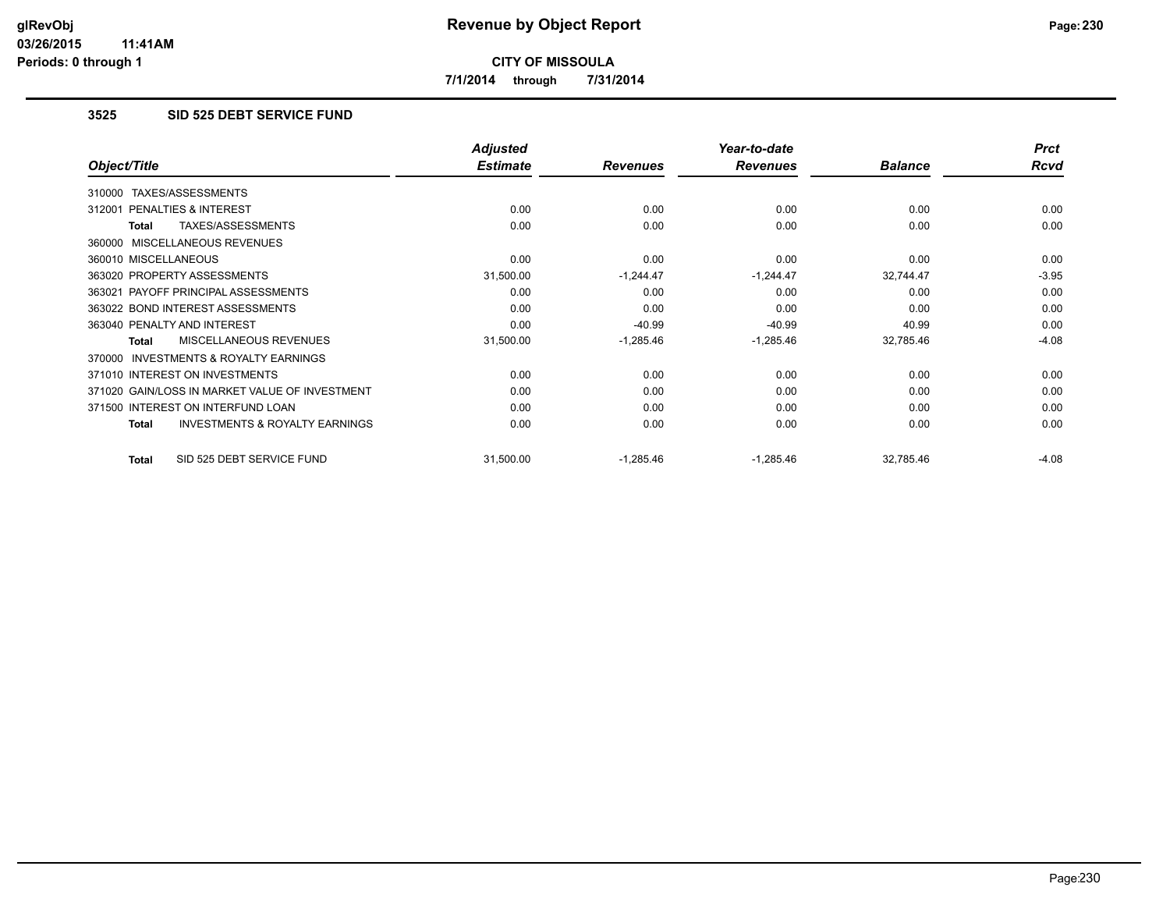**7/1/2014 through 7/31/2014**

## **3525 SID 525 DEBT SERVICE FUND**

|                                                           | <b>Adjusted</b> |                 | Year-to-date    |                | <b>Prct</b> |
|-----------------------------------------------------------|-----------------|-----------------|-----------------|----------------|-------------|
| Object/Title                                              | <b>Estimate</b> | <b>Revenues</b> | <b>Revenues</b> | <b>Balance</b> | Rcvd        |
| TAXES/ASSESSMENTS<br>310000                               |                 |                 |                 |                |             |
| <b>PENALTIES &amp; INTEREST</b><br>312001                 | 0.00            | 0.00            | 0.00            | 0.00           | 0.00        |
| TAXES/ASSESSMENTS<br><b>Total</b>                         | 0.00            | 0.00            | 0.00            | 0.00           | 0.00        |
| 360000 MISCELLANEOUS REVENUES                             |                 |                 |                 |                |             |
| 360010 MISCELLANEOUS                                      | 0.00            | 0.00            | 0.00            | 0.00           | 0.00        |
| 363020 PROPERTY ASSESSMENTS                               | 31,500.00       | $-1,244.47$     | $-1,244.47$     | 32,744.47      | $-3.95$     |
| 363021 PAYOFF PRINCIPAL ASSESSMENTS                       | 0.00            | 0.00            | 0.00            | 0.00           | 0.00        |
| 363022 BOND INTEREST ASSESSMENTS                          | 0.00            | 0.00            | 0.00            | 0.00           | 0.00        |
| 363040 PENALTY AND INTEREST                               | 0.00            | $-40.99$        | $-40.99$        | 40.99          | 0.00        |
| <b>MISCELLANEOUS REVENUES</b><br><b>Total</b>             | 31,500.00       | $-1,285.46$     | $-1,285.46$     | 32,785.46      | $-4.08$     |
| 370000 INVESTMENTS & ROYALTY EARNINGS                     |                 |                 |                 |                |             |
| 371010 INTEREST ON INVESTMENTS                            | 0.00            | 0.00            | 0.00            | 0.00           | 0.00        |
| 371020 GAIN/LOSS IN MARKET VALUE OF INVESTMENT            | 0.00            | 0.00            | 0.00            | 0.00           | 0.00        |
| 371500 INTEREST ON INTERFUND LOAN                         | 0.00            | 0.00            | 0.00            | 0.00           | 0.00        |
| <b>INVESTMENTS &amp; ROYALTY EARNINGS</b><br><b>Total</b> | 0.00            | 0.00            | 0.00            | 0.00           | 0.00        |
| SID 525 DEBT SERVICE FUND<br><b>Total</b>                 | 31,500.00       | $-1,285.46$     | $-1,285.46$     | 32,785.46      | $-4.08$     |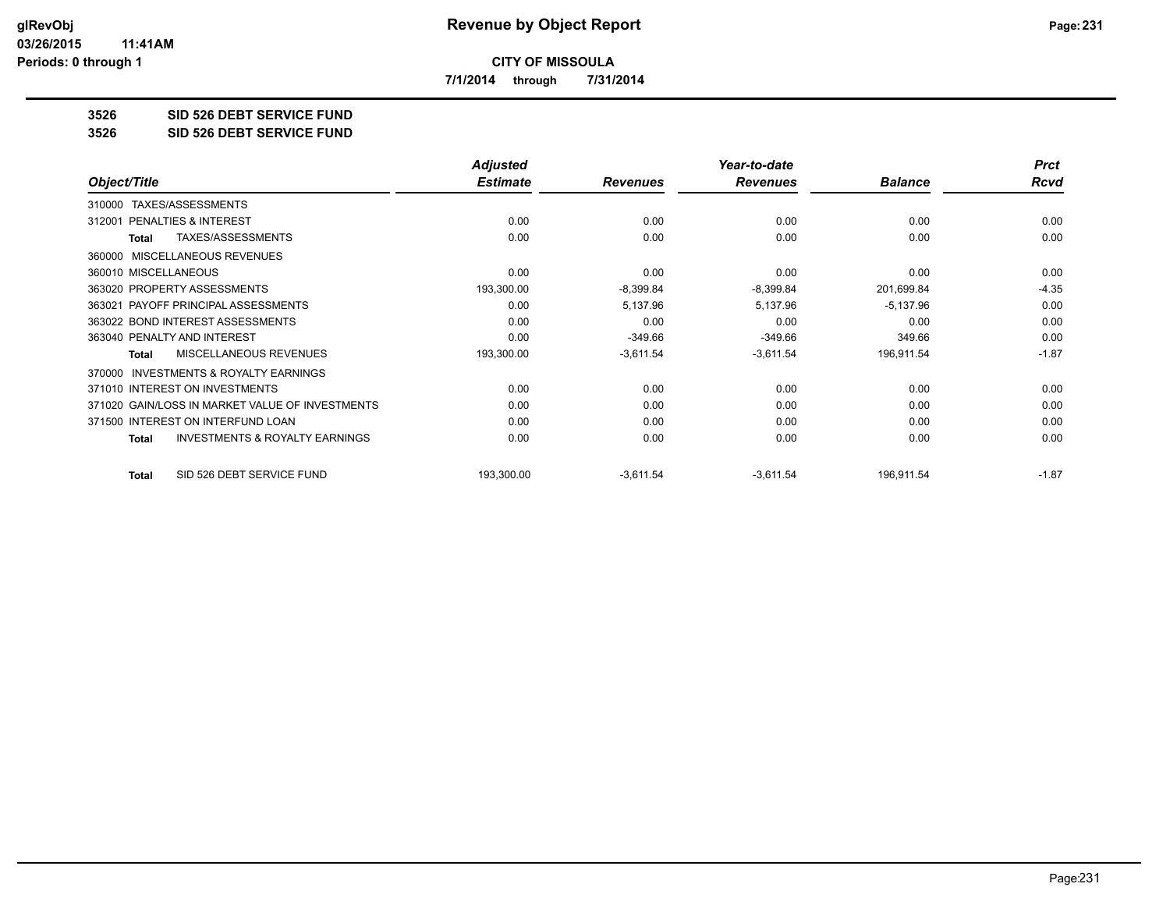**7/1/2014 through 7/31/2014**

**3526 SID 526 DEBT SERVICE FUND**

**3526 SID 526 DEBT SERVICE FUND**

|                                                           | <b>Adjusted</b> |                 | Year-to-date    |                | <b>Prct</b> |
|-----------------------------------------------------------|-----------------|-----------------|-----------------|----------------|-------------|
| Object/Title                                              | <b>Estimate</b> | <b>Revenues</b> | <b>Revenues</b> | <b>Balance</b> | Rcvd        |
| TAXES/ASSESSMENTS<br>310000                               |                 |                 |                 |                |             |
| PENALTIES & INTEREST<br>312001                            | 0.00            | 0.00            | 0.00            | 0.00           | 0.00        |
| TAXES/ASSESSMENTS<br><b>Total</b>                         | 0.00            | 0.00            | 0.00            | 0.00           | 0.00        |
| MISCELLANEOUS REVENUES<br>360000                          |                 |                 |                 |                |             |
| 360010 MISCELLANEOUS                                      | 0.00            | 0.00            | 0.00            | 0.00           | 0.00        |
| 363020 PROPERTY ASSESSMENTS                               | 193,300.00      | $-8,399.84$     | $-8,399.84$     | 201,699.84     | $-4.35$     |
| 363021 PAYOFF PRINCIPAL ASSESSMENTS                       | 0.00            | 5,137.96        | 5,137.96        | $-5,137.96$    | 0.00        |
| 363022 BOND INTEREST ASSESSMENTS                          | 0.00            | 0.00            | 0.00            | 0.00           | 0.00        |
| 363040 PENALTY AND INTEREST                               | 0.00            | $-349.66$       | $-349.66$       | 349.66         | 0.00        |
| <b>MISCELLANEOUS REVENUES</b><br><b>Total</b>             | 193,300.00      | $-3,611.54$     | $-3,611.54$     | 196,911.54     | $-1.87$     |
| <b>INVESTMENTS &amp; ROYALTY EARNINGS</b><br>370000       |                 |                 |                 |                |             |
| 371010 INTEREST ON INVESTMENTS                            | 0.00            | 0.00            | 0.00            | 0.00           | 0.00        |
| 371020 GAIN/LOSS IN MARKET VALUE OF INVESTMENTS           | 0.00            | 0.00            | 0.00            | 0.00           | 0.00        |
| 371500 INTEREST ON INTERFUND LOAN                         | 0.00            | 0.00            | 0.00            | 0.00           | 0.00        |
| <b>INVESTMENTS &amp; ROYALTY EARNINGS</b><br><b>Total</b> | 0.00            | 0.00            | 0.00            | 0.00           | 0.00        |
| SID 526 DEBT SERVICE FUND<br><b>Total</b>                 | 193,300.00      | $-3,611.54$     | $-3,611.54$     | 196,911.54     | $-1.87$     |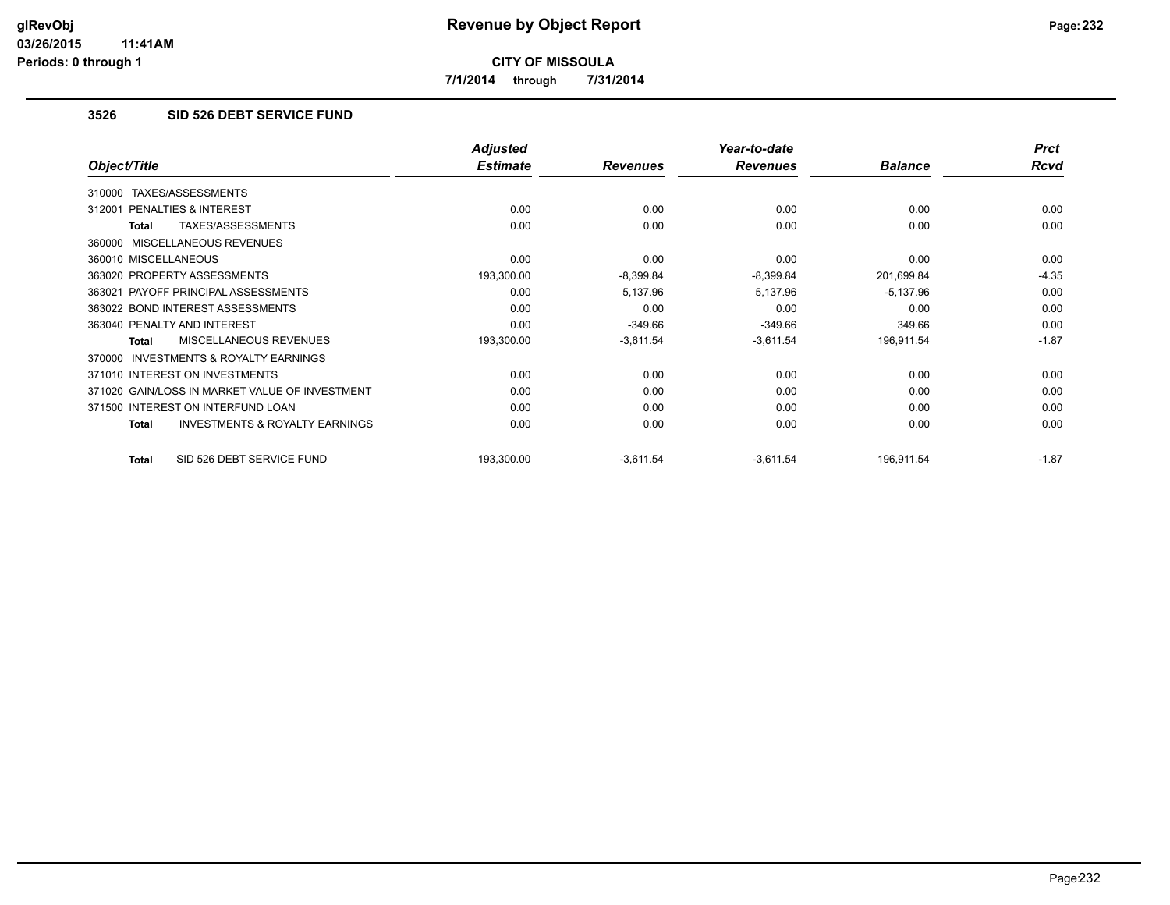**7/1/2014 through 7/31/2014**

## **3526 SID 526 DEBT SERVICE FUND**

|                                                           | <b>Adjusted</b> |                 | Year-to-date    |                | <b>Prct</b> |
|-----------------------------------------------------------|-----------------|-----------------|-----------------|----------------|-------------|
| Object/Title                                              | <b>Estimate</b> | <b>Revenues</b> | <b>Revenues</b> | <b>Balance</b> | Rcvd        |
| TAXES/ASSESSMENTS<br>310000                               |                 |                 |                 |                |             |
| PENALTIES & INTEREST<br>312001                            | 0.00            | 0.00            | 0.00            | 0.00           | 0.00        |
| TAXES/ASSESSMENTS<br>Total                                | 0.00            | 0.00            | 0.00            | 0.00           | 0.00        |
| 360000 MISCELLANEOUS REVENUES                             |                 |                 |                 |                |             |
| 360010 MISCELLANEOUS                                      | 0.00            | 0.00            | 0.00            | 0.00           | 0.00        |
| 363020 PROPERTY ASSESSMENTS                               | 193,300.00      | $-8,399.84$     | -8,399.84       | 201,699.84     | $-4.35$     |
| 363021 PAYOFF PRINCIPAL ASSESSMENTS                       | 0.00            | 5,137.96        | 5,137.96        | $-5,137.96$    | 0.00        |
| 363022 BOND INTEREST ASSESSMENTS                          | 0.00            | 0.00            | 0.00            | 0.00           | 0.00        |
| 363040 PENALTY AND INTEREST                               | 0.00            | $-349.66$       | $-349.66$       | 349.66         | 0.00        |
| MISCELLANEOUS REVENUES<br><b>Total</b>                    | 193,300.00      | $-3,611.54$     | $-3,611.54$     | 196,911.54     | $-1.87$     |
| 370000 INVESTMENTS & ROYALTY EARNINGS                     |                 |                 |                 |                |             |
| 371010 INTEREST ON INVESTMENTS                            | 0.00            | 0.00            | 0.00            | 0.00           | 0.00        |
| 371020 GAIN/LOSS IN MARKET VALUE OF INVESTMENT            | 0.00            | 0.00            | 0.00            | 0.00           | 0.00        |
| 371500 INTEREST ON INTERFUND LOAN                         | 0.00            | 0.00            | 0.00            | 0.00           | 0.00        |
| <b>INVESTMENTS &amp; ROYALTY EARNINGS</b><br><b>Total</b> | 0.00            | 0.00            | 0.00            | 0.00           | 0.00        |
| SID 526 DEBT SERVICE FUND<br><b>Total</b>                 | 193,300.00      | $-3,611.54$     | $-3,611.54$     | 196,911.54     | $-1.87$     |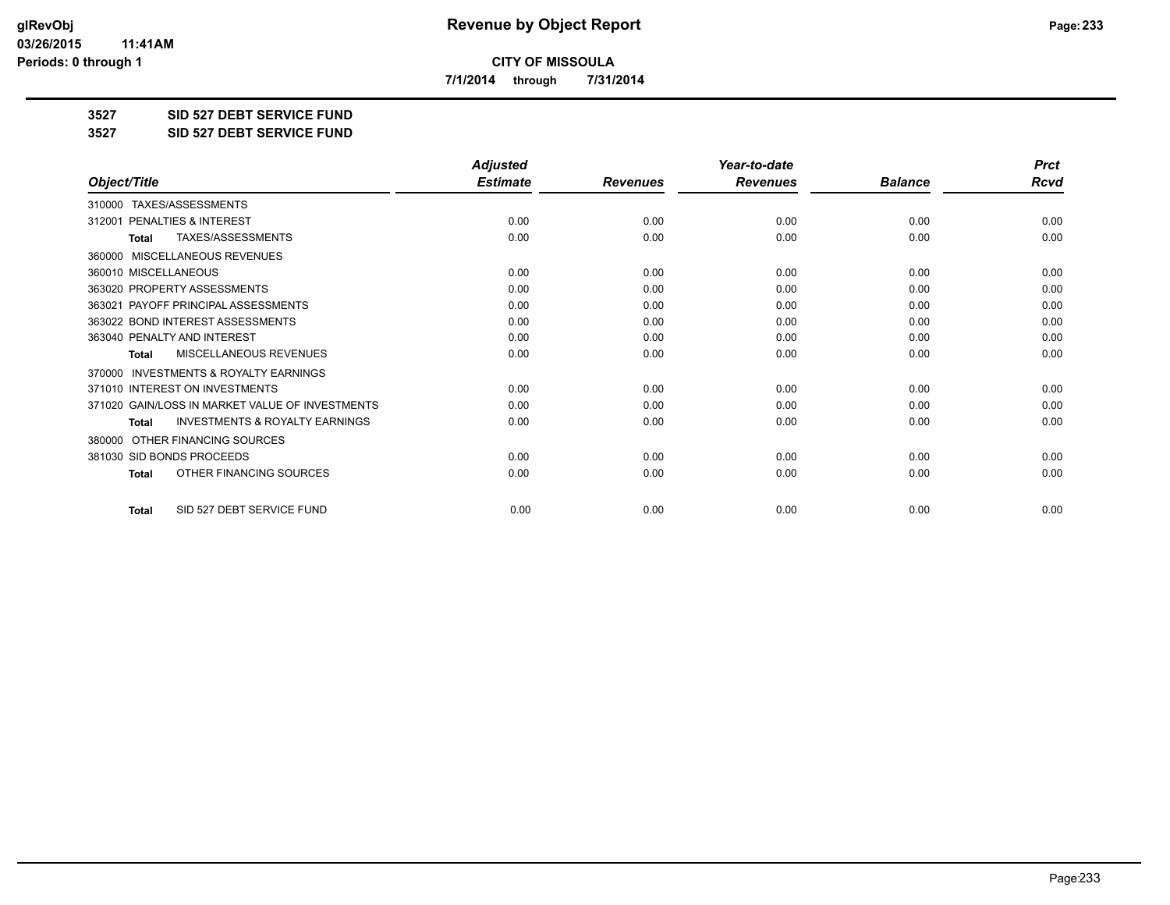**7/1/2014 through 7/31/2014**

**3527 SID 527 DEBT SERVICE FUND**

**3527 SID 527 DEBT SERVICE FUND**

|                                                           | <b>Adjusted</b> |                 | Year-to-date    |                | <b>Prct</b> |
|-----------------------------------------------------------|-----------------|-----------------|-----------------|----------------|-------------|
| Object/Title                                              | <b>Estimate</b> | <b>Revenues</b> | <b>Revenues</b> | <b>Balance</b> | Rcvd        |
| TAXES/ASSESSMENTS<br>310000                               |                 |                 |                 |                |             |
| PENALTIES & INTEREST<br>312001                            | 0.00            | 0.00            | 0.00            | 0.00           | 0.00        |
| TAXES/ASSESSMENTS<br><b>Total</b>                         | 0.00            | 0.00            | 0.00            | 0.00           | 0.00        |
| MISCELLANEOUS REVENUES<br>360000                          |                 |                 |                 |                |             |
| 360010 MISCELLANEOUS                                      | 0.00            | 0.00            | 0.00            | 0.00           | 0.00        |
| 363020 PROPERTY ASSESSMENTS                               | 0.00            | 0.00            | 0.00            | 0.00           | 0.00        |
| 363021 PAYOFF PRINCIPAL ASSESSMENTS                       | 0.00            | 0.00            | 0.00            | 0.00           | 0.00        |
| 363022 BOND INTEREST ASSESSMENTS                          | 0.00            | 0.00            | 0.00            | 0.00           | 0.00        |
| 363040 PENALTY AND INTEREST                               | 0.00            | 0.00            | 0.00            | 0.00           | 0.00        |
| <b>MISCELLANEOUS REVENUES</b><br>Total                    | 0.00            | 0.00            | 0.00            | 0.00           | 0.00        |
| <b>INVESTMENTS &amp; ROYALTY EARNINGS</b><br>370000       |                 |                 |                 |                |             |
| 371010 INTEREST ON INVESTMENTS                            | 0.00            | 0.00            | 0.00            | 0.00           | 0.00        |
| 371020 GAIN/LOSS IN MARKET VALUE OF INVESTMENTS           | 0.00            | 0.00            | 0.00            | 0.00           | 0.00        |
| <b>INVESTMENTS &amp; ROYALTY EARNINGS</b><br><b>Total</b> | 0.00            | 0.00            | 0.00            | 0.00           | 0.00        |
| OTHER FINANCING SOURCES<br>380000                         |                 |                 |                 |                |             |
| 381030 SID BONDS PROCEEDS                                 | 0.00            | 0.00            | 0.00            | 0.00           | 0.00        |
| OTHER FINANCING SOURCES<br><b>Total</b>                   | 0.00            | 0.00            | 0.00            | 0.00           | 0.00        |
| SID 527 DEBT SERVICE FUND<br><b>Total</b>                 | 0.00            | 0.00            | 0.00            | 0.00           | 0.00        |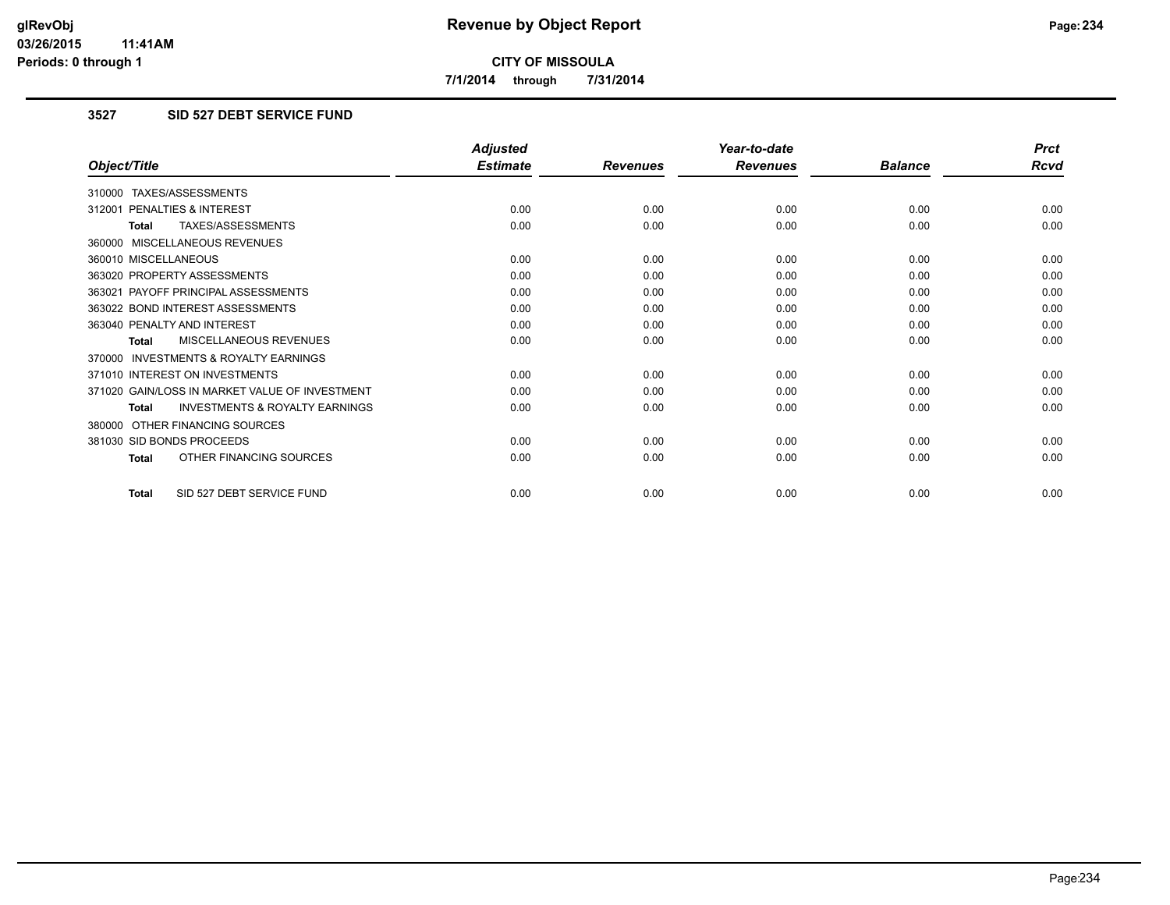**7/1/2014 through 7/31/2014**

## **3527 SID 527 DEBT SERVICE FUND**

|                                                           | <b>Adjusted</b> |                 | Year-to-date    |                | <b>Prct</b> |
|-----------------------------------------------------------|-----------------|-----------------|-----------------|----------------|-------------|
| Object/Title                                              | <b>Estimate</b> | <b>Revenues</b> | <b>Revenues</b> | <b>Balance</b> | Rcvd        |
| 310000 TAXES/ASSESSMENTS                                  |                 |                 |                 |                |             |
| 312001 PENALTIES & INTEREST                               | 0.00            | 0.00            | 0.00            | 0.00           | 0.00        |
| <b>TAXES/ASSESSMENTS</b><br><b>Total</b>                  | 0.00            | 0.00            | 0.00            | 0.00           | 0.00        |
| 360000 MISCELLANEOUS REVENUES                             |                 |                 |                 |                |             |
| 360010 MISCELLANEOUS                                      | 0.00            | 0.00            | 0.00            | 0.00           | 0.00        |
| 363020 PROPERTY ASSESSMENTS                               | 0.00            | 0.00            | 0.00            | 0.00           | 0.00        |
| 363021 PAYOFF PRINCIPAL ASSESSMENTS                       | 0.00            | 0.00            | 0.00            | 0.00           | 0.00        |
| 363022 BOND INTEREST ASSESSMENTS                          | 0.00            | 0.00            | 0.00            | 0.00           | 0.00        |
| 363040 PENALTY AND INTEREST                               | 0.00            | 0.00            | 0.00            | 0.00           | 0.00        |
| <b>MISCELLANEOUS REVENUES</b><br><b>Total</b>             | 0.00            | 0.00            | 0.00            | 0.00           | 0.00        |
| <b>INVESTMENTS &amp; ROYALTY EARNINGS</b><br>370000       |                 |                 |                 |                |             |
| 371010 INTEREST ON INVESTMENTS                            | 0.00            | 0.00            | 0.00            | 0.00           | 0.00        |
| 371020 GAIN/LOSS IN MARKET VALUE OF INVESTMENT            | 0.00            | 0.00            | 0.00            | 0.00           | 0.00        |
| <b>INVESTMENTS &amp; ROYALTY EARNINGS</b><br><b>Total</b> | 0.00            | 0.00            | 0.00            | 0.00           | 0.00        |
| 380000 OTHER FINANCING SOURCES                            |                 |                 |                 |                |             |
| 381030 SID BONDS PROCEEDS                                 | 0.00            | 0.00            | 0.00            | 0.00           | 0.00        |
| OTHER FINANCING SOURCES<br><b>Total</b>                   | 0.00            | 0.00            | 0.00            | 0.00           | 0.00        |
| SID 527 DEBT SERVICE FUND<br>Total                        | 0.00            | 0.00            | 0.00            | 0.00           | 0.00        |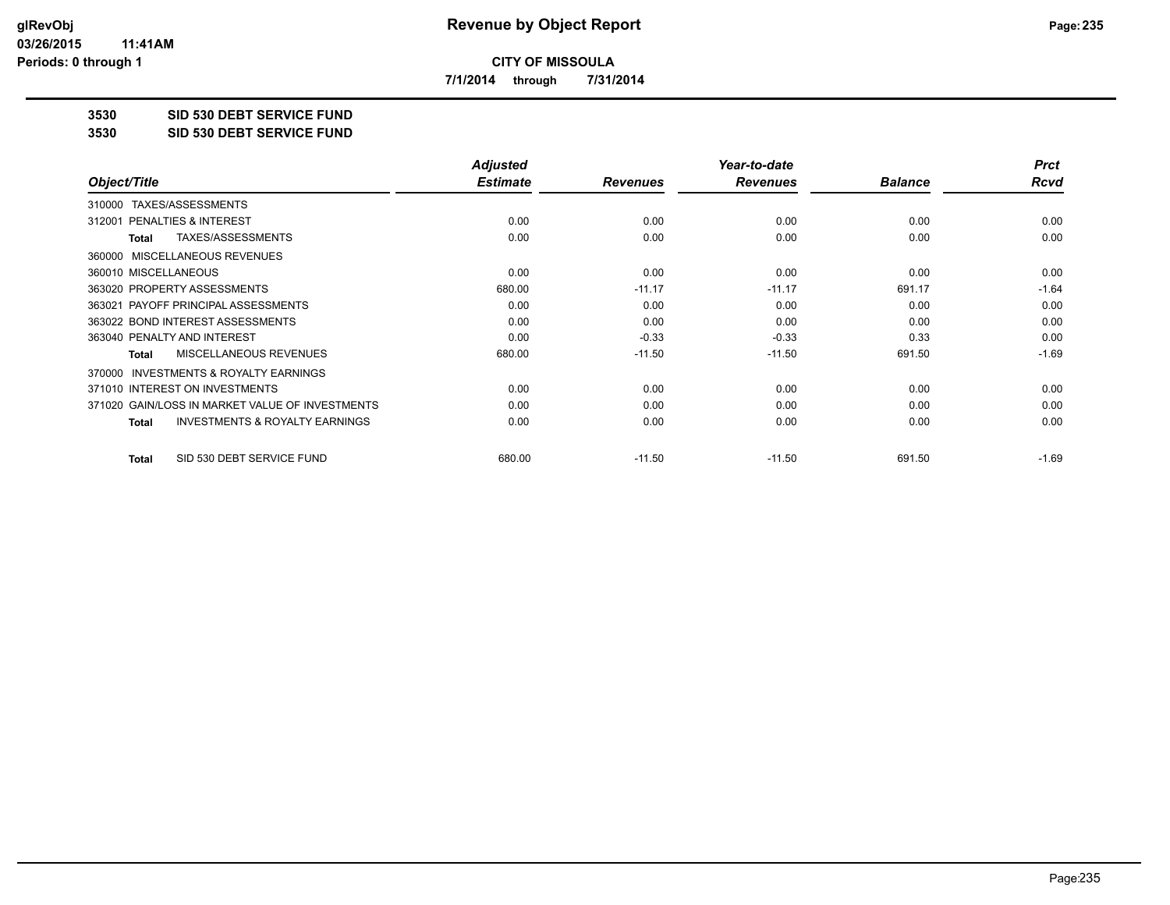**7/1/2014 through 7/31/2014**

**3530 SID 530 DEBT SERVICE FUND**

**3530 SID 530 DEBT SERVICE FUND**

|                                                           | <b>Adjusted</b> |                 | Year-to-date    |                | <b>Prct</b> |
|-----------------------------------------------------------|-----------------|-----------------|-----------------|----------------|-------------|
| Object/Title                                              | <b>Estimate</b> | <b>Revenues</b> | <b>Revenues</b> | <b>Balance</b> | Rcvd        |
| TAXES/ASSESSMENTS<br>310000                               |                 |                 |                 |                |             |
| 312001 PENALTIES & INTEREST                               | 0.00            | 0.00            | 0.00            | 0.00           | 0.00        |
| TAXES/ASSESSMENTS<br><b>Total</b>                         | 0.00            | 0.00            | 0.00            | 0.00           | 0.00        |
| MISCELLANEOUS REVENUES<br>360000                          |                 |                 |                 |                |             |
| 360010 MISCELLANEOUS                                      | 0.00            | 0.00            | 0.00            | 0.00           | 0.00        |
| 363020 PROPERTY ASSESSMENTS                               | 680.00          | $-11.17$        | $-11.17$        | 691.17         | $-1.64$     |
| 363021 PAYOFF PRINCIPAL ASSESSMENTS                       | 0.00            | 0.00            | 0.00            | 0.00           | 0.00        |
| 363022 BOND INTEREST ASSESSMENTS                          | 0.00            | 0.00            | 0.00            | 0.00           | 0.00        |
| 363040 PENALTY AND INTEREST                               | 0.00            | $-0.33$         | $-0.33$         | 0.33           | 0.00        |
| MISCELLANEOUS REVENUES<br><b>Total</b>                    | 680.00          | $-11.50$        | $-11.50$        | 691.50         | $-1.69$     |
| INVESTMENTS & ROYALTY EARNINGS<br>370000                  |                 |                 |                 |                |             |
| 371010 INTEREST ON INVESTMENTS                            | 0.00            | 0.00            | 0.00            | 0.00           | 0.00        |
| 371020 GAIN/LOSS IN MARKET VALUE OF INVESTMENTS           | 0.00            | 0.00            | 0.00            | 0.00           | 0.00        |
| <b>INVESTMENTS &amp; ROYALTY EARNINGS</b><br><b>Total</b> | 0.00            | 0.00            | 0.00            | 0.00           | 0.00        |
| SID 530 DEBT SERVICE FUND<br>Total                        | 680.00          | $-11.50$        | $-11.50$        | 691.50         | $-1.69$     |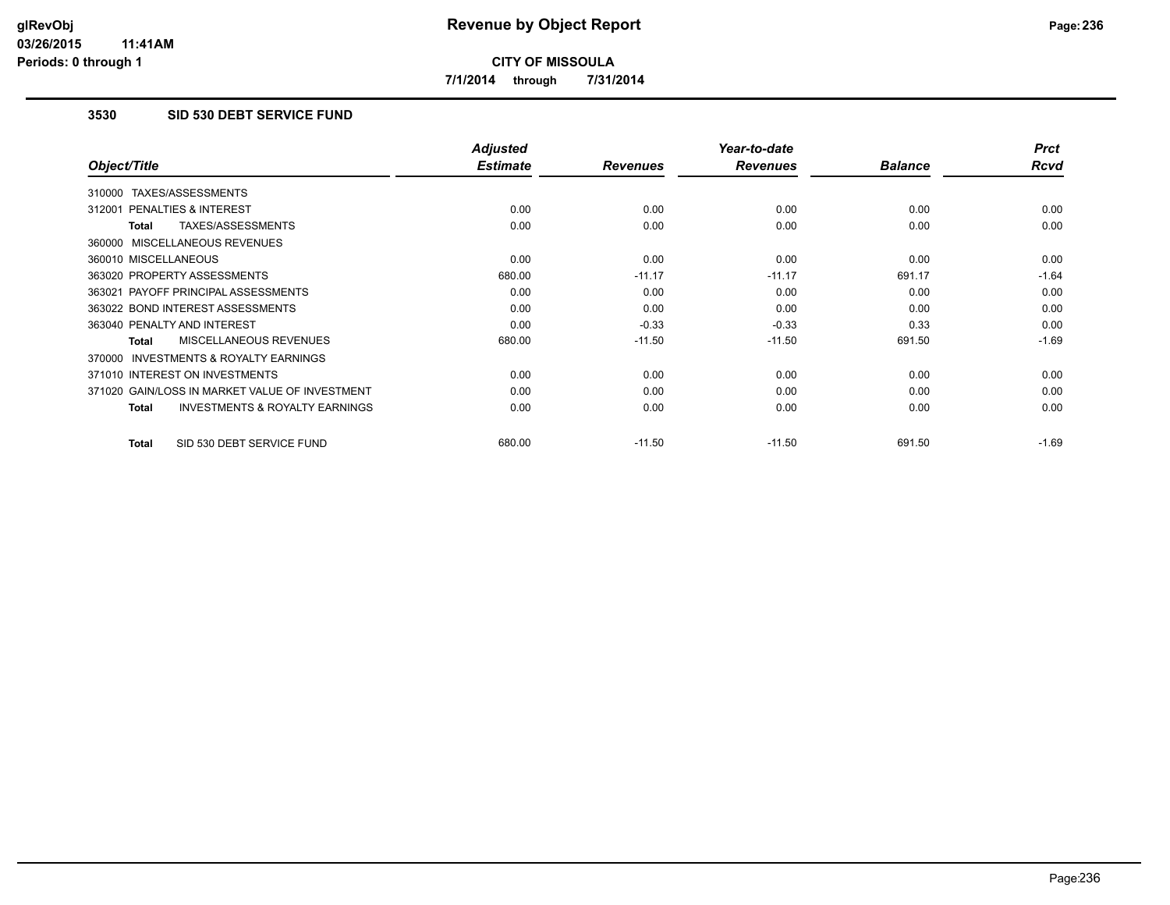**7/1/2014 through 7/31/2014**

## **3530 SID 530 DEBT SERVICE FUND**

|                                                           | <b>Adjusted</b> |                 | Year-to-date    |                | <b>Prct</b> |
|-----------------------------------------------------------|-----------------|-----------------|-----------------|----------------|-------------|
| Object/Title                                              | <b>Estimate</b> | <b>Revenues</b> | <b>Revenues</b> | <b>Balance</b> | <b>Rcvd</b> |
| 310000 TAXES/ASSESSMENTS                                  |                 |                 |                 |                |             |
| 312001 PENALTIES & INTEREST                               | 0.00            | 0.00            | 0.00            | 0.00           | 0.00        |
| <b>TAXES/ASSESSMENTS</b><br><b>Total</b>                  | 0.00            | 0.00            | 0.00            | 0.00           | 0.00        |
| 360000 MISCELLANEOUS REVENUES                             |                 |                 |                 |                |             |
| 360010 MISCELLANEOUS                                      | 0.00            | 0.00            | 0.00            | 0.00           | 0.00        |
| 363020 PROPERTY ASSESSMENTS                               | 680.00          | $-11.17$        | $-11.17$        | 691.17         | $-1.64$     |
| 363021 PAYOFF PRINCIPAL ASSESSMENTS                       | 0.00            | 0.00            | 0.00            | 0.00           | 0.00        |
| 363022 BOND INTEREST ASSESSMENTS                          | 0.00            | 0.00            | 0.00            | 0.00           | 0.00        |
| 363040 PENALTY AND INTEREST                               | 0.00            | $-0.33$         | $-0.33$         | 0.33           | 0.00        |
| MISCELLANEOUS REVENUES<br><b>Total</b>                    | 680.00          | $-11.50$        | $-11.50$        | 691.50         | $-1.69$     |
| <b>INVESTMENTS &amp; ROYALTY EARNINGS</b><br>370000       |                 |                 |                 |                |             |
| 371010 INTEREST ON INVESTMENTS                            | 0.00            | 0.00            | 0.00            | 0.00           | 0.00        |
| 371020 GAIN/LOSS IN MARKET VALUE OF INVESTMENT            | 0.00            | 0.00            | 0.00            | 0.00           | 0.00        |
| <b>INVESTMENTS &amp; ROYALTY EARNINGS</b><br><b>Total</b> | 0.00            | 0.00            | 0.00            | 0.00           | 0.00        |
| SID 530 DEBT SERVICE FUND<br><b>Total</b>                 | 680.00          | $-11.50$        | $-11.50$        | 691.50         | $-1.69$     |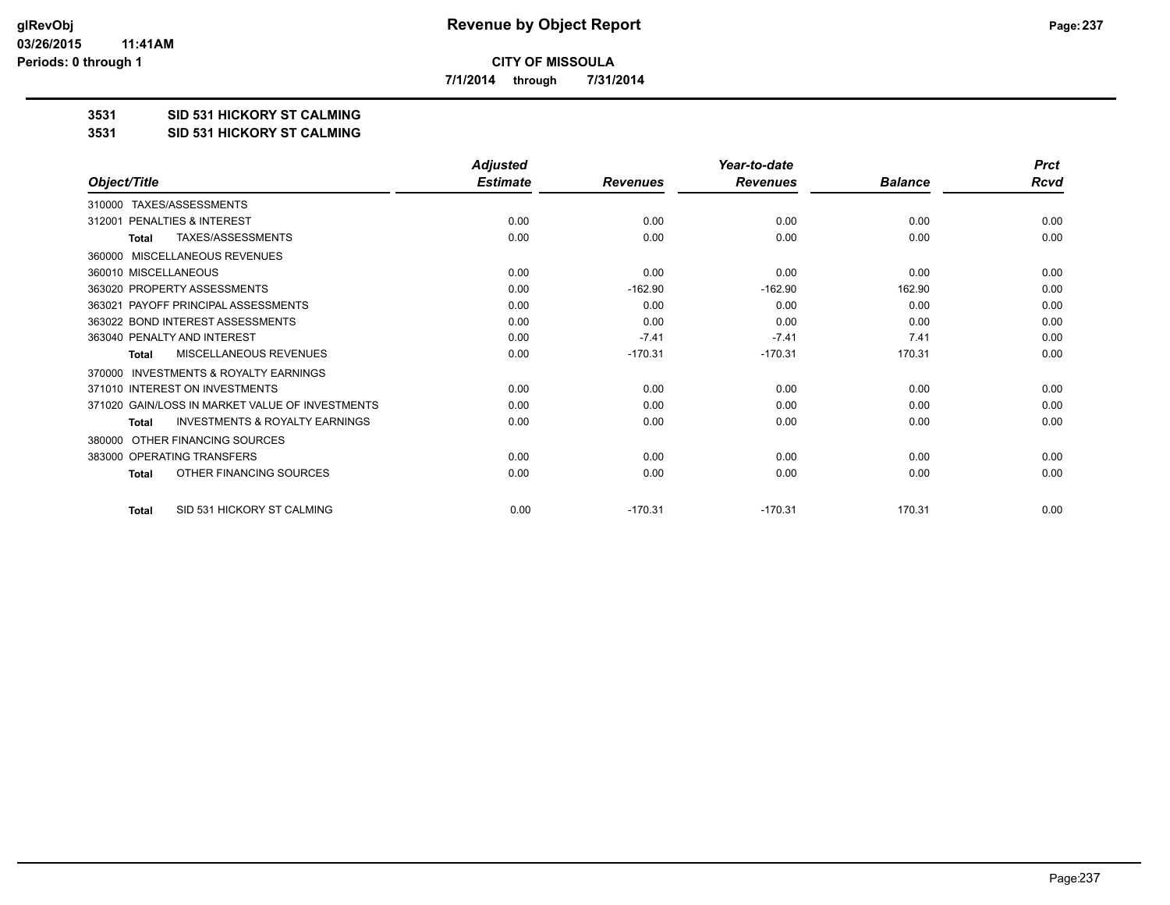**7/1/2014 through 7/31/2014**

#### **3531 SID 531 HICKORY ST CALMING**

#### **3531 SID 531 HICKORY ST CALMING**

|                                                     | <b>Adjusted</b> |                 | Year-to-date    |                | <b>Prct</b> |
|-----------------------------------------------------|-----------------|-----------------|-----------------|----------------|-------------|
| Object/Title                                        | <b>Estimate</b> | <b>Revenues</b> | <b>Revenues</b> | <b>Balance</b> | Rcvd        |
| TAXES/ASSESSMENTS<br>310000                         |                 |                 |                 |                |             |
| PENALTIES & INTEREST<br>312001                      | 0.00            | 0.00            | 0.00            | 0.00           | 0.00        |
| TAXES/ASSESSMENTS<br><b>Total</b>                   | 0.00            | 0.00            | 0.00            | 0.00           | 0.00        |
| MISCELLANEOUS REVENUES<br>360000                    |                 |                 |                 |                |             |
| 360010 MISCELLANEOUS                                | 0.00            | 0.00            | 0.00            | 0.00           | 0.00        |
| 363020 PROPERTY ASSESSMENTS                         | 0.00            | $-162.90$       | $-162.90$       | 162.90         | 0.00        |
| PAYOFF PRINCIPAL ASSESSMENTS<br>363021              | 0.00            | 0.00            | 0.00            | 0.00           | 0.00        |
| 363022 BOND INTEREST ASSESSMENTS                    | 0.00            | 0.00            | 0.00            | 0.00           | 0.00        |
| 363040 PENALTY AND INTEREST                         | 0.00            | $-7.41$         | $-7.41$         | 7.41           | 0.00        |
| MISCELLANEOUS REVENUES<br>Total                     | 0.00            | $-170.31$       | $-170.31$       | 170.31         | 0.00        |
| <b>INVESTMENTS &amp; ROYALTY EARNINGS</b><br>370000 |                 |                 |                 |                |             |
| 371010 INTEREST ON INVESTMENTS                      | 0.00            | 0.00            | 0.00            | 0.00           | 0.00        |
| 371020 GAIN/LOSS IN MARKET VALUE OF INVESTMENTS     | 0.00            | 0.00            | 0.00            | 0.00           | 0.00        |
| <b>INVESTMENTS &amp; ROYALTY EARNINGS</b><br>Total  | 0.00            | 0.00            | 0.00            | 0.00           | 0.00        |
| OTHER FINANCING SOURCES<br>380000                   |                 |                 |                 |                |             |
| 383000 OPERATING TRANSFERS                          | 0.00            | 0.00            | 0.00            | 0.00           | 0.00        |
| OTHER FINANCING SOURCES<br><b>Total</b>             | 0.00            | 0.00            | 0.00            | 0.00           | 0.00        |
| SID 531 HICKORY ST CALMING<br><b>Total</b>          | 0.00            | $-170.31$       | $-170.31$       | 170.31         | 0.00        |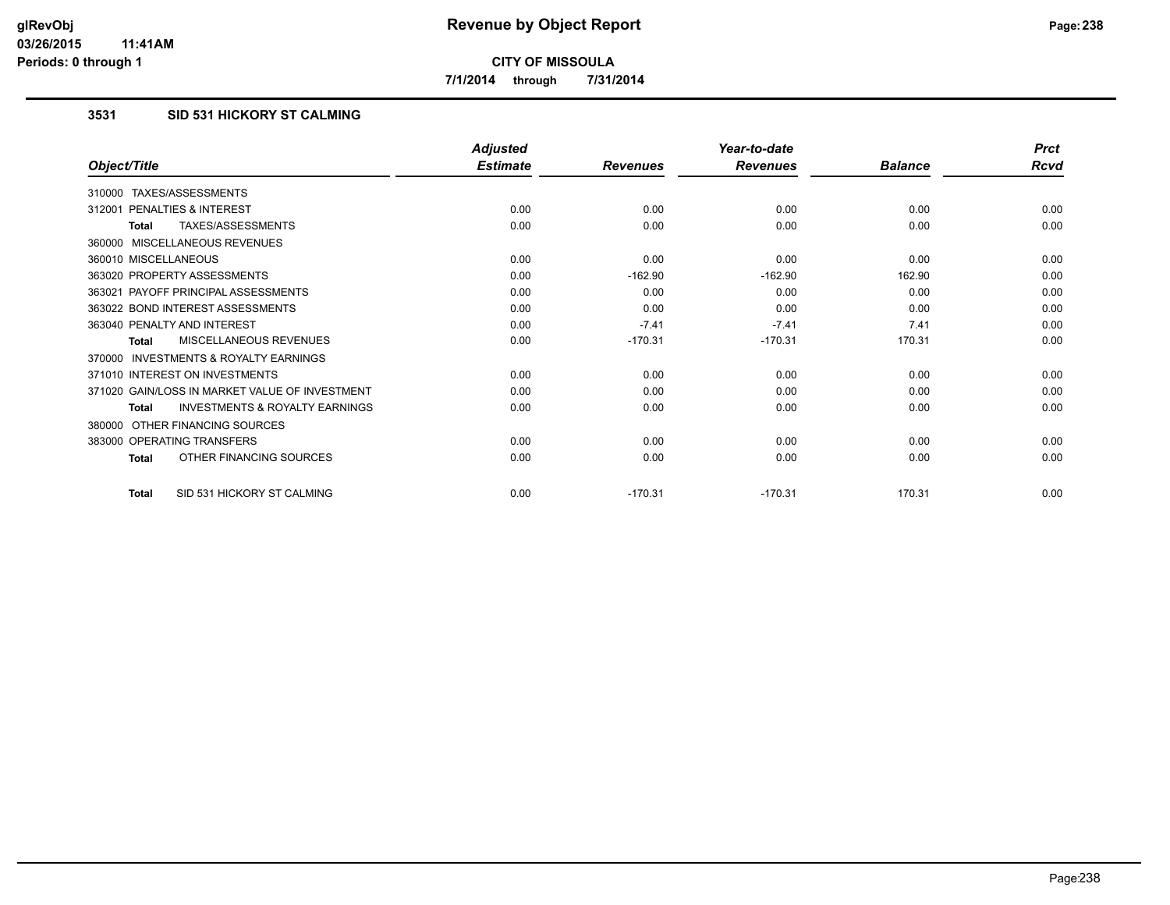**7/1/2014 through 7/31/2014**

## **3531 SID 531 HICKORY ST CALMING**

|                                                           | <b>Adjusted</b> |                 | Year-to-date    |                | <b>Prct</b> |
|-----------------------------------------------------------|-----------------|-----------------|-----------------|----------------|-------------|
| Object/Title                                              | <b>Estimate</b> | <b>Revenues</b> | <b>Revenues</b> | <b>Balance</b> | Rcvd        |
| 310000 TAXES/ASSESSMENTS                                  |                 |                 |                 |                |             |
| PENALTIES & INTEREST<br>312001                            | 0.00            | 0.00            | 0.00            | 0.00           | 0.00        |
| TAXES/ASSESSMENTS<br><b>Total</b>                         | 0.00            | 0.00            | 0.00            | 0.00           | 0.00        |
| 360000 MISCELLANEOUS REVENUES                             |                 |                 |                 |                |             |
| 360010 MISCELLANEOUS                                      | 0.00            | 0.00            | 0.00            | 0.00           | 0.00        |
| 363020 PROPERTY ASSESSMENTS                               | 0.00            | $-162.90$       | $-162.90$       | 162.90         | 0.00        |
| 363021 PAYOFF PRINCIPAL ASSESSMENTS                       | 0.00            | 0.00            | 0.00            | 0.00           | 0.00        |
| 363022 BOND INTEREST ASSESSMENTS                          | 0.00            | 0.00            | 0.00            | 0.00           | 0.00        |
| 363040 PENALTY AND INTEREST                               | 0.00            | $-7.41$         | $-7.41$         | 7.41           | 0.00        |
| <b>MISCELLANEOUS REVENUES</b><br><b>Total</b>             | 0.00            | $-170.31$       | $-170.31$       | 170.31         | 0.00        |
| <b>INVESTMENTS &amp; ROYALTY EARNINGS</b><br>370000       |                 |                 |                 |                |             |
| 371010 INTEREST ON INVESTMENTS                            | 0.00            | 0.00            | 0.00            | 0.00           | 0.00        |
| 371020 GAIN/LOSS IN MARKET VALUE OF INVESTMENT            | 0.00            | 0.00            | 0.00            | 0.00           | 0.00        |
| <b>INVESTMENTS &amp; ROYALTY EARNINGS</b><br><b>Total</b> | 0.00            | 0.00            | 0.00            | 0.00           | 0.00        |
| OTHER FINANCING SOURCES<br>380000                         |                 |                 |                 |                |             |
| 383000 OPERATING TRANSFERS                                | 0.00            | 0.00            | 0.00            | 0.00           | 0.00        |
| OTHER FINANCING SOURCES<br><b>Total</b>                   | 0.00            | 0.00            | 0.00            | 0.00           | 0.00        |
| SID 531 HICKORY ST CALMING<br><b>Total</b>                | 0.00            | $-170.31$       | $-170.31$       | 170.31         | 0.00        |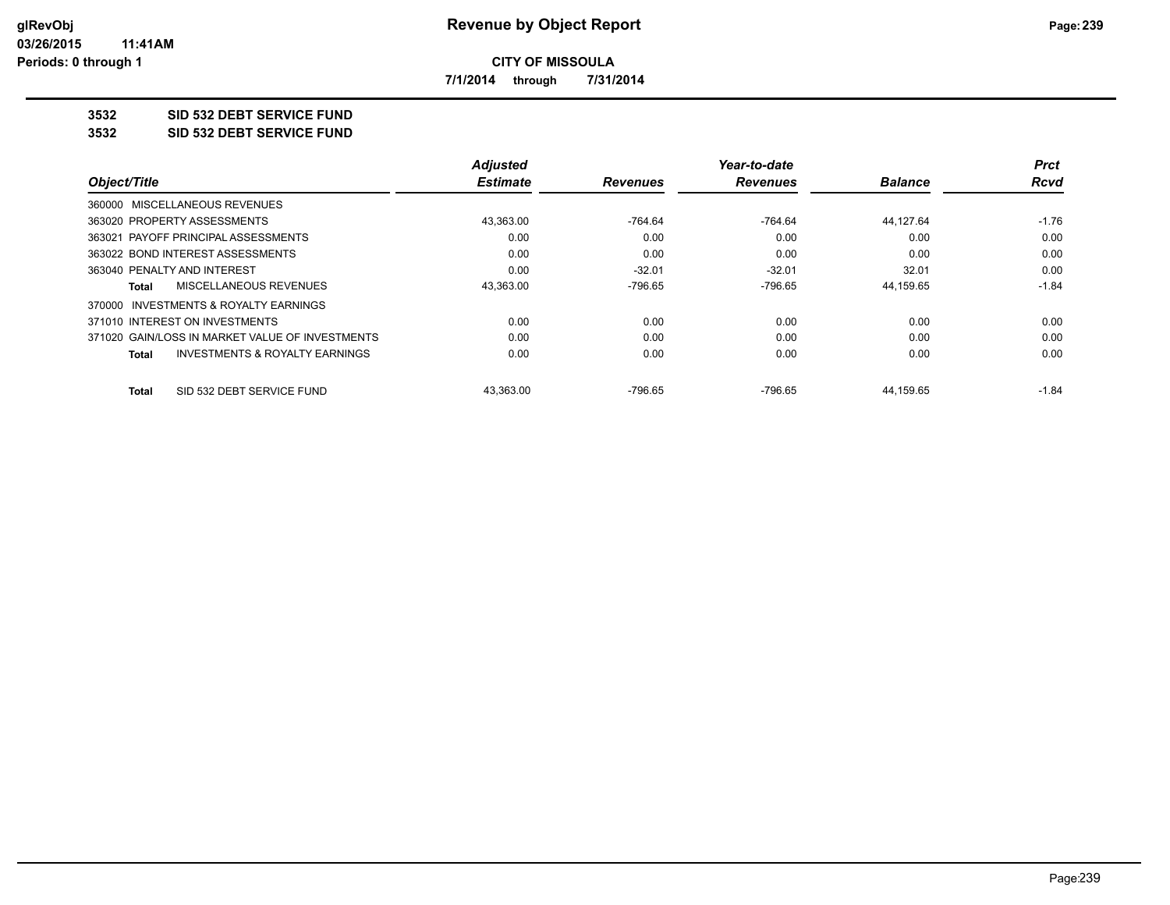**7/1/2014 through 7/31/2014**

## **3532 SID 532 DEBT SERVICE FUND**

**3532 SID 532 DEBT SERVICE FUND**

|                                                 | <b>Adjusted</b> |                 | Year-to-date    |                | <b>Prct</b> |
|-------------------------------------------------|-----------------|-----------------|-----------------|----------------|-------------|
| Object/Title                                    | <b>Estimate</b> | <b>Revenues</b> | <b>Revenues</b> | <b>Balance</b> | Rcvd        |
| 360000 MISCELLANEOUS REVENUES                   |                 |                 |                 |                |             |
| 363020 PROPERTY ASSESSMENTS                     | 43,363.00       | $-764.64$       | -764.64         | 44.127.64      | $-1.76$     |
| 363021 PAYOFF PRINCIPAL ASSESSMENTS             | 0.00            | 0.00            | 0.00            | 0.00           | 0.00        |
| 363022 BOND INTEREST ASSESSMENTS                | 0.00            | 0.00            | 0.00            | 0.00           | 0.00        |
| 363040 PENALTY AND INTEREST                     | 0.00            | $-32.01$        | $-32.01$        | 32.01          | 0.00        |
| MISCELLANEOUS REVENUES<br>Total                 | 43,363.00       | $-796.65$       | $-796.65$       | 44,159.65      | $-1.84$     |
| 370000 INVESTMENTS & ROYALTY EARNINGS           |                 |                 |                 |                |             |
| 371010 INTEREST ON INVESTMENTS                  | 0.00            | 0.00            | 0.00            | 0.00           | 0.00        |
| 371020 GAIN/LOSS IN MARKET VALUE OF INVESTMENTS | 0.00            | 0.00            | 0.00            | 0.00           | 0.00        |
| INVESTMENTS & ROYALTY EARNINGS<br><b>Total</b>  | 0.00            | 0.00            | 0.00            | 0.00           | 0.00        |
| SID 532 DEBT SERVICE FUND<br>Total              | 43.363.00       | $-796.65$       | $-796.65$       | 44.159.65      | $-1.84$     |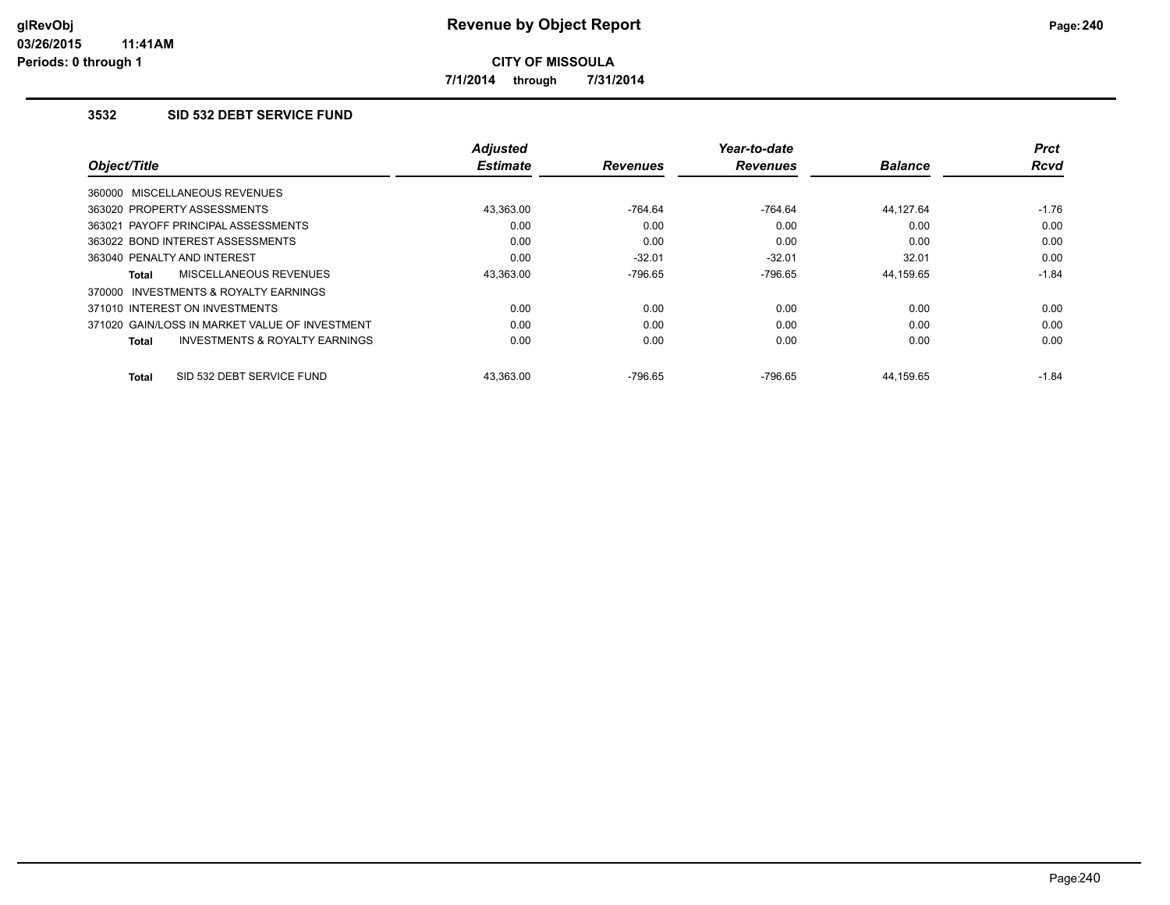**7/1/2014 through 7/31/2014**

### **3532 SID 532 DEBT SERVICE FUND**

|                                                           | <b>Adjusted</b> |                 | Year-to-date    |                | Prct        |
|-----------------------------------------------------------|-----------------|-----------------|-----------------|----------------|-------------|
| Object/Title                                              | <b>Estimate</b> | <b>Revenues</b> | <b>Revenues</b> | <b>Balance</b> | <b>Rcvd</b> |
| 360000 MISCELLANEOUS REVENUES                             |                 |                 |                 |                |             |
| 363020 PROPERTY ASSESSMENTS                               | 43.363.00       | $-764.64$       | -764.64         | 44.127.64      | $-1.76$     |
| 363021 PAYOFF PRINCIPAL ASSESSMENTS                       | 0.00            | 0.00            | 0.00            | 0.00           | 0.00        |
| 363022 BOND INTEREST ASSESSMENTS                          | 0.00            | 0.00            | 0.00            | 0.00           | 0.00        |
| 363040 PENALTY AND INTEREST                               | 0.00            | $-32.01$        | $-32.01$        | 32.01          | 0.00        |
| MISCELLANEOUS REVENUES<br>Total                           | 43,363.00       | -796.65         | -796.65         | 44,159.65      | $-1.84$     |
| INVESTMENTS & ROYALTY EARNINGS<br>370000                  |                 |                 |                 |                |             |
| 371010 INTEREST ON INVESTMENTS                            | 0.00            | 0.00            | 0.00            | 0.00           | 0.00        |
| 371020 GAIN/LOSS IN MARKET VALUE OF INVESTMENT            | 0.00            | 0.00            | 0.00            | 0.00           | 0.00        |
| <b>INVESTMENTS &amp; ROYALTY EARNINGS</b><br><b>Total</b> | 0.00            | 0.00            | 0.00            | 0.00           | 0.00        |
| SID 532 DEBT SERVICE FUND<br><b>Total</b>                 | 43.363.00       | -796.65         | -796.65         | 44.159.65      | $-1.84$     |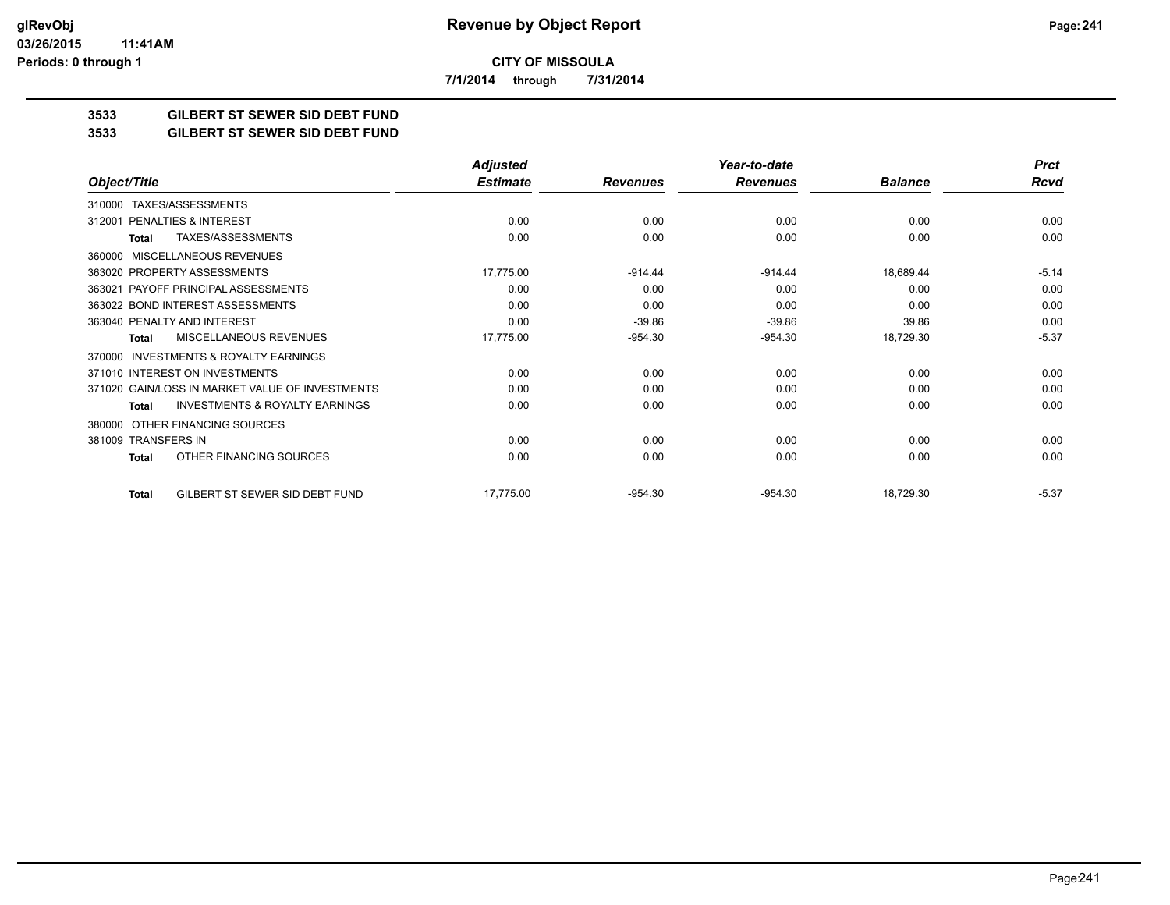**7/1/2014 through 7/31/2014**

## **3533 GILBERT ST SEWER SID DEBT FUND**

#### **3533 GILBERT ST SEWER SID DEBT FUND**

|                                                           | <b>Adjusted</b> |                 | Year-to-date    |                | <b>Prct</b> |
|-----------------------------------------------------------|-----------------|-----------------|-----------------|----------------|-------------|
| Object/Title                                              | <b>Estimate</b> | <b>Revenues</b> | <b>Revenues</b> | <b>Balance</b> | <b>Rcvd</b> |
| TAXES/ASSESSMENTS<br>310000                               |                 |                 |                 |                |             |
| PENALTIES & INTEREST<br>312001                            | 0.00            | 0.00            | 0.00            | 0.00           | 0.00        |
| TAXES/ASSESSMENTS<br>Total                                | 0.00            | 0.00            | 0.00            | 0.00           | 0.00        |
| <b>MISCELLANEOUS REVENUES</b><br>360000                   |                 |                 |                 |                |             |
| 363020 PROPERTY ASSESSMENTS                               | 17,775.00       | $-914.44$       | $-914.44$       | 18,689.44      | $-5.14$     |
| 363021 PAYOFF PRINCIPAL ASSESSMENTS                       | 0.00            | 0.00            | 0.00            | 0.00           | 0.00        |
| 363022 BOND INTEREST ASSESSMENTS                          | 0.00            | 0.00            | 0.00            | 0.00           | 0.00        |
| 363040 PENALTY AND INTEREST                               | 0.00            | $-39.86$        | $-39.86$        | 39.86          | 0.00        |
| MISCELLANEOUS REVENUES<br>Total                           | 17,775.00       | $-954.30$       | $-954.30$       | 18,729.30      | $-5.37$     |
| <b>INVESTMENTS &amp; ROYALTY EARNINGS</b><br>370000       |                 |                 |                 |                |             |
| 371010 INTEREST ON INVESTMENTS                            | 0.00            | 0.00            | 0.00            | 0.00           | 0.00        |
| 371020 GAIN/LOSS IN MARKET VALUE OF INVESTMENTS           | 0.00            | 0.00            | 0.00            | 0.00           | 0.00        |
| <b>INVESTMENTS &amp; ROYALTY EARNINGS</b><br><b>Total</b> | 0.00            | 0.00            | 0.00            | 0.00           | 0.00        |
| OTHER FINANCING SOURCES<br>380000                         |                 |                 |                 |                |             |
| 381009 TRANSFERS IN                                       | 0.00            | 0.00            | 0.00            | 0.00           | 0.00        |
| OTHER FINANCING SOURCES<br><b>Total</b>                   | 0.00            | 0.00            | 0.00            | 0.00           | 0.00        |
| GILBERT ST SEWER SID DEBT FUND<br><b>Total</b>            | 17,775.00       | $-954.30$       | $-954.30$       | 18,729.30      | $-5.37$     |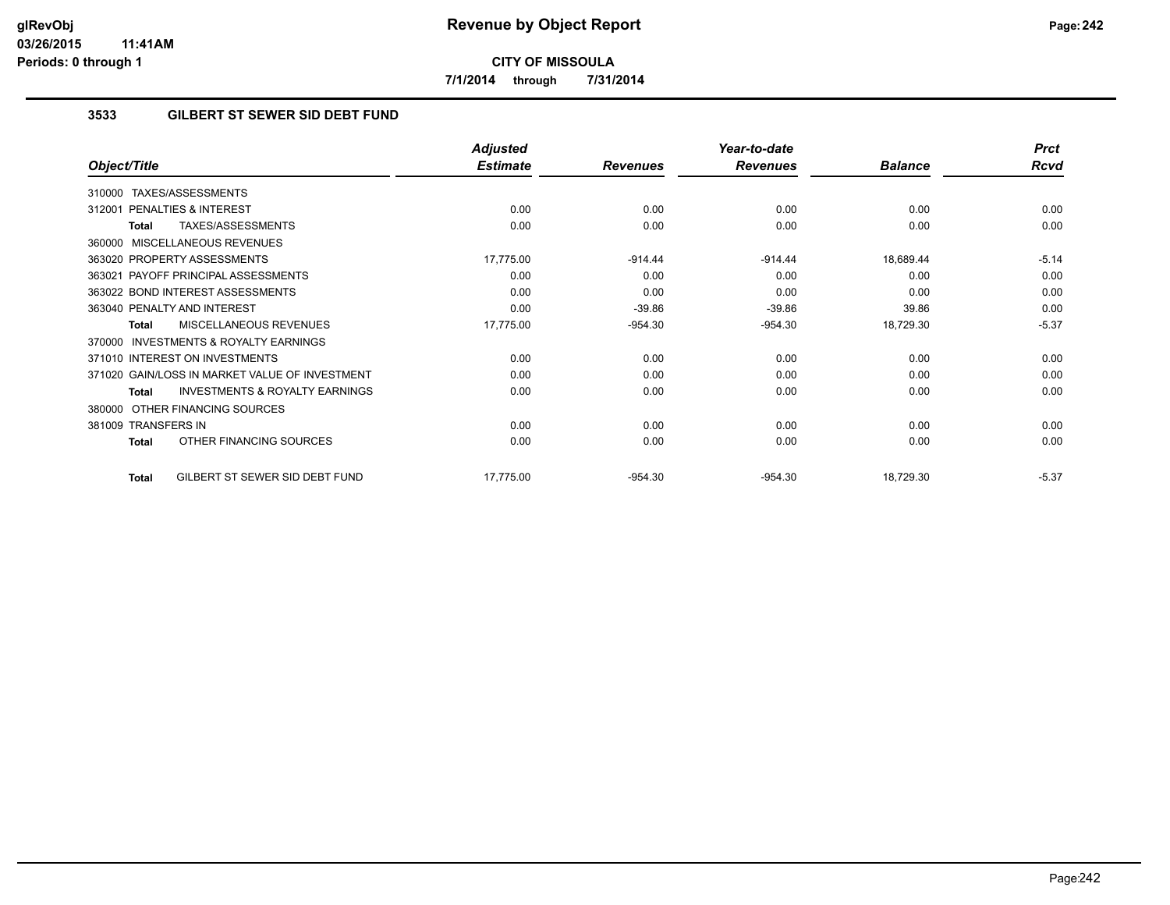**7/1/2014 through 7/31/2014**

## **3533 GILBERT ST SEWER SID DEBT FUND**

|                                                           | <b>Adjusted</b> |                 | Year-to-date    |                | <b>Prct</b> |
|-----------------------------------------------------------|-----------------|-----------------|-----------------|----------------|-------------|
| Object/Title                                              | <b>Estimate</b> | <b>Revenues</b> | <b>Revenues</b> | <b>Balance</b> | <b>Rcvd</b> |
| TAXES/ASSESSMENTS<br>310000                               |                 |                 |                 |                |             |
| PENALTIES & INTEREST<br>312001                            | 0.00            | 0.00            | 0.00            | 0.00           | 0.00        |
| TAXES/ASSESSMENTS<br>Total                                | 0.00            | 0.00            | 0.00            | 0.00           | 0.00        |
| MISCELLANEOUS REVENUES<br>360000                          |                 |                 |                 |                |             |
| 363020 PROPERTY ASSESSMENTS                               | 17,775.00       | $-914.44$       | $-914.44$       | 18,689.44      | $-5.14$     |
| 363021 PAYOFF PRINCIPAL ASSESSMENTS                       | 0.00            | 0.00            | 0.00            | 0.00           | 0.00        |
| 363022 BOND INTEREST ASSESSMENTS                          | 0.00            | 0.00            | 0.00            | 0.00           | 0.00        |
| 363040 PENALTY AND INTEREST                               | 0.00            | $-39.86$        | $-39.86$        | 39.86          | 0.00        |
| MISCELLANEOUS REVENUES<br><b>Total</b>                    | 17,775.00       | $-954.30$       | $-954.30$       | 18,729.30      | $-5.37$     |
| <b>INVESTMENTS &amp; ROYALTY EARNINGS</b><br>370000       |                 |                 |                 |                |             |
| 371010 INTEREST ON INVESTMENTS                            | 0.00            | 0.00            | 0.00            | 0.00           | 0.00        |
| 371020 GAIN/LOSS IN MARKET VALUE OF INVESTMENT            | 0.00            | 0.00            | 0.00            | 0.00           | 0.00        |
| <b>INVESTMENTS &amp; ROYALTY EARNINGS</b><br><b>Total</b> | 0.00            | 0.00            | 0.00            | 0.00           | 0.00        |
| OTHER FINANCING SOURCES<br>380000                         |                 |                 |                 |                |             |
| 381009 TRANSFERS IN                                       | 0.00            | 0.00            | 0.00            | 0.00           | 0.00        |
| OTHER FINANCING SOURCES<br><b>Total</b>                   | 0.00            | 0.00            | 0.00            | 0.00           | 0.00        |
| GILBERT ST SEWER SID DEBT FUND<br><b>Total</b>            | 17,775.00       | $-954.30$       | $-954.30$       | 18,729.30      | $-5.37$     |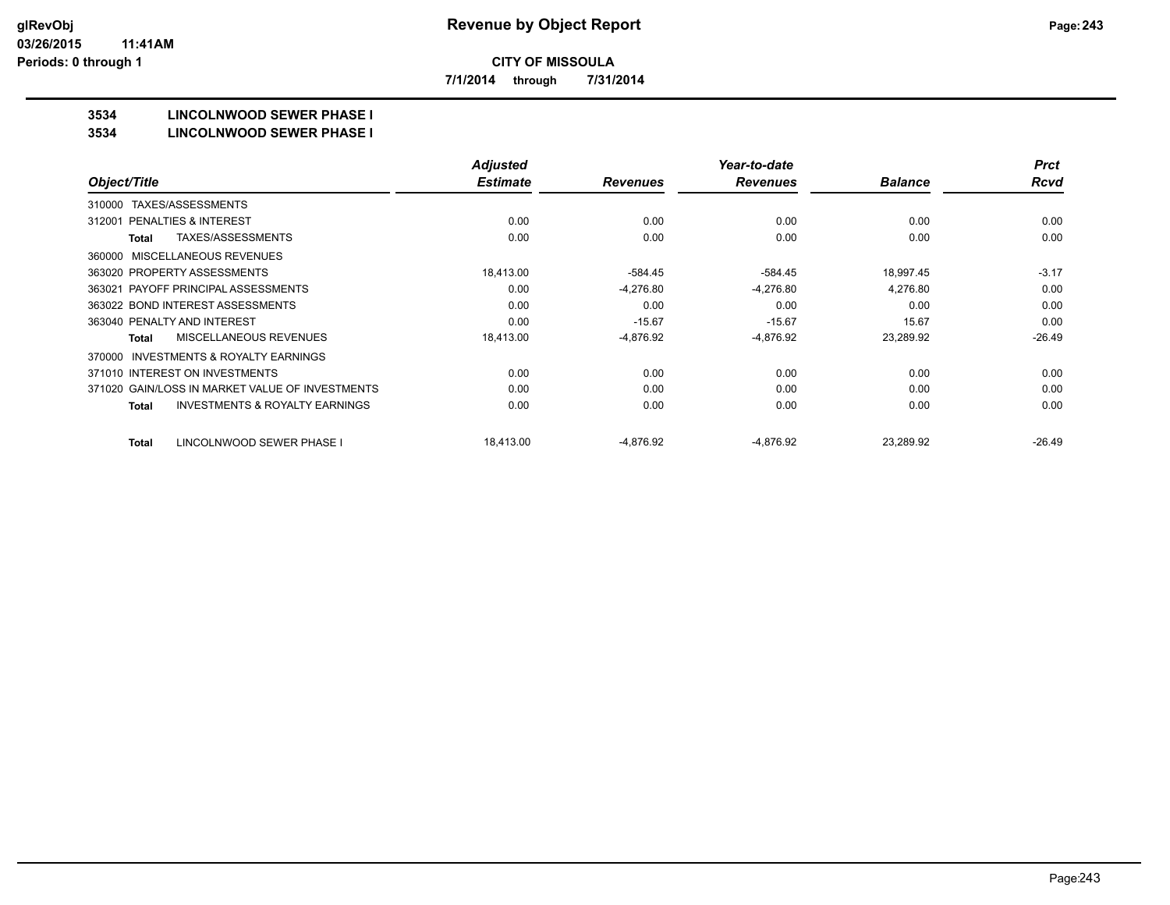**7/1/2014 through 7/31/2014**

## **3534 LINCOLNWOOD SEWER PHASE I**

#### **3534 LINCOLNWOOD SEWER PHASE I**

|                                                           | <b>Adjusted</b> |                 | Year-to-date    |                | <b>Prct</b> |
|-----------------------------------------------------------|-----------------|-----------------|-----------------|----------------|-------------|
| Object/Title                                              | <b>Estimate</b> | <b>Revenues</b> | <b>Revenues</b> | <b>Balance</b> | <b>Rcvd</b> |
| TAXES/ASSESSMENTS<br>310000                               |                 |                 |                 |                |             |
| <b>PENALTIES &amp; INTEREST</b><br>312001                 | 0.00            | 0.00            | 0.00            | 0.00           | 0.00        |
| TAXES/ASSESSMENTS<br><b>Total</b>                         | 0.00            | 0.00            | 0.00            | 0.00           | 0.00        |
| MISCELLANEOUS REVENUES<br>360000                          |                 |                 |                 |                |             |
| 363020 PROPERTY ASSESSMENTS                               | 18,413.00       | $-584.45$       | $-584.45$       | 18,997.45      | $-3.17$     |
| 363021 PAYOFF PRINCIPAL ASSESSMENTS                       | 0.00            | $-4,276.80$     | $-4,276.80$     | 4,276.80       | 0.00        |
| 363022 BOND INTEREST ASSESSMENTS                          | 0.00            | 0.00            | 0.00            | 0.00           | 0.00        |
| 363040 PENALTY AND INTEREST                               | 0.00            | $-15.67$        | $-15.67$        | 15.67          | 0.00        |
| MISCELLANEOUS REVENUES<br><b>Total</b>                    | 18,413.00       | $-4,876.92$     | $-4,876.92$     | 23,289.92      | $-26.49$    |
| INVESTMENTS & ROYALTY EARNINGS<br>370000                  |                 |                 |                 |                |             |
| 371010 INTEREST ON INVESTMENTS                            | 0.00            | 0.00            | 0.00            | 0.00           | 0.00        |
| 371020 GAIN/LOSS IN MARKET VALUE OF INVESTMENTS           | 0.00            | 0.00            | 0.00            | 0.00           | 0.00        |
| <b>INVESTMENTS &amp; ROYALTY EARNINGS</b><br><b>Total</b> | 0.00            | 0.00            | 0.00            | 0.00           | 0.00        |
| LINCOLNWOOD SEWER PHASE I<br><b>Total</b>                 | 18,413.00       | -4,876.92       | -4,876.92       | 23,289.92      | $-26.49$    |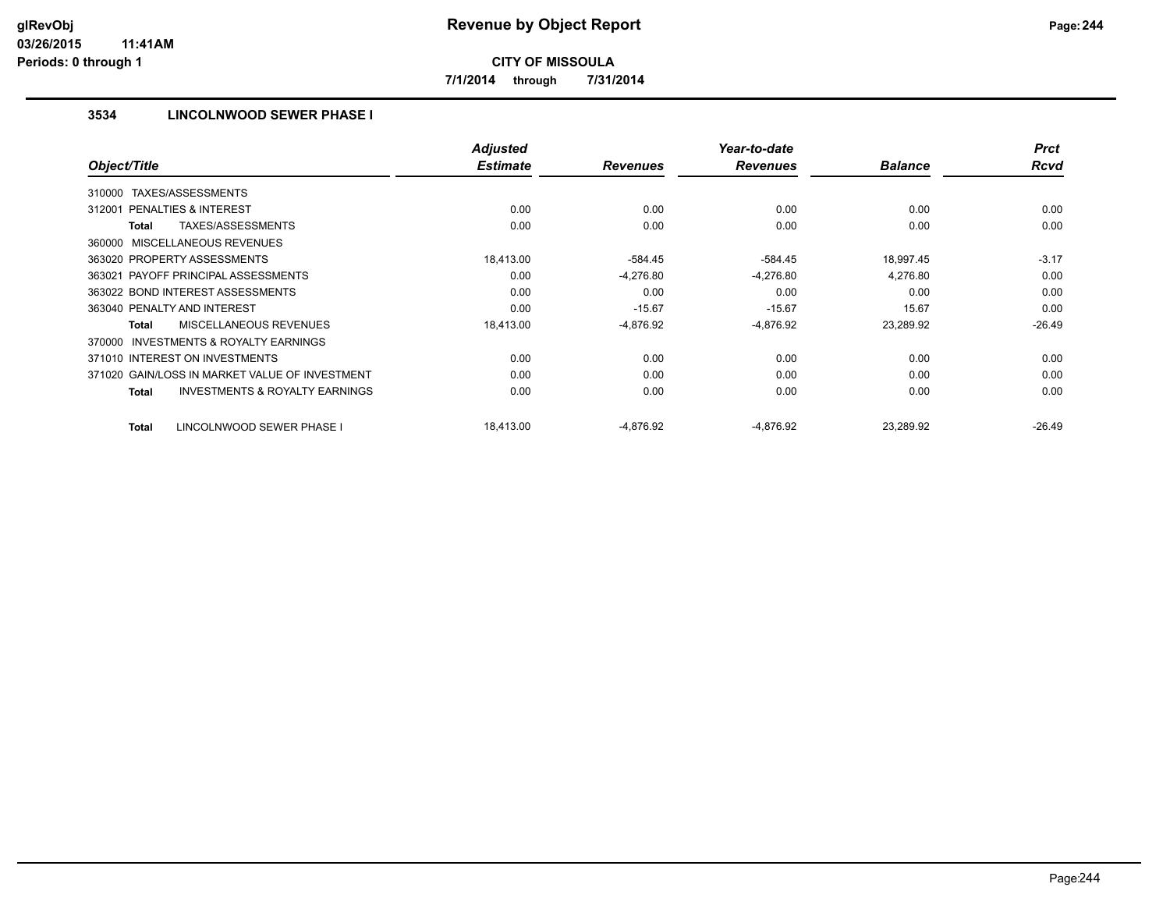**7/1/2014 through 7/31/2014**

## **3534 LINCOLNWOOD SEWER PHASE I**

|                                                    | <b>Adjusted</b> |                 | Year-to-date    |                | <b>Prct</b> |
|----------------------------------------------------|-----------------|-----------------|-----------------|----------------|-------------|
| Object/Title                                       | <b>Estimate</b> | <b>Revenues</b> | <b>Revenues</b> | <b>Balance</b> | <b>Rcvd</b> |
| TAXES/ASSESSMENTS<br>310000                        |                 |                 |                 |                |             |
| PENALTIES & INTEREST<br>312001                     | 0.00            | 0.00            | 0.00            | 0.00           | 0.00        |
| TAXES/ASSESSMENTS<br>Total                         | 0.00            | 0.00            | 0.00            | 0.00           | 0.00        |
| 360000 MISCELLANEOUS REVENUES                      |                 |                 |                 |                |             |
| 363020 PROPERTY ASSESSMENTS                        | 18,413.00       | $-584.45$       | $-584.45$       | 18,997.45      | $-3.17$     |
| 363021 PAYOFF PRINCIPAL ASSESSMENTS                | 0.00            | $-4,276.80$     | $-4,276.80$     | 4,276.80       | 0.00        |
| 363022 BOND INTEREST ASSESSMENTS                   | 0.00            | 0.00            | 0.00            | 0.00           | 0.00        |
| 363040 PENALTY AND INTEREST                        | 0.00            | $-15.67$        | $-15.67$        | 15.67          | 0.00        |
| MISCELLANEOUS REVENUES<br>Total                    | 18,413.00       | $-4,876.92$     | $-4,876.92$     | 23,289.92      | $-26.49$    |
| 370000 INVESTMENTS & ROYALTY EARNINGS              |                 |                 |                 |                |             |
| 371010 INTEREST ON INVESTMENTS                     | 0.00            | 0.00            | 0.00            | 0.00           | 0.00        |
| 371020 GAIN/LOSS IN MARKET VALUE OF INVESTMENT     | 0.00            | 0.00            | 0.00            | 0.00           | 0.00        |
| <b>INVESTMENTS &amp; ROYALTY EARNINGS</b><br>Total | 0.00            | 0.00            | 0.00            | 0.00           | 0.00        |
| LINCOLNWOOD SEWER PHASE I<br>Total                 | 18,413.00       | $-4,876.92$     | $-4,876.92$     | 23,289.92      | $-26.49$    |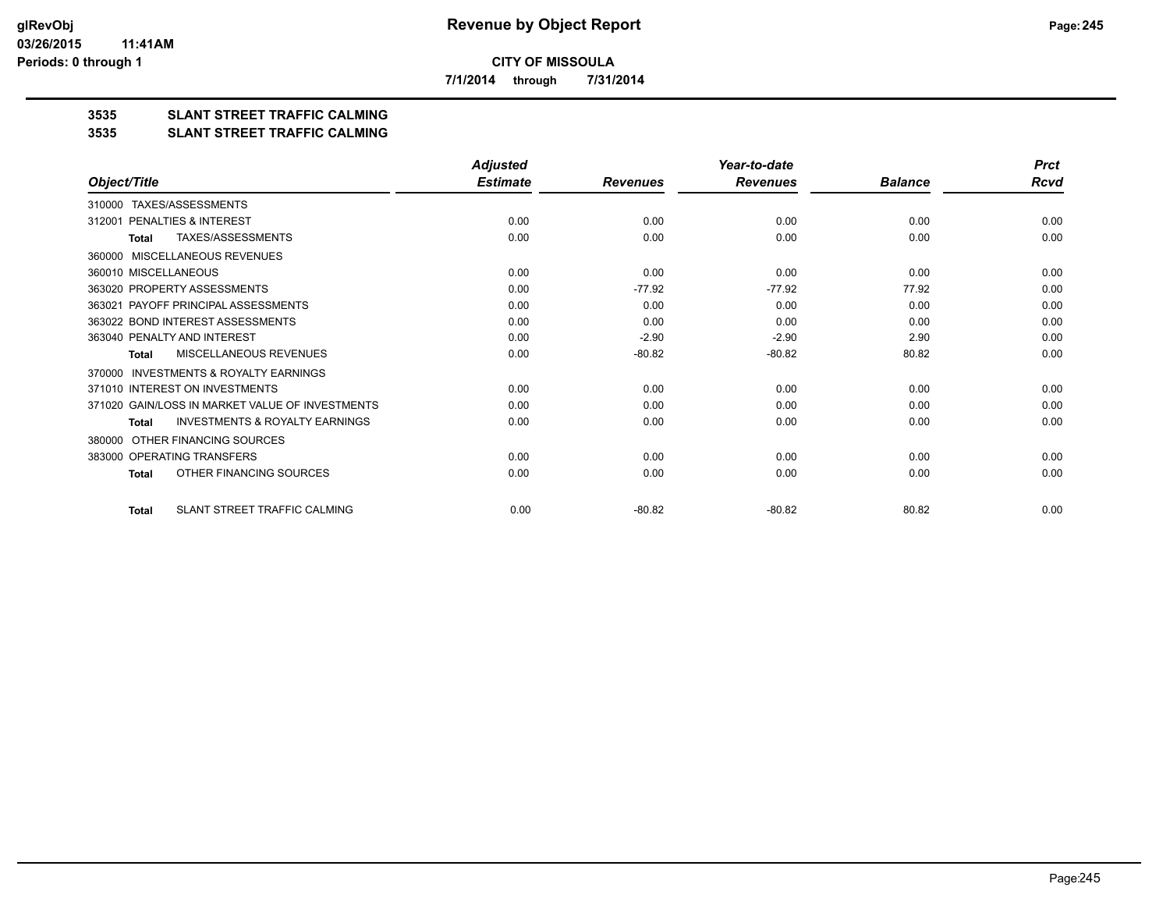**7/1/2014 through 7/31/2014**

## **3535 SLANT STREET TRAFFIC CALMING**

#### **3535 SLANT STREET TRAFFIC CALMING**

|                                                           | <b>Adjusted</b> |                 | Year-to-date    |                | <b>Prct</b> |
|-----------------------------------------------------------|-----------------|-----------------|-----------------|----------------|-------------|
| Object/Title                                              | <b>Estimate</b> | <b>Revenues</b> | <b>Revenues</b> | <b>Balance</b> | Rcvd        |
| TAXES/ASSESSMENTS<br>310000                               |                 |                 |                 |                |             |
| PENALTIES & INTEREST<br>312001                            | 0.00            | 0.00            | 0.00            | 0.00           | 0.00        |
| <b>TAXES/ASSESSMENTS</b><br><b>Total</b>                  | 0.00            | 0.00            | 0.00            | 0.00           | 0.00        |
| MISCELLANEOUS REVENUES<br>360000                          |                 |                 |                 |                |             |
| 360010 MISCELLANEOUS                                      | 0.00            | 0.00            | 0.00            | 0.00           | 0.00        |
| 363020 PROPERTY ASSESSMENTS                               | 0.00            | $-77.92$        | $-77.92$        | 77.92          | 0.00        |
| 363021 PAYOFF PRINCIPAL ASSESSMENTS                       | 0.00            | 0.00            | 0.00            | 0.00           | 0.00        |
| 363022 BOND INTEREST ASSESSMENTS                          | 0.00            | 0.00            | 0.00            | 0.00           | 0.00        |
| 363040 PENALTY AND INTEREST                               | 0.00            | $-2.90$         | $-2.90$         | 2.90           | 0.00        |
| MISCELLANEOUS REVENUES<br><b>Total</b>                    | 0.00            | $-80.82$        | $-80.82$        | 80.82          | 0.00        |
| <b>INVESTMENTS &amp; ROYALTY EARNINGS</b><br>370000       |                 |                 |                 |                |             |
| 371010 INTEREST ON INVESTMENTS                            | 0.00            | 0.00            | 0.00            | 0.00           | 0.00        |
| 371020 GAIN/LOSS IN MARKET VALUE OF INVESTMENTS           | 0.00            | 0.00            | 0.00            | 0.00           | 0.00        |
| <b>INVESTMENTS &amp; ROYALTY EARNINGS</b><br><b>Total</b> | 0.00            | 0.00            | 0.00            | 0.00           | 0.00        |
| OTHER FINANCING SOURCES<br>380000                         |                 |                 |                 |                |             |
| 383000 OPERATING TRANSFERS                                | 0.00            | 0.00            | 0.00            | 0.00           | 0.00        |
| OTHER FINANCING SOURCES<br><b>Total</b>                   | 0.00            | 0.00            | 0.00            | 0.00           | 0.00        |
| SLANT STREET TRAFFIC CALMING<br><b>Total</b>              | 0.00            | $-80.82$        | $-80.82$        | 80.82          | 0.00        |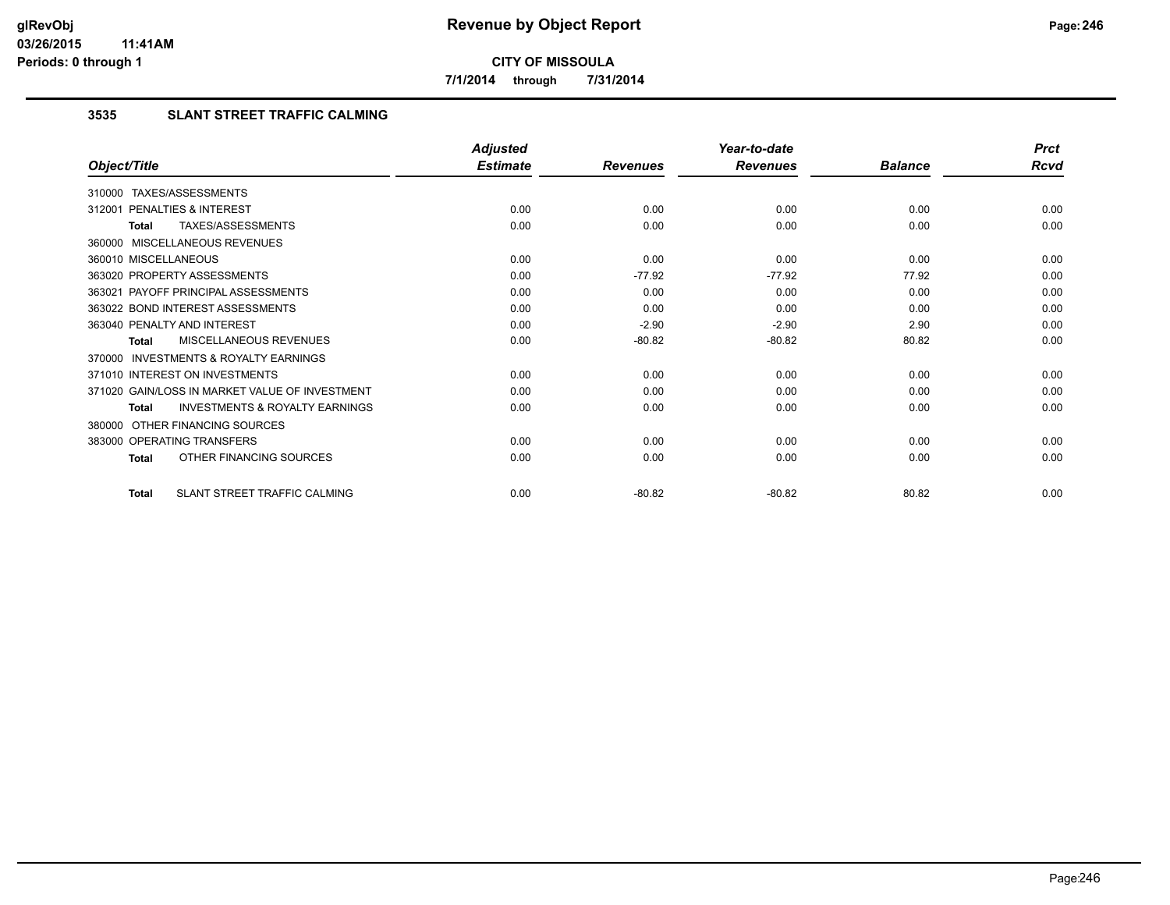**7/1/2014 through 7/31/2014**

## **3535 SLANT STREET TRAFFIC CALMING**

|                                                           | <b>Adjusted</b> |                 | Year-to-date    |                | <b>Prct</b> |
|-----------------------------------------------------------|-----------------|-----------------|-----------------|----------------|-------------|
| Object/Title                                              | <b>Estimate</b> | <b>Revenues</b> | <b>Revenues</b> | <b>Balance</b> | Rcvd        |
| 310000 TAXES/ASSESSMENTS                                  |                 |                 |                 |                |             |
| PENALTIES & INTEREST<br>312001                            | 0.00            | 0.00            | 0.00            | 0.00           | 0.00        |
| TAXES/ASSESSMENTS<br><b>Total</b>                         | 0.00            | 0.00            | 0.00            | 0.00           | 0.00        |
| 360000 MISCELLANEOUS REVENUES                             |                 |                 |                 |                |             |
| 360010 MISCELLANEOUS                                      | 0.00            | 0.00            | 0.00            | 0.00           | 0.00        |
| 363020 PROPERTY ASSESSMENTS                               | 0.00            | $-77.92$        | $-77.92$        | 77.92          | 0.00        |
| 363021 PAYOFF PRINCIPAL ASSESSMENTS                       | 0.00            | 0.00            | 0.00            | 0.00           | 0.00        |
| 363022 BOND INTEREST ASSESSMENTS                          | 0.00            | 0.00            | 0.00            | 0.00           | 0.00        |
| 363040 PENALTY AND INTEREST                               | 0.00            | $-2.90$         | $-2.90$         | 2.90           | 0.00        |
| MISCELLANEOUS REVENUES<br><b>Total</b>                    | 0.00            | $-80.82$        | $-80.82$        | 80.82          | 0.00        |
| INVESTMENTS & ROYALTY EARNINGS<br>370000                  |                 |                 |                 |                |             |
| 371010 INTEREST ON INVESTMENTS                            | 0.00            | 0.00            | 0.00            | 0.00           | 0.00        |
| 371020 GAIN/LOSS IN MARKET VALUE OF INVESTMENT            | 0.00            | 0.00            | 0.00            | 0.00           | 0.00        |
| <b>INVESTMENTS &amp; ROYALTY EARNINGS</b><br><b>Total</b> | 0.00            | 0.00            | 0.00            | 0.00           | 0.00        |
| 380000 OTHER FINANCING SOURCES                            |                 |                 |                 |                |             |
| 383000 OPERATING TRANSFERS                                | 0.00            | 0.00            | 0.00            | 0.00           | 0.00        |
| OTHER FINANCING SOURCES<br><b>Total</b>                   | 0.00            | 0.00            | 0.00            | 0.00           | 0.00        |
| SLANT STREET TRAFFIC CALMING<br><b>Total</b>              | 0.00            | $-80.82$        | $-80.82$        | 80.82          | 0.00        |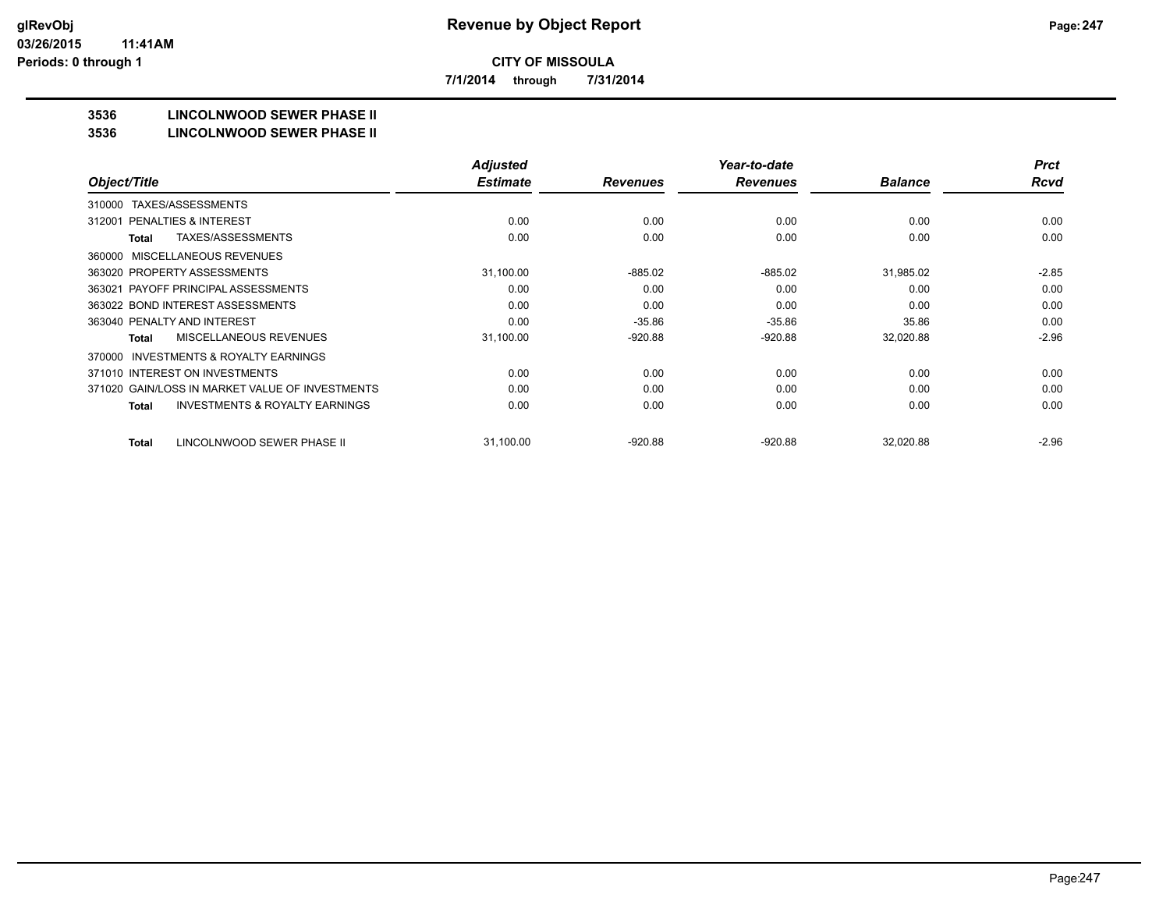**7/1/2014 through 7/31/2014**

## **3536 LINCOLNWOOD SEWER PHASE II**

#### **3536 LINCOLNWOOD SEWER PHASE II**

|                                                           | <b>Adjusted</b> |                 | Year-to-date    |                | <b>Prct</b> |
|-----------------------------------------------------------|-----------------|-----------------|-----------------|----------------|-------------|
| Object/Title                                              | <b>Estimate</b> | <b>Revenues</b> | <b>Revenues</b> | <b>Balance</b> | <b>Rcvd</b> |
| TAXES/ASSESSMENTS<br>310000                               |                 |                 |                 |                |             |
| PENALTIES & INTEREST<br>312001                            | 0.00            | 0.00            | 0.00            | 0.00           | 0.00        |
| TAXES/ASSESSMENTS<br><b>Total</b>                         | 0.00            | 0.00            | 0.00            | 0.00           | 0.00        |
| MISCELLANEOUS REVENUES<br>360000                          |                 |                 |                 |                |             |
| 363020 PROPERTY ASSESSMENTS                               | 31,100.00       | $-885.02$       | $-885.02$       | 31,985.02      | $-2.85$     |
| 363021 PAYOFF PRINCIPAL ASSESSMENTS                       | 0.00            | 0.00            | 0.00            | 0.00           | 0.00        |
| 363022 BOND INTEREST ASSESSMENTS                          | 0.00            | 0.00            | 0.00            | 0.00           | 0.00        |
| 363040 PENALTY AND INTEREST                               | 0.00            | $-35.86$        | $-35.86$        | 35.86          | 0.00        |
| <b>MISCELLANEOUS REVENUES</b><br>Total                    | 31,100.00       | $-920.88$       | $-920.88$       | 32,020.88      | $-2.96$     |
| <b>INVESTMENTS &amp; ROYALTY EARNINGS</b><br>370000       |                 |                 |                 |                |             |
| 371010 INTEREST ON INVESTMENTS                            | 0.00            | 0.00            | 0.00            | 0.00           | 0.00        |
| 371020 GAIN/LOSS IN MARKET VALUE OF INVESTMENTS           | 0.00            | 0.00            | 0.00            | 0.00           | 0.00        |
| <b>INVESTMENTS &amp; ROYALTY EARNINGS</b><br><b>Total</b> | 0.00            | 0.00            | 0.00            | 0.00           | 0.00        |
| LINCOLNWOOD SEWER PHASE II<br><b>Total</b>                | 31,100.00       | $-920.88$       | $-920.88$       | 32,020.88      | $-2.96$     |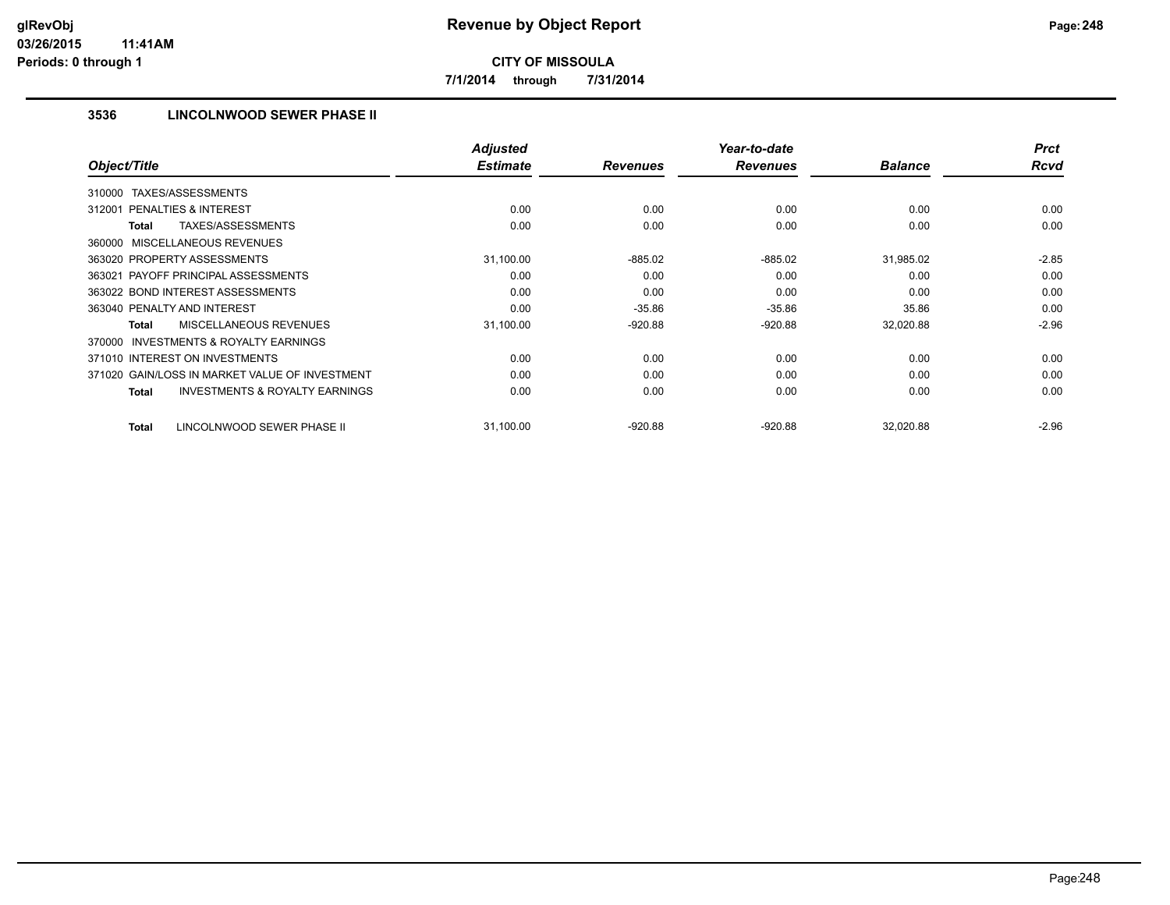**7/1/2014 through 7/31/2014**

## **3536 LINCOLNWOOD SEWER PHASE II**

| Object/Title                                        | <b>Adjusted</b><br><b>Estimate</b> | <b>Revenues</b> | Year-to-date<br><b>Revenues</b> | <b>Balance</b> | <b>Prct</b><br><b>Rcvd</b> |
|-----------------------------------------------------|------------------------------------|-----------------|---------------------------------|----------------|----------------------------|
|                                                     |                                    |                 |                                 |                |                            |
| TAXES/ASSESSMENTS<br>310000                         |                                    |                 |                                 |                |                            |
| <b>PENALTIES &amp; INTEREST</b><br>312001           | 0.00                               | 0.00            | 0.00                            | 0.00           | 0.00                       |
| TAXES/ASSESSMENTS<br>Total                          | 0.00                               | 0.00            | 0.00                            | 0.00           | 0.00                       |
| 360000 MISCELLANEOUS REVENUES                       |                                    |                 |                                 |                |                            |
| 363020 PROPERTY ASSESSMENTS                         | 31,100.00                          | $-885.02$       | $-885.02$                       | 31,985.02      | $-2.85$                    |
| 363021 PAYOFF PRINCIPAL ASSESSMENTS                 | 0.00                               | 0.00            | 0.00                            | 0.00           | 0.00                       |
| 363022 BOND INTEREST ASSESSMENTS                    | 0.00                               | 0.00            | 0.00                            | 0.00           | 0.00                       |
| 363040 PENALTY AND INTEREST                         | 0.00                               | $-35.86$        | $-35.86$                        | 35.86          | 0.00                       |
| MISCELLANEOUS REVENUES<br>Total                     | 31,100.00                          | $-920.88$       | $-920.88$                       | 32,020.88      | $-2.96$                    |
| <b>INVESTMENTS &amp; ROYALTY EARNINGS</b><br>370000 |                                    |                 |                                 |                |                            |
| 371010 INTEREST ON INVESTMENTS                      | 0.00                               | 0.00            | 0.00                            | 0.00           | 0.00                       |
| 371020 GAIN/LOSS IN MARKET VALUE OF INVESTMENT      | 0.00                               | 0.00            | 0.00                            | 0.00           | 0.00                       |
| <b>INVESTMENTS &amp; ROYALTY EARNINGS</b><br>Total  | 0.00                               | 0.00            | 0.00                            | 0.00           | 0.00                       |
| LINCOLNWOOD SEWER PHASE II<br><b>Total</b>          | 31,100.00                          | $-920.88$       | $-920.88$                       | 32,020.88      | $-2.96$                    |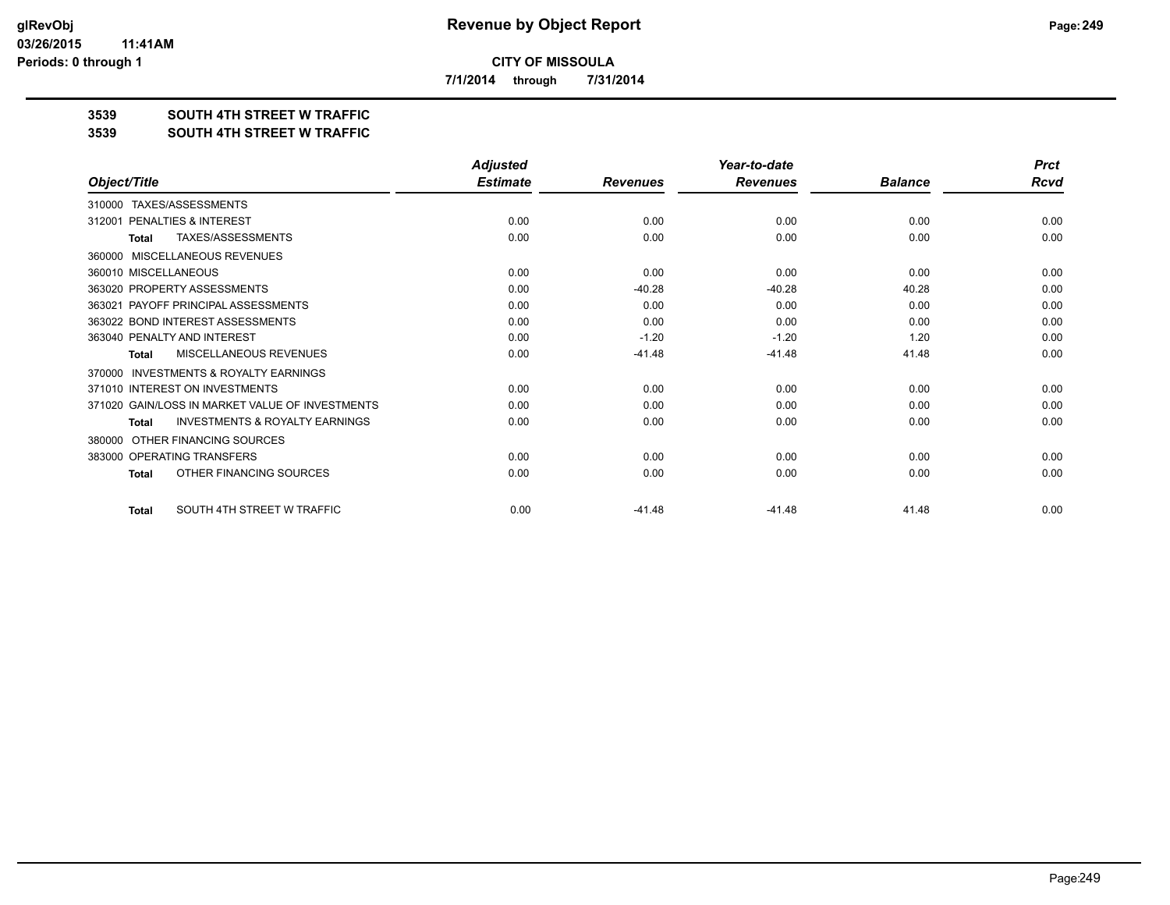**7/1/2014 through 7/31/2014**

## **3539 SOUTH 4TH STREET W TRAFFIC**

#### **3539 SOUTH 4TH STREET W TRAFFIC**

|                                                           | <b>Adjusted</b> |                 | Year-to-date    |                | <b>Prct</b> |
|-----------------------------------------------------------|-----------------|-----------------|-----------------|----------------|-------------|
| Object/Title                                              | <b>Estimate</b> | <b>Revenues</b> | <b>Revenues</b> | <b>Balance</b> | <b>Rcvd</b> |
| TAXES/ASSESSMENTS<br>310000                               |                 |                 |                 |                |             |
| PENALTIES & INTEREST<br>312001                            | 0.00            | 0.00            | 0.00            | 0.00           | 0.00        |
| <b>TAXES/ASSESSMENTS</b><br><b>Total</b>                  | 0.00            | 0.00            | 0.00            | 0.00           | 0.00        |
| MISCELLANEOUS REVENUES<br>360000                          |                 |                 |                 |                |             |
| 360010 MISCELLANEOUS                                      | 0.00            | 0.00            | 0.00            | 0.00           | 0.00        |
| 363020 PROPERTY ASSESSMENTS                               | 0.00            | $-40.28$        | $-40.28$        | 40.28          | 0.00        |
| 363021 PAYOFF PRINCIPAL ASSESSMENTS                       | 0.00            | 0.00            | 0.00            | 0.00           | 0.00        |
| 363022 BOND INTEREST ASSESSMENTS                          | 0.00            | 0.00            | 0.00            | 0.00           | 0.00        |
| 363040 PENALTY AND INTEREST                               | 0.00            | $-1.20$         | $-1.20$         | 1.20           | 0.00        |
| MISCELLANEOUS REVENUES<br><b>Total</b>                    | 0.00            | $-41.48$        | $-41.48$        | 41.48          | 0.00        |
| <b>INVESTMENTS &amp; ROYALTY EARNINGS</b><br>370000       |                 |                 |                 |                |             |
| 371010 INTEREST ON INVESTMENTS                            | 0.00            | 0.00            | 0.00            | 0.00           | 0.00        |
| 371020 GAIN/LOSS IN MARKET VALUE OF INVESTMENTS           | 0.00            | 0.00            | 0.00            | 0.00           | 0.00        |
| <b>INVESTMENTS &amp; ROYALTY EARNINGS</b><br><b>Total</b> | 0.00            | 0.00            | 0.00            | 0.00           | 0.00        |
| OTHER FINANCING SOURCES<br>380000                         |                 |                 |                 |                |             |
| 383000 OPERATING TRANSFERS                                | 0.00            | 0.00            | 0.00            | 0.00           | 0.00        |
| OTHER FINANCING SOURCES<br><b>Total</b>                   | 0.00            | 0.00            | 0.00            | 0.00           | 0.00        |
| SOUTH 4TH STREET W TRAFFIC<br><b>Total</b>                | 0.00            | $-41.48$        | $-41.48$        | 41.48          | 0.00        |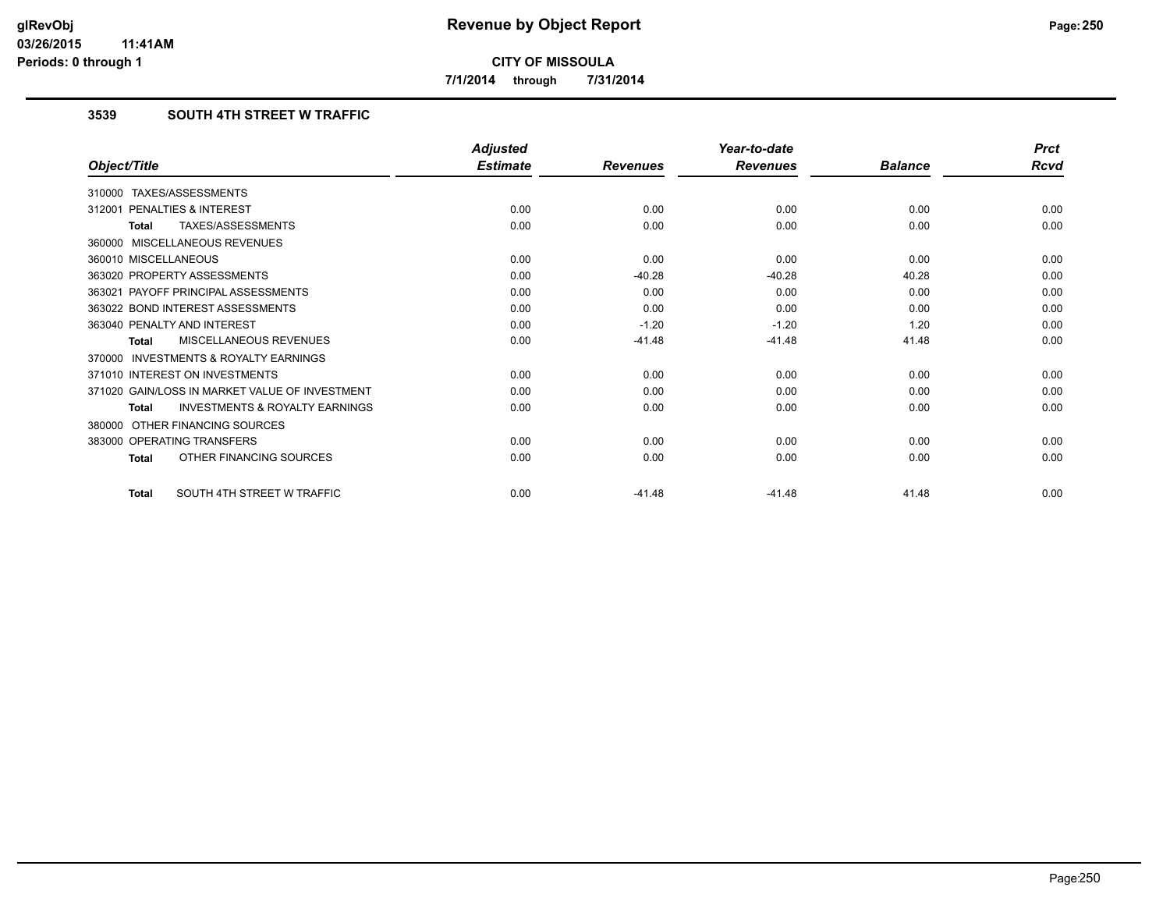**7/1/2014 through 7/31/2014**

## **3539 SOUTH 4TH STREET W TRAFFIC**

|                                                    | <b>Adjusted</b> |                 | Year-to-date    |                | <b>Prct</b> |
|----------------------------------------------------|-----------------|-----------------|-----------------|----------------|-------------|
| Object/Title                                       | <b>Estimate</b> | <b>Revenues</b> | <b>Revenues</b> | <b>Balance</b> | <b>Rcvd</b> |
| 310000 TAXES/ASSESSMENTS                           |                 |                 |                 |                |             |
| PENALTIES & INTEREST<br>312001                     | 0.00            | 0.00            | 0.00            | 0.00           | 0.00        |
| TAXES/ASSESSMENTS<br>Total                         | 0.00            | 0.00            | 0.00            | 0.00           | 0.00        |
| 360000 MISCELLANEOUS REVENUES                      |                 |                 |                 |                |             |
| 360010 MISCELLANEOUS                               | 0.00            | 0.00            | 0.00            | 0.00           | 0.00        |
| 363020 PROPERTY ASSESSMENTS                        | 0.00            | $-40.28$        | $-40.28$        | 40.28          | 0.00        |
| 363021 PAYOFF PRINCIPAL ASSESSMENTS                | 0.00            | 0.00            | 0.00            | 0.00           | 0.00        |
| 363022 BOND INTEREST ASSESSMENTS                   | 0.00            | 0.00            | 0.00            | 0.00           | 0.00        |
| 363040 PENALTY AND INTEREST                        | 0.00            | $-1.20$         | $-1.20$         | 1.20           | 0.00        |
| MISCELLANEOUS REVENUES<br><b>Total</b>             | 0.00            | $-41.48$        | $-41.48$        | 41.48          | 0.00        |
| 370000 INVESTMENTS & ROYALTY EARNINGS              |                 |                 |                 |                |             |
| 371010 INTEREST ON INVESTMENTS                     | 0.00            | 0.00            | 0.00            | 0.00           | 0.00        |
| 371020 GAIN/LOSS IN MARKET VALUE OF INVESTMENT     | 0.00            | 0.00            | 0.00            | 0.00           | 0.00        |
| <b>INVESTMENTS &amp; ROYALTY EARNINGS</b><br>Total | 0.00            | 0.00            | 0.00            | 0.00           | 0.00        |
| 380000 OTHER FINANCING SOURCES                     |                 |                 |                 |                |             |
| 383000 OPERATING TRANSFERS                         | 0.00            | 0.00            | 0.00            | 0.00           | 0.00        |
| OTHER FINANCING SOURCES<br>Total                   | 0.00            | 0.00            | 0.00            | 0.00           | 0.00        |
| SOUTH 4TH STREET W TRAFFIC<br><b>Total</b>         | 0.00            | $-41.48$        | $-41.48$        | 41.48          | 0.00        |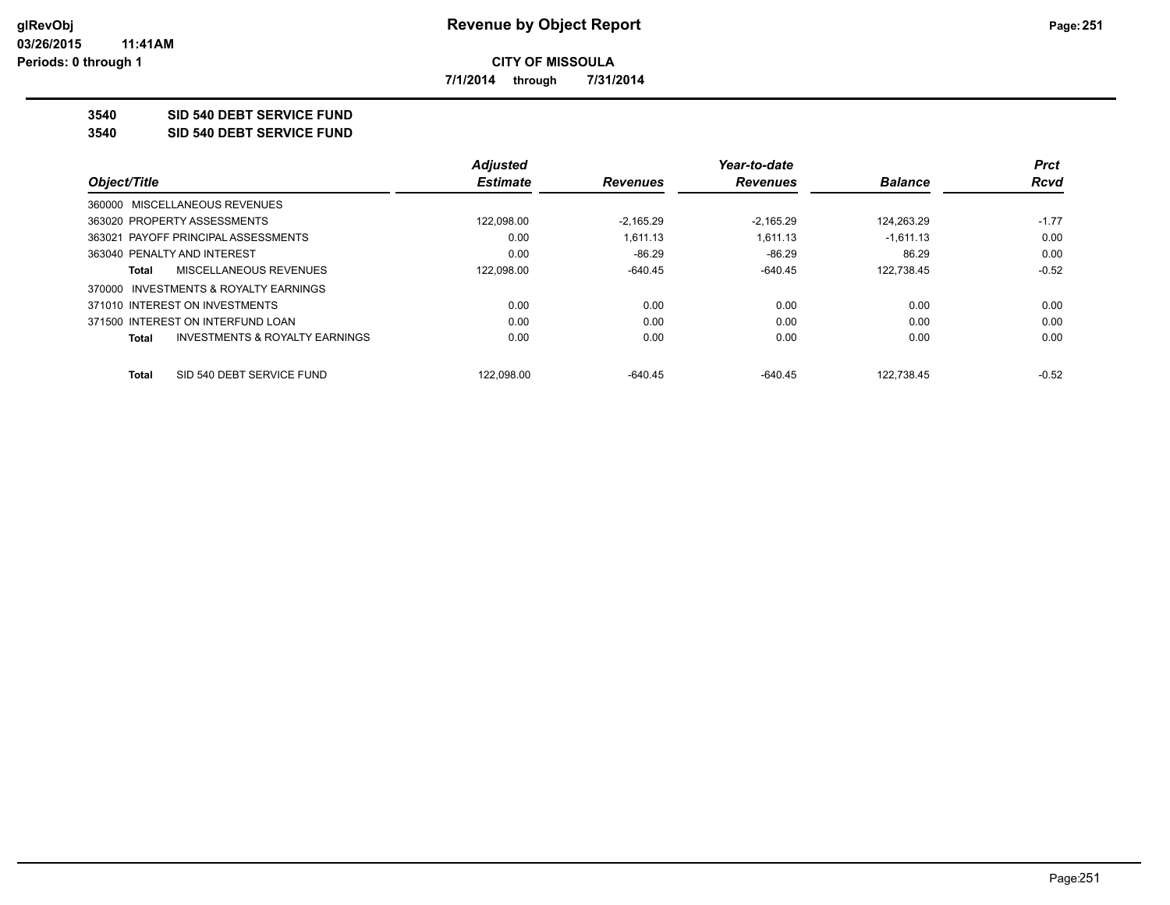**7/1/2014 through 7/31/2014**

**3540 SID 540 DEBT SERVICE FUND**

**3540 SID 540 DEBT SERVICE FUND**

|                                                    | <b>Adjusted</b> |                 | Year-to-date    |                | <b>Prct</b> |
|----------------------------------------------------|-----------------|-----------------|-----------------|----------------|-------------|
| Object/Title                                       | <b>Estimate</b> | <b>Revenues</b> | <b>Revenues</b> | <b>Balance</b> | <b>Rcvd</b> |
| 360000 MISCELLANEOUS REVENUES                      |                 |                 |                 |                |             |
| 363020 PROPERTY ASSESSMENTS                        | 122,098.00      | $-2.165.29$     | $-2.165.29$     | 124.263.29     | $-1.77$     |
| 363021 PAYOFF PRINCIPAL ASSESSMENTS                | 0.00            | 1.611.13        | 1.611.13        | $-1.611.13$    | 0.00        |
| 363040 PENALTY AND INTEREST                        | 0.00            | $-86.29$        | -86.29          | 86.29          | 0.00        |
| MISCELLANEOUS REVENUES<br>Total                    | 122,098.00      | $-640.45$       | $-640.45$       | 122,738.45     | $-0.52$     |
| 370000 INVESTMENTS & ROYALTY EARNINGS              |                 |                 |                 |                |             |
| 371010 INTEREST ON INVESTMENTS                     | 0.00            | 0.00            | 0.00            | 0.00           | 0.00        |
| 371500 INTEREST ON INTERFUND LOAN                  | 0.00            | 0.00            | 0.00            | 0.00           | 0.00        |
| <b>INVESTMENTS &amp; ROYALTY EARNINGS</b><br>Total | 0.00            | 0.00            | 0.00            | 0.00           | 0.00        |
| SID 540 DEBT SERVICE FUND<br>Total                 | 122.098.00      | $-640.45$       | $-640.45$       | 122.738.45     | $-0.52$     |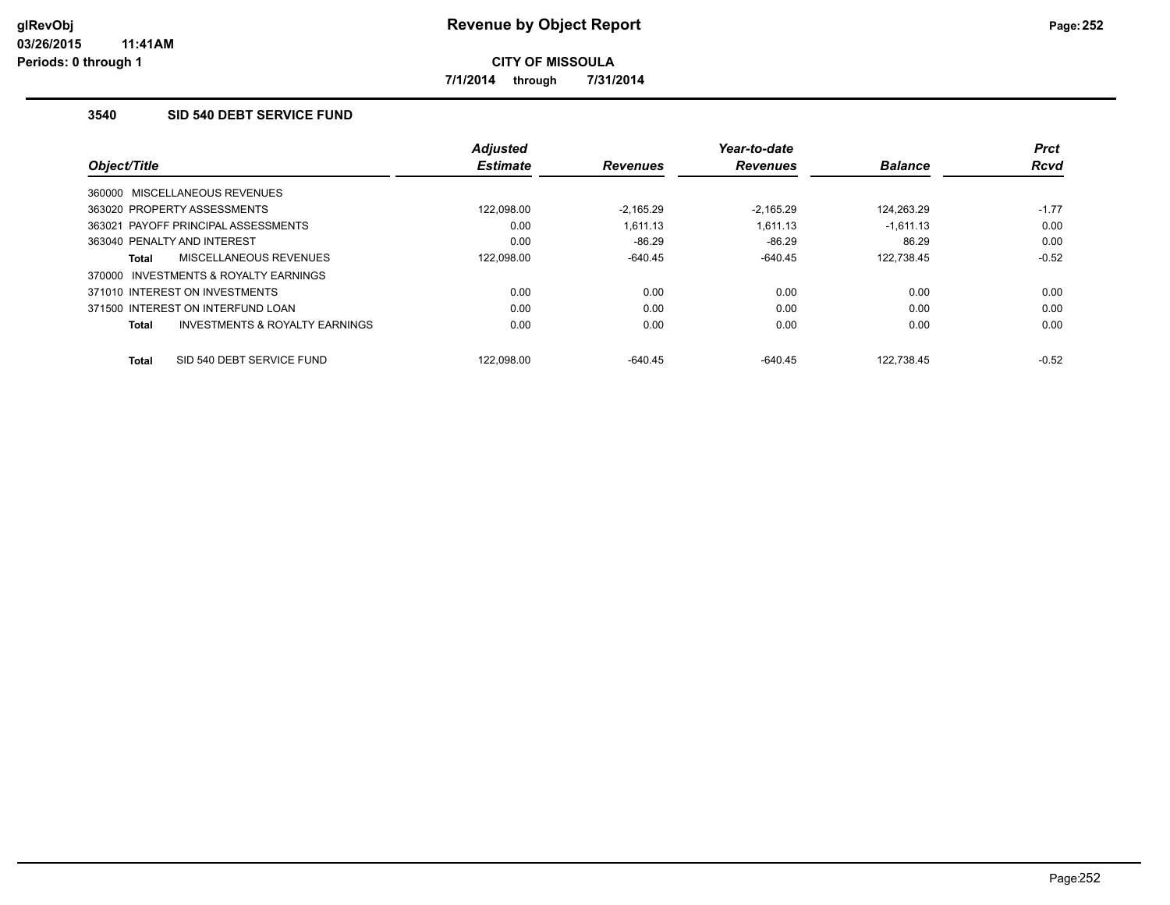**7/1/2014 through 7/31/2014**

## **3540 SID 540 DEBT SERVICE FUND**

|                                                | <b>Adjusted</b> |                 | Year-to-date    |                | <b>Prct</b> |
|------------------------------------------------|-----------------|-----------------|-----------------|----------------|-------------|
| Object/Title                                   | <b>Estimate</b> | <b>Revenues</b> | <b>Revenues</b> | <b>Balance</b> | <b>Rcvd</b> |
| 360000 MISCELLANEOUS REVENUES                  |                 |                 |                 |                |             |
| 363020 PROPERTY ASSESSMENTS                    | 122.098.00      | $-2.165.29$     | $-2.165.29$     | 124.263.29     | $-1.77$     |
| 363021 PAYOFF PRINCIPAL ASSESSMENTS            | 0.00            | 1.611.13        | 1.611.13        | $-1,611.13$    | 0.00        |
| 363040 PENALTY AND INTEREST                    | 0.00            | $-86.29$        | $-86.29$        | 86.29          | 0.00        |
| MISCELLANEOUS REVENUES<br><b>Total</b>         | 122,098.00      | $-640.45$       | $-640.45$       | 122,738.45     | $-0.52$     |
| INVESTMENTS & ROYALTY EARNINGS<br>370000       |                 |                 |                 |                |             |
| 371010 INTEREST ON INVESTMENTS                 | 0.00            | 0.00            | 0.00            | 0.00           | 0.00        |
| 371500 INTEREST ON INTERFUND LOAN              | 0.00            | 0.00            | 0.00            | 0.00           | 0.00        |
| INVESTMENTS & ROYALTY EARNINGS<br><b>Total</b> | 0.00            | 0.00            | 0.00            | 0.00           | 0.00        |
|                                                |                 |                 |                 |                |             |
| SID 540 DEBT SERVICE FUND<br><b>Total</b>      | 122.098.00      | $-640.45$       | $-640.45$       | 122.738.45     | $-0.52$     |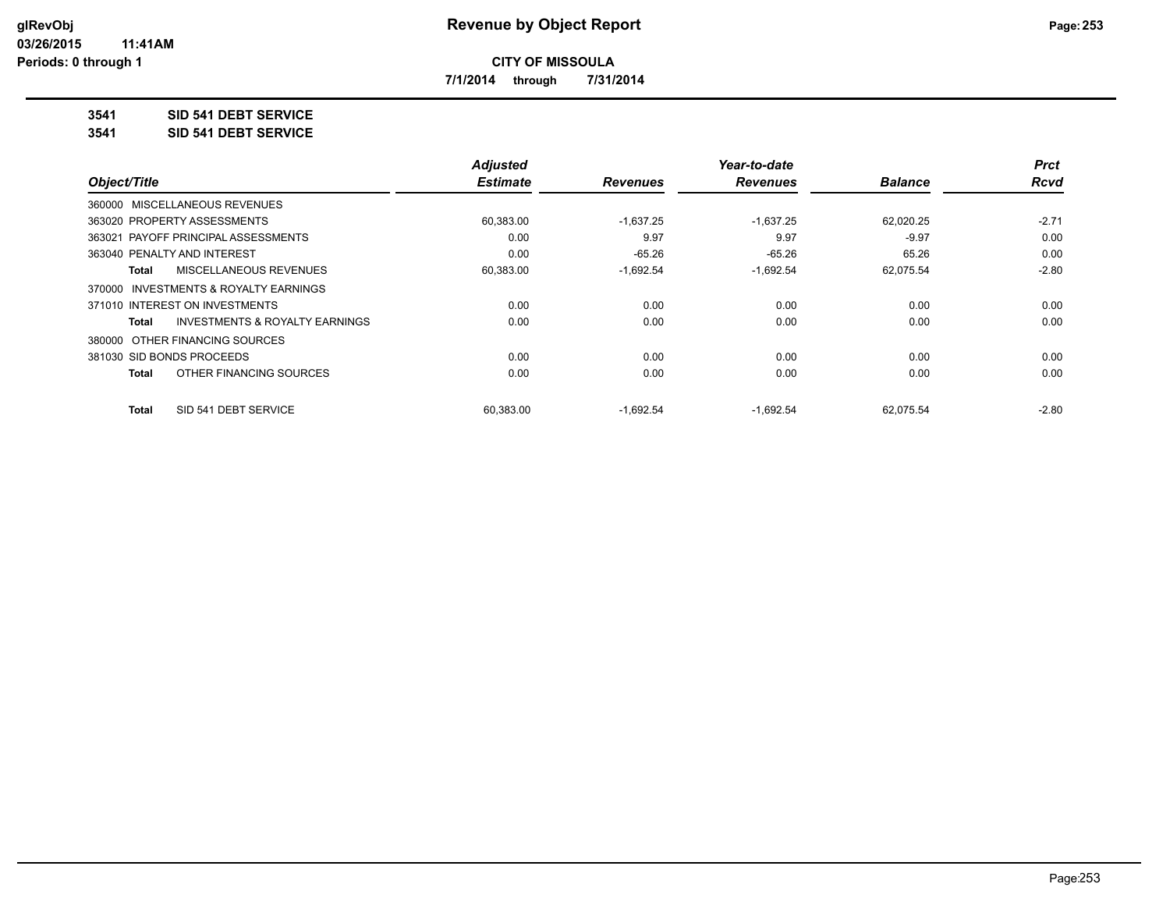**7/1/2014 through 7/31/2014**

**3541 SID 541 DEBT SERVICE**

**3541 SID 541 DEBT SERVICE**

|                                         | <b>Adjusted</b> |                 | Year-to-date    |                | <b>Prct</b> |
|-----------------------------------------|-----------------|-----------------|-----------------|----------------|-------------|
| Object/Title                            | <b>Estimate</b> | <b>Revenues</b> | <b>Revenues</b> | <b>Balance</b> | <b>Rcvd</b> |
| 360000 MISCELLANEOUS REVENUES           |                 |                 |                 |                |             |
| 363020 PROPERTY ASSESSMENTS             | 60,383.00       | $-1,637.25$     | $-1,637.25$     | 62,020.25      | $-2.71$     |
| 363021 PAYOFF PRINCIPAL ASSESSMENTS     | 0.00            | 9.97            | 9.97            | $-9.97$        | 0.00        |
| 363040 PENALTY AND INTEREST             | 0.00            | $-65.26$        | $-65.26$        | 65.26          | 0.00        |
| MISCELLANEOUS REVENUES<br>Total         | 60,383.00       | $-1,692.54$     | $-1,692.54$     | 62,075.54      | $-2.80$     |
| 370000 INVESTMENTS & ROYALTY EARNINGS   |                 |                 |                 |                |             |
| 371010 INTEREST ON INVESTMENTS          | 0.00            | 0.00            | 0.00            | 0.00           | 0.00        |
| INVESTMENTS & ROYALTY EARNINGS<br>Total | 0.00            | 0.00            | 0.00            | 0.00           | 0.00        |
| 380000 OTHER FINANCING SOURCES          |                 |                 |                 |                |             |
| 381030 SID BONDS PROCEEDS               | 0.00            | 0.00            | 0.00            | 0.00           | 0.00        |
| OTHER FINANCING SOURCES<br>Total        | 0.00            | 0.00            | 0.00            | 0.00           | 0.00        |
| SID 541 DEBT SERVICE<br>Total           | 60.383.00       | $-1.692.54$     | $-1.692.54$     | 62.075.54      | $-2.80$     |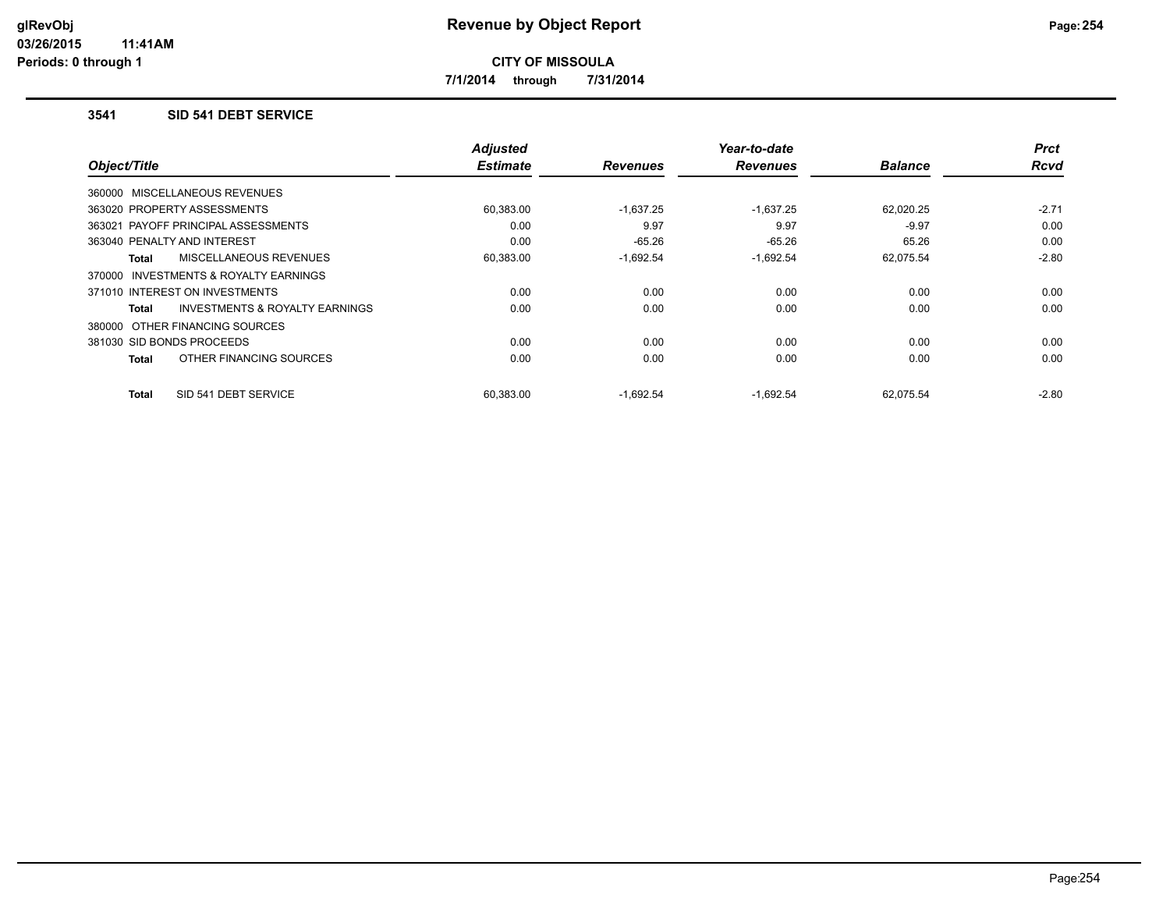**7/1/2014 through 7/31/2014**

### **3541 SID 541 DEBT SERVICE**

| Object/Title                                        | <b>Adjusted</b><br><b>Estimate</b> | <b>Revenues</b> | Year-to-date<br><b>Revenues</b> | <b>Balance</b> | <b>Prct</b><br>Rcvd |
|-----------------------------------------------------|------------------------------------|-----------------|---------------------------------|----------------|---------------------|
|                                                     |                                    |                 |                                 |                |                     |
| 360000 MISCELLANEOUS REVENUES                       |                                    |                 |                                 |                |                     |
| 363020 PROPERTY ASSESSMENTS                         | 60,383.00                          | $-1,637.25$     | $-1,637.25$                     | 62,020.25      | $-2.71$             |
| 363021 PAYOFF PRINCIPAL ASSESSMENTS                 | 0.00                               | 9.97            | 9.97                            | $-9.97$        | 0.00                |
| 363040 PENALTY AND INTEREST                         | 0.00                               | $-65.26$        | $-65.26$                        | 65.26          | 0.00                |
| MISCELLANEOUS REVENUES<br><b>Total</b>              | 60,383.00                          | $-1,692.54$     | $-1,692.54$                     | 62,075.54      | $-2.80$             |
| <b>INVESTMENTS &amp; ROYALTY EARNINGS</b><br>370000 |                                    |                 |                                 |                |                     |
| 371010 INTEREST ON INVESTMENTS                      | 0.00                               | 0.00            | 0.00                            | 0.00           | 0.00                |
| INVESTMENTS & ROYALTY EARNINGS<br><b>Total</b>      | 0.00                               | 0.00            | 0.00                            | 0.00           | 0.00                |
| 380000 OTHER FINANCING SOURCES                      |                                    |                 |                                 |                |                     |
| 381030 SID BONDS PROCEEDS                           | 0.00                               | 0.00            | 0.00                            | 0.00           | 0.00                |
| OTHER FINANCING SOURCES<br><b>Total</b>             | 0.00                               | 0.00            | 0.00                            | 0.00           | 0.00                |
| SID 541 DEBT SERVICE<br><b>Total</b>                | 60.383.00                          | $-1,692.54$     | $-1,692.54$                     | 62.075.54      | $-2.80$             |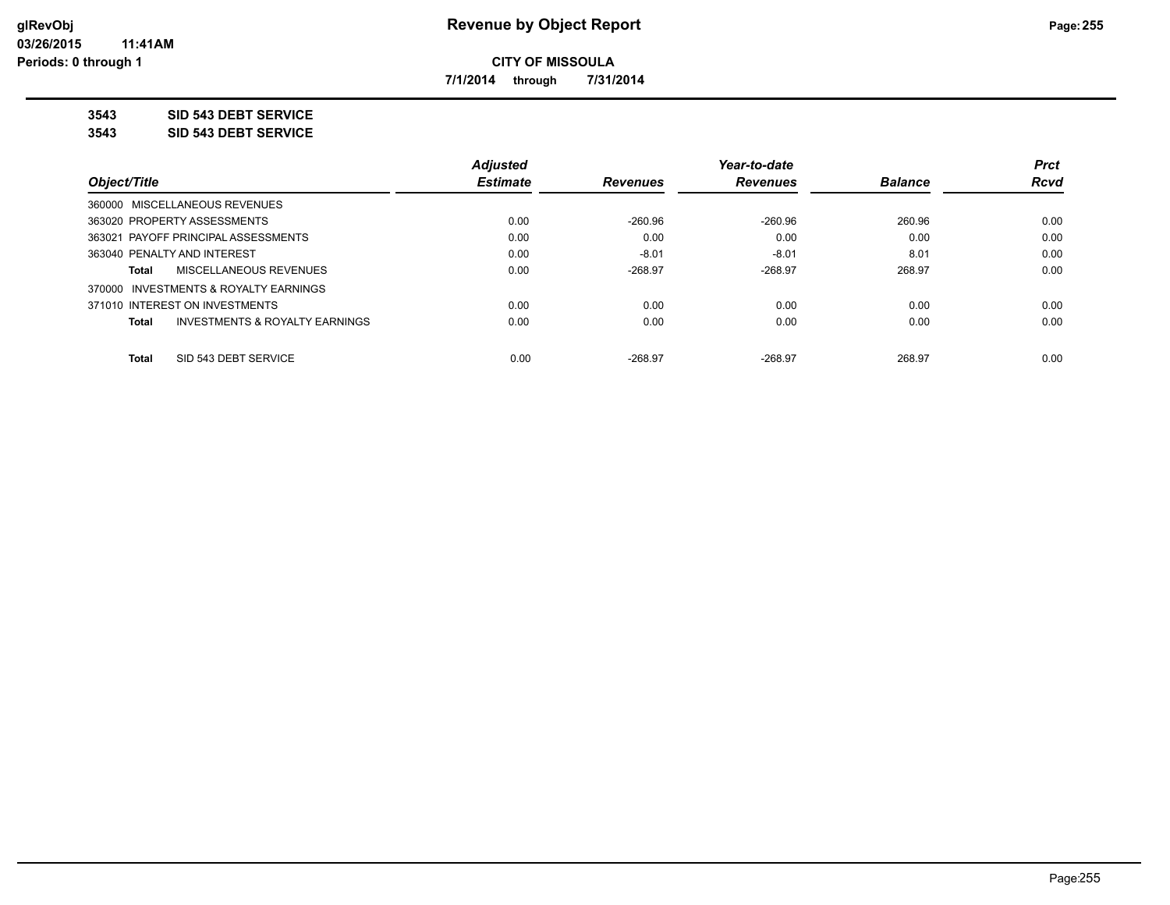**7/1/2014 through 7/31/2014**

**3543 SID 543 DEBT SERVICE**

**3543 SID 543 DEBT SERVICE**

|                                                    | <b>Adjusted</b> |                 | Year-to-date    |                | <b>Prct</b> |
|----------------------------------------------------|-----------------|-----------------|-----------------|----------------|-------------|
| Object/Title                                       | <b>Estimate</b> | <b>Revenues</b> | <b>Revenues</b> | <b>Balance</b> | <b>Rcvd</b> |
| 360000 MISCELLANEOUS REVENUES                      |                 |                 |                 |                |             |
| 363020 PROPERTY ASSESSMENTS                        | 0.00            | $-260.96$       | $-260.96$       | 260.96         | 0.00        |
| 363021 PAYOFF PRINCIPAL ASSESSMENTS                | 0.00            | 0.00            | 0.00            | 0.00           | 0.00        |
| 363040 PENALTY AND INTEREST                        | 0.00            | $-8.01$         | $-8.01$         | 8.01           | 0.00        |
| MISCELLANEOUS REVENUES<br>Total                    | 0.00            | $-268.97$       | $-268.97$       | 268.97         | 0.00        |
| 370000 INVESTMENTS & ROYALTY EARNINGS              |                 |                 |                 |                |             |
| 371010 INTEREST ON INVESTMENTS                     | 0.00            | 0.00            | 0.00            | 0.00           | 0.00        |
| <b>INVESTMENTS &amp; ROYALTY EARNINGS</b><br>Total | 0.00            | 0.00            | 0.00            | 0.00           | 0.00        |
| SID 543 DEBT SERVICE<br><b>Total</b>               | 0.00            | $-268.97$       | $-268.97$       | 268.97         | 0.00        |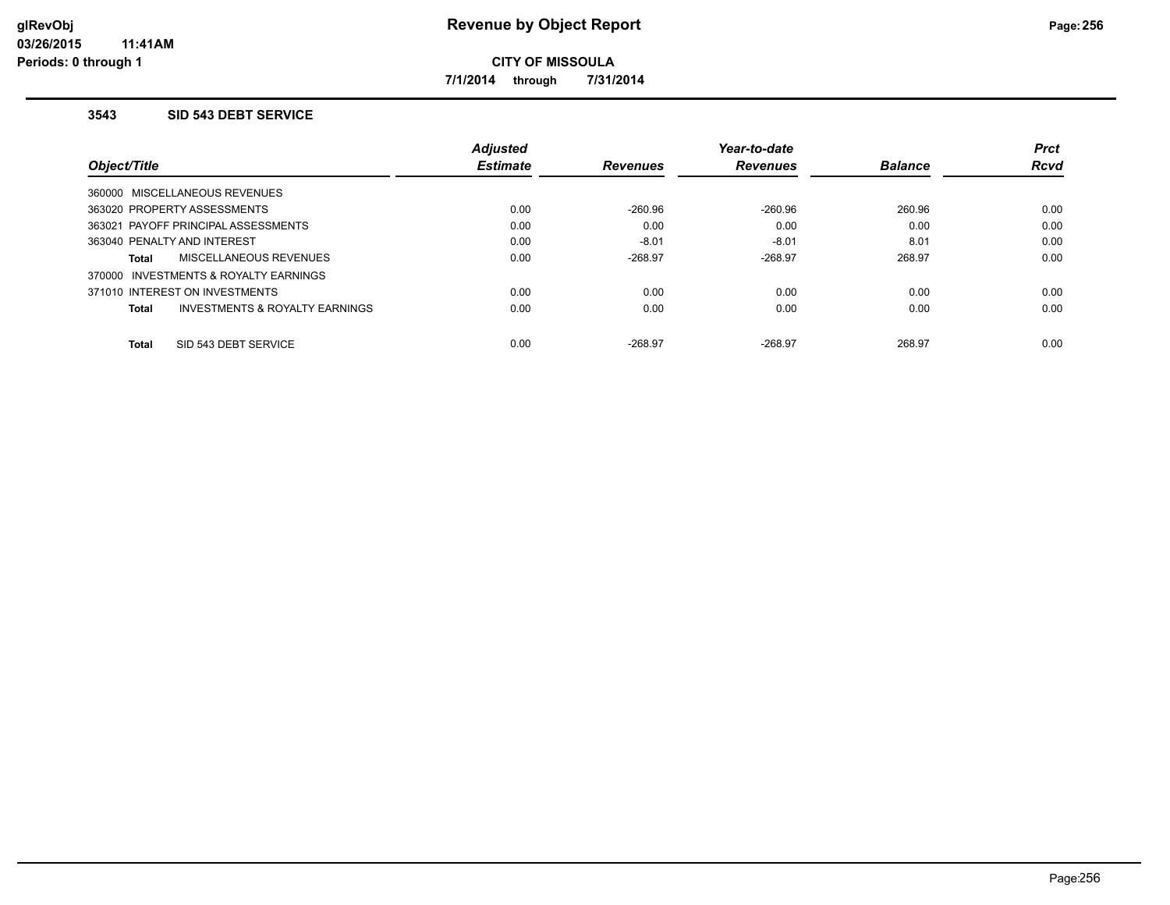**7/1/2014 through 7/31/2014**

### **3543 SID 543 DEBT SERVICE**

|                                                           | <b>Adjusted</b> |                 | Year-to-date    |                | <b>Prct</b> |
|-----------------------------------------------------------|-----------------|-----------------|-----------------|----------------|-------------|
| Object/Title                                              | <b>Estimate</b> | <b>Revenues</b> | <b>Revenues</b> | <b>Balance</b> | <b>Rcvd</b> |
| 360000 MISCELLANEOUS REVENUES                             |                 |                 |                 |                |             |
| 363020 PROPERTY ASSESSMENTS                               | 0.00            | $-260.96$       | $-260.96$       | 260.96         | 0.00        |
| 363021 PAYOFF PRINCIPAL ASSESSMENTS                       | 0.00            | 0.00            | 0.00            | 0.00           | 0.00        |
| 363040 PENALTY AND INTEREST                               | 0.00            | $-8.01$         | $-8.01$         | 8.01           | 0.00        |
| <b>MISCELLANEOUS REVENUES</b><br><b>Total</b>             | 0.00            | $-268.97$       | $-268.97$       | 268.97         | 0.00        |
| 370000 INVESTMENTS & ROYALTY EARNINGS                     |                 |                 |                 |                |             |
| 371010 INTEREST ON INVESTMENTS                            | 0.00            | 0.00            | 0.00            | 0.00           | 0.00        |
| <b>INVESTMENTS &amp; ROYALTY EARNINGS</b><br><b>Total</b> | 0.00            | 0.00            | 0.00            | 0.00           | 0.00        |
| SID 543 DEBT SERVICE<br><b>Total</b>                      | 0.00            | $-268.97$       | $-268.97$       | 268.97         | 0.00        |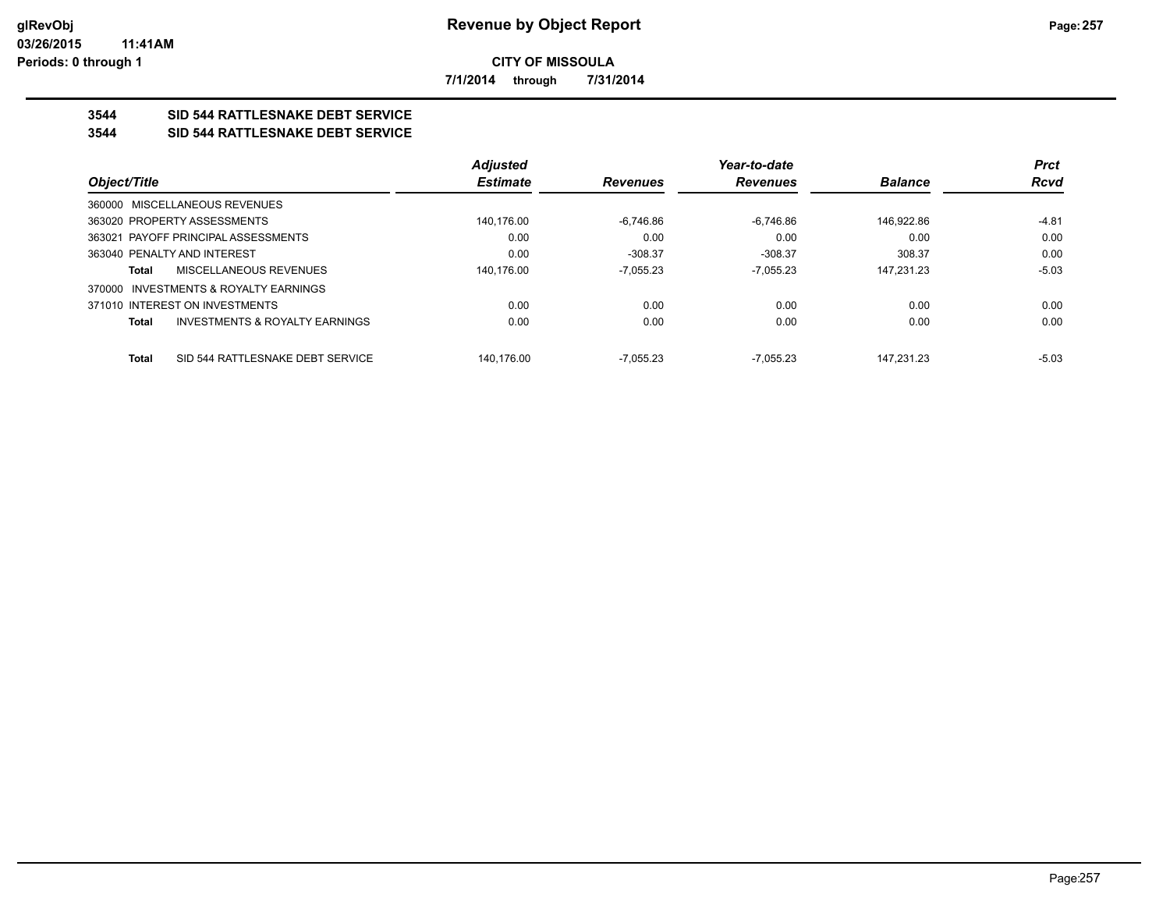**7/1/2014 through 7/31/2014**

# **3544 SID 544 RATTLESNAKE DEBT SERVICE**

## **3544 SID 544 RATTLESNAKE DEBT SERVICE**

|                                               |                                           | <b>Adjusted</b> |                 | Year-to-date    |                | <b>Prct</b> |
|-----------------------------------------------|-------------------------------------------|-----------------|-----------------|-----------------|----------------|-------------|
| Object/Title                                  |                                           | <b>Estimate</b> | <b>Revenues</b> | <b>Revenues</b> | <b>Balance</b> | Rcvd        |
| 360000 MISCELLANEOUS REVENUES                 |                                           |                 |                 |                 |                |             |
| 363020 PROPERTY ASSESSMENTS                   |                                           | 140,176.00      | $-6.746.86$     | $-6,746.86$     | 146.922.86     | $-4.81$     |
| 363021 PAYOFF PRINCIPAL ASSESSMENTS           |                                           | 0.00            | 0.00            | 0.00            | 0.00           | 0.00        |
| 363040 PENALTY AND INTEREST                   |                                           | 0.00            | $-308.37$       | $-308.37$       | 308.37         | 0.00        |
| <b>MISCELLANEOUS REVENUES</b><br><b>Total</b> |                                           | 140.176.00      | $-7.055.23$     | $-7.055.23$     | 147.231.23     | $-5.03$     |
| 370000 INVESTMENTS & ROYALTY EARNINGS         |                                           |                 |                 |                 |                |             |
| 371010 INTEREST ON INVESTMENTS                |                                           | 0.00            | 0.00            | 0.00            | 0.00           | 0.00        |
| <b>Total</b>                                  | <b>INVESTMENTS &amp; ROYALTY EARNINGS</b> | 0.00            | 0.00            | 0.00            | 0.00           | 0.00        |
| <b>Total</b>                                  | SID 544 RATTLESNAKE DEBT SERVICE          | 140.176.00      | $-7.055.23$     | $-7.055.23$     | 147.231.23     | $-5.03$     |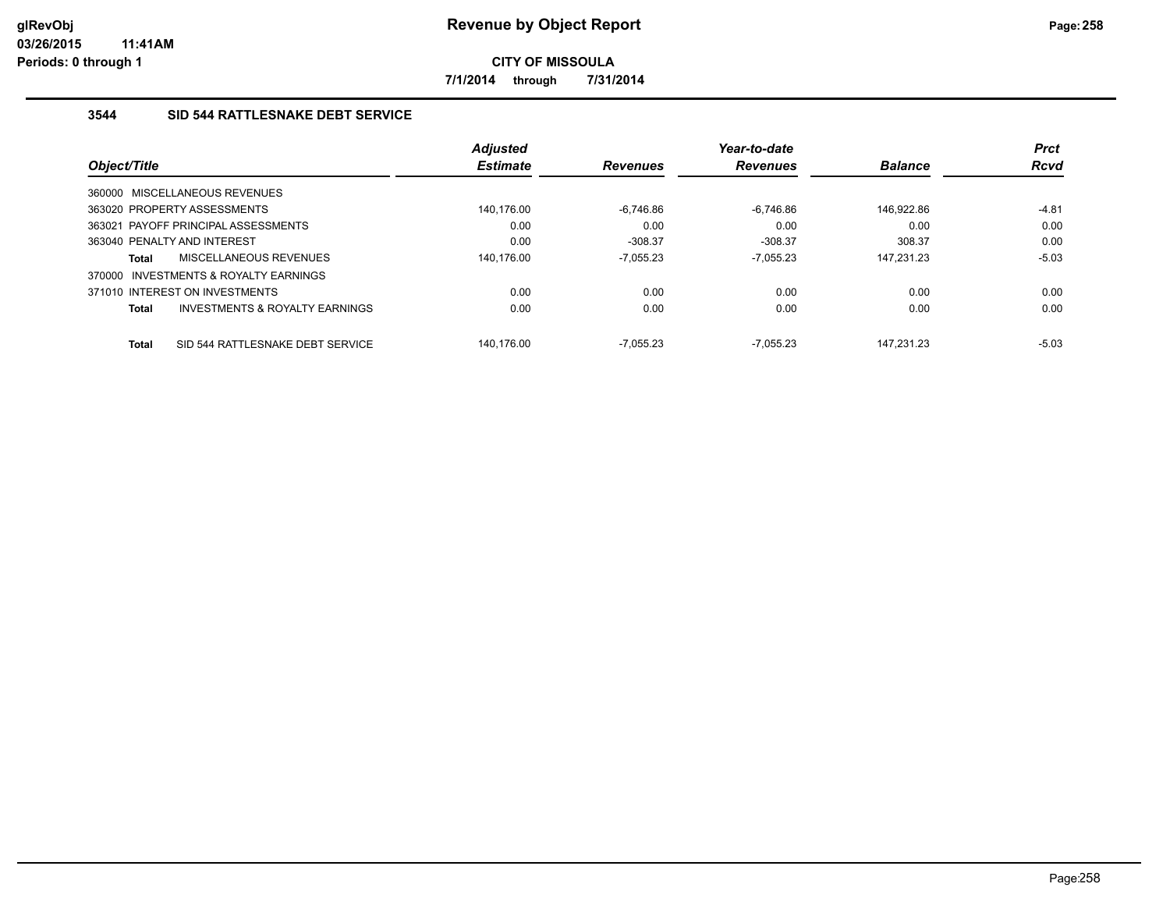**7/1/2014 through 7/31/2014**

# **3544 SID 544 RATTLESNAKE DEBT SERVICE**

|              |                                       | <b>Adjusted</b> |                 | Year-to-date    |                | <b>Prct</b> |
|--------------|---------------------------------------|-----------------|-----------------|-----------------|----------------|-------------|
| Object/Title |                                       | <b>Estimate</b> | <b>Revenues</b> | <b>Revenues</b> | <b>Balance</b> | <b>Rcvd</b> |
|              | 360000 MISCELLANEOUS REVENUES         |                 |                 |                 |                |             |
|              | 363020 PROPERTY ASSESSMENTS           | 140.176.00      | $-6.746.86$     | $-6.746.86$     | 146.922.86     | $-4.81$     |
|              | 363021 PAYOFF PRINCIPAL ASSESSMENTS   | 0.00            | 0.00            | 0.00            | 0.00           | 0.00        |
|              | 363040 PENALTY AND INTEREST           | 0.00            | $-308.37$       | $-308.37$       | 308.37         | 0.00        |
| <b>Total</b> | MISCELLANEOUS REVENUES                | 140.176.00      | $-7.055.23$     | $-7.055.23$     | 147,231.23     | $-5.03$     |
|              | 370000 INVESTMENTS & ROYALTY EARNINGS |                 |                 |                 |                |             |
|              | 371010 INTEREST ON INVESTMENTS        | 0.00            | 0.00            | 0.00            | 0.00           | 0.00        |
| <b>Total</b> | INVESTMENTS & ROYALTY EARNINGS        | 0.00            | 0.00            | 0.00            | 0.00           | 0.00        |
| <b>Total</b> | SID 544 RATTLESNAKE DEBT SERVICE      | 140.176.00      | $-7.055.23$     | $-7.055.23$     | 147.231.23     | $-5.03$     |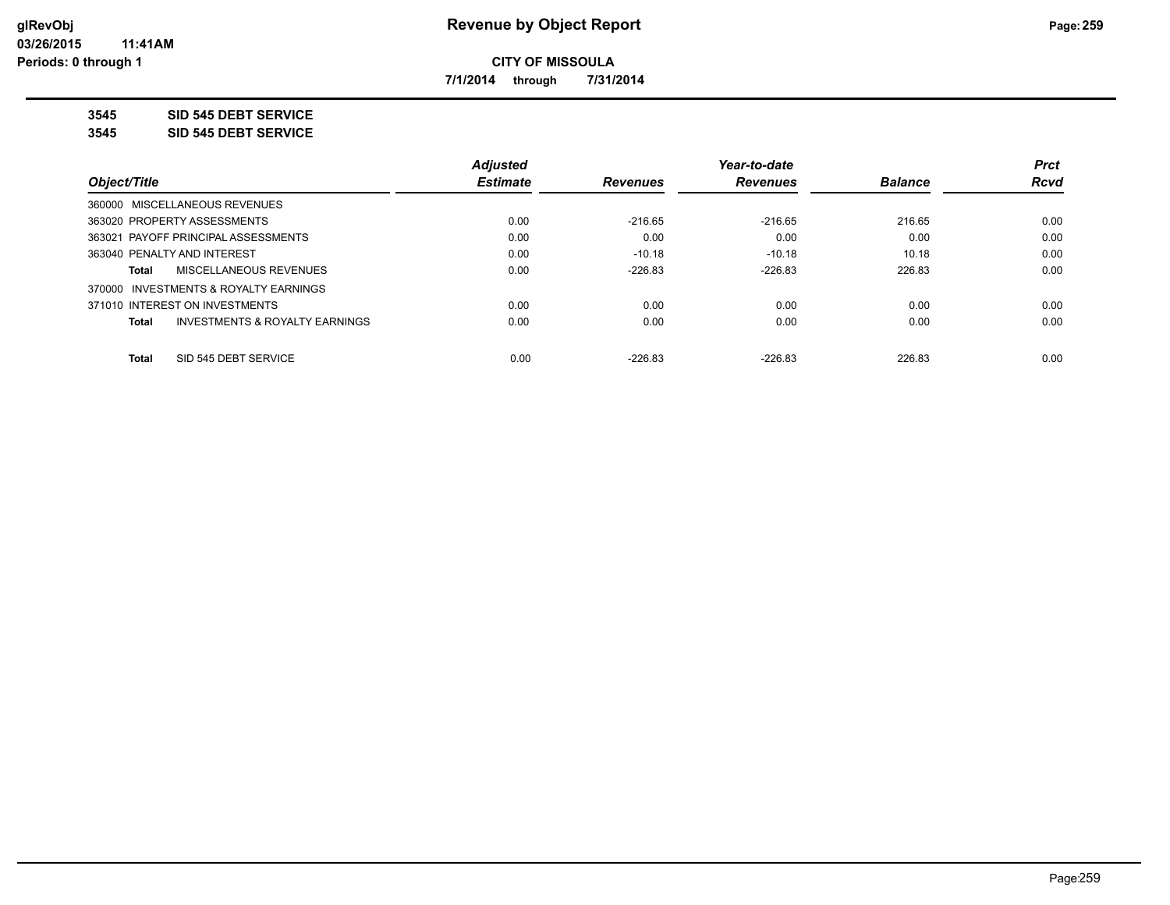**7/1/2014 through 7/31/2014**

**3545 SID 545 DEBT SERVICE**

**3545 SID 545 DEBT SERVICE**

|                             |                                           | <b>Adjusted</b> |                 | Year-to-date    |                | <b>Prct</b> |
|-----------------------------|-------------------------------------------|-----------------|-----------------|-----------------|----------------|-------------|
| Object/Title                |                                           | <b>Estimate</b> | <b>Revenues</b> | <b>Revenues</b> | <b>Balance</b> | <b>Rcvd</b> |
|                             | 360000 MISCELLANEOUS REVENUES             |                 |                 |                 |                |             |
| 363020 PROPERTY ASSESSMENTS |                                           | 0.00            | $-216.65$       | $-216.65$       | 216.65         | 0.00        |
|                             | 363021 PAYOFF PRINCIPAL ASSESSMENTS       | 0.00            | 0.00            | 0.00            | 0.00           | 0.00        |
| 363040 PENALTY AND INTEREST |                                           | 0.00            | $-10.18$        | $-10.18$        | 10.18          | 0.00        |
| Total                       | MISCELLANEOUS REVENUES                    | 0.00            | $-226.83$       | $-226.83$       | 226.83         | 0.00        |
|                             | 370000 INVESTMENTS & ROYALTY EARNINGS     |                 |                 |                 |                |             |
|                             | 371010 INTEREST ON INVESTMENTS            | 0.00            | 0.00            | 0.00            | 0.00           | 0.00        |
| Total                       | <b>INVESTMENTS &amp; ROYALTY EARNINGS</b> | 0.00            | 0.00            | 0.00            | 0.00           | 0.00        |
| <b>Total</b>                | SID 545 DEBT SERVICE                      | 0.00            | $-226.83$       | $-226.83$       | 226.83         | 0.00        |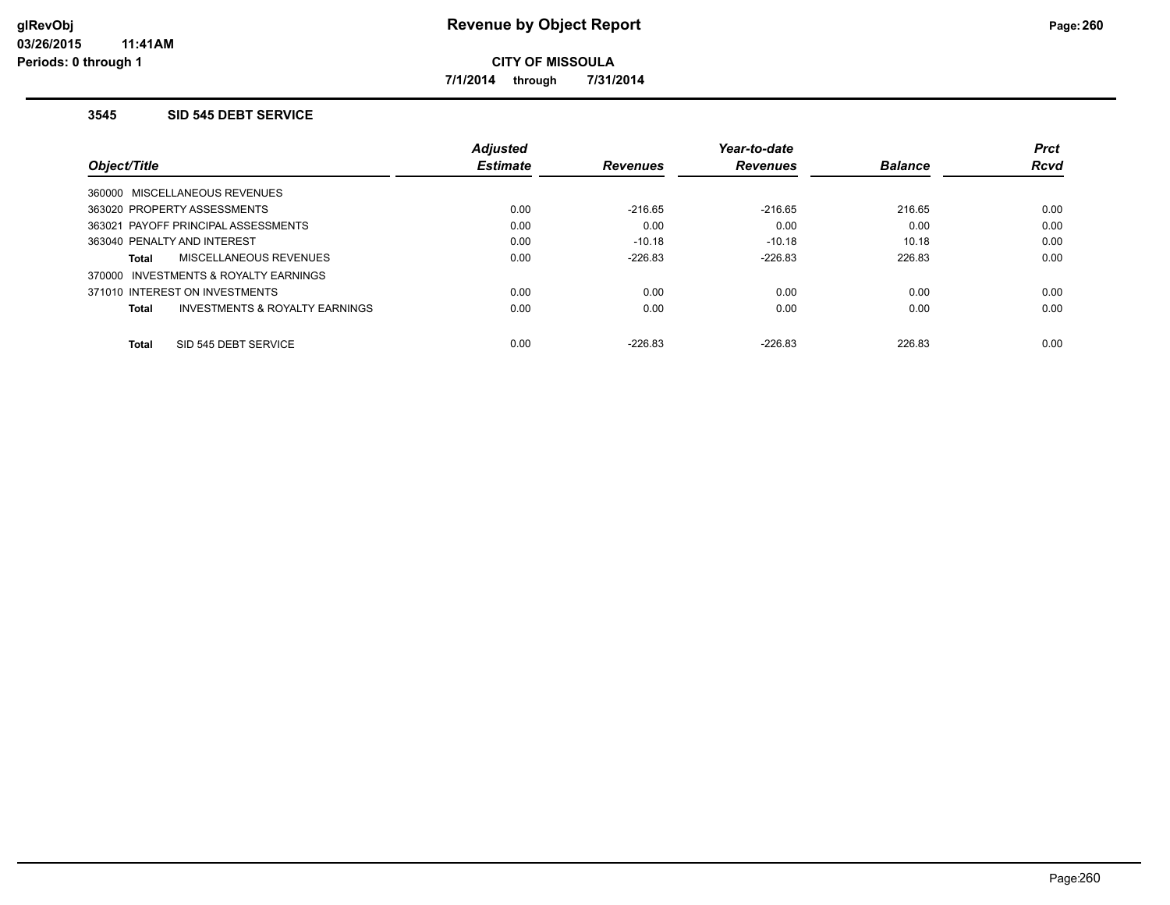**7/1/2014 through 7/31/2014**

#### **3545 SID 545 DEBT SERVICE**

|                                         | <b>Adjusted</b> |                 | Year-to-date    |                | <b>Prct</b> |
|-----------------------------------------|-----------------|-----------------|-----------------|----------------|-------------|
| Object/Title                            | <b>Estimate</b> | <b>Revenues</b> | <b>Revenues</b> | <b>Balance</b> | <b>Rcvd</b> |
| 360000 MISCELLANEOUS REVENUES           |                 |                 |                 |                |             |
| 363020 PROPERTY ASSESSMENTS             | 0.00            | $-216.65$       | $-216.65$       | 216.65         | 0.00        |
| 363021 PAYOFF PRINCIPAL ASSESSMENTS     | 0.00            | 0.00            | 0.00            | 0.00           | 0.00        |
| 363040 PENALTY AND INTEREST             | 0.00            | $-10.18$        | $-10.18$        | 10.18          | 0.00        |
| MISCELLANEOUS REVENUES<br>Total         | 0.00            | $-226.83$       | $-226.83$       | 226.83         | 0.00        |
| 370000 INVESTMENTS & ROYALTY EARNINGS   |                 |                 |                 |                |             |
| 371010 INTEREST ON INVESTMENTS          | 0.00            | 0.00            | 0.00            | 0.00           | 0.00        |
| INVESTMENTS & ROYALTY EARNINGS<br>Total | 0.00            | 0.00            | 0.00            | 0.00           | 0.00        |
| SID 545 DEBT SERVICE<br><b>Total</b>    | 0.00            | $-226.83$       | $-226.83$       | 226.83         | 0.00        |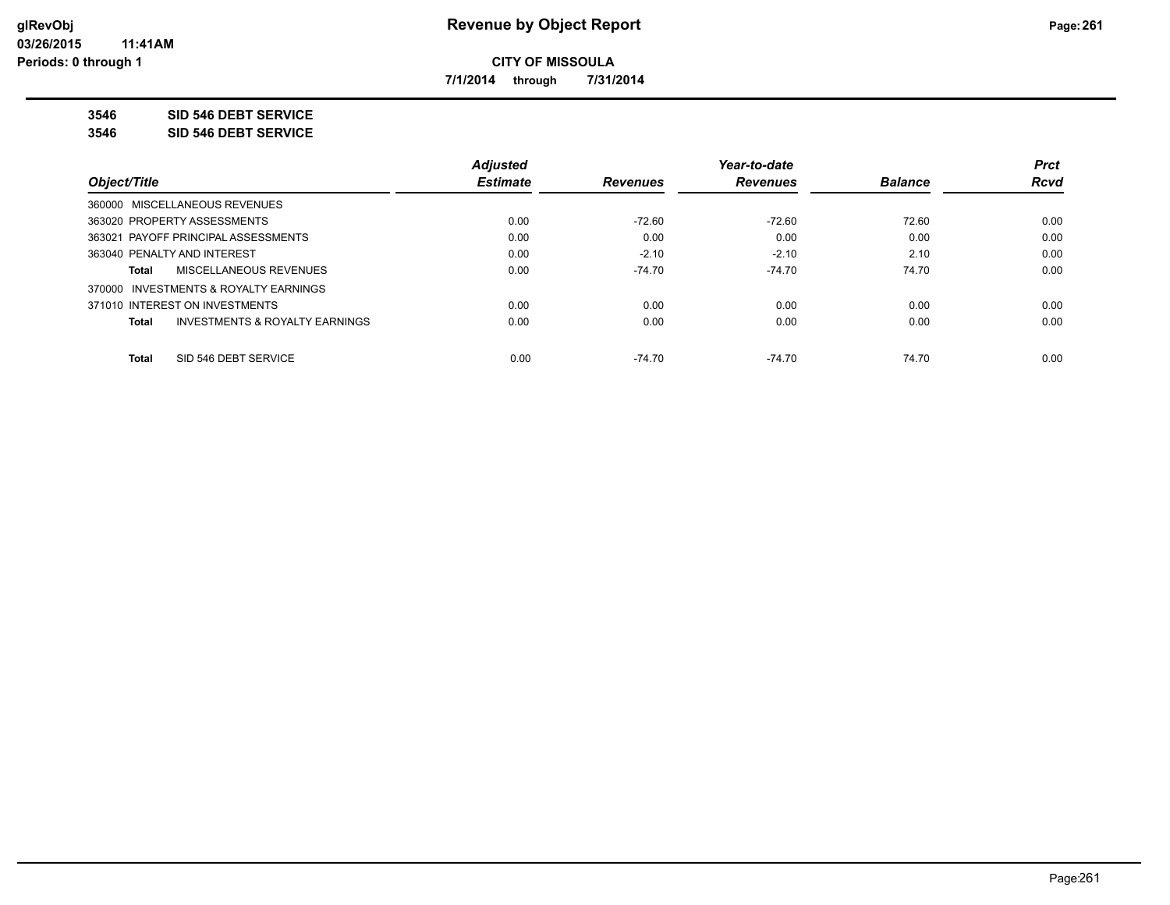**7/1/2014 through 7/31/2014**

**3546 SID 546 DEBT SERVICE**

**3546 SID 546 DEBT SERVICE**

|                                                    | <b>Adjusted</b> |                 | Year-to-date    |                | <b>Prct</b> |
|----------------------------------------------------|-----------------|-----------------|-----------------|----------------|-------------|
| Obiect/Title                                       | <b>Estimate</b> | <b>Revenues</b> | <b>Revenues</b> | <b>Balance</b> | <b>Rcvd</b> |
| 360000 MISCELLANEOUS REVENUES                      |                 |                 |                 |                |             |
| 363020 PROPERTY ASSESSMENTS                        | 0.00            | $-72.60$        | $-72.60$        | 72.60          | 0.00        |
| 363021 PAYOFF PRINCIPAL ASSESSMENTS                | 0.00            | 0.00            | 0.00            | 0.00           | 0.00        |
| 363040 PENALTY AND INTEREST                        | 0.00            | $-2.10$         | $-2.10$         | 2.10           | 0.00        |
| <b>MISCELLANEOUS REVENUES</b><br>Total             | 0.00            | $-74.70$        | $-74.70$        | 74.70          | 0.00        |
| 370000 INVESTMENTS & ROYALTY EARNINGS              |                 |                 |                 |                |             |
| 371010 INTEREST ON INVESTMENTS                     | 0.00            | 0.00            | 0.00            | 0.00           | 0.00        |
| <b>INVESTMENTS &amp; ROYALTY EARNINGS</b><br>Total | 0.00            | 0.00            | 0.00            | 0.00           | 0.00        |
| SID 546 DEBT SERVICE<br><b>Total</b>               | 0.00            | $-74.70$        | $-74.70$        | 74.70          | 0.00        |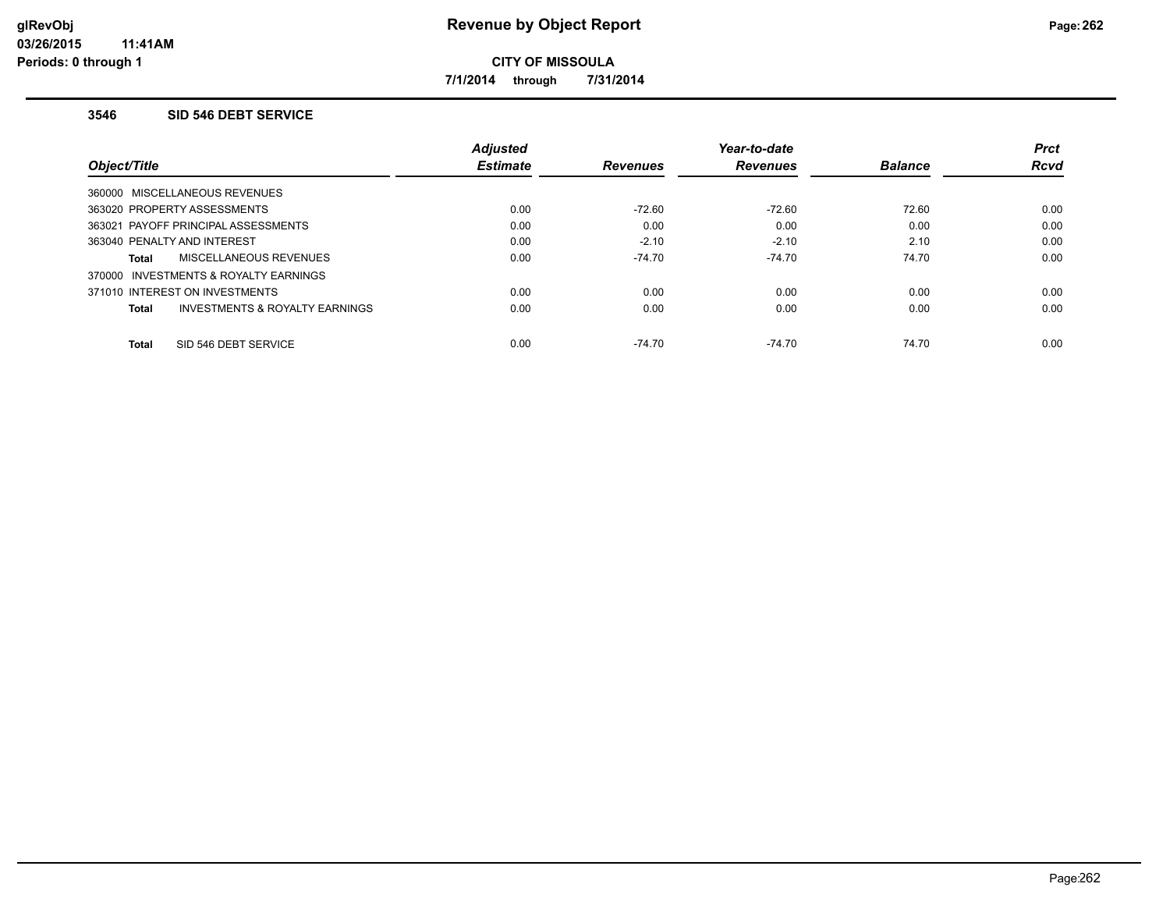**7/1/2014 through 7/31/2014**

#### **3546 SID 546 DEBT SERVICE**

|                                                    | <b>Adjusted</b> |                 | Year-to-date    |                | <b>Prct</b> |
|----------------------------------------------------|-----------------|-----------------|-----------------|----------------|-------------|
| Object/Title                                       | <b>Estimate</b> | <b>Revenues</b> | <b>Revenues</b> | <b>Balance</b> | <b>Rcvd</b> |
| 360000 MISCELLANEOUS REVENUES                      |                 |                 |                 |                |             |
| 363020 PROPERTY ASSESSMENTS                        | 0.00            | $-72.60$        | $-72.60$        | 72.60          | 0.00        |
| 363021 PAYOFF PRINCIPAL ASSESSMENTS                | 0.00            | 0.00            | 0.00            | 0.00           | 0.00        |
| 363040 PENALTY AND INTEREST                        | 0.00            | $-2.10$         | $-2.10$         | 2.10           | 0.00        |
| <b>MISCELLANEOUS REVENUES</b><br>Total             | 0.00            | $-74.70$        | $-74.70$        | 74.70          | 0.00        |
| 370000 INVESTMENTS & ROYALTY EARNINGS              |                 |                 |                 |                |             |
| 371010 INTEREST ON INVESTMENTS                     | 0.00            | 0.00            | 0.00            | 0.00           | 0.00        |
| <b>INVESTMENTS &amp; ROYALTY EARNINGS</b><br>Total | 0.00            | 0.00            | 0.00            | 0.00           | 0.00        |
| SID 546 DEBT SERVICE<br><b>Total</b>               | 0.00            | $-74.70$        | $-74.70$        | 74.70          | 0.00        |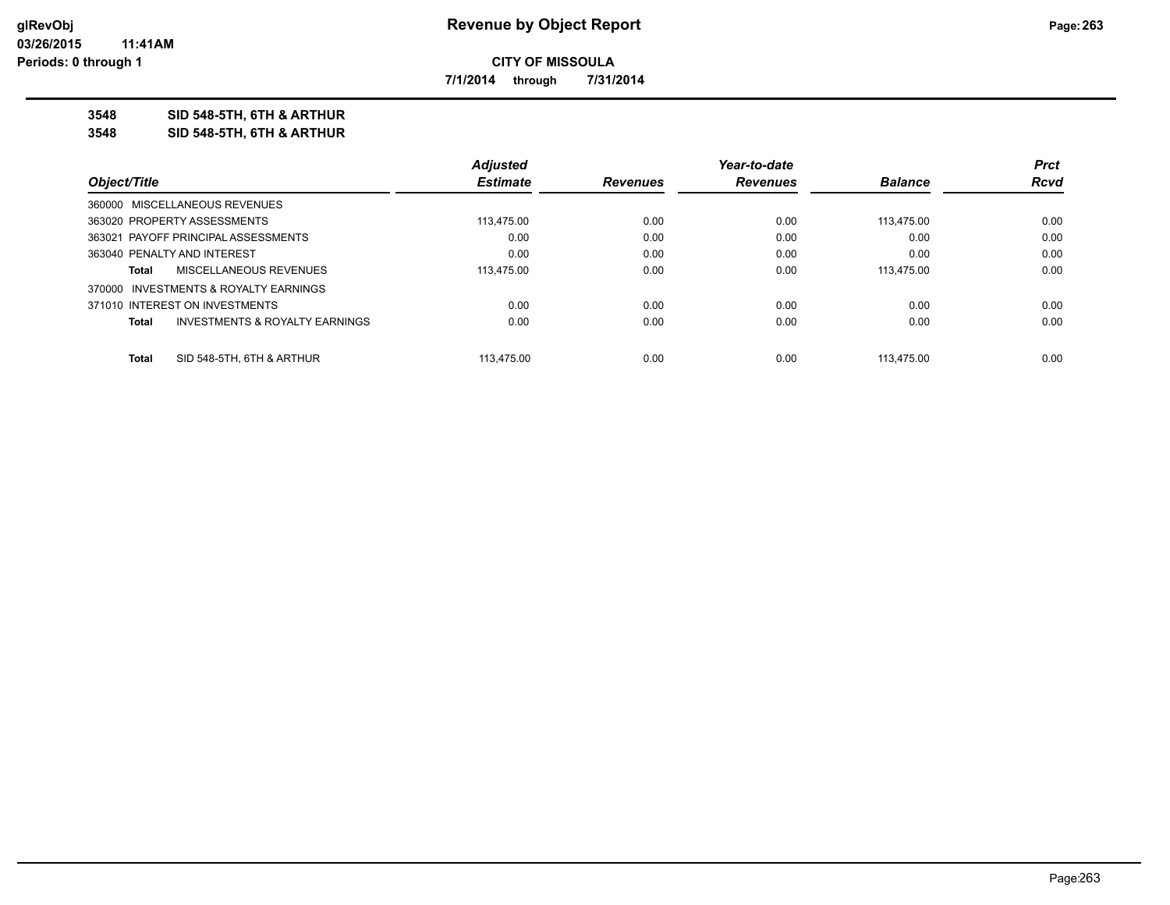**7/1/2014 through 7/31/2014**

**3548 SID 548-5TH, 6TH & ARTHUR**

**3548 SID 548-5TH, 6TH & ARTHUR**

|              |                                           | <b>Adjusted</b> |                 | Year-to-date    |                | <b>Prct</b> |
|--------------|-------------------------------------------|-----------------|-----------------|-----------------|----------------|-------------|
| Object/Title |                                           | <b>Estimate</b> | <b>Revenues</b> | <b>Revenues</b> | <b>Balance</b> | Rcvd        |
|              | 360000 MISCELLANEOUS REVENUES             |                 |                 |                 |                |             |
|              | 363020 PROPERTY ASSESSMENTS               | 113.475.00      | 0.00            | 0.00            | 113.475.00     | 0.00        |
|              | 363021 PAYOFF PRINCIPAL ASSESSMENTS       | 0.00            | 0.00            | 0.00            | 0.00           | 0.00        |
|              | 363040 PENALTY AND INTEREST               | 0.00            | 0.00            | 0.00            | 0.00           | 0.00        |
| Total        | MISCELLANEOUS REVENUES                    | 113.475.00      | 0.00            | 0.00            | 113.475.00     | 0.00        |
|              | 370000 INVESTMENTS & ROYALTY EARNINGS     |                 |                 |                 |                |             |
|              | 371010 INTEREST ON INVESTMENTS            | 0.00            | 0.00            | 0.00            | 0.00           | 0.00        |
| Total        | <b>INVESTMENTS &amp; ROYALTY EARNINGS</b> | 0.00            | 0.00            | 0.00            | 0.00           | 0.00        |
| Total        | SID 548-5TH, 6TH & ARTHUR                 | 113.475.00      | 0.00            | 0.00            | 113.475.00     | 0.00        |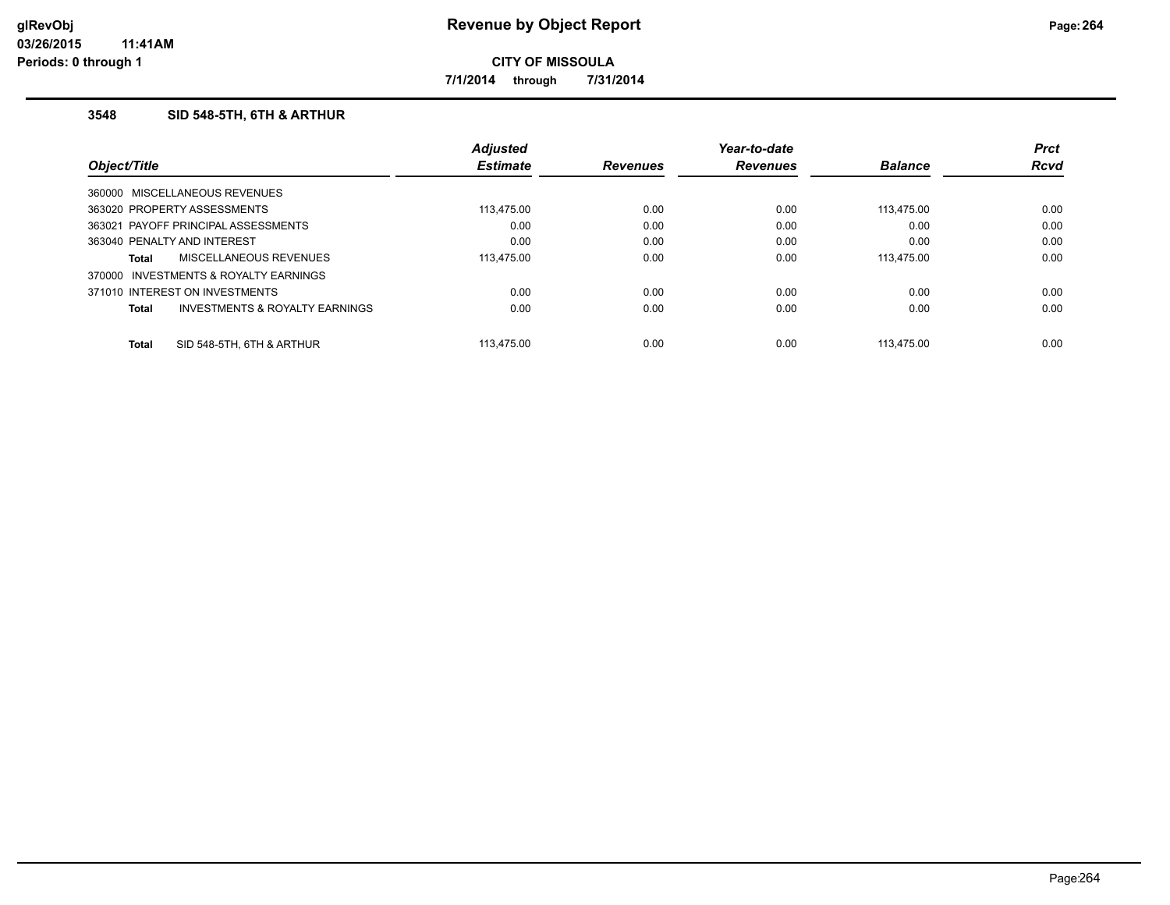**7/1/2014 through 7/31/2014**

## **3548 SID 548-5TH, 6TH & ARTHUR**

|                             |                                           | <b>Adjusted</b> |                 | Year-to-date    |                | <b>Prct</b> |
|-----------------------------|-------------------------------------------|-----------------|-----------------|-----------------|----------------|-------------|
| Object/Title                |                                           | <b>Estimate</b> | <b>Revenues</b> | <b>Revenues</b> | <b>Balance</b> | <b>Rcvd</b> |
|                             | 360000 MISCELLANEOUS REVENUES             |                 |                 |                 |                |             |
|                             | 363020 PROPERTY ASSESSMENTS               | 113,475.00      | 0.00            | 0.00            | 113.475.00     | 0.00        |
|                             | 363021 PAYOFF PRINCIPAL ASSESSMENTS       | 0.00            | 0.00            | 0.00            | 0.00           | 0.00        |
| 363040 PENALTY AND INTEREST |                                           | 0.00            | 0.00            | 0.00            | 0.00           | 0.00        |
| Total                       | MISCELLANEOUS REVENUES                    | 113,475.00      | 0.00            | 0.00            | 113.475.00     | 0.00        |
|                             | 370000 INVESTMENTS & ROYALTY EARNINGS     |                 |                 |                 |                |             |
|                             | 371010 INTEREST ON INVESTMENTS            | 0.00            | 0.00            | 0.00            | 0.00           | 0.00        |
| Total                       | <b>INVESTMENTS &amp; ROYALTY EARNINGS</b> | 0.00            | 0.00            | 0.00            | 0.00           | 0.00        |
| <b>Total</b>                | SID 548-5TH, 6TH & ARTHUR                 | 113.475.00      | 0.00            | 0.00            | 113.475.00     | 0.00        |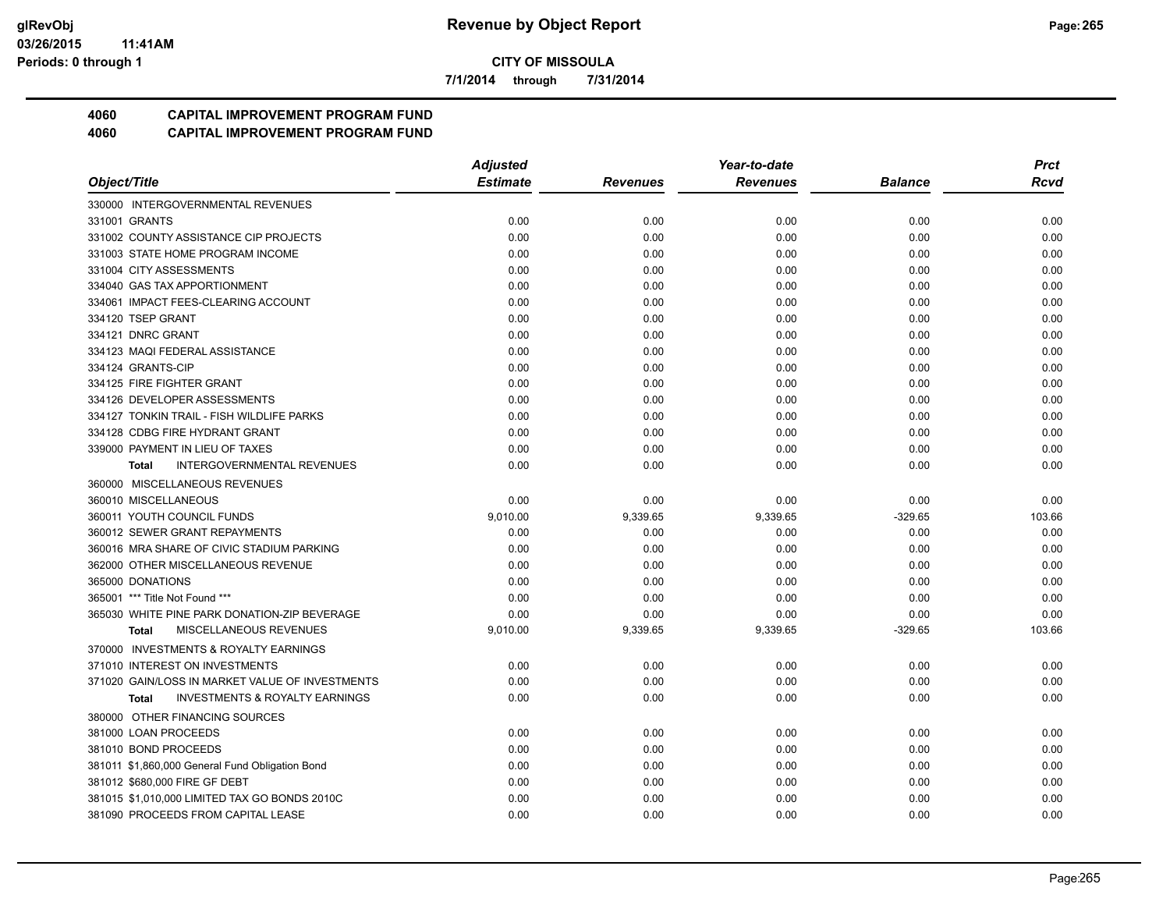**7/1/2014 through 7/31/2014**

# **4060 CAPITAL IMPROVEMENT PROGRAM FUND**

|                                                           | <b>Adjusted</b> |                 | Year-to-date    |           |        |
|-----------------------------------------------------------|-----------------|-----------------|-----------------|-----------|--------|
| Object/Title                                              | <b>Estimate</b> | <b>Revenues</b> | <b>Revenues</b> | Balance   | Rcvd   |
| 330000 INTERGOVERNMENTAL REVENUES                         |                 |                 |                 |           |        |
| 331001 GRANTS                                             | 0.00            | 0.00            | 0.00            | 0.00      | 0.00   |
| 331002 COUNTY ASSISTANCE CIP PROJECTS                     | 0.00            | 0.00            | 0.00            | 0.00      | 0.00   |
| 331003 STATE HOME PROGRAM INCOME                          | 0.00            | 0.00            | 0.00            | 0.00      | 0.00   |
| 331004 CITY ASSESSMENTS                                   | 0.00            | 0.00            | 0.00            | 0.00      | 0.00   |
| 334040 GAS TAX APPORTIONMENT                              | 0.00            | 0.00            | 0.00            | 0.00      | 0.00   |
| 334061 IMPACT FEES-CLEARING ACCOUNT                       | 0.00            | 0.00            | 0.00            | 0.00      | 0.00   |
| 334120 TSEP GRANT                                         | 0.00            | 0.00            | 0.00            | 0.00      | 0.00   |
| 334121 DNRC GRANT                                         | 0.00            | 0.00            | 0.00            | 0.00      | 0.00   |
| 334123 MAQI FEDERAL ASSISTANCE                            | 0.00            | 0.00            | 0.00            | 0.00      | 0.00   |
| 334124 GRANTS-CIP                                         | 0.00            | 0.00            | 0.00            | 0.00      | 0.00   |
| 334125 FIRE FIGHTER GRANT                                 | 0.00            | 0.00            | 0.00            | 0.00      | 0.00   |
| 334126 DEVELOPER ASSESSMENTS                              | 0.00            | 0.00            | 0.00            | 0.00      | 0.00   |
| 334127 TONKIN TRAIL - FISH WILDLIFE PARKS                 | 0.00            | 0.00            | 0.00            | 0.00      | 0.00   |
| 334128 CDBG FIRE HYDRANT GRANT                            | 0.00            | 0.00            | 0.00            | 0.00      | 0.00   |
| 339000 PAYMENT IN LIEU OF TAXES                           | 0.00            | 0.00            | 0.00            | 0.00      | 0.00   |
| <b>INTERGOVERNMENTAL REVENUES</b><br><b>Total</b>         | 0.00            | 0.00            | 0.00            | 0.00      | 0.00   |
| 360000 MISCELLANEOUS REVENUES                             |                 |                 |                 |           |        |
| 360010 MISCELLANEOUS                                      | 0.00            | 0.00            | 0.00            | 0.00      | 0.00   |
| 360011 YOUTH COUNCIL FUNDS                                | 9,010.00        | 9,339.65        | 9,339.65        | $-329.65$ | 103.66 |
| 360012 SEWER GRANT REPAYMENTS                             | 0.00            | 0.00            | 0.00            | 0.00      | 0.00   |
| 360016 MRA SHARE OF CIVIC STADIUM PARKING                 | 0.00            | 0.00            | 0.00            | 0.00      | 0.00   |
| 362000 OTHER MISCELLANEOUS REVENUE                        | 0.00            | 0.00            | 0.00            | 0.00      | 0.00   |
| 365000 DONATIONS                                          | 0.00            | 0.00            | 0.00            | 0.00      | 0.00   |
| 365001 *** Title Not Found ***                            | 0.00            | 0.00            | 0.00            | 0.00      | 0.00   |
| 365030 WHITE PINE PARK DONATION-ZIP BEVERAGE              | 0.00            | 0.00            | 0.00            | 0.00      | 0.00   |
| MISCELLANEOUS REVENUES<br><b>Total</b>                    | 9,010.00        | 9,339.65        | 9,339.65        | $-329.65$ | 103.66 |
| 370000 INVESTMENTS & ROYALTY EARNINGS                     |                 |                 |                 |           |        |
| 371010 INTEREST ON INVESTMENTS                            | 0.00            | 0.00            | 0.00            | 0.00      | 0.00   |
| 371020 GAIN/LOSS IN MARKET VALUE OF INVESTMENTS           | 0.00            | 0.00            | 0.00            | 0.00      | 0.00   |
| <b>INVESTMENTS &amp; ROYALTY EARNINGS</b><br><b>Total</b> | 0.00            | 0.00            | 0.00            | 0.00      | 0.00   |
| 380000 OTHER FINANCING SOURCES                            |                 |                 |                 |           |        |
| 381000 LOAN PROCEEDS                                      | 0.00            | 0.00            | 0.00            | 0.00      | 0.00   |
| 381010 BOND PROCEEDS                                      | 0.00            | 0.00            | 0.00            | 0.00      | 0.00   |
| 381011 \$1,860,000 General Fund Obligation Bond           | 0.00            | 0.00            | 0.00            | 0.00      | 0.00   |
| 381012 \$680,000 FIRE GF DEBT                             | 0.00            | 0.00            | 0.00            | 0.00      | 0.00   |
| 381015 \$1,010,000 LIMITED TAX GO BONDS 2010C             | 0.00            | 0.00            | 0.00            | 0.00      | 0.00   |
| 381090 PROCEEDS FROM CAPITAL LEASE                        | 0.00            | 0.00            | 0.00            | 0.00      | 0.00   |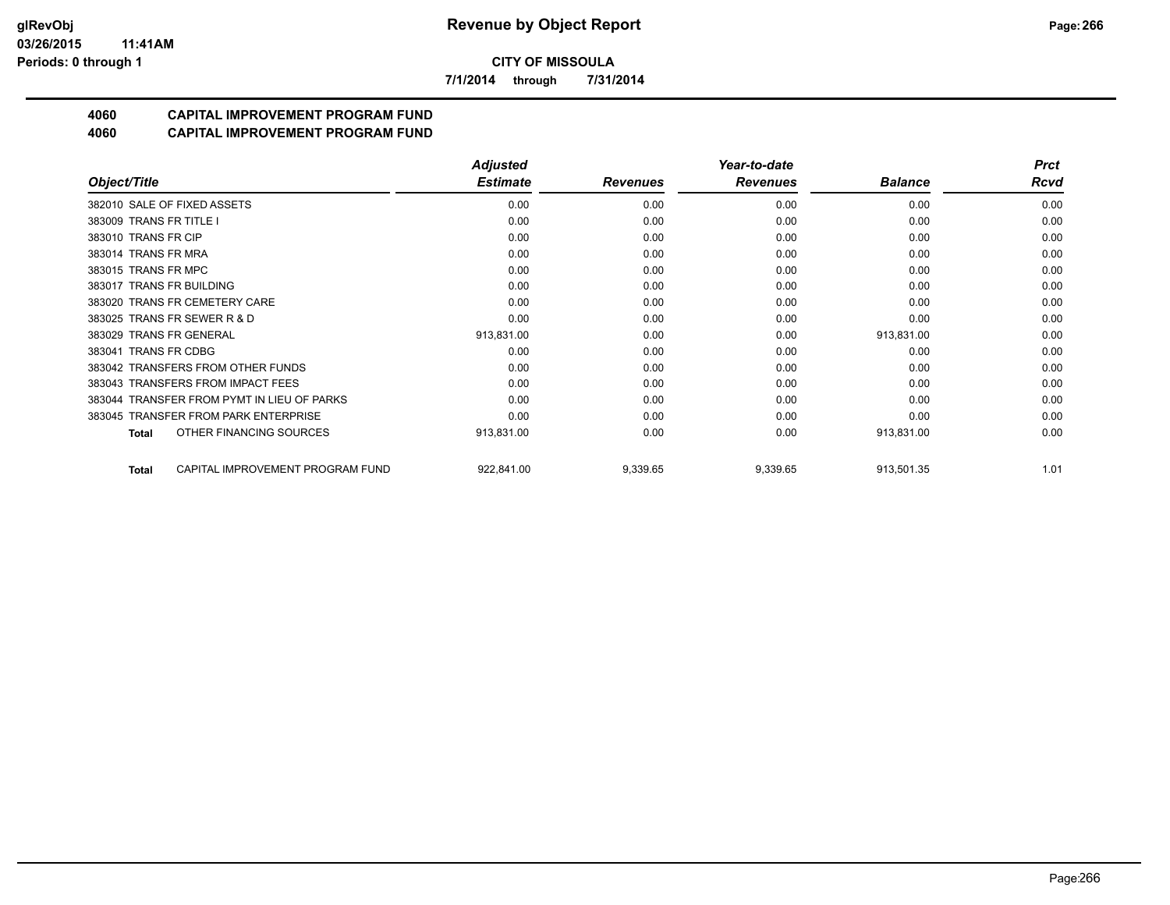**7/1/2014 through 7/31/2014**

# **4060 CAPITAL IMPROVEMENT PROGRAM FUND**

|                                            | <b>Adjusted</b> |                 | Year-to-date    |                | <b>Prct</b> |
|--------------------------------------------|-----------------|-----------------|-----------------|----------------|-------------|
| Object/Title                               | <b>Estimate</b> | <b>Revenues</b> | <b>Revenues</b> | <b>Balance</b> | <b>Rcvd</b> |
| 382010 SALE OF FIXED ASSETS                | 0.00            | 0.00            | 0.00            | 0.00           | 0.00        |
| 383009 TRANS FR TITLE I                    | 0.00            | 0.00            | 0.00            | 0.00           | 0.00        |
| 383010 TRANS FR CIP                        | 0.00            | 0.00            | 0.00            | 0.00           | 0.00        |
| 383014 TRANS FR MRA                        | 0.00            | 0.00            | 0.00            | 0.00           | 0.00        |
| 383015 TRANS FR MPC                        | 0.00            | 0.00            | 0.00            | 0.00           | 0.00        |
| 383017 TRANS FR BUILDING                   | 0.00            | 0.00            | 0.00            | 0.00           | 0.00        |
| 383020 TRANS FR CEMETERY CARE              | 0.00            | 0.00            | 0.00            | 0.00           | 0.00        |
| 383025 TRANS FR SEWER R & D                | 0.00            | 0.00            | 0.00            | 0.00           | 0.00        |
| 383029 TRANS FR GENERAL                    | 913,831.00      | 0.00            | 0.00            | 913,831.00     | 0.00        |
| 383041 TRANS FR CDBG                       | 0.00            | 0.00            | 0.00            | 0.00           | 0.00        |
| 383042 TRANSFERS FROM OTHER FUNDS          | 0.00            | 0.00            | 0.00            | 0.00           | 0.00        |
| 383043 TRANSFERS FROM IMPACT FEES          | 0.00            | 0.00            | 0.00            | 0.00           | 0.00        |
| 383044 TRANSFER FROM PYMT IN LIEU OF PARKS | 0.00            | 0.00            | 0.00            | 0.00           | 0.00        |
| 383045 TRANSFER FROM PARK ENTERPRISE       | 0.00            | 0.00            | 0.00            | 0.00           | 0.00        |
| OTHER FINANCING SOURCES<br>Total           | 913,831.00      | 0.00            | 0.00            | 913,831.00     | 0.00        |
| CAPITAL IMPROVEMENT PROGRAM FUND<br>Total  | 922,841.00      | 9,339.65        | 9,339.65        | 913,501.35     | 1.01        |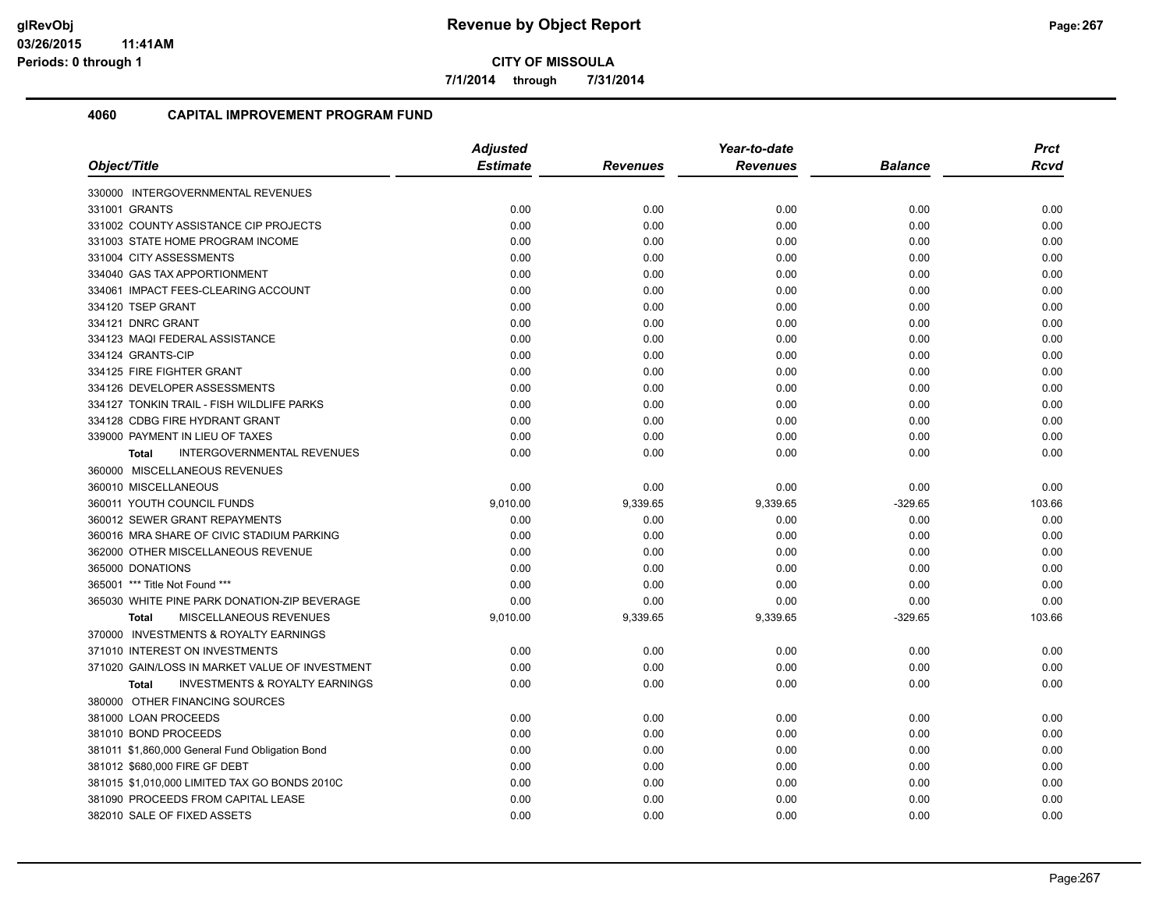**7/1/2014 through 7/31/2014**

|                                                           | <b>Adjusted</b> |                 | Year-to-date    |                | <b>Prct</b> |
|-----------------------------------------------------------|-----------------|-----------------|-----------------|----------------|-------------|
| Object/Title                                              | <b>Estimate</b> | <b>Revenues</b> | <b>Revenues</b> | <b>Balance</b> | Rcvd        |
| 330000 INTERGOVERNMENTAL REVENUES                         |                 |                 |                 |                |             |
| 331001 GRANTS                                             | 0.00            | 0.00            | 0.00            | 0.00           | 0.00        |
| 331002 COUNTY ASSISTANCE CIP PROJECTS                     | 0.00            | 0.00            | 0.00            | 0.00           | 0.00        |
| 331003 STATE HOME PROGRAM INCOME                          | 0.00            | 0.00            | 0.00            | 0.00           | 0.00        |
| 331004 CITY ASSESSMENTS                                   | 0.00            | 0.00            | 0.00            | 0.00           | 0.00        |
| 334040 GAS TAX APPORTIONMENT                              | 0.00            | 0.00            | 0.00            | 0.00           | 0.00        |
| 334061 IMPACT FEES-CLEARING ACCOUNT                       | 0.00            | 0.00            | 0.00            | 0.00           | 0.00        |
| 334120 TSEP GRANT                                         | 0.00            | 0.00            | 0.00            | 0.00           | 0.00        |
| 334121 DNRC GRANT                                         | 0.00            | 0.00            | 0.00            | 0.00           | 0.00        |
| 334123 MAQI FEDERAL ASSISTANCE                            | 0.00            | 0.00            | 0.00            | 0.00           | 0.00        |
| 334124 GRANTS-CIP                                         | 0.00            | 0.00            | 0.00            | 0.00           | 0.00        |
| 334125 FIRE FIGHTER GRANT                                 | 0.00            | 0.00            | 0.00            | 0.00           | 0.00        |
| 334126 DEVELOPER ASSESSMENTS                              | 0.00            | 0.00            | 0.00            | 0.00           | 0.00        |
| 334127 TONKIN TRAIL - FISH WILDLIFE PARKS                 | 0.00            | 0.00            | 0.00            | 0.00           | 0.00        |
| 334128 CDBG FIRE HYDRANT GRANT                            | 0.00            | 0.00            | 0.00            | 0.00           | 0.00        |
| 339000 PAYMENT IN LIEU OF TAXES                           | 0.00            | 0.00            | 0.00            | 0.00           | 0.00        |
| <b>INTERGOVERNMENTAL REVENUES</b><br><b>Total</b>         | 0.00            | 0.00            | 0.00            | 0.00           | 0.00        |
| 360000 MISCELLANEOUS REVENUES                             |                 |                 |                 |                |             |
| 360010 MISCELLANEOUS                                      | 0.00            | 0.00            | 0.00            | 0.00           | 0.00        |
| 360011 YOUTH COUNCIL FUNDS                                | 9,010.00        | 9,339.65        | 9,339.65        | $-329.65$      | 103.66      |
| 360012 SEWER GRANT REPAYMENTS                             | 0.00            | 0.00            | 0.00            | 0.00           | 0.00        |
| 360016 MRA SHARE OF CIVIC STADIUM PARKING                 | 0.00            | 0.00            | 0.00            | 0.00           | 0.00        |
| 362000 OTHER MISCELLANEOUS REVENUE                        | 0.00            | 0.00            | 0.00            | 0.00           | 0.00        |
| 365000 DONATIONS                                          | 0.00            | 0.00            | 0.00            | 0.00           | 0.00        |
| 365001 *** Title Not Found ***                            | 0.00            | 0.00            | 0.00            | 0.00           | 0.00        |
| 365030 WHITE PINE PARK DONATION-ZIP BEVERAGE              | 0.00            | 0.00            | 0.00            | 0.00           | 0.00        |
| MISCELLANEOUS REVENUES<br><b>Total</b>                    | 9,010.00        | 9,339.65        | 9,339.65        | $-329.65$      | 103.66      |
| 370000 INVESTMENTS & ROYALTY EARNINGS                     |                 |                 |                 |                |             |
| 371010 INTEREST ON INVESTMENTS                            | 0.00            | 0.00            | 0.00            | 0.00           | 0.00        |
| 371020 GAIN/LOSS IN MARKET VALUE OF INVESTMENT            | 0.00            | 0.00            | 0.00            | 0.00           | 0.00        |
| <b>INVESTMENTS &amp; ROYALTY EARNINGS</b><br><b>Total</b> | 0.00            | 0.00            | 0.00            | 0.00           | 0.00        |
| 380000 OTHER FINANCING SOURCES                            |                 |                 |                 |                |             |
| 381000 LOAN PROCEEDS                                      | 0.00            | 0.00            | 0.00            | 0.00           | 0.00        |
| 381010 BOND PROCEEDS                                      | 0.00            | 0.00            | 0.00            | 0.00           | 0.00        |
| 381011 \$1,860,000 General Fund Obligation Bond           | 0.00            | 0.00            | 0.00            | 0.00           | 0.00        |
| 381012 \$680,000 FIRE GF DEBT                             | 0.00            | 0.00            | 0.00            | 0.00           | 0.00        |
| 381015 \$1,010,000 LIMITED TAX GO BONDS 2010C             | 0.00            | 0.00            | 0.00            | 0.00           | 0.00        |
| 381090 PROCEEDS FROM CAPITAL LEASE                        | 0.00            | 0.00            | 0.00            | 0.00           | 0.00        |
| 382010 SALE OF FIXED ASSETS                               | 0.00            | 0.00            | 0.00            | 0.00           | 0.00        |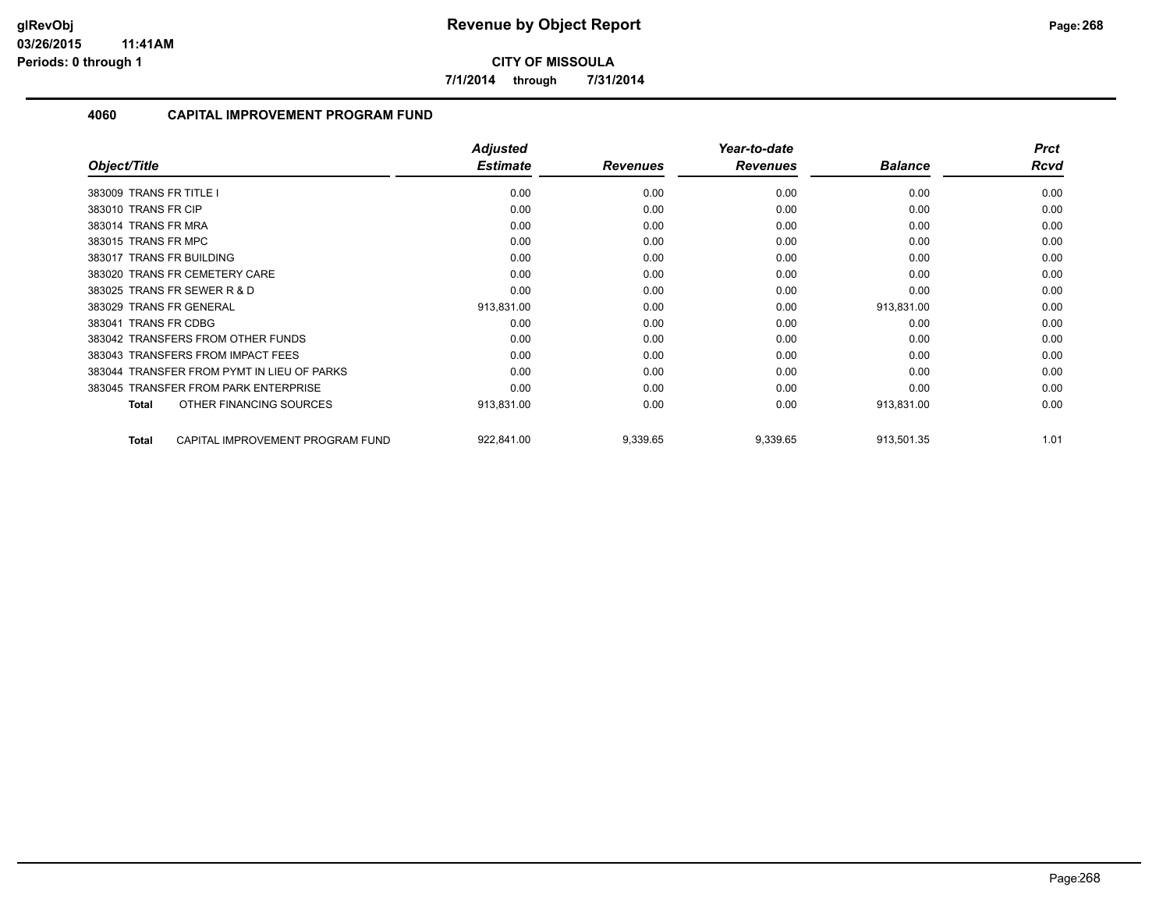**7/1/2014 through 7/31/2014**

| Object/Title                                     | <b>Adjusted</b><br><b>Estimate</b> | <b>Revenues</b> | Year-to-date<br><b>Revenues</b> | <b>Balance</b> | <b>Prct</b><br><b>Rcvd</b> |
|--------------------------------------------------|------------------------------------|-----------------|---------------------------------|----------------|----------------------------|
|                                                  |                                    |                 |                                 |                |                            |
| 383009 TRANS FR TITLE I                          | 0.00                               | 0.00            | 0.00                            | 0.00           | 0.00                       |
| 383010 TRANS FR CIP                              | 0.00                               | 0.00            | 0.00                            | 0.00           | 0.00                       |
| 383014 TRANS FR MRA                              | 0.00                               | 0.00            | 0.00                            | 0.00           | 0.00                       |
| 383015 TRANS FR MPC                              | 0.00                               | 0.00            | 0.00                            | 0.00           | 0.00                       |
| 383017 TRANS FR BUILDING                         | 0.00                               | 0.00            | 0.00                            | 0.00           | 0.00                       |
| 383020 TRANS FR CEMETERY CARE                    | 0.00                               | 0.00            | 0.00                            | 0.00           | 0.00                       |
| 383025 TRANS FR SEWER R & D                      | 0.00                               | 0.00            | 0.00                            | 0.00           | 0.00                       |
| 383029 TRANS FR GENERAL                          | 913,831.00                         | 0.00            | 0.00                            | 913,831.00     | 0.00                       |
| <b>TRANS FR CDBG</b><br>383041                   | 0.00                               | 0.00            | 0.00                            | 0.00           | 0.00                       |
| 383042 TRANSFERS FROM OTHER FUNDS                | 0.00                               | 0.00            | 0.00                            | 0.00           | 0.00                       |
| 383043 TRANSFERS FROM IMPACT FEES                | 0.00                               | 0.00            | 0.00                            | 0.00           | 0.00                       |
| 383044 TRANSFER FROM PYMT IN LIEU OF PARKS       | 0.00                               | 0.00            | 0.00                            | 0.00           | 0.00                       |
| 383045 TRANSFER FROM PARK ENTERPRISE             | 0.00                               | 0.00            | 0.00                            | 0.00           | 0.00                       |
| OTHER FINANCING SOURCES<br><b>Total</b>          | 913,831.00                         | 0.00            | 0.00                            | 913,831.00     | 0.00                       |
| CAPITAL IMPROVEMENT PROGRAM FUND<br><b>Total</b> | 922,841.00                         | 9,339.65        | 9,339.65                        | 913,501.35     | 1.01                       |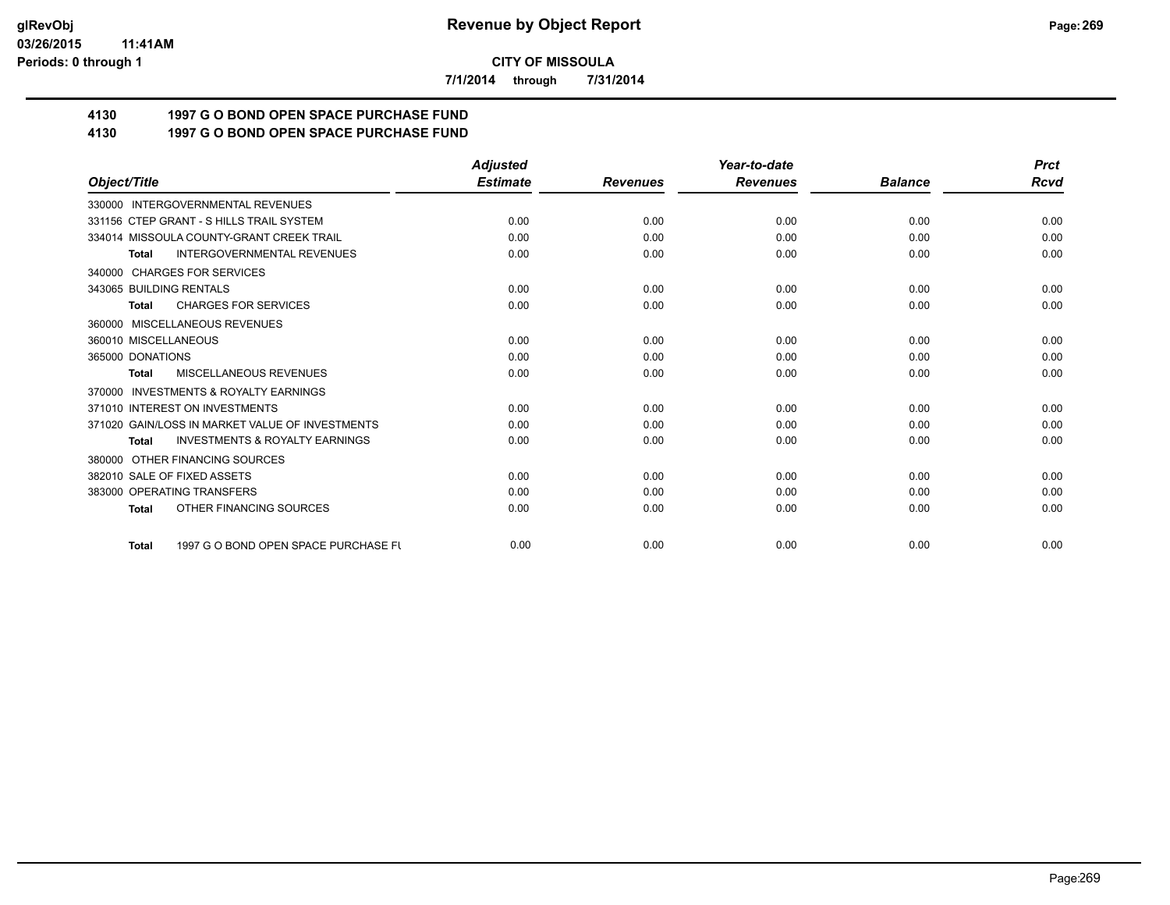**7/1/2014 through 7/31/2014**

# **4130 1997 G O BOND OPEN SPACE PURCHASE FUND**

# **4130 1997 G O BOND OPEN SPACE PURCHASE FUND**

|                                                           | <b>Adjusted</b> |                 | Year-to-date    |                | <b>Prct</b> |
|-----------------------------------------------------------|-----------------|-----------------|-----------------|----------------|-------------|
| Object/Title                                              | <b>Estimate</b> | <b>Revenues</b> | <b>Revenues</b> | <b>Balance</b> | <b>Rcvd</b> |
| 330000 INTERGOVERNMENTAL REVENUES                         |                 |                 |                 |                |             |
| 331156 CTEP GRANT - S HILLS TRAIL SYSTEM                  | 0.00            | 0.00            | 0.00            | 0.00           | 0.00        |
| 334014 MISSOULA COUNTY-GRANT CREEK TRAIL                  | 0.00            | 0.00            | 0.00            | 0.00           | 0.00        |
| <b>INTERGOVERNMENTAL REVENUES</b><br><b>Total</b>         | 0.00            | 0.00            | 0.00            | 0.00           | 0.00        |
| 340000 CHARGES FOR SERVICES                               |                 |                 |                 |                |             |
| 343065 BUILDING RENTALS                                   | 0.00            | 0.00            | 0.00            | 0.00           | 0.00        |
| <b>CHARGES FOR SERVICES</b><br><b>Total</b>               | 0.00            | 0.00            | 0.00            | 0.00           | 0.00        |
| 360000 MISCELLANEOUS REVENUES                             |                 |                 |                 |                |             |
| 360010 MISCELLANEOUS                                      | 0.00            | 0.00            | 0.00            | 0.00           | 0.00        |
| 365000 DONATIONS                                          | 0.00            | 0.00            | 0.00            | 0.00           | 0.00        |
| <b>MISCELLANEOUS REVENUES</b><br><b>Total</b>             | 0.00            | 0.00            | 0.00            | 0.00           | 0.00        |
| 370000 INVESTMENTS & ROYALTY EARNINGS                     |                 |                 |                 |                |             |
| 371010 INTEREST ON INVESTMENTS                            | 0.00            | 0.00            | 0.00            | 0.00           | 0.00        |
| 371020 GAIN/LOSS IN MARKET VALUE OF INVESTMENTS           | 0.00            | 0.00            | 0.00            | 0.00           | 0.00        |
| <b>INVESTMENTS &amp; ROYALTY EARNINGS</b><br><b>Total</b> | 0.00            | 0.00            | 0.00            | 0.00           | 0.00        |
| 380000 OTHER FINANCING SOURCES                            |                 |                 |                 |                |             |
| 382010 SALE OF FIXED ASSETS                               | 0.00            | 0.00            | 0.00            | 0.00           | 0.00        |
| 383000 OPERATING TRANSFERS                                | 0.00            | 0.00            | 0.00            | 0.00           | 0.00        |
| OTHER FINANCING SOURCES<br><b>Total</b>                   | 0.00            | 0.00            | 0.00            | 0.00           | 0.00        |
| 1997 G O BOND OPEN SPACE PURCHASE FU<br><b>Total</b>      | 0.00            | 0.00            | 0.00            | 0.00           | 0.00        |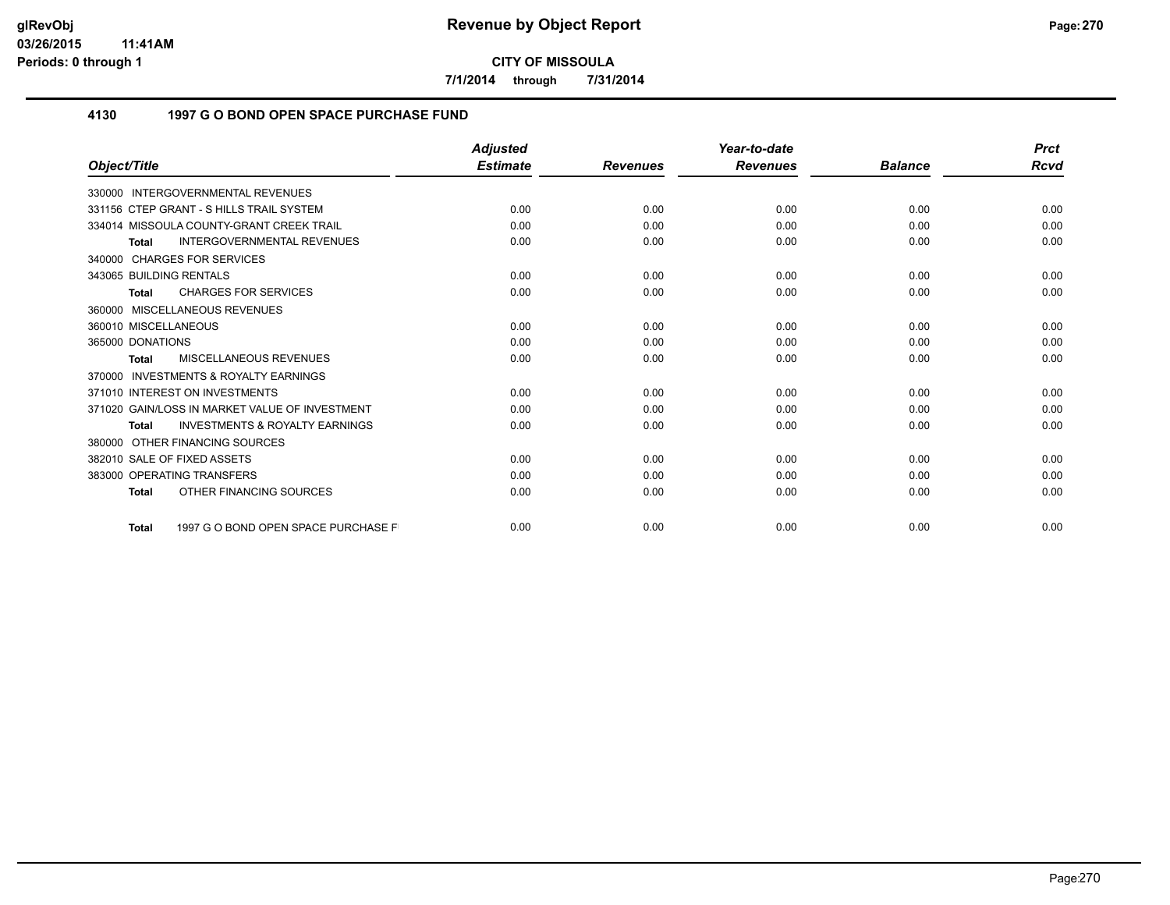**7/1/2014 through 7/31/2014**

## **4130 1997 G O BOND OPEN SPACE PURCHASE FUND**

|                                                           | <b>Adjusted</b> |                 | Year-to-date    |                | <b>Prct</b> |
|-----------------------------------------------------------|-----------------|-----------------|-----------------|----------------|-------------|
| Object/Title                                              | <b>Estimate</b> | <b>Revenues</b> | <b>Revenues</b> | <b>Balance</b> | Rcvd        |
| 330000 INTERGOVERNMENTAL REVENUES                         |                 |                 |                 |                |             |
| 331156 CTEP GRANT - S HILLS TRAIL SYSTEM                  | 0.00            | 0.00            | 0.00            | 0.00           | 0.00        |
| 334014 MISSOULA COUNTY-GRANT CREEK TRAIL                  | 0.00            | 0.00            | 0.00            | 0.00           | 0.00        |
| <b>INTERGOVERNMENTAL REVENUES</b><br><b>Total</b>         | 0.00            | 0.00            | 0.00            | 0.00           | 0.00        |
| 340000 CHARGES FOR SERVICES                               |                 |                 |                 |                |             |
| 343065 BUILDING RENTALS                                   | 0.00            | 0.00            | 0.00            | 0.00           | 0.00        |
| <b>CHARGES FOR SERVICES</b><br><b>Total</b>               | 0.00            | 0.00            | 0.00            | 0.00           | 0.00        |
| 360000 MISCELLANEOUS REVENUES                             |                 |                 |                 |                |             |
| 360010 MISCELLANEOUS                                      | 0.00            | 0.00            | 0.00            | 0.00           | 0.00        |
| 365000 DONATIONS                                          | 0.00            | 0.00            | 0.00            | 0.00           | 0.00        |
| <b>MISCELLANEOUS REVENUES</b><br><b>Total</b>             | 0.00            | 0.00            | 0.00            | 0.00           | 0.00        |
| 370000 INVESTMENTS & ROYALTY EARNINGS                     |                 |                 |                 |                |             |
| 371010 INTEREST ON INVESTMENTS                            | 0.00            | 0.00            | 0.00            | 0.00           | 0.00        |
| 371020 GAIN/LOSS IN MARKET VALUE OF INVESTMENT            | 0.00            | 0.00            | 0.00            | 0.00           | 0.00        |
| <b>INVESTMENTS &amp; ROYALTY EARNINGS</b><br><b>Total</b> | 0.00            | 0.00            | 0.00            | 0.00           | 0.00        |
| 380000 OTHER FINANCING SOURCES                            |                 |                 |                 |                |             |
| 382010 SALE OF FIXED ASSETS                               | 0.00            | 0.00            | 0.00            | 0.00           | 0.00        |
| 383000 OPERATING TRANSFERS                                | 0.00            | 0.00            | 0.00            | 0.00           | 0.00        |
| OTHER FINANCING SOURCES<br><b>Total</b>                   | 0.00            | 0.00            | 0.00            | 0.00           | 0.00        |
| 1997 G O BOND OPEN SPACE PURCHASE F<br><b>Total</b>       | 0.00            | 0.00            | 0.00            | 0.00           | 0.00        |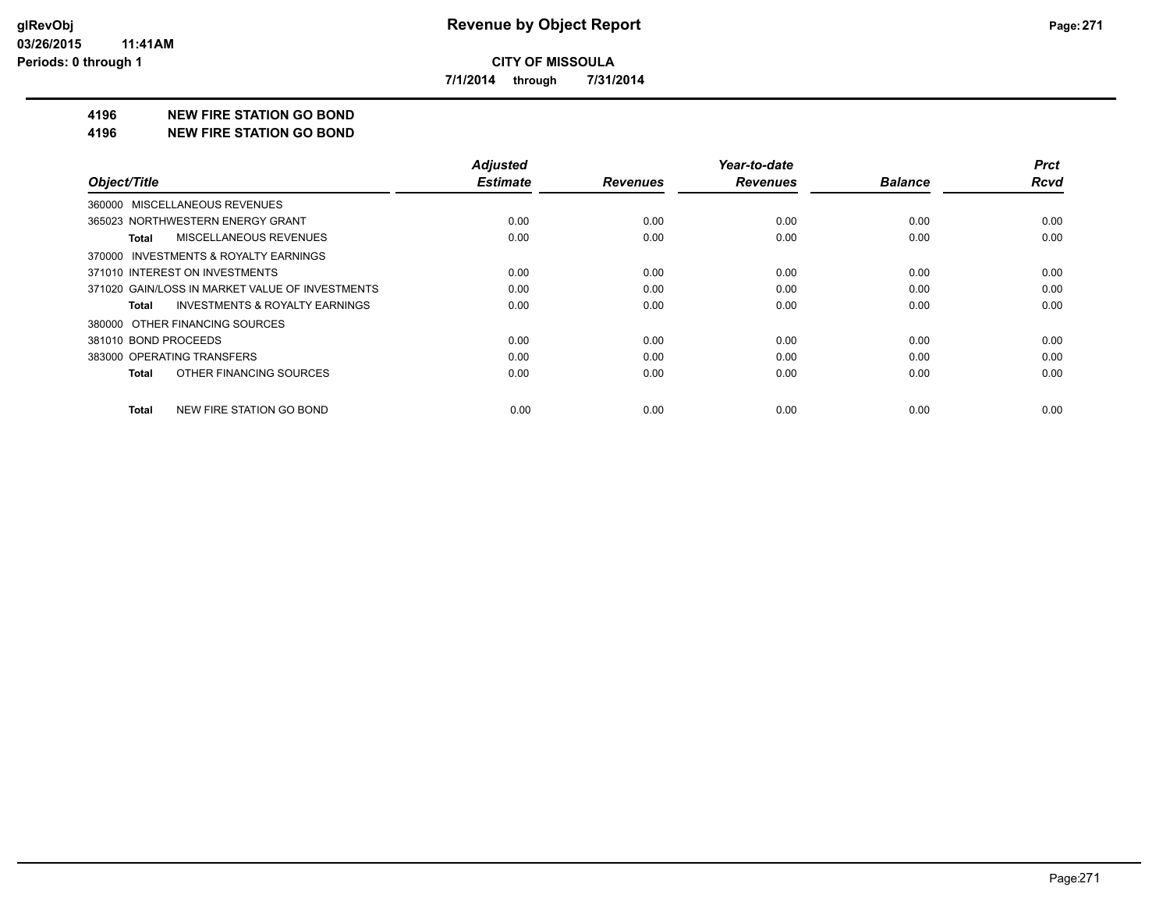**7/1/2014 through 7/31/2014**

#### **4196 NEW FIRE STATION GO BOND**

#### **4196 NEW FIRE STATION GO BOND**

|                                                    | <b>Adjusted</b> |                 | Year-to-date    |                | <b>Prct</b> |
|----------------------------------------------------|-----------------|-----------------|-----------------|----------------|-------------|
| Object/Title                                       | <b>Estimate</b> | <b>Revenues</b> | <b>Revenues</b> | <b>Balance</b> | <b>Rcvd</b> |
| 360000 MISCELLANEOUS REVENUES                      |                 |                 |                 |                |             |
| 365023 NORTHWESTERN ENERGY GRANT                   | 0.00            | 0.00            | 0.00            | 0.00           | 0.00        |
| MISCELLANEOUS REVENUES<br>Total                    | 0.00            | 0.00            | 0.00            | 0.00           | 0.00        |
| 370000 INVESTMENTS & ROYALTY EARNINGS              |                 |                 |                 |                |             |
| 371010 INTEREST ON INVESTMENTS                     | 0.00            | 0.00            | 0.00            | 0.00           | 0.00        |
| 371020 GAIN/LOSS IN MARKET VALUE OF INVESTMENTS    | 0.00            | 0.00            | 0.00            | 0.00           | 0.00        |
| <b>INVESTMENTS &amp; ROYALTY EARNINGS</b><br>Total | 0.00            | 0.00            | 0.00            | 0.00           | 0.00        |
| 380000 OTHER FINANCING SOURCES                     |                 |                 |                 |                |             |
| 381010 BOND PROCEEDS                               | 0.00            | 0.00            | 0.00            | 0.00           | 0.00        |
| 383000 OPERATING TRANSFERS                         | 0.00            | 0.00            | 0.00            | 0.00           | 0.00        |
| OTHER FINANCING SOURCES<br>Total                   | 0.00            | 0.00            | 0.00            | 0.00           | 0.00        |
| NEW FIRE STATION GO BOND<br>Total                  | 0.00            | 0.00            | 0.00            | 0.00           | 0.00        |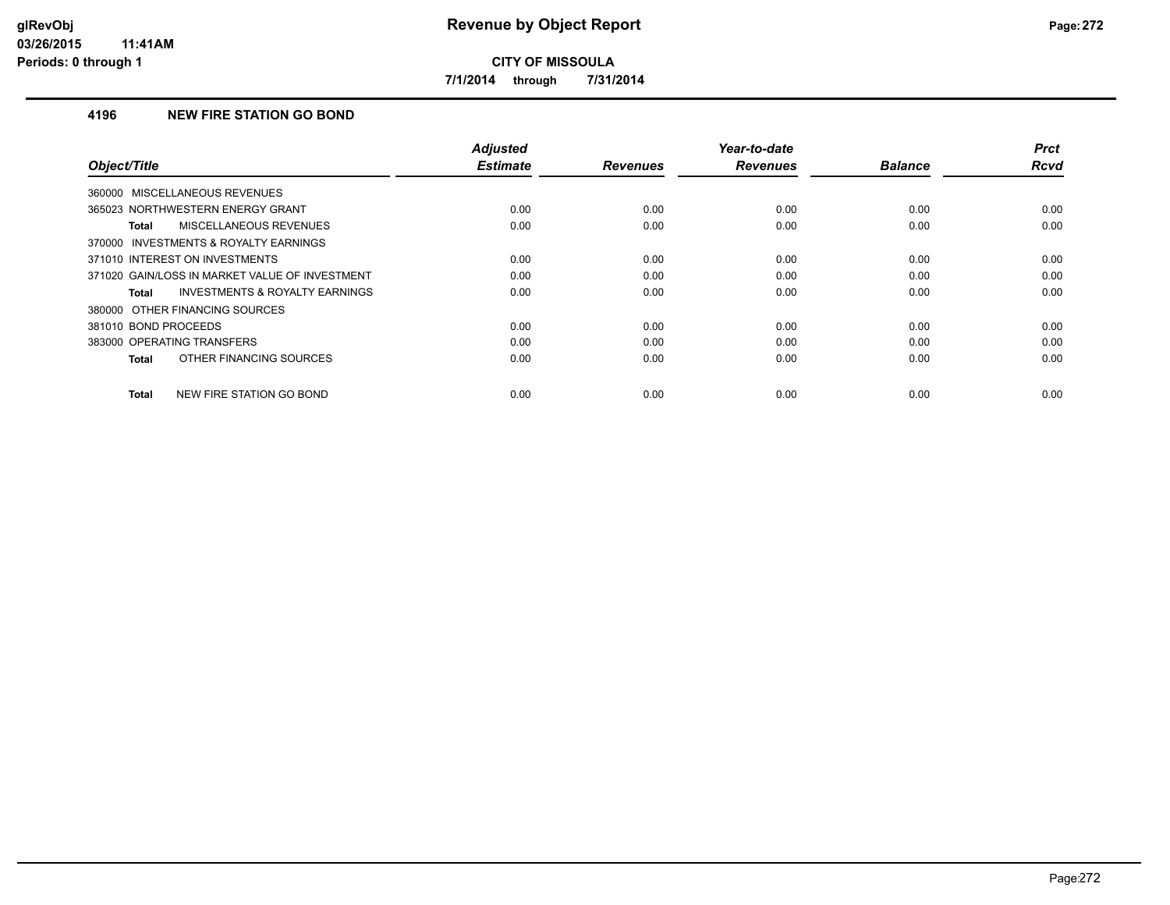**7/1/2014 through 7/31/2014**

## **4196 NEW FIRE STATION GO BOND**

| Object/Title                                       | <b>Adjusted</b><br><b>Estimate</b> | <b>Revenues</b> | Year-to-date<br><b>Revenues</b> | <b>Balance</b> | <b>Prct</b><br>Rcvd |
|----------------------------------------------------|------------------------------------|-----------------|---------------------------------|----------------|---------------------|
| <b>MISCELLANEOUS REVENUES</b><br>360000            |                                    |                 |                                 |                |                     |
| 365023 NORTHWESTERN ENERGY GRANT                   | 0.00                               | 0.00            | 0.00                            | 0.00           | 0.00                |
| MISCELLANEOUS REVENUES<br>Total                    | 0.00                               | 0.00            | 0.00                            | 0.00           | 0.00                |
| 370000 INVESTMENTS & ROYALTY EARNINGS              |                                    |                 |                                 |                |                     |
| 371010 INTEREST ON INVESTMENTS                     | 0.00                               | 0.00            | 0.00                            | 0.00           | 0.00                |
| 371020 GAIN/LOSS IN MARKET VALUE OF INVESTMENT     | 0.00                               | 0.00            | 0.00                            | 0.00           | 0.00                |
| <b>INVESTMENTS &amp; ROYALTY EARNINGS</b><br>Total | 0.00                               | 0.00            | 0.00                            | 0.00           | 0.00                |
| 380000 OTHER FINANCING SOURCES                     |                                    |                 |                                 |                |                     |
| 381010 BOND PROCEEDS                               | 0.00                               | 0.00            | 0.00                            | 0.00           | 0.00                |
| 383000 OPERATING TRANSFERS                         | 0.00                               | 0.00            | 0.00                            | 0.00           | 0.00                |
| OTHER FINANCING SOURCES<br><b>Total</b>            | 0.00                               | 0.00            | 0.00                            | 0.00           | 0.00                |
| NEW FIRE STATION GO BOND<br><b>Total</b>           | 0.00                               | 0.00            | 0.00                            | 0.00           | 0.00                |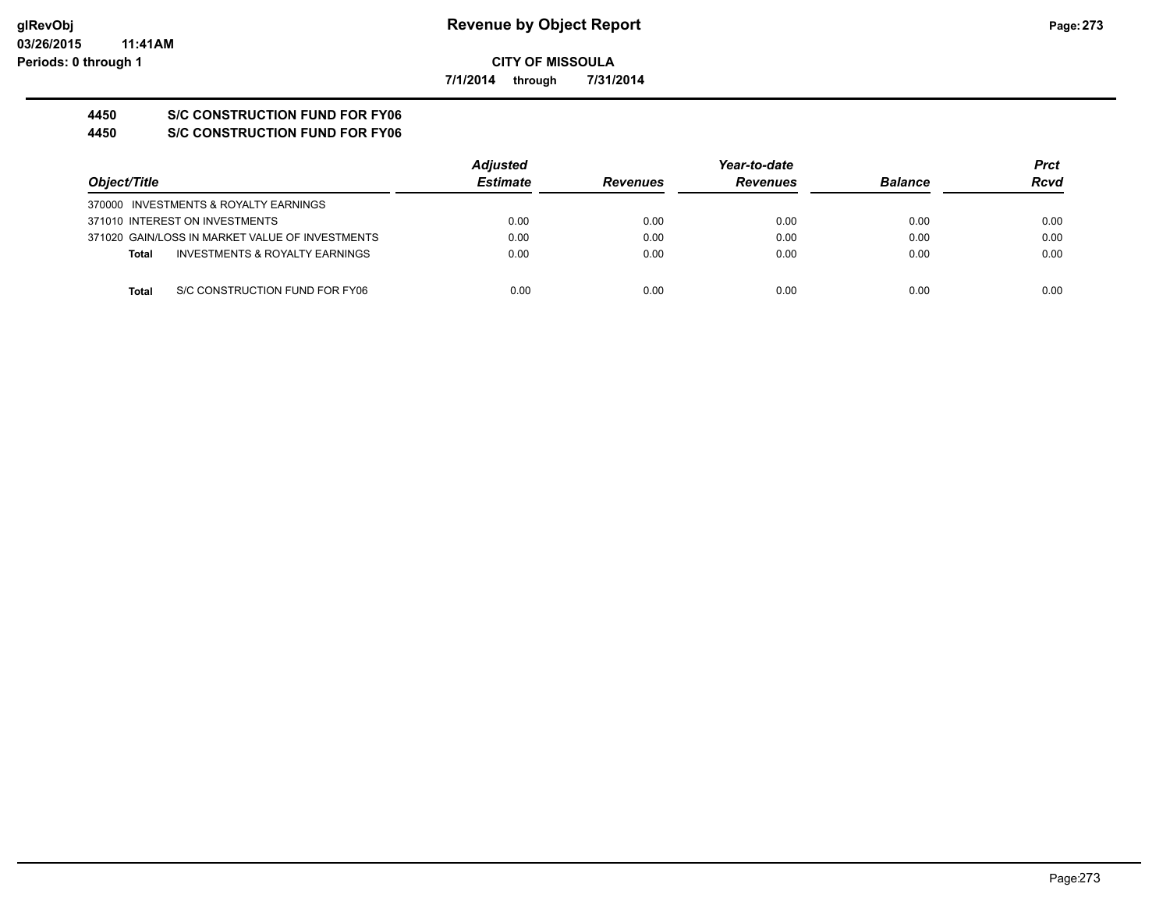**7/1/2014 through 7/31/2014**

# **4450 S/C CONSTRUCTION FUND FOR FY06**

**4450 S/C CONSTRUCTION FUND FOR FY06**

|                                                           | <b>Adjusted</b> |                 | Year-to-date    |                | <b>Prct</b> |
|-----------------------------------------------------------|-----------------|-----------------|-----------------|----------------|-------------|
| Object/Title                                              | <b>Estimate</b> | <b>Revenues</b> | <b>Revenues</b> | <b>Balance</b> | Rcvd        |
| 370000 INVESTMENTS & ROYALTY EARNINGS                     |                 |                 |                 |                |             |
| 371010 INTEREST ON INVESTMENTS                            | 0.00            | 0.00            | 0.00            | 0.00           | 0.00        |
| 371020 GAIN/LOSS IN MARKET VALUE OF INVESTMENTS           | 0.00            | 0.00            | 0.00            | 0.00           | 0.00        |
| <b>INVESTMENTS &amp; ROYALTY EARNINGS</b><br><b>Total</b> | 0.00            | 0.00            | 0.00            | 0.00           | 0.00        |
| S/C CONSTRUCTION FUND FOR FY06<br><b>Total</b>            | 0.00            | 0.00            | 0.00            | 0.00           | 0.00        |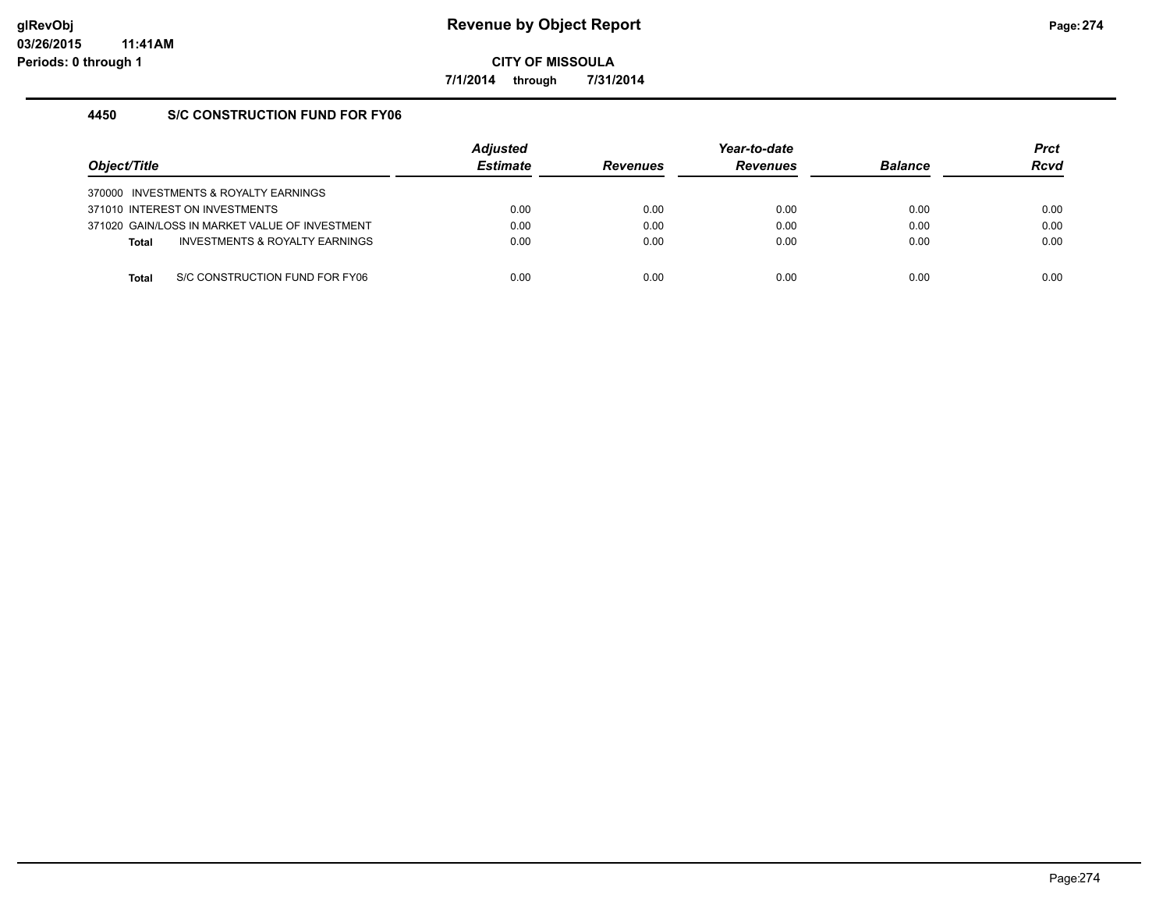**7/1/2014 through 7/31/2014**

## **4450 S/C CONSTRUCTION FUND FOR FY06**

| Obiect/Title |                                                | <b>Adjusted</b><br><b>Estimate</b> | <b>Revenues</b> | Year-to-date<br><b>Revenues</b> | <b>Balance</b> | <b>Prct</b><br><b>Rcvd</b> |
|--------------|------------------------------------------------|------------------------------------|-----------------|---------------------------------|----------------|----------------------------|
|              | 370000 INVESTMENTS & ROYALTY EARNINGS          |                                    |                 |                                 |                |                            |
|              | 371010 INTEREST ON INVESTMENTS                 | 0.00                               | 0.00            | 0.00                            | 0.00           | 0.00                       |
|              | 371020 GAIN/LOSS IN MARKET VALUE OF INVESTMENT | 0.00                               | 0.00            | 0.00                            | 0.00           | 0.00                       |
| <b>Total</b> | INVESTMENTS & ROYALTY EARNINGS                 | 0.00                               | 0.00            | 0.00                            | 0.00           | 0.00                       |
|              |                                                |                                    |                 |                                 |                |                            |
| Total        | S/C CONSTRUCTION FUND FOR FY06                 | 0.00                               | 0.00            | 0.00                            | 0.00           | 0.00                       |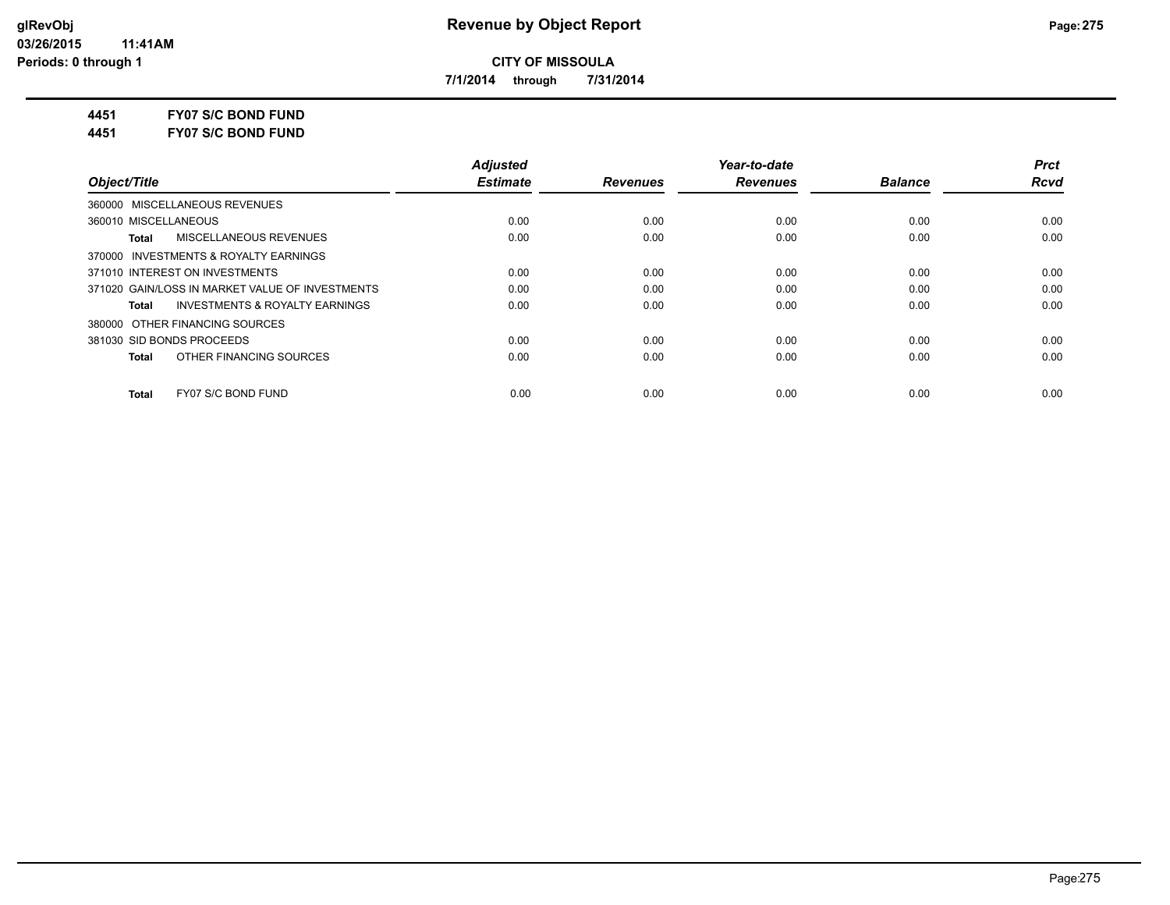**7/1/2014 through 7/31/2014**

**4451 FY07 S/C BOND FUND**

**4451 FY07 S/C BOND FUND**

|                                                    | <b>Adjusted</b> |                 | Year-to-date    |                | <b>Prct</b> |
|----------------------------------------------------|-----------------|-----------------|-----------------|----------------|-------------|
| Object/Title                                       | <b>Estimate</b> | <b>Revenues</b> | <b>Revenues</b> | <b>Balance</b> | <b>Rcvd</b> |
| 360000 MISCELLANEOUS REVENUES                      |                 |                 |                 |                |             |
| 360010 MISCELLANEOUS                               | 0.00            | 0.00            | 0.00            | 0.00           | 0.00        |
| MISCELLANEOUS REVENUES<br><b>Total</b>             | 0.00            | 0.00            | 0.00            | 0.00           | 0.00        |
| 370000 INVESTMENTS & ROYALTY EARNINGS              |                 |                 |                 |                |             |
| 371010 INTEREST ON INVESTMENTS                     | 0.00            | 0.00            | 0.00            | 0.00           | 0.00        |
| 371020 GAIN/LOSS IN MARKET VALUE OF INVESTMENTS    | 0.00            | 0.00            | 0.00            | 0.00           | 0.00        |
| <b>INVESTMENTS &amp; ROYALTY EARNINGS</b><br>Total | 0.00            | 0.00            | 0.00            | 0.00           | 0.00        |
| 380000 OTHER FINANCING SOURCES                     |                 |                 |                 |                |             |
| 381030 SID BONDS PROCEEDS                          | 0.00            | 0.00            | 0.00            | 0.00           | 0.00        |
| OTHER FINANCING SOURCES<br><b>Total</b>            | 0.00            | 0.00            | 0.00            | 0.00           | 0.00        |
| FY07 S/C BOND FUND<br><b>Total</b>                 | 0.00            | 0.00            | 0.00            | 0.00           | 0.00        |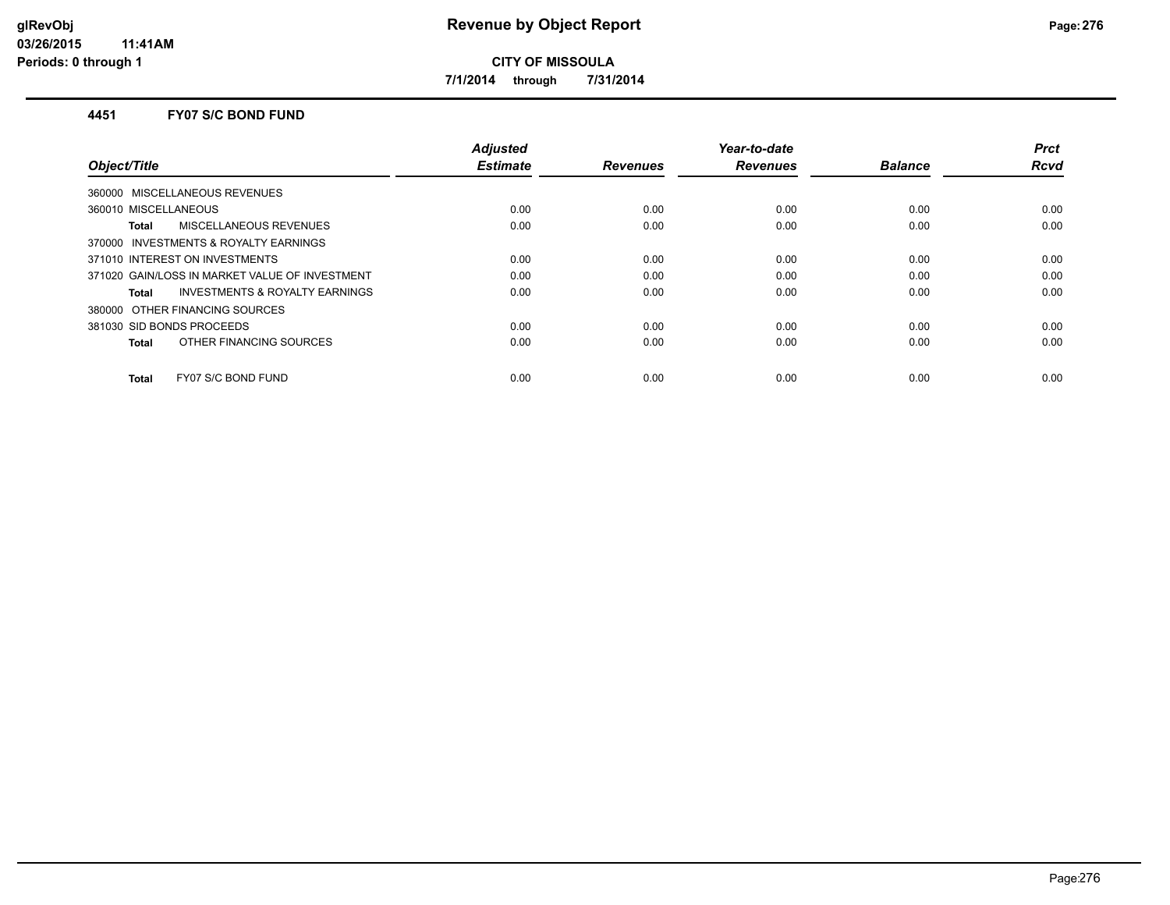**7/1/2014 through 7/31/2014**

#### **4451 FY07 S/C BOND FUND**

| Object/Title                                   | <b>Adjusted</b><br><b>Estimate</b> | <b>Revenues</b> | Year-to-date<br><b>Revenues</b> | <b>Balance</b> | <b>Prct</b><br><b>Rcvd</b> |
|------------------------------------------------|------------------------------------|-----------------|---------------------------------|----------------|----------------------------|
| 360000 MISCELLANEOUS REVENUES                  |                                    |                 |                                 |                |                            |
|                                                |                                    |                 |                                 |                |                            |
| 360010 MISCELLANEOUS                           | 0.00                               | 0.00            | 0.00                            | 0.00           | 0.00                       |
| MISCELLANEOUS REVENUES<br>Total                | 0.00                               | 0.00            | 0.00                            | 0.00           | 0.00                       |
| 370000 INVESTMENTS & ROYALTY EARNINGS          |                                    |                 |                                 |                |                            |
| 371010 INTEREST ON INVESTMENTS                 | 0.00                               | 0.00            | 0.00                            | 0.00           | 0.00                       |
| 371020 GAIN/LOSS IN MARKET VALUE OF INVESTMENT | 0.00                               | 0.00            | 0.00                            | 0.00           | 0.00                       |
| INVESTMENTS & ROYALTY EARNINGS<br>Total        | 0.00                               | 0.00            | 0.00                            | 0.00           | 0.00                       |
| 380000 OTHER FINANCING SOURCES                 |                                    |                 |                                 |                |                            |
| 381030 SID BONDS PROCEEDS                      | 0.00                               | 0.00            | 0.00                            | 0.00           | 0.00                       |
| OTHER FINANCING SOURCES<br>Total               | 0.00                               | 0.00            | 0.00                            | 0.00           | 0.00                       |
| FY07 S/C BOND FUND<br><b>Total</b>             | 0.00                               | 0.00            | 0.00                            | 0.00           | 0.00                       |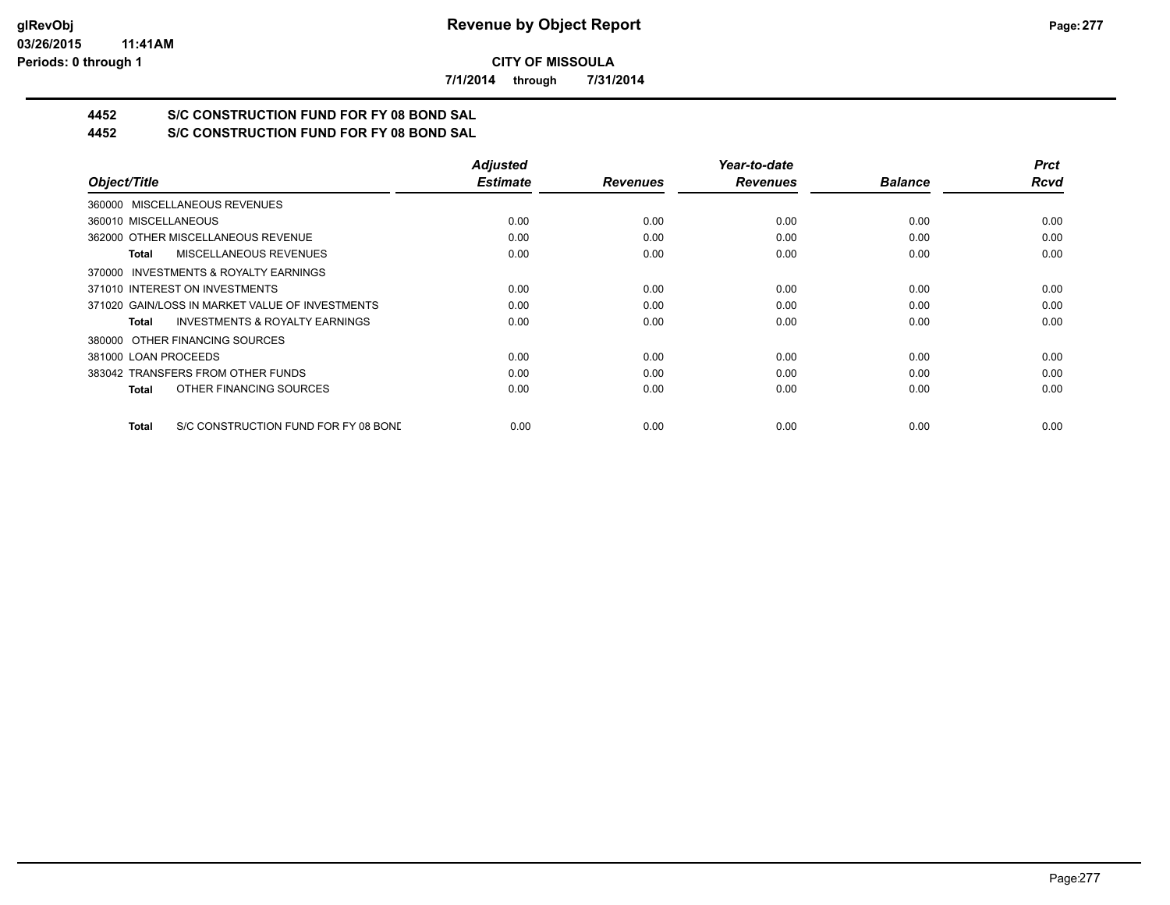**7/1/2014 through 7/31/2014**

# **4452 S/C CONSTRUCTION FUND FOR FY 08 BOND SAL**

**4452 S/C CONSTRUCTION FUND FOR FY 08 BOND SAL**

|                                                      | <b>Adjusted</b> |                 | Year-to-date    |                | <b>Prct</b> |
|------------------------------------------------------|-----------------|-----------------|-----------------|----------------|-------------|
| Object/Title                                         | <b>Estimate</b> | <b>Revenues</b> | <b>Revenues</b> | <b>Balance</b> | <b>Rcvd</b> |
| 360000 MISCELLANEOUS REVENUES                        |                 |                 |                 |                |             |
| 360010 MISCELLANEOUS                                 | 0.00            | 0.00            | 0.00            | 0.00           | 0.00        |
| 362000 OTHER MISCELLANEOUS REVENUE                   | 0.00            | 0.00            | 0.00            | 0.00           | 0.00        |
| <b>MISCELLANEOUS REVENUES</b><br>Total               | 0.00            | 0.00            | 0.00            | 0.00           | 0.00        |
| 370000 INVESTMENTS & ROYALTY EARNINGS                |                 |                 |                 |                |             |
| 371010 INTEREST ON INVESTMENTS                       | 0.00            | 0.00            | 0.00            | 0.00           | 0.00        |
| 371020 GAIN/LOSS IN MARKET VALUE OF INVESTMENTS      | 0.00            | 0.00            | 0.00            | 0.00           | 0.00        |
| <b>INVESTMENTS &amp; ROYALTY EARNINGS</b><br>Total   | 0.00            | 0.00            | 0.00            | 0.00           | 0.00        |
| 380000 OTHER FINANCING SOURCES                       |                 |                 |                 |                |             |
| 381000 LOAN PROCEEDS                                 | 0.00            | 0.00            | 0.00            | 0.00           | 0.00        |
| 383042 TRANSFERS FROM OTHER FUNDS                    | 0.00            | 0.00            | 0.00            | 0.00           | 0.00        |
| OTHER FINANCING SOURCES<br><b>Total</b>              | 0.00            | 0.00            | 0.00            | 0.00           | 0.00        |
| S/C CONSTRUCTION FUND FOR FY 08 BOND<br><b>Total</b> | 0.00            | 0.00            | 0.00            | 0.00           | 0.00        |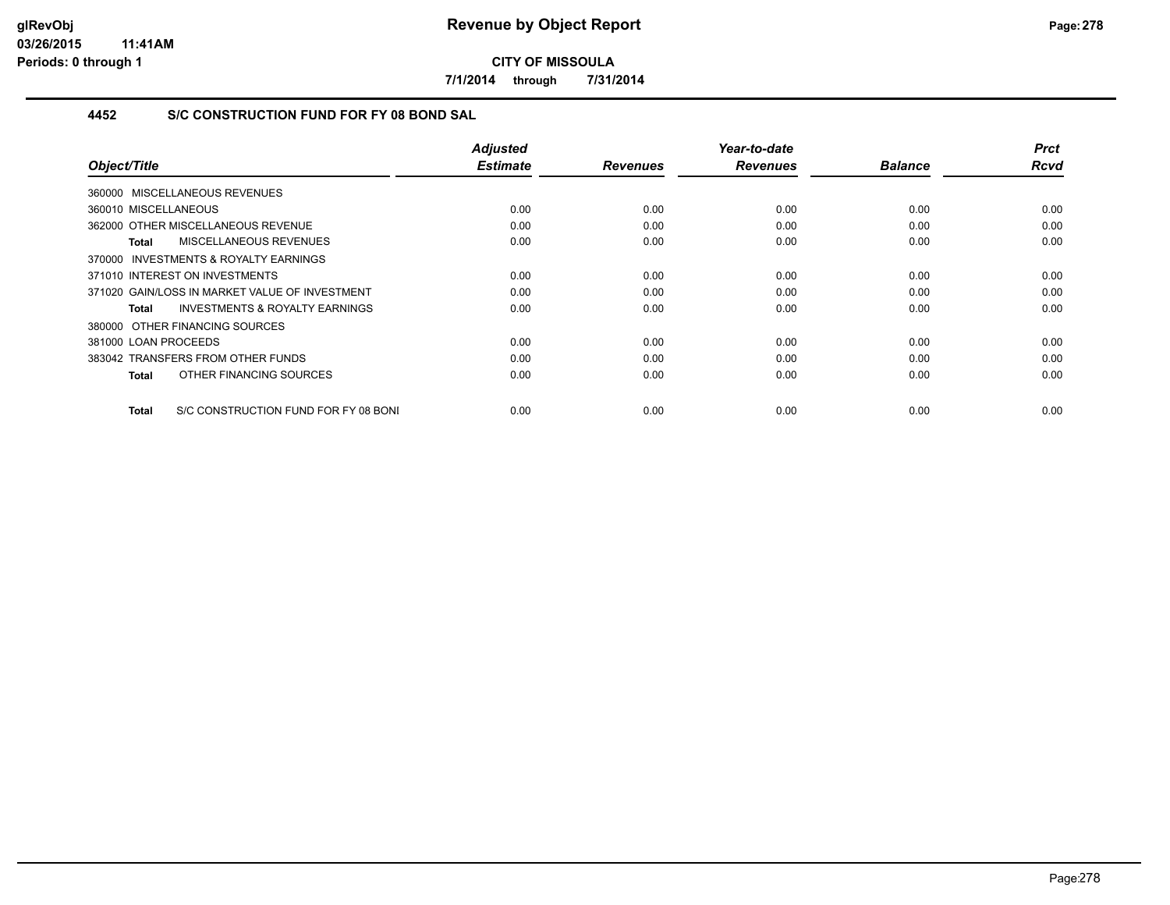**7/1/2014 through 7/31/2014**

## **4452 S/C CONSTRUCTION FUND FOR FY 08 BOND SAL**

| Object/Title                                       | <b>Adjusted</b><br><b>Estimate</b> | <b>Revenues</b> | Year-to-date<br><b>Revenues</b> | <b>Balance</b> | Prct<br><b>Rcvd</b> |
|----------------------------------------------------|------------------------------------|-----------------|---------------------------------|----------------|---------------------|
|                                                    |                                    |                 |                                 |                |                     |
| 360000 MISCELLANEOUS REVENUES                      |                                    |                 |                                 |                |                     |
| 360010 MISCELLANEOUS                               | 0.00                               | 0.00            | 0.00                            | 0.00           | 0.00                |
| 362000 OTHER MISCELLANEOUS REVENUE                 | 0.00                               | 0.00            | 0.00                            | 0.00           | 0.00                |
| <b>MISCELLANEOUS REVENUES</b><br>Total             | 0.00                               | 0.00            | 0.00                            | 0.00           | 0.00                |
| INVESTMENTS & ROYALTY EARNINGS<br>370000           |                                    |                 |                                 |                |                     |
| 371010 INTEREST ON INVESTMENTS                     | 0.00                               | 0.00            | 0.00                            | 0.00           | 0.00                |
| 371020 GAIN/LOSS IN MARKET VALUE OF INVESTMENT     | 0.00                               | 0.00            | 0.00                            | 0.00           | 0.00                |
| <b>INVESTMENTS &amp; ROYALTY EARNINGS</b><br>Total | 0.00                               | 0.00            | 0.00                            | 0.00           | 0.00                |
| 380000 OTHER FINANCING SOURCES                     |                                    |                 |                                 |                |                     |
| 381000 LOAN PROCEEDS                               | 0.00                               | 0.00            | 0.00                            | 0.00           | 0.00                |
| 383042 TRANSFERS FROM OTHER FUNDS                  | 0.00                               | 0.00            | 0.00                            | 0.00           | 0.00                |
| OTHER FINANCING SOURCES<br>Total                   | 0.00                               | 0.00            | 0.00                            | 0.00           | 0.00                |
|                                                    |                                    |                 |                                 |                |                     |
| S/C CONSTRUCTION FUND FOR FY 08 BONI<br>Total      | 0.00                               | 0.00            | 0.00                            | 0.00           | 0.00                |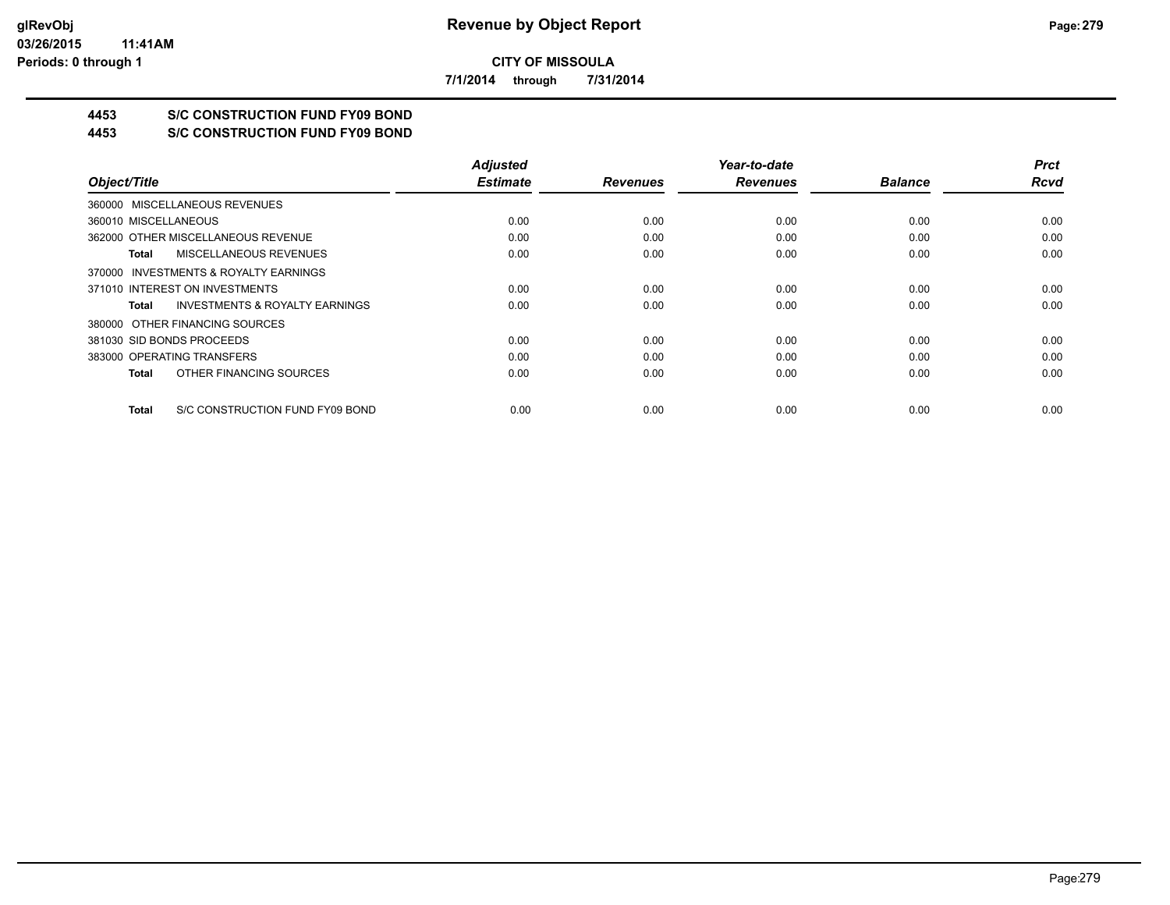**7/1/2014 through 7/31/2014**

# **4453 S/C CONSTRUCTION FUND FY09 BOND**

**4453 S/C CONSTRUCTION FUND FY09 BOND**

|                                                    | <b>Adjusted</b> |                 | Year-to-date    |                | <b>Prct</b> |
|----------------------------------------------------|-----------------|-----------------|-----------------|----------------|-------------|
| Object/Title                                       | <b>Estimate</b> | <b>Revenues</b> | <b>Revenues</b> | <b>Balance</b> | <b>Rcvd</b> |
| 360000 MISCELLANEOUS REVENUES                      |                 |                 |                 |                |             |
| 360010 MISCELLANEOUS                               | 0.00            | 0.00            | 0.00            | 0.00           | 0.00        |
| 362000 OTHER MISCELLANEOUS REVENUE                 | 0.00            | 0.00            | 0.00            | 0.00           | 0.00        |
| MISCELLANEOUS REVENUES<br>Total                    | 0.00            | 0.00            | 0.00            | 0.00           | 0.00        |
| 370000 INVESTMENTS & ROYALTY EARNINGS              |                 |                 |                 |                |             |
| 371010 INTEREST ON INVESTMENTS                     | 0.00            | 0.00            | 0.00            | 0.00           | 0.00        |
| <b>INVESTMENTS &amp; ROYALTY EARNINGS</b><br>Total | 0.00            | 0.00            | 0.00            | 0.00           | 0.00        |
| 380000 OTHER FINANCING SOURCES                     |                 |                 |                 |                |             |
| 381030 SID BONDS PROCEEDS                          | 0.00            | 0.00            | 0.00            | 0.00           | 0.00        |
| 383000 OPERATING TRANSFERS                         | 0.00            | 0.00            | 0.00            | 0.00           | 0.00        |
| OTHER FINANCING SOURCES<br>Total                   | 0.00            | 0.00            | 0.00            | 0.00           | 0.00        |
| S/C CONSTRUCTION FUND FY09 BOND<br>Total           | 0.00            | 0.00            | 0.00            | 0.00           | 0.00        |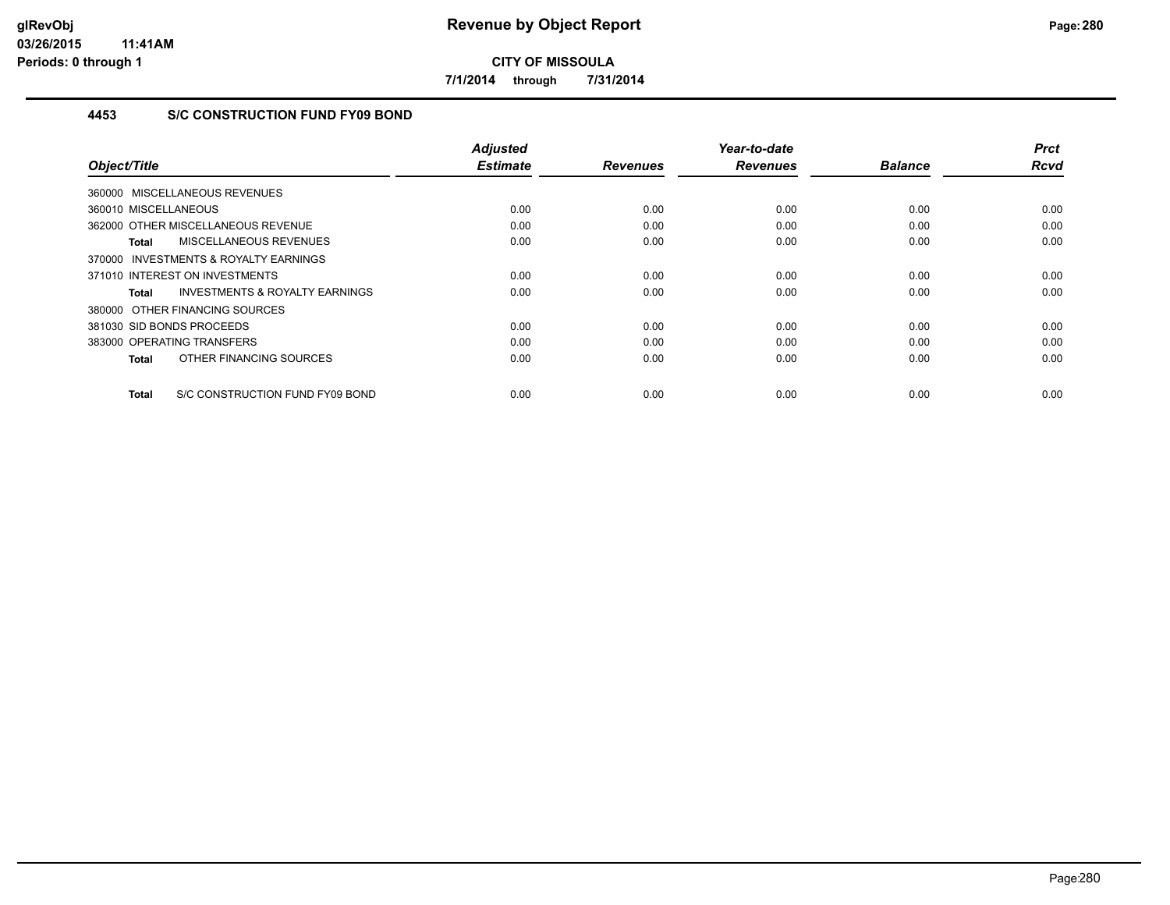**7/1/2014 through 7/31/2014**

# **4453 S/C CONSTRUCTION FUND FY09 BOND**

|                                                     | <b>Adjusted</b><br><b>Estimate</b> | <b>Revenues</b> | Year-to-date<br><b>Revenues</b> | <b>Balance</b> | <b>Prct</b><br><b>Rcvd</b> |
|-----------------------------------------------------|------------------------------------|-----------------|---------------------------------|----------------|----------------------------|
| Object/Title                                        |                                    |                 |                                 |                |                            |
| 360000 MISCELLANEOUS REVENUES                       |                                    |                 |                                 |                |                            |
| 360010 MISCELLANEOUS                                | 0.00                               | 0.00            | 0.00                            | 0.00           | 0.00                       |
| 362000 OTHER MISCELLANEOUS REVENUE                  | 0.00                               | 0.00            | 0.00                            | 0.00           | 0.00                       |
| MISCELLANEOUS REVENUES<br>Total                     | 0.00                               | 0.00            | 0.00                            | 0.00           | 0.00                       |
| <b>INVESTMENTS &amp; ROYALTY EARNINGS</b><br>370000 |                                    |                 |                                 |                |                            |
| 371010 INTEREST ON INVESTMENTS                      | 0.00                               | 0.00            | 0.00                            | 0.00           | 0.00                       |
| <b>INVESTMENTS &amp; ROYALTY EARNINGS</b><br>Total  | 0.00                               | 0.00            | 0.00                            | 0.00           | 0.00                       |
| 380000 OTHER FINANCING SOURCES                      |                                    |                 |                                 |                |                            |
| 381030 SID BONDS PROCEEDS                           | 0.00                               | 0.00            | 0.00                            | 0.00           | 0.00                       |
| 383000 OPERATING TRANSFERS                          | 0.00                               | 0.00            | 0.00                            | 0.00           | 0.00                       |
| OTHER FINANCING SOURCES<br><b>Total</b>             | 0.00                               | 0.00            | 0.00                            | 0.00           | 0.00                       |
| S/C CONSTRUCTION FUND FY09 BOND<br><b>Total</b>     | 0.00                               | 0.00            | 0.00                            | 0.00           | 0.00                       |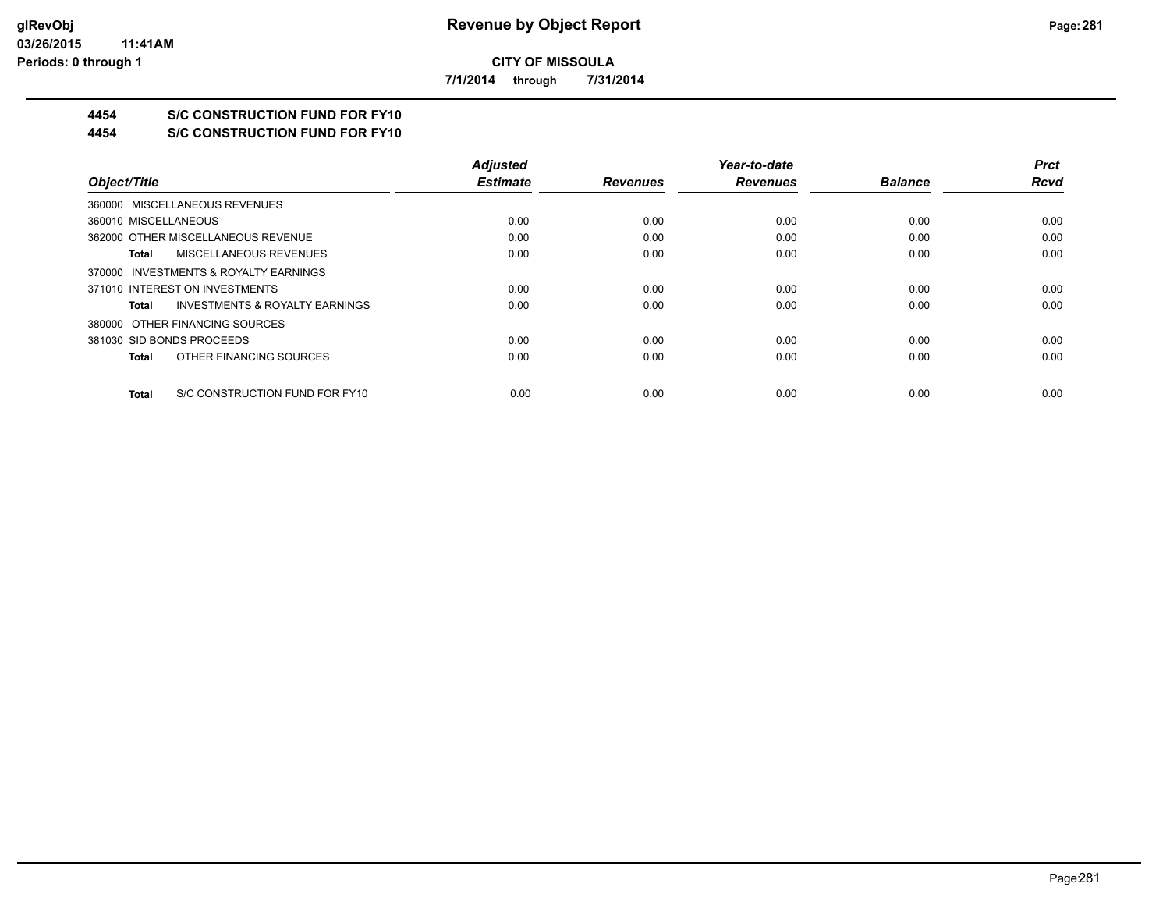**7/1/2014 through 7/31/2014**

# **4454 S/C CONSTRUCTION FUND FOR FY10**

**4454 S/C CONSTRUCTION FUND FOR FY10**

|                                                    | <b>Adjusted</b> |                 | Year-to-date    |                | <b>Prct</b> |
|----------------------------------------------------|-----------------|-----------------|-----------------|----------------|-------------|
| Object/Title                                       | <b>Estimate</b> | <b>Revenues</b> | <b>Revenues</b> | <b>Balance</b> | <b>Rcvd</b> |
| 360000 MISCELLANEOUS REVENUES                      |                 |                 |                 |                |             |
| 360010 MISCELLANEOUS                               | 0.00            | 0.00            | 0.00            | 0.00           | 0.00        |
| 362000 OTHER MISCELLANEOUS REVENUE                 | 0.00            | 0.00            | 0.00            | 0.00           | 0.00        |
| MISCELLANEOUS REVENUES<br>Total                    | 0.00            | 0.00            | 0.00            | 0.00           | 0.00        |
| 370000 INVESTMENTS & ROYALTY EARNINGS              |                 |                 |                 |                |             |
| 371010 INTEREST ON INVESTMENTS                     | 0.00            | 0.00            | 0.00            | 0.00           | 0.00        |
| <b>INVESTMENTS &amp; ROYALTY EARNINGS</b><br>Total | 0.00            | 0.00            | 0.00            | 0.00           | 0.00        |
| 380000 OTHER FINANCING SOURCES                     |                 |                 |                 |                |             |
| 381030 SID BONDS PROCEEDS                          | 0.00            | 0.00            | 0.00            | 0.00           | 0.00        |
| OTHER FINANCING SOURCES<br>Total                   | 0.00            | 0.00            | 0.00            | 0.00           | 0.00        |
| S/C CONSTRUCTION FUND FOR FY10<br>Total            | 0.00            | 0.00            | 0.00            | 0.00           | 0.00        |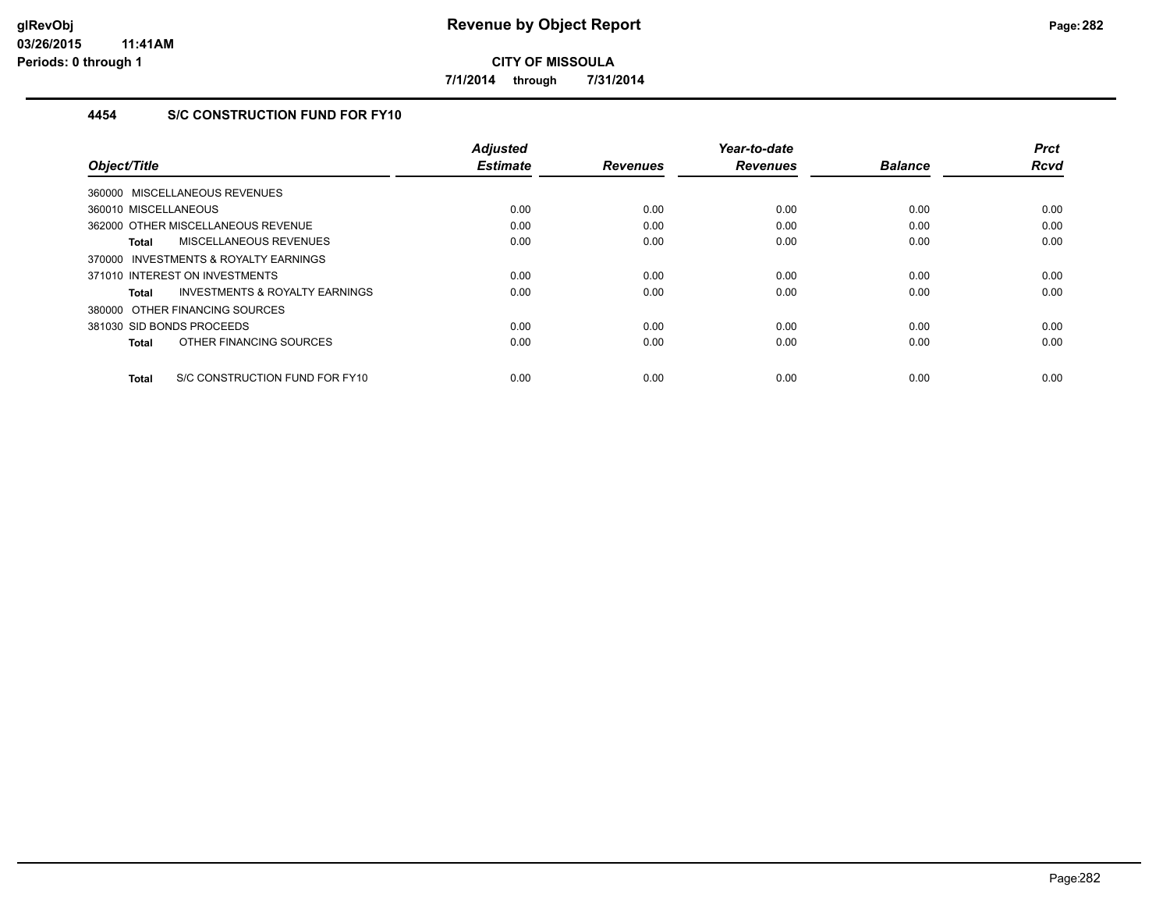**7/1/2014 through 7/31/2014**

## **4454 S/C CONSTRUCTION FUND FOR FY10**

|                                                | <b>Adjusted</b> |                 | Year-to-date    |                | <b>Prct</b> |
|------------------------------------------------|-----------------|-----------------|-----------------|----------------|-------------|
| Object/Title                                   | <b>Estimate</b> | <b>Revenues</b> | <b>Revenues</b> | <b>Balance</b> | <b>Rcvd</b> |
| 360000 MISCELLANEOUS REVENUES                  |                 |                 |                 |                |             |
| 360010 MISCELLANEOUS                           | 0.00            | 0.00            | 0.00            | 0.00           | 0.00        |
| 362000 OTHER MISCELLANEOUS REVENUE             | 0.00            | 0.00            | 0.00            | 0.00           | 0.00        |
| MISCELLANEOUS REVENUES<br>Total                | 0.00            | 0.00            | 0.00            | 0.00           | 0.00        |
| INVESTMENTS & ROYALTY EARNINGS<br>370000       |                 |                 |                 |                |             |
| 371010 INTEREST ON INVESTMENTS                 | 0.00            | 0.00            | 0.00            | 0.00           | 0.00        |
| INVESTMENTS & ROYALTY EARNINGS<br>Total        | 0.00            | 0.00            | 0.00            | 0.00           | 0.00        |
| 380000 OTHER FINANCING SOURCES                 |                 |                 |                 |                |             |
| 381030 SID BONDS PROCEEDS                      | 0.00            | 0.00            | 0.00            | 0.00           | 0.00        |
| OTHER FINANCING SOURCES<br><b>Total</b>        | 0.00            | 0.00            | 0.00            | 0.00           | 0.00        |
| S/C CONSTRUCTION FUND FOR FY10<br><b>Total</b> | 0.00            | 0.00            | 0.00            | 0.00           | 0.00        |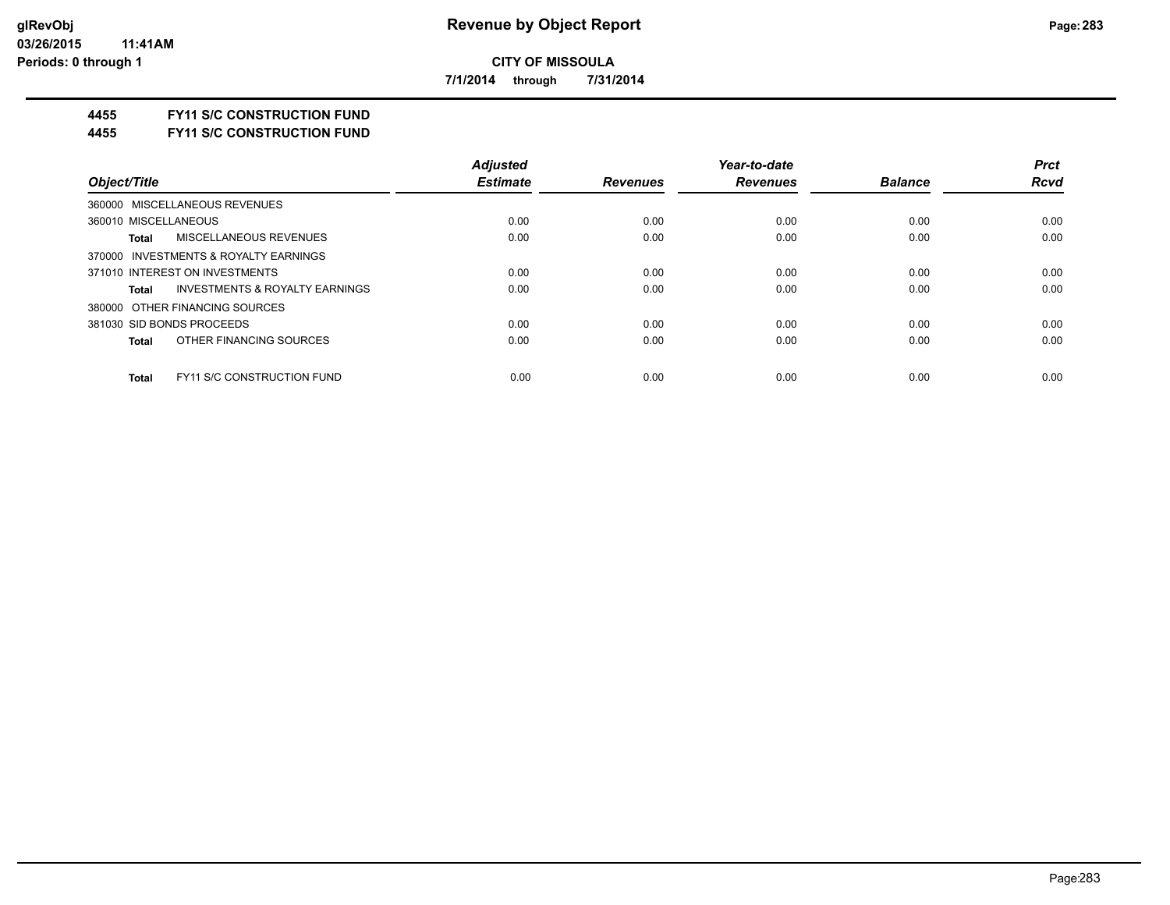**7/1/2014 through 7/31/2014**

## **4455 FY11 S/C CONSTRUCTION FUND**

#### **4455 FY11 S/C CONSTRUCTION FUND**

|                                                    | <b>Adjusted</b> |                 | Year-to-date    |                | <b>Prct</b> |
|----------------------------------------------------|-----------------|-----------------|-----------------|----------------|-------------|
| Object/Title                                       | <b>Estimate</b> | <b>Revenues</b> | <b>Revenues</b> | <b>Balance</b> | <b>Rcvd</b> |
| 360000 MISCELLANEOUS REVENUES                      |                 |                 |                 |                |             |
| 360010 MISCELLANEOUS                               | 0.00            | 0.00            | 0.00            | 0.00           | 0.00        |
| <b>MISCELLANEOUS REVENUES</b><br>Total             | 0.00            | 0.00            | 0.00            | 0.00           | 0.00        |
| 370000 INVESTMENTS & ROYALTY EARNINGS              |                 |                 |                 |                |             |
| 371010 INTEREST ON INVESTMENTS                     | 0.00            | 0.00            | 0.00            | 0.00           | 0.00        |
| <b>INVESTMENTS &amp; ROYALTY EARNINGS</b><br>Total | 0.00            | 0.00            | 0.00            | 0.00           | 0.00        |
| 380000 OTHER FINANCING SOURCES                     |                 |                 |                 |                |             |
| 381030 SID BONDS PROCEEDS                          | 0.00            | 0.00            | 0.00            | 0.00           | 0.00        |
| OTHER FINANCING SOURCES<br>Total                   | 0.00            | 0.00            | 0.00            | 0.00           | 0.00        |
| <b>FY11 S/C CONSTRUCTION FUND</b><br><b>Total</b>  | 0.00            | 0.00            | 0.00            | 0.00           | 0.00        |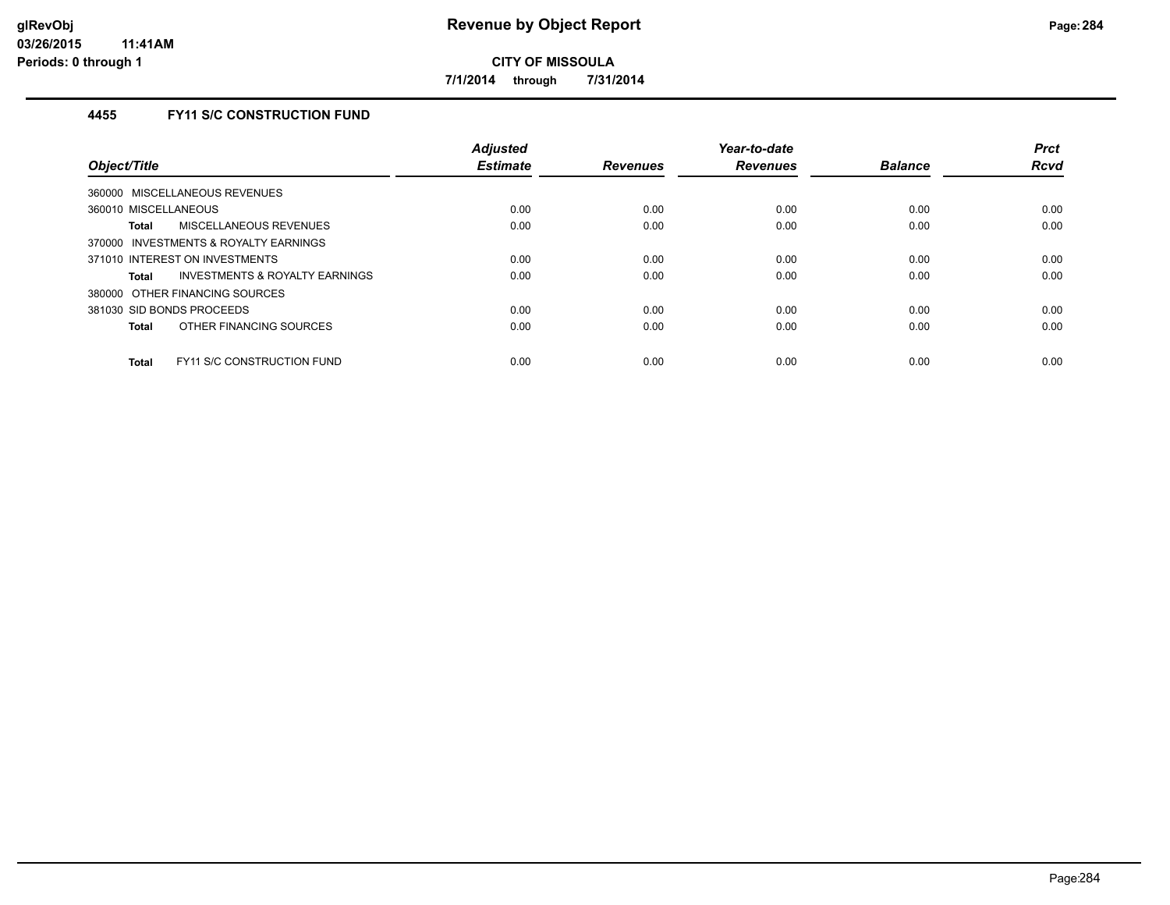**7/1/2014 through 7/31/2014**

# **4455 FY11 S/C CONSTRUCTION FUND**

| Object/Title                                       | <b>Adjusted</b><br><b>Estimate</b> | <b>Revenues</b> | Year-to-date<br><b>Revenues</b> | <b>Balance</b> | <b>Prct</b><br><b>Rcvd</b> |
|----------------------------------------------------|------------------------------------|-----------------|---------------------------------|----------------|----------------------------|
| 360000 MISCELLANEOUS REVENUES                      |                                    |                 |                                 |                |                            |
| 360010 MISCELLANEOUS                               | 0.00                               | 0.00            | 0.00                            | 0.00           | 0.00                       |
| MISCELLANEOUS REVENUES<br>Total                    | 0.00                               | 0.00            | 0.00                            | 0.00           | 0.00                       |
| 370000 INVESTMENTS & ROYALTY EARNINGS              |                                    |                 |                                 |                |                            |
| 371010 INTEREST ON INVESTMENTS                     | 0.00                               | 0.00            | 0.00                            | 0.00           | 0.00                       |
| <b>INVESTMENTS &amp; ROYALTY EARNINGS</b><br>Total | 0.00                               | 0.00            | 0.00                            | 0.00           | 0.00                       |
| 380000 OTHER FINANCING SOURCES                     |                                    |                 |                                 |                |                            |
| 381030 SID BONDS PROCEEDS                          | 0.00                               | 0.00            | 0.00                            | 0.00           | 0.00                       |
| OTHER FINANCING SOURCES<br><b>Total</b>            | 0.00                               | 0.00            | 0.00                            | 0.00           | 0.00                       |
| <b>FY11 S/C CONSTRUCTION FUND</b><br><b>Total</b>  | 0.00                               | 0.00            | 0.00                            | 0.00           | 0.00                       |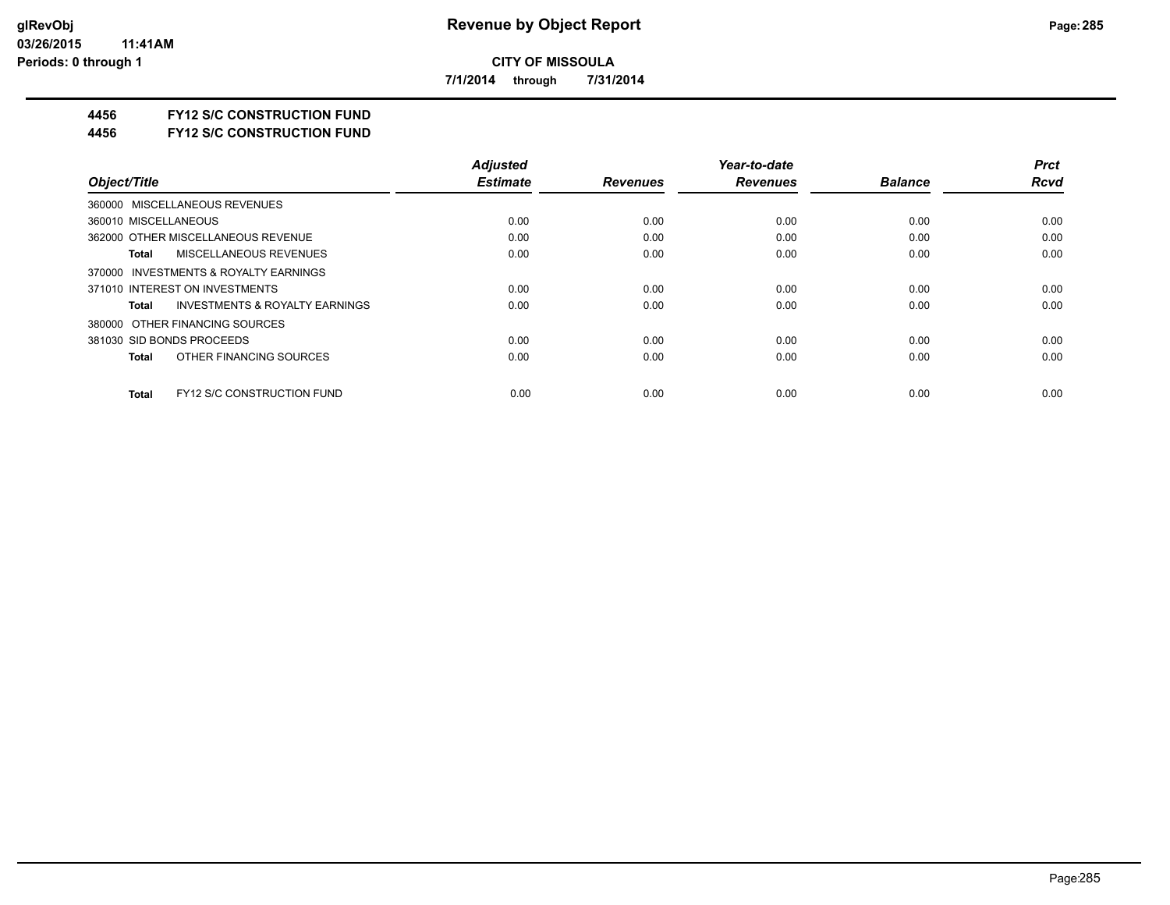**7/1/2014 through 7/31/2014**

# **4456 FY12 S/C CONSTRUCTION FUND**

**4456 FY12 S/C CONSTRUCTION FUND**

|                                                    | <b>Adjusted</b> |                 | Year-to-date    |                | <b>Prct</b> |
|----------------------------------------------------|-----------------|-----------------|-----------------|----------------|-------------|
| Object/Title                                       | <b>Estimate</b> | <b>Revenues</b> | <b>Revenues</b> | <b>Balance</b> | <b>Rcvd</b> |
| 360000 MISCELLANEOUS REVENUES                      |                 |                 |                 |                |             |
| 360010 MISCELLANEOUS                               | 0.00            | 0.00            | 0.00            | 0.00           | 0.00        |
| 362000 OTHER MISCELLANEOUS REVENUE                 | 0.00            | 0.00            | 0.00            | 0.00           | 0.00        |
| MISCELLANEOUS REVENUES<br>Total                    | 0.00            | 0.00            | 0.00            | 0.00           | 0.00        |
| 370000 INVESTMENTS & ROYALTY EARNINGS              |                 |                 |                 |                |             |
| 371010 INTEREST ON INVESTMENTS                     | 0.00            | 0.00            | 0.00            | 0.00           | 0.00        |
| <b>INVESTMENTS &amp; ROYALTY EARNINGS</b><br>Total | 0.00            | 0.00            | 0.00            | 0.00           | 0.00        |
| 380000 OTHER FINANCING SOURCES                     |                 |                 |                 |                |             |
| 381030 SID BONDS PROCEEDS                          | 0.00            | 0.00            | 0.00            | 0.00           | 0.00        |
| OTHER FINANCING SOURCES<br>Total                   | 0.00            | 0.00            | 0.00            | 0.00           | 0.00        |
| <b>FY12 S/C CONSTRUCTION FUND</b><br><b>Total</b>  | 0.00            | 0.00            | 0.00            | 0.00           | 0.00        |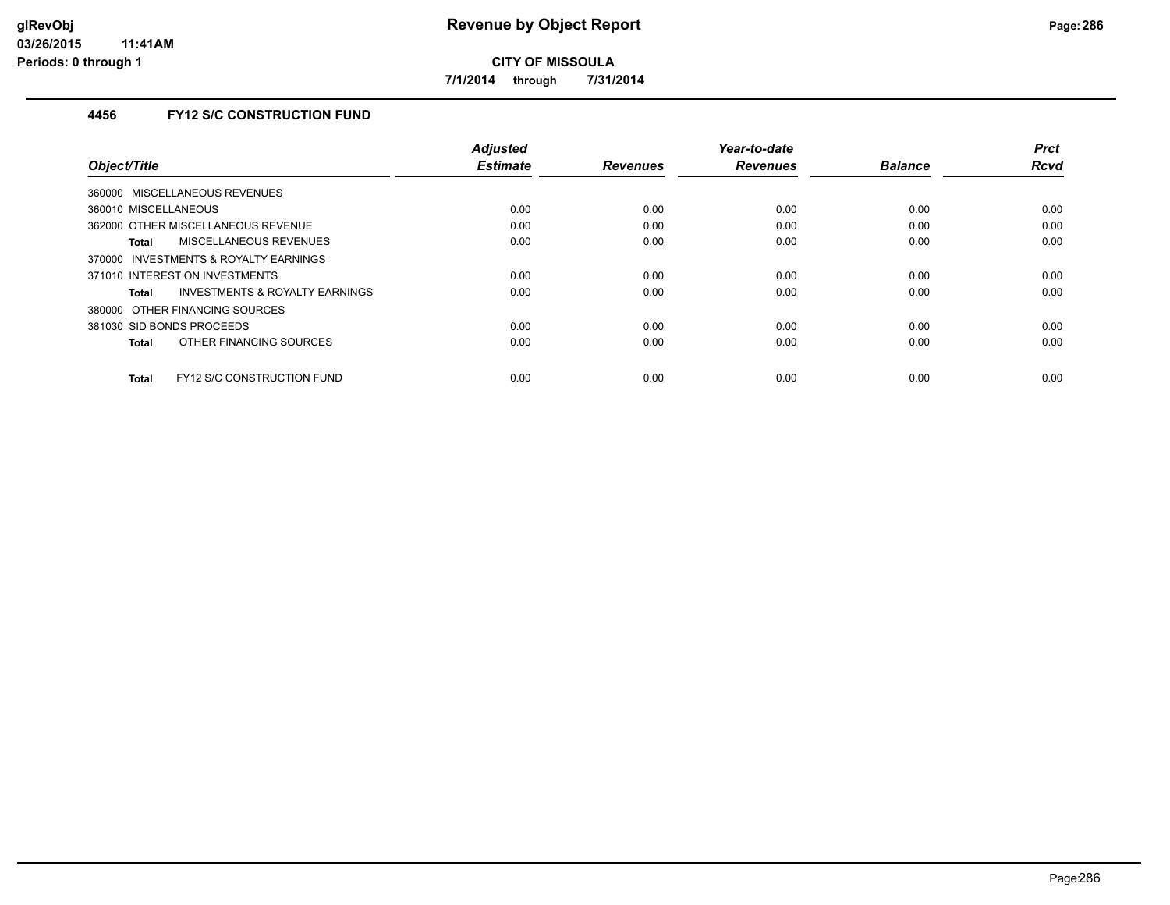**7/1/2014 through 7/31/2014**

# **4456 FY12 S/C CONSTRUCTION FUND**

|                                            | <b>Adjusted</b> |                 | Year-to-date    |                | <b>Prct</b> |
|--------------------------------------------|-----------------|-----------------|-----------------|----------------|-------------|
| Object/Title                               | <b>Estimate</b> | <b>Revenues</b> | <b>Revenues</b> | <b>Balance</b> | <b>Rcvd</b> |
| 360000 MISCELLANEOUS REVENUES              |                 |                 |                 |                |             |
| 360010 MISCELLANEOUS                       | 0.00            | 0.00            | 0.00            | 0.00           | 0.00        |
| 362000 OTHER MISCELLANEOUS REVENUE         | 0.00            | 0.00            | 0.00            | 0.00           | 0.00        |
| MISCELLANEOUS REVENUES<br>Total            | 0.00            | 0.00            | 0.00            | 0.00           | 0.00        |
| INVESTMENTS & ROYALTY EARNINGS<br>370000   |                 |                 |                 |                |             |
| 371010 INTEREST ON INVESTMENTS             | 0.00            | 0.00            | 0.00            | 0.00           | 0.00        |
| INVESTMENTS & ROYALTY EARNINGS<br>Total    | 0.00            | 0.00            | 0.00            | 0.00           | 0.00        |
| 380000 OTHER FINANCING SOURCES             |                 |                 |                 |                |             |
| 381030 SID BONDS PROCEEDS                  | 0.00            | 0.00            | 0.00            | 0.00           | 0.00        |
| OTHER FINANCING SOURCES<br><b>Total</b>    | 0.00            | 0.00            | 0.00            | 0.00           | 0.00        |
|                                            |                 |                 |                 |                |             |
| FY12 S/C CONSTRUCTION FUND<br><b>Total</b> | 0.00            | 0.00            | 0.00            | 0.00           | 0.00        |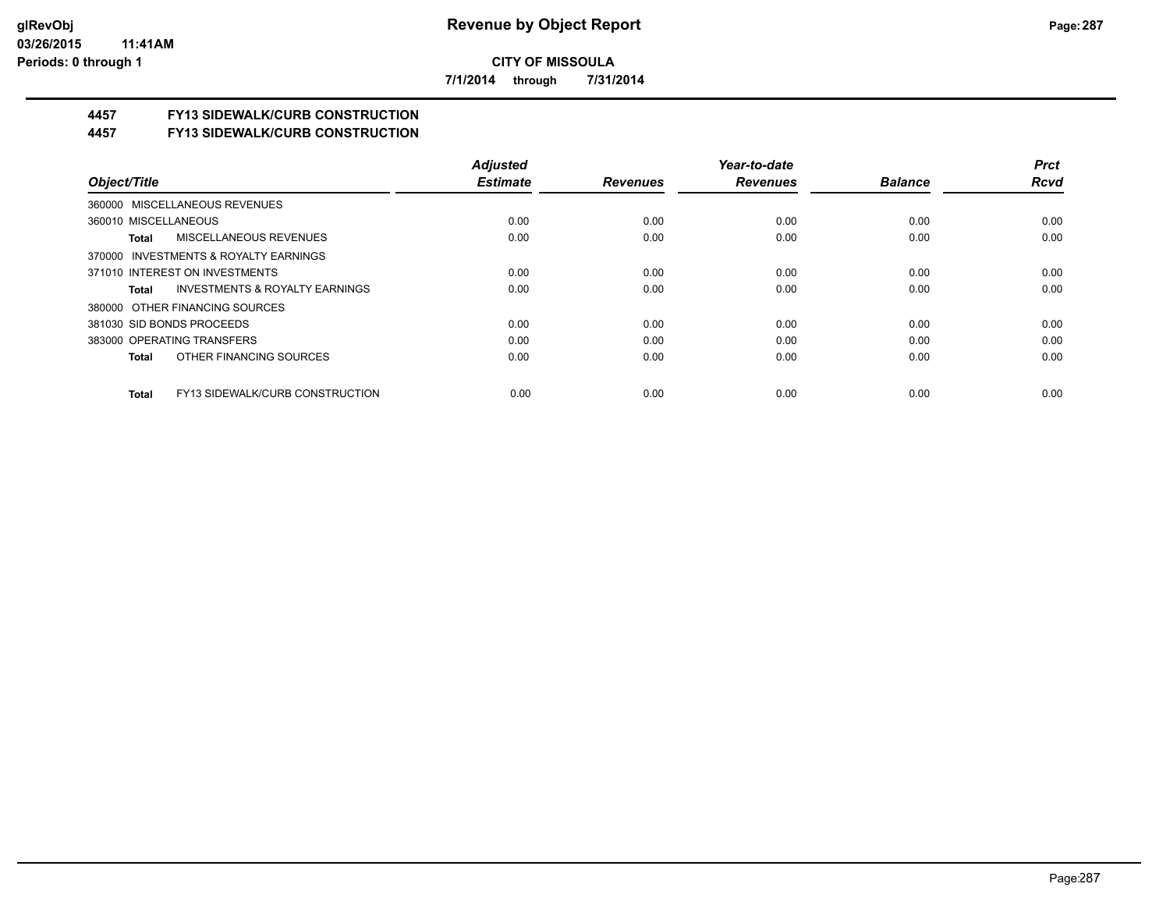**7/1/2014 through 7/31/2014**

# **4457 FY13 SIDEWALK/CURB CONSTRUCTION**

**4457 FY13 SIDEWALK/CURB CONSTRUCTION**

|                                                    | <b>Adiusted</b> |                 | Year-to-date    |                | <b>Prct</b> |
|----------------------------------------------------|-----------------|-----------------|-----------------|----------------|-------------|
| Object/Title                                       | <b>Estimate</b> | <b>Revenues</b> | <b>Revenues</b> | <b>Balance</b> | <b>Rcvd</b> |
| 360000 MISCELLANEOUS REVENUES                      |                 |                 |                 |                |             |
| 360010 MISCELLANEOUS                               | 0.00            | 0.00            | 0.00            | 0.00           | 0.00        |
| <b>MISCELLANEOUS REVENUES</b><br>Total             | 0.00            | 0.00            | 0.00            | 0.00           | 0.00        |
| 370000 INVESTMENTS & ROYALTY EARNINGS              |                 |                 |                 |                |             |
| 371010 INTEREST ON INVESTMENTS                     | 0.00            | 0.00            | 0.00            | 0.00           | 0.00        |
| <b>INVESTMENTS &amp; ROYALTY EARNINGS</b><br>Total | 0.00            | 0.00            | 0.00            | 0.00           | 0.00        |
| 380000 OTHER FINANCING SOURCES                     |                 |                 |                 |                |             |
| 381030 SID BONDS PROCEEDS                          | 0.00            | 0.00            | 0.00            | 0.00           | 0.00        |
| 383000 OPERATING TRANSFERS                         | 0.00            | 0.00            | 0.00            | 0.00           | 0.00        |
| OTHER FINANCING SOURCES<br>Total                   | 0.00            | 0.00            | 0.00            | 0.00           | 0.00        |
| FY13 SIDEWALK/CURB CONSTRUCTION<br>Total           | 0.00            | 0.00            | 0.00            | 0.00           | 0.00        |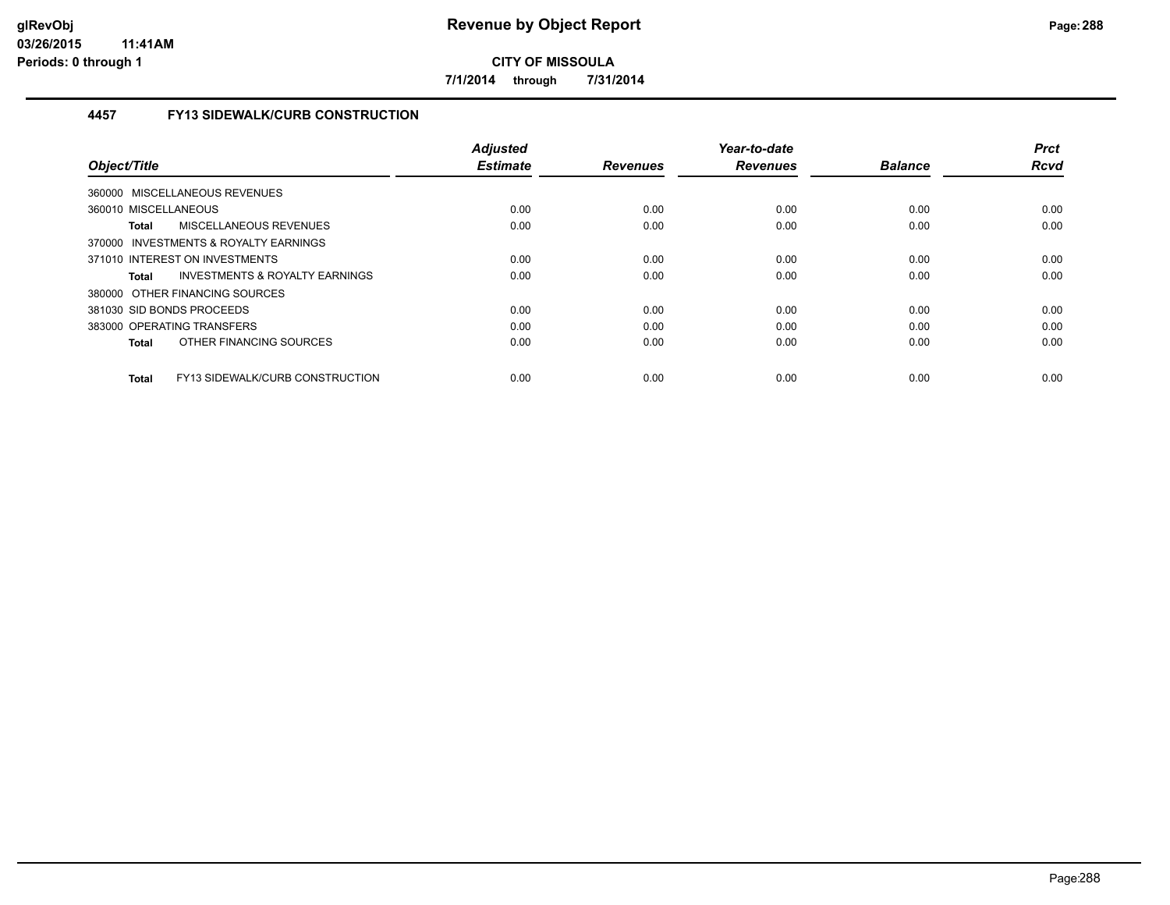**7/1/2014 through 7/31/2014**

## **4457 FY13 SIDEWALK/CURB CONSTRUCTION**

|                                                 | <b>Adjusted</b> |                 | Year-to-date    |                | <b>Prct</b> |
|-------------------------------------------------|-----------------|-----------------|-----------------|----------------|-------------|
| Object/Title                                    | <b>Estimate</b> | <b>Revenues</b> | <b>Revenues</b> | <b>Balance</b> | <b>Rcvd</b> |
| 360000 MISCELLANEOUS REVENUES                   |                 |                 |                 |                |             |
| 360010 MISCELLANEOUS                            | 0.00            | 0.00            | 0.00            | 0.00           | 0.00        |
| MISCELLANEOUS REVENUES<br><b>Total</b>          | 0.00            | 0.00            | 0.00            | 0.00           | 0.00        |
| 370000 INVESTMENTS & ROYALTY EARNINGS           |                 |                 |                 |                |             |
| 371010 INTEREST ON INVESTMENTS                  | 0.00            | 0.00            | 0.00            | 0.00           | 0.00        |
| INVESTMENTS & ROYALTY EARNINGS<br><b>Total</b>  | 0.00            | 0.00            | 0.00            | 0.00           | 0.00        |
| 380000 OTHER FINANCING SOURCES                  |                 |                 |                 |                |             |
| 381030 SID BONDS PROCEEDS                       | 0.00            | 0.00            | 0.00            | 0.00           | 0.00        |
| 383000 OPERATING TRANSFERS                      | 0.00            | 0.00            | 0.00            | 0.00           | 0.00        |
| OTHER FINANCING SOURCES<br>Total                | 0.00            | 0.00            | 0.00            | 0.00           | 0.00        |
| FY13 SIDEWALK/CURB CONSTRUCTION<br><b>Total</b> | 0.00            | 0.00            | 0.00            | 0.00           | 0.00        |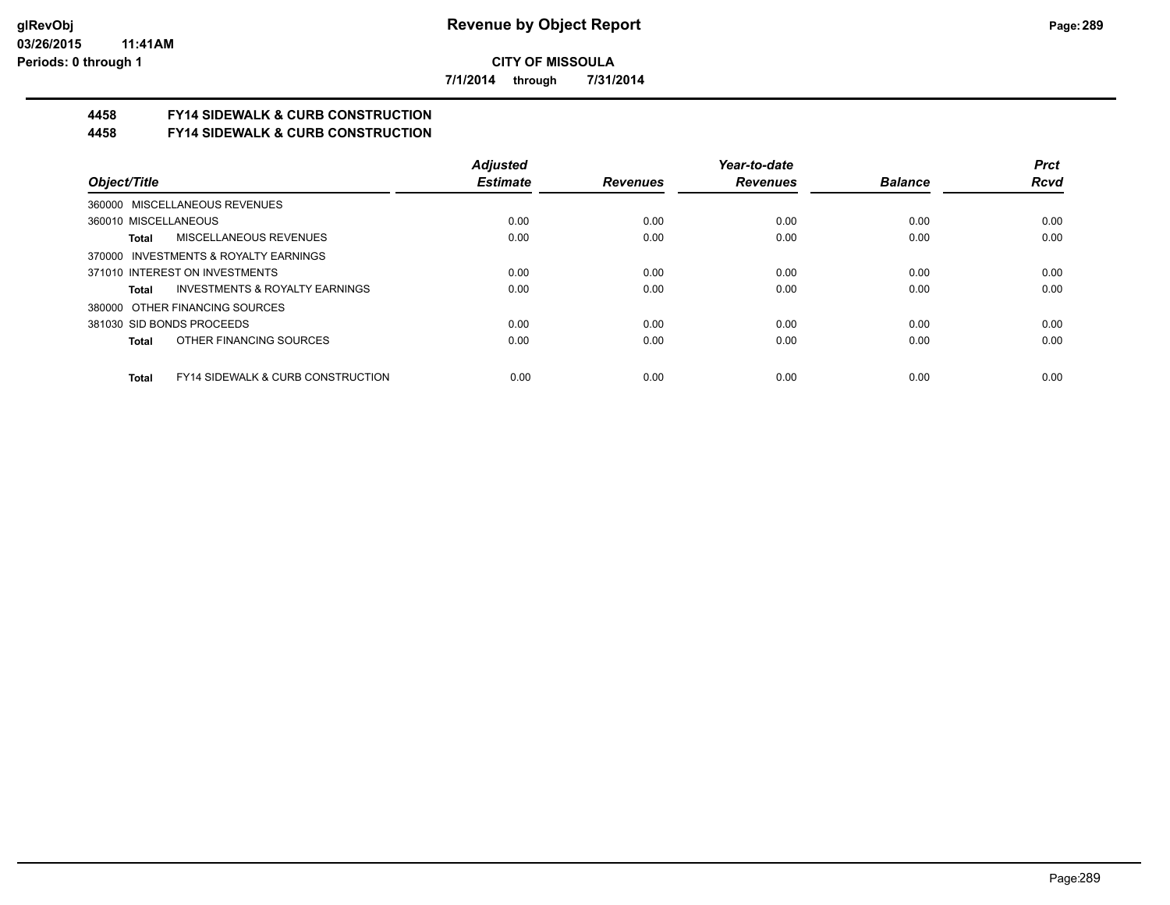**7/1/2014 through 7/31/2014**

# **4458 FY14 SIDEWALK & CURB CONSTRUCTION**

**4458 FY14 SIDEWALK & CURB CONSTRUCTION**

|                                                       | <b>Adjusted</b> |                 | Year-to-date    |                | <b>Prct</b> |
|-------------------------------------------------------|-----------------|-----------------|-----------------|----------------|-------------|
| Object/Title                                          | <b>Estimate</b> | <b>Revenues</b> | <b>Revenues</b> | <b>Balance</b> | <b>Rcvd</b> |
| 360000 MISCELLANEOUS REVENUES                         |                 |                 |                 |                |             |
| 360010 MISCELLANEOUS                                  | 0.00            | 0.00            | 0.00            | 0.00           | 0.00        |
| <b>MISCELLANEOUS REVENUES</b><br>Total                | 0.00            | 0.00            | 0.00            | 0.00           | 0.00        |
| 370000 INVESTMENTS & ROYALTY EARNINGS                 |                 |                 |                 |                |             |
| 371010 INTEREST ON INVESTMENTS                        | 0.00            | 0.00            | 0.00            | 0.00           | 0.00        |
| INVESTMENTS & ROYALTY EARNINGS<br>Total               | 0.00            | 0.00            | 0.00            | 0.00           | 0.00        |
| 380000 OTHER FINANCING SOURCES                        |                 |                 |                 |                |             |
| 381030 SID BONDS PROCEEDS                             | 0.00            | 0.00            | 0.00            | 0.00           | 0.00        |
| OTHER FINANCING SOURCES<br>Total                      | 0.00            | 0.00            | 0.00            | 0.00           | 0.00        |
| <b>FY14 SIDEWALK &amp; CURB CONSTRUCTION</b><br>Total | 0.00            | 0.00            | 0.00            | 0.00           | 0.00        |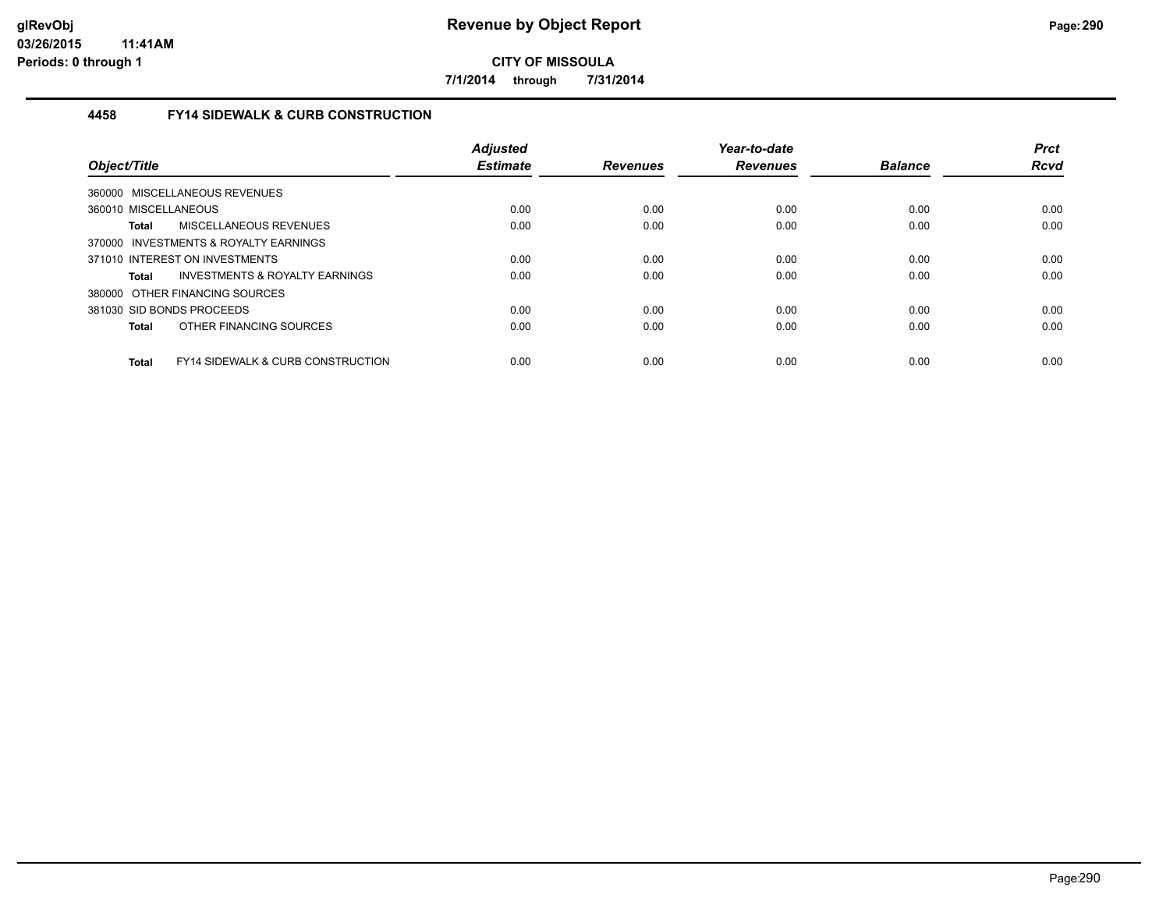**7/1/2014 through 7/31/2014**

### **4458 FY14 SIDEWALK & CURB CONSTRUCTION**

| Object/Title                                                 | <b>Adjusted</b><br><b>Estimate</b> | <b>Revenues</b> | Year-to-date<br><b>Revenues</b> | <b>Balance</b> | <b>Prct</b><br><b>Rcvd</b> |
|--------------------------------------------------------------|------------------------------------|-----------------|---------------------------------|----------------|----------------------------|
| 360000 MISCELLANEOUS REVENUES                                |                                    |                 |                                 |                |                            |
| 360010 MISCELLANEOUS                                         | 0.00                               | 0.00            | 0.00                            | 0.00           | 0.00                       |
| MISCELLANEOUS REVENUES<br><b>Total</b>                       | 0.00                               | 0.00            | 0.00                            | 0.00           | 0.00                       |
| 370000 INVESTMENTS & ROYALTY EARNINGS                        |                                    |                 |                                 |                |                            |
| 371010 INTEREST ON INVESTMENTS                               | 0.00                               | 0.00            | 0.00                            | 0.00           | 0.00                       |
| INVESTMENTS & ROYALTY EARNINGS<br><b>Total</b>               | 0.00                               | 0.00            | 0.00                            | 0.00           | 0.00                       |
| 380000 OTHER FINANCING SOURCES                               |                                    |                 |                                 |                |                            |
| 381030 SID BONDS PROCEEDS                                    | 0.00                               | 0.00            | 0.00                            | 0.00           | 0.00                       |
| OTHER FINANCING SOURCES<br><b>Total</b>                      | 0.00                               | 0.00            | 0.00                            | 0.00           | 0.00                       |
| <b>FY14 SIDEWALK &amp; CURB CONSTRUCTION</b><br><b>Total</b> | 0.00                               | 0.00            | 0.00                            | 0.00           | 0.00                       |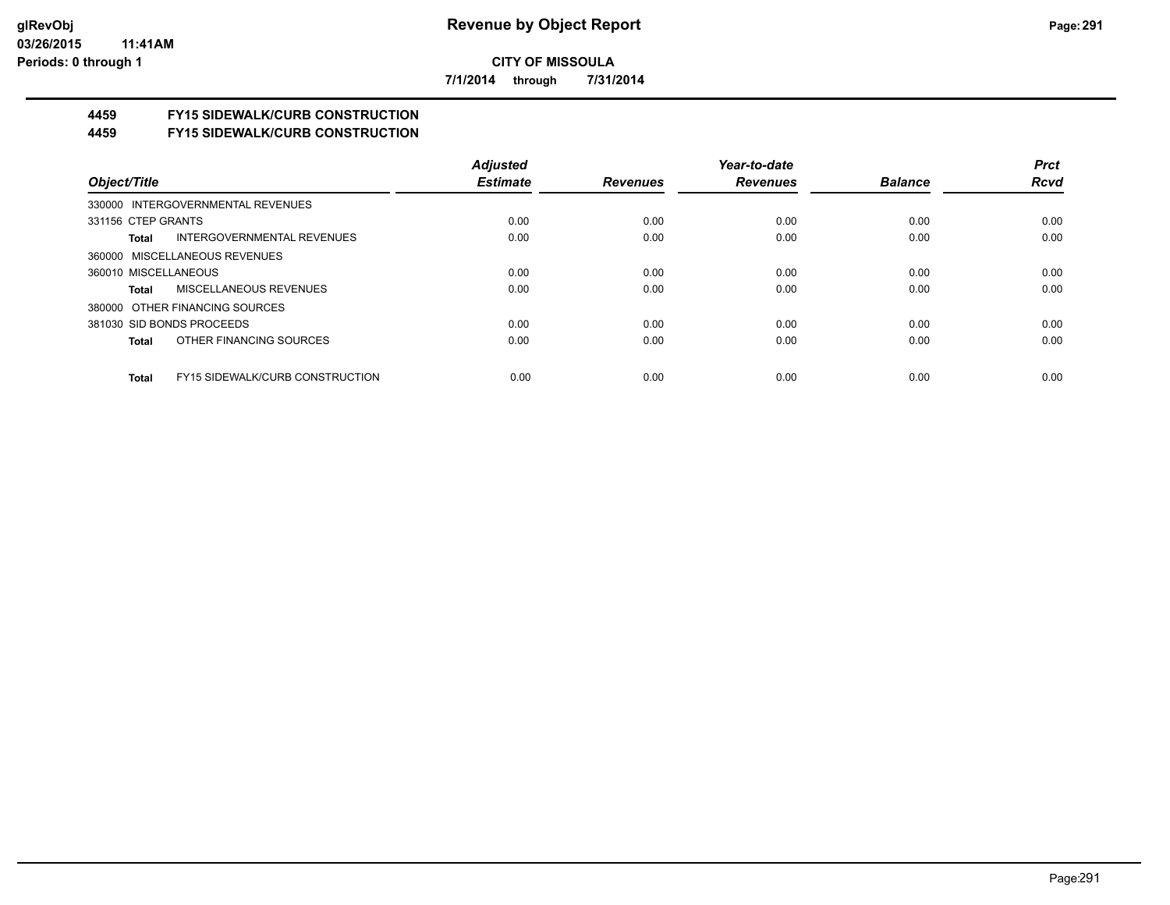**7/1/2014 through 7/31/2014**

# **4459 FY15 SIDEWALK/CURB CONSTRUCTION**

**4459 FY15 SIDEWALK/CURB CONSTRUCTION**

|                                                        | <b>Adjusted</b> |                 | Year-to-date    |                | <b>Prct</b> |
|--------------------------------------------------------|-----------------|-----------------|-----------------|----------------|-------------|
| Object/Title                                           | <b>Estimate</b> | <b>Revenues</b> | <b>Revenues</b> | <b>Balance</b> | <b>Rcvd</b> |
| 330000 INTERGOVERNMENTAL REVENUES                      |                 |                 |                 |                |             |
| 331156 CTEP GRANTS                                     | 0.00            | 0.00            | 0.00            | 0.00           | 0.00        |
| <b>INTERGOVERNMENTAL REVENUES</b><br>Total             | 0.00            | 0.00            | 0.00            | 0.00           | 0.00        |
| 360000 MISCELLANEOUS REVENUES                          |                 |                 |                 |                |             |
| 360010 MISCELLANEOUS                                   | 0.00            | 0.00            | 0.00            | 0.00           | 0.00        |
| MISCELLANEOUS REVENUES<br>Total                        | 0.00            | 0.00            | 0.00            | 0.00           | 0.00        |
| 380000 OTHER FINANCING SOURCES                         |                 |                 |                 |                |             |
| 381030 SID BONDS PROCEEDS                              | 0.00            | 0.00            | 0.00            | 0.00           | 0.00        |
| OTHER FINANCING SOURCES<br>Total                       | 0.00            | 0.00            | 0.00            | 0.00           | 0.00        |
|                                                        |                 |                 |                 |                |             |
| <b>FY15 SIDEWALK/CURB CONSTRUCTION</b><br><b>Total</b> | 0.00            | 0.00            | 0.00            | 0.00           | 0.00        |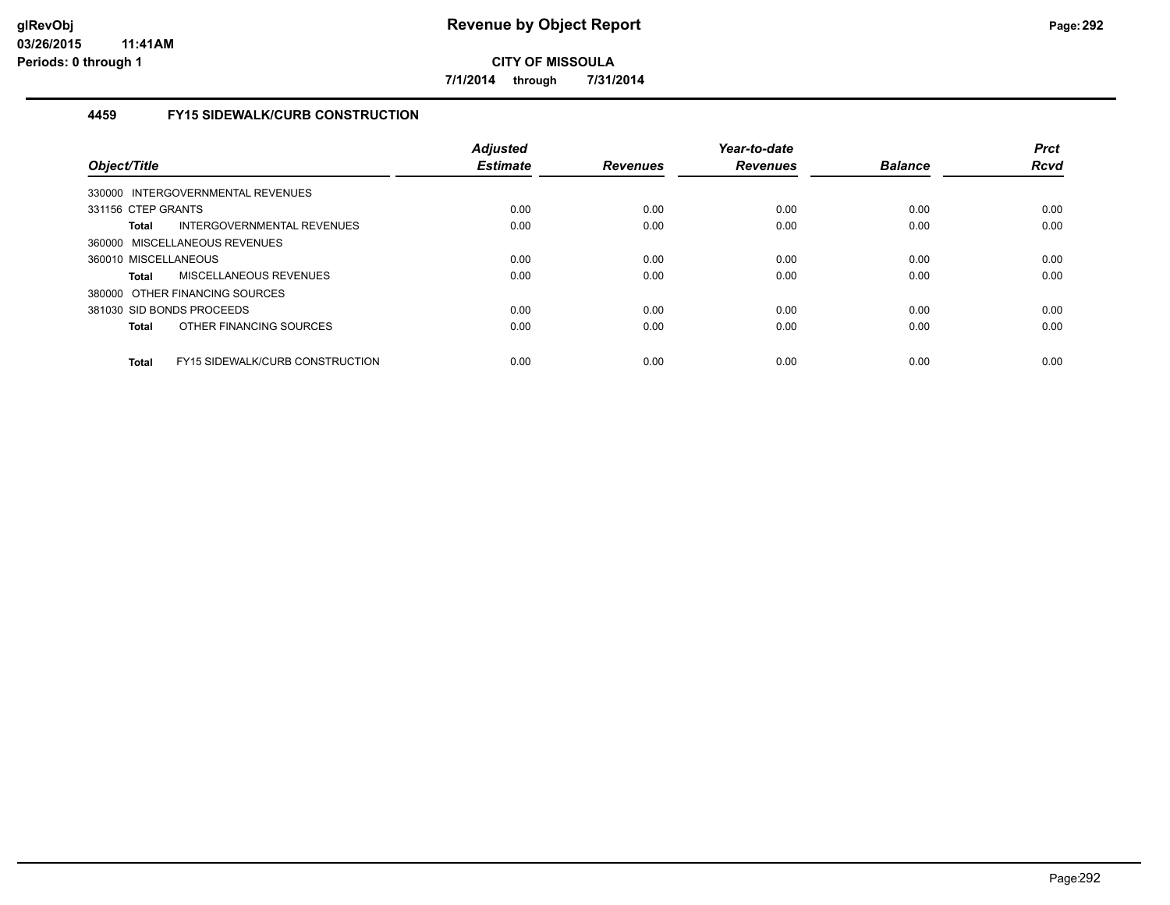**7/1/2014 through 7/31/2014**

## **4459 FY15 SIDEWALK/CURB CONSTRUCTION**

| Object/Title         |                                        | <b>Adjusted</b><br><b>Estimate</b> | <b>Revenues</b> | Year-to-date<br><b>Revenues</b> | <b>Balance</b> | <b>Prct</b><br><b>Rcvd</b> |
|----------------------|----------------------------------------|------------------------------------|-----------------|---------------------------------|----------------|----------------------------|
|                      | 330000 INTERGOVERNMENTAL REVENUES      |                                    |                 |                                 |                |                            |
| 331156 CTEP GRANTS   |                                        | 0.00                               | 0.00            | 0.00                            | 0.00           | 0.00                       |
| <b>Total</b>         | INTERGOVERNMENTAL REVENUES             | 0.00                               | 0.00            | 0.00                            | 0.00           | 0.00                       |
|                      | 360000 MISCELLANEOUS REVENUES          |                                    |                 |                                 |                |                            |
| 360010 MISCELLANEOUS |                                        | 0.00                               | 0.00            | 0.00                            | 0.00           | 0.00                       |
| <b>Total</b>         | MISCELLANEOUS REVENUES                 | 0.00                               | 0.00            | 0.00                            | 0.00           | 0.00                       |
|                      | 380000 OTHER FINANCING SOURCES         |                                    |                 |                                 |                |                            |
|                      | 381030 SID BONDS PROCEEDS              | 0.00                               | 0.00            | 0.00                            | 0.00           | 0.00                       |
| <b>Total</b>         | OTHER FINANCING SOURCES                | 0.00                               | 0.00            | 0.00                            | 0.00           | 0.00                       |
| <b>Total</b>         | <b>FY15 SIDEWALK/CURB CONSTRUCTION</b> | 0.00                               | 0.00            | 0.00                            | 0.00           | 0.00                       |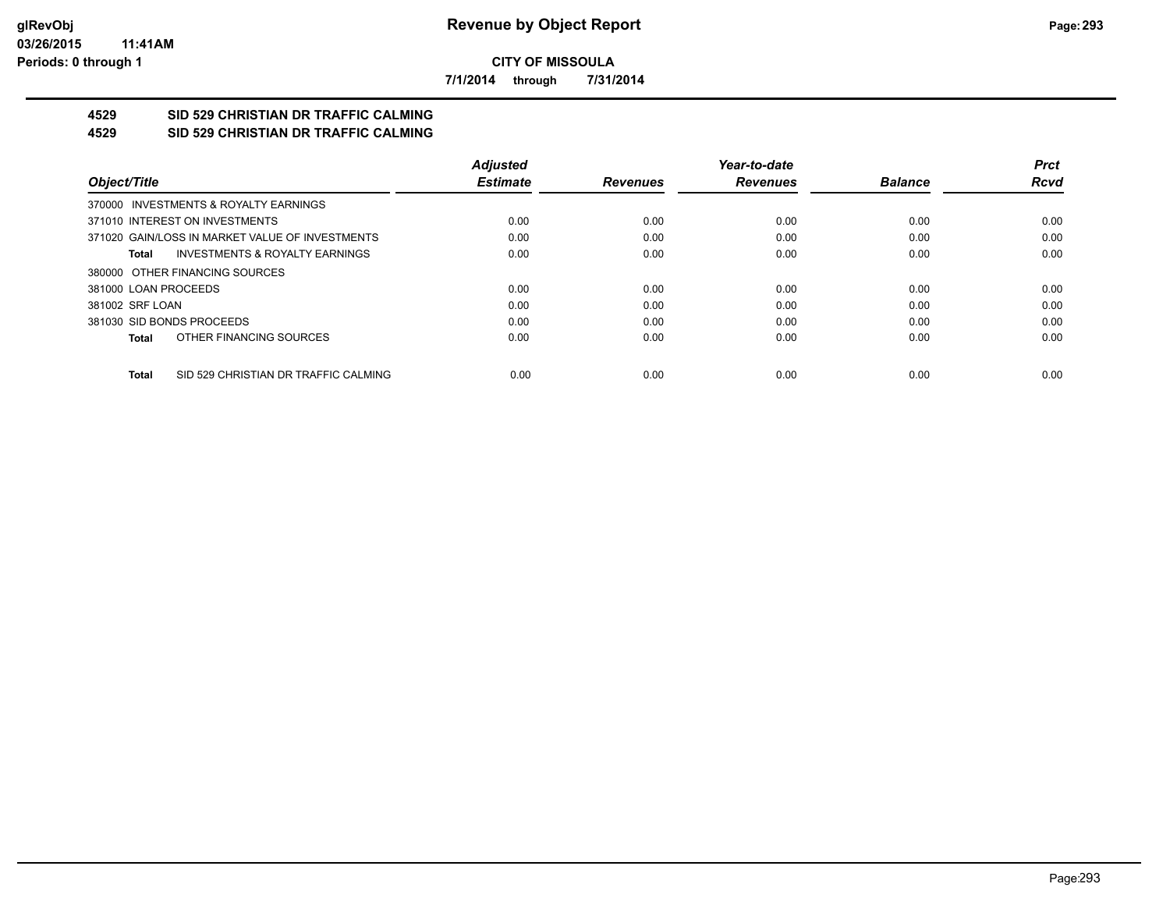**7/1/2014 through 7/31/2014**

#### **4529 SID 529 CHRISTIAN DR TRAFFIC CALMING 4529 SID 529 CHRISTIAN DR TRAFFIC CALMING**

|                                                      | <b>Adjusted</b> |                 | Year-to-date    |                | <b>Prct</b> |
|------------------------------------------------------|-----------------|-----------------|-----------------|----------------|-------------|
| Object/Title                                         | <b>Estimate</b> | <b>Revenues</b> | <b>Revenues</b> | <b>Balance</b> | <b>Rcvd</b> |
| 370000 INVESTMENTS & ROYALTY EARNINGS                |                 |                 |                 |                |             |
| 371010 INTEREST ON INVESTMENTS                       | 0.00            | 0.00            | 0.00            | 0.00           | 0.00        |
| 371020 GAIN/LOSS IN MARKET VALUE OF INVESTMENTS      | 0.00            | 0.00            | 0.00            | 0.00           | 0.00        |
| <b>INVESTMENTS &amp; ROYALTY EARNINGS</b><br>Total   | 0.00            | 0.00            | 0.00            | 0.00           | 0.00        |
| 380000 OTHER FINANCING SOURCES                       |                 |                 |                 |                |             |
| 381000 LOAN PROCEEDS                                 | 0.00            | 0.00            | 0.00            | 0.00           | 0.00        |
| 381002 SRF LOAN                                      | 0.00            | 0.00            | 0.00            | 0.00           | 0.00        |
| 381030 SID BONDS PROCEEDS                            | 0.00            | 0.00            | 0.00            | 0.00           | 0.00        |
| OTHER FINANCING SOURCES<br>Total                     | 0.00            | 0.00            | 0.00            | 0.00           | 0.00        |
|                                                      |                 |                 |                 |                |             |
| SID 529 CHRISTIAN DR TRAFFIC CALMING<br><b>Total</b> | 0.00            | 0.00            | 0.00            | 0.00           | 0.00        |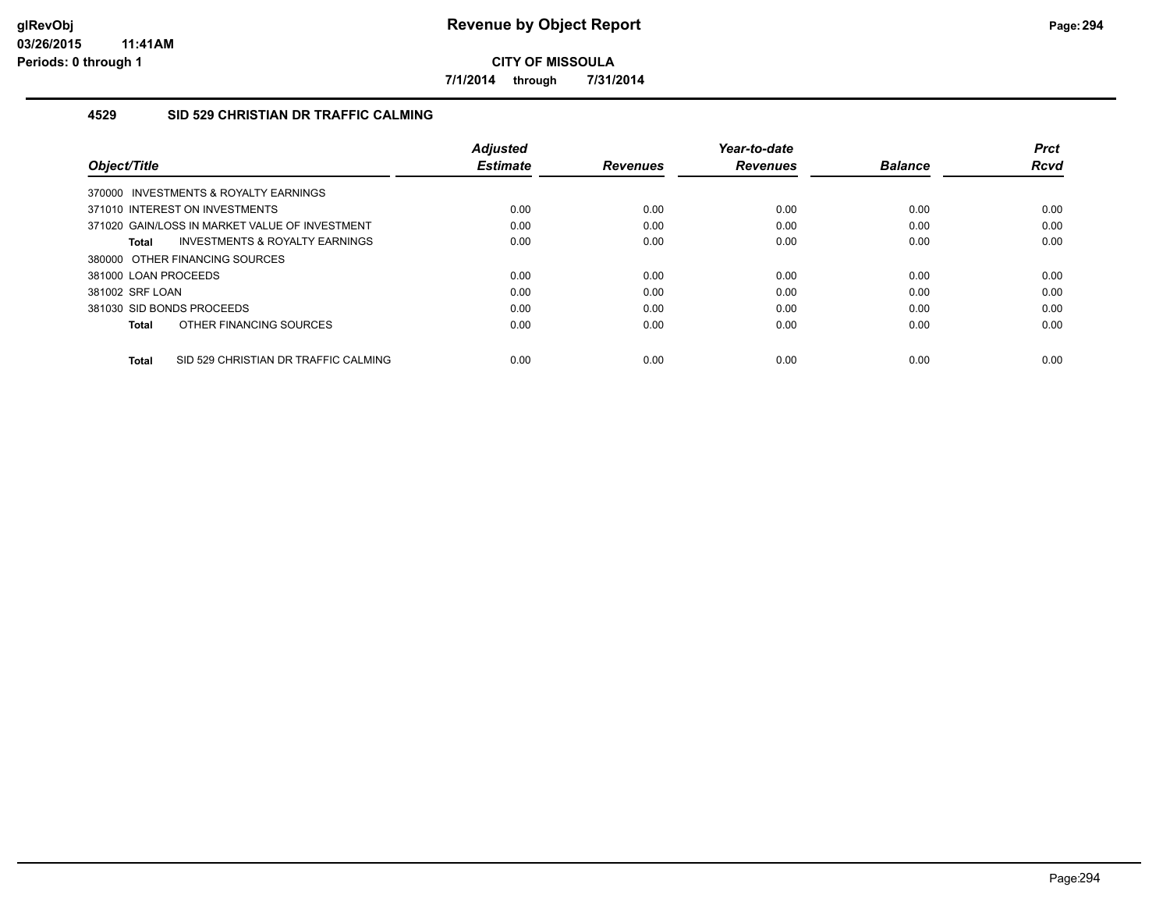**7/1/2014 through 7/31/2014**

### **4529 SID 529 CHRISTIAN DR TRAFFIC CALMING**

| Object/Title                                         | <b>Adjusted</b><br><b>Estimate</b> | <b>Revenues</b> | Year-to-date<br><b>Revenues</b> | <b>Balance</b> | <b>Prct</b><br><b>Rcvd</b> |
|------------------------------------------------------|------------------------------------|-----------------|---------------------------------|----------------|----------------------------|
| 370000 INVESTMENTS & ROYALTY EARNINGS                |                                    |                 |                                 |                |                            |
| 371010 INTEREST ON INVESTMENTS                       | 0.00                               | 0.00            | 0.00                            | 0.00           | 0.00                       |
| 371020 GAIN/LOSS IN MARKET VALUE OF INVESTMENT       | 0.00                               | 0.00            | 0.00                            | 0.00           | 0.00                       |
| INVESTMENTS & ROYALTY EARNINGS<br>Total              | 0.00                               | 0.00            | 0.00                            | 0.00           | 0.00                       |
| 380000 OTHER FINANCING SOURCES                       |                                    |                 |                                 |                |                            |
| 381000 LOAN PROCEEDS                                 | 0.00                               | 0.00            | 0.00                            | 0.00           | 0.00                       |
| 381002 SRF LOAN                                      | 0.00                               | 0.00            | 0.00                            | 0.00           | 0.00                       |
| 381030 SID BONDS PROCEEDS                            | 0.00                               | 0.00            | 0.00                            | 0.00           | 0.00                       |
| OTHER FINANCING SOURCES<br>Total                     | 0.00                               | 0.00            | 0.00                            | 0.00           | 0.00                       |
| SID 529 CHRISTIAN DR TRAFFIC CALMING<br><b>Total</b> | 0.00                               | 0.00            | 0.00                            | 0.00           | 0.00                       |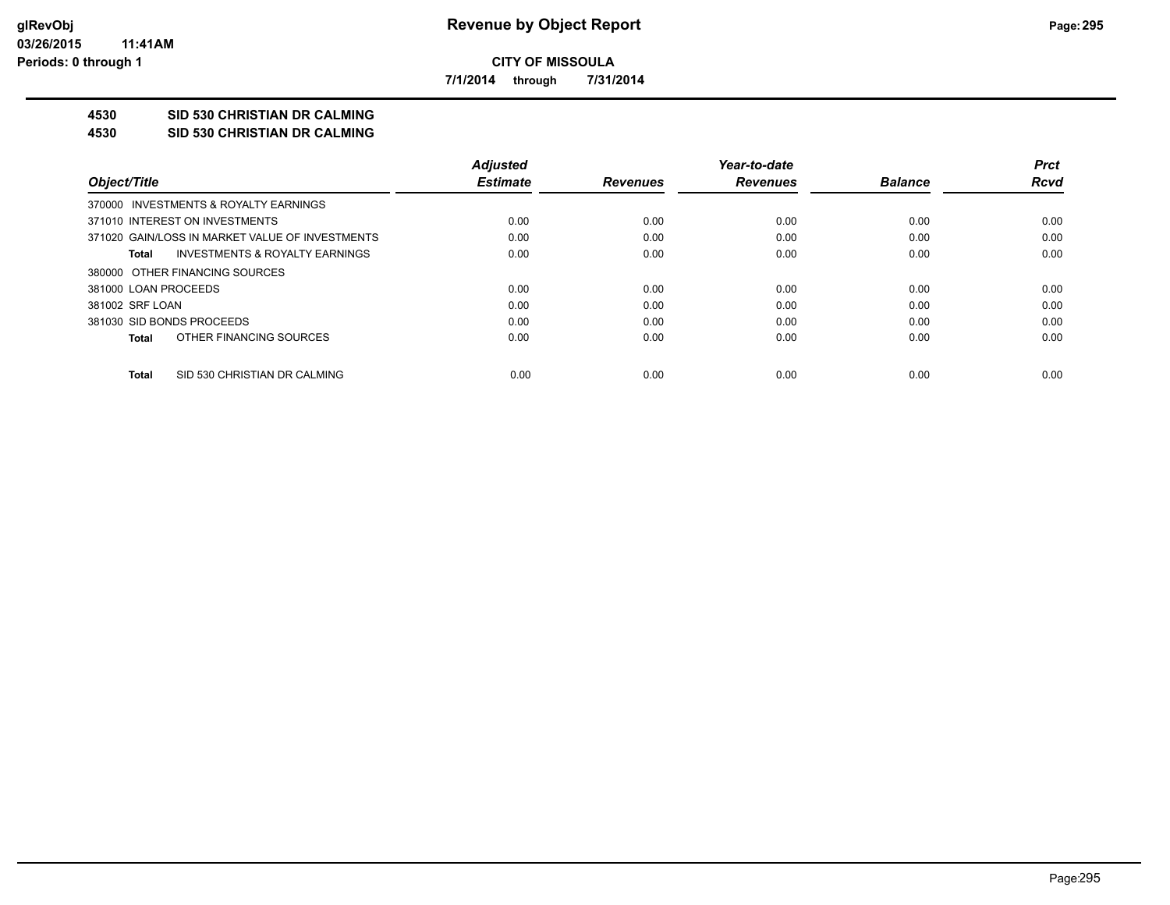**7/1/2014 through 7/31/2014**

## **4530 SID 530 CHRISTIAN DR CALMING**

#### **4530 SID 530 CHRISTIAN DR CALMING**

|                                                 | <b>Adjusted</b> |                 | Year-to-date    |                | <b>Prct</b> |
|-------------------------------------------------|-----------------|-----------------|-----------------|----------------|-------------|
| Object/Title                                    | <b>Estimate</b> | <b>Revenues</b> | <b>Revenues</b> | <b>Balance</b> | <b>Rcvd</b> |
| 370000 INVESTMENTS & ROYALTY EARNINGS           |                 |                 |                 |                |             |
| 371010 INTEREST ON INVESTMENTS                  | 0.00            | 0.00            | 0.00            | 0.00           | 0.00        |
| 371020 GAIN/LOSS IN MARKET VALUE OF INVESTMENTS | 0.00            | 0.00            | 0.00            | 0.00           | 0.00        |
| INVESTMENTS & ROYALTY EARNINGS<br>Total         | 0.00            | 0.00            | 0.00            | 0.00           | 0.00        |
| 380000 OTHER FINANCING SOURCES                  |                 |                 |                 |                |             |
| 381000 LOAN PROCEEDS                            | 0.00            | 0.00            | 0.00            | 0.00           | 0.00        |
| 381002 SRF LOAN                                 | 0.00            | 0.00            | 0.00            | 0.00           | 0.00        |
| 381030 SID BONDS PROCEEDS                       | 0.00            | 0.00            | 0.00            | 0.00           | 0.00        |
| OTHER FINANCING SOURCES<br>Total                | 0.00            | 0.00            | 0.00            | 0.00           | 0.00        |
|                                                 |                 |                 |                 |                |             |
| SID 530 CHRISTIAN DR CALMING<br>Total           | 0.00            | 0.00            | 0.00            | 0.00           | 0.00        |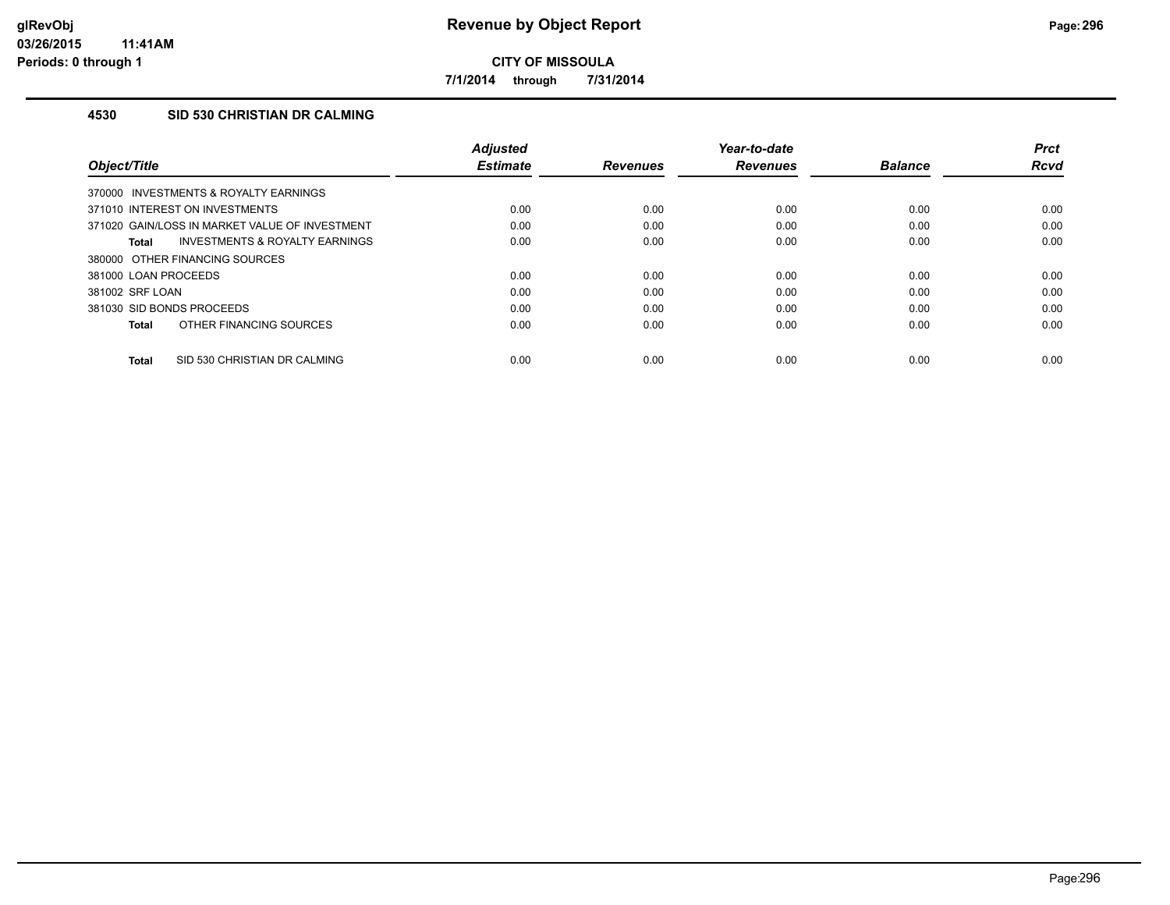**7/1/2014 through 7/31/2014**

### **4530 SID 530 CHRISTIAN DR CALMING**

| Object/Title                                   | <b>Adjusted</b><br><b>Estimate</b> | <b>Revenues</b> | Year-to-date<br><b>Revenues</b> | <b>Balance</b> | <b>Prct</b><br><b>Rcvd</b> |
|------------------------------------------------|------------------------------------|-----------------|---------------------------------|----------------|----------------------------|
| 370000 INVESTMENTS & ROYALTY EARNINGS          |                                    |                 |                                 |                |                            |
| 371010 INTEREST ON INVESTMENTS                 | 0.00                               | 0.00            | 0.00                            | 0.00           | 0.00                       |
| 371020 GAIN/LOSS IN MARKET VALUE OF INVESTMENT | 0.00                               | 0.00            | 0.00                            | 0.00           | 0.00                       |
| INVESTMENTS & ROYALTY EARNINGS<br>Total        | 0.00                               | 0.00            | 0.00                            | 0.00           | 0.00                       |
| 380000 OTHER FINANCING SOURCES                 |                                    |                 |                                 |                |                            |
| 381000 LOAN PROCEEDS                           | 0.00                               | 0.00            | 0.00                            | 0.00           | 0.00                       |
| 381002 SRF LOAN                                | 0.00                               | 0.00            | 0.00                            | 0.00           | 0.00                       |
| 381030 SID BONDS PROCEEDS                      | 0.00                               | 0.00            | 0.00                            | 0.00           | 0.00                       |
| OTHER FINANCING SOURCES<br><b>Total</b>        | 0.00                               | 0.00            | 0.00                            | 0.00           | 0.00                       |
| SID 530 CHRISTIAN DR CALMING<br><b>Total</b>   | 0.00                               | 0.00            | 0.00                            | 0.00           | 0.00                       |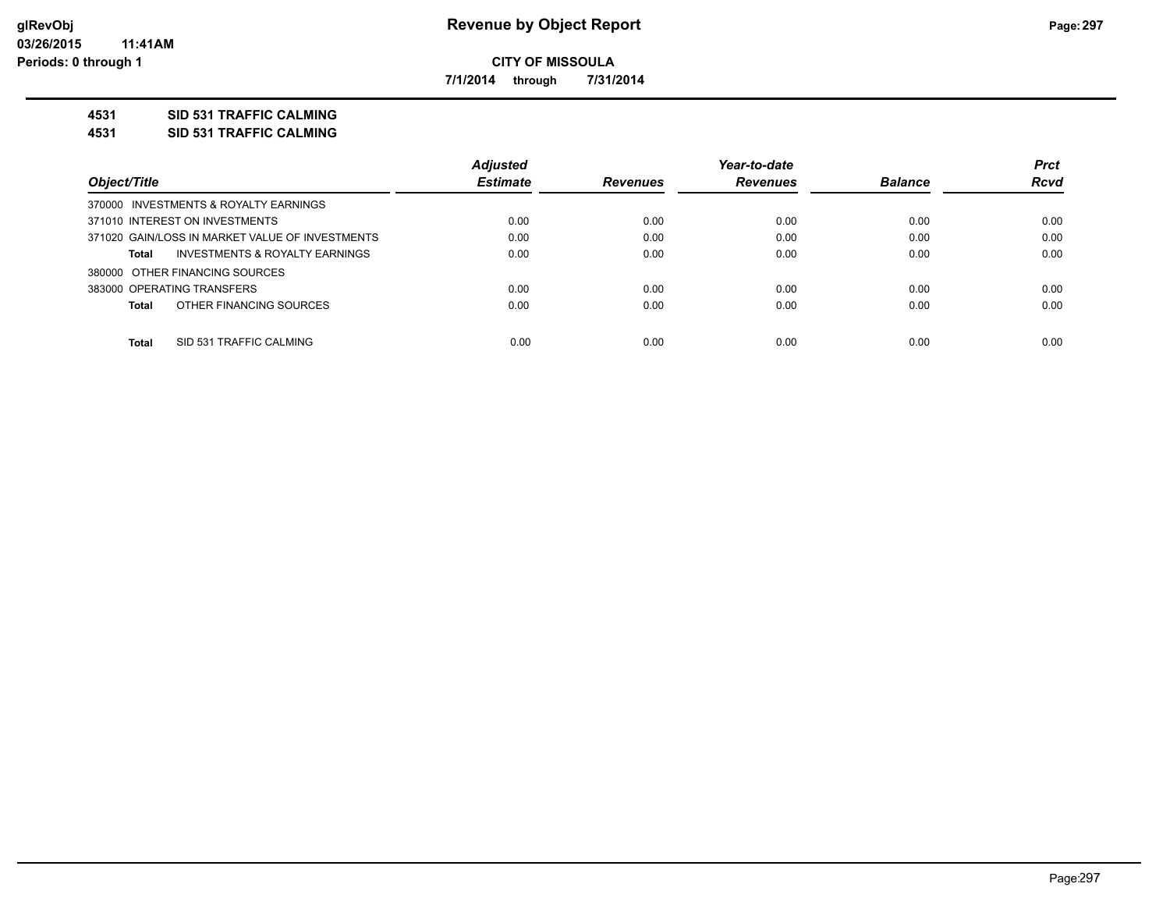**7/1/2014 through 7/31/2014**

### **4531 SID 531 TRAFFIC CALMING**

**4531 SID 531 TRAFFIC CALMING**

|                                                 | <b>Adjusted</b> |                 | Year-to-date    |                | <b>Prct</b> |
|-------------------------------------------------|-----------------|-----------------|-----------------|----------------|-------------|
| Object/Title                                    | <b>Estimate</b> | <b>Revenues</b> | <b>Revenues</b> | <b>Balance</b> | <b>Rcvd</b> |
| 370000 INVESTMENTS & ROYALTY EARNINGS           |                 |                 |                 |                |             |
| 371010 INTEREST ON INVESTMENTS                  | 0.00            | 0.00            | 0.00            | 0.00           | 0.00        |
| 371020 GAIN/LOSS IN MARKET VALUE OF INVESTMENTS | 0.00            | 0.00            | 0.00            | 0.00           | 0.00        |
| INVESTMENTS & ROYALTY EARNINGS<br>Total         | 0.00            | 0.00            | 0.00            | 0.00           | 0.00        |
| 380000 OTHER FINANCING SOURCES                  |                 |                 |                 |                |             |
| 383000 OPERATING TRANSFERS                      | 0.00            | 0.00            | 0.00            | 0.00           | 0.00        |
| OTHER FINANCING SOURCES<br>Total                | 0.00            | 0.00            | 0.00            | 0.00           | 0.00        |
| <b>Total</b><br>SID 531 TRAFFIC CALMING         | 0.00            | 0.00            | 0.00            | 0.00           | 0.00        |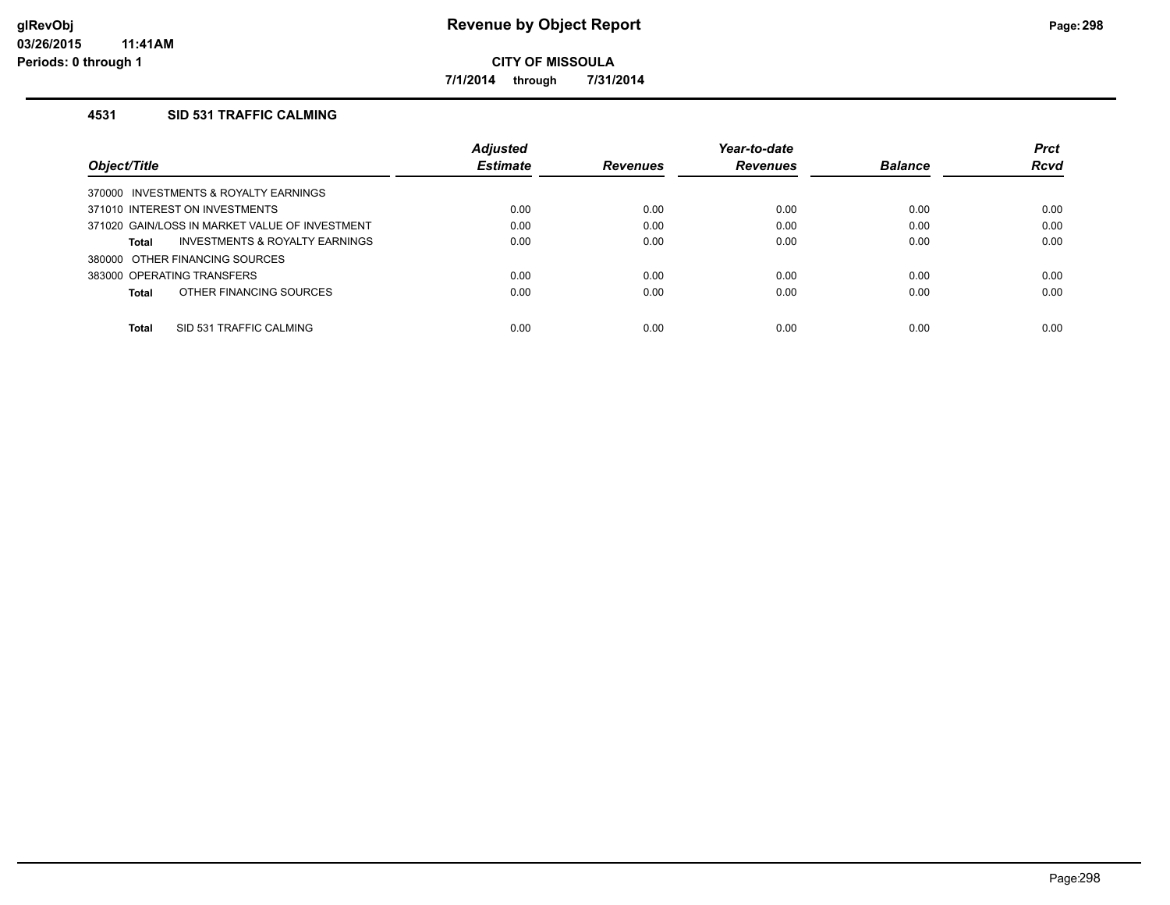**7/1/2014 through 7/31/2014**

## **4531 SID 531 TRAFFIC CALMING**

|                                                    | <b>Adjusted</b> |                 | Year-to-date    |                | <b>Prct</b> |
|----------------------------------------------------|-----------------|-----------------|-----------------|----------------|-------------|
| Object/Title                                       | <b>Estimate</b> | <b>Revenues</b> | <b>Revenues</b> | <b>Balance</b> | <b>Rcvd</b> |
| 370000 INVESTMENTS & ROYALTY EARNINGS              |                 |                 |                 |                |             |
| 371010 INTEREST ON INVESTMENTS                     | 0.00            | 0.00            | 0.00            | 0.00           | 0.00        |
| 371020 GAIN/LOSS IN MARKET VALUE OF INVESTMENT     | 0.00            | 0.00            | 0.00            | 0.00           | 0.00        |
| <b>INVESTMENTS &amp; ROYALTY EARNINGS</b><br>Total | 0.00            | 0.00            | 0.00            | 0.00           | 0.00        |
| 380000 OTHER FINANCING SOURCES                     |                 |                 |                 |                |             |
| 383000 OPERATING TRANSFERS                         | 0.00            | 0.00            | 0.00            | 0.00           | 0.00        |
| OTHER FINANCING SOURCES<br>Total                   | 0.00            | 0.00            | 0.00            | 0.00           | 0.00        |
|                                                    |                 |                 |                 |                |             |
| Total<br>SID 531 TRAFFIC CALMING                   | 0.00            | 0.00            | 0.00            | 0.00           | 0.00        |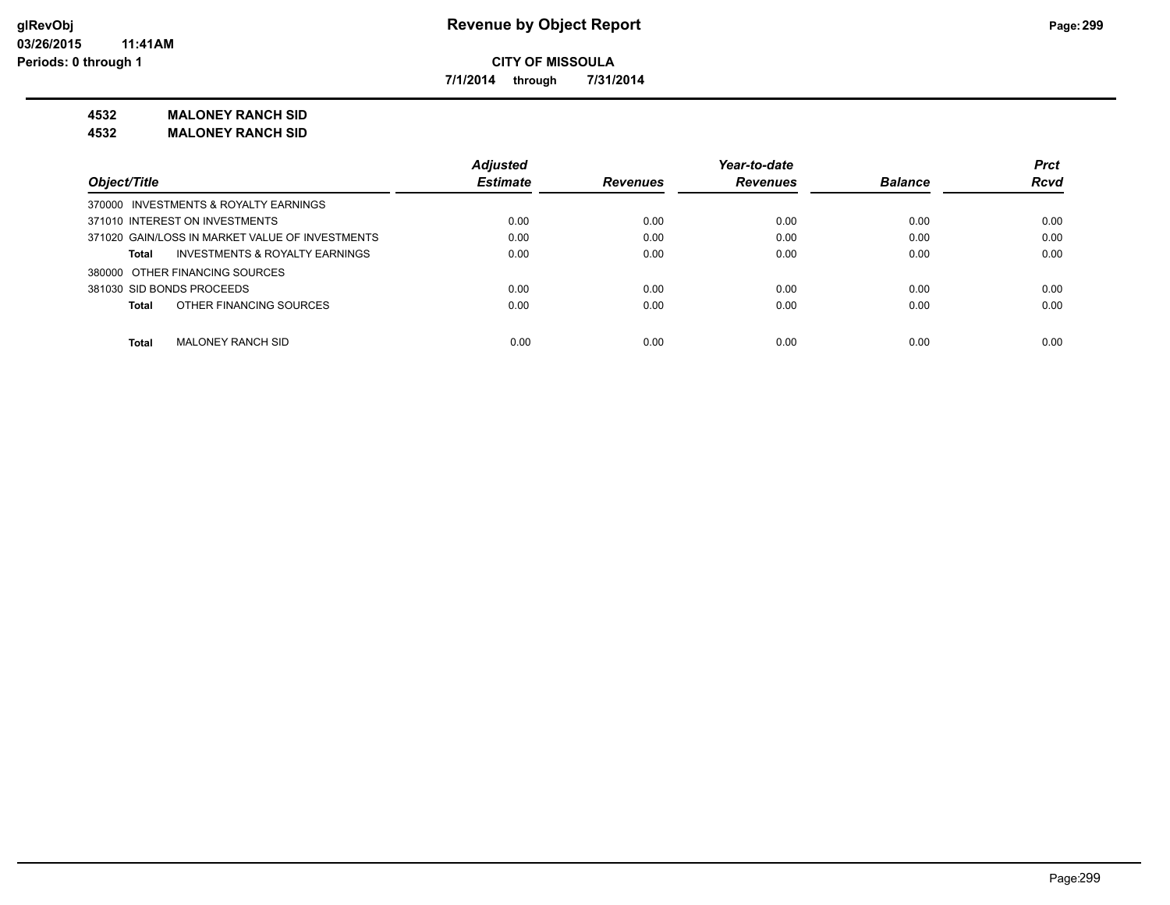**7/1/2014 through 7/31/2014**

**4532 MALONEY RANCH SID**

**4532 MALONEY RANCH SID**

|                                                 | <b>Adjusted</b> |                 | Year-to-date    |                | <b>Prct</b> |
|-------------------------------------------------|-----------------|-----------------|-----------------|----------------|-------------|
| Object/Title                                    | <b>Estimate</b> | <b>Revenues</b> | <b>Revenues</b> | <b>Balance</b> | <b>Rcvd</b> |
| 370000 INVESTMENTS & ROYALTY EARNINGS           |                 |                 |                 |                |             |
| 371010 INTEREST ON INVESTMENTS                  | 0.00            | 0.00            | 0.00            | 0.00           | 0.00        |
| 371020 GAIN/LOSS IN MARKET VALUE OF INVESTMENTS | 0.00            | 0.00            | 0.00            | 0.00           | 0.00        |
| INVESTMENTS & ROYALTY EARNINGS<br>Total         | 0.00            | 0.00            | 0.00            | 0.00           | 0.00        |
| 380000 OTHER FINANCING SOURCES                  |                 |                 |                 |                |             |
| 381030 SID BONDS PROCEEDS                       | 0.00            | 0.00            | 0.00            | 0.00           | 0.00        |
| OTHER FINANCING SOURCES<br><b>Total</b>         | 0.00            | 0.00            | 0.00            | 0.00           | 0.00        |
| <b>Total</b><br><b>MALONEY RANCH SID</b>        | 0.00            | 0.00            | 0.00            | 0.00           | 0.00        |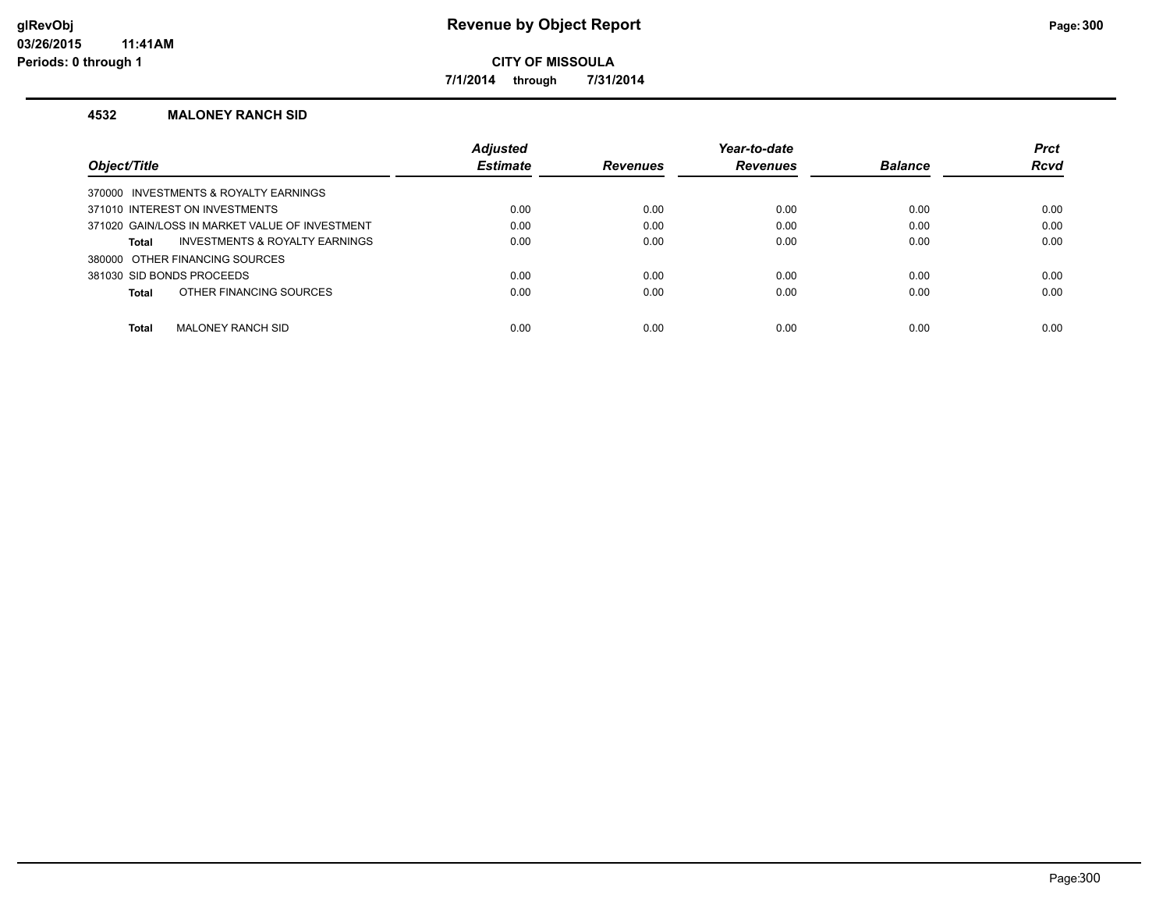**7/1/2014 through 7/31/2014**

#### **4532 MALONEY RANCH SID**

|                                                | <b>Adjusted</b> |                 | Year-to-date    |                | <b>Prct</b> |
|------------------------------------------------|-----------------|-----------------|-----------------|----------------|-------------|
| <b>Object/Title</b>                            | <b>Estimate</b> | <b>Revenues</b> | <b>Revenues</b> | <b>Balance</b> | <b>Rcvd</b> |
| 370000 INVESTMENTS & ROYALTY EARNINGS          |                 |                 |                 |                |             |
| 371010 INTEREST ON INVESTMENTS                 | 0.00            | 0.00            | 0.00            | 0.00           | 0.00        |
| 371020 GAIN/LOSS IN MARKET VALUE OF INVESTMENT | 0.00            | 0.00            | 0.00            | 0.00           | 0.00        |
| INVESTMENTS & ROYALTY EARNINGS<br>Total        | 0.00            | 0.00            | 0.00            | 0.00           | 0.00        |
| 380000 OTHER FINANCING SOURCES                 |                 |                 |                 |                |             |
| 381030 SID BONDS PROCEEDS                      | 0.00            | 0.00            | 0.00            | 0.00           | 0.00        |
| OTHER FINANCING SOURCES<br>Total               | 0.00            | 0.00            | 0.00            | 0.00           | 0.00        |
|                                                |                 |                 |                 |                |             |
| Total<br><b>MALONEY RANCH SID</b>              | 0.00            | 0.00            | 0.00            | 0.00           | 0.00        |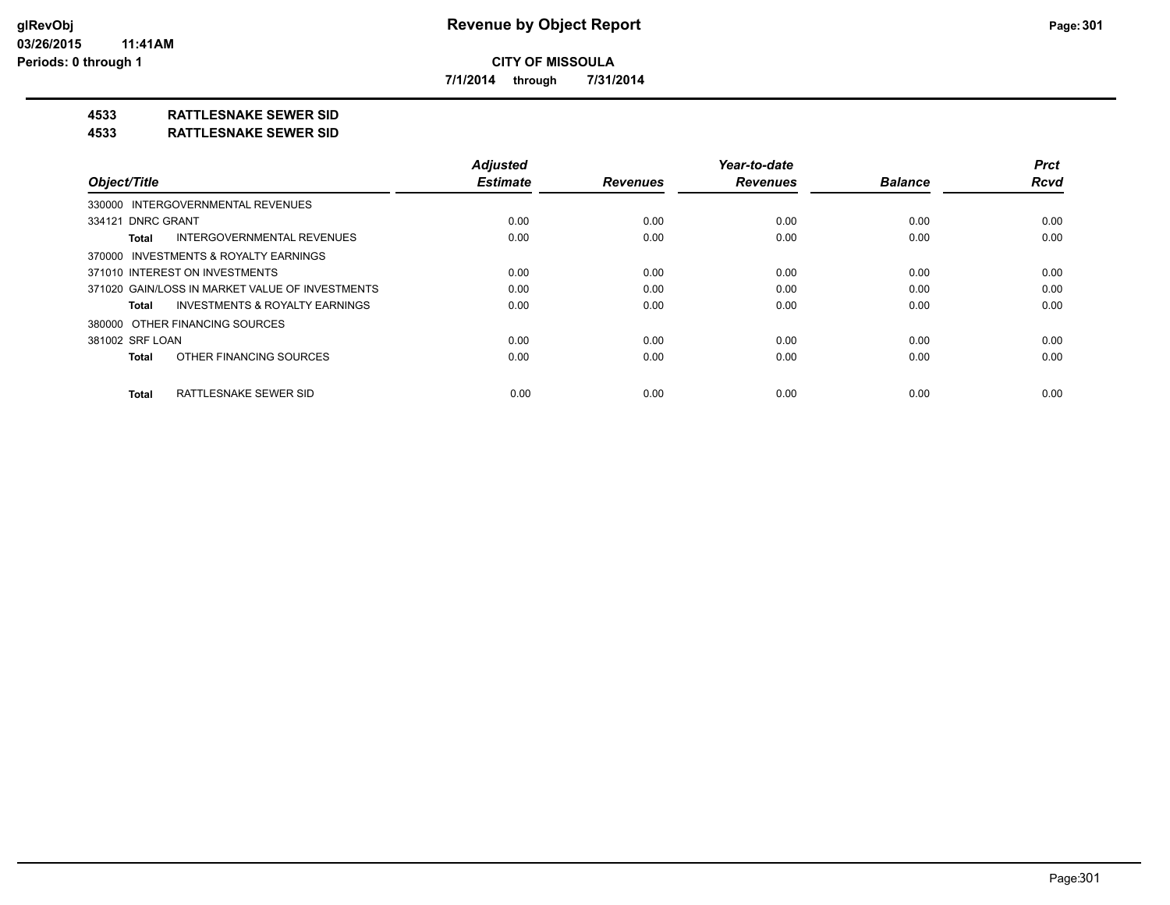**7/1/2014 through 7/31/2014**

## **4533 RATTLESNAKE SEWER SID**

#### **4533 RATTLESNAKE SEWER SID**

| Object/Title                                       | <b>Adiusted</b><br><b>Estimate</b> | <b>Revenues</b> | Year-to-date<br><b>Revenues</b> | <b>Balance</b> | <b>Prct</b><br><b>Rcvd</b> |
|----------------------------------------------------|------------------------------------|-----------------|---------------------------------|----------------|----------------------------|
| 330000 INTERGOVERNMENTAL REVENUES                  |                                    |                 |                                 |                |                            |
|                                                    |                                    |                 |                                 |                |                            |
| 334121 DNRC GRANT                                  | 0.00                               | 0.00            | 0.00                            | 0.00           | 0.00                       |
| <b>INTERGOVERNMENTAL REVENUES</b><br>Total         | 0.00                               | 0.00            | 0.00                            | 0.00           | 0.00                       |
| 370000 INVESTMENTS & ROYALTY EARNINGS              |                                    |                 |                                 |                |                            |
| 371010 INTEREST ON INVESTMENTS                     | 0.00                               | 0.00            | 0.00                            | 0.00           | 0.00                       |
| 371020 GAIN/LOSS IN MARKET VALUE OF INVESTMENTS    | 0.00                               | 0.00            | 0.00                            | 0.00           | 0.00                       |
| <b>INVESTMENTS &amp; ROYALTY EARNINGS</b><br>Total | 0.00                               | 0.00            | 0.00                            | 0.00           | 0.00                       |
| 380000 OTHER FINANCING SOURCES                     |                                    |                 |                                 |                |                            |
| 381002 SRF LOAN                                    | 0.00                               | 0.00            | 0.00                            | 0.00           | 0.00                       |
| OTHER FINANCING SOURCES<br><b>Total</b>            | 0.00                               | 0.00            | 0.00                            | 0.00           | 0.00                       |
| RATTLESNAKE SEWER SID<br><b>Total</b>              | 0.00                               | 0.00            | 0.00                            | 0.00           | 0.00                       |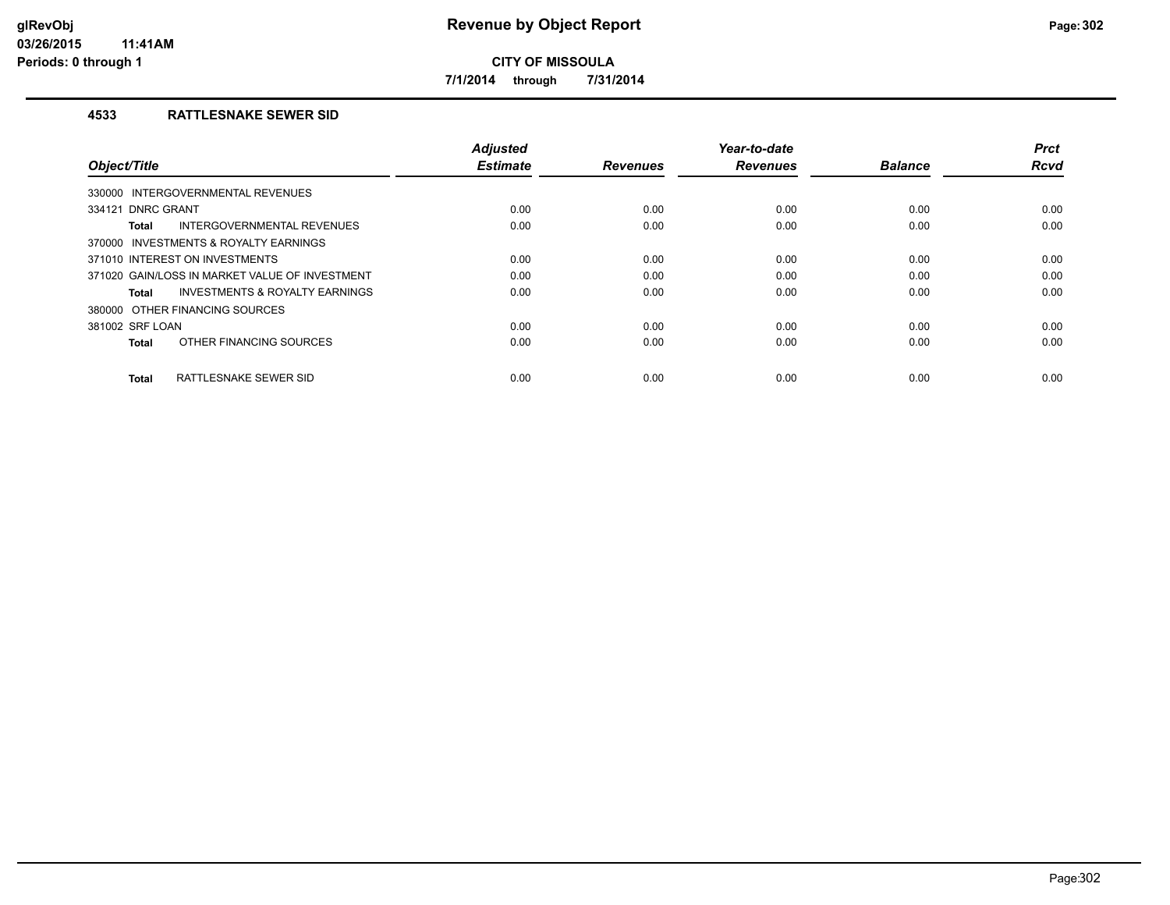**7/1/2014 through 7/31/2014**

## **4533 RATTLESNAKE SEWER SID**

| Object/Title                                   | <b>Adjusted</b><br><b>Estimate</b> | <b>Revenues</b> | Year-to-date<br><b>Revenues</b> | <b>Balance</b> | <b>Prct</b><br><b>Rcvd</b> |
|------------------------------------------------|------------------------------------|-----------------|---------------------------------|----------------|----------------------------|
| INTERGOVERNMENTAL REVENUES<br>330000           |                                    |                 |                                 |                |                            |
| 334121 DNRC GRANT                              | 0.00                               | 0.00            | 0.00                            | 0.00           | 0.00                       |
| INTERGOVERNMENTAL REVENUES<br>Total            | 0.00                               | 0.00            | 0.00                            | 0.00           | 0.00                       |
| 370000 INVESTMENTS & ROYALTY EARNINGS          |                                    |                 |                                 |                |                            |
| 371010 INTEREST ON INVESTMENTS                 | 0.00                               | 0.00            | 0.00                            | 0.00           | 0.00                       |
| 371020 GAIN/LOSS IN MARKET VALUE OF INVESTMENT | 0.00                               | 0.00            | 0.00                            | 0.00           | 0.00                       |
| INVESTMENTS & ROYALTY EARNINGS<br>Total        | 0.00                               | 0.00            | 0.00                            | 0.00           | 0.00                       |
| 380000 OTHER FINANCING SOURCES                 |                                    |                 |                                 |                |                            |
| 381002 SRF LOAN                                | 0.00                               | 0.00            | 0.00                            | 0.00           | 0.00                       |
| OTHER FINANCING SOURCES<br><b>Total</b>        | 0.00                               | 0.00            | 0.00                            | 0.00           | 0.00                       |
| RATTLESNAKE SEWER SID<br><b>Total</b>          | 0.00                               | 0.00            | 0.00                            | 0.00           | 0.00                       |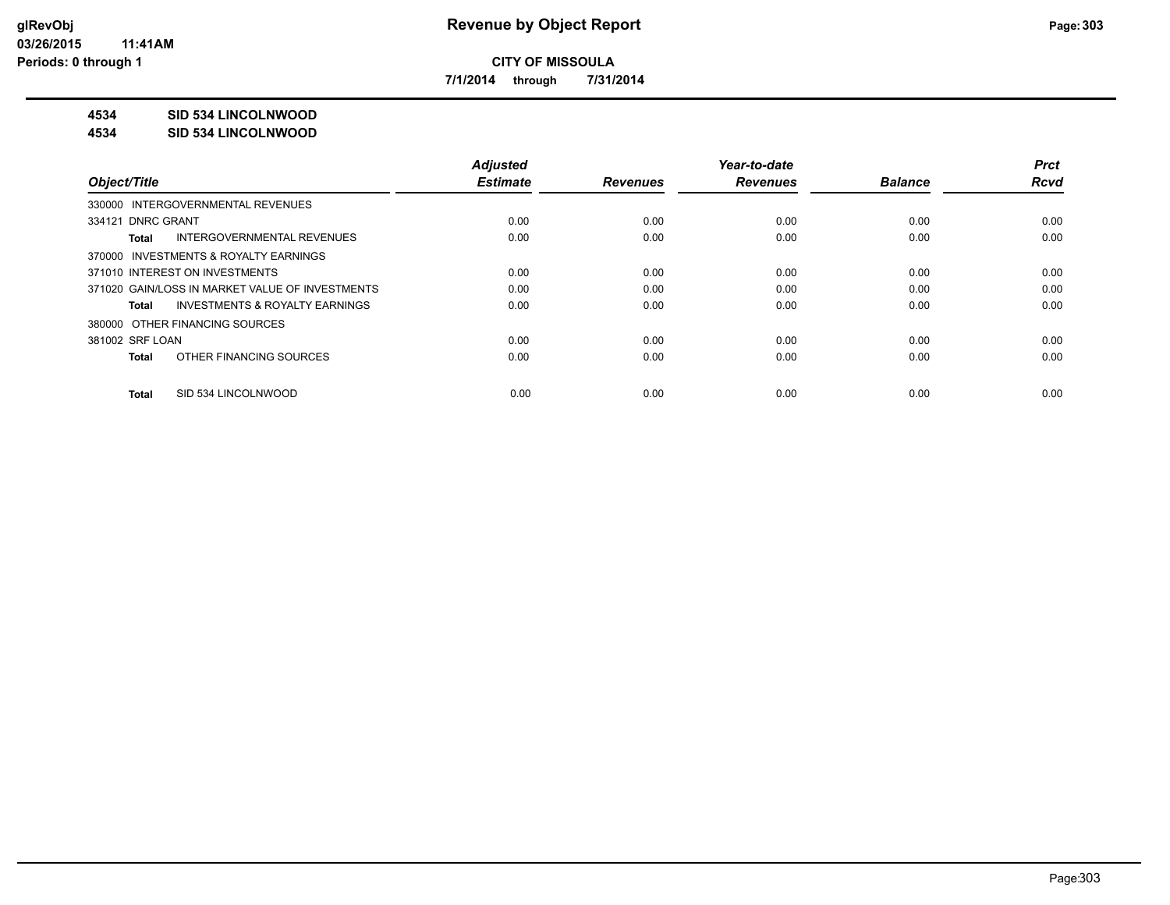**7/1/2014 through 7/31/2014**

## **4534 SID 534 LINCOLNWOOD**

#### **4534 SID 534 LINCOLNWOOD**

|                                                    | <b>Adjusted</b> |                 | Year-to-date    |                | <b>Prct</b> |
|----------------------------------------------------|-----------------|-----------------|-----------------|----------------|-------------|
| Object/Title                                       | <b>Estimate</b> | <b>Revenues</b> | <b>Revenues</b> | <b>Balance</b> | <b>Rcvd</b> |
| 330000 INTERGOVERNMENTAL REVENUES                  |                 |                 |                 |                |             |
| 334121 DNRC GRANT                                  | 0.00            | 0.00            | 0.00            | 0.00           | 0.00        |
| INTERGOVERNMENTAL REVENUES<br>Total                | 0.00            | 0.00            | 0.00            | 0.00           | 0.00        |
| 370000 INVESTMENTS & ROYALTY EARNINGS              |                 |                 |                 |                |             |
| 371010 INTEREST ON INVESTMENTS                     | 0.00            | 0.00            | 0.00            | 0.00           | 0.00        |
| 371020 GAIN/LOSS IN MARKET VALUE OF INVESTMENTS    | 0.00            | 0.00            | 0.00            | 0.00           | 0.00        |
| <b>INVESTMENTS &amp; ROYALTY EARNINGS</b><br>Total | 0.00            | 0.00            | 0.00            | 0.00           | 0.00        |
| 380000 OTHER FINANCING SOURCES                     |                 |                 |                 |                |             |
| 381002 SRF LOAN                                    | 0.00            | 0.00            | 0.00            | 0.00           | 0.00        |
| OTHER FINANCING SOURCES<br>Total                   | 0.00            | 0.00            | 0.00            | 0.00           | 0.00        |
| SID 534 LINCOLNWOOD<br>Total                       | 0.00            | 0.00            | 0.00            | 0.00           | 0.00        |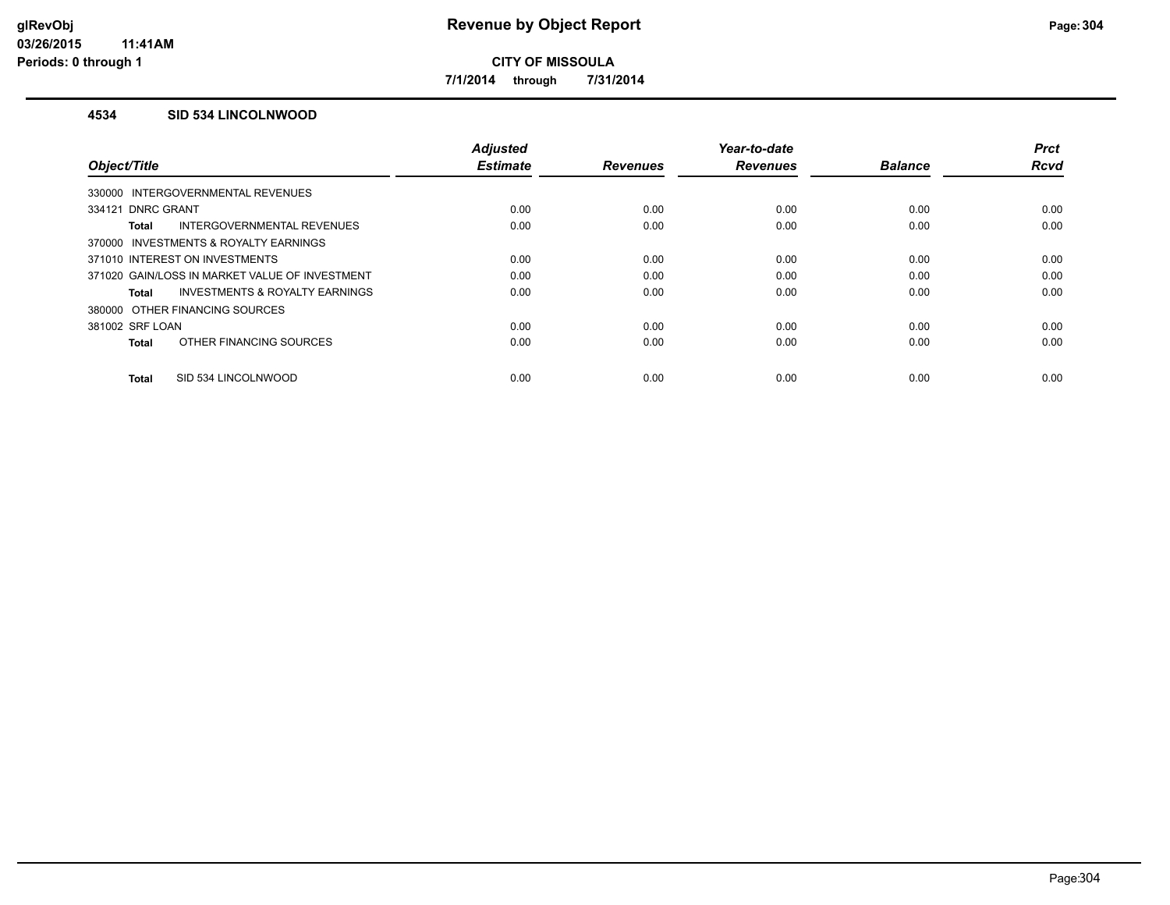**7/1/2014 through 7/31/2014**

### **4534 SID 534 LINCOLNWOOD**

| Object/Title                                   | <b>Adjusted</b><br><b>Estimate</b> | <b>Revenues</b> | Year-to-date<br><b>Revenues</b> | <b>Balance</b> | <b>Prct</b><br><b>Rcvd</b> |
|------------------------------------------------|------------------------------------|-----------------|---------------------------------|----------------|----------------------------|
|                                                |                                    |                 |                                 |                |                            |
| 330000 INTERGOVERNMENTAL REVENUES              |                                    |                 |                                 |                |                            |
| 334121 DNRC GRANT                              | 0.00                               | 0.00            | 0.00                            | 0.00           | 0.00                       |
| INTERGOVERNMENTAL REVENUES<br><b>Total</b>     | 0.00                               | 0.00            | 0.00                            | 0.00           | 0.00                       |
| 370000 INVESTMENTS & ROYALTY EARNINGS          |                                    |                 |                                 |                |                            |
| 371010 INTEREST ON INVESTMENTS                 | 0.00                               | 0.00            | 0.00                            | 0.00           | 0.00                       |
| 371020 GAIN/LOSS IN MARKET VALUE OF INVESTMENT | 0.00                               | 0.00            | 0.00                            | 0.00           | 0.00                       |
| INVESTMENTS & ROYALTY EARNINGS<br><b>Total</b> | 0.00                               | 0.00            | 0.00                            | 0.00           | 0.00                       |
| 380000 OTHER FINANCING SOURCES                 |                                    |                 |                                 |                |                            |
| 381002 SRF LOAN                                | 0.00                               | 0.00            | 0.00                            | 0.00           | 0.00                       |
| OTHER FINANCING SOURCES<br><b>Total</b>        | 0.00                               | 0.00            | 0.00                            | 0.00           | 0.00                       |
| SID 534 LINCOLNWOOD<br><b>Total</b>            | 0.00                               | 0.00            | 0.00                            | 0.00           | 0.00                       |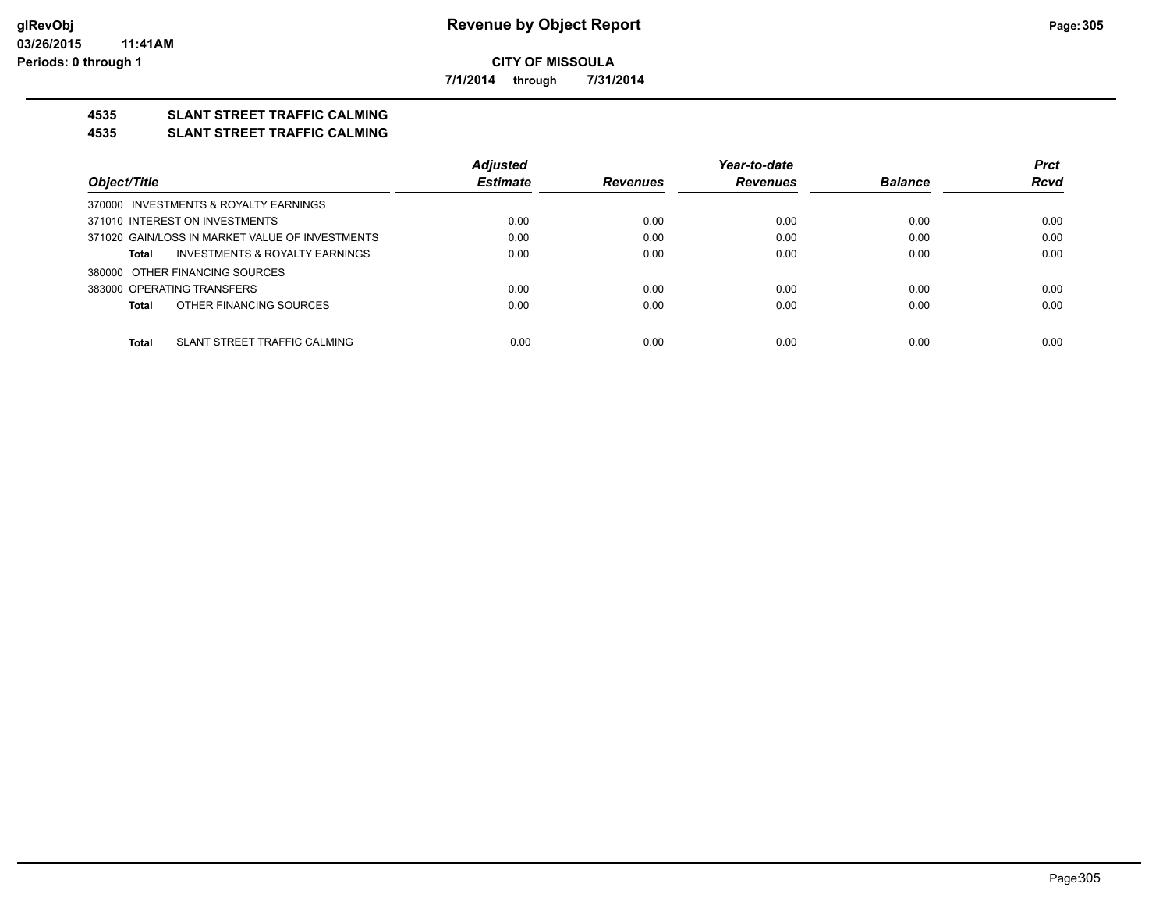**7/1/2014 through 7/31/2014**

## **4535 SLANT STREET TRAFFIC CALMING**

#### **4535 SLANT STREET TRAFFIC CALMING**

|                                                    | <b>Adjusted</b> |                 | Year-to-date    |                | <b>Prct</b> |
|----------------------------------------------------|-----------------|-----------------|-----------------|----------------|-------------|
| Object/Title                                       | <b>Estimate</b> | <b>Revenues</b> | <b>Revenues</b> | <b>Balance</b> | <b>Rcvd</b> |
| 370000 INVESTMENTS & ROYALTY EARNINGS              |                 |                 |                 |                |             |
| 371010 INTEREST ON INVESTMENTS                     | 0.00            | 0.00            | 0.00            | 0.00           | 0.00        |
| 371020 GAIN/LOSS IN MARKET VALUE OF INVESTMENTS    | 0.00            | 0.00            | 0.00            | 0.00           | 0.00        |
| <b>INVESTMENTS &amp; ROYALTY EARNINGS</b><br>Total | 0.00            | 0.00            | 0.00            | 0.00           | 0.00        |
| 380000 OTHER FINANCING SOURCES                     |                 |                 |                 |                |             |
| 383000 OPERATING TRANSFERS                         | 0.00            | 0.00            | 0.00            | 0.00           | 0.00        |
| OTHER FINANCING SOURCES<br>Total                   | 0.00            | 0.00            | 0.00            | 0.00           | 0.00        |
|                                                    |                 |                 |                 |                |             |
| SLANT STREET TRAFFIC CALMING<br><b>Total</b>       | 0.00            | 0.00            | 0.00            | 0.00           | 0.00        |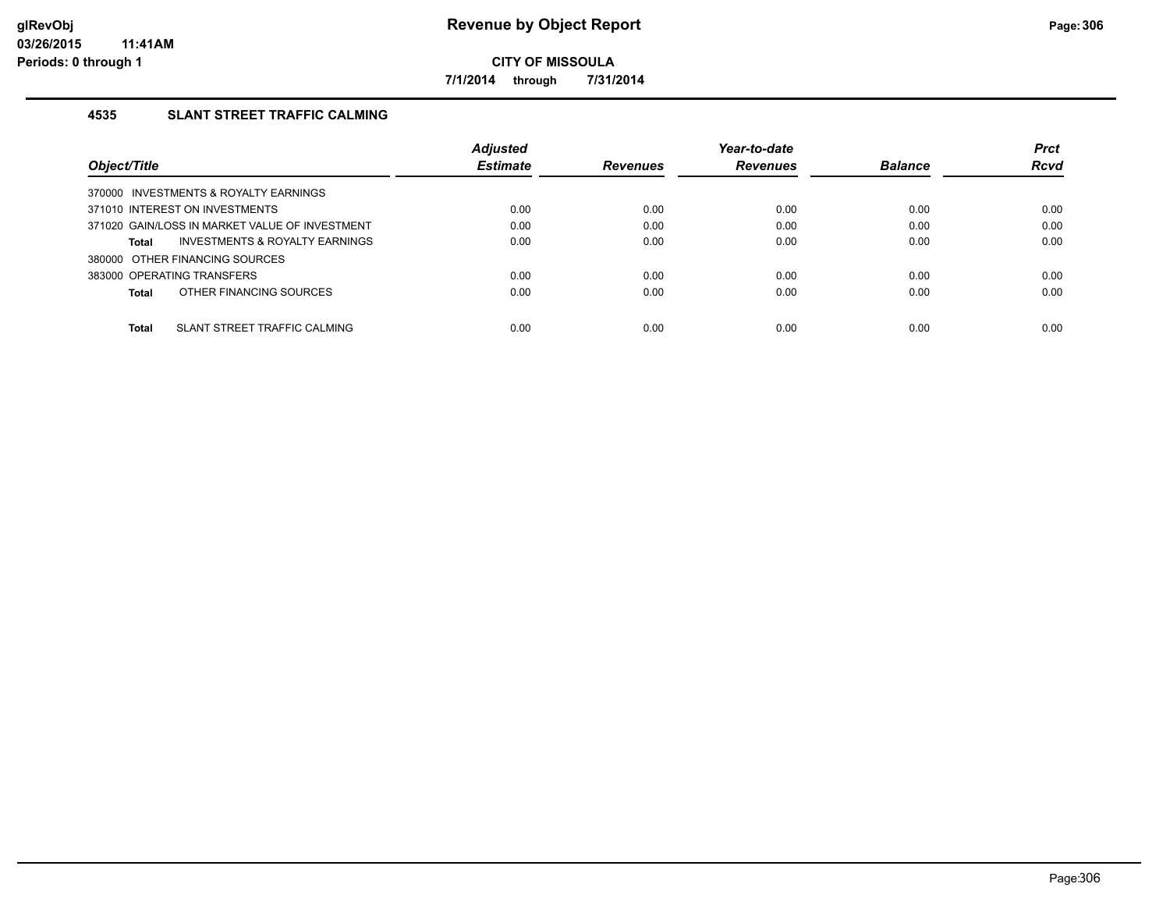**7/1/2014 through 7/31/2014**

## **4535 SLANT STREET TRAFFIC CALMING**

|                                                    | <b>Adjusted</b> |                 | Year-to-date    |                | <b>Prct</b> |
|----------------------------------------------------|-----------------|-----------------|-----------------|----------------|-------------|
| Object/Title                                       | <b>Estimate</b> | <b>Revenues</b> | <b>Revenues</b> | <b>Balance</b> | Rcvd        |
| 370000 INVESTMENTS & ROYALTY EARNINGS              |                 |                 |                 |                |             |
| 371010 INTEREST ON INVESTMENTS                     | 0.00            | 0.00            | 0.00            | 0.00           | 0.00        |
| 371020 GAIN/LOSS IN MARKET VALUE OF INVESTMENT     | 0.00            | 0.00            | 0.00            | 0.00           | 0.00        |
| <b>INVESTMENTS &amp; ROYALTY EARNINGS</b><br>Total | 0.00            | 0.00            | 0.00            | 0.00           | 0.00        |
| 380000 OTHER FINANCING SOURCES                     |                 |                 |                 |                |             |
| 383000 OPERATING TRANSFERS                         | 0.00            | 0.00            | 0.00            | 0.00           | 0.00        |
| OTHER FINANCING SOURCES<br>Total                   | 0.00            | 0.00            | 0.00            | 0.00           | 0.00        |
|                                                    |                 |                 |                 |                |             |
| <b>Total</b><br>SLANT STREET TRAFFIC CALMING       | 0.00            | 0.00            | 0.00            | 0.00           | 0.00        |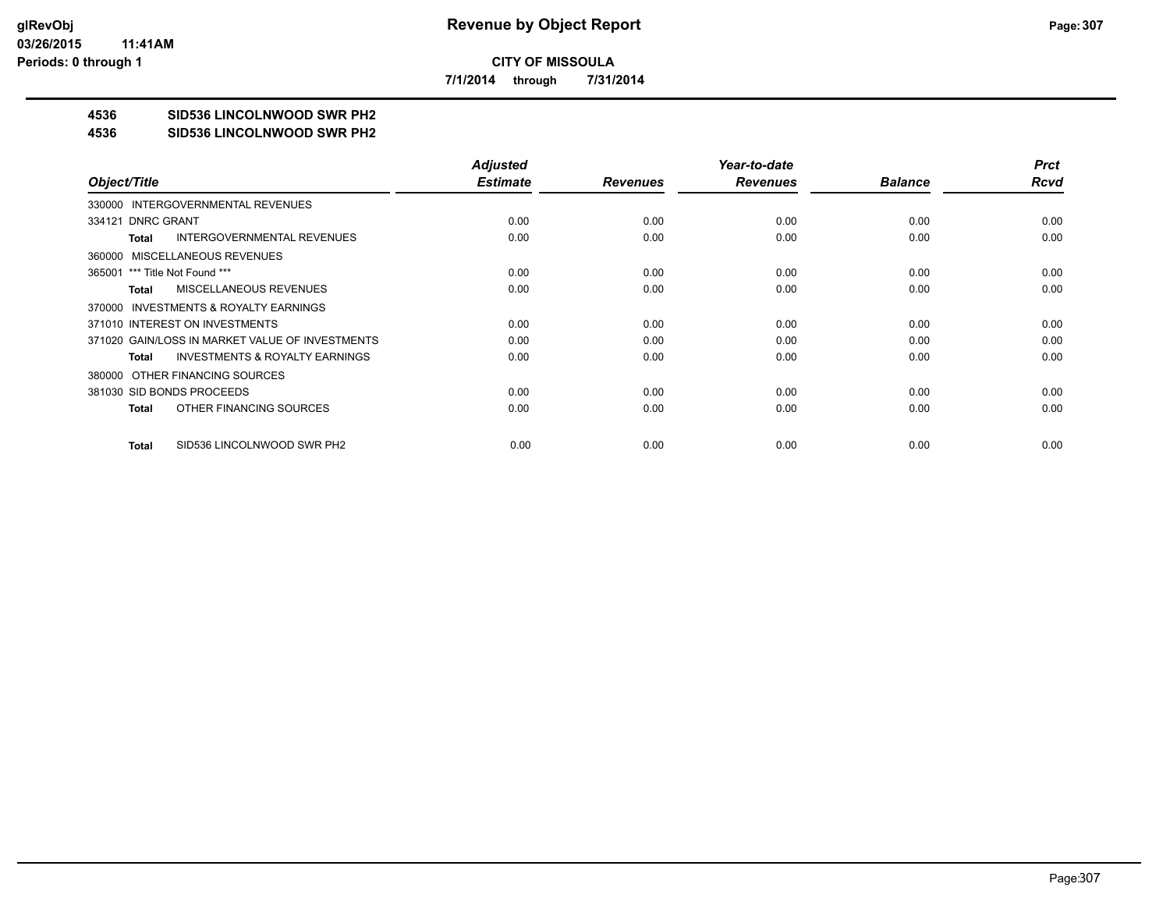**7/1/2014 through 7/31/2014**

## **4536 SID536 LINCOLNWOOD SWR PH2**

#### **4536 SID536 LINCOLNWOOD SWR PH2**

|                                                    | <b>Adjusted</b> |                 | Year-to-date    |                | <b>Prct</b> |
|----------------------------------------------------|-----------------|-----------------|-----------------|----------------|-------------|
| Object/Title                                       | <b>Estimate</b> | <b>Revenues</b> | <b>Revenues</b> | <b>Balance</b> | Rcvd        |
| 330000 INTERGOVERNMENTAL REVENUES                  |                 |                 |                 |                |             |
| 334121 DNRC GRANT                                  | 0.00            | 0.00            | 0.00            | 0.00           | 0.00        |
| <b>INTERGOVERNMENTAL REVENUES</b><br>Total         | 0.00            | 0.00            | 0.00            | 0.00           | 0.00        |
| 360000 MISCELLANEOUS REVENUES                      |                 |                 |                 |                |             |
| 365001 *** Title Not Found ***                     | 0.00            | 0.00            | 0.00            | 0.00           | 0.00        |
| <b>MISCELLANEOUS REVENUES</b><br>Total             | 0.00            | 0.00            | 0.00            | 0.00           | 0.00        |
| 370000 INVESTMENTS & ROYALTY EARNINGS              |                 |                 |                 |                |             |
| 371010 INTEREST ON INVESTMENTS                     | 0.00            | 0.00            | 0.00            | 0.00           | 0.00        |
| 371020 GAIN/LOSS IN MARKET VALUE OF INVESTMENTS    | 0.00            | 0.00            | 0.00            | 0.00           | 0.00        |
| <b>INVESTMENTS &amp; ROYALTY EARNINGS</b><br>Total | 0.00            | 0.00            | 0.00            | 0.00           | 0.00        |
| 380000 OTHER FINANCING SOURCES                     |                 |                 |                 |                |             |
| 381030 SID BONDS PROCEEDS                          | 0.00            | 0.00            | 0.00            | 0.00           | 0.00        |
| OTHER FINANCING SOURCES<br>Total                   | 0.00            | 0.00            | 0.00            | 0.00           | 0.00        |
|                                                    |                 |                 |                 |                |             |
| SID536 LINCOLNWOOD SWR PH2<br>Total                | 0.00            | 0.00            | 0.00            | 0.00           | 0.00        |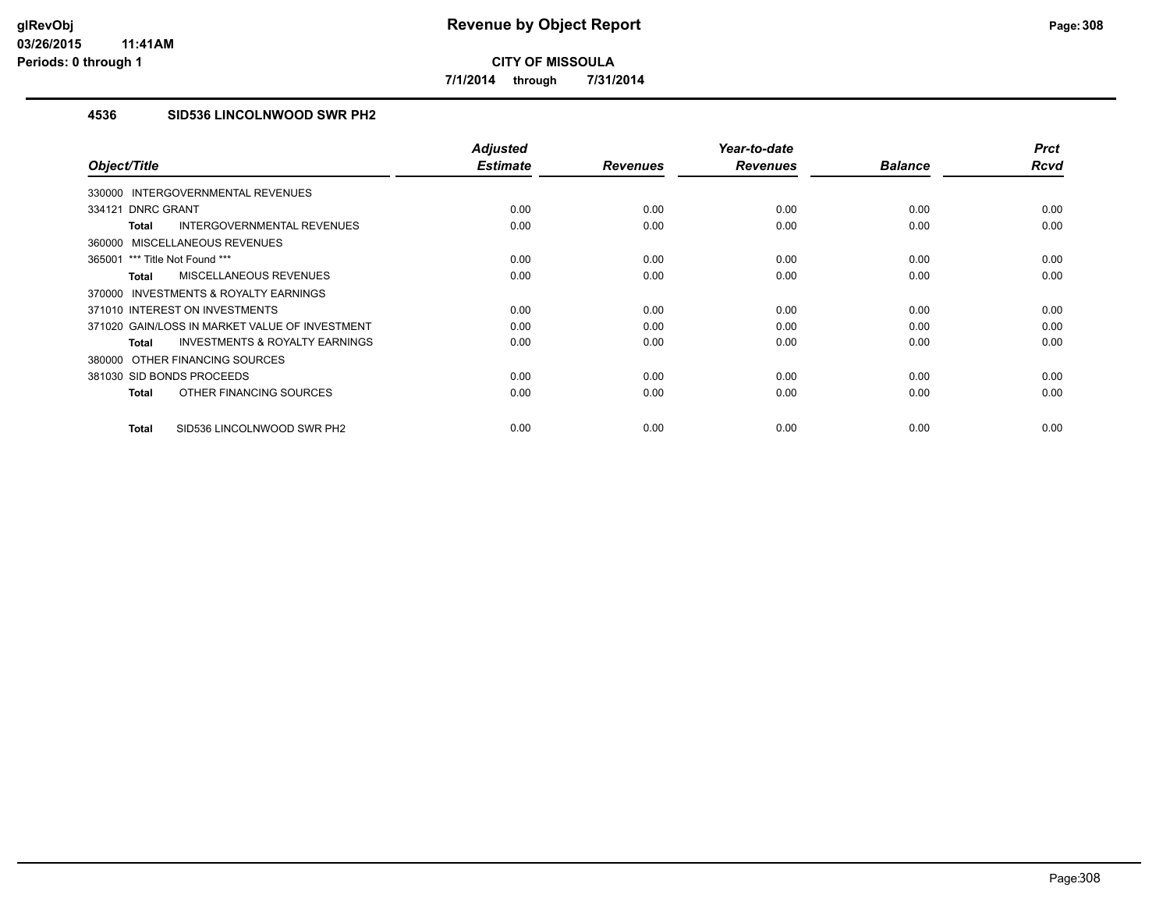**7/1/2014 through 7/31/2014**

## **4536 SID536 LINCOLNWOOD SWR PH2**

| Object/Title                                              | <b>Adjusted</b><br><b>Estimate</b> | <b>Revenues</b> | Year-to-date<br><b>Revenues</b> | <b>Balance</b> | <b>Prct</b><br><b>Rcvd</b> |
|-----------------------------------------------------------|------------------------------------|-----------------|---------------------------------|----------------|----------------------------|
|                                                           |                                    |                 |                                 |                |                            |
| 330000 INTERGOVERNMENTAL REVENUES                         |                                    |                 |                                 |                |                            |
| <b>DNRC GRANT</b><br>334121                               | 0.00                               | 0.00            | 0.00                            | 0.00           | 0.00                       |
| <b>INTERGOVERNMENTAL REVENUES</b><br><b>Total</b>         | 0.00                               | 0.00            | 0.00                            | 0.00           | 0.00                       |
| 360000 MISCELLANEOUS REVENUES                             |                                    |                 |                                 |                |                            |
| 365001 *** Title Not Found ***                            | 0.00                               | 0.00            | 0.00                            | 0.00           | 0.00                       |
| <b>MISCELLANEOUS REVENUES</b><br><b>Total</b>             | 0.00                               | 0.00            | 0.00                            | 0.00           | 0.00                       |
| 370000 INVESTMENTS & ROYALTY EARNINGS                     |                                    |                 |                                 |                |                            |
| 371010 INTEREST ON INVESTMENTS                            | 0.00                               | 0.00            | 0.00                            | 0.00           | 0.00                       |
| 371020 GAIN/LOSS IN MARKET VALUE OF INVESTMENT            | 0.00                               | 0.00            | 0.00                            | 0.00           | 0.00                       |
| <b>INVESTMENTS &amp; ROYALTY EARNINGS</b><br><b>Total</b> | 0.00                               | 0.00            | 0.00                            | 0.00           | 0.00                       |
| 380000 OTHER FINANCING SOURCES                            |                                    |                 |                                 |                |                            |
| 381030 SID BONDS PROCEEDS                                 | 0.00                               | 0.00            | 0.00                            | 0.00           | 0.00                       |
| OTHER FINANCING SOURCES<br><b>Total</b>                   | 0.00                               | 0.00            | 0.00                            | 0.00           | 0.00                       |
|                                                           |                                    |                 |                                 |                |                            |
| SID536 LINCOLNWOOD SWR PH2<br><b>Total</b>                | 0.00                               | 0.00            | 0.00                            | 0.00           | 0.00                       |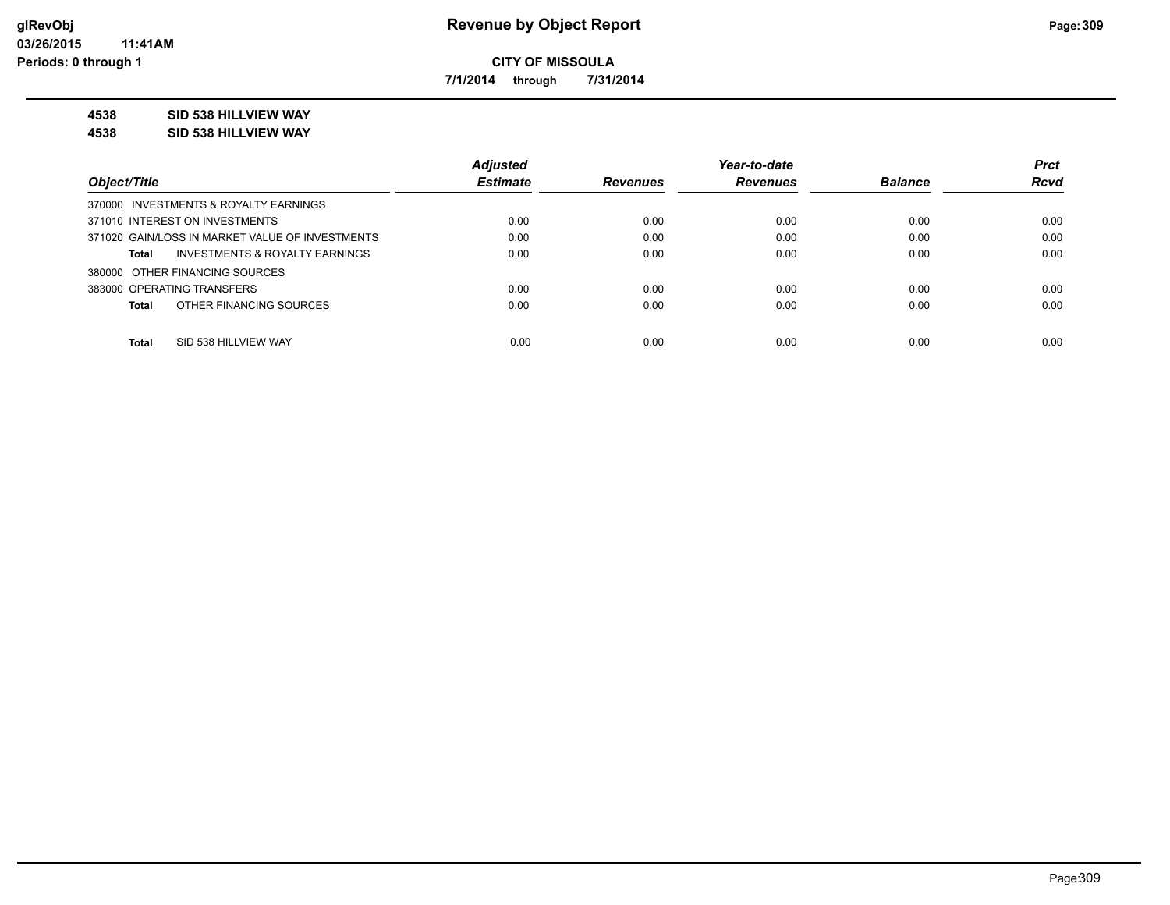**7/1/2014 through 7/31/2014**

## **4538 SID 538 HILLVIEW WAY**

**4538 SID 538 HILLVIEW WAY**

|                                                    | <b>Adjusted</b> |                 | Year-to-date    |                | <b>Prct</b> |
|----------------------------------------------------|-----------------|-----------------|-----------------|----------------|-------------|
| Object/Title                                       | <b>Estimate</b> | <b>Revenues</b> | <b>Revenues</b> | <b>Balance</b> | <b>Rcvd</b> |
| 370000 INVESTMENTS & ROYALTY EARNINGS              |                 |                 |                 |                |             |
| 371010 INTEREST ON INVESTMENTS                     | 0.00            | 0.00            | 0.00            | 0.00           | 0.00        |
| 371020 GAIN/LOSS IN MARKET VALUE OF INVESTMENTS    | 0.00            | 0.00            | 0.00            | 0.00           | 0.00        |
| <b>INVESTMENTS &amp; ROYALTY EARNINGS</b><br>Total | 0.00            | 0.00            | 0.00            | 0.00           | 0.00        |
| 380000 OTHER FINANCING SOURCES                     |                 |                 |                 |                |             |
| 383000 OPERATING TRANSFERS                         | 0.00            | 0.00            | 0.00            | 0.00           | 0.00        |
| OTHER FINANCING SOURCES<br><b>Total</b>            | 0.00            | 0.00            | 0.00            | 0.00           | 0.00        |
|                                                    |                 |                 |                 |                |             |
| <b>Total</b><br>SID 538 HILLVIEW WAY               | 0.00            | 0.00            | 0.00            | 0.00           | 0.00        |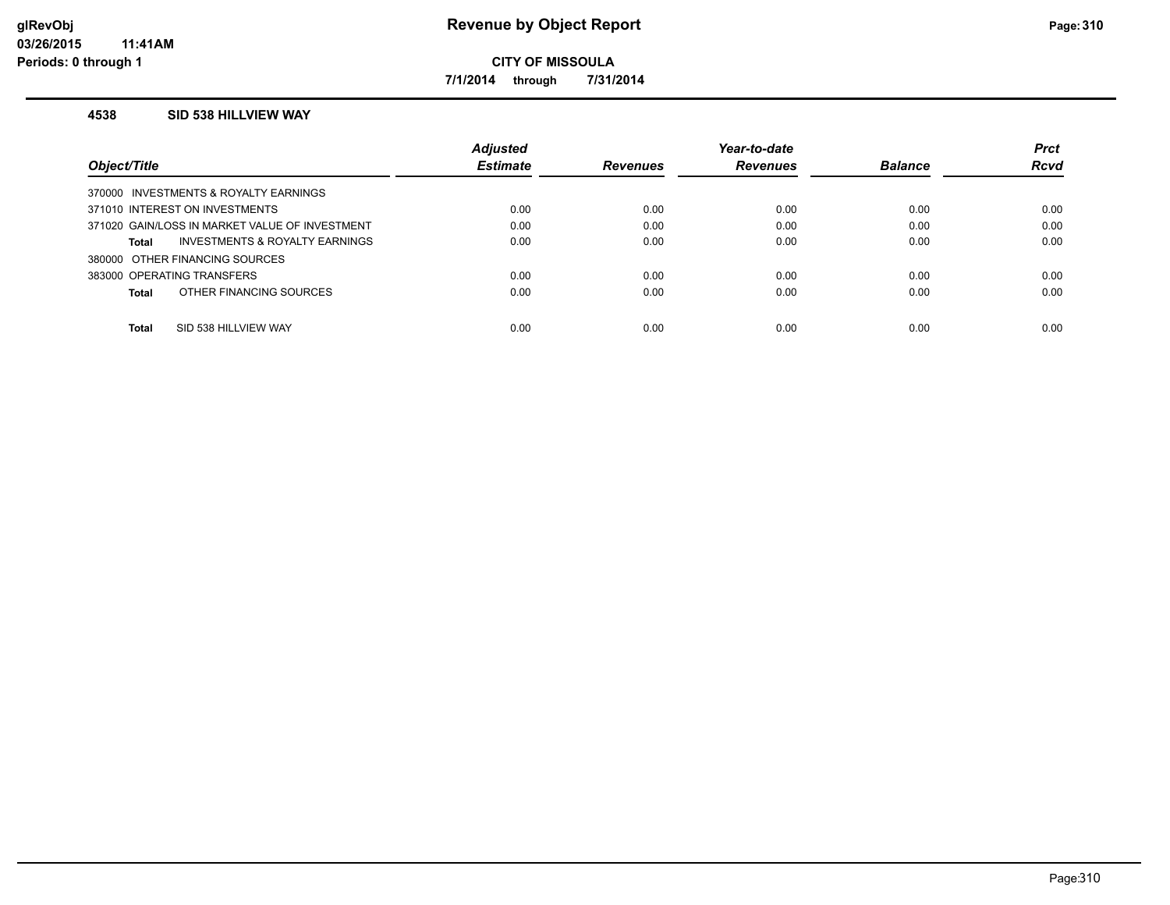**7/1/2014 through 7/31/2014**

#### **4538 SID 538 HILLVIEW WAY**

|              |                                                | <b>Adjusted</b> |                 | Year-to-date    |                | <b>Prct</b> |
|--------------|------------------------------------------------|-----------------|-----------------|-----------------|----------------|-------------|
| Object/Title |                                                | <b>Estimate</b> | <b>Revenues</b> | <b>Revenues</b> | <b>Balance</b> | <b>Rcvd</b> |
|              | 370000 INVESTMENTS & ROYALTY EARNINGS          |                 |                 |                 |                |             |
|              | 371010 INTEREST ON INVESTMENTS                 | 0.00            | 0.00            | 0.00            | 0.00           | 0.00        |
|              | 371020 GAIN/LOSS IN MARKET VALUE OF INVESTMENT | 0.00            | 0.00            | 0.00            | 0.00           | 0.00        |
| Total        | INVESTMENTS & ROYALTY EARNINGS                 | 0.00            | 0.00            | 0.00            | 0.00           | 0.00        |
|              | 380000 OTHER FINANCING SOURCES                 |                 |                 |                 |                |             |
|              | 383000 OPERATING TRANSFERS                     | 0.00            | 0.00            | 0.00            | 0.00           | 0.00        |
| Total        | OTHER FINANCING SOURCES                        | 0.00            | 0.00            | 0.00            | 0.00           | 0.00        |
| Total        | SID 538 HILLVIEW WAY                           | 0.00            | 0.00            | 0.00            | 0.00           | 0.00        |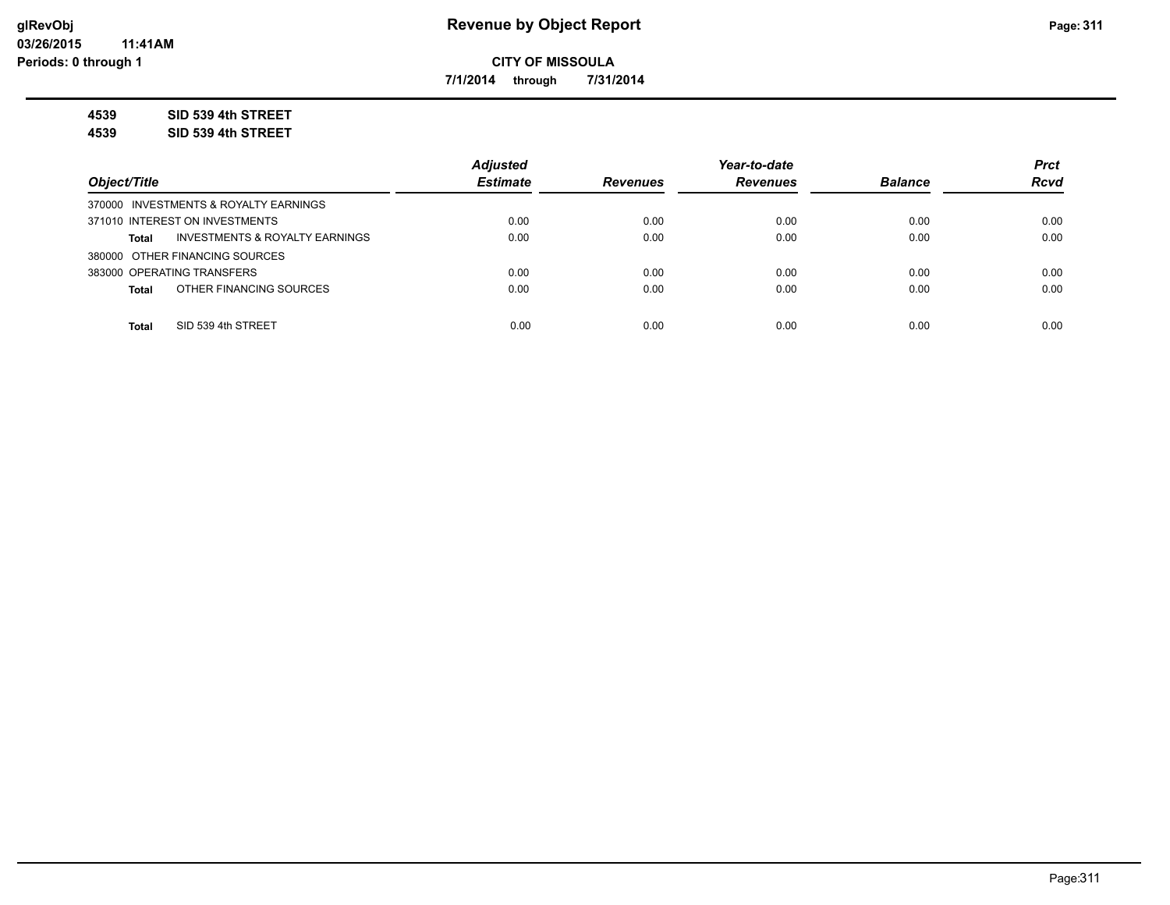**7/1/2014 through 7/31/2014**

**4539 SID 539 4th STREET**

**4539 SID 539 4th STREET**

|                                                | <b>Adiusted</b> |                 | Year-to-date    |                | <b>Prct</b> |
|------------------------------------------------|-----------------|-----------------|-----------------|----------------|-------------|
| Object/Title                                   | <b>Estimate</b> | <b>Revenues</b> | <b>Revenues</b> | <b>Balance</b> | <b>Rcvd</b> |
| 370000 INVESTMENTS & ROYALTY EARNINGS          |                 |                 |                 |                |             |
| 371010 INTEREST ON INVESTMENTS                 | 0.00            | 0.00            | 0.00            | 0.00           | 0.00        |
| INVESTMENTS & ROYALTY EARNINGS<br><b>Total</b> | 0.00            | 0.00            | 0.00            | 0.00           | 0.00        |
| 380000 OTHER FINANCING SOURCES                 |                 |                 |                 |                |             |
| 383000 OPERATING TRANSFERS                     | 0.00            | 0.00            | 0.00            | 0.00           | 0.00        |
| OTHER FINANCING SOURCES<br><b>Total</b>        | 0.00            | 0.00            | 0.00            | 0.00           | 0.00        |
|                                                |                 |                 |                 |                |             |
| SID 539 4th STREET<br><b>Total</b>             | 0.00            | 0.00            | 0.00            | 0.00           | 0.00        |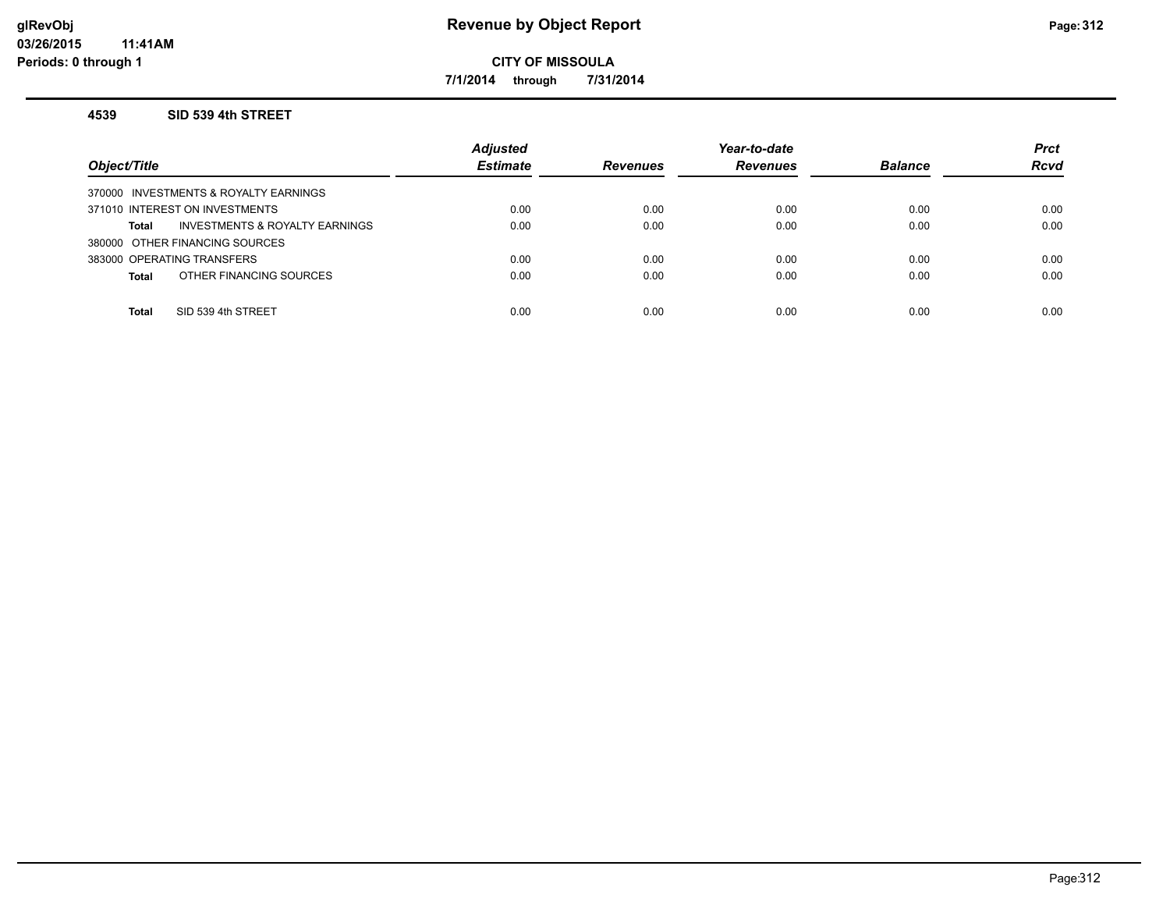**7/1/2014 through 7/31/2014**

#### **4539 SID 539 4th STREET**

| Object/Title                                   | <b>Adjusted</b><br><b>Estimate</b> | <b>Revenues</b> | Year-to-date<br><b>Revenues</b> | <b>Balance</b> | <b>Prct</b><br><b>Rcvd</b> |
|------------------------------------------------|------------------------------------|-----------------|---------------------------------|----------------|----------------------------|
| 370000 INVESTMENTS & ROYALTY EARNINGS          |                                    |                 |                                 |                |                            |
| 371010 INTEREST ON INVESTMENTS                 | 0.00                               | 0.00            | 0.00                            | 0.00           | 0.00                       |
| INVESTMENTS & ROYALTY EARNINGS<br><b>Total</b> | 0.00                               | 0.00            | 0.00                            | 0.00           | 0.00                       |
| 380000 OTHER FINANCING SOURCES                 |                                    |                 |                                 |                |                            |
| 383000 OPERATING TRANSFERS                     | 0.00                               | 0.00            | 0.00                            | 0.00           | 0.00                       |
| OTHER FINANCING SOURCES<br><b>Total</b>        | 0.00                               | 0.00            | 0.00                            | 0.00           | 0.00                       |
|                                                |                                    |                 |                                 |                |                            |
| SID 539 4th STREET<br><b>Total</b>             | 0.00                               | 0.00            | 0.00                            | 0.00           | 0.00                       |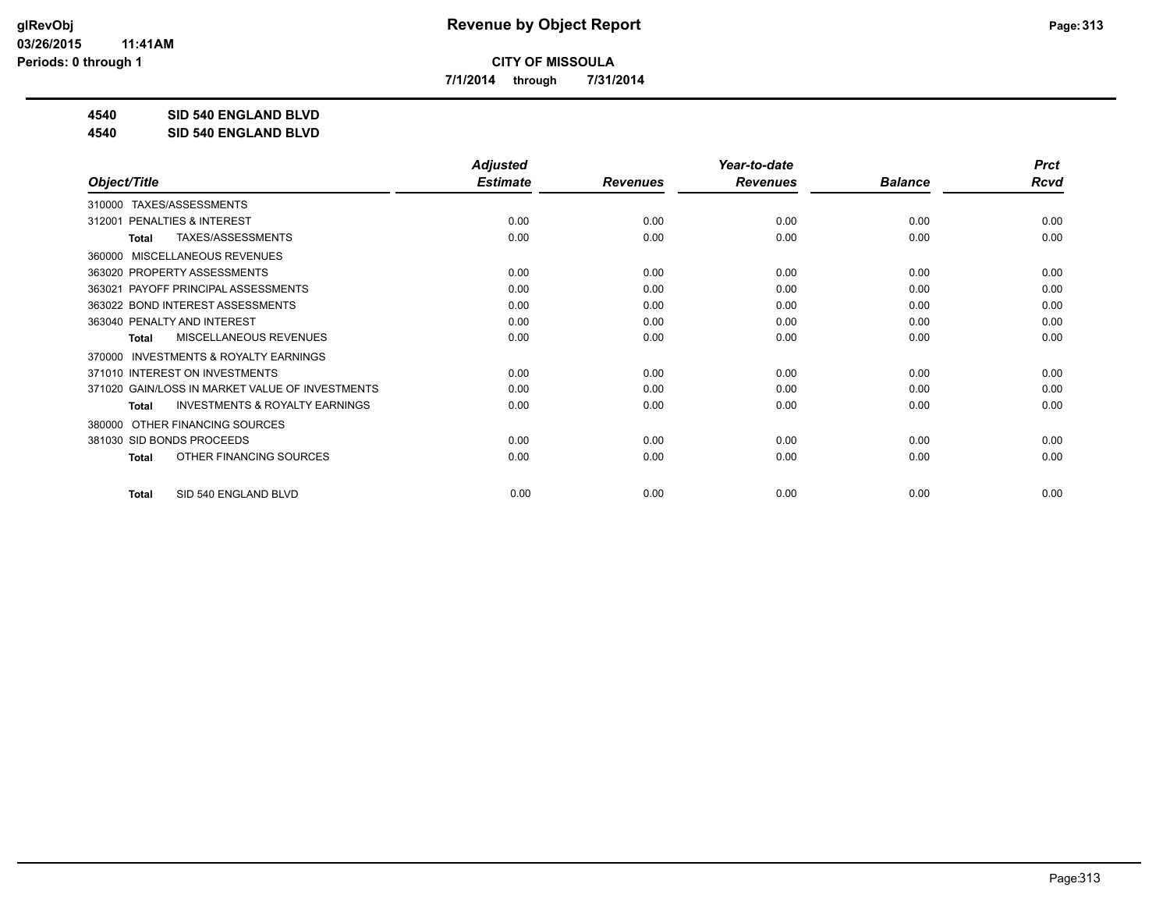**7/1/2014 through 7/31/2014**

**4540 SID 540 ENGLAND BLVD**

**4540 SID 540 ENGLAND BLVD**

|                                                           | <b>Adjusted</b> |                 | Year-to-date    |                | <b>Prct</b> |
|-----------------------------------------------------------|-----------------|-----------------|-----------------|----------------|-------------|
| Object/Title                                              | <b>Estimate</b> | <b>Revenues</b> | <b>Revenues</b> | <b>Balance</b> | <b>Rcvd</b> |
| TAXES/ASSESSMENTS<br>310000                               |                 |                 |                 |                |             |
| PENALTIES & INTEREST<br>312001                            | 0.00            | 0.00            | 0.00            | 0.00           | 0.00        |
| TAXES/ASSESSMENTS<br><b>Total</b>                         | 0.00            | 0.00            | 0.00            | 0.00           | 0.00        |
| MISCELLANEOUS REVENUES<br>360000                          |                 |                 |                 |                |             |
| 363020 PROPERTY ASSESSMENTS                               | 0.00            | 0.00            | 0.00            | 0.00           | 0.00        |
| PAYOFF PRINCIPAL ASSESSMENTS<br>363021                    | 0.00            | 0.00            | 0.00            | 0.00           | 0.00        |
| 363022 BOND INTEREST ASSESSMENTS                          | 0.00            | 0.00            | 0.00            | 0.00           | 0.00        |
| 363040 PENALTY AND INTEREST                               | 0.00            | 0.00            | 0.00            | 0.00           | 0.00        |
| MISCELLANEOUS REVENUES<br>Total                           | 0.00            | 0.00            | 0.00            | 0.00           | 0.00        |
| <b>INVESTMENTS &amp; ROYALTY EARNINGS</b><br>370000       |                 |                 |                 |                |             |
| 371010 INTEREST ON INVESTMENTS                            | 0.00            | 0.00            | 0.00            | 0.00           | 0.00        |
| 371020 GAIN/LOSS IN MARKET VALUE OF INVESTMENTS           | 0.00            | 0.00            | 0.00            | 0.00           | 0.00        |
| <b>INVESTMENTS &amp; ROYALTY EARNINGS</b><br><b>Total</b> | 0.00            | 0.00            | 0.00            | 0.00           | 0.00        |
| OTHER FINANCING SOURCES<br>380000                         |                 |                 |                 |                |             |
| 381030 SID BONDS PROCEEDS                                 | 0.00            | 0.00            | 0.00            | 0.00           | 0.00        |
| OTHER FINANCING SOURCES<br><b>Total</b>                   | 0.00            | 0.00            | 0.00            | 0.00           | 0.00        |
| SID 540 ENGLAND BLVD<br><b>Total</b>                      | 0.00            | 0.00            | 0.00            | 0.00           | 0.00        |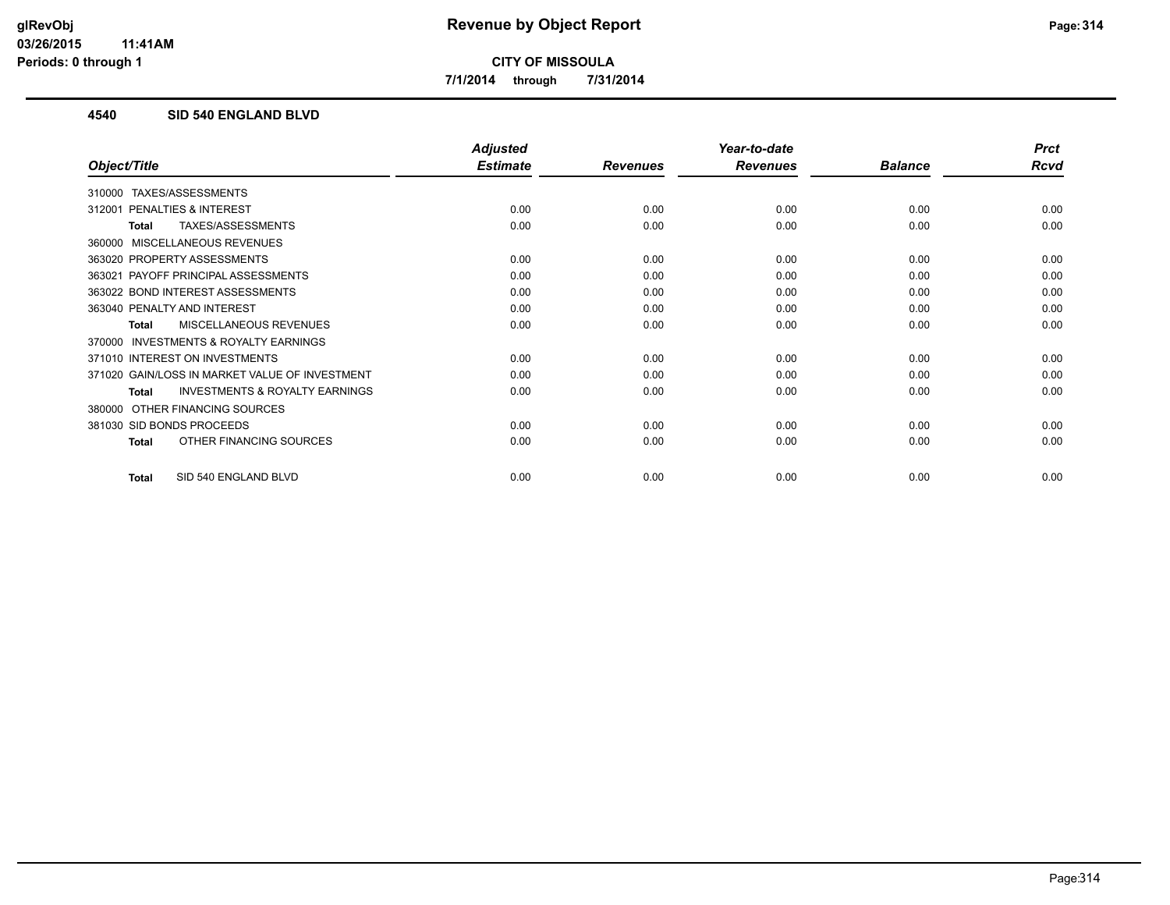**7/1/2014 through 7/31/2014**

## **4540 SID 540 ENGLAND BLVD**

|                                                     | <b>Adjusted</b> |                 | Year-to-date    |                | <b>Prct</b> |
|-----------------------------------------------------|-----------------|-----------------|-----------------|----------------|-------------|
| Object/Title                                        | <b>Estimate</b> | <b>Revenues</b> | <b>Revenues</b> | <b>Balance</b> | <b>Rcvd</b> |
| TAXES/ASSESSMENTS<br>310000                         |                 |                 |                 |                |             |
| <b>PENALTIES &amp; INTEREST</b><br>312001           | 0.00            | 0.00            | 0.00            | 0.00           | 0.00        |
| TAXES/ASSESSMENTS<br>Total                          | 0.00            | 0.00            | 0.00            | 0.00           | 0.00        |
| MISCELLANEOUS REVENUES<br>360000                    |                 |                 |                 |                |             |
| 363020 PROPERTY ASSESSMENTS                         | 0.00            | 0.00            | 0.00            | 0.00           | 0.00        |
| PAYOFF PRINCIPAL ASSESSMENTS<br>363021              | 0.00            | 0.00            | 0.00            | 0.00           | 0.00        |
| 363022 BOND INTEREST ASSESSMENTS                    | 0.00            | 0.00            | 0.00            | 0.00           | 0.00        |
| 363040 PENALTY AND INTEREST                         | 0.00            | 0.00            | 0.00            | 0.00           | 0.00        |
| <b>MISCELLANEOUS REVENUES</b><br>Total              | 0.00            | 0.00            | 0.00            | 0.00           | 0.00        |
| <b>INVESTMENTS &amp; ROYALTY EARNINGS</b><br>370000 |                 |                 |                 |                |             |
| 371010 INTEREST ON INVESTMENTS                      | 0.00            | 0.00            | 0.00            | 0.00           | 0.00        |
| 371020 GAIN/LOSS IN MARKET VALUE OF INVESTMENT      | 0.00            | 0.00            | 0.00            | 0.00           | 0.00        |
| <b>INVESTMENTS &amp; ROYALTY EARNINGS</b><br>Total  | 0.00            | 0.00            | 0.00            | 0.00           | 0.00        |
| OTHER FINANCING SOURCES<br>380000                   |                 |                 |                 |                |             |
| 381030 SID BONDS PROCEEDS                           | 0.00            | 0.00            | 0.00            | 0.00           | 0.00        |
| OTHER FINANCING SOURCES<br><b>Total</b>             | 0.00            | 0.00            | 0.00            | 0.00           | 0.00        |
| SID 540 ENGLAND BLVD<br><b>Total</b>                | 0.00            | 0.00            | 0.00            | 0.00           | 0.00        |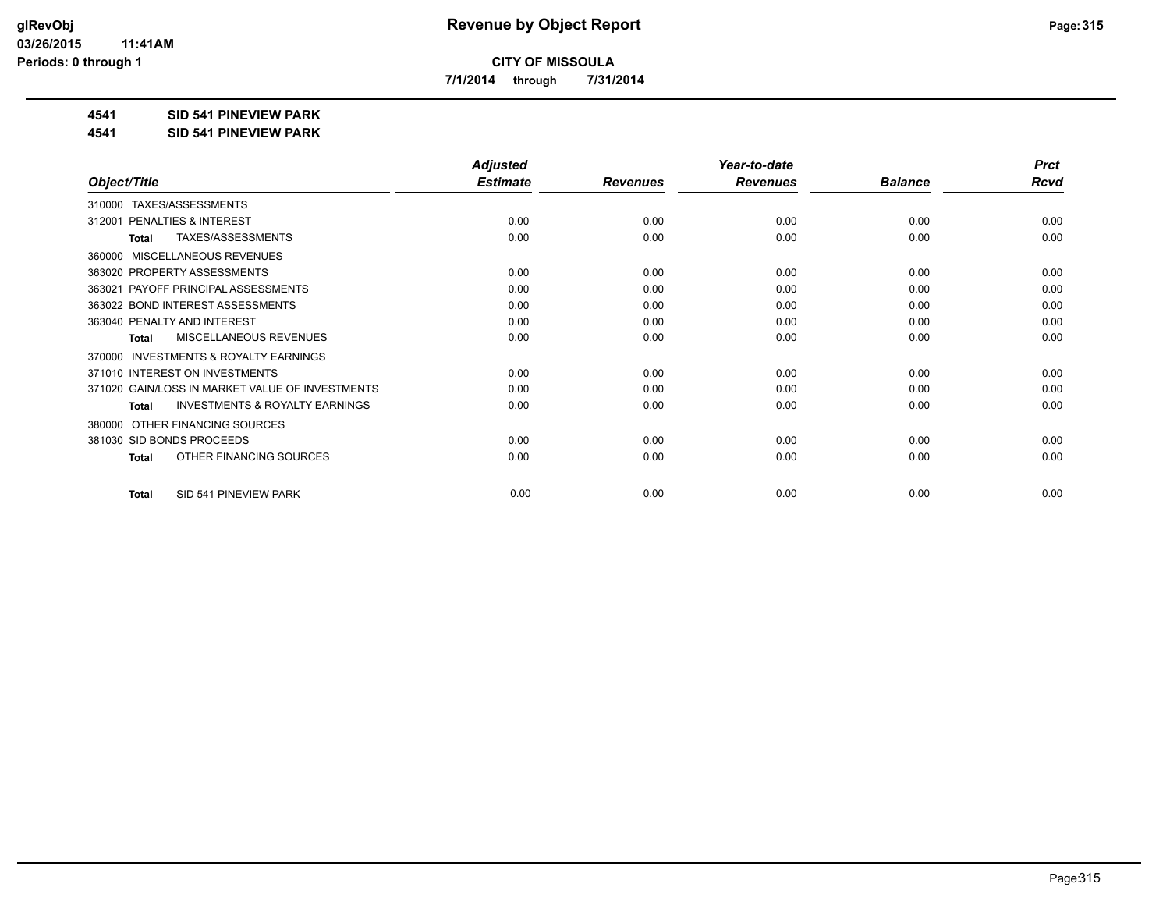**7/1/2014 through 7/31/2014**

### **4541 SID 541 PINEVIEW PARK**

**4541 SID 541 PINEVIEW PARK**

|                                                           | <b>Adjusted</b> |                 | Year-to-date    | <b>Prct</b>    |             |
|-----------------------------------------------------------|-----------------|-----------------|-----------------|----------------|-------------|
| Object/Title                                              | <b>Estimate</b> | <b>Revenues</b> | <b>Revenues</b> | <b>Balance</b> | <b>Rcvd</b> |
| TAXES/ASSESSMENTS<br>310000                               |                 |                 |                 |                |             |
| PENALTIES & INTEREST<br>312001                            | 0.00            | 0.00            | 0.00            | 0.00           | 0.00        |
| TAXES/ASSESSMENTS<br>Total                                | 0.00            | 0.00            | 0.00            | 0.00           | 0.00        |
| MISCELLANEOUS REVENUES<br>360000                          |                 |                 |                 |                |             |
| 363020 PROPERTY ASSESSMENTS                               | 0.00            | 0.00            | 0.00            | 0.00           | 0.00        |
| PAYOFF PRINCIPAL ASSESSMENTS<br>363021                    | 0.00            | 0.00            | 0.00            | 0.00           | 0.00        |
| 363022 BOND INTEREST ASSESSMENTS                          | 0.00            | 0.00            | 0.00            | 0.00           | 0.00        |
| 363040 PENALTY AND INTEREST                               | 0.00            | 0.00            | 0.00            | 0.00           | 0.00        |
| MISCELLANEOUS REVENUES<br><b>Total</b>                    | 0.00            | 0.00            | 0.00            | 0.00           | 0.00        |
| INVESTMENTS & ROYALTY EARNINGS<br>370000                  |                 |                 |                 |                |             |
| 371010 INTEREST ON INVESTMENTS                            | 0.00            | 0.00            | 0.00            | 0.00           | 0.00        |
| 371020 GAIN/LOSS IN MARKET VALUE OF INVESTMENTS           | 0.00            | 0.00            | 0.00            | 0.00           | 0.00        |
| <b>INVESTMENTS &amp; ROYALTY EARNINGS</b><br><b>Total</b> | 0.00            | 0.00            | 0.00            | 0.00           | 0.00        |
| OTHER FINANCING SOURCES<br>380000                         |                 |                 |                 |                |             |
| 381030 SID BONDS PROCEEDS                                 | 0.00            | 0.00            | 0.00            | 0.00           | 0.00        |
| OTHER FINANCING SOURCES<br><b>Total</b>                   | 0.00            | 0.00            | 0.00            | 0.00           | 0.00        |
| SID 541 PINEVIEW PARK<br><b>Total</b>                     | 0.00            | 0.00            | 0.00            | 0.00           | 0.00        |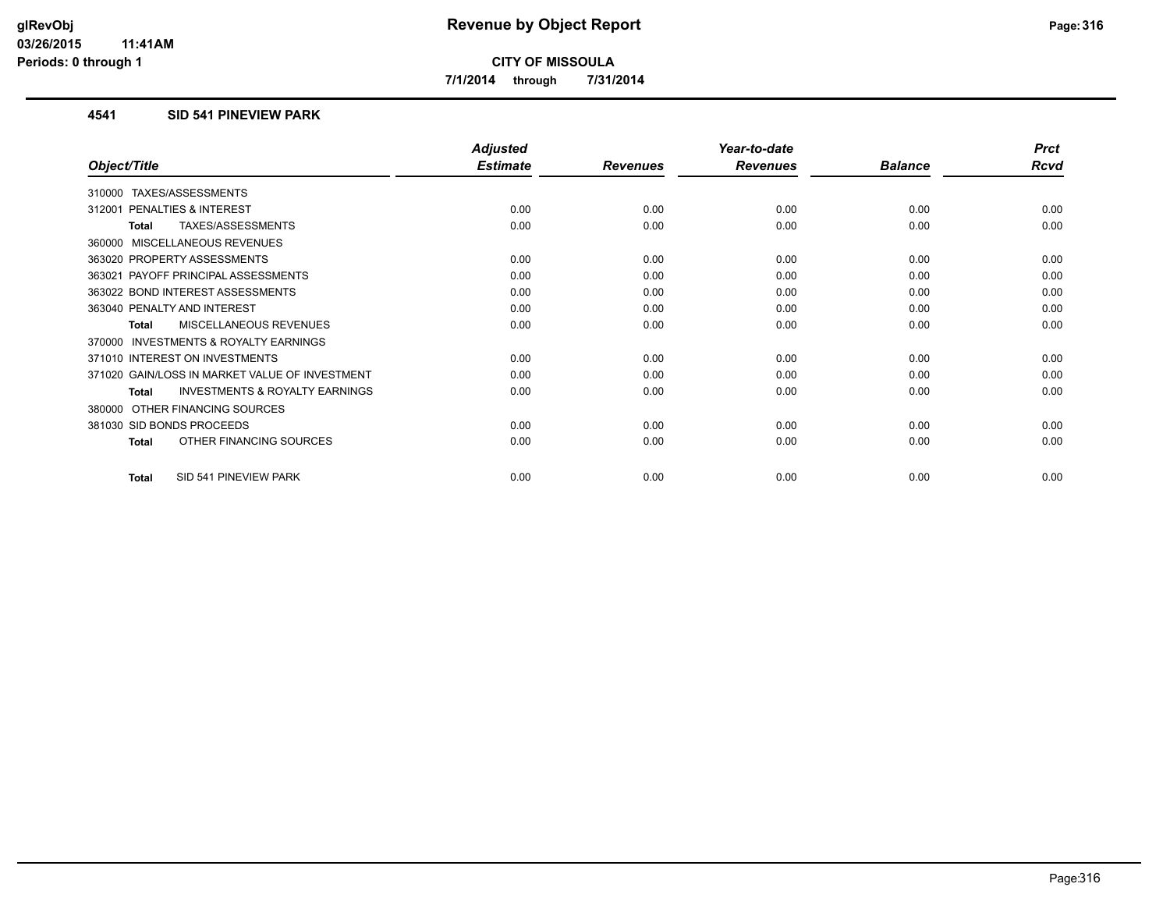**7/1/2014 through 7/31/2014**

### **4541 SID 541 PINEVIEW PARK**

|                                                     | <b>Adjusted</b> |                 | Year-to-date    |                | <b>Prct</b> |
|-----------------------------------------------------|-----------------|-----------------|-----------------|----------------|-------------|
| Object/Title                                        | <b>Estimate</b> | <b>Revenues</b> | <b>Revenues</b> | <b>Balance</b> | <b>Rcvd</b> |
| TAXES/ASSESSMENTS<br>310000                         |                 |                 |                 |                |             |
| <b>PENALTIES &amp; INTEREST</b><br>312001           | 0.00            | 0.00            | 0.00            | 0.00           | 0.00        |
| TAXES/ASSESSMENTS<br>Total                          | 0.00            | 0.00            | 0.00            | 0.00           | 0.00        |
| MISCELLANEOUS REVENUES<br>360000                    |                 |                 |                 |                |             |
| 363020 PROPERTY ASSESSMENTS                         | 0.00            | 0.00            | 0.00            | 0.00           | 0.00        |
| PAYOFF PRINCIPAL ASSESSMENTS<br>363021              | 0.00            | 0.00            | 0.00            | 0.00           | 0.00        |
| 363022 BOND INTEREST ASSESSMENTS                    | 0.00            | 0.00            | 0.00            | 0.00           | 0.00        |
| 363040 PENALTY AND INTEREST                         | 0.00            | 0.00            | 0.00            | 0.00           | 0.00        |
| <b>MISCELLANEOUS REVENUES</b><br>Total              | 0.00            | 0.00            | 0.00            | 0.00           | 0.00        |
| <b>INVESTMENTS &amp; ROYALTY EARNINGS</b><br>370000 |                 |                 |                 |                |             |
| 371010 INTEREST ON INVESTMENTS                      | 0.00            | 0.00            | 0.00            | 0.00           | 0.00        |
| 371020 GAIN/LOSS IN MARKET VALUE OF INVESTMENT      | 0.00            | 0.00            | 0.00            | 0.00           | 0.00        |
| <b>INVESTMENTS &amp; ROYALTY EARNINGS</b><br>Total  | 0.00            | 0.00            | 0.00            | 0.00           | 0.00        |
| OTHER FINANCING SOURCES<br>380000                   |                 |                 |                 |                |             |
| 381030 SID BONDS PROCEEDS                           | 0.00            | 0.00            | 0.00            | 0.00           | 0.00        |
| OTHER FINANCING SOURCES<br><b>Total</b>             | 0.00            | 0.00            | 0.00            | 0.00           | 0.00        |
| SID 541 PINEVIEW PARK<br><b>Total</b>               | 0.00            | 0.00            | 0.00            | 0.00           | 0.00        |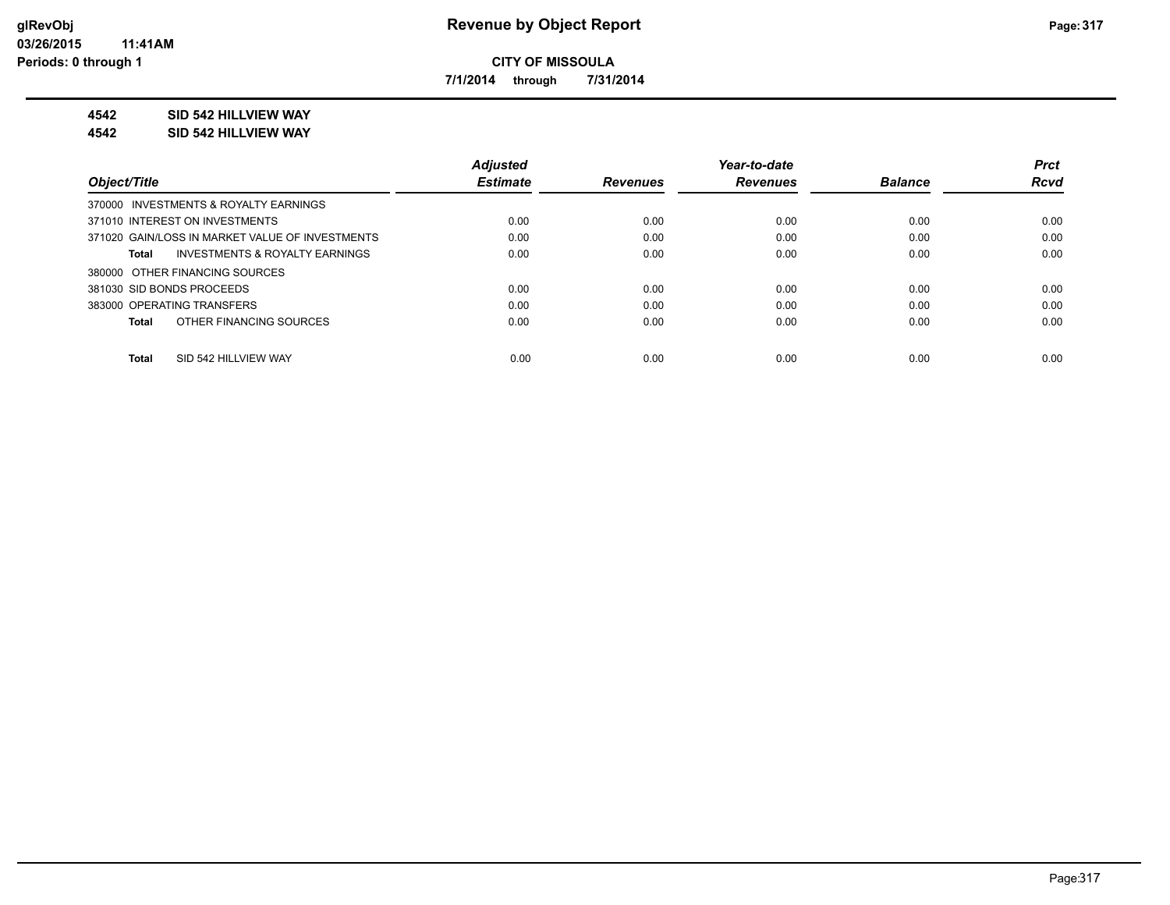**7/1/2014 through 7/31/2014**

### **4542 SID 542 HILLVIEW WAY**

#### **4542 SID 542 HILLVIEW WAY**

|                                                    | <b>Adjusted</b> |                 | Year-to-date    |                | <b>Prct</b> |
|----------------------------------------------------|-----------------|-----------------|-----------------|----------------|-------------|
| Object/Title                                       | <b>Estimate</b> | <b>Revenues</b> | <b>Revenues</b> | <b>Balance</b> | <b>Rcvd</b> |
| 370000 INVESTMENTS & ROYALTY EARNINGS              |                 |                 |                 |                |             |
| 371010 INTEREST ON INVESTMENTS                     | 0.00            | 0.00            | 0.00            | 0.00           | 0.00        |
| 371020 GAIN/LOSS IN MARKET VALUE OF INVESTMENTS    | 0.00            | 0.00            | 0.00            | 0.00           | 0.00        |
| <b>INVESTMENTS &amp; ROYALTY EARNINGS</b><br>Total | 0.00            | 0.00            | 0.00            | 0.00           | 0.00        |
| 380000 OTHER FINANCING SOURCES                     |                 |                 |                 |                |             |
| 381030 SID BONDS PROCEEDS                          | 0.00            | 0.00            | 0.00            | 0.00           | 0.00        |
| 383000 OPERATING TRANSFERS                         | 0.00            | 0.00            | 0.00            | 0.00           | 0.00        |
| OTHER FINANCING SOURCES<br>Total                   | 0.00            | 0.00            | 0.00            | 0.00           | 0.00        |
|                                                    |                 |                 |                 |                |             |
| SID 542 HILLVIEW WAY<br><b>Total</b>               | 0.00            | 0.00            | 0.00            | 0.00           | 0.00        |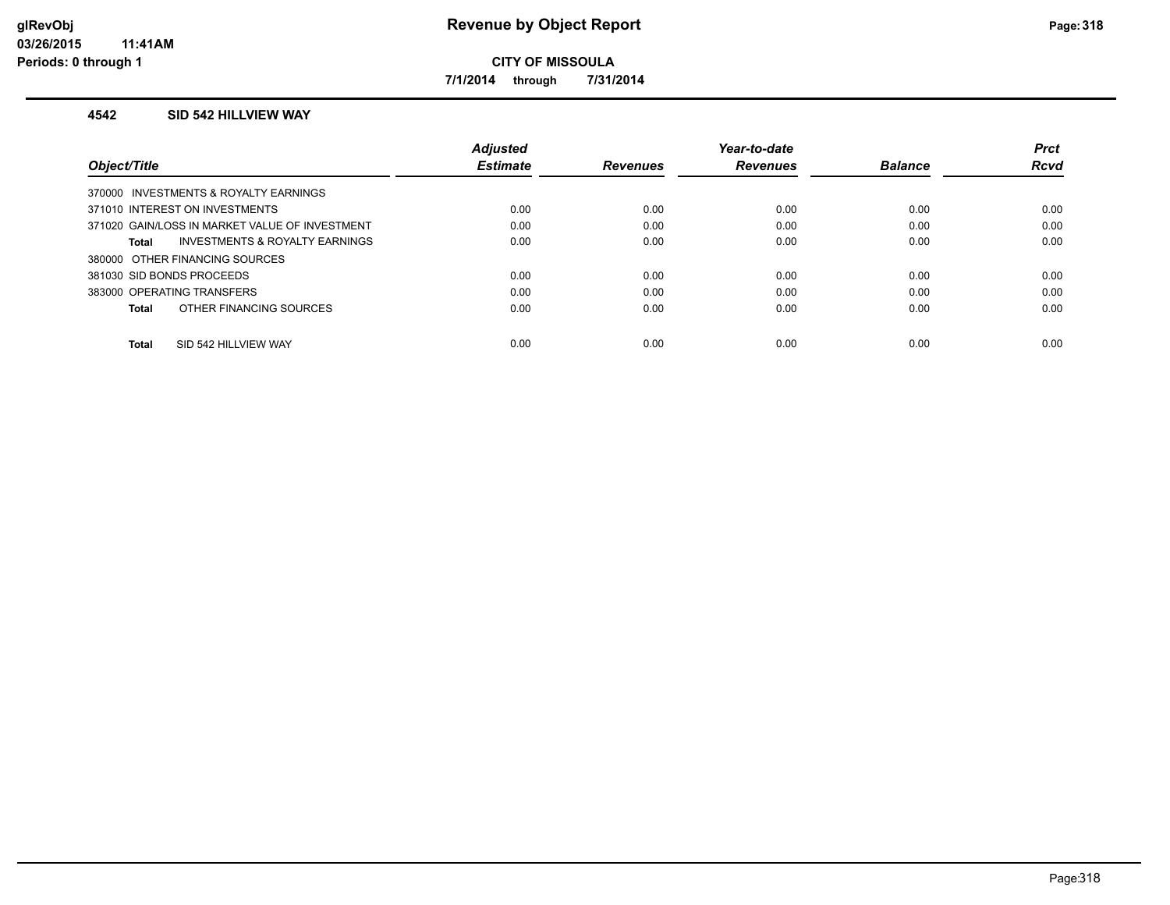**7/1/2014 through 7/31/2014**

#### **4542 SID 542 HILLVIEW WAY**

|                                                    | <b>Adjusted</b> |                 | Year-to-date    |                | <b>Prct</b> |
|----------------------------------------------------|-----------------|-----------------|-----------------|----------------|-------------|
| Object/Title                                       | <b>Estimate</b> | <b>Revenues</b> | <b>Revenues</b> | <b>Balance</b> | <b>Rcvd</b> |
| 370000 INVESTMENTS & ROYALTY EARNINGS              |                 |                 |                 |                |             |
| 371010 INTEREST ON INVESTMENTS                     | 0.00            | 0.00            | 0.00            | 0.00           | 0.00        |
| 371020 GAIN/LOSS IN MARKET VALUE OF INVESTMENT     | 0.00            | 0.00            | 0.00            | 0.00           | 0.00        |
| <b>INVESTMENTS &amp; ROYALTY EARNINGS</b><br>Total | 0.00            | 0.00            | 0.00            | 0.00           | 0.00        |
| 380000 OTHER FINANCING SOURCES                     |                 |                 |                 |                |             |
| 381030 SID BONDS PROCEEDS                          | 0.00            | 0.00            | 0.00            | 0.00           | 0.00        |
| 383000 OPERATING TRANSFERS                         | 0.00            | 0.00            | 0.00            | 0.00           | 0.00        |
| OTHER FINANCING SOURCES<br>Total                   | 0.00            | 0.00            | 0.00            | 0.00           | 0.00        |
|                                                    |                 |                 |                 |                |             |
| SID 542 HILLVIEW WAY<br><b>Total</b>               | 0.00            | 0.00            | 0.00            | 0.00           | 0.00        |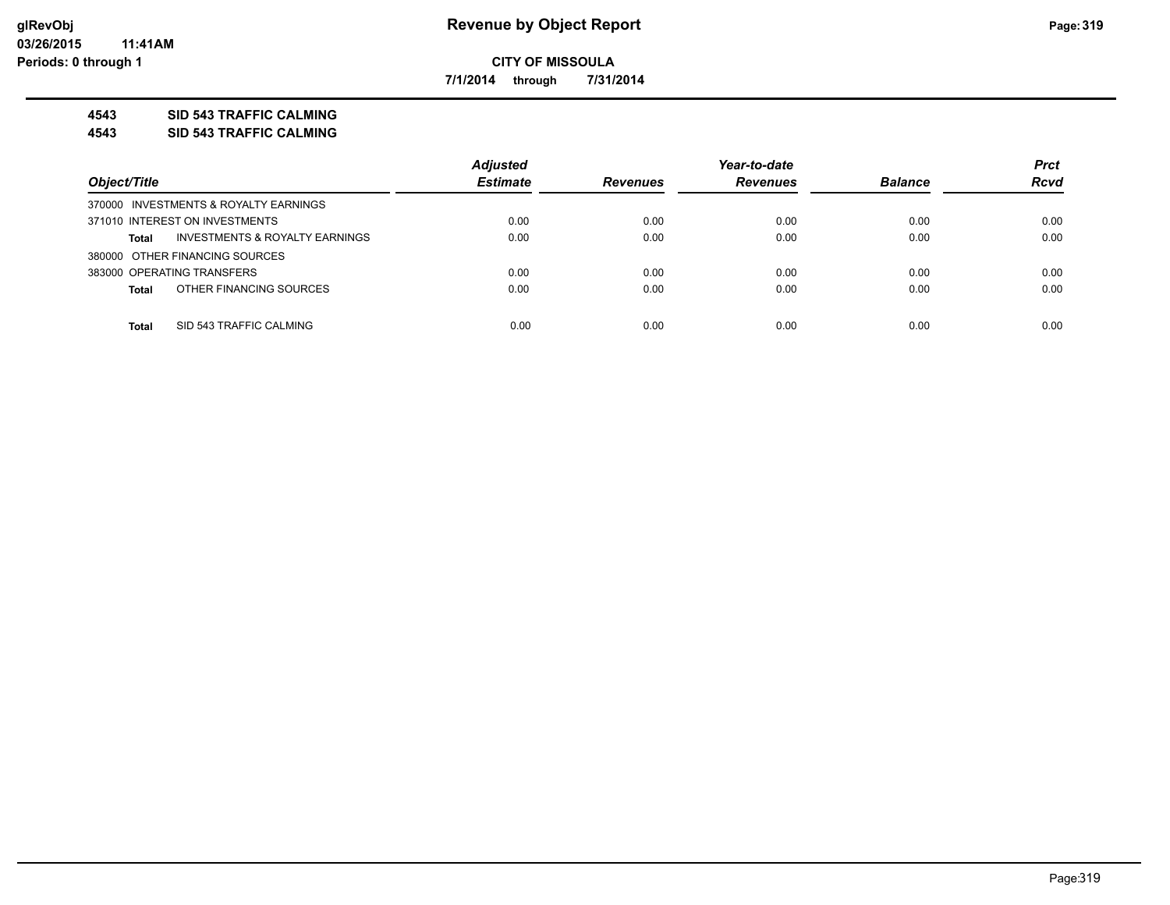**7/1/2014 through 7/31/2014**

### **4543 SID 543 TRAFFIC CALMING**

**4543 SID 543 TRAFFIC CALMING**

|                                                | <b>Adjusted</b> |                 | Year-to-date    |                | <b>Prct</b> |
|------------------------------------------------|-----------------|-----------------|-----------------|----------------|-------------|
| Object/Title                                   | <b>Estimate</b> | <b>Revenues</b> | <b>Revenues</b> | <b>Balance</b> | <b>Rcvd</b> |
| 370000 INVESTMENTS & ROYALTY EARNINGS          |                 |                 |                 |                |             |
| 371010 INTEREST ON INVESTMENTS                 | 0.00            | 0.00            | 0.00            | 0.00           | 0.00        |
| INVESTMENTS & ROYALTY EARNINGS<br><b>Total</b> | 0.00            | 0.00            | 0.00            | 0.00           | 0.00        |
| 380000 OTHER FINANCING SOURCES                 |                 |                 |                 |                |             |
| 383000 OPERATING TRANSFERS                     | 0.00            | 0.00            | 0.00            | 0.00           | 0.00        |
| OTHER FINANCING SOURCES<br><b>Total</b>        | 0.00            | 0.00            | 0.00            | 0.00           | 0.00        |
|                                                |                 |                 |                 |                |             |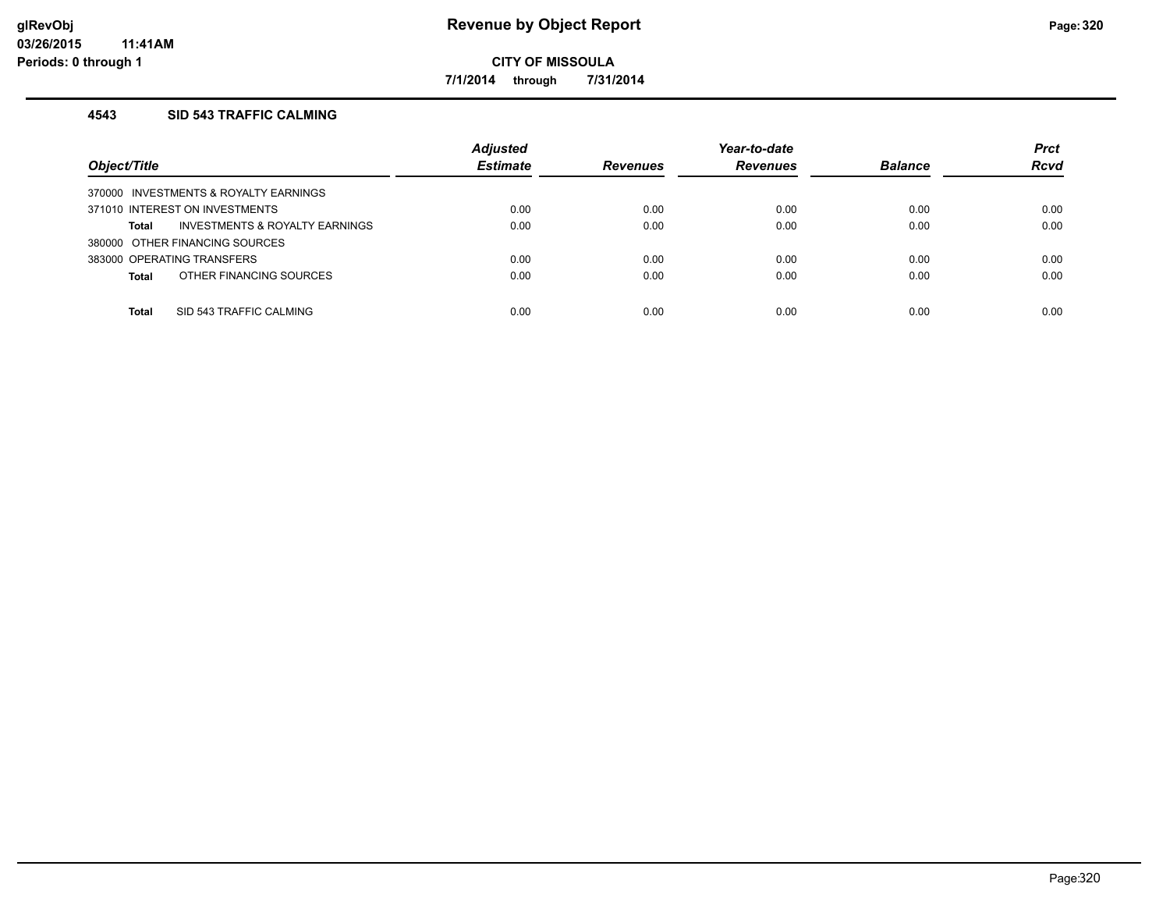**7/1/2014 through 7/31/2014**

### **4543 SID 543 TRAFFIC CALMING**

| Object/Title                            | <b>Adjusted</b><br><b>Estimate</b> | <b>Revenues</b> | Year-to-date<br><b>Revenues</b> | <b>Balance</b> | <b>Prct</b><br><b>Rcvd</b> |
|-----------------------------------------|------------------------------------|-----------------|---------------------------------|----------------|----------------------------|
| 370000 INVESTMENTS & ROYALTY EARNINGS   |                                    |                 |                                 |                |                            |
| 371010 INTEREST ON INVESTMENTS          | 0.00                               | 0.00            | 0.00                            | 0.00           | 0.00                       |
| INVESTMENTS & ROYALTY EARNINGS<br>Total | 0.00                               | 0.00            | 0.00                            | 0.00           | 0.00                       |
| 380000 OTHER FINANCING SOURCES          |                                    |                 |                                 |                |                            |
| 383000 OPERATING TRANSFERS              | 0.00                               | 0.00            | 0.00                            | 0.00           | 0.00                       |
| OTHER FINANCING SOURCES<br><b>Total</b> | 0.00                               | 0.00            | 0.00                            | 0.00           | 0.00                       |
|                                         |                                    |                 |                                 |                |                            |
| SID 543 TRAFFIC CALMING<br><b>Total</b> | 0.00                               | 0.00            | 0.00                            | 0.00           | 0.00                       |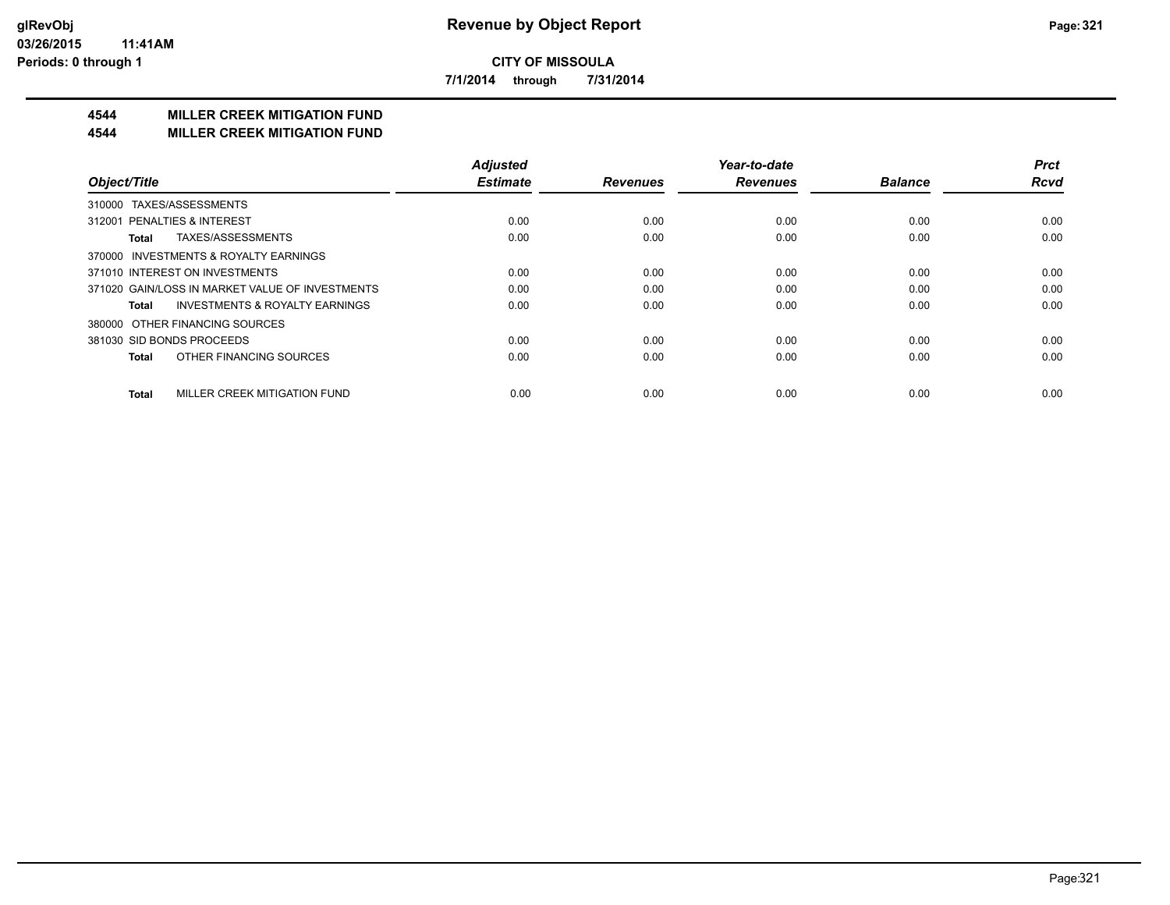**7/1/2014 through 7/31/2014**

## **4544 MILLER CREEK MITIGATION FUND**

#### **4544 MILLER CREEK MITIGATION FUND**

|                                                    | <b>Adjusted</b> |                 | Year-to-date    |                | <b>Prct</b> |
|----------------------------------------------------|-----------------|-----------------|-----------------|----------------|-------------|
| Object/Title                                       | <b>Estimate</b> | <b>Revenues</b> | <b>Revenues</b> | <b>Balance</b> | <b>Rcvd</b> |
| TAXES/ASSESSMENTS<br>310000                        |                 |                 |                 |                |             |
| 312001 PENALTIES & INTEREST                        | 0.00            | 0.00            | 0.00            | 0.00           | 0.00        |
| TAXES/ASSESSMENTS<br>Total                         | 0.00            | 0.00            | 0.00            | 0.00           | 0.00        |
| 370000 INVESTMENTS & ROYALTY EARNINGS              |                 |                 |                 |                |             |
| 371010 INTEREST ON INVESTMENTS                     | 0.00            | 0.00            | 0.00            | 0.00           | 0.00        |
| 371020 GAIN/LOSS IN MARKET VALUE OF INVESTMENTS    | 0.00            | 0.00            | 0.00            | 0.00           | 0.00        |
| <b>INVESTMENTS &amp; ROYALTY EARNINGS</b><br>Total | 0.00            | 0.00            | 0.00            | 0.00           | 0.00        |
| OTHER FINANCING SOURCES<br>380000                  |                 |                 |                 |                |             |
| 381030 SID BONDS PROCEEDS                          | 0.00            | 0.00            | 0.00            | 0.00           | 0.00        |
| OTHER FINANCING SOURCES<br><b>Total</b>            | 0.00            | 0.00            | 0.00            | 0.00           | 0.00        |
| MILLER CREEK MITIGATION FUND<br><b>Total</b>       | 0.00            | 0.00            | 0.00            | 0.00           | 0.00        |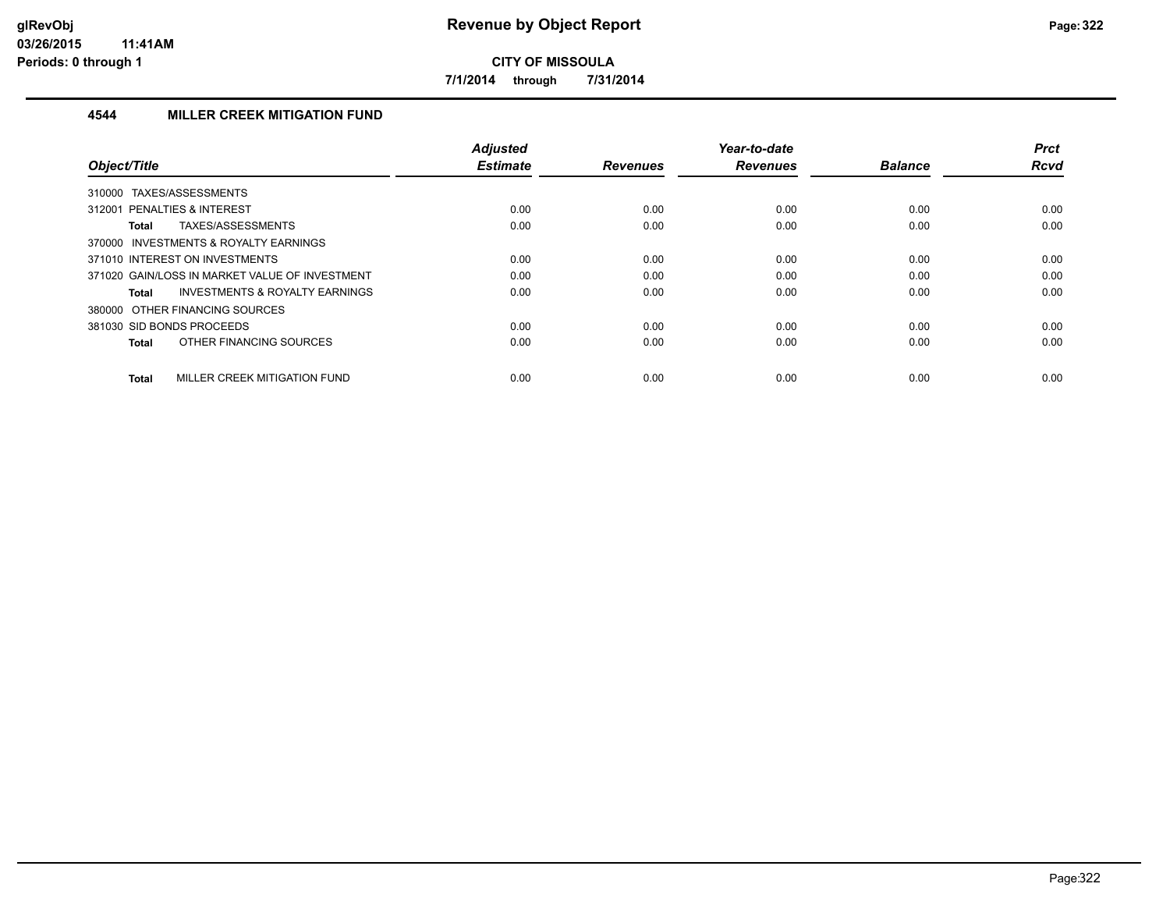**7/1/2014 through 7/31/2014**

## **4544 MILLER CREEK MITIGATION FUND**

|                                                    | <b>Adjusted</b> |                 | Year-to-date    |                | <b>Prct</b> |
|----------------------------------------------------|-----------------|-----------------|-----------------|----------------|-------------|
| Object/Title                                       | <b>Estimate</b> | <b>Revenues</b> | <b>Revenues</b> | <b>Balance</b> | <b>Rcvd</b> |
| TAXES/ASSESSMENTS<br>310000                        |                 |                 |                 |                |             |
| 312001 PENALTIES & INTEREST                        | 0.00            | 0.00            | 0.00            | 0.00           | 0.00        |
| TAXES/ASSESSMENTS<br><b>Total</b>                  | 0.00            | 0.00            | 0.00            | 0.00           | 0.00        |
| 370000 INVESTMENTS & ROYALTY EARNINGS              |                 |                 |                 |                |             |
| 371010 INTEREST ON INVESTMENTS                     | 0.00            | 0.00            | 0.00            | 0.00           | 0.00        |
| 371020 GAIN/LOSS IN MARKET VALUE OF INVESTMENT     | 0.00            | 0.00            | 0.00            | 0.00           | 0.00        |
| <b>INVESTMENTS &amp; ROYALTY EARNINGS</b><br>Total | 0.00            | 0.00            | 0.00            | 0.00           | 0.00        |
| 380000 OTHER FINANCING SOURCES                     |                 |                 |                 |                |             |
| 381030 SID BONDS PROCEEDS                          | 0.00            | 0.00            | 0.00            | 0.00           | 0.00        |
| OTHER FINANCING SOURCES<br><b>Total</b>            | 0.00            | 0.00            | 0.00            | 0.00           | 0.00        |
|                                                    |                 |                 |                 |                |             |
| MILLER CREEK MITIGATION FUND<br><b>Total</b>       | 0.00            | 0.00            | 0.00            | 0.00           | 0.00        |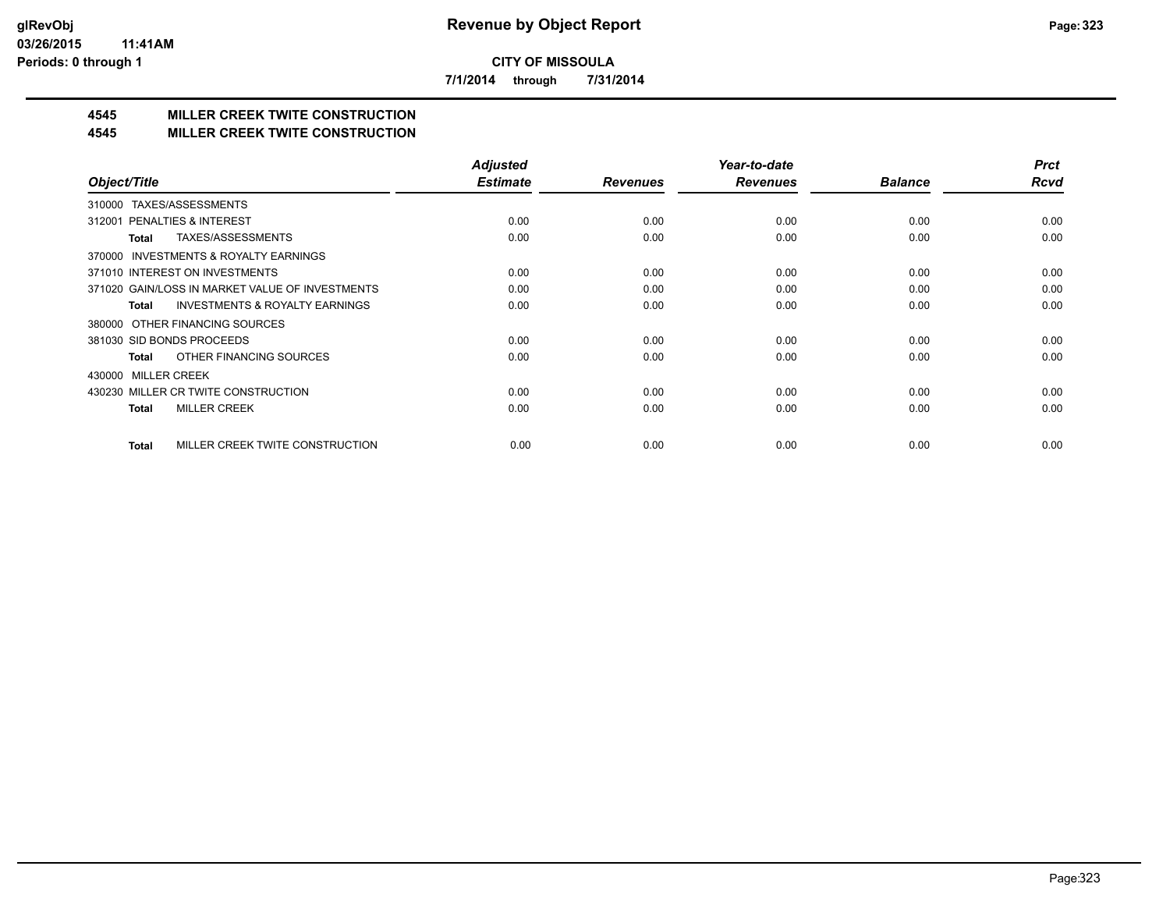**7/1/2014 through 7/31/2014**

# **4545 MILLER CREEK TWITE CONSTRUCTION**

#### **4545 MILLER CREEK TWITE CONSTRUCTION**

|                                                     | <b>Adjusted</b> |                 | Year-to-date    |                | <b>Prct</b> |
|-----------------------------------------------------|-----------------|-----------------|-----------------|----------------|-------------|
| Object/Title                                        | <b>Estimate</b> | <b>Revenues</b> | <b>Revenues</b> | <b>Balance</b> | <b>Rcvd</b> |
| TAXES/ASSESSMENTS<br>310000                         |                 |                 |                 |                |             |
| 312001 PENALTIES & INTEREST                         | 0.00            | 0.00            | 0.00            | 0.00           | 0.00        |
| TAXES/ASSESSMENTS<br>Total                          | 0.00            | 0.00            | 0.00            | 0.00           | 0.00        |
| <b>INVESTMENTS &amp; ROYALTY EARNINGS</b><br>370000 |                 |                 |                 |                |             |
| 371010 INTEREST ON INVESTMENTS                      | 0.00            | 0.00            | 0.00            | 0.00           | 0.00        |
| 371020 GAIN/LOSS IN MARKET VALUE OF INVESTMENTS     | 0.00            | 0.00            | 0.00            | 0.00           | 0.00        |
| <b>INVESTMENTS &amp; ROYALTY EARNINGS</b><br>Total  | 0.00            | 0.00            | 0.00            | 0.00           | 0.00        |
| 380000 OTHER FINANCING SOURCES                      |                 |                 |                 |                |             |
| 381030 SID BONDS PROCEEDS                           | 0.00            | 0.00            | 0.00            | 0.00           | 0.00        |
| OTHER FINANCING SOURCES<br>Total                    | 0.00            | 0.00            | 0.00            | 0.00           | 0.00        |
| <b>MILLER CREEK</b><br>430000                       |                 |                 |                 |                |             |
| 430230 MILLER CR TWITE CONSTRUCTION                 | 0.00            | 0.00            | 0.00            | 0.00           | 0.00        |
| <b>MILLER CREEK</b><br>Total                        | 0.00            | 0.00            | 0.00            | 0.00           | 0.00        |
|                                                     |                 |                 |                 |                |             |
| MILLER CREEK TWITE CONSTRUCTION<br><b>Total</b>     | 0.00            | 0.00            | 0.00            | 0.00           | 0.00        |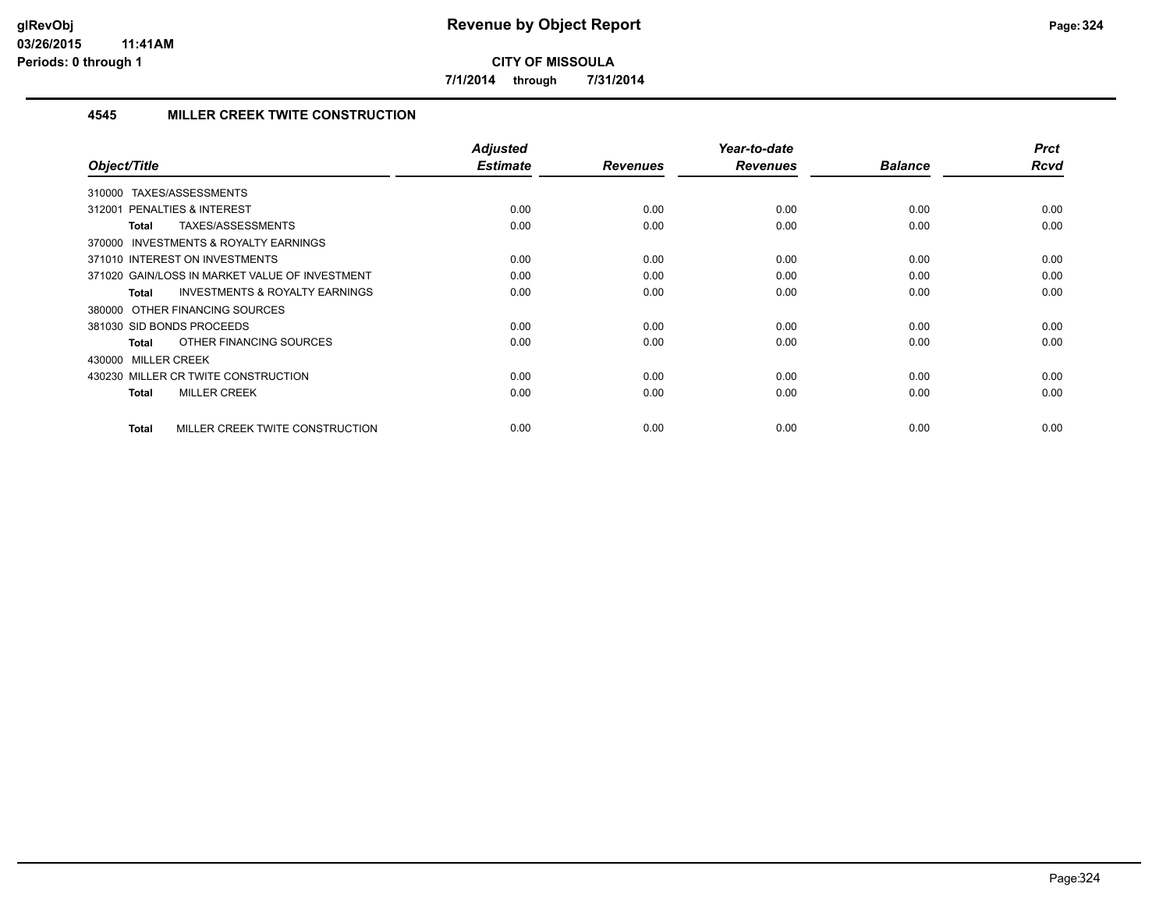**7/1/2014 through 7/31/2014**

## **4545 MILLER CREEK TWITE CONSTRUCTION**

| Object/Title                                              | <b>Adjusted</b><br><b>Estimate</b> | <b>Revenues</b> | Year-to-date<br><b>Revenues</b> | <b>Balance</b> | <b>Prct</b><br><b>Rcvd</b> |
|-----------------------------------------------------------|------------------------------------|-----------------|---------------------------------|----------------|----------------------------|
| TAXES/ASSESSMENTS<br>310000                               |                                    |                 |                                 |                |                            |
| 312001 PENALTIES & INTEREST                               | 0.00                               | 0.00            | 0.00                            | 0.00           | 0.00                       |
| TAXES/ASSESSMENTS<br><b>Total</b>                         | 0.00                               | 0.00            | 0.00                            | 0.00           | 0.00                       |
| 370000 INVESTMENTS & ROYALTY EARNINGS                     |                                    |                 |                                 |                |                            |
| 371010 INTEREST ON INVESTMENTS                            | 0.00                               | 0.00            | 0.00                            | 0.00           | 0.00                       |
| 371020 GAIN/LOSS IN MARKET VALUE OF INVESTMENT            | 0.00                               | 0.00            | 0.00                            | 0.00           | 0.00                       |
| <b>INVESTMENTS &amp; ROYALTY EARNINGS</b><br><b>Total</b> | 0.00                               | 0.00            | 0.00                            | 0.00           | 0.00                       |
| 380000 OTHER FINANCING SOURCES                            |                                    |                 |                                 |                |                            |
| 381030 SID BONDS PROCEEDS                                 | 0.00                               | 0.00            | 0.00                            | 0.00           | 0.00                       |
| OTHER FINANCING SOURCES<br><b>Total</b>                   | 0.00                               | 0.00            | 0.00                            | 0.00           | 0.00                       |
| 430000 MILLER CREEK                                       |                                    |                 |                                 |                |                            |
| 430230 MILLER CR TWITE CONSTRUCTION                       | 0.00                               | 0.00            | 0.00                            | 0.00           | 0.00                       |
| <b>MILLER CREEK</b><br><b>Total</b>                       | 0.00                               | 0.00            | 0.00                            | 0.00           | 0.00                       |
| MILLER CREEK TWITE CONSTRUCTION<br><b>Total</b>           | 0.00                               | 0.00            | 0.00                            | 0.00           | 0.00                       |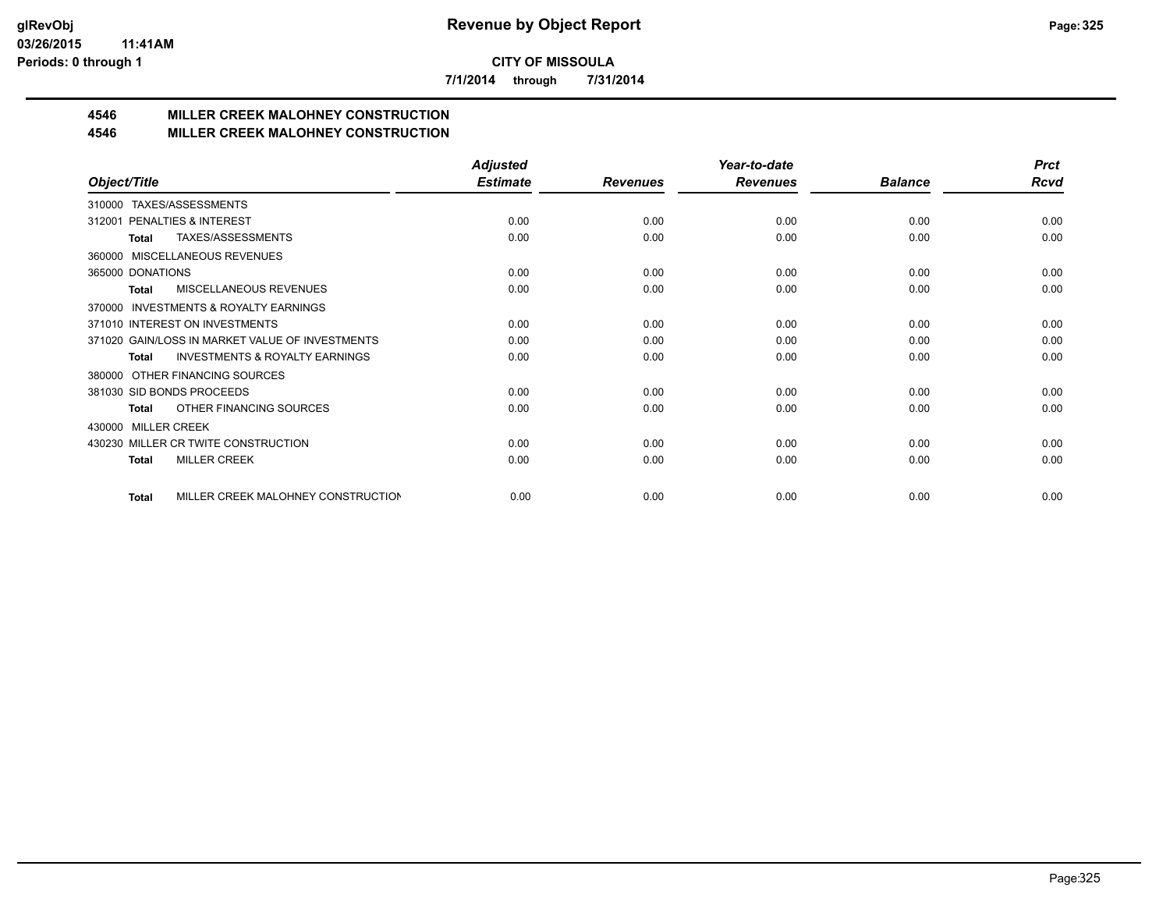**7/1/2014 through 7/31/2014**

# **4546 MILLER CREEK MALOHNEY CONSTRUCTION**

#### **4546 MILLER CREEK MALOHNEY CONSTRUCTION**

|                                                     | <b>Adjusted</b> |                 | Year-to-date    |                | <b>Prct</b> |
|-----------------------------------------------------|-----------------|-----------------|-----------------|----------------|-------------|
| Object/Title                                        | <b>Estimate</b> | <b>Revenues</b> | <b>Revenues</b> | <b>Balance</b> | Rcvd        |
| TAXES/ASSESSMENTS<br>310000                         |                 |                 |                 |                |             |
| PENALTIES & INTEREST<br>312001                      | 0.00            | 0.00            | 0.00            | 0.00           | 0.00        |
| TAXES/ASSESSMENTS<br>Total                          | 0.00            | 0.00            | 0.00            | 0.00           | 0.00        |
| MISCELLANEOUS REVENUES<br>360000                    |                 |                 |                 |                |             |
| 365000 DONATIONS                                    | 0.00            | 0.00            | 0.00            | 0.00           | 0.00        |
| MISCELLANEOUS REVENUES<br>Total                     | 0.00            | 0.00            | 0.00            | 0.00           | 0.00        |
| <b>INVESTMENTS &amp; ROYALTY EARNINGS</b><br>370000 |                 |                 |                 |                |             |
| 371010 INTEREST ON INVESTMENTS                      | 0.00            | 0.00            | 0.00            | 0.00           | 0.00        |
| 371020 GAIN/LOSS IN MARKET VALUE OF INVESTMENTS     | 0.00            | 0.00            | 0.00            | 0.00           | 0.00        |
| <b>INVESTMENTS &amp; ROYALTY EARNINGS</b><br>Total  | 0.00            | 0.00            | 0.00            | 0.00           | 0.00        |
| OTHER FINANCING SOURCES<br>380000                   |                 |                 |                 |                |             |
| 381030 SID BONDS PROCEEDS                           | 0.00            | 0.00            | 0.00            | 0.00           | 0.00        |
| OTHER FINANCING SOURCES<br><b>Total</b>             | 0.00            | 0.00            | 0.00            | 0.00           | 0.00        |
| <b>MILLER CREEK</b><br>430000                       |                 |                 |                 |                |             |
| 430230 MILLER CR TWITE CONSTRUCTION                 | 0.00            | 0.00            | 0.00            | 0.00           | 0.00        |
| <b>MILLER CREEK</b><br><b>Total</b>                 | 0.00            | 0.00            | 0.00            | 0.00           | 0.00        |
|                                                     |                 |                 |                 |                |             |
| MILLER CREEK MALOHNEY CONSTRUCTION<br><b>Total</b>  | 0.00            | 0.00            | 0.00            | 0.00           | 0.00        |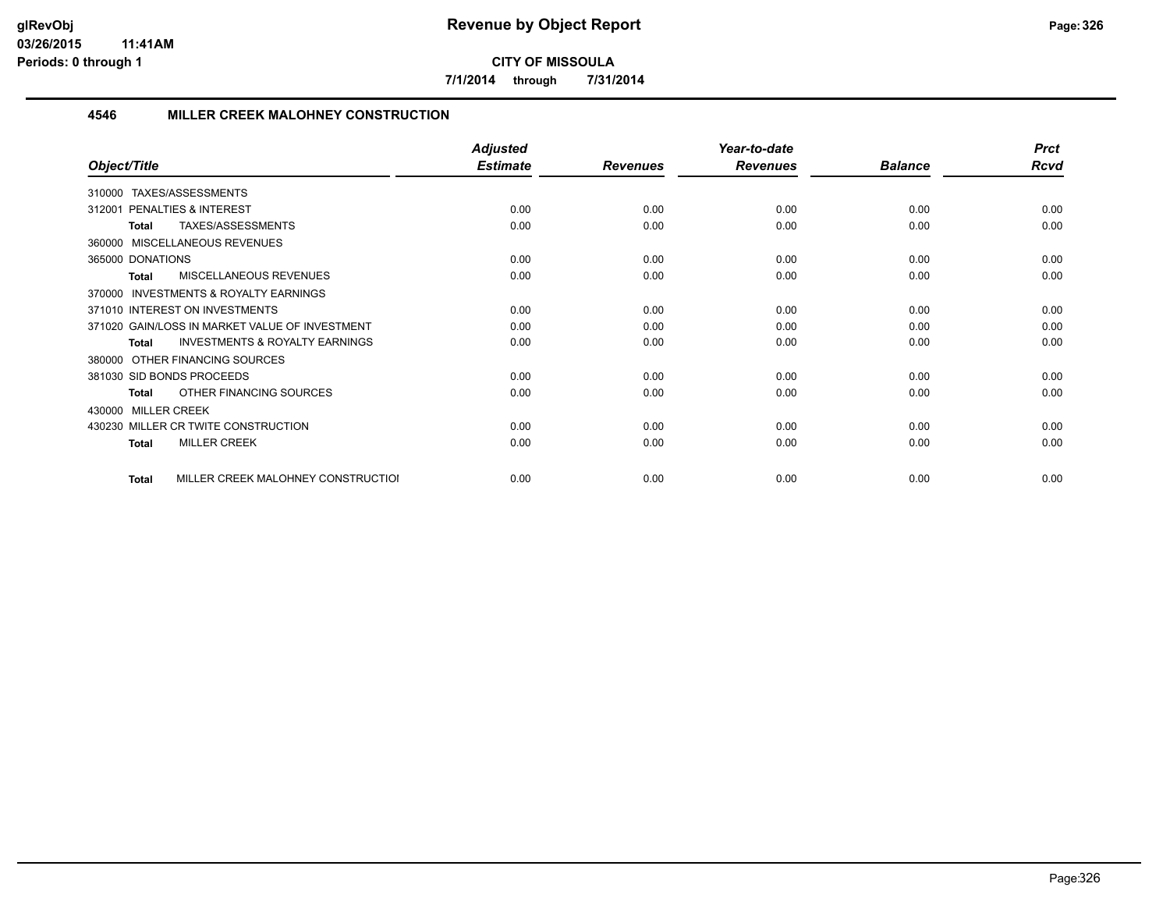**7/1/2014 through 7/31/2014**

#### **4546 MILLER CREEK MALOHNEY CONSTRUCTION**

|                                                    | <b>Adjusted</b> |                 | Year-to-date    |                | <b>Prct</b> |
|----------------------------------------------------|-----------------|-----------------|-----------------|----------------|-------------|
| Object/Title                                       | <b>Estimate</b> | <b>Revenues</b> | <b>Revenues</b> | <b>Balance</b> | <b>Rcvd</b> |
| TAXES/ASSESSMENTS<br>310000                        |                 |                 |                 |                |             |
| <b>PENALTIES &amp; INTEREST</b><br>312001          | 0.00            | 0.00            | 0.00            | 0.00           | 0.00        |
| TAXES/ASSESSMENTS<br><b>Total</b>                  | 0.00            | 0.00            | 0.00            | 0.00           | 0.00        |
| 360000 MISCELLANEOUS REVENUES                      |                 |                 |                 |                |             |
| 365000 DONATIONS                                   | 0.00            | 0.00            | 0.00            | 0.00           | 0.00        |
| <b>MISCELLANEOUS REVENUES</b><br>Total             | 0.00            | 0.00            | 0.00            | 0.00           | 0.00        |
| INVESTMENTS & ROYALTY EARNINGS<br>370000           |                 |                 |                 |                |             |
| 371010 INTEREST ON INVESTMENTS                     | 0.00            | 0.00            | 0.00            | 0.00           | 0.00        |
| 371020 GAIN/LOSS IN MARKET VALUE OF INVESTMENT     | 0.00            | 0.00            | 0.00            | 0.00           | 0.00        |
| <b>INVESTMENTS &amp; ROYALTY EARNINGS</b><br>Total | 0.00            | 0.00            | 0.00            | 0.00           | 0.00        |
| OTHER FINANCING SOURCES<br>380000                  |                 |                 |                 |                |             |
| 381030 SID BONDS PROCEEDS                          | 0.00            | 0.00            | 0.00            | 0.00           | 0.00        |
| OTHER FINANCING SOURCES<br><b>Total</b>            | 0.00            | 0.00            | 0.00            | 0.00           | 0.00        |
| 430000 MILLER CREEK                                |                 |                 |                 |                |             |
| 430230 MILLER CR TWITE CONSTRUCTION                | 0.00            | 0.00            | 0.00            | 0.00           | 0.00        |
| <b>MILLER CREEK</b><br><b>Total</b>                | 0.00            | 0.00            | 0.00            | 0.00           | 0.00        |
| MILLER CREEK MALOHNEY CONSTRUCTIOI<br>Total        | 0.00            | 0.00            | 0.00            | 0.00           | 0.00        |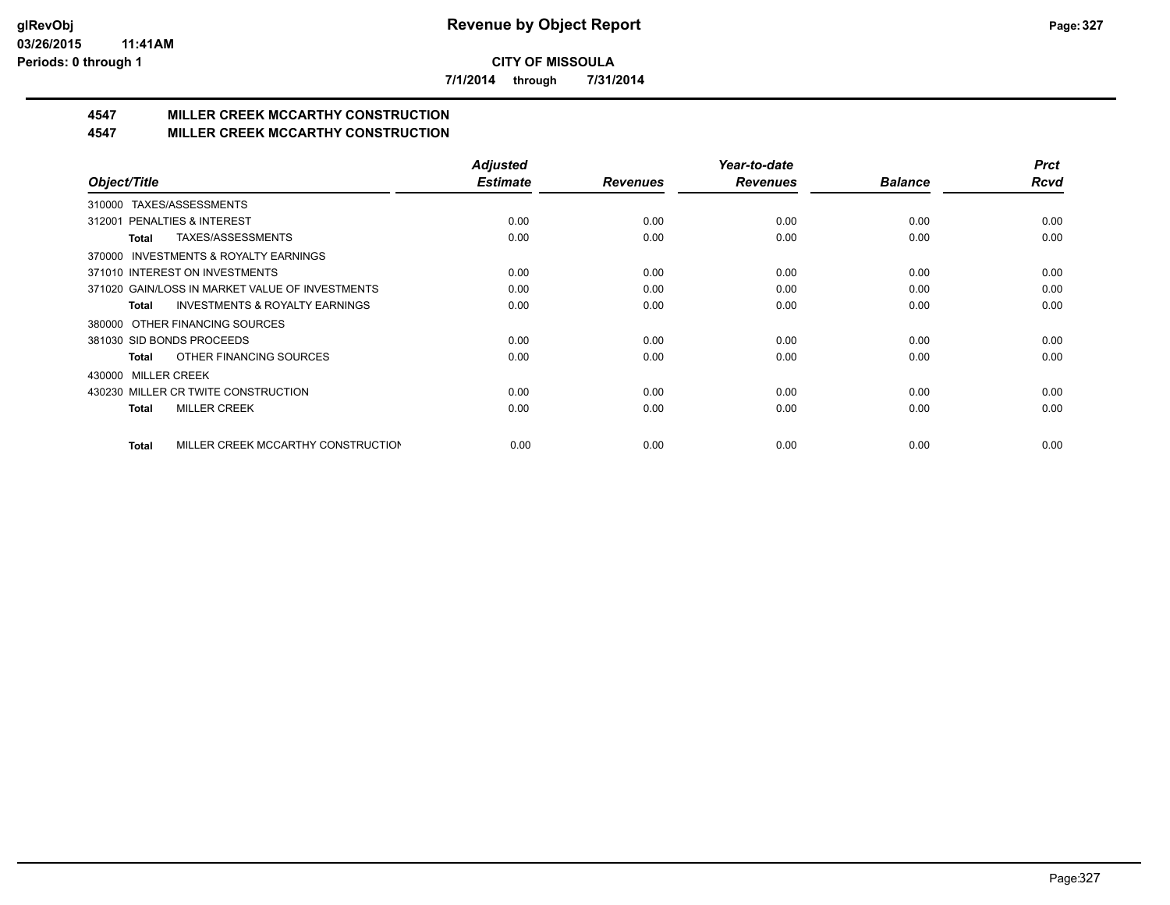**7/1/2014 through 7/31/2014**

# **4547 MILLER CREEK MCCARTHY CONSTRUCTION**

#### **4547 MILLER CREEK MCCARTHY CONSTRUCTION**

|                                                    | <b>Adjusted</b> |                 | Year-to-date    |                | <b>Prct</b> |
|----------------------------------------------------|-----------------|-----------------|-----------------|----------------|-------------|
| Object/Title                                       | <b>Estimate</b> | <b>Revenues</b> | <b>Revenues</b> | <b>Balance</b> | <b>Rcvd</b> |
| TAXES/ASSESSMENTS<br>310000                        |                 |                 |                 |                |             |
| PENALTIES & INTEREST<br>312001                     | 0.00            | 0.00            | 0.00            | 0.00           | 0.00        |
| TAXES/ASSESSMENTS<br>Total                         | 0.00            | 0.00            | 0.00            | 0.00           | 0.00        |
| INVESTMENTS & ROYALTY EARNINGS<br>370000           |                 |                 |                 |                |             |
| 371010 INTEREST ON INVESTMENTS                     | 0.00            | 0.00            | 0.00            | 0.00           | 0.00        |
| 371020 GAIN/LOSS IN MARKET VALUE OF INVESTMENTS    | 0.00            | 0.00            | 0.00            | 0.00           | 0.00        |
| <b>INVESTMENTS &amp; ROYALTY EARNINGS</b><br>Total | 0.00            | 0.00            | 0.00            | 0.00           | 0.00        |
| OTHER FINANCING SOURCES<br>380000                  |                 |                 |                 |                |             |
| 381030 SID BONDS PROCEEDS                          | 0.00            | 0.00            | 0.00            | 0.00           | 0.00        |
| OTHER FINANCING SOURCES<br>Total                   | 0.00            | 0.00            | 0.00            | 0.00           | 0.00        |
| <b>MILLER CREEK</b><br>430000                      |                 |                 |                 |                |             |
| 430230 MILLER CR TWITE CONSTRUCTION                | 0.00            | 0.00            | 0.00            | 0.00           | 0.00        |
| <b>MILLER CREEK</b><br><b>Total</b>                | 0.00            | 0.00            | 0.00            | 0.00           | 0.00        |
|                                                    |                 |                 |                 |                |             |
| MILLER CREEK MCCARTHY CONSTRUCTION<br><b>Total</b> | 0.00            | 0.00            | 0.00            | 0.00           | 0.00        |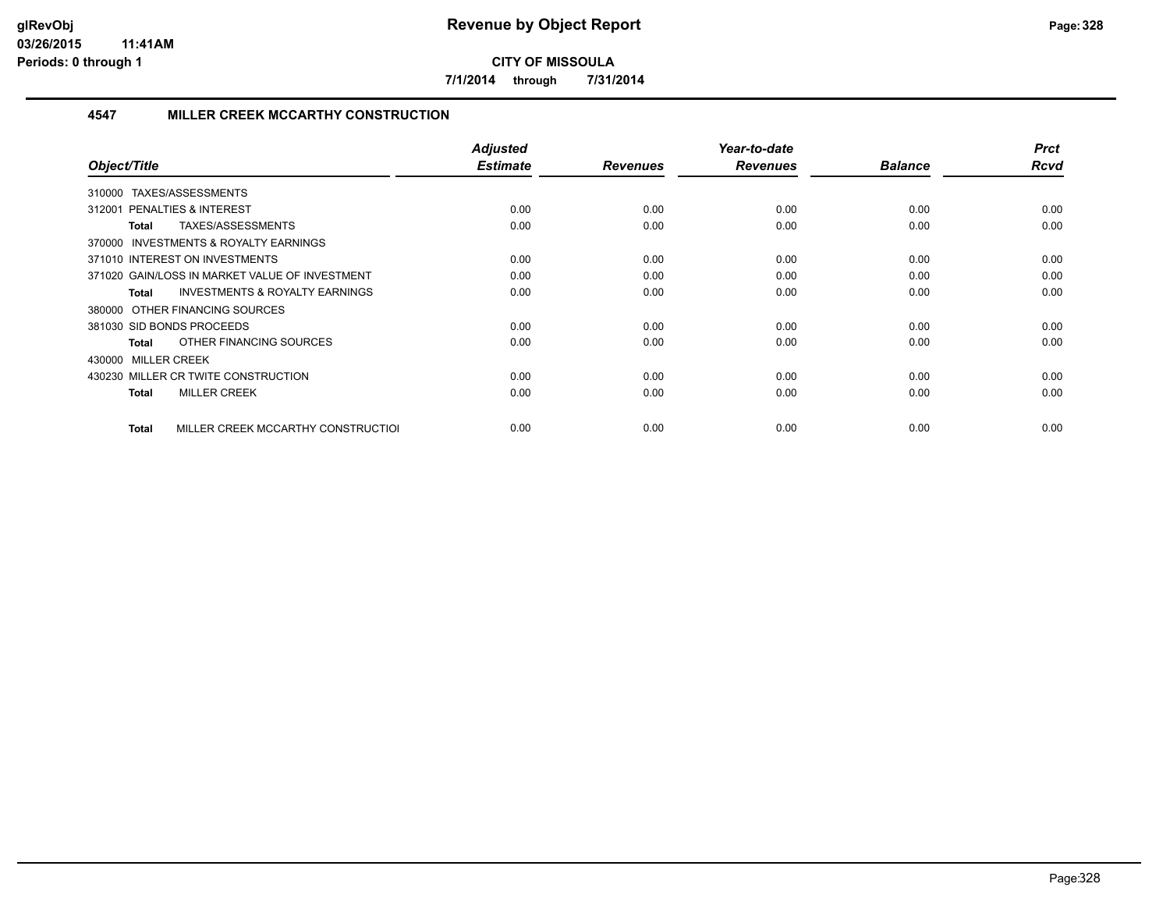**7/1/2014 through 7/31/2014**

#### **4547 MILLER CREEK MCCARTHY CONSTRUCTION**

| Object/Title                                              | <b>Adjusted</b><br><b>Estimate</b> | <b>Revenues</b> | Year-to-date<br><b>Revenues</b> | <b>Balance</b> | <b>Prct</b><br><b>Rcvd</b> |
|-----------------------------------------------------------|------------------------------------|-----------------|---------------------------------|----------------|----------------------------|
| TAXES/ASSESSMENTS<br>310000                               |                                    |                 |                                 |                |                            |
| <b>PENALTIES &amp; INTEREST</b><br>312001                 | 0.00                               | 0.00            | 0.00                            | 0.00           | 0.00                       |
| TAXES/ASSESSMENTS<br>Total                                | 0.00                               | 0.00            | 0.00                            | 0.00           | 0.00                       |
| 370000 INVESTMENTS & ROYALTY EARNINGS                     |                                    |                 |                                 |                |                            |
| 371010 INTEREST ON INVESTMENTS                            | 0.00                               | 0.00            | 0.00                            | 0.00           | 0.00                       |
| 371020 GAIN/LOSS IN MARKET VALUE OF INVESTMENT            | 0.00                               | 0.00            | 0.00                            | 0.00           | 0.00                       |
| <b>INVESTMENTS &amp; ROYALTY EARNINGS</b><br><b>Total</b> | 0.00                               | 0.00            | 0.00                            | 0.00           | 0.00                       |
| 380000 OTHER FINANCING SOURCES                            |                                    |                 |                                 |                |                            |
| 381030 SID BONDS PROCEEDS                                 | 0.00                               | 0.00            | 0.00                            | 0.00           | 0.00                       |
| OTHER FINANCING SOURCES<br>Total                          | 0.00                               | 0.00            | 0.00                            | 0.00           | 0.00                       |
| 430000 MILLER CREEK                                       |                                    |                 |                                 |                |                            |
| 430230 MILLER CR TWITE CONSTRUCTION                       | 0.00                               | 0.00            | 0.00                            | 0.00           | 0.00                       |
| <b>MILLER CREEK</b><br>Total                              | 0.00                               | 0.00            | 0.00                            | 0.00           | 0.00                       |
|                                                           |                                    |                 |                                 |                |                            |
| MILLER CREEK MCCARTHY CONSTRUCTIOL<br>Total               | 0.00                               | 0.00            | 0.00                            | 0.00           | 0.00                       |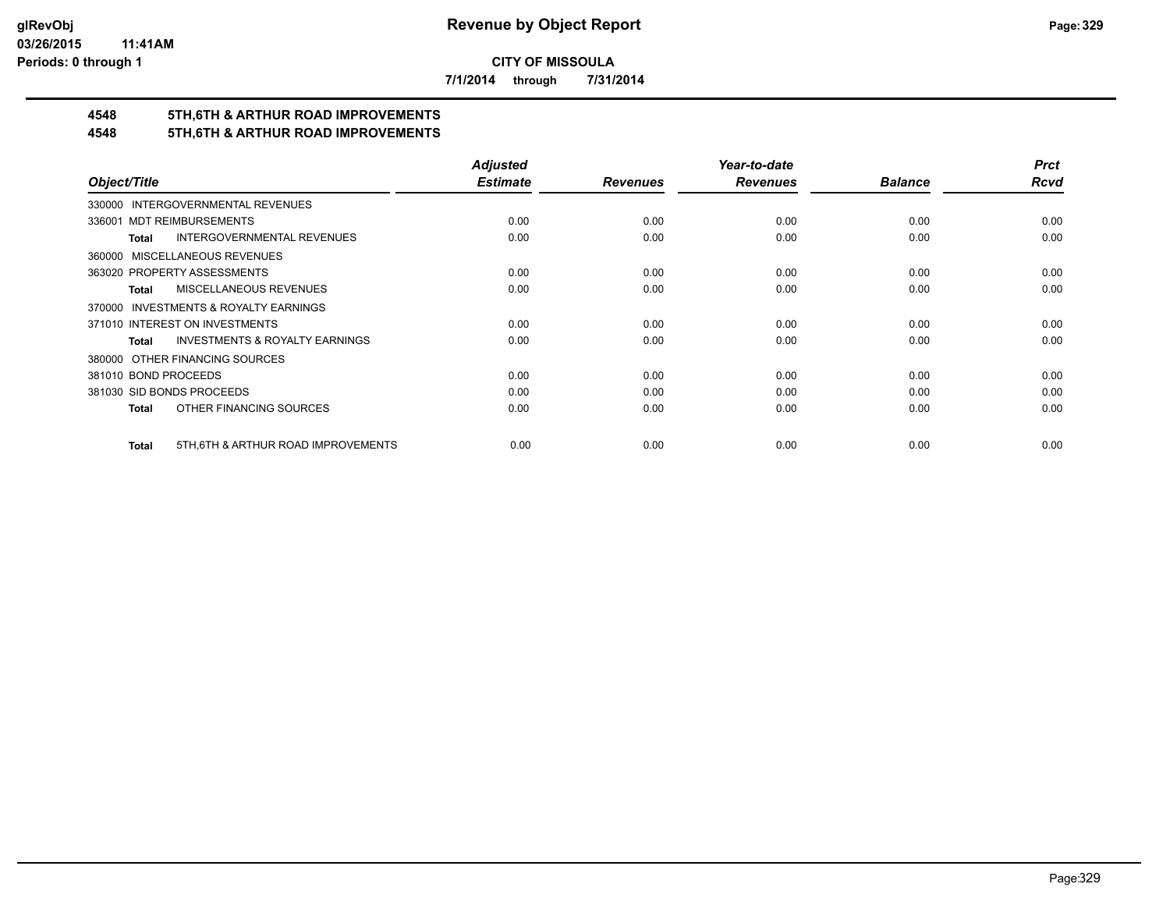**7/1/2014 through 7/31/2014**

# **4548 5TH,6TH & ARTHUR ROAD IMPROVEMENTS**

## **4548 5TH,6TH & ARTHUR ROAD IMPROVEMENTS**

|                                                           | <b>Adjusted</b> |                 | Year-to-date    |                | <b>Prct</b> |
|-----------------------------------------------------------|-----------------|-----------------|-----------------|----------------|-------------|
| Object/Title                                              | <b>Estimate</b> | <b>Revenues</b> | <b>Revenues</b> | <b>Balance</b> | Rcvd        |
| 330000 INTERGOVERNMENTAL REVENUES                         |                 |                 |                 |                |             |
| <b>MDT REIMBURSEMENTS</b><br>336001                       | 0.00            | 0.00            | 0.00            | 0.00           | 0.00        |
| INTERGOVERNMENTAL REVENUES<br><b>Total</b>                | 0.00            | 0.00            | 0.00            | 0.00           | 0.00        |
| 360000 MISCELLANEOUS REVENUES                             |                 |                 |                 |                |             |
| 363020 PROPERTY ASSESSMENTS                               | 0.00            | 0.00            | 0.00            | 0.00           | 0.00        |
| MISCELLANEOUS REVENUES<br>Total                           | 0.00            | 0.00            | 0.00            | 0.00           | 0.00        |
| 370000 INVESTMENTS & ROYALTY EARNINGS                     |                 |                 |                 |                |             |
| 371010 INTEREST ON INVESTMENTS                            | 0.00            | 0.00            | 0.00            | 0.00           | 0.00        |
| <b>INVESTMENTS &amp; ROYALTY EARNINGS</b><br><b>Total</b> | 0.00            | 0.00            | 0.00            | 0.00           | 0.00        |
| 380000 OTHER FINANCING SOURCES                            |                 |                 |                 |                |             |
| 381010 BOND PROCEEDS                                      | 0.00            | 0.00            | 0.00            | 0.00           | 0.00        |
| 381030 SID BONDS PROCEEDS                                 | 0.00            | 0.00            | 0.00            | 0.00           | 0.00        |
| OTHER FINANCING SOURCES<br>Total                          | 0.00            | 0.00            | 0.00            | 0.00           | 0.00        |
| 5TH, 6TH & ARTHUR ROAD IMPROVEMENTS<br><b>Total</b>       | 0.00            | 0.00            | 0.00            | 0.00           | 0.00        |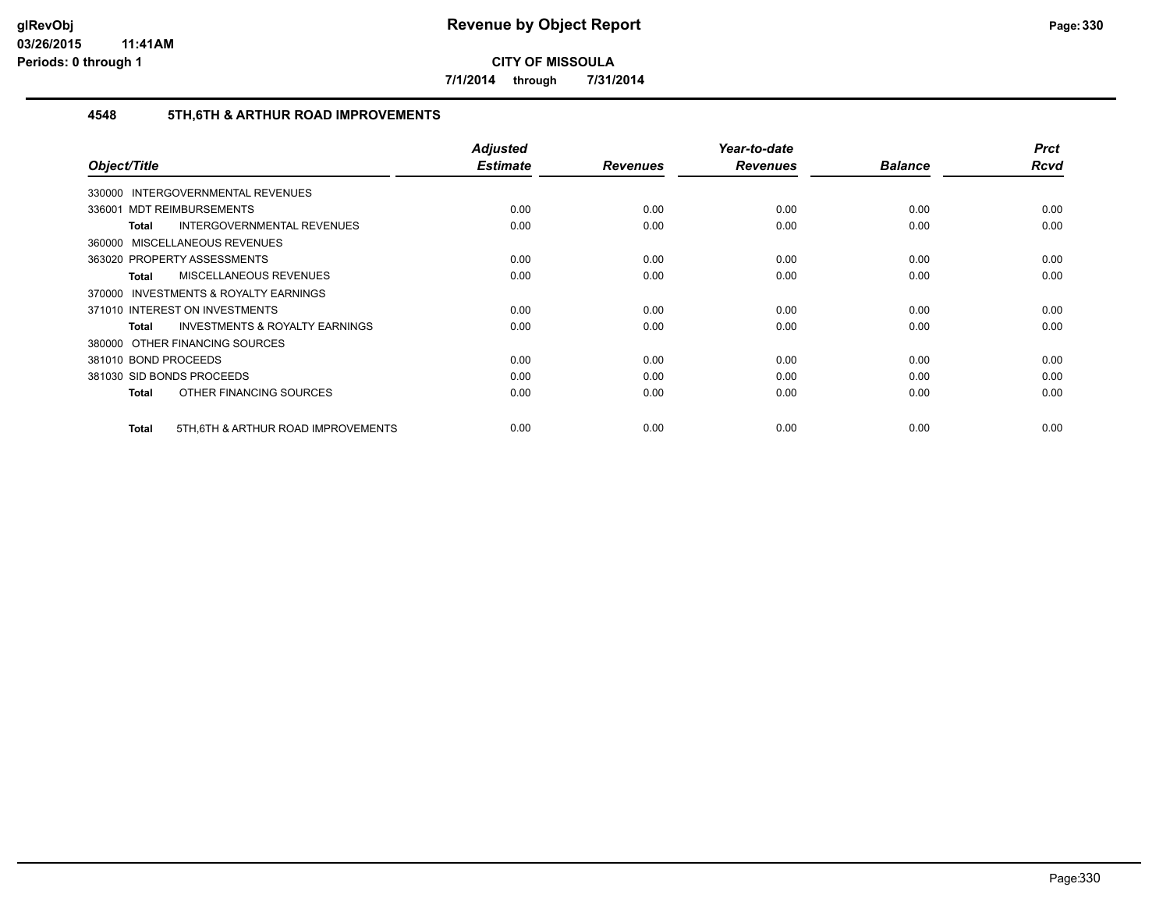**7/1/2014 through 7/31/2014**

#### **4548 5TH,6TH & ARTHUR ROAD IMPROVEMENTS**

|                                                    | <b>Adjusted</b><br><b>Estimate</b> |                 | Year-to-date    | <b>Balance</b> | <b>Prct</b><br>Rcvd |
|----------------------------------------------------|------------------------------------|-----------------|-----------------|----------------|---------------------|
| Object/Title                                       |                                    | <b>Revenues</b> | <b>Revenues</b> |                |                     |
| <b>INTERGOVERNMENTAL REVENUES</b><br>330000        |                                    |                 |                 |                |                     |
| 336001 MDT REIMBURSEMENTS                          | 0.00                               | 0.00            | 0.00            | 0.00           | 0.00                |
| INTERGOVERNMENTAL REVENUES<br>Total                | 0.00                               | 0.00            | 0.00            | 0.00           | 0.00                |
| 360000 MISCELLANEOUS REVENUES                      |                                    |                 |                 |                |                     |
| 363020 PROPERTY ASSESSMENTS                        | 0.00                               | 0.00            | 0.00            | 0.00           | 0.00                |
| <b>MISCELLANEOUS REVENUES</b><br>Total             | 0.00                               | 0.00            | 0.00            | 0.00           | 0.00                |
| 370000 INVESTMENTS & ROYALTY EARNINGS              |                                    |                 |                 |                |                     |
| 371010 INTEREST ON INVESTMENTS                     | 0.00                               | 0.00            | 0.00            | 0.00           | 0.00                |
| <b>INVESTMENTS &amp; ROYALTY EARNINGS</b><br>Total | 0.00                               | 0.00            | 0.00            | 0.00           | 0.00                |
| 380000 OTHER FINANCING SOURCES                     |                                    |                 |                 |                |                     |
| 381010 BOND PROCEEDS                               | 0.00                               | 0.00            | 0.00            | 0.00           | 0.00                |
| 381030 SID BONDS PROCEEDS                          | 0.00                               | 0.00            | 0.00            | 0.00           | 0.00                |
| OTHER FINANCING SOURCES<br><b>Total</b>            | 0.00                               | 0.00            | 0.00            | 0.00           | 0.00                |
|                                                    |                                    |                 |                 |                |                     |
| 5TH, 6TH & ARTHUR ROAD IMPROVEMENTS<br>Total       | 0.00                               | 0.00            | 0.00            | 0.00           | 0.00                |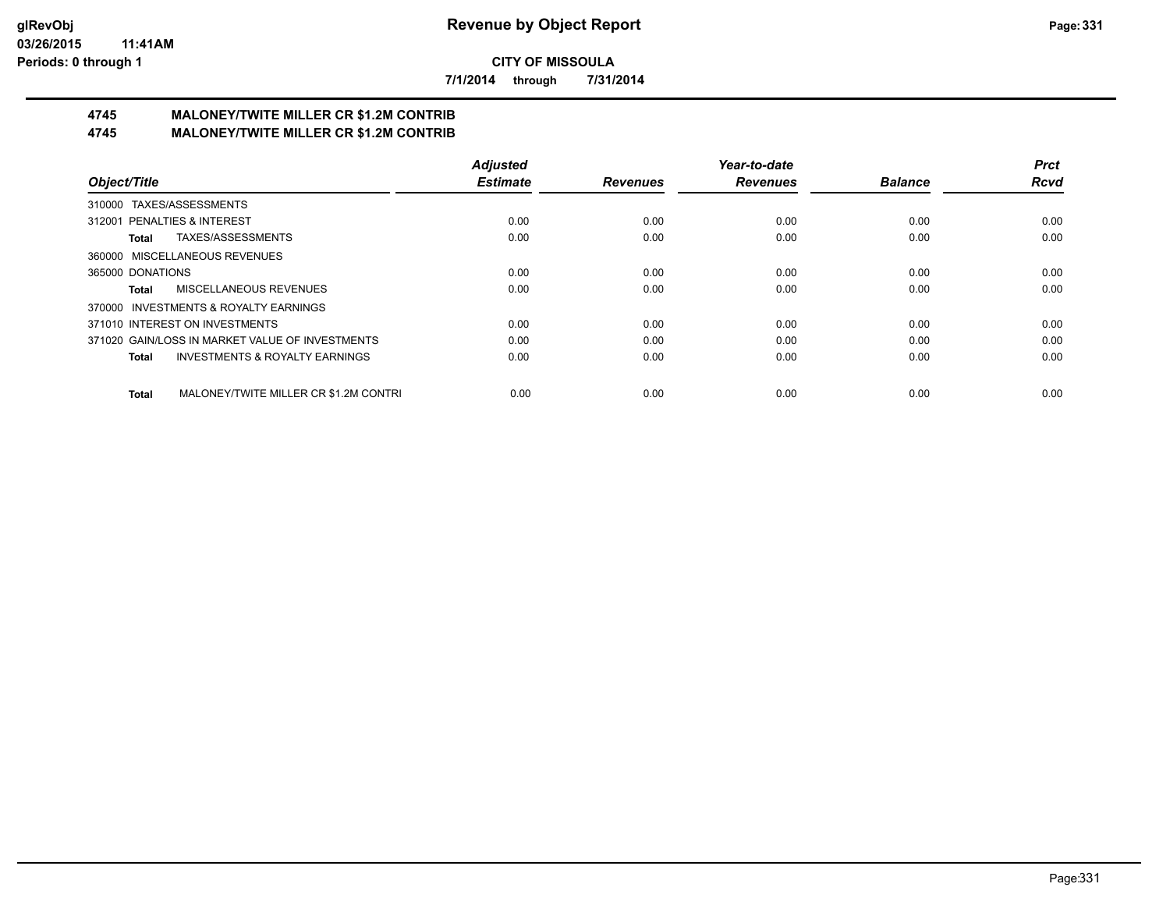**7/1/2014 through 7/31/2014**

# **4745 MALONEY/TWITE MILLER CR \$1.2M CONTRIB**

**4745 MALONEY/TWITE MILLER CR \$1.2M CONTRIB**

|                                                           | <b>Adjusted</b> |                 | Year-to-date    |                | <b>Prct</b> |
|-----------------------------------------------------------|-----------------|-----------------|-----------------|----------------|-------------|
| Object/Title                                              | <b>Estimate</b> | <b>Revenues</b> | <b>Revenues</b> | <b>Balance</b> | <b>Rcvd</b> |
| 310000 TAXES/ASSESSMENTS                                  |                 |                 |                 |                |             |
| 312001 PENALTIES & INTEREST                               | 0.00            | 0.00            | 0.00            | 0.00           | 0.00        |
| TAXES/ASSESSMENTS<br>Total                                | 0.00            | 0.00            | 0.00            | 0.00           | 0.00        |
| 360000 MISCELLANEOUS REVENUES                             |                 |                 |                 |                |             |
| 365000 DONATIONS                                          | 0.00            | 0.00            | 0.00            | 0.00           | 0.00        |
| MISCELLANEOUS REVENUES<br>Total                           | 0.00            | 0.00            | 0.00            | 0.00           | 0.00        |
| 370000 INVESTMENTS & ROYALTY EARNINGS                     |                 |                 |                 |                |             |
| 371010 INTEREST ON INVESTMENTS                            | 0.00            | 0.00            | 0.00            | 0.00           | 0.00        |
| 371020 GAIN/LOSS IN MARKET VALUE OF INVESTMENTS           | 0.00            | 0.00            | 0.00            | 0.00           | 0.00        |
| <b>INVESTMENTS &amp; ROYALTY EARNINGS</b><br><b>Total</b> | 0.00            | 0.00            | 0.00            | 0.00           | 0.00        |
| MALONEY/TWITE MILLER CR \$1.2M CONTRI<br><b>Total</b>     | 0.00            | 0.00            | 0.00            | 0.00           | 0.00        |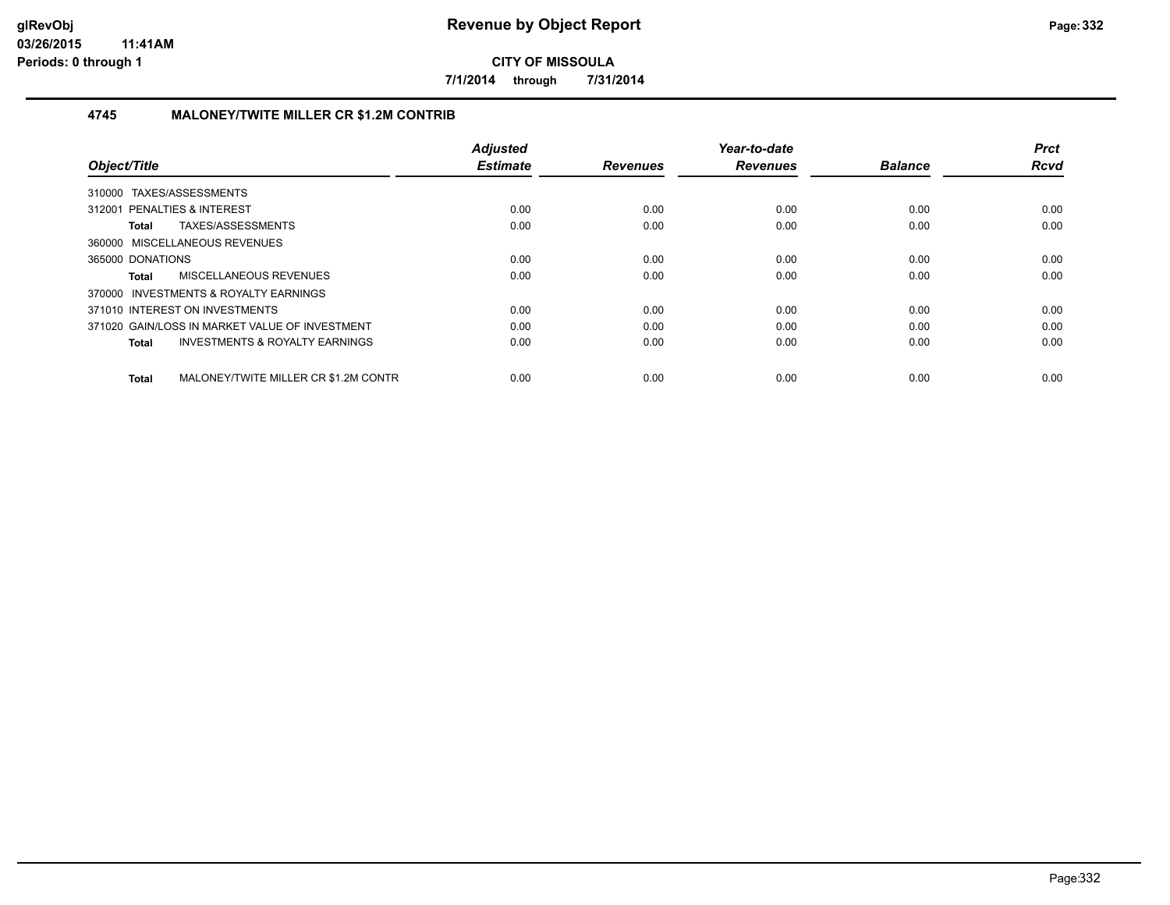**7/1/2014 through 7/31/2014**

#### **4745 MALONEY/TWITE MILLER CR \$1.2M CONTRIB**

| Object/Title                                              | <b>Adjusted</b><br><b>Estimate</b> | <b>Revenues</b> | Year-to-date<br><b>Revenues</b> | <b>Balance</b> | <b>Prct</b><br><b>Rcvd</b> |
|-----------------------------------------------------------|------------------------------------|-----------------|---------------------------------|----------------|----------------------------|
| 310000 TAXES/ASSESSMENTS                                  |                                    |                 |                                 |                |                            |
| 312001 PENALTIES & INTEREST                               | 0.00                               | 0.00            | 0.00                            | 0.00           | 0.00                       |
| TAXES/ASSESSMENTS<br>Total                                | 0.00                               | 0.00            | 0.00                            | 0.00           | 0.00                       |
| 360000 MISCELLANEOUS REVENUES                             |                                    |                 |                                 |                |                            |
| 365000 DONATIONS                                          | 0.00                               | 0.00            | 0.00                            | 0.00           | 0.00                       |
| MISCELLANEOUS REVENUES<br>Total                           | 0.00                               | 0.00            | 0.00                            | 0.00           | 0.00                       |
| 370000 INVESTMENTS & ROYALTY EARNINGS                     |                                    |                 |                                 |                |                            |
| 371010 INTEREST ON INVESTMENTS                            | 0.00                               | 0.00            | 0.00                            | 0.00           | 0.00                       |
| 371020 GAIN/LOSS IN MARKET VALUE OF INVESTMENT            | 0.00                               | 0.00            | 0.00                            | 0.00           | 0.00                       |
| <b>INVESTMENTS &amp; ROYALTY EARNINGS</b><br><b>Total</b> | 0.00                               | 0.00            | 0.00                            | 0.00           | 0.00                       |
| MALONEY/TWITE MILLER CR \$1.2M CONTR<br>Total             | 0.00                               | 0.00            | 0.00                            | 0.00           | 0.00                       |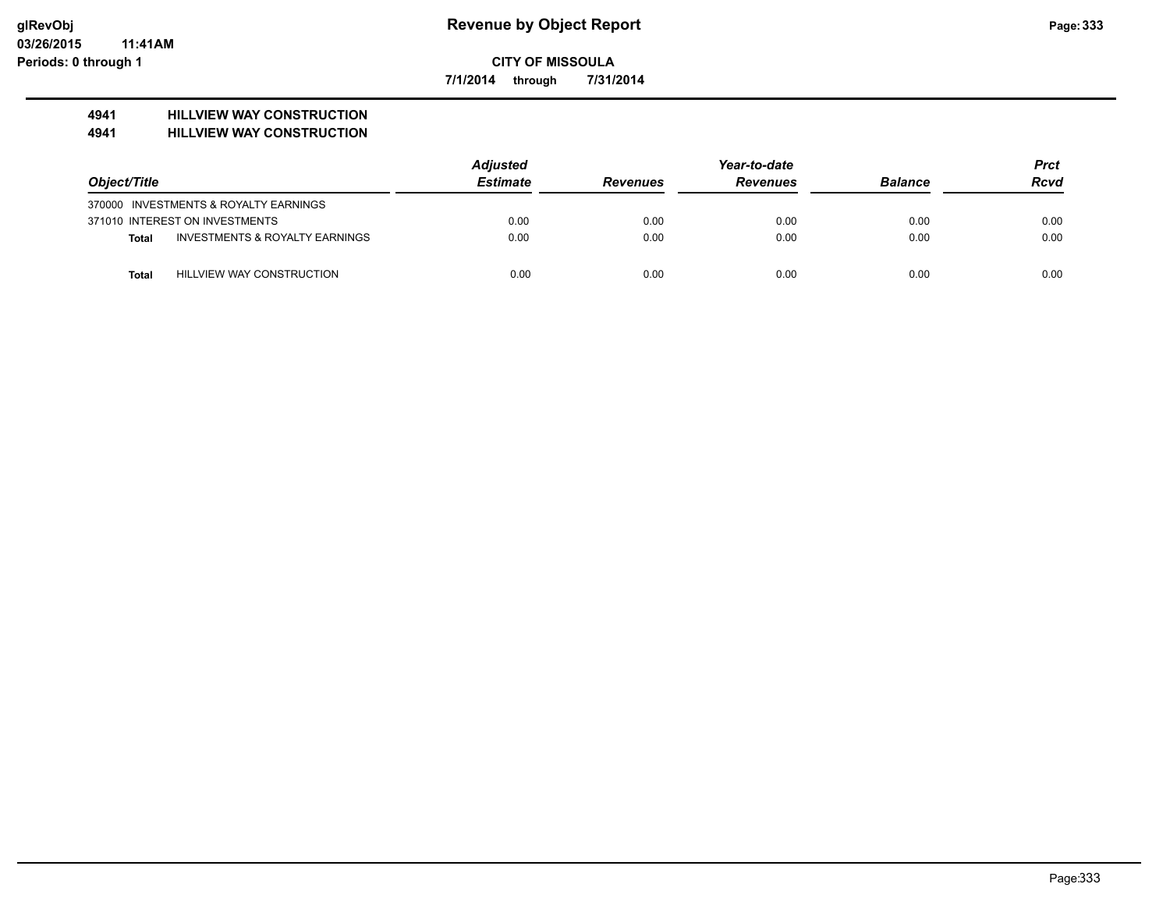**7/1/2014 through 7/31/2014**

# **4941 HILLVIEW WAY CONSTRUCTION**

#### **4941 HILLVIEW WAY CONSTRUCTION**

|              |                                           | <b>Adjusted</b> |                 |                 | <b>Prct</b>    |             |
|--------------|-------------------------------------------|-----------------|-----------------|-----------------|----------------|-------------|
| Object/Title |                                           | <b>Estimate</b> | <b>Revenues</b> | <b>Revenues</b> | <b>Balance</b> | <b>Rcvd</b> |
|              | 370000 INVESTMENTS & ROYALTY EARNINGS     |                 |                 |                 |                |             |
|              | 371010 INTEREST ON INVESTMENTS            | 0.00            | 0.00            | 0.00            | 0.00           | 0.00        |
| Total        | <b>INVESTMENTS &amp; ROYALTY EARNINGS</b> | 0.00            | 0.00            | 0.00            | 0.00           | 0.00        |
| Total        | HILLVIEW WAY CONSTRUCTION                 | 0.00            | 0.00            | 0.00            | 0.00           | 0.00        |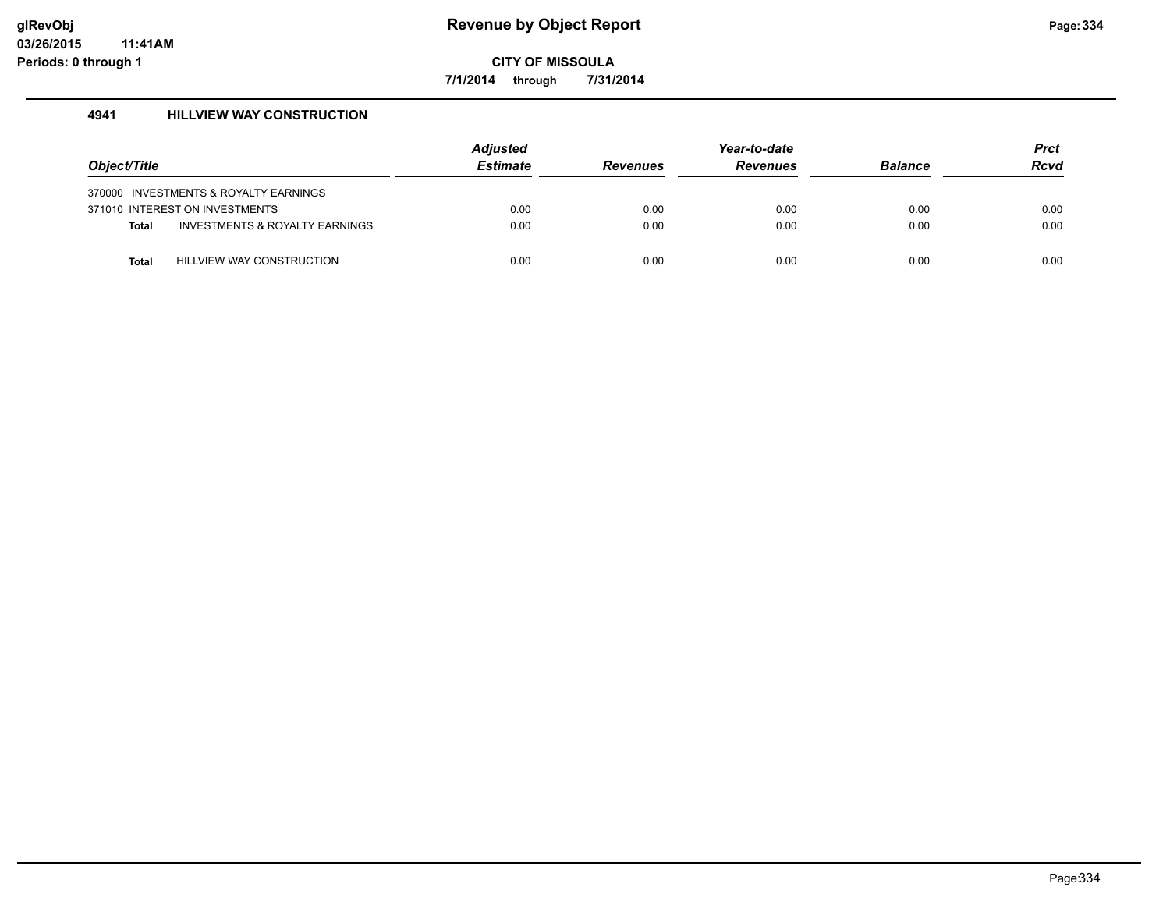**7/1/2014 through 7/31/2014**

#### **4941 HILLVIEW WAY CONSTRUCTION**

| Object/Title |                                       | Adjusted<br><b>Estimate</b> | <b>Revenues</b> | Year-to-date<br><b>Revenues</b> | <b>Balance</b> | <b>Prct</b><br><b>Rcvd</b> |
|--------------|---------------------------------------|-----------------------------|-----------------|---------------------------------|----------------|----------------------------|
|              | 370000 INVESTMENTS & ROYALTY EARNINGS |                             |                 |                                 |                |                            |
|              | 371010 INTEREST ON INVESTMENTS        | 0.00                        | 0.00            | 0.00                            | 0.00           | 0.00                       |
| <b>Total</b> | INVESTMENTS & ROYALTY EARNINGS        | 0.00                        | 0.00            | 0.00                            | 0.00           | 0.00                       |
| Total        | <b>HILLVIEW WAY CONSTRUCTION</b>      | 0.00                        | 0.00            | 0.00                            | 0.00           | 0.00                       |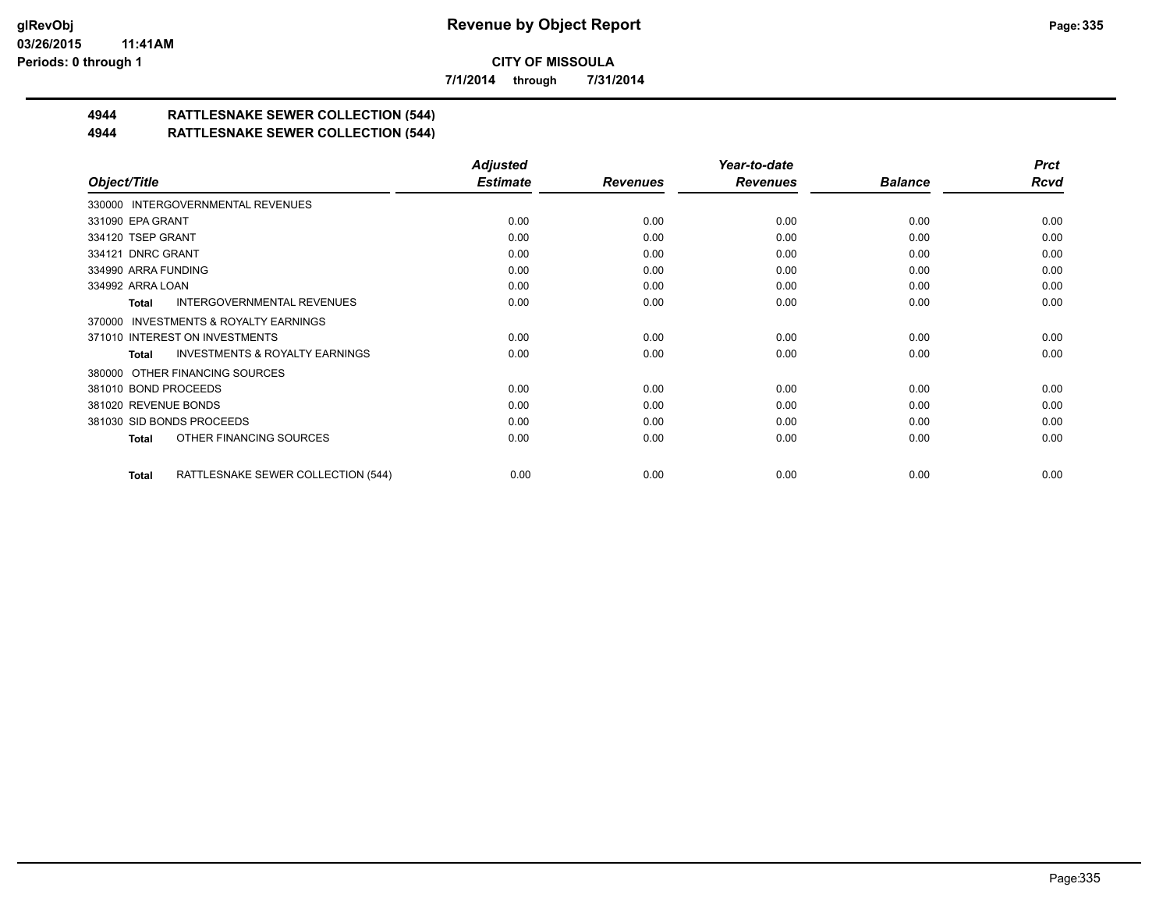**7/1/2014 through 7/31/2014**

# **4944 RATTLESNAKE SEWER COLLECTION (544)**

#### **4944 RATTLESNAKE SEWER COLLECTION (544)**

|                                                    | <b>Adjusted</b> |                 | Year-to-date    |                | <b>Prct</b> |
|----------------------------------------------------|-----------------|-----------------|-----------------|----------------|-------------|
| Object/Title                                       | <b>Estimate</b> | <b>Revenues</b> | <b>Revenues</b> | <b>Balance</b> | <b>Rcvd</b> |
| 330000 INTERGOVERNMENTAL REVENUES                  |                 |                 |                 |                |             |
| 331090 EPA GRANT                                   | 0.00            | 0.00            | 0.00            | 0.00           | 0.00        |
| 334120 TSEP GRANT                                  | 0.00            | 0.00            | 0.00            | 0.00           | 0.00        |
| 334121 DNRC GRANT                                  | 0.00            | 0.00            | 0.00            | 0.00           | 0.00        |
| 334990 ARRA FUNDING                                | 0.00            | 0.00            | 0.00            | 0.00           | 0.00        |
| 334992 ARRA LOAN                                   | 0.00            | 0.00            | 0.00            | 0.00           | 0.00        |
| <b>INTERGOVERNMENTAL REVENUES</b><br>Total         | 0.00            | 0.00            | 0.00            | 0.00           | 0.00        |
| 370000 INVESTMENTS & ROYALTY EARNINGS              |                 |                 |                 |                |             |
| 371010 INTEREST ON INVESTMENTS                     | 0.00            | 0.00            | 0.00            | 0.00           | 0.00        |
| <b>INVESTMENTS &amp; ROYALTY EARNINGS</b><br>Total | 0.00            | 0.00            | 0.00            | 0.00           | 0.00        |
| 380000 OTHER FINANCING SOURCES                     |                 |                 |                 |                |             |
| 381010 BOND PROCEEDS                               | 0.00            | 0.00            | 0.00            | 0.00           | 0.00        |
| 381020 REVENUE BONDS                               | 0.00            | 0.00            | 0.00            | 0.00           | 0.00        |
| 381030 SID BONDS PROCEEDS                          | 0.00            | 0.00            | 0.00            | 0.00           | 0.00        |
| OTHER FINANCING SOURCES<br>Total                   | 0.00            | 0.00            | 0.00            | 0.00           | 0.00        |
| RATTLESNAKE SEWER COLLECTION (544)<br>Total        | 0.00            | 0.00            | 0.00            | 0.00           | 0.00        |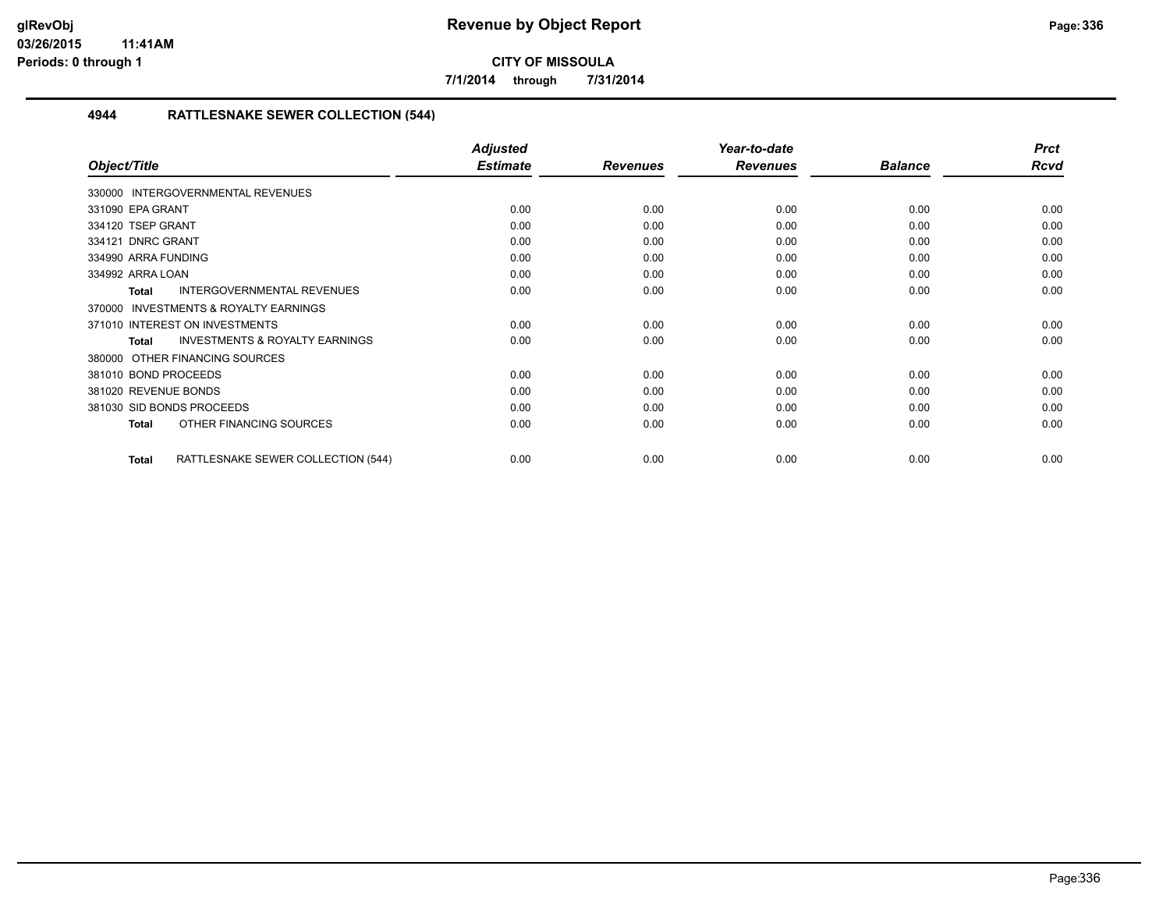**7/1/2014 through 7/31/2014**

#### **4944 RATTLESNAKE SEWER COLLECTION (544)**

|                                                     | <b>Adjusted</b> |                 | Year-to-date    |                | <b>Prct</b> |
|-----------------------------------------------------|-----------------|-----------------|-----------------|----------------|-------------|
| Object/Title                                        | <b>Estimate</b> | <b>Revenues</b> | <b>Revenues</b> | <b>Balance</b> | <b>Rcvd</b> |
| 330000 INTERGOVERNMENTAL REVENUES                   |                 |                 |                 |                |             |
| 331090 EPA GRANT                                    | 0.00            | 0.00            | 0.00            | 0.00           | 0.00        |
| 334120 TSEP GRANT                                   | 0.00            | 0.00            | 0.00            | 0.00           | 0.00        |
| 334121 DNRC GRANT                                   | 0.00            | 0.00            | 0.00            | 0.00           | 0.00        |
| 334990 ARRA FUNDING                                 | 0.00            | 0.00            | 0.00            | 0.00           | 0.00        |
| 334992 ARRA LOAN                                    | 0.00            | 0.00            | 0.00            | 0.00           | 0.00        |
| <b>INTERGOVERNMENTAL REVENUES</b><br><b>Total</b>   | 0.00            | 0.00            | 0.00            | 0.00           | 0.00        |
| <b>INVESTMENTS &amp; ROYALTY EARNINGS</b><br>370000 |                 |                 |                 |                |             |
| 371010 INTEREST ON INVESTMENTS                      | 0.00            | 0.00            | 0.00            | 0.00           | 0.00        |
| <b>INVESTMENTS &amp; ROYALTY EARNINGS</b><br>Total  | 0.00            | 0.00            | 0.00            | 0.00           | 0.00        |
| 380000 OTHER FINANCING SOURCES                      |                 |                 |                 |                |             |
| 381010 BOND PROCEEDS                                | 0.00            | 0.00            | 0.00            | 0.00           | 0.00        |
| 381020 REVENUE BONDS                                | 0.00            | 0.00            | 0.00            | 0.00           | 0.00        |
| 381030 SID BONDS PROCEEDS                           | 0.00            | 0.00            | 0.00            | 0.00           | 0.00        |
| OTHER FINANCING SOURCES<br><b>Total</b>             | 0.00            | 0.00            | 0.00            | 0.00           | 0.00        |
| RATTLESNAKE SEWER COLLECTION (544)<br><b>Total</b>  | 0.00            | 0.00            | 0.00            | 0.00           | 0.00        |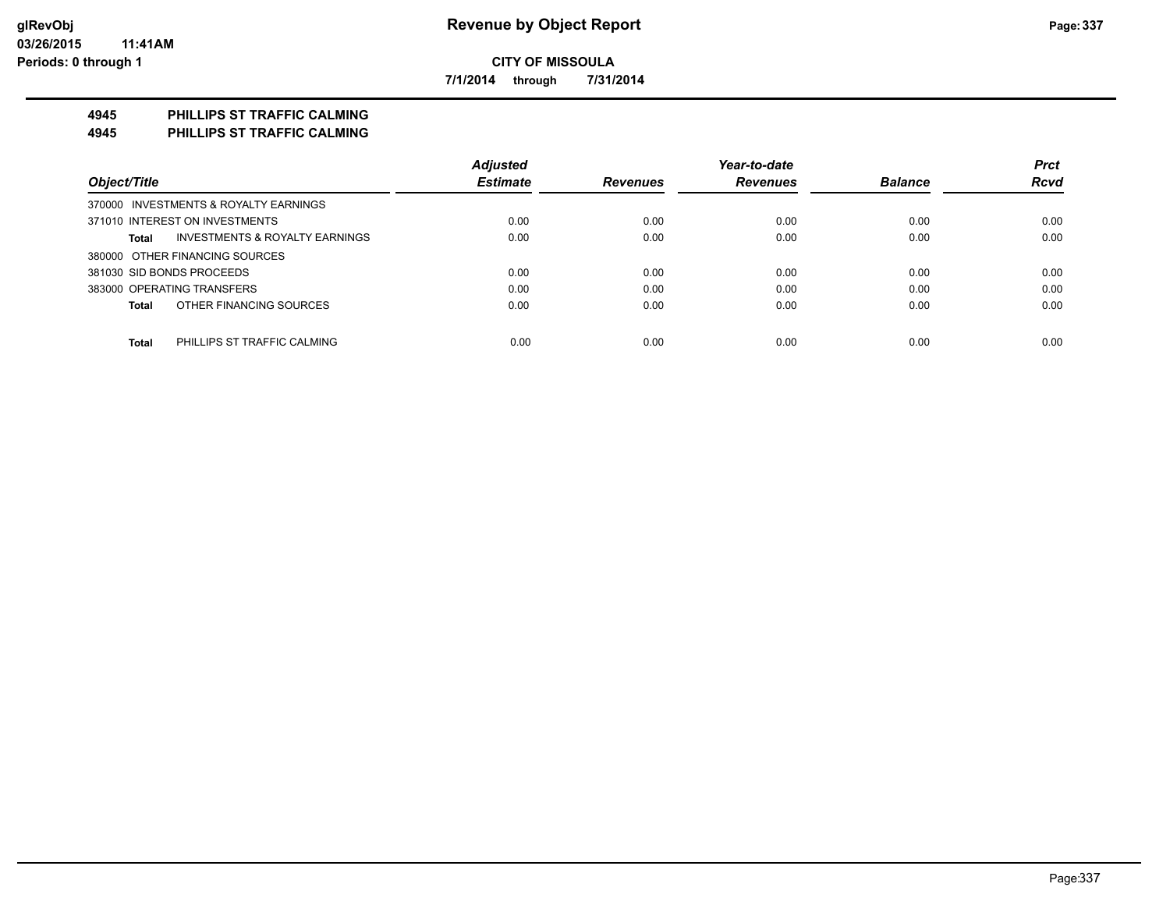**7/1/2014 through 7/31/2014**

## **4945 PHILLIPS ST TRAFFIC CALMING**

**4945 PHILLIPS ST TRAFFIC CALMING**

|                                             | <b>Adjusted</b> |                 | Year-to-date    |                | <b>Prct</b> |
|---------------------------------------------|-----------------|-----------------|-----------------|----------------|-------------|
| Object/Title                                | <b>Estimate</b> | <b>Revenues</b> | <b>Revenues</b> | <b>Balance</b> | <b>Rcvd</b> |
| 370000 INVESTMENTS & ROYALTY EARNINGS       |                 |                 |                 |                |             |
| 371010 INTEREST ON INVESTMENTS              | 0.00            | 0.00            | 0.00            | 0.00           | 0.00        |
| INVESTMENTS & ROYALTY EARNINGS<br>Total     | 0.00            | 0.00            | 0.00            | 0.00           | 0.00        |
| 380000 OTHER FINANCING SOURCES              |                 |                 |                 |                |             |
| 381030 SID BONDS PROCEEDS                   | 0.00            | 0.00            | 0.00            | 0.00           | 0.00        |
| 383000 OPERATING TRANSFERS                  | 0.00            | 0.00            | 0.00            | 0.00           | 0.00        |
| OTHER FINANCING SOURCES<br>Total            | 0.00            | 0.00            | 0.00            | 0.00           | 0.00        |
| <b>Total</b><br>PHILLIPS ST TRAFFIC CALMING | 0.00            | 0.00            | 0.00            | 0.00           | 0.00        |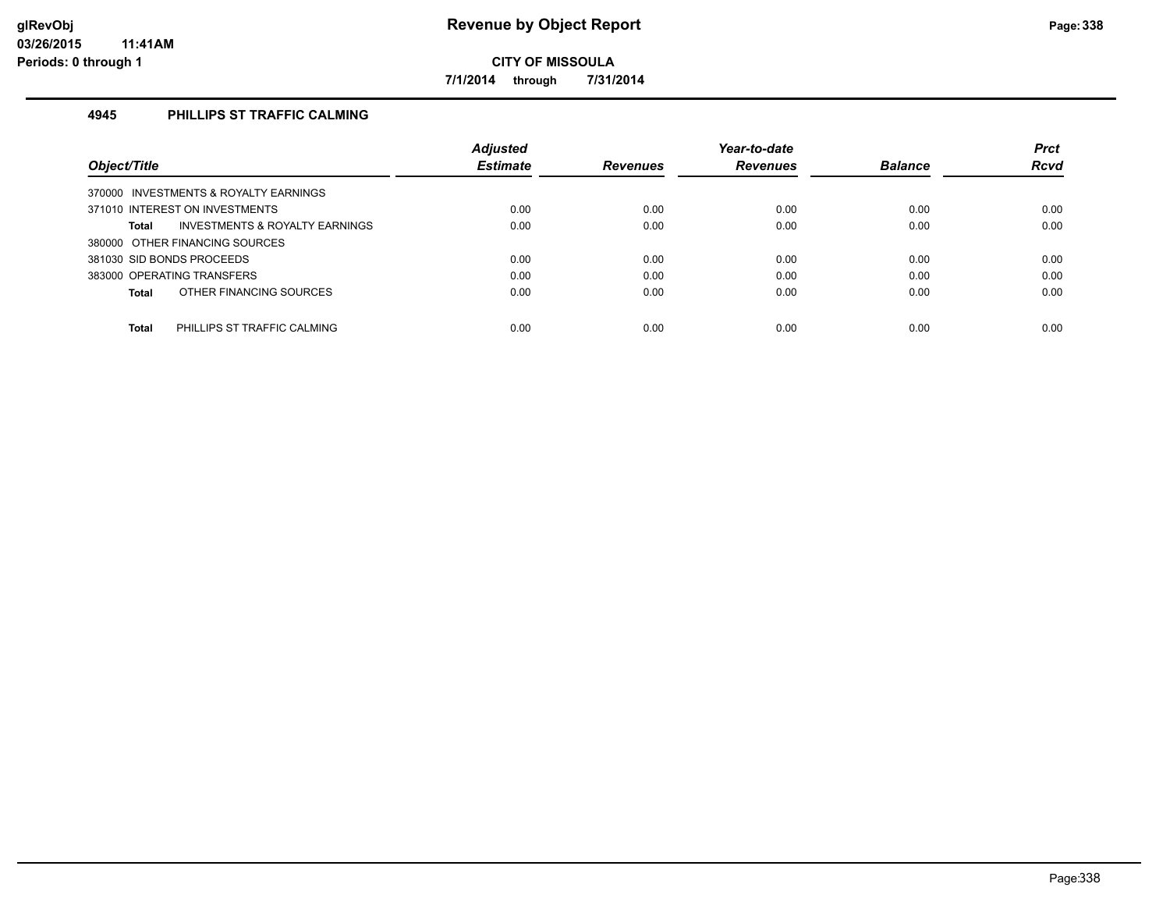**7/1/2014 through 7/31/2014**

#### **4945 PHILLIPS ST TRAFFIC CALMING**

| Object/Title                                   | <b>Adjusted</b><br><b>Estimate</b> | <b>Revenues</b> | Year-to-date<br><b>Revenues</b> | <b>Balance</b> | <b>Prct</b><br><b>Rcvd</b> |
|------------------------------------------------|------------------------------------|-----------------|---------------------------------|----------------|----------------------------|
| 370000 INVESTMENTS & ROYALTY EARNINGS          |                                    |                 |                                 |                |                            |
| 371010 INTEREST ON INVESTMENTS                 | 0.00                               | 0.00            | 0.00                            | 0.00           | 0.00                       |
| INVESTMENTS & ROYALTY EARNINGS<br><b>Total</b> | 0.00                               | 0.00            | 0.00                            | 0.00           | 0.00                       |
| 380000 OTHER FINANCING SOURCES                 |                                    |                 |                                 |                |                            |
| 381030 SID BONDS PROCEEDS                      | 0.00                               | 0.00            | 0.00                            | 0.00           | 0.00                       |
| 383000 OPERATING TRANSFERS                     | 0.00                               | 0.00            | 0.00                            | 0.00           | 0.00                       |
| OTHER FINANCING SOURCES<br><b>Total</b>        | 0.00                               | 0.00            | 0.00                            | 0.00           | 0.00                       |
|                                                |                                    |                 |                                 |                |                            |
| PHILLIPS ST TRAFFIC CALMING<br><b>Total</b>    | 0.00                               | 0.00            | 0.00                            | 0.00           | 0.00                       |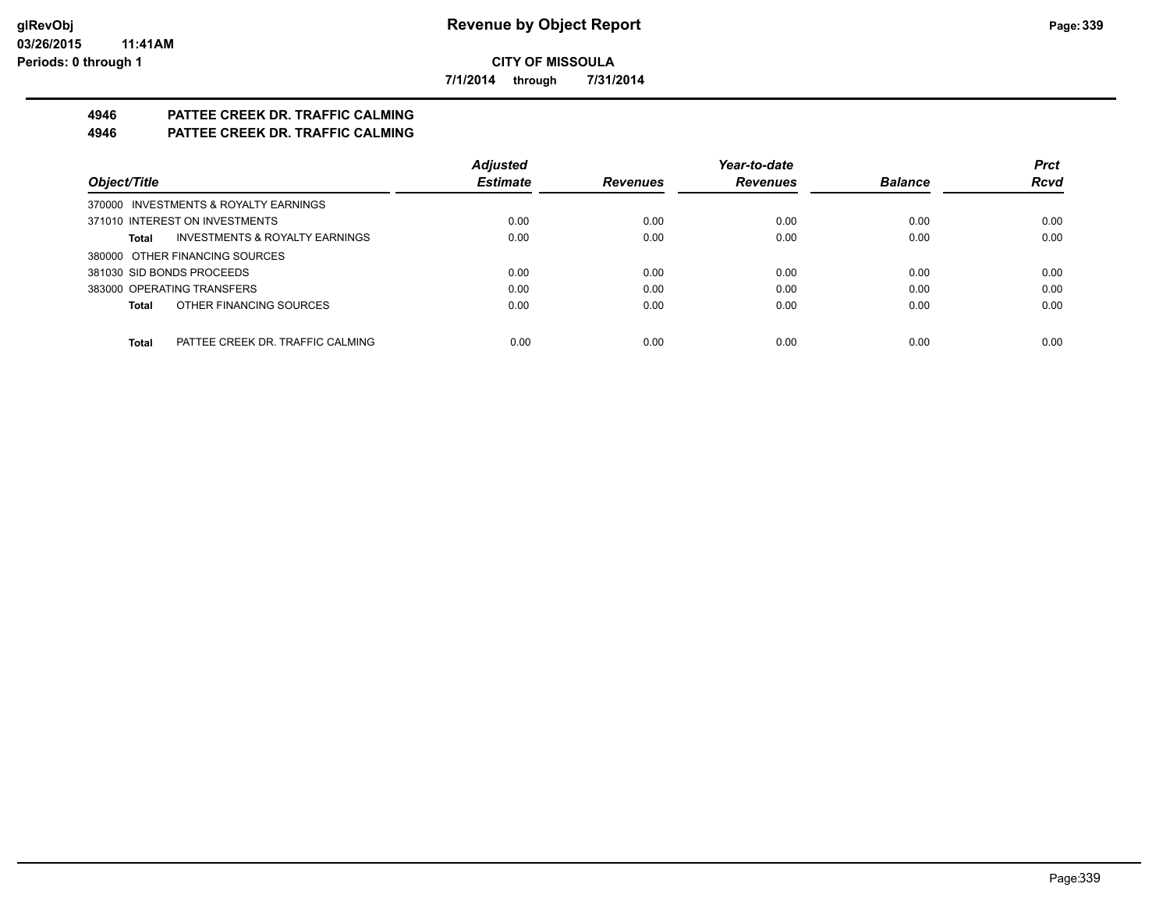**7/1/2014 through 7/31/2014**

# **4946 PATTEE CREEK DR. TRAFFIC CALMING**

# **4946 PATTEE CREEK DR. TRAFFIC CALMING**

|                                           | <b>Adjusted</b> |                 | Year-to-date    |                | <b>Prct</b> |
|-------------------------------------------|-----------------|-----------------|-----------------|----------------|-------------|
| Object/Title                              | <b>Estimate</b> | <b>Revenues</b> | <b>Revenues</b> | <b>Balance</b> | <b>Rcvd</b> |
| 370000 INVESTMENTS & ROYALTY EARNINGS     |                 |                 |                 |                |             |
| 371010 INTEREST ON INVESTMENTS            | 0.00            | 0.00            | 0.00            | 0.00           | 0.00        |
| INVESTMENTS & ROYALTY EARNINGS<br>Total   | 0.00            | 0.00            | 0.00            | 0.00           | 0.00        |
| 380000 OTHER FINANCING SOURCES            |                 |                 |                 |                |             |
| 381030 SID BONDS PROCEEDS                 | 0.00            | 0.00            | 0.00            | 0.00           | 0.00        |
| 383000 OPERATING TRANSFERS                | 0.00            | 0.00            | 0.00            | 0.00           | 0.00        |
| OTHER FINANCING SOURCES<br>Total          | 0.00            | 0.00            | 0.00            | 0.00           | 0.00        |
|                                           |                 |                 |                 |                |             |
| Total<br>PATTEE CREEK DR. TRAFFIC CALMING | 0.00            | 0.00            | 0.00            | 0.00           | 0.00        |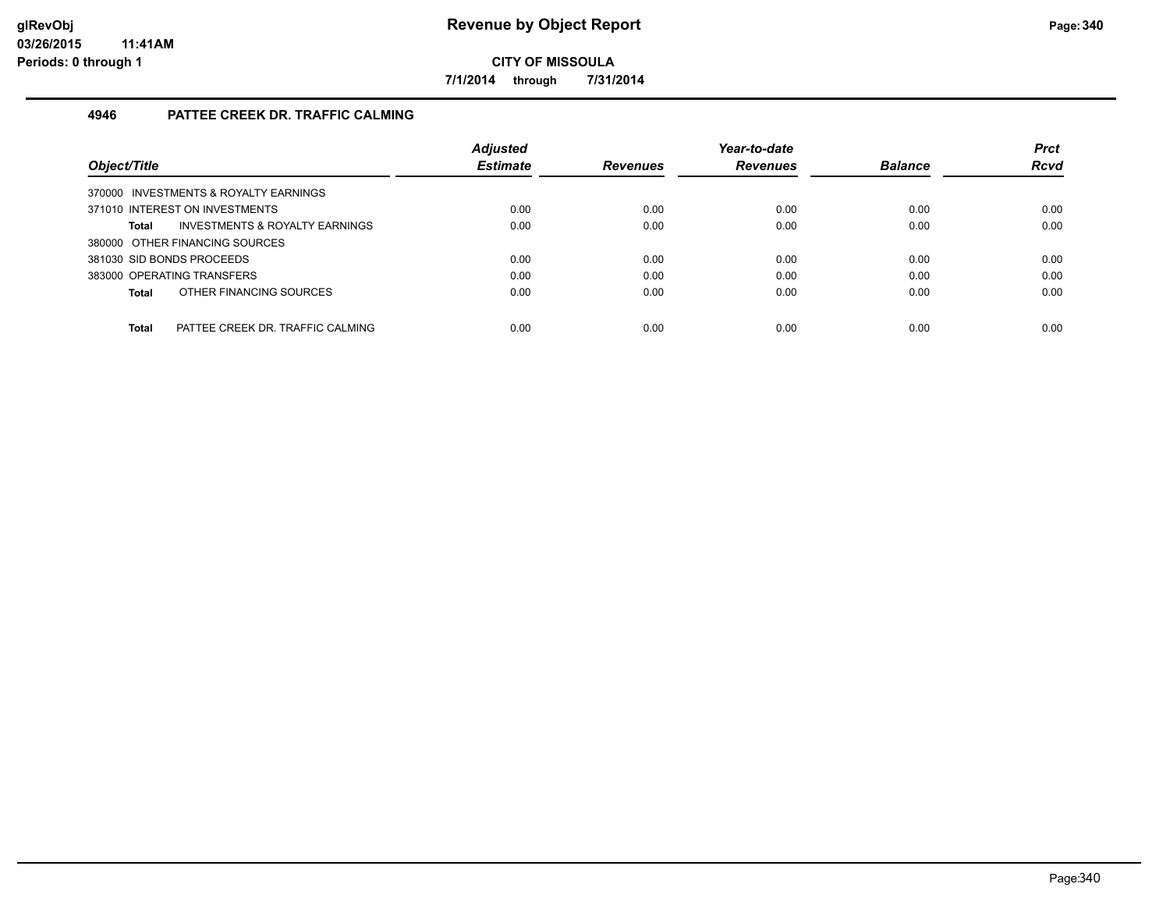**7/1/2014 through 7/31/2014**

#### **4946 PATTEE CREEK DR. TRAFFIC CALMING**

| Object/Title                                     | <b>Adjusted</b><br><b>Estimate</b> | <b>Revenues</b> | Year-to-date<br><b>Revenues</b> | <b>Balance</b> | <b>Prct</b><br><b>Rcvd</b> |
|--------------------------------------------------|------------------------------------|-----------------|---------------------------------|----------------|----------------------------|
| 370000 INVESTMENTS & ROYALTY EARNINGS            |                                    |                 |                                 |                |                            |
| 371010 INTEREST ON INVESTMENTS                   | 0.00                               | 0.00            | 0.00                            | 0.00           | 0.00                       |
| INVESTMENTS & ROYALTY EARNINGS<br><b>Total</b>   | 0.00                               | 0.00            | 0.00                            | 0.00           | 0.00                       |
| 380000 OTHER FINANCING SOURCES                   |                                    |                 |                                 |                |                            |
| 381030 SID BONDS PROCEEDS                        | 0.00                               | 0.00            | 0.00                            | 0.00           | 0.00                       |
| 383000 OPERATING TRANSFERS                       | 0.00                               | 0.00            | 0.00                            | 0.00           | 0.00                       |
| OTHER FINANCING SOURCES<br><b>Total</b>          | 0.00                               | 0.00            | 0.00                            | 0.00           | 0.00                       |
|                                                  |                                    |                 |                                 |                |                            |
| PATTEE CREEK DR. TRAFFIC CALMING<br><b>Total</b> | 0.00                               | 0.00            | 0.00                            | 0.00           | 0.00                       |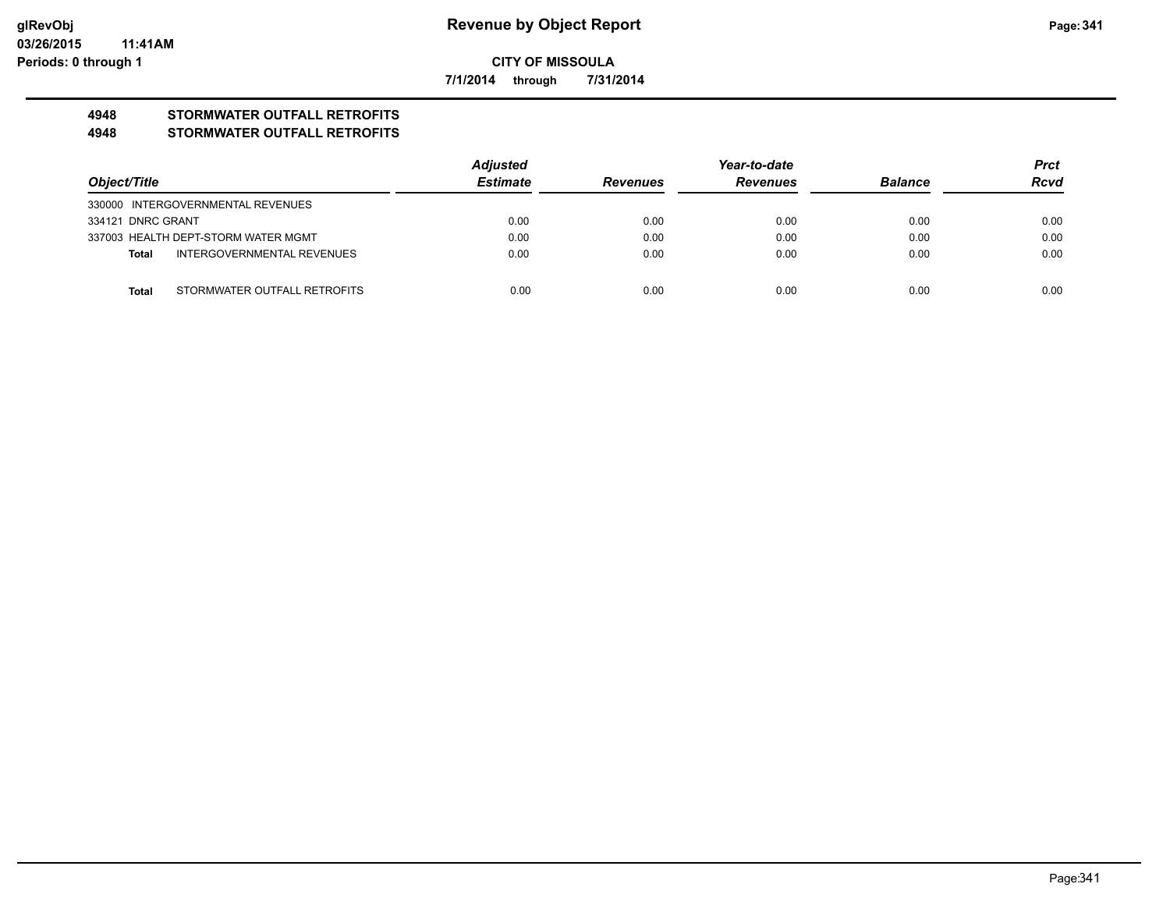**7/1/2014 through 7/31/2014**

# **4948 STORMWATER OUTFALL RETROFITS**

#### **4948 STORMWATER OUTFALL RETROFITS**

|                   |                                     | Adjusted        |                 | <b>Prct</b>     |                |             |
|-------------------|-------------------------------------|-----------------|-----------------|-----------------|----------------|-------------|
| Object/Title      |                                     | <b>Estimate</b> | <b>Revenues</b> | <b>Revenues</b> | <b>Balance</b> | <b>Rcvd</b> |
|                   | 330000 INTERGOVERNMENTAL REVENUES   |                 |                 |                 |                |             |
| 334121 DNRC GRANT |                                     | 0.00            | 0.00            | 0.00            | 0.00           | 0.00        |
|                   | 337003 HEALTH DEPT-STORM WATER MGMT | 0.00            | 0.00            | 0.00            | 0.00           | 0.00        |
| Total             | INTERGOVERNMENTAL REVENUES          | 0.00            | 0.00            | 0.00            | 0.00           | 0.00        |
|                   |                                     |                 |                 |                 |                |             |
| Total             | STORMWATER OUTFALL RETROFITS        | 0.00            | 0.00            | 0.00            | 0.00           | 0.00        |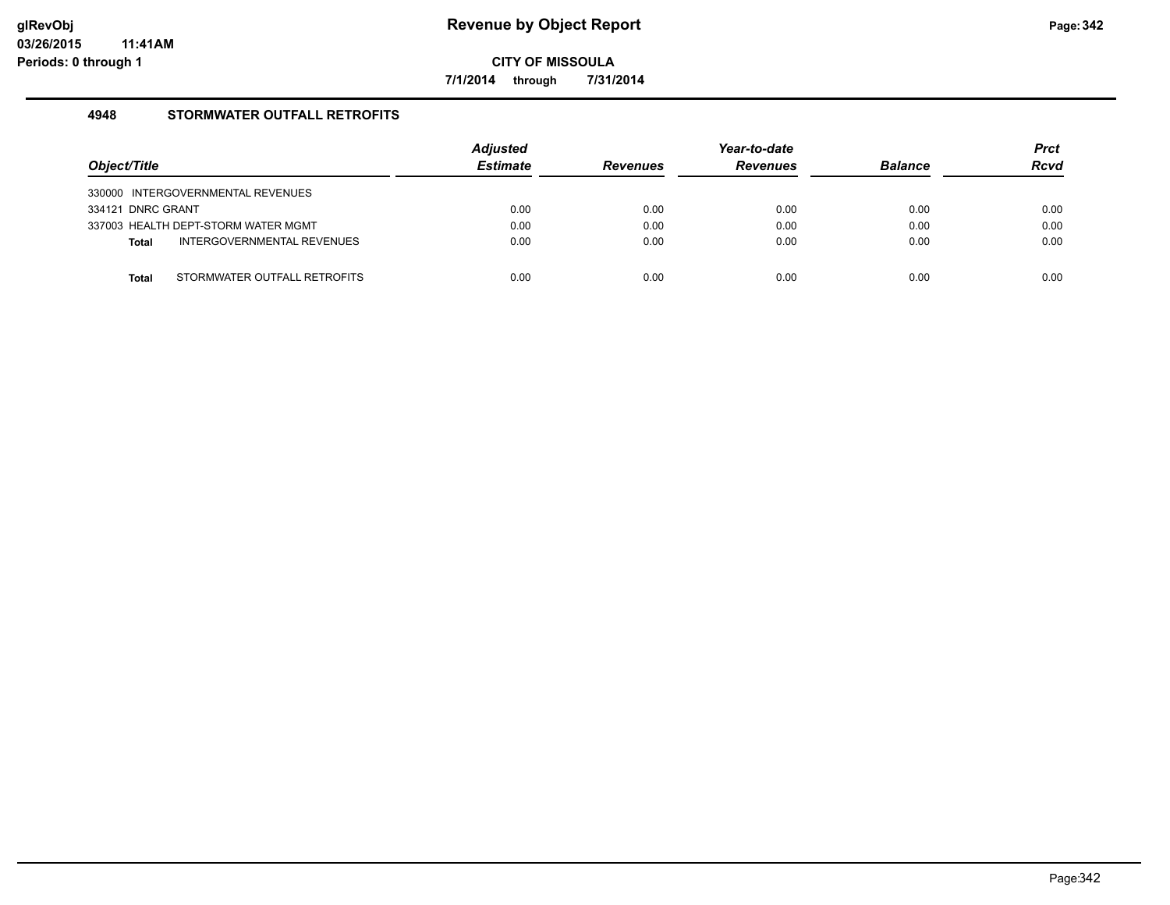**7/1/2014 through 7/31/2014**

#### **4948 STORMWATER OUTFALL RETROFITS**

| Object/Title                               | <b>Adjusted</b><br><b>Estimate</b> | <b>Revenues</b> | Year-to-date<br><b>Revenues</b> | <b>Balance</b> | <b>Prct</b><br><b>Rcvd</b> |
|--------------------------------------------|------------------------------------|-----------------|---------------------------------|----------------|----------------------------|
| 330000 INTERGOVERNMENTAL REVENUES          |                                    |                 |                                 |                |                            |
| 334121 DNRC GRANT                          | 0.00                               | 0.00            | 0.00                            | 0.00           | 0.00                       |
| 337003 HEALTH DEPT-STORM WATER MGMT        | 0.00                               | 0.00            | 0.00                            | 0.00           | 0.00                       |
| INTERGOVERNMENTAL REVENUES<br><b>Total</b> | 0.00                               | 0.00            | 0.00                            | 0.00           | 0.00                       |
|                                            |                                    |                 |                                 |                |                            |
| STORMWATER OUTFALL RETROFITS<br>Total      | 0.00                               | 0.00            | 0.00                            | 0.00           | 0.00                       |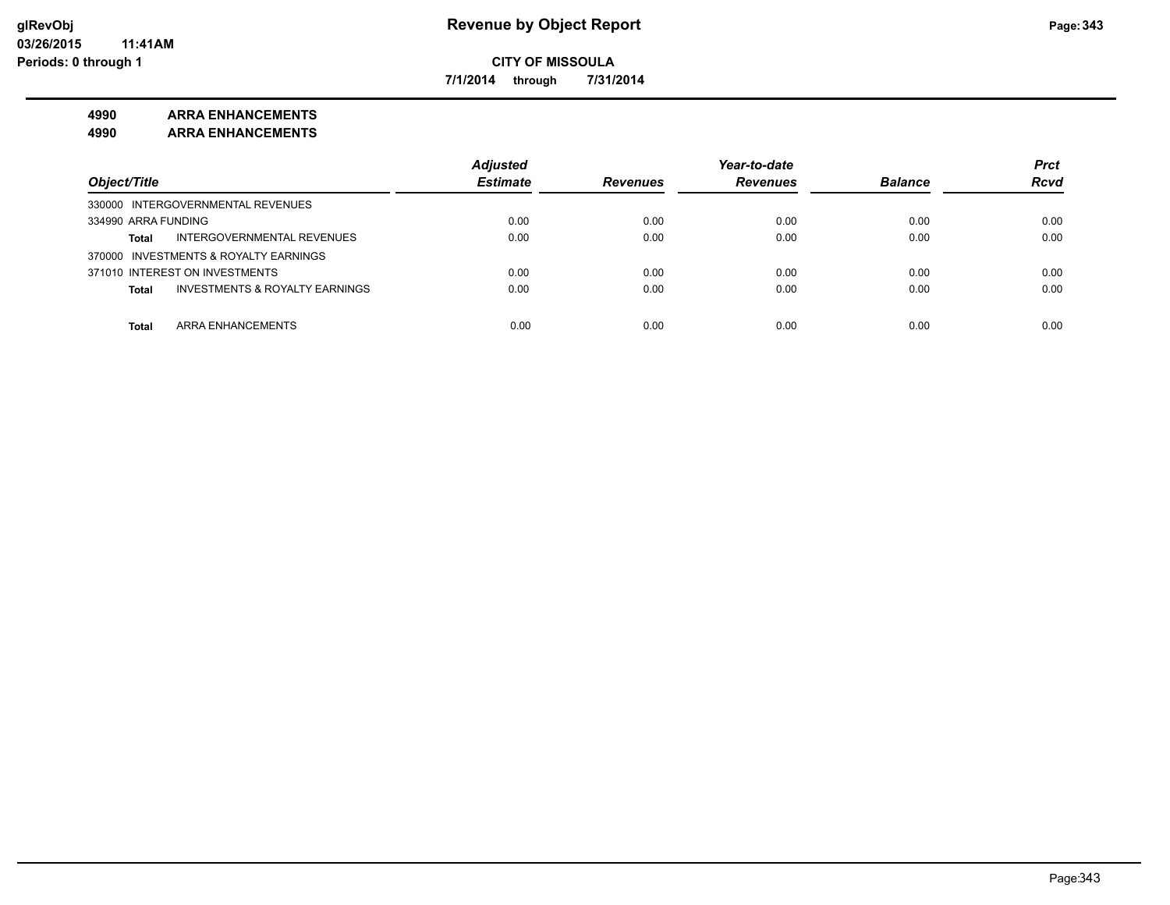**7/1/2014 through 7/31/2014**

#### **4990 ARRA ENHANCEMENTS**

**4990 ARRA ENHANCEMENTS**

|                                                           | <b>Adjusted</b> |                 | Year-to-date    |                | <b>Prct</b> |
|-----------------------------------------------------------|-----------------|-----------------|-----------------|----------------|-------------|
| Object/Title                                              | <b>Estimate</b> | <b>Revenues</b> | <b>Revenues</b> | <b>Balance</b> | <b>Rcvd</b> |
| 330000 INTERGOVERNMENTAL REVENUES                         |                 |                 |                 |                |             |
| 334990 ARRA FUNDING                                       | 0.00            | 0.00            | 0.00            | 0.00           | 0.00        |
| INTERGOVERNMENTAL REVENUES<br><b>Total</b>                | 0.00            | 0.00            | 0.00            | 0.00           | 0.00        |
| 370000 INVESTMENTS & ROYALTY EARNINGS                     |                 |                 |                 |                |             |
| 371010 INTEREST ON INVESTMENTS                            | 0.00            | 0.00            | 0.00            | 0.00           | 0.00        |
| <b>INVESTMENTS &amp; ROYALTY EARNINGS</b><br><b>Total</b> | 0.00            | 0.00            | 0.00            | 0.00           | 0.00        |
|                                                           |                 |                 |                 |                |             |
| ARRA ENHANCEMENTS<br><b>Total</b>                         | 0.00            | 0.00            | 0.00            | 0.00           | 0.00        |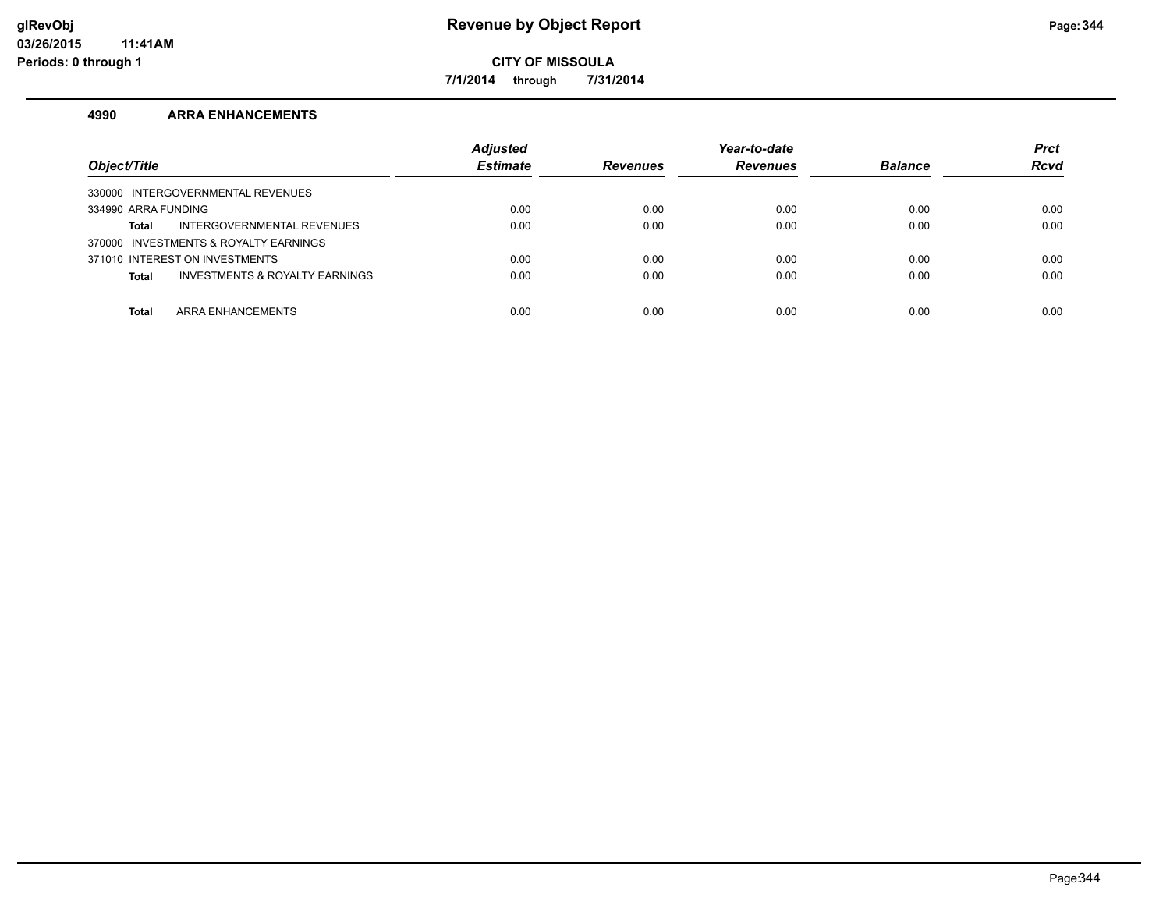**7/1/2014 through 7/31/2014**

#### **4990 ARRA ENHANCEMENTS**

| Object/Title                                   | <b>Adjusted</b><br><b>Estimate</b> | <b>Revenues</b> | Year-to-date<br><b>Revenues</b> | <b>Balance</b> | <b>Prct</b><br><b>Rcvd</b> |
|------------------------------------------------|------------------------------------|-----------------|---------------------------------|----------------|----------------------------|
| 330000 INTERGOVERNMENTAL REVENUES              |                                    |                 |                                 |                |                            |
| 334990 ARRA FUNDING                            | 0.00                               | 0.00            | 0.00                            | 0.00           | 0.00                       |
| INTERGOVERNMENTAL REVENUES<br>Total            | 0.00                               | 0.00            | 0.00                            | 0.00           | 0.00                       |
| 370000 INVESTMENTS & ROYALTY EARNINGS          |                                    |                 |                                 |                |                            |
| 371010 INTEREST ON INVESTMENTS                 | 0.00                               | 0.00            | 0.00                            | 0.00           | 0.00                       |
| INVESTMENTS & ROYALTY EARNINGS<br><b>Total</b> | 0.00                               | 0.00            | 0.00                            | 0.00           | 0.00                       |
|                                                |                                    |                 |                                 |                |                            |
| ARRA ENHANCEMENTS<br><b>Total</b>              | 0.00                               | 0.00            | 0.00                            | 0.00           | 0.00                       |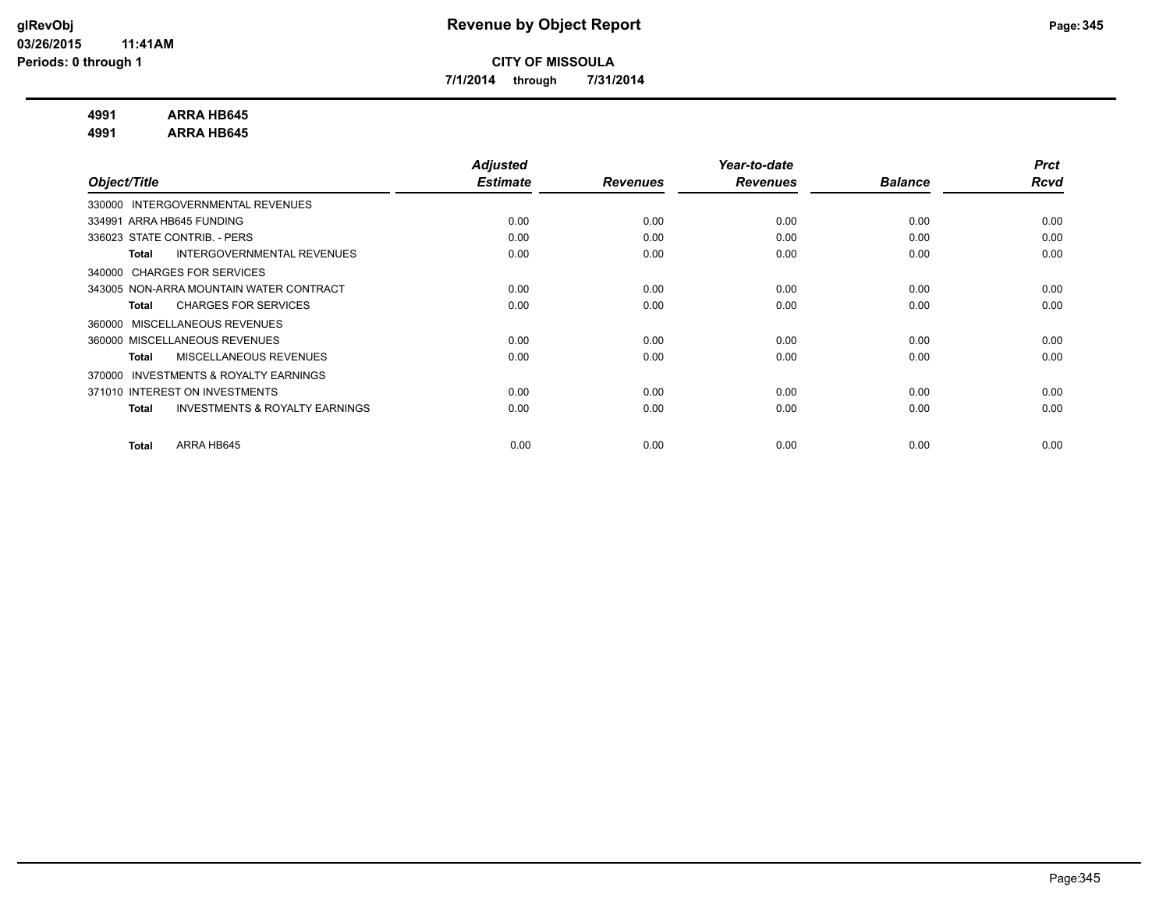**7/1/2014 through 7/31/2014**

#### **4991 ARRA HB645**

**4991 ARRA HB645**

|                                                           | <b>Adjusted</b> |                 | Year-to-date    |                | <b>Prct</b> |
|-----------------------------------------------------------|-----------------|-----------------|-----------------|----------------|-------------|
| Object/Title                                              | <b>Estimate</b> | <b>Revenues</b> | <b>Revenues</b> | <b>Balance</b> | <b>Rcvd</b> |
| INTERGOVERNMENTAL REVENUES<br>330000                      |                 |                 |                 |                |             |
| 334991 ARRA HB645 FUNDING                                 | 0.00            | 0.00            | 0.00            | 0.00           | 0.00        |
| 336023 STATE CONTRIB. - PERS                              | 0.00            | 0.00            | 0.00            | 0.00           | 0.00        |
| <b>INTERGOVERNMENTAL REVENUES</b><br><b>Total</b>         | 0.00            | 0.00            | 0.00            | 0.00           | 0.00        |
| 340000 CHARGES FOR SERVICES                               |                 |                 |                 |                |             |
| 343005 NON-ARRA MOUNTAIN WATER CONTRACT                   | 0.00            | 0.00            | 0.00            | 0.00           | 0.00        |
| <b>CHARGES FOR SERVICES</b><br>Total                      | 0.00            | 0.00            | 0.00            | 0.00           | 0.00        |
| MISCELLANEOUS REVENUES<br>360000                          |                 |                 |                 |                |             |
| 360000 MISCELLANEOUS REVENUES                             | 0.00            | 0.00            | 0.00            | 0.00           | 0.00        |
| MISCELLANEOUS REVENUES<br><b>Total</b>                    | 0.00            | 0.00            | 0.00            | 0.00           | 0.00        |
| <b>INVESTMENTS &amp; ROYALTY EARNINGS</b><br>370000       |                 |                 |                 |                |             |
| 371010 INTEREST ON INVESTMENTS                            | 0.00            | 0.00            | 0.00            | 0.00           | 0.00        |
| <b>INVESTMENTS &amp; ROYALTY EARNINGS</b><br><b>Total</b> | 0.00            | 0.00            | 0.00            | 0.00           | 0.00        |
|                                                           |                 |                 |                 |                |             |
| ARRA HB645<br><b>Total</b>                                | 0.00            | 0.00            | 0.00            | 0.00           | 0.00        |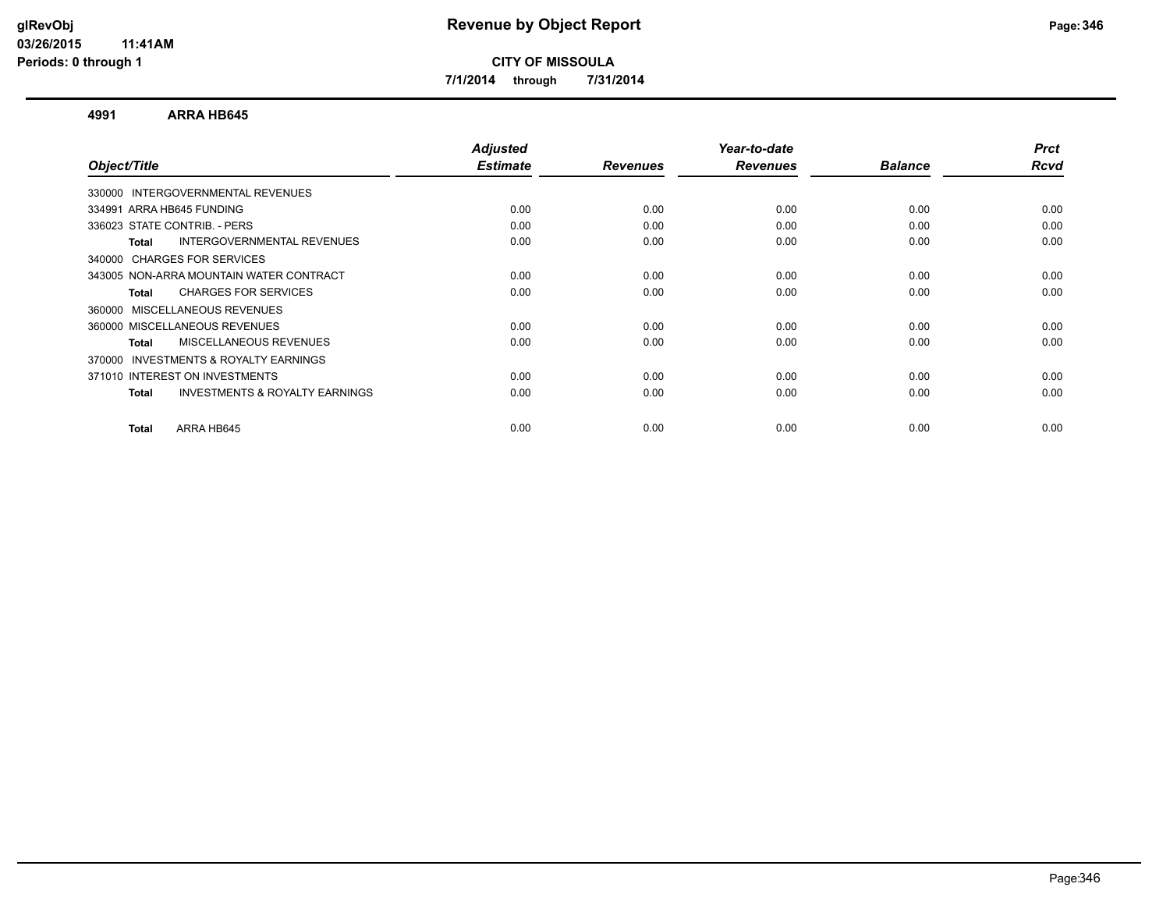**7/1/2014 through 7/31/2014**

#### **4991 ARRA HB645**

| Object/Title                                              | <b>Adjusted</b><br><b>Estimate</b> | <b>Revenues</b> | Year-to-date<br><b>Revenues</b> | <b>Balance</b> | <b>Prct</b><br>Rcvd |
|-----------------------------------------------------------|------------------------------------|-----------------|---------------------------------|----------------|---------------------|
|                                                           |                                    |                 |                                 |                |                     |
| 330000 INTERGOVERNMENTAL REVENUES                         |                                    |                 |                                 |                |                     |
| 334991 ARRA HB645 FUNDING                                 | 0.00                               | 0.00            | 0.00                            | 0.00           | 0.00                |
| 336023 STATE CONTRIB. - PERS                              | 0.00                               | 0.00            | 0.00                            | 0.00           | 0.00                |
| INTERGOVERNMENTAL REVENUES<br>Total                       | 0.00                               | 0.00            | 0.00                            | 0.00           | 0.00                |
| 340000 CHARGES FOR SERVICES                               |                                    |                 |                                 |                |                     |
| 343005 NON-ARRA MOUNTAIN WATER CONTRACT                   | 0.00                               | 0.00            | 0.00                            | 0.00           | 0.00                |
| <b>CHARGES FOR SERVICES</b><br>Total                      | 0.00                               | 0.00            | 0.00                            | 0.00           | 0.00                |
| 360000 MISCELLANEOUS REVENUES                             |                                    |                 |                                 |                |                     |
| 360000 MISCELLANEOUS REVENUES                             | 0.00                               | 0.00            | 0.00                            | 0.00           | 0.00                |
| <b>MISCELLANEOUS REVENUES</b><br>Total                    | 0.00                               | 0.00            | 0.00                            | 0.00           | 0.00                |
| <b>INVESTMENTS &amp; ROYALTY EARNINGS</b><br>370000       |                                    |                 |                                 |                |                     |
| 371010 INTEREST ON INVESTMENTS                            | 0.00                               | 0.00            | 0.00                            | 0.00           | 0.00                |
| <b>INVESTMENTS &amp; ROYALTY EARNINGS</b><br><b>Total</b> | 0.00                               | 0.00            | 0.00                            | 0.00           | 0.00                |
| ARRA HB645<br>Total                                       | 0.00                               | 0.00            | 0.00                            | 0.00           | 0.00                |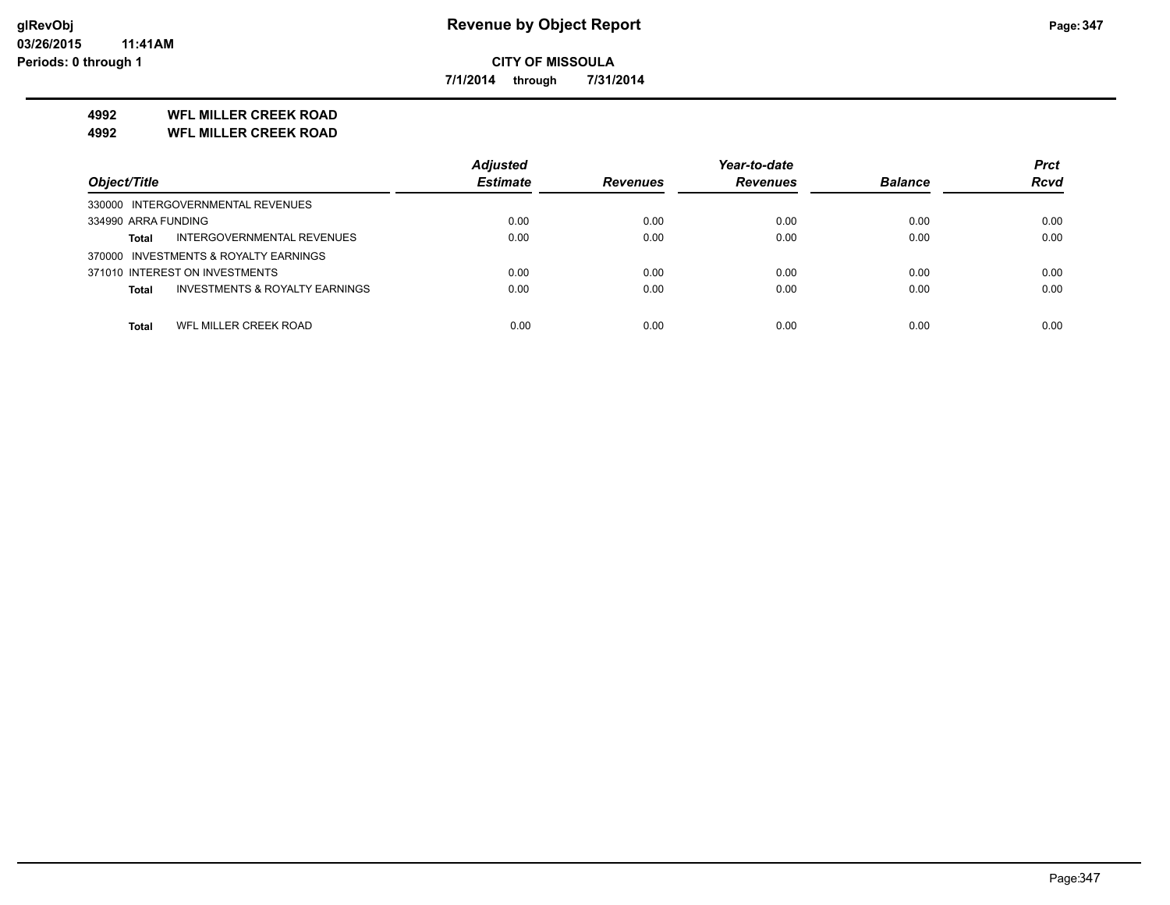**7/1/2014 through 7/31/2014**

### **4992 WFL MILLER CREEK ROAD**

**4992 WFL MILLER CREEK ROAD**

|                                                           | <b>Adjusted</b> |                 | Year-to-date    |                | <b>Prct</b> |
|-----------------------------------------------------------|-----------------|-----------------|-----------------|----------------|-------------|
| Object/Title                                              | <b>Estimate</b> | <b>Revenues</b> | <b>Revenues</b> | <b>Balance</b> | <b>Rcvd</b> |
| 330000 INTERGOVERNMENTAL REVENUES                         |                 |                 |                 |                |             |
| 334990 ARRA FUNDING                                       | 0.00            | 0.00            | 0.00            | 0.00           | 0.00        |
| INTERGOVERNMENTAL REVENUES<br><b>Total</b>                | 0.00            | 0.00            | 0.00            | 0.00           | 0.00        |
| 370000 INVESTMENTS & ROYALTY EARNINGS                     |                 |                 |                 |                |             |
| 371010 INTEREST ON INVESTMENTS                            | 0.00            | 0.00            | 0.00            | 0.00           | 0.00        |
| <b>INVESTMENTS &amp; ROYALTY EARNINGS</b><br><b>Total</b> | 0.00            | 0.00            | 0.00            | 0.00           | 0.00        |
|                                                           |                 |                 |                 |                |             |
| WFL MILLER CREEK ROAD<br><b>Total</b>                     | 0.00            | 0.00            | 0.00            | 0.00           | 0.00        |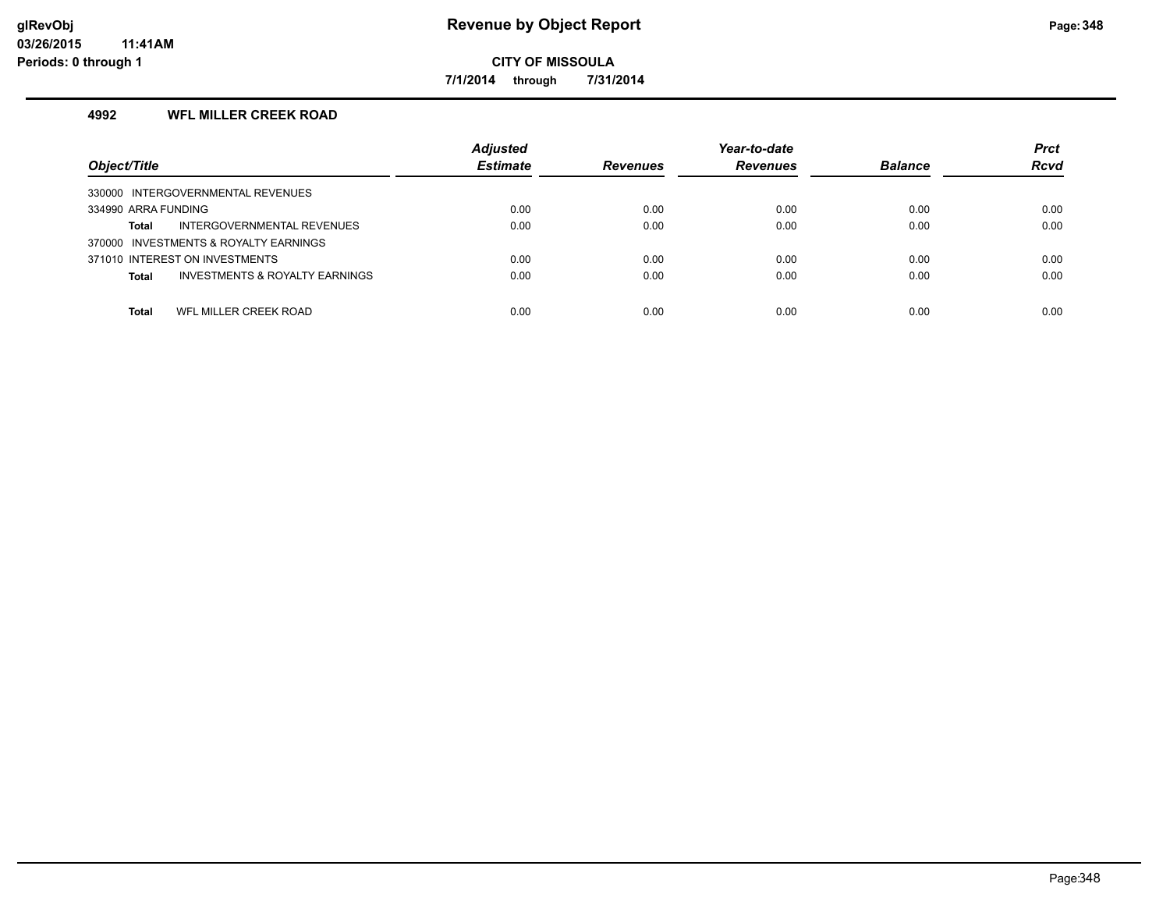**7/1/2014 through 7/31/2014**

#### **4992 WFL MILLER CREEK ROAD**

| Object/Title                                   | <b>Adjusted</b><br><b>Estimate</b> | <b>Revenues</b> | Year-to-date<br><b>Revenues</b> | <b>Balance</b> | <b>Prct</b><br><b>Rcvd</b> |
|------------------------------------------------|------------------------------------|-----------------|---------------------------------|----------------|----------------------------|
| 330000 INTERGOVERNMENTAL REVENUES              |                                    |                 |                                 |                |                            |
| 334990 ARRA FUNDING                            | 0.00                               | 0.00            | 0.00                            | 0.00           | 0.00                       |
| INTERGOVERNMENTAL REVENUES<br>Total            | 0.00                               | 0.00            | 0.00                            | 0.00           | 0.00                       |
| 370000 INVESTMENTS & ROYALTY EARNINGS          |                                    |                 |                                 |                |                            |
| 371010 INTEREST ON INVESTMENTS                 | 0.00                               | 0.00            | 0.00                            | 0.00           | 0.00                       |
| INVESTMENTS & ROYALTY EARNINGS<br><b>Total</b> | 0.00                               | 0.00            | 0.00                            | 0.00           | 0.00                       |
|                                                |                                    |                 |                                 |                |                            |
| WFL MILLER CREEK ROAD<br><b>Total</b>          | 0.00                               | 0.00            | 0.00                            | 0.00           | 0.00                       |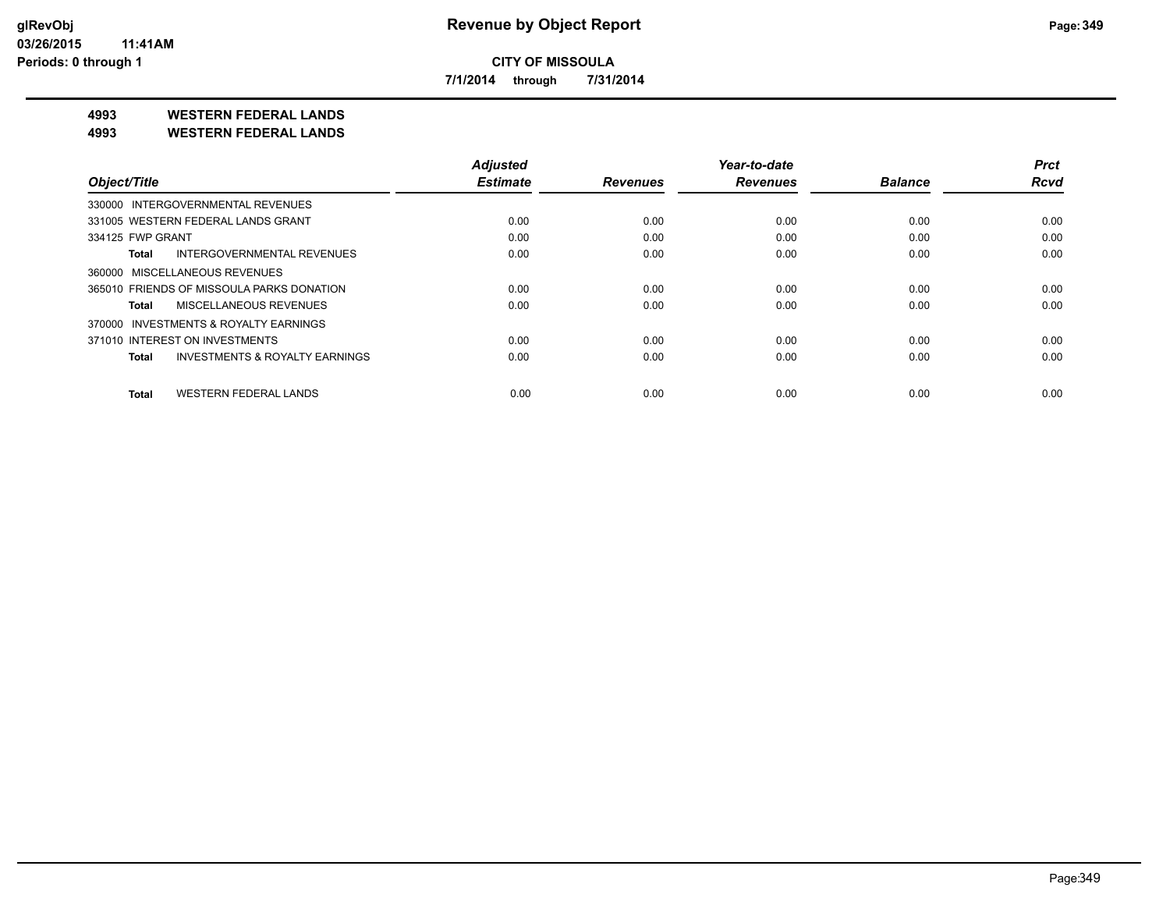**7/1/2014 through 7/31/2014**

**4993 WESTERN FEDERAL LANDS**

**4993 WESTERN FEDERAL LANDS**

|                                              | <b>Adjusted</b> |                 | Year-to-date    |                | <b>Prct</b> |
|----------------------------------------------|-----------------|-----------------|-----------------|----------------|-------------|
| Object/Title                                 | <b>Estimate</b> | <b>Revenues</b> | <b>Revenues</b> | <b>Balance</b> | <b>Rcvd</b> |
| 330000 INTERGOVERNMENTAL REVENUES            |                 |                 |                 |                |             |
| 331005 WESTERN FEDERAL LANDS GRANT           | 0.00            | 0.00            | 0.00            | 0.00           | 0.00        |
| 334125 FWP GRANT                             | 0.00            | 0.00            | 0.00            | 0.00           | 0.00        |
| INTERGOVERNMENTAL REVENUES<br>Total          | 0.00            | 0.00            | 0.00            | 0.00           | 0.00        |
| 360000 MISCELLANEOUS REVENUES                |                 |                 |                 |                |             |
| 365010 FRIENDS OF MISSOULA PARKS DONATION    | 0.00            | 0.00            | 0.00            | 0.00           | 0.00        |
| MISCELLANEOUS REVENUES<br>Total              | 0.00            | 0.00            | 0.00            | 0.00           | 0.00        |
| 370000 INVESTMENTS & ROYALTY EARNINGS        |                 |                 |                 |                |             |
| 371010 INTEREST ON INVESTMENTS               | 0.00            | 0.00            | 0.00            | 0.00           | 0.00        |
| INVESTMENTS & ROYALTY EARNINGS<br>Total      | 0.00            | 0.00            | 0.00            | 0.00           | 0.00        |
| <b>WESTERN FEDERAL LANDS</b><br><b>Total</b> | 0.00            | 0.00            | 0.00            | 0.00           | 0.00        |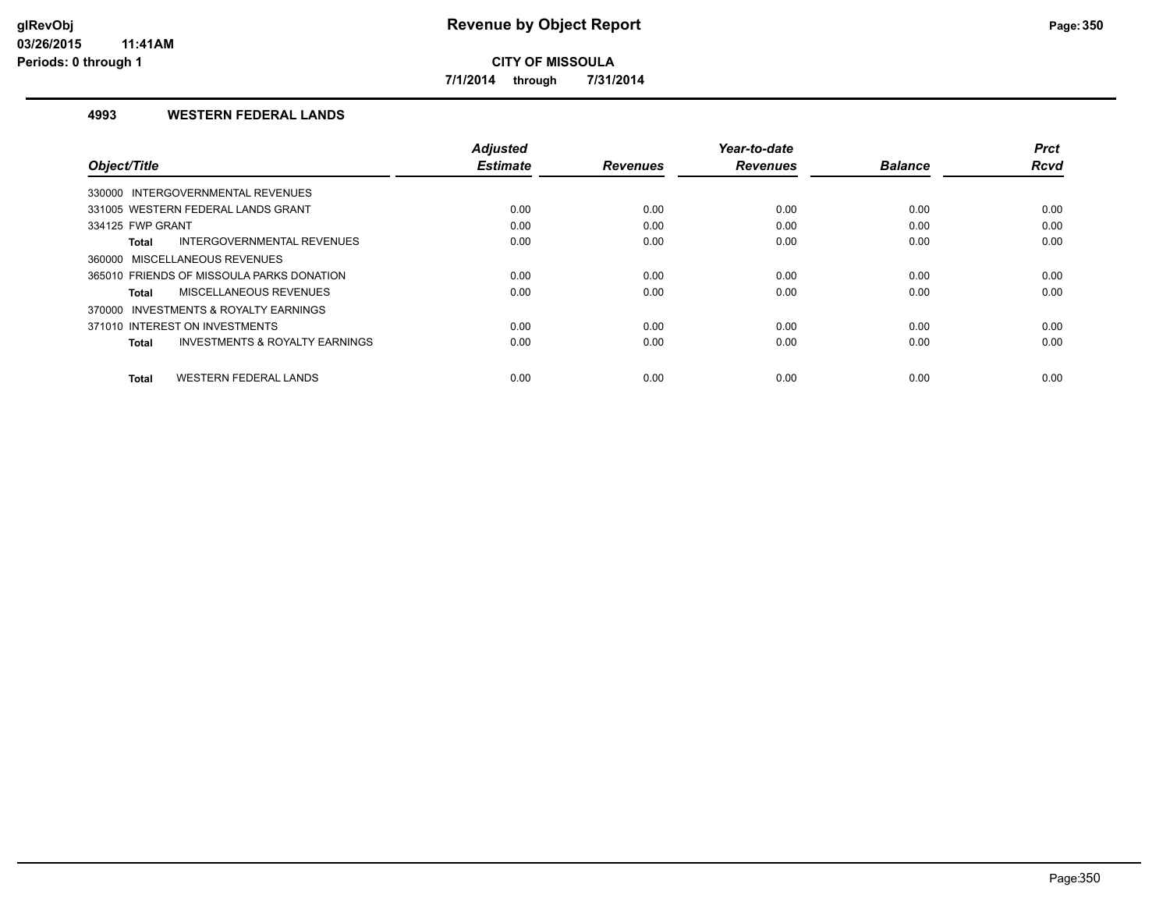**7/1/2014 through 7/31/2014**

#### **4993 WESTERN FEDERAL LANDS**

|                                                    | <b>Adjusted</b> |                 | Year-to-date    |                | <b>Prct</b> |
|----------------------------------------------------|-----------------|-----------------|-----------------|----------------|-------------|
| Object/Title                                       | <b>Estimate</b> | <b>Revenues</b> | <b>Revenues</b> | <b>Balance</b> | <b>Rcvd</b> |
| 330000 INTERGOVERNMENTAL REVENUES                  |                 |                 |                 |                |             |
| 331005 WESTERN FEDERAL LANDS GRANT                 | 0.00            | 0.00            | 0.00            | 0.00           | 0.00        |
| 334125 FWP GRANT                                   | 0.00            | 0.00            | 0.00            | 0.00           | 0.00        |
| INTERGOVERNMENTAL REVENUES<br><b>Total</b>         | 0.00            | 0.00            | 0.00            | 0.00           | 0.00        |
| 360000 MISCELLANEOUS REVENUES                      |                 |                 |                 |                |             |
| 365010 FRIENDS OF MISSOULA PARKS DONATION          | 0.00            | 0.00            | 0.00            | 0.00           | 0.00        |
| MISCELLANEOUS REVENUES<br>Total                    | 0.00            | 0.00            | 0.00            | 0.00           | 0.00        |
| 370000 INVESTMENTS & ROYALTY EARNINGS              |                 |                 |                 |                |             |
| 371010 INTEREST ON INVESTMENTS                     | 0.00            | 0.00            | 0.00            | 0.00           | 0.00        |
| <b>INVESTMENTS &amp; ROYALTY EARNINGS</b><br>Total | 0.00            | 0.00            | 0.00            | 0.00           | 0.00        |
|                                                    |                 |                 |                 |                |             |
| <b>WESTERN FEDERAL LANDS</b><br><b>Total</b>       | 0.00            | 0.00            | 0.00            | 0.00           | 0.00        |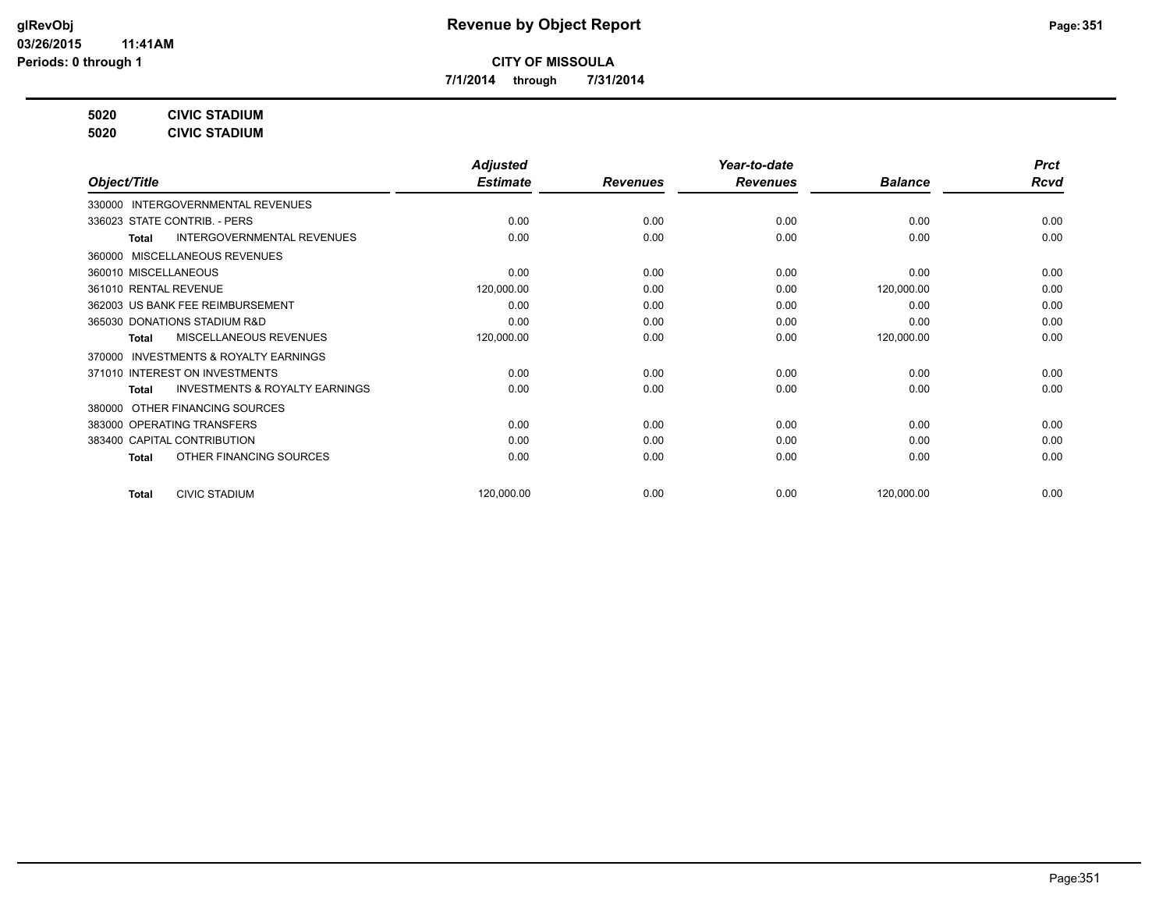**7/1/2014 through 7/31/2014**

**5020 CIVIC STADIUM**

**5020 CIVIC STADIUM**

|                                                           | <b>Adjusted</b> |                 | Year-to-date    |                | <b>Prct</b> |
|-----------------------------------------------------------|-----------------|-----------------|-----------------|----------------|-------------|
| Object/Title                                              | <b>Estimate</b> | <b>Revenues</b> | <b>Revenues</b> | <b>Balance</b> | <b>Rcvd</b> |
| 330000 INTERGOVERNMENTAL REVENUES                         |                 |                 |                 |                |             |
| 336023 STATE CONTRIB. - PERS                              | 0.00            | 0.00            | 0.00            | 0.00           | 0.00        |
| <b>INTERGOVERNMENTAL REVENUES</b><br>Total                | 0.00            | 0.00            | 0.00            | 0.00           | 0.00        |
| 360000 MISCELLANEOUS REVENUES                             |                 |                 |                 |                |             |
| 360010 MISCELLANEOUS                                      | 0.00            | 0.00            | 0.00            | 0.00           | 0.00        |
| 361010 RENTAL REVENUE                                     | 120,000.00      | 0.00            | 0.00            | 120,000.00     | 0.00        |
| 362003 US BANK FEE REIMBURSEMENT                          | 0.00            | 0.00            | 0.00            | 0.00           | 0.00        |
| 365030 DONATIONS STADIUM R&D                              | 0.00            | 0.00            | 0.00            | 0.00           | 0.00        |
| <b>MISCELLANEOUS REVENUES</b><br><b>Total</b>             | 120,000.00      | 0.00            | 0.00            | 120,000.00     | 0.00        |
| 370000 INVESTMENTS & ROYALTY EARNINGS                     |                 |                 |                 |                |             |
| 371010 INTEREST ON INVESTMENTS                            | 0.00            | 0.00            | 0.00            | 0.00           | 0.00        |
| <b>INVESTMENTS &amp; ROYALTY EARNINGS</b><br><b>Total</b> | 0.00            | 0.00            | 0.00            | 0.00           | 0.00        |
| OTHER FINANCING SOURCES<br>380000                         |                 |                 |                 |                |             |
| 383000 OPERATING TRANSFERS                                | 0.00            | 0.00            | 0.00            | 0.00           | 0.00        |
| 383400 CAPITAL CONTRIBUTION                               | 0.00            | 0.00            | 0.00            | 0.00           | 0.00        |
| OTHER FINANCING SOURCES<br><b>Total</b>                   | 0.00            | 0.00            | 0.00            | 0.00           | 0.00        |
|                                                           |                 |                 |                 |                |             |
| <b>CIVIC STADIUM</b><br><b>Total</b>                      | 120,000.00      | 0.00            | 0.00            | 120,000.00     | 0.00        |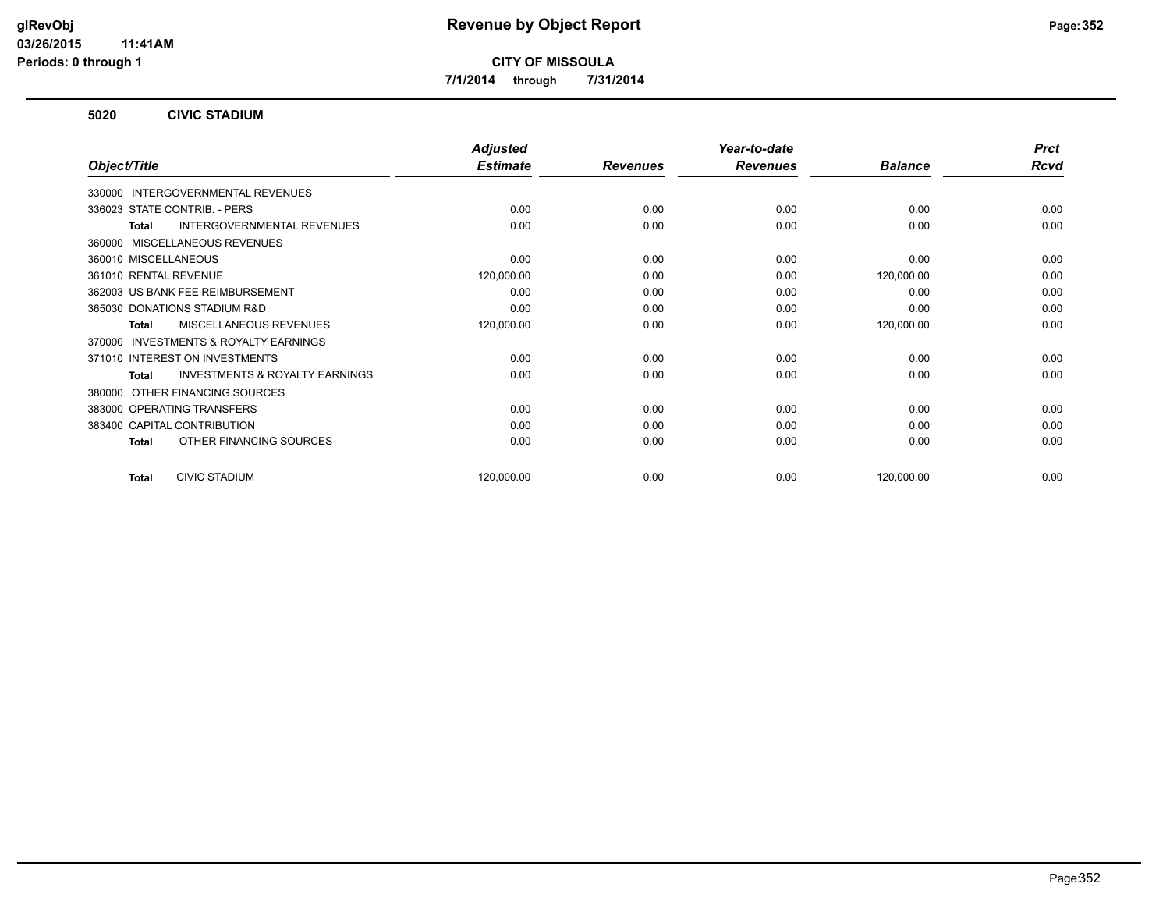**7/1/2014 through 7/31/2014**

#### **5020 CIVIC STADIUM**

|                                                           | <b>Adjusted</b> |                 | Year-to-date    |                | <b>Prct</b> |
|-----------------------------------------------------------|-----------------|-----------------|-----------------|----------------|-------------|
| Object/Title                                              | <b>Estimate</b> | <b>Revenues</b> | <b>Revenues</b> | <b>Balance</b> | <b>Rcvd</b> |
| 330000 INTERGOVERNMENTAL REVENUES                         |                 |                 |                 |                |             |
| 336023 STATE CONTRIB. - PERS                              | 0.00            | 0.00            | 0.00            | 0.00           | 0.00        |
| INTERGOVERNMENTAL REVENUES<br>Total                       | 0.00            | 0.00            | 0.00            | 0.00           | 0.00        |
| 360000 MISCELLANEOUS REVENUES                             |                 |                 |                 |                |             |
| 360010 MISCELLANEOUS                                      | 0.00            | 0.00            | 0.00            | 0.00           | 0.00        |
| 361010 RENTAL REVENUE                                     | 120,000.00      | 0.00            | 0.00            | 120,000.00     | 0.00        |
| 362003 US BANK FEE REIMBURSEMENT                          | 0.00            | 0.00            | 0.00            | 0.00           | 0.00        |
| 365030 DONATIONS STADIUM R&D                              | 0.00            | 0.00            | 0.00            | 0.00           | 0.00        |
| <b>MISCELLANEOUS REVENUES</b><br>Total                    | 120,000.00      | 0.00            | 0.00            | 120,000.00     | 0.00        |
| <b>INVESTMENTS &amp; ROYALTY EARNINGS</b><br>370000       |                 |                 |                 |                |             |
| 371010 INTEREST ON INVESTMENTS                            | 0.00            | 0.00            | 0.00            | 0.00           | 0.00        |
| <b>INVESTMENTS &amp; ROYALTY EARNINGS</b><br><b>Total</b> | 0.00            | 0.00            | 0.00            | 0.00           | 0.00        |
| OTHER FINANCING SOURCES<br>380000                         |                 |                 |                 |                |             |
| 383000 OPERATING TRANSFERS                                | 0.00            | 0.00            | 0.00            | 0.00           | 0.00        |
| 383400 CAPITAL CONTRIBUTION                               | 0.00            | 0.00            | 0.00            | 0.00           | 0.00        |
| OTHER FINANCING SOURCES<br><b>Total</b>                   | 0.00            | 0.00            | 0.00            | 0.00           | 0.00        |
| <b>CIVIC STADIUM</b><br><b>Total</b>                      | 120,000.00      | 0.00            | 0.00            | 120,000.00     | 0.00        |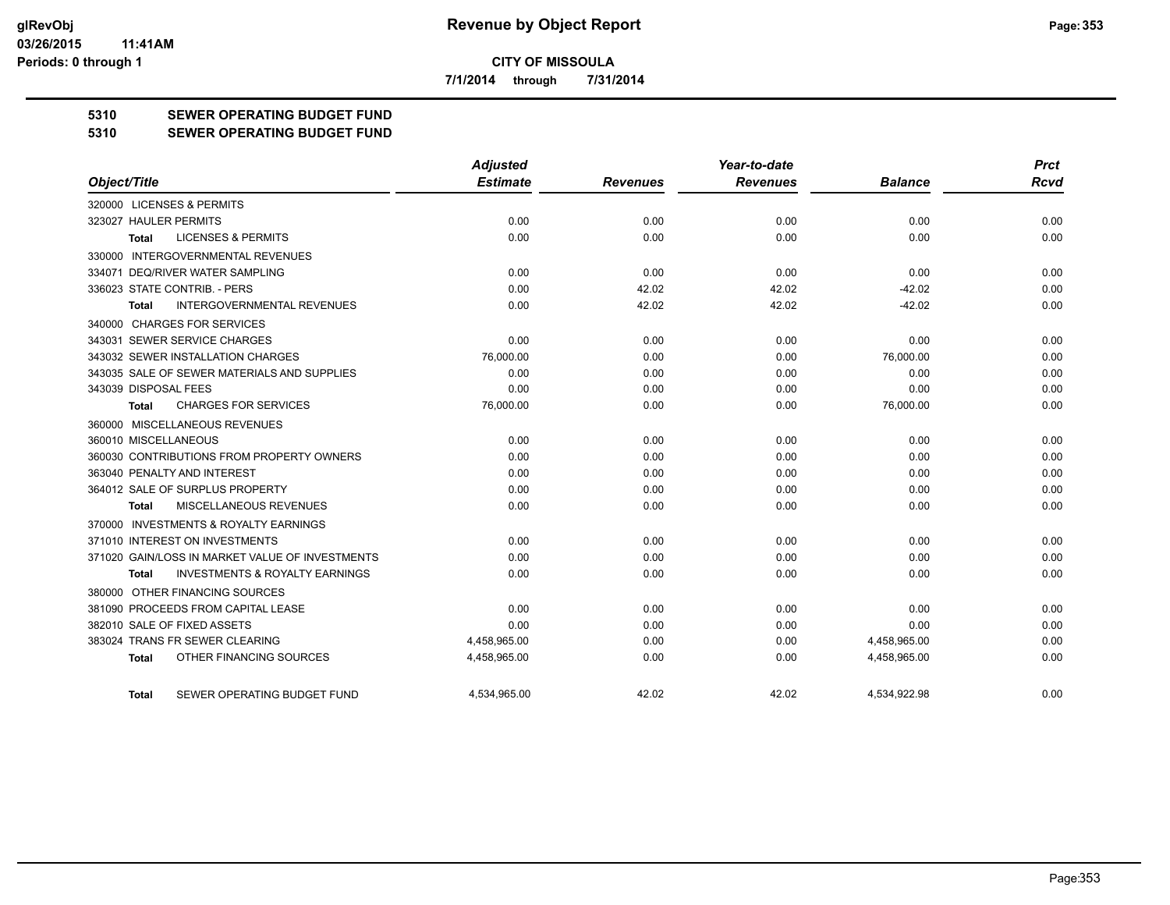**7/1/2014 through 7/31/2014**

### **5310 SEWER OPERATING BUDGET FUND**

#### **5310 SEWER OPERATING BUDGET FUND**

|                                                    | <b>Adjusted</b> |                 | Year-to-date    |                | <b>Prct</b> |
|----------------------------------------------------|-----------------|-----------------|-----------------|----------------|-------------|
| Object/Title                                       | <b>Estimate</b> | <b>Revenues</b> | <b>Revenues</b> | <b>Balance</b> | <b>Rcvd</b> |
| 320000 LICENSES & PERMITS                          |                 |                 |                 |                |             |
| 323027 HAULER PERMITS                              | 0.00            | 0.00            | 0.00            | 0.00           | 0.00        |
| <b>LICENSES &amp; PERMITS</b><br><b>Total</b>      | 0.00            | 0.00            | 0.00            | 0.00           | 0.00        |
| 330000 INTERGOVERNMENTAL REVENUES                  |                 |                 |                 |                |             |
| 334071 DEQ/RIVER WATER SAMPLING                    | 0.00            | 0.00            | 0.00            | 0.00           | 0.00        |
| 336023 STATE CONTRIB. - PERS                       | 0.00            | 42.02           | 42.02           | $-42.02$       | 0.00        |
| <b>INTERGOVERNMENTAL REVENUES</b><br><b>Total</b>  | 0.00            | 42.02           | 42.02           | $-42.02$       | 0.00        |
| 340000 CHARGES FOR SERVICES                        |                 |                 |                 |                |             |
| 343031 SEWER SERVICE CHARGES                       | 0.00            | 0.00            | 0.00            | 0.00           | 0.00        |
| 343032 SEWER INSTALLATION CHARGES                  | 76,000.00       | 0.00            | 0.00            | 76,000.00      | 0.00        |
| 343035 SALE OF SEWER MATERIALS AND SUPPLIES        | 0.00            | 0.00            | 0.00            | 0.00           | 0.00        |
| 343039 DISPOSAL FEES                               | 0.00            | 0.00            | 0.00            | 0.00           | 0.00        |
| <b>CHARGES FOR SERVICES</b><br><b>Total</b>        | 76,000.00       | 0.00            | 0.00            | 76,000.00      | 0.00        |
| 360000 MISCELLANEOUS REVENUES                      |                 |                 |                 |                |             |
| 360010 MISCELLANEOUS                               | 0.00            | 0.00            | 0.00            | 0.00           | 0.00        |
| 360030 CONTRIBUTIONS FROM PROPERTY OWNERS          | 0.00            | 0.00            | 0.00            | 0.00           | 0.00        |
| 363040 PENALTY AND INTEREST                        | 0.00            | 0.00            | 0.00            | 0.00           | 0.00        |
| 364012 SALE OF SURPLUS PROPERTY                    | 0.00            | 0.00            | 0.00            | 0.00           | 0.00        |
| MISCELLANEOUS REVENUES<br>Total                    | 0.00            | 0.00            | 0.00            | 0.00           | 0.00        |
| 370000 INVESTMENTS & ROYALTY EARNINGS              |                 |                 |                 |                |             |
| 371010 INTEREST ON INVESTMENTS                     | 0.00            | 0.00            | 0.00            | 0.00           | 0.00        |
| 371020 GAIN/LOSS IN MARKET VALUE OF INVESTMENTS    | 0.00            | 0.00            | 0.00            | 0.00           | 0.00        |
| <b>INVESTMENTS &amp; ROYALTY EARNINGS</b><br>Total | 0.00            | 0.00            | 0.00            | 0.00           | 0.00        |
| 380000 OTHER FINANCING SOURCES                     |                 |                 |                 |                |             |
| 381090 PROCEEDS FROM CAPITAL LEASE                 | 0.00            | 0.00            | 0.00            | 0.00           | 0.00        |
| 382010 SALE OF FIXED ASSETS                        | 0.00            | 0.00            | 0.00            | 0.00           | 0.00        |
| 383024 TRANS FR SEWER CLEARING                     | 4,458,965.00    | 0.00            | 0.00            | 4,458,965.00   | 0.00        |
| OTHER FINANCING SOURCES<br><b>Total</b>            | 4,458,965.00    | 0.00            | 0.00            | 4,458,965.00   | 0.00        |
| SEWER OPERATING BUDGET FUND<br>Total               | 4.534.965.00    | 42.02           | 42.02           | 4.534.922.98   | 0.00        |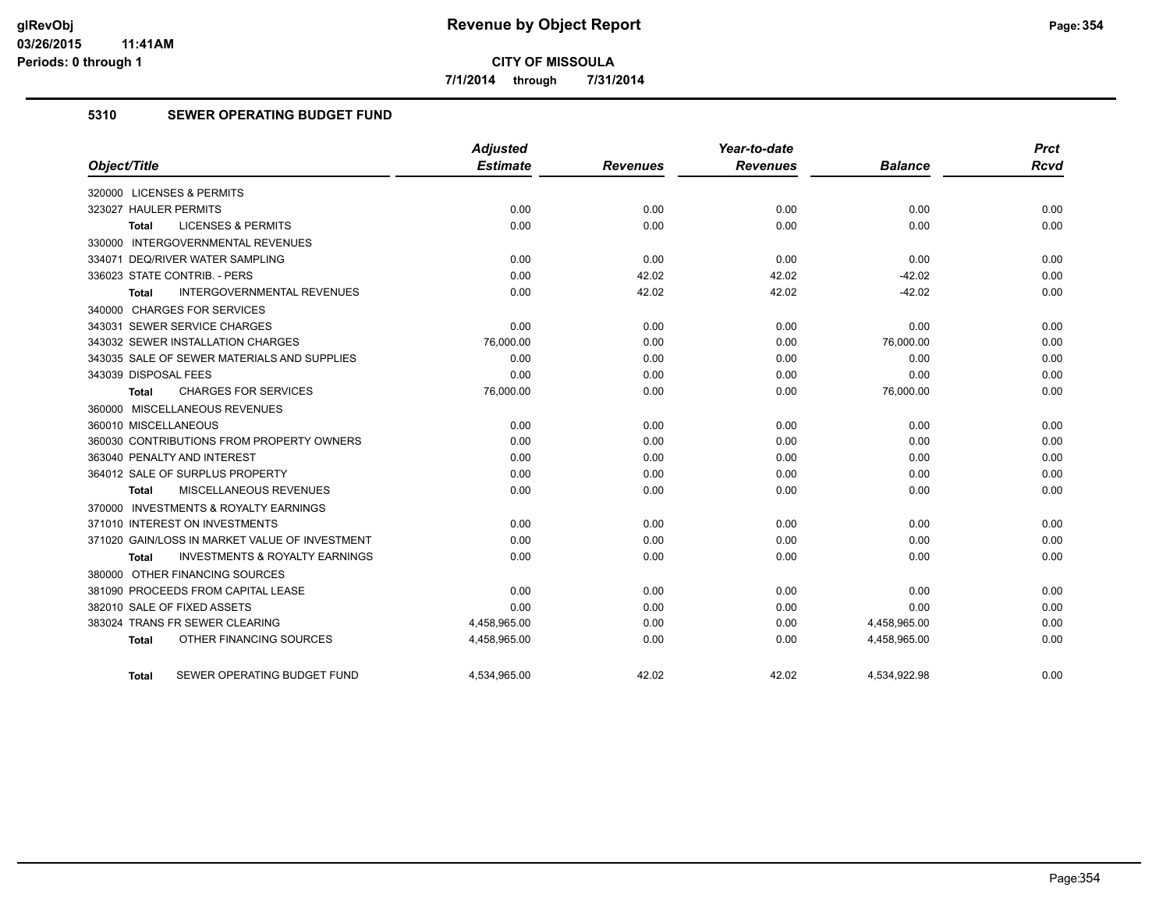**7/1/2014 through 7/31/2014**

#### **5310 SEWER OPERATING BUDGET FUND**

| Object/Title                                              | <b>Adjusted</b><br><b>Estimate</b> | <b>Revenues</b> | Year-to-date<br><b>Revenues</b> | <b>Balance</b> | <b>Prct</b><br><b>Rcvd</b> |
|-----------------------------------------------------------|------------------------------------|-----------------|---------------------------------|----------------|----------------------------|
|                                                           |                                    |                 |                                 |                |                            |
| 320000 LICENSES & PERMITS                                 |                                    |                 |                                 |                |                            |
| 323027 HAULER PERMITS                                     | 0.00                               | 0.00            | 0.00                            | 0.00           | 0.00                       |
| <b>LICENSES &amp; PERMITS</b><br><b>Total</b>             | 0.00                               | 0.00            | 0.00                            | 0.00           | 0.00                       |
| 330000 INTERGOVERNMENTAL REVENUES                         |                                    |                 |                                 |                |                            |
| 334071 DEQ/RIVER WATER SAMPLING                           | 0.00                               | 0.00            | 0.00                            | 0.00           | 0.00                       |
| 336023 STATE CONTRIB. - PERS                              | 0.00                               | 42.02           | 42.02                           | $-42.02$       | 0.00                       |
| INTERGOVERNMENTAL REVENUES<br><b>Total</b>                | 0.00                               | 42.02           | 42.02                           | $-42.02$       | 0.00                       |
| 340000 CHARGES FOR SERVICES                               |                                    |                 |                                 |                |                            |
| 343031 SEWER SERVICE CHARGES                              | 0.00                               | 0.00            | 0.00                            | 0.00           | 0.00                       |
| 343032 SEWER INSTALLATION CHARGES                         | 76,000.00                          | 0.00            | 0.00                            | 76,000.00      | 0.00                       |
| 343035 SALE OF SEWER MATERIALS AND SUPPLIES               | 0.00                               | 0.00            | 0.00                            | 0.00           | 0.00                       |
| 343039 DISPOSAL FEES                                      | 0.00                               | 0.00            | 0.00                            | 0.00           | 0.00                       |
| <b>CHARGES FOR SERVICES</b><br><b>Total</b>               | 76,000.00                          | 0.00            | 0.00                            | 76,000.00      | 0.00                       |
| 360000 MISCELLANEOUS REVENUES                             |                                    |                 |                                 |                |                            |
| 360010 MISCELLANEOUS                                      | 0.00                               | 0.00            | 0.00                            | 0.00           | 0.00                       |
| 360030 CONTRIBUTIONS FROM PROPERTY OWNERS                 | 0.00                               | 0.00            | 0.00                            | 0.00           | 0.00                       |
| 363040 PENALTY AND INTEREST                               | 0.00                               | 0.00            | 0.00                            | 0.00           | 0.00                       |
| 364012 SALE OF SURPLUS PROPERTY                           | 0.00                               | 0.00            | 0.00                            | 0.00           | 0.00                       |
| MISCELLANEOUS REVENUES<br><b>Total</b>                    | 0.00                               | 0.00            | 0.00                            | 0.00           | 0.00                       |
| 370000 INVESTMENTS & ROYALTY EARNINGS                     |                                    |                 |                                 |                |                            |
| 371010 INTEREST ON INVESTMENTS                            | 0.00                               | 0.00            | 0.00                            | 0.00           | 0.00                       |
| 371020 GAIN/LOSS IN MARKET VALUE OF INVESTMENT            | 0.00                               | 0.00            | 0.00                            | 0.00           | 0.00                       |
| <b>INVESTMENTS &amp; ROYALTY EARNINGS</b><br><b>Total</b> | 0.00                               | 0.00            | 0.00                            | 0.00           | 0.00                       |
| 380000 OTHER FINANCING SOURCES                            |                                    |                 |                                 |                |                            |
| 381090 PROCEEDS FROM CAPITAL LEASE                        | 0.00                               | 0.00            | 0.00                            | 0.00           | 0.00                       |
| 382010 SALE OF FIXED ASSETS                               | 0.00                               | 0.00            | 0.00                            | 0.00           | 0.00                       |
| 383024 TRANS FR SEWER CLEARING                            | 4,458,965.00                       | 0.00            | 0.00                            | 4,458,965.00   | 0.00                       |
| OTHER FINANCING SOURCES<br><b>Total</b>                   | 4,458,965.00                       | 0.00            | 0.00                            | 4,458,965.00   | 0.00                       |
| SEWER OPERATING BUDGET FUND<br><b>Total</b>               | 4,534,965.00                       | 42.02           | 42.02                           | 4,534,922.98   | 0.00                       |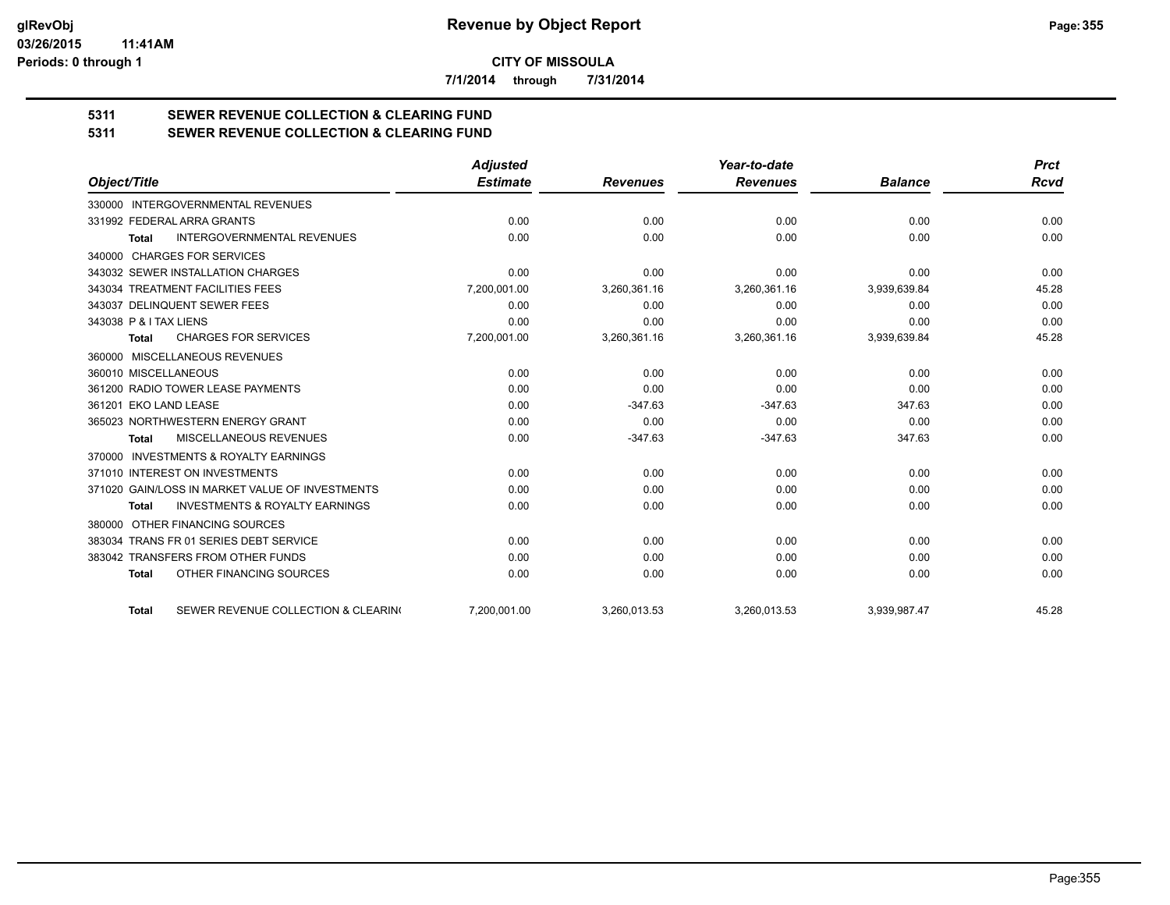**7/1/2014 through 7/31/2014**

# **5311 SEWER REVENUE COLLECTION & CLEARING FUND**

| <b>SEWER REVENUE COLLECTION &amp; CLEARING FUND</b><br>5311 |  |
|-------------------------------------------------------------|--|
|-------------------------------------------------------------|--|

|                                                           | <b>Adjusted</b> |                 | Year-to-date    |                | <b>Prct</b> |
|-----------------------------------------------------------|-----------------|-----------------|-----------------|----------------|-------------|
| Object/Title                                              | <b>Estimate</b> | <b>Revenues</b> | <b>Revenues</b> | <b>Balance</b> | <b>Rcvd</b> |
| 330000 INTERGOVERNMENTAL REVENUES                         |                 |                 |                 |                |             |
| 331992 FEDERAL ARRA GRANTS                                | 0.00            | 0.00            | 0.00            | 0.00           | 0.00        |
| <b>INTERGOVERNMENTAL REVENUES</b><br><b>Total</b>         | 0.00            | 0.00            | 0.00            | 0.00           | 0.00        |
| <b>CHARGES FOR SERVICES</b><br>340000                     |                 |                 |                 |                |             |
| 343032 SEWER INSTALLATION CHARGES                         | 0.00            | 0.00            | 0.00            | 0.00           | 0.00        |
| 343034 TREATMENT FACILITIES FEES                          | 7,200,001.00    | 3,260,361.16    | 3,260,361.16    | 3,939,639.84   | 45.28       |
| 343037 DELINQUENT SEWER FEES                              | 0.00            | 0.00            | 0.00            | 0.00           | 0.00        |
| 343038 P & I TAX LIENS                                    | 0.00            | 0.00            | 0.00            | 0.00           | 0.00        |
| <b>CHARGES FOR SERVICES</b><br><b>Total</b>               | 7,200,001.00    | 3,260,361.16    | 3,260,361.16    | 3,939,639.84   | 45.28       |
| MISCELLANEOUS REVENUES<br>360000                          |                 |                 |                 |                |             |
| 360010 MISCELLANEOUS                                      | 0.00            | 0.00            | 0.00            | 0.00           | 0.00        |
| 361200 RADIO TOWER LEASE PAYMENTS                         | 0.00            | 0.00            | 0.00            | 0.00           | 0.00        |
| 361201 EKO LAND LEASE                                     | 0.00            | $-347.63$       | $-347.63$       | 347.63         | 0.00        |
| 365023 NORTHWESTERN ENERGY GRANT                          | 0.00            | 0.00            | 0.00            | 0.00           | 0.00        |
| <b>MISCELLANEOUS REVENUES</b><br><b>Total</b>             | 0.00            | $-347.63$       | $-347.63$       | 347.63         | 0.00        |
| 370000 INVESTMENTS & ROYALTY EARNINGS                     |                 |                 |                 |                |             |
| 371010 INTEREST ON INVESTMENTS                            | 0.00            | 0.00            | 0.00            | 0.00           | 0.00        |
| 371020 GAIN/LOSS IN MARKET VALUE OF INVESTMENTS           | 0.00            | 0.00            | 0.00            | 0.00           | 0.00        |
| <b>INVESTMENTS &amp; ROYALTY EARNINGS</b><br><b>Total</b> | 0.00            | 0.00            | 0.00            | 0.00           | 0.00        |
| OTHER FINANCING SOURCES<br>380000                         |                 |                 |                 |                |             |
| 383034 TRANS FR 01 SERIES DEBT SERVICE                    | 0.00            | 0.00            | 0.00            | 0.00           | 0.00        |
| 383042 TRANSFERS FROM OTHER FUNDS                         | 0.00            | 0.00            | 0.00            | 0.00           | 0.00        |
| OTHER FINANCING SOURCES<br><b>Total</b>                   | 0.00            | 0.00            | 0.00            | 0.00           | 0.00        |
| SEWER REVENUE COLLECTION & CLEARING<br><b>Total</b>       | 7,200,001.00    | 3,260,013.53    | 3,260,013.53    | 3,939,987.47   | 45.28       |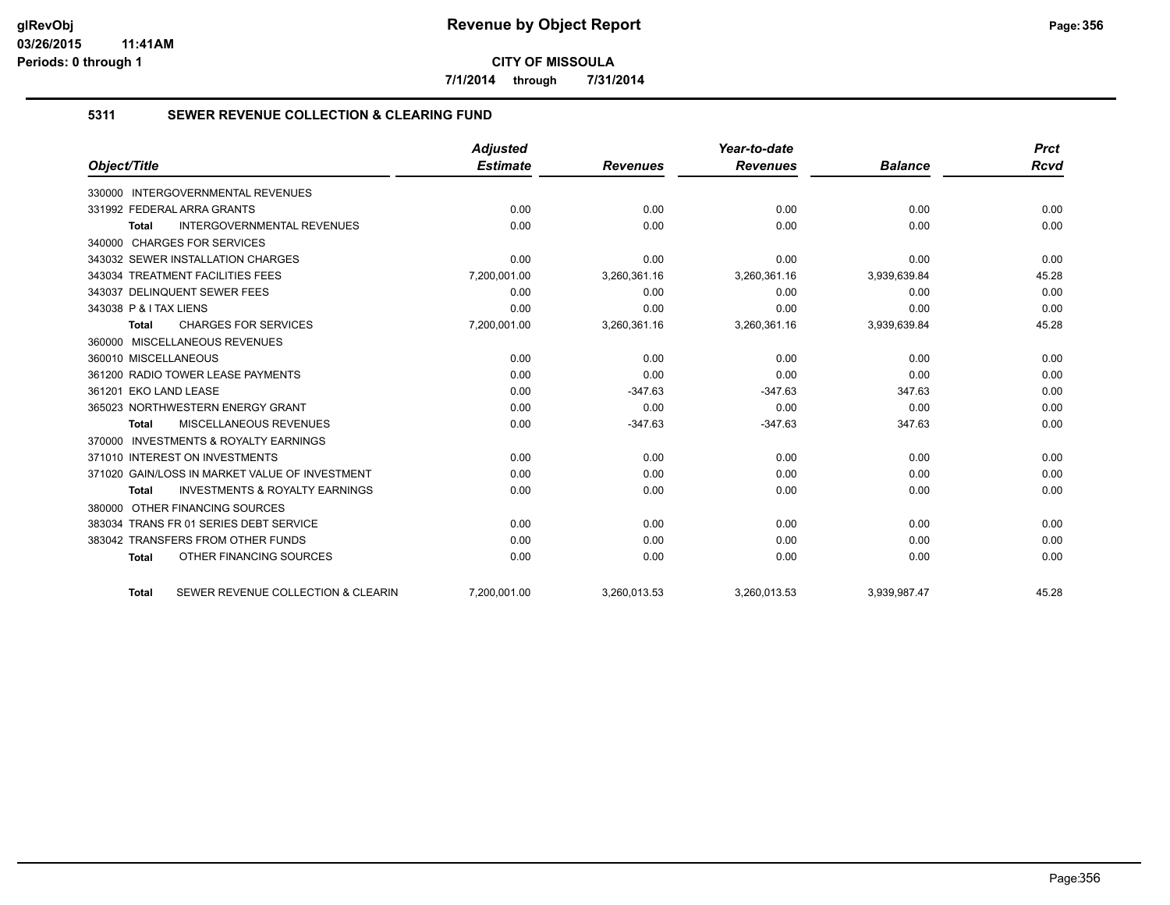**7/1/2014 through 7/31/2014**

#### **5311 SEWER REVENUE COLLECTION & CLEARING FUND**

|                                                           | <b>Adjusted</b> |                 | Year-to-date    |                | <b>Prct</b> |
|-----------------------------------------------------------|-----------------|-----------------|-----------------|----------------|-------------|
| Object/Title                                              | <b>Estimate</b> | <b>Revenues</b> | <b>Revenues</b> | <b>Balance</b> | <b>Rcvd</b> |
| <b>INTERGOVERNMENTAL REVENUES</b><br>330000               |                 |                 |                 |                |             |
| 331992 FEDERAL ARRA GRANTS                                | 0.00            | 0.00            | 0.00            | 0.00           | 0.00        |
| <b>INTERGOVERNMENTAL REVENUES</b><br><b>Total</b>         | 0.00            | 0.00            | 0.00            | 0.00           | 0.00        |
| 340000 CHARGES FOR SERVICES                               |                 |                 |                 |                |             |
| 343032 SEWER INSTALLATION CHARGES                         | 0.00            | 0.00            | 0.00            | 0.00           | 0.00        |
| 343034 TREATMENT FACILITIES FEES                          | 7,200,001.00    | 3,260,361.16    | 3,260,361.16    | 3,939,639.84   | 45.28       |
| 343037 DELINQUENT SEWER FEES                              | 0.00            | 0.00            | 0.00            | 0.00           | 0.00        |
| 343038 P & I TAX LIENS                                    | 0.00            | 0.00            | 0.00            | 0.00           | 0.00        |
| <b>CHARGES FOR SERVICES</b><br><b>Total</b>               | 7,200,001.00    | 3,260,361.16    | 3,260,361.16    | 3,939,639.84   | 45.28       |
| 360000 MISCELLANEOUS REVENUES                             |                 |                 |                 |                |             |
| 360010 MISCELLANEOUS                                      | 0.00            | 0.00            | 0.00            | 0.00           | 0.00        |
| 361200 RADIO TOWER LEASE PAYMENTS                         | 0.00            | 0.00            | 0.00            | 0.00           | 0.00        |
| 361201 EKO LAND LEASE                                     | 0.00            | $-347.63$       | $-347.63$       | 347.63         | 0.00        |
| 365023 NORTHWESTERN ENERGY GRANT                          | 0.00            | 0.00            | 0.00            | 0.00           | 0.00        |
| MISCELLANEOUS REVENUES<br><b>Total</b>                    | 0.00            | $-347.63$       | $-347.63$       | 347.63         | 0.00        |
| 370000 INVESTMENTS & ROYALTY EARNINGS                     |                 |                 |                 |                |             |
| 371010 INTEREST ON INVESTMENTS                            | 0.00            | 0.00            | 0.00            | 0.00           | 0.00        |
| 371020 GAIN/LOSS IN MARKET VALUE OF INVESTMENT            | 0.00            | 0.00            | 0.00            | 0.00           | 0.00        |
| <b>INVESTMENTS &amp; ROYALTY EARNINGS</b><br><b>Total</b> | 0.00            | 0.00            | 0.00            | 0.00           | 0.00        |
| OTHER FINANCING SOURCES<br>380000                         |                 |                 |                 |                |             |
| 383034 TRANS FR 01 SERIES DEBT SERVICE                    | 0.00            | 0.00            | 0.00            | 0.00           | 0.00        |
| 383042 TRANSFERS FROM OTHER FUNDS                         | 0.00            | 0.00            | 0.00            | 0.00           | 0.00        |
| OTHER FINANCING SOURCES<br><b>Total</b>                   | 0.00            | 0.00            | 0.00            | 0.00           | 0.00        |
| SEWER REVENUE COLLECTION & CLEARIN<br><b>Total</b>        | 7,200,001.00    | 3,260,013.53    | 3,260,013.53    | 3,939,987.47   | 45.28       |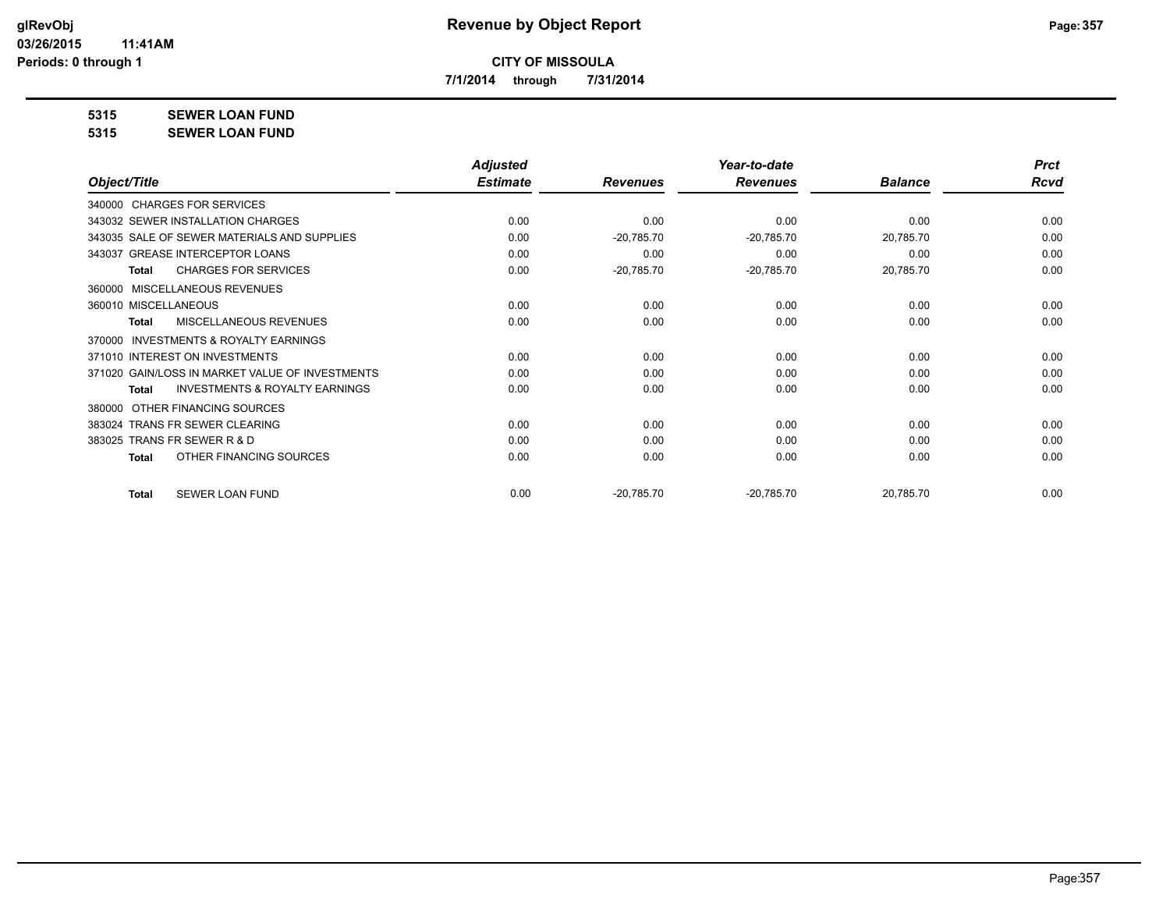**7/1/2014 through 7/31/2014**

**5315 SEWER LOAN FUND**

#### **5315 SEWER LOAN FUND**

|                                                           | <b>Adjusted</b> |                 | Year-to-date    |                | <b>Prct</b> |
|-----------------------------------------------------------|-----------------|-----------------|-----------------|----------------|-------------|
| Object/Title                                              | <b>Estimate</b> | <b>Revenues</b> | <b>Revenues</b> | <b>Balance</b> | Rcvd        |
| 340000 CHARGES FOR SERVICES                               |                 |                 |                 |                |             |
| 343032 SEWER INSTALLATION CHARGES                         | 0.00            | 0.00            | 0.00            | 0.00           | 0.00        |
| 343035 SALE OF SEWER MATERIALS AND SUPPLIES               | 0.00            | $-20,785.70$    | $-20,785.70$    | 20,785.70      | 0.00        |
| 343037 GREASE INTERCEPTOR LOANS                           | 0.00            | 0.00            | 0.00            | 0.00           | 0.00        |
| <b>CHARGES FOR SERVICES</b><br><b>Total</b>               | 0.00            | $-20,785.70$    | $-20,785.70$    | 20,785.70      | 0.00        |
| MISCELLANEOUS REVENUES<br>360000                          |                 |                 |                 |                |             |
| 360010 MISCELLANEOUS                                      | 0.00            | 0.00            | 0.00            | 0.00           | 0.00        |
| MISCELLANEOUS REVENUES<br>Total                           | 0.00            | 0.00            | 0.00            | 0.00           | 0.00        |
| <b>INVESTMENTS &amp; ROYALTY EARNINGS</b><br>370000       |                 |                 |                 |                |             |
| 371010 INTEREST ON INVESTMENTS                            | 0.00            | 0.00            | 0.00            | 0.00           | 0.00        |
| 371020 GAIN/LOSS IN MARKET VALUE OF INVESTMENTS           | 0.00            | 0.00            | 0.00            | 0.00           | 0.00        |
| <b>INVESTMENTS &amp; ROYALTY EARNINGS</b><br><b>Total</b> | 0.00            | 0.00            | 0.00            | 0.00           | 0.00        |
| OTHER FINANCING SOURCES<br>380000                         |                 |                 |                 |                |             |
| 383024 TRANS FR SEWER CLEARING                            | 0.00            | 0.00            | 0.00            | 0.00           | 0.00        |
| 383025 TRANS FR SEWER R & D                               | 0.00            | 0.00            | 0.00            | 0.00           | 0.00        |
| OTHER FINANCING SOURCES<br><b>Total</b>                   | 0.00            | 0.00            | 0.00            | 0.00           | 0.00        |
|                                                           |                 |                 |                 |                |             |
| <b>SEWER LOAN FUND</b><br><b>Total</b>                    | 0.00            | $-20,785.70$    | $-20,785.70$    | 20,785.70      | 0.00        |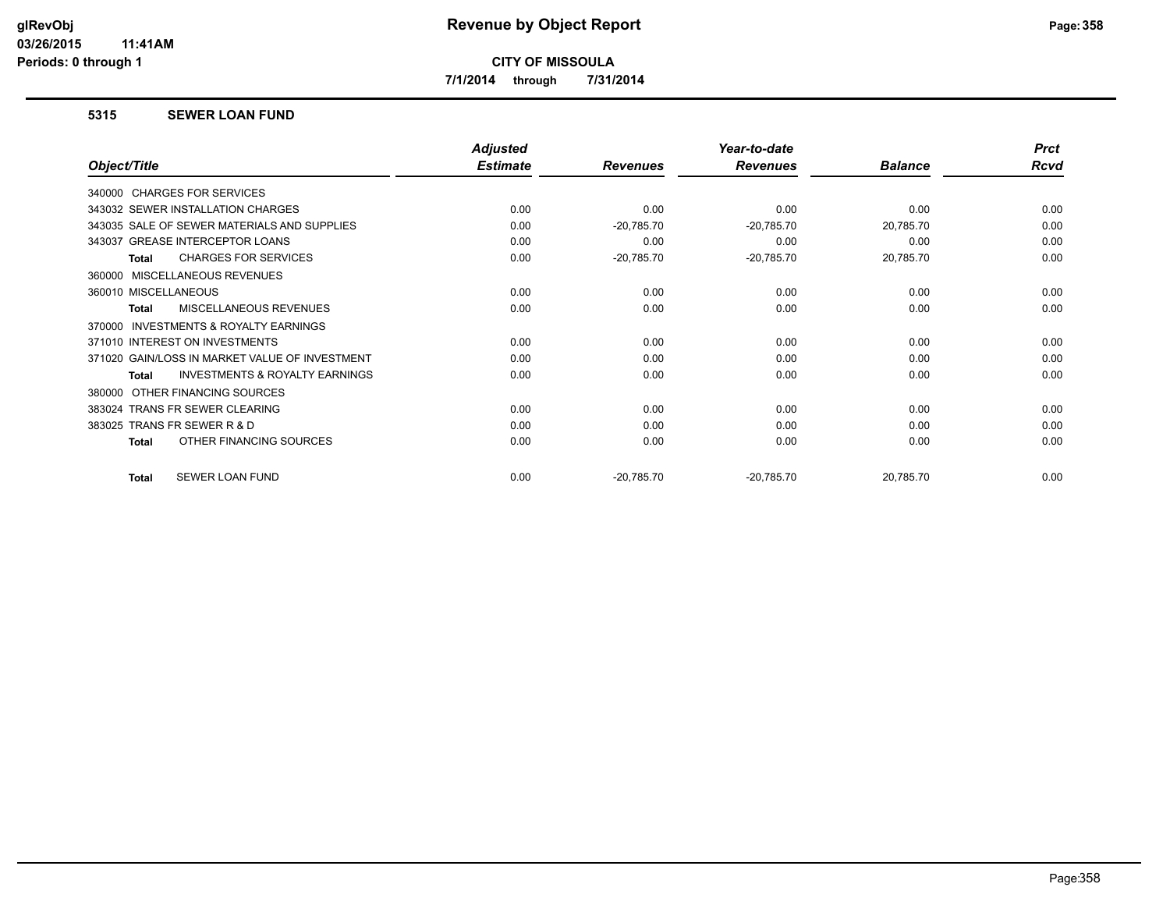**7/1/2014 through 7/31/2014**

#### **5315 SEWER LOAN FUND**

|                                                           | <b>Adjusted</b> |                 | Year-to-date    |                | <b>Prct</b> |
|-----------------------------------------------------------|-----------------|-----------------|-----------------|----------------|-------------|
| Object/Title                                              | <b>Estimate</b> | <b>Revenues</b> | <b>Revenues</b> | <b>Balance</b> | Rcvd        |
| 340000 CHARGES FOR SERVICES                               |                 |                 |                 |                |             |
| 343032 SEWER INSTALLATION CHARGES                         | 0.00            | 0.00            | 0.00            | 0.00           | 0.00        |
| 343035 SALE OF SEWER MATERIALS AND SUPPLIES               | 0.00            | $-20,785.70$    | $-20,785.70$    | 20,785.70      | 0.00        |
| 343037 GREASE INTERCEPTOR LOANS                           | 0.00            | 0.00            | 0.00            | 0.00           | 0.00        |
| <b>CHARGES FOR SERVICES</b><br><b>Total</b>               | 0.00            | $-20,785.70$    | $-20,785.70$    | 20,785.70      | 0.00        |
| MISCELLANEOUS REVENUES<br>360000                          |                 |                 |                 |                |             |
| 360010 MISCELLANEOUS                                      | 0.00            | 0.00            | 0.00            | 0.00           | 0.00        |
| MISCELLANEOUS REVENUES<br><b>Total</b>                    | 0.00            | 0.00            | 0.00            | 0.00           | 0.00        |
| INVESTMENTS & ROYALTY EARNINGS<br>370000                  |                 |                 |                 |                |             |
| 371010 INTEREST ON INVESTMENTS                            | 0.00            | 0.00            | 0.00            | 0.00           | 0.00        |
| 371020 GAIN/LOSS IN MARKET VALUE OF INVESTMENT            | 0.00            | 0.00            | 0.00            | 0.00           | 0.00        |
| <b>INVESTMENTS &amp; ROYALTY EARNINGS</b><br><b>Total</b> | 0.00            | 0.00            | 0.00            | 0.00           | 0.00        |
| OTHER FINANCING SOURCES<br>380000                         |                 |                 |                 |                |             |
| 383024 TRANS FR SEWER CLEARING                            | 0.00            | 0.00            | 0.00            | 0.00           | 0.00        |
| TRANS FR SEWER R & D<br>383025                            | 0.00            | 0.00            | 0.00            | 0.00           | 0.00        |
| OTHER FINANCING SOURCES<br>Total                          | 0.00            | 0.00            | 0.00            | 0.00           | 0.00        |
| SEWER LOAN FUND<br><b>Total</b>                           | 0.00            | $-20,785.70$    | $-20,785.70$    | 20,785.70      | 0.00        |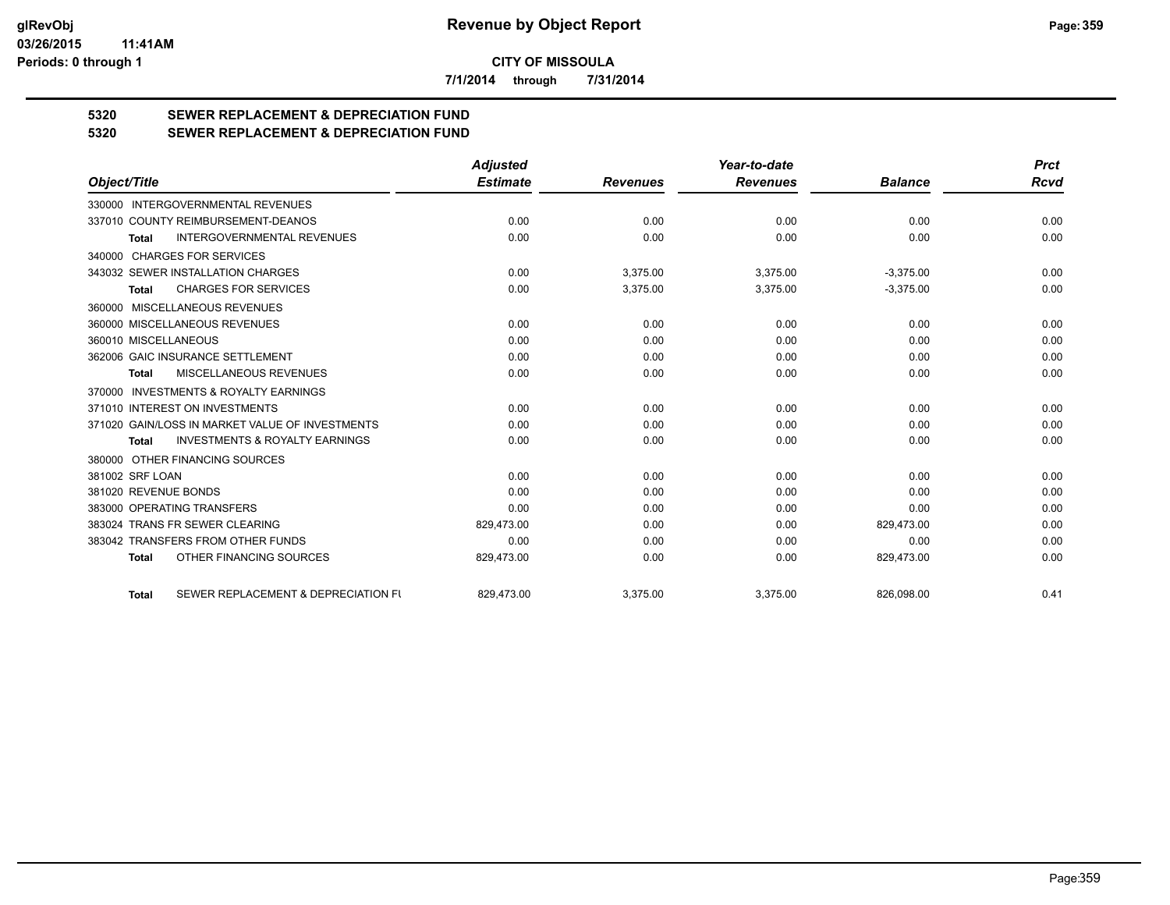**7/1/2014 through 7/31/2014**

# **5320 SEWER REPLACEMENT & DEPRECIATION FUND**

# **5320 SEWER REPLACEMENT & DEPRECIATION FUND**

|                                                           | <b>Adjusted</b> |                 | Year-to-date    |                | <b>Prct</b> |
|-----------------------------------------------------------|-----------------|-----------------|-----------------|----------------|-------------|
| Object/Title                                              | <b>Estimate</b> | <b>Revenues</b> | <b>Revenues</b> | <b>Balance</b> | Rcvd        |
| <b>INTERGOVERNMENTAL REVENUES</b><br>330000               |                 |                 |                 |                |             |
| 337010 COUNTY REIMBURSEMENT-DEANOS                        | 0.00            | 0.00            | 0.00            | 0.00           | 0.00        |
| <b>INTERGOVERNMENTAL REVENUES</b><br><b>Total</b>         | 0.00            | 0.00            | 0.00            | 0.00           | 0.00        |
| 340000 CHARGES FOR SERVICES                               |                 |                 |                 |                |             |
| 343032 SEWER INSTALLATION CHARGES                         | 0.00            | 3,375.00        | 3,375.00        | $-3,375.00$    | 0.00        |
| <b>CHARGES FOR SERVICES</b><br>Total                      | 0.00            | 3,375.00        | 3,375.00        | $-3,375.00$    | 0.00        |
| 360000 MISCELLANEOUS REVENUES                             |                 |                 |                 |                |             |
| 360000 MISCELLANEOUS REVENUES                             | 0.00            | 0.00            | 0.00            | 0.00           | 0.00        |
| 360010 MISCELLANEOUS                                      | 0.00            | 0.00            | 0.00            | 0.00           | 0.00        |
| 362006 GAIC INSURANCE SETTLEMENT                          | 0.00            | 0.00            | 0.00            | 0.00           | 0.00        |
| <b>MISCELLANEOUS REVENUES</b><br>Total                    | 0.00            | 0.00            | 0.00            | 0.00           | 0.00        |
| 370000 INVESTMENTS & ROYALTY EARNINGS                     |                 |                 |                 |                |             |
| 371010 INTEREST ON INVESTMENTS                            | 0.00            | 0.00            | 0.00            | 0.00           | 0.00        |
| 371020 GAIN/LOSS IN MARKET VALUE OF INVESTMENTS           | 0.00            | 0.00            | 0.00            | 0.00           | 0.00        |
| <b>INVESTMENTS &amp; ROYALTY EARNINGS</b><br><b>Total</b> | 0.00            | 0.00            | 0.00            | 0.00           | 0.00        |
| 380000 OTHER FINANCING SOURCES                            |                 |                 |                 |                |             |
| 381002 SRF LOAN                                           | 0.00            | 0.00            | 0.00            | 0.00           | 0.00        |
| 381020 REVENUE BONDS                                      | 0.00            | 0.00            | 0.00            | 0.00           | 0.00        |
| 383000 OPERATING TRANSFERS                                | 0.00            | 0.00            | 0.00            | 0.00           | 0.00        |
| 383024 TRANS FR SEWER CLEARING                            | 829,473.00      | 0.00            | 0.00            | 829,473.00     | 0.00        |
| 383042 TRANSFERS FROM OTHER FUNDS                         | 0.00            | 0.00            | 0.00            | 0.00           | 0.00        |
| OTHER FINANCING SOURCES<br><b>Total</b>                   | 829,473.00      | 0.00            | 0.00            | 829,473.00     | 0.00        |
| SEWER REPLACEMENT & DEPRECIATION FU<br><b>Total</b>       | 829.473.00      | 3.375.00        | 3,375.00        | 826,098.00     | 0.41        |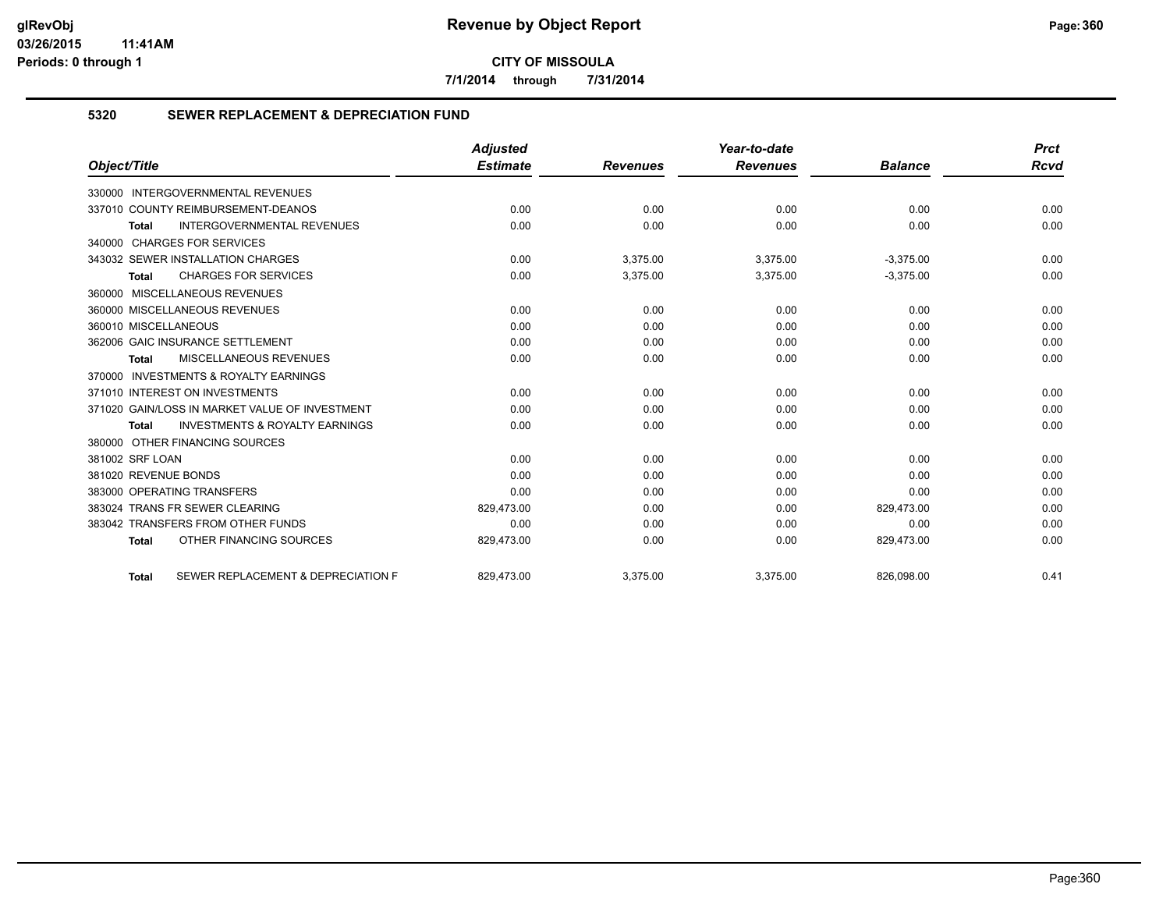**7/1/2014 through 7/31/2014**

#### **5320 SEWER REPLACEMENT & DEPRECIATION FUND**

| Object/Title                                              | <b>Adjusted</b> |                 | Year-to-date    |                | <b>Prct</b> |
|-----------------------------------------------------------|-----------------|-----------------|-----------------|----------------|-------------|
|                                                           | <b>Estimate</b> | <b>Revenues</b> | <b>Revenues</b> | <b>Balance</b> | Rcvd        |
| 330000 INTERGOVERNMENTAL REVENUES                         |                 |                 |                 |                |             |
| 337010 COUNTY REIMBURSEMENT-DEANOS                        | 0.00            | 0.00            | 0.00            | 0.00           | 0.00        |
| INTERGOVERNMENTAL REVENUES<br><b>Total</b>                | 0.00            | 0.00            | 0.00            | 0.00           | 0.00        |
| 340000 CHARGES FOR SERVICES                               |                 |                 |                 |                |             |
| 343032 SEWER INSTALLATION CHARGES                         | 0.00            | 3,375.00        | 3,375.00        | $-3,375.00$    | 0.00        |
| <b>CHARGES FOR SERVICES</b><br><b>Total</b>               | 0.00            | 3,375.00        | 3,375.00        | $-3,375.00$    | 0.00        |
| 360000 MISCELLANEOUS REVENUES                             |                 |                 |                 |                |             |
| 360000 MISCELLANEOUS REVENUES                             | 0.00            | 0.00            | 0.00            | 0.00           | 0.00        |
| 360010 MISCELLANEOUS                                      | 0.00            | 0.00            | 0.00            | 0.00           | 0.00        |
| 362006 GAIC INSURANCE SETTLEMENT                          | 0.00            | 0.00            | 0.00            | 0.00           | 0.00        |
| <b>MISCELLANEOUS REVENUES</b><br><b>Total</b>             | 0.00            | 0.00            | 0.00            | 0.00           | 0.00        |
| 370000 INVESTMENTS & ROYALTY EARNINGS                     |                 |                 |                 |                |             |
| 371010 INTEREST ON INVESTMENTS                            | 0.00            | 0.00            | 0.00            | 0.00           | 0.00        |
| 371020 GAIN/LOSS IN MARKET VALUE OF INVESTMENT            | 0.00            | 0.00            | 0.00            | 0.00           | 0.00        |
| <b>INVESTMENTS &amp; ROYALTY EARNINGS</b><br><b>Total</b> | 0.00            | 0.00            | 0.00            | 0.00           | 0.00        |
| 380000 OTHER FINANCING SOURCES                            |                 |                 |                 |                |             |
| 381002 SRF LOAN                                           | 0.00            | 0.00            | 0.00            | 0.00           | 0.00        |
| 381020 REVENUE BONDS                                      | 0.00            | 0.00            | 0.00            | 0.00           | 0.00        |
| 383000 OPERATING TRANSFERS                                | 0.00            | 0.00            | 0.00            | 0.00           | 0.00        |
| 383024 TRANS FR SEWER CLEARING                            | 829,473.00      | 0.00            | 0.00            | 829,473.00     | 0.00        |
| 383042 TRANSFERS FROM OTHER FUNDS                         | 0.00            | 0.00            | 0.00            | 0.00           | 0.00        |
| OTHER FINANCING SOURCES<br><b>Total</b>                   | 829,473.00      | 0.00            | 0.00            | 829,473.00     | 0.00        |
| SEWER REPLACEMENT & DEPRECIATION F<br><b>Total</b>        | 829.473.00      | 3,375.00        | 3,375.00        | 826.098.00     | 0.41        |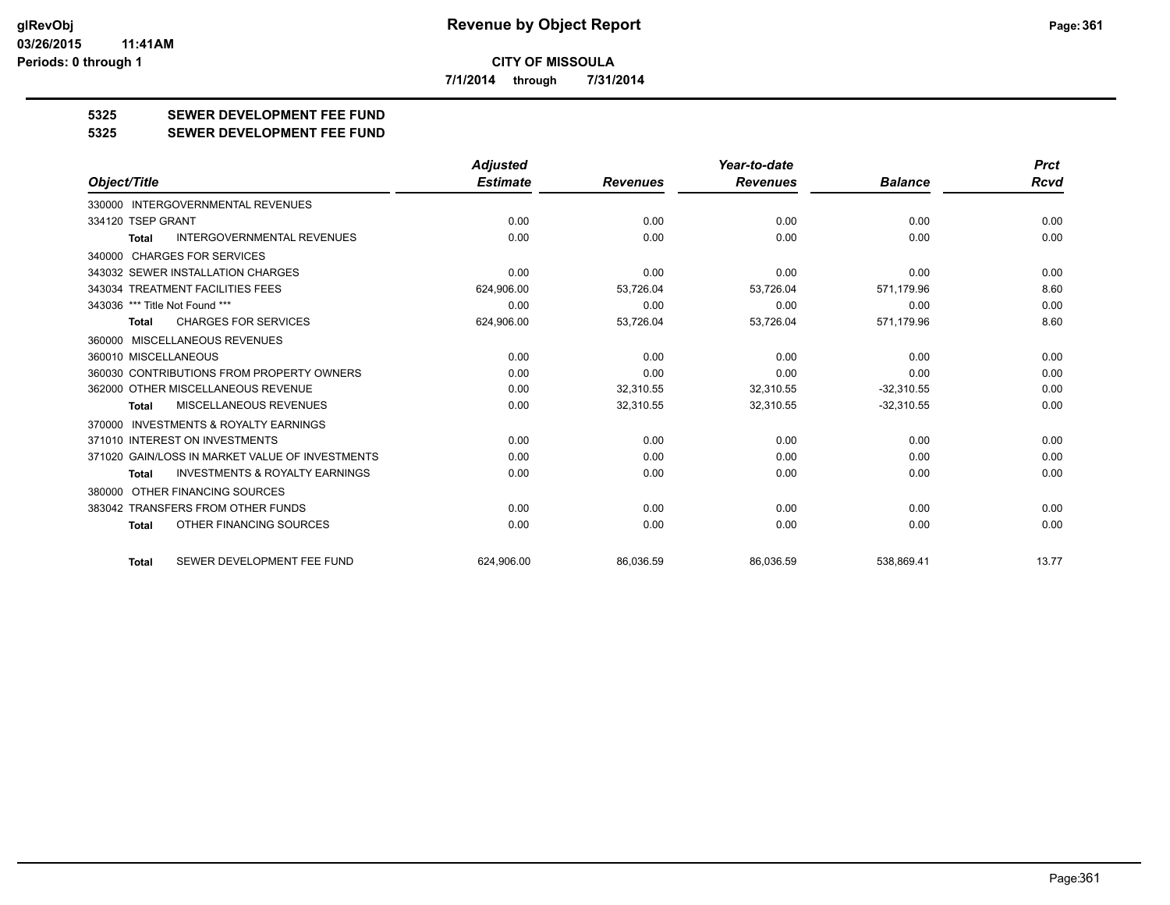**7/1/2014 through 7/31/2014**

# **5325 SEWER DEVELOPMENT FEE FUND**

#### **5325 SEWER DEVELOPMENT FEE FUND**

|                                                           | <b>Adjusted</b> |                 | Year-to-date    |                | <b>Prct</b> |
|-----------------------------------------------------------|-----------------|-----------------|-----------------|----------------|-------------|
| Object/Title                                              | <b>Estimate</b> | <b>Revenues</b> | <b>Revenues</b> | <b>Balance</b> | <b>Rcvd</b> |
| 330000 INTERGOVERNMENTAL REVENUES                         |                 |                 |                 |                |             |
| 334120 TSEP GRANT                                         | 0.00            | 0.00            | 0.00            | 0.00           | 0.00        |
| <b>INTERGOVERNMENTAL REVENUES</b><br><b>Total</b>         | 0.00            | 0.00            | 0.00            | 0.00           | 0.00        |
| 340000 CHARGES FOR SERVICES                               |                 |                 |                 |                |             |
| 343032 SEWER INSTALLATION CHARGES                         | 0.00            | 0.00            | 0.00            | 0.00           | 0.00        |
| 343034 TREATMENT FACILITIES FEES                          | 624,906.00      | 53,726.04       | 53,726.04       | 571,179.96     | 8.60        |
| 343036 *** Title Not Found ***                            | 0.00            | 0.00            | 0.00            | 0.00           | 0.00        |
| <b>CHARGES FOR SERVICES</b><br><b>Total</b>               | 624,906.00      | 53,726.04       | 53,726.04       | 571,179.96     | 8.60        |
| 360000 MISCELLANEOUS REVENUES                             |                 |                 |                 |                |             |
| 360010 MISCELLANEOUS                                      | 0.00            | 0.00            | 0.00            | 0.00           | 0.00        |
| 360030 CONTRIBUTIONS FROM PROPERTY OWNERS                 | 0.00            | 0.00            | 0.00            | 0.00           | 0.00        |
| 362000 OTHER MISCELLANEOUS REVENUE                        | 0.00            | 32,310.55       | 32,310.55       | $-32,310.55$   | 0.00        |
| MISCELLANEOUS REVENUES<br><b>Total</b>                    | 0.00            | 32,310.55       | 32,310.55       | $-32,310.55$   | 0.00        |
| <b>INVESTMENTS &amp; ROYALTY EARNINGS</b><br>370000       |                 |                 |                 |                |             |
| 371010 INTEREST ON INVESTMENTS                            | 0.00            | 0.00            | 0.00            | 0.00           | 0.00        |
| 371020 GAIN/LOSS IN MARKET VALUE OF INVESTMENTS           | 0.00            | 0.00            | 0.00            | 0.00           | 0.00        |
| <b>INVESTMENTS &amp; ROYALTY EARNINGS</b><br><b>Total</b> | 0.00            | 0.00            | 0.00            | 0.00           | 0.00        |
| 380000 OTHER FINANCING SOURCES                            |                 |                 |                 |                |             |
| 383042 TRANSFERS FROM OTHER FUNDS                         | 0.00            | 0.00            | 0.00            | 0.00           | 0.00        |
| OTHER FINANCING SOURCES<br>Total                          | 0.00            | 0.00            | 0.00            | 0.00           | 0.00        |
| SEWER DEVELOPMENT FEE FUND<br><b>Total</b>                | 624.906.00      | 86.036.59       | 86.036.59       | 538.869.41     | 13.77       |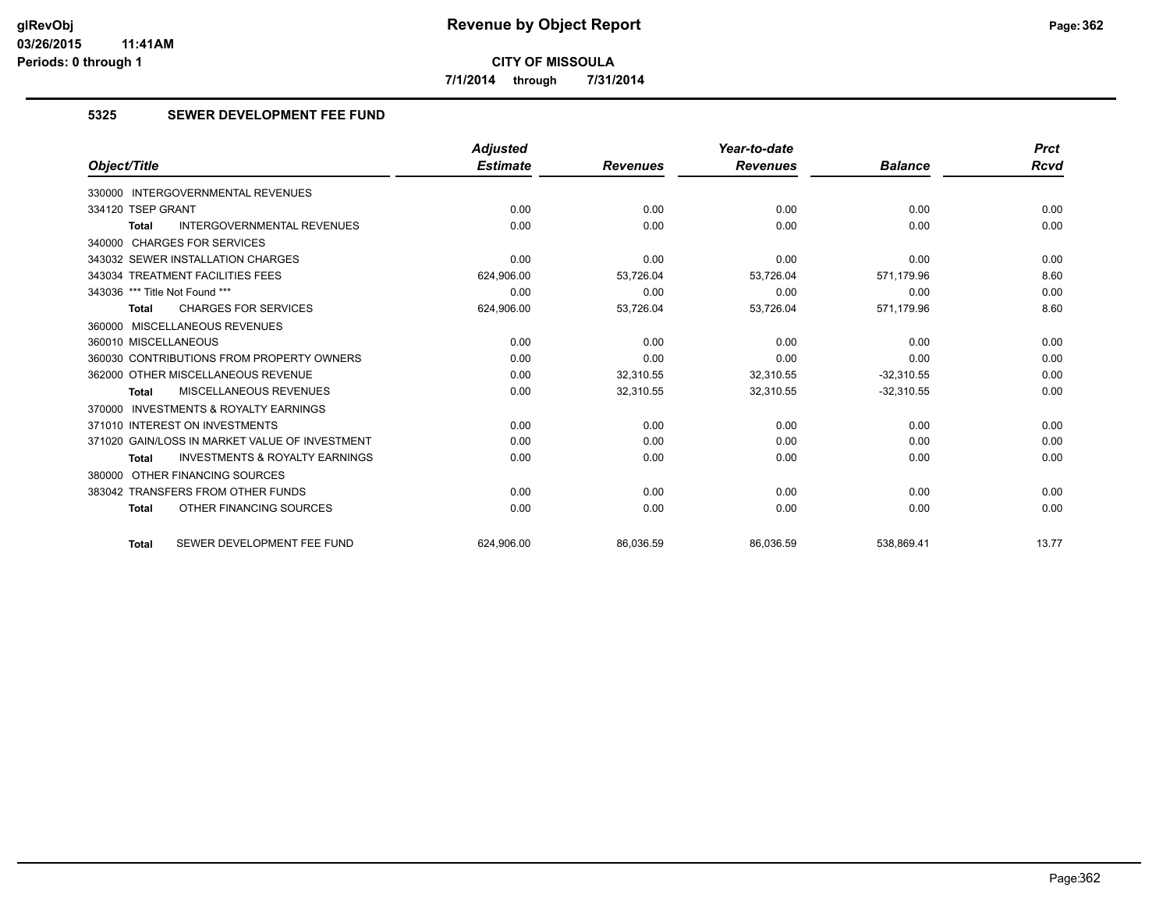**7/1/2014 through 7/31/2014**

# **5325 SEWER DEVELOPMENT FEE FUND**

|                                                           | <b>Adjusted</b> |                 | Year-to-date    |                | <b>Prct</b> |
|-----------------------------------------------------------|-----------------|-----------------|-----------------|----------------|-------------|
| Object/Title                                              | <b>Estimate</b> | <b>Revenues</b> | <b>Revenues</b> | <b>Balance</b> | <b>Rcvd</b> |
| <b>INTERGOVERNMENTAL REVENUES</b><br>330000               |                 |                 |                 |                |             |
| 334120 TSEP GRANT                                         | 0.00            | 0.00            | 0.00            | 0.00           | 0.00        |
| <b>INTERGOVERNMENTAL REVENUES</b><br><b>Total</b>         | 0.00            | 0.00            | 0.00            | 0.00           | 0.00        |
| 340000 CHARGES FOR SERVICES                               |                 |                 |                 |                |             |
| 343032 SEWER INSTALLATION CHARGES                         | 0.00            | 0.00            | 0.00            | 0.00           | 0.00        |
| 343034 TREATMENT FACILITIES FEES                          | 624,906.00      | 53,726.04       | 53,726.04       | 571,179.96     | 8.60        |
| 343036 *** Title Not Found ***                            | 0.00            | 0.00            | 0.00            | 0.00           | 0.00        |
| <b>CHARGES FOR SERVICES</b><br><b>Total</b>               | 624,906.00      | 53,726.04       | 53,726.04       | 571,179.96     | 8.60        |
| 360000 MISCELLANEOUS REVENUES                             |                 |                 |                 |                |             |
| 360010 MISCELLANEOUS                                      | 0.00            | 0.00            | 0.00            | 0.00           | 0.00        |
| 360030 CONTRIBUTIONS FROM PROPERTY OWNERS                 | 0.00            | 0.00            | 0.00            | 0.00           | 0.00        |
| 362000 OTHER MISCELLANEOUS REVENUE                        | 0.00            | 32.310.55       | 32.310.55       | $-32.310.55$   | 0.00        |
| MISCELLANEOUS REVENUES<br><b>Total</b>                    | 0.00            | 32,310.55       | 32,310.55       | $-32,310.55$   | 0.00        |
| 370000 INVESTMENTS & ROYALTY EARNINGS                     |                 |                 |                 |                |             |
| 371010 INTEREST ON INVESTMENTS                            | 0.00            | 0.00            | 0.00            | 0.00           | 0.00        |
| 371020 GAIN/LOSS IN MARKET VALUE OF INVESTMENT            | 0.00            | 0.00            | 0.00            | 0.00           | 0.00        |
| <b>INVESTMENTS &amp; ROYALTY EARNINGS</b><br><b>Total</b> | 0.00            | 0.00            | 0.00            | 0.00           | 0.00        |
| 380000 OTHER FINANCING SOURCES                            |                 |                 |                 |                |             |
| 383042 TRANSFERS FROM OTHER FUNDS                         | 0.00            | 0.00            | 0.00            | 0.00           | 0.00        |
| OTHER FINANCING SOURCES<br><b>Total</b>                   | 0.00            | 0.00            | 0.00            | 0.00           | 0.00        |
| SEWER DEVELOPMENT FEE FUND<br><b>Total</b>                | 624.906.00      | 86,036.59       | 86,036.59       | 538,869.41     | 13.77       |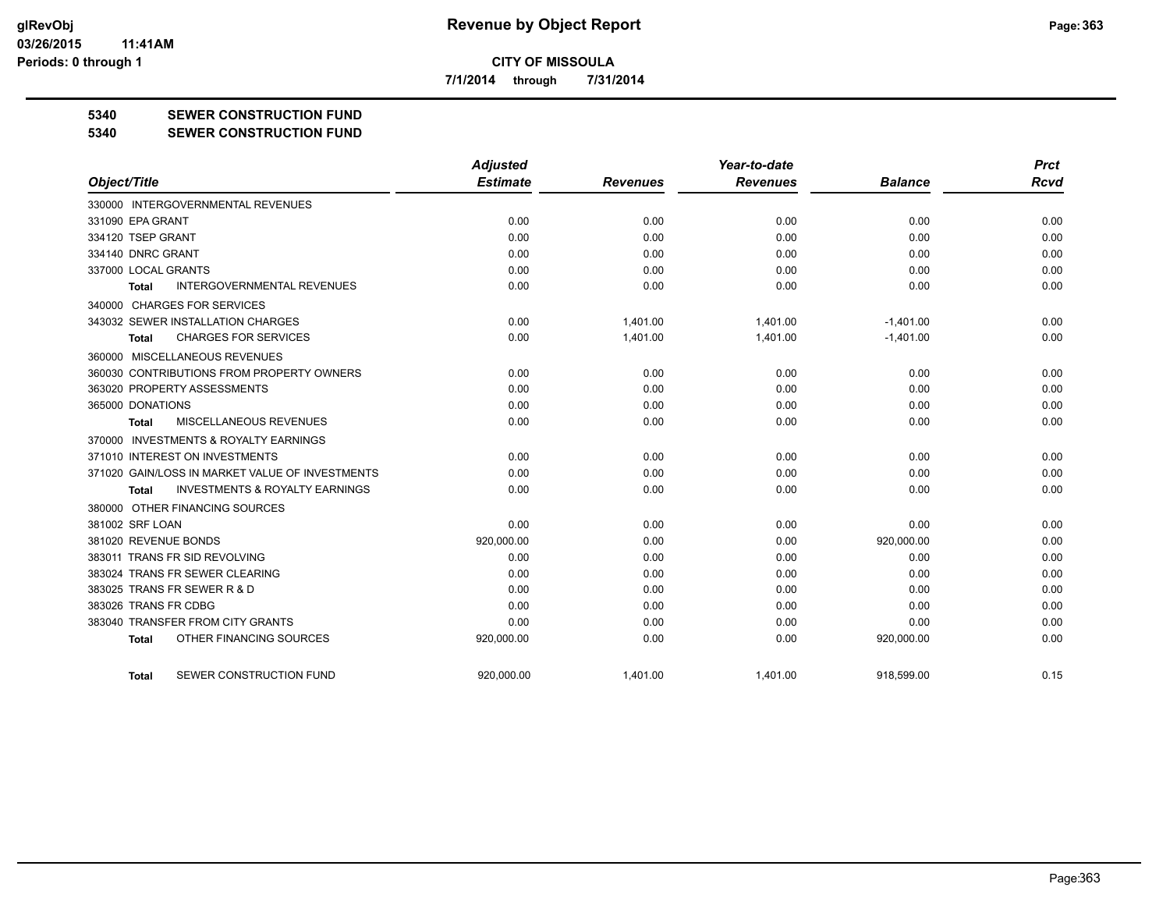**7/1/2014 through 7/31/2014**

### **5340 SEWER CONSTRUCTION FUND**

**5340 SEWER CONSTRUCTION FUND**

|                                                     | <b>Adjusted</b> |                 | Year-to-date    |                | <b>Prct</b> |
|-----------------------------------------------------|-----------------|-----------------|-----------------|----------------|-------------|
| Object/Title                                        | <b>Estimate</b> | <b>Revenues</b> | <b>Revenues</b> | <b>Balance</b> | Rcvd        |
| 330000 INTERGOVERNMENTAL REVENUES                   |                 |                 |                 |                |             |
| 331090 EPA GRANT                                    | 0.00            | 0.00            | 0.00            | 0.00           | 0.00        |
| 334120 TSEP GRANT                                   | 0.00            | 0.00            | 0.00            | 0.00           | 0.00        |
| 334140 DNRC GRANT                                   | 0.00            | 0.00            | 0.00            | 0.00           | 0.00        |
| 337000 LOCAL GRANTS                                 | 0.00            | 0.00            | 0.00            | 0.00           | 0.00        |
| <b>INTERGOVERNMENTAL REVENUES</b><br>Total          | 0.00            | 0.00            | 0.00            | 0.00           | 0.00        |
| 340000 CHARGES FOR SERVICES                         |                 |                 |                 |                |             |
| 343032 SEWER INSTALLATION CHARGES                   | 0.00            | 1,401.00        | 1,401.00        | $-1,401.00$    | 0.00        |
| <b>CHARGES FOR SERVICES</b><br>Total                | 0.00            | 1,401.00        | 1,401.00        | $-1,401.00$    | 0.00        |
| 360000 MISCELLANEOUS REVENUES                       |                 |                 |                 |                |             |
| 360030 CONTRIBUTIONS FROM PROPERTY OWNERS           | 0.00            | 0.00            | 0.00            | 0.00           | 0.00        |
| 363020 PROPERTY ASSESSMENTS                         | 0.00            | 0.00            | 0.00            | 0.00           | 0.00        |
| 365000 DONATIONS                                    | 0.00            | 0.00            | 0.00            | 0.00           | 0.00        |
| MISCELLANEOUS REVENUES<br><b>Total</b>              | 0.00            | 0.00            | 0.00            | 0.00           | 0.00        |
| <b>INVESTMENTS &amp; ROYALTY EARNINGS</b><br>370000 |                 |                 |                 |                |             |
| 371010 INTEREST ON INVESTMENTS                      | 0.00            | 0.00            | 0.00            | 0.00           | 0.00        |
| 371020 GAIN/LOSS IN MARKET VALUE OF INVESTMENTS     | 0.00            | 0.00            | 0.00            | 0.00           | 0.00        |
| <b>INVESTMENTS &amp; ROYALTY EARNINGS</b><br>Total  | 0.00            | 0.00            | 0.00            | 0.00           | 0.00        |
| 380000 OTHER FINANCING SOURCES                      |                 |                 |                 |                |             |
| 381002 SRF LOAN                                     | 0.00            | 0.00            | 0.00            | 0.00           | 0.00        |
| 381020 REVENUE BONDS                                | 920,000.00      | 0.00            | 0.00            | 920,000.00     | 0.00        |
| 383011 TRANS FR SID REVOLVING                       | 0.00            | 0.00            | 0.00            | 0.00           | 0.00        |
| 383024 TRANS FR SEWER CLEARING                      | 0.00            | 0.00            | 0.00            | 0.00           | 0.00        |
| 383025 TRANS FR SEWER R & D                         | 0.00            | 0.00            | 0.00            | 0.00           | 0.00        |
| 383026 TRANS FR CDBG                                | 0.00            | 0.00            | 0.00            | 0.00           | 0.00        |
| 383040 TRANSFER FROM CITY GRANTS                    | 0.00            | 0.00            | 0.00            | 0.00           | 0.00        |
| OTHER FINANCING SOURCES<br><b>Total</b>             | 920,000.00      | 0.00            | 0.00            | 920,000.00     | 0.00        |
| SEWER CONSTRUCTION FUND<br>Total                    | 920,000.00      | 1.401.00        | 1,401.00        | 918.599.00     | 0.15        |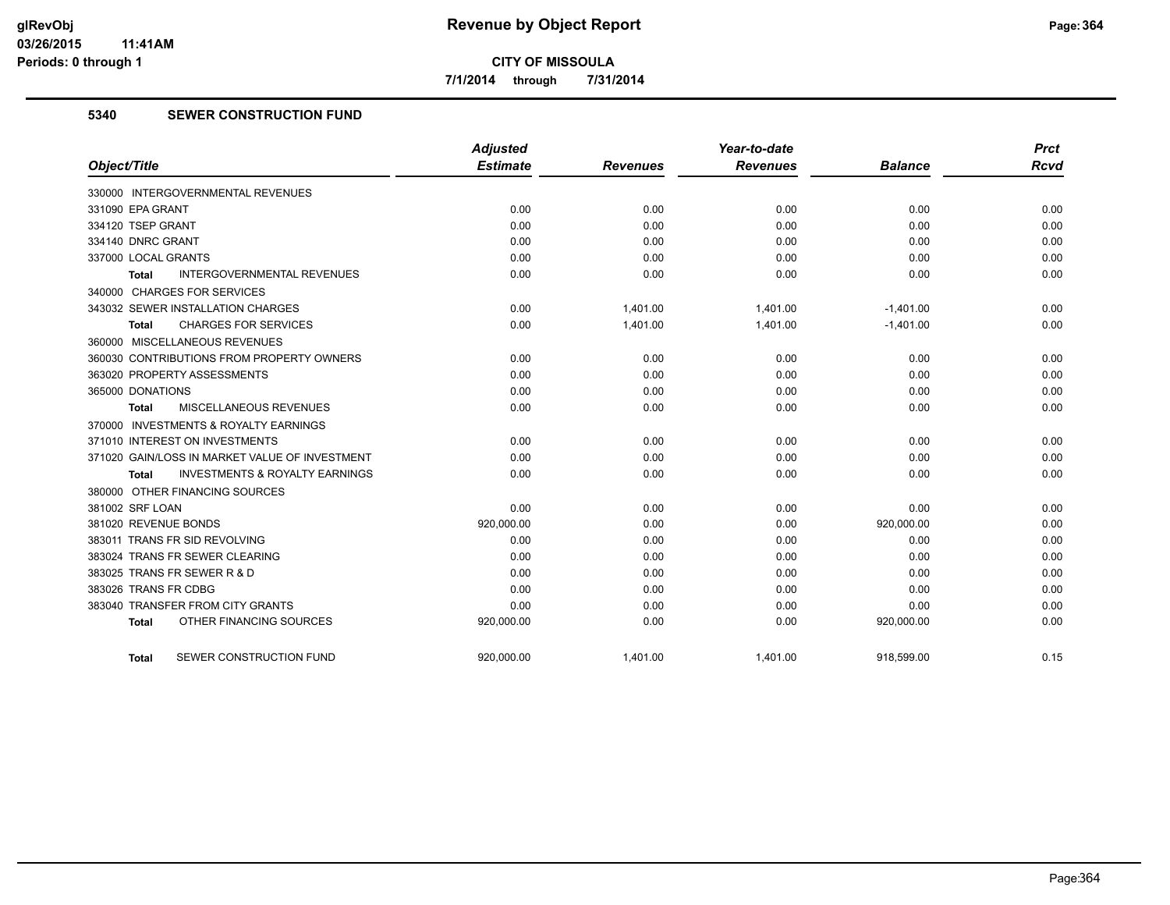**7/1/2014 through 7/31/2014**

# **5340 SEWER CONSTRUCTION FUND**

|                                                           | <b>Adjusted</b> |                 | Year-to-date    |                | <b>Prct</b> |
|-----------------------------------------------------------|-----------------|-----------------|-----------------|----------------|-------------|
| Object/Title                                              | <b>Estimate</b> | <b>Revenues</b> | <b>Revenues</b> | <b>Balance</b> | <b>Rcvd</b> |
| 330000 INTERGOVERNMENTAL REVENUES                         |                 |                 |                 |                |             |
| 331090 EPA GRANT                                          | 0.00            | 0.00            | 0.00            | 0.00           | 0.00        |
| 334120 TSEP GRANT                                         | 0.00            | 0.00            | 0.00            | 0.00           | 0.00        |
| 334140 DNRC GRANT                                         | 0.00            | 0.00            | 0.00            | 0.00           | 0.00        |
| 337000 LOCAL GRANTS                                       | 0.00            | 0.00            | 0.00            | 0.00           | 0.00        |
| <b>INTERGOVERNMENTAL REVENUES</b><br>Total                | 0.00            | 0.00            | 0.00            | 0.00           | 0.00        |
| 340000 CHARGES FOR SERVICES                               |                 |                 |                 |                |             |
| 343032 SEWER INSTALLATION CHARGES                         | 0.00            | 1,401.00        | 1,401.00        | $-1,401.00$    | 0.00        |
| <b>CHARGES FOR SERVICES</b><br><b>Total</b>               | 0.00            | 1,401.00        | 1,401.00        | $-1,401.00$    | 0.00        |
| 360000 MISCELLANEOUS REVENUES                             |                 |                 |                 |                |             |
| 360030 CONTRIBUTIONS FROM PROPERTY OWNERS                 | 0.00            | 0.00            | 0.00            | 0.00           | 0.00        |
| 363020 PROPERTY ASSESSMENTS                               | 0.00            | 0.00            | 0.00            | 0.00           | 0.00        |
| 365000 DONATIONS                                          | 0.00            | 0.00            | 0.00            | 0.00           | 0.00        |
| MISCELLANEOUS REVENUES<br><b>Total</b>                    | 0.00            | 0.00            | 0.00            | 0.00           | 0.00        |
| 370000 INVESTMENTS & ROYALTY EARNINGS                     |                 |                 |                 |                |             |
| 371010 INTEREST ON INVESTMENTS                            | 0.00            | 0.00            | 0.00            | 0.00           | 0.00        |
| 371020 GAIN/LOSS IN MARKET VALUE OF INVESTMENT            | 0.00            | 0.00            | 0.00            | 0.00           | 0.00        |
| <b>INVESTMENTS &amp; ROYALTY EARNINGS</b><br><b>Total</b> | 0.00            | 0.00            | 0.00            | 0.00           | 0.00        |
| 380000 OTHER FINANCING SOURCES                            |                 |                 |                 |                |             |
| 381002 SRF LOAN                                           | 0.00            | 0.00            | 0.00            | 0.00           | 0.00        |
| 381020 REVENUE BONDS                                      | 920,000.00      | 0.00            | 0.00            | 920,000.00     | 0.00        |
| 383011 TRANS FR SID REVOLVING                             | 0.00            | 0.00            | 0.00            | 0.00           | 0.00        |
| 383024 TRANS FR SEWER CLEARING                            | 0.00            | 0.00            | 0.00            | 0.00           | 0.00        |
| 383025 TRANS FR SEWER R & D                               | 0.00            | 0.00            | 0.00            | 0.00           | 0.00        |
| 383026 TRANS FR CDBG                                      | 0.00            | 0.00            | 0.00            | 0.00           | 0.00        |
| 383040 TRANSFER FROM CITY GRANTS                          | 0.00            | 0.00            | 0.00            | 0.00           | 0.00        |
| OTHER FINANCING SOURCES<br><b>Total</b>                   | 920,000.00      | 0.00            | 0.00            | 920,000.00     | 0.00        |
| SEWER CONSTRUCTION FUND<br><b>Total</b>                   | 920.000.00      | 1.401.00        | 1,401.00        | 918.599.00     | 0.15        |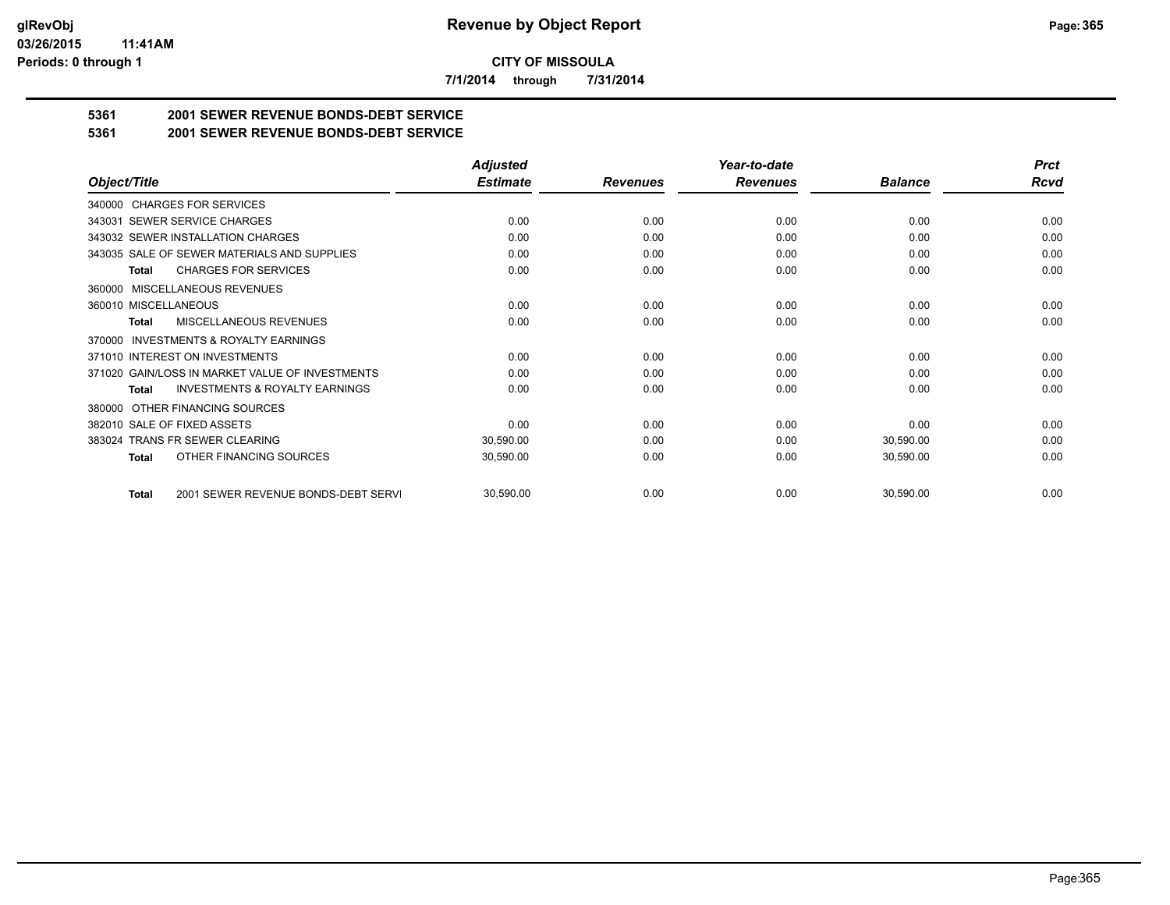**7/1/2014 through 7/31/2014**

# **5361 2001 SEWER REVENUE BONDS-DEBT SERVICE**

**5361 2001 SEWER REVENUE BONDS-DEBT SERVICE**

|                                                           | <b>Adjusted</b> |                 | Year-to-date    |                | <b>Prct</b> |
|-----------------------------------------------------------|-----------------|-----------------|-----------------|----------------|-------------|
| Object/Title                                              | <b>Estimate</b> | <b>Revenues</b> | <b>Revenues</b> | <b>Balance</b> | Rcvd        |
| 340000 CHARGES FOR SERVICES                               |                 |                 |                 |                |             |
| SEWER SERVICE CHARGES<br>343031                           | 0.00            | 0.00            | 0.00            | 0.00           | 0.00        |
| 343032 SEWER INSTALLATION CHARGES                         | 0.00            | 0.00            | 0.00            | 0.00           | 0.00        |
| 343035 SALE OF SEWER MATERIALS AND SUPPLIES               | 0.00            | 0.00            | 0.00            | 0.00           | 0.00        |
| <b>CHARGES FOR SERVICES</b><br><b>Total</b>               | 0.00            | 0.00            | 0.00            | 0.00           | 0.00        |
| <b>MISCELLANEOUS REVENUES</b><br>360000                   |                 |                 |                 |                |             |
| 360010 MISCELLANEOUS                                      | 0.00            | 0.00            | 0.00            | 0.00           | 0.00        |
| MISCELLANEOUS REVENUES<br>Total                           | 0.00            | 0.00            | 0.00            | 0.00           | 0.00        |
| INVESTMENTS & ROYALTY EARNINGS<br>370000                  |                 |                 |                 |                |             |
| 371010 INTEREST ON INVESTMENTS                            | 0.00            | 0.00            | 0.00            | 0.00           | 0.00        |
| 371020 GAIN/LOSS IN MARKET VALUE OF INVESTMENTS           | 0.00            | 0.00            | 0.00            | 0.00           | 0.00        |
| <b>INVESTMENTS &amp; ROYALTY EARNINGS</b><br><b>Total</b> | 0.00            | 0.00            | 0.00            | 0.00           | 0.00        |
| OTHER FINANCING SOURCES<br>380000                         |                 |                 |                 |                |             |
| 382010 SALE OF FIXED ASSETS                               | 0.00            | 0.00            | 0.00            | 0.00           | 0.00        |
| 383024 TRANS FR SEWER CLEARING                            | 30,590.00       | 0.00            | 0.00            | 30,590.00      | 0.00        |
| OTHER FINANCING SOURCES<br><b>Total</b>                   | 30,590.00       | 0.00            | 0.00            | 30,590.00      | 0.00        |
| 2001 SEWER REVENUE BONDS-DEBT SERVI<br><b>Total</b>       | 30,590.00       | 0.00            | 0.00            | 30,590.00      | 0.00        |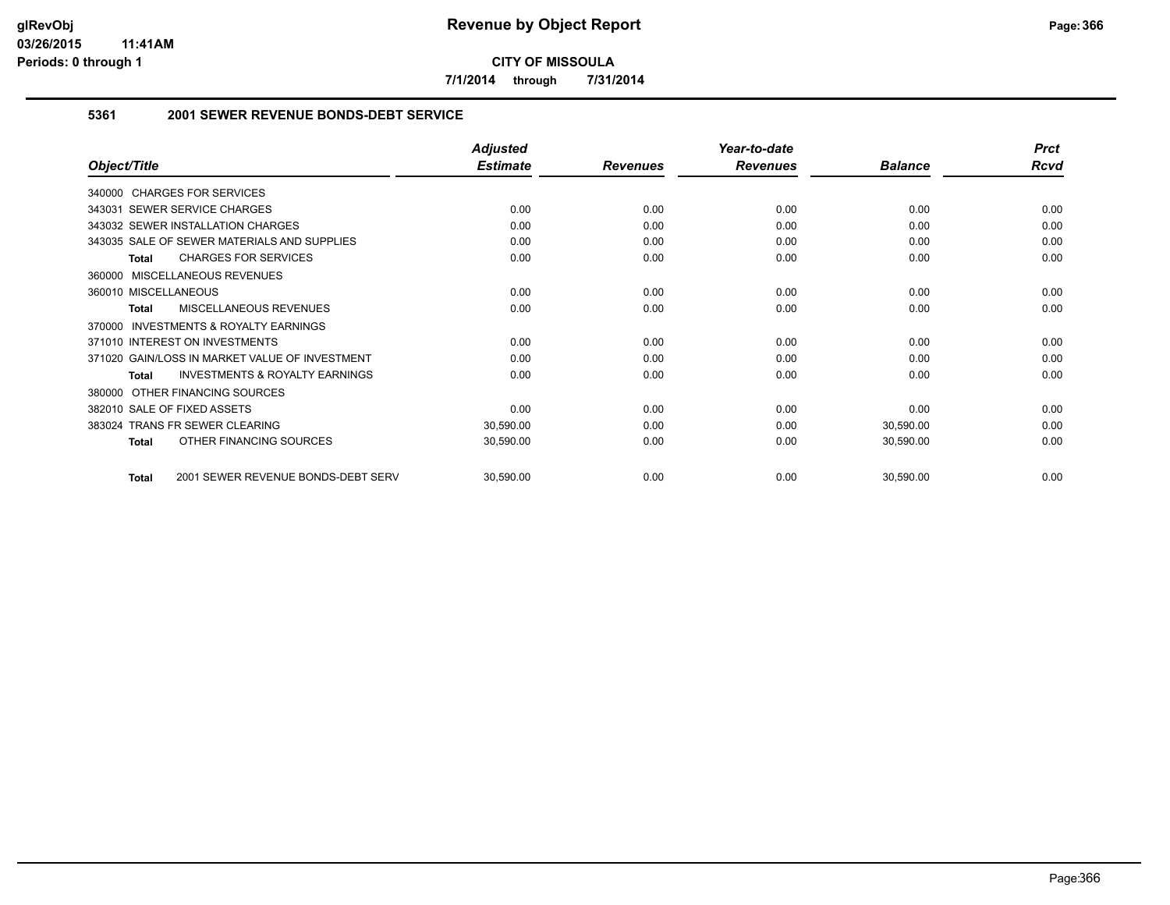**7/1/2014 through 7/31/2014**

### **5361 2001 SEWER REVENUE BONDS-DEBT SERVICE**

|                                                           | <b>Adjusted</b> |                 | Year-to-date    |                | <b>Prct</b> |
|-----------------------------------------------------------|-----------------|-----------------|-----------------|----------------|-------------|
| Object/Title                                              | <b>Estimate</b> | <b>Revenues</b> | <b>Revenues</b> | <b>Balance</b> | Rcvd        |
| 340000 CHARGES FOR SERVICES                               |                 |                 |                 |                |             |
| SEWER SERVICE CHARGES<br>343031                           | 0.00            | 0.00            | 0.00            | 0.00           | 0.00        |
| 343032 SEWER INSTALLATION CHARGES                         | 0.00            | 0.00            | 0.00            | 0.00           | 0.00        |
| 343035 SALE OF SEWER MATERIALS AND SUPPLIES               | 0.00            | 0.00            | 0.00            | 0.00           | 0.00        |
| <b>CHARGES FOR SERVICES</b><br>Total                      | 0.00            | 0.00            | 0.00            | 0.00           | 0.00        |
| 360000 MISCELLANEOUS REVENUES                             |                 |                 |                 |                |             |
| 360010 MISCELLANEOUS                                      | 0.00            | 0.00            | 0.00            | 0.00           | 0.00        |
| MISCELLANEOUS REVENUES<br><b>Total</b>                    | 0.00            | 0.00            | 0.00            | 0.00           | 0.00        |
| INVESTMENTS & ROYALTY EARNINGS<br>370000                  |                 |                 |                 |                |             |
| 371010 INTEREST ON INVESTMENTS                            | 0.00            | 0.00            | 0.00            | 0.00           | 0.00        |
| 371020 GAIN/LOSS IN MARKET VALUE OF INVESTMENT            | 0.00            | 0.00            | 0.00            | 0.00           | 0.00        |
| <b>INVESTMENTS &amp; ROYALTY EARNINGS</b><br><b>Total</b> | 0.00            | 0.00            | 0.00            | 0.00           | 0.00        |
| OTHER FINANCING SOURCES<br>380000                         |                 |                 |                 |                |             |
| 382010 SALE OF FIXED ASSETS                               | 0.00            | 0.00            | 0.00            | 0.00           | 0.00        |
| 383024 TRANS FR SEWER CLEARING                            | 30,590.00       | 0.00            | 0.00            | 30,590.00      | 0.00        |
| OTHER FINANCING SOURCES<br><b>Total</b>                   | 30,590.00       | 0.00            | 0.00            | 30,590.00      | 0.00        |
| 2001 SEWER REVENUE BONDS-DEBT SERV<br><b>Total</b>        | 30,590.00       | 0.00            | 0.00            | 30,590.00      | 0.00        |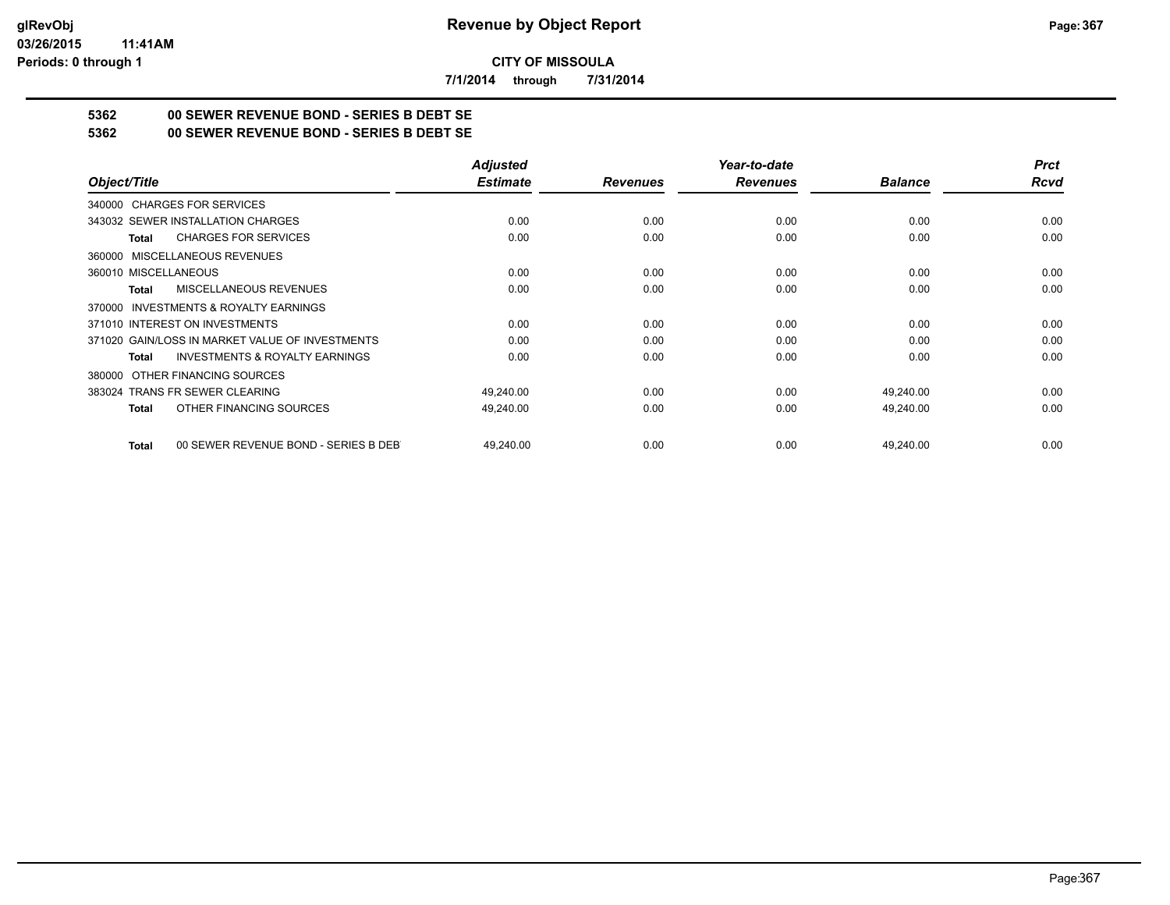**7/1/2014 through 7/31/2014**

# **5362 00 SEWER REVENUE BOND - SERIES B DEBT SE**

**5362 00 SEWER REVENUE BOND - SERIES B DEBT SE**

|                                                           | <b>Adjusted</b> |                 | Year-to-date    |                | <b>Prct</b> |
|-----------------------------------------------------------|-----------------|-----------------|-----------------|----------------|-------------|
| Object/Title                                              | <b>Estimate</b> | <b>Revenues</b> | <b>Revenues</b> | <b>Balance</b> | Rcvd        |
| 340000 CHARGES FOR SERVICES                               |                 |                 |                 |                |             |
| 343032 SEWER INSTALLATION CHARGES                         | 0.00            | 0.00            | 0.00            | 0.00           | 0.00        |
| <b>CHARGES FOR SERVICES</b><br><b>Total</b>               | 0.00            | 0.00            | 0.00            | 0.00           | 0.00        |
| MISCELLANEOUS REVENUES<br>360000                          |                 |                 |                 |                |             |
| 360010 MISCELLANEOUS                                      | 0.00            | 0.00            | 0.00            | 0.00           | 0.00        |
| MISCELLANEOUS REVENUES<br>Total                           | 0.00            | 0.00            | 0.00            | 0.00           | 0.00        |
| <b>INVESTMENTS &amp; ROYALTY EARNINGS</b><br>370000       |                 |                 |                 |                |             |
| 371010 INTEREST ON INVESTMENTS                            | 0.00            | 0.00            | 0.00            | 0.00           | 0.00        |
| 371020 GAIN/LOSS IN MARKET VALUE OF INVESTMENTS           | 0.00            | 0.00            | 0.00            | 0.00           | 0.00        |
| <b>INVESTMENTS &amp; ROYALTY EARNINGS</b><br><b>Total</b> | 0.00            | 0.00            | 0.00            | 0.00           | 0.00        |
| OTHER FINANCING SOURCES<br>380000                         |                 |                 |                 |                |             |
| 383024 TRANS FR SEWER CLEARING                            | 49,240.00       | 0.00            | 0.00            | 49,240.00      | 0.00        |
| OTHER FINANCING SOURCES<br><b>Total</b>                   | 49,240.00       | 0.00            | 0.00            | 49,240.00      | 0.00        |
| 00 SEWER REVENUE BOND - SERIES B DEB<br><b>Total</b>      | 49.240.00       | 0.00            | 0.00            | 49,240.00      | 0.00        |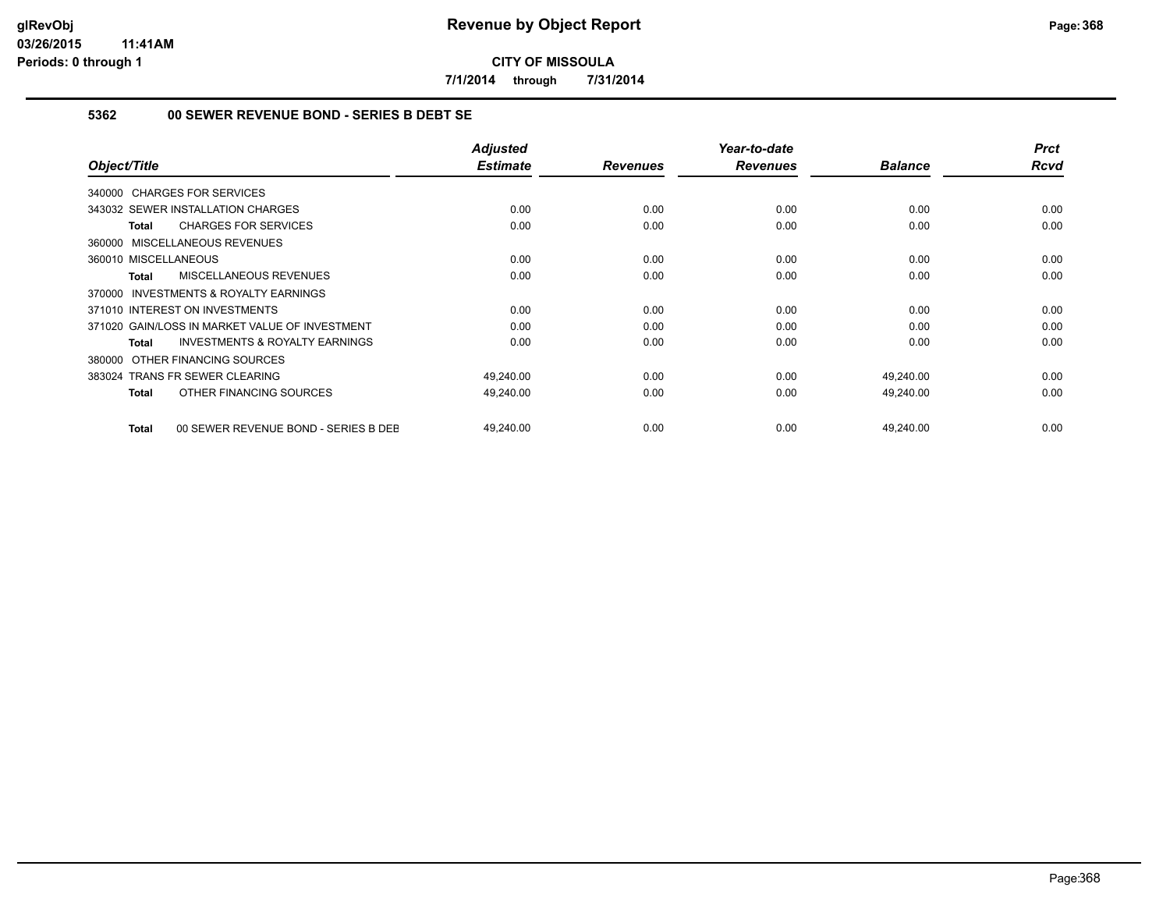**7/1/2014 through 7/31/2014**

# **5362 00 SEWER REVENUE BOND - SERIES B DEBT SE**

| Object/Title                                              |                                      | <b>Adjusted</b><br><b>Estimate</b> | <b>Revenues</b> | Year-to-date<br><b>Revenues</b> | <b>Balance</b> | <b>Prct</b><br><b>Rcvd</b> |
|-----------------------------------------------------------|--------------------------------------|------------------------------------|-----------------|---------------------------------|----------------|----------------------------|
| 340000 CHARGES FOR SERVICES                               |                                      |                                    |                 |                                 |                |                            |
| 343032 SEWER INSTALLATION CHARGES                         |                                      | 0.00                               | 0.00            | 0.00                            | 0.00           | 0.00                       |
| <b>CHARGES FOR SERVICES</b><br>Total                      |                                      | 0.00                               | 0.00            | 0.00                            | 0.00           | 0.00                       |
| 360000 MISCELLANEOUS REVENUES                             |                                      |                                    |                 |                                 |                |                            |
| 360010 MISCELLANEOUS                                      |                                      | 0.00                               | 0.00            | 0.00                            | 0.00           | 0.00                       |
| MISCELLANEOUS REVENUES<br><b>Total</b>                    |                                      | 0.00                               | 0.00            | 0.00                            | 0.00           | 0.00                       |
| <b>INVESTMENTS &amp; ROYALTY EARNINGS</b><br>370000       |                                      |                                    |                 |                                 |                |                            |
| 371010 INTEREST ON INVESTMENTS                            |                                      | 0.00                               | 0.00            | 0.00                            | 0.00           | 0.00                       |
| 371020 GAIN/LOSS IN MARKET VALUE OF INVESTMENT            |                                      | 0.00                               | 0.00            | 0.00                            | 0.00           | 0.00                       |
| <b>INVESTMENTS &amp; ROYALTY EARNINGS</b><br><b>Total</b> |                                      | 0.00                               | 0.00            | 0.00                            | 0.00           | 0.00                       |
| OTHER FINANCING SOURCES<br>380000                         |                                      |                                    |                 |                                 |                |                            |
| 383024 TRANS FR SEWER CLEARING                            |                                      | 49,240.00                          | 0.00            | 0.00                            | 49,240.00      | 0.00                       |
| OTHER FINANCING SOURCES<br><b>Total</b>                   |                                      | 49,240.00                          | 0.00            | 0.00                            | 49,240.00      | 0.00                       |
| <b>Total</b>                                              | 00 SEWER REVENUE BOND - SERIES B DEE | 49,240.00                          | 0.00            | 0.00                            | 49,240.00      | 0.00                       |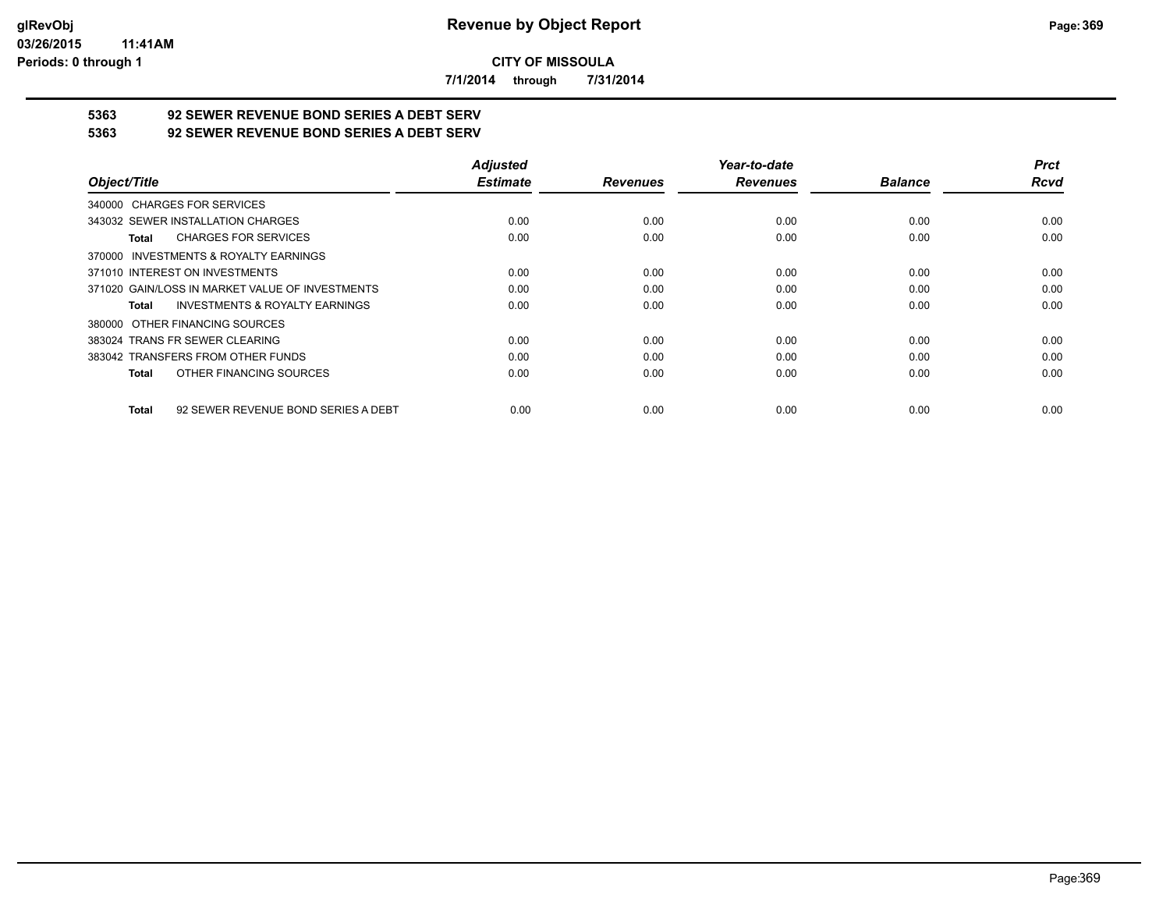**7/1/2014 through 7/31/2014**

# **5363 92 SEWER REVENUE BOND SERIES A DEBT SERV**

**5363 92 SEWER REVENUE BOND SERIES A DEBT SERV**

|                                                     | <b>Adjusted</b> |                 | Year-to-date    |                | <b>Prct</b> |
|-----------------------------------------------------|-----------------|-----------------|-----------------|----------------|-------------|
| Object/Title                                        | <b>Estimate</b> | <b>Revenues</b> | <b>Revenues</b> | <b>Balance</b> | <b>Rcvd</b> |
| 340000 CHARGES FOR SERVICES                         |                 |                 |                 |                |             |
| 343032 SEWER INSTALLATION CHARGES                   | 0.00            | 0.00            | 0.00            | 0.00           | 0.00        |
| <b>CHARGES FOR SERVICES</b><br>Total                | 0.00            | 0.00            | 0.00            | 0.00           | 0.00        |
| INVESTMENTS & ROYALTY EARNINGS<br>370000            |                 |                 |                 |                |             |
| 371010 INTEREST ON INVESTMENTS                      | 0.00            | 0.00            | 0.00            | 0.00           | 0.00        |
| 371020 GAIN/LOSS IN MARKET VALUE OF INVESTMENTS     | 0.00            | 0.00            | 0.00            | 0.00           | 0.00        |
| <b>INVESTMENTS &amp; ROYALTY EARNINGS</b><br>Total  | 0.00            | 0.00            | 0.00            | 0.00           | 0.00        |
| OTHER FINANCING SOURCES<br>380000                   |                 |                 |                 |                |             |
| 383024 TRANS FR SEWER CLEARING                      | 0.00            | 0.00            | 0.00            | 0.00           | 0.00        |
| 383042 TRANSFERS FROM OTHER FUNDS                   | 0.00            | 0.00            | 0.00            | 0.00           | 0.00        |
| OTHER FINANCING SOURCES<br>Total                    | 0.00            | 0.00            | 0.00            | 0.00           | 0.00        |
| 92 SEWER REVENUE BOND SERIES A DEBT<br><b>Total</b> | 0.00            | 0.00            | 0.00            | 0.00           | 0.00        |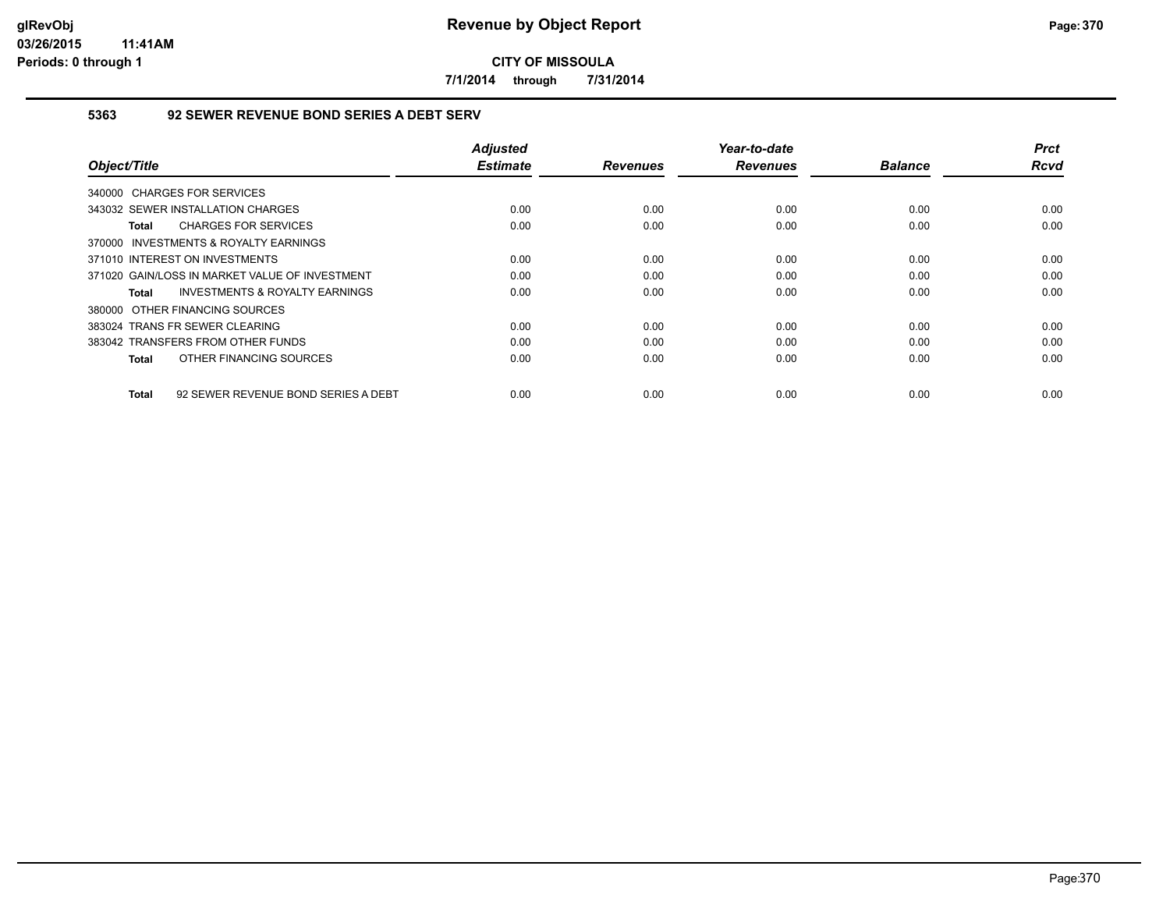**7/1/2014 through 7/31/2014**

## **5363 92 SEWER REVENUE BOND SERIES A DEBT SERV**

| Object/Title                                        | <b>Adjusted</b><br><b>Estimate</b> | <b>Revenues</b> | Year-to-date<br><b>Revenues</b> | <b>Balance</b> | <b>Prct</b><br>Rcvd |
|-----------------------------------------------------|------------------------------------|-----------------|---------------------------------|----------------|---------------------|
| 340000 CHARGES FOR SERVICES                         |                                    |                 |                                 |                |                     |
| 343032 SEWER INSTALLATION CHARGES                   | 0.00                               | 0.00            | 0.00                            | 0.00           | 0.00                |
| <b>CHARGES FOR SERVICES</b><br>Total                | 0.00                               | 0.00            | 0.00                            | 0.00           | 0.00                |
| 370000 INVESTMENTS & ROYALTY EARNINGS               |                                    |                 |                                 |                |                     |
| 371010 INTEREST ON INVESTMENTS                      | 0.00                               | 0.00            | 0.00                            | 0.00           | 0.00                |
| 371020 GAIN/LOSS IN MARKET VALUE OF INVESTMENT      | 0.00                               | 0.00            | 0.00                            | 0.00           | 0.00                |
| <b>INVESTMENTS &amp; ROYALTY EARNINGS</b><br>Total  | 0.00                               | 0.00            | 0.00                            | 0.00           | 0.00                |
| 380000 OTHER FINANCING SOURCES                      |                                    |                 |                                 |                |                     |
| 383024 TRANS FR SEWER CLEARING                      | 0.00                               | 0.00            | 0.00                            | 0.00           | 0.00                |
| 383042 TRANSFERS FROM OTHER FUNDS                   | 0.00                               | 0.00            | 0.00                            | 0.00           | 0.00                |
| OTHER FINANCING SOURCES<br>Total                    | 0.00                               | 0.00            | 0.00                            | 0.00           | 0.00                |
| 92 SEWER REVENUE BOND SERIES A DEBT<br><b>Total</b> | 0.00                               | 0.00            | 0.00                            | 0.00           | 0.00                |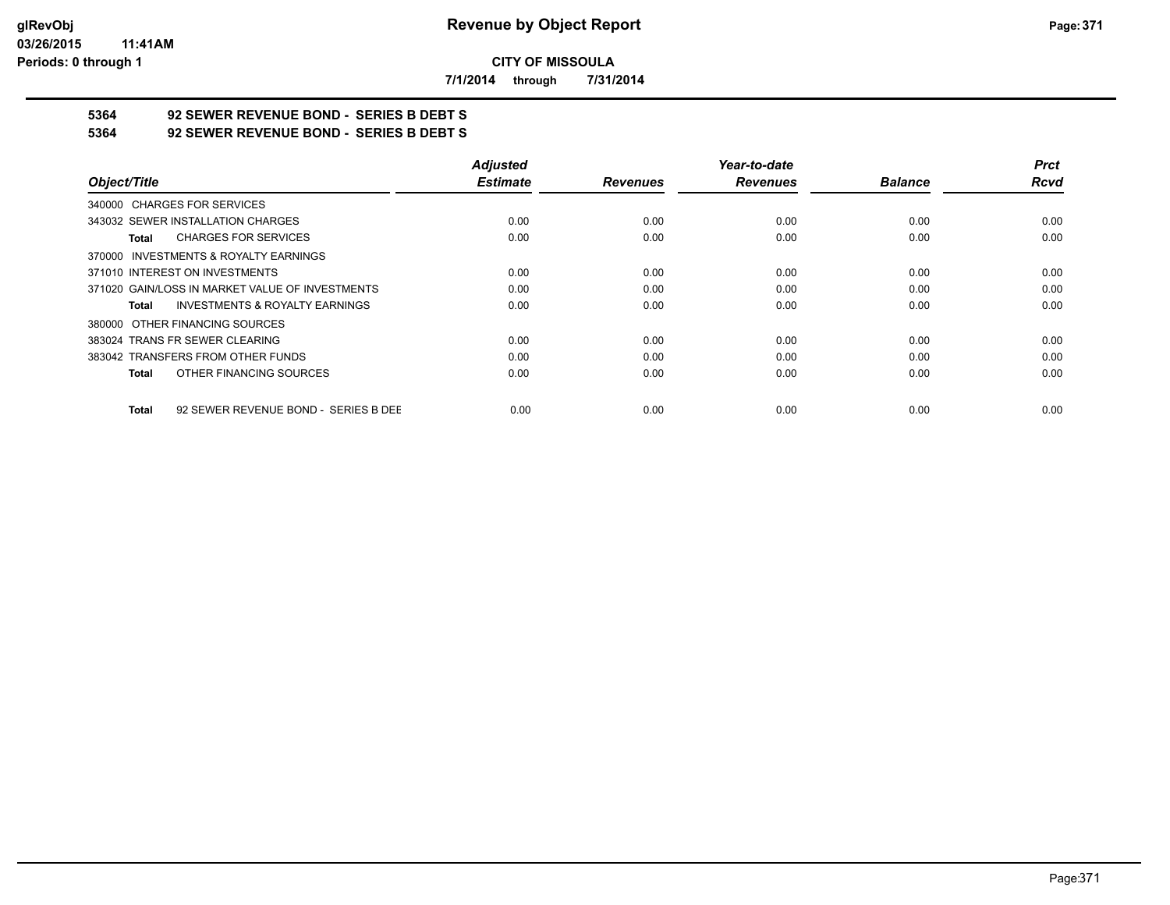**7/1/2014 through 7/31/2014**

# **5364 92 SEWER REVENUE BOND - SERIES B DEBT S**

**5364 92 SEWER REVENUE BOND - SERIES B DEBT S**

|                                                      | <b>Adjusted</b> |                 | Year-to-date    |                | <b>Prct</b> |
|------------------------------------------------------|-----------------|-----------------|-----------------|----------------|-------------|
| Object/Title                                         | <b>Estimate</b> | <b>Revenues</b> | <b>Revenues</b> | <b>Balance</b> | <b>Rcvd</b> |
| 340000 CHARGES FOR SERVICES                          |                 |                 |                 |                |             |
| 343032 SEWER INSTALLATION CHARGES                    | 0.00            | 0.00            | 0.00            | 0.00           | 0.00        |
| <b>CHARGES FOR SERVICES</b><br>Total                 | 0.00            | 0.00            | 0.00            | 0.00           | 0.00        |
| 370000 INVESTMENTS & ROYALTY EARNINGS                |                 |                 |                 |                |             |
| 371010 INTEREST ON INVESTMENTS                       | 0.00            | 0.00            | 0.00            | 0.00           | 0.00        |
| 371020 GAIN/LOSS IN MARKET VALUE OF INVESTMENTS      | 0.00            | 0.00            | 0.00            | 0.00           | 0.00        |
| <b>INVESTMENTS &amp; ROYALTY EARNINGS</b><br>Total   | 0.00            | 0.00            | 0.00            | 0.00           | 0.00        |
| 380000 OTHER FINANCING SOURCES                       |                 |                 |                 |                |             |
| 383024 TRANS FR SEWER CLEARING                       | 0.00            | 0.00            | 0.00            | 0.00           | 0.00        |
| 383042 TRANSFERS FROM OTHER FUNDS                    | 0.00            | 0.00            | 0.00            | 0.00           | 0.00        |
| OTHER FINANCING SOURCES<br><b>Total</b>              | 0.00            | 0.00            | 0.00            | 0.00           | 0.00        |
| 92 SEWER REVENUE BOND - SERIES B DEE<br><b>Total</b> | 0.00            | 0.00            | 0.00            | 0.00           | 0.00        |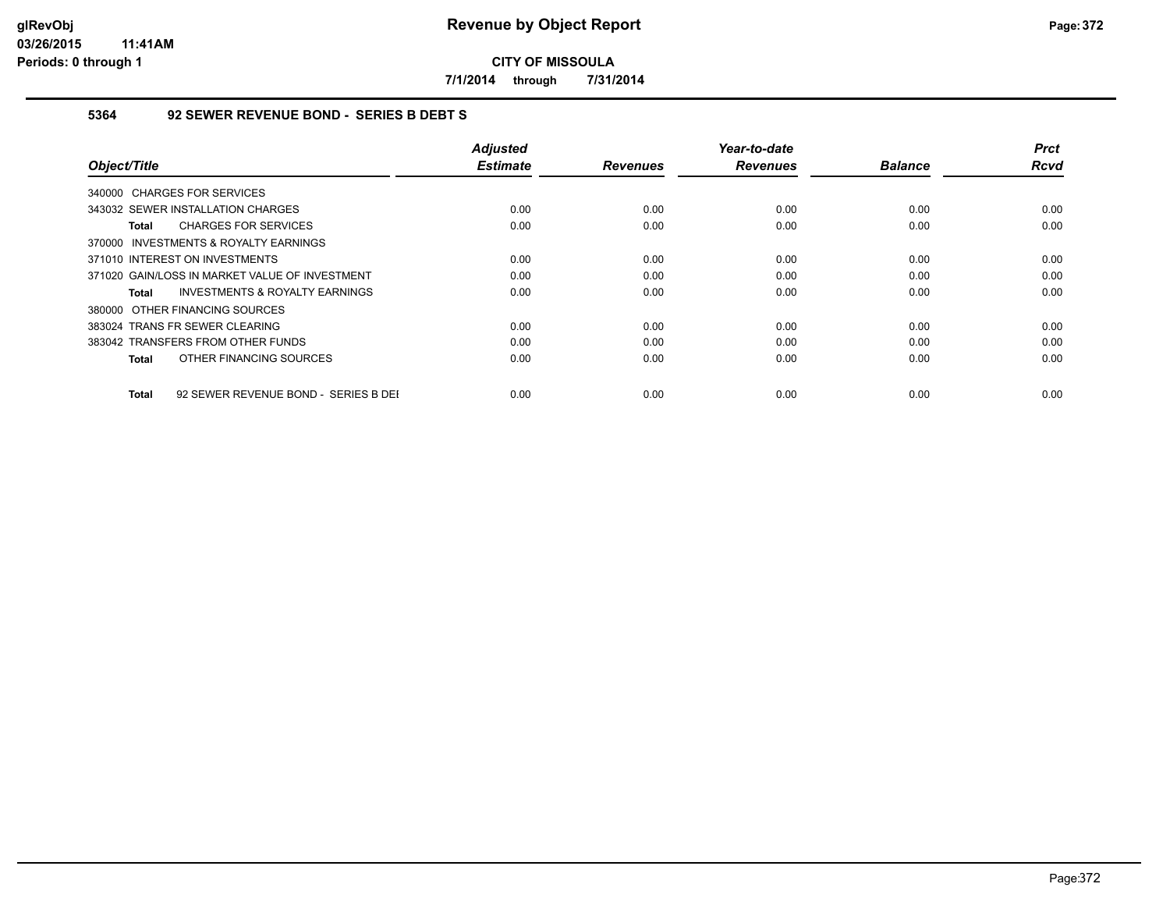**7/1/2014 through 7/31/2014**

## **5364 92 SEWER REVENUE BOND - SERIES B DEBT S**

| Object/Title                                         | <b>Adjusted</b><br><b>Estimate</b> | <b>Revenues</b> | Year-to-date<br><b>Revenues</b> | <b>Balance</b> | <b>Prct</b><br><b>Rcvd</b> |
|------------------------------------------------------|------------------------------------|-----------------|---------------------------------|----------------|----------------------------|
| 340000 CHARGES FOR SERVICES                          |                                    |                 |                                 |                |                            |
| 343032 SEWER INSTALLATION CHARGES                    | 0.00                               | 0.00            | 0.00                            | 0.00           | 0.00                       |
| <b>CHARGES FOR SERVICES</b><br>Total                 | 0.00                               | 0.00            | 0.00                            | 0.00           | 0.00                       |
| 370000 INVESTMENTS & ROYALTY EARNINGS                |                                    |                 |                                 |                |                            |
| 371010 INTEREST ON INVESTMENTS                       | 0.00                               | 0.00            | 0.00                            | 0.00           | 0.00                       |
| 371020 GAIN/LOSS IN MARKET VALUE OF INVESTMENT       | 0.00                               | 0.00            | 0.00                            | 0.00           | 0.00                       |
| <b>INVESTMENTS &amp; ROYALTY EARNINGS</b><br>Total   | 0.00                               | 0.00            | 0.00                            | 0.00           | 0.00                       |
| 380000 OTHER FINANCING SOURCES                       |                                    |                 |                                 |                |                            |
| 383024 TRANS FR SEWER CLEARING                       | 0.00                               | 0.00            | 0.00                            | 0.00           | 0.00                       |
| 383042 TRANSFERS FROM OTHER FUNDS                    | 0.00                               | 0.00            | 0.00                            | 0.00           | 0.00                       |
| OTHER FINANCING SOURCES<br>Total                     | 0.00                               | 0.00            | 0.00                            | 0.00           | 0.00                       |
| 92 SEWER REVENUE BOND - SERIES B DEI<br><b>Total</b> | 0.00                               | 0.00            | 0.00                            | 0.00           | 0.00                       |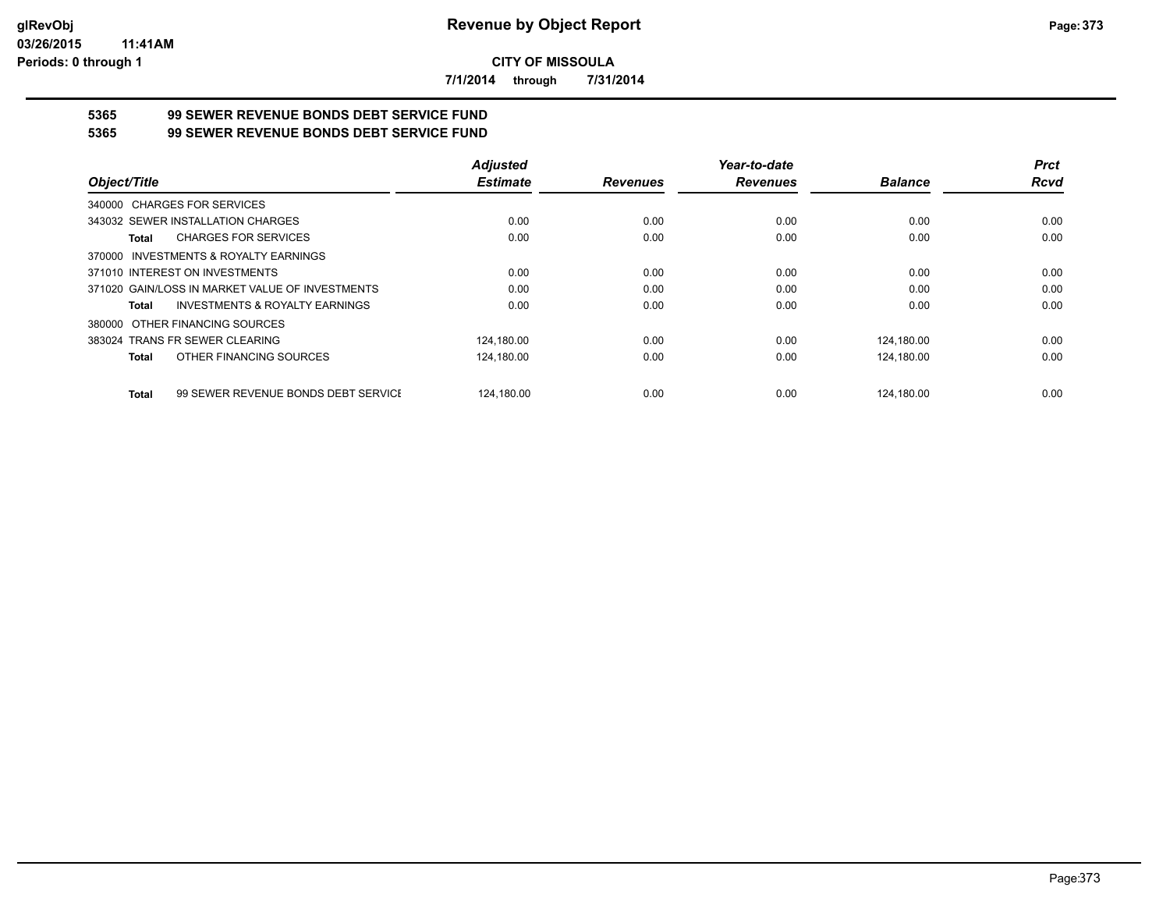**7/1/2014 through 7/31/2014**

# **5365 99 SEWER REVENUE BONDS DEBT SERVICE FUND**

**5365 99 SEWER REVENUE BONDS DEBT SERVICE FUND**

|                                                           | <b>Adjusted</b> |                 | Year-to-date    |                | <b>Prct</b> |
|-----------------------------------------------------------|-----------------|-----------------|-----------------|----------------|-------------|
| Object/Title                                              | <b>Estimate</b> | <b>Revenues</b> | <b>Revenues</b> | <b>Balance</b> | <b>Rcvd</b> |
| 340000 CHARGES FOR SERVICES                               |                 |                 |                 |                |             |
| 343032 SEWER INSTALLATION CHARGES                         | 0.00            | 0.00            | 0.00            | 0.00           | 0.00        |
| <b>CHARGES FOR SERVICES</b><br>Total                      | 0.00            | 0.00            | 0.00            | 0.00           | 0.00        |
| 370000 INVESTMENTS & ROYALTY EARNINGS                     |                 |                 |                 |                |             |
| 371010 INTEREST ON INVESTMENTS                            | 0.00            | 0.00            | 0.00            | 0.00           | 0.00        |
| 371020 GAIN/LOSS IN MARKET VALUE OF INVESTMENTS           | 0.00            | 0.00            | 0.00            | 0.00           | 0.00        |
| <b>INVESTMENTS &amp; ROYALTY EARNINGS</b><br><b>Total</b> | 0.00            | 0.00            | 0.00            | 0.00           | 0.00        |
| 380000 OTHER FINANCING SOURCES                            |                 |                 |                 |                |             |
| 383024 TRANS FR SEWER CLEARING                            | 124.180.00      | 0.00            | 0.00            | 124,180.00     | 0.00        |
| OTHER FINANCING SOURCES<br>Total                          | 124,180.00      | 0.00            | 0.00            | 124.180.00     | 0.00        |
| 99 SEWER REVENUE BONDS DEBT SERVICE<br><b>Total</b>       | 124.180.00      | 0.00            | 0.00            | 124.180.00     | 0.00        |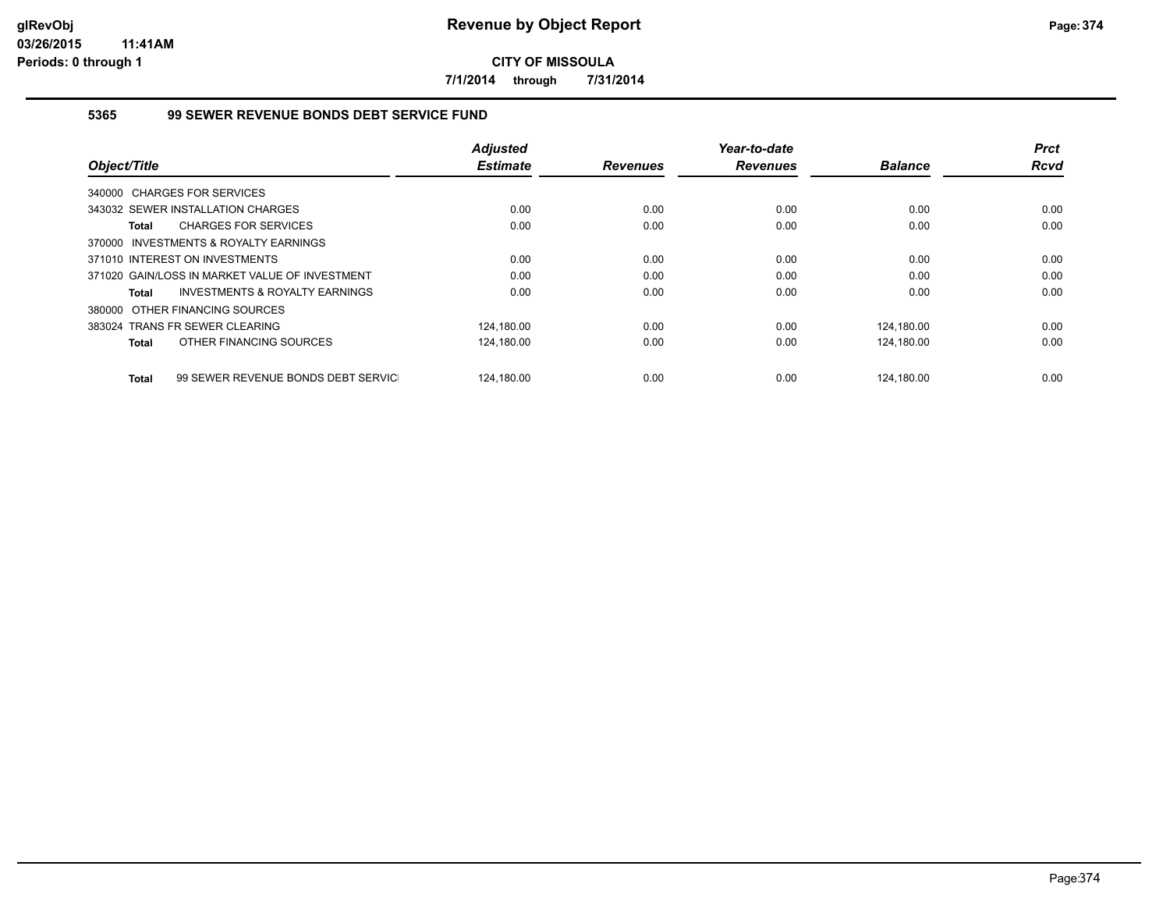**7/1/2014 through 7/31/2014**

## **5365 99 SEWER REVENUE BONDS DEBT SERVICE FUND**

|                                                           | <b>Adjusted</b> |                 | Year-to-date    |                | <b>Prct</b> |
|-----------------------------------------------------------|-----------------|-----------------|-----------------|----------------|-------------|
| Object/Title                                              | <b>Estimate</b> | <b>Revenues</b> | <b>Revenues</b> | <b>Balance</b> | <b>Rcvd</b> |
| 340000 CHARGES FOR SERVICES                               |                 |                 |                 |                |             |
| 343032 SEWER INSTALLATION CHARGES                         | 0.00            | 0.00            | 0.00            | 0.00           | 0.00        |
| <b>CHARGES FOR SERVICES</b><br><b>Total</b>               | 0.00            | 0.00            | 0.00            | 0.00           | 0.00        |
| INVESTMENTS & ROYALTY EARNINGS<br>370000                  |                 |                 |                 |                |             |
| 371010 INTEREST ON INVESTMENTS                            | 0.00            | 0.00            | 0.00            | 0.00           | 0.00        |
| 371020 GAIN/LOSS IN MARKET VALUE OF INVESTMENT            | 0.00            | 0.00            | 0.00            | 0.00           | 0.00        |
| <b>INVESTMENTS &amp; ROYALTY EARNINGS</b><br><b>Total</b> | 0.00            | 0.00            | 0.00            | 0.00           | 0.00        |
| 380000 OTHER FINANCING SOURCES                            |                 |                 |                 |                |             |
| 383024 TRANS FR SEWER CLEARING                            | 124,180.00      | 0.00            | 0.00            | 124,180.00     | 0.00        |
| OTHER FINANCING SOURCES<br><b>Total</b>                   | 124,180.00      | 0.00            | 0.00            | 124,180.00     | 0.00        |
| 99 SEWER REVENUE BONDS DEBT SERVIC<br><b>Total</b>        | 124.180.00      | 0.00            | 0.00            | 124.180.00     | 0.00        |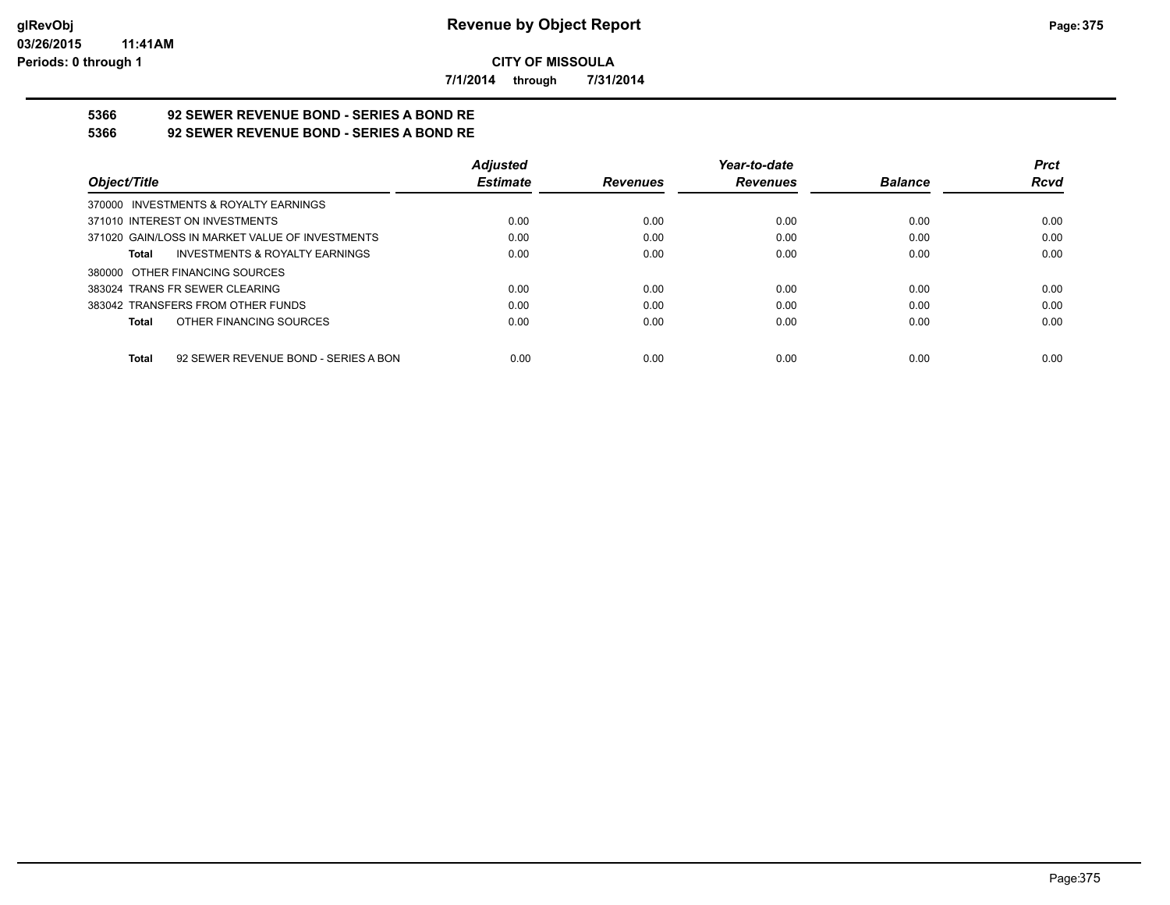**7/1/2014 through 7/31/2014**

# **5366 92 SEWER REVENUE BOND - SERIES A BOND RE**

**5366 92 SEWER REVENUE BOND - SERIES A BOND RE**

|                                                 | <b>Adjusted</b> |                 | Year-to-date    |                | <b>Prct</b> |
|-------------------------------------------------|-----------------|-----------------|-----------------|----------------|-------------|
| Object/Title                                    | <b>Estimate</b> | <b>Revenues</b> | <b>Revenues</b> | <b>Balance</b> | <b>Rcvd</b> |
| 370000 INVESTMENTS & ROYALTY EARNINGS           |                 |                 |                 |                |             |
| 371010 INTEREST ON INVESTMENTS                  | 0.00            | 0.00            | 0.00            | 0.00           | 0.00        |
| 371020 GAIN/LOSS IN MARKET VALUE OF INVESTMENTS | 0.00            | 0.00            | 0.00            | 0.00           | 0.00        |
| INVESTMENTS & ROYALTY EARNINGS<br>Total         | 0.00            | 0.00            | 0.00            | 0.00           | 0.00        |
| 380000 OTHER FINANCING SOURCES                  |                 |                 |                 |                |             |
| 383024 TRANS FR SEWER CLEARING                  | 0.00            | 0.00            | 0.00            | 0.00           | 0.00        |
| 383042 TRANSFERS FROM OTHER FUNDS               | 0.00            | 0.00            | 0.00            | 0.00           | 0.00        |
| OTHER FINANCING SOURCES<br>Total                | 0.00            | 0.00            | 0.00            | 0.00           | 0.00        |
| 92 SEWER REVENUE BOND - SERIES A BON<br>Total   | 0.00            | 0.00            | 0.00            | 0.00           | 0.00        |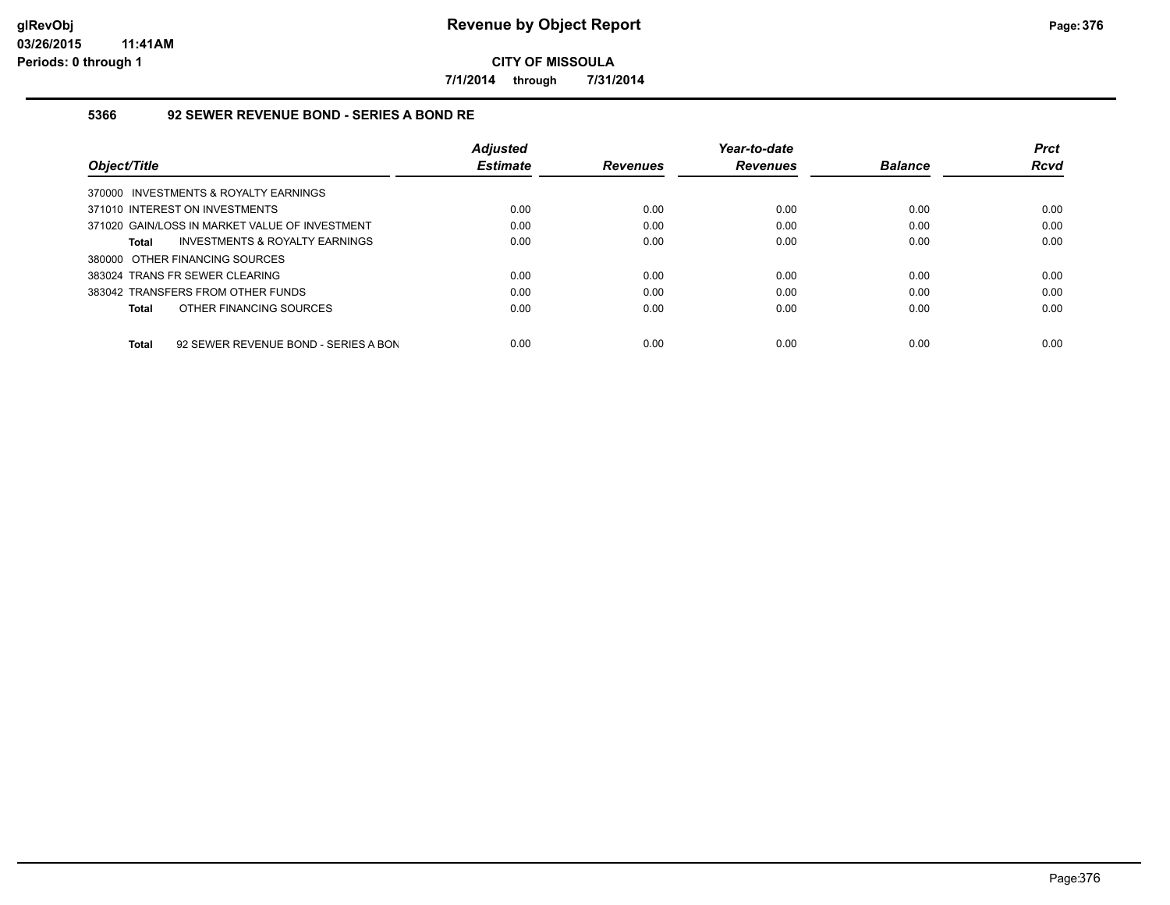**7/1/2014 through 7/31/2014**

### **5366 92 SEWER REVENUE BOND - SERIES A BOND RE**

|                                                | <b>Adjusted</b> |                 | Year-to-date    |                | <b>Prct</b> |
|------------------------------------------------|-----------------|-----------------|-----------------|----------------|-------------|
| Object/Title                                   | <b>Estimate</b> | <b>Revenues</b> | <b>Revenues</b> | <b>Balance</b> | <b>Rcvd</b> |
| 370000 INVESTMENTS & ROYALTY EARNINGS          |                 |                 |                 |                |             |
| 371010 INTEREST ON INVESTMENTS                 | 0.00            | 0.00            | 0.00            | 0.00           | 0.00        |
| 371020 GAIN/LOSS IN MARKET VALUE OF INVESTMENT | 0.00            | 0.00            | 0.00            | 0.00           | 0.00        |
| INVESTMENTS & ROYALTY EARNINGS<br>Total        | 0.00            | 0.00            | 0.00            | 0.00           | 0.00        |
| 380000 OTHER FINANCING SOURCES                 |                 |                 |                 |                |             |
| 383024 TRANS FR SEWER CLEARING                 | 0.00            | 0.00            | 0.00            | 0.00           | 0.00        |
| 383042 TRANSFERS FROM OTHER FUNDS              | 0.00            | 0.00            | 0.00            | 0.00           | 0.00        |
| OTHER FINANCING SOURCES<br>Total               | 0.00            | 0.00            | 0.00            | 0.00           | 0.00        |
|                                                |                 |                 |                 |                |             |
| 92 SEWER REVENUE BOND - SERIES A BON<br>Total  | 0.00            | 0.00            | 0.00            | 0.00           | 0.00        |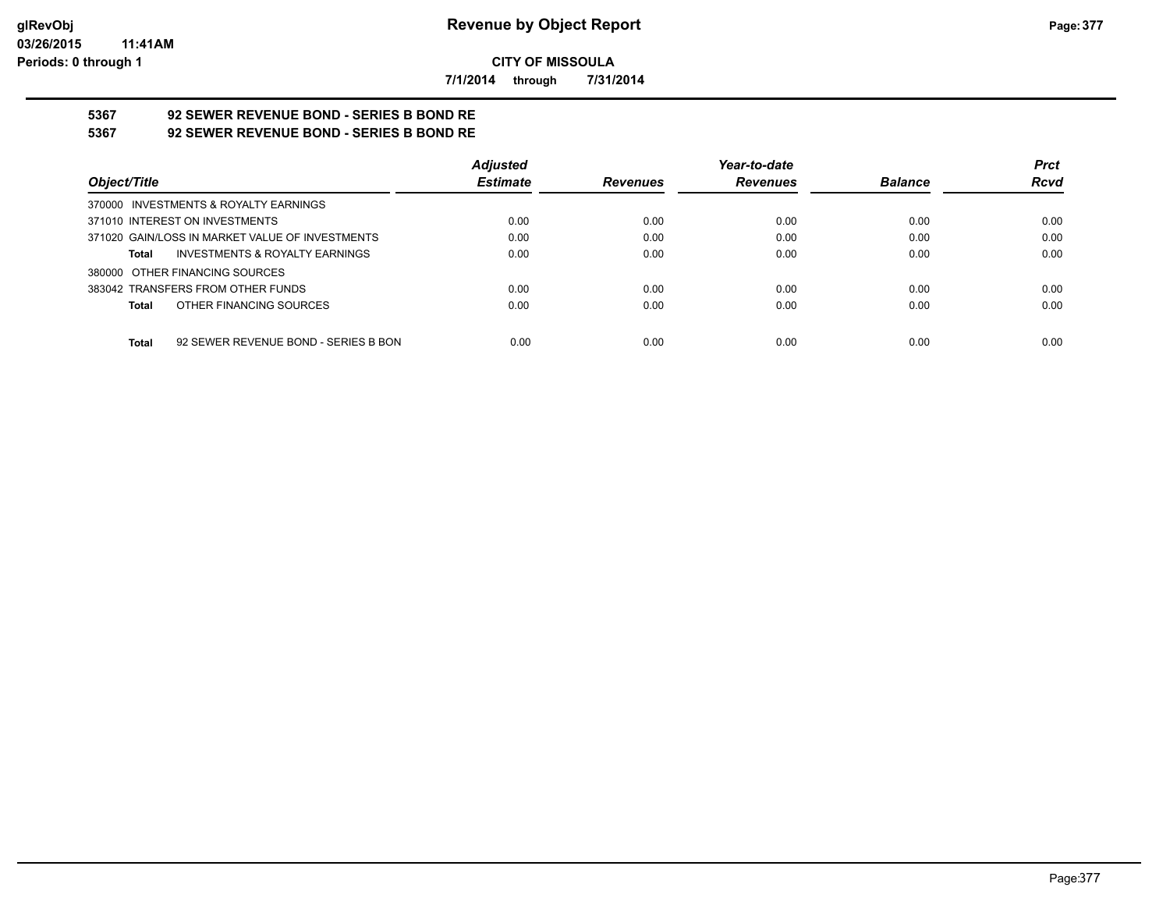**7/1/2014 through 7/31/2014**

# **5367 92 SEWER REVENUE BOND - SERIES B BOND RE**

**5367 92 SEWER REVENUE BOND - SERIES B BOND RE**

|                                                 | <b>Adjusted</b> |                 | Year-to-date    |                | <b>Prct</b> |
|-------------------------------------------------|-----------------|-----------------|-----------------|----------------|-------------|
| Object/Title                                    | <b>Estimate</b> | <b>Revenues</b> | <b>Revenues</b> | <b>Balance</b> | <b>Rcvd</b> |
| 370000 INVESTMENTS & ROYALTY EARNINGS           |                 |                 |                 |                |             |
| 371010 INTEREST ON INVESTMENTS                  | 0.00            | 0.00            | 0.00            | 0.00           | 0.00        |
| 371020 GAIN/LOSS IN MARKET VALUE OF INVESTMENTS | 0.00            | 0.00            | 0.00            | 0.00           | 0.00        |
| INVESTMENTS & ROYALTY EARNINGS<br>Total         | 0.00            | 0.00            | 0.00            | 0.00           | 0.00        |
| 380000 OTHER FINANCING SOURCES                  |                 |                 |                 |                |             |
| 383042 TRANSFERS FROM OTHER FUNDS               | 0.00            | 0.00            | 0.00            | 0.00           | 0.00        |
| OTHER FINANCING SOURCES<br>Total                | 0.00            | 0.00            | 0.00            | 0.00           | 0.00        |
|                                                 |                 |                 |                 |                |             |
| 92 SEWER REVENUE BOND - SERIES B BON<br>Total   | 0.00            | 0.00            | 0.00            | 0.00           | 0.00        |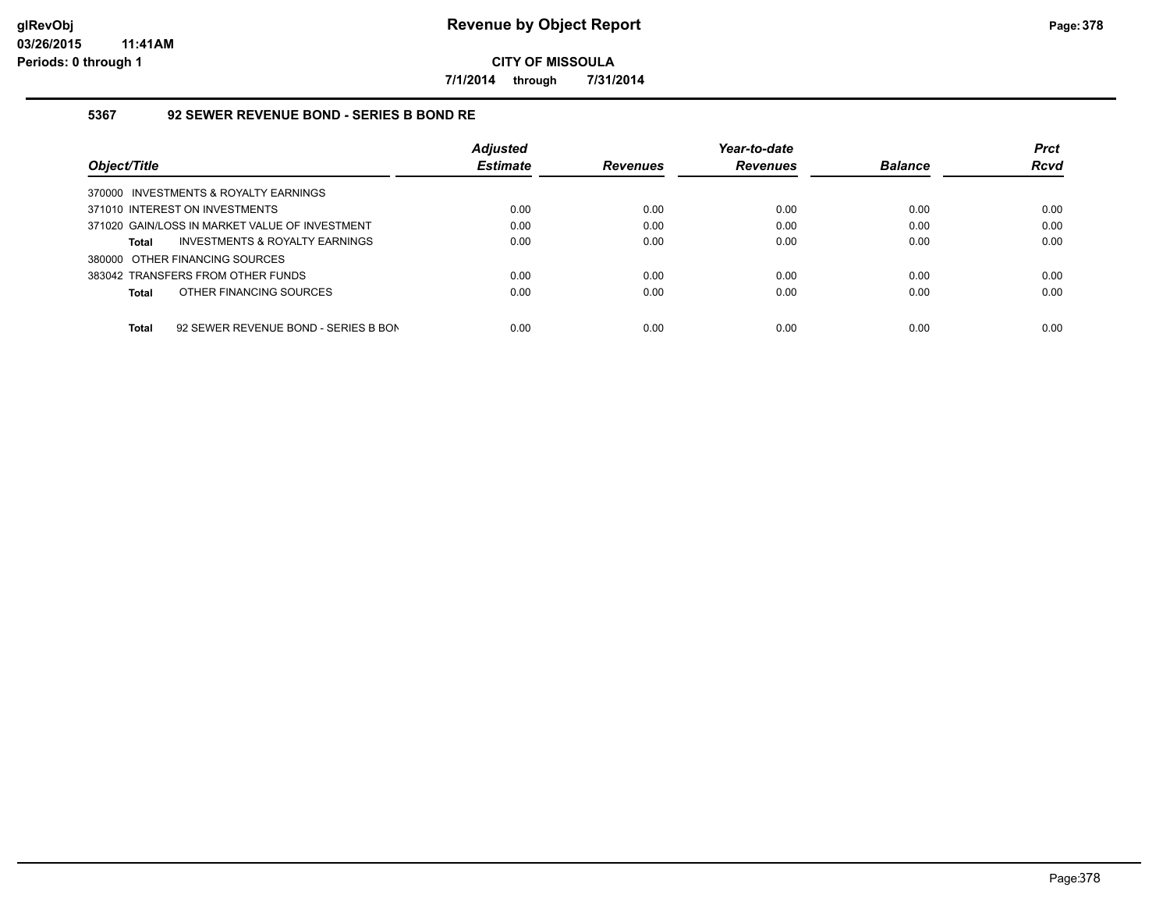**7/1/2014 through 7/31/2014**

### **5367 92 SEWER REVENUE BOND - SERIES B BOND RE**

| Object/Title                                         | <b>Adjusted</b><br><b>Estimate</b> | <b>Revenues</b> | Year-to-date<br><b>Revenues</b> | <b>Balance</b> | <b>Prct</b><br><b>Rcvd</b> |
|------------------------------------------------------|------------------------------------|-----------------|---------------------------------|----------------|----------------------------|
| 370000 INVESTMENTS & ROYALTY EARNINGS                |                                    |                 |                                 |                |                            |
| 371010 INTEREST ON INVESTMENTS                       | 0.00                               | 0.00            | 0.00                            | 0.00           | 0.00                       |
| 371020 GAIN/LOSS IN MARKET VALUE OF INVESTMENT       | 0.00                               | 0.00            | 0.00                            | 0.00           | 0.00                       |
| INVESTMENTS & ROYALTY EARNINGS<br><b>Total</b>       | 0.00                               | 0.00            | 0.00                            | 0.00           | 0.00                       |
| 380000 OTHER FINANCING SOURCES                       |                                    |                 |                                 |                |                            |
| 383042 TRANSFERS FROM OTHER FUNDS                    | 0.00                               | 0.00            | 0.00                            | 0.00           | 0.00                       |
| OTHER FINANCING SOURCES<br><b>Total</b>              | 0.00                               | 0.00            | 0.00                            | 0.00           | 0.00                       |
| 92 SEWER REVENUE BOND - SERIES B BON<br><b>Total</b> | 0.00                               | 0.00            | 0.00                            | 0.00           | 0.00                       |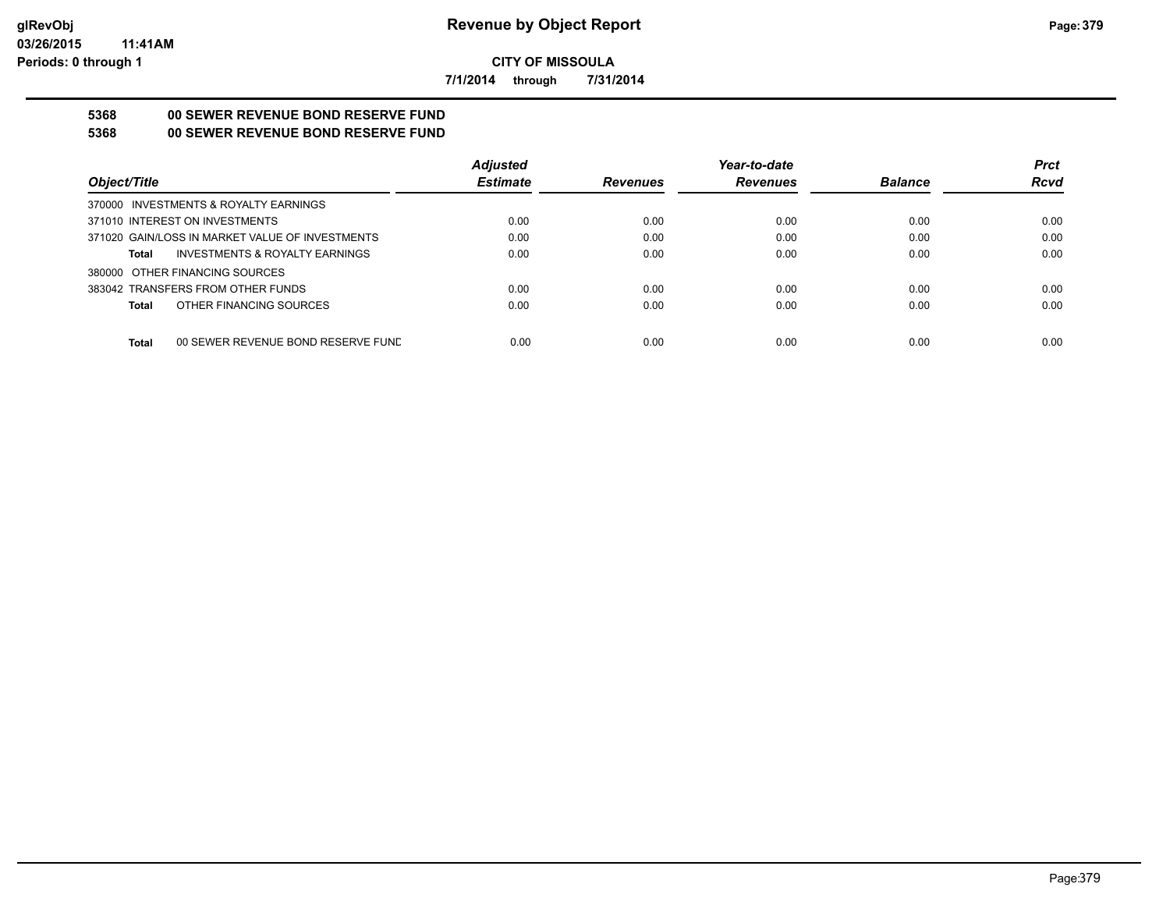**7/1/2014 through 7/31/2014**

# **5368 00 SEWER REVENUE BOND RESERVE FUND**

# **5368 00 SEWER REVENUE BOND RESERVE FUND**

|                                                    | <b>Adjusted</b> |                 | Year-to-date    |                | <b>Prct</b> |
|----------------------------------------------------|-----------------|-----------------|-----------------|----------------|-------------|
| Object/Title                                       | <b>Estimate</b> | <b>Revenues</b> | <b>Revenues</b> | <b>Balance</b> | <b>Rcvd</b> |
| 370000 INVESTMENTS & ROYALTY EARNINGS              |                 |                 |                 |                |             |
| 371010 INTEREST ON INVESTMENTS                     | 0.00            | 0.00            | 0.00            | 0.00           | 0.00        |
| 371020 GAIN/LOSS IN MARKET VALUE OF INVESTMENTS    | 0.00            | 0.00            | 0.00            | 0.00           | 0.00        |
| <b>INVESTMENTS &amp; ROYALTY EARNINGS</b><br>Total | 0.00            | 0.00            | 0.00            | 0.00           | 0.00        |
| 380000 OTHER FINANCING SOURCES                     |                 |                 |                 |                |             |
| 383042 TRANSFERS FROM OTHER FUNDS                  | 0.00            | 0.00            | 0.00            | 0.00           | 0.00        |
| OTHER FINANCING SOURCES<br>Total                   | 0.00            | 0.00            | 0.00            | 0.00           | 0.00        |
|                                                    |                 |                 |                 |                |             |
| <b>Total</b><br>00 SEWER REVENUE BOND RESERVE FUND | 0.00            | 0.00            | 0.00            | 0.00           | 0.00        |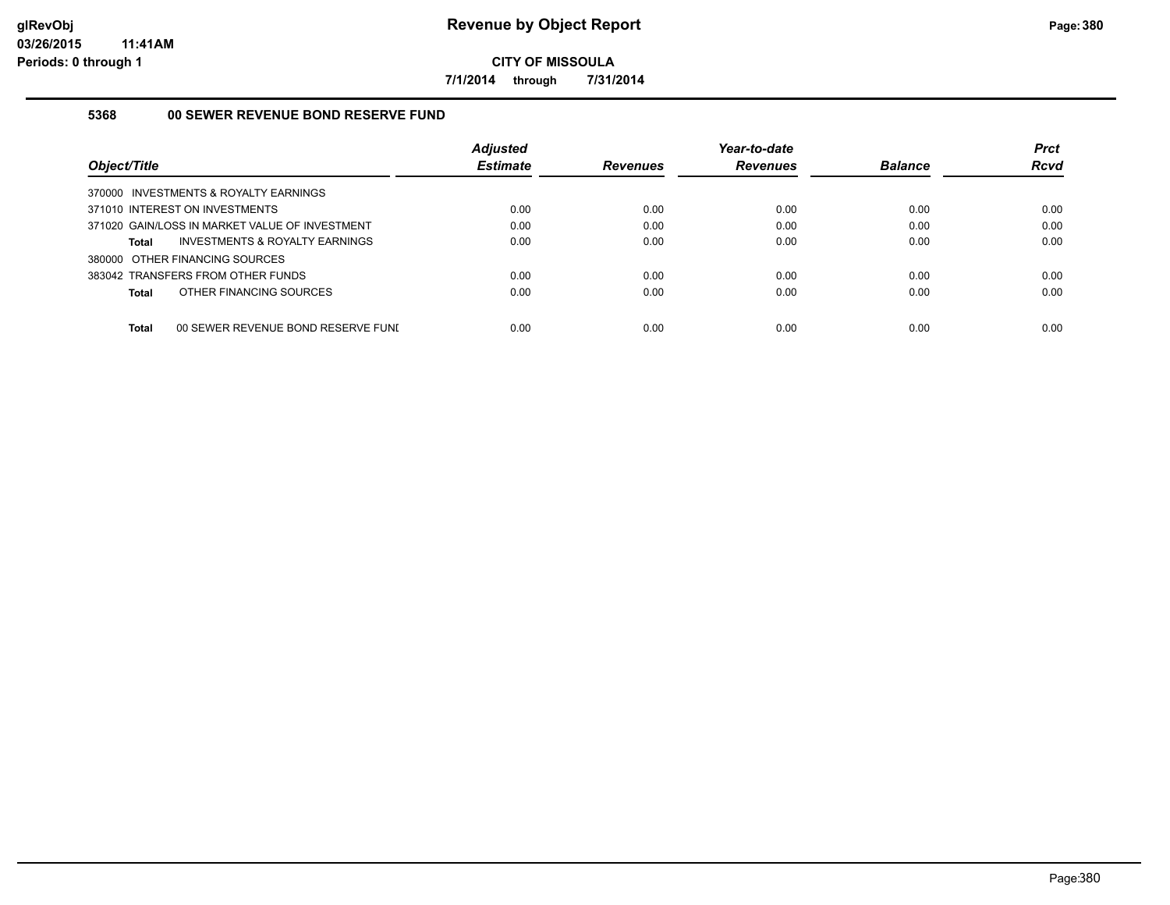**7/1/2014 through 7/31/2014**

## **5368 00 SEWER REVENUE BOND RESERVE FUND**

| Object/Title                                       | <b>Adjusted</b><br><b>Estimate</b> | <b>Revenues</b> | Year-to-date<br><b>Revenues</b> | <b>Balance</b> | <b>Prct</b><br>Rcvd |
|----------------------------------------------------|------------------------------------|-----------------|---------------------------------|----------------|---------------------|
| 370000 INVESTMENTS & ROYALTY EARNINGS              |                                    |                 |                                 |                |                     |
| 371010 INTEREST ON INVESTMENTS                     | 0.00                               | 0.00            | 0.00                            | 0.00           | 0.00                |
| 371020 GAIN/LOSS IN MARKET VALUE OF INVESTMENT     | 0.00                               | 0.00            | 0.00                            | 0.00           | 0.00                |
| INVESTMENTS & ROYALTY EARNINGS<br>Total            | 0.00                               | 0.00            | 0.00                            | 0.00           | 0.00                |
| 380000 OTHER FINANCING SOURCES                     |                                    |                 |                                 |                |                     |
| 383042 TRANSFERS FROM OTHER FUNDS                  | 0.00                               | 0.00            | 0.00                            | 0.00           | 0.00                |
| OTHER FINANCING SOURCES<br>Total                   | 0.00                               | 0.00            | 0.00                            | 0.00           | 0.00                |
|                                                    |                                    |                 |                                 |                |                     |
| <b>Total</b><br>00 SEWER REVENUE BOND RESERVE FUNI | 0.00                               | 0.00            | 0.00                            | 0.00           | 0.00                |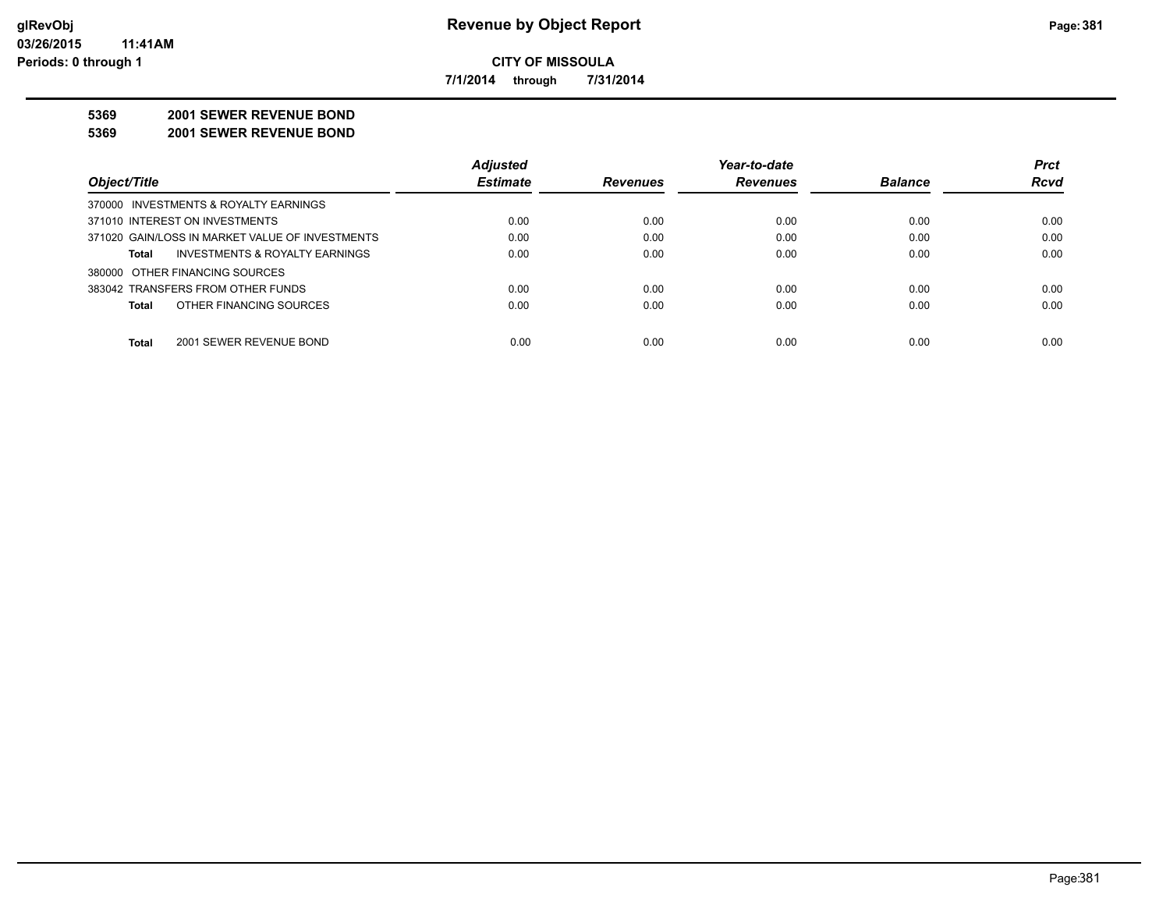**7/1/2014 through 7/31/2014**

#### **5369 2001 SEWER REVENUE BOND**

#### **5369 2001 SEWER REVENUE BOND**

|                                                 | <b>Adjusted</b> |                 | Year-to-date    |                | <b>Prct</b> |
|-------------------------------------------------|-----------------|-----------------|-----------------|----------------|-------------|
| Object/Title                                    | <b>Estimate</b> | <b>Revenues</b> | <b>Revenues</b> | <b>Balance</b> | <b>Rcvd</b> |
| 370000 INVESTMENTS & ROYALTY EARNINGS           |                 |                 |                 |                |             |
| 371010 INTEREST ON INVESTMENTS                  | 0.00            | 0.00            | 0.00            | 0.00           | 0.00        |
| 371020 GAIN/LOSS IN MARKET VALUE OF INVESTMENTS | 0.00            | 0.00            | 0.00            | 0.00           | 0.00        |
| INVESTMENTS & ROYALTY EARNINGS<br><b>Total</b>  | 0.00            | 0.00            | 0.00            | 0.00           | 0.00        |
| 380000 OTHER FINANCING SOURCES                  |                 |                 |                 |                |             |
| 383042 TRANSFERS FROM OTHER FUNDS               | 0.00            | 0.00            | 0.00            | 0.00           | 0.00        |
| OTHER FINANCING SOURCES<br><b>Total</b>         | 0.00            | 0.00            | 0.00            | 0.00           | 0.00        |
|                                                 |                 |                 |                 |                |             |
| <b>Total</b><br>2001 SEWER REVENUE BOND         | 0.00            | 0.00            | 0.00            | 0.00           | 0.00        |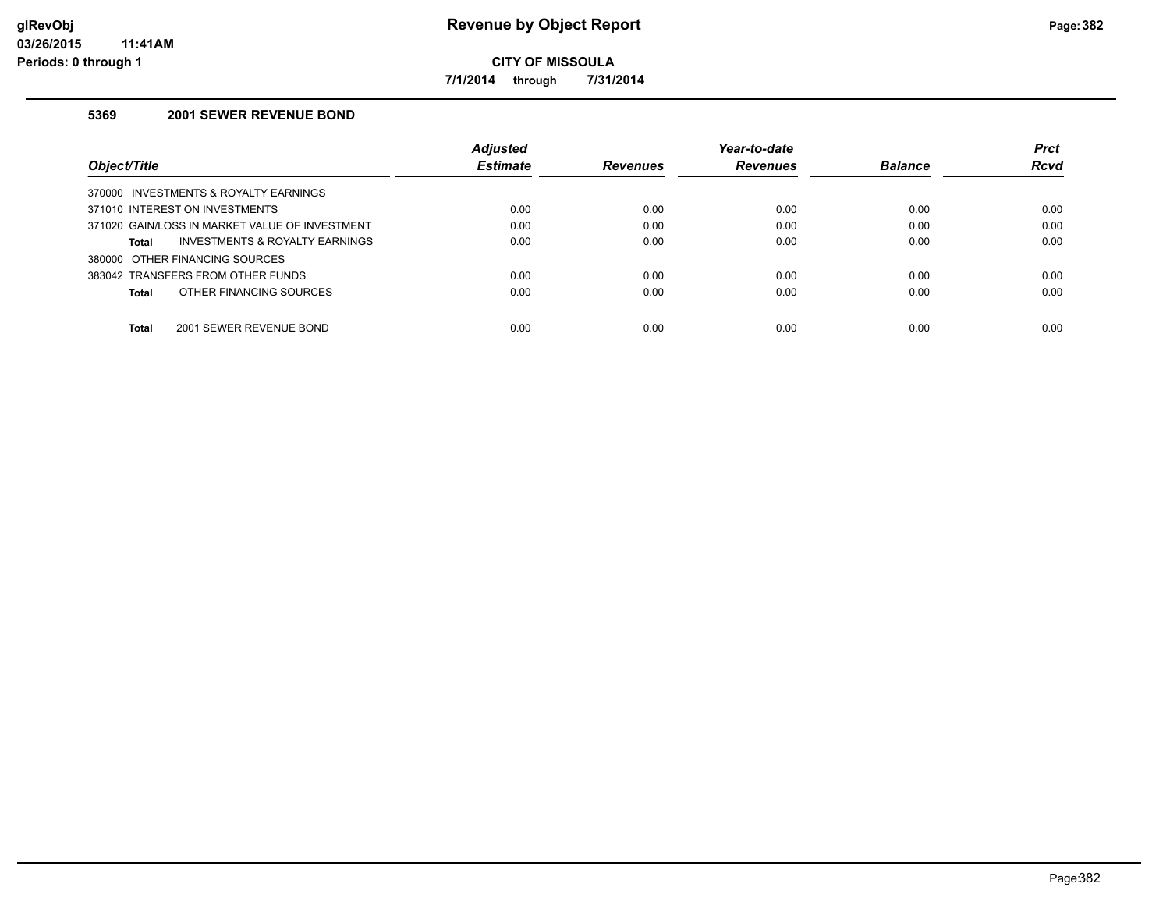**7/1/2014 through 7/31/2014**

## **5369 2001 SEWER REVENUE BOND**

|                                                | Adjusted        |                 | Year-to-date    |                | <b>Prct</b> |
|------------------------------------------------|-----------------|-----------------|-----------------|----------------|-------------|
| Object/Title                                   | <b>Estimate</b> | <b>Revenues</b> | <b>Revenues</b> | <b>Balance</b> | <b>Rcvd</b> |
| 370000 INVESTMENTS & ROYALTY EARNINGS          |                 |                 |                 |                |             |
| 371010 INTEREST ON INVESTMENTS                 | 0.00            | 0.00            | 0.00            | 0.00           | 0.00        |
| 371020 GAIN/LOSS IN MARKET VALUE OF INVESTMENT | 0.00            | 0.00            | 0.00            | 0.00           | 0.00        |
| INVESTMENTS & ROYALTY EARNINGS<br>Total        | 0.00            | 0.00            | 0.00            | 0.00           | 0.00        |
| 380000 OTHER FINANCING SOURCES                 |                 |                 |                 |                |             |
| 383042 TRANSFERS FROM OTHER FUNDS              | 0.00            | 0.00            | 0.00            | 0.00           | 0.00        |
| OTHER FINANCING SOURCES<br>Total               | 0.00            | 0.00            | 0.00            | 0.00           | 0.00        |
| <b>Total</b><br>2001 SEWER REVENUE BOND        | 0.00            | 0.00            | 0.00            | 0.00           | 0.00        |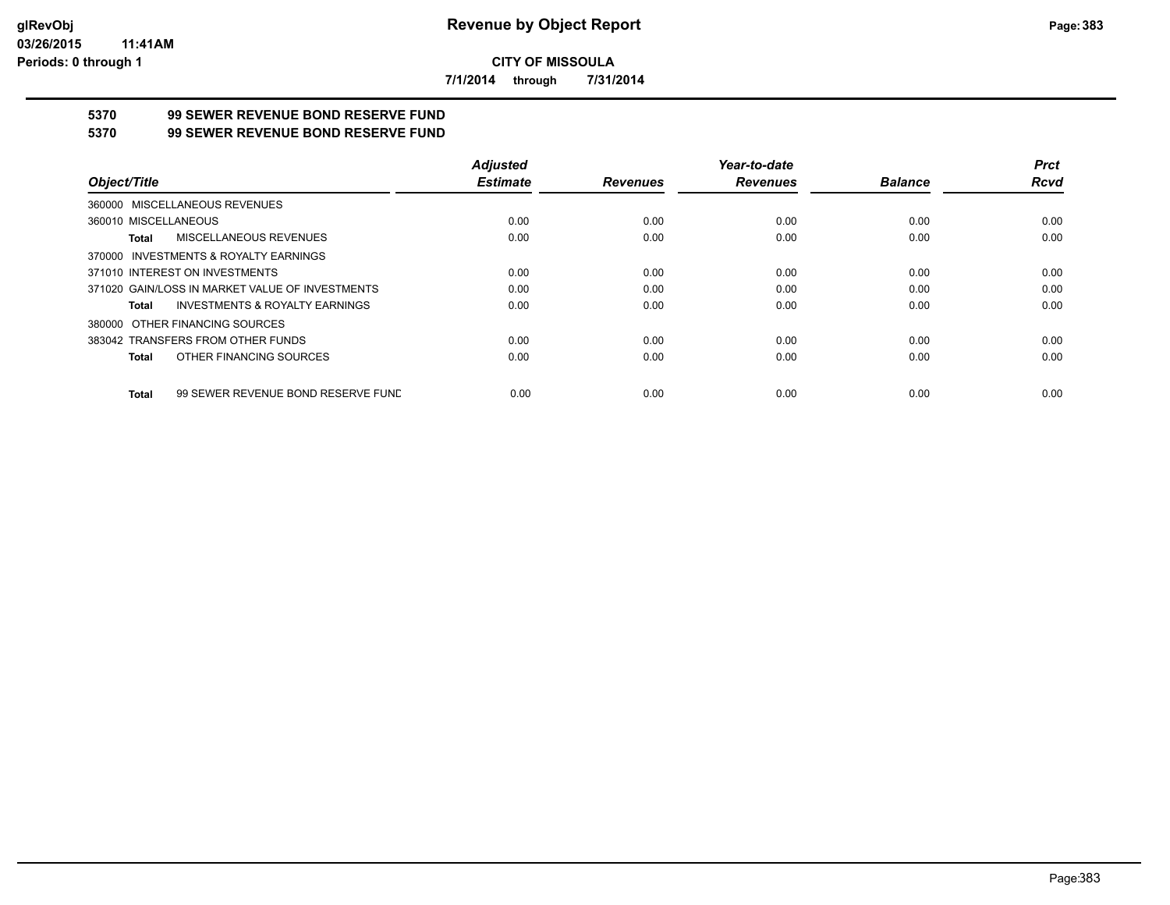**7/1/2014 through 7/31/2014**

# **5370 99 SEWER REVENUE BOND RESERVE FUND**

## **5370 99 SEWER REVENUE BOND RESERVE FUND**

|                                                    | <b>Adjusted</b> |                 | Year-to-date    |                | <b>Prct</b> |
|----------------------------------------------------|-----------------|-----------------|-----------------|----------------|-------------|
| Object/Title                                       | <b>Estimate</b> | <b>Revenues</b> | <b>Revenues</b> | <b>Balance</b> | <b>Rcvd</b> |
| 360000 MISCELLANEOUS REVENUES                      |                 |                 |                 |                |             |
| 360010 MISCELLANEOUS                               | 0.00            | 0.00            | 0.00            | 0.00           | 0.00        |
| MISCELLANEOUS REVENUES<br>Total                    | 0.00            | 0.00            | 0.00            | 0.00           | 0.00        |
| 370000 INVESTMENTS & ROYALTY EARNINGS              |                 |                 |                 |                |             |
| 371010 INTEREST ON INVESTMENTS                     | 0.00            | 0.00            | 0.00            | 0.00           | 0.00        |
| 371020 GAIN/LOSS IN MARKET VALUE OF INVESTMENTS    | 0.00            | 0.00            | 0.00            | 0.00           | 0.00        |
| <b>INVESTMENTS &amp; ROYALTY EARNINGS</b><br>Total | 0.00            | 0.00            | 0.00            | 0.00           | 0.00        |
| 380000 OTHER FINANCING SOURCES                     |                 |                 |                 |                |             |
| 383042 TRANSFERS FROM OTHER FUNDS                  | 0.00            | 0.00            | 0.00            | 0.00           | 0.00        |
| OTHER FINANCING SOURCES<br>Total                   | 0.00            | 0.00            | 0.00            | 0.00           | 0.00        |
| 99 SEWER REVENUE BOND RESERVE FUND<br>Total        | 0.00            | 0.00            | 0.00            | 0.00           | 0.00        |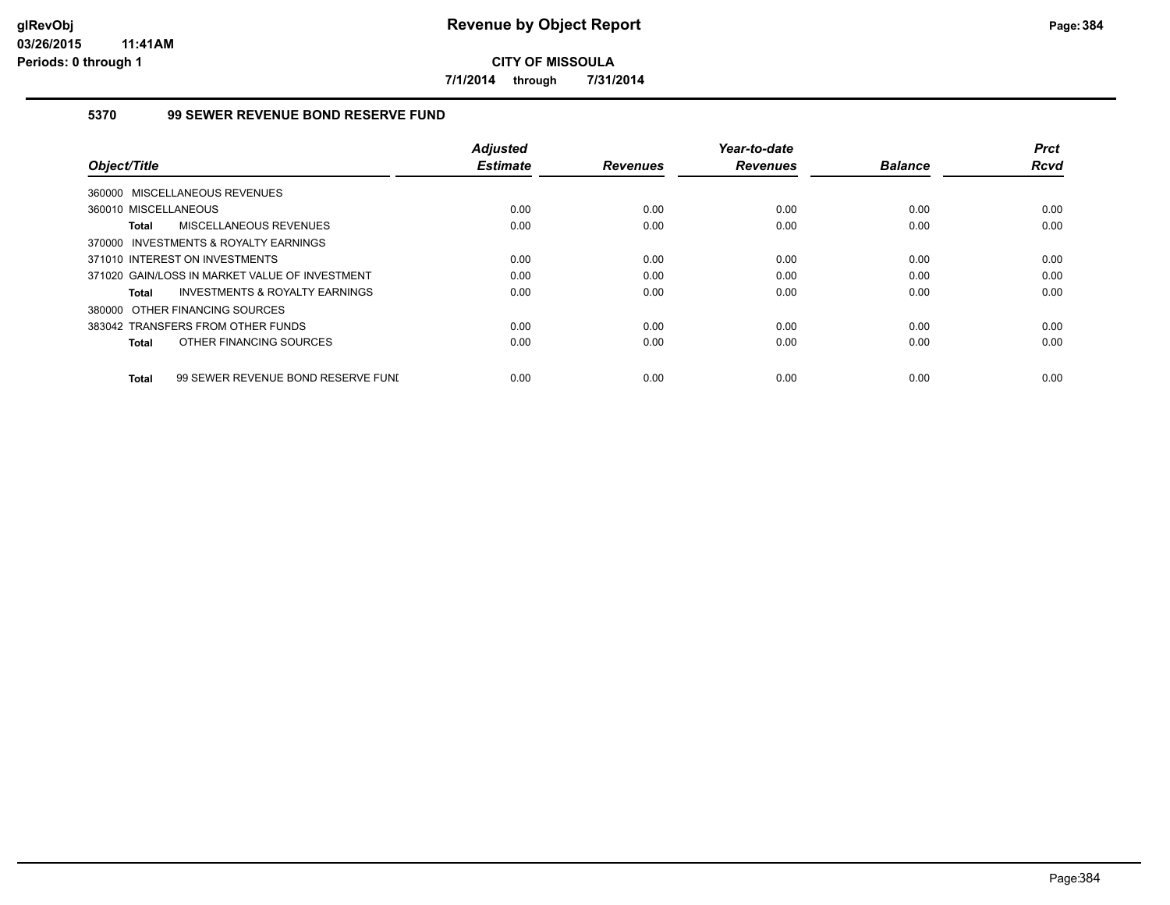**7/1/2014 through 7/31/2014**

## **5370 99 SEWER REVENUE BOND RESERVE FUND**

|                                                    | <b>Adjusted</b> |                 | Year-to-date    |                | <b>Prct</b> |
|----------------------------------------------------|-----------------|-----------------|-----------------|----------------|-------------|
| Object/Title                                       | <b>Estimate</b> | <b>Revenues</b> | <b>Revenues</b> | <b>Balance</b> | <b>Rcvd</b> |
| 360000 MISCELLANEOUS REVENUES                      |                 |                 |                 |                |             |
| 360010 MISCELLANEOUS                               | 0.00            | 0.00            | 0.00            | 0.00           | 0.00        |
| MISCELLANEOUS REVENUES<br>Total                    | 0.00            | 0.00            | 0.00            | 0.00           | 0.00        |
| 370000 INVESTMENTS & ROYALTY EARNINGS              |                 |                 |                 |                |             |
| 371010 INTEREST ON INVESTMENTS                     | 0.00            | 0.00            | 0.00            | 0.00           | 0.00        |
| 371020 GAIN/LOSS IN MARKET VALUE OF INVESTMENT     | 0.00            | 0.00            | 0.00            | 0.00           | 0.00        |
| <b>INVESTMENTS &amp; ROYALTY EARNINGS</b><br>Total | 0.00            | 0.00            | 0.00            | 0.00           | 0.00        |
| 380000 OTHER FINANCING SOURCES                     |                 |                 |                 |                |             |
| 383042 TRANSFERS FROM OTHER FUNDS                  | 0.00            | 0.00            | 0.00            | 0.00           | 0.00        |
| OTHER FINANCING SOURCES<br>Total                   | 0.00            | 0.00            | 0.00            | 0.00           | 0.00        |
| 99 SEWER REVENUE BOND RESERVE FUNI<br><b>Total</b> | 0.00            | 0.00            | 0.00            | 0.00           | 0.00        |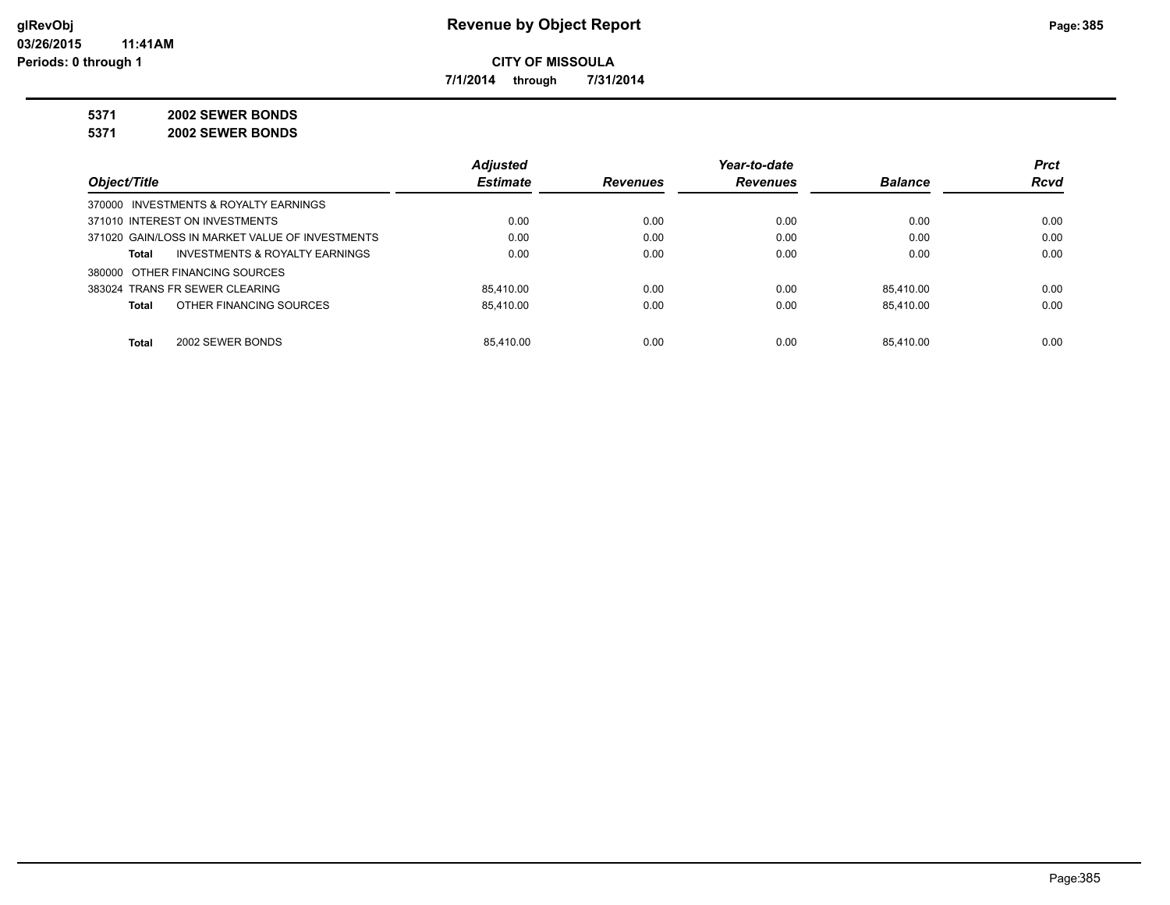**7/1/2014 through 7/31/2014**

**5371 2002 SEWER BONDS**

**5371 2002 SEWER BONDS**

|                                                    | <b>Adjusted</b> |                 | Year-to-date    |                | <b>Prct</b> |
|----------------------------------------------------|-----------------|-----------------|-----------------|----------------|-------------|
| Object/Title                                       | <b>Estimate</b> | <b>Revenues</b> | <b>Revenues</b> | <b>Balance</b> | <b>Rcvd</b> |
| 370000 INVESTMENTS & ROYALTY EARNINGS              |                 |                 |                 |                |             |
| 371010 INTEREST ON INVESTMENTS                     | 0.00            | 0.00            | 0.00            | 0.00           | 0.00        |
| 371020 GAIN/LOSS IN MARKET VALUE OF INVESTMENTS    | 0.00            | 0.00            | 0.00            | 0.00           | 0.00        |
| <b>INVESTMENTS &amp; ROYALTY EARNINGS</b><br>Total | 0.00            | 0.00            | 0.00            | 0.00           | 0.00        |
| 380000 OTHER FINANCING SOURCES                     |                 |                 |                 |                |             |
| 383024 TRANS FR SEWER CLEARING                     | 85.410.00       | 0.00            | 0.00            | 85.410.00      | 0.00        |
| OTHER FINANCING SOURCES<br>Total                   | 85.410.00       | 0.00            | 0.00            | 85.410.00      | 0.00        |
|                                                    |                 |                 |                 |                |             |
| 2002 SEWER BONDS<br>Total                          | 85.410.00       | 0.00            | 0.00            | 85.410.00      | 0.00        |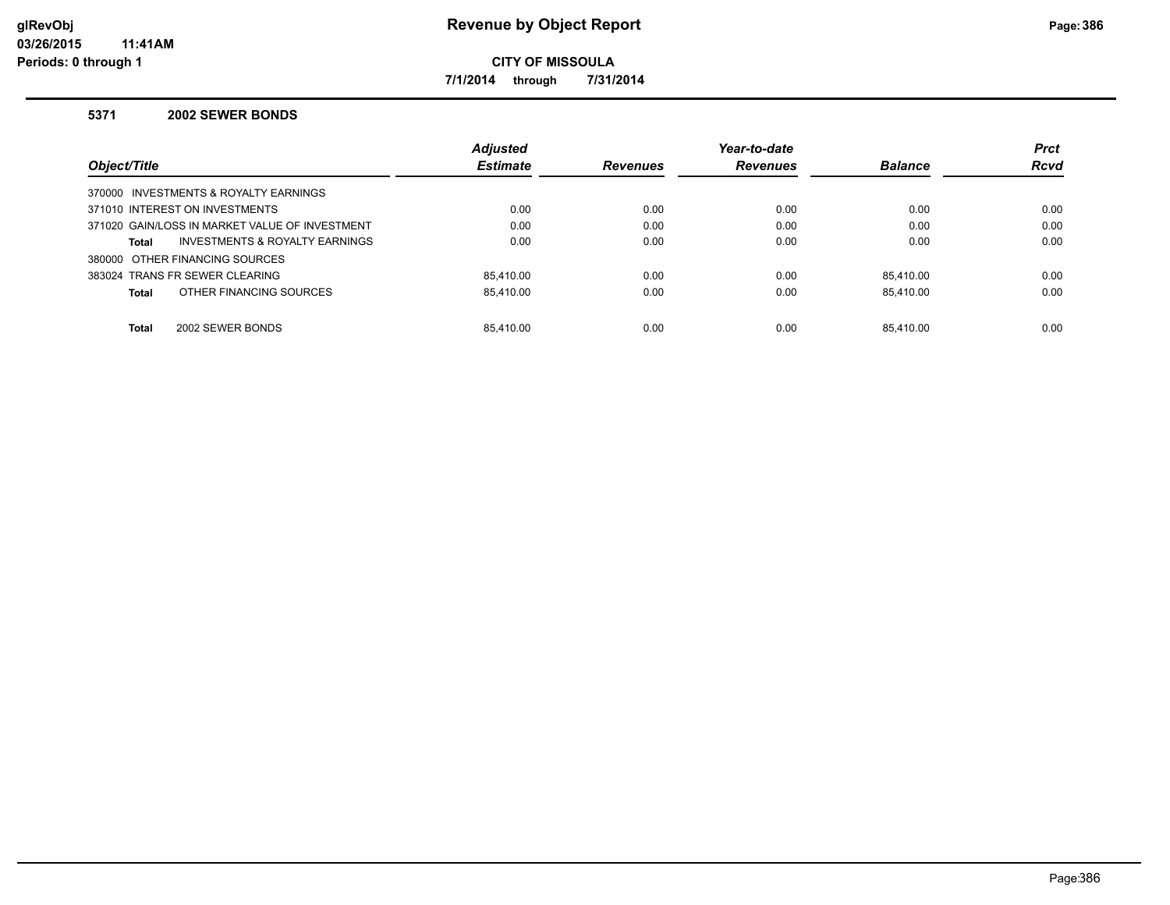**7/1/2014 through 7/31/2014**

#### **5371 2002 SEWER BONDS**

|                                                | <b>Adjusted</b> |                 | Year-to-date    |                | <b>Prct</b> |
|------------------------------------------------|-----------------|-----------------|-----------------|----------------|-------------|
| Object/Title                                   | <b>Estimate</b> | <b>Revenues</b> | <b>Revenues</b> | <b>Balance</b> | <b>Rcvd</b> |
| 370000 INVESTMENTS & ROYALTY EARNINGS          |                 |                 |                 |                |             |
| 371010 INTEREST ON INVESTMENTS                 | 0.00            | 0.00            | 0.00            | 0.00           | 0.00        |
| 371020 GAIN/LOSS IN MARKET VALUE OF INVESTMENT | 0.00            | 0.00            | 0.00            | 0.00           | 0.00        |
| INVESTMENTS & ROYALTY EARNINGS<br><b>Total</b> | 0.00            | 0.00            | 0.00            | 0.00           | 0.00        |
| 380000 OTHER FINANCING SOURCES                 |                 |                 |                 |                |             |
| 383024 TRANS FR SEWER CLEARING                 | 85.410.00       | 0.00            | 0.00            | 85.410.00      | 0.00        |
| OTHER FINANCING SOURCES<br><b>Total</b>        | 85.410.00       | 0.00            | 0.00            | 85.410.00      | 0.00        |
|                                                |                 |                 |                 |                |             |
| 2002 SEWER BONDS<br><b>Total</b>               | 85.410.00       | 0.00            | 0.00            | 85.410.00      | 0.00        |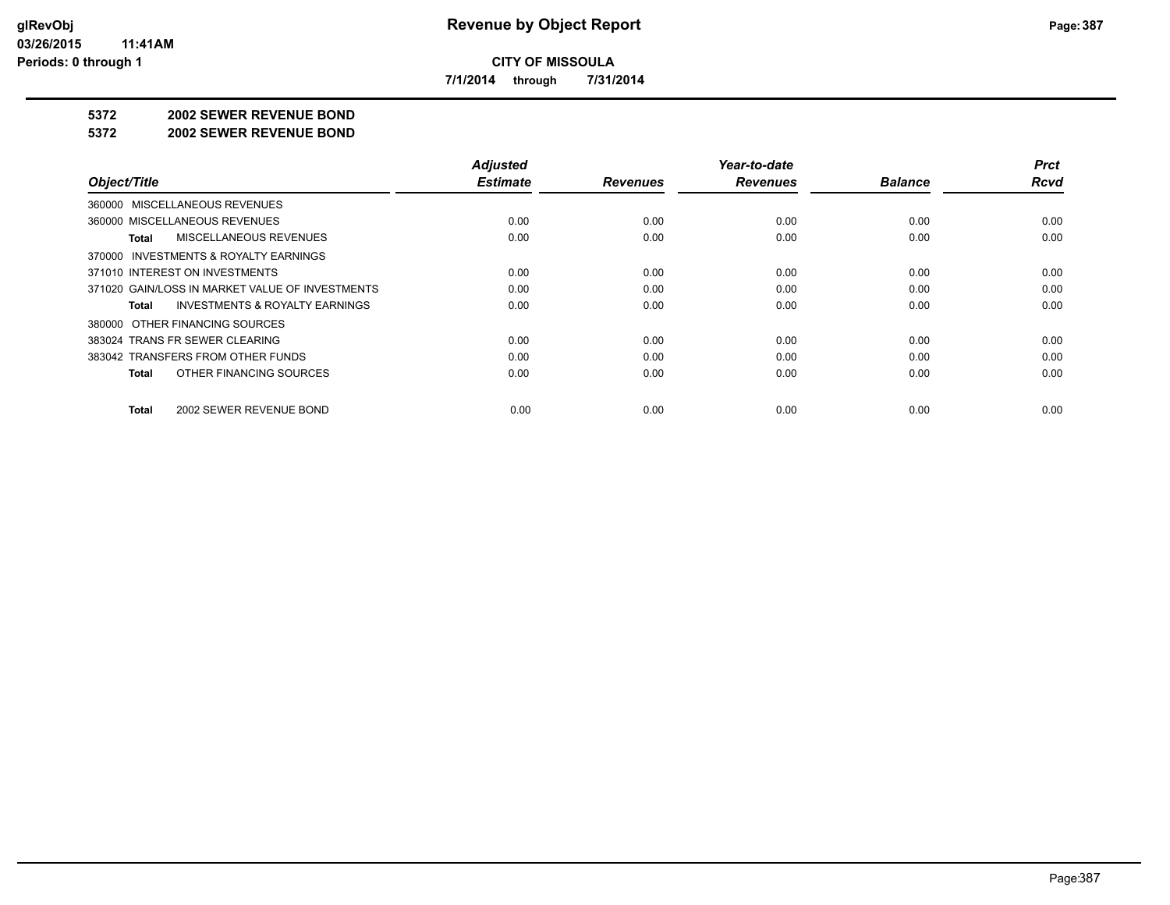**7/1/2014 through 7/31/2014**

#### **5372 2002 SEWER REVENUE BOND**

#### **5372 2002 SEWER REVENUE BOND**

|                                                    | <b>Adjusted</b> |                 | Year-to-date    |                | <b>Prct</b> |
|----------------------------------------------------|-----------------|-----------------|-----------------|----------------|-------------|
| Object/Title                                       | <b>Estimate</b> | <b>Revenues</b> | <b>Revenues</b> | <b>Balance</b> | <b>Rcvd</b> |
| 360000 MISCELLANEOUS REVENUES                      |                 |                 |                 |                |             |
| 360000 MISCELLANEOUS REVENUES                      | 0.00            | 0.00            | 0.00            | 0.00           | 0.00        |
| MISCELLANEOUS REVENUES<br>Total                    | 0.00            | 0.00            | 0.00            | 0.00           | 0.00        |
| 370000 INVESTMENTS & ROYALTY EARNINGS              |                 |                 |                 |                |             |
| 371010 INTEREST ON INVESTMENTS                     | 0.00            | 0.00            | 0.00            | 0.00           | 0.00        |
| 371020 GAIN/LOSS IN MARKET VALUE OF INVESTMENTS    | 0.00            | 0.00            | 0.00            | 0.00           | 0.00        |
| <b>INVESTMENTS &amp; ROYALTY EARNINGS</b><br>Total | 0.00            | 0.00            | 0.00            | 0.00           | 0.00        |
| 380000 OTHER FINANCING SOURCES                     |                 |                 |                 |                |             |
| 383024 TRANS FR SEWER CLEARING                     | 0.00            | 0.00            | 0.00            | 0.00           | 0.00        |
| 383042 TRANSFERS FROM OTHER FUNDS                  | 0.00            | 0.00            | 0.00            | 0.00           | 0.00        |
| OTHER FINANCING SOURCES<br>Total                   | 0.00            | 0.00            | 0.00            | 0.00           | 0.00        |
| 2002 SEWER REVENUE BOND<br>Total                   | 0.00            | 0.00            | 0.00            | 0.00           | 0.00        |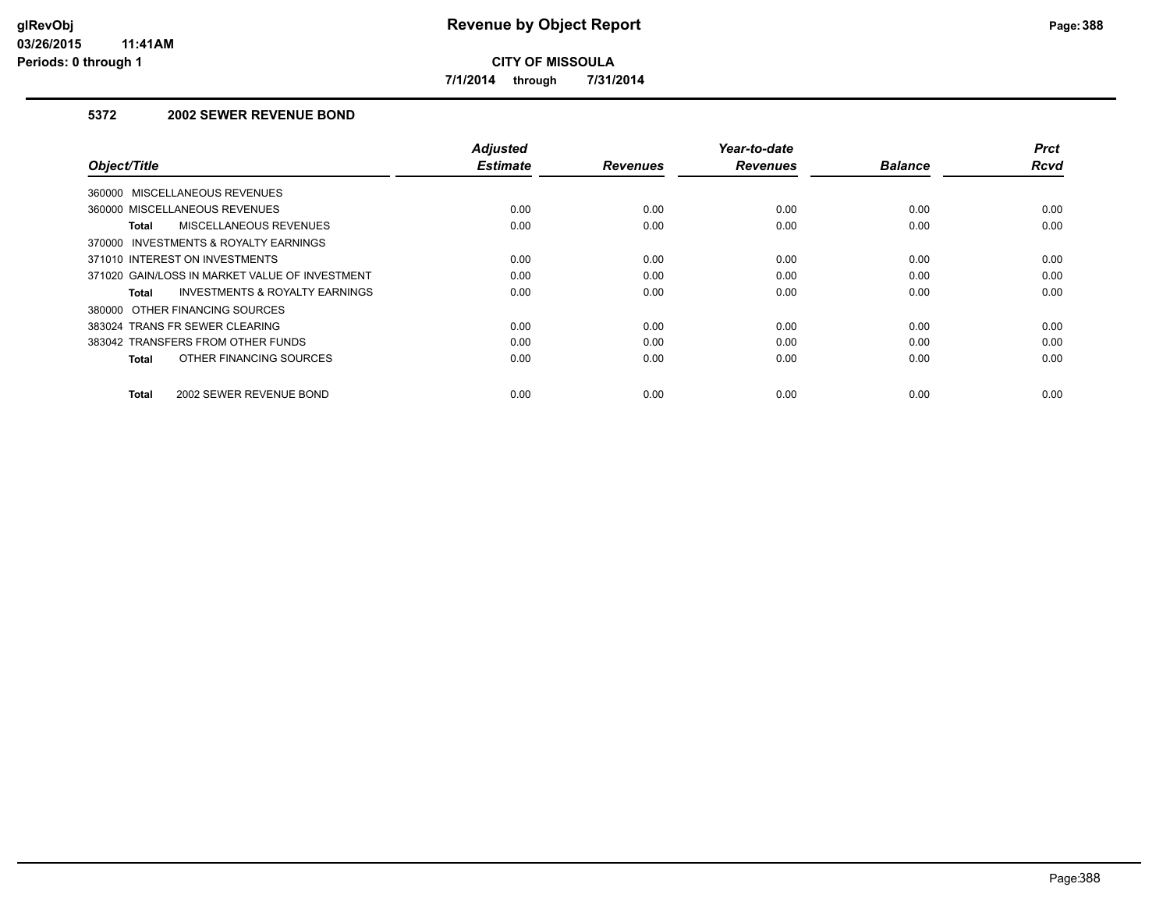**7/1/2014 through 7/31/2014**

## **5372 2002 SEWER REVENUE BOND**

| Object/Title                                   | <b>Adjusted</b><br><b>Estimate</b> | <b>Revenues</b> | Year-to-date<br><b>Revenues</b> | <b>Balance</b> | <b>Prct</b><br><b>Rcvd</b> |
|------------------------------------------------|------------------------------------|-----------------|---------------------------------|----------------|----------------------------|
| 360000 MISCELLANEOUS REVENUES                  |                                    |                 |                                 |                |                            |
| 360000 MISCELLANEOUS REVENUES                  | 0.00                               | 0.00            | 0.00                            | 0.00           | 0.00                       |
| MISCELLANEOUS REVENUES<br><b>Total</b>         | 0.00                               | 0.00            | 0.00                            | 0.00           | 0.00                       |
| 370000 INVESTMENTS & ROYALTY EARNINGS          |                                    |                 |                                 |                |                            |
| 371010 INTEREST ON INVESTMENTS                 | 0.00                               | 0.00            | 0.00                            | 0.00           | 0.00                       |
| 371020 GAIN/LOSS IN MARKET VALUE OF INVESTMENT | 0.00                               | 0.00            | 0.00                            | 0.00           | 0.00                       |
| INVESTMENTS & ROYALTY EARNINGS<br>Total        | 0.00                               | 0.00            | 0.00                            | 0.00           | 0.00                       |
| 380000 OTHER FINANCING SOURCES                 |                                    |                 |                                 |                |                            |
| 383024 TRANS FR SEWER CLEARING                 | 0.00                               | 0.00            | 0.00                            | 0.00           | 0.00                       |
| 383042 TRANSFERS FROM OTHER FUNDS              | 0.00                               | 0.00            | 0.00                            | 0.00           | 0.00                       |
| OTHER FINANCING SOURCES<br><b>Total</b>        | 0.00                               | 0.00            | 0.00                            | 0.00           | 0.00                       |
| 2002 SEWER REVENUE BOND<br><b>Total</b>        | 0.00                               | 0.00            | 0.00                            | 0.00           | 0.00                       |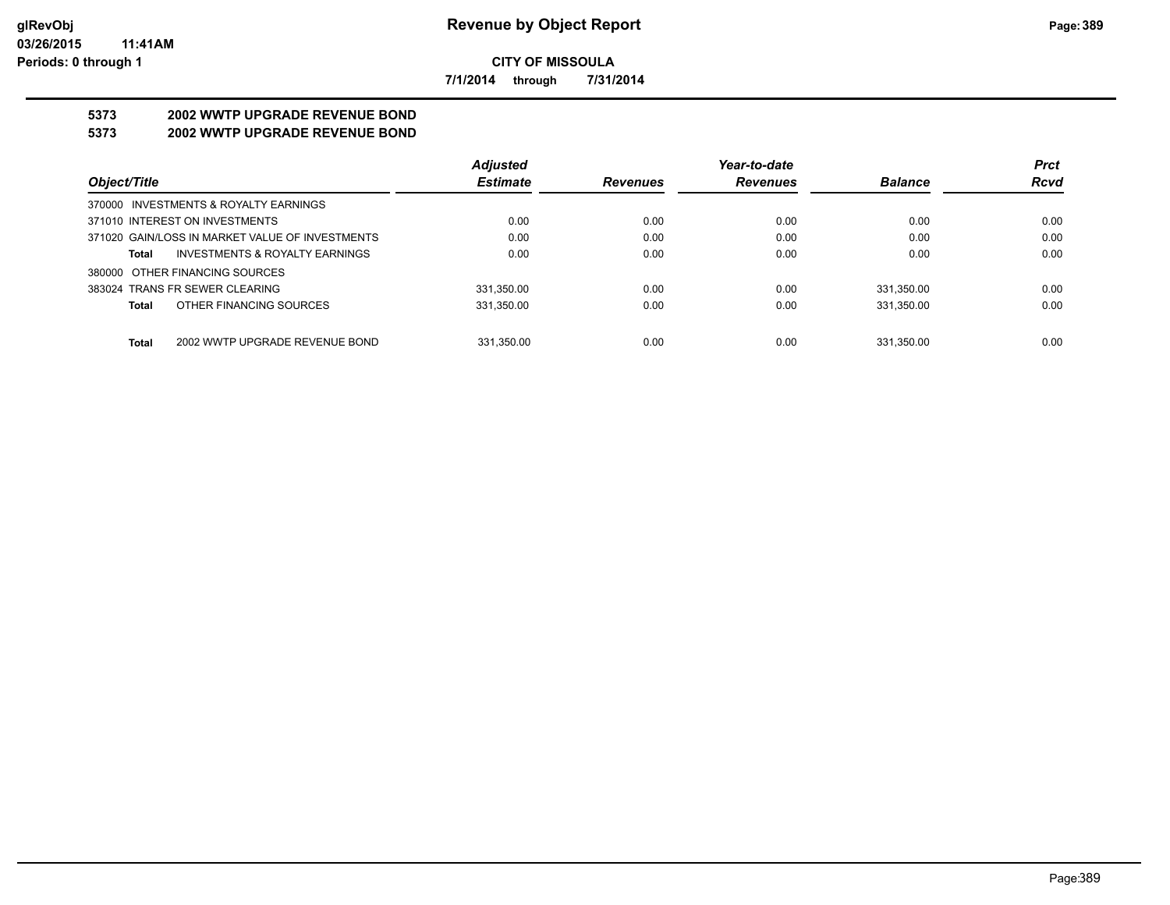**7/1/2014 through 7/31/2014**

# **5373 2002 WWTP UPGRADE REVENUE BOND**

# **5373 2002 WWTP UPGRADE REVENUE BOND**

|                                                    | <b>Adjusted</b> |                 | Year-to-date    |                | <b>Prct</b> |
|----------------------------------------------------|-----------------|-----------------|-----------------|----------------|-------------|
| Object/Title                                       | <b>Estimate</b> | <b>Revenues</b> | <b>Revenues</b> | <b>Balance</b> | <b>Rcvd</b> |
| 370000 INVESTMENTS & ROYALTY EARNINGS              |                 |                 |                 |                |             |
| 371010 INTEREST ON INVESTMENTS                     | 0.00            | 0.00            | 0.00            | 0.00           | 0.00        |
| 371020 GAIN/LOSS IN MARKET VALUE OF INVESTMENTS    | 0.00            | 0.00            | 0.00            | 0.00           | 0.00        |
| <b>INVESTMENTS &amp; ROYALTY EARNINGS</b><br>Total | 0.00            | 0.00            | 0.00            | 0.00           | 0.00        |
| 380000 OTHER FINANCING SOURCES                     |                 |                 |                 |                |             |
| 383024 TRANS FR SEWER CLEARING                     | 331.350.00      | 0.00            | 0.00            | 331.350.00     | 0.00        |
| OTHER FINANCING SOURCES<br>Total                   | 331.350.00      | 0.00            | 0.00            | 331.350.00     | 0.00        |
|                                                    |                 |                 |                 |                |             |
| Total<br>2002 WWTP UPGRADE REVENUE BOND            | 331.350.00      | 0.00            | 0.00            | 331.350.00     | 0.00        |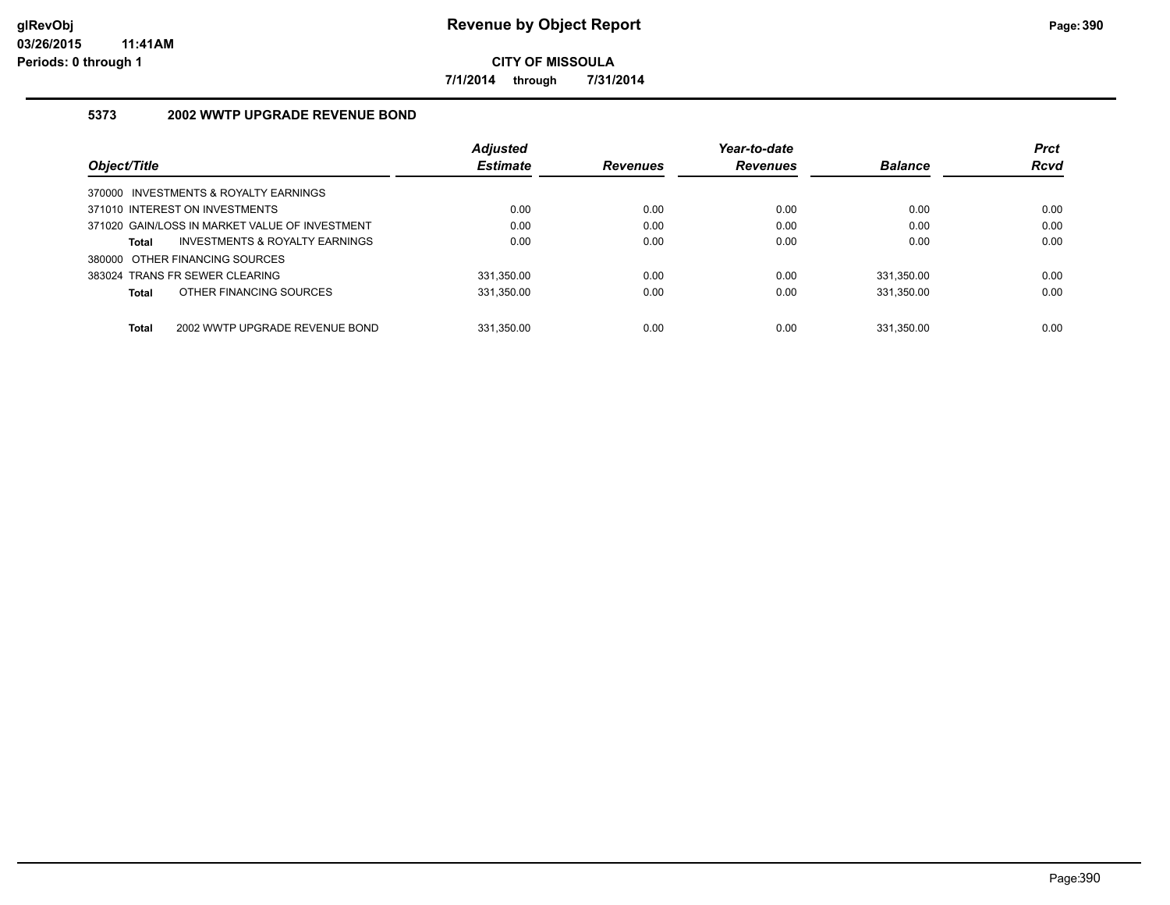**7/1/2014 through 7/31/2014**

## **5373 2002 WWTP UPGRADE REVENUE BOND**

|                                                | <b>Adjusted</b> |                 | Year-to-date    |                | <b>Prct</b> |
|------------------------------------------------|-----------------|-----------------|-----------------|----------------|-------------|
| Object/Title                                   | <b>Estimate</b> | <b>Revenues</b> | <b>Revenues</b> | <b>Balance</b> | <b>Rcvd</b> |
| 370000 INVESTMENTS & ROYALTY EARNINGS          |                 |                 |                 |                |             |
| 371010 INTEREST ON INVESTMENTS                 | 0.00            | 0.00            | 0.00            | 0.00           | 0.00        |
| 371020 GAIN/LOSS IN MARKET VALUE OF INVESTMENT | 0.00            | 0.00            | 0.00            | 0.00           | 0.00        |
| INVESTMENTS & ROYALTY EARNINGS<br>Total        | 0.00            | 0.00            | 0.00            | 0.00           | 0.00        |
| 380000 OTHER FINANCING SOURCES                 |                 |                 |                 |                |             |
| 383024 TRANS FR SEWER CLEARING                 | 331.350.00      | 0.00            | 0.00            | 331.350.00     | 0.00        |
| OTHER FINANCING SOURCES<br>Total               | 331.350.00      | 0.00            | 0.00            | 331.350.00     | 0.00        |
|                                                |                 |                 |                 |                |             |
| <b>Total</b><br>2002 WWTP UPGRADE REVENUE BOND | 331.350.00      | 0.00            | 0.00            | 331.350.00     | 0.00        |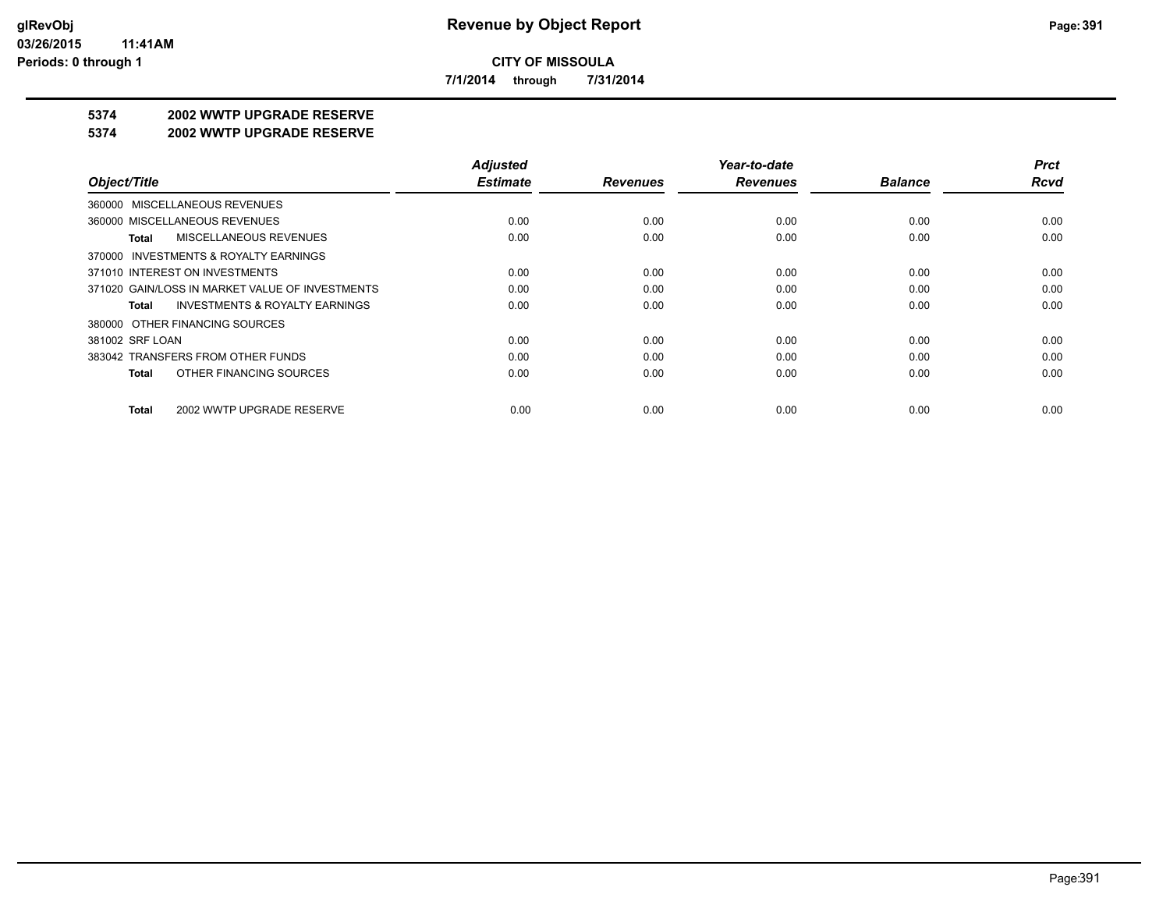**7/1/2014 through 7/31/2014**

# **5374 2002 WWTP UPGRADE RESERVE**

#### **5374 2002 WWTP UPGRADE RESERVE**

|                                                    | <b>Adjusted</b> |                 | Year-to-date    |                | <b>Prct</b> |
|----------------------------------------------------|-----------------|-----------------|-----------------|----------------|-------------|
| Object/Title                                       | <b>Estimate</b> | <b>Revenues</b> | <b>Revenues</b> | <b>Balance</b> | <b>Rcvd</b> |
| 360000 MISCELLANEOUS REVENUES                      |                 |                 |                 |                |             |
| 360000 MISCELLANEOUS REVENUES                      | 0.00            | 0.00            | 0.00            | 0.00           | 0.00        |
| <b>MISCELLANEOUS REVENUES</b><br>Total             | 0.00            | 0.00            | 0.00            | 0.00           | 0.00        |
| 370000 INVESTMENTS & ROYALTY EARNINGS              |                 |                 |                 |                |             |
| 371010 INTEREST ON INVESTMENTS                     | 0.00            | 0.00            | 0.00            | 0.00           | 0.00        |
| 371020 GAIN/LOSS IN MARKET VALUE OF INVESTMENTS    | 0.00            | 0.00            | 0.00            | 0.00           | 0.00        |
| <b>INVESTMENTS &amp; ROYALTY EARNINGS</b><br>Total | 0.00            | 0.00            | 0.00            | 0.00           | 0.00        |
| 380000 OTHER FINANCING SOURCES                     |                 |                 |                 |                |             |
| 381002 SRF LOAN                                    | 0.00            | 0.00            | 0.00            | 0.00           | 0.00        |
| 383042 TRANSFERS FROM OTHER FUNDS                  | 0.00            | 0.00            | 0.00            | 0.00           | 0.00        |
| OTHER FINANCING SOURCES<br>Total                   | 0.00            | 0.00            | 0.00            | 0.00           | 0.00        |
| 2002 WWTP UPGRADE RESERVE<br>Total                 | 0.00            | 0.00            | 0.00            | 0.00           | 0.00        |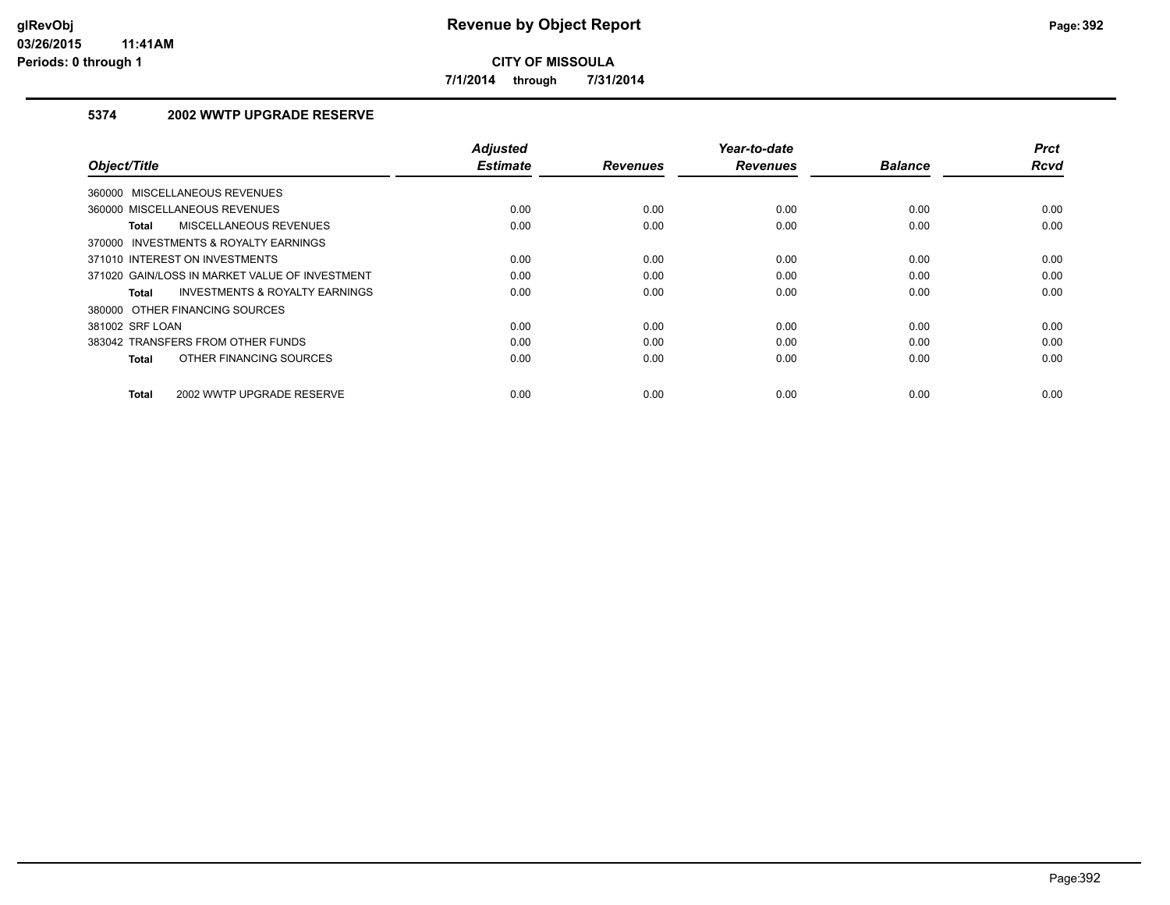**7/1/2014 through 7/31/2014**

## **5374 2002 WWTP UPGRADE RESERVE**

| Object/Title                                   | <b>Adjusted</b><br><b>Estimate</b> | <b>Revenues</b> | Year-to-date<br><b>Revenues</b> | <b>Balance</b> | <b>Prct</b><br><b>Rcvd</b> |
|------------------------------------------------|------------------------------------|-----------------|---------------------------------|----------------|----------------------------|
| 360000 MISCELLANEOUS REVENUES                  |                                    |                 |                                 |                |                            |
| 360000 MISCELLANEOUS REVENUES                  | 0.00                               | 0.00            | 0.00                            | 0.00           | 0.00                       |
| MISCELLANEOUS REVENUES<br>Total                | 0.00                               | 0.00            | 0.00                            | 0.00           | 0.00                       |
| 370000 INVESTMENTS & ROYALTY EARNINGS          |                                    |                 |                                 |                |                            |
| 371010 INTEREST ON INVESTMENTS                 | 0.00                               | 0.00            | 0.00                            | 0.00           | 0.00                       |
| 371020 GAIN/LOSS IN MARKET VALUE OF INVESTMENT | 0.00                               | 0.00            | 0.00                            | 0.00           | 0.00                       |
| INVESTMENTS & ROYALTY EARNINGS<br>Total        | 0.00                               | 0.00            | 0.00                            | 0.00           | 0.00                       |
| 380000 OTHER FINANCING SOURCES                 |                                    |                 |                                 |                |                            |
| 381002 SRF LOAN                                | 0.00                               | 0.00            | 0.00                            | 0.00           | 0.00                       |
| 383042 TRANSFERS FROM OTHER FUNDS              | 0.00                               | 0.00            | 0.00                            | 0.00           | 0.00                       |
| OTHER FINANCING SOURCES<br><b>Total</b>        | 0.00                               | 0.00            | 0.00                            | 0.00           | 0.00                       |
| 2002 WWTP UPGRADE RESERVE<br><b>Total</b>      | 0.00                               | 0.00            | 0.00                            | 0.00           | 0.00                       |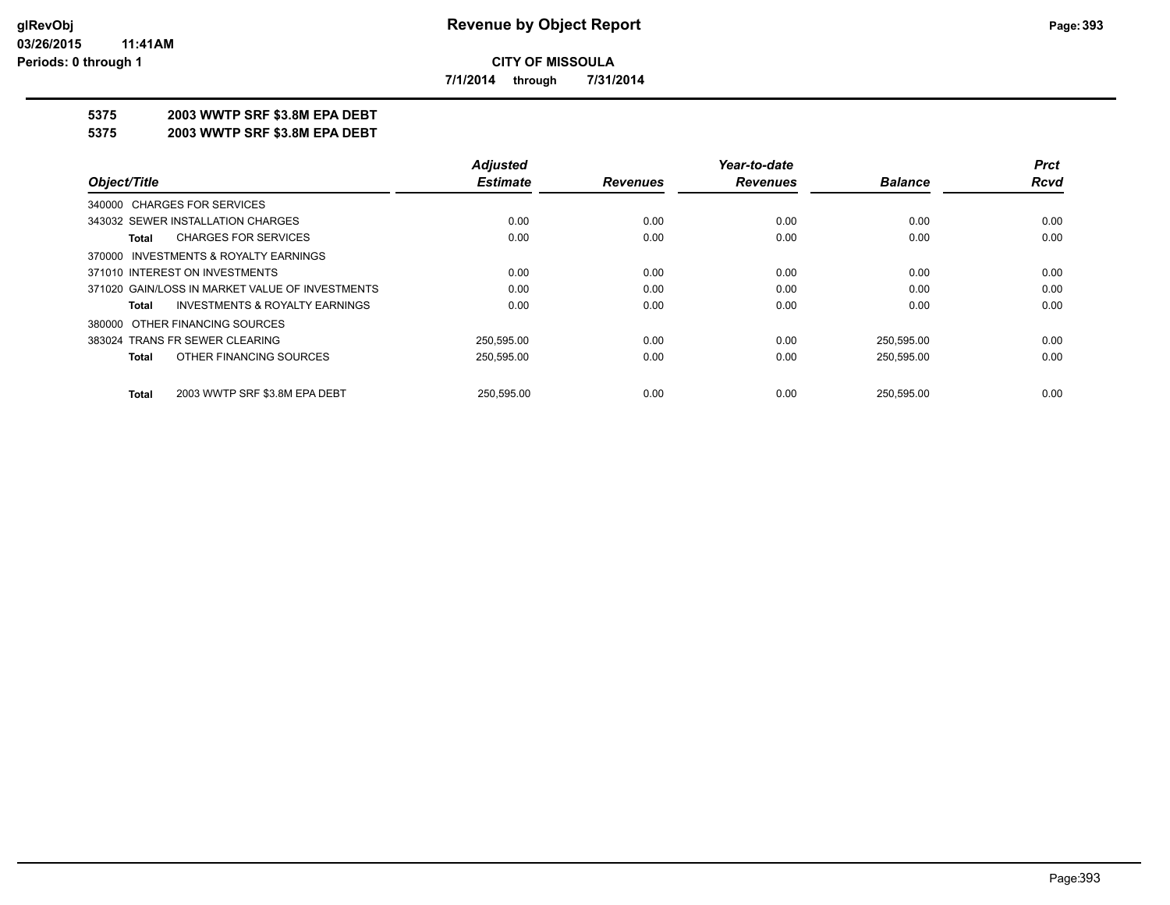**7/1/2014 through 7/31/2014**

# **5375 2003 WWTP SRF \$3.8M EPA DEBT**

**5375 2003 WWTP SRF \$3.8M EPA DEBT**

|                                                    | <b>Adjusted</b> |                 | Year-to-date    |                | <b>Prct</b> |
|----------------------------------------------------|-----------------|-----------------|-----------------|----------------|-------------|
| Object/Title                                       | <b>Estimate</b> | <b>Revenues</b> | <b>Revenues</b> | <b>Balance</b> | Rcvd        |
| 340000 CHARGES FOR SERVICES                        |                 |                 |                 |                |             |
| 343032 SEWER INSTALLATION CHARGES                  | 0.00            | 0.00            | 0.00            | 0.00           | 0.00        |
| <b>CHARGES FOR SERVICES</b><br>Total               | 0.00            | 0.00            | 0.00            | 0.00           | 0.00        |
| 370000 INVESTMENTS & ROYALTY EARNINGS              |                 |                 |                 |                |             |
| 371010 INTEREST ON INVESTMENTS                     | 0.00            | 0.00            | 0.00            | 0.00           | 0.00        |
| 371020 GAIN/LOSS IN MARKET VALUE OF INVESTMENTS    | 0.00            | 0.00            | 0.00            | 0.00           | 0.00        |
| <b>INVESTMENTS &amp; ROYALTY EARNINGS</b><br>Total | 0.00            | 0.00            | 0.00            | 0.00           | 0.00        |
| 380000 OTHER FINANCING SOURCES                     |                 |                 |                 |                |             |
| 383024 TRANS FR SEWER CLEARING                     | 250.595.00      | 0.00            | 0.00            | 250,595.00     | 0.00        |
| OTHER FINANCING SOURCES<br>Total                   | 250,595.00      | 0.00            | 0.00            | 250,595.00     | 0.00        |
| 2003 WWTP SRF \$3.8M EPA DEBT<br><b>Total</b>      | 250.595.00      | 0.00            | 0.00            | 250.595.00     | 0.00        |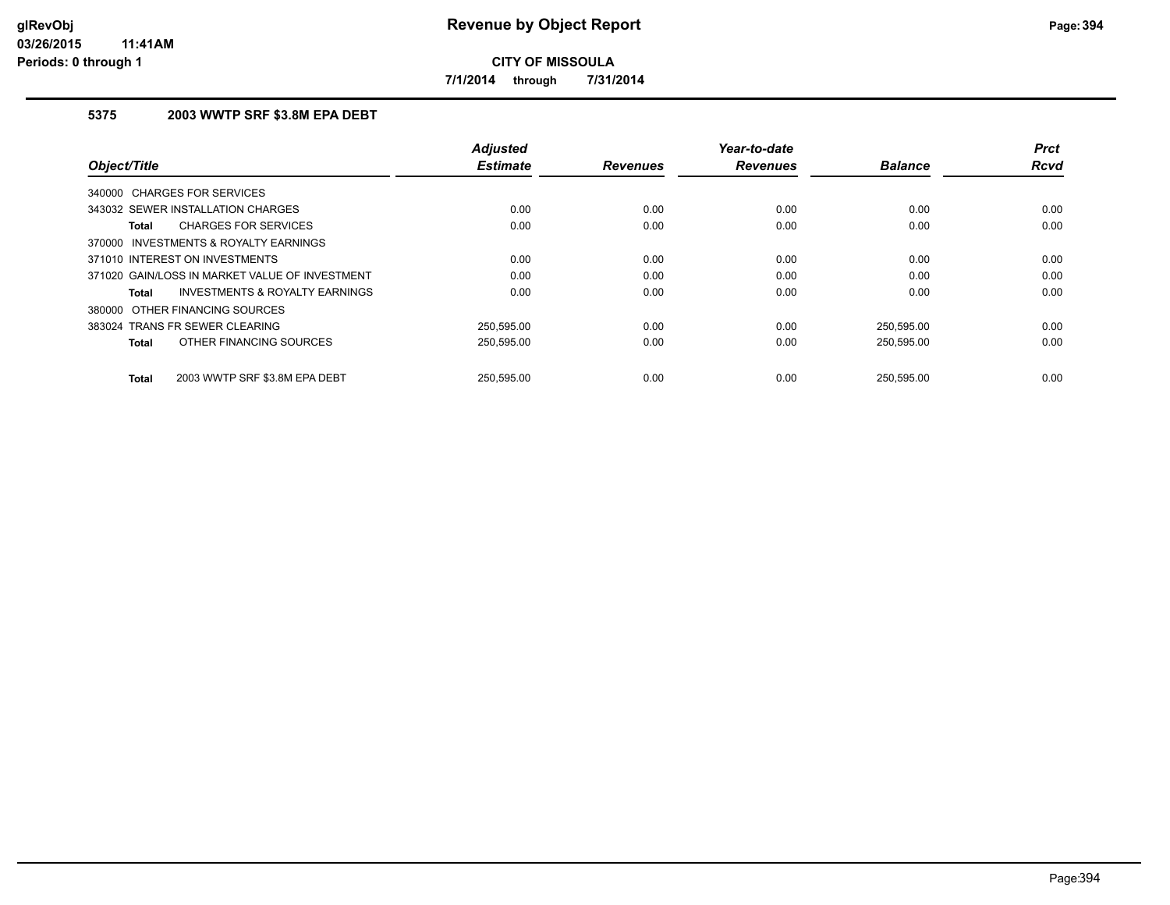**7/1/2014 through 7/31/2014**

## **5375 2003 WWTP SRF \$3.8M EPA DEBT**

| Object/Title                                       | <b>Adjusted</b><br><b>Estimate</b> | <b>Revenues</b> | Year-to-date<br><b>Revenues</b> | <b>Balance</b> | <b>Prct</b><br><b>Rcvd</b> |
|----------------------------------------------------|------------------------------------|-----------------|---------------------------------|----------------|----------------------------|
| 340000 CHARGES FOR SERVICES                        |                                    |                 |                                 |                |                            |
| 343032 SEWER INSTALLATION CHARGES                  | 0.00                               | 0.00            | 0.00                            | 0.00           | 0.00                       |
| <b>CHARGES FOR SERVICES</b><br>Total               | 0.00                               | 0.00            | 0.00                            | 0.00           | 0.00                       |
| 370000 INVESTMENTS & ROYALTY EARNINGS              |                                    |                 |                                 |                |                            |
| 371010 INTEREST ON INVESTMENTS                     | 0.00                               | 0.00            | 0.00                            | 0.00           | 0.00                       |
| 371020 GAIN/LOSS IN MARKET VALUE OF INVESTMENT     | 0.00                               | 0.00            | 0.00                            | 0.00           | 0.00                       |
| <b>INVESTMENTS &amp; ROYALTY EARNINGS</b><br>Total | 0.00                               | 0.00            | 0.00                            | 0.00           | 0.00                       |
| 380000 OTHER FINANCING SOURCES                     |                                    |                 |                                 |                |                            |
| 383024 TRANS FR SEWER CLEARING                     | 250,595.00                         | 0.00            | 0.00                            | 250,595.00     | 0.00                       |
| OTHER FINANCING SOURCES<br>Total                   | 250,595.00                         | 0.00            | 0.00                            | 250,595.00     | 0.00                       |
| 2003 WWTP SRF \$3.8M EPA DEBT<br>Total             | 250.595.00                         | 0.00            | 0.00                            | 250.595.00     | 0.00                       |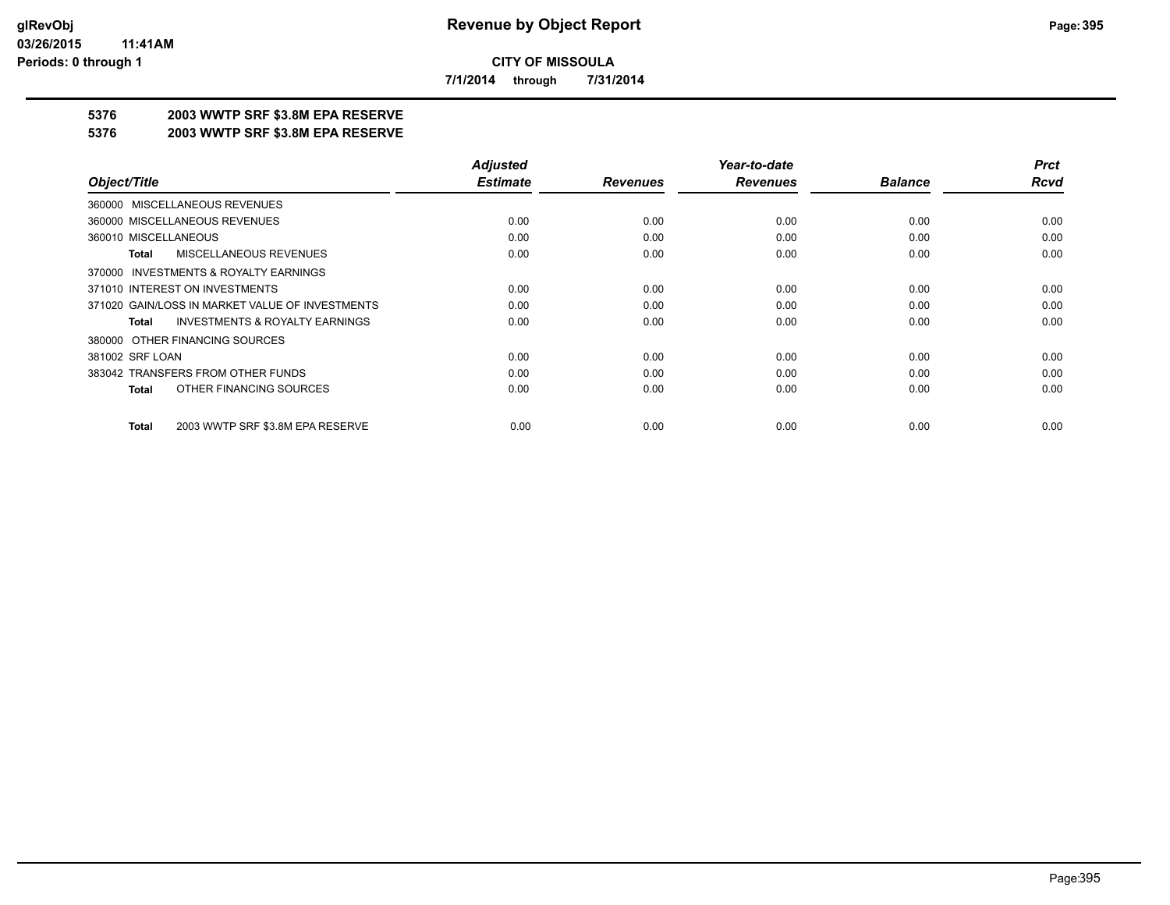**7/1/2014 through 7/31/2014**

# **5376 2003 WWTP SRF \$3.8M EPA RESERVE**

#### **5376 2003 WWTP SRF \$3.8M EPA RESERVE**

|                                                    | <b>Adjusted</b> |                 | Year-to-date    |                | <b>Prct</b> |
|----------------------------------------------------|-----------------|-----------------|-----------------|----------------|-------------|
| Object/Title                                       | <b>Estimate</b> | <b>Revenues</b> | <b>Revenues</b> | <b>Balance</b> | Rcvd        |
| 360000 MISCELLANEOUS REVENUES                      |                 |                 |                 |                |             |
| 360000 MISCELLANEOUS REVENUES                      | 0.00            | 0.00            | 0.00            | 0.00           | 0.00        |
| 360010 MISCELLANEOUS                               | 0.00            | 0.00            | 0.00            | 0.00           | 0.00        |
| <b>MISCELLANEOUS REVENUES</b><br>Total             | 0.00            | 0.00            | 0.00            | 0.00           | 0.00        |
| 370000 INVESTMENTS & ROYALTY EARNINGS              |                 |                 |                 |                |             |
| 371010 INTEREST ON INVESTMENTS                     | 0.00            | 0.00            | 0.00            | 0.00           | 0.00        |
| 371020 GAIN/LOSS IN MARKET VALUE OF INVESTMENTS    | 0.00            | 0.00            | 0.00            | 0.00           | 0.00        |
| <b>INVESTMENTS &amp; ROYALTY EARNINGS</b><br>Total | 0.00            | 0.00            | 0.00            | 0.00           | 0.00        |
| 380000 OTHER FINANCING SOURCES                     |                 |                 |                 |                |             |
| 381002 SRF LOAN                                    | 0.00            | 0.00            | 0.00            | 0.00           | 0.00        |
| 383042 TRANSFERS FROM OTHER FUNDS                  | 0.00            | 0.00            | 0.00            | 0.00           | 0.00        |
| OTHER FINANCING SOURCES<br><b>Total</b>            | 0.00            | 0.00            | 0.00            | 0.00           | 0.00        |
| 2003 WWTP SRF \$3.8M EPA RESERVE<br><b>Total</b>   | 0.00            | 0.00            | 0.00            | 0.00           | 0.00        |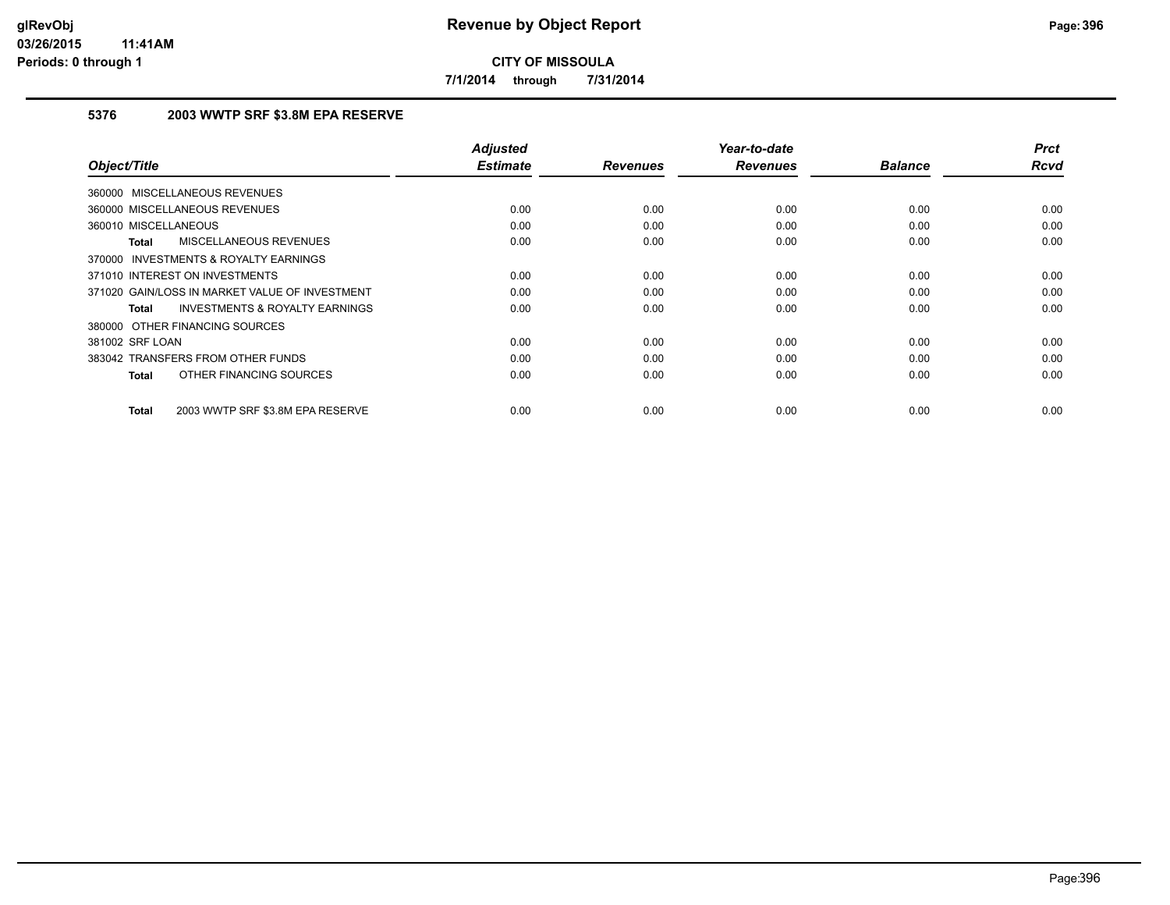**7/1/2014 through 7/31/2014**

# **5376 2003 WWTP SRF \$3.8M EPA RESERVE**

| Object/Title                                              | <b>Adjusted</b><br><b>Estimate</b> | <b>Revenues</b> | Year-to-date<br><b>Revenues</b> | <b>Balance</b> | <b>Prct</b><br><b>Rcvd</b> |
|-----------------------------------------------------------|------------------------------------|-----------------|---------------------------------|----------------|----------------------------|
| 360000 MISCELLANEOUS REVENUES                             |                                    |                 |                                 |                |                            |
|                                                           |                                    |                 |                                 |                |                            |
| 360000 MISCELLANEOUS REVENUES                             | 0.00                               | 0.00            | 0.00                            | 0.00           | 0.00                       |
| 360010 MISCELLANEOUS                                      | 0.00                               | 0.00            | 0.00                            | 0.00           | 0.00                       |
| <b>MISCELLANEOUS REVENUES</b><br><b>Total</b>             | 0.00                               | 0.00            | 0.00                            | 0.00           | 0.00                       |
| INVESTMENTS & ROYALTY EARNINGS<br>370000                  |                                    |                 |                                 |                |                            |
| 371010 INTEREST ON INVESTMENTS                            | 0.00                               | 0.00            | 0.00                            | 0.00           | 0.00                       |
| 371020 GAIN/LOSS IN MARKET VALUE OF INVESTMENT            | 0.00                               | 0.00            | 0.00                            | 0.00           | 0.00                       |
| <b>INVESTMENTS &amp; ROYALTY EARNINGS</b><br><b>Total</b> | 0.00                               | 0.00            | 0.00                            | 0.00           | 0.00                       |
| 380000 OTHER FINANCING SOURCES                            |                                    |                 |                                 |                |                            |
| 381002 SRF LOAN                                           | 0.00                               | 0.00            | 0.00                            | 0.00           | 0.00                       |
| 383042 TRANSFERS FROM OTHER FUNDS                         | 0.00                               | 0.00            | 0.00                            | 0.00           | 0.00                       |
| OTHER FINANCING SOURCES<br><b>Total</b>                   | 0.00                               | 0.00            | 0.00                            | 0.00           | 0.00                       |
|                                                           |                                    |                 |                                 |                |                            |
| 2003 WWTP SRF \$3.8M EPA RESERVE<br><b>Total</b>          | 0.00                               | 0.00            | 0.00                            | 0.00           | 0.00                       |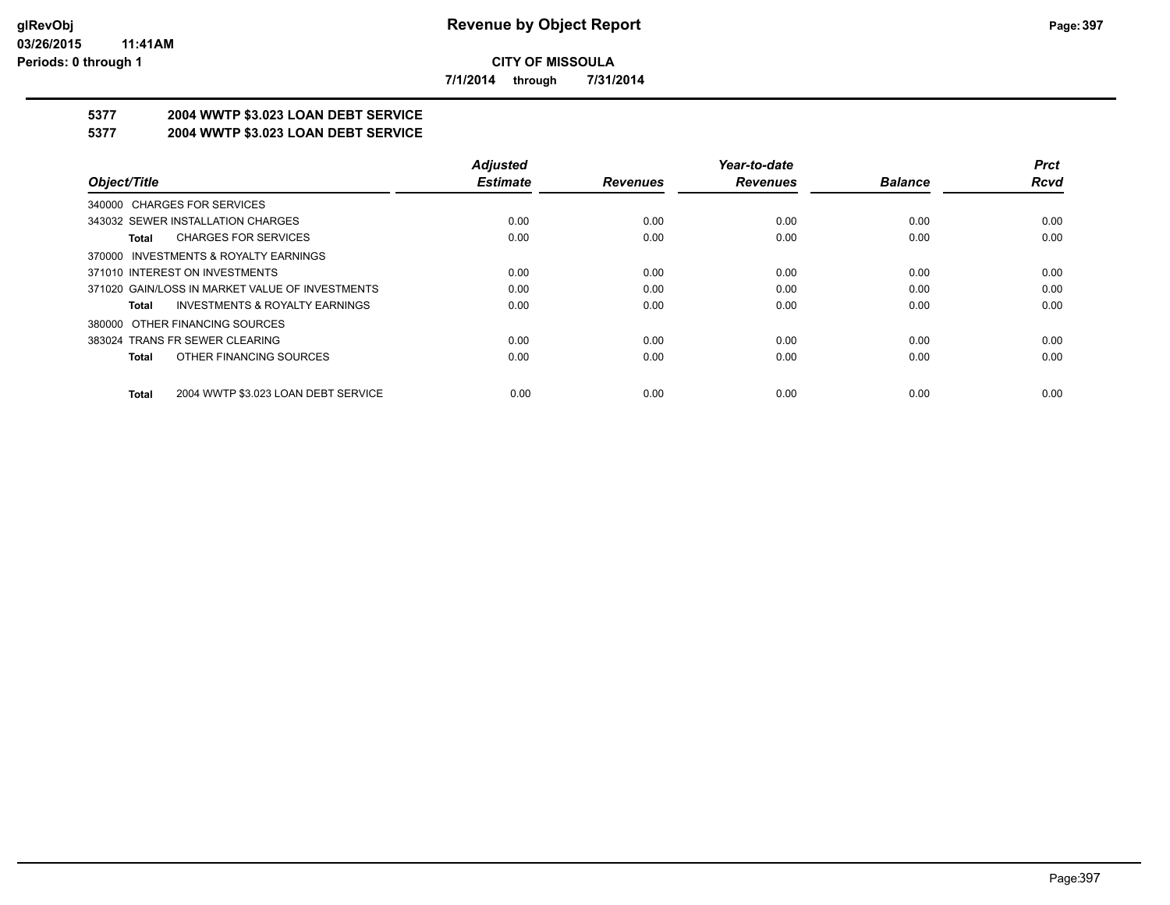**7/1/2014 through 7/31/2014**

# **5377 2004 WWTP \$3.023 LOAN DEBT SERVICE**

## **5377 2004 WWTP \$3.023 LOAN DEBT SERVICE**

|                                                     | <b>Adjusted</b> |                 | Year-to-date    |                | <b>Prct</b> |
|-----------------------------------------------------|-----------------|-----------------|-----------------|----------------|-------------|
| Object/Title                                        | <b>Estimate</b> | <b>Revenues</b> | <b>Revenues</b> | <b>Balance</b> | Rcvd        |
| 340000 CHARGES FOR SERVICES                         |                 |                 |                 |                |             |
| 343032 SEWER INSTALLATION CHARGES                   | 0.00            | 0.00            | 0.00            | 0.00           | 0.00        |
| <b>CHARGES FOR SERVICES</b><br>Total                | 0.00            | 0.00            | 0.00            | 0.00           | 0.00        |
| 370000 INVESTMENTS & ROYALTY EARNINGS               |                 |                 |                 |                |             |
| 371010 INTEREST ON INVESTMENTS                      | 0.00            | 0.00            | 0.00            | 0.00           | 0.00        |
| 371020 GAIN/LOSS IN MARKET VALUE OF INVESTMENTS     | 0.00            | 0.00            | 0.00            | 0.00           | 0.00        |
| <b>INVESTMENTS &amp; ROYALTY EARNINGS</b><br>Total  | 0.00            | 0.00            | 0.00            | 0.00           | 0.00        |
| 380000 OTHER FINANCING SOURCES                      |                 |                 |                 |                |             |
| 383024 TRANS FR SEWER CLEARING                      | 0.00            | 0.00            | 0.00            | 0.00           | 0.00        |
| OTHER FINANCING SOURCES<br>Total                    | 0.00            | 0.00            | 0.00            | 0.00           | 0.00        |
| 2004 WWTP \$3.023 LOAN DEBT SERVICE<br><b>Total</b> | 0.00            | 0.00            | 0.00            | 0.00           | 0.00        |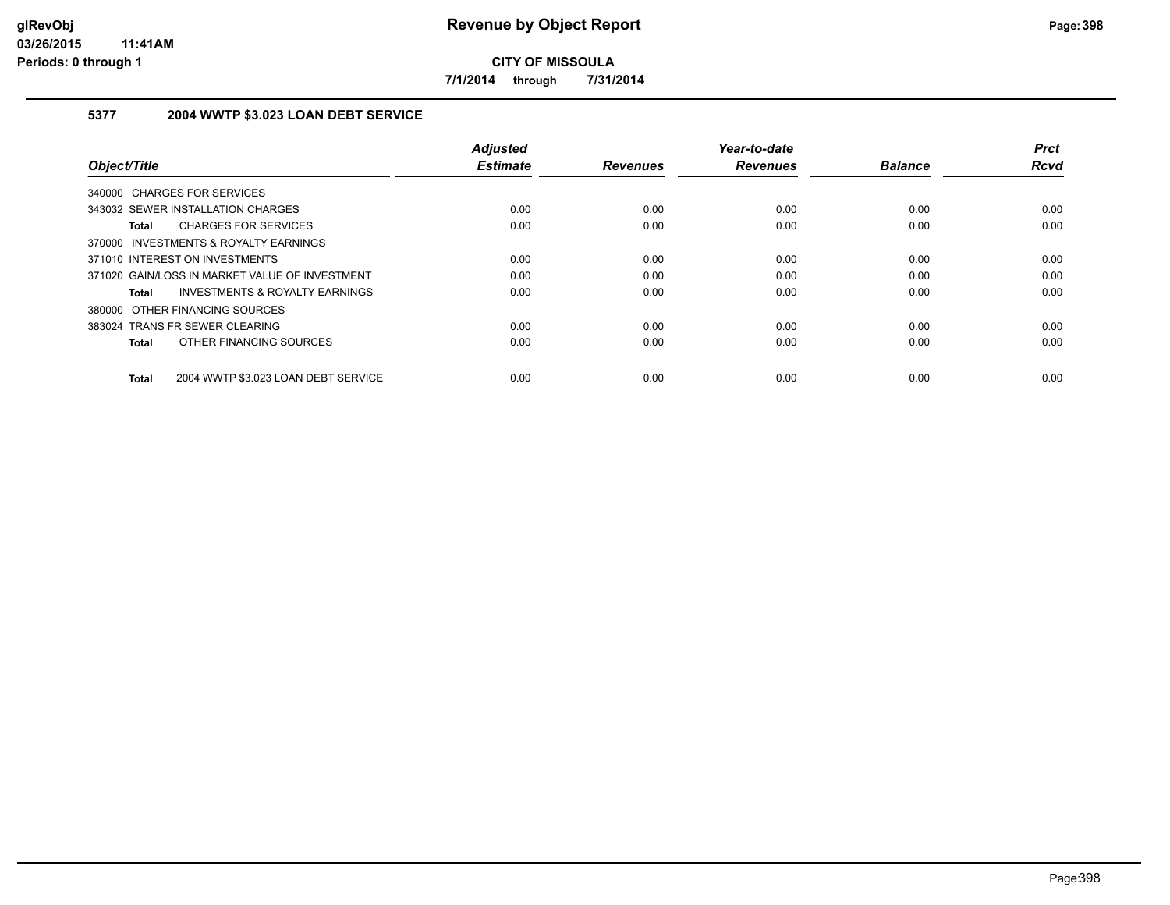**7/1/2014 through 7/31/2014**

## **5377 2004 WWTP \$3.023 LOAN DEBT SERVICE**

|                                                     | <b>Adjusted</b> |                 | Year-to-date    |                | <b>Prct</b> |
|-----------------------------------------------------|-----------------|-----------------|-----------------|----------------|-------------|
| Object/Title                                        | <b>Estimate</b> | <b>Revenues</b> | <b>Revenues</b> | <b>Balance</b> | <b>Rcvd</b> |
| 340000 CHARGES FOR SERVICES                         |                 |                 |                 |                |             |
| 343032 SEWER INSTALLATION CHARGES                   | 0.00            | 0.00            | 0.00            | 0.00           | 0.00        |
| <b>CHARGES FOR SERVICES</b><br><b>Total</b>         | 0.00            | 0.00            | 0.00            | 0.00           | 0.00        |
| 370000 INVESTMENTS & ROYALTY EARNINGS               |                 |                 |                 |                |             |
| 371010 INTEREST ON INVESTMENTS                      | 0.00            | 0.00            | 0.00            | 0.00           | 0.00        |
| 371020 GAIN/LOSS IN MARKET VALUE OF INVESTMENT      | 0.00            | 0.00            | 0.00            | 0.00           | 0.00        |
| INVESTMENTS & ROYALTY EARNINGS<br>Total             | 0.00            | 0.00            | 0.00            | 0.00           | 0.00        |
| 380000 OTHER FINANCING SOURCES                      |                 |                 |                 |                |             |
| 383024 TRANS FR SEWER CLEARING                      | 0.00            | 0.00            | 0.00            | 0.00           | 0.00        |
| OTHER FINANCING SOURCES<br><b>Total</b>             | 0.00            | 0.00            | 0.00            | 0.00           | 0.00        |
| 2004 WWTP \$3.023 LOAN DEBT SERVICE<br><b>Total</b> | 0.00            | 0.00            | 0.00            | 0.00           | 0.00        |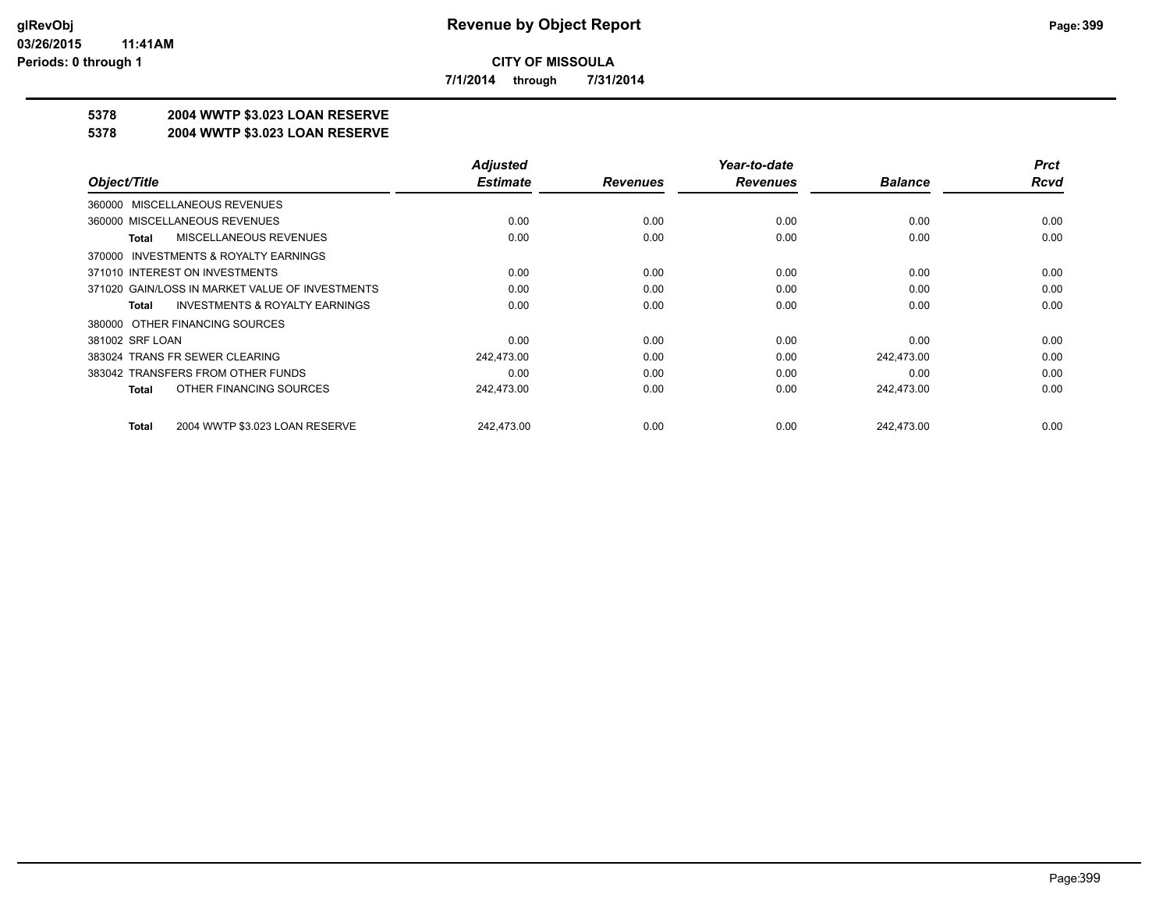**7/1/2014 through 7/31/2014**

## **5378 2004 WWTP \$3.023 LOAN RESERVE**

#### **5378 2004 WWTP \$3.023 LOAN RESERVE**

|                                                    | <b>Adjusted</b> |                 | Year-to-date    |                | <b>Prct</b> |
|----------------------------------------------------|-----------------|-----------------|-----------------|----------------|-------------|
| Object/Title                                       | <b>Estimate</b> | <b>Revenues</b> | <b>Revenues</b> | <b>Balance</b> | <b>Rcvd</b> |
| 360000 MISCELLANEOUS REVENUES                      |                 |                 |                 |                |             |
| 360000 MISCELLANEOUS REVENUES                      | 0.00            | 0.00            | 0.00            | 0.00           | 0.00        |
| MISCELLANEOUS REVENUES<br>Total                    | 0.00            | 0.00            | 0.00            | 0.00           | 0.00        |
| 370000 INVESTMENTS & ROYALTY EARNINGS              |                 |                 |                 |                |             |
| 371010 INTEREST ON INVESTMENTS                     | 0.00            | 0.00            | 0.00            | 0.00           | 0.00        |
| 371020 GAIN/LOSS IN MARKET VALUE OF INVESTMENTS    | 0.00            | 0.00            | 0.00            | 0.00           | 0.00        |
| <b>INVESTMENTS &amp; ROYALTY EARNINGS</b><br>Total | 0.00            | 0.00            | 0.00            | 0.00           | 0.00        |
| 380000 OTHER FINANCING SOURCES                     |                 |                 |                 |                |             |
| 381002 SRF LOAN                                    | 0.00            | 0.00            | 0.00            | 0.00           | 0.00        |
| 383024 TRANS FR SEWER CLEARING                     | 242.473.00      | 0.00            | 0.00            | 242.473.00     | 0.00        |
| 383042 TRANSFERS FROM OTHER FUNDS                  | 0.00            | 0.00            | 0.00            | 0.00           | 0.00        |
| OTHER FINANCING SOURCES<br>Total                   | 242,473.00      | 0.00            | 0.00            | 242,473.00     | 0.00        |
| 2004 WWTP \$3.023 LOAN RESERVE<br>Total            | 242.473.00      | 0.00            | 0.00            | 242.473.00     | 0.00        |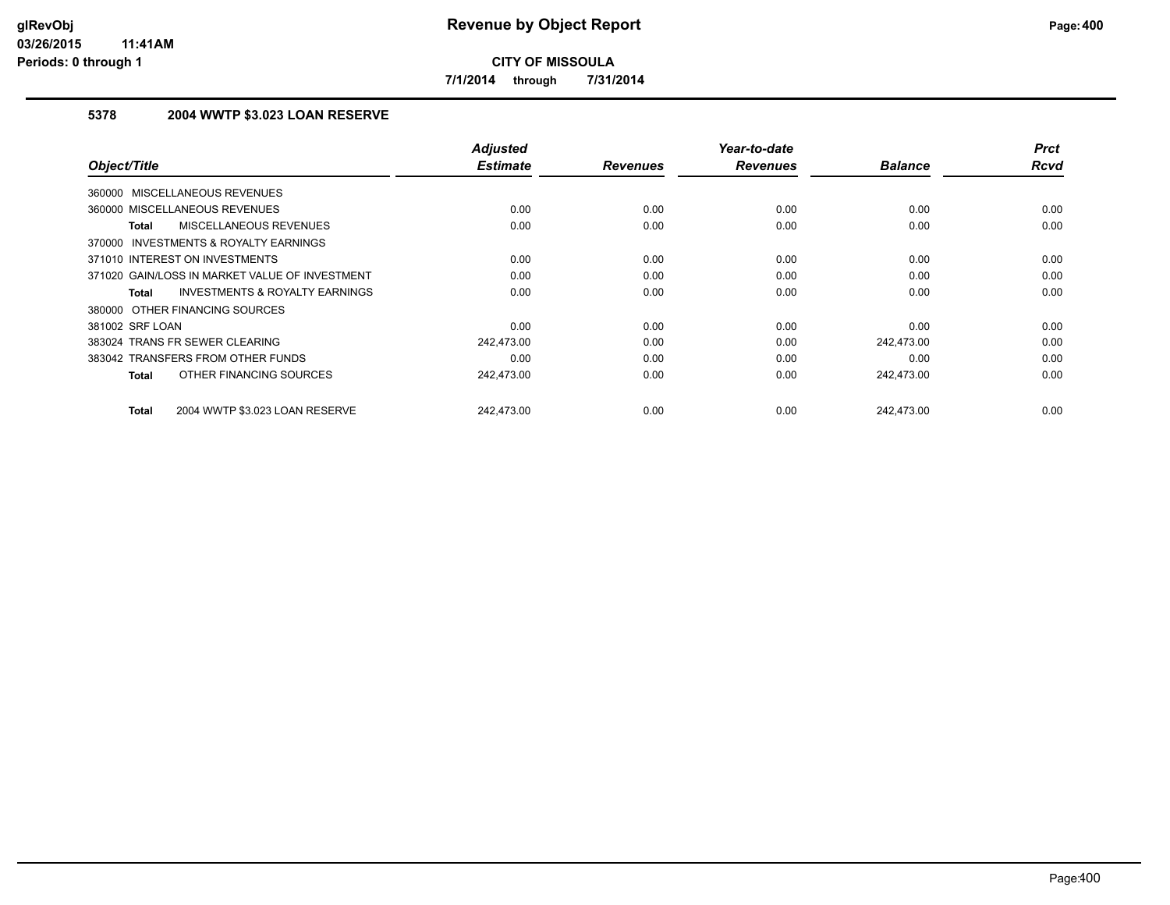**7/1/2014 through 7/31/2014**

## **5378 2004 WWTP \$3.023 LOAN RESERVE**

| Object/Title                                       | <b>Adjusted</b><br><b>Estimate</b> | <b>Revenues</b> | Year-to-date<br><b>Revenues</b> | <b>Balance</b> | <b>Prct</b><br>Rcvd |
|----------------------------------------------------|------------------------------------|-----------------|---------------------------------|----------------|---------------------|
| 360000 MISCELLANEOUS REVENUES                      |                                    |                 |                                 |                |                     |
|                                                    |                                    |                 |                                 |                |                     |
| 360000 MISCELLANEOUS REVENUES                      | 0.00                               | 0.00            | 0.00                            | 0.00           | 0.00                |
| MISCELLANEOUS REVENUES<br><b>Total</b>             | 0.00                               | 0.00            | 0.00                            | 0.00           | 0.00                |
| INVESTMENTS & ROYALTY EARNINGS<br>370000           |                                    |                 |                                 |                |                     |
| 371010 INTEREST ON INVESTMENTS                     | 0.00                               | 0.00            | 0.00                            | 0.00           | 0.00                |
| 371020 GAIN/LOSS IN MARKET VALUE OF INVESTMENT     | 0.00                               | 0.00            | 0.00                            | 0.00           | 0.00                |
| <b>INVESTMENTS &amp; ROYALTY EARNINGS</b><br>Total | 0.00                               | 0.00            | 0.00                            | 0.00           | 0.00                |
| 380000 OTHER FINANCING SOURCES                     |                                    |                 |                                 |                |                     |
| 381002 SRF LOAN                                    | 0.00                               | 0.00            | 0.00                            | 0.00           | 0.00                |
| 383024 TRANS FR SEWER CLEARING                     | 242,473.00                         | 0.00            | 0.00                            | 242,473.00     | 0.00                |
| 383042 TRANSFERS FROM OTHER FUNDS                  | 0.00                               | 0.00            | 0.00                            | 0.00           | 0.00                |
| OTHER FINANCING SOURCES<br><b>Total</b>            | 242,473.00                         | 0.00            | 0.00                            | 242,473.00     | 0.00                |
| 2004 WWTP \$3.023 LOAN RESERVE<br><b>Total</b>     | 242.473.00                         | 0.00            | 0.00                            | 242.473.00     | 0.00                |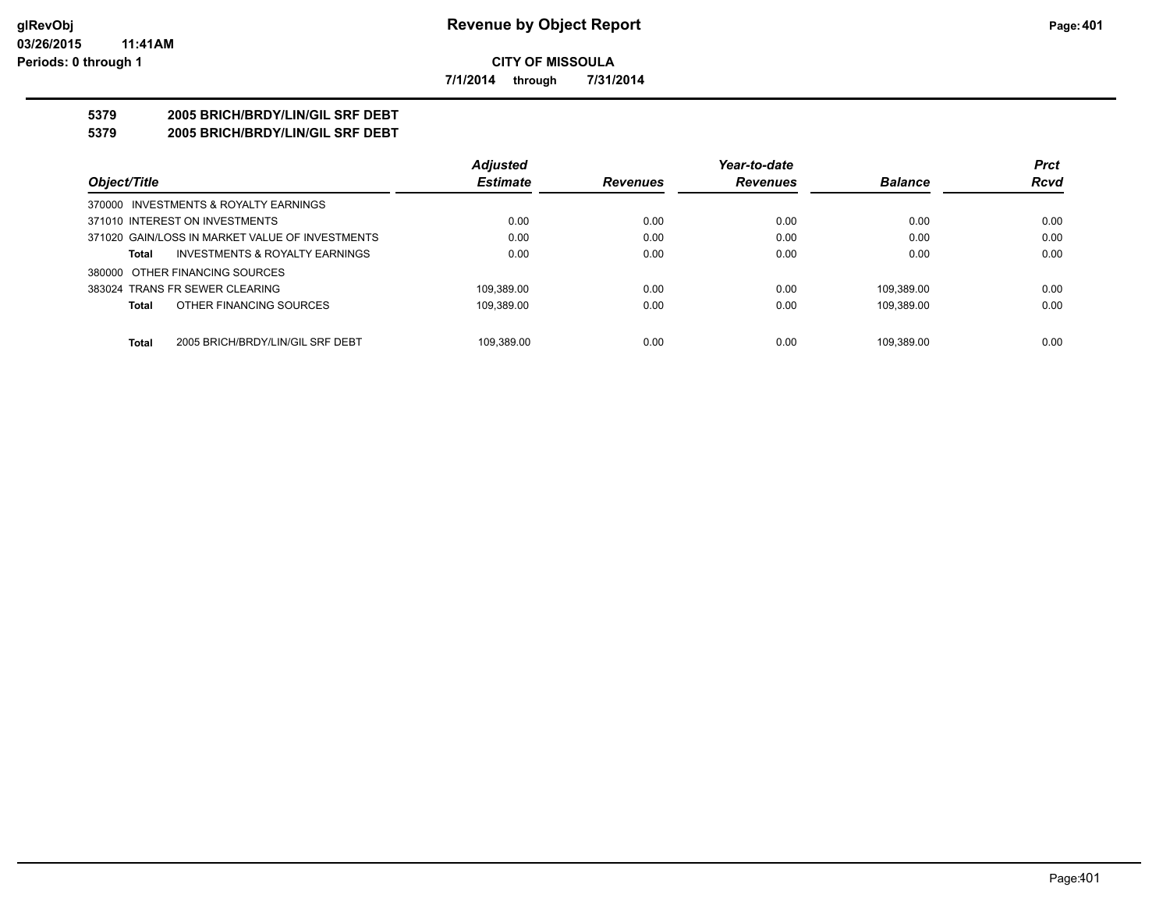**7/1/2014 through 7/31/2014**

## **5379 2005 BRICH/BRDY/LIN/GIL SRF DEBT**

**5379 2005 BRICH/BRDY/LIN/GIL SRF DEBT**

|                                                  | <b>Adjusted</b> |                 | Year-to-date    |                | <b>Prct</b> |
|--------------------------------------------------|-----------------|-----------------|-----------------|----------------|-------------|
| Object/Title                                     | <b>Estimate</b> | <b>Revenues</b> | <b>Revenues</b> | <b>Balance</b> | <b>Rcvd</b> |
| 370000 INVESTMENTS & ROYALTY EARNINGS            |                 |                 |                 |                |             |
| 371010 INTEREST ON INVESTMENTS                   | 0.00            | 0.00            | 0.00            | 0.00           | 0.00        |
| 371020 GAIN/LOSS IN MARKET VALUE OF INVESTMENTS  | 0.00            | 0.00            | 0.00            | 0.00           | 0.00        |
| INVESTMENTS & ROYALTY EARNINGS<br>Total          | 0.00            | 0.00            | 0.00            | 0.00           | 0.00        |
| 380000 OTHER FINANCING SOURCES                   |                 |                 |                 |                |             |
| 383024 TRANS FR SEWER CLEARING                   | 109.389.00      | 0.00            | 0.00            | 109.389.00     | 0.00        |
| OTHER FINANCING SOURCES<br><b>Total</b>          | 109,389.00      | 0.00            | 0.00            | 109.389.00     | 0.00        |
|                                                  |                 |                 |                 |                |             |
| <b>Total</b><br>2005 BRICH/BRDY/LIN/GIL SRF DEBT | 109.389.00      | 0.00            | 0.00            | 109.389.00     | 0.00        |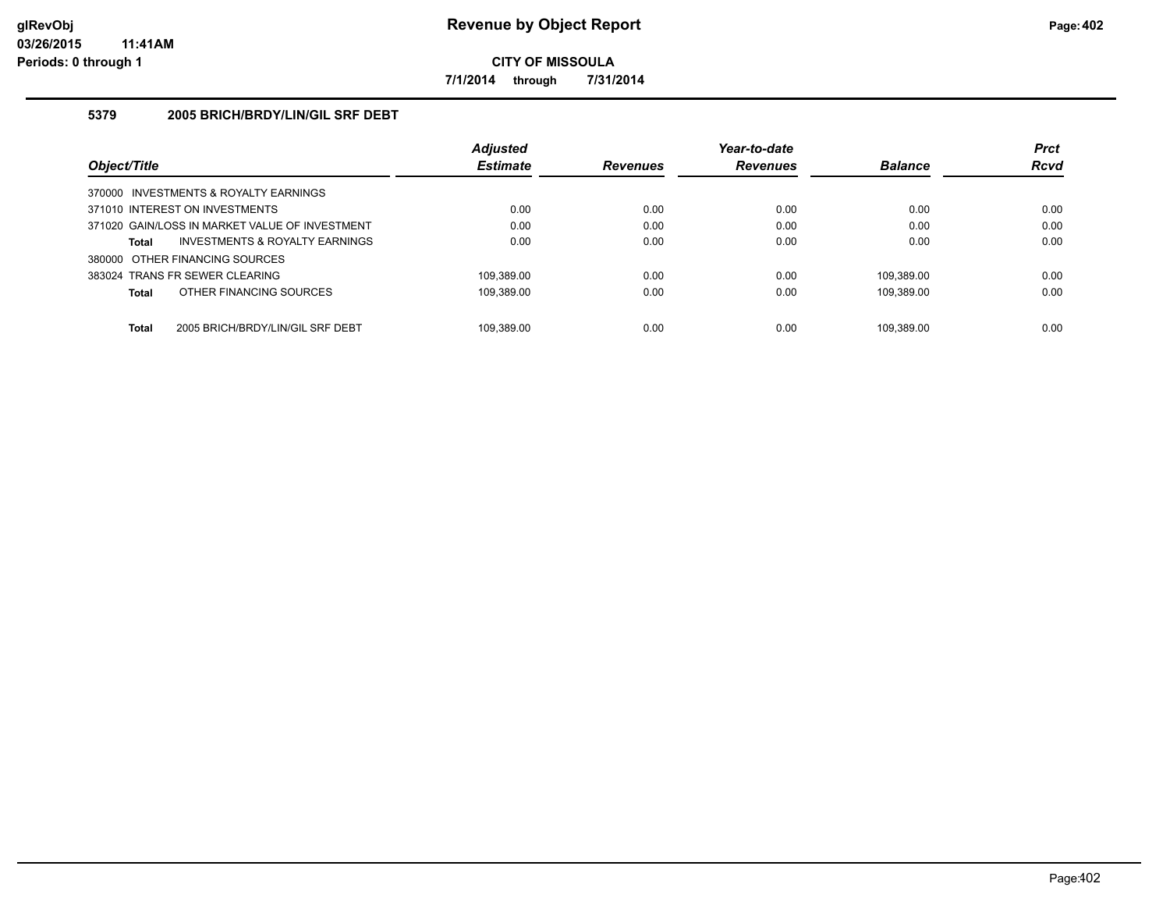**7/1/2014 through 7/31/2014**

## **5379 2005 BRICH/BRDY/LIN/GIL SRF DEBT**

|                                                  | <b>Adjusted</b> |                 | Year-to-date    |                | <b>Prct</b> |
|--------------------------------------------------|-----------------|-----------------|-----------------|----------------|-------------|
| Object/Title                                     | <b>Estimate</b> | <b>Revenues</b> | <b>Revenues</b> | <b>Balance</b> | <b>Rcvd</b> |
| 370000 INVESTMENTS & ROYALTY EARNINGS            |                 |                 |                 |                |             |
| 371010 INTEREST ON INVESTMENTS                   | 0.00            | 0.00            | 0.00            | 0.00           | 0.00        |
| 371020 GAIN/LOSS IN MARKET VALUE OF INVESTMENT   | 0.00            | 0.00            | 0.00            | 0.00           | 0.00        |
| INVESTMENTS & ROYALTY EARNINGS<br>Total          | 0.00            | 0.00            | 0.00            | 0.00           | 0.00        |
| 380000 OTHER FINANCING SOURCES                   |                 |                 |                 |                |             |
| 383024 TRANS FR SEWER CLEARING                   | 109.389.00      | 0.00            | 0.00            | 109.389.00     | 0.00        |
| OTHER FINANCING SOURCES<br>Total                 | 109.389.00      | 0.00            | 0.00            | 109.389.00     | 0.00        |
|                                                  |                 |                 |                 |                |             |
| <b>Total</b><br>2005 BRICH/BRDY/LIN/GIL SRF DEBT | 109.389.00      | 0.00            | 0.00            | 109.389.00     | 0.00        |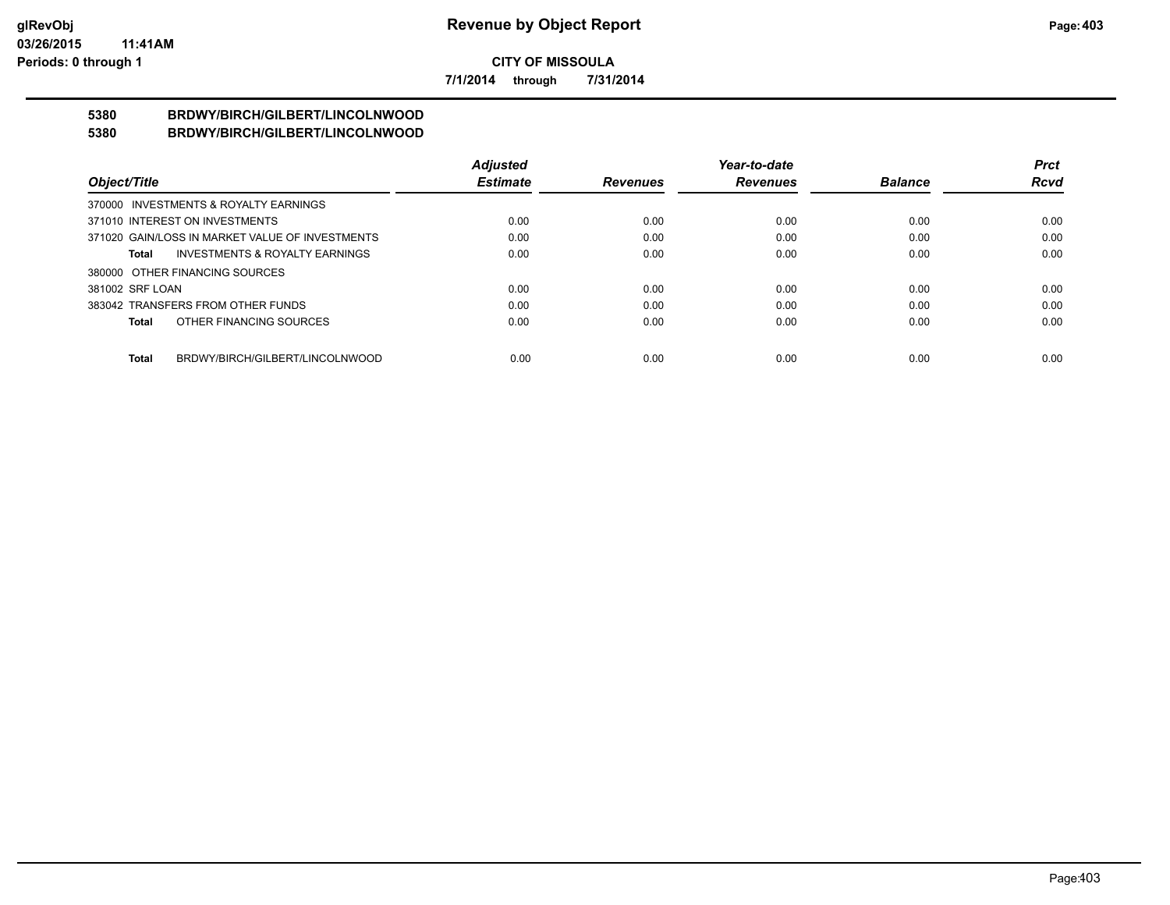**7/1/2014 through 7/31/2014**

#### **5380 BRDWY/BIRCH/GILBERT/LINCOLNWOOD 5380 BRDWY/BIRCH/GILBERT/LINCOLNWOOD**

|                                                    | <b>Adjusted</b> |                 | Year-to-date    |                | Prct        |
|----------------------------------------------------|-----------------|-----------------|-----------------|----------------|-------------|
| Object/Title                                       | <b>Estimate</b> | <b>Revenues</b> | <b>Revenues</b> | <b>Balance</b> | <b>Rcvd</b> |
| 370000 INVESTMENTS & ROYALTY EARNINGS              |                 |                 |                 |                |             |
| 371010 INTEREST ON INVESTMENTS                     | 0.00            | 0.00            | 0.00            | 0.00           | 0.00        |
| 371020 GAIN/LOSS IN MARKET VALUE OF INVESTMENTS    | 0.00            | 0.00            | 0.00            | 0.00           | 0.00        |
| <b>INVESTMENTS &amp; ROYALTY EARNINGS</b><br>Total | 0.00            | 0.00            | 0.00            | 0.00           | 0.00        |
| 380000 OTHER FINANCING SOURCES                     |                 |                 |                 |                |             |
| 381002 SRF LOAN                                    | 0.00            | 0.00            | 0.00            | 0.00           | 0.00        |
| 383042 TRANSFERS FROM OTHER FUNDS                  | 0.00            | 0.00            | 0.00            | 0.00           | 0.00        |
| OTHER FINANCING SOURCES<br>Total                   | 0.00            | 0.00            | 0.00            | 0.00           | 0.00        |
|                                                    |                 |                 |                 |                |             |
| BRDWY/BIRCH/GILBERT/LINCOLNWOOD<br>Total           | 0.00            | 0.00            | 0.00            | 0.00           | 0.00        |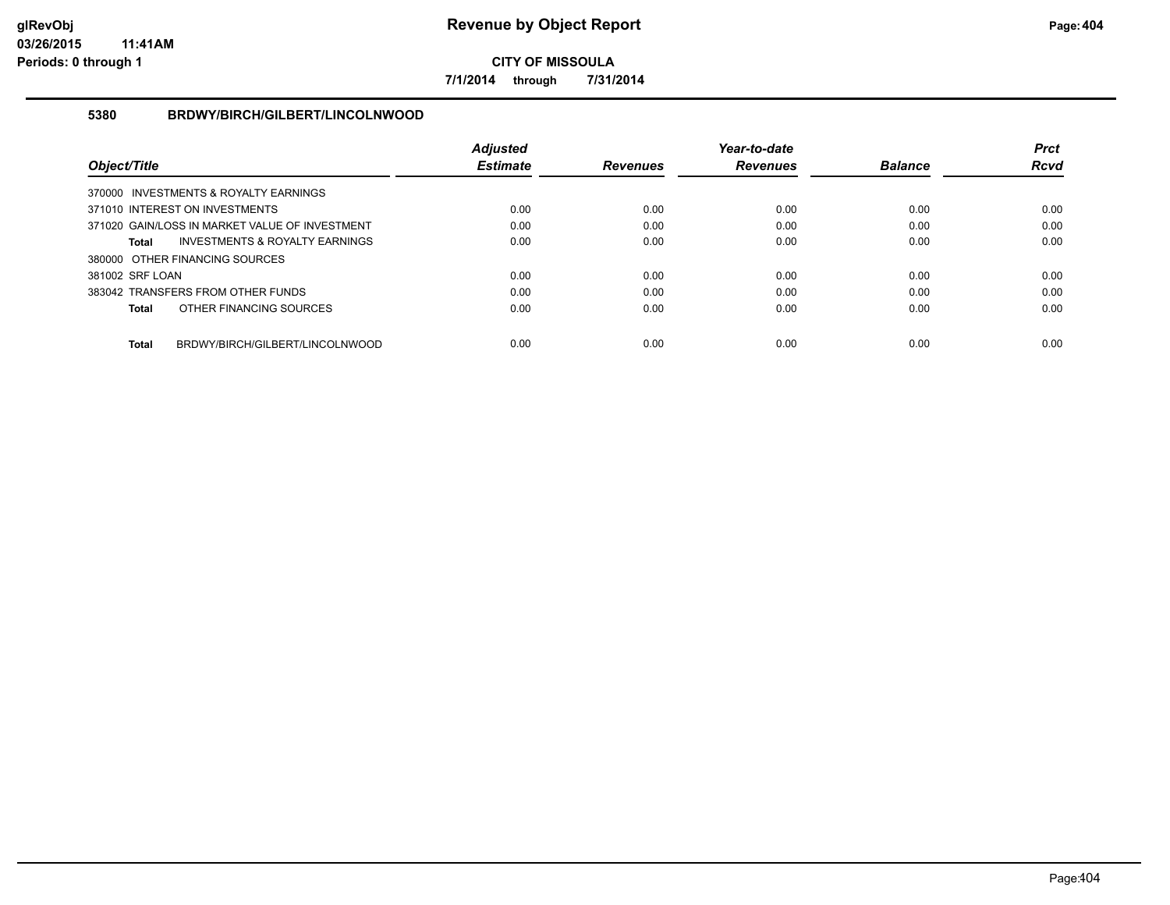**7/1/2014 through 7/31/2014**

## **5380 BRDWY/BIRCH/GILBERT/LINCOLNWOOD**

|                                |                                                | <b>Adjusted</b> |                 | Year-to-date    |                | <b>Prct</b> |
|--------------------------------|------------------------------------------------|-----------------|-----------------|-----------------|----------------|-------------|
| Object/Title                   |                                                | <b>Estimate</b> | <b>Revenues</b> | <b>Revenues</b> | <b>Balance</b> | <b>Rcvd</b> |
|                                | 370000 INVESTMENTS & ROYALTY EARNINGS          |                 |                 |                 |                |             |
| 371010 INTEREST ON INVESTMENTS |                                                | 0.00            | 0.00            | 0.00            | 0.00           | 0.00        |
|                                | 371020 GAIN/LOSS IN MARKET VALUE OF INVESTMENT | 0.00            | 0.00            | 0.00            | 0.00           | 0.00        |
| Total                          | <b>INVESTMENTS &amp; ROYALTY EARNINGS</b>      | 0.00            | 0.00            | 0.00            | 0.00           | 0.00        |
| 380000 OTHER FINANCING SOURCES |                                                |                 |                 |                 |                |             |
| 381002 SRF LOAN                |                                                | 0.00            | 0.00            | 0.00            | 0.00           | 0.00        |
|                                | 383042 TRANSFERS FROM OTHER FUNDS              | 0.00            | 0.00            | 0.00            | 0.00           | 0.00        |
| <b>Total</b>                   | OTHER FINANCING SOURCES                        | 0.00            | 0.00            | 0.00            | 0.00           | 0.00        |
| <b>Total</b>                   | BRDWY/BIRCH/GILBERT/LINCOLNWOOD                | 0.00            | 0.00            | 0.00            | 0.00           | 0.00        |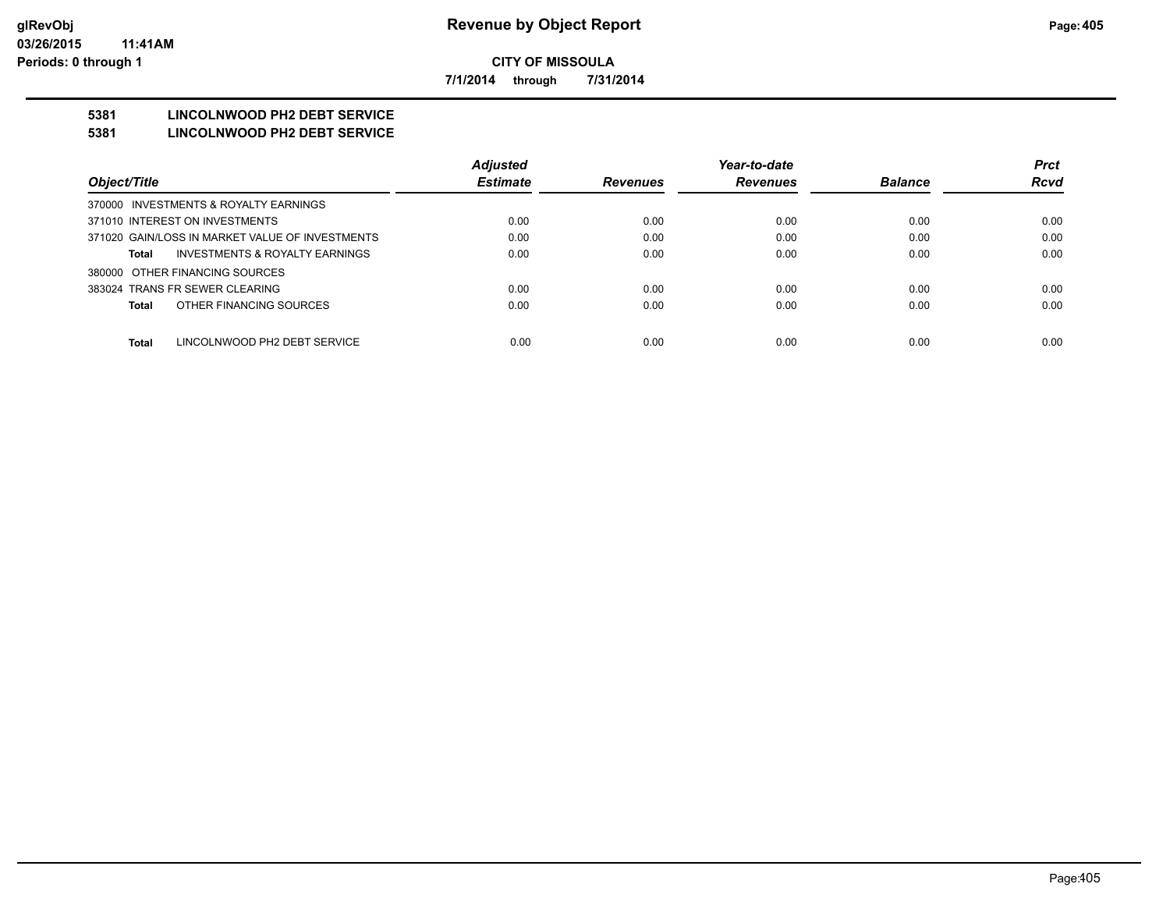**7/1/2014 through 7/31/2014**

## **5381 LINCOLNWOOD PH2 DEBT SERVICE**

#### **5381 LINCOLNWOOD PH2 DEBT SERVICE**

|                                                 | <b>Adjusted</b> |                 | Year-to-date    |                | <b>Prct</b> |
|-------------------------------------------------|-----------------|-----------------|-----------------|----------------|-------------|
| Object/Title                                    | <b>Estimate</b> | <b>Revenues</b> | <b>Revenues</b> | <b>Balance</b> | <b>Rcvd</b> |
| 370000 INVESTMENTS & ROYALTY EARNINGS           |                 |                 |                 |                |             |
| 371010 INTEREST ON INVESTMENTS                  | 0.00            | 0.00            | 0.00            | 0.00           | 0.00        |
| 371020 GAIN/LOSS IN MARKET VALUE OF INVESTMENTS | 0.00            | 0.00            | 0.00            | 0.00           | 0.00        |
| INVESTMENTS & ROYALTY EARNINGS<br>Total         | 0.00            | 0.00            | 0.00            | 0.00           | 0.00        |
| 380000 OTHER FINANCING SOURCES                  |                 |                 |                 |                |             |
| 383024 TRANS FR SEWER CLEARING                  | 0.00            | 0.00            | 0.00            | 0.00           | 0.00        |
| OTHER FINANCING SOURCES<br>Total                | 0.00            | 0.00            | 0.00            | 0.00           | 0.00        |
|                                                 |                 |                 |                 |                |             |
| Total<br>LINCOLNWOOD PH2 DEBT SERVICE           | 0.00            | 0.00            | 0.00            | 0.00           | 0.00        |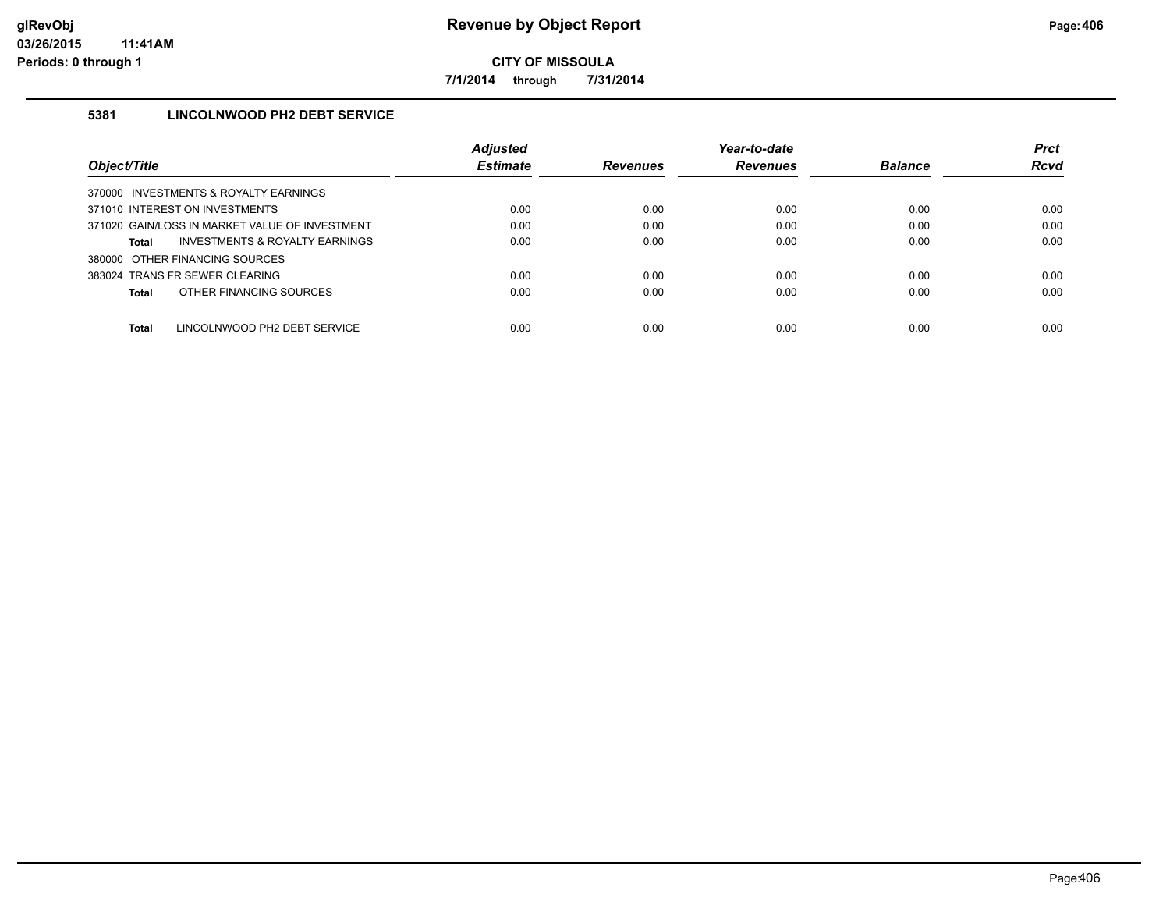**7/1/2014 through 7/31/2014**

## **5381 LINCOLNWOOD PH2 DEBT SERVICE**

|                                                | <b>Adjusted</b> |                 | Year-to-date    |                | <b>Prct</b> |
|------------------------------------------------|-----------------|-----------------|-----------------|----------------|-------------|
| Object/Title                                   | <b>Estimate</b> | <b>Revenues</b> | <b>Revenues</b> | <b>Balance</b> | <b>Rcvd</b> |
| 370000 INVESTMENTS & ROYALTY EARNINGS          |                 |                 |                 |                |             |
| 371010 INTEREST ON INVESTMENTS                 | 0.00            | 0.00            | 0.00            | 0.00           | 0.00        |
| 371020 GAIN/LOSS IN MARKET VALUE OF INVESTMENT | 0.00            | 0.00            | 0.00            | 0.00           | 0.00        |
| INVESTMENTS & ROYALTY EARNINGS<br>Total        | 0.00            | 0.00            | 0.00            | 0.00           | 0.00        |
| 380000 OTHER FINANCING SOURCES                 |                 |                 |                 |                |             |
| 383024 TRANS FR SEWER CLEARING                 | 0.00            | 0.00            | 0.00            | 0.00           | 0.00        |
| OTHER FINANCING SOURCES<br>Total               | 0.00            | 0.00            | 0.00            | 0.00           | 0.00        |
|                                                |                 |                 |                 |                |             |
| Total<br>LINCOLNWOOD PH2 DEBT SERVICE          | 0.00            | 0.00            | 0.00            | 0.00           | 0.00        |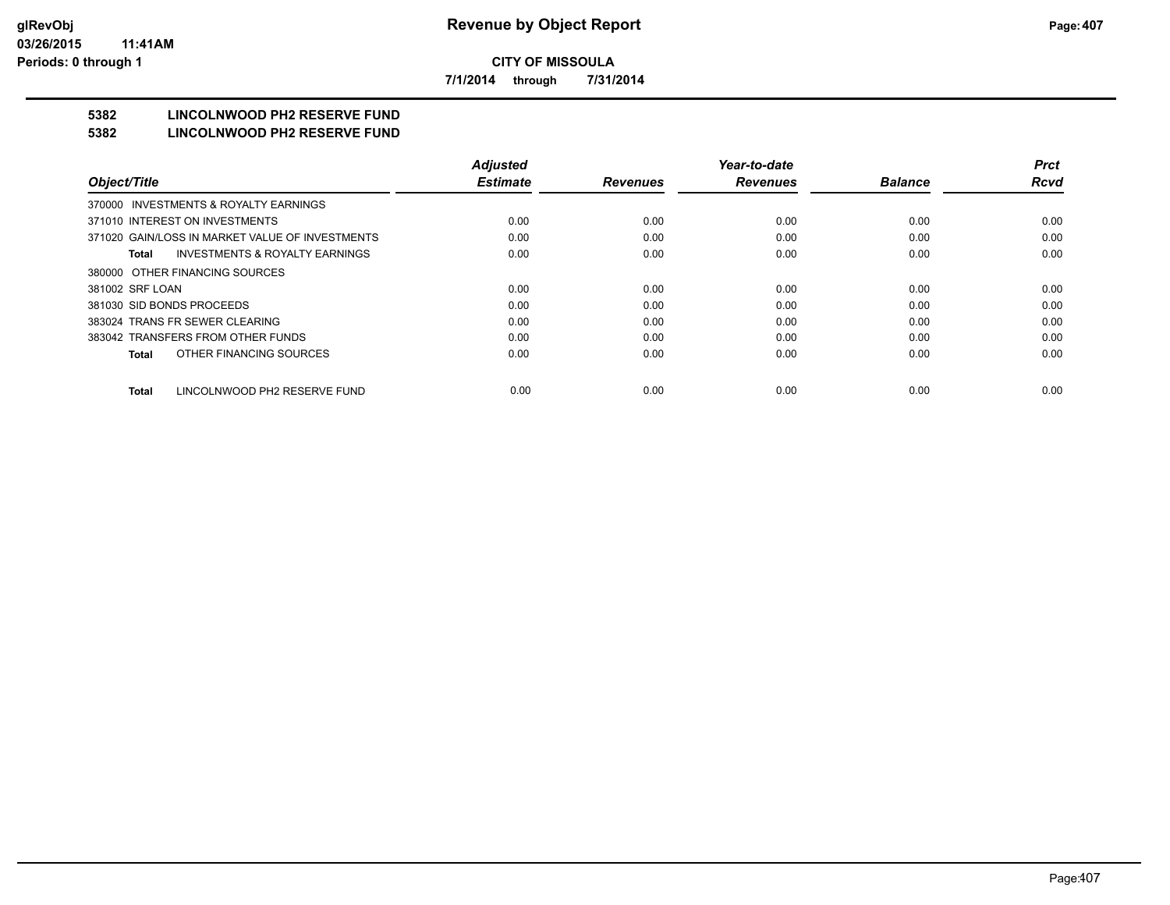**7/1/2014 through 7/31/2014**

# **5382 LINCOLNWOOD PH2 RESERVE FUND**

#### **5382 LINCOLNWOOD PH2 RESERVE FUND**

|                                                    | <b>Adjusted</b> |                 | Year-to-date    |                | <b>Prct</b> |
|----------------------------------------------------|-----------------|-----------------|-----------------|----------------|-------------|
| Object/Title                                       | <b>Estimate</b> | <b>Revenues</b> | <b>Revenues</b> | <b>Balance</b> | <b>Rcvd</b> |
| INVESTMENTS & ROYALTY EARNINGS<br>370000           |                 |                 |                 |                |             |
| 371010 INTEREST ON INVESTMENTS                     | 0.00            | 0.00            | 0.00            | 0.00           | 0.00        |
| 371020 GAIN/LOSS IN MARKET VALUE OF INVESTMENTS    | 0.00            | 0.00            | 0.00            | 0.00           | 0.00        |
| <b>INVESTMENTS &amp; ROYALTY EARNINGS</b><br>Total | 0.00            | 0.00            | 0.00            | 0.00           | 0.00        |
| 380000 OTHER FINANCING SOURCES                     |                 |                 |                 |                |             |
| 381002 SRF LOAN                                    | 0.00            | 0.00            | 0.00            | 0.00           | 0.00        |
| 381030 SID BONDS PROCEEDS                          | 0.00            | 0.00            | 0.00            | 0.00           | 0.00        |
| 383024 TRANS FR SEWER CLEARING                     | 0.00            | 0.00            | 0.00            | 0.00           | 0.00        |
| 383042 TRANSFERS FROM OTHER FUNDS                  | 0.00            | 0.00            | 0.00            | 0.00           | 0.00        |
| OTHER FINANCING SOURCES<br>Total                   | 0.00            | 0.00            | 0.00            | 0.00           | 0.00        |
| LINCOLNWOOD PH2 RESERVE FUND<br><b>Total</b>       | 0.00            | 0.00            | 0.00            | 0.00           | 0.00        |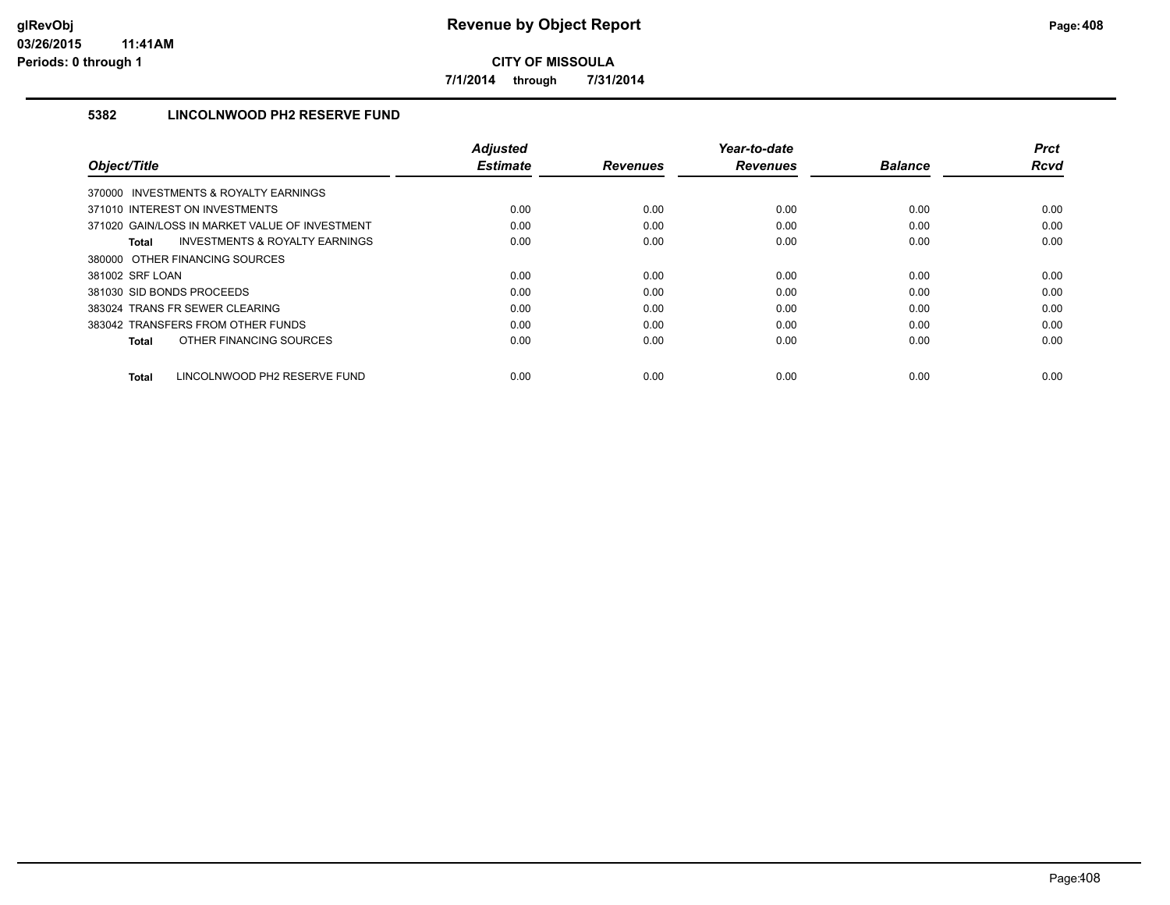**7/1/2014 through 7/31/2014**

## **5382 LINCOLNWOOD PH2 RESERVE FUND**

|                                                    | <b>Adjusted</b> |                 | Year-to-date    |                | <b>Prct</b> |
|----------------------------------------------------|-----------------|-----------------|-----------------|----------------|-------------|
| Object/Title                                       | <b>Estimate</b> | <b>Revenues</b> | <b>Revenues</b> | <b>Balance</b> | <b>Rcvd</b> |
| 370000 INVESTMENTS & ROYALTY EARNINGS              |                 |                 |                 |                |             |
| 371010 INTEREST ON INVESTMENTS                     | 0.00            | 0.00            | 0.00            | 0.00           | 0.00        |
| 371020 GAIN/LOSS IN MARKET VALUE OF INVESTMENT     | 0.00            | 0.00            | 0.00            | 0.00           | 0.00        |
| <b>INVESTMENTS &amp; ROYALTY EARNINGS</b><br>Total | 0.00            | 0.00            | 0.00            | 0.00           | 0.00        |
| 380000 OTHER FINANCING SOURCES                     |                 |                 |                 |                |             |
| 381002 SRF LOAN                                    | 0.00            | 0.00            | 0.00            | 0.00           | 0.00        |
| 381030 SID BONDS PROCEEDS                          | 0.00            | 0.00            | 0.00            | 0.00           | 0.00        |
| 383024 TRANS FR SEWER CLEARING                     | 0.00            | 0.00            | 0.00            | 0.00           | 0.00        |
| 383042 TRANSFERS FROM OTHER FUNDS                  | 0.00            | 0.00            | 0.00            | 0.00           | 0.00        |
| OTHER FINANCING SOURCES<br>Total                   | 0.00            | 0.00            | 0.00            | 0.00           | 0.00        |
| LINCOLNWOOD PH2 RESERVE FUND<br><b>Total</b>       | 0.00            | 0.00            | 0.00            | 0.00           | 0.00        |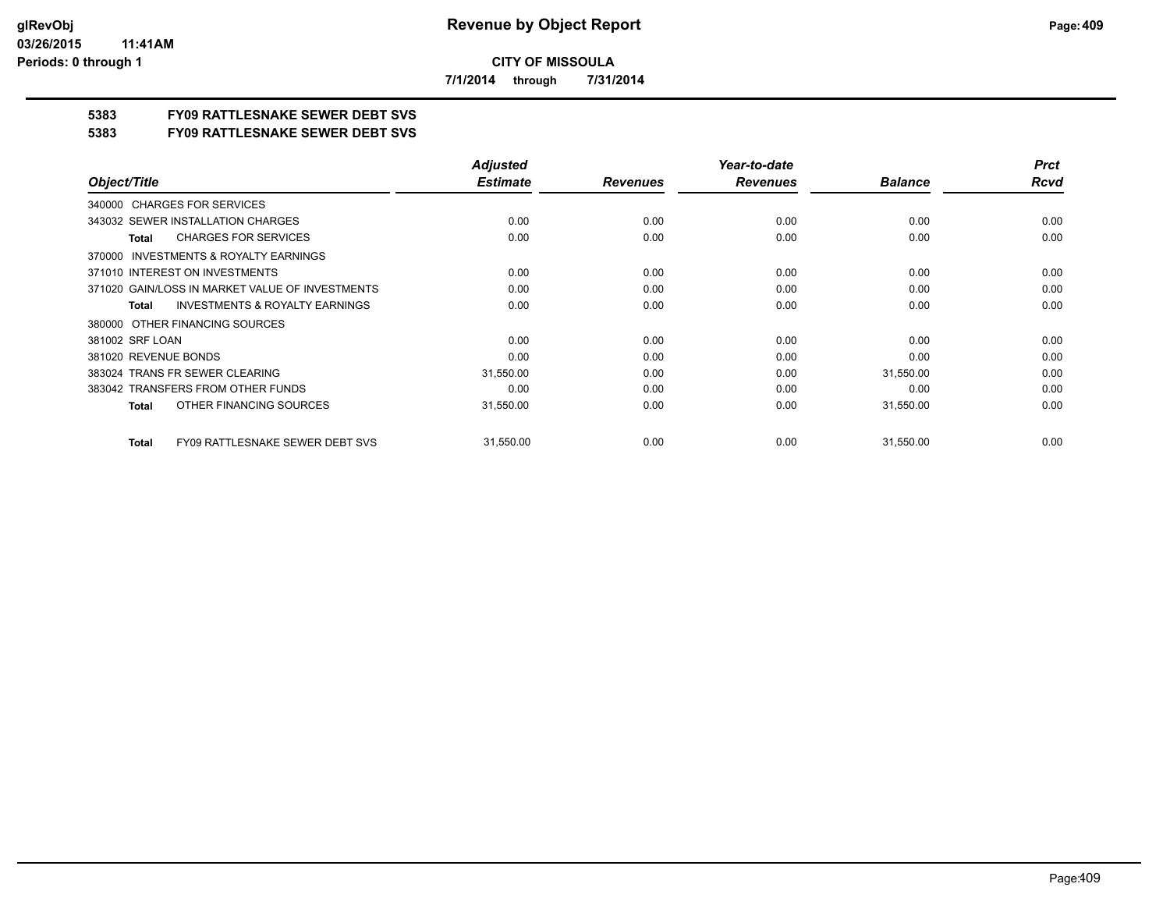**7/1/2014 through 7/31/2014**

## **5383 FY09 RATTLESNAKE SEWER DEBT SVS**

**5383 FY09 RATTLESNAKE SEWER DEBT SVS**

|                                                        | <b>Adjusted</b> |                 | Year-to-date    |                | <b>Prct</b> |
|--------------------------------------------------------|-----------------|-----------------|-----------------|----------------|-------------|
| Object/Title                                           | <b>Estimate</b> | <b>Revenues</b> | <b>Revenues</b> | <b>Balance</b> | <b>Rcvd</b> |
| 340000 CHARGES FOR SERVICES                            |                 |                 |                 |                |             |
| 343032 SEWER INSTALLATION CHARGES                      | 0.00            | 0.00            | 0.00            | 0.00           | 0.00        |
| <b>CHARGES FOR SERVICES</b><br>Total                   | 0.00            | 0.00            | 0.00            | 0.00           | 0.00        |
| <b>INVESTMENTS &amp; ROYALTY EARNINGS</b><br>370000    |                 |                 |                 |                |             |
| 371010 INTEREST ON INVESTMENTS                         | 0.00            | 0.00            | 0.00            | 0.00           | 0.00        |
| 371020 GAIN/LOSS IN MARKET VALUE OF INVESTMENTS        | 0.00            | 0.00            | 0.00            | 0.00           | 0.00        |
| <b>INVESTMENTS &amp; ROYALTY EARNINGS</b><br>Total     | 0.00            | 0.00            | 0.00            | 0.00           | 0.00        |
| OTHER FINANCING SOURCES<br>380000                      |                 |                 |                 |                |             |
| 381002 SRF LOAN                                        | 0.00            | 0.00            | 0.00            | 0.00           | 0.00        |
| 381020 REVENUE BONDS                                   | 0.00            | 0.00            | 0.00            | 0.00           | 0.00        |
| 383024 TRANS FR SEWER CLEARING                         | 31,550.00       | 0.00            | 0.00            | 31,550.00      | 0.00        |
| 383042 TRANSFERS FROM OTHER FUNDS                      | 0.00            | 0.00            | 0.00            | 0.00           | 0.00        |
| OTHER FINANCING SOURCES<br>Total                       | 31,550.00       | 0.00            | 0.00            | 31,550.00      | 0.00        |
| <b>FY09 RATTLESNAKE SEWER DEBT SVS</b><br><b>Total</b> | 31,550.00       | 0.00            | 0.00            | 31,550.00      | 0.00        |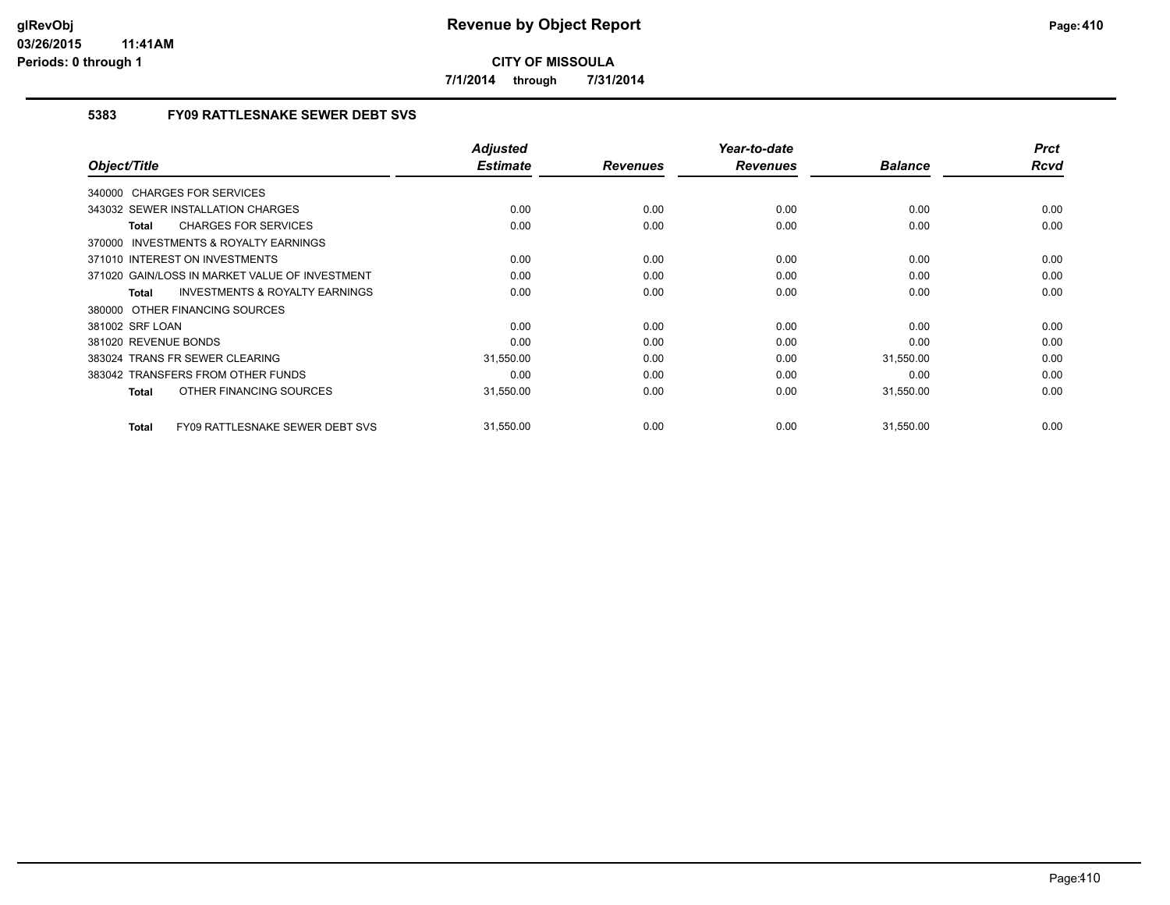**7/1/2014 through 7/31/2014**

## **5383 FY09 RATTLESNAKE SEWER DEBT SVS**

| Object/Title                                              | <b>Adjusted</b><br><b>Estimate</b> | <b>Revenues</b> | Year-to-date<br><b>Revenues</b> | <b>Balance</b> | <b>Prct</b><br>Rcvd |
|-----------------------------------------------------------|------------------------------------|-----------------|---------------------------------|----------------|---------------------|
|                                                           |                                    |                 |                                 |                |                     |
| 340000 CHARGES FOR SERVICES                               |                                    |                 |                                 |                |                     |
| 343032 SEWER INSTALLATION CHARGES                         | 0.00                               | 0.00            | 0.00                            | 0.00           | 0.00                |
| <b>CHARGES FOR SERVICES</b><br>Total                      | 0.00                               | 0.00            | 0.00                            | 0.00           | 0.00                |
| <b>INVESTMENTS &amp; ROYALTY EARNINGS</b><br>370000       |                                    |                 |                                 |                |                     |
| 371010 INTEREST ON INVESTMENTS                            | 0.00                               | 0.00            | 0.00                            | 0.00           | 0.00                |
| 371020 GAIN/LOSS IN MARKET VALUE OF INVESTMENT            | 0.00                               | 0.00            | 0.00                            | 0.00           | 0.00                |
| <b>INVESTMENTS &amp; ROYALTY EARNINGS</b><br><b>Total</b> | 0.00                               | 0.00            | 0.00                            | 0.00           | 0.00                |
| 380000 OTHER FINANCING SOURCES                            |                                    |                 |                                 |                |                     |
| 381002 SRF LOAN                                           | 0.00                               | 0.00            | 0.00                            | 0.00           | 0.00                |
| 381020 REVENUE BONDS                                      | 0.00                               | 0.00            | 0.00                            | 0.00           | 0.00                |
| 383024 TRANS FR SEWER CLEARING                            | 31,550.00                          | 0.00            | 0.00                            | 31,550.00      | 0.00                |
| 383042 TRANSFERS FROM OTHER FUNDS                         | 0.00                               | 0.00            | 0.00                            | 0.00           | 0.00                |
| OTHER FINANCING SOURCES<br><b>Total</b>                   | 31,550.00                          | 0.00            | 0.00                            | 31,550.00      | 0.00                |
| <b>FY09 RATTLESNAKE SEWER DEBT SVS</b><br><b>Total</b>    | 31,550.00                          | 0.00            | 0.00                            | 31,550.00      | 0.00                |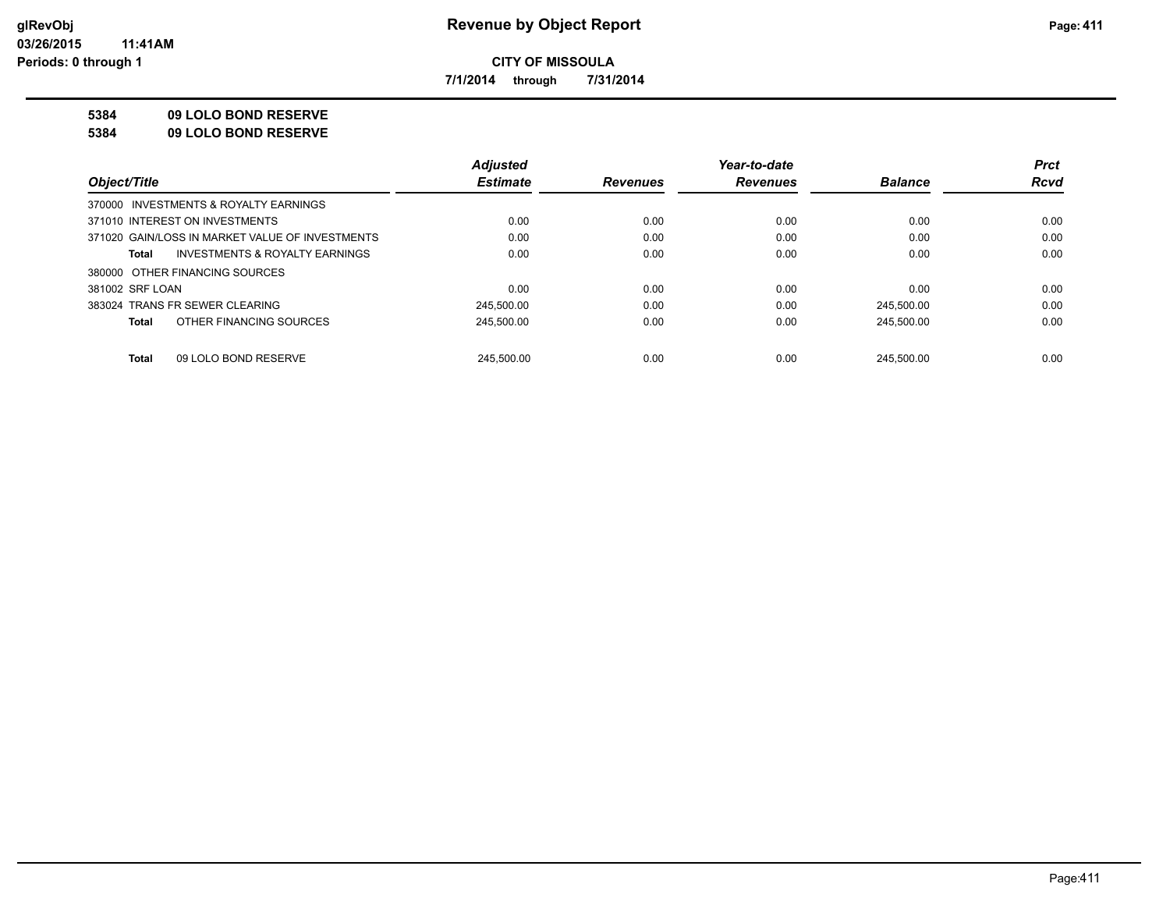**7/1/2014 through 7/31/2014**

## **5384 09 LOLO BOND RESERVE**

**5384 09 LOLO BOND RESERVE**

|                                                    | <b>Adjusted</b> |                 | Year-to-date    |                | <b>Prct</b> |
|----------------------------------------------------|-----------------|-----------------|-----------------|----------------|-------------|
| Object/Title                                       | <b>Estimate</b> | <b>Revenues</b> | <b>Revenues</b> | <b>Balance</b> | <b>Rcvd</b> |
| 370000 INVESTMENTS & ROYALTY EARNINGS              |                 |                 |                 |                |             |
| 371010 INTEREST ON INVESTMENTS                     | 0.00            | 0.00            | 0.00            | 0.00           | 0.00        |
| 371020 GAIN/LOSS IN MARKET VALUE OF INVESTMENTS    | 0.00            | 0.00            | 0.00            | 0.00           | 0.00        |
| <b>INVESTMENTS &amp; ROYALTY EARNINGS</b><br>Total | 0.00            | 0.00            | 0.00            | 0.00           | 0.00        |
| 380000 OTHER FINANCING SOURCES                     |                 |                 |                 |                |             |
| 381002 SRF LOAN                                    | 0.00            | 0.00            | 0.00            | 0.00           | 0.00        |
| 383024 TRANS FR SEWER CLEARING                     | 245.500.00      | 0.00            | 0.00            | 245.500.00     | 0.00        |
| OTHER FINANCING SOURCES<br>Total                   | 245.500.00      | 0.00            | 0.00            | 245.500.00     | 0.00        |
|                                                    |                 |                 |                 |                |             |
| 09 LOLO BOND RESERVE<br>Total                      | 245.500.00      | 0.00            | 0.00            | 245.500.00     | 0.00        |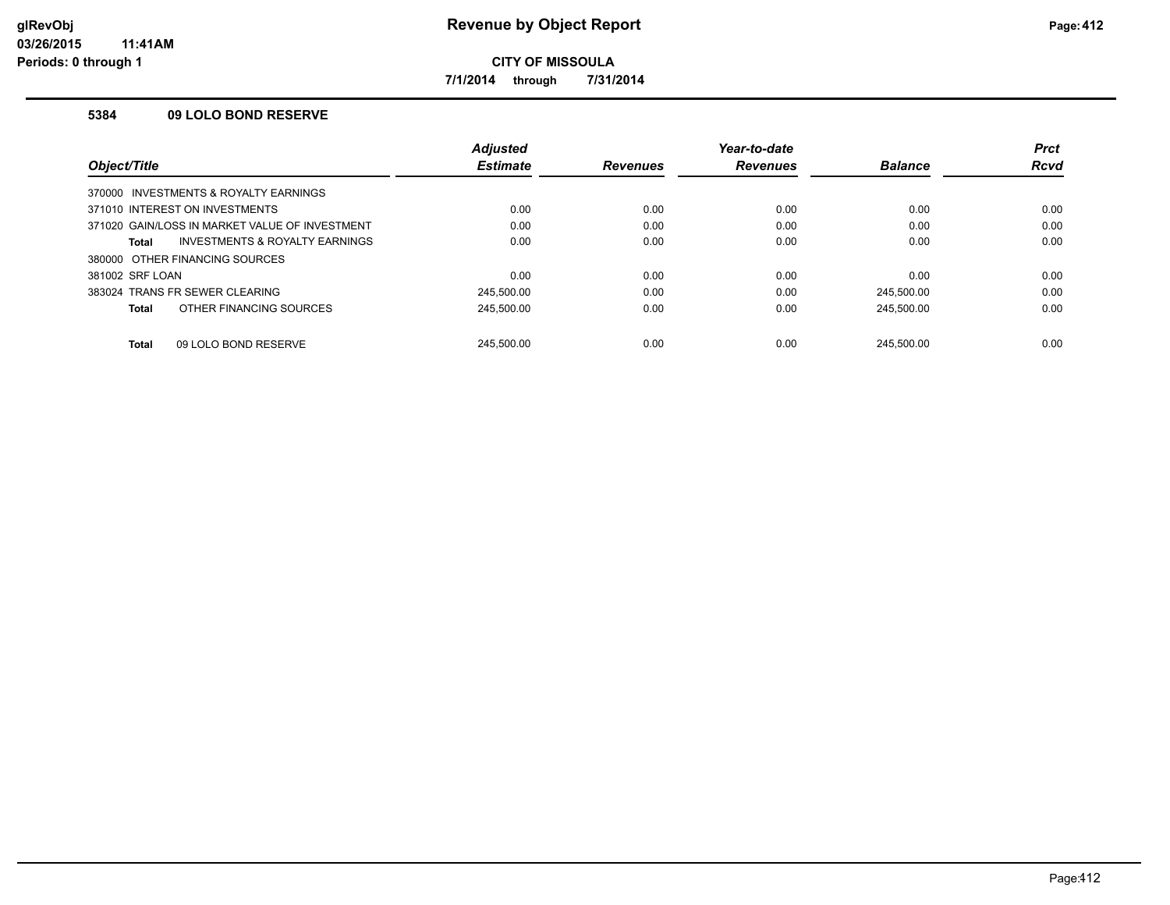**7/1/2014 through 7/31/2014**

### **5384 09 LOLO BOND RESERVE**

|                                                    | <b>Adjusted</b> |                 | Year-to-date    |                | <b>Prct</b> |
|----------------------------------------------------|-----------------|-----------------|-----------------|----------------|-------------|
| <i><b>Object/Title</b></i>                         | <b>Estimate</b> | <b>Revenues</b> | <b>Revenues</b> | <b>Balance</b> | <b>Rcvd</b> |
| 370000 INVESTMENTS & ROYALTY EARNINGS              |                 |                 |                 |                |             |
| 371010 INTEREST ON INVESTMENTS                     | 0.00            | 0.00            | 0.00            | 0.00           | 0.00        |
| 371020 GAIN/LOSS IN MARKET VALUE OF INVESTMENT     | 0.00            | 0.00            | 0.00            | 0.00           | 0.00        |
| <b>INVESTMENTS &amp; ROYALTY EARNINGS</b><br>Total | 0.00            | 0.00            | 0.00            | 0.00           | 0.00        |
| 380000 OTHER FINANCING SOURCES                     |                 |                 |                 |                |             |
| 381002 SRF LOAN                                    | 0.00            | 0.00            | 0.00            | 0.00           | 0.00        |
| 383024 TRANS FR SEWER CLEARING                     | 245.500.00      | 0.00            | 0.00            | 245.500.00     | 0.00        |
| OTHER FINANCING SOURCES<br>Total                   | 245.500.00      | 0.00            | 0.00            | 245.500.00     | 0.00        |
|                                                    |                 |                 |                 |                |             |
| 09 LOLO BOND RESERVE<br><b>Total</b>               | 245.500.00      | 0.00            | 0.00            | 245.500.00     | 0.00        |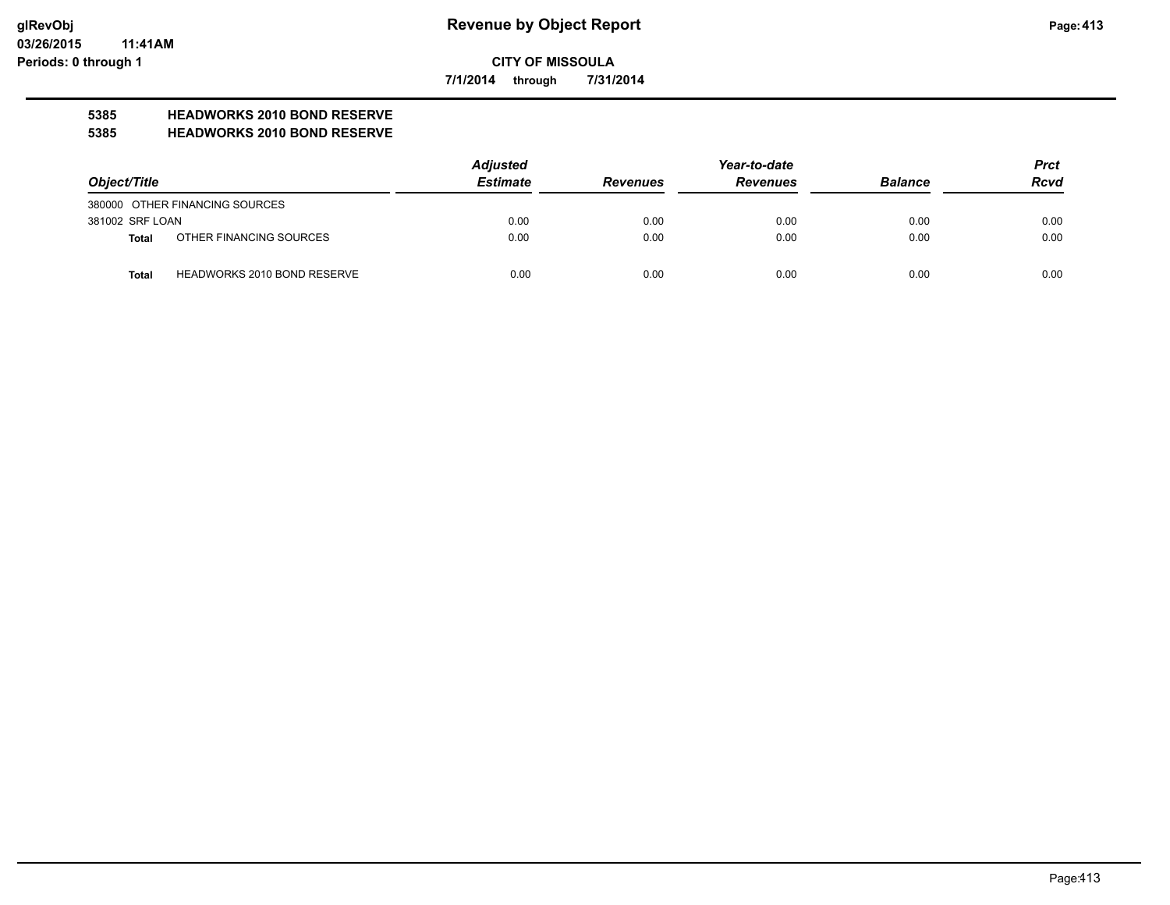**7/1/2014 through 7/31/2014**

# **5385 HEADWORKS 2010 BOND RESERVE**

#### **5385 HEADWORKS 2010 BOND RESERVE**

|                 |                                    | <b>Adjusted</b> |                 | <b>Prct</b>     |                |             |
|-----------------|------------------------------------|-----------------|-----------------|-----------------|----------------|-------------|
| Object/Title    |                                    | <b>Estimate</b> | <b>Revenues</b> | <b>Revenues</b> | <b>Balance</b> | <b>Rcvd</b> |
|                 | 380000 OTHER FINANCING SOURCES     |                 |                 |                 |                |             |
| 381002 SRF LOAN |                                    | 0.00            | 0.00            | 0.00            | 0.00           | 0.00        |
| Total           | OTHER FINANCING SOURCES            | 0.00            | 0.00            | 0.00            | 0.00           | 0.00        |
| Total           | <b>HEADWORKS 2010 BOND RESERVE</b> | 0.00            | 0.00            | 0.00            | 0.00           | 0.00        |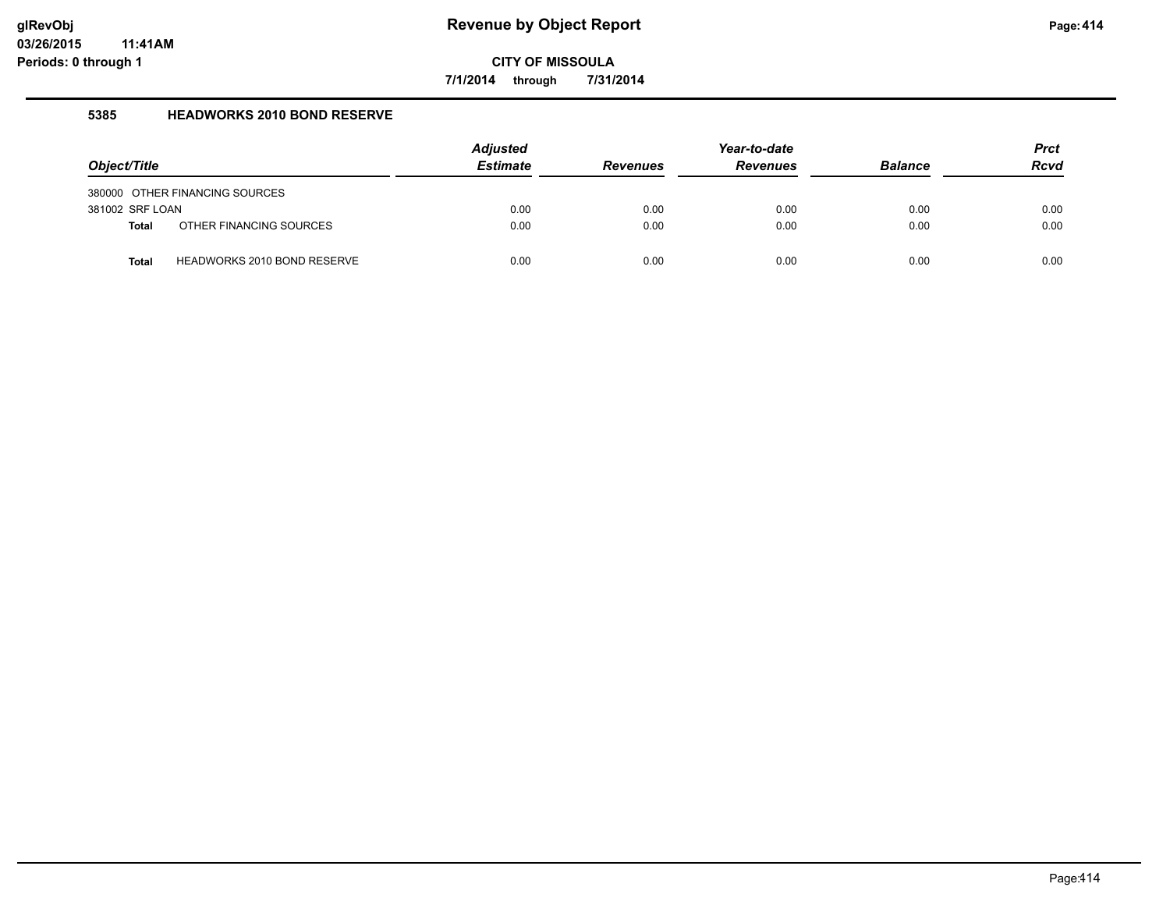**7/1/2014 through 7/31/2014**

### **5385 HEADWORKS 2010 BOND RESERVE**

| Object/Title                    |                                | <b>Adjusted</b><br><b>Estimate</b> | <b>Revenues</b> | Year-to-date<br><b>Revenues</b> | <b>Balance</b> | <b>Prct</b><br><b>Rcvd</b> |
|---------------------------------|--------------------------------|------------------------------------|-----------------|---------------------------------|----------------|----------------------------|
|                                 | 380000 OTHER FINANCING SOURCES |                                    |                 |                                 |                |                            |
| 381002 SRF LOAN<br><b>Total</b> | OTHER FINANCING SOURCES        | 0.00<br>0.00                       | 0.00<br>0.00    | 0.00<br>0.00                    | 0.00<br>0.00   | 0.00<br>0.00               |
| <b>Total</b>                    | HEADWORKS 2010 BOND RESERVE    | 0.00                               | 0.00            | 0.00                            | 0.00           | 0.00                       |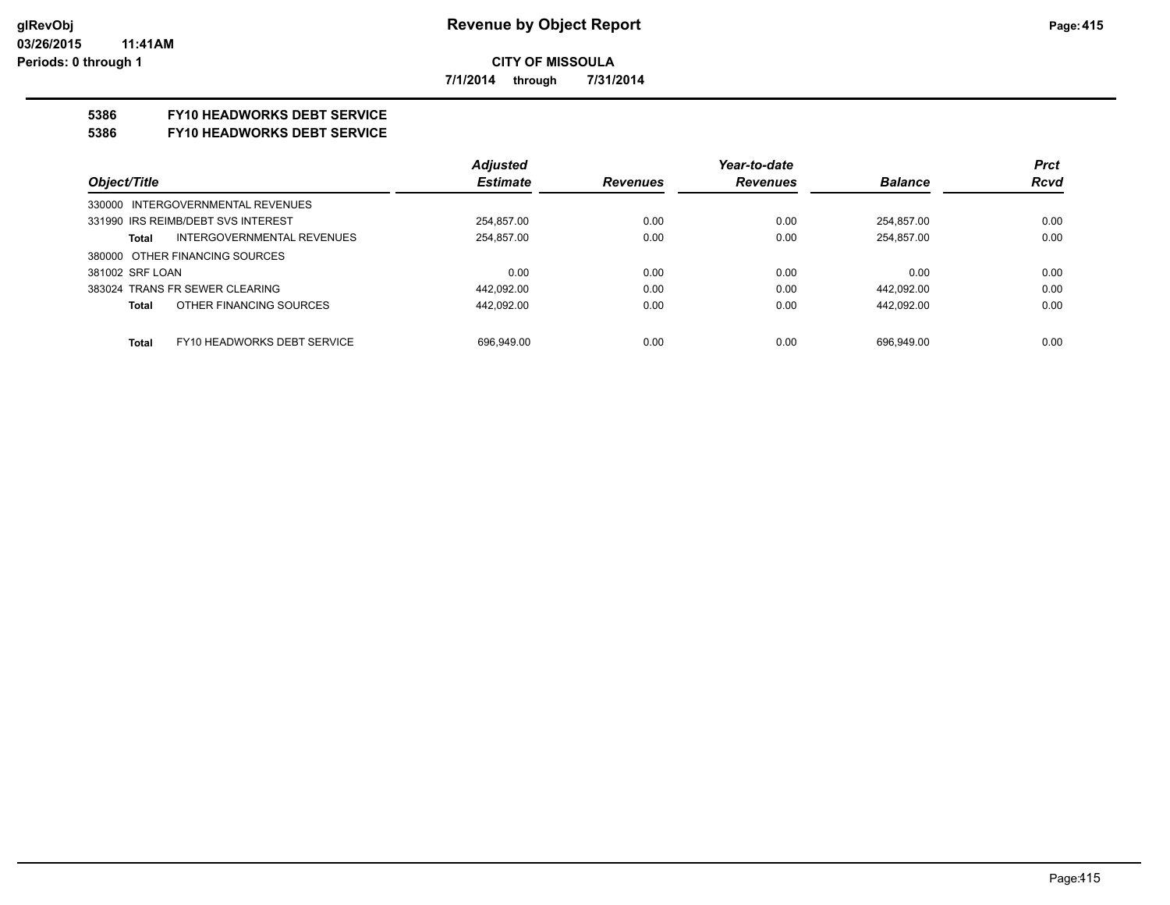**7/1/2014 through 7/31/2014**

## **5386 FY10 HEADWORKS DEBT SERVICE**

#### **5386 FY10 HEADWORKS DEBT SERVICE**

|                                      | <b>Adjusted</b> |                 | Year-to-date    |                | <b>Prct</b> |
|--------------------------------------|-----------------|-----------------|-----------------|----------------|-------------|
| Object/Title                         | <b>Estimate</b> | <b>Revenues</b> | <b>Revenues</b> | <b>Balance</b> | <b>Rcvd</b> |
| 330000 INTERGOVERNMENTAL REVENUES    |                 |                 |                 |                |             |
| 331990 IRS REIMB/DEBT SVS INTEREST   | 254.857.00      | 0.00            | 0.00            | 254.857.00     | 0.00        |
| INTERGOVERNMENTAL REVENUES<br>Total  | 254,857.00      | 0.00            | 0.00            | 254,857.00     | 0.00        |
| 380000 OTHER FINANCING SOURCES       |                 |                 |                 |                |             |
| 381002 SRF LOAN                      | 0.00            | 0.00            | 0.00            | 0.00           | 0.00        |
| 383024 TRANS FR SEWER CLEARING       | 442,092.00      | 0.00            | 0.00            | 442,092.00     | 0.00        |
| OTHER FINANCING SOURCES<br>Total     | 442.092.00      | 0.00            | 0.00            | 442.092.00     | 0.00        |
|                                      |                 |                 |                 |                |             |
| FY10 HEADWORKS DEBT SERVICE<br>Total | 696.949.00      | 0.00            | 0.00            | 696.949.00     | 0.00        |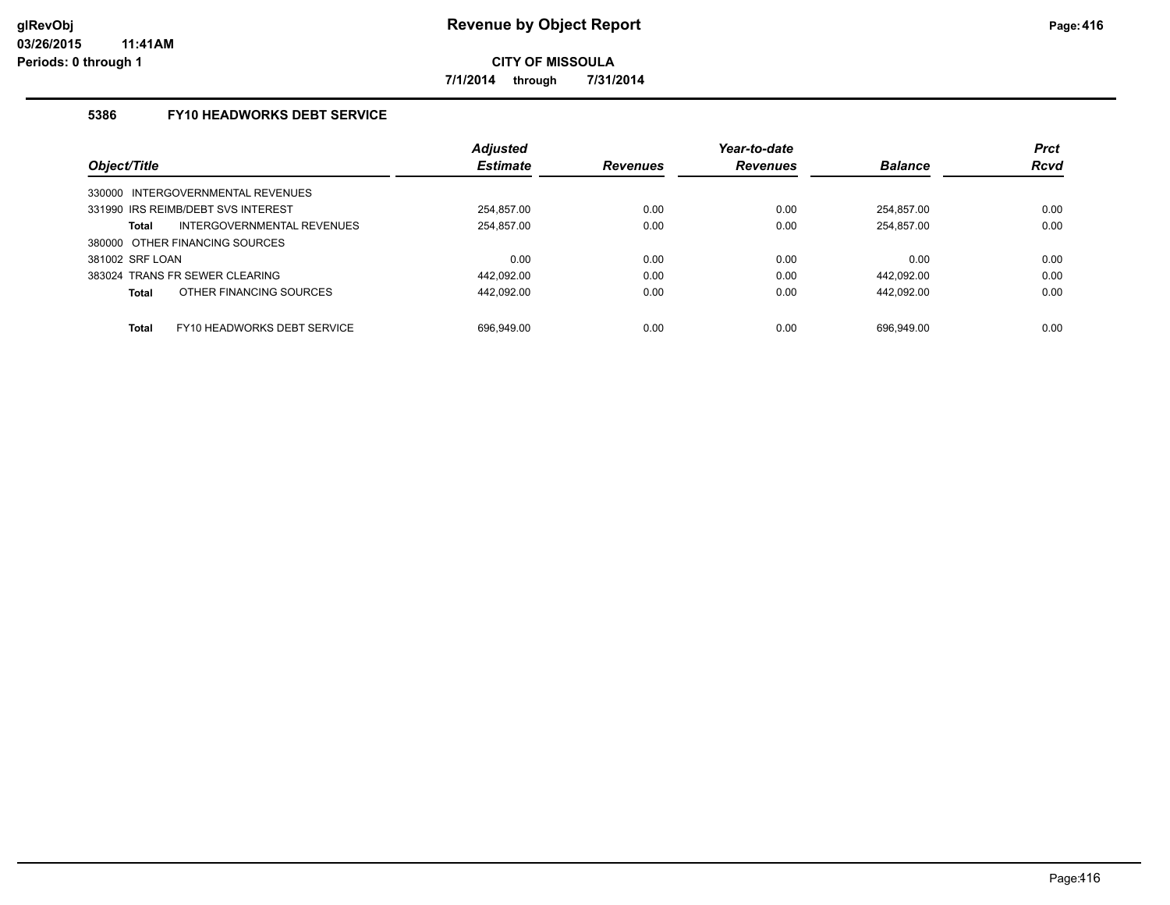**7/1/2014 through 7/31/2014**

## **5386 FY10 HEADWORKS DEBT SERVICE**

|                                |                                    | <b>Adjusted</b> |                 | Year-to-date    |                | <b>Prct</b> |
|--------------------------------|------------------------------------|-----------------|-----------------|-----------------|----------------|-------------|
| Object/Title                   |                                    | <b>Estimate</b> | <b>Revenues</b> | <b>Revenues</b> | <b>Balance</b> | <b>Rcvd</b> |
|                                | 330000 INTERGOVERNMENTAL REVENUES  |                 |                 |                 |                |             |
|                                | 331990 IRS REIMB/DEBT SVS INTEREST | 254.857.00      | 0.00            | 0.00            | 254.857.00     | 0.00        |
| Total                          | INTERGOVERNMENTAL REVENUES         | 254.857.00      | 0.00            | 0.00            | 254.857.00     | 0.00        |
| 380000 OTHER FINANCING SOURCES |                                    |                 |                 |                 |                |             |
| 381002 SRF LOAN                |                                    | 0.00            | 0.00            | 0.00            | 0.00           | 0.00        |
| 383024 TRANS FR SEWER CLEARING |                                    | 442.092.00      | 0.00            | 0.00            | 442.092.00     | 0.00        |
| <b>Total</b>                   | OTHER FINANCING SOURCES            | 442.092.00      | 0.00            | 0.00            | 442.092.00     | 0.00        |
|                                |                                    |                 |                 |                 |                |             |
| <b>Total</b>                   | FY10 HEADWORKS DEBT SERVICE        | 696.949.00      | 0.00            | 0.00            | 696.949.00     | 0.00        |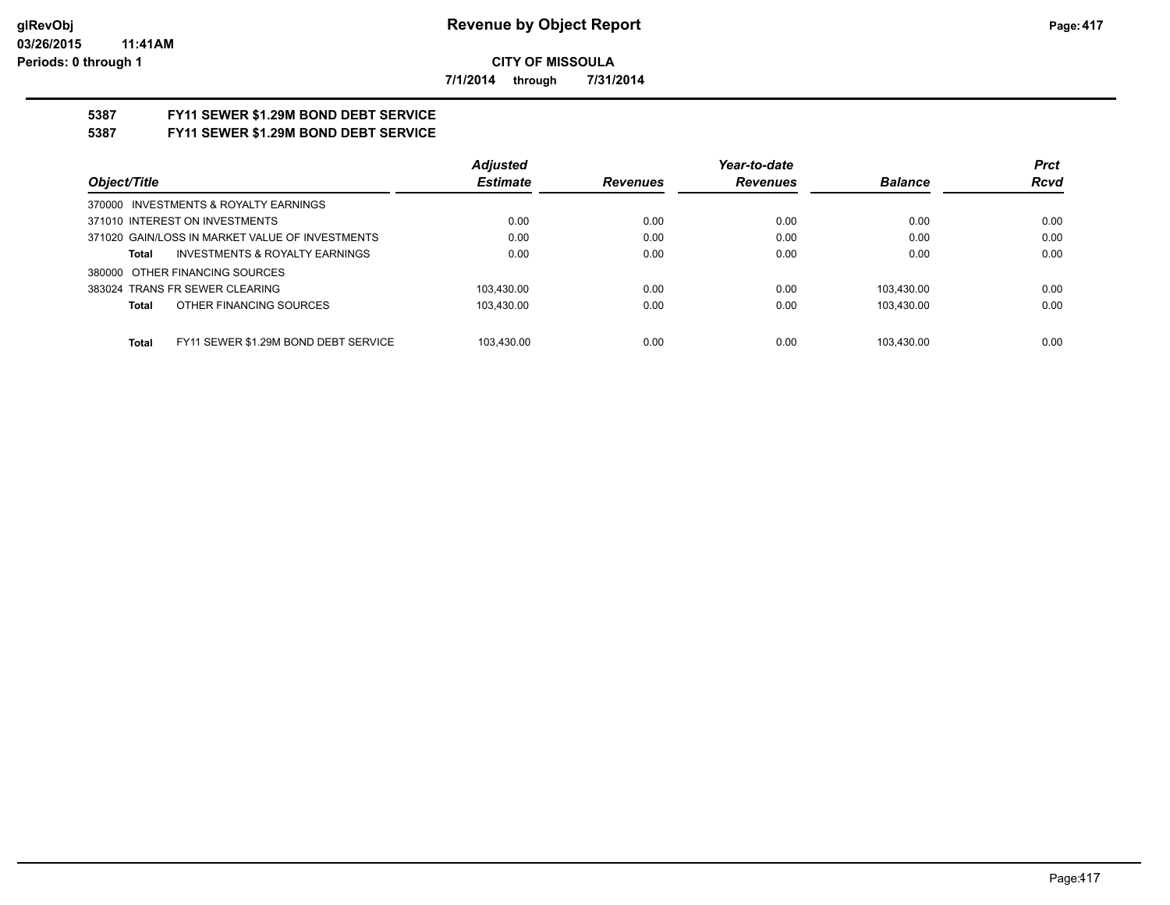**7/1/2014 through 7/31/2014**

# **5387 FY11 SEWER \$1.29M BOND DEBT SERVICE**

## **5387 FY11 SEWER \$1.29M BOND DEBT SERVICE**

|                                                      | <b>Adjusted</b> |                 | Year-to-date    |                | <b>Prct</b> |
|------------------------------------------------------|-----------------|-----------------|-----------------|----------------|-------------|
| Object/Title                                         | <b>Estimate</b> | <b>Revenues</b> | <b>Revenues</b> | <b>Balance</b> | <b>Rcvd</b> |
| 370000 INVESTMENTS & ROYALTY EARNINGS                |                 |                 |                 |                |             |
| 371010 INTEREST ON INVESTMENTS                       | 0.00            | 0.00            | 0.00            | 0.00           | 0.00        |
| 371020 GAIN/LOSS IN MARKET VALUE OF INVESTMENTS      | 0.00            | 0.00            | 0.00            | 0.00           | 0.00        |
| INVESTMENTS & ROYALTY EARNINGS<br>Total              | 0.00            | 0.00            | 0.00            | 0.00           | 0.00        |
| 380000 OTHER FINANCING SOURCES                       |                 |                 |                 |                |             |
| 383024 TRANS FR SEWER CLEARING                       | 103.430.00      | 0.00            | 0.00            | 103.430.00     | 0.00        |
| OTHER FINANCING SOURCES<br>Total                     | 103.430.00      | 0.00            | 0.00            | 103.430.00     | 0.00        |
|                                                      |                 |                 |                 |                |             |
| FY11 SEWER \$1.29M BOND DEBT SERVICE<br><b>Total</b> | 103.430.00      | 0.00            | 0.00            | 103.430.00     | 0.00        |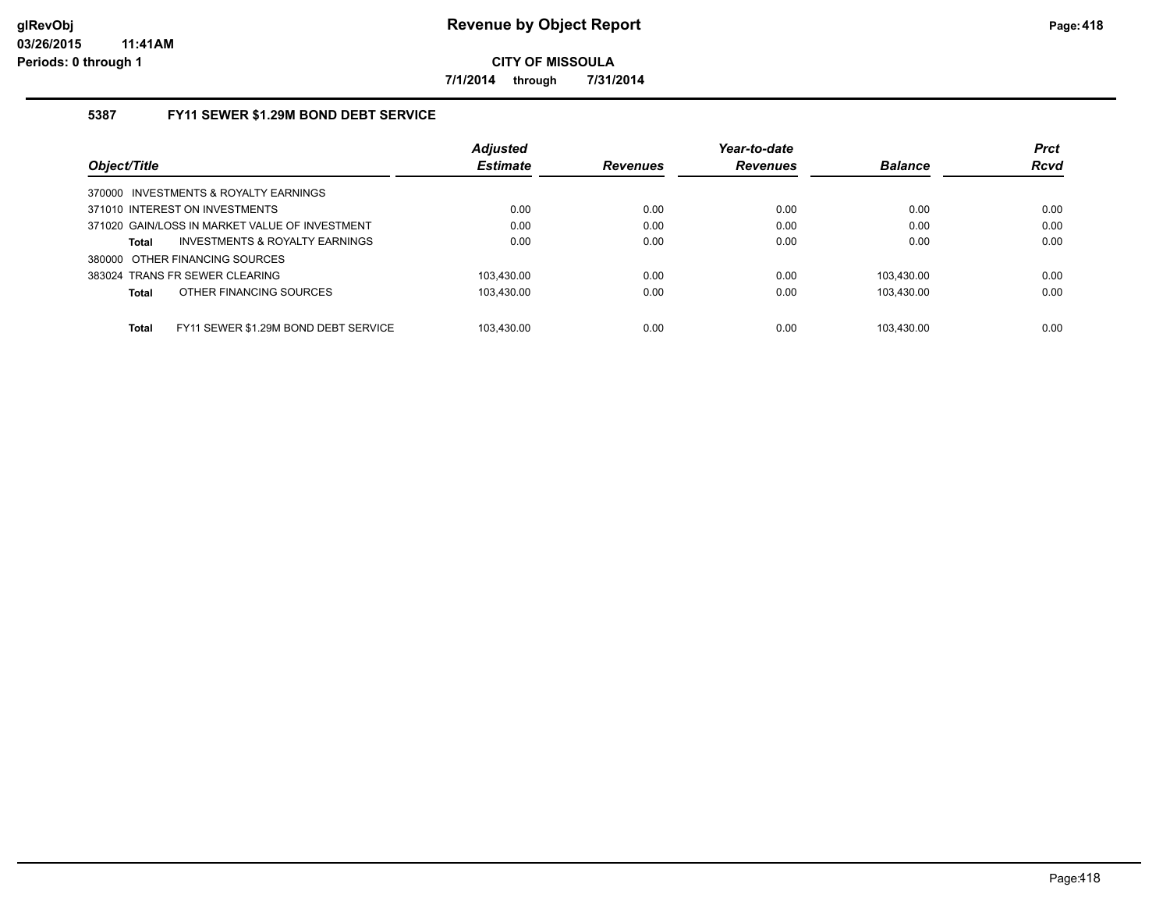**7/1/2014 through 7/31/2014**

## **5387 FY11 SEWER \$1.29M BOND DEBT SERVICE**

|                                                      | <b>Adjusted</b> |                 | Year-to-date    |                | <b>Prct</b> |
|------------------------------------------------------|-----------------|-----------------|-----------------|----------------|-------------|
| Object/Title                                         | <b>Estimate</b> | <b>Revenues</b> | <b>Revenues</b> | <b>Balance</b> | <b>Rcvd</b> |
| 370000 INVESTMENTS & ROYALTY EARNINGS                |                 |                 |                 |                |             |
| 371010 INTEREST ON INVESTMENTS                       | 0.00            | 0.00            | 0.00            | 0.00           | 0.00        |
| 371020 GAIN/LOSS IN MARKET VALUE OF INVESTMENT       | 0.00            | 0.00            | 0.00            | 0.00           | 0.00        |
| INVESTMENTS & ROYALTY EARNINGS<br><b>Total</b>       | 0.00            | 0.00            | 0.00            | 0.00           | 0.00        |
| 380000 OTHER FINANCING SOURCES                       |                 |                 |                 |                |             |
| 383024 TRANS FR SEWER CLEARING                       | 103.430.00      | 0.00            | 0.00            | 103.430.00     | 0.00        |
| OTHER FINANCING SOURCES<br><b>Total</b>              | 103.430.00      | 0.00            | 0.00            | 103.430.00     | 0.00        |
|                                                      |                 |                 |                 |                |             |
| FY11 SEWER \$1.29M BOND DEBT SERVICE<br><b>Total</b> | 103.430.00      | 0.00            | 0.00            | 103.430.00     | 0.00        |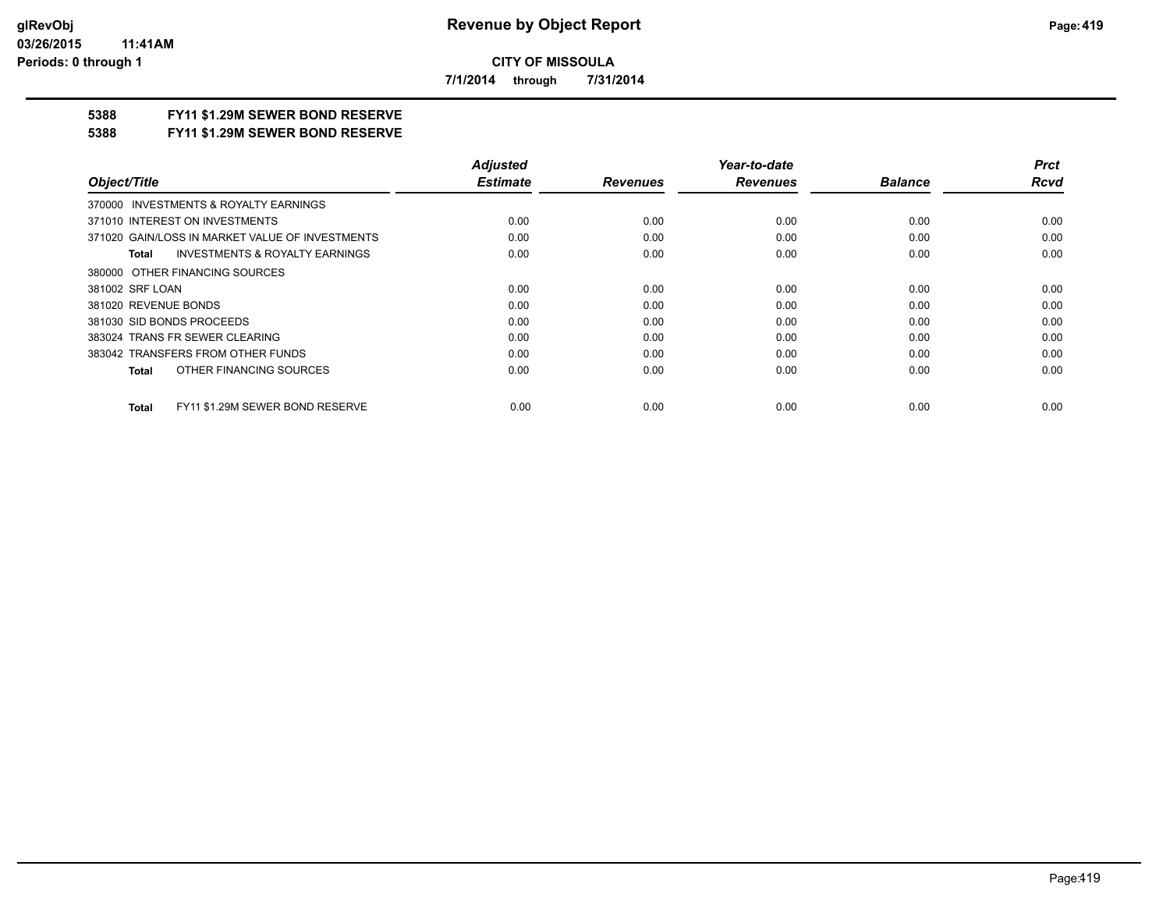**7/1/2014 through 7/31/2014**

## **5388 FY11 \$1.29M SEWER BOND RESERVE**

#### **5388 FY11 \$1.29M SEWER BOND RESERVE**

|                                                    | <b>Adjusted</b> |                 | Year-to-date    |                | <b>Prct</b> |
|----------------------------------------------------|-----------------|-----------------|-----------------|----------------|-------------|
| Object/Title                                       | <b>Estimate</b> | <b>Revenues</b> | <b>Revenues</b> | <b>Balance</b> | <b>Rcvd</b> |
| 370000 INVESTMENTS & ROYALTY EARNINGS              |                 |                 |                 |                |             |
| 371010 INTEREST ON INVESTMENTS                     | 0.00            | 0.00            | 0.00            | 0.00           | 0.00        |
| 371020 GAIN/LOSS IN MARKET VALUE OF INVESTMENTS    | 0.00            | 0.00            | 0.00            | 0.00           | 0.00        |
| <b>INVESTMENTS &amp; ROYALTY EARNINGS</b><br>Total | 0.00            | 0.00            | 0.00            | 0.00           | 0.00        |
| 380000 OTHER FINANCING SOURCES                     |                 |                 |                 |                |             |
| 381002 SRF LOAN                                    | 0.00            | 0.00            | 0.00            | 0.00           | 0.00        |
| 381020 REVENUE BONDS                               | 0.00            | 0.00            | 0.00            | 0.00           | 0.00        |
| 381030 SID BONDS PROCEEDS                          | 0.00            | 0.00            | 0.00            | 0.00           | 0.00        |
| 383024 TRANS FR SEWER CLEARING                     | 0.00            | 0.00            | 0.00            | 0.00           | 0.00        |
| 383042 TRANSFERS FROM OTHER FUNDS                  | 0.00            | 0.00            | 0.00            | 0.00           | 0.00        |
| OTHER FINANCING SOURCES<br>Total                   | 0.00            | 0.00            | 0.00            | 0.00           | 0.00        |
| FY11 \$1.29M SEWER BOND RESERVE<br><b>Total</b>    | 0.00            | 0.00            | 0.00            | 0.00           | 0.00        |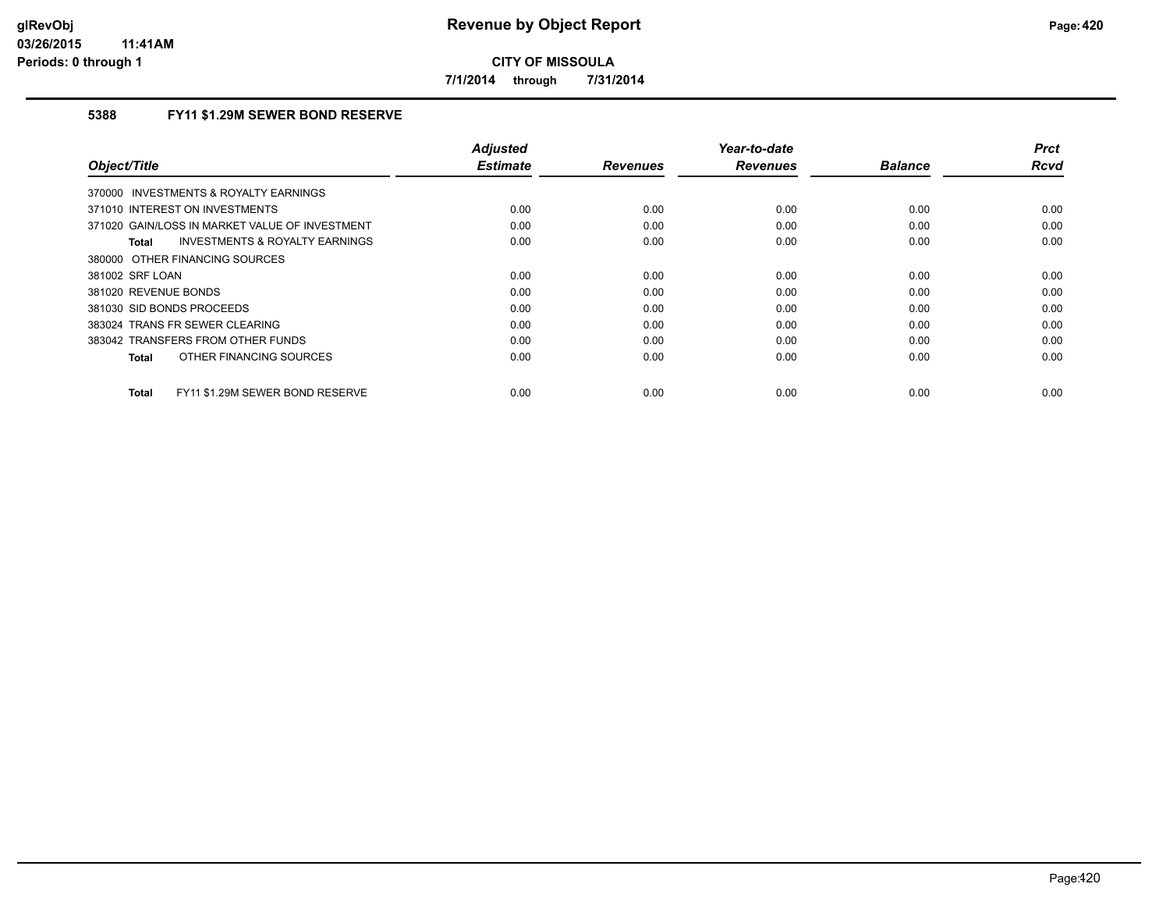**7/1/2014 through 7/31/2014**

## **5388 FY11 \$1.29M SEWER BOND RESERVE**

|                                                    | <b>Adjusted</b> |                 | Year-to-date    |                | <b>Prct</b> |
|----------------------------------------------------|-----------------|-----------------|-----------------|----------------|-------------|
| Object/Title                                       | <b>Estimate</b> | <b>Revenues</b> | <b>Revenues</b> | <b>Balance</b> | <b>Rcvd</b> |
| 370000 INVESTMENTS & ROYALTY EARNINGS              |                 |                 |                 |                |             |
| 371010 INTEREST ON INVESTMENTS                     | 0.00            | 0.00            | 0.00            | 0.00           | 0.00        |
| 371020 GAIN/LOSS IN MARKET VALUE OF INVESTMENT     | 0.00            | 0.00            | 0.00            | 0.00           | 0.00        |
| <b>INVESTMENTS &amp; ROYALTY EARNINGS</b><br>Total | 0.00            | 0.00            | 0.00            | 0.00           | 0.00        |
| 380000 OTHER FINANCING SOURCES                     |                 |                 |                 |                |             |
| 381002 SRF LOAN                                    | 0.00            | 0.00            | 0.00            | 0.00           | 0.00        |
| 381020 REVENUE BONDS                               | 0.00            | 0.00            | 0.00            | 0.00           | 0.00        |
| 381030 SID BONDS PROCEEDS                          | 0.00            | 0.00            | 0.00            | 0.00           | 0.00        |
| 383024 TRANS FR SEWER CLEARING                     | 0.00            | 0.00            | 0.00            | 0.00           | 0.00        |
| 383042 TRANSFERS FROM OTHER FUNDS                  | 0.00            | 0.00            | 0.00            | 0.00           | 0.00        |
| OTHER FINANCING SOURCES<br>Total                   | 0.00            | 0.00            | 0.00            | 0.00           | 0.00        |
| FY11 \$1.29M SEWER BOND RESERVE<br><b>Total</b>    | 0.00            | 0.00            | 0.00            | 0.00           | 0.00        |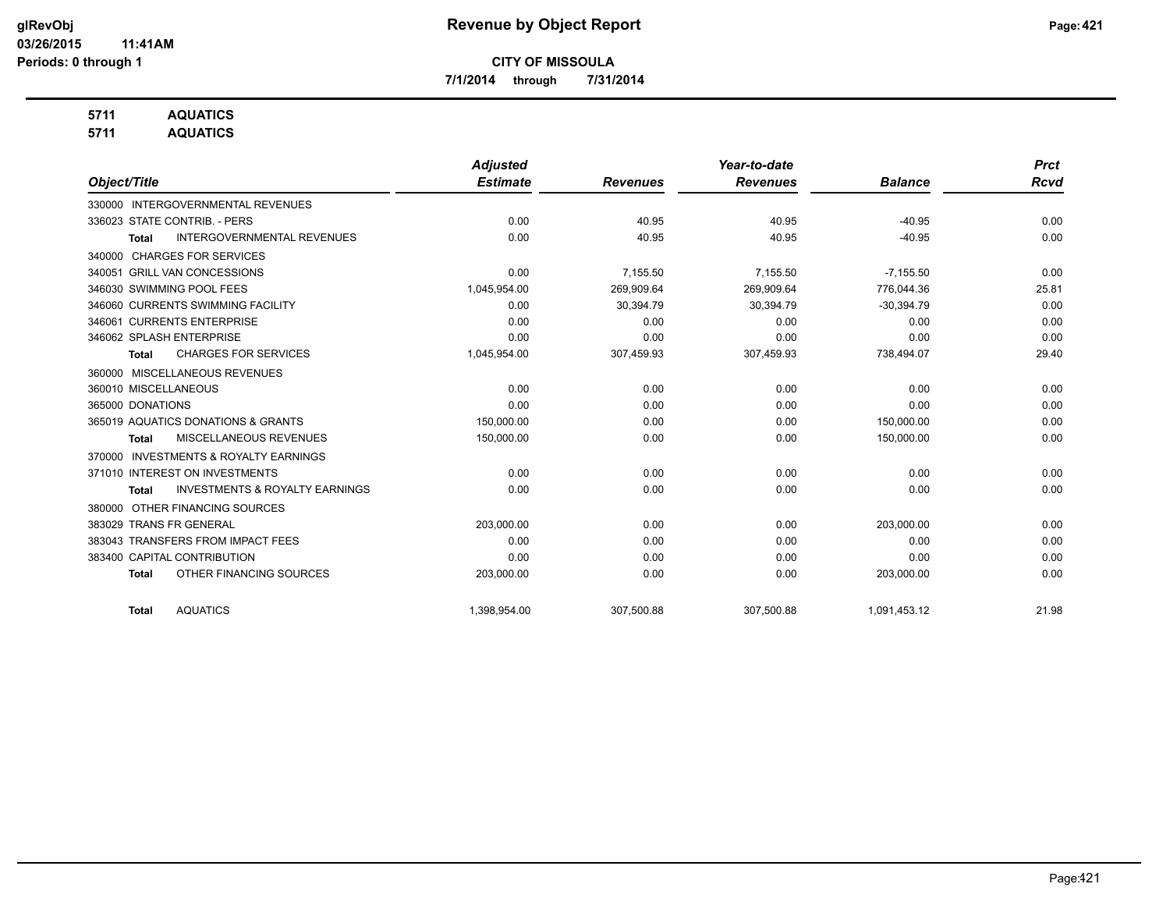**7/1/2014 through 7/31/2014**

## **5711 AQUATICS**

**5711 AQUATICS**

|                                                           | <b>Adjusted</b> |                 | Year-to-date    |                | <b>Prct</b> |
|-----------------------------------------------------------|-----------------|-----------------|-----------------|----------------|-------------|
| Object/Title                                              | <b>Estimate</b> | <b>Revenues</b> | <b>Revenues</b> | <b>Balance</b> | <b>Rcvd</b> |
| <b>INTERGOVERNMENTAL REVENUES</b><br>330000               |                 |                 |                 |                |             |
| 336023 STATE CONTRIB. - PERS                              | 0.00            | 40.95           | 40.95           | $-40.95$       | 0.00        |
| <b>INTERGOVERNMENTAL REVENUES</b><br><b>Total</b>         | 0.00            | 40.95           | 40.95           | $-40.95$       | 0.00        |
| <b>CHARGES FOR SERVICES</b><br>340000                     |                 |                 |                 |                |             |
| 340051 GRILL VAN CONCESSIONS                              | 0.00            | 7,155.50        | 7,155.50        | $-7,155.50$    | 0.00        |
| 346030 SWIMMING POOL FEES                                 | 1,045,954.00    | 269,909.64      | 269.909.64      | 776.044.36     | 25.81       |
| 346060 CURRENTS SWIMMING FACILITY                         | 0.00            | 30,394.79       | 30,394.79       | $-30,394.79$   | 0.00        |
| 346061 CURRENTS ENTERPRISE                                | 0.00            | 0.00            | 0.00            | 0.00           | 0.00        |
| 346062 SPLASH ENTERPRISE                                  | 0.00            | 0.00            | 0.00            | 0.00           | 0.00        |
| <b>CHARGES FOR SERVICES</b><br><b>Total</b>               | 1,045,954.00    | 307,459.93      | 307,459.93      | 738,494.07     | 29.40       |
| 360000 MISCELLANEOUS REVENUES                             |                 |                 |                 |                |             |
| 360010 MISCELLANEOUS                                      | 0.00            | 0.00            | 0.00            | 0.00           | 0.00        |
| 365000 DONATIONS                                          | 0.00            | 0.00            | 0.00            | 0.00           | 0.00        |
| 365019 AQUATICS DONATIONS & GRANTS                        | 150,000.00      | 0.00            | 0.00            | 150,000.00     | 0.00        |
| MISCELLANEOUS REVENUES<br><b>Total</b>                    | 150,000.00      | 0.00            | 0.00            | 150,000.00     | 0.00        |
| <b>INVESTMENTS &amp; ROYALTY EARNINGS</b><br>370000       |                 |                 |                 |                |             |
| 371010 INTEREST ON INVESTMENTS                            | 0.00            | 0.00            | 0.00            | 0.00           | 0.00        |
| <b>INVESTMENTS &amp; ROYALTY EARNINGS</b><br><b>Total</b> | 0.00            | 0.00            | 0.00            | 0.00           | 0.00        |
| OTHER FINANCING SOURCES<br>380000                         |                 |                 |                 |                |             |
| 383029 TRANS FR GENERAL                                   | 203,000.00      | 0.00            | 0.00            | 203,000.00     | 0.00        |
| 383043 TRANSFERS FROM IMPACT FEES                         | 0.00            | 0.00            | 0.00            | 0.00           | 0.00        |
| 383400 CAPITAL CONTRIBUTION                               | 0.00            | 0.00            | 0.00            | 0.00           | 0.00        |
| OTHER FINANCING SOURCES<br><b>Total</b>                   | 203,000.00      | 0.00            | 0.00            | 203,000.00     | 0.00        |
| <b>AQUATICS</b><br><b>Total</b>                           | 1,398,954.00    | 307,500.88      | 307,500.88      | 1,091,453.12   | 21.98       |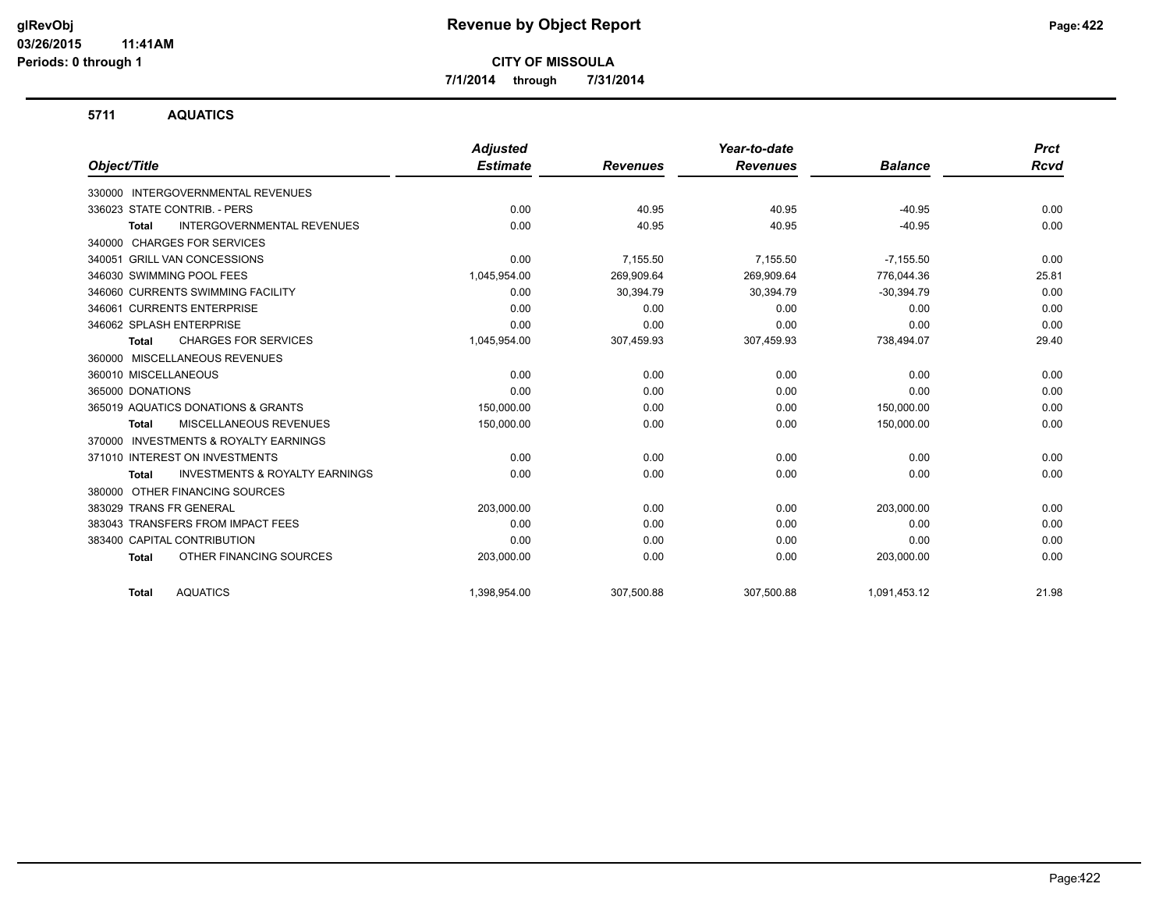**7/1/2014 through 7/31/2014**

#### **5711 AQUATICS**

|                                                           | <b>Adjusted</b> |                 | Year-to-date    |                | <b>Prct</b> |
|-----------------------------------------------------------|-----------------|-----------------|-----------------|----------------|-------------|
| Object/Title                                              | <b>Estimate</b> | <b>Revenues</b> | <b>Revenues</b> | <b>Balance</b> | Rcvd        |
| INTERGOVERNMENTAL REVENUES<br>330000                      |                 |                 |                 |                |             |
| 336023 STATE CONTRIB. - PERS                              | 0.00            | 40.95           | 40.95           | $-40.95$       | 0.00        |
| <b>INTERGOVERNMENTAL REVENUES</b><br><b>Total</b>         | 0.00            | 40.95           | 40.95           | $-40.95$       | 0.00        |
| <b>CHARGES FOR SERVICES</b><br>340000                     |                 |                 |                 |                |             |
| 340051 GRILL VAN CONCESSIONS                              | 0.00            | 7,155.50        | 7,155.50        | $-7,155.50$    | 0.00        |
| 346030 SWIMMING POOL FEES                                 | 1,045,954.00    | 269,909.64      | 269,909.64      | 776,044.36     | 25.81       |
| 346060 CURRENTS SWIMMING FACILITY                         | 0.00            | 30,394.79       | 30,394.79       | $-30,394.79$   | 0.00        |
| 346061 CURRENTS ENTERPRISE                                | 0.00            | 0.00            | 0.00            | 0.00           | 0.00        |
| 346062 SPLASH ENTERPRISE                                  | 0.00            | 0.00            | 0.00            | 0.00           | 0.00        |
| <b>CHARGES FOR SERVICES</b><br><b>Total</b>               | 1,045,954.00    | 307,459.93      | 307,459.93      | 738,494.07     | 29.40       |
| 360000 MISCELLANEOUS REVENUES                             |                 |                 |                 |                |             |
| 360010 MISCELLANEOUS                                      | 0.00            | 0.00            | 0.00            | 0.00           | 0.00        |
| 365000 DONATIONS                                          | 0.00            | 0.00            | 0.00            | 0.00           | 0.00        |
| 365019 AQUATICS DONATIONS & GRANTS                        | 150.000.00      | 0.00            | 0.00            | 150,000.00     | 0.00        |
| MISCELLANEOUS REVENUES<br><b>Total</b>                    | 150,000.00      | 0.00            | 0.00            | 150,000.00     | 0.00        |
| <b>INVESTMENTS &amp; ROYALTY EARNINGS</b><br>370000       |                 |                 |                 |                |             |
| 371010 INTEREST ON INVESTMENTS                            | 0.00            | 0.00            | 0.00            | 0.00           | 0.00        |
| <b>INVESTMENTS &amp; ROYALTY EARNINGS</b><br><b>Total</b> | 0.00            | 0.00            | 0.00            | 0.00           | 0.00        |
| OTHER FINANCING SOURCES<br>380000                         |                 |                 |                 |                |             |
| 383029 TRANS FR GENERAL                                   | 203,000.00      | 0.00            | 0.00            | 203,000.00     | 0.00        |
| 383043 TRANSFERS FROM IMPACT FEES                         | 0.00            | 0.00            | 0.00            | 0.00           | 0.00        |
| 383400 CAPITAL CONTRIBUTION                               | 0.00            | 0.00            | 0.00            | 0.00           | 0.00        |
| OTHER FINANCING SOURCES<br><b>Total</b>                   | 203,000.00      | 0.00            | 0.00            | 203,000.00     | 0.00        |
| <b>AQUATICS</b><br><b>Total</b>                           | 1,398,954.00    | 307,500.88      | 307,500.88      | 1,091,453.12   | 21.98       |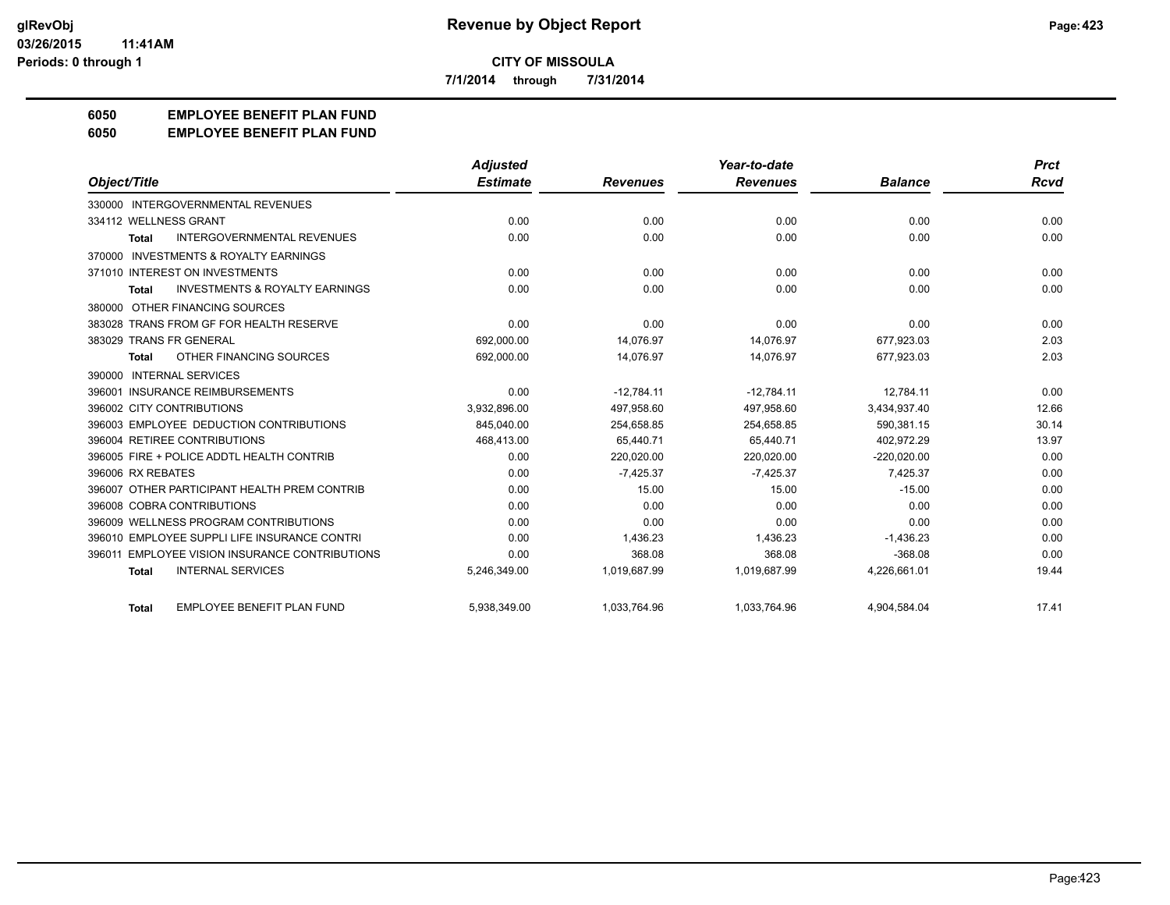**7/1/2014 through 7/31/2014**

# **6050 EMPLOYEE BENEFIT PLAN FUND**

#### **6050 EMPLOYEE BENEFIT PLAN FUND**

|                                                           | <b>Adjusted</b> |                 | Year-to-date    |                | <b>Prct</b> |
|-----------------------------------------------------------|-----------------|-----------------|-----------------|----------------|-------------|
| Object/Title                                              | <b>Estimate</b> | <b>Revenues</b> | <b>Revenues</b> | <b>Balance</b> | <b>Rcvd</b> |
| 330000 INTERGOVERNMENTAL REVENUES                         |                 |                 |                 |                |             |
| 334112 WELLNESS GRANT                                     | 0.00            | 0.00            | 0.00            | 0.00           | 0.00        |
| <b>INTERGOVERNMENTAL REVENUES</b><br><b>Total</b>         | 0.00            | 0.00            | 0.00            | 0.00           | 0.00        |
| 370000 INVESTMENTS & ROYALTY EARNINGS                     |                 |                 |                 |                |             |
| 371010 INTEREST ON INVESTMENTS                            | 0.00            | 0.00            | 0.00            | 0.00           | 0.00        |
| <b>INVESTMENTS &amp; ROYALTY EARNINGS</b><br><b>Total</b> | 0.00            | 0.00            | 0.00            | 0.00           | 0.00        |
| 380000 OTHER FINANCING SOURCES                            |                 |                 |                 |                |             |
| 383028 TRANS FROM GF FOR HEALTH RESERVE                   | 0.00            | 0.00            | 0.00            | 0.00           | 0.00        |
| 383029 TRANS FR GENERAL                                   | 692,000.00      | 14,076.97       | 14,076.97       | 677,923.03     | 2.03        |
| OTHER FINANCING SOURCES<br><b>Total</b>                   | 692,000.00      | 14,076.97       | 14,076.97       | 677,923.03     | 2.03        |
| 390000 INTERNAL SERVICES                                  |                 |                 |                 |                |             |
| <b>INSURANCE REIMBURSEMENTS</b><br>396001                 | 0.00            | $-12.784.11$    | $-12.784.11$    | 12.784.11      | 0.00        |
| 396002 CITY CONTRIBUTIONS                                 | 3.932.896.00    | 497.958.60      | 497.958.60      | 3.434.937.40   | 12.66       |
| 396003 EMPLOYEE DEDUCTION CONTRIBUTIONS                   | 845,040.00      | 254,658.85      | 254,658.85      | 590,381.15     | 30.14       |
| 396004 RETIREE CONTRIBUTIONS                              | 468,413.00      | 65,440.71       | 65,440.71       | 402,972.29     | 13.97       |
| 396005 FIRE + POLICE ADDTL HEALTH CONTRIB                 | 0.00            | 220,020.00      | 220,020.00      | $-220,020.00$  | 0.00        |
| 396006 RX REBATES                                         | 0.00            | $-7,425.37$     | $-7,425.37$     | 7,425.37       | 0.00        |
| 396007 OTHER PARTICIPANT HEALTH PREM CONTRIB              | 0.00            | 15.00           | 15.00           | $-15.00$       | 0.00        |
| 396008 COBRA CONTRIBUTIONS                                | 0.00            | 0.00            | 0.00            | 0.00           | 0.00        |
| 396009 WELLNESS PROGRAM CONTRIBUTIONS                     | 0.00            | 0.00            | 0.00            | 0.00           | 0.00        |
| 396010 EMPLOYEE SUPPLI LIFE INSURANCE CONTRI              | 0.00            | 1,436.23        | 1,436.23        | $-1,436.23$    | 0.00        |
| <b>EMPLOYEE VISION INSURANCE CONTRIBUTIONS</b><br>396011  | 0.00            | 368.08          | 368.08          | $-368.08$      | 0.00        |
| <b>INTERNAL SERVICES</b><br><b>Total</b>                  | 5,246,349.00    | 1,019,687.99    | 1,019,687.99    | 4,226,661.01   | 19.44       |
| <b>EMPLOYEE BENEFIT PLAN FUND</b><br><b>Total</b>         | 5,938,349.00    | 1,033,764.96    | 1,033,764.96    | 4,904,584.04   | 17.41       |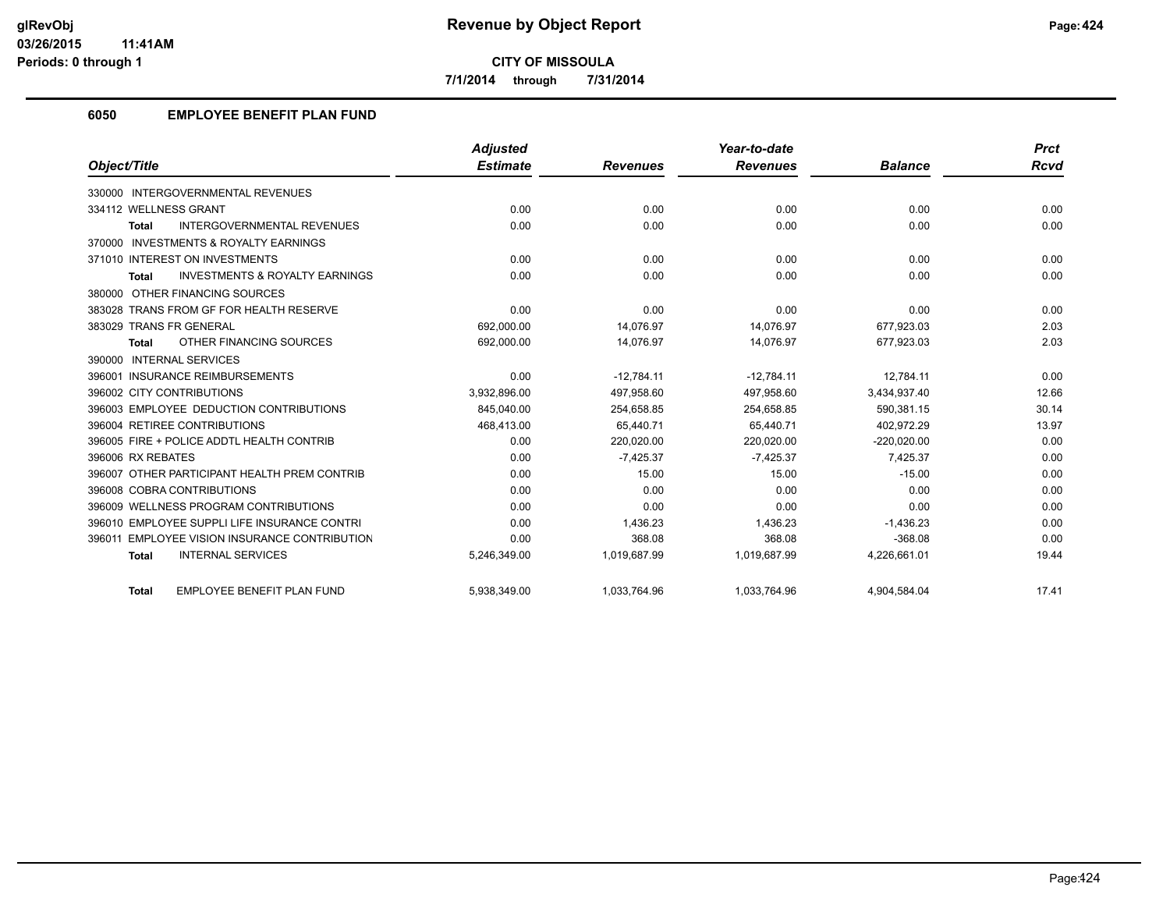**7/1/2014 through 7/31/2014**

## **6050 EMPLOYEE BENEFIT PLAN FUND**

|                                                           | <b>Adjusted</b> |                 | Year-to-date    |                | <b>Prct</b> |
|-----------------------------------------------------------|-----------------|-----------------|-----------------|----------------|-------------|
| Object/Title                                              | <b>Estimate</b> | <b>Revenues</b> | <b>Revenues</b> | <b>Balance</b> | <b>Rcvd</b> |
| 330000 INTERGOVERNMENTAL REVENUES                         |                 |                 |                 |                |             |
| 334112 WELLNESS GRANT                                     | 0.00            | 0.00            | 0.00            | 0.00           | 0.00        |
| <b>INTERGOVERNMENTAL REVENUES</b><br><b>Total</b>         | 0.00            | 0.00            | 0.00            | 0.00           | 0.00        |
| 370000 INVESTMENTS & ROYALTY EARNINGS                     |                 |                 |                 |                |             |
| 371010 INTEREST ON INVESTMENTS                            | 0.00            | 0.00            | 0.00            | 0.00           | 0.00        |
| <b>INVESTMENTS &amp; ROYALTY EARNINGS</b><br><b>Total</b> | 0.00            | 0.00            | 0.00            | 0.00           | 0.00        |
| 380000 OTHER FINANCING SOURCES                            |                 |                 |                 |                |             |
| 383028 TRANS FROM GF FOR HEALTH RESERVE                   | 0.00            | 0.00            | 0.00            | 0.00           | 0.00        |
| 383029 TRANS FR GENERAL                                   | 692,000.00      | 14.076.97       | 14,076.97       | 677,923.03     | 2.03        |
| OTHER FINANCING SOURCES<br><b>Total</b>                   | 692,000.00      | 14,076.97       | 14,076.97       | 677,923.03     | 2.03        |
| <b>INTERNAL SERVICES</b><br>390000                        |                 |                 |                 |                |             |
| 396001 INSURANCE REIMBURSEMENTS                           | 0.00            | $-12.784.11$    | $-12.784.11$    | 12.784.11      | 0.00        |
| 396002 CITY CONTRIBUTIONS                                 | 3.932.896.00    | 497.958.60      | 497.958.60      | 3.434.937.40   | 12.66       |
| 396003 EMPLOYEE DEDUCTION CONTRIBUTIONS                   | 845,040.00      | 254,658.85      | 254,658.85      | 590,381.15     | 30.14       |
| 396004 RETIREE CONTRIBUTIONS                              | 468,413.00      | 65.440.71       | 65.440.71       | 402.972.29     | 13.97       |
| 396005 FIRE + POLICE ADDTL HEALTH CONTRIB                 | 0.00            | 220,020.00      | 220,020.00      | $-220,020.00$  | 0.00        |
| 396006 RX REBATES                                         | 0.00            | $-7,425.37$     | $-7,425.37$     | 7,425.37       | 0.00        |
| 396007 OTHER PARTICIPANT HEALTH PREM CONTRIB              | 0.00            | 15.00           | 15.00           | $-15.00$       | 0.00        |
| 396008 COBRA CONTRIBUTIONS                                | 0.00            | 0.00            | 0.00            | 0.00           | 0.00        |
| 396009 WELLNESS PROGRAM CONTRIBUTIONS                     | 0.00            | 0.00            | 0.00            | 0.00           | 0.00        |
| 396010 EMPLOYEE SUPPLI LIFE INSURANCE CONTRI              | 0.00            | 1,436.23        | 1,436.23        | $-1,436.23$    | 0.00        |
| 396011 EMPLOYEE VISION INSURANCE CONTRIBUTION             | 0.00            | 368.08          | 368.08          | $-368.08$      | 0.00        |
| <b>INTERNAL SERVICES</b><br><b>Total</b>                  | 5,246,349.00    | 1,019,687.99    | 1,019,687.99    | 4,226,661.01   | 19.44       |
| <b>EMPLOYEE BENEFIT PLAN FUND</b><br><b>Total</b>         | 5,938,349.00    | 1,033,764.96    | 1,033,764.96    | 4,904,584.04   | 17.41       |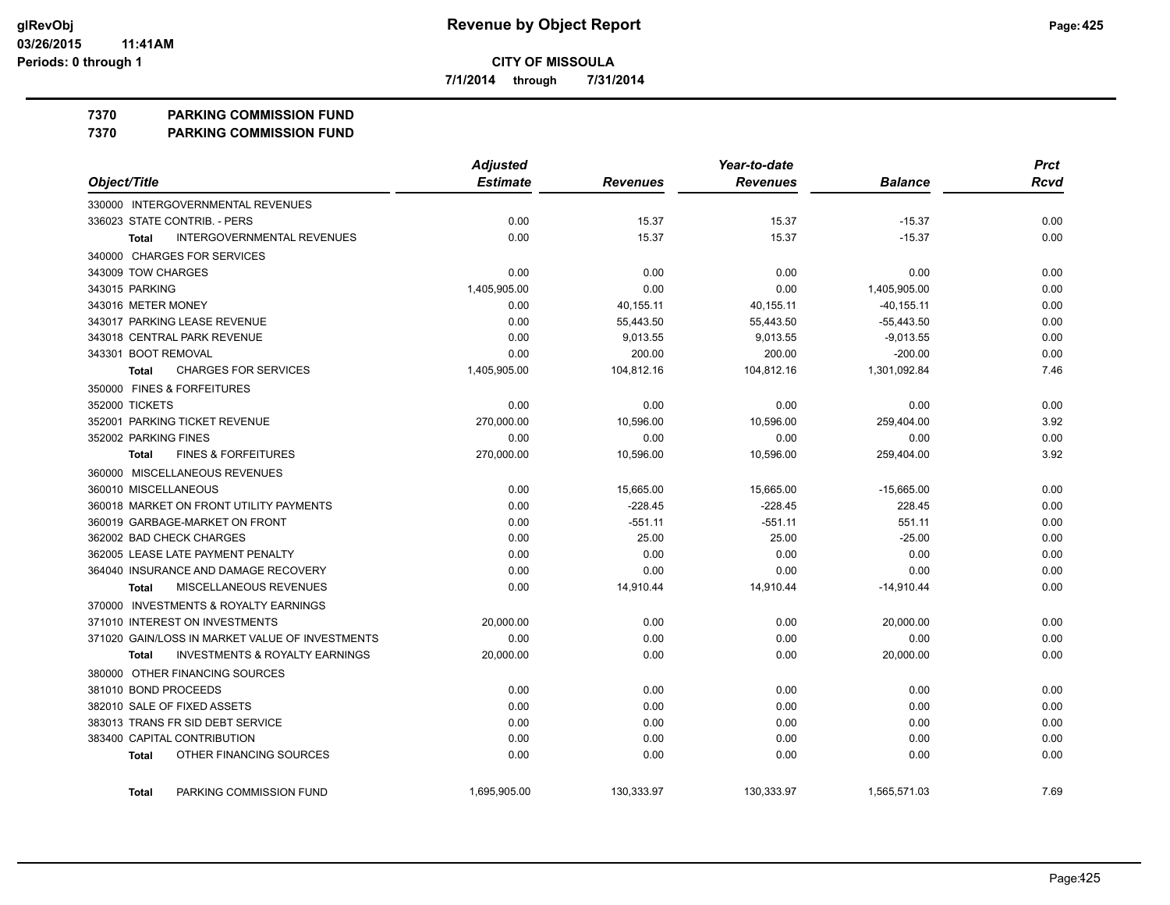**7/1/2014 through 7/31/2014**

#### **7370 PARKING COMMISSION FUND**

**7370 PARKING COMMISSION FUND**

|                                                    | <b>Adjusted</b> |                 | Year-to-date    |                | <b>Prct</b> |
|----------------------------------------------------|-----------------|-----------------|-----------------|----------------|-------------|
| Object/Title                                       | <b>Estimate</b> | <b>Revenues</b> | <b>Revenues</b> | <b>Balance</b> | <b>Rcvd</b> |
| 330000 INTERGOVERNMENTAL REVENUES                  |                 |                 |                 |                |             |
| 336023 STATE CONTRIB. - PERS                       | 0.00            | 15.37           | 15.37           | $-15.37$       | 0.00        |
| <b>INTERGOVERNMENTAL REVENUES</b><br><b>Total</b>  | 0.00            | 15.37           | 15.37           | $-15.37$       | 0.00        |
| 340000 CHARGES FOR SERVICES                        |                 |                 |                 |                |             |
| 343009 TOW CHARGES                                 | 0.00            | 0.00            | 0.00            | 0.00           | 0.00        |
| 343015 PARKING                                     | 1,405,905.00    | 0.00            | 0.00            | 1,405,905.00   | 0.00        |
| 343016 METER MONEY                                 | 0.00            | 40,155.11       | 40,155.11       | $-40, 155.11$  | 0.00        |
| 343017 PARKING LEASE REVENUE                       | 0.00            | 55,443.50       | 55,443.50       | $-55,443.50$   | 0.00        |
| 343018 CENTRAL PARK REVENUE                        | 0.00            | 9,013.55        | 9,013.55        | $-9,013.55$    | 0.00        |
| 343301 BOOT REMOVAL                                | 0.00            | 200.00          | 200.00          | $-200.00$      | 0.00        |
| <b>CHARGES FOR SERVICES</b><br><b>Total</b>        | 1,405,905.00    | 104,812.16      | 104,812.16      | 1,301,092.84   | 7.46        |
| 350000 FINES & FORFEITURES                         |                 |                 |                 |                |             |
| 352000 TICKETS                                     | 0.00            | 0.00            | 0.00            | 0.00           | 0.00        |
| 352001 PARKING TICKET REVENUE                      | 270,000.00      | 10,596.00       | 10,596.00       | 259,404.00     | 3.92        |
| 352002 PARKING FINES                               | 0.00            | 0.00            | 0.00            | 0.00           | 0.00        |
| <b>FINES &amp; FORFEITURES</b><br><b>Total</b>     | 270,000.00      | 10,596.00       | 10,596.00       | 259,404.00     | 3.92        |
| 360000 MISCELLANEOUS REVENUES                      |                 |                 |                 |                |             |
| 360010 MISCELLANEOUS                               | 0.00            | 15,665.00       | 15,665.00       | $-15,665.00$   | 0.00        |
| 360018 MARKET ON FRONT UTILITY PAYMENTS            | 0.00            | $-228.45$       | $-228.45$       | 228.45         | 0.00        |
| 360019 GARBAGE-MARKET ON FRONT                     | 0.00            | $-551.11$       | $-551.11$       | 551.11         | 0.00        |
| 362002 BAD CHECK CHARGES                           | 0.00            | 25.00           | 25.00           | $-25.00$       | 0.00        |
| 362005 LEASE LATE PAYMENT PENALTY                  | 0.00            | 0.00            | 0.00            | 0.00           | 0.00        |
| 364040 INSURANCE AND DAMAGE RECOVERY               | 0.00            | 0.00            | 0.00            | 0.00           | 0.00        |
| MISCELLANEOUS REVENUES<br>Total                    | 0.00            | 14,910.44       | 14,910.44       | $-14,910.44$   | 0.00        |
| 370000 INVESTMENTS & ROYALTY EARNINGS              |                 |                 |                 |                |             |
| 371010 INTEREST ON INVESTMENTS                     | 20,000.00       | 0.00            | 0.00            | 20,000.00      | 0.00        |
| 371020 GAIN/LOSS IN MARKET VALUE OF INVESTMENTS    | 0.00            | 0.00            | 0.00            | 0.00           | 0.00        |
| <b>INVESTMENTS &amp; ROYALTY EARNINGS</b><br>Total | 20,000.00       | 0.00            | 0.00            | 20,000.00      | 0.00        |
| 380000 OTHER FINANCING SOURCES                     |                 |                 |                 |                |             |
| 381010 BOND PROCEEDS                               | 0.00            | 0.00            | 0.00            | 0.00           | 0.00        |
| 382010 SALE OF FIXED ASSETS                        | 0.00            | 0.00            | 0.00            | 0.00           | 0.00        |
| 383013 TRANS FR SID DEBT SERVICE                   | 0.00            | 0.00            | 0.00            | 0.00           | 0.00        |
| 383400 CAPITAL CONTRIBUTION                        | 0.00            | 0.00            | 0.00            | 0.00           | 0.00        |
| OTHER FINANCING SOURCES<br><b>Total</b>            | 0.00            | 0.00            | 0.00            | 0.00           | 0.00        |
| PARKING COMMISSION FUND<br><b>Total</b>            | 1,695,905.00    | 130,333.97      | 130,333.97      | 1,565,571.03   | 7.69        |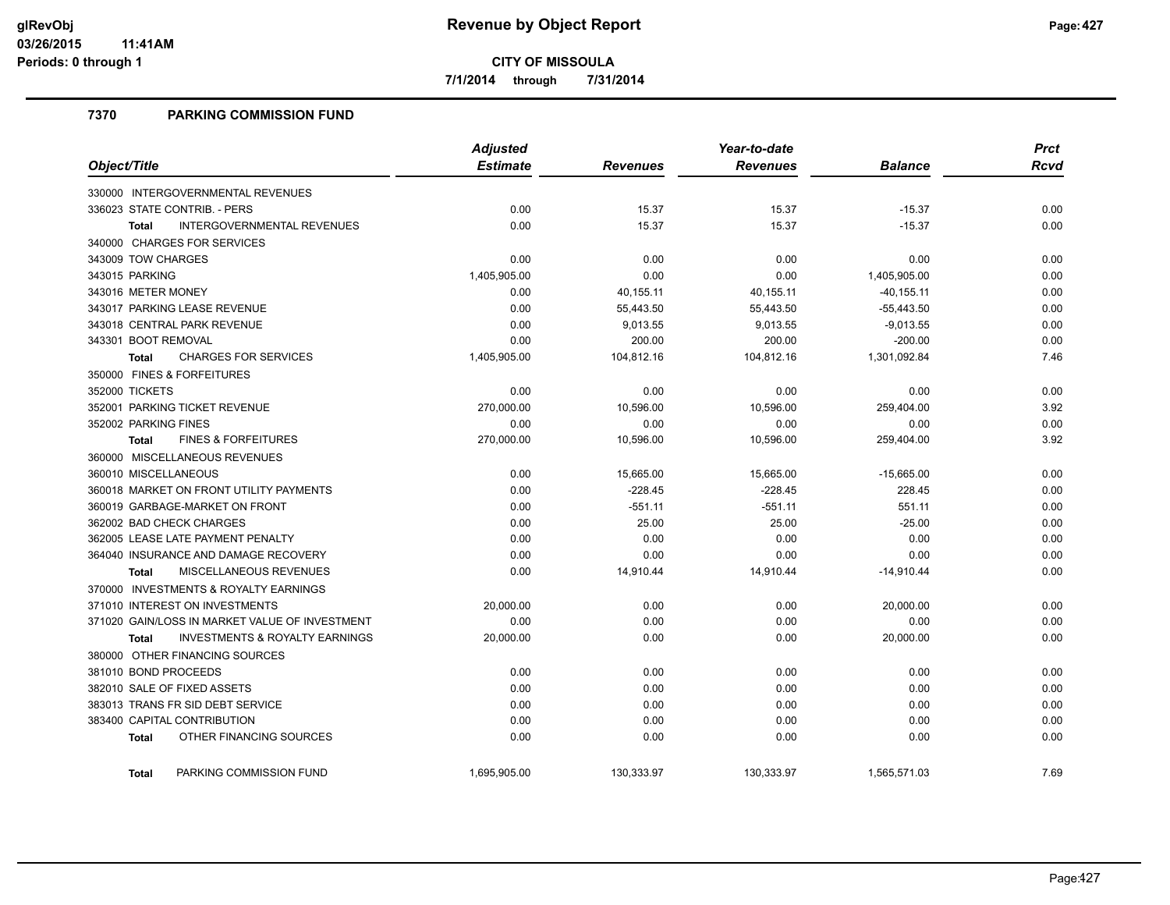**7/1/2014 through 7/31/2014**

## **7370 PARKING COMMISSION FUND**

|                                                           | <b>Adjusted</b> |                 | Year-to-date    |                | <b>Prct</b> |
|-----------------------------------------------------------|-----------------|-----------------|-----------------|----------------|-------------|
| Object/Title                                              | <b>Estimate</b> | <b>Revenues</b> | <b>Revenues</b> | <b>Balance</b> | <b>Rcvd</b> |
| 330000 INTERGOVERNMENTAL REVENUES                         |                 |                 |                 |                |             |
| 336023 STATE CONTRIB. - PERS                              | 0.00            | 15.37           | 15.37           | $-15.37$       | 0.00        |
| <b>INTERGOVERNMENTAL REVENUES</b><br><b>Total</b>         | 0.00            | 15.37           | 15.37           | $-15.37$       | 0.00        |
| 340000 CHARGES FOR SERVICES                               |                 |                 |                 |                |             |
| 343009 TOW CHARGES                                        | 0.00            | 0.00            | 0.00            | 0.00           | 0.00        |
| 343015 PARKING                                            | 1,405,905.00    | 0.00            | 0.00            | 1,405,905.00   | 0.00        |
| 343016 METER MONEY                                        | 0.00            | 40,155.11       | 40,155.11       | $-40, 155.11$  | 0.00        |
| 343017 PARKING LEASE REVENUE                              | 0.00            | 55,443.50       | 55,443.50       | $-55,443.50$   | 0.00        |
| 343018 CENTRAL PARK REVENUE                               | 0.00            | 9,013.55        | 9,013.55        | $-9,013.55$    | 0.00        |
| 343301 BOOT REMOVAL                                       | 0.00            | 200.00          | 200.00          | $-200.00$      | 0.00        |
| <b>CHARGES FOR SERVICES</b><br><b>Total</b>               | 1,405,905.00    | 104,812.16      | 104,812.16      | 1,301,092.84   | 7.46        |
| 350000 FINES & FORFEITURES                                |                 |                 |                 |                |             |
| 352000 TICKETS                                            | 0.00            | 0.00            | 0.00            | 0.00           | 0.00        |
| 352001 PARKING TICKET REVENUE                             | 270,000.00      | 10,596.00       | 10,596.00       | 259,404.00     | 3.92        |
| 352002 PARKING FINES                                      | 0.00            | 0.00            | 0.00            | 0.00           | 0.00        |
| <b>FINES &amp; FORFEITURES</b><br><b>Total</b>            | 270,000.00      | 10,596.00       | 10,596.00       | 259,404.00     | 3.92        |
| 360000 MISCELLANEOUS REVENUES                             |                 |                 |                 |                |             |
| 360010 MISCELLANEOUS                                      | 0.00            | 15,665.00       | 15,665.00       | $-15,665.00$   | 0.00        |
| 360018 MARKET ON FRONT UTILITY PAYMENTS                   | 0.00            | $-228.45$       | $-228.45$       | 228.45         | 0.00        |
| 360019 GARBAGE-MARKET ON FRONT                            | 0.00            | $-551.11$       | $-551.11$       | 551.11         | 0.00        |
| 362002 BAD CHECK CHARGES                                  | 0.00            | 25.00           | 25.00           | $-25.00$       | 0.00        |
| 362005 LEASE LATE PAYMENT PENALTY                         | 0.00            | 0.00            | 0.00            | 0.00           | 0.00        |
| 364040 INSURANCE AND DAMAGE RECOVERY                      | 0.00            | 0.00            | 0.00            | 0.00           | 0.00        |
| MISCELLANEOUS REVENUES<br><b>Total</b>                    | 0.00            | 14,910.44       | 14,910.44       | $-14,910.44$   | 0.00        |
| 370000 INVESTMENTS & ROYALTY EARNINGS                     |                 |                 |                 |                |             |
| 371010 INTEREST ON INVESTMENTS                            | 20,000.00       | 0.00            | 0.00            | 20,000.00      | 0.00        |
| 371020 GAIN/LOSS IN MARKET VALUE OF INVESTMENT            | 0.00            | 0.00            | 0.00            | 0.00           | 0.00        |
| <b>INVESTMENTS &amp; ROYALTY EARNINGS</b><br><b>Total</b> | 20,000.00       | 0.00            | 0.00            | 20,000.00      | 0.00        |
| 380000 OTHER FINANCING SOURCES                            |                 |                 |                 |                |             |
| 381010 BOND PROCEEDS                                      | 0.00            | 0.00            | 0.00            | 0.00           | 0.00        |
| 382010 SALE OF FIXED ASSETS                               | 0.00            | 0.00            | 0.00            | 0.00           | 0.00        |
| 383013 TRANS FR SID DEBT SERVICE                          | 0.00            | 0.00            | 0.00            | 0.00           | 0.00        |
| 383400 CAPITAL CONTRIBUTION                               | 0.00            | 0.00            | 0.00            | 0.00           | 0.00        |
| OTHER FINANCING SOURCES<br><b>Total</b>                   | 0.00            | 0.00            | 0.00            | 0.00           | 0.00        |
| PARKING COMMISSION FUND<br><b>Total</b>                   | 1,695,905.00    | 130,333.97      | 130,333.97      | 1,565,571.03   | 7.69        |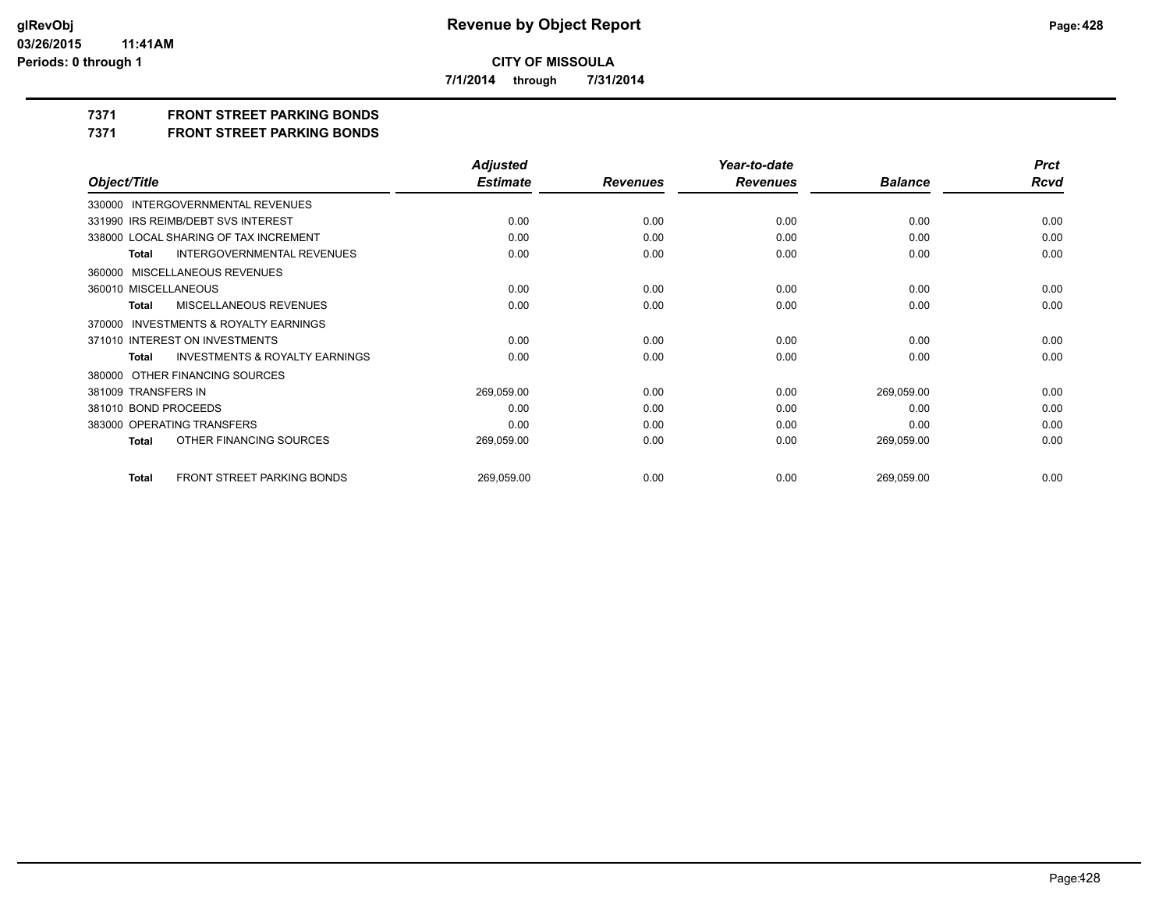**7/1/2014 through 7/31/2014**

**7371 FRONT STREET PARKING BONDS**

**7371 FRONT STREET PARKING BONDS**

|                                                    | <b>Adjusted</b> |                 | Year-to-date    |                | <b>Prct</b> |
|----------------------------------------------------|-----------------|-----------------|-----------------|----------------|-------------|
| Object/Title                                       | <b>Estimate</b> | <b>Revenues</b> | <b>Revenues</b> | <b>Balance</b> | <b>Rcvd</b> |
| 330000 INTERGOVERNMENTAL REVENUES                  |                 |                 |                 |                |             |
| 331990 IRS REIMB/DEBT SVS INTEREST                 | 0.00            | 0.00            | 0.00            | 0.00           | 0.00        |
| 338000 LOCAL SHARING OF TAX INCREMENT              | 0.00            | 0.00            | 0.00            | 0.00           | 0.00        |
| <b>INTERGOVERNMENTAL REVENUES</b><br>Total         | 0.00            | 0.00            | 0.00            | 0.00           | 0.00        |
| 360000 MISCELLANEOUS REVENUES                      |                 |                 |                 |                |             |
| 360010 MISCELLANEOUS                               | 0.00            | 0.00            | 0.00            | 0.00           | 0.00        |
| <b>MISCELLANEOUS REVENUES</b><br>Total             | 0.00            | 0.00            | 0.00            | 0.00           | 0.00        |
| 370000 INVESTMENTS & ROYALTY EARNINGS              |                 |                 |                 |                |             |
| 371010 INTEREST ON INVESTMENTS                     | 0.00            | 0.00            | 0.00            | 0.00           | 0.00        |
| <b>INVESTMENTS &amp; ROYALTY EARNINGS</b><br>Total | 0.00            | 0.00            | 0.00            | 0.00           | 0.00        |
| 380000 OTHER FINANCING SOURCES                     |                 |                 |                 |                |             |
| 381009 TRANSFERS IN                                | 269,059.00      | 0.00            | 0.00            | 269,059.00     | 0.00        |
| 381010 BOND PROCEEDS                               | 0.00            | 0.00            | 0.00            | 0.00           | 0.00        |
| 383000 OPERATING TRANSFERS                         | 0.00            | 0.00            | 0.00            | 0.00           | 0.00        |
| OTHER FINANCING SOURCES<br>Total                   | 269,059.00      | 0.00            | 0.00            | 269,059.00     | 0.00        |
|                                                    |                 |                 |                 |                |             |
| FRONT STREET PARKING BONDS<br><b>Total</b>         | 269,059.00      | 0.00            | 0.00            | 269,059.00     | 0.00        |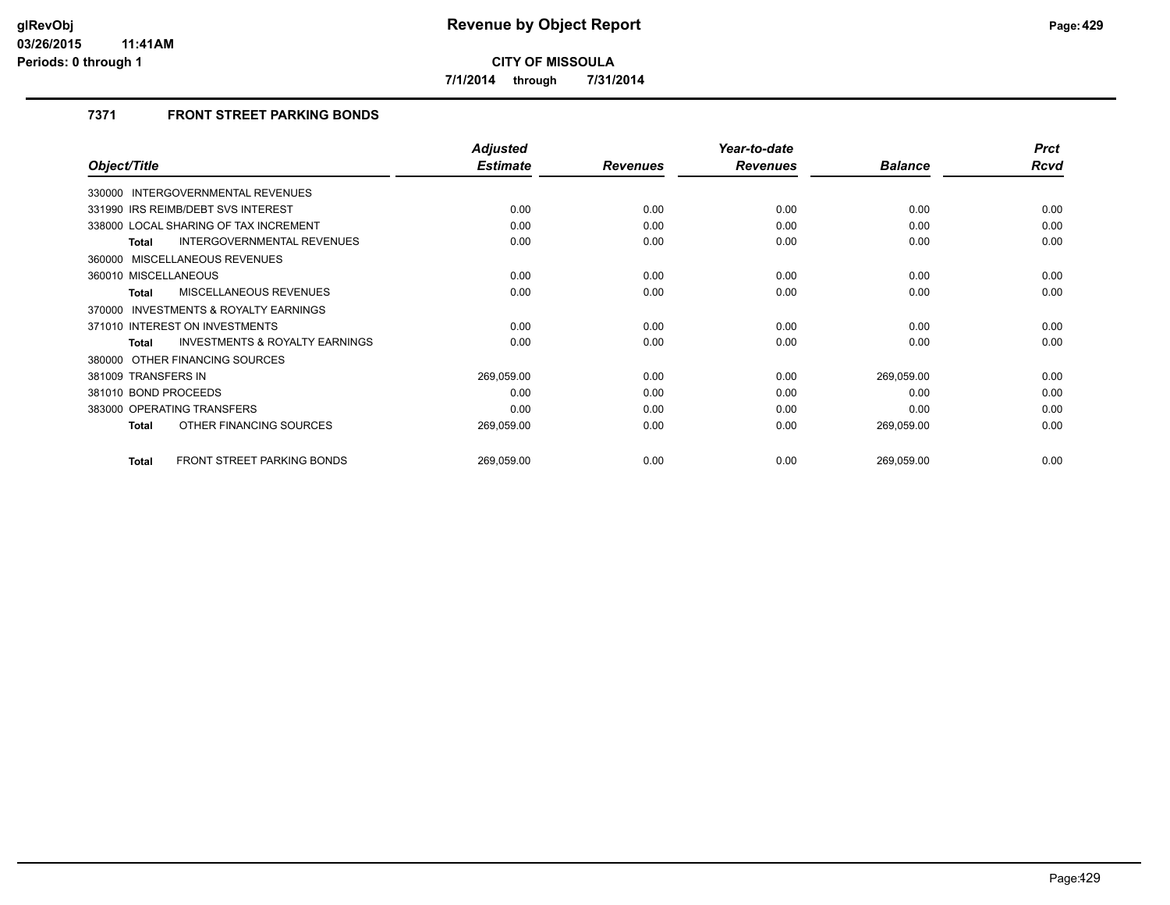**7/1/2014 through 7/31/2014**

## **7371 FRONT STREET PARKING BONDS**

|                                                     | <b>Adjusted</b> |                 | Year-to-date    |                | <b>Prct</b> |
|-----------------------------------------------------|-----------------|-----------------|-----------------|----------------|-------------|
| Object/Title                                        | <b>Estimate</b> | <b>Revenues</b> | <b>Revenues</b> | <b>Balance</b> | Rcvd        |
| 330000 INTERGOVERNMENTAL REVENUES                   |                 |                 |                 |                |             |
| 331990 IRS REIMB/DEBT SVS INTEREST                  | 0.00            | 0.00            | 0.00            | 0.00           | 0.00        |
| 338000 LOCAL SHARING OF TAX INCREMENT               | 0.00            | 0.00            | 0.00            | 0.00           | 0.00        |
| INTERGOVERNMENTAL REVENUES<br><b>Total</b>          | 0.00            | 0.00            | 0.00            | 0.00           | 0.00        |
| 360000 MISCELLANEOUS REVENUES                       |                 |                 |                 |                |             |
| 360010 MISCELLANEOUS                                | 0.00            | 0.00            | 0.00            | 0.00           | 0.00        |
| MISCELLANEOUS REVENUES<br><b>Total</b>              | 0.00            | 0.00            | 0.00            | 0.00           | 0.00        |
| <b>INVESTMENTS &amp; ROYALTY EARNINGS</b><br>370000 |                 |                 |                 |                |             |
| 371010 INTEREST ON INVESTMENTS                      | 0.00            | 0.00            | 0.00            | 0.00           | 0.00        |
| INVESTMENTS & ROYALTY EARNINGS<br><b>Total</b>      | 0.00            | 0.00            | 0.00            | 0.00           | 0.00        |
| 380000 OTHER FINANCING SOURCES                      |                 |                 |                 |                |             |
| 381009 TRANSFERS IN                                 | 269,059.00      | 0.00            | 0.00            | 269,059.00     | 0.00        |
| 381010 BOND PROCEEDS                                | 0.00            | 0.00            | 0.00            | 0.00           | 0.00        |
| 383000 OPERATING TRANSFERS                          | 0.00            | 0.00            | 0.00            | 0.00           | 0.00        |
| OTHER FINANCING SOURCES<br><b>Total</b>             | 269,059.00      | 0.00            | 0.00            | 269,059.00     | 0.00        |
| <b>FRONT STREET PARKING BONDS</b><br><b>Total</b>   | 269,059.00      | 0.00            | 0.00            | 269,059.00     | 0.00        |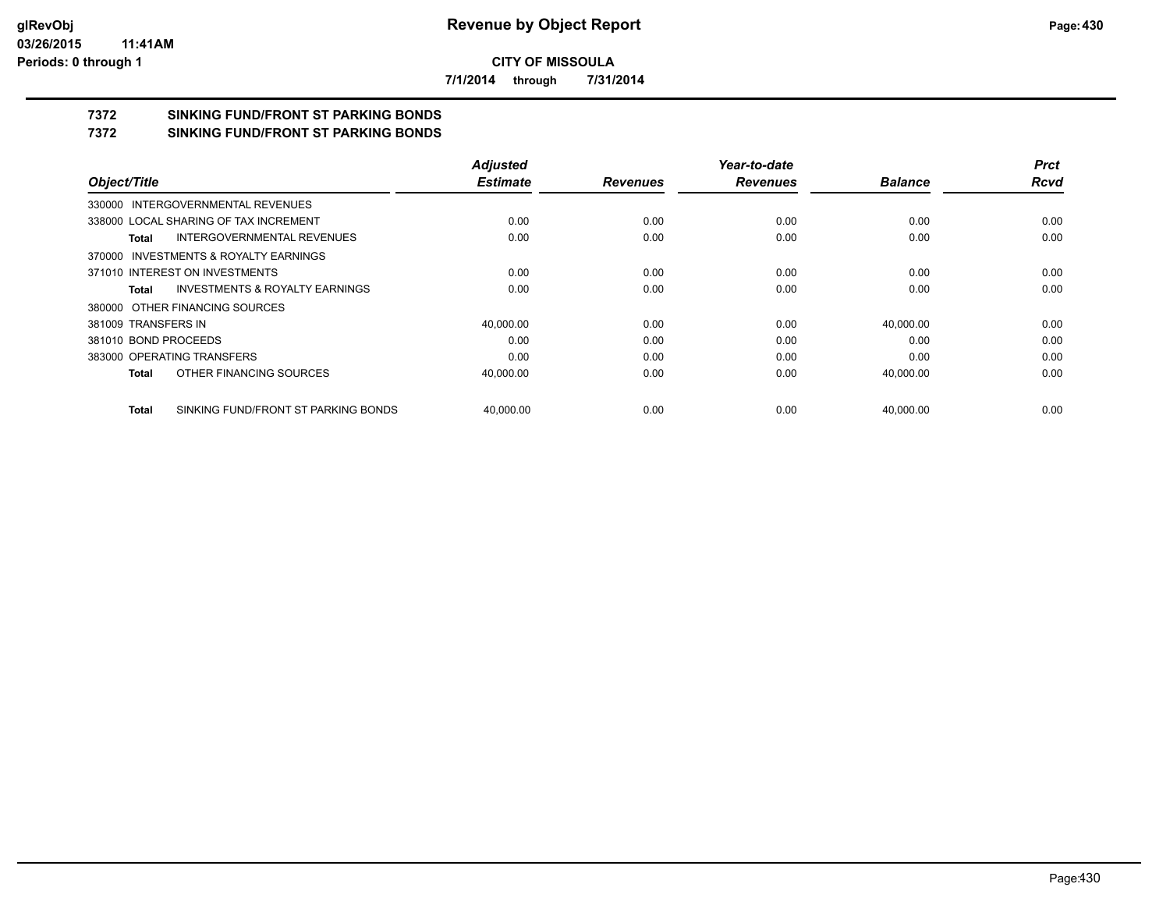**7/1/2014 through 7/31/2014**

# **7372 SINKING FUND/FRONT ST PARKING BONDS**

**7372 SINKING FUND/FRONT ST PARKING BONDS**

|                                              | <b>Adjusted</b> |                 | Year-to-date    |                | <b>Prct</b> |
|----------------------------------------------|-----------------|-----------------|-----------------|----------------|-------------|
| Object/Title                                 | <b>Estimate</b> | <b>Revenues</b> | <b>Revenues</b> | <b>Balance</b> | <b>Rcvd</b> |
| 330000 INTERGOVERNMENTAL REVENUES            |                 |                 |                 |                |             |
| 338000 LOCAL SHARING OF TAX INCREMENT        | 0.00            | 0.00            | 0.00            | 0.00           | 0.00        |
| INTERGOVERNMENTAL REVENUES<br>Total          | 0.00            | 0.00            | 0.00            | 0.00           | 0.00        |
| 370000 INVESTMENTS & ROYALTY EARNINGS        |                 |                 |                 |                |             |
| 371010 INTEREST ON INVESTMENTS               | 0.00            | 0.00            | 0.00            | 0.00           | 0.00        |
| INVESTMENTS & ROYALTY EARNINGS<br>Total      | 0.00            | 0.00            | 0.00            | 0.00           | 0.00        |
| 380000 OTHER FINANCING SOURCES               |                 |                 |                 |                |             |
| 381009 TRANSFERS IN                          | 40,000.00       | 0.00            | 0.00            | 40,000.00      | 0.00        |
| 381010 BOND PROCEEDS                         | 0.00            | 0.00            | 0.00            | 0.00           | 0.00        |
| 383000 OPERATING TRANSFERS                   | 0.00            | 0.00            | 0.00            | 0.00           | 0.00        |
| OTHER FINANCING SOURCES<br>Total             | 40,000.00       | 0.00            | 0.00            | 40,000.00      | 0.00        |
| SINKING FUND/FRONT ST PARKING BONDS<br>Total | 40.000.00       | 0.00            | 0.00            | 40.000.00      | 0.00        |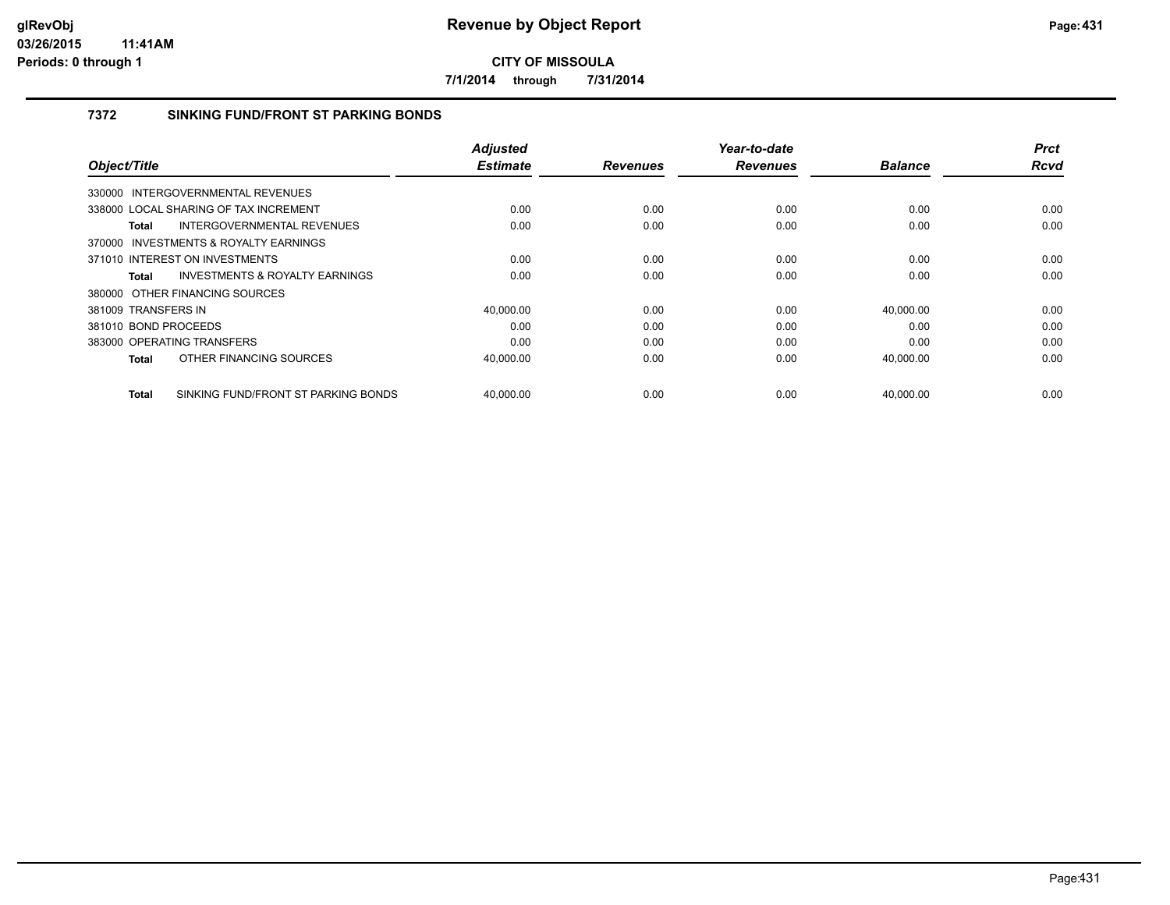**7/1/2014 through 7/31/2014**

## **7372 SINKING FUND/FRONT ST PARKING BONDS**

|                      |                                           | <b>Adjusted</b> |                 | Year-to-date    |                | <b>Prct</b> |
|----------------------|-------------------------------------------|-----------------|-----------------|-----------------|----------------|-------------|
| Object/Title         |                                           | <b>Estimate</b> | <b>Revenues</b> | <b>Revenues</b> | <b>Balance</b> | <b>Rcvd</b> |
|                      | 330000 INTERGOVERNMENTAL REVENUES         |                 |                 |                 |                |             |
|                      | 338000 LOCAL SHARING OF TAX INCREMENT     | 0.00            | 0.00            | 0.00            | 0.00           | 0.00        |
| Total                | <b>INTERGOVERNMENTAL REVENUES</b>         | 0.00            | 0.00            | 0.00            | 0.00           | 0.00        |
|                      | 370000 INVESTMENTS & ROYALTY EARNINGS     |                 |                 |                 |                |             |
|                      | 371010 INTEREST ON INVESTMENTS            | 0.00            | 0.00            | 0.00            | 0.00           | 0.00        |
| Total                | <b>INVESTMENTS &amp; ROYALTY EARNINGS</b> | 0.00            | 0.00            | 0.00            | 0.00           | 0.00        |
|                      | 380000 OTHER FINANCING SOURCES            |                 |                 |                 |                |             |
| 381009 TRANSFERS IN  |                                           | 40,000.00       | 0.00            | 0.00            | 40,000.00      | 0.00        |
| 381010 BOND PROCEEDS |                                           | 0.00            | 0.00            | 0.00            | 0.00           | 0.00        |
|                      | 383000 OPERATING TRANSFERS                | 0.00            | 0.00            | 0.00            | 0.00           | 0.00        |
| <b>Total</b>         | OTHER FINANCING SOURCES                   | 40,000.00       | 0.00            | 0.00            | 40,000.00      | 0.00        |
| <b>Total</b>         | SINKING FUND/FRONT ST PARKING BONDS       | 40,000.00       | 0.00            | 0.00            | 40,000.00      | 0.00        |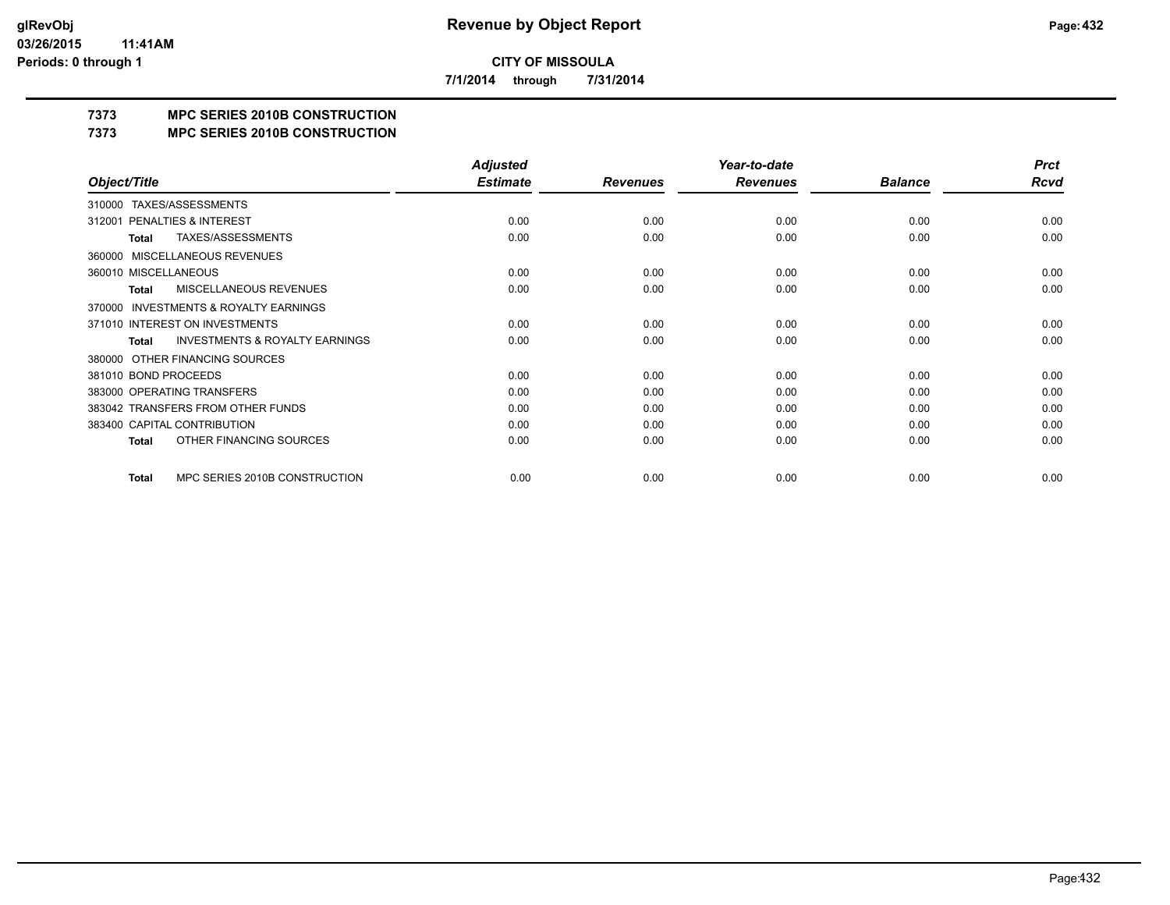**7/1/2014 through 7/31/2014**

## **7373 MPC SERIES 2010B CONSTRUCTION**

#### **7373 MPC SERIES 2010B CONSTRUCTION**

|                                                     | <b>Adjusted</b> |                 | Year-to-date    |                | <b>Prct</b> |
|-----------------------------------------------------|-----------------|-----------------|-----------------|----------------|-------------|
| Object/Title                                        | <b>Estimate</b> | <b>Revenues</b> | <b>Revenues</b> | <b>Balance</b> | Rcvd        |
| 310000 TAXES/ASSESSMENTS                            |                 |                 |                 |                |             |
| PENALTIES & INTEREST<br>312001                      | 0.00            | 0.00            | 0.00            | 0.00           | 0.00        |
| TAXES/ASSESSMENTS<br>Total                          | 0.00            | 0.00            | 0.00            | 0.00           | 0.00        |
| MISCELLANEOUS REVENUES<br>360000                    |                 |                 |                 |                |             |
| 360010 MISCELLANEOUS                                | 0.00            | 0.00            | 0.00            | 0.00           | 0.00        |
| <b>MISCELLANEOUS REVENUES</b><br>Total              | 0.00            | 0.00            | 0.00            | 0.00           | 0.00        |
| <b>INVESTMENTS &amp; ROYALTY EARNINGS</b><br>370000 |                 |                 |                 |                |             |
| 371010 INTEREST ON INVESTMENTS                      | 0.00            | 0.00            | 0.00            | 0.00           | 0.00        |
| <b>INVESTMENTS &amp; ROYALTY EARNINGS</b><br>Total  | 0.00            | 0.00            | 0.00            | 0.00           | 0.00        |
| OTHER FINANCING SOURCES<br>380000                   |                 |                 |                 |                |             |
| 381010 BOND PROCEEDS                                | 0.00            | 0.00            | 0.00            | 0.00           | 0.00        |
| 383000 OPERATING TRANSFERS                          | 0.00            | 0.00            | 0.00            | 0.00           | 0.00        |
| 383042 TRANSFERS FROM OTHER FUNDS                   | 0.00            | 0.00            | 0.00            | 0.00           | 0.00        |
| 383400 CAPITAL CONTRIBUTION                         | 0.00            | 0.00            | 0.00            | 0.00           | 0.00        |
| OTHER FINANCING SOURCES<br><b>Total</b>             | 0.00            | 0.00            | 0.00            | 0.00           | 0.00        |
| MPC SERIES 2010B CONSTRUCTION<br><b>Total</b>       | 0.00            | 0.00            | 0.00            | 0.00           | 0.00        |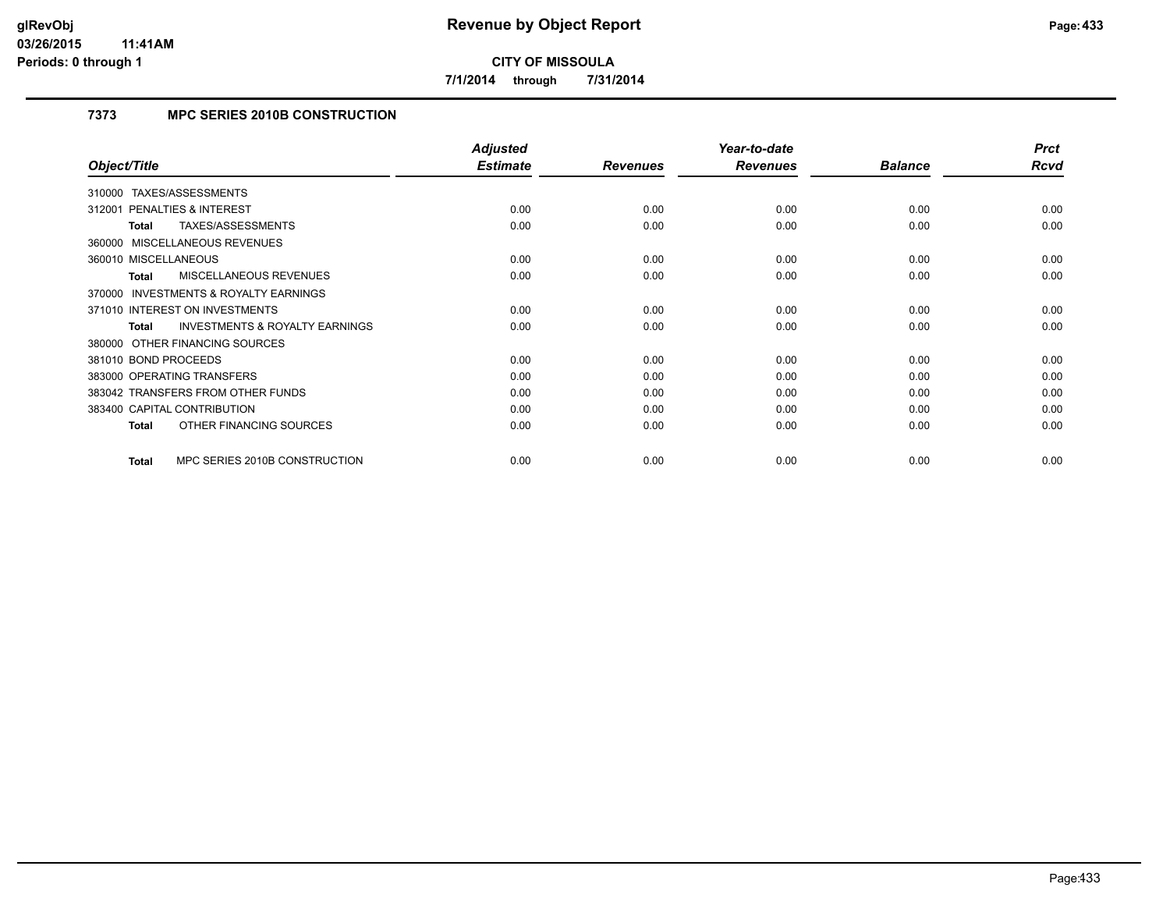**7/1/2014 through 7/31/2014**

# **7373 MPC SERIES 2010B CONSTRUCTION**

|                                                           | <b>Adjusted</b> |                 | Year-to-date    |                | <b>Prct</b> |
|-----------------------------------------------------------|-----------------|-----------------|-----------------|----------------|-------------|
| Object/Title                                              | <b>Estimate</b> | <b>Revenues</b> | <b>Revenues</b> | <b>Balance</b> | <b>Rcvd</b> |
| 310000 TAXES/ASSESSMENTS                                  |                 |                 |                 |                |             |
| 312001 PENALTIES & INTEREST                               | 0.00            | 0.00            | 0.00            | 0.00           | 0.00        |
| TAXES/ASSESSMENTS<br>Total                                | 0.00            | 0.00            | 0.00            | 0.00           | 0.00        |
| 360000 MISCELLANEOUS REVENUES                             |                 |                 |                 |                |             |
| 360010 MISCELLANEOUS                                      | 0.00            | 0.00            | 0.00            | 0.00           | 0.00        |
| <b>MISCELLANEOUS REVENUES</b><br><b>Total</b>             | 0.00            | 0.00            | 0.00            | 0.00           | 0.00        |
| <b>INVESTMENTS &amp; ROYALTY EARNINGS</b><br>370000       |                 |                 |                 |                |             |
| 371010 INTEREST ON INVESTMENTS                            | 0.00            | 0.00            | 0.00            | 0.00           | 0.00        |
| <b>INVESTMENTS &amp; ROYALTY EARNINGS</b><br><b>Total</b> | 0.00            | 0.00            | 0.00            | 0.00           | 0.00        |
| 380000 OTHER FINANCING SOURCES                            |                 |                 |                 |                |             |
| 381010 BOND PROCEEDS                                      | 0.00            | 0.00            | 0.00            | 0.00           | 0.00        |
| 383000 OPERATING TRANSFERS                                | 0.00            | 0.00            | 0.00            | 0.00           | 0.00        |
| 383042 TRANSFERS FROM OTHER FUNDS                         | 0.00            | 0.00            | 0.00            | 0.00           | 0.00        |
| 383400 CAPITAL CONTRIBUTION                               | 0.00            | 0.00            | 0.00            | 0.00           | 0.00        |
| OTHER FINANCING SOURCES<br><b>Total</b>                   | 0.00            | 0.00            | 0.00            | 0.00           | 0.00        |
| MPC SERIES 2010B CONSTRUCTION<br><b>Total</b>             | 0.00            | 0.00            | 0.00            | 0.00           | 0.00        |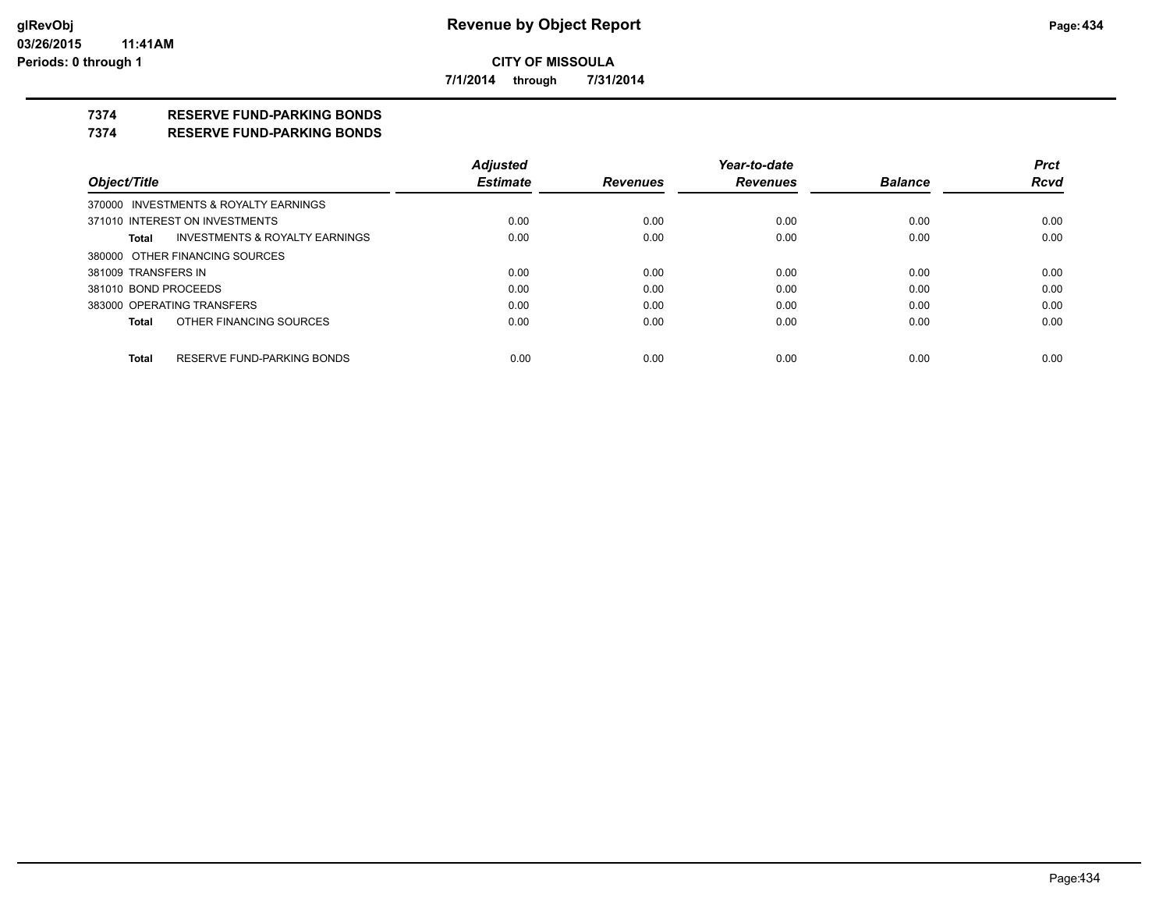**7/1/2014 through 7/31/2014**

# **7374 RESERVE FUND-PARKING BONDS**

#### **7374 RESERVE FUND-PARKING BONDS**

|                      |                                       | <b>Adjusted</b> |                 | Year-to-date    |                | <b>Prct</b> |
|----------------------|---------------------------------------|-----------------|-----------------|-----------------|----------------|-------------|
| Object/Title         |                                       | <b>Estimate</b> | <b>Revenues</b> | <b>Revenues</b> | <b>Balance</b> | <b>Rcvd</b> |
|                      | 370000 INVESTMENTS & ROYALTY EARNINGS |                 |                 |                 |                |             |
|                      | 371010 INTEREST ON INVESTMENTS        | 0.00            | 0.00            | 0.00            | 0.00           | 0.00        |
| Total                | INVESTMENTS & ROYALTY EARNINGS        | 0.00            | 0.00            | 0.00            | 0.00           | 0.00        |
|                      | 380000 OTHER FINANCING SOURCES        |                 |                 |                 |                |             |
| 381009 TRANSFERS IN  |                                       | 0.00            | 0.00            | 0.00            | 0.00           | 0.00        |
| 381010 BOND PROCEEDS |                                       | 0.00            | 0.00            | 0.00            | 0.00           | 0.00        |
|                      | 383000 OPERATING TRANSFERS            | 0.00            | 0.00            | 0.00            | 0.00           | 0.00        |
| Total                | OTHER FINANCING SOURCES               | 0.00            | 0.00            | 0.00            | 0.00           | 0.00        |
| Total                | RESERVE FUND-PARKING BONDS            | 0.00            | 0.00            | 0.00            | 0.00           | 0.00        |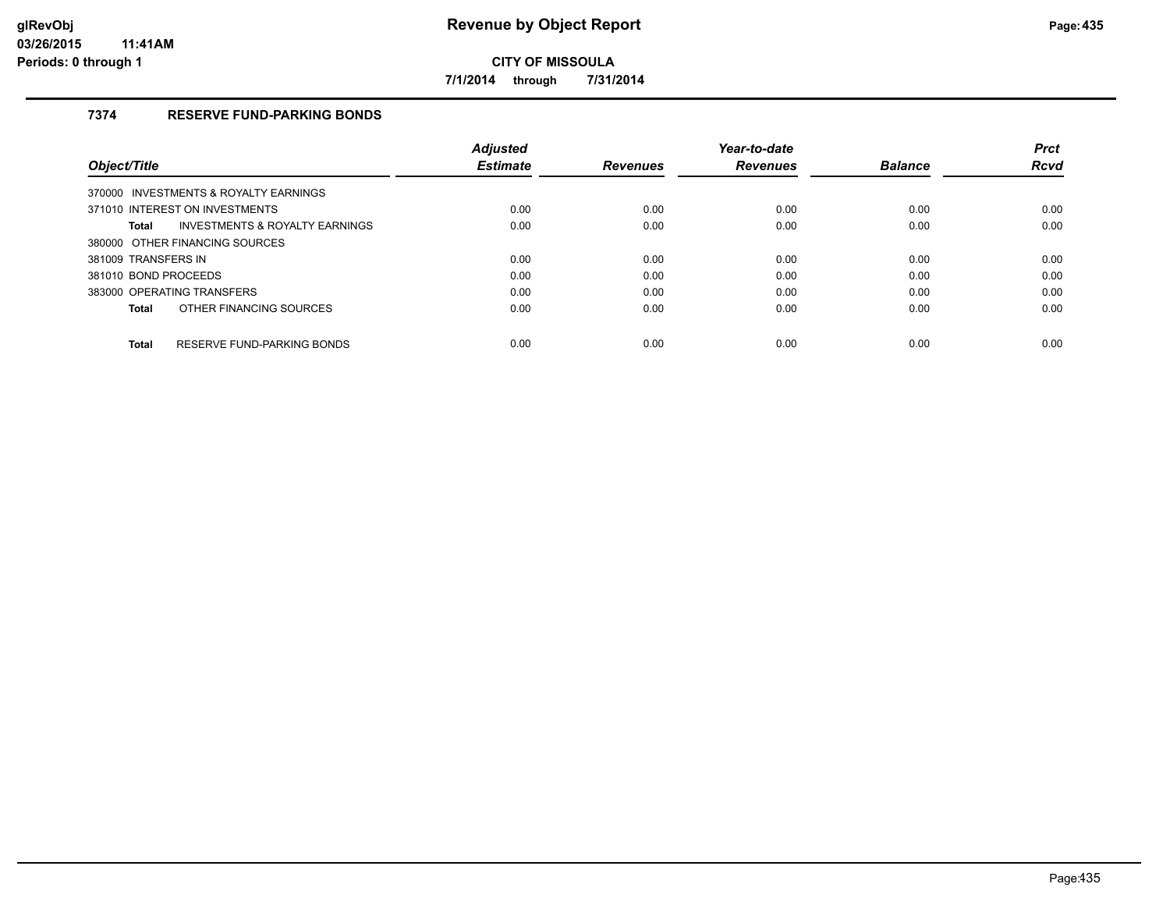**7/1/2014 through 7/31/2014**

# **7374 RESERVE FUND-PARKING BONDS**

|                                                    | <b>Adiusted</b> |                 | Year-to-date    |                | <b>Prct</b> |
|----------------------------------------------------|-----------------|-----------------|-----------------|----------------|-------------|
| Object/Title                                       | <b>Estimate</b> | <b>Revenues</b> | <b>Revenues</b> | <b>Balance</b> | <b>Rcvd</b> |
| 370000 INVESTMENTS & ROYALTY EARNINGS              |                 |                 |                 |                |             |
| 371010 INTEREST ON INVESTMENTS                     | 0.00            | 0.00            | 0.00            | 0.00           | 0.00        |
| <b>INVESTMENTS &amp; ROYALTY EARNINGS</b><br>Total | 0.00            | 0.00            | 0.00            | 0.00           | 0.00        |
| 380000 OTHER FINANCING SOURCES                     |                 |                 |                 |                |             |
| 381009 TRANSFERS IN                                | 0.00            | 0.00            | 0.00            | 0.00           | 0.00        |
| 381010 BOND PROCEEDS                               | 0.00            | 0.00            | 0.00            | 0.00           | 0.00        |
| 383000 OPERATING TRANSFERS                         | 0.00            | 0.00            | 0.00            | 0.00           | 0.00        |
| OTHER FINANCING SOURCES<br>Total                   | 0.00            | 0.00            | 0.00            | 0.00           | 0.00        |
| RESERVE FUND-PARKING BONDS<br><b>Total</b>         | 0.00            | 0.00            | 0.00            | 0.00           | 0.00        |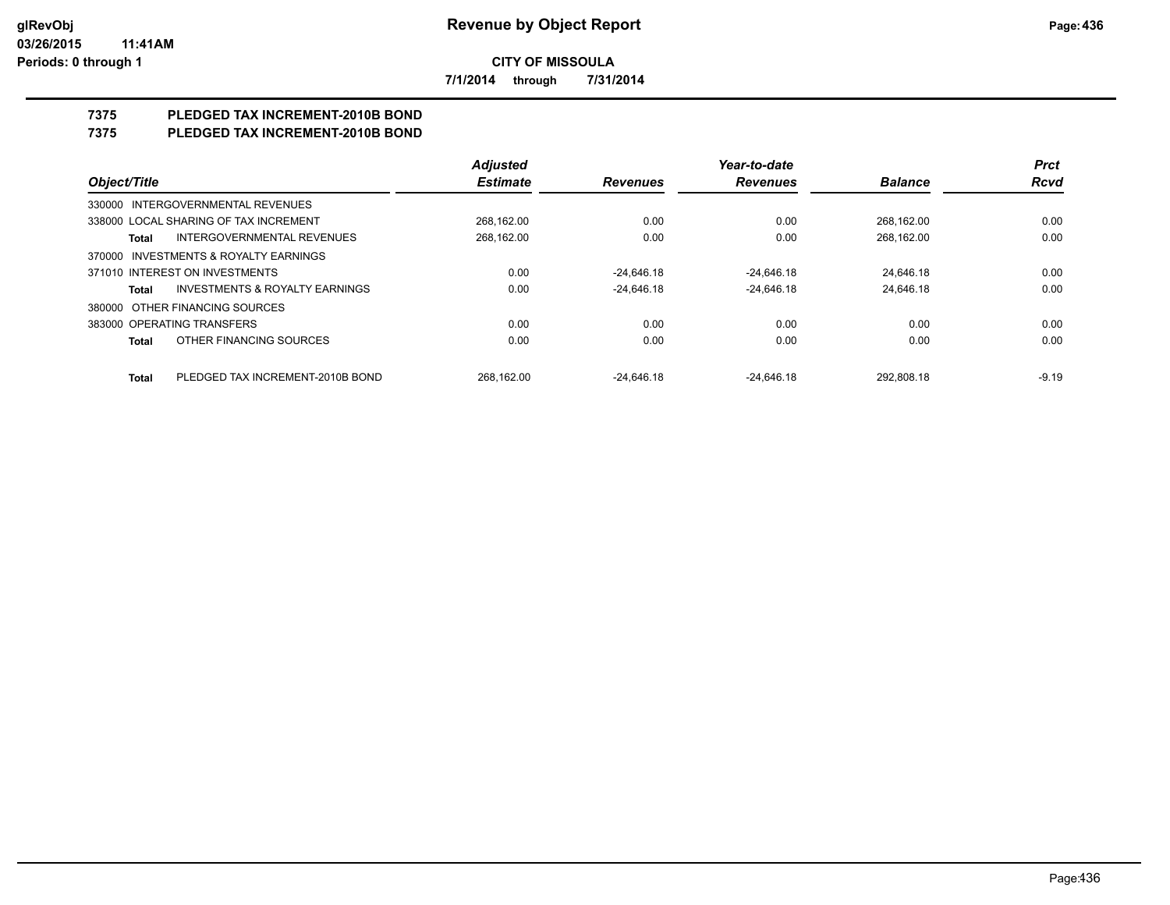**7/1/2014 through 7/31/2014**

# **7375 PLEDGED TAX INCREMENT-2010B BOND**

# **7375 PLEDGED TAX INCREMENT-2010B BOND**

|                                                    | <b>Adjusted</b> |                 | Year-to-date    |                | <b>Prct</b> |
|----------------------------------------------------|-----------------|-----------------|-----------------|----------------|-------------|
| Object/Title                                       | <b>Estimate</b> | <b>Revenues</b> | <b>Revenues</b> | <b>Balance</b> | <b>Rcvd</b> |
| 330000 INTERGOVERNMENTAL REVENUES                  |                 |                 |                 |                |             |
| 338000 LOCAL SHARING OF TAX INCREMENT              | 268.162.00      | 0.00            | 0.00            | 268.162.00     | 0.00        |
| <b>INTERGOVERNMENTAL REVENUES</b><br>Total         | 268,162.00      | 0.00            | 0.00            | 268.162.00     | 0.00        |
| INVESTMENTS & ROYALTY EARNINGS<br>370000           |                 |                 |                 |                |             |
| 371010 INTEREST ON INVESTMENTS                     | 0.00            | $-24.646.18$    | $-24.646.18$    | 24.646.18      | 0.00        |
| <b>INVESTMENTS &amp; ROYALTY EARNINGS</b><br>Total | 0.00            | $-24.646.18$    | $-24.646.18$    | 24.646.18      | 0.00        |
| OTHER FINANCING SOURCES<br>380000                  |                 |                 |                 |                |             |
| 383000 OPERATING TRANSFERS                         | 0.00            | 0.00            | 0.00            | 0.00           | 0.00        |
| OTHER FINANCING SOURCES<br>Total                   | 0.00            | 0.00            | 0.00            | 0.00           | 0.00        |
| PLEDGED TAX INCREMENT-2010B BOND<br><b>Total</b>   | 268.162.00      | $-24.646.18$    | $-24.646.18$    | 292.808.18     | $-9.19$     |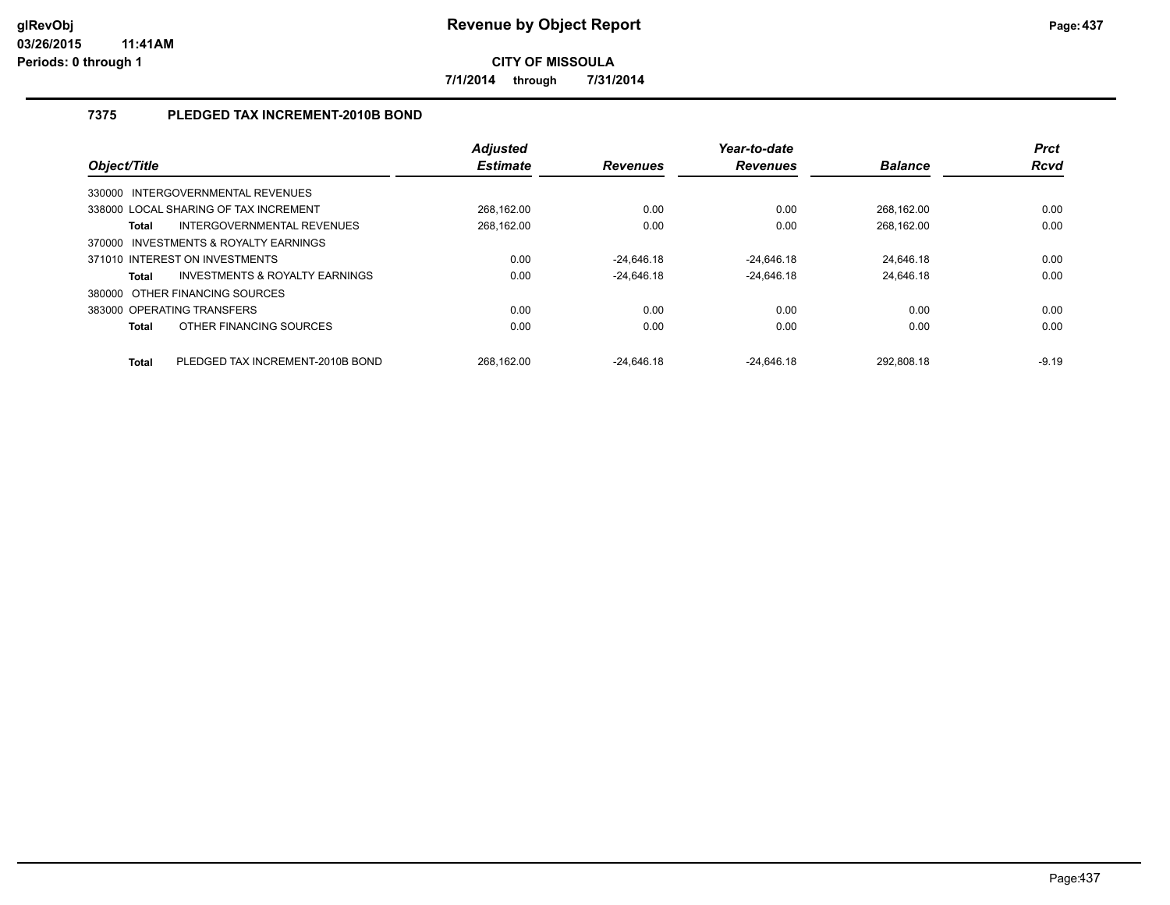**7/1/2014 through 7/31/2014**

# **7375 PLEDGED TAX INCREMENT-2010B BOND**

| Object/Title |                                       | <b>Adjusted</b><br><b>Estimate</b> | <b>Revenues</b> | Year-to-date<br><b>Revenues</b> | <b>Balance</b> | <b>Prct</b><br><b>Rcvd</b> |
|--------------|---------------------------------------|------------------------------------|-----------------|---------------------------------|----------------|----------------------------|
|              | 330000 INTERGOVERNMENTAL REVENUES     |                                    |                 |                                 |                |                            |
|              | 338000 LOCAL SHARING OF TAX INCREMENT | 268.162.00                         | 0.00            | 0.00                            | 268.162.00     | 0.00                       |
| <b>Total</b> | INTERGOVERNMENTAL REVENUES            | 268,162.00                         | 0.00            | 0.00                            | 268,162.00     | 0.00                       |
|              | 370000 INVESTMENTS & ROYALTY EARNINGS |                                    |                 |                                 |                |                            |
|              | 371010 INTEREST ON INVESTMENTS        | 0.00                               | $-24.646.18$    | $-24.646.18$                    | 24.646.18      | 0.00                       |
| <b>Total</b> | INVESTMENTS & ROYALTY EARNINGS        | 0.00                               | $-24.646.18$    | $-24.646.18$                    | 24.646.18      | 0.00                       |
|              | 380000 OTHER FINANCING SOURCES        |                                    |                 |                                 |                |                            |
|              | 383000 OPERATING TRANSFERS            | 0.00                               | 0.00            | 0.00                            | 0.00           | 0.00                       |
| <b>Total</b> | OTHER FINANCING SOURCES               | 0.00                               | 0.00            | 0.00                            | 0.00           | 0.00                       |
| <b>Total</b> | PLEDGED TAX INCREMENT-2010B BOND      | 268.162.00                         | $-24.646.18$    | $-24.646.18$                    | 292.808.18     | $-9.19$                    |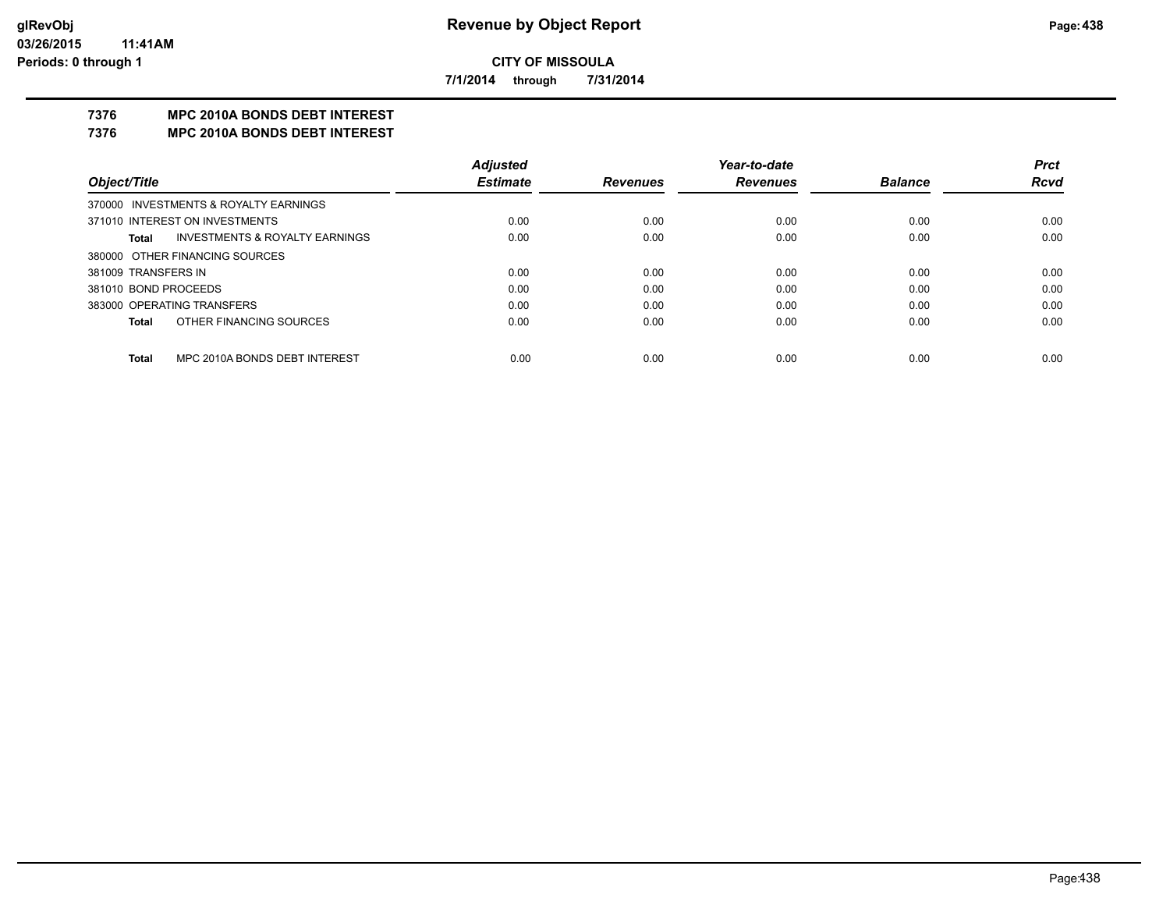**7/1/2014 through 7/31/2014**

# **7376 MPC 2010A BONDS DEBT INTEREST**

#### **7376 MPC 2010A BONDS DEBT INTEREST**

|                            |                                           | <b>Adjusted</b> |                 | Year-to-date    |                | <b>Prct</b> |
|----------------------------|-------------------------------------------|-----------------|-----------------|-----------------|----------------|-------------|
| Object/Title               |                                           | <b>Estimate</b> | <b>Revenues</b> | <b>Revenues</b> | <b>Balance</b> | <b>Rcvd</b> |
|                            | 370000 INVESTMENTS & ROYALTY EARNINGS     |                 |                 |                 |                |             |
|                            | 371010 INTEREST ON INVESTMENTS            | 0.00            | 0.00            | 0.00            | 0.00           | 0.00        |
| Total                      | <b>INVESTMENTS &amp; ROYALTY EARNINGS</b> | 0.00            | 0.00            | 0.00            | 0.00           | 0.00        |
|                            | 380000 OTHER FINANCING SOURCES            |                 |                 |                 |                |             |
| 381009 TRANSFERS IN        |                                           | 0.00            | 0.00            | 0.00            | 0.00           | 0.00        |
| 381010 BOND PROCEEDS       |                                           | 0.00            | 0.00            | 0.00            | 0.00           | 0.00        |
| 383000 OPERATING TRANSFERS |                                           | 0.00            | 0.00            | 0.00            | 0.00           | 0.00        |
| Total                      | OTHER FINANCING SOURCES                   | 0.00            | 0.00            | 0.00            | 0.00           | 0.00        |
|                            |                                           |                 |                 |                 |                |             |
| <b>Total</b>               | MPC 2010A BONDS DEBT INTEREST             | 0.00            | 0.00            | 0.00            | 0.00           | 0.00        |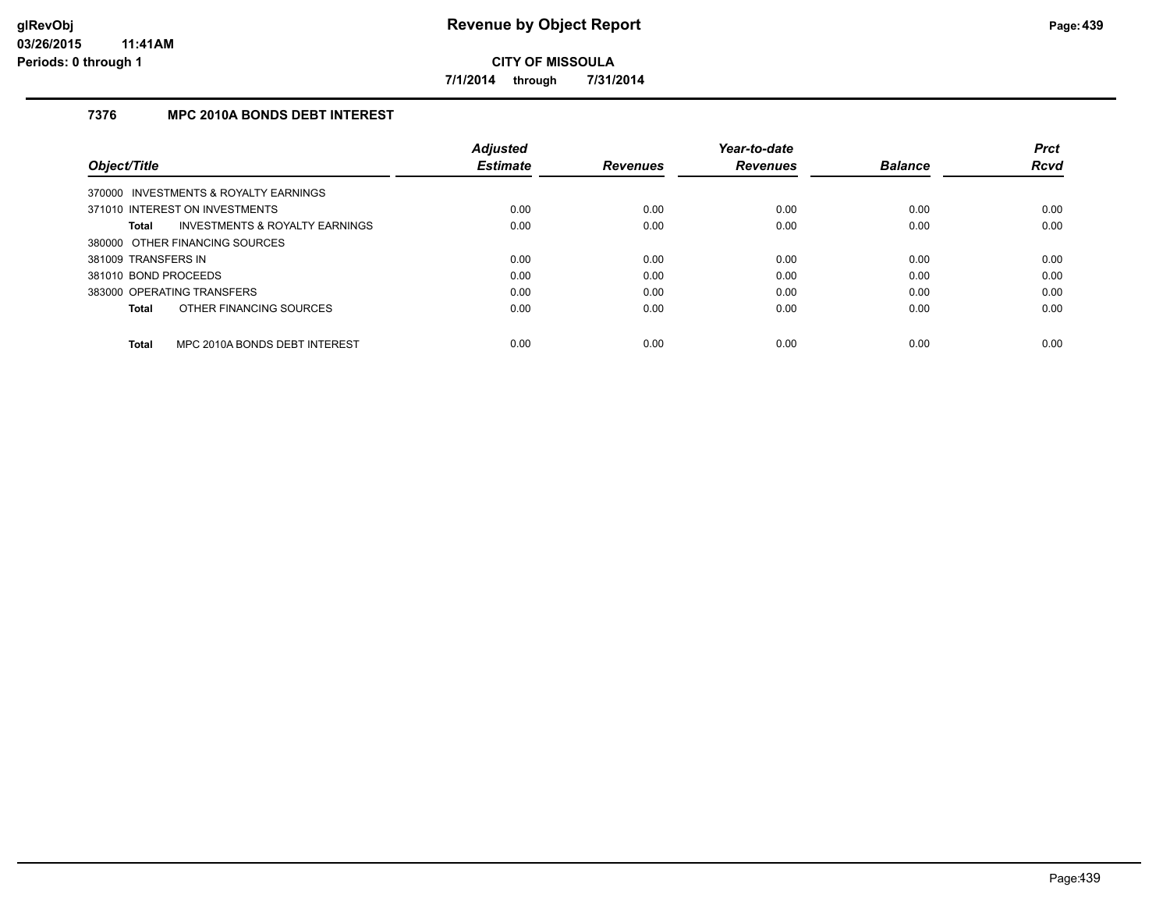**7/1/2014 through 7/31/2014**

# **7376 MPC 2010A BONDS DEBT INTEREST**

|                                               | <b>Adjusted</b> |                 | Year-to-date    |                | <b>Prct</b> |
|-----------------------------------------------|-----------------|-----------------|-----------------|----------------|-------------|
| Object/Title                                  | <b>Estimate</b> | <b>Revenues</b> | <b>Revenues</b> | <b>Balance</b> | <b>Rcvd</b> |
| 370000 INVESTMENTS & ROYALTY EARNINGS         |                 |                 |                 |                |             |
| 371010 INTEREST ON INVESTMENTS                | 0.00            | 0.00            | 0.00            | 0.00           | 0.00        |
| INVESTMENTS & ROYALTY EARNINGS<br>Total       | 0.00            | 0.00            | 0.00            | 0.00           | 0.00        |
| 380000 OTHER FINANCING SOURCES                |                 |                 |                 |                |             |
| 381009 TRANSFERS IN                           | 0.00            | 0.00            | 0.00            | 0.00           | 0.00        |
| 381010 BOND PROCEEDS                          | 0.00            | 0.00            | 0.00            | 0.00           | 0.00        |
| 383000 OPERATING TRANSFERS                    | 0.00            | 0.00            | 0.00            | 0.00           | 0.00        |
| OTHER FINANCING SOURCES<br>Total              | 0.00            | 0.00            | 0.00            | 0.00           | 0.00        |
| MPC 2010A BONDS DEBT INTEREST<br><b>Total</b> | 0.00            | 0.00            | 0.00            | 0.00           | 0.00        |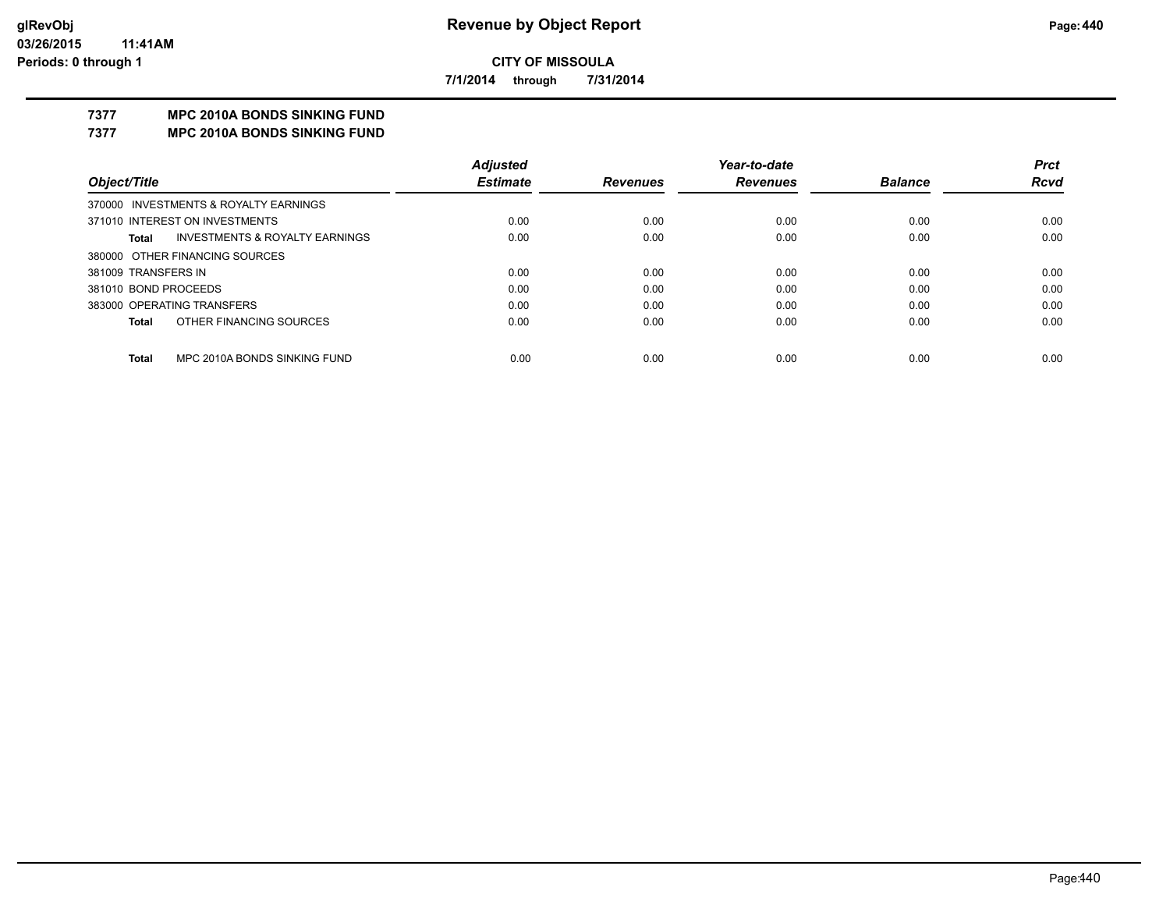**7/1/2014 through 7/31/2014**

# **7377 MPC 2010A BONDS SINKING FUND**

**7377 MPC 2010A BONDS SINKING FUND**

|                      |                                           | <b>Adjusted</b> |                 | Year-to-date    |                | <b>Prct</b> |
|----------------------|-------------------------------------------|-----------------|-----------------|-----------------|----------------|-------------|
| Object/Title         |                                           | <b>Estimate</b> | <b>Revenues</b> | <b>Revenues</b> | <b>Balance</b> | Rcvd        |
|                      | 370000 INVESTMENTS & ROYALTY EARNINGS     |                 |                 |                 |                |             |
|                      | 371010 INTEREST ON INVESTMENTS            | 0.00            | 0.00            | 0.00            | 0.00           | 0.00        |
| Total                | <b>INVESTMENTS &amp; ROYALTY EARNINGS</b> | 0.00            | 0.00            | 0.00            | 0.00           | 0.00        |
|                      | 380000 OTHER FINANCING SOURCES            |                 |                 |                 |                |             |
| 381009 TRANSFERS IN  |                                           | 0.00            | 0.00            | 0.00            | 0.00           | 0.00        |
| 381010 BOND PROCEEDS |                                           | 0.00            | 0.00            | 0.00            | 0.00           | 0.00        |
|                      | 383000 OPERATING TRANSFERS                | 0.00            | 0.00            | 0.00            | 0.00           | 0.00        |
| Total                | OTHER FINANCING SOURCES                   | 0.00            | 0.00            | 0.00            | 0.00           | 0.00        |
| <b>Total</b>         | MPC 2010A BONDS SINKING FUND              | 0.00            | 0.00            | 0.00            | 0.00           | 0.00        |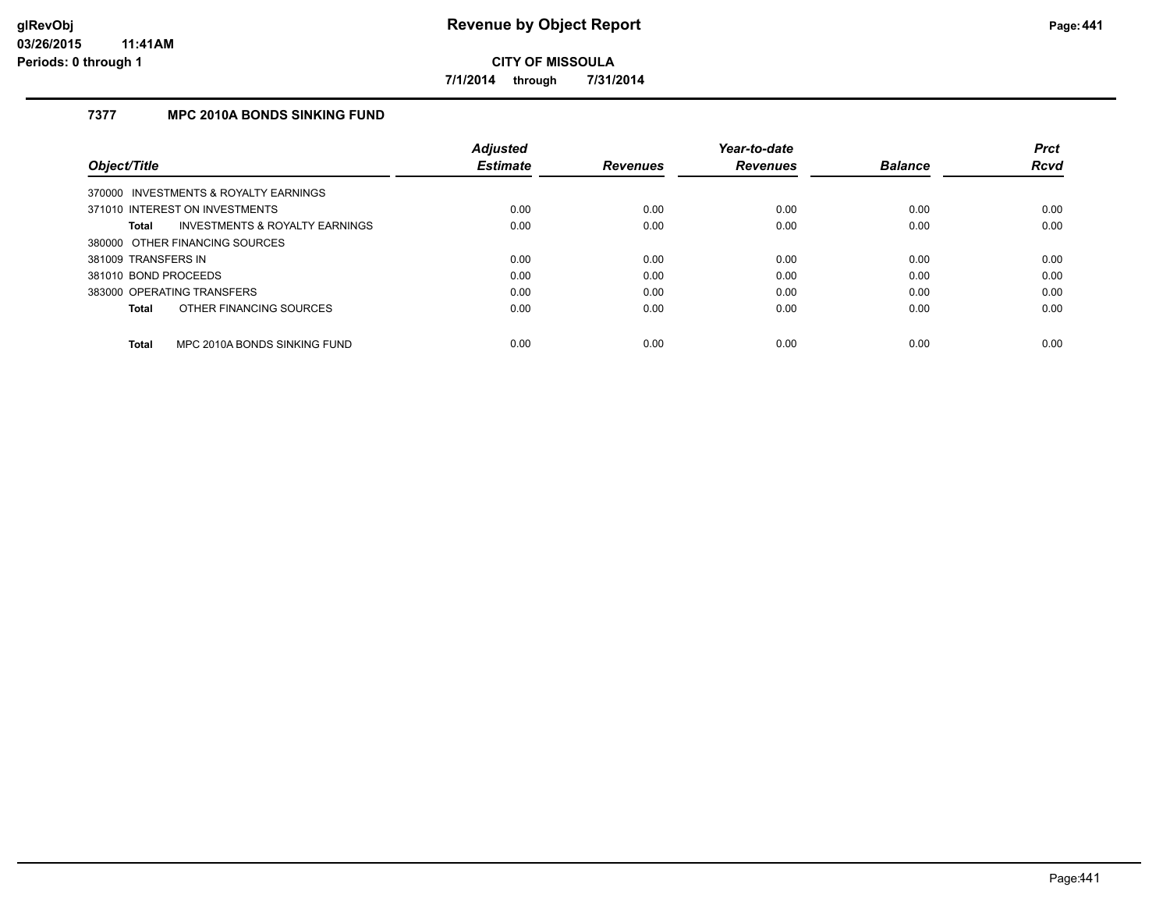**7/1/2014 through 7/31/2014**

# **7377 MPC 2010A BONDS SINKING FUND**

|                                                | <b>Adiusted</b> |                 | Year-to-date    |                | <b>Prct</b> |
|------------------------------------------------|-----------------|-----------------|-----------------|----------------|-------------|
| Object/Title                                   | <b>Estimate</b> | <b>Revenues</b> | <b>Revenues</b> | <b>Balance</b> | <b>Rcvd</b> |
| 370000 INVESTMENTS & ROYALTY EARNINGS          |                 |                 |                 |                |             |
| 371010 INTEREST ON INVESTMENTS                 | 0.00            | 0.00            | 0.00            | 0.00           | 0.00        |
| INVESTMENTS & ROYALTY EARNINGS<br><b>Total</b> | 0.00            | 0.00            | 0.00            | 0.00           | 0.00        |
| 380000 OTHER FINANCING SOURCES                 |                 |                 |                 |                |             |
| 381009 TRANSFERS IN                            | 0.00            | 0.00            | 0.00            | 0.00           | 0.00        |
| 381010 BOND PROCEEDS                           | 0.00            | 0.00            | 0.00            | 0.00           | 0.00        |
| 383000 OPERATING TRANSFERS                     | 0.00            | 0.00            | 0.00            | 0.00           | 0.00        |
| OTHER FINANCING SOURCES<br><b>Total</b>        | 0.00            | 0.00            | 0.00            | 0.00           | 0.00        |
|                                                |                 |                 |                 |                |             |
| MPC 2010A BONDS SINKING FUND<br><b>Total</b>   | 0.00            | 0.00            | 0.00            | 0.00           | 0.00        |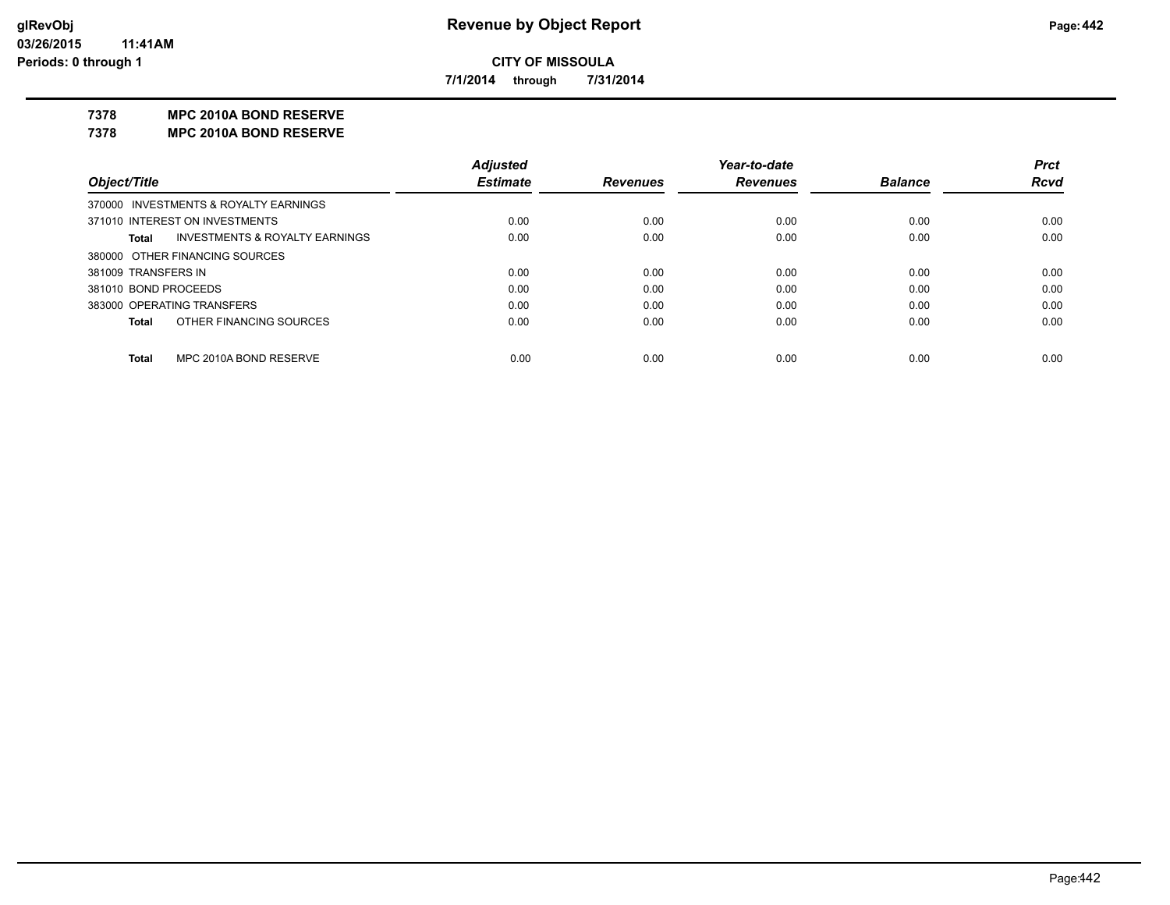**7/1/2014 through 7/31/2014**

#### **7378 MPC 2010A BOND RESERVE**

**7378 MPC 2010A BOND RESERVE**

|                                                    | <b>Adjusted</b> |                 | Year-to-date    |                | <b>Prct</b> |
|----------------------------------------------------|-----------------|-----------------|-----------------|----------------|-------------|
| Object/Title                                       | <b>Estimate</b> | <b>Revenues</b> | <b>Revenues</b> | <b>Balance</b> | <b>Rcvd</b> |
| 370000 INVESTMENTS & ROYALTY EARNINGS              |                 |                 |                 |                |             |
| 371010 INTEREST ON INVESTMENTS                     | 0.00            | 0.00            | 0.00            | 0.00           | 0.00        |
| <b>INVESTMENTS &amp; ROYALTY EARNINGS</b><br>Total | 0.00            | 0.00            | 0.00            | 0.00           | 0.00        |
| 380000 OTHER FINANCING SOURCES                     |                 |                 |                 |                |             |
| 381009 TRANSFERS IN                                | 0.00            | 0.00            | 0.00            | 0.00           | 0.00        |
| 381010 BOND PROCEEDS                               | 0.00            | 0.00            | 0.00            | 0.00           | 0.00        |
| 383000 OPERATING TRANSFERS                         | 0.00            | 0.00            | 0.00            | 0.00           | 0.00        |
| OTHER FINANCING SOURCES<br><b>Total</b>            | 0.00            | 0.00            | 0.00            | 0.00           | 0.00        |
|                                                    |                 |                 |                 |                |             |
| MPC 2010A BOND RESERVE<br>Total                    | 0.00            | 0.00            | 0.00            | 0.00           | 0.00        |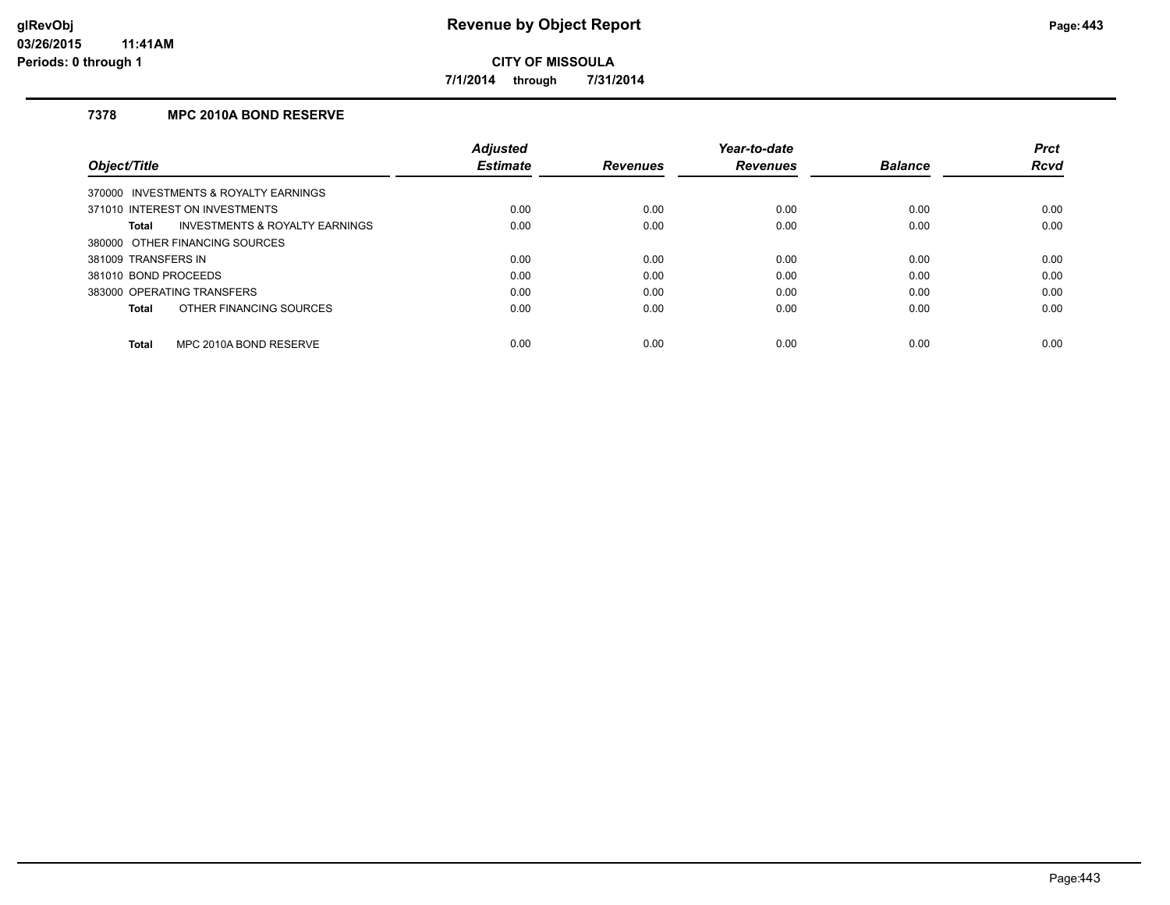**7/1/2014 through 7/31/2014**

# **7378 MPC 2010A BOND RESERVE**

|                                         | <b>Adjusted</b> |                 | Year-to-date    |                | <b>Prct</b> |
|-----------------------------------------|-----------------|-----------------|-----------------|----------------|-------------|
| Object/Title                            | <b>Estimate</b> | <b>Revenues</b> | <b>Revenues</b> | <b>Balance</b> | <b>Rcvd</b> |
| 370000 INVESTMENTS & ROYALTY EARNINGS   |                 |                 |                 |                |             |
| 371010 INTEREST ON INVESTMENTS          | 0.00            | 0.00            | 0.00            | 0.00           | 0.00        |
| INVESTMENTS & ROYALTY EARNINGS<br>Total | 0.00            | 0.00            | 0.00            | 0.00           | 0.00        |
| 380000 OTHER FINANCING SOURCES          |                 |                 |                 |                |             |
| 381009 TRANSFERS IN                     | 0.00            | 0.00            | 0.00            | 0.00           | 0.00        |
| 381010 BOND PROCEEDS                    | 0.00            | 0.00            | 0.00            | 0.00           | 0.00        |
| 383000 OPERATING TRANSFERS              | 0.00            | 0.00            | 0.00            | 0.00           | 0.00        |
| OTHER FINANCING SOURCES<br>Total        | 0.00            | 0.00            | 0.00            | 0.00           | 0.00        |
| MPC 2010A BOND RESERVE<br><b>Total</b>  | 0.00            | 0.00            | 0.00            | 0.00           | 0.00        |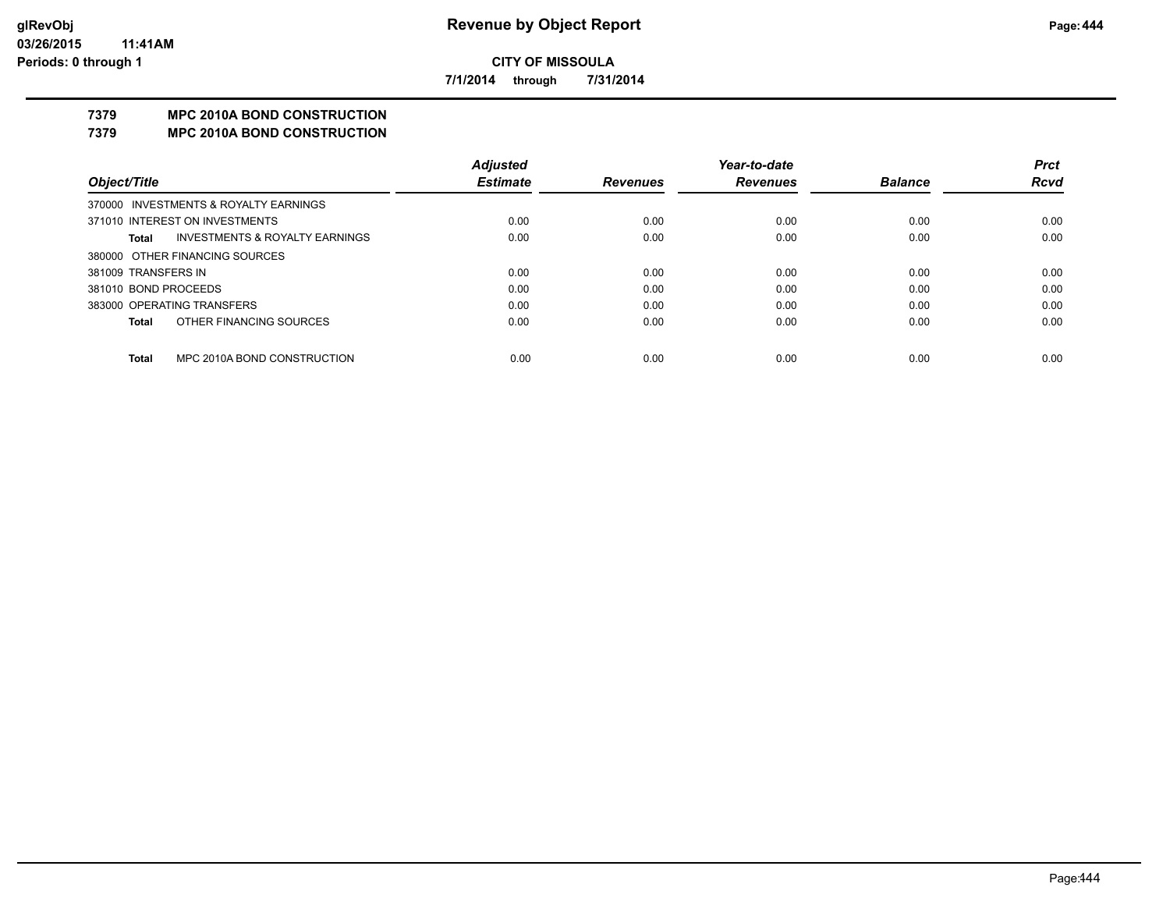**7/1/2014 through 7/31/2014**

# **7379 MPC 2010A BOND CONSTRUCTION**

#### **7379 MPC 2010A BOND CONSTRUCTION**

|                      |                                       | <b>Adjusted</b> |                 | Year-to-date    |                | <b>Prct</b> |
|----------------------|---------------------------------------|-----------------|-----------------|-----------------|----------------|-------------|
| Object/Title         |                                       | <b>Estimate</b> | <b>Revenues</b> | <b>Revenues</b> | <b>Balance</b> | <b>Rcvd</b> |
|                      | 370000 INVESTMENTS & ROYALTY EARNINGS |                 |                 |                 |                |             |
|                      | 371010 INTEREST ON INVESTMENTS        | 0.00            | 0.00            | 0.00            | 0.00           | 0.00        |
| Total                | INVESTMENTS & ROYALTY EARNINGS        | 0.00            | 0.00            | 0.00            | 0.00           | 0.00        |
|                      | 380000 OTHER FINANCING SOURCES        |                 |                 |                 |                |             |
| 381009 TRANSFERS IN  |                                       | 0.00            | 0.00            | 0.00            | 0.00           | 0.00        |
| 381010 BOND PROCEEDS |                                       | 0.00            | 0.00            | 0.00            | 0.00           | 0.00        |
|                      | 383000 OPERATING TRANSFERS            | 0.00            | 0.00            | 0.00            | 0.00           | 0.00        |
| <b>Total</b>         | OTHER FINANCING SOURCES               | 0.00            | 0.00            | 0.00            | 0.00           | 0.00        |
|                      |                                       |                 |                 |                 |                |             |
| <b>Total</b>         | MPC 2010A BOND CONSTRUCTION           | 0.00            | 0.00            | 0.00            | 0.00           | 0.00        |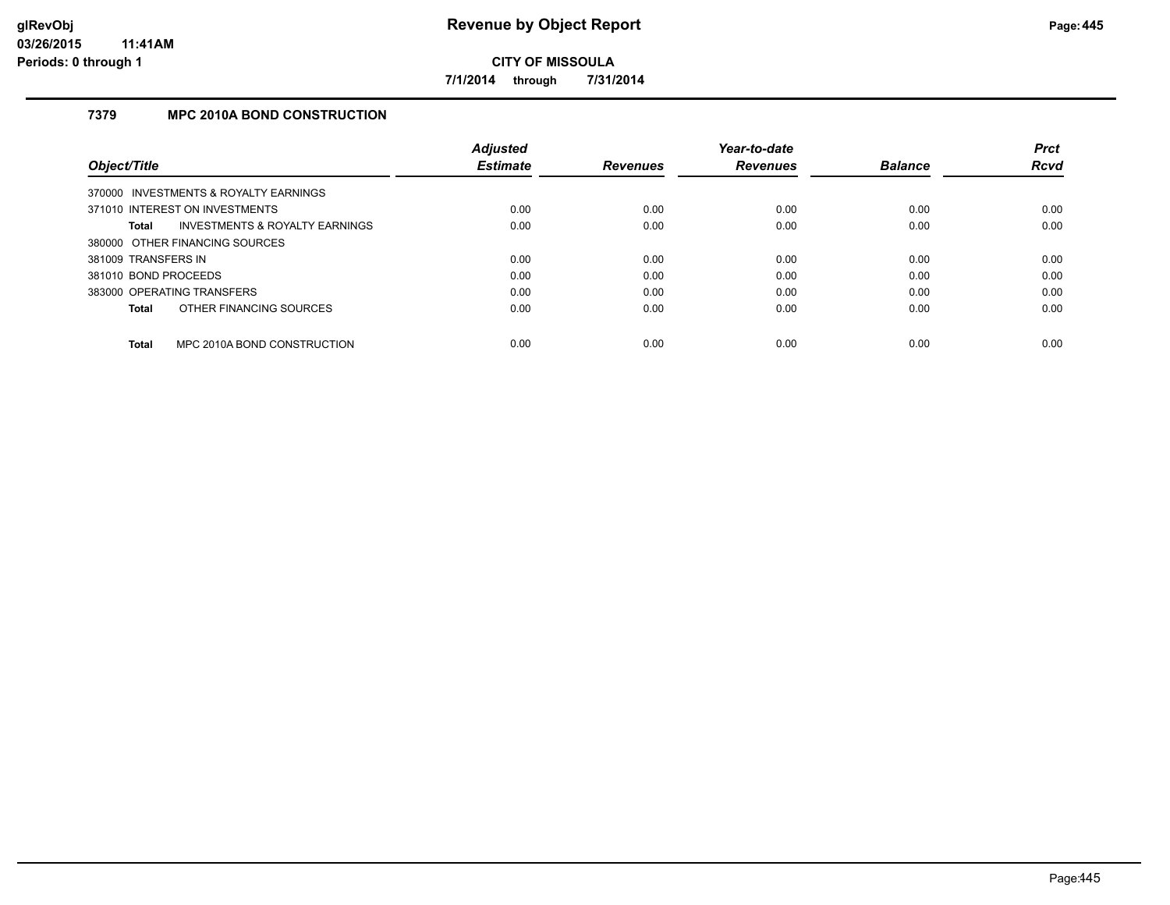**7/1/2014 through 7/31/2014**

# **7379 MPC 2010A BOND CONSTRUCTION**

|                                                    | <b>Adjusted</b> |                 | Year-to-date    |                | <b>Prct</b> |
|----------------------------------------------------|-----------------|-----------------|-----------------|----------------|-------------|
| Object/Title                                       | <b>Estimate</b> | <b>Revenues</b> | <b>Revenues</b> | <b>Balance</b> | <b>Rcvd</b> |
| 370000 INVESTMENTS & ROYALTY EARNINGS              |                 |                 |                 |                |             |
| 371010 INTEREST ON INVESTMENTS                     | 0.00            | 0.00            | 0.00            | 0.00           | 0.00        |
| <b>INVESTMENTS &amp; ROYALTY EARNINGS</b><br>Total | 0.00            | 0.00            | 0.00            | 0.00           | 0.00        |
| 380000 OTHER FINANCING SOURCES                     |                 |                 |                 |                |             |
| 381009 TRANSFERS IN                                | 0.00            | 0.00            | 0.00            | 0.00           | 0.00        |
| 381010 BOND PROCEEDS                               | 0.00            | 0.00            | 0.00            | 0.00           | 0.00        |
| 383000 OPERATING TRANSFERS                         | 0.00            | 0.00            | 0.00            | 0.00           | 0.00        |
| OTHER FINANCING SOURCES<br><b>Total</b>            | 0.00            | 0.00            | 0.00            | 0.00           | 0.00        |
| MPC 2010A BOND CONSTRUCTION<br><b>Total</b>        | 0.00            | 0.00            | 0.00            | 0.00           | 0.00        |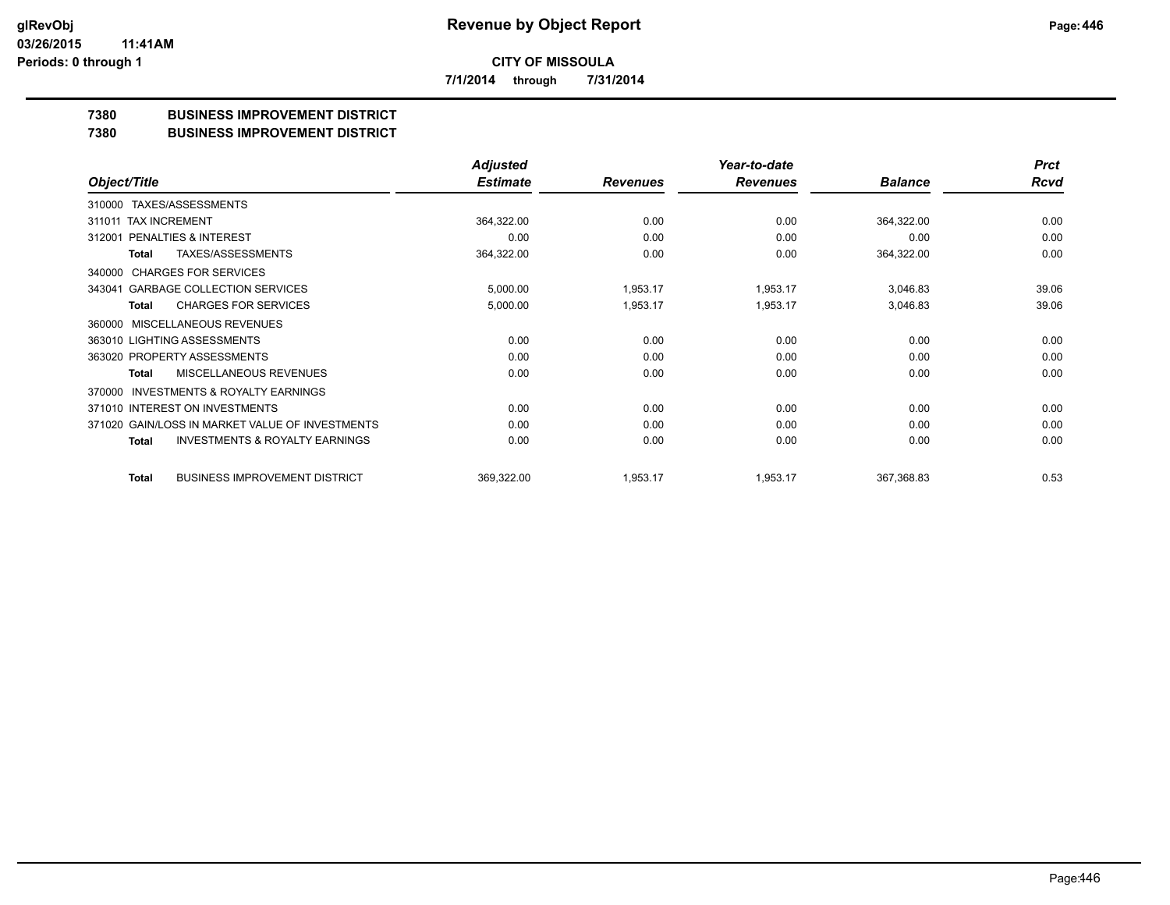**7/1/2014 through 7/31/2014**

# **7380 BUSINESS IMPROVEMENT DISTRICT**

#### **7380 BUSINESS IMPROVEMENT DISTRICT**

|                                                     | <b>Adjusted</b> |                 | Year-to-date    |                | <b>Prct</b> |
|-----------------------------------------------------|-----------------|-----------------|-----------------|----------------|-------------|
| Object/Title                                        | <b>Estimate</b> | <b>Revenues</b> | <b>Revenues</b> | <b>Balance</b> | <b>Rcvd</b> |
| TAXES/ASSESSMENTS<br>310000                         |                 |                 |                 |                |             |
| 311011 TAX INCREMENT                                | 364,322.00      | 0.00            | 0.00            | 364,322.00     | 0.00        |
| 312001 PENALTIES & INTEREST                         | 0.00            | 0.00            | 0.00            | 0.00           | 0.00        |
| TAXES/ASSESSMENTS<br>Total                          | 364,322.00      | 0.00            | 0.00            | 364,322.00     | 0.00        |
| <b>CHARGES FOR SERVICES</b><br>340000               |                 |                 |                 |                |             |
| <b>GARBAGE COLLECTION SERVICES</b><br>343041        | 5,000.00        | 1,953.17        | 1,953.17        | 3,046.83       | 39.06       |
| <b>CHARGES FOR SERVICES</b><br>Total                | 5,000.00        | 1,953.17        | 1,953.17        | 3,046.83       | 39.06       |
| MISCELLANEOUS REVENUES<br>360000                    |                 |                 |                 |                |             |
| 363010 LIGHTING ASSESSMENTS                         | 0.00            | 0.00            | 0.00            | 0.00           | 0.00        |
| 363020 PROPERTY ASSESSMENTS                         | 0.00            | 0.00            | 0.00            | 0.00           | 0.00        |
| MISCELLANEOUS REVENUES<br><b>Total</b>              | 0.00            | 0.00            | 0.00            | 0.00           | 0.00        |
| <b>INVESTMENTS &amp; ROYALTY EARNINGS</b><br>370000 |                 |                 |                 |                |             |
| 371010 INTEREST ON INVESTMENTS                      | 0.00            | 0.00            | 0.00            | 0.00           | 0.00        |
| 371020 GAIN/LOSS IN MARKET VALUE OF INVESTMENTS     | 0.00            | 0.00            | 0.00            | 0.00           | 0.00        |
| <b>INVESTMENTS &amp; ROYALTY EARNINGS</b><br>Total  | 0.00            | 0.00            | 0.00            | 0.00           | 0.00        |
| <b>BUSINESS IMPROVEMENT DISTRICT</b><br>Total       | 369,322.00      | 1,953.17        | 1,953.17        | 367,368.83     | 0.53        |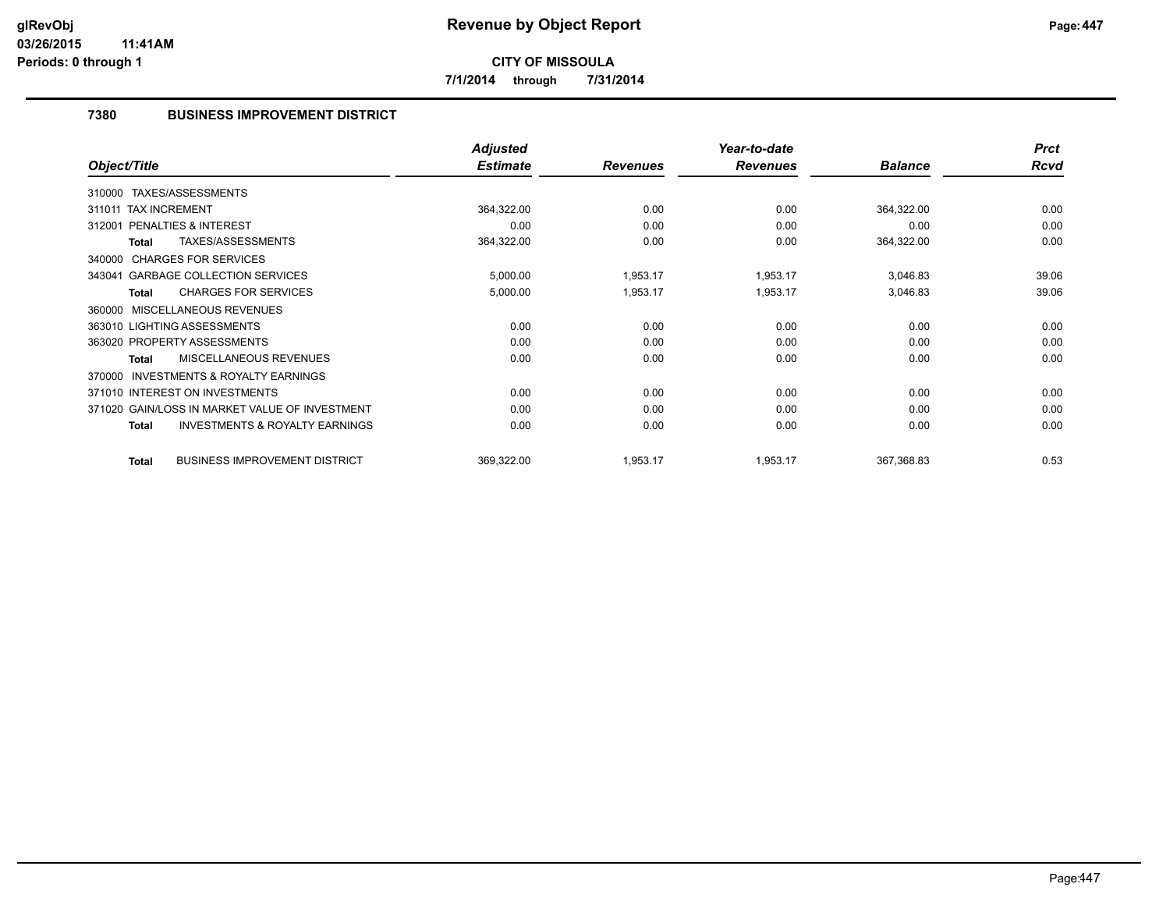**7/1/2014 through 7/31/2014**

# **7380 BUSINESS IMPROVEMENT DISTRICT**

|                                                           | <b>Adjusted</b> |                 | Year-to-date    |                | <b>Prct</b> |
|-----------------------------------------------------------|-----------------|-----------------|-----------------|----------------|-------------|
| Object/Title                                              | <b>Estimate</b> | <b>Revenues</b> | <b>Revenues</b> | <b>Balance</b> | <b>Rcvd</b> |
| 310000 TAXES/ASSESSMENTS                                  |                 |                 |                 |                |             |
| 311011 TAX INCREMENT                                      | 364,322.00      | 0.00            | 0.00            | 364,322.00     | 0.00        |
| PENALTIES & INTEREST<br>312001                            | 0.00            | 0.00            | 0.00            | 0.00           | 0.00        |
| TAXES/ASSESSMENTS<br>Total                                | 364,322.00      | 0.00            | 0.00            | 364,322.00     | 0.00        |
| 340000 CHARGES FOR SERVICES                               |                 |                 |                 |                |             |
| 343041 GARBAGE COLLECTION SERVICES                        | 5,000.00        | 1,953.17        | 1,953.17        | 3,046.83       | 39.06       |
| <b>CHARGES FOR SERVICES</b><br><b>Total</b>               | 5,000.00        | 1,953.17        | 1,953.17        | 3,046.83       | 39.06       |
| MISCELLANEOUS REVENUES<br>360000                          |                 |                 |                 |                |             |
| 363010 LIGHTING ASSESSMENTS                               | 0.00            | 0.00            | 0.00            | 0.00           | 0.00        |
| 363020 PROPERTY ASSESSMENTS                               | 0.00            | 0.00            | 0.00            | 0.00           | 0.00        |
| <b>MISCELLANEOUS REVENUES</b><br><b>Total</b>             | 0.00            | 0.00            | 0.00            | 0.00           | 0.00        |
| <b>INVESTMENTS &amp; ROYALTY EARNINGS</b><br>370000       |                 |                 |                 |                |             |
| 371010 INTEREST ON INVESTMENTS                            | 0.00            | 0.00            | 0.00            | 0.00           | 0.00        |
| 371020 GAIN/LOSS IN MARKET VALUE OF INVESTMENT            | 0.00            | 0.00            | 0.00            | 0.00           | 0.00        |
| <b>INVESTMENTS &amp; ROYALTY EARNINGS</b><br><b>Total</b> | 0.00            | 0.00            | 0.00            | 0.00           | 0.00        |
| <b>BUSINESS IMPROVEMENT DISTRICT</b><br><b>Total</b>      | 369,322.00      | 1,953.17        | 1,953.17        | 367,368.83     | 0.53        |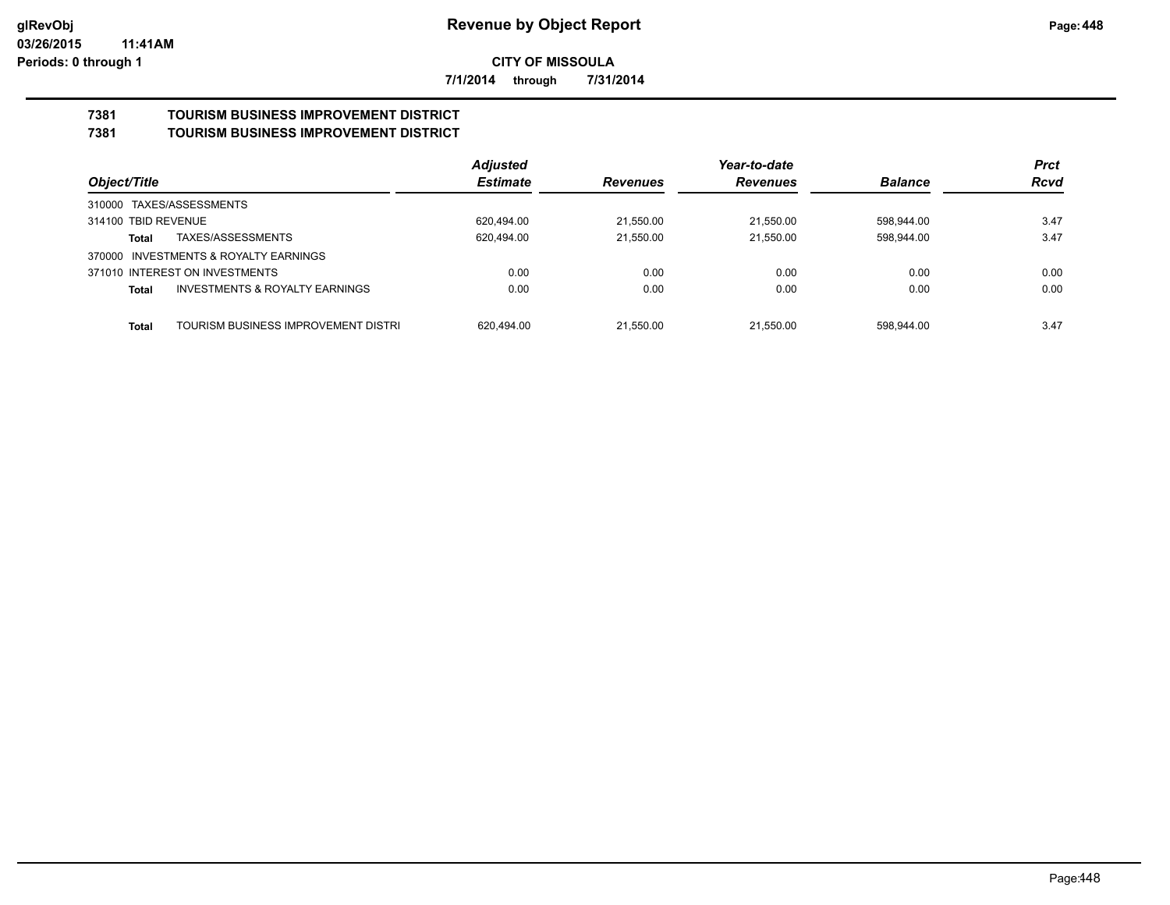**7/1/2014 through 7/31/2014**

#### **7381 TOURISM BUSINESS IMPROVEMENT DISTRICT 7381 TOURISM BUSINESS IMPROVEMENT DISTRICT**

|                                                    | <b>Adjusted</b> |                 | Year-to-date    |                | <b>Prct</b><br><b>Rcvd</b> |
|----------------------------------------------------|-----------------|-----------------|-----------------|----------------|----------------------------|
| Object/Title                                       | <b>Estimate</b> | <b>Revenues</b> | <b>Revenues</b> | <b>Balance</b> |                            |
| 310000 TAXES/ASSESSMENTS                           |                 |                 |                 |                |                            |
| 314100 TBID REVENUE                                | 620.494.00      | 21.550.00       | 21.550.00       | 598.944.00     | 3.47                       |
| TAXES/ASSESSMENTS<br>Total                         | 620.494.00      | 21.550.00       | 21.550.00       | 598.944.00     | 3.47                       |
| 370000 INVESTMENTS & ROYALTY EARNINGS              |                 |                 |                 |                |                            |
| 371010 INTEREST ON INVESTMENTS                     | 0.00            | 0.00            | 0.00            | 0.00           | 0.00                       |
| <b>INVESTMENTS &amp; ROYALTY EARNINGS</b><br>Total | 0.00            | 0.00            | 0.00            | 0.00           | 0.00                       |
| TOURISM BUSINESS IMPROVEMENT DISTRI<br>Total       | 620.494.00      | 21.550.00       | 21.550.00       | 598.944.00     | 3.47                       |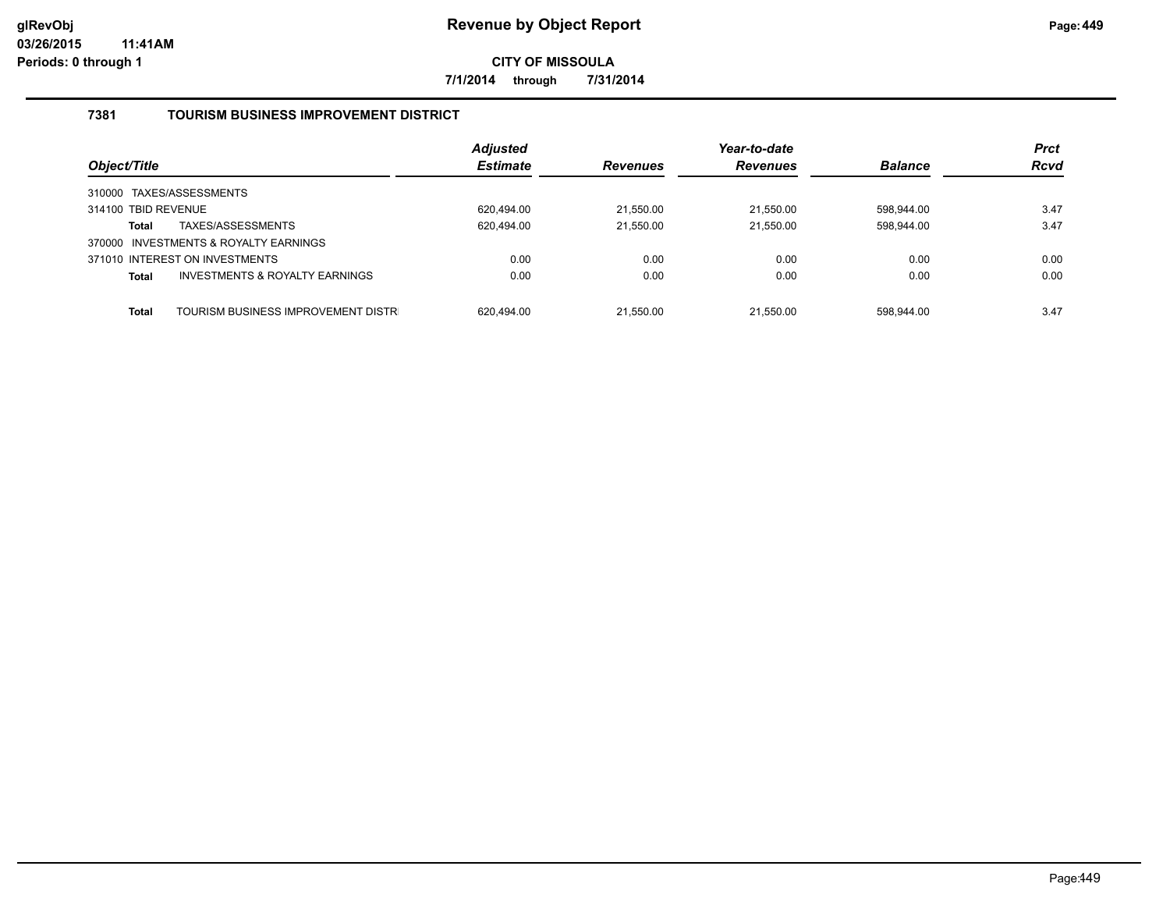**7/1/2014 through 7/31/2014**

# **7381 TOURISM BUSINESS IMPROVEMENT DISTRICT**

| Object/Title                                       | <b>Adjusted</b><br><b>Estimate</b> | <b>Revenues</b> | Year-to-date<br><b>Revenues</b> | <b>Balance</b> | <b>Prct</b><br><b>Rcvd</b> |
|----------------------------------------------------|------------------------------------|-----------------|---------------------------------|----------------|----------------------------|
| 310000 TAXES/ASSESSMENTS                           |                                    |                 |                                 |                |                            |
| 314100 TBID REVENUE                                | 620.494.00                         | 21.550.00       | 21.550.00                       | 598,944.00     | 3.47                       |
| TAXES/ASSESSMENTS<br><b>Total</b>                  | 620,494.00                         | 21,550.00       | 21,550.00                       | 598,944.00     | 3.47                       |
| 370000 INVESTMENTS & ROYALTY EARNINGS              |                                    |                 |                                 |                |                            |
| 371010 INTEREST ON INVESTMENTS                     | 0.00                               | 0.00            | 0.00                            | 0.00           | 0.00                       |
| INVESTMENTS & ROYALTY EARNINGS<br><b>Total</b>     | 0.00                               | 0.00            | 0.00                            | 0.00           | 0.00                       |
|                                                    |                                    |                 |                                 |                |                            |
| TOURISM BUSINESS IMPROVEMENT DISTR<br><b>Total</b> | 620.494.00                         | 21.550.00       | 21.550.00                       | 598.944.00     | 3.47                       |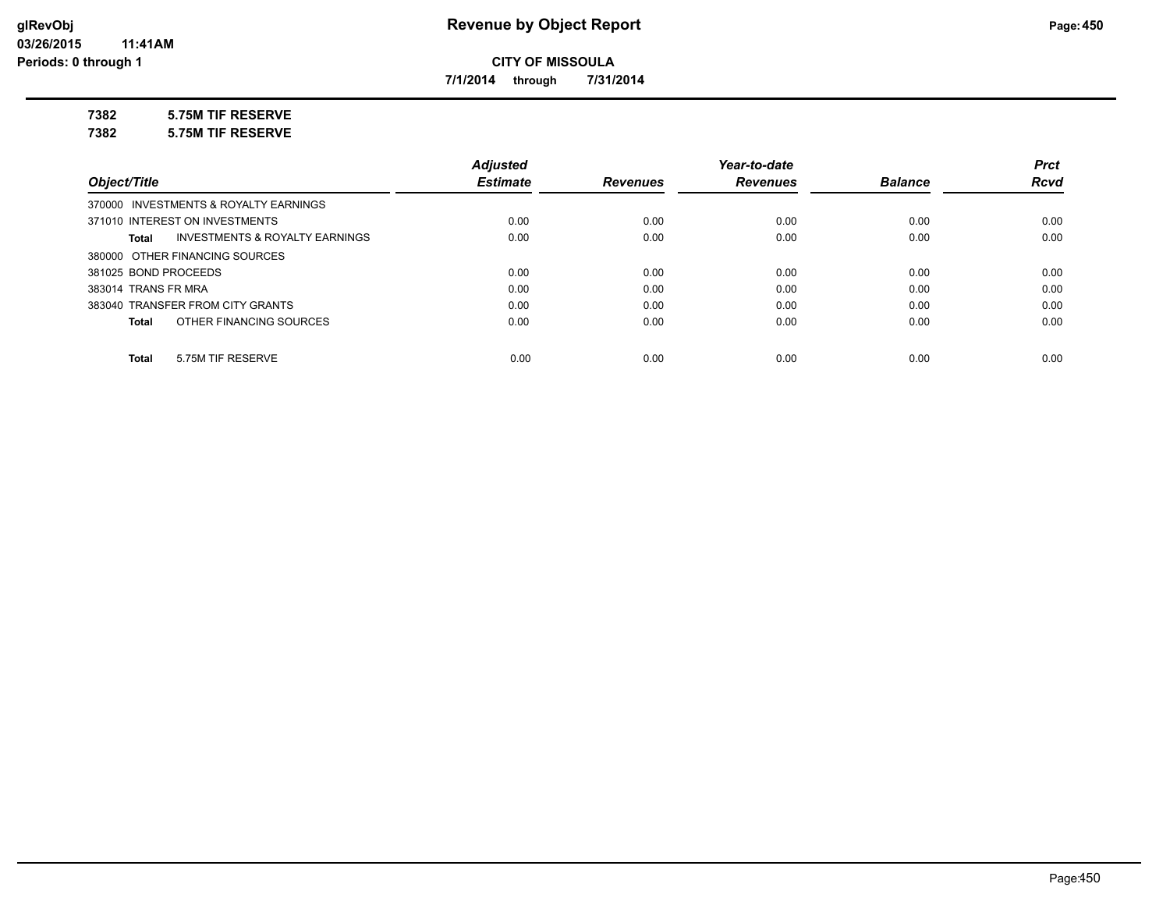**7/1/2014 through 7/31/2014**

**7382 5.75M TIF RESERVE**

**7382 5.75M TIF RESERVE**

|                                         | <b>Adjusted</b> |                 | Year-to-date    |                | <b>Prct</b> |
|-----------------------------------------|-----------------|-----------------|-----------------|----------------|-------------|
| Object/Title                            | <b>Estimate</b> | <b>Revenues</b> | <b>Revenues</b> | <b>Balance</b> | <b>Rcvd</b> |
| 370000 INVESTMENTS & ROYALTY EARNINGS   |                 |                 |                 |                |             |
| 371010 INTEREST ON INVESTMENTS          | 0.00            | 0.00            | 0.00            | 0.00           | 0.00        |
| INVESTMENTS & ROYALTY EARNINGS<br>Total | 0.00            | 0.00            | 0.00            | 0.00           | 0.00        |
| 380000 OTHER FINANCING SOURCES          |                 |                 |                 |                |             |
| 381025 BOND PROCEEDS                    | 0.00            | 0.00            | 0.00            | 0.00           | 0.00        |
| 383014 TRANS FR MRA                     | 0.00            | 0.00            | 0.00            | 0.00           | 0.00        |
| 383040 TRANSFER FROM CITY GRANTS        | 0.00            | 0.00            | 0.00            | 0.00           | 0.00        |
| OTHER FINANCING SOURCES<br>Total        | 0.00            | 0.00            | 0.00            | 0.00           | 0.00        |
|                                         |                 |                 |                 |                |             |
| 5.75M TIF RESERVE<br><b>Total</b>       | 0.00            | 0.00            | 0.00            | 0.00           | 0.00        |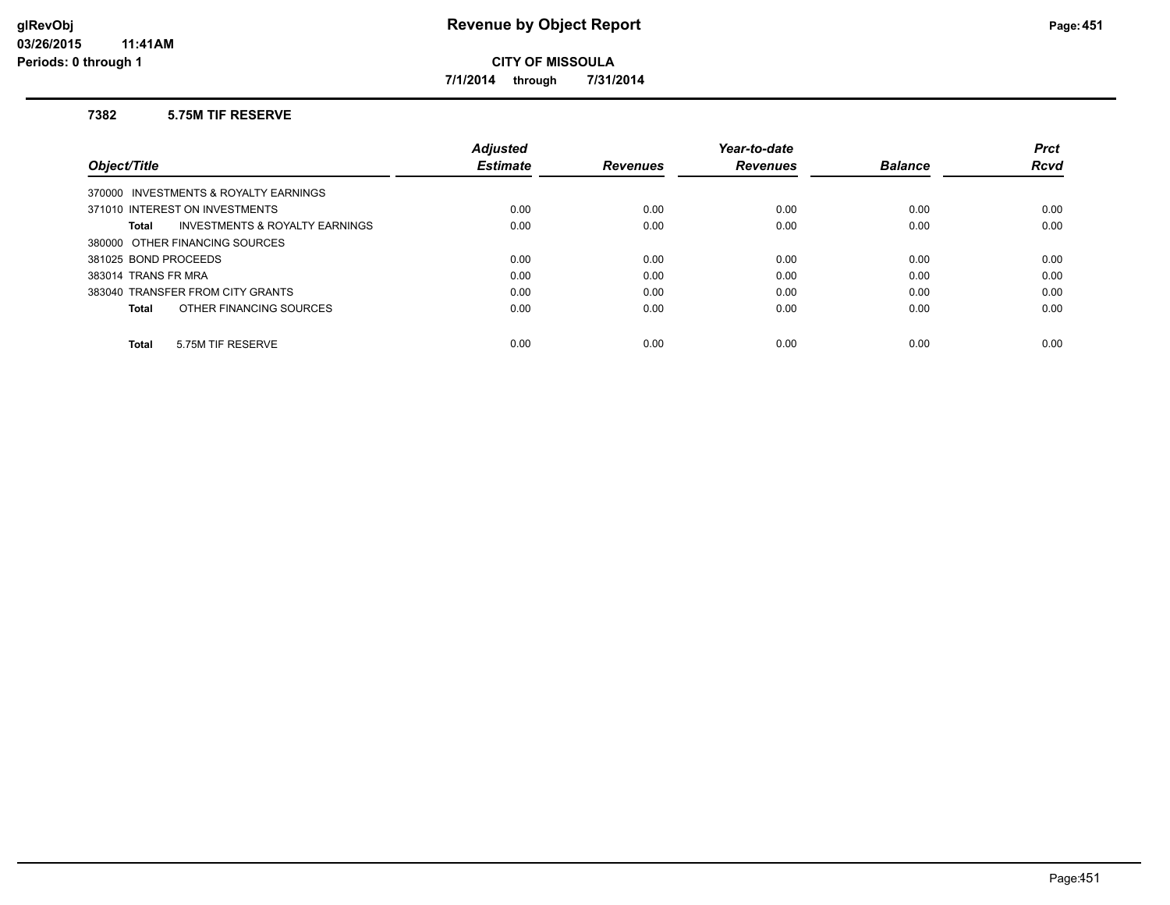**7/1/2014 through 7/31/2014**

#### **7382 5.75M TIF RESERVE**

|                                                    | <b>Adiusted</b> |                 | Year-to-date    |                | <b>Prct</b> |
|----------------------------------------------------|-----------------|-----------------|-----------------|----------------|-------------|
| Object/Title                                       | <b>Estimate</b> | <b>Revenues</b> | <b>Revenues</b> | <b>Balance</b> | Rcvd        |
| 370000 INVESTMENTS & ROYALTY EARNINGS              |                 |                 |                 |                |             |
| 371010 INTEREST ON INVESTMENTS                     | 0.00            | 0.00            | 0.00            | 0.00           | 0.00        |
| <b>INVESTMENTS &amp; ROYALTY EARNINGS</b><br>Total | 0.00            | 0.00            | 0.00            | 0.00           | 0.00        |
| 380000 OTHER FINANCING SOURCES                     |                 |                 |                 |                |             |
| 381025 BOND PROCEEDS                               | 0.00            | 0.00            | 0.00            | 0.00           | 0.00        |
| 383014 TRANS FR MRA                                | 0.00            | 0.00            | 0.00            | 0.00           | 0.00        |
| 383040 TRANSFER FROM CITY GRANTS                   | 0.00            | 0.00            | 0.00            | 0.00           | 0.00        |
| OTHER FINANCING SOURCES<br>Total                   | 0.00            | 0.00            | 0.00            | 0.00           | 0.00        |
|                                                    |                 |                 |                 |                |             |
| 5.75M TIF RESERVE<br><b>Total</b>                  | 0.00            | 0.00            | 0.00            | 0.00           | 0.00        |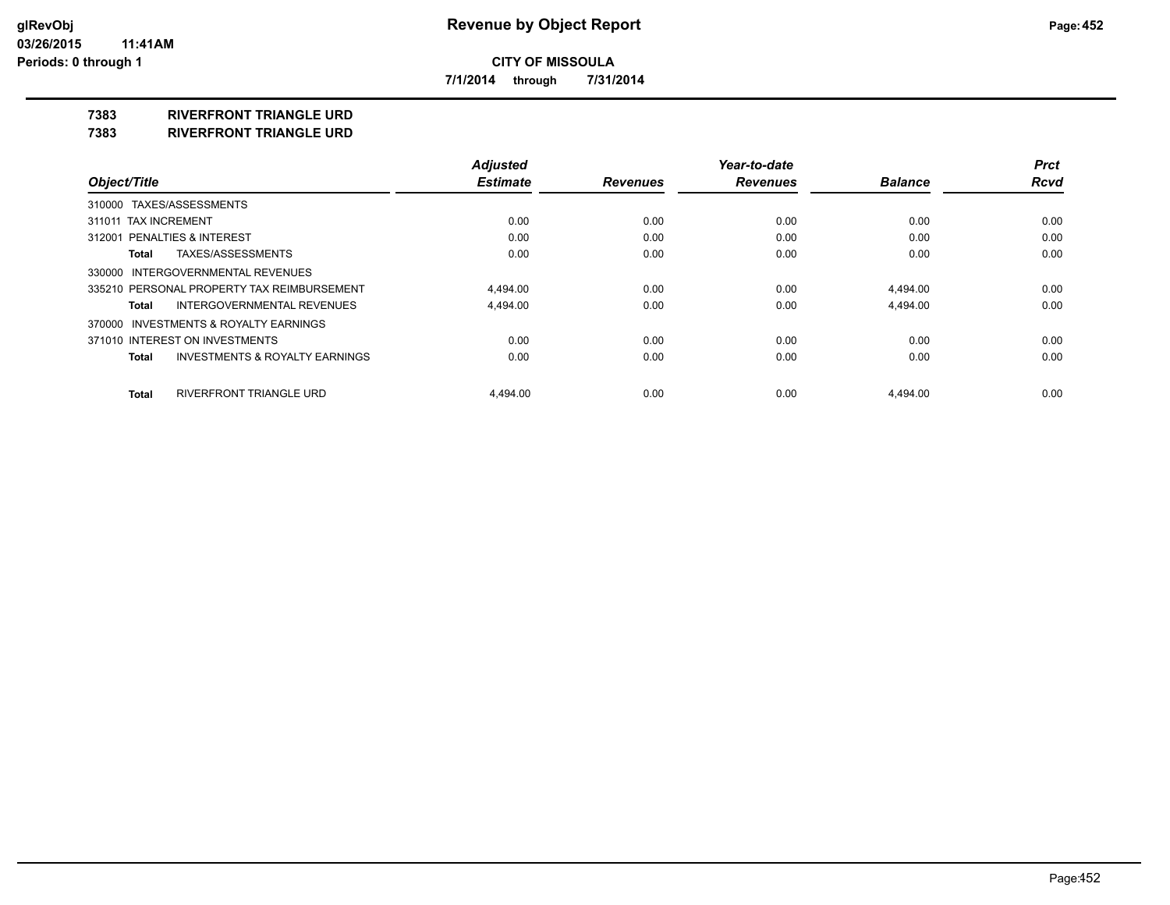**7/1/2014 through 7/31/2014**

# **7383 RIVERFRONT TRIANGLE URD**

**7383 RIVERFRONT TRIANGLE URD**

|                                            | <b>Adjusted</b> |                 | Year-to-date    |                | <b>Prct</b> |
|--------------------------------------------|-----------------|-----------------|-----------------|----------------|-------------|
| Object/Title                               | <b>Estimate</b> | <b>Revenues</b> | <b>Revenues</b> | <b>Balance</b> | <b>Rcvd</b> |
| 310000 TAXES/ASSESSMENTS                   |                 |                 |                 |                |             |
| 311011 TAX INCREMENT                       | 0.00            | 0.00            | 0.00            | 0.00           | 0.00        |
| 312001 PENALTIES & INTEREST                | 0.00            | 0.00            | 0.00            | 0.00           | 0.00        |
| TAXES/ASSESSMENTS<br>Total                 | 0.00            | 0.00            | 0.00            | 0.00           | 0.00        |
| 330000 INTERGOVERNMENTAL REVENUES          |                 |                 |                 |                |             |
| 335210 PERSONAL PROPERTY TAX REIMBURSEMENT | 4.494.00        | 0.00            | 0.00            | 4.494.00       | 0.00        |
| INTERGOVERNMENTAL REVENUES<br>Total        | 4,494.00        | 0.00            | 0.00            | 4,494.00       | 0.00        |
| 370000 INVESTMENTS & ROYALTY EARNINGS      |                 |                 |                 |                |             |
| 371010 INTEREST ON INVESTMENTS             | 0.00            | 0.00            | 0.00            | 0.00           | 0.00        |
| INVESTMENTS & ROYALTY EARNINGS<br>Total    | 0.00            | 0.00            | 0.00            | 0.00           | 0.00        |
| RIVERFRONT TRIANGLE URD<br>Total           | 4.494.00        | 0.00            | 0.00            | 4.494.00       | 0.00        |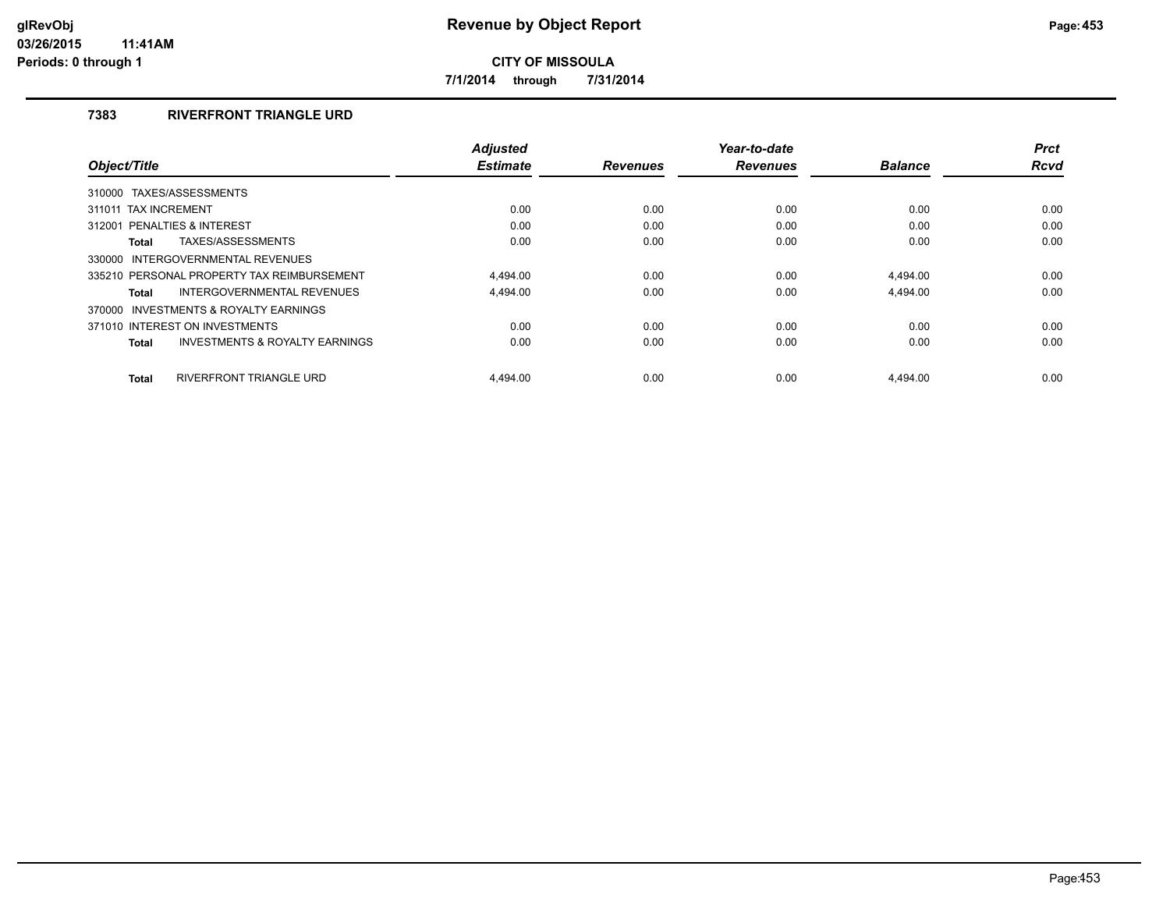**7/1/2014 through 7/31/2014**

# **7383 RIVERFRONT TRIANGLE URD**

| Object/Title                                       | <b>Adjusted</b><br><b>Estimate</b> | <b>Revenues</b> | Year-to-date<br><b>Revenues</b> | <b>Balance</b> | <b>Prct</b><br><b>Rcvd</b> |
|----------------------------------------------------|------------------------------------|-----------------|---------------------------------|----------------|----------------------------|
|                                                    |                                    |                 |                                 |                |                            |
| 310000 TAXES/ASSESSMENTS                           |                                    |                 |                                 |                |                            |
| 311011 TAX INCREMENT                               | 0.00                               | 0.00            | 0.00                            | 0.00           | 0.00                       |
| 312001 PENALTIES & INTEREST                        | 0.00                               | 0.00            | 0.00                            | 0.00           | 0.00                       |
| TAXES/ASSESSMENTS<br><b>Total</b>                  | 0.00                               | 0.00            | 0.00                            | 0.00           | 0.00                       |
| 330000 INTERGOVERNMENTAL REVENUES                  |                                    |                 |                                 |                |                            |
| 335210 PERSONAL PROPERTY TAX REIMBURSEMENT         | 4.494.00                           | 0.00            | 0.00                            | 4,494.00       | 0.00                       |
| INTERGOVERNMENTAL REVENUES<br>Total                | 4.494.00                           | 0.00            | 0.00                            | 4.494.00       | 0.00                       |
| 370000 INVESTMENTS & ROYALTY EARNINGS              |                                    |                 |                                 |                |                            |
| 371010 INTEREST ON INVESTMENTS                     | 0.00                               | 0.00            | 0.00                            | 0.00           | 0.00                       |
| <b>INVESTMENTS &amp; ROYALTY EARNINGS</b><br>Total | 0.00                               | 0.00            | 0.00                            | 0.00           | 0.00                       |
| <b>RIVERFRONT TRIANGLE URD</b><br><b>Total</b>     | 4.494.00                           | 0.00            | 0.00                            | 4.494.00       | 0.00                       |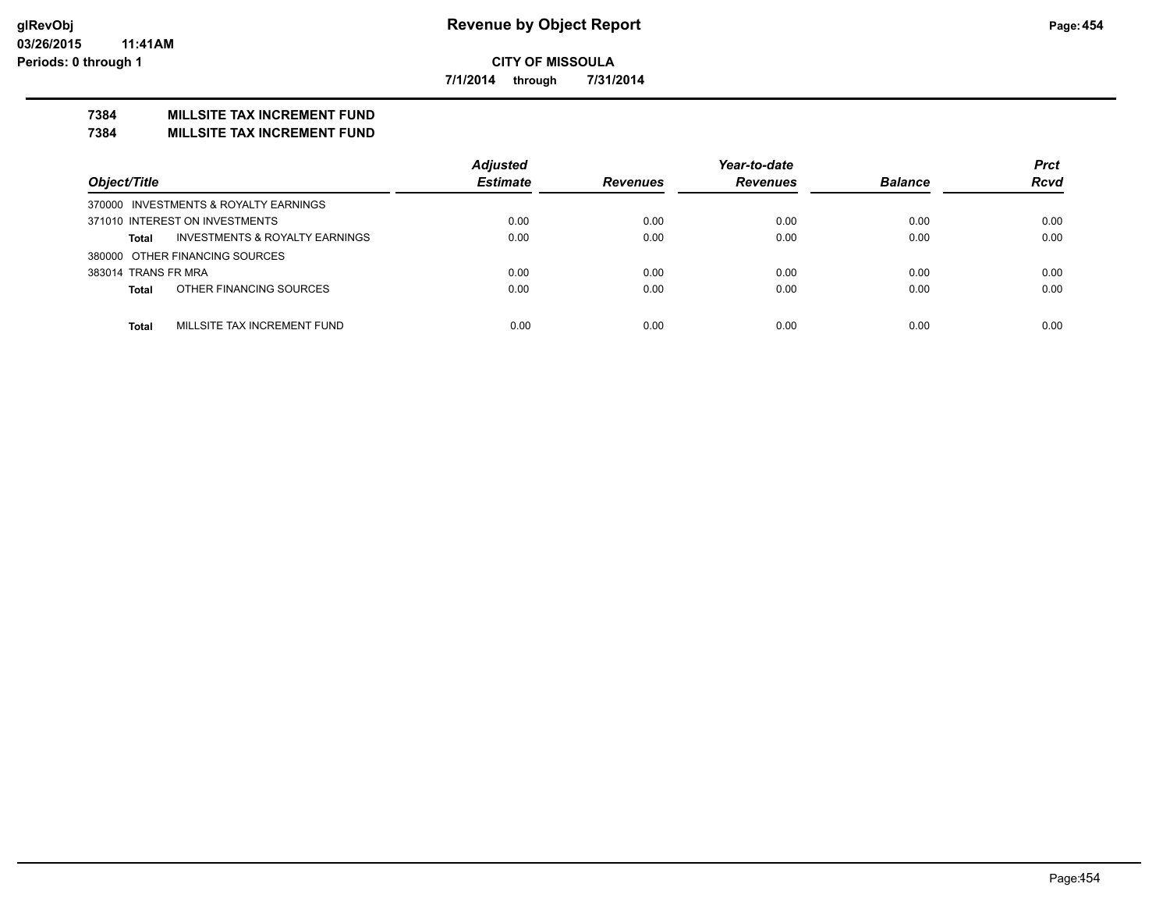**7/1/2014 through 7/31/2014**

# **7384 MILLSITE TAX INCREMENT FUND**

#### **7384 MILLSITE TAX INCREMENT FUND**

|                                                           | <b>Adjusted</b> |                 | Year-to-date    |                | <b>Prct</b> |
|-----------------------------------------------------------|-----------------|-----------------|-----------------|----------------|-------------|
| Object/Title                                              | <b>Estimate</b> | <b>Revenues</b> | <b>Revenues</b> | <b>Balance</b> | <b>Rcvd</b> |
| 370000 INVESTMENTS & ROYALTY EARNINGS                     |                 |                 |                 |                |             |
| 371010 INTEREST ON INVESTMENTS                            | 0.00            | 0.00            | 0.00            | 0.00           | 0.00        |
| <b>INVESTMENTS &amp; ROYALTY EARNINGS</b><br><b>Total</b> | 0.00            | 0.00            | 0.00            | 0.00           | 0.00        |
| 380000 OTHER FINANCING SOURCES                            |                 |                 |                 |                |             |
| 383014 TRANS FR MRA                                       | 0.00            | 0.00            | 0.00            | 0.00           | 0.00        |
| OTHER FINANCING SOURCES<br><b>Total</b>                   | 0.00            | 0.00            | 0.00            | 0.00           | 0.00        |
|                                                           |                 |                 |                 |                |             |
| MILLSITE TAX INCREMENT FUND<br><b>Total</b>               | 0.00            | 0.00            | 0.00            | 0.00           | 0.00        |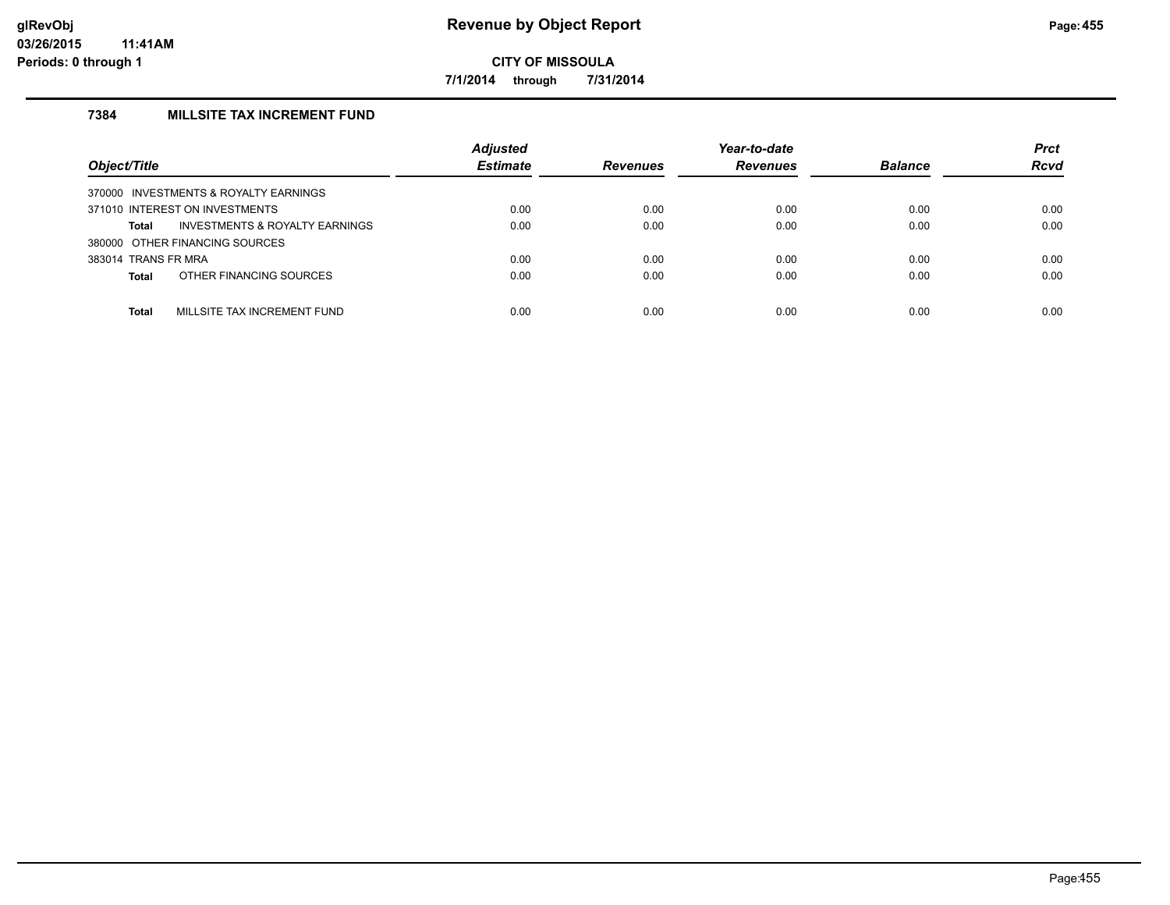**7/1/2014 through 7/31/2014**

# **7384 MILLSITE TAX INCREMENT FUND**

| Object/Title                             | <b>Adjusted</b><br><b>Estimate</b> | <b>Revenues</b> | Year-to-date<br><b>Revenues</b> | <b>Balance</b> | <b>Prct</b><br><b>Rcvd</b> |
|------------------------------------------|------------------------------------|-----------------|---------------------------------|----------------|----------------------------|
| INVESTMENTS & ROYALTY EARNINGS<br>370000 |                                    |                 |                                 |                |                            |
| 371010 INTEREST ON INVESTMENTS           | 0.00                               | 0.00            | 0.00                            | 0.00           | 0.00                       |
| INVESTMENTS & ROYALTY EARNINGS<br>Total  | 0.00                               | 0.00            | 0.00                            | 0.00           | 0.00                       |
| 380000 OTHER FINANCING SOURCES           |                                    |                 |                                 |                |                            |
| 383014 TRANS FR MRA                      | 0.00                               | 0.00            | 0.00                            | 0.00           | 0.00                       |
| OTHER FINANCING SOURCES<br><b>Total</b>  | 0.00                               | 0.00            | 0.00                            | 0.00           | 0.00                       |
| MILLSITE TAX INCREMENT FUND<br>Total     | 0.00                               | 0.00            | 0.00                            | 0.00           | 0.00                       |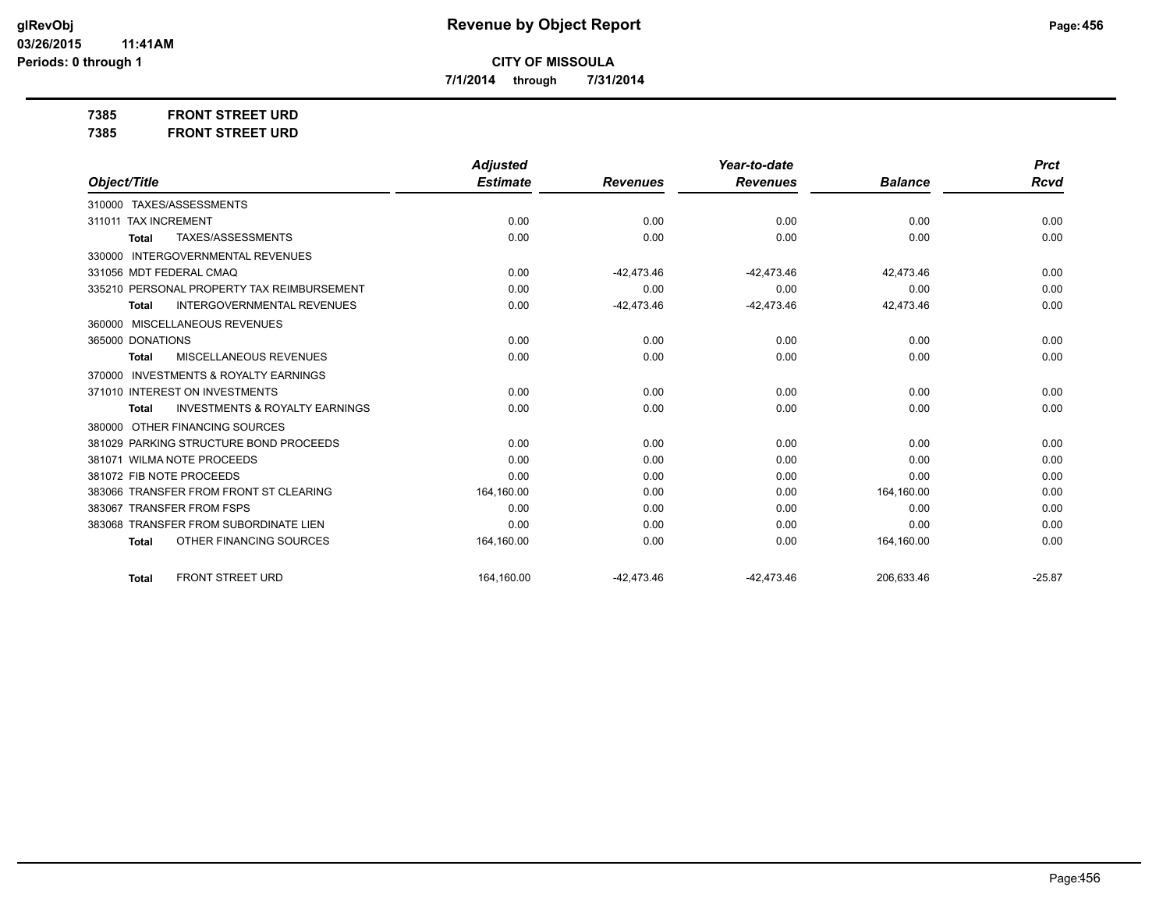**7/1/2014 through 7/31/2014**

**7385 FRONT STREET URD**

|                                                           | <b>Adjusted</b> |                 | Year-to-date    |                | <b>Prct</b> |
|-----------------------------------------------------------|-----------------|-----------------|-----------------|----------------|-------------|
| Object/Title                                              | <b>Estimate</b> | <b>Revenues</b> | <b>Revenues</b> | <b>Balance</b> | <b>Rcvd</b> |
| 310000 TAXES/ASSESSMENTS                                  |                 |                 |                 |                |             |
| 311011 TAX INCREMENT                                      | 0.00            | 0.00            | 0.00            | 0.00           | 0.00        |
| TAXES/ASSESSMENTS<br><b>Total</b>                         | 0.00            | 0.00            | 0.00            | 0.00           | 0.00        |
| <b>INTERGOVERNMENTAL REVENUES</b><br>330000               |                 |                 |                 |                |             |
| 331056 MDT FEDERAL CMAQ                                   | 0.00            | $-42.473.46$    | $-42,473.46$    | 42,473.46      | 0.00        |
| 335210 PERSONAL PROPERTY TAX REIMBURSEMENT                | 0.00            | 0.00            | 0.00            | 0.00           | 0.00        |
| <b>INTERGOVERNMENTAL REVENUES</b><br><b>Total</b>         | 0.00            | $-42,473.46$    | $-42,473.46$    | 42,473.46      | 0.00        |
| 360000 MISCELLANEOUS REVENUES                             |                 |                 |                 |                |             |
| 365000 DONATIONS                                          | 0.00            | 0.00            | 0.00            | 0.00           | 0.00        |
| MISCELLANEOUS REVENUES<br><b>Total</b>                    | 0.00            | 0.00            | 0.00            | 0.00           | 0.00        |
| <b>INVESTMENTS &amp; ROYALTY EARNINGS</b><br>370000       |                 |                 |                 |                |             |
| 371010 INTEREST ON INVESTMENTS                            | 0.00            | 0.00            | 0.00            | 0.00           | 0.00        |
| <b>INVESTMENTS &amp; ROYALTY EARNINGS</b><br><b>Total</b> | 0.00            | 0.00            | 0.00            | 0.00           | 0.00        |
| OTHER FINANCING SOURCES<br>380000                         |                 |                 |                 |                |             |
| 381029 PARKING STRUCTURE BOND PROCEEDS                    | 0.00            | 0.00            | 0.00            | 0.00           | 0.00        |
| 381071 WILMA NOTE PROCEEDS                                | 0.00            | 0.00            | 0.00            | 0.00           | 0.00        |
| 381072 FIB NOTE PROCEEDS                                  | 0.00            | 0.00            | 0.00            | 0.00           | 0.00        |
| 383066 TRANSFER FROM FRONT ST CLEARING                    | 164,160.00      | 0.00            | 0.00            | 164,160.00     | 0.00        |
| 383067 TRANSFER FROM FSPS                                 | 0.00            | 0.00            | 0.00            | 0.00           | 0.00        |
| 383068 TRANSFER FROM SUBORDINATE LIEN                     | 0.00            | 0.00            | 0.00            | 0.00           | 0.00        |
| OTHER FINANCING SOURCES<br><b>Total</b>                   | 164,160.00      | 0.00            | 0.00            | 164,160.00     | 0.00        |
| <b>FRONT STREET URD</b><br><b>Total</b>                   | 164,160.00      | $-42.473.46$    | $-42.473.46$    | 206,633.46     | $-25.87$    |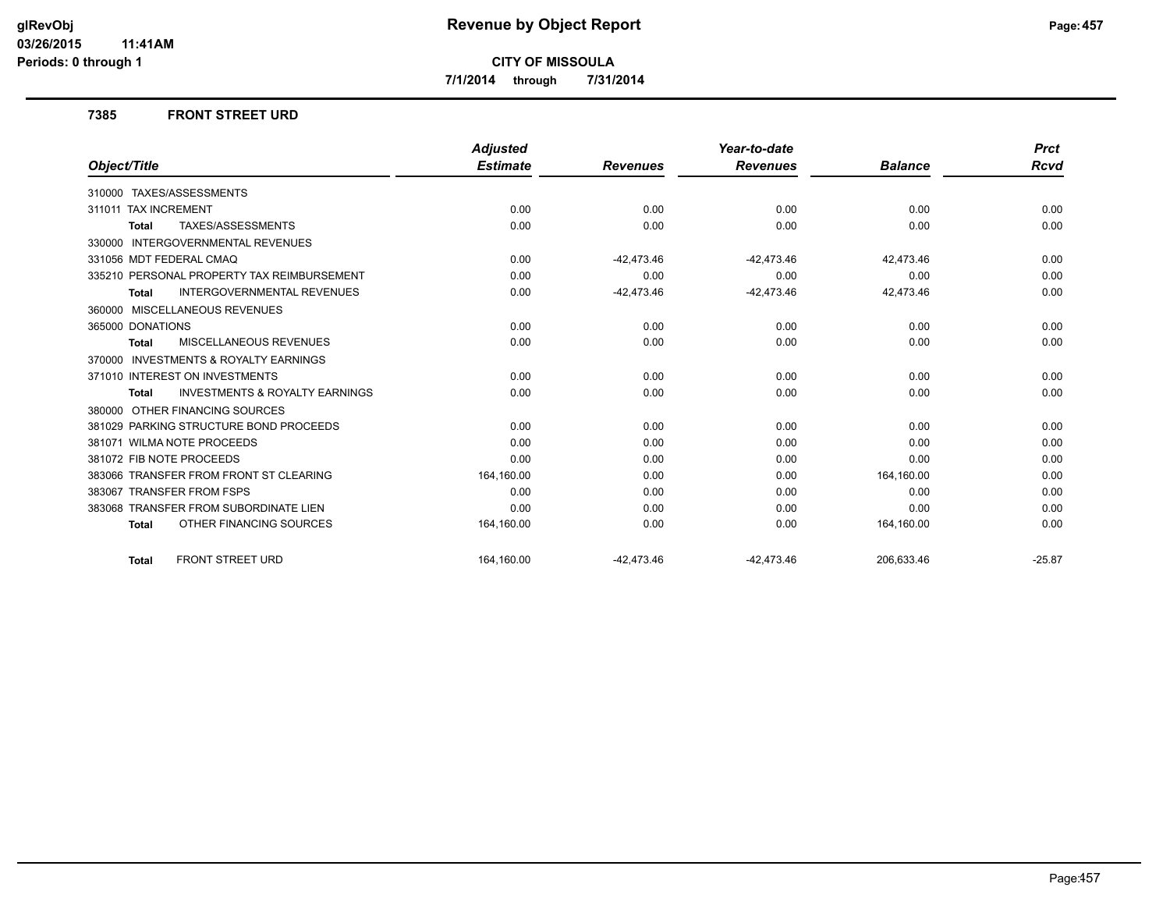**7/1/2014 through 7/31/2014**

#### **7385 FRONT STREET URD**

|                                                           | <b>Adjusted</b> |                 | Year-to-date    |                | <b>Prct</b> |
|-----------------------------------------------------------|-----------------|-----------------|-----------------|----------------|-------------|
| Object/Title                                              | <b>Estimate</b> | <b>Revenues</b> | <b>Revenues</b> | <b>Balance</b> | <b>Rcvd</b> |
| 310000 TAXES/ASSESSMENTS                                  |                 |                 |                 |                |             |
| 311011 TAX INCREMENT                                      | 0.00            | 0.00            | 0.00            | 0.00           | 0.00        |
| <b>TAXES/ASSESSMENTS</b><br><b>Total</b>                  | 0.00            | 0.00            | 0.00            | 0.00           | 0.00        |
| <b>INTERGOVERNMENTAL REVENUES</b><br>330000               |                 |                 |                 |                |             |
| 331056 MDT FEDERAL CMAQ                                   | 0.00            | $-42,473.46$    | $-42,473.46$    | 42.473.46      | 0.00        |
| 335210 PERSONAL PROPERTY TAX REIMBURSEMENT                | 0.00            | 0.00            | 0.00            | 0.00           | 0.00        |
| <b>INTERGOVERNMENTAL REVENUES</b><br><b>Total</b>         | 0.00            | $-42,473.46$    | $-42,473.46$    | 42,473.46      | 0.00        |
| 360000 MISCELLANEOUS REVENUES                             |                 |                 |                 |                |             |
| 365000 DONATIONS                                          | 0.00            | 0.00            | 0.00            | 0.00           | 0.00        |
| MISCELLANEOUS REVENUES<br><b>Total</b>                    | 0.00            | 0.00            | 0.00            | 0.00           | 0.00        |
| <b>INVESTMENTS &amp; ROYALTY EARNINGS</b><br>370000       |                 |                 |                 |                |             |
| 371010 INTEREST ON INVESTMENTS                            | 0.00            | 0.00            | 0.00            | 0.00           | 0.00        |
| <b>INVESTMENTS &amp; ROYALTY EARNINGS</b><br><b>Total</b> | 0.00            | 0.00            | 0.00            | 0.00           | 0.00        |
| 380000 OTHER FINANCING SOURCES                            |                 |                 |                 |                |             |
| 381029 PARKING STRUCTURE BOND PROCEEDS                    | 0.00            | 0.00            | 0.00            | 0.00           | 0.00        |
| 381071 WILMA NOTE PROCEEDS                                | 0.00            | 0.00            | 0.00            | 0.00           | 0.00        |
| 381072 FIB NOTE PROCEEDS                                  | 0.00            | 0.00            | 0.00            | 0.00           | 0.00        |
| 383066 TRANSFER FROM FRONT ST CLEARING                    | 164,160.00      | 0.00            | 0.00            | 164,160.00     | 0.00        |
| 383067 TRANSFER FROM FSPS                                 | 0.00            | 0.00            | 0.00            | 0.00           | 0.00        |
| 383068 TRANSFER FROM SUBORDINATE LIEN                     | 0.00            | 0.00            | 0.00            | 0.00           | 0.00        |
| OTHER FINANCING SOURCES<br><b>Total</b>                   | 164,160.00      | 0.00            | 0.00            | 164,160.00     | 0.00        |
| <b>FRONT STREET URD</b><br><b>Total</b>                   | 164.160.00      | $-42,473.46$    | $-42,473.46$    | 206.633.46     | $-25.87$    |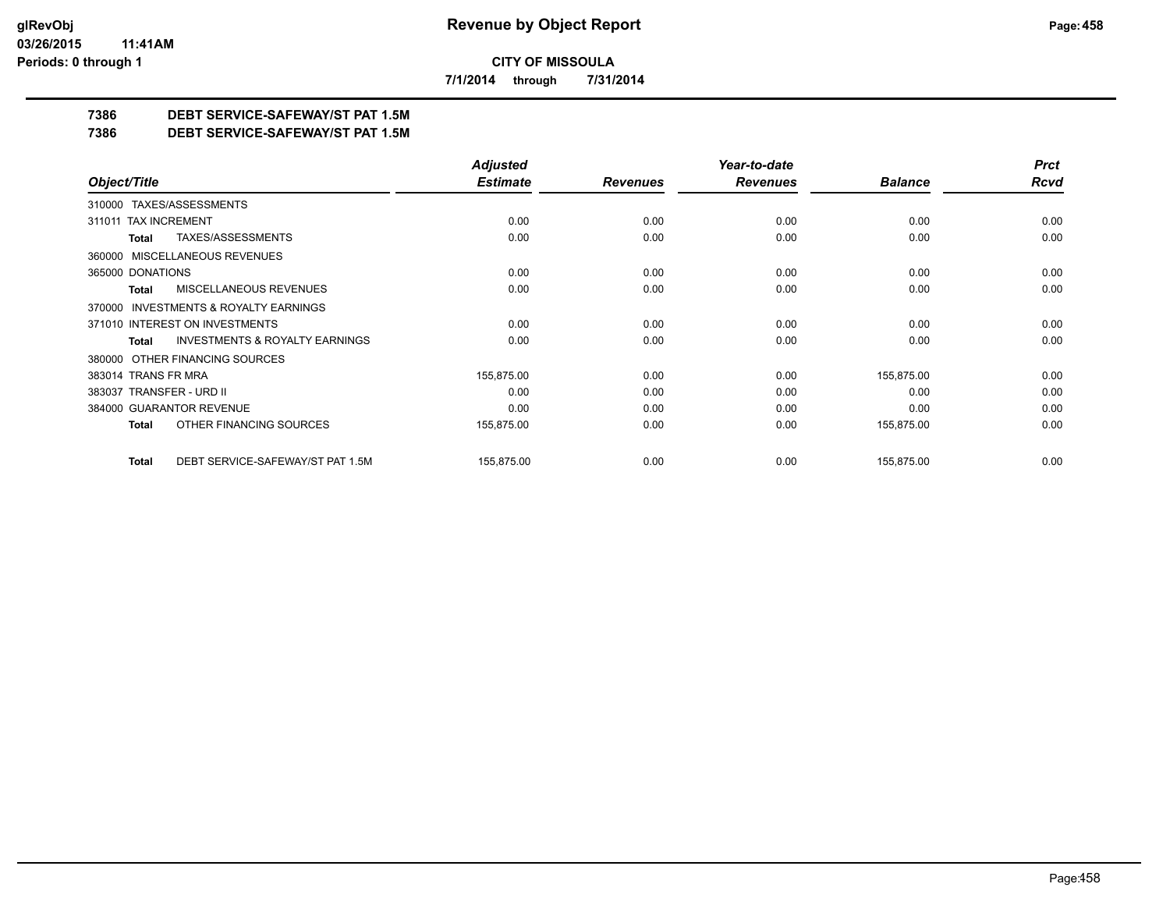**7/1/2014 through 7/31/2014**

# **7386 DEBT SERVICE-SAFEWAY/ST PAT 1.5M**

**7386 DEBT SERVICE-SAFEWAY/ST PAT 1.5M**

|                                                    | <b>Adjusted</b> |                 | Year-to-date    |                | <b>Prct</b> |
|----------------------------------------------------|-----------------|-----------------|-----------------|----------------|-------------|
| Object/Title                                       | <b>Estimate</b> | <b>Revenues</b> | <b>Revenues</b> | <b>Balance</b> | <b>Rcvd</b> |
| 310000 TAXES/ASSESSMENTS                           |                 |                 |                 |                |             |
| <b>TAX INCREMENT</b><br>311011                     | 0.00            | 0.00            | 0.00            | 0.00           | 0.00        |
| TAXES/ASSESSMENTS<br>Total                         | 0.00            | 0.00            | 0.00            | 0.00           | 0.00        |
| 360000 MISCELLANEOUS REVENUES                      |                 |                 |                 |                |             |
| 365000 DONATIONS                                   | 0.00            | 0.00            | 0.00            | 0.00           | 0.00        |
| <b>MISCELLANEOUS REVENUES</b><br>Total             | 0.00            | 0.00            | 0.00            | 0.00           | 0.00        |
| 370000 INVESTMENTS & ROYALTY EARNINGS              |                 |                 |                 |                |             |
| 371010 INTEREST ON INVESTMENTS                     | 0.00            | 0.00            | 0.00            | 0.00           | 0.00        |
| <b>INVESTMENTS &amp; ROYALTY EARNINGS</b><br>Total | 0.00            | 0.00            | 0.00            | 0.00           | 0.00        |
| OTHER FINANCING SOURCES<br>380000                  |                 |                 |                 |                |             |
| 383014 TRANS FR MRA                                | 155,875.00      | 0.00            | 0.00            | 155,875.00     | 0.00        |
| 383037 TRANSFER - URD II                           | 0.00            | 0.00            | 0.00            | 0.00           | 0.00        |
| 384000 GUARANTOR REVENUE                           | 0.00            | 0.00            | 0.00            | 0.00           | 0.00        |
| OTHER FINANCING SOURCES<br>Total                   | 155,875.00      | 0.00            | 0.00            | 155,875.00     | 0.00        |
| DEBT SERVICE-SAFEWAY/ST PAT 1.5M<br><b>Total</b>   | 155,875.00      | 0.00            | 0.00            | 155,875.00     | 0.00        |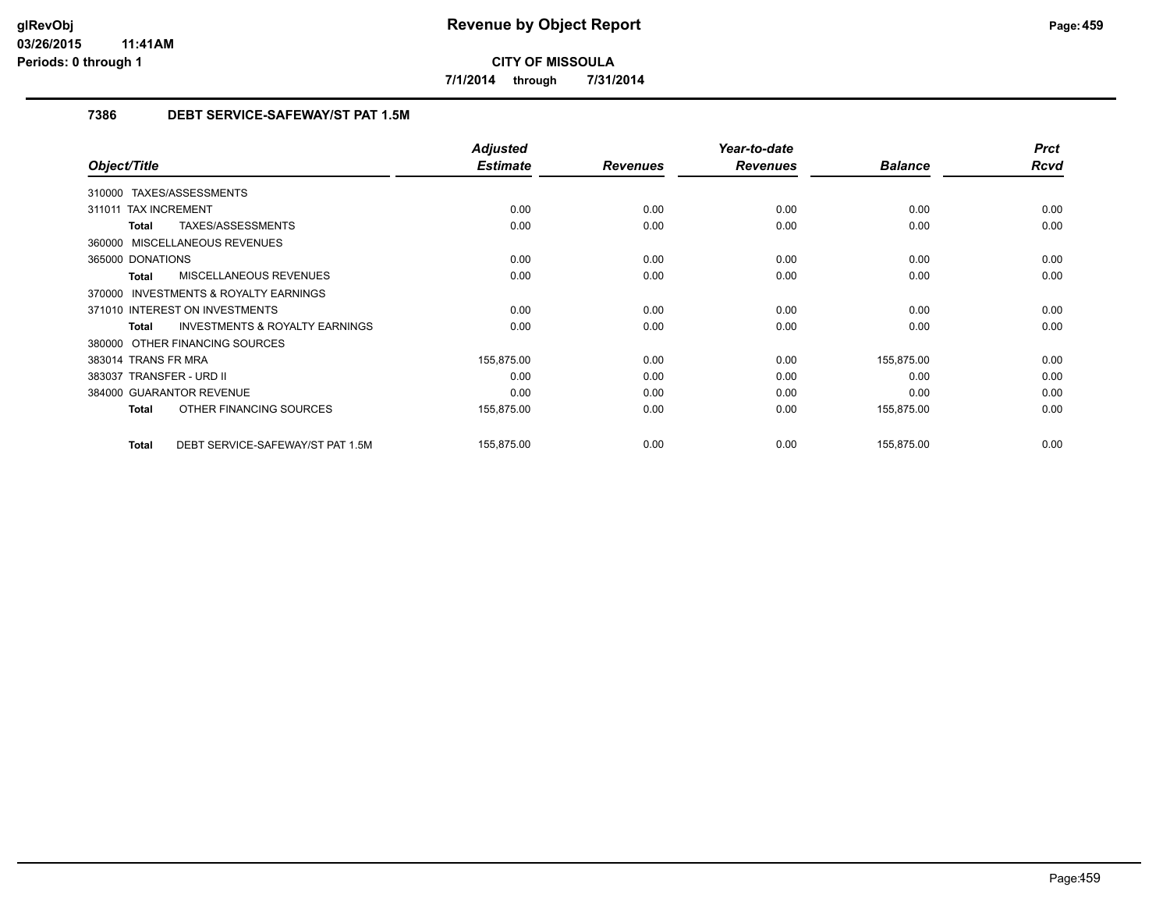**7/1/2014 through 7/31/2014**

# **7386 DEBT SERVICE-SAFEWAY/ST PAT 1.5M**

|                                                           | <b>Adjusted</b> |                 | Year-to-date    |                | <b>Prct</b> |
|-----------------------------------------------------------|-----------------|-----------------|-----------------|----------------|-------------|
| Object/Title                                              | <b>Estimate</b> | <b>Revenues</b> | <b>Revenues</b> | <b>Balance</b> | <b>Rcvd</b> |
| 310000 TAXES/ASSESSMENTS                                  |                 |                 |                 |                |             |
| 311011 TAX INCREMENT                                      | 0.00            | 0.00            | 0.00            | 0.00           | 0.00        |
| TAXES/ASSESSMENTS<br><b>Total</b>                         | 0.00            | 0.00            | 0.00            | 0.00           | 0.00        |
| 360000 MISCELLANEOUS REVENUES                             |                 |                 |                 |                |             |
| 365000 DONATIONS                                          | 0.00            | 0.00            | 0.00            | 0.00           | 0.00        |
| MISCELLANEOUS REVENUES<br><b>Total</b>                    | 0.00            | 0.00            | 0.00            | 0.00           | 0.00        |
| <b>INVESTMENTS &amp; ROYALTY EARNINGS</b><br>370000       |                 |                 |                 |                |             |
| 371010 INTEREST ON INVESTMENTS                            | 0.00            | 0.00            | 0.00            | 0.00           | 0.00        |
| <b>INVESTMENTS &amp; ROYALTY EARNINGS</b><br><b>Total</b> | 0.00            | 0.00            | 0.00            | 0.00           | 0.00        |
| 380000 OTHER FINANCING SOURCES                            |                 |                 |                 |                |             |
| 383014 TRANS FR MRA                                       | 155,875.00      | 0.00            | 0.00            | 155,875.00     | 0.00        |
| 383037 TRANSFER - URD II                                  | 0.00            | 0.00            | 0.00            | 0.00           | 0.00        |
| 384000 GUARANTOR REVENUE                                  | 0.00            | 0.00            | 0.00            | 0.00           | 0.00        |
| OTHER FINANCING SOURCES<br><b>Total</b>                   | 155,875.00      | 0.00            | 0.00            | 155,875.00     | 0.00        |
| DEBT SERVICE-SAFEWAY/ST PAT 1.5M<br><b>Total</b>          | 155,875.00      | 0.00            | 0.00            | 155,875.00     | 0.00        |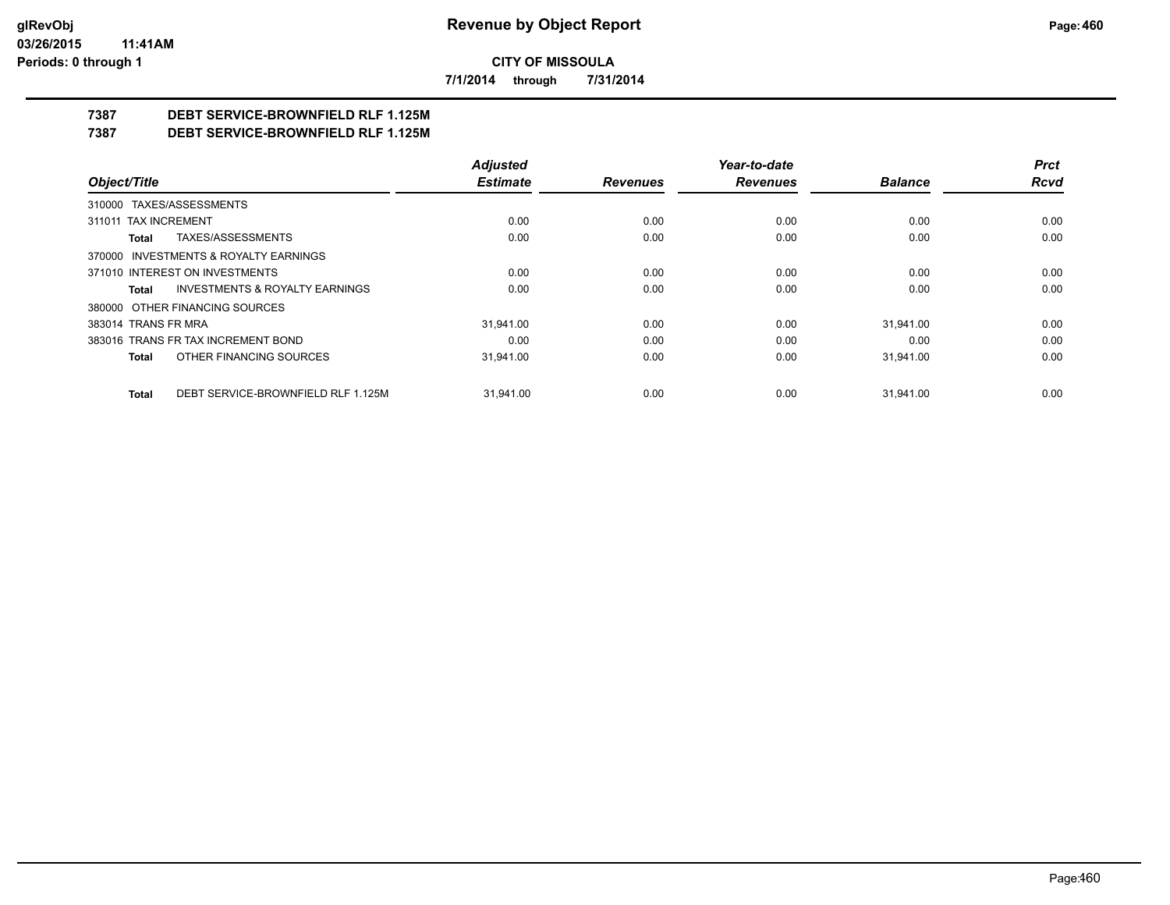**7/1/2014 through 7/31/2014**

# **7387 DEBT SERVICE-BROWNFIELD RLF 1.125M**

**7387 DEBT SERVICE-BROWNFIELD RLF 1.125M**

|                                                    | <b>Adjusted</b> |                 | Year-to-date    |                | Prct |
|----------------------------------------------------|-----------------|-----------------|-----------------|----------------|------|
| Object/Title                                       | <b>Estimate</b> | <b>Revenues</b> | <b>Revenues</b> | <b>Balance</b> | Rcvd |
| 310000 TAXES/ASSESSMENTS                           |                 |                 |                 |                |      |
| 311011 TAX INCREMENT                               | 0.00            | 0.00            | 0.00            | 0.00           | 0.00 |
| TAXES/ASSESSMENTS<br>Total                         | 0.00            | 0.00            | 0.00            | 0.00           | 0.00 |
| 370000 INVESTMENTS & ROYALTY EARNINGS              |                 |                 |                 |                |      |
| 371010 INTEREST ON INVESTMENTS                     | 0.00            | 0.00            | 0.00            | 0.00           | 0.00 |
| <b>INVESTMENTS &amp; ROYALTY EARNINGS</b><br>Total | 0.00            | 0.00            | 0.00            | 0.00           | 0.00 |
| 380000 OTHER FINANCING SOURCES                     |                 |                 |                 |                |      |
| 383014 TRANS FR MRA                                | 31.941.00       | 0.00            | 0.00            | 31.941.00      | 0.00 |
| 383016 TRANS FR TAX INCREMENT BOND                 | 0.00            | 0.00            | 0.00            | 0.00           | 0.00 |
| OTHER FINANCING SOURCES<br>Total                   | 31,941.00       | 0.00            | 0.00            | 31,941.00      | 0.00 |
| DEBT SERVICE-BROWNFIELD RLF 1.125M<br><b>Total</b> | 31.941.00       | 0.00            | 0.00            | 31.941.00      | 0.00 |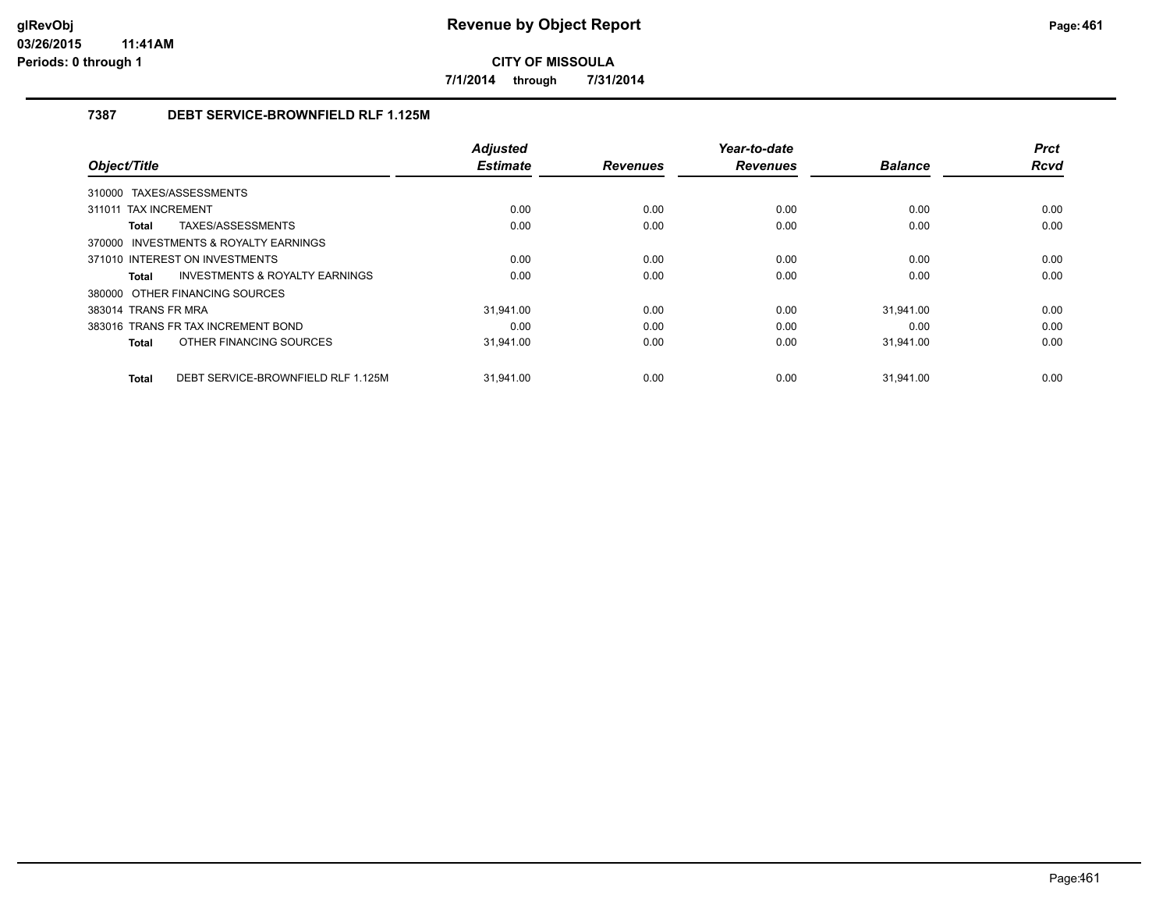**7/1/2014 through 7/31/2014**

# **7387 DEBT SERVICE-BROWNFIELD RLF 1.125M**

|                                             | <b>Adjusted</b> |                 | Year-to-date    |                | <b>Prct</b> |
|---------------------------------------------|-----------------|-----------------|-----------------|----------------|-------------|
| Object/Title                                | <b>Estimate</b> | <b>Revenues</b> | <b>Revenues</b> | <b>Balance</b> | <b>Rcvd</b> |
| 310000 TAXES/ASSESSMENTS                    |                 |                 |                 |                |             |
| 311011 TAX INCREMENT                        | 0.00            | 0.00            | 0.00            | 0.00           | 0.00        |
| TAXES/ASSESSMENTS<br>Total                  | 0.00            | 0.00            | 0.00            | 0.00           | 0.00        |
| 370000 INVESTMENTS & ROYALTY EARNINGS       |                 |                 |                 |                |             |
| 371010 INTEREST ON INVESTMENTS              | 0.00            | 0.00            | 0.00            | 0.00           | 0.00        |
| INVESTMENTS & ROYALTY EARNINGS<br>Total     | 0.00            | 0.00            | 0.00            | 0.00           | 0.00        |
| 380000 OTHER FINANCING SOURCES              |                 |                 |                 |                |             |
| 383014 TRANS FR MRA                         | 31.941.00       | 0.00            | 0.00            | 31.941.00      | 0.00        |
| 383016 TRANS FR TAX INCREMENT BOND          | 0.00            | 0.00            | 0.00            | 0.00           | 0.00        |
| OTHER FINANCING SOURCES<br>Total            | 31,941.00       | 0.00            | 0.00            | 31,941.00      | 0.00        |
|                                             |                 |                 |                 |                |             |
| DEBT SERVICE-BROWNFIELD RLF 1.125M<br>Total | 31.941.00       | 0.00            | 0.00            | 31.941.00      | 0.00        |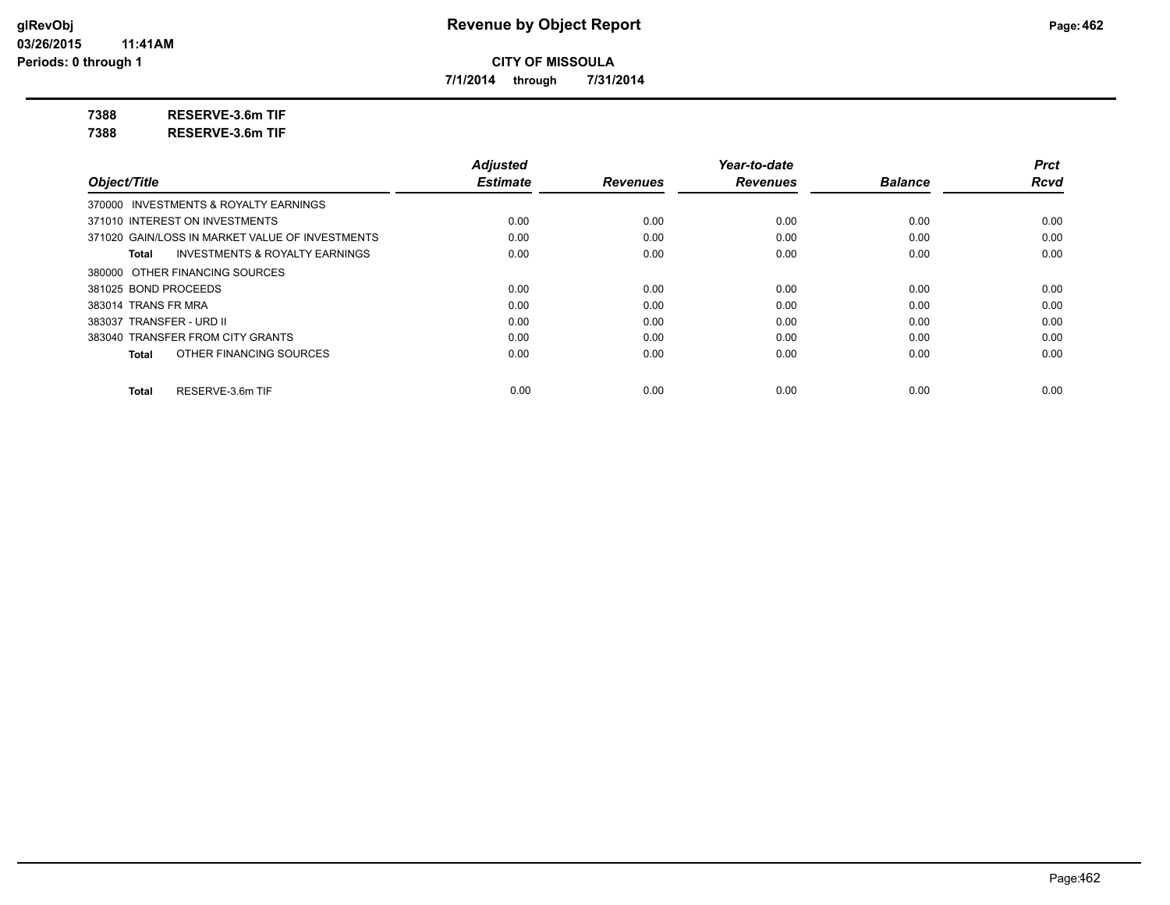**7/1/2014 through 7/31/2014**

**7388 RESERVE-3.6m TIF**

**7388 RESERVE-3.6m TIF**

|                                                    | <b>Adjusted</b> |                 | Year-to-date    |                | <b>Prct</b> |
|----------------------------------------------------|-----------------|-----------------|-----------------|----------------|-------------|
| Object/Title                                       | <b>Estimate</b> | <b>Revenues</b> | <b>Revenues</b> | <b>Balance</b> | <b>Rcvd</b> |
| 370000 INVESTMENTS & ROYALTY EARNINGS              |                 |                 |                 |                |             |
| 371010 INTEREST ON INVESTMENTS                     | 0.00            | 0.00            | 0.00            | 0.00           | 0.00        |
| 371020 GAIN/LOSS IN MARKET VALUE OF INVESTMENTS    | 0.00            | 0.00            | 0.00            | 0.00           | 0.00        |
| <b>INVESTMENTS &amp; ROYALTY EARNINGS</b><br>Total | 0.00            | 0.00            | 0.00            | 0.00           | 0.00        |
| 380000 OTHER FINANCING SOURCES                     |                 |                 |                 |                |             |
| 381025 BOND PROCEEDS                               | 0.00            | 0.00            | 0.00            | 0.00           | 0.00        |
| 383014 TRANS FR MRA                                | 0.00            | 0.00            | 0.00            | 0.00           | 0.00        |
| 383037 TRANSFER - URD II                           | 0.00            | 0.00            | 0.00            | 0.00           | 0.00        |
| 383040 TRANSFER FROM CITY GRANTS                   | 0.00            | 0.00            | 0.00            | 0.00           | 0.00        |
| OTHER FINANCING SOURCES<br>Total                   | 0.00            | 0.00            | 0.00            | 0.00           | 0.00        |
| RESERVE-3.6m TIF<br>Total                          | 0.00            | 0.00            | 0.00            | 0.00           | 0.00        |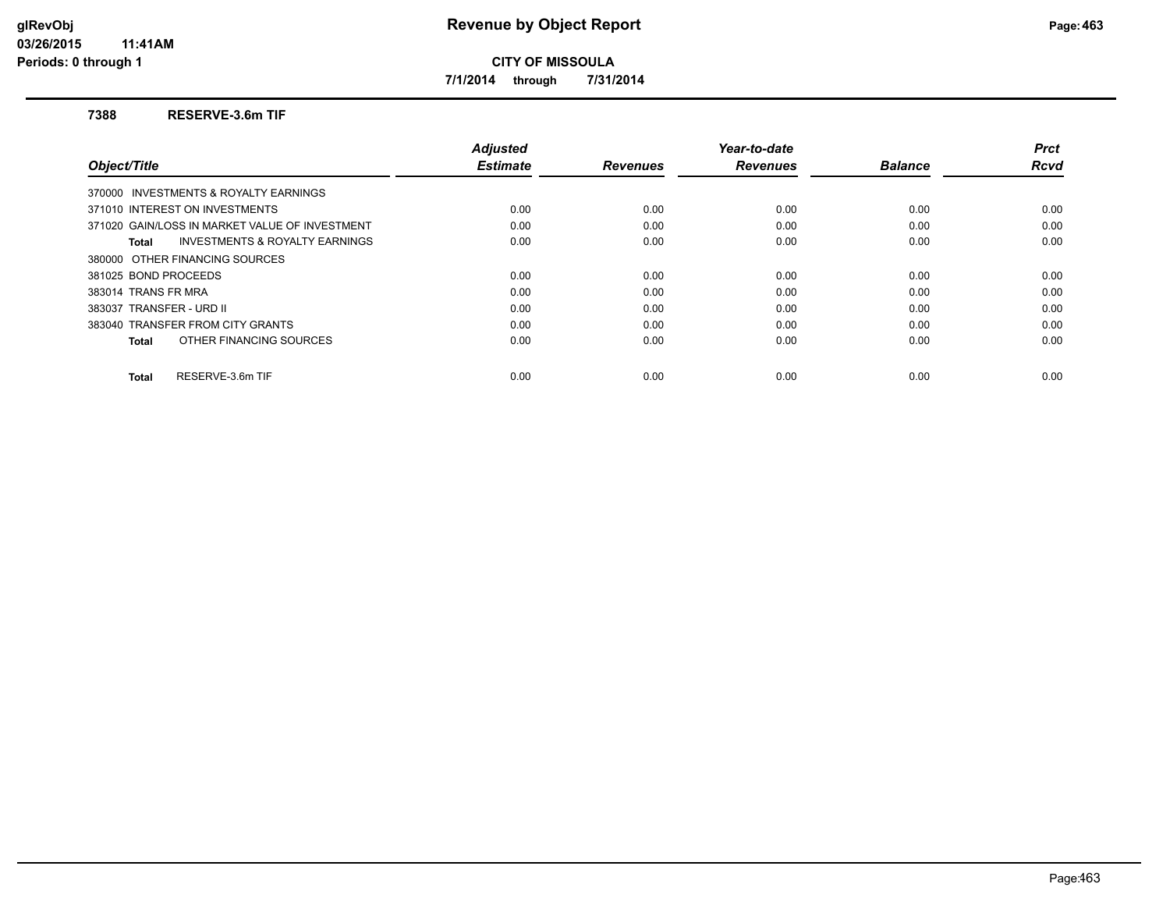**7/1/2014 through 7/31/2014**

#### **7388 RESERVE-3.6m TIF**

|                                                    | <b>Adjusted</b> |                 | Year-to-date    |                | <b>Prct</b> |
|----------------------------------------------------|-----------------|-----------------|-----------------|----------------|-------------|
| Object/Title                                       | <b>Estimate</b> | <b>Revenues</b> | <b>Revenues</b> | <b>Balance</b> | Rcvd        |
| 370000 INVESTMENTS & ROYALTY EARNINGS              |                 |                 |                 |                |             |
| 371010 INTEREST ON INVESTMENTS                     | 0.00            | 0.00            | 0.00            | 0.00           | 0.00        |
| 371020 GAIN/LOSS IN MARKET VALUE OF INVESTMENT     | 0.00            | 0.00            | 0.00            | 0.00           | 0.00        |
| <b>INVESTMENTS &amp; ROYALTY EARNINGS</b><br>Total | 0.00            | 0.00            | 0.00            | 0.00           | 0.00        |
| 380000 OTHER FINANCING SOURCES                     |                 |                 |                 |                |             |
| 381025 BOND PROCEEDS                               | 0.00            | 0.00            | 0.00            | 0.00           | 0.00        |
| 383014 TRANS FR MRA                                | 0.00            | 0.00            | 0.00            | 0.00           | 0.00        |
| 383037 TRANSFER - URD II                           | 0.00            | 0.00            | 0.00            | 0.00           | 0.00        |
| 383040 TRANSFER FROM CITY GRANTS                   | 0.00            | 0.00            | 0.00            | 0.00           | 0.00        |
| OTHER FINANCING SOURCES<br>Total                   | 0.00            | 0.00            | 0.00            | 0.00           | 0.00        |
| RESERVE-3.6m TIF<br>Total                          | 0.00            | 0.00            | 0.00            | 0.00           | 0.00        |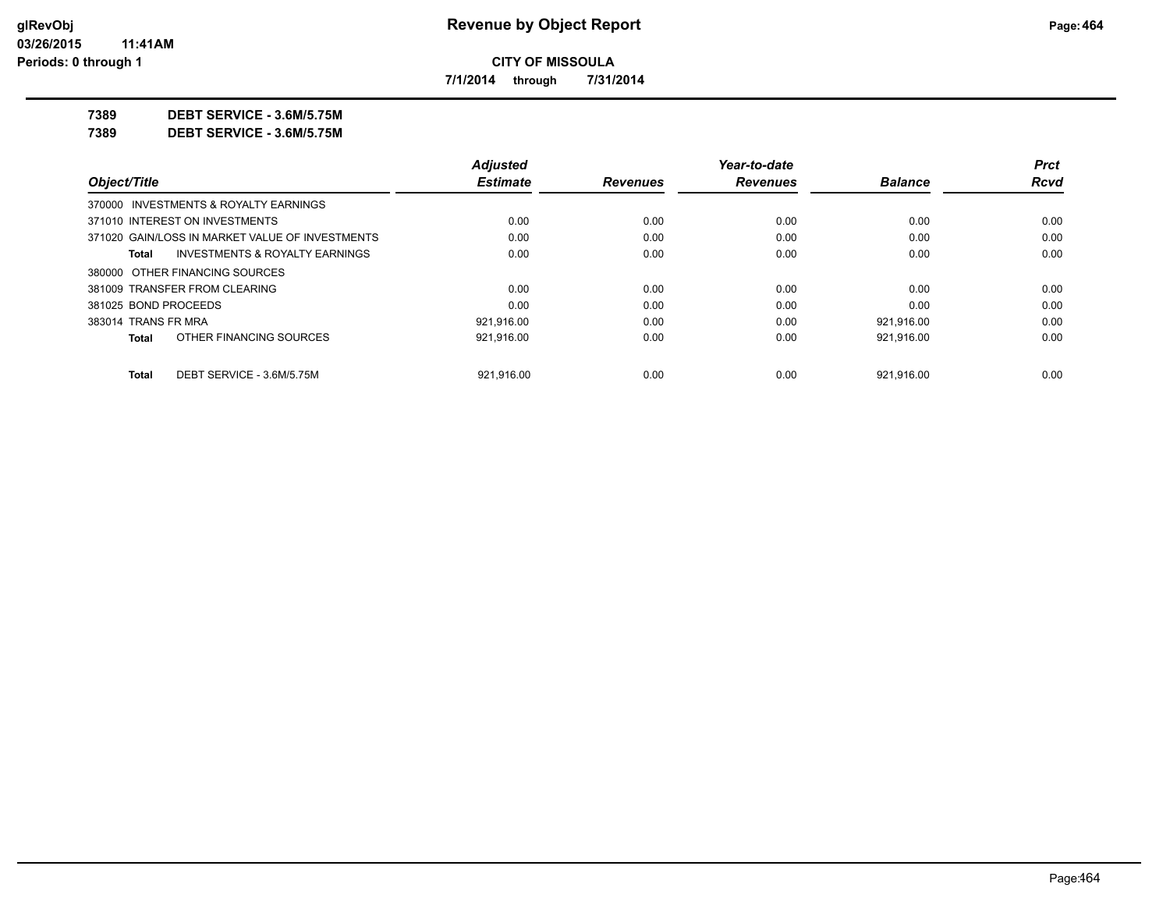**7/1/2014 through 7/31/2014**

**7389 DEBT SERVICE - 3.6M/5.75M**

**7389 DEBT SERVICE - 3.6M/5.75M**

|                                                 | <b>Adjusted</b> |                 | Year-to-date    |                | Prct        |
|-------------------------------------------------|-----------------|-----------------|-----------------|----------------|-------------|
| Object/Title                                    | <b>Estimate</b> | <b>Revenues</b> | <b>Revenues</b> | <b>Balance</b> | <b>Rcvd</b> |
| 370000 INVESTMENTS & ROYALTY EARNINGS           |                 |                 |                 |                |             |
| 371010 INTEREST ON INVESTMENTS                  | 0.00            | 0.00            | 0.00            | 0.00           | 0.00        |
| 371020 GAIN/LOSS IN MARKET VALUE OF INVESTMENTS | 0.00            | 0.00            | 0.00            | 0.00           | 0.00        |
| INVESTMENTS & ROYALTY EARNINGS<br>Total         | 0.00            | 0.00            | 0.00            | 0.00           | 0.00        |
| 380000 OTHER FINANCING SOURCES                  |                 |                 |                 |                |             |
| 381009 TRANSFER FROM CLEARING                   | 0.00            | 0.00            | 0.00            | 0.00           | 0.00        |
| 381025 BOND PROCEEDS                            | 0.00            | 0.00            | 0.00            | 0.00           | 0.00        |
| 383014 TRANS FR MRA                             | 921.916.00      | 0.00            | 0.00            | 921.916.00     | 0.00        |
| OTHER FINANCING SOURCES<br><b>Total</b>         | 921,916.00      | 0.00            | 0.00            | 921,916.00     | 0.00        |
| DEBT SERVICE - 3.6M/5.75M<br><b>Total</b>       | 921.916.00      | 0.00            | 0.00            | 921.916.00     | 0.00        |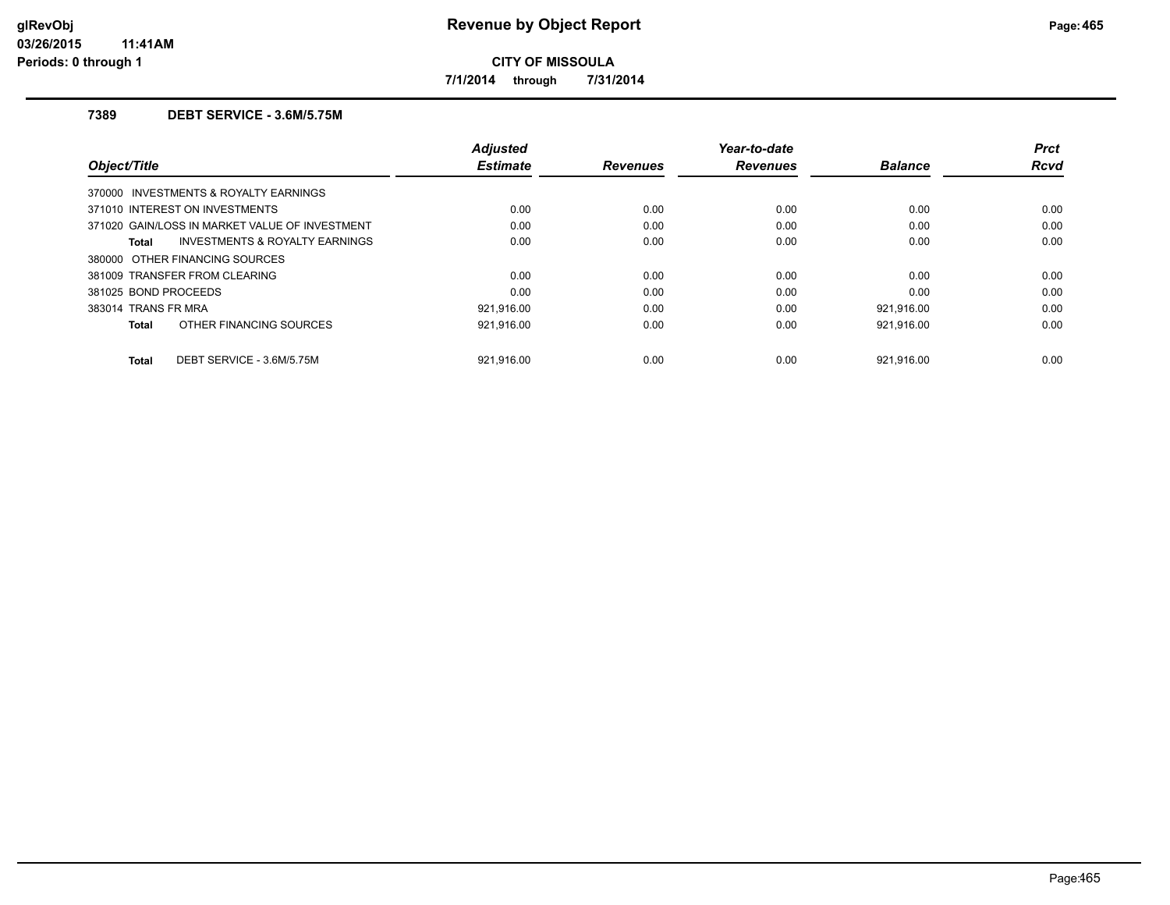**7/1/2014 through 7/31/2014**

## **7389 DEBT SERVICE - 3.6M/5.75M**

| Object/Title                                       | <b>Adjusted</b><br><b>Estimate</b> | <b>Revenues</b> | Year-to-date<br><b>Revenues</b> | <b>Balance</b> | <b>Prct</b><br><b>Rcvd</b> |
|----------------------------------------------------|------------------------------------|-----------------|---------------------------------|----------------|----------------------------|
| 370000 INVESTMENTS & ROYALTY EARNINGS              |                                    |                 |                                 |                |                            |
| 371010 INTEREST ON INVESTMENTS                     | 0.00                               | 0.00            | 0.00                            | 0.00           | 0.00                       |
| 371020 GAIN/LOSS IN MARKET VALUE OF INVESTMENT     | 0.00                               | 0.00            | 0.00                            | 0.00           | 0.00                       |
| <b>INVESTMENTS &amp; ROYALTY EARNINGS</b><br>Total | 0.00                               | 0.00            | 0.00                            | 0.00           | 0.00                       |
| 380000 OTHER FINANCING SOURCES                     |                                    |                 |                                 |                |                            |
| 381009 TRANSFER FROM CLEARING                      | 0.00                               | 0.00            | 0.00                            | 0.00           | 0.00                       |
| 381025 BOND PROCEEDS                               | 0.00                               | 0.00            | 0.00                            | 0.00           | 0.00                       |
| 383014 TRANS FR MRA                                | 921,916.00                         | 0.00            | 0.00                            | 921,916.00     | 0.00                       |
| OTHER FINANCING SOURCES<br>Total                   | 921.916.00                         | 0.00            | 0.00                            | 921,916.00     | 0.00                       |
| DEBT SERVICE - 3.6M/5.75M<br>Total                 | 921.916.00                         | 0.00            | 0.00                            | 921.916.00     | 0.00                       |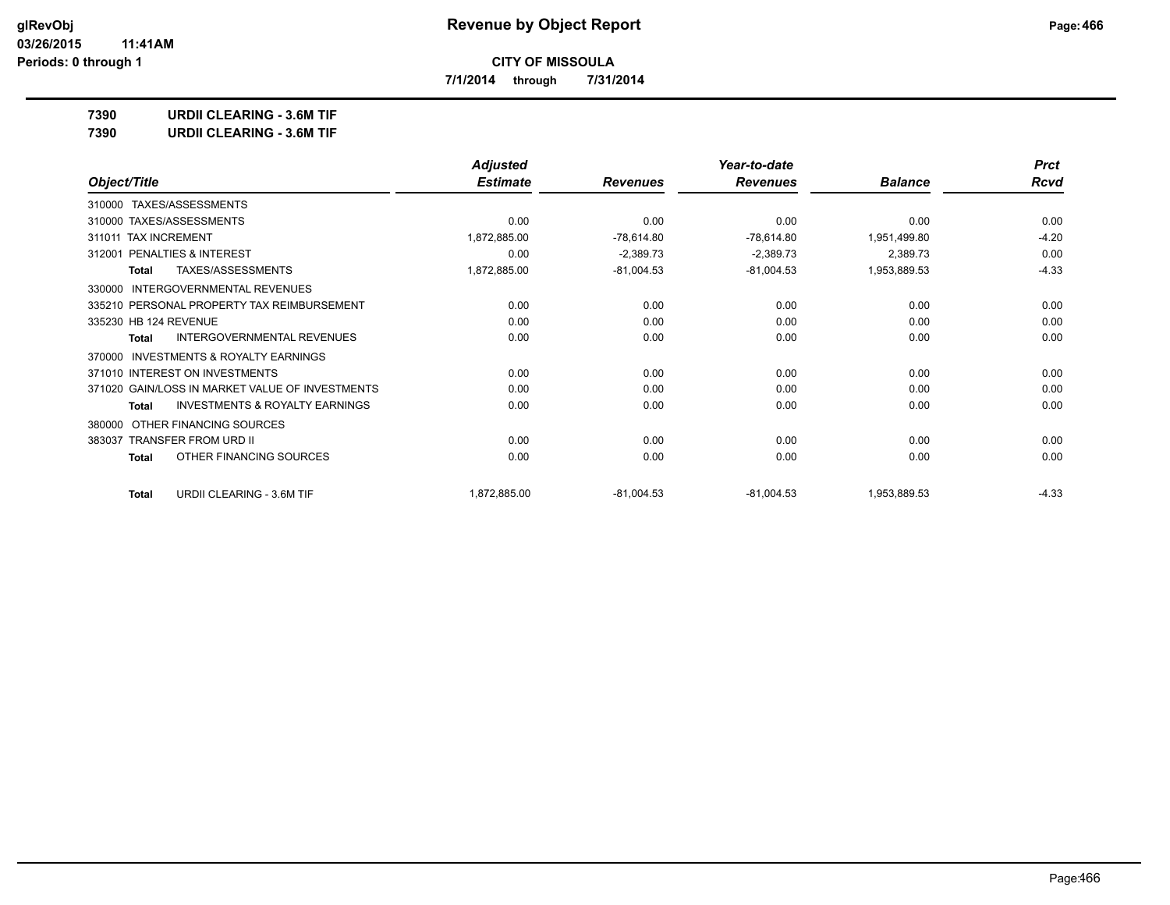**7/1/2014 through 7/31/2014**

**7390 URDII CLEARING - 3.6M TIF**

| <b>URDII CLEARING - 3.6M TIF</b><br>7390 |  |
|------------------------------------------|--|
|------------------------------------------|--|

|                                                     | <b>Adjusted</b> |                 | Year-to-date    |                | <b>Prct</b> |
|-----------------------------------------------------|-----------------|-----------------|-----------------|----------------|-------------|
| Object/Title                                        | <b>Estimate</b> | <b>Revenues</b> | <b>Revenues</b> | <b>Balance</b> | <b>Rcvd</b> |
| TAXES/ASSESSMENTS<br>310000                         |                 |                 |                 |                |             |
| 310000 TAXES/ASSESSMENTS                            | 0.00            | 0.00            | 0.00            | 0.00           | 0.00        |
| <b>TAX INCREMENT</b><br>311011                      | 1,872,885.00    | $-78,614.80$    | $-78,614.80$    | 1,951,499.80   | $-4.20$     |
| PENALTIES & INTEREST<br>312001                      | 0.00            | $-2,389.73$     | $-2,389.73$     | 2,389.73       | 0.00        |
| <b>TAXES/ASSESSMENTS</b><br>Total                   | 1,872,885.00    | $-81,004.53$    | $-81,004.53$    | 1,953,889.53   | $-4.33$     |
| <b>INTERGOVERNMENTAL REVENUES</b><br>330000         |                 |                 |                 |                |             |
| 335210 PERSONAL PROPERTY TAX REIMBURSEMENT          | 0.00            | 0.00            | 0.00            | 0.00           | 0.00        |
| 335230 HB 124 REVENUE                               | 0.00            | 0.00            | 0.00            | 0.00           | 0.00        |
| INTERGOVERNMENTAL REVENUES<br>Total                 | 0.00            | 0.00            | 0.00            | 0.00           | 0.00        |
| <b>INVESTMENTS &amp; ROYALTY EARNINGS</b><br>370000 |                 |                 |                 |                |             |
| 371010 INTEREST ON INVESTMENTS                      | 0.00            | 0.00            | 0.00            | 0.00           | 0.00        |
| 371020 GAIN/LOSS IN MARKET VALUE OF INVESTMENTS     | 0.00            | 0.00            | 0.00            | 0.00           | 0.00        |
| <b>INVESTMENTS &amp; ROYALTY EARNINGS</b><br>Total  | 0.00            | 0.00            | 0.00            | 0.00           | 0.00        |
| OTHER FINANCING SOURCES<br>380000                   |                 |                 |                 |                |             |
| <b>TRANSFER FROM URD II</b><br>383037               | 0.00            | 0.00            | 0.00            | 0.00           | 0.00        |
| OTHER FINANCING SOURCES<br>Total                    | 0.00            | 0.00            | 0.00            | 0.00           | 0.00        |
| URDII CLEARING - 3.6M TIF<br>Total                  | 1,872,885.00    | $-81,004.53$    | $-81,004.53$    | 1,953,889.53   | $-4.33$     |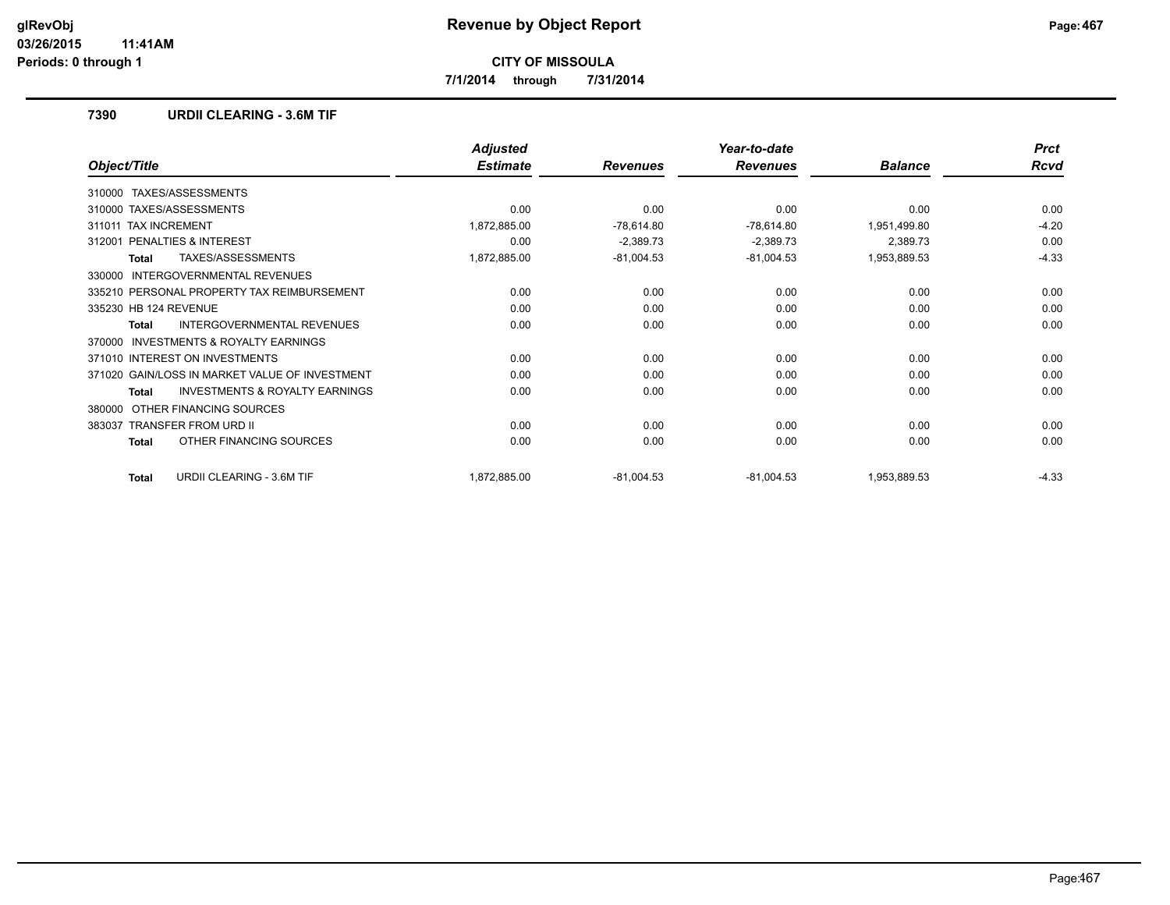**7/1/2014 through 7/31/2014**

## **7390 URDII CLEARING - 3.6M TIF**

|                                                    | <b>Adjusted</b> |                 | Year-to-date    |                | <b>Prct</b> |
|----------------------------------------------------|-----------------|-----------------|-----------------|----------------|-------------|
| Object/Title                                       | <b>Estimate</b> | <b>Revenues</b> | <b>Revenues</b> | <b>Balance</b> | <b>Rcvd</b> |
| TAXES/ASSESSMENTS<br>310000                        |                 |                 |                 |                |             |
| 310000 TAXES/ASSESSMENTS                           | 0.00            | 0.00            | 0.00            | 0.00           | 0.00        |
| <b>TAX INCREMENT</b><br>311011                     | 1,872,885.00    | $-78,614.80$    | $-78,614.80$    | 1,951,499.80   | $-4.20$     |
| PENALTIES & INTEREST<br>312001                     | 0.00            | $-2,389.73$     | $-2,389.73$     | 2,389.73       | 0.00        |
| <b>TAXES/ASSESSMENTS</b><br>Total                  | 1,872,885.00    | $-81,004.53$    | $-81,004.53$    | 1,953,889.53   | $-4.33$     |
| INTERGOVERNMENTAL REVENUES<br>330000               |                 |                 |                 |                |             |
| 335210 PERSONAL PROPERTY TAX REIMBURSEMENT         | 0.00            | 0.00            | 0.00            | 0.00           | 0.00        |
| 335230 HB 124 REVENUE                              | 0.00            | 0.00            | 0.00            | 0.00           | 0.00        |
| <b>INTERGOVERNMENTAL REVENUES</b><br>Total         | 0.00            | 0.00            | 0.00            | 0.00           | 0.00        |
| INVESTMENTS & ROYALTY EARNINGS<br>370000           |                 |                 |                 |                |             |
| 371010 INTEREST ON INVESTMENTS                     | 0.00            | 0.00            | 0.00            | 0.00           | 0.00        |
| 371020 GAIN/LOSS IN MARKET VALUE OF INVESTMENT     | 0.00            | 0.00            | 0.00            | 0.00           | 0.00        |
| <b>INVESTMENTS &amp; ROYALTY EARNINGS</b><br>Total | 0.00            | 0.00            | 0.00            | 0.00           | 0.00        |
| OTHER FINANCING SOURCES<br>380000                  |                 |                 |                 |                |             |
| <b>TRANSFER FROM URD II</b><br>383037              | 0.00            | 0.00            | 0.00            | 0.00           | 0.00        |
| OTHER FINANCING SOURCES<br><b>Total</b>            | 0.00            | 0.00            | 0.00            | 0.00           | 0.00        |
| <b>URDII CLEARING - 3.6M TIF</b><br><b>Total</b>   | 1,872,885.00    | $-81,004.53$    | $-81,004.53$    | 1,953,889.53   | $-4.33$     |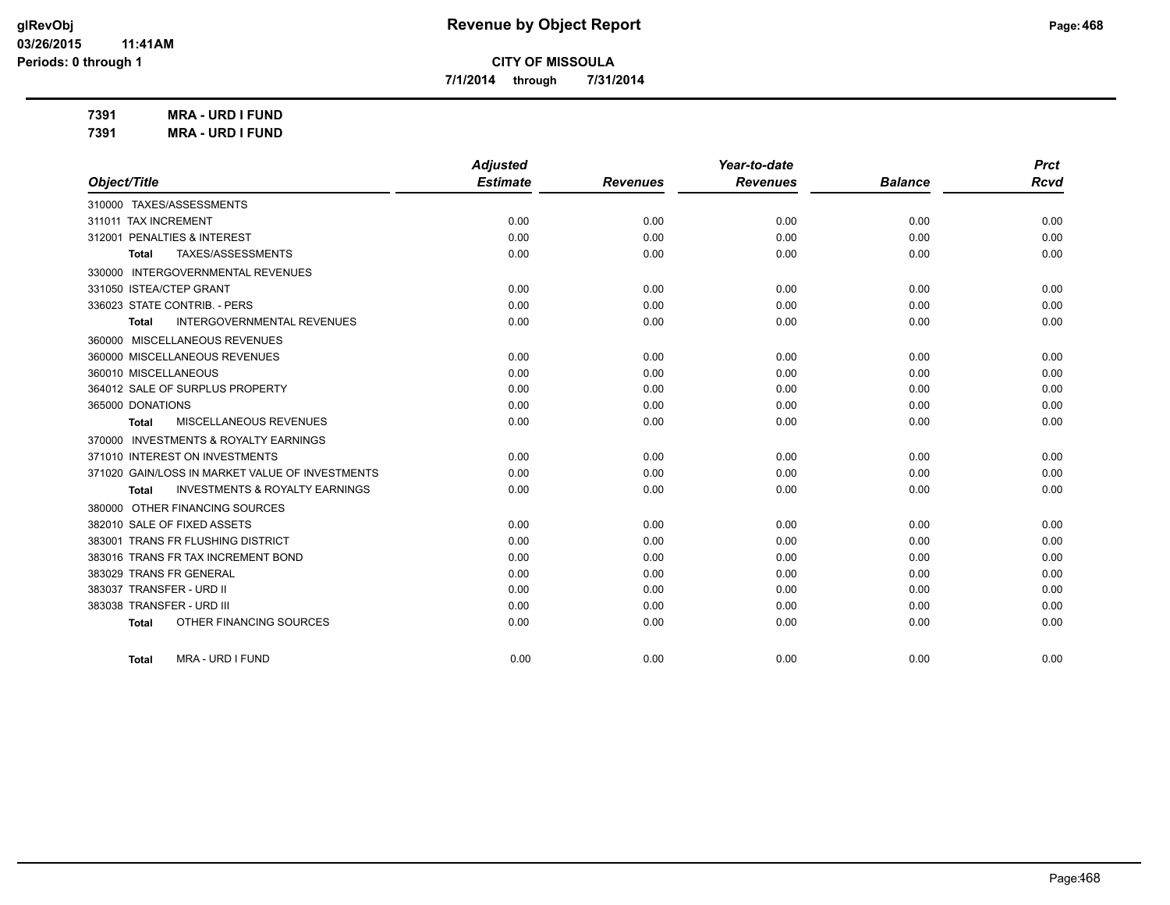**7/1/2014 through 7/31/2014**

**7391 MRA - URD I FUND 7391 MRA - URD I FUND**

| Object/Title                                              | <b>Adjusted</b><br><b>Estimate</b> | <b>Revenues</b> | Year-to-date<br><b>Revenues</b> | <b>Balance</b> | <b>Prct</b><br><b>Rcvd</b> |
|-----------------------------------------------------------|------------------------------------|-----------------|---------------------------------|----------------|----------------------------|
|                                                           |                                    |                 |                                 |                |                            |
| 311011 TAX INCREMENT                                      | 0.00                               | 0.00            | 0.00                            | 0.00           | 0.00                       |
| 312001 PENALTIES & INTEREST                               | 0.00                               | 0.00            | 0.00                            | 0.00           | 0.00                       |
| TAXES/ASSESSMENTS<br><b>Total</b>                         | 0.00                               | 0.00            | 0.00                            | 0.00           | 0.00                       |
| 330000 INTERGOVERNMENTAL REVENUES                         |                                    |                 |                                 |                |                            |
| 331050 ISTEA/CTEP GRANT                                   | 0.00                               | 0.00            | 0.00                            | 0.00           | 0.00                       |
| 336023 STATE CONTRIB. - PERS                              | 0.00                               | 0.00            | 0.00                            | 0.00           | 0.00                       |
| <b>INTERGOVERNMENTAL REVENUES</b><br>Total                | 0.00                               | 0.00            | 0.00                            | 0.00           | 0.00                       |
| 360000 MISCELLANEOUS REVENUES                             |                                    |                 |                                 |                |                            |
| 360000 MISCELLANEOUS REVENUES                             | 0.00                               | 0.00            | 0.00                            | 0.00           | 0.00                       |
| 360010 MISCELLANEOUS                                      | 0.00                               | 0.00            | 0.00                            | 0.00           | 0.00                       |
| 364012 SALE OF SURPLUS PROPERTY                           | 0.00                               | 0.00            | 0.00                            | 0.00           | 0.00                       |
| 365000 DONATIONS                                          | 0.00                               | 0.00            | 0.00                            | 0.00           | 0.00                       |
| MISCELLANEOUS REVENUES<br><b>Total</b>                    | 0.00                               | 0.00            | 0.00                            | 0.00           | 0.00                       |
| 370000 INVESTMENTS & ROYALTY EARNINGS                     |                                    |                 |                                 |                |                            |
| 371010 INTEREST ON INVESTMENTS                            | 0.00                               | 0.00            | 0.00                            | 0.00           | 0.00                       |
| 371020 GAIN/LOSS IN MARKET VALUE OF INVESTMENTS           | 0.00                               | 0.00            | 0.00                            | 0.00           | 0.00                       |
| <b>INVESTMENTS &amp; ROYALTY EARNINGS</b><br><b>Total</b> | 0.00                               | 0.00            | 0.00                            | 0.00           | 0.00                       |
| 380000 OTHER FINANCING SOURCES                            |                                    |                 |                                 |                |                            |
| 382010 SALE OF FIXED ASSETS                               | 0.00                               | 0.00            | 0.00                            | 0.00           | 0.00                       |
| 383001 TRANS FR FLUSHING DISTRICT                         | 0.00                               | 0.00            | 0.00                            | 0.00           | 0.00                       |
| 383016 TRANS FR TAX INCREMENT BOND                        | 0.00                               | 0.00            | 0.00                            | 0.00           | 0.00                       |
| 383029 TRANS FR GENERAL                                   | 0.00                               | 0.00            | 0.00                            | 0.00           | 0.00                       |
| 383037 TRANSFER - URD II                                  | 0.00                               | 0.00            | 0.00                            | 0.00           | 0.00                       |
| 383038 TRANSFER - URD III                                 | 0.00                               | 0.00            | 0.00                            | 0.00           | 0.00                       |
| OTHER FINANCING SOURCES<br><b>Total</b>                   | 0.00                               | 0.00            | 0.00                            | 0.00           | 0.00                       |
| MRA - URD I FUND<br><b>Total</b>                          | 0.00                               | 0.00            | 0.00                            | 0.00           | 0.00                       |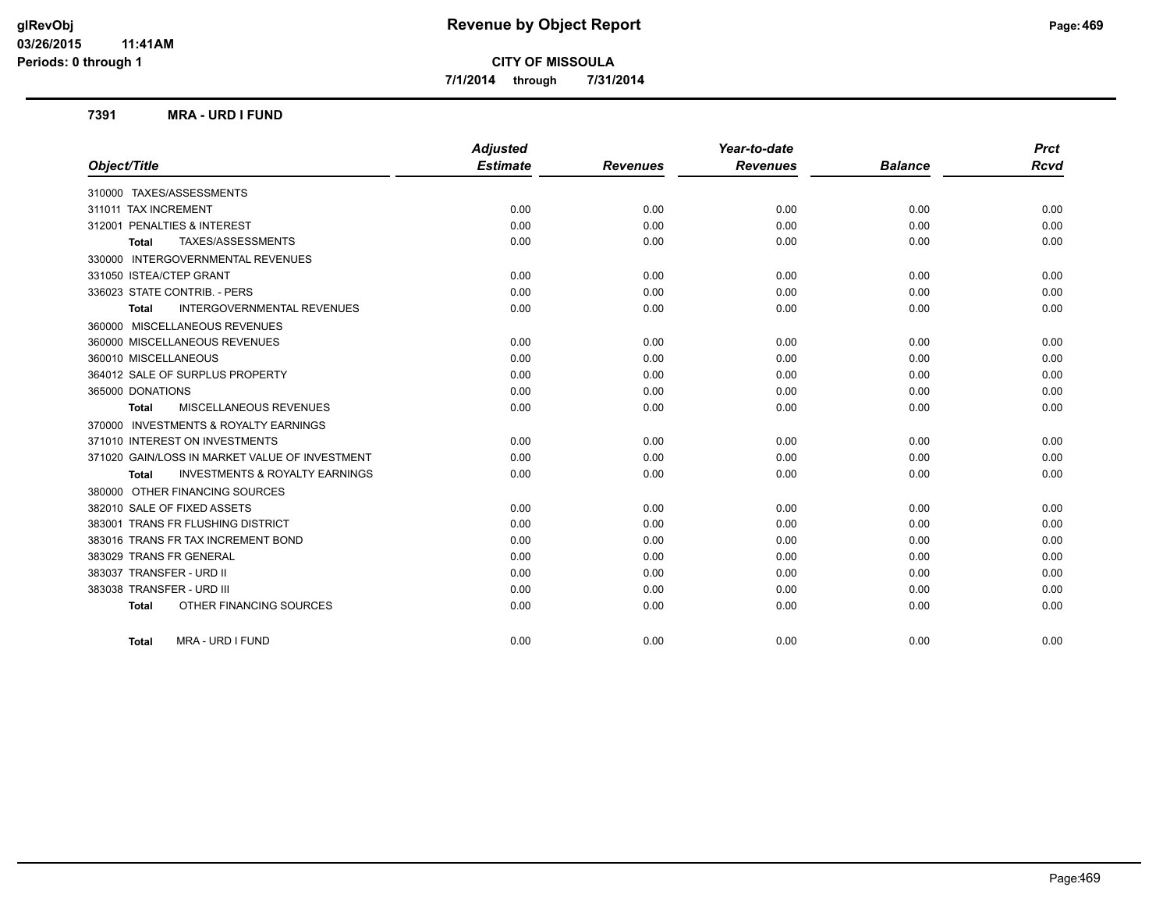**7/1/2014 through 7/31/2014**

#### **7391 MRA - URD I FUND**

|                                                           | <b>Adjusted</b> |                 | Year-to-date    |                | <b>Prct</b> |
|-----------------------------------------------------------|-----------------|-----------------|-----------------|----------------|-------------|
| Object/Title                                              | <b>Estimate</b> | <b>Revenues</b> | <b>Revenues</b> | <b>Balance</b> | <b>Rcvd</b> |
| 310000 TAXES/ASSESSMENTS                                  |                 |                 |                 |                |             |
| 311011 TAX INCREMENT                                      | 0.00            | 0.00            | 0.00            | 0.00           | 0.00        |
| 312001 PENALTIES & INTEREST                               | 0.00            | 0.00            | 0.00            | 0.00           | 0.00        |
| TAXES/ASSESSMENTS<br><b>Total</b>                         | 0.00            | 0.00            | 0.00            | 0.00           | 0.00        |
| 330000 INTERGOVERNMENTAL REVENUES                         |                 |                 |                 |                |             |
| 331050 ISTEA/CTEP GRANT                                   | 0.00            | 0.00            | 0.00            | 0.00           | 0.00        |
| 336023 STATE CONTRIB. - PERS                              | 0.00            | 0.00            | 0.00            | 0.00           | 0.00        |
| <b>INTERGOVERNMENTAL REVENUES</b><br><b>Total</b>         | 0.00            | 0.00            | 0.00            | 0.00           | 0.00        |
| 360000 MISCELLANEOUS REVENUES                             |                 |                 |                 |                |             |
| 360000 MISCELLANEOUS REVENUES                             | 0.00            | 0.00            | 0.00            | 0.00           | 0.00        |
| 360010 MISCELLANEOUS                                      | 0.00            | 0.00            | 0.00            | 0.00           | 0.00        |
| 364012 SALE OF SURPLUS PROPERTY                           | 0.00            | 0.00            | 0.00            | 0.00           | 0.00        |
| 365000 DONATIONS                                          | 0.00            | 0.00            | 0.00            | 0.00           | 0.00        |
| <b>MISCELLANEOUS REVENUES</b><br><b>Total</b>             | 0.00            | 0.00            | 0.00            | 0.00           | 0.00        |
| 370000 INVESTMENTS & ROYALTY EARNINGS                     |                 |                 |                 |                |             |
| 371010 INTEREST ON INVESTMENTS                            | 0.00            | 0.00            | 0.00            | 0.00           | 0.00        |
| 371020 GAIN/LOSS IN MARKET VALUE OF INVESTMENT            | 0.00            | 0.00            | 0.00            | 0.00           | 0.00        |
| <b>INVESTMENTS &amp; ROYALTY EARNINGS</b><br><b>Total</b> | 0.00            | 0.00            | 0.00            | 0.00           | 0.00        |
| 380000 OTHER FINANCING SOURCES                            |                 |                 |                 |                |             |
| 382010 SALE OF FIXED ASSETS                               | 0.00            | 0.00            | 0.00            | 0.00           | 0.00        |
| 383001 TRANS FR FLUSHING DISTRICT                         | 0.00            | 0.00            | 0.00            | 0.00           | 0.00        |
| 383016 TRANS FR TAX INCREMENT BOND                        | 0.00            | 0.00            | 0.00            | 0.00           | 0.00        |
| 383029 TRANS FR GENERAL                                   | 0.00            | 0.00            | 0.00            | 0.00           | 0.00        |
| 383037 TRANSFER - URD II                                  | 0.00            | 0.00            | 0.00            | 0.00           | 0.00        |
| 383038 TRANSFER - URD III                                 | 0.00            | 0.00            | 0.00            | 0.00           | 0.00        |
| OTHER FINANCING SOURCES<br><b>Total</b>                   | 0.00            | 0.00            | 0.00            | 0.00           | 0.00        |
| MRA - URD I FUND<br><b>Total</b>                          | 0.00            | 0.00            | 0.00            | 0.00           | 0.00        |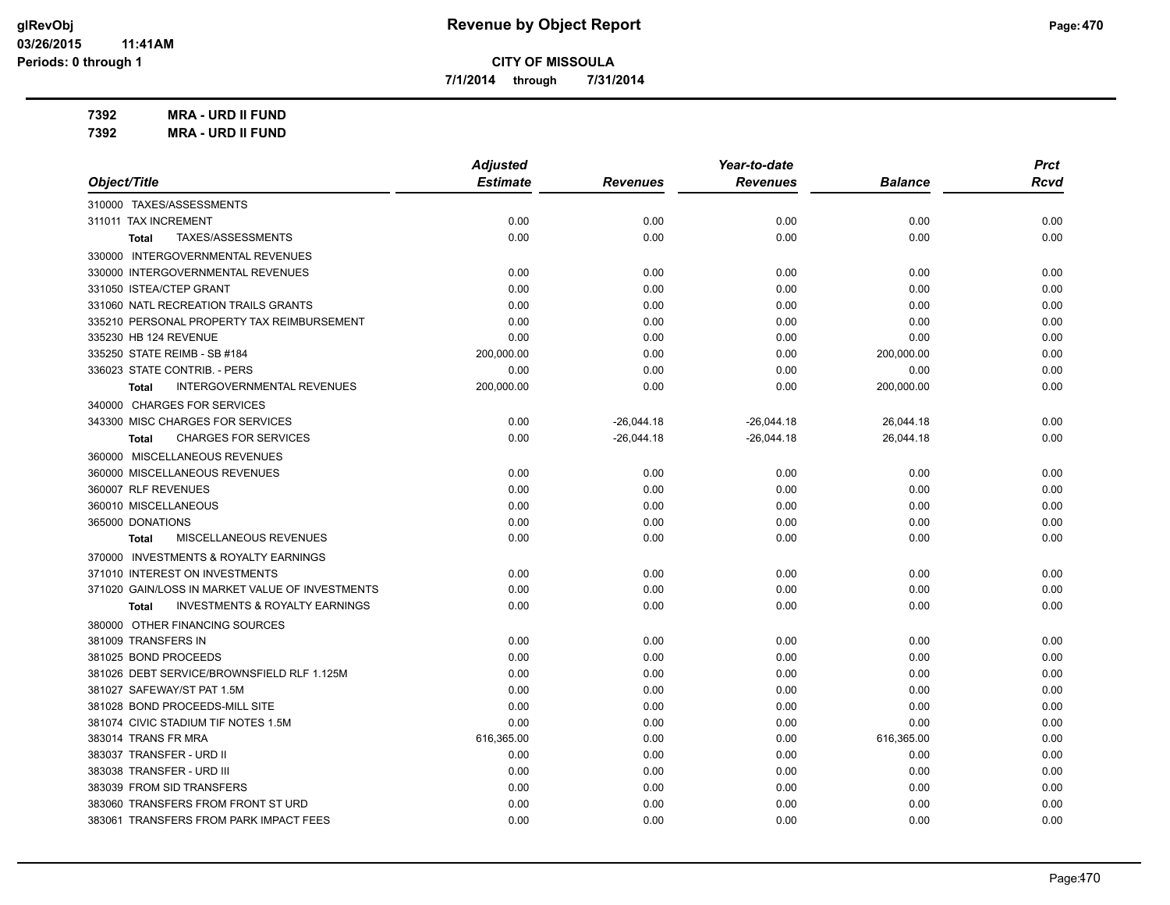**7/1/2014 through 7/31/2014**

**7392 MRA - URD II FUND 7392 MRA - URD II FUND**

| 7392 | <b>MRA - URD II FUNI</b> |  |
|------|--------------------------|--|
|      |                          |  |

|                                                           | <b>Adjusted</b> |                 | Year-to-date    |                | <b>Prct</b> |
|-----------------------------------------------------------|-----------------|-----------------|-----------------|----------------|-------------|
| Object/Title                                              | <b>Estimate</b> | <b>Revenues</b> | <b>Revenues</b> | <b>Balance</b> | <b>Rcvd</b> |
| 310000 TAXES/ASSESSMENTS                                  |                 |                 |                 |                |             |
| 311011 TAX INCREMENT                                      | 0.00            | 0.00            | 0.00            | 0.00           | 0.00        |
| TAXES/ASSESSMENTS<br><b>Total</b>                         | 0.00            | 0.00            | 0.00            | 0.00           | 0.00        |
| 330000 INTERGOVERNMENTAL REVENUES                         |                 |                 |                 |                |             |
| 330000 INTERGOVERNMENTAL REVENUES                         | 0.00            | 0.00            | 0.00            | 0.00           | 0.00        |
| 331050 ISTEA/CTEP GRANT                                   | 0.00            | 0.00            | 0.00            | 0.00           | 0.00        |
| 331060 NATL RECREATION TRAILS GRANTS                      | 0.00            | 0.00            | 0.00            | 0.00           | 0.00        |
| 335210 PERSONAL PROPERTY TAX REIMBURSEMENT                | 0.00            | 0.00            | 0.00            | 0.00           | 0.00        |
| 335230 HB 124 REVENUE                                     | 0.00            | 0.00            | 0.00            | 0.00           | 0.00        |
| 335250 STATE REIMB - SB #184                              | 200,000.00      | 0.00            | 0.00            | 200,000.00     | 0.00        |
| 336023 STATE CONTRIB. - PERS                              | 0.00            | 0.00            | 0.00            | 0.00           | 0.00        |
| <b>INTERGOVERNMENTAL REVENUES</b><br><b>Total</b>         | 200,000.00      | 0.00            | 0.00            | 200,000.00     | 0.00        |
| 340000 CHARGES FOR SERVICES                               |                 |                 |                 |                |             |
| 343300 MISC CHARGES FOR SERVICES                          | 0.00            | $-26,044.18$    | $-26,044.18$    | 26,044.18      | 0.00        |
| <b>CHARGES FOR SERVICES</b><br><b>Total</b>               | 0.00            | $-26,044.18$    | $-26,044.18$    | 26,044.18      | 0.00        |
| 360000 MISCELLANEOUS REVENUES                             |                 |                 |                 |                |             |
| 360000 MISCELLANEOUS REVENUES                             | 0.00            | 0.00            | 0.00            | 0.00           | 0.00        |
| 360007 RLF REVENUES                                       | 0.00            | 0.00            | 0.00            | 0.00           | 0.00        |
| 360010 MISCELLANEOUS                                      | 0.00            | 0.00            | 0.00            | 0.00           | 0.00        |
| 365000 DONATIONS                                          | 0.00            | 0.00            | 0.00            | 0.00           | 0.00        |
| MISCELLANEOUS REVENUES<br><b>Total</b>                    | 0.00            | 0.00            | 0.00            | 0.00           | 0.00        |
| 370000 INVESTMENTS & ROYALTY EARNINGS                     |                 |                 |                 |                |             |
| 371010 INTEREST ON INVESTMENTS                            | 0.00            | 0.00            | 0.00            | 0.00           | 0.00        |
| 371020 GAIN/LOSS IN MARKET VALUE OF INVESTMENTS           | 0.00            | 0.00            | 0.00            | 0.00           | 0.00        |
| <b>INVESTMENTS &amp; ROYALTY EARNINGS</b><br><b>Total</b> | 0.00            | 0.00            | 0.00            | 0.00           | 0.00        |
| 380000 OTHER FINANCING SOURCES                            |                 |                 |                 |                |             |
| 381009 TRANSFERS IN                                       | 0.00            | 0.00            | 0.00            | 0.00           | 0.00        |
| 381025 BOND PROCEEDS                                      | 0.00            | 0.00            | 0.00            | 0.00           | 0.00        |
| 381026 DEBT SERVICE/BROWNSFIELD RLF 1.125M                | 0.00            | 0.00            | 0.00            | 0.00           | 0.00        |
| 381027 SAFEWAY/ST PAT 1.5M                                | 0.00            | 0.00            | 0.00            | 0.00           | 0.00        |
| 381028 BOND PROCEEDS-MILL SITE                            | 0.00            | 0.00            | 0.00            | 0.00           | 0.00        |
| 381074 CIVIC STADIUM TIF NOTES 1.5M                       | 0.00            | 0.00            | 0.00            | 0.00           | 0.00        |
| 383014 TRANS FR MRA                                       | 616,365.00      | 0.00            | 0.00            | 616,365.00     | 0.00        |
| 383037 TRANSFER - URD II                                  | 0.00            | 0.00            | 0.00            | 0.00           | 0.00        |
| 383038 TRANSFER - URD III                                 | 0.00            | 0.00            | 0.00            | 0.00           | 0.00        |
| 383039 FROM SID TRANSFERS                                 | 0.00            | 0.00            | 0.00            | 0.00           | 0.00        |
| 383060 TRANSFERS FROM FRONT ST URD                        | 0.00            | 0.00            | 0.00            | 0.00           | 0.00        |
| 383061 TRANSFERS FROM PARK IMPACT FEES                    | 0.00            | 0.00            | 0.00            | 0.00           | 0.00        |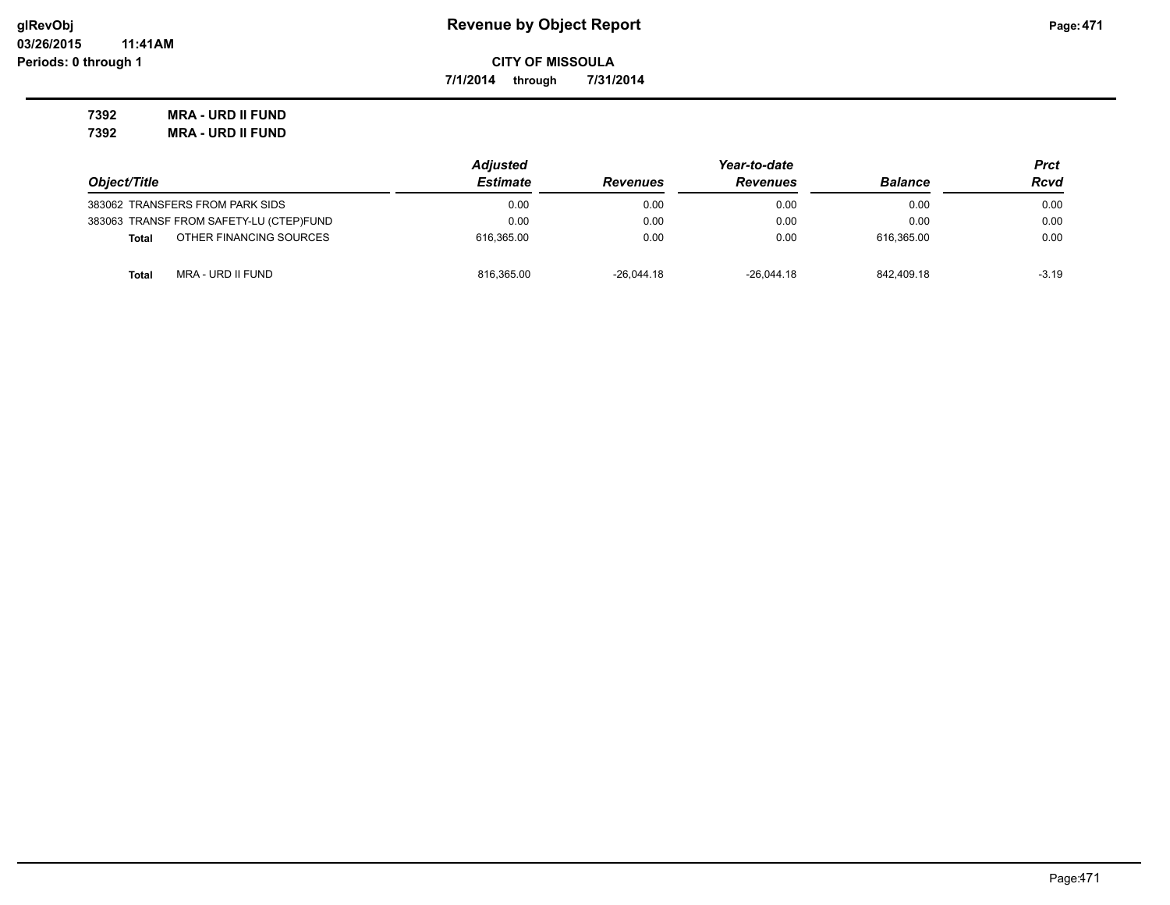**7/1/2014 through 7/31/2014**

**7392 MRA - URD II FUND 7392 MRA - URD II FUND**

|                                         | <b>Adjusted</b> |                 | Prct            |                |         |
|-----------------------------------------|-----------------|-----------------|-----------------|----------------|---------|
| Object/Title                            | <b>Estimate</b> | <b>Revenues</b> | <b>Revenues</b> | <b>Balance</b> | Rcvd    |
| 383062 TRANSFERS FROM PARK SIDS         | 0.00            | 0.00            | 0.00            | 0.00           | 0.00    |
| 383063 TRANSF FROM SAFETY-LU (CTEP)FUND | 0.00            | 0.00            | 0.00            | 0.00           | 0.00    |
| OTHER FINANCING SOURCES<br><b>Total</b> | 616.365.00      | 0.00            | 0.00            | 616.365.00     | 0.00    |
| MRA - URD II FUND<br><b>Total</b>       | 816.365.00      | $-26.044.18$    | $-26.044.18$    | 842.409.18     | $-3.19$ |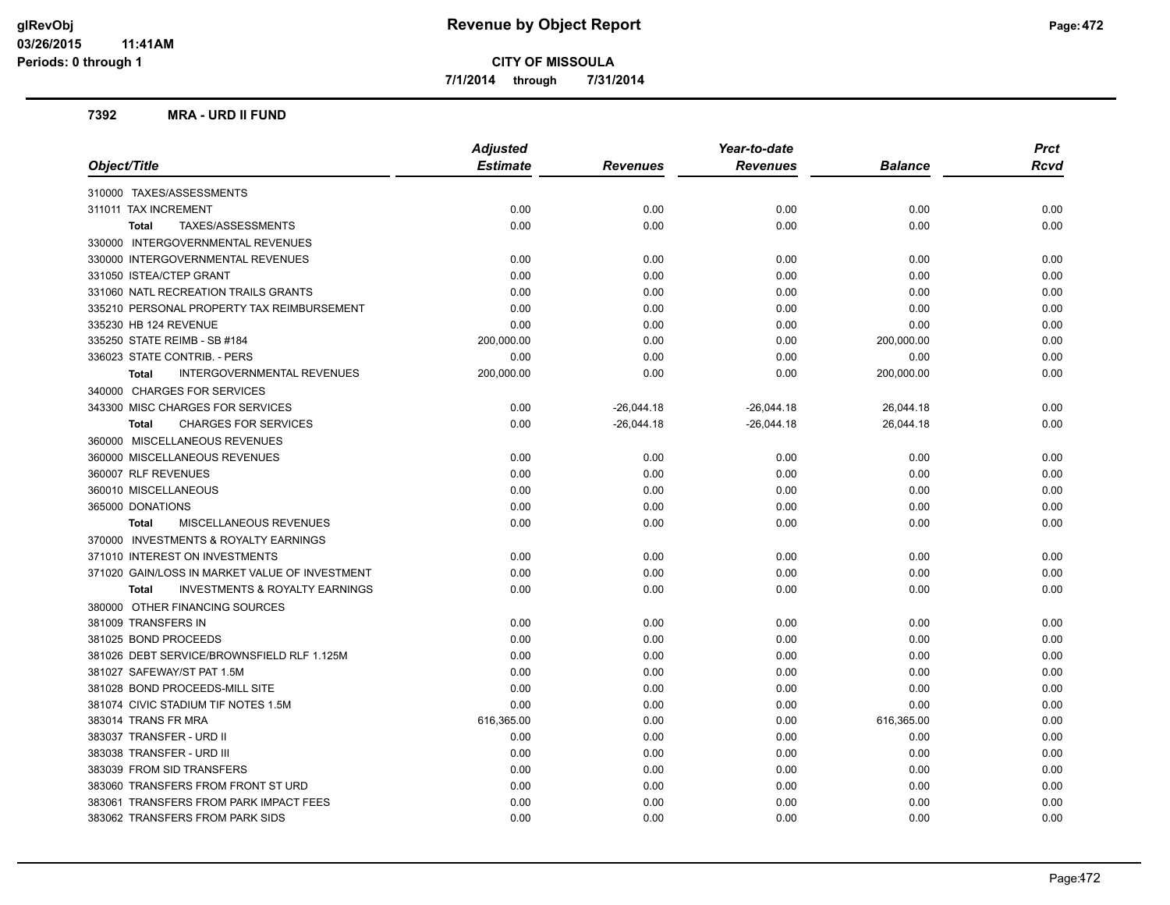**7/1/2014 through 7/31/2014**

#### **7392 MRA - URD II FUND**

|                                                           | <b>Adjusted</b> | Year-to-date    |                 |                | <b>Prct</b> |
|-----------------------------------------------------------|-----------------|-----------------|-----------------|----------------|-------------|
| Object/Title                                              | <b>Estimate</b> | <b>Revenues</b> | <b>Revenues</b> | <b>Balance</b> | <b>Rcvd</b> |
| 310000 TAXES/ASSESSMENTS                                  |                 |                 |                 |                |             |
| 311011 TAX INCREMENT                                      | 0.00            | 0.00            | 0.00            | 0.00           | 0.00        |
| TAXES/ASSESSMENTS<br><b>Total</b>                         | 0.00            | 0.00            | 0.00            | 0.00           | 0.00        |
| 330000 INTERGOVERNMENTAL REVENUES                         |                 |                 |                 |                |             |
| 330000 INTERGOVERNMENTAL REVENUES                         | 0.00            | 0.00            | 0.00            | 0.00           | 0.00        |
| 331050 ISTEA/CTEP GRANT                                   | 0.00            | 0.00            | 0.00            | 0.00           | 0.00        |
| 331060 NATL RECREATION TRAILS GRANTS                      | 0.00            | 0.00            | 0.00            | 0.00           | 0.00        |
| 335210 PERSONAL PROPERTY TAX REIMBURSEMENT                | 0.00            | 0.00            | 0.00            | 0.00           | 0.00        |
| 335230 HB 124 REVENUE                                     | 0.00            | 0.00            | 0.00            | 0.00           | 0.00        |
| 335250 STATE REIMB - SB #184                              | 200,000.00      | 0.00            | 0.00            | 200,000.00     | 0.00        |
| 336023 STATE CONTRIB. - PERS                              | 0.00            | 0.00            | 0.00            | 0.00           | 0.00        |
| INTERGOVERNMENTAL REVENUES<br><b>Total</b>                | 200,000.00      | 0.00            | 0.00            | 200,000.00     | 0.00        |
| 340000 CHARGES FOR SERVICES                               |                 |                 |                 |                |             |
| 343300 MISC CHARGES FOR SERVICES                          | 0.00            | $-26,044.18$    | $-26,044.18$    | 26,044.18      | 0.00        |
| <b>CHARGES FOR SERVICES</b><br><b>Total</b>               | 0.00            | $-26,044.18$    | $-26,044.18$    | 26,044.18      | 0.00        |
| 360000 MISCELLANEOUS REVENUES                             |                 |                 |                 |                |             |
| 360000 MISCELLANEOUS REVENUES                             | 0.00            | 0.00            | 0.00            | 0.00           | 0.00        |
| 360007 RLF REVENUES                                       | 0.00            | 0.00            | 0.00            | 0.00           | 0.00        |
| 360010 MISCELLANEOUS                                      | 0.00            | 0.00            | 0.00            | 0.00           | 0.00        |
| 365000 DONATIONS                                          | 0.00            | 0.00            | 0.00            | 0.00           | 0.00        |
| <b>MISCELLANEOUS REVENUES</b><br>Total                    | 0.00            | 0.00            | 0.00            | 0.00           | 0.00        |
| 370000 INVESTMENTS & ROYALTY EARNINGS                     |                 |                 |                 |                |             |
| 371010 INTEREST ON INVESTMENTS                            | 0.00            | 0.00            | 0.00            | 0.00           | 0.00        |
| 371020 GAIN/LOSS IN MARKET VALUE OF INVESTMENT            | 0.00            | 0.00            | 0.00            | 0.00           | 0.00        |
| <b>INVESTMENTS &amp; ROYALTY EARNINGS</b><br><b>Total</b> | 0.00            | 0.00            | 0.00            | 0.00           | 0.00        |
| 380000 OTHER FINANCING SOURCES                            |                 |                 |                 |                |             |
| 381009 TRANSFERS IN                                       | 0.00            | 0.00            | 0.00            | 0.00           | 0.00        |
| 381025 BOND PROCEEDS                                      | 0.00            | 0.00            | 0.00            | 0.00           | 0.00        |
| 381026 DEBT SERVICE/BROWNSFIELD RLF 1.125M                | 0.00            | 0.00            | 0.00            | 0.00           | 0.00        |
| 381027 SAFEWAY/ST PAT 1.5M                                | 0.00            | 0.00            | 0.00            | 0.00           | 0.00        |
| 381028 BOND PROCEEDS-MILL SITE                            | 0.00            | 0.00            | 0.00            | 0.00           | 0.00        |
| 381074 CIVIC STADIUM TIF NOTES 1.5M                       | 0.00            | 0.00            | 0.00            | 0.00           | 0.00        |
| 383014 TRANS FR MRA                                       | 616,365.00      | 0.00            | 0.00            | 616,365.00     | 0.00        |
| 383037 TRANSFER - URD II                                  | 0.00            | 0.00            | 0.00            | 0.00           | 0.00        |
| 383038 TRANSFER - URD III                                 | 0.00            | 0.00            | 0.00            | 0.00           | 0.00        |
| 383039 FROM SID TRANSFERS                                 | 0.00            | 0.00            | 0.00            | 0.00           | 0.00        |
| 383060 TRANSFERS FROM FRONT ST URD                        | 0.00            | 0.00            | 0.00            | 0.00           | 0.00        |
| 383061 TRANSFERS FROM PARK IMPACT FEES                    | 0.00            | 0.00            | 0.00            | 0.00           | 0.00        |
| 383062 TRANSFERS FROM PARK SIDS                           | 0.00            | 0.00            | 0.00            | 0.00           | 0.00        |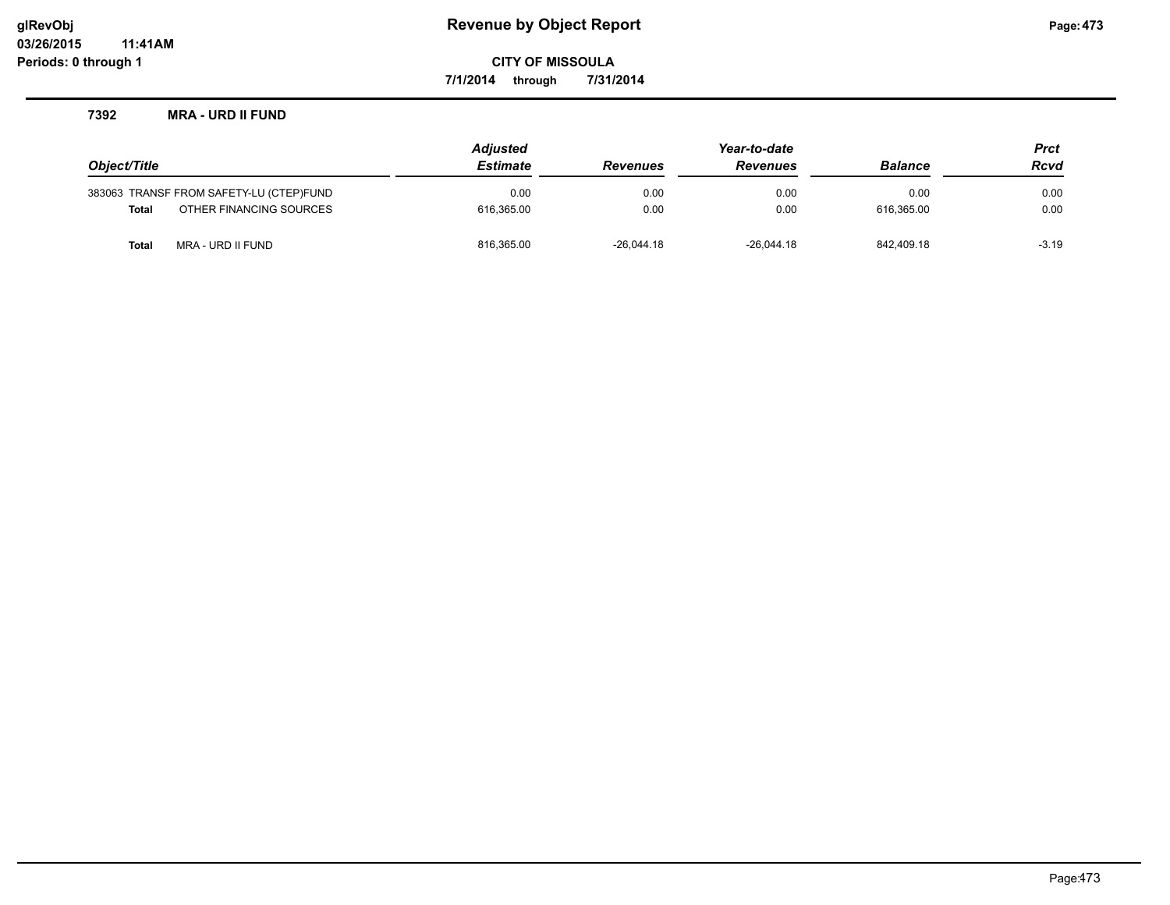**7/1/2014 through 7/31/2014**

#### **7392 MRA - URD II FUND**

|              |                                         | <b>Adjusted</b> |                 | Year-to-date    |                | <b>Prct</b> |
|--------------|-----------------------------------------|-----------------|-----------------|-----------------|----------------|-------------|
| Object/Title |                                         | <b>Estimate</b> | <b>Revenues</b> | <b>Revenues</b> | <b>Balance</b> | <b>Rcvd</b> |
|              | 383063 TRANSF FROM SAFETY-LU (CTEP)FUND | 0.00            | 0.00            | 0.00            | 0.00           | 0.00        |
| Total        | OTHER FINANCING SOURCES                 | 616.365.00      | 0.00            | 0.00            | 616.365.00     | 0.00        |
| Total        | MRA - URD II FUND                       | 816,365.00      | $-26.044.18$    | $-26.044.18$    | 842.409.18     | $-3.19$     |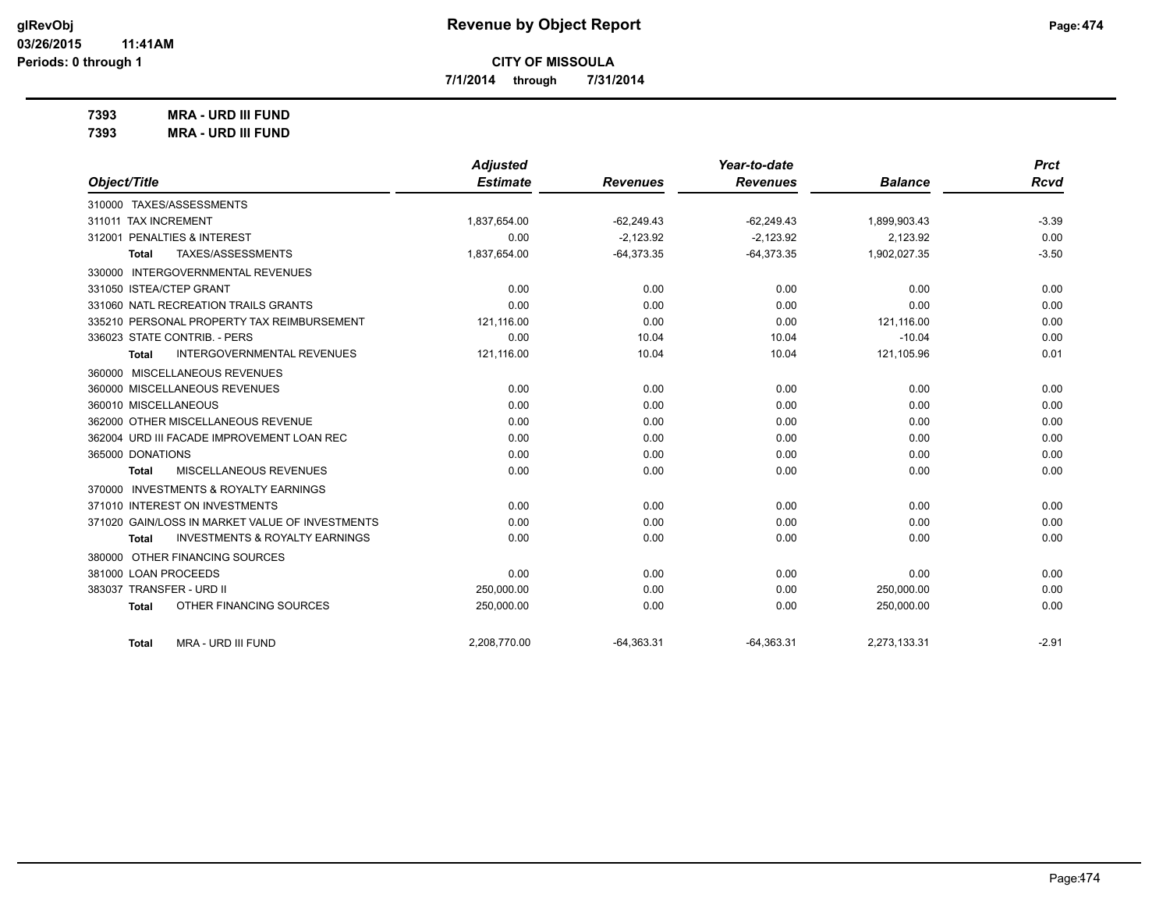**7/1/2014 through 7/31/2014**

**7393 MRA - URD III FUND**

| 7393 | <b>MRA - URD III FUND</b> |
|------|---------------------------|
|------|---------------------------|

|                                                    | <b>Adjusted</b> |                 | Year-to-date    |                | <b>Prct</b> |
|----------------------------------------------------|-----------------|-----------------|-----------------|----------------|-------------|
| Object/Title                                       | <b>Estimate</b> | <b>Revenues</b> | <b>Revenues</b> | <b>Balance</b> | <b>Rcvd</b> |
| 310000 TAXES/ASSESSMENTS                           |                 |                 |                 |                |             |
| 311011 TAX INCREMENT                               | 1,837,654.00    | $-62,249.43$    | $-62,249.43$    | 1,899,903.43   | $-3.39$     |
| 312001 PENALTIES & INTEREST                        | 0.00            | $-2,123.92$     | $-2,123.92$     | 2,123.92       | 0.00        |
| TAXES/ASSESSMENTS<br>Total                         | 1,837,654.00    | $-64,373.35$    | $-64,373.35$    | 1,902,027.35   | $-3.50$     |
| 330000 INTERGOVERNMENTAL REVENUES                  |                 |                 |                 |                |             |
| 331050 ISTEA/CTEP GRANT                            | 0.00            | 0.00            | 0.00            | 0.00           | 0.00        |
| 331060 NATL RECREATION TRAILS GRANTS               | 0.00            | 0.00            | 0.00            | 0.00           | 0.00        |
| 335210 PERSONAL PROPERTY TAX REIMBURSEMENT         | 121,116.00      | 0.00            | 0.00            | 121,116.00     | 0.00        |
| 336023 STATE CONTRIB. - PERS                       | 0.00            | 10.04           | 10.04           | $-10.04$       | 0.00        |
| <b>INTERGOVERNMENTAL REVENUES</b><br>Total         | 121,116.00      | 10.04           | 10.04           | 121,105.96     | 0.01        |
| 360000 MISCELLANEOUS REVENUES                      |                 |                 |                 |                |             |
| 360000 MISCELLANEOUS REVENUES                      | 0.00            | 0.00            | 0.00            | 0.00           | 0.00        |
| 360010 MISCELLANEOUS                               | 0.00            | 0.00            | 0.00            | 0.00           | 0.00        |
| 362000 OTHER MISCELLANEOUS REVENUE                 | 0.00            | 0.00            | 0.00            | 0.00           | 0.00        |
| 362004 URD III FACADE IMPROVEMENT LOAN REC         | 0.00            | 0.00            | 0.00            | 0.00           | 0.00        |
| 365000 DONATIONS                                   | 0.00            | 0.00            | 0.00            | 0.00           | 0.00        |
| MISCELLANEOUS REVENUES<br>Total                    | 0.00            | 0.00            | 0.00            | 0.00           | 0.00        |
| 370000 INVESTMENTS & ROYALTY EARNINGS              |                 |                 |                 |                |             |
| 371010 INTEREST ON INVESTMENTS                     | 0.00            | 0.00            | 0.00            | 0.00           | 0.00        |
| 371020 GAIN/LOSS IN MARKET VALUE OF INVESTMENTS    | 0.00            | 0.00            | 0.00            | 0.00           | 0.00        |
| <b>INVESTMENTS &amp; ROYALTY EARNINGS</b><br>Total | 0.00            | 0.00            | 0.00            | 0.00           | 0.00        |
| 380000 OTHER FINANCING SOURCES                     |                 |                 |                 |                |             |
| 381000 LOAN PROCEEDS                               | 0.00            | 0.00            | 0.00            | 0.00           | 0.00        |
| 383037 TRANSFER - URD II                           | 250,000.00      | 0.00            | 0.00            | 250,000.00     | 0.00        |
| OTHER FINANCING SOURCES<br>Total                   | 250,000.00      | 0.00            | 0.00            | 250,000.00     | 0.00        |
| MRA - URD III FUND<br>Total                        | 2,208,770.00    | $-64,363.31$    | $-64,363.31$    | 2,273,133.31   | $-2.91$     |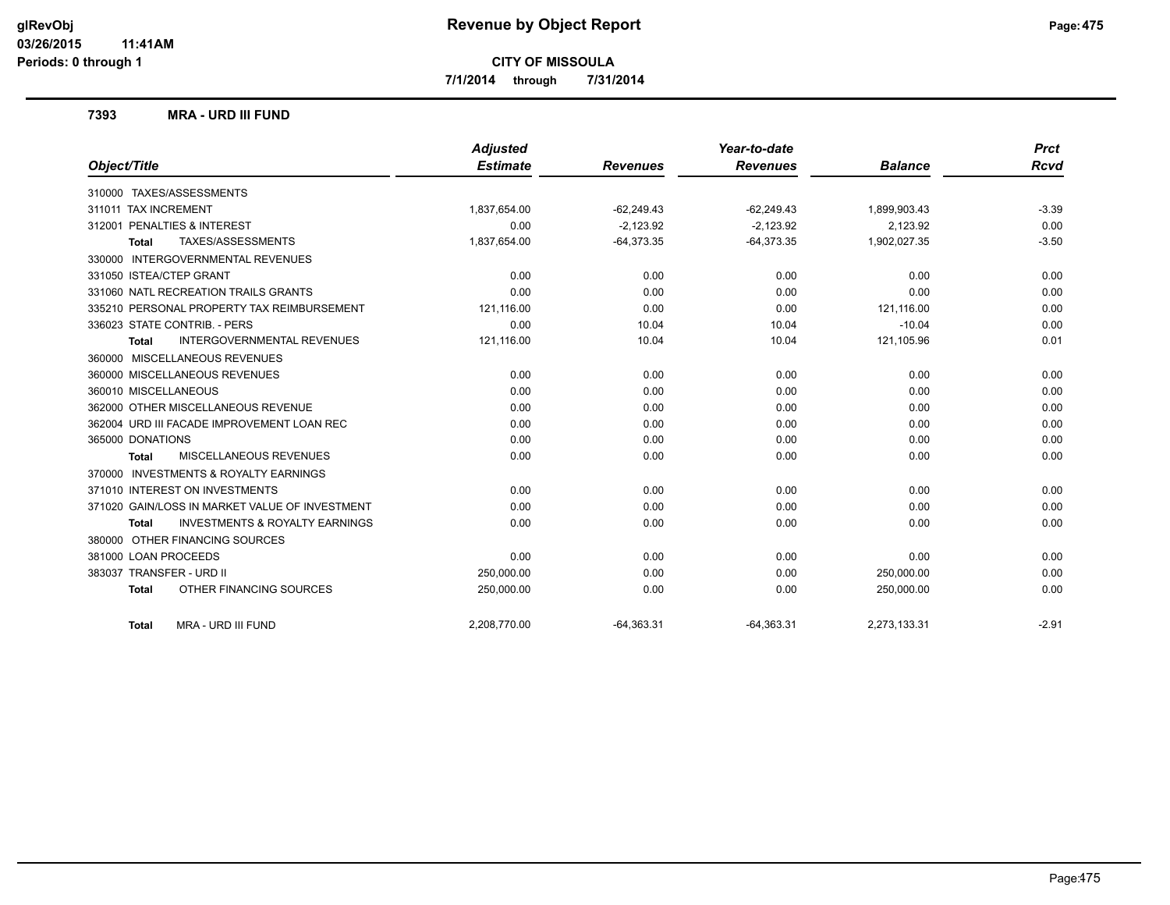**7/1/2014 through 7/31/2014**

#### **7393 MRA - URD III FUND**

|                                                           | <b>Adjusted</b> |                 | Year-to-date    |                | <b>Prct</b> |
|-----------------------------------------------------------|-----------------|-----------------|-----------------|----------------|-------------|
| Object/Title                                              | <b>Estimate</b> | <b>Revenues</b> | <b>Revenues</b> | <b>Balance</b> | <b>Rcvd</b> |
| 310000 TAXES/ASSESSMENTS                                  |                 |                 |                 |                |             |
| 311011 TAX INCREMENT                                      | 1,837,654.00    | $-62,249.43$    | $-62,249.43$    | 1,899,903.43   | $-3.39$     |
| 312001 PENALTIES & INTEREST                               | 0.00            | $-2,123.92$     | $-2,123.92$     | 2,123.92       | 0.00        |
| TAXES/ASSESSMENTS<br><b>Total</b>                         | 1,837,654.00    | $-64,373.35$    | $-64,373.35$    | 1,902,027.35   | $-3.50$     |
| 330000 INTERGOVERNMENTAL REVENUES                         |                 |                 |                 |                |             |
| 331050 ISTEA/CTEP GRANT                                   | 0.00            | 0.00            | 0.00            | 0.00           | 0.00        |
| 331060 NATL RECREATION TRAILS GRANTS                      | 0.00            | 0.00            | 0.00            | 0.00           | 0.00        |
| 335210 PERSONAL PROPERTY TAX REIMBURSEMENT                | 121,116.00      | 0.00            | 0.00            | 121.116.00     | 0.00        |
| 336023 STATE CONTRIB. - PERS                              | 0.00            | 10.04           | 10.04           | $-10.04$       | 0.00        |
| <b>INTERGOVERNMENTAL REVENUES</b><br><b>Total</b>         | 121,116.00      | 10.04           | 10.04           | 121,105.96     | 0.01        |
| 360000 MISCELLANEOUS REVENUES                             |                 |                 |                 |                |             |
| 360000 MISCELLANEOUS REVENUES                             | 0.00            | 0.00            | 0.00            | 0.00           | 0.00        |
| 360010 MISCELLANEOUS                                      | 0.00            | 0.00            | 0.00            | 0.00           | 0.00        |
| 362000 OTHER MISCELLANEOUS REVENUE                        | 0.00            | 0.00            | 0.00            | 0.00           | 0.00        |
| 362004 URD III FACADE IMPROVEMENT LOAN REC                | 0.00            | 0.00            | 0.00            | 0.00           | 0.00        |
| 365000 DONATIONS                                          | 0.00            | 0.00            | 0.00            | 0.00           | 0.00        |
| <b>MISCELLANEOUS REVENUES</b><br><b>Total</b>             | 0.00            | 0.00            | 0.00            | 0.00           | 0.00        |
| 370000 INVESTMENTS & ROYALTY EARNINGS                     |                 |                 |                 |                |             |
| 371010 INTEREST ON INVESTMENTS                            | 0.00            | 0.00            | 0.00            | 0.00           | 0.00        |
| 371020 GAIN/LOSS IN MARKET VALUE OF INVESTMENT            | 0.00            | 0.00            | 0.00            | 0.00           | 0.00        |
| <b>INVESTMENTS &amp; ROYALTY EARNINGS</b><br><b>Total</b> | 0.00            | 0.00            | 0.00            | 0.00           | 0.00        |
| 380000 OTHER FINANCING SOURCES                            |                 |                 |                 |                |             |
| 381000 LOAN PROCEEDS                                      | 0.00            | 0.00            | 0.00            | 0.00           | 0.00        |
| 383037 TRANSFER - URD II                                  | 250,000.00      | 0.00            | 0.00            | 250,000.00     | 0.00        |
| OTHER FINANCING SOURCES<br><b>Total</b>                   | 250,000.00      | 0.00            | 0.00            | 250,000.00     | 0.00        |
| MRA - URD III FUND<br><b>Total</b>                        | 2,208,770.00    | $-64,363.31$    | $-64,363.31$    | 2,273,133.31   | $-2.91$     |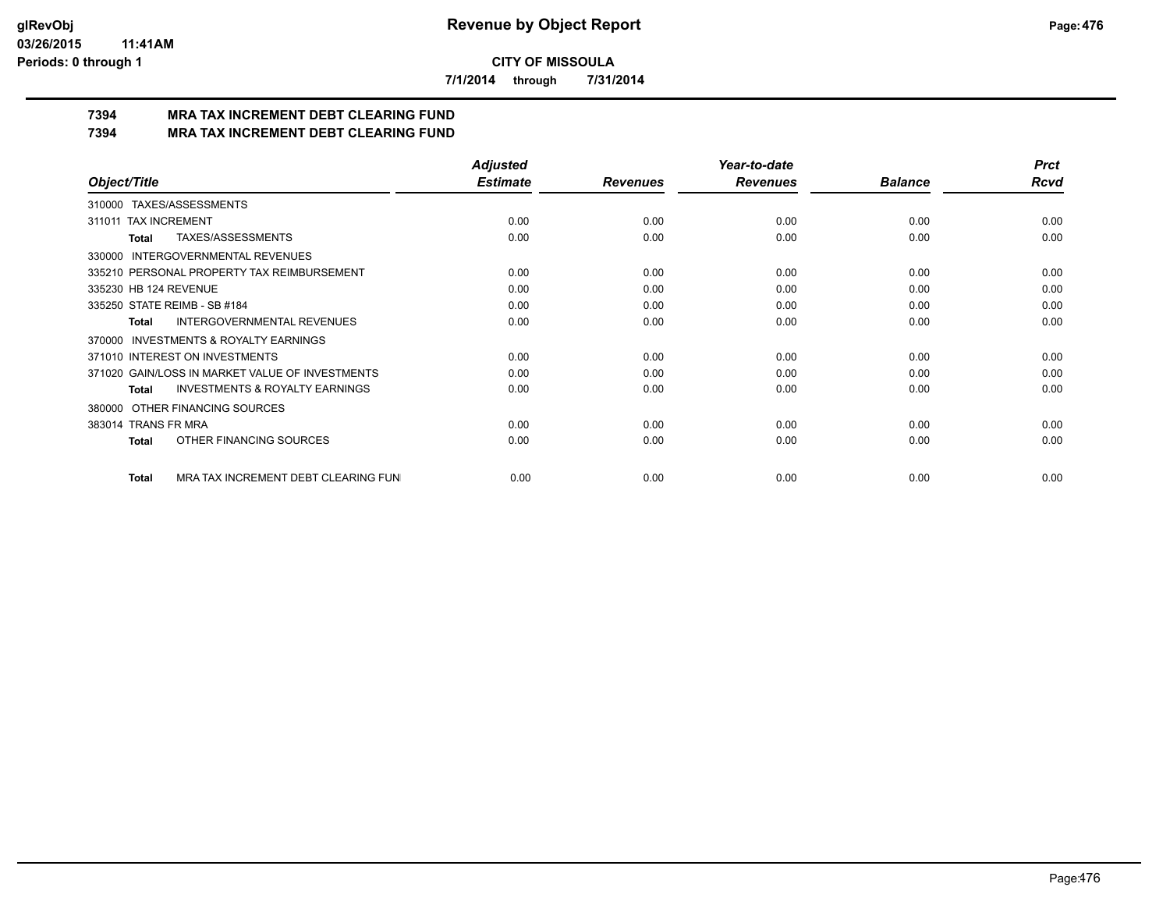**7/1/2014 through 7/31/2014**

# **7394 MRA TAX INCREMENT DEBT CLEARING FUND**

**7394 MRA TAX INCREMENT DEBT CLEARING FUND**

|                                                     | <b>Adjusted</b> |                 | Year-to-date    |                | <b>Prct</b> |
|-----------------------------------------------------|-----------------|-----------------|-----------------|----------------|-------------|
| Object/Title                                        | <b>Estimate</b> | <b>Revenues</b> | <b>Revenues</b> | <b>Balance</b> | <b>Rcvd</b> |
| 310000 TAXES/ASSESSMENTS                            |                 |                 |                 |                |             |
| <b>TAX INCREMENT</b><br>311011                      | 0.00            | 0.00            | 0.00            | 0.00           | 0.00        |
| TAXES/ASSESSMENTS<br>Total                          | 0.00            | 0.00            | 0.00            | 0.00           | 0.00        |
| <b>INTERGOVERNMENTAL REVENUES</b><br>330000         |                 |                 |                 |                |             |
| 335210 PERSONAL PROPERTY TAX REIMBURSEMENT          | 0.00            | 0.00            | 0.00            | 0.00           | 0.00        |
| 335230 HB 124 REVENUE                               | 0.00            | 0.00            | 0.00            | 0.00           | 0.00        |
| 335250 STATE REIMB - SB #184                        | 0.00            | 0.00            | 0.00            | 0.00           | 0.00        |
| INTERGOVERNMENTAL REVENUES<br>Total                 | 0.00            | 0.00            | 0.00            | 0.00           | 0.00        |
| <b>INVESTMENTS &amp; ROYALTY EARNINGS</b><br>370000 |                 |                 |                 |                |             |
| 371010 INTEREST ON INVESTMENTS                      | 0.00            | 0.00            | 0.00            | 0.00           | 0.00        |
| 371020 GAIN/LOSS IN MARKET VALUE OF INVESTMENTS     | 0.00            | 0.00            | 0.00            | 0.00           | 0.00        |
| <b>INVESTMENTS &amp; ROYALTY EARNINGS</b><br>Total  | 0.00            | 0.00            | 0.00            | 0.00           | 0.00        |
| OTHER FINANCING SOURCES<br>380000                   |                 |                 |                 |                |             |
| 383014 TRANS FR MRA                                 | 0.00            | 0.00            | 0.00            | 0.00           | 0.00        |
| OTHER FINANCING SOURCES<br>Total                    | 0.00            | 0.00            | 0.00            | 0.00           | 0.00        |
| MRA TAX INCREMENT DEBT CLEARING FUN<br>Total        | 0.00            | 0.00            | 0.00            | 0.00           | 0.00        |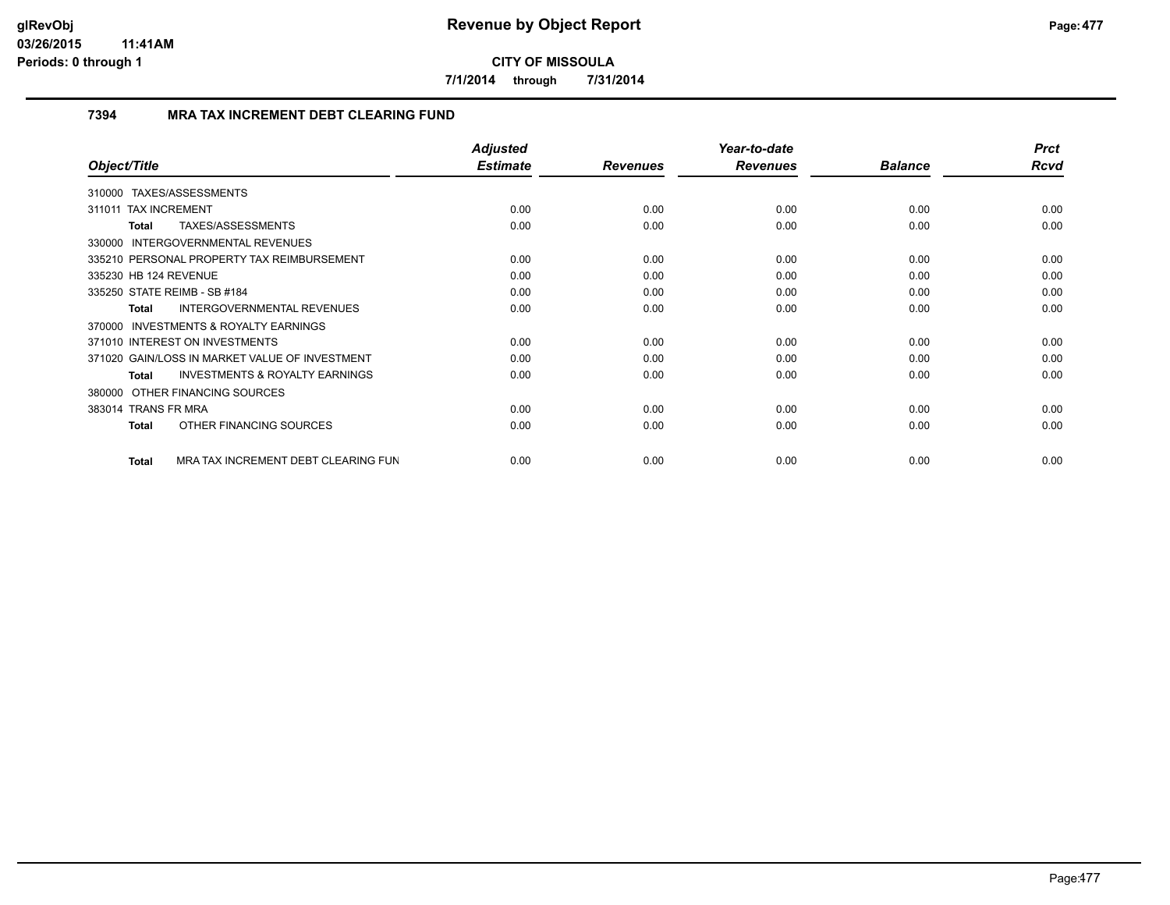**7/1/2014 through 7/31/2014**

## **7394 MRA TAX INCREMENT DEBT CLEARING FUND**

|                                                     | <b>Adjusted</b> |                 | Year-to-date    |                | <b>Prct</b> |
|-----------------------------------------------------|-----------------|-----------------|-----------------|----------------|-------------|
| Object/Title                                        | <b>Estimate</b> | <b>Revenues</b> | <b>Revenues</b> | <b>Balance</b> | Rcvd        |
| TAXES/ASSESSMENTS<br>310000                         |                 |                 |                 |                |             |
| 311011 TAX INCREMENT                                | 0.00            | 0.00            | 0.00            | 0.00           | 0.00        |
| TAXES/ASSESSMENTS<br>Total                          | 0.00            | 0.00            | 0.00            | 0.00           | 0.00        |
| 330000 INTERGOVERNMENTAL REVENUES                   |                 |                 |                 |                |             |
| 335210 PERSONAL PROPERTY TAX REIMBURSEMENT          | 0.00            | 0.00            | 0.00            | 0.00           | 0.00        |
| 335230 HB 124 REVENUE                               | 0.00            | 0.00            | 0.00            | 0.00           | 0.00        |
| 335250 STATE REIMB - SB #184                        | 0.00            | 0.00            | 0.00            | 0.00           | 0.00        |
| <b>INTERGOVERNMENTAL REVENUES</b><br>Total          | 0.00            | 0.00            | 0.00            | 0.00           | 0.00        |
| INVESTMENTS & ROYALTY EARNINGS<br>370000            |                 |                 |                 |                |             |
| 371010 INTEREST ON INVESTMENTS                      | 0.00            | 0.00            | 0.00            | 0.00           | 0.00        |
| 371020 GAIN/LOSS IN MARKET VALUE OF INVESTMENT      | 0.00            | 0.00            | 0.00            | 0.00           | 0.00        |
| <b>INVESTMENTS &amp; ROYALTY EARNINGS</b><br>Total  | 0.00            | 0.00            | 0.00            | 0.00           | 0.00        |
| 380000 OTHER FINANCING SOURCES                      |                 |                 |                 |                |             |
| 383014 TRANS FR MRA                                 | 0.00            | 0.00            | 0.00            | 0.00           | 0.00        |
| OTHER FINANCING SOURCES<br><b>Total</b>             | 0.00            | 0.00            | 0.00            | 0.00           | 0.00        |
| MRA TAX INCREMENT DEBT CLEARING FUN<br><b>Total</b> | 0.00            | 0.00            | 0.00            | 0.00           | 0.00        |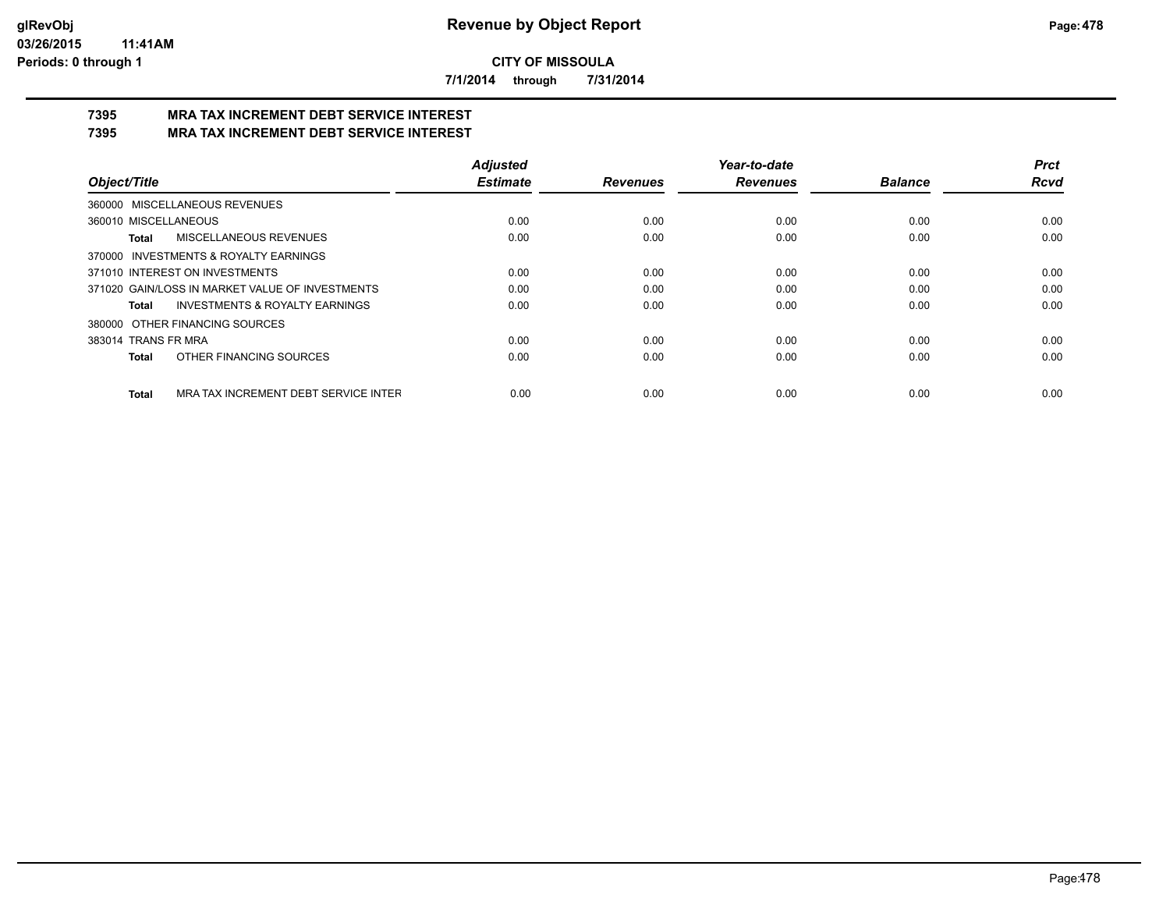**7/1/2014 through 7/31/2014**

#### **7395 MRA TAX INCREMENT DEBT SERVICE INTEREST 7395 MRA TAX INCREMENT DEBT SERVICE INTEREST**

|                                                      | <b>Adjusted</b> |                 | Year-to-date    |                | <b>Prct</b> |
|------------------------------------------------------|-----------------|-----------------|-----------------|----------------|-------------|
| Object/Title                                         | <b>Estimate</b> | <b>Revenues</b> | <b>Revenues</b> | <b>Balance</b> | <b>Rcvd</b> |
| MISCELLANEOUS REVENUES<br>360000                     |                 |                 |                 |                |             |
| 360010 MISCELLANEOUS                                 | 0.00            | 0.00            | 0.00            | 0.00           | 0.00        |
| MISCELLANEOUS REVENUES<br>Total                      | 0.00            | 0.00            | 0.00            | 0.00           | 0.00        |
| 370000 INVESTMENTS & ROYALTY EARNINGS                |                 |                 |                 |                |             |
| 371010 INTEREST ON INVESTMENTS                       | 0.00            | 0.00            | 0.00            | 0.00           | 0.00        |
| 371020 GAIN/LOSS IN MARKET VALUE OF INVESTMENTS      | 0.00            | 0.00            | 0.00            | 0.00           | 0.00        |
| <b>INVESTMENTS &amp; ROYALTY EARNINGS</b><br>Total   | 0.00            | 0.00            | 0.00            | 0.00           | 0.00        |
| OTHER FINANCING SOURCES<br>380000                    |                 |                 |                 |                |             |
| 383014 TRANS FR MRA                                  | 0.00            | 0.00            | 0.00            | 0.00           | 0.00        |
| OTHER FINANCING SOURCES<br>Total                     | 0.00            | 0.00            | 0.00            | 0.00           | 0.00        |
| MRA TAX INCREMENT DEBT SERVICE INTER<br><b>Total</b> | 0.00            | 0.00            | 0.00            | 0.00           | 0.00        |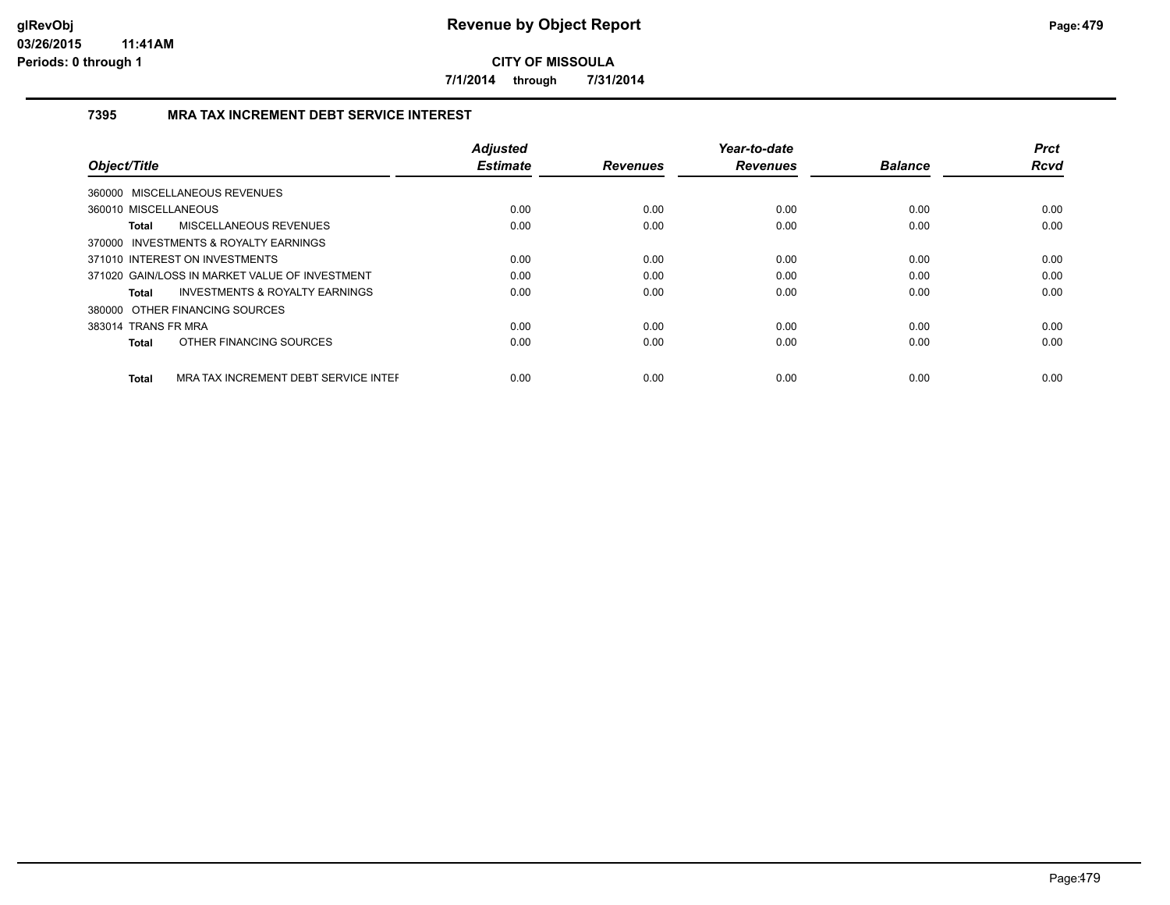**7/1/2014 through 7/31/2014**

# **7395 MRA TAX INCREMENT DEBT SERVICE INTEREST**

| Object/Title                                         | <b>Adjusted</b><br><b>Estimate</b> | <b>Revenues</b> | Year-to-date<br><b>Revenues</b> | <b>Balance</b> | <b>Prct</b><br><b>Rcvd</b> |
|------------------------------------------------------|------------------------------------|-----------------|---------------------------------|----------------|----------------------------|
|                                                      |                                    |                 |                                 |                |                            |
| 360000 MISCELLANEOUS REVENUES                        |                                    |                 |                                 |                |                            |
| 360010 MISCELLANEOUS                                 | 0.00                               | 0.00            | 0.00                            | 0.00           | 0.00                       |
| MISCELLANEOUS REVENUES<br>Total                      | 0.00                               | 0.00            | 0.00                            | 0.00           | 0.00                       |
| 370000 INVESTMENTS & ROYALTY EARNINGS                |                                    |                 |                                 |                |                            |
| 371010 INTEREST ON INVESTMENTS                       | 0.00                               | 0.00            | 0.00                            | 0.00           | 0.00                       |
| 371020 GAIN/LOSS IN MARKET VALUE OF INVESTMENT       | 0.00                               | 0.00            | 0.00                            | 0.00           | 0.00                       |
| <b>INVESTMENTS &amp; ROYALTY EARNINGS</b><br>Total   | 0.00                               | 0.00            | 0.00                            | 0.00           | 0.00                       |
| 380000 OTHER FINANCING SOURCES                       |                                    |                 |                                 |                |                            |
| 383014 TRANS FR MRA                                  | 0.00                               | 0.00            | 0.00                            | 0.00           | 0.00                       |
| OTHER FINANCING SOURCES<br>Total                     | 0.00                               | 0.00            | 0.00                            | 0.00           | 0.00                       |
| MRA TAX INCREMENT DEBT SERVICE INTER<br><b>Total</b> | 0.00                               | 0.00            | 0.00                            | 0.00           | 0.00                       |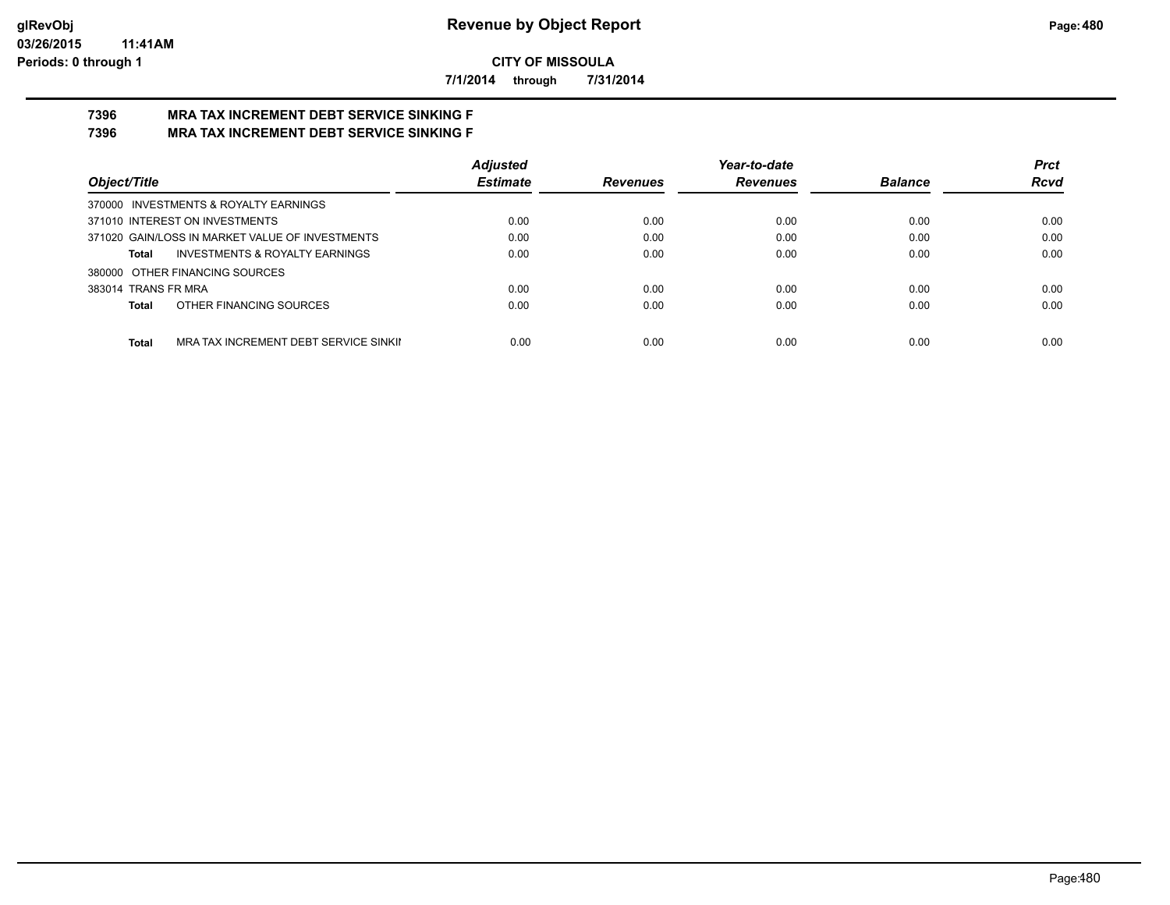**7/1/2014 through 7/31/2014**

#### **7396 MRA TAX INCREMENT DEBT SERVICE SINKING F 7396 MRA TAX INCREMENT DEBT SERVICE SINKING F**

|                                                    | <b>Adiusted</b> |                 | Year-to-date    |                | <b>Prct</b> |
|----------------------------------------------------|-----------------|-----------------|-----------------|----------------|-------------|
| Object/Title                                       | <b>Estimate</b> | <b>Revenues</b> | <b>Revenues</b> | <b>Balance</b> | <b>Rcvd</b> |
| 370000 INVESTMENTS & ROYALTY EARNINGS              |                 |                 |                 |                |             |
| 371010 INTEREST ON INVESTMENTS                     | 0.00            | 0.00            | 0.00            | 0.00           | 0.00        |
| 371020 GAIN/LOSS IN MARKET VALUE OF INVESTMENTS    | 0.00            | 0.00            | 0.00            | 0.00           | 0.00        |
| <b>INVESTMENTS &amp; ROYALTY EARNINGS</b><br>Total | 0.00            | 0.00            | 0.00            | 0.00           | 0.00        |
| 380000 OTHER FINANCING SOURCES                     |                 |                 |                 |                |             |
| 383014 TRANS FR MRA                                | 0.00            | 0.00            | 0.00            | 0.00           | 0.00        |
| OTHER FINANCING SOURCES<br>Total                   | 0.00            | 0.00            | 0.00            | 0.00           | 0.00        |
|                                                    |                 |                 |                 |                |             |
| Total<br>MRA TAX INCREMENT DEBT SERVICE SINKII     | 0.00            | 0.00            | 0.00            | 0.00           | 0.00        |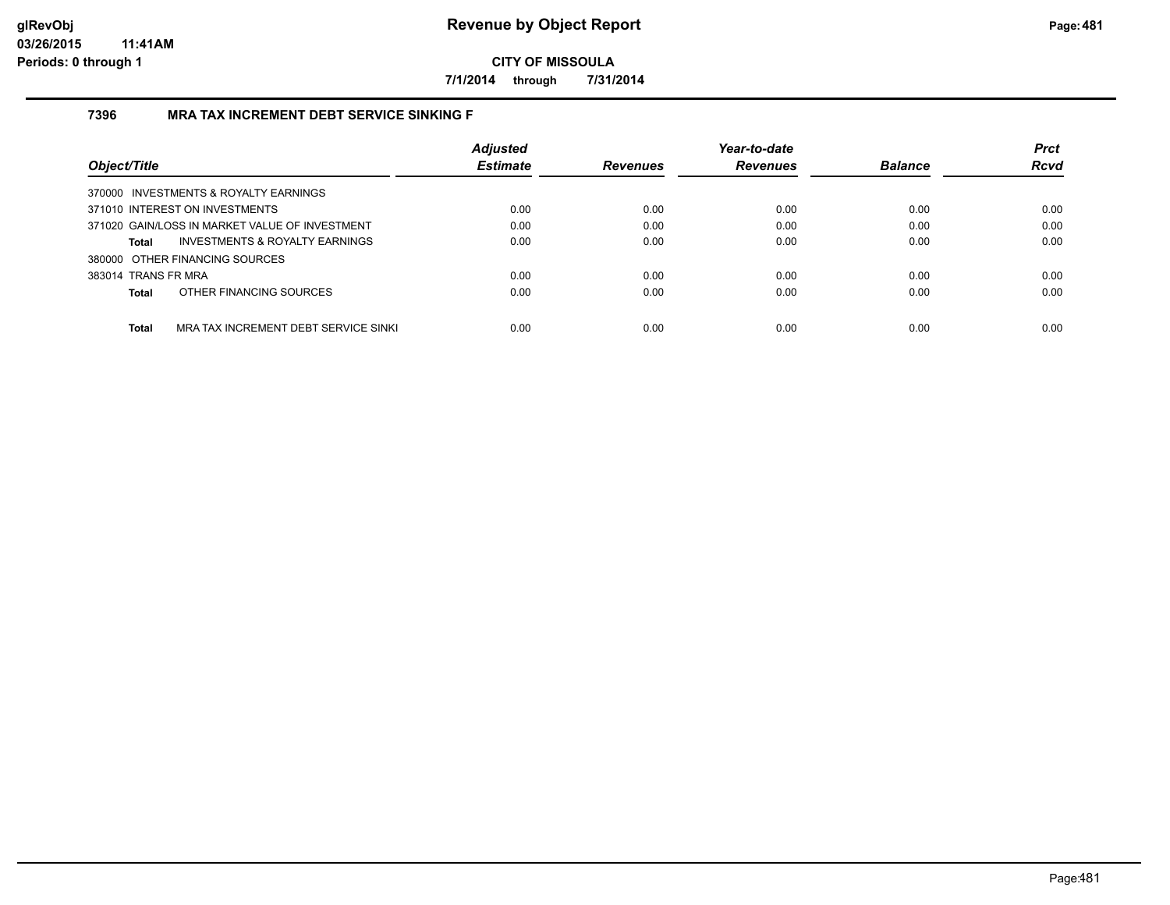**7/1/2014 through 7/31/2014**

## **7396 MRA TAX INCREMENT DEBT SERVICE SINKING F**

| Object/Title                                         | <b>Adjusted</b><br><b>Estimate</b> | <b>Revenues</b> | Year-to-date<br><b>Revenues</b> | <b>Balance</b> | <b>Prct</b><br><b>Rcvd</b> |
|------------------------------------------------------|------------------------------------|-----------------|---------------------------------|----------------|----------------------------|
|                                                      |                                    |                 |                                 |                |                            |
| 370000 INVESTMENTS & ROYALTY EARNINGS                |                                    |                 |                                 |                |                            |
| 371010 INTEREST ON INVESTMENTS                       | 0.00                               | 0.00            | 0.00                            | 0.00           | 0.00                       |
| 371020 GAIN/LOSS IN MARKET VALUE OF INVESTMENT       | 0.00                               | 0.00            | 0.00                            | 0.00           | 0.00                       |
| INVESTMENTS & ROYALTY EARNINGS<br>Total              | 0.00                               | 0.00            | 0.00                            | 0.00           | 0.00                       |
| 380000 OTHER FINANCING SOURCES                       |                                    |                 |                                 |                |                            |
| 383014 TRANS FR MRA                                  | 0.00                               | 0.00            | 0.00                            | 0.00           | 0.00                       |
| OTHER FINANCING SOURCES<br>Total                     | 0.00                               | 0.00            | 0.00                            | 0.00           | 0.00                       |
|                                                      |                                    |                 |                                 |                |                            |
| <b>Total</b><br>MRA TAX INCREMENT DEBT SERVICE SINKI | 0.00                               | 0.00            | 0.00                            | 0.00           | 0.00                       |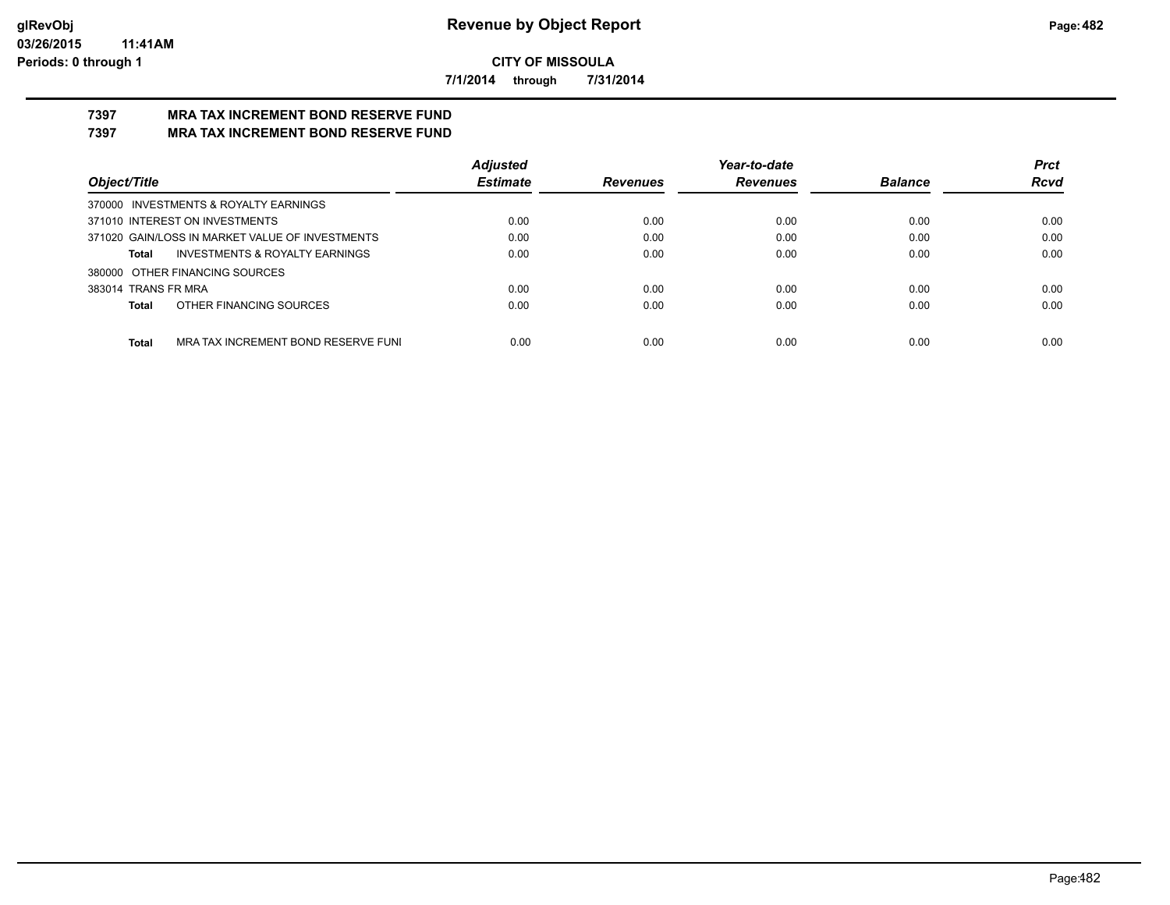**7/1/2014 through 7/31/2014**

#### **7397 MRA TAX INCREMENT BOND RESERVE FUND 7397 MRA TAX INCREMENT BOND RESERVE FUND**

|                                                     | <b>Adjusted</b> |                 | Year-to-date    |                | <b>Prct</b> |
|-----------------------------------------------------|-----------------|-----------------|-----------------|----------------|-------------|
| Object/Title                                        | <b>Estimate</b> | <b>Revenues</b> | <b>Revenues</b> | <b>Balance</b> | <b>Rcvd</b> |
| 370000 INVESTMENTS & ROYALTY EARNINGS               |                 |                 |                 |                |             |
| 371010 INTEREST ON INVESTMENTS                      | 0.00            | 0.00            | 0.00            | 0.00           | 0.00        |
| 371020 GAIN/LOSS IN MARKET VALUE OF INVESTMENTS     | 0.00            | 0.00            | 0.00            | 0.00           | 0.00        |
| <b>INVESTMENTS &amp; ROYALTY EARNINGS</b><br>Total  | 0.00            | 0.00            | 0.00            | 0.00           | 0.00        |
| 380000 OTHER FINANCING SOURCES                      |                 |                 |                 |                |             |
| 383014 TRANS FR MRA                                 | 0.00            | 0.00            | 0.00            | 0.00           | 0.00        |
| OTHER FINANCING SOURCES<br>Total                    | 0.00            | 0.00            | 0.00            | 0.00           | 0.00        |
|                                                     |                 |                 |                 |                |             |
| <b>Total</b><br>MRA TAX INCREMENT BOND RESERVE FUNI | 0.00            | 0.00            | 0.00            | 0.00           | 0.00        |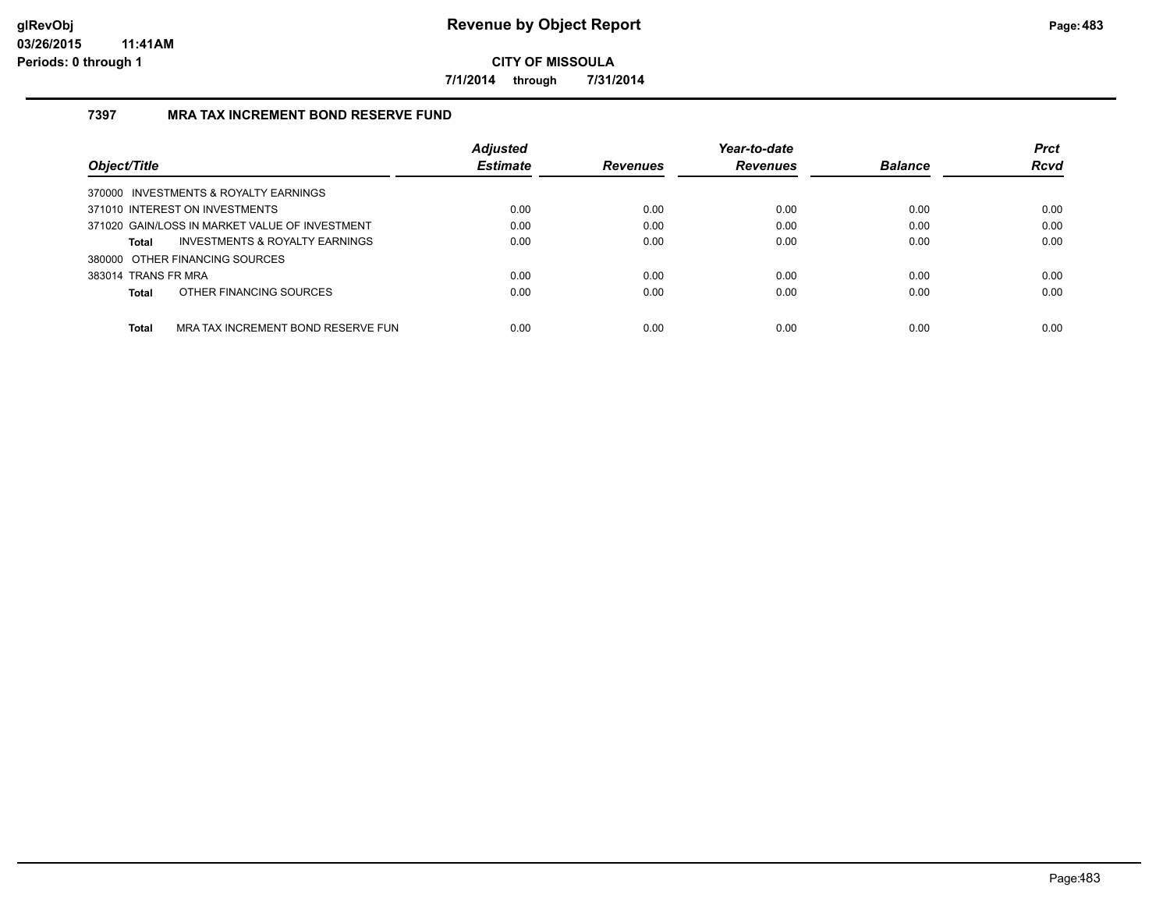**7/1/2014 through 7/31/2014**

## **7397 MRA TAX INCREMENT BOND RESERVE FUND**

| Object/Title        |                                                | <b>Adjusted</b><br><b>Estimate</b> | <b>Revenues</b> | Year-to-date<br><b>Revenues</b> | <b>Balance</b> | <b>Prct</b><br><b>Rcvd</b> |
|---------------------|------------------------------------------------|------------------------------------|-----------------|---------------------------------|----------------|----------------------------|
|                     | 370000 INVESTMENTS & ROYALTY EARNINGS          |                                    |                 |                                 |                |                            |
|                     | 371010 INTEREST ON INVESTMENTS                 | 0.00                               | 0.00            | 0.00                            | 0.00           | 0.00                       |
|                     | 371020 GAIN/LOSS IN MARKET VALUE OF INVESTMENT | 0.00                               | 0.00            | 0.00                            | 0.00           | 0.00                       |
| Total               | <b>INVESTMENTS &amp; ROYALTY EARNINGS</b>      | 0.00                               | 0.00            | 0.00                            | 0.00           | 0.00                       |
|                     | 380000 OTHER FINANCING SOURCES                 |                                    |                 |                                 |                |                            |
| 383014 TRANS FR MRA |                                                | 0.00                               | 0.00            | 0.00                            | 0.00           | 0.00                       |
| Total               | OTHER FINANCING SOURCES                        | 0.00                               | 0.00            | 0.00                            | 0.00           | 0.00                       |
| <b>Total</b>        | MRA TAX INCREMENT BOND RESERVE FUN             | 0.00                               | 0.00            | 0.00                            | 0.00           | 0.00                       |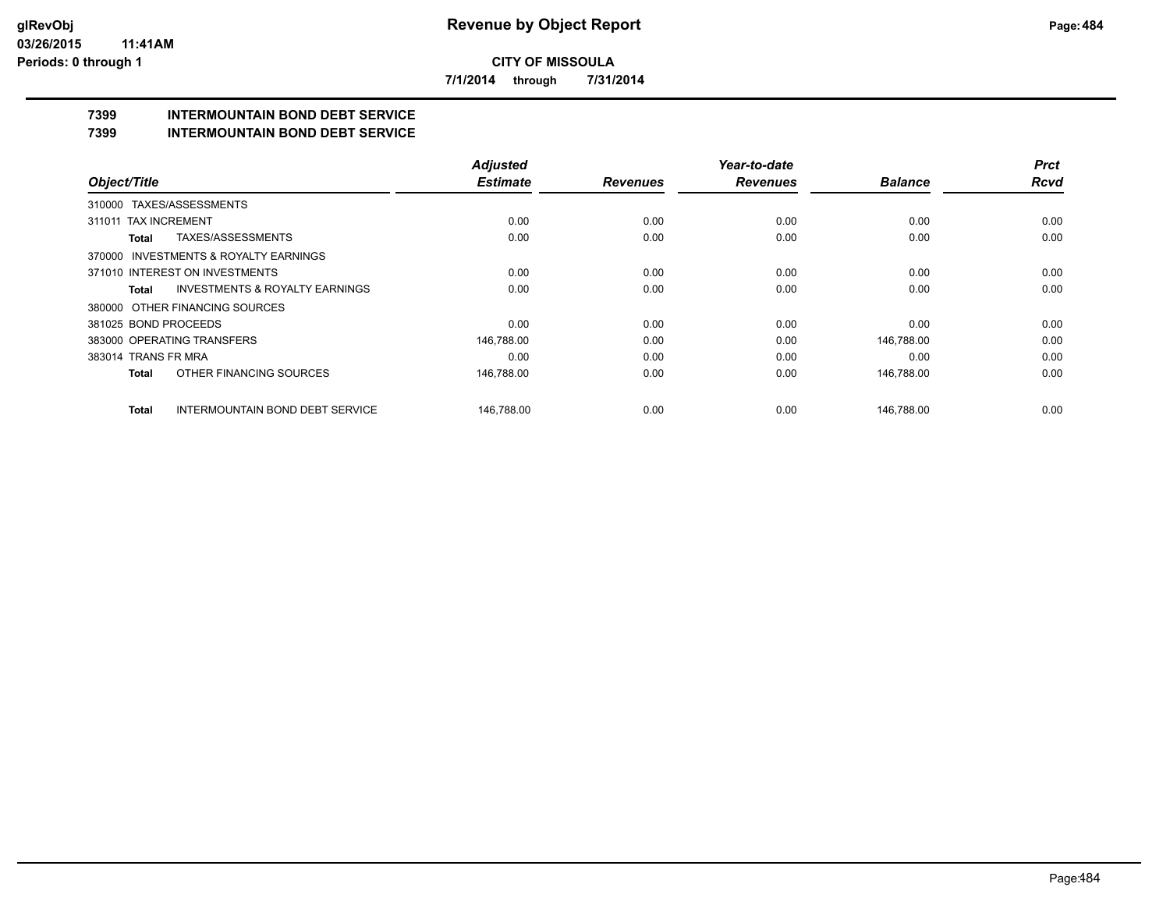**7/1/2014 through 7/31/2014**

# **7399 INTERMOUNTAIN BOND DEBT SERVICE**

#### **7399 INTERMOUNTAIN BOND DEBT SERVICE**

|                                                           | <b>Adjusted</b> |                 | Year-to-date    |                | <b>Prct</b> |
|-----------------------------------------------------------|-----------------|-----------------|-----------------|----------------|-------------|
| Object/Title                                              | <b>Estimate</b> | <b>Revenues</b> | <b>Revenues</b> | <b>Balance</b> | <b>Rcvd</b> |
| TAXES/ASSESSMENTS<br>310000                               |                 |                 |                 |                |             |
| 311011 TAX INCREMENT                                      | 0.00            | 0.00            | 0.00            | 0.00           | 0.00        |
| TAXES/ASSESSMENTS<br>Total                                | 0.00            | 0.00            | 0.00            | 0.00           | 0.00        |
| 370000 INVESTMENTS & ROYALTY EARNINGS                     |                 |                 |                 |                |             |
| 371010 INTEREST ON INVESTMENTS                            | 0.00            | 0.00            | 0.00            | 0.00           | 0.00        |
| <b>INVESTMENTS &amp; ROYALTY EARNINGS</b><br><b>Total</b> | 0.00            | 0.00            | 0.00            | 0.00           | 0.00        |
| 380000 OTHER FINANCING SOURCES                            |                 |                 |                 |                |             |
| 381025 BOND PROCEEDS                                      | 0.00            | 0.00            | 0.00            | 0.00           | 0.00        |
| 383000 OPERATING TRANSFERS                                | 146,788.00      | 0.00            | 0.00            | 146,788.00     | 0.00        |
| 383014 TRANS FR MRA                                       | 0.00            | 0.00            | 0.00            | 0.00           | 0.00        |
| OTHER FINANCING SOURCES<br><b>Total</b>                   | 146,788.00      | 0.00            | 0.00            | 146,788.00     | 0.00        |
| <b>INTERMOUNTAIN BOND DEBT SERVICE</b><br><b>Total</b>    | 146.788.00      | 0.00            | 0.00            | 146.788.00     | 0.00        |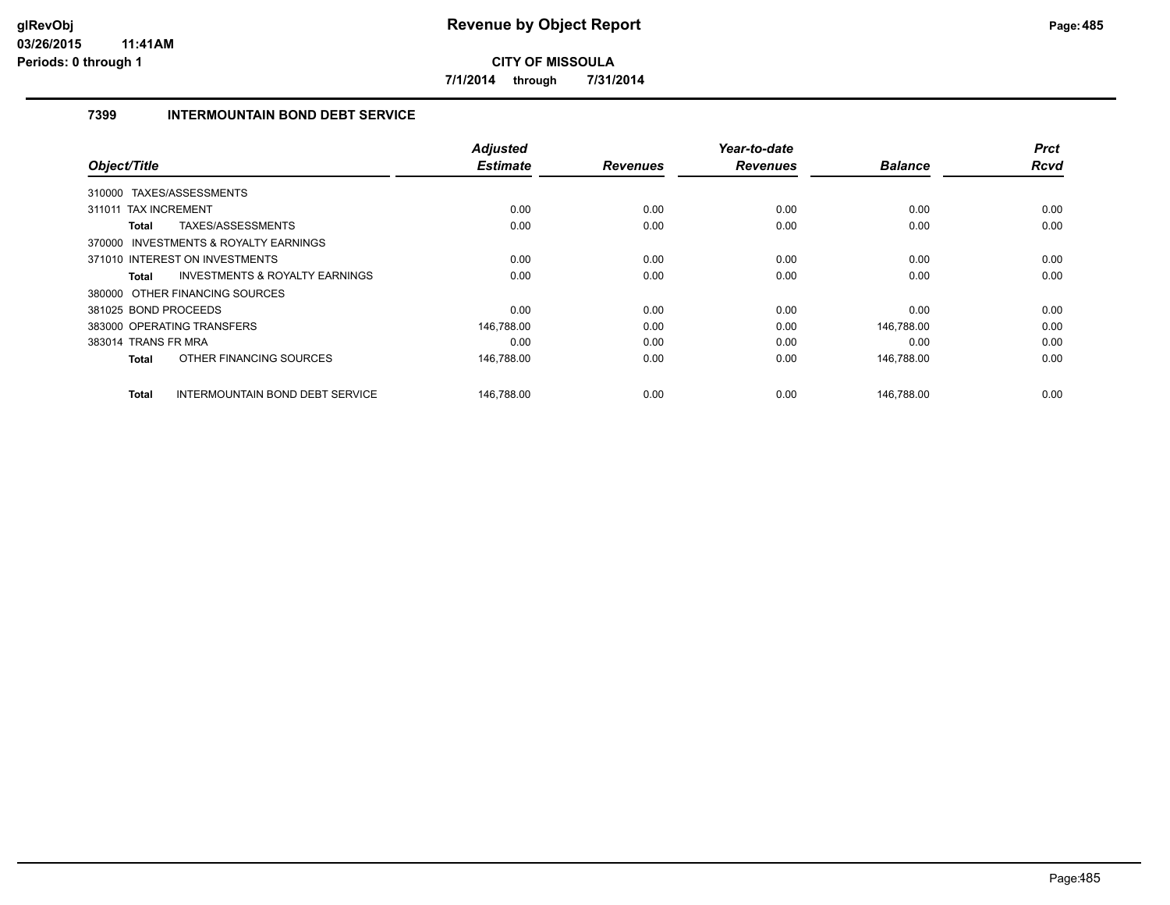**7/1/2014 through 7/31/2014**

# **7399 INTERMOUNTAIN BOND DEBT SERVICE**

| Object/Title         |                                           | <b>Adjusted</b><br><b>Estimate</b> | <b>Revenues</b> | Year-to-date<br><b>Revenues</b> | <b>Balance</b> | <b>Prct</b><br>Rcvd |
|----------------------|-------------------------------------------|------------------------------------|-----------------|---------------------------------|----------------|---------------------|
|                      |                                           |                                    |                 |                                 |                |                     |
|                      | 310000 TAXES/ASSESSMENTS                  |                                    |                 |                                 |                |                     |
| 311011               | <b>TAX INCREMENT</b>                      | 0.00                               | 0.00            | 0.00                            | 0.00           | 0.00                |
| Total                | TAXES/ASSESSMENTS                         | 0.00                               | 0.00            | 0.00                            | 0.00           | 0.00                |
|                      | 370000 INVESTMENTS & ROYALTY EARNINGS     |                                    |                 |                                 |                |                     |
|                      | 371010 INTEREST ON INVESTMENTS            | 0.00                               | 0.00            | 0.00                            | 0.00           | 0.00                |
| Total                | <b>INVESTMENTS &amp; ROYALTY EARNINGS</b> | 0.00                               | 0.00            | 0.00                            | 0.00           | 0.00                |
|                      | 380000 OTHER FINANCING SOURCES            |                                    |                 |                                 |                |                     |
| 381025 BOND PROCEEDS |                                           | 0.00                               | 0.00            | 0.00                            | 0.00           | 0.00                |
|                      | 383000 OPERATING TRANSFERS                | 146,788.00                         | 0.00            | 0.00                            | 146,788.00     | 0.00                |
| 383014 TRANS FR MRA  |                                           | 0.00                               | 0.00            | 0.00                            | 0.00           | 0.00                |
| <b>Total</b>         | OTHER FINANCING SOURCES                   | 146,788.00                         | 0.00            | 0.00                            | 146,788.00     | 0.00                |
| Total                | INTERMOUNTAIN BOND DEBT SERVICE           | 146,788.00                         | 0.00            | 0.00                            | 146,788.00     | 0.00                |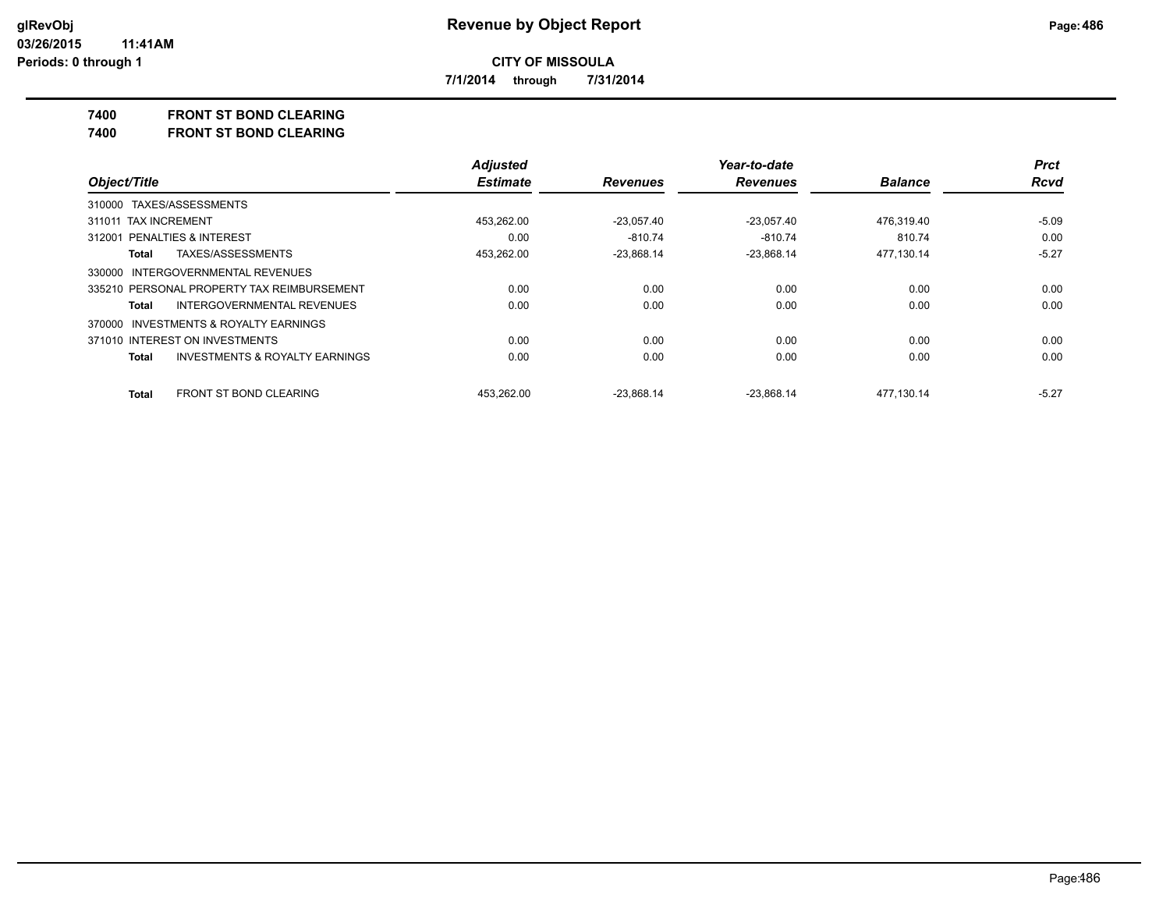**7/1/2014 through 7/31/2014**

#### **7400 FRONT ST BOND CLEARING**

**7400 FRONT ST BOND CLEARING**

|                                                    | <b>Adjusted</b> |                 | Year-to-date    |                | <b>Prct</b> |
|----------------------------------------------------|-----------------|-----------------|-----------------|----------------|-------------|
| Object/Title                                       | <b>Estimate</b> | <b>Revenues</b> | <b>Revenues</b> | <b>Balance</b> | <b>Rcvd</b> |
| 310000 TAXES/ASSESSMENTS                           |                 |                 |                 |                |             |
| 311011 TAX INCREMENT                               | 453.262.00      | $-23.057.40$    | $-23.057.40$    | 476.319.40     | $-5.09$     |
| 312001 PENALTIES & INTEREST                        | 0.00            | $-810.74$       | -810.74         | 810.74         | 0.00        |
| TAXES/ASSESSMENTS<br>Total                         | 453,262.00      | $-23,868.14$    | $-23,868.14$    | 477,130.14     | $-5.27$     |
| 330000 INTERGOVERNMENTAL REVENUES                  |                 |                 |                 |                |             |
| 335210 PERSONAL PROPERTY TAX REIMBURSEMENT         | 0.00            | 0.00            | 0.00            | 0.00           | 0.00        |
| INTERGOVERNMENTAL REVENUES<br>Total                | 0.00            | 0.00            | 0.00            | 0.00           | 0.00        |
| 370000 INVESTMENTS & ROYALTY EARNINGS              |                 |                 |                 |                |             |
| 371010 INTEREST ON INVESTMENTS                     | 0.00            | 0.00            | 0.00            | 0.00           | 0.00        |
| <b>INVESTMENTS &amp; ROYALTY EARNINGS</b><br>Total | 0.00            | 0.00            | 0.00            | 0.00           | 0.00        |
| <b>FRONT ST BOND CLEARING</b><br>Total             | 453.262.00      | $-23.868.14$    | $-23.868.14$    | 477.130.14     | $-5.27$     |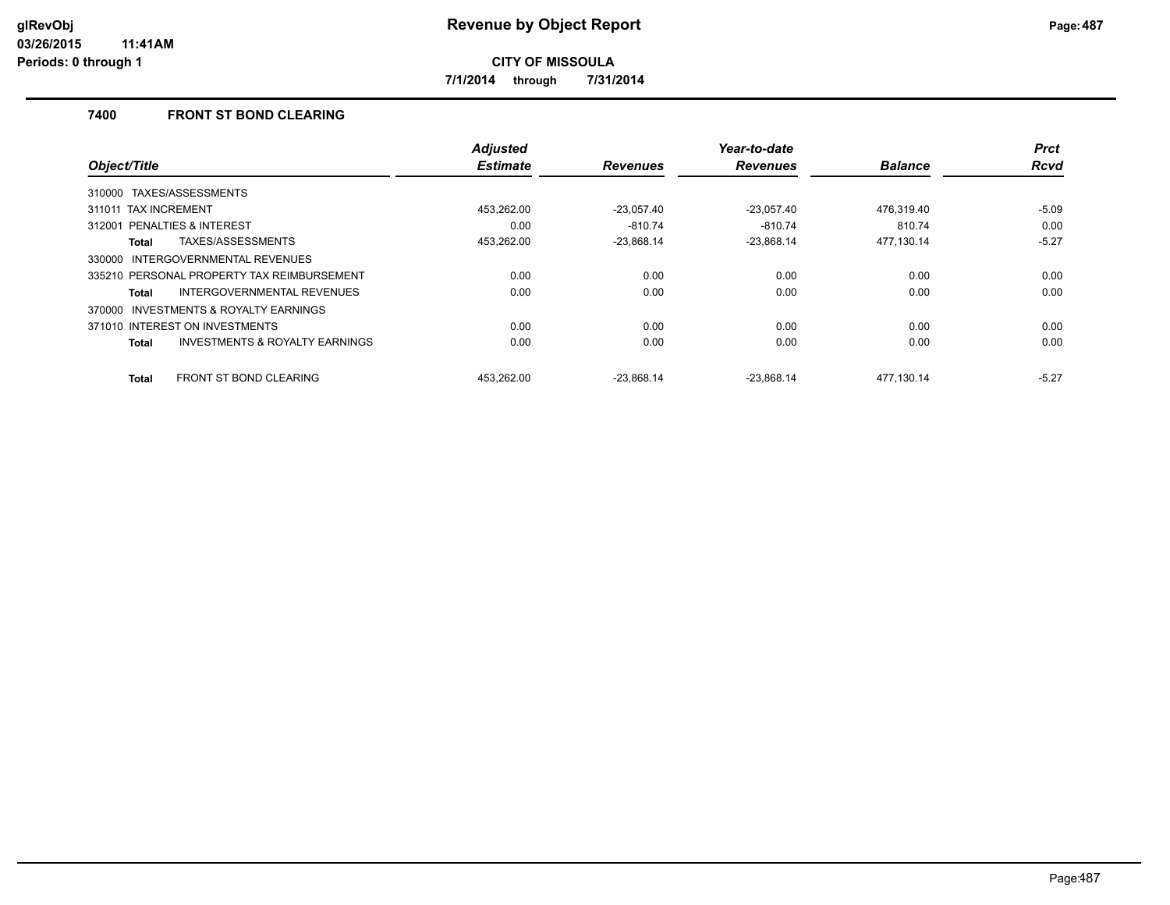**7/1/2014 through 7/31/2014**

# **7400 FRONT ST BOND CLEARING**

|                                                     | <b>Adjusted</b> |                 | Year-to-date    |                | <b>Prct</b> |
|-----------------------------------------------------|-----------------|-----------------|-----------------|----------------|-------------|
| Object/Title                                        | <b>Estimate</b> | <b>Revenues</b> | <b>Revenues</b> | <b>Balance</b> | <b>Rcvd</b> |
| TAXES/ASSESSMENTS<br>310000                         |                 |                 |                 |                |             |
| 311011 TAX INCREMENT                                | 453.262.00      | $-23.057.40$    | $-23.057.40$    | 476.319.40     | $-5.09$     |
| PENALTIES & INTEREST<br>312001                      | 0.00            | $-810.74$       | $-810.74$       | 810.74         | 0.00        |
| TAXES/ASSESSMENTS<br>Total                          | 453.262.00      | $-23.868.14$    | $-23.868.14$    | 477.130.14     | $-5.27$     |
| INTERGOVERNMENTAL REVENUES<br>330000                |                 |                 |                 |                |             |
| 335210 PERSONAL PROPERTY TAX REIMBURSEMENT          | 0.00            | 0.00            | 0.00            | 0.00           | 0.00        |
| <b>INTERGOVERNMENTAL REVENUES</b><br>Total          | 0.00            | 0.00            | 0.00            | 0.00           | 0.00        |
| <b>INVESTMENTS &amp; ROYALTY EARNINGS</b><br>370000 |                 |                 |                 |                |             |
| 371010 INTEREST ON INVESTMENTS                      | 0.00            | 0.00            | 0.00            | 0.00           | 0.00        |
| <b>INVESTMENTS &amp; ROYALTY EARNINGS</b><br>Total  | 0.00            | 0.00            | 0.00            | 0.00           | 0.00        |
| <b>FRONT ST BOND CLEARING</b><br>Total              | 453.262.00      | $-23.868.14$    | $-23.868.14$    | 477.130.14     | $-5.27$     |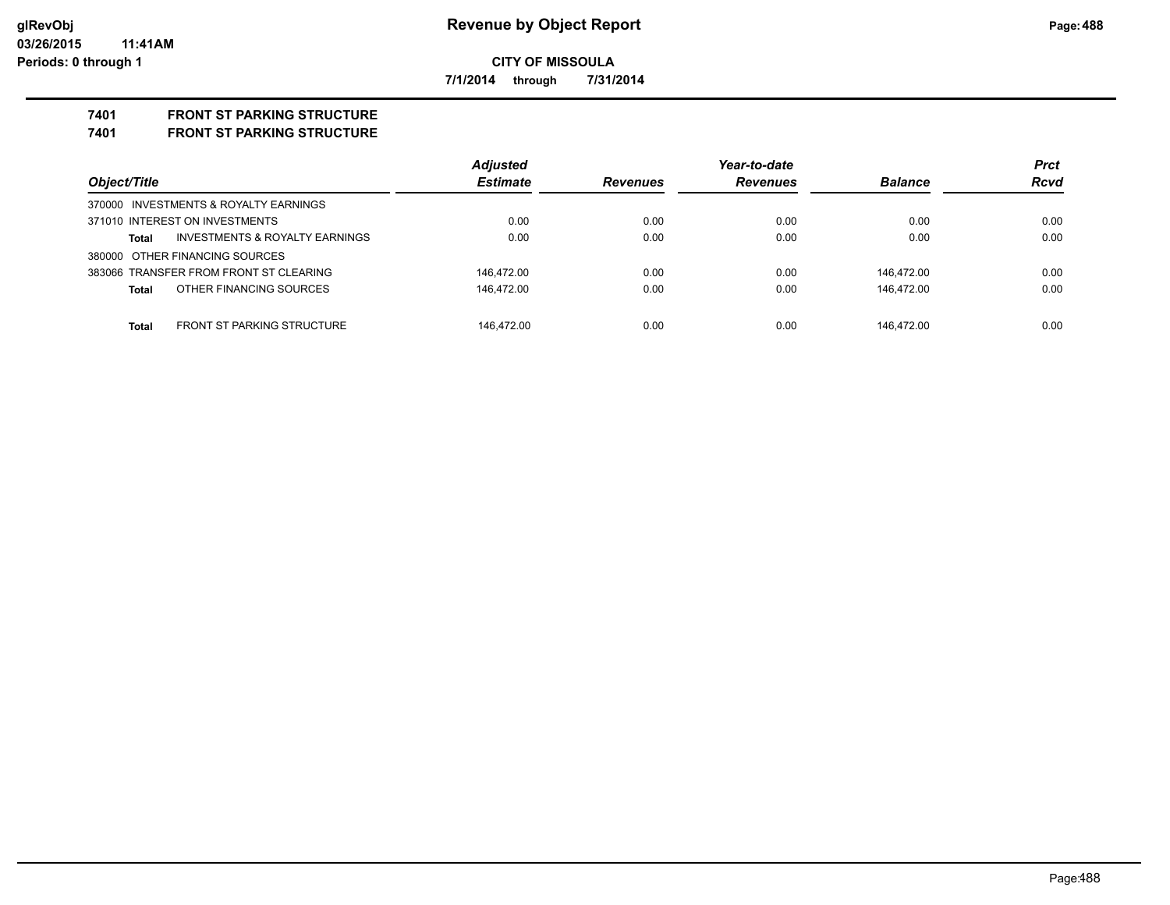**7/1/2014 through 7/31/2014**

# **7401 FRONT ST PARKING STRUCTURE**

**7401 FRONT ST PARKING STRUCTURE**

|                                                           | <b>Adjusted</b> |                 | Year-to-date    |                | <b>Prct</b> |
|-----------------------------------------------------------|-----------------|-----------------|-----------------|----------------|-------------|
| Object/Title                                              | <b>Estimate</b> | <b>Revenues</b> | <b>Revenues</b> | <b>Balance</b> | <b>Rcvd</b> |
| 370000 INVESTMENTS & ROYALTY EARNINGS                     |                 |                 |                 |                |             |
| 371010 INTEREST ON INVESTMENTS                            | 0.00            | 0.00            | 0.00            | 0.00           | 0.00        |
| <b>INVESTMENTS &amp; ROYALTY EARNINGS</b><br><b>Total</b> | 0.00            | 0.00            | 0.00            | 0.00           | 0.00        |
| 380000 OTHER FINANCING SOURCES                            |                 |                 |                 |                |             |
| 383066 TRANSFER FROM FRONT ST CLEARING                    | 146.472.00      | 0.00            | 0.00            | 146.472.00     | 0.00        |
| OTHER FINANCING SOURCES<br><b>Total</b>                   | 146.472.00      | 0.00            | 0.00            | 146.472.00     | 0.00        |
|                                                           |                 |                 |                 |                |             |
| <b>FRONT ST PARKING STRUCTURE</b><br><b>Total</b>         | 146.472.00      | 0.00            | 0.00            | 146.472.00     | 0.00        |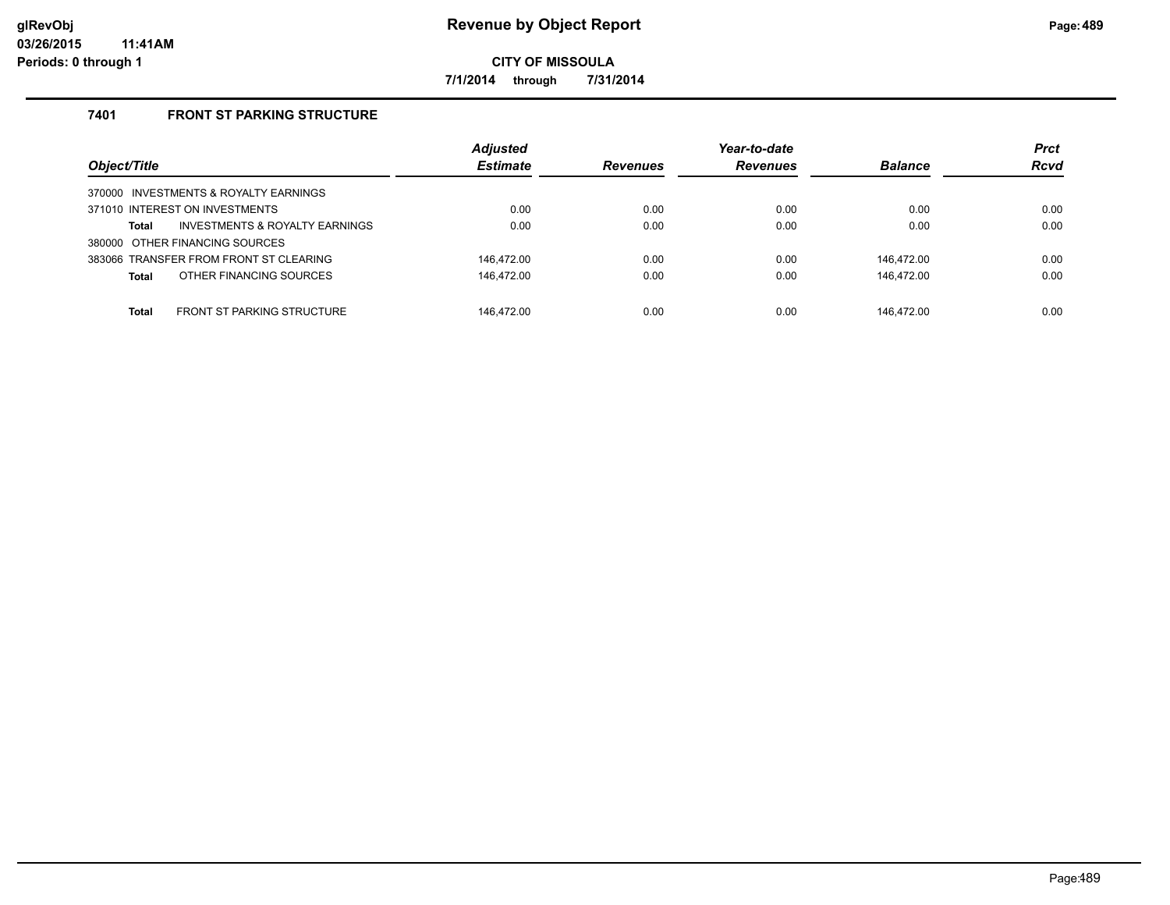**7/1/2014 through 7/31/2014**

# **7401 FRONT ST PARKING STRUCTURE**

| Object/Title                                       | <b>Adjusted</b><br><b>Estimate</b> | <b>Revenues</b> | Year-to-date<br><b>Revenues</b> | <b>Balance</b> | <b>Prct</b><br><b>Rcvd</b> |
|----------------------------------------------------|------------------------------------|-----------------|---------------------------------|----------------|----------------------------|
| 370000 INVESTMENTS & ROYALTY EARNINGS              |                                    |                 |                                 |                |                            |
| 371010 INTEREST ON INVESTMENTS                     | 0.00                               | 0.00            | 0.00                            | 0.00           | 0.00                       |
| <b>INVESTMENTS &amp; ROYALTY EARNINGS</b><br>Total | 0.00                               | 0.00            | 0.00                            | 0.00           | 0.00                       |
| 380000 OTHER FINANCING SOURCES                     |                                    |                 |                                 |                |                            |
| 383066 TRANSFER FROM FRONT ST CLEARING             | 146.472.00                         | 0.00            | 0.00                            | 146.472.00     | 0.00                       |
| OTHER FINANCING SOURCES<br>Total                   | 146,472.00                         | 0.00            | 0.00                            | 146,472.00     | 0.00                       |
|                                                    |                                    |                 |                                 |                |                            |
| <b>FRONT ST PARKING STRUCTURE</b><br>Total         | 146.472.00                         | 0.00            | 0.00                            | 146.472.00     | 0.00                       |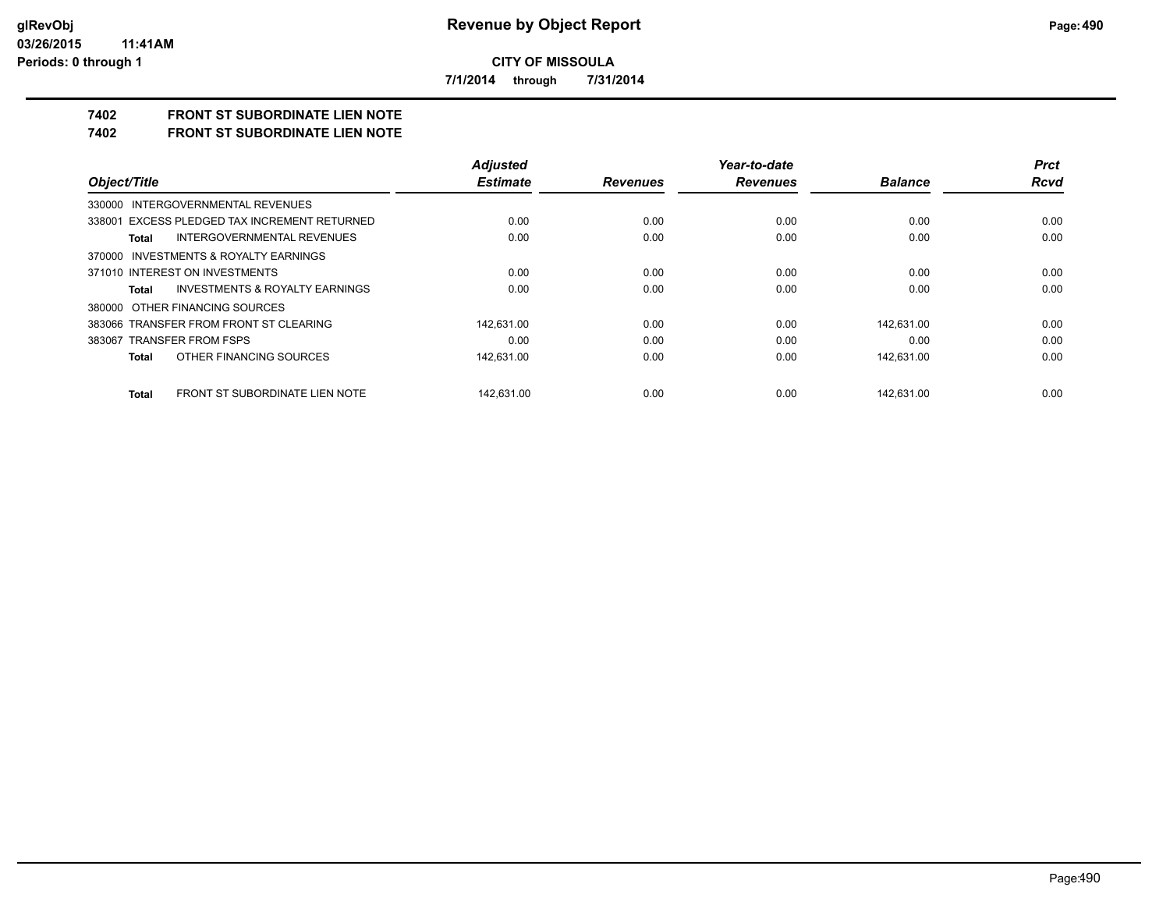**7/1/2014 through 7/31/2014**

# **7402 FRONT ST SUBORDINATE LIEN NOTE**

**7402 FRONT ST SUBORDINATE LIEN NOTE**

|                                                    | <b>Adjusted</b> |                 | Year-to-date    |                | <b>Prct</b> |
|----------------------------------------------------|-----------------|-----------------|-----------------|----------------|-------------|
| Object/Title                                       | <b>Estimate</b> | <b>Revenues</b> | <b>Revenues</b> | <b>Balance</b> | <b>Rcvd</b> |
| 330000 INTERGOVERNMENTAL REVENUES                  |                 |                 |                 |                |             |
| 338001 EXCESS PLEDGED TAX INCREMENT RETURNED       | 0.00            | 0.00            | 0.00            | 0.00           | 0.00        |
| INTERGOVERNMENTAL REVENUES<br>Total                | 0.00            | 0.00            | 0.00            | 0.00           | 0.00        |
| 370000 INVESTMENTS & ROYALTY EARNINGS              |                 |                 |                 |                |             |
| 371010 INTEREST ON INVESTMENTS                     | 0.00            | 0.00            | 0.00            | 0.00           | 0.00        |
| <b>INVESTMENTS &amp; ROYALTY EARNINGS</b><br>Total | 0.00            | 0.00            | 0.00            | 0.00           | 0.00        |
| 380000 OTHER FINANCING SOURCES                     |                 |                 |                 |                |             |
| 383066 TRANSFER FROM FRONT ST CLEARING             | 142,631.00      | 0.00            | 0.00            | 142.631.00     | 0.00        |
| 383067 TRANSFER FROM FSPS                          | 0.00            | 0.00            | 0.00            | 0.00           | 0.00        |
| OTHER FINANCING SOURCES<br>Total                   | 142.631.00      | 0.00            | 0.00            | 142.631.00     | 0.00        |
| FRONT ST SUBORDINATE LIEN NOTE<br>Total            | 142.631.00      | 0.00            | 0.00            | 142.631.00     | 0.00        |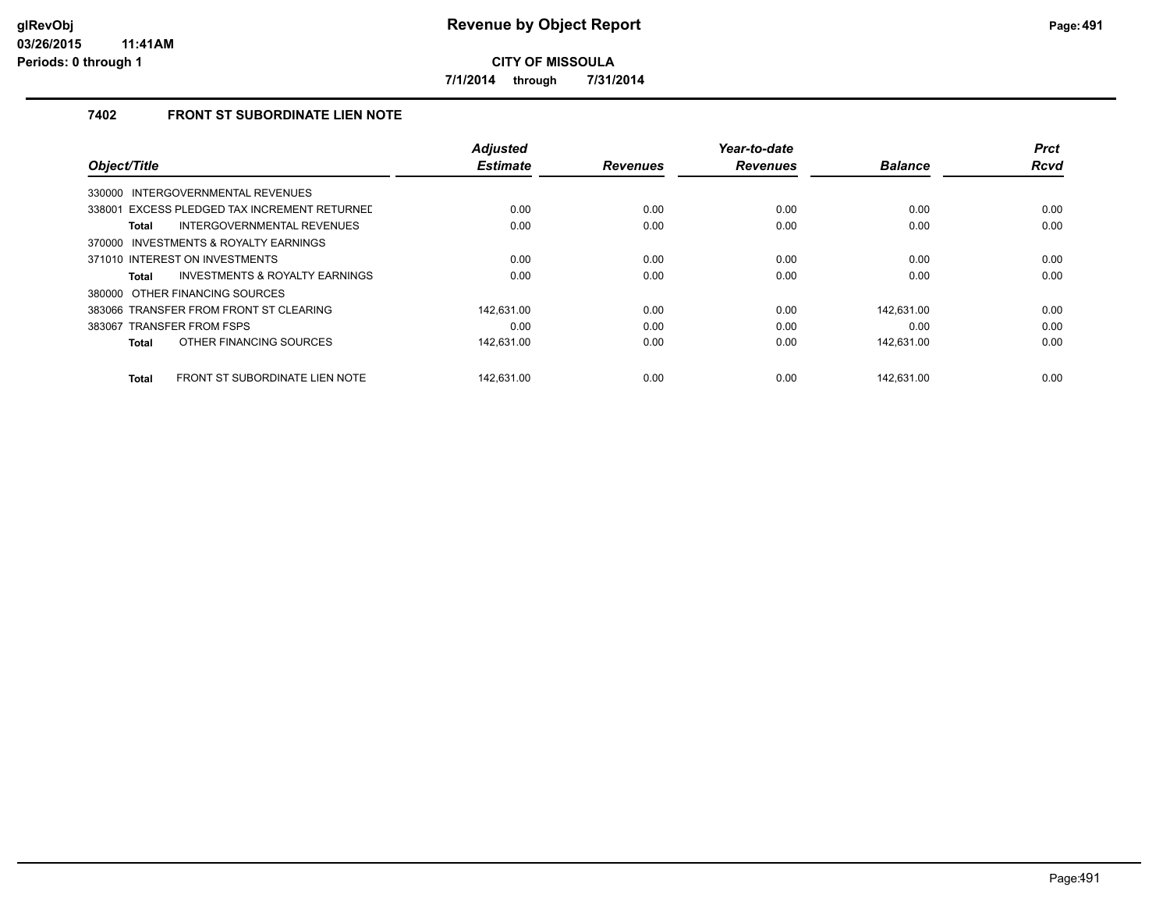**7/1/2014 through 7/31/2014**

# **7402 FRONT ST SUBORDINATE LIEN NOTE**

|                                                | <b>Adjusted</b> |                 | Year-to-date    |                | <b>Prct</b> |
|------------------------------------------------|-----------------|-----------------|-----------------|----------------|-------------|
| Object/Title                                   | <b>Estimate</b> | <b>Revenues</b> | <b>Revenues</b> | <b>Balance</b> | <b>Rcvd</b> |
| INTERGOVERNMENTAL REVENUES<br>330000           |                 |                 |                 |                |             |
| 338001 EXCESS PLEDGED TAX INCREMENT RETURNED   | 0.00            | 0.00            | 0.00            | 0.00           | 0.00        |
| INTERGOVERNMENTAL REVENUES<br><b>Total</b>     | 0.00            | 0.00            | 0.00            | 0.00           | 0.00        |
| 370000 INVESTMENTS & ROYALTY EARNINGS          |                 |                 |                 |                |             |
| 371010 INTEREST ON INVESTMENTS                 | 0.00            | 0.00            | 0.00            | 0.00           | 0.00        |
| INVESTMENTS & ROYALTY EARNINGS<br>Total        | 0.00            | 0.00            | 0.00            | 0.00           | 0.00        |
| 380000 OTHER FINANCING SOURCES                 |                 |                 |                 |                |             |
| 383066 TRANSFER FROM FRONT ST CLEARING         | 142.631.00      | 0.00            | 0.00            | 142.631.00     | 0.00        |
| 383067 TRANSFER FROM FSPS                      | 0.00            | 0.00            | 0.00            | 0.00           | 0.00        |
| OTHER FINANCING SOURCES<br><b>Total</b>        | 142,631.00      | 0.00            | 0.00            | 142,631.00     | 0.00        |
| FRONT ST SUBORDINATE LIEN NOTE<br><b>Total</b> | 142.631.00      | 0.00            | 0.00            | 142.631.00     | 0.00        |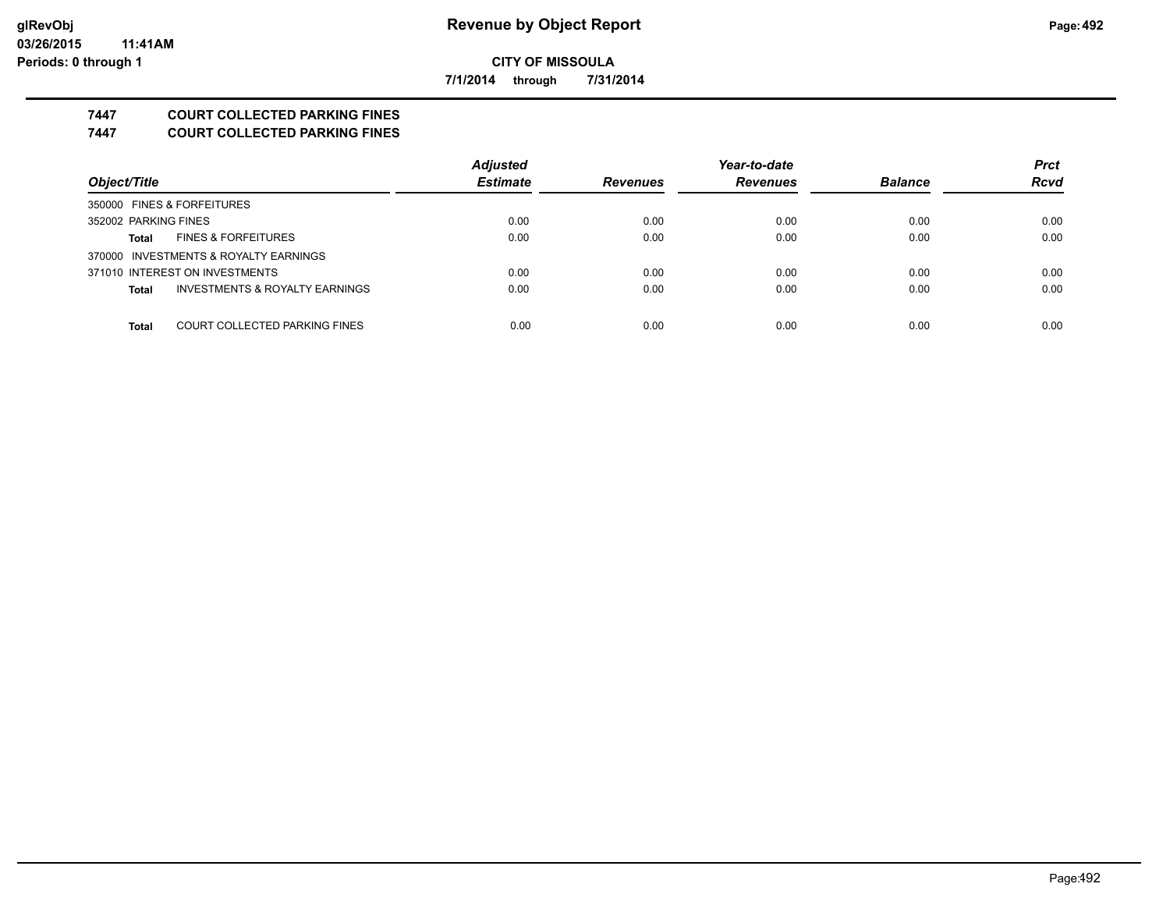**7/1/2014 through 7/31/2014**

# **7447 COURT COLLECTED PARKING FINES**

**7447 COURT COLLECTED PARKING FINES**

|                                               | <b>Adjusted</b> |                 | Year-to-date    |                | <b>Prct</b> |
|-----------------------------------------------|-----------------|-----------------|-----------------|----------------|-------------|
| Object/Title                                  | <b>Estimate</b> | <b>Revenues</b> | <b>Revenues</b> | <b>Balance</b> | <b>Rcvd</b> |
| 350000 FINES & FORFEITURES                    |                 |                 |                 |                |             |
| 352002 PARKING FINES                          | 0.00            | 0.00            | 0.00            | 0.00           | 0.00        |
| <b>FINES &amp; FORFEITURES</b><br>Total       | 0.00            | 0.00            | 0.00            | 0.00           | 0.00        |
| 370000 INVESTMENTS & ROYALTY EARNINGS         |                 |                 |                 |                |             |
| 371010 INTEREST ON INVESTMENTS                | 0.00            | 0.00            | 0.00            | 0.00           | 0.00        |
| INVESTMENTS & ROYALTY EARNINGS<br>Total       | 0.00            | 0.00            | 0.00            | 0.00           | 0.00        |
|                                               |                 |                 |                 |                |             |
| COURT COLLECTED PARKING FINES<br><b>Total</b> | 0.00            | 0.00            | 0.00            | 0.00           | 0.00        |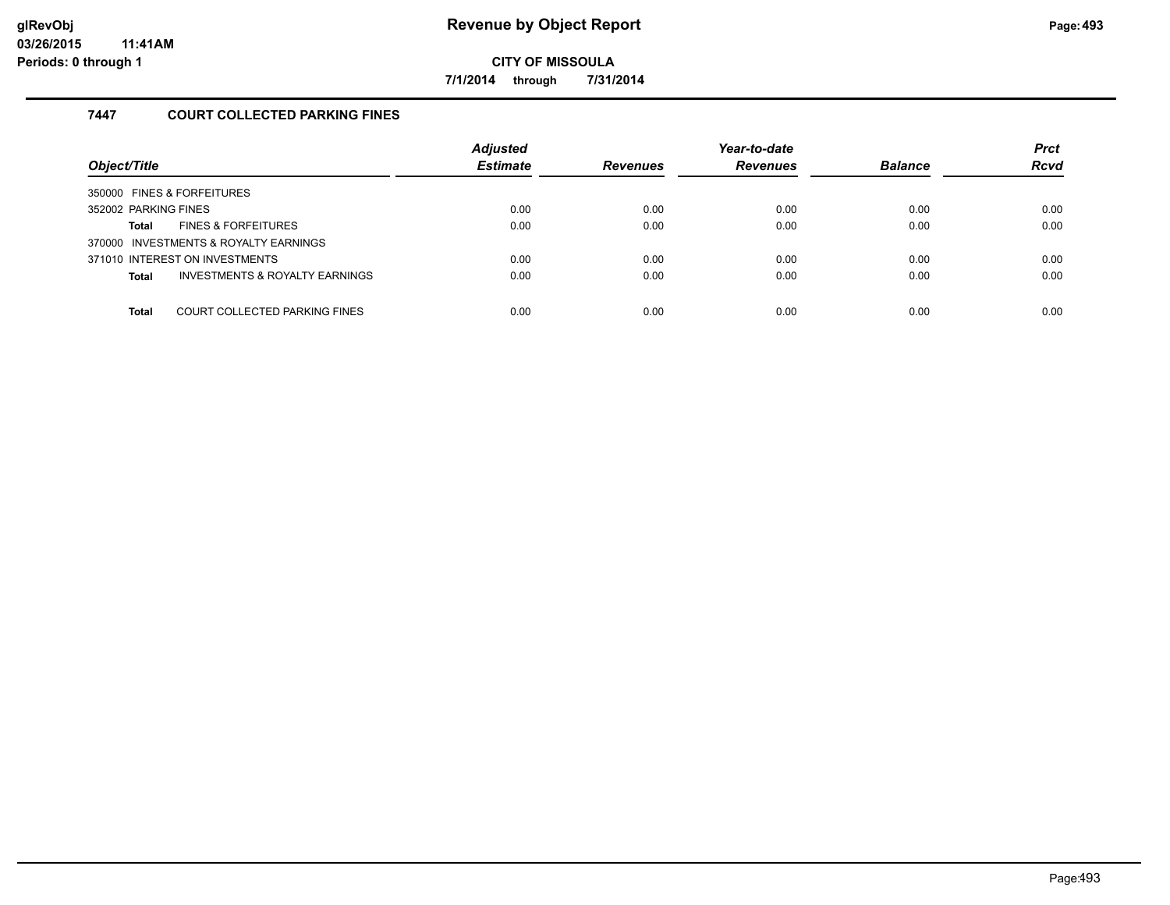**7/1/2014 through 7/31/2014**

# **7447 COURT COLLECTED PARKING FINES**

| Object/Title                                              | <b>Adjusted</b><br><b>Estimate</b> | <b>Revenues</b> | Year-to-date<br><b>Revenues</b> | <b>Balance</b> | <b>Prct</b><br><b>Rcvd</b> |
|-----------------------------------------------------------|------------------------------------|-----------------|---------------------------------|----------------|----------------------------|
| 350000 FINES & FORFEITURES                                |                                    |                 |                                 |                |                            |
| 352002 PARKING FINES                                      | 0.00                               | 0.00            | 0.00                            | 0.00           | 0.00                       |
| <b>FINES &amp; FORFEITURES</b><br>Total                   | 0.00                               | 0.00            | 0.00                            | 0.00           | 0.00                       |
| 370000 INVESTMENTS & ROYALTY EARNINGS                     |                                    |                 |                                 |                |                            |
| 371010 INTEREST ON INVESTMENTS                            | 0.00                               | 0.00            | 0.00                            | 0.00           | 0.00                       |
| <b>INVESTMENTS &amp; ROYALTY EARNINGS</b><br><b>Total</b> | 0.00                               | 0.00            | 0.00                            | 0.00           | 0.00                       |
|                                                           |                                    |                 |                                 |                |                            |
| COURT COLLECTED PARKING FINES<br><b>Total</b>             | 0.00                               | 0.00            | 0.00                            | 0.00           | 0.00                       |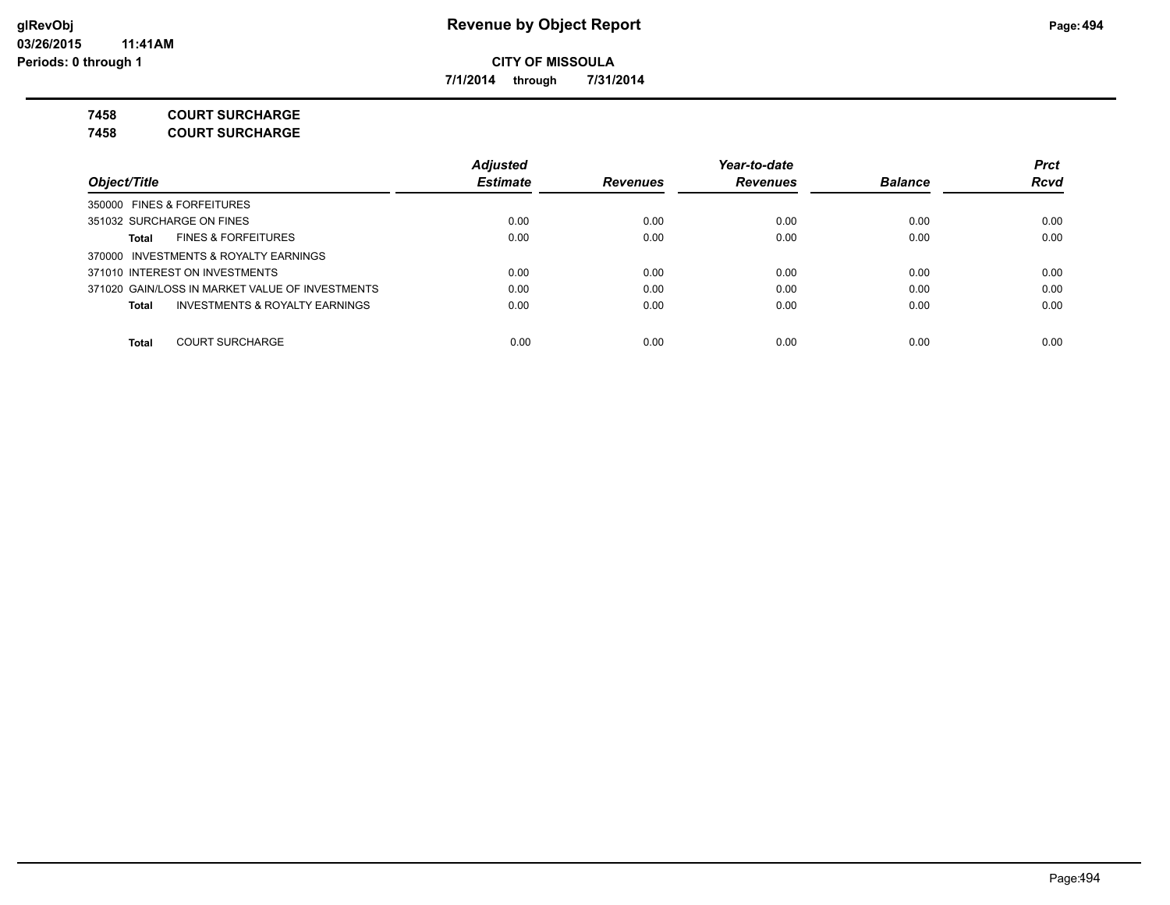**7/1/2014 through 7/31/2014**

**7458 COURT SURCHARGE**

**7458 COURT SURCHARGE**

|                                                    | <b>Adjusted</b> |                 | Year-to-date    |                | <b>Prct</b> |
|----------------------------------------------------|-----------------|-----------------|-----------------|----------------|-------------|
| Object/Title                                       | <b>Estimate</b> | <b>Revenues</b> | <b>Revenues</b> | <b>Balance</b> | <b>Rcvd</b> |
| 350000 FINES & FORFEITURES                         |                 |                 |                 |                |             |
| 351032 SURCHARGE ON FINES                          | 0.00            | 0.00            | 0.00            | 0.00           | 0.00        |
| <b>FINES &amp; FORFEITURES</b><br>Total            | 0.00            | 0.00            | 0.00            | 0.00           | 0.00        |
| 370000 INVESTMENTS & ROYALTY EARNINGS              |                 |                 |                 |                |             |
| 371010 INTEREST ON INVESTMENTS                     | 0.00            | 0.00            | 0.00            | 0.00           | 0.00        |
| 371020 GAIN/LOSS IN MARKET VALUE OF INVESTMENTS    | 0.00            | 0.00            | 0.00            | 0.00           | 0.00        |
| <b>INVESTMENTS &amp; ROYALTY EARNINGS</b><br>Total | 0.00            | 0.00            | 0.00            | 0.00           | 0.00        |
|                                                    |                 |                 |                 |                |             |
| <b>COURT SURCHARGE</b><br><b>Total</b>             | 0.00            | 0.00            | 0.00            | 0.00           | 0.00        |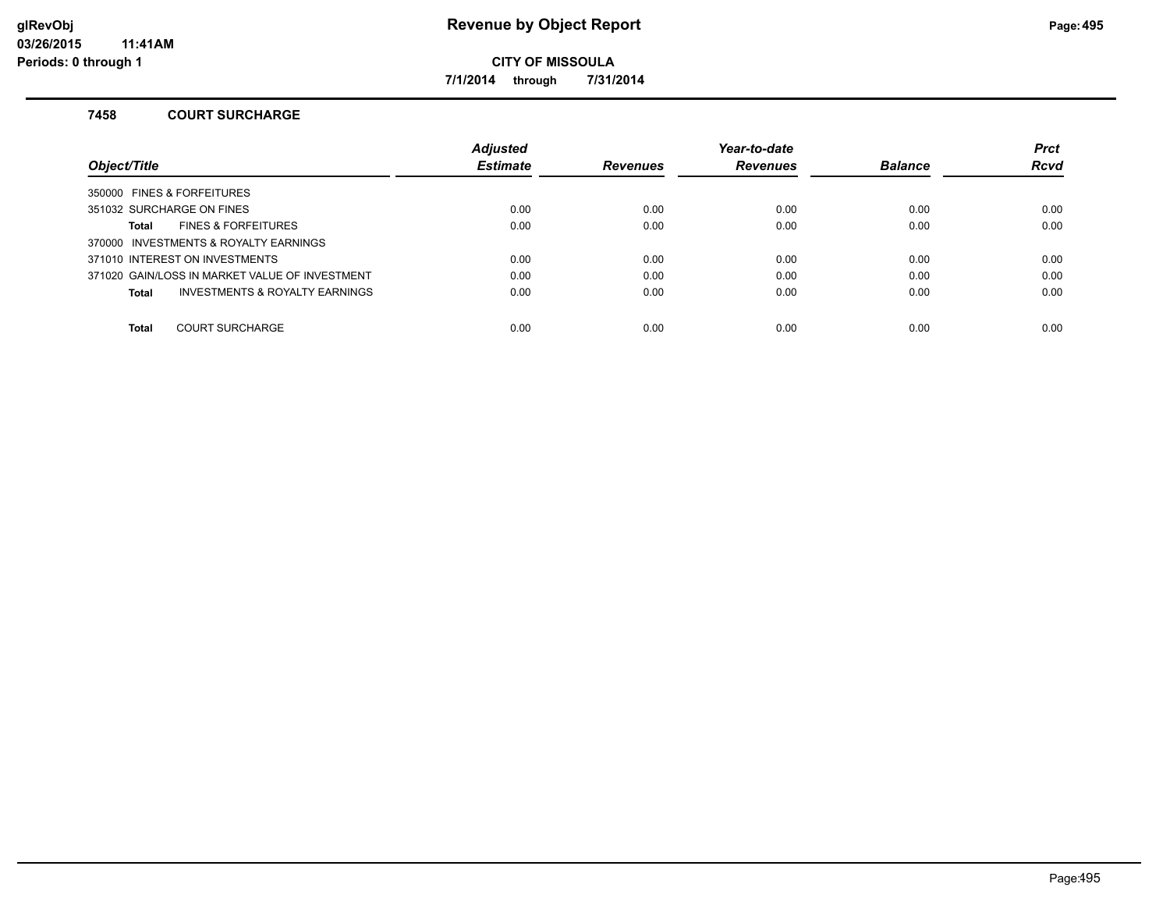**7/1/2014 through 7/31/2014**

#### **7458 COURT SURCHARGE**

|                                                | <b>Adjusted</b> |                 | Year-to-date    |                | <b>Prct</b> |
|------------------------------------------------|-----------------|-----------------|-----------------|----------------|-------------|
| Object/Title                                   | <b>Estimate</b> | <b>Revenues</b> | <b>Revenues</b> | <b>Balance</b> | <b>Rcvd</b> |
| 350000 FINES & FORFEITURES                     |                 |                 |                 |                |             |
| 351032 SURCHARGE ON FINES                      | 0.00            | 0.00            | 0.00            | 0.00           | 0.00        |
| <b>FINES &amp; FORFEITURES</b><br>Total        | 0.00            | 0.00            | 0.00            | 0.00           | 0.00        |
| 370000 INVESTMENTS & ROYALTY EARNINGS          |                 |                 |                 |                |             |
| 371010 INTEREST ON INVESTMENTS                 | 0.00            | 0.00            | 0.00            | 0.00           | 0.00        |
| 371020 GAIN/LOSS IN MARKET VALUE OF INVESTMENT | 0.00            | 0.00            | 0.00            | 0.00           | 0.00        |
| INVESTMENTS & ROYALTY EARNINGS<br>Total        | 0.00            | 0.00            | 0.00            | 0.00           | 0.00        |
|                                                |                 |                 |                 |                |             |
| <b>COURT SURCHARGE</b><br><b>Total</b>         | 0.00            | 0.00            | 0.00            | 0.00           | 0.00        |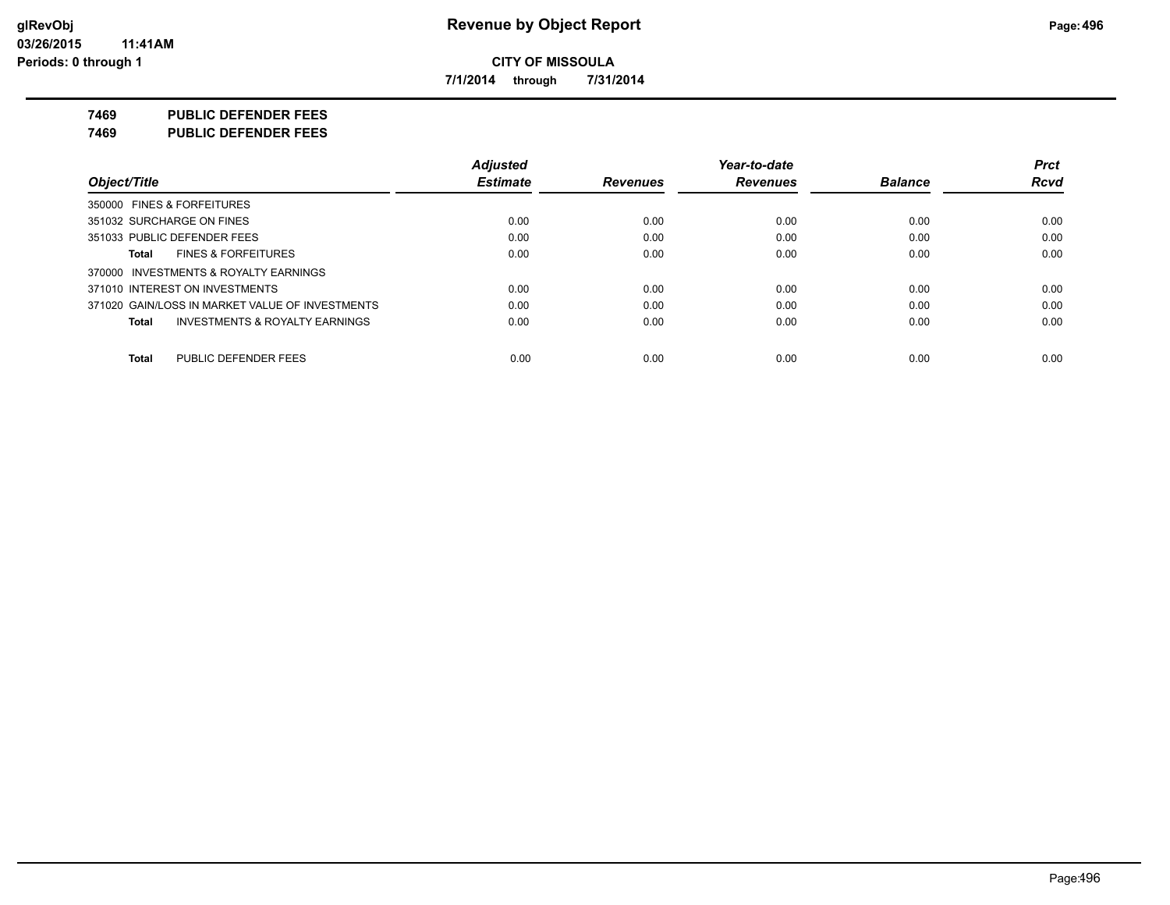**7/1/2014 through 7/31/2014**

**7469 PUBLIC DEFENDER FEES**

**7469 PUBLIC DEFENDER FEES**

|                                                    | Adjusted        |                 | Year-to-date    |                | <b>Prct</b> |
|----------------------------------------------------|-----------------|-----------------|-----------------|----------------|-------------|
| Object/Title                                       | <b>Estimate</b> | <b>Revenues</b> | <b>Revenues</b> | <b>Balance</b> | <b>Rcvd</b> |
| 350000 FINES & FORFEITURES                         |                 |                 |                 |                |             |
| 351032 SURCHARGE ON FINES                          | 0.00            | 0.00            | 0.00            | 0.00           | 0.00        |
| 351033 PUBLIC DEFENDER FEES                        | 0.00            | 0.00            | 0.00            | 0.00           | 0.00        |
| <b>FINES &amp; FORFEITURES</b><br>Total            | 0.00            | 0.00            | 0.00            | 0.00           | 0.00        |
| 370000 INVESTMENTS & ROYALTY EARNINGS              |                 |                 |                 |                |             |
| 371010 INTEREST ON INVESTMENTS                     | 0.00            | 0.00            | 0.00            | 0.00           | 0.00        |
| 371020 GAIN/LOSS IN MARKET VALUE OF INVESTMENTS    | 0.00            | 0.00            | 0.00            | 0.00           | 0.00        |
| <b>INVESTMENTS &amp; ROYALTY EARNINGS</b><br>Total | 0.00            | 0.00            | 0.00            | 0.00           | 0.00        |
| PUBLIC DEFENDER FEES<br>Total                      | 0.00            | 0.00            | 0.00            | 0.00           | 0.00        |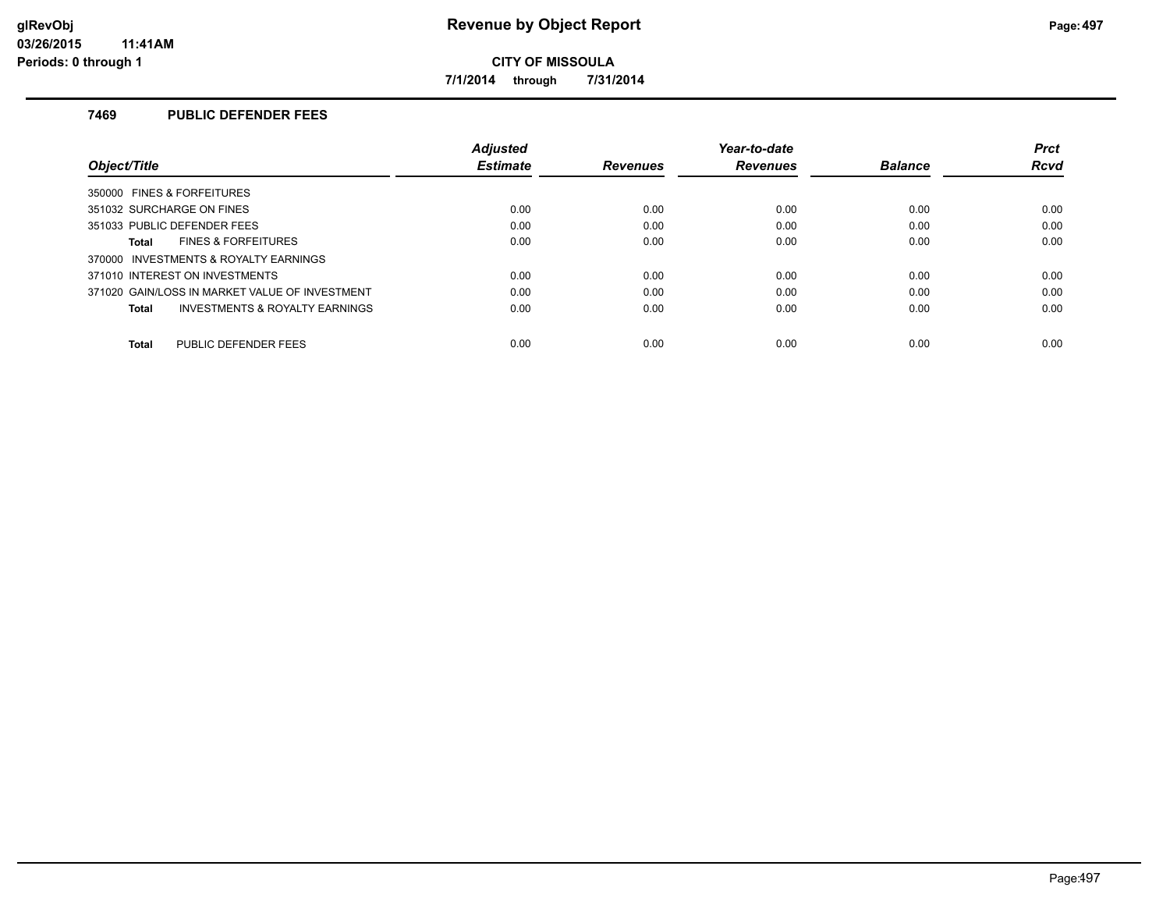**7/1/2014 through 7/31/2014**

## **7469 PUBLIC DEFENDER FEES**

|                                                           | <b>Adjusted</b> |                 | Year-to-date    |                | <b>Prct</b> |
|-----------------------------------------------------------|-----------------|-----------------|-----------------|----------------|-------------|
| Object/Title                                              | <b>Estimate</b> | <b>Revenues</b> | <b>Revenues</b> | <b>Balance</b> | Rcvd        |
| 350000 FINES & FORFEITURES                                |                 |                 |                 |                |             |
| 351032 SURCHARGE ON FINES                                 | 0.00            | 0.00            | 0.00            | 0.00           | 0.00        |
| 351033 PUBLIC DEFENDER FEES                               | 0.00            | 0.00            | 0.00            | 0.00           | 0.00        |
| <b>FINES &amp; FORFEITURES</b><br>Total                   | 0.00            | 0.00            | 0.00            | 0.00           | 0.00        |
| 370000 INVESTMENTS & ROYALTY EARNINGS                     |                 |                 |                 |                |             |
| 371010 INTEREST ON INVESTMENTS                            | 0.00            | 0.00            | 0.00            | 0.00           | 0.00        |
| 371020 GAIN/LOSS IN MARKET VALUE OF INVESTMENT            | 0.00            | 0.00            | 0.00            | 0.00           | 0.00        |
| <b>INVESTMENTS &amp; ROYALTY EARNINGS</b><br><b>Total</b> | 0.00            | 0.00            | 0.00            | 0.00           | 0.00        |
| PUBLIC DEFENDER FEES                                      | 0.00            | 0.00            | 0.00            | 0.00           | 0.00        |
| <b>Total</b>                                              |                 |                 |                 |                |             |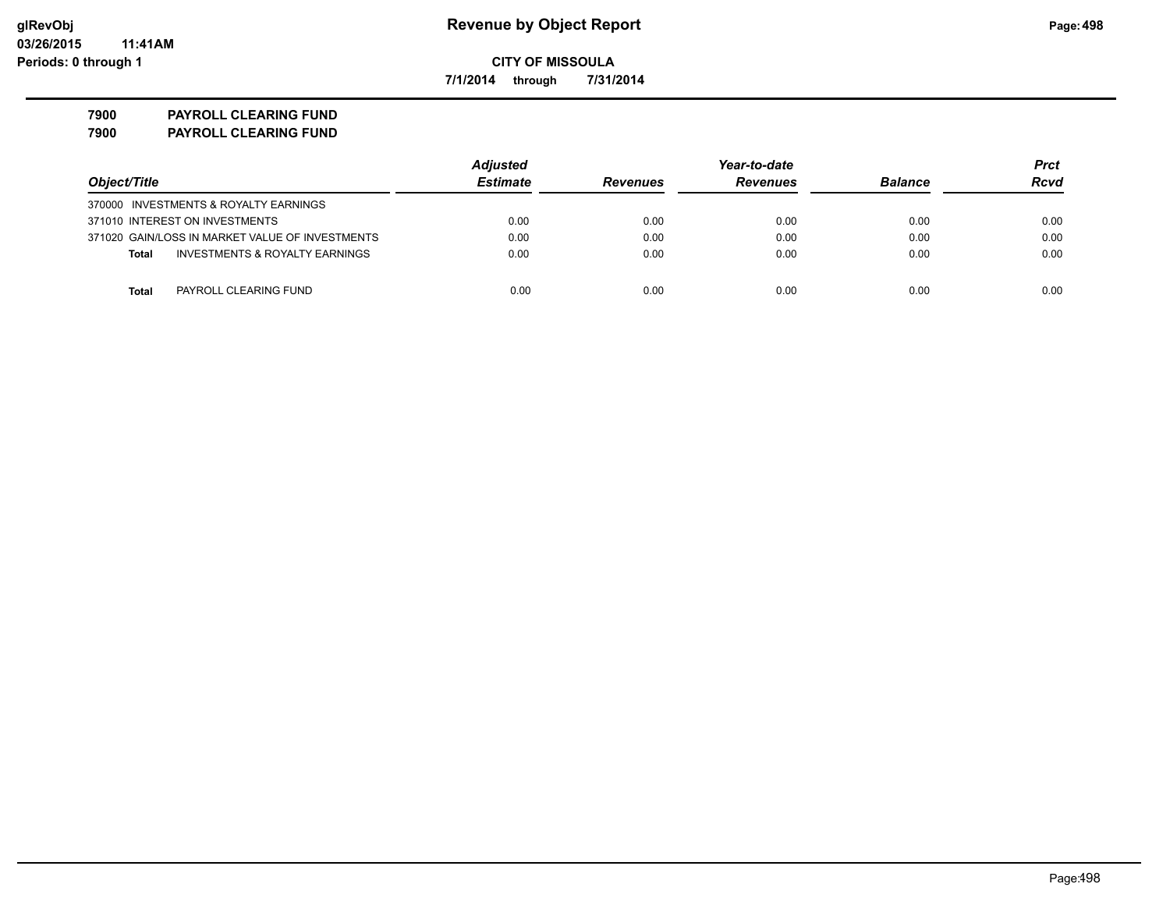**7/1/2014 through 7/31/2014**

**7900 PAYROLL CLEARING FUND 7900 PAYROLL CLEARING FUND**

|                                                    | <b>Adjusted</b> |                 | Year-to-date    |                | Prct |
|----------------------------------------------------|-----------------|-----------------|-----------------|----------------|------|
| Object/Title                                       | <b>Estimate</b> | <b>Revenues</b> | <b>Revenues</b> | <b>Balance</b> | Rcvd |
| 370000 INVESTMENTS & ROYALTY EARNINGS              |                 |                 |                 |                |      |
| 371010 INTEREST ON INVESTMENTS                     | 0.00            | 0.00            | 0.00            | 0.00           | 0.00 |
| 371020 GAIN/LOSS IN MARKET VALUE OF INVESTMENTS    | 0.00            | 0.00            | 0.00            | 0.00           | 0.00 |
| <b>INVESTMENTS &amp; ROYALTY EARNINGS</b><br>Total | 0.00            | 0.00            | 0.00            | 0.00           | 0.00 |
|                                                    |                 |                 |                 |                |      |
| Total<br>PAYROLL CLEARING FUND                     | 0.00            | 0.00            | 0.00            | 0.00           | 0.00 |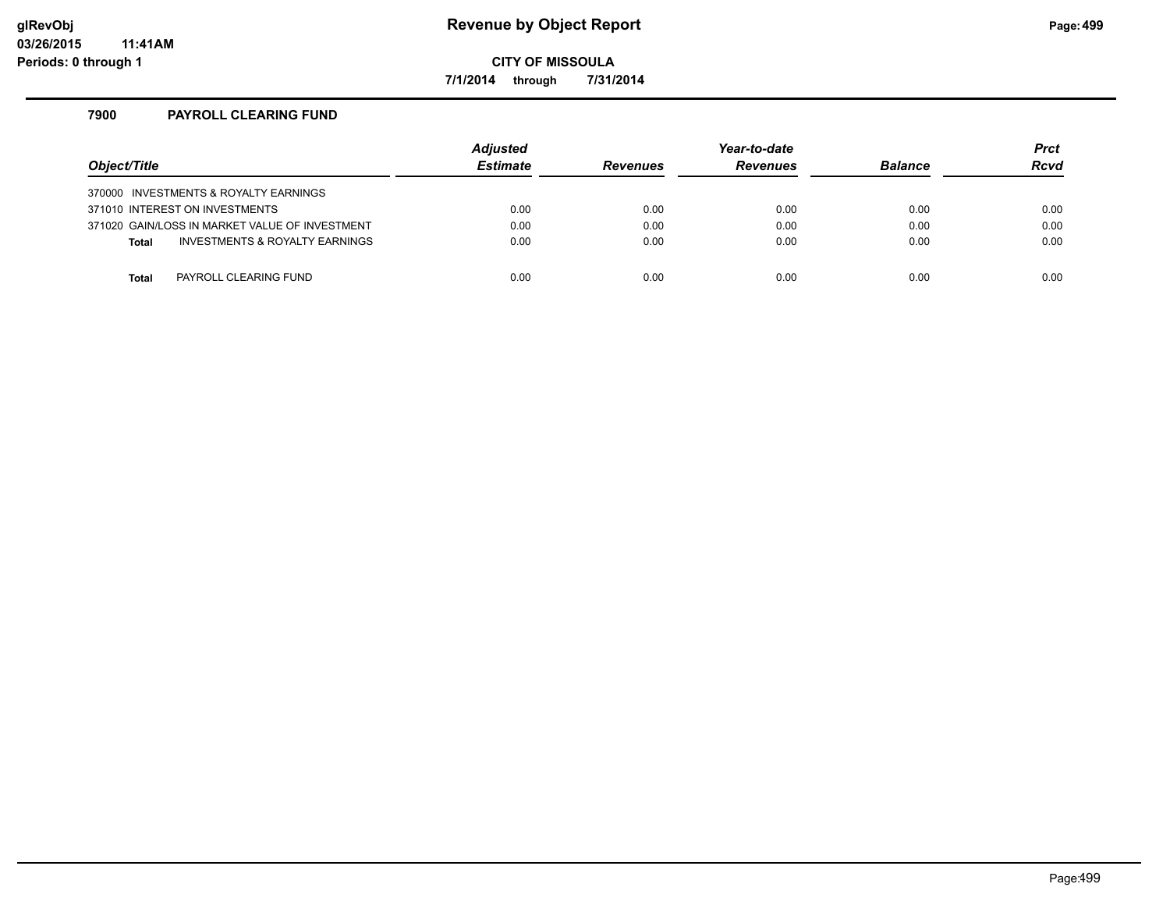**7/1/2014 through 7/31/2014**

# **7900 PAYROLL CLEARING FUND**

| Object/Title |                                                | <b>Adjusted</b><br><b>Estimate</b> | <b>Revenues</b> | Year-to-date<br><b>Revenues</b> | <b>Balance</b> | <b>Prct</b><br><b>Rcvd</b> |
|--------------|------------------------------------------------|------------------------------------|-----------------|---------------------------------|----------------|----------------------------|
|              | 370000 INVESTMENTS & ROYALTY EARNINGS          |                                    |                 |                                 |                |                            |
|              | 371010 INTEREST ON INVESTMENTS                 | 0.00                               | 0.00            | 0.00                            | 0.00           | 0.00                       |
|              | 371020 GAIN/LOSS IN MARKET VALUE OF INVESTMENT | 0.00                               | 0.00            | 0.00                            | 0.00           | 0.00                       |
| <b>Total</b> | INVESTMENTS & ROYALTY EARNINGS                 | 0.00                               | 0.00            | 0.00                            | 0.00           | 0.00                       |
|              |                                                |                                    |                 |                                 |                |                            |
| Total        | PAYROLL CLEARING FUND                          | 0.00                               | 0.00            | 0.00                            | 0.00           | 0.00                       |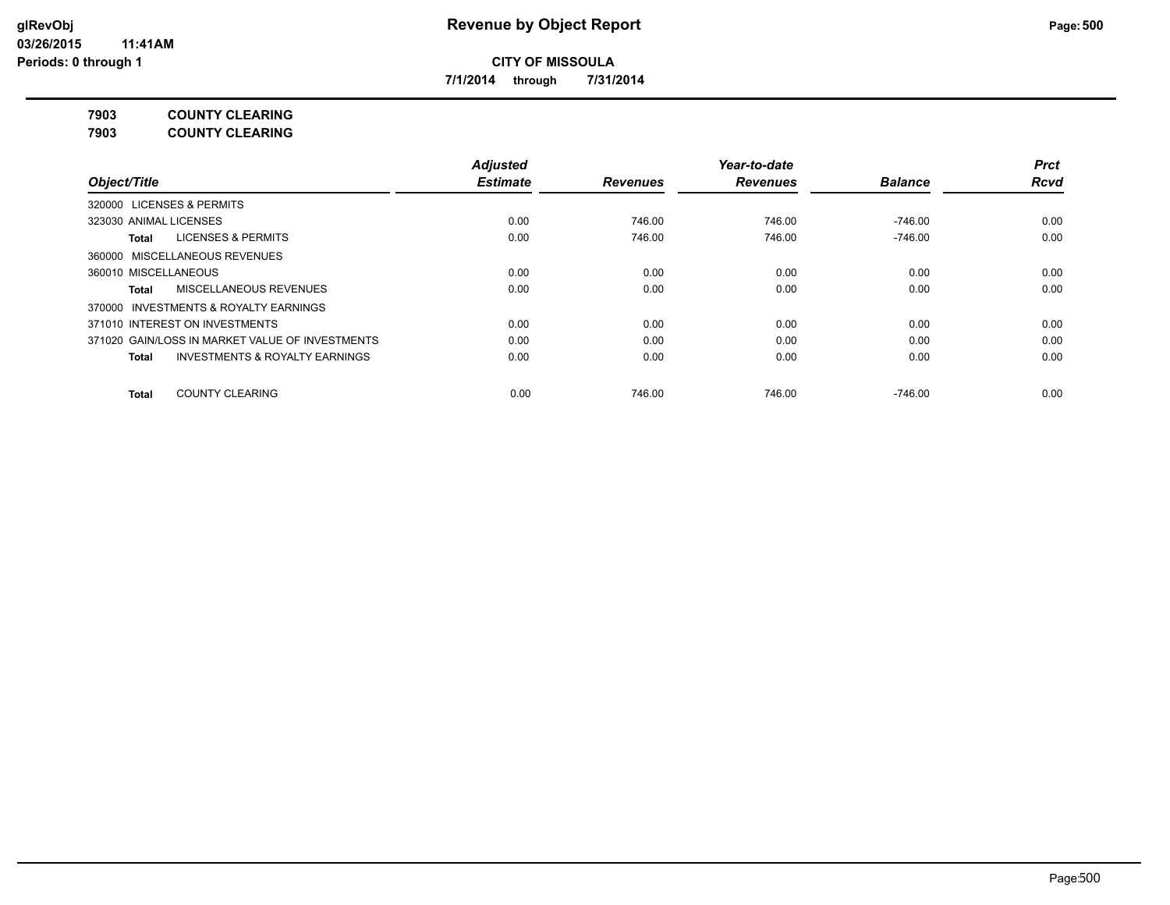**7/1/2014 through 7/31/2014**

**7903 COUNTY CLEARING**

**7903 COUNTY CLEARING**

|                                                    | <b>Adjusted</b> |                 | Year-to-date    |                | <b>Prct</b> |
|----------------------------------------------------|-----------------|-----------------|-----------------|----------------|-------------|
| Object/Title                                       | <b>Estimate</b> | <b>Revenues</b> | <b>Revenues</b> | <b>Balance</b> | <b>Rcvd</b> |
| 320000 LICENSES & PERMITS                          |                 |                 |                 |                |             |
| 323030 ANIMAL LICENSES                             | 0.00            | 746.00          | 746.00          | -746.00        | 0.00        |
| <b>LICENSES &amp; PERMITS</b><br>Total             | 0.00            | 746.00          | 746.00          | $-746.00$      | 0.00        |
| 360000 MISCELLANEOUS REVENUES                      |                 |                 |                 |                |             |
| 360010 MISCELLANEOUS                               | 0.00            | 0.00            | 0.00            | 0.00           | 0.00        |
| MISCELLANEOUS REVENUES<br><b>Total</b>             | 0.00            | 0.00            | 0.00            | 0.00           | 0.00        |
| 370000 INVESTMENTS & ROYALTY EARNINGS              |                 |                 |                 |                |             |
| 371010 INTEREST ON INVESTMENTS                     | 0.00            | 0.00            | 0.00            | 0.00           | 0.00        |
| 371020 GAIN/LOSS IN MARKET VALUE OF INVESTMENTS    | 0.00            | 0.00            | 0.00            | 0.00           | 0.00        |
| <b>INVESTMENTS &amp; ROYALTY EARNINGS</b><br>Total | 0.00            | 0.00            | 0.00            | 0.00           | 0.00        |
| <b>COUNTY CLEARING</b><br><b>Total</b>             | 0.00            | 746.00          | 746.00          | $-746.00$      | 0.00        |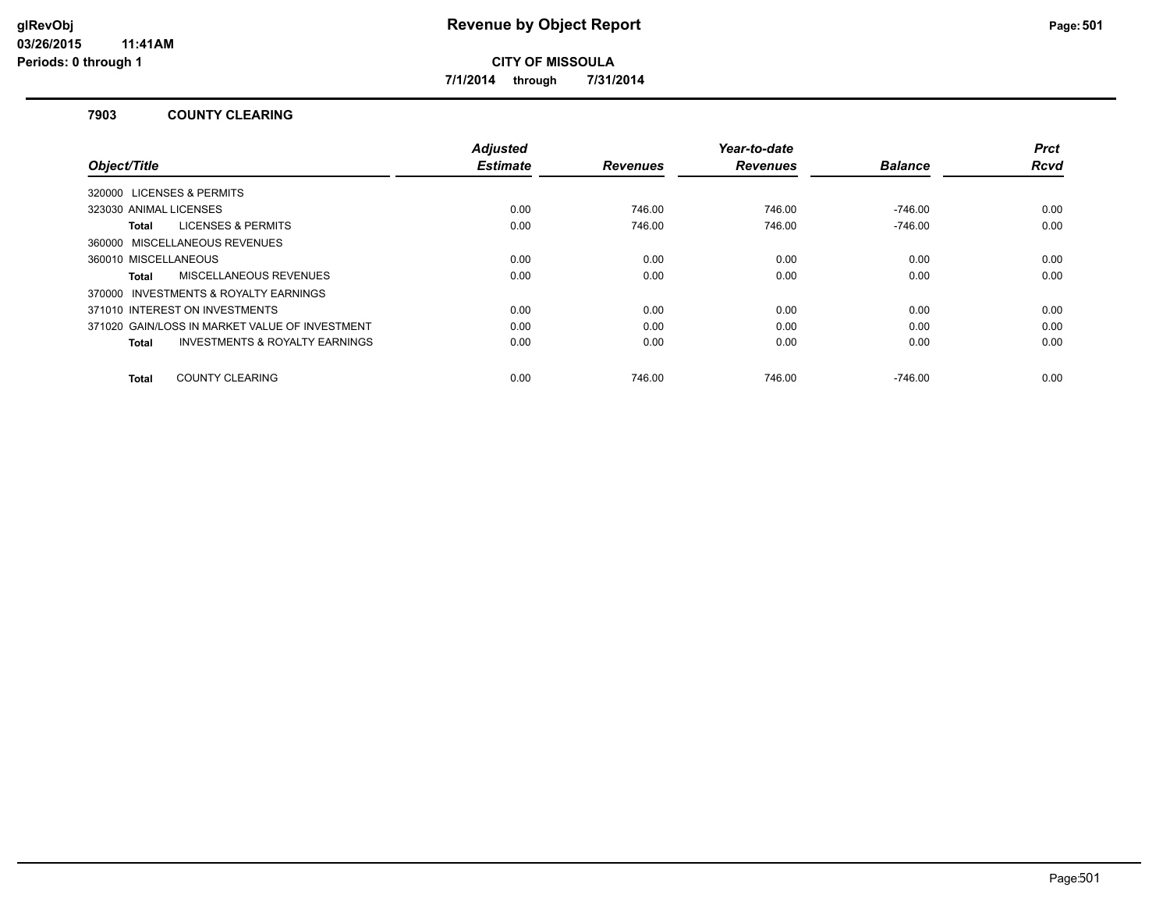**7/1/2014 through 7/31/2014**

#### **7903 COUNTY CLEARING**

| Object/Title                                              | <b>Adjusted</b><br><b>Estimate</b> | <b>Revenues</b> | Year-to-date<br><b>Revenues</b> | <b>Balance</b> | <b>Prct</b><br>Rcvd |
|-----------------------------------------------------------|------------------------------------|-----------------|---------------------------------|----------------|---------------------|
| 320000 LICENSES & PERMITS                                 |                                    |                 |                                 |                |                     |
| 323030 ANIMAL LICENSES                                    | 0.00                               | 746.00          | 746.00                          | $-746.00$      | 0.00                |
| <b>LICENSES &amp; PERMITS</b><br>Total                    | 0.00                               | 746.00          | 746.00                          | $-746.00$      | 0.00                |
| 360000 MISCELLANEOUS REVENUES                             |                                    |                 |                                 |                |                     |
| 360010 MISCELLANEOUS                                      | 0.00                               | 0.00            | 0.00                            | 0.00           | 0.00                |
| <b>MISCELLANEOUS REVENUES</b><br>Total                    | 0.00                               | 0.00            | 0.00                            | 0.00           | 0.00                |
| 370000 INVESTMENTS & ROYALTY EARNINGS                     |                                    |                 |                                 |                |                     |
| 371010 INTEREST ON INVESTMENTS                            | 0.00                               | 0.00            | 0.00                            | 0.00           | 0.00                |
| 371020 GAIN/LOSS IN MARKET VALUE OF INVESTMENT            | 0.00                               | 0.00            | 0.00                            | 0.00           | 0.00                |
| <b>INVESTMENTS &amp; ROYALTY EARNINGS</b><br><b>Total</b> | 0.00                               | 0.00            | 0.00                            | 0.00           | 0.00                |
|                                                           |                                    |                 |                                 |                |                     |
| <b>COUNTY CLEARING</b><br>Total                           | 0.00                               | 746.00          | 746.00                          | $-746.00$      | 0.00                |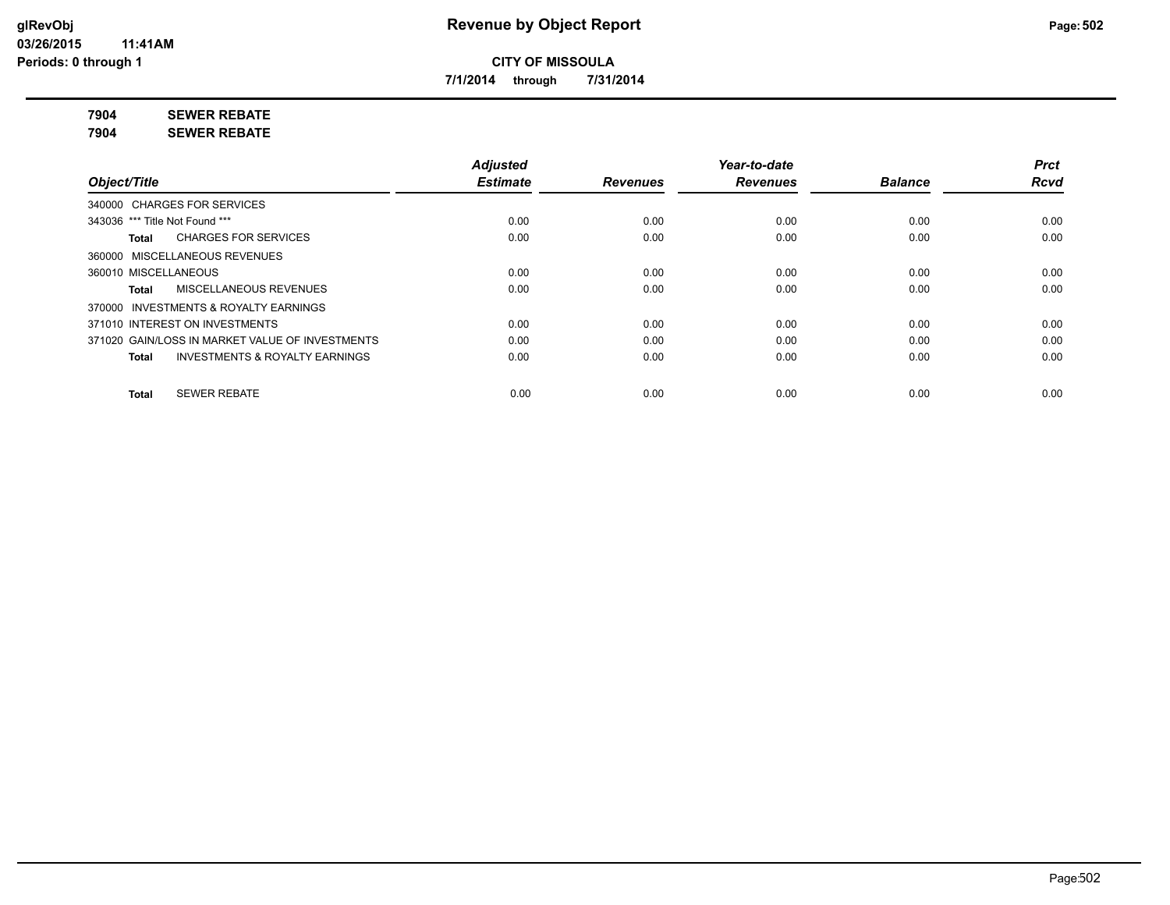**7/1/2014 through 7/31/2014**

**7904 SEWER REBATE**

**7904 SEWER REBATE**

|                                                           | <b>Adjusted</b> |                 | Year-to-date    |                | <b>Prct</b> |
|-----------------------------------------------------------|-----------------|-----------------|-----------------|----------------|-------------|
| Object/Title                                              | <b>Estimate</b> | <b>Revenues</b> | <b>Revenues</b> | <b>Balance</b> | <b>Rcvd</b> |
| 340000 CHARGES FOR SERVICES                               |                 |                 |                 |                |             |
| 343036 *** Title Not Found ***                            | 0.00            | 0.00            | 0.00            | 0.00           | 0.00        |
| <b>CHARGES FOR SERVICES</b><br>Total                      | 0.00            | 0.00            | 0.00            | 0.00           | 0.00        |
| 360000 MISCELLANEOUS REVENUES                             |                 |                 |                 |                |             |
| 360010 MISCELLANEOUS                                      | 0.00            | 0.00            | 0.00            | 0.00           | 0.00        |
| <b>MISCELLANEOUS REVENUES</b><br>Total                    | 0.00            | 0.00            | 0.00            | 0.00           | 0.00        |
| 370000 INVESTMENTS & ROYALTY EARNINGS                     |                 |                 |                 |                |             |
| 371010 INTEREST ON INVESTMENTS                            | 0.00            | 0.00            | 0.00            | 0.00           | 0.00        |
| 371020 GAIN/LOSS IN MARKET VALUE OF INVESTMENTS           | 0.00            | 0.00            | 0.00            | 0.00           | 0.00        |
| <b>INVESTMENTS &amp; ROYALTY EARNINGS</b><br><b>Total</b> | 0.00            | 0.00            | 0.00            | 0.00           | 0.00        |
| <b>SEWER REBATE</b><br><b>Total</b>                       | 0.00            | 0.00            | 0.00            | 0.00           | 0.00        |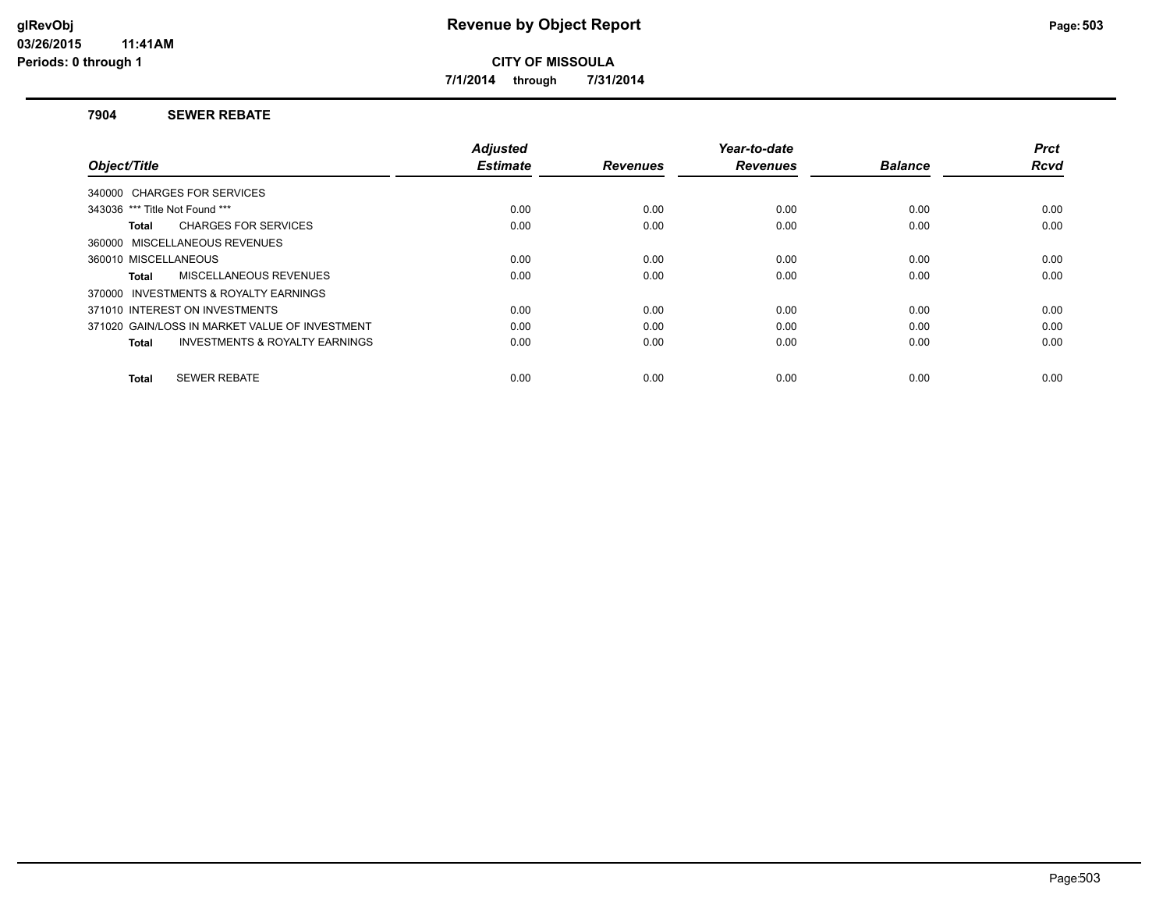**7/1/2014 through 7/31/2014**

#### **7904 SEWER REBATE**

|                                                    | <b>Adjusted</b> |                 | Year-to-date    |                | <b>Prct</b> |
|----------------------------------------------------|-----------------|-----------------|-----------------|----------------|-------------|
| Object/Title                                       | <b>Estimate</b> | <b>Revenues</b> | <b>Revenues</b> | <b>Balance</b> | <b>Rcvd</b> |
| 340000 CHARGES FOR SERVICES                        |                 |                 |                 |                |             |
| 343036 *** Title Not Found ***                     | 0.00            | 0.00            | 0.00            | 0.00           | 0.00        |
| <b>CHARGES FOR SERVICES</b><br>Total               | 0.00            | 0.00            | 0.00            | 0.00           | 0.00        |
| 360000 MISCELLANEOUS REVENUES                      |                 |                 |                 |                |             |
| 360010 MISCELLANEOUS                               | 0.00            | 0.00            | 0.00            | 0.00           | 0.00        |
| MISCELLANEOUS REVENUES<br>Total                    | 0.00            | 0.00            | 0.00            | 0.00           | 0.00        |
| 370000 INVESTMENTS & ROYALTY EARNINGS              |                 |                 |                 |                |             |
| 371010 INTEREST ON INVESTMENTS                     | 0.00            | 0.00            | 0.00            | 0.00           | 0.00        |
| 371020 GAIN/LOSS IN MARKET VALUE OF INVESTMENT     | 0.00            | 0.00            | 0.00            | 0.00           | 0.00        |
| <b>INVESTMENTS &amp; ROYALTY EARNINGS</b><br>Total | 0.00            | 0.00            | 0.00            | 0.00           | 0.00        |
|                                                    |                 |                 |                 |                |             |
| <b>SEWER REBATE</b><br>Total                       | 0.00            | 0.00            | 0.00            | 0.00           | 0.00        |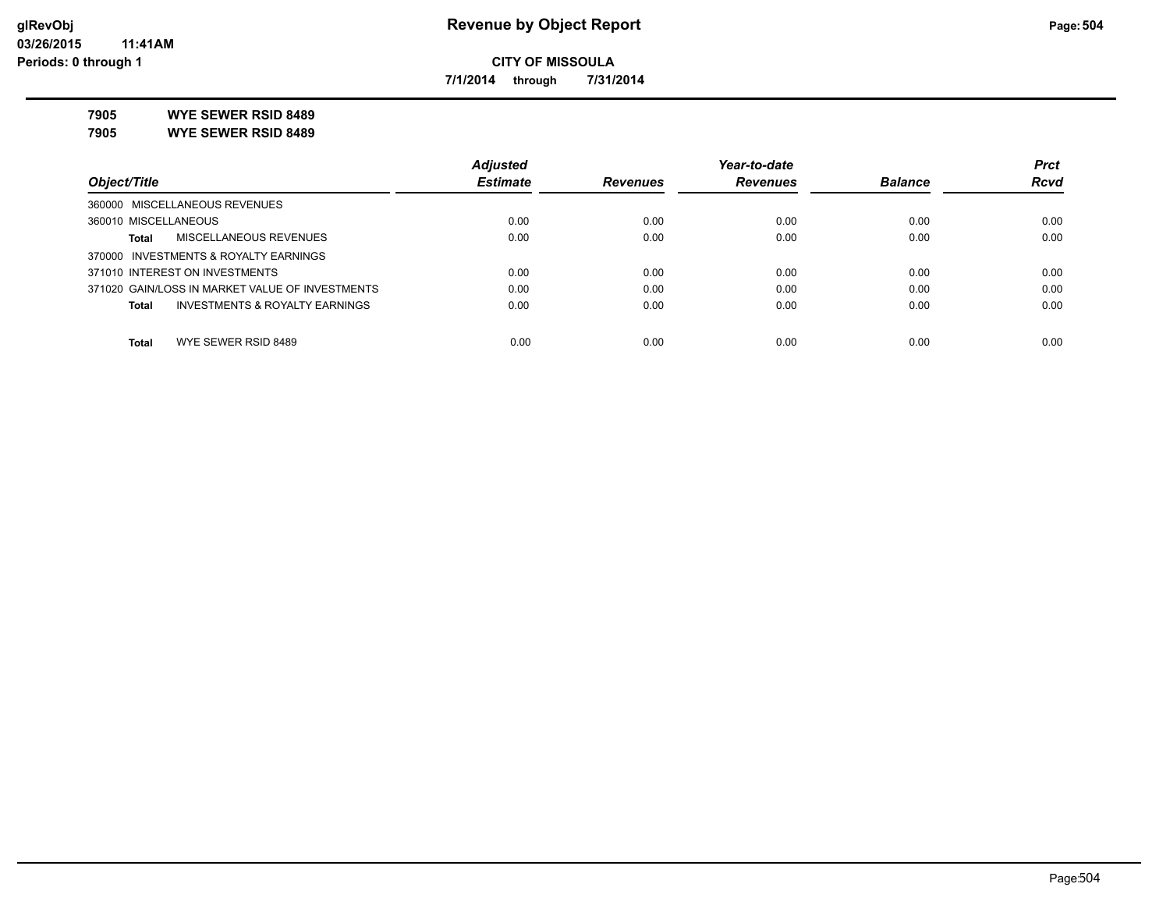**7/1/2014 through 7/31/2014**

**7905 WYE SEWER RSID 8489**

**7905 WYE SEWER RSID 8489**

|                                                           | <b>Adjusted</b> |                 | Year-to-date    |                | <b>Prct</b> |
|-----------------------------------------------------------|-----------------|-----------------|-----------------|----------------|-------------|
| Object/Title                                              | <b>Estimate</b> | <b>Revenues</b> | <b>Revenues</b> | <b>Balance</b> | <b>Rcvd</b> |
| 360000 MISCELLANEOUS REVENUES                             |                 |                 |                 |                |             |
| 360010 MISCELLANEOUS                                      | 0.00            | 0.00            | 0.00            | 0.00           | 0.00        |
| MISCELLANEOUS REVENUES<br>Total                           | 0.00            | 0.00            | 0.00            | 0.00           | 0.00        |
| 370000 INVESTMENTS & ROYALTY EARNINGS                     |                 |                 |                 |                |             |
| 371010 INTEREST ON INVESTMENTS                            | 0.00            | 0.00            | 0.00            | 0.00           | 0.00        |
| 371020 GAIN/LOSS IN MARKET VALUE OF INVESTMENTS           | 0.00            | 0.00            | 0.00            | 0.00           | 0.00        |
| <b>INVESTMENTS &amp; ROYALTY EARNINGS</b><br><b>Total</b> | 0.00            | 0.00            | 0.00            | 0.00           | 0.00        |
| WYE SEWER RSID 8489<br><b>Total</b>                       | 0.00            | 0.00            | 0.00            | 0.00           | 0.00        |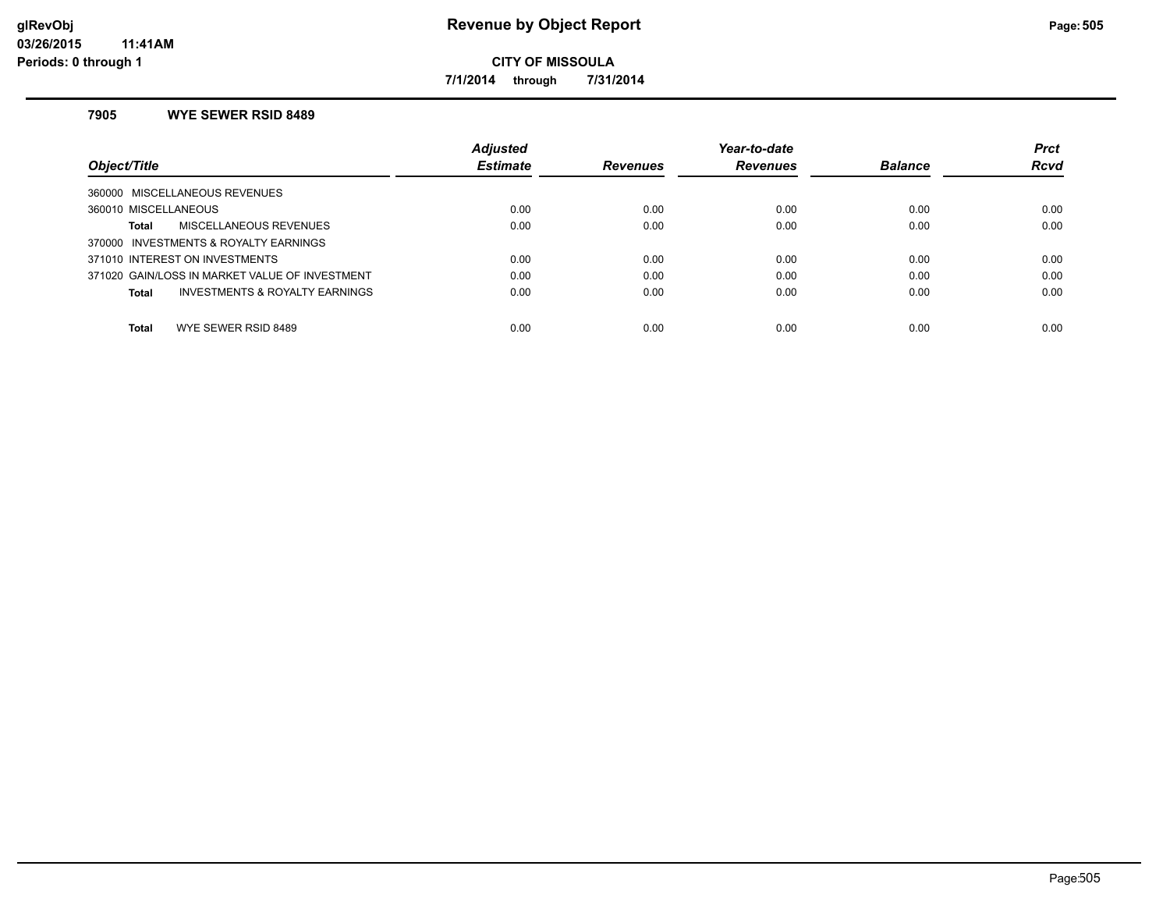**7/1/2014 through 7/31/2014**

### **7905 WYE SEWER RSID 8489**

|                                                    | <b>Adjusted</b> |                 | Year-to-date    |                | <b>Prct</b> |
|----------------------------------------------------|-----------------|-----------------|-----------------|----------------|-------------|
| Object/Title                                       | <b>Estimate</b> | <b>Revenues</b> | <b>Revenues</b> | <b>Balance</b> | <b>Rcvd</b> |
| 360000 MISCELLANEOUS REVENUES                      |                 |                 |                 |                |             |
| 360010 MISCELLANEOUS                               | 0.00            | 0.00            | 0.00            | 0.00           | 0.00        |
| MISCELLANEOUS REVENUES<br>Total                    | 0.00            | 0.00            | 0.00            | 0.00           | 0.00        |
| 370000 INVESTMENTS & ROYALTY EARNINGS              |                 |                 |                 |                |             |
| 371010 INTEREST ON INVESTMENTS                     | 0.00            | 0.00            | 0.00            | 0.00           | 0.00        |
| 371020 GAIN/LOSS IN MARKET VALUE OF INVESTMENT     | 0.00            | 0.00            | 0.00            | 0.00           | 0.00        |
| <b>INVESTMENTS &amp; ROYALTY EARNINGS</b><br>Total | 0.00            | 0.00            | 0.00            | 0.00           | 0.00        |
|                                                    |                 |                 |                 |                |             |
| Total<br>WYE SEWER RSID 8489                       | 0.00            | 0.00            | 0.00            | 0.00           | 0.00        |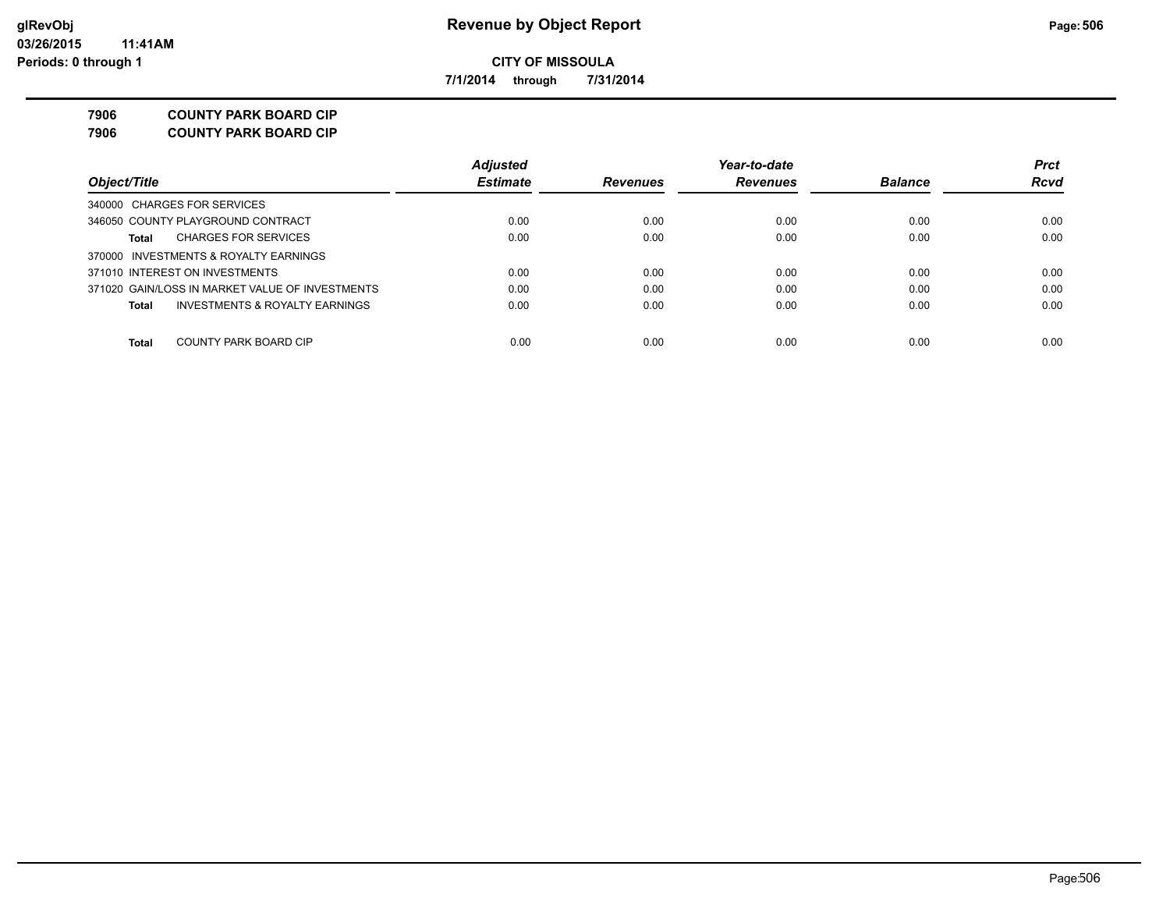**7/1/2014 through 7/31/2014**

**7906 COUNTY PARK BOARD CIP**

**7906 COUNTY PARK BOARD CIP**

|                                                 | <b>Adjusted</b> |                 | Year-to-date    |                | <b>Prct</b> |
|-------------------------------------------------|-----------------|-----------------|-----------------|----------------|-------------|
| Object/Title                                    | <b>Estimate</b> | <b>Revenues</b> | <b>Revenues</b> | <b>Balance</b> | <b>Rcvd</b> |
| 340000 CHARGES FOR SERVICES                     |                 |                 |                 |                |             |
| 346050 COUNTY PLAYGROUND CONTRACT               | 0.00            | 0.00            | 0.00            | 0.00           | 0.00        |
| <b>CHARGES FOR SERVICES</b><br>Total            | 0.00            | 0.00            | 0.00            | 0.00           | 0.00        |
| 370000 INVESTMENTS & ROYALTY EARNINGS           |                 |                 |                 |                |             |
| 371010 INTEREST ON INVESTMENTS                  | 0.00            | 0.00            | 0.00            | 0.00           | 0.00        |
| 371020 GAIN/LOSS IN MARKET VALUE OF INVESTMENTS | 0.00            | 0.00            | 0.00            | 0.00           | 0.00        |
| INVESTMENTS & ROYALTY EARNINGS<br>Total         | 0.00            | 0.00            | 0.00            | 0.00           | 0.00        |
| COUNTY PARK BOARD CIP<br><b>Total</b>           | 0.00            | 0.00            | 0.00            | 0.00           | 0.00        |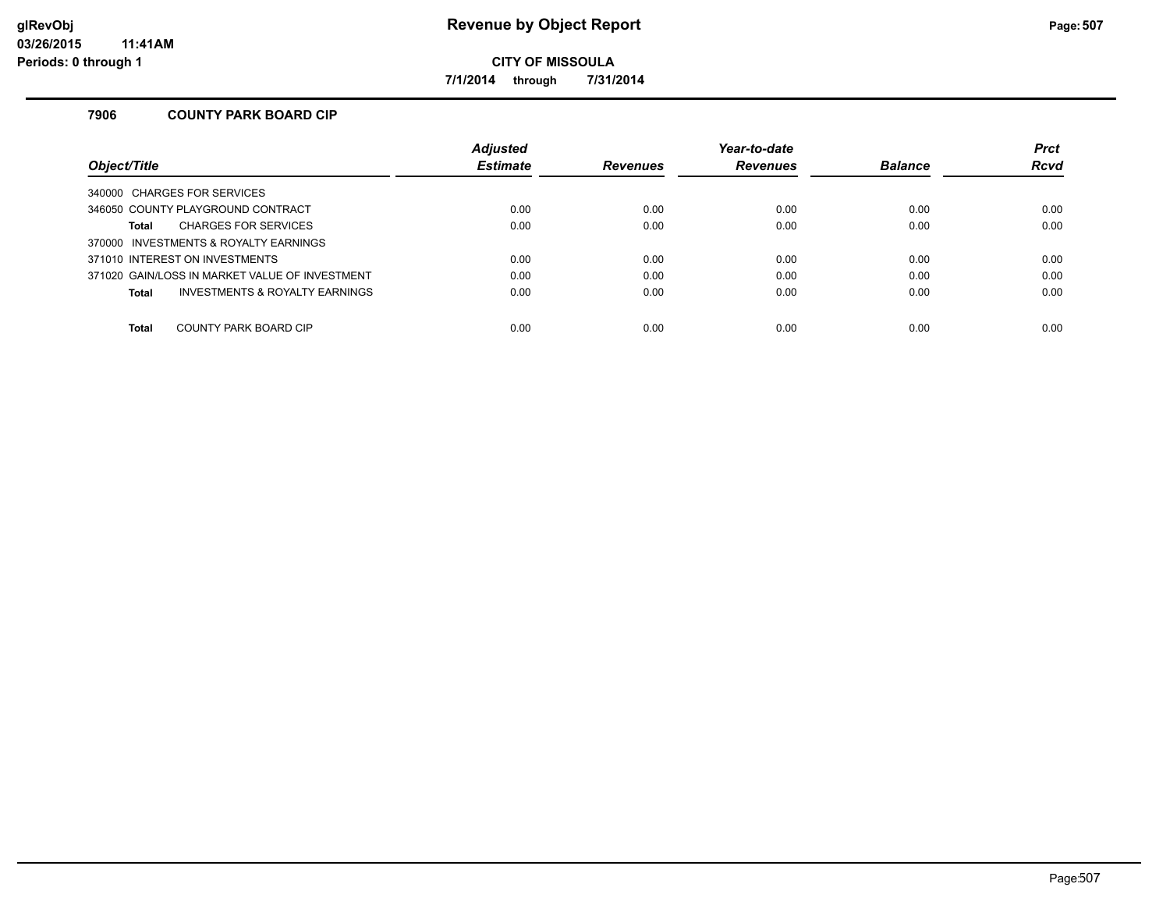**7/1/2014 through 7/31/2014**

### **7906 COUNTY PARK BOARD CIP**

|                                                | <b>Adjusted</b> |                 | Year-to-date    |                | <b>Prct</b> |
|------------------------------------------------|-----------------|-----------------|-----------------|----------------|-------------|
| Object/Title                                   | <b>Estimate</b> | <b>Revenues</b> | <b>Revenues</b> | <b>Balance</b> | <b>Rcvd</b> |
| 340000 CHARGES FOR SERVICES                    |                 |                 |                 |                |             |
| 346050 COUNTY PLAYGROUND CONTRACT              | 0.00            | 0.00            | 0.00            | 0.00           | 0.00        |
| <b>CHARGES FOR SERVICES</b><br><b>Total</b>    | 0.00            | 0.00            | 0.00            | 0.00           | 0.00        |
| 370000 INVESTMENTS & ROYALTY EARNINGS          |                 |                 |                 |                |             |
| 371010 INTEREST ON INVESTMENTS                 | 0.00            | 0.00            | 0.00            | 0.00           | 0.00        |
| 371020 GAIN/LOSS IN MARKET VALUE OF INVESTMENT | 0.00            | 0.00            | 0.00            | 0.00           | 0.00        |
| INVESTMENTS & ROYALTY EARNINGS<br><b>Total</b> | 0.00            | 0.00            | 0.00            | 0.00           | 0.00        |
|                                                |                 |                 |                 |                |             |
| <b>Total</b><br>COUNTY PARK BOARD CIP          | 0.00            | 0.00            | 0.00            | 0.00           | 0.00        |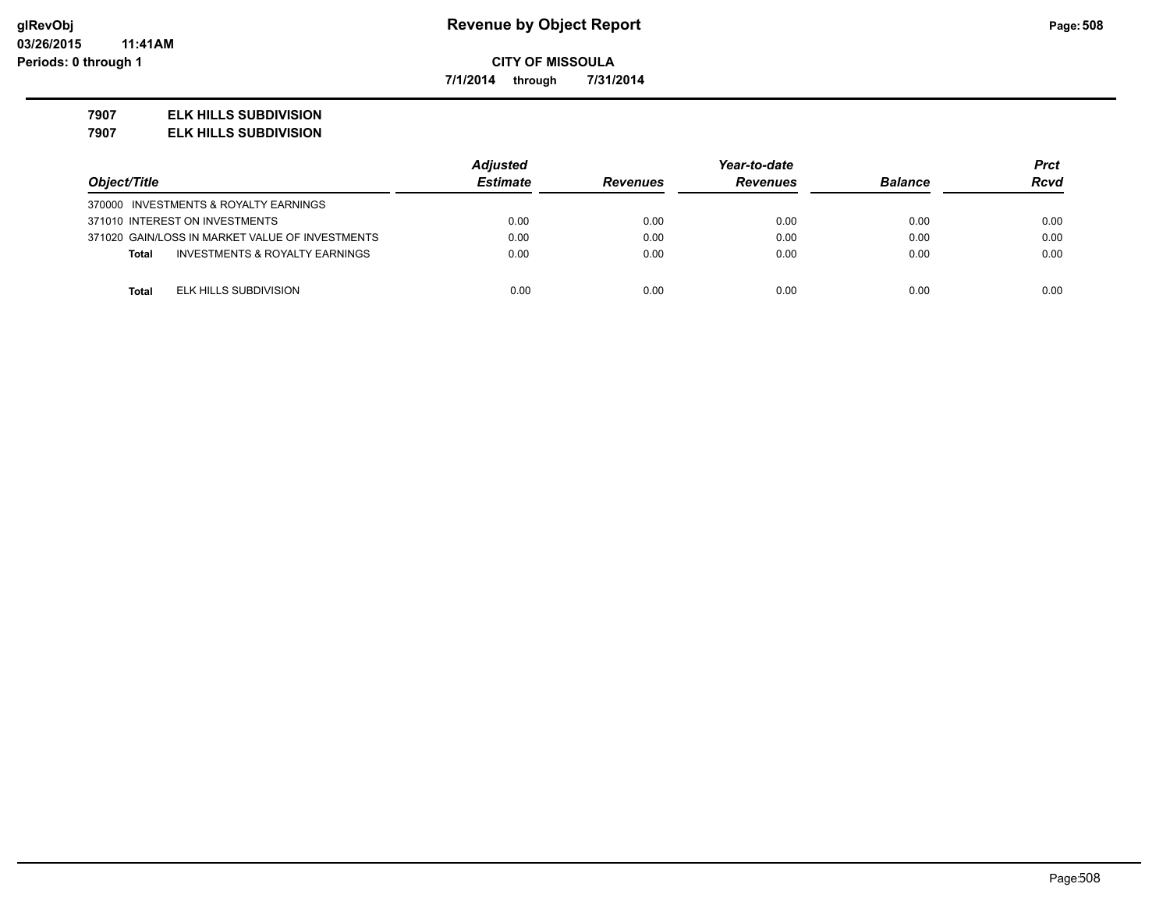**7/1/2014 through 7/31/2014**

#### **7907 ELK HILLS SUBDIVISION**

**7907 ELK HILLS SUBDIVISION**

|                                                 | <b>Adjusted</b> |                 | Year-to-date    |                | Prct        |
|-------------------------------------------------|-----------------|-----------------|-----------------|----------------|-------------|
| Object/Title                                    | <b>Estimate</b> | <b>Revenues</b> | <b>Revenues</b> | <b>Balance</b> | <b>Rcvd</b> |
| 370000 INVESTMENTS & ROYALTY EARNINGS           |                 |                 |                 |                |             |
| 371010 INTEREST ON INVESTMENTS                  | 0.00            | 0.00            | 0.00            | 0.00           | 0.00        |
| 371020 GAIN/LOSS IN MARKET VALUE OF INVESTMENTS | 0.00            | 0.00            | 0.00            | 0.00           | 0.00        |
| INVESTMENTS & ROYALTY EARNINGS<br><b>Total</b>  | 0.00            | 0.00            | 0.00            | 0.00           | 0.00        |
|                                                 |                 |                 |                 |                |             |
| ELK HILLS SUBDIVISION<br><b>Total</b>           | 0.00            | 0.00            | 0.00            | 0.00           | 0.00        |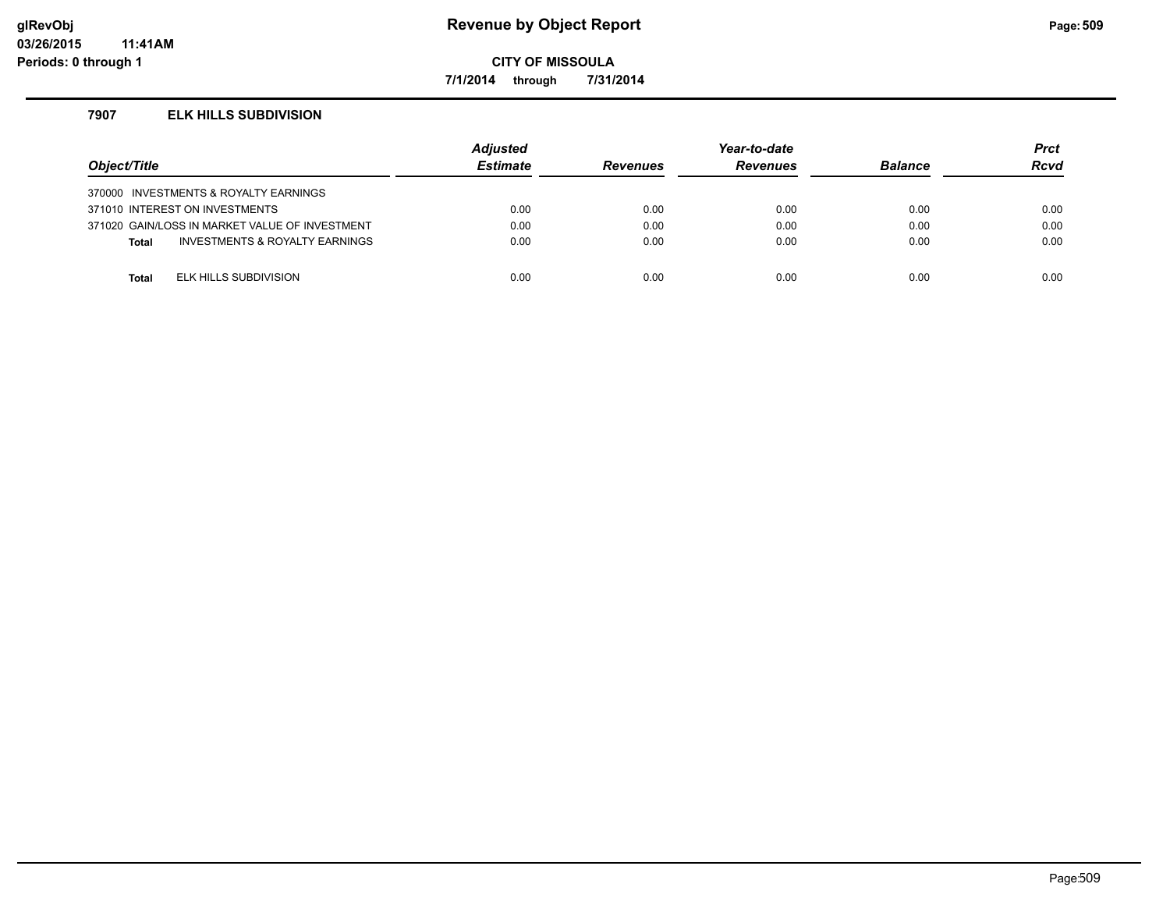### **glRevObj Revenue by Object Report Page:509**

**CITY OF MISSOULA**

**7/1/2014 through 7/31/2014**

#### **7907 ELK HILLS SUBDIVISION**

| Object/Title |                                                | <b>Adjusted</b><br><b>Estimate</b> | <b>Revenues</b> | Year-to-date<br><b>Revenues</b> | <b>Balance</b> | <b>Prct</b><br>Rcvd |
|--------------|------------------------------------------------|------------------------------------|-----------------|---------------------------------|----------------|---------------------|
|              | 370000 INVESTMENTS & ROYALTY EARNINGS          |                                    |                 |                                 |                |                     |
|              | 371010 INTEREST ON INVESTMENTS                 | 0.00                               | 0.00            | 0.00                            | 0.00           | 0.00                |
|              | 371020 GAIN/LOSS IN MARKET VALUE OF INVESTMENT | 0.00                               | 0.00            | 0.00                            | 0.00           | 0.00                |
| <b>Total</b> | <b>INVESTMENTS &amp; ROYALTY EARNINGS</b>      | 0.00                               | 0.00            | 0.00                            | 0.00           | 0.00                |
|              |                                                |                                    |                 |                                 |                |                     |
| Total        | ELK HILLS SUBDIVISION                          | 0.00                               | 0.00            | 0.00                            | 0.00           | 0.00                |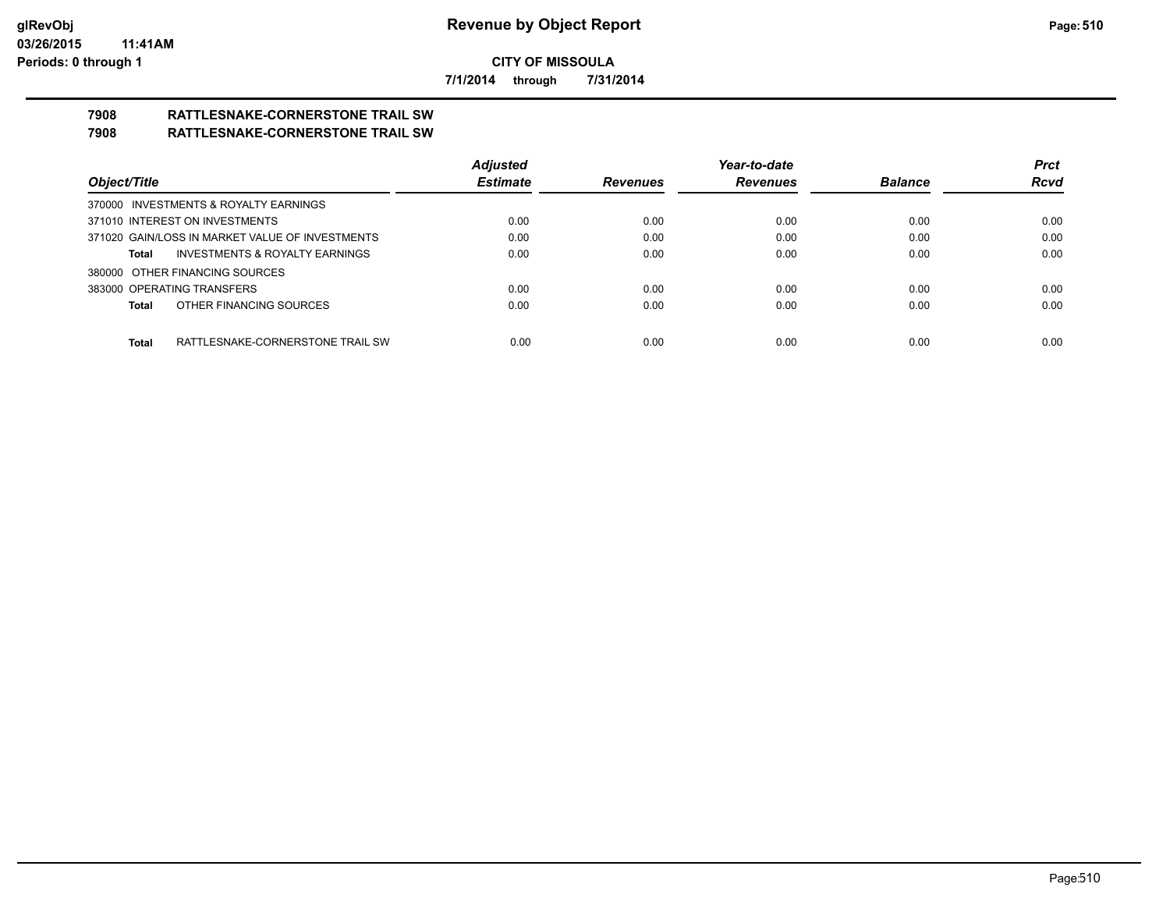**7/1/2014 through 7/31/2014**

# **7908 RATTLESNAKE-CORNERSTONE TRAIL SW**

### **7908 RATTLESNAKE-CORNERSTONE TRAIL SW**

|                                                 | <b>Adjusted</b> |                 | Year-to-date    |                | <b>Prct</b> |
|-------------------------------------------------|-----------------|-----------------|-----------------|----------------|-------------|
| Object/Title                                    | <b>Estimate</b> | <b>Revenues</b> | <b>Revenues</b> | <b>Balance</b> | <b>Rcvd</b> |
| 370000 INVESTMENTS & ROYALTY EARNINGS           |                 |                 |                 |                |             |
| 371010 INTEREST ON INVESTMENTS                  | 0.00            | 0.00            | 0.00            | 0.00           | 0.00        |
| 371020 GAIN/LOSS IN MARKET VALUE OF INVESTMENTS | 0.00            | 0.00            | 0.00            | 0.00           | 0.00        |
| INVESTMENTS & ROYALTY EARNINGS<br>Total         | 0.00            | 0.00            | 0.00            | 0.00           | 0.00        |
| 380000 OTHER FINANCING SOURCES                  |                 |                 |                 |                |             |
| 383000 OPERATING TRANSFERS                      | 0.00            | 0.00            | 0.00            | 0.00           | 0.00        |
| OTHER FINANCING SOURCES<br>Total                | 0.00            | 0.00            | 0.00            | 0.00           | 0.00        |
|                                                 |                 |                 |                 |                |             |
| Total<br>RATTLESNAKE-CORNERSTONE TRAIL SW       | 0.00            | 0.00            | 0.00            | 0.00           | 0.00        |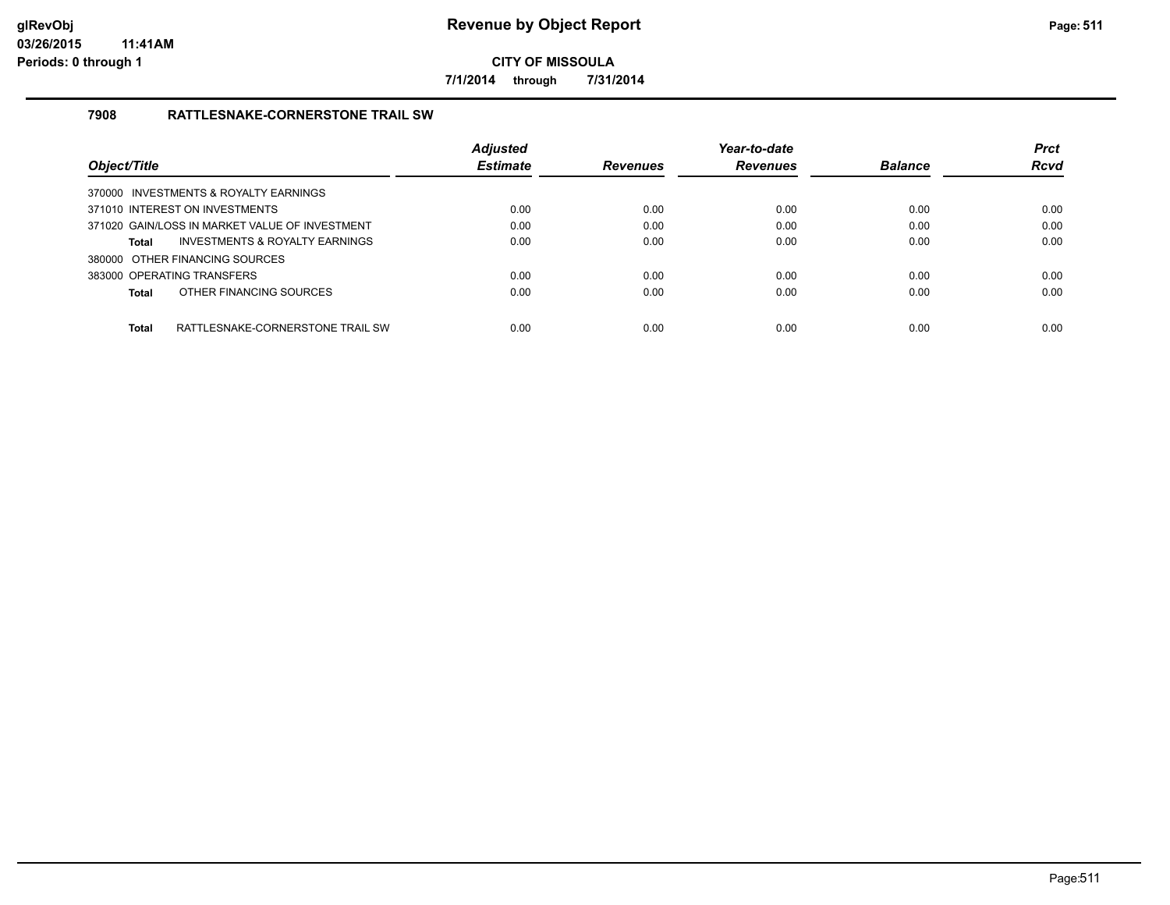**7/1/2014 through 7/31/2014**

### **7908 RATTLESNAKE-CORNERSTONE TRAIL SW**

| Obiect/Title                                     | <b>Adjusted</b><br><b>Estimate</b> | <b>Revenues</b> | Year-to-date<br><b>Revenues</b> | <b>Balance</b> | <b>Prct</b><br><b>Rcvd</b> |
|--------------------------------------------------|------------------------------------|-----------------|---------------------------------|----------------|----------------------------|
|                                                  |                                    |                 |                                 |                |                            |
| 370000 INVESTMENTS & ROYALTY EARNINGS            |                                    |                 |                                 |                |                            |
| 371010 INTEREST ON INVESTMENTS                   | 0.00                               | 0.00            | 0.00                            | 0.00           | 0.00                       |
| 371020 GAIN/LOSS IN MARKET VALUE OF INVESTMENT   | 0.00                               | 0.00            | 0.00                            | 0.00           | 0.00                       |
| INVESTMENTS & ROYALTY EARNINGS<br><b>Total</b>   | 0.00                               | 0.00            | 0.00                            | 0.00           | 0.00                       |
| 380000 OTHER FINANCING SOURCES                   |                                    |                 |                                 |                |                            |
| 383000 OPERATING TRANSFERS                       | 0.00                               | 0.00            | 0.00                            | 0.00           | 0.00                       |
| OTHER FINANCING SOURCES<br><b>Total</b>          | 0.00                               | 0.00            | 0.00                            | 0.00           | 0.00                       |
|                                                  |                                    |                 |                                 |                |                            |
| <b>Total</b><br>RATTLESNAKE-CORNERSTONE TRAIL SW | 0.00                               | 0.00            | 0.00                            | 0.00           | 0.00                       |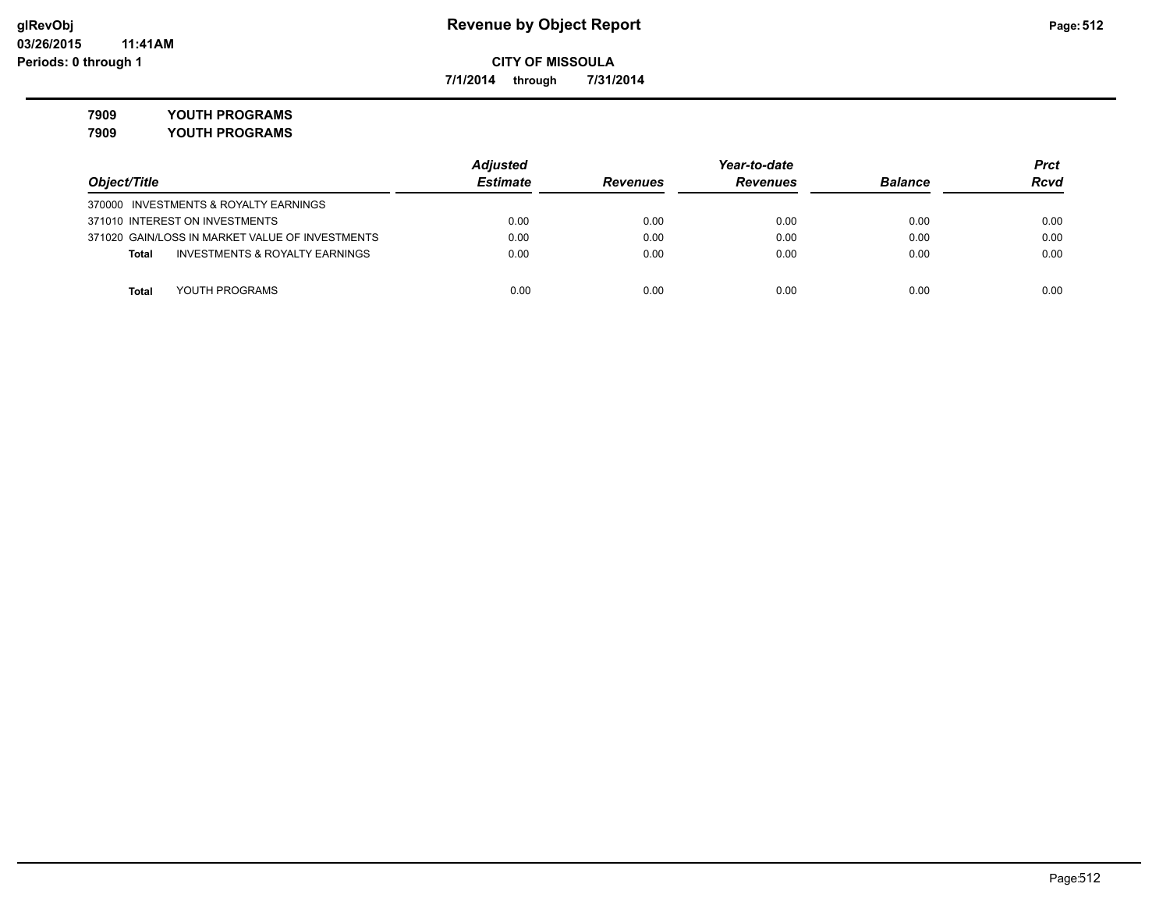**7/1/2014 through 7/31/2014**

**7909 YOUTH PROGRAMS**

|                                                 | <b>Adjusted</b> |                 | Year-to-date    |                | <b>Prct</b> |
|-------------------------------------------------|-----------------|-----------------|-----------------|----------------|-------------|
| Object/Title                                    | <b>Estimate</b> | <b>Revenues</b> | <b>Revenues</b> | <b>Balance</b> | <b>Rcvd</b> |
| 370000 INVESTMENTS & ROYALTY EARNINGS           |                 |                 |                 |                |             |
| 371010 INTEREST ON INVESTMENTS                  | 0.00            | 0.00            | 0.00            | 0.00           | 0.00        |
| 371020 GAIN/LOSS IN MARKET VALUE OF INVESTMENTS | 0.00            | 0.00            | 0.00            | 0.00           | 0.00        |
| INVESTMENTS & ROYALTY EARNINGS<br>Total         | 0.00            | 0.00            | 0.00            | 0.00           | 0.00        |
|                                                 |                 |                 |                 |                |             |
| YOUTH PROGRAMS<br>Total                         | 0.00            | 0.00            | 0.00            | 0.00           | 0.00        |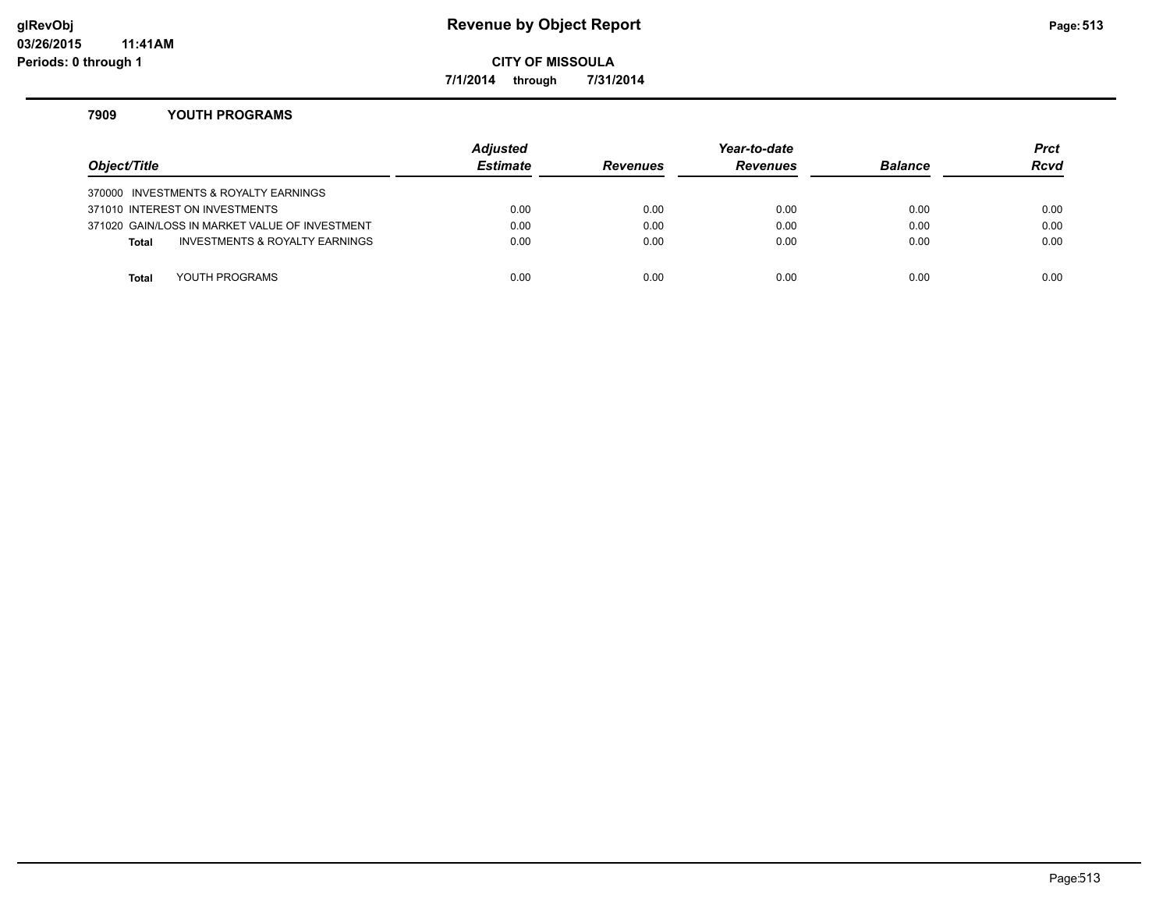### **glRevObj Revenue by Object Report Page:513**

**CITY OF MISSOULA**

**7/1/2014 through 7/31/2014**

#### **7909 YOUTH PROGRAMS**

| Object/Title |                                                | <b>Adjusted</b><br><b>Estimate</b> | <b>Revenues</b> | Year-to-date<br><b>Revenues</b> | <b>Balance</b> | <b>Prct</b><br><b>Rcvd</b> |
|--------------|------------------------------------------------|------------------------------------|-----------------|---------------------------------|----------------|----------------------------|
|              | 370000 INVESTMENTS & ROYALTY EARNINGS          |                                    |                 |                                 |                |                            |
|              | 371010 INTEREST ON INVESTMENTS                 | 0.00                               | 0.00            | 0.00                            | 0.00           | 0.00                       |
|              | 371020 GAIN/LOSS IN MARKET VALUE OF INVESTMENT | 0.00                               | 0.00            | 0.00                            | 0.00           | 0.00                       |
| <b>Total</b> | INVESTMENTS & ROYALTY EARNINGS                 | 0.00                               | 0.00            | 0.00                            | 0.00           | 0.00                       |
|              |                                                |                                    |                 |                                 |                |                            |
| <b>Total</b> | YOUTH PROGRAMS                                 | 0.00                               | 0.00            | 0.00                            | 0.00           | 0.00                       |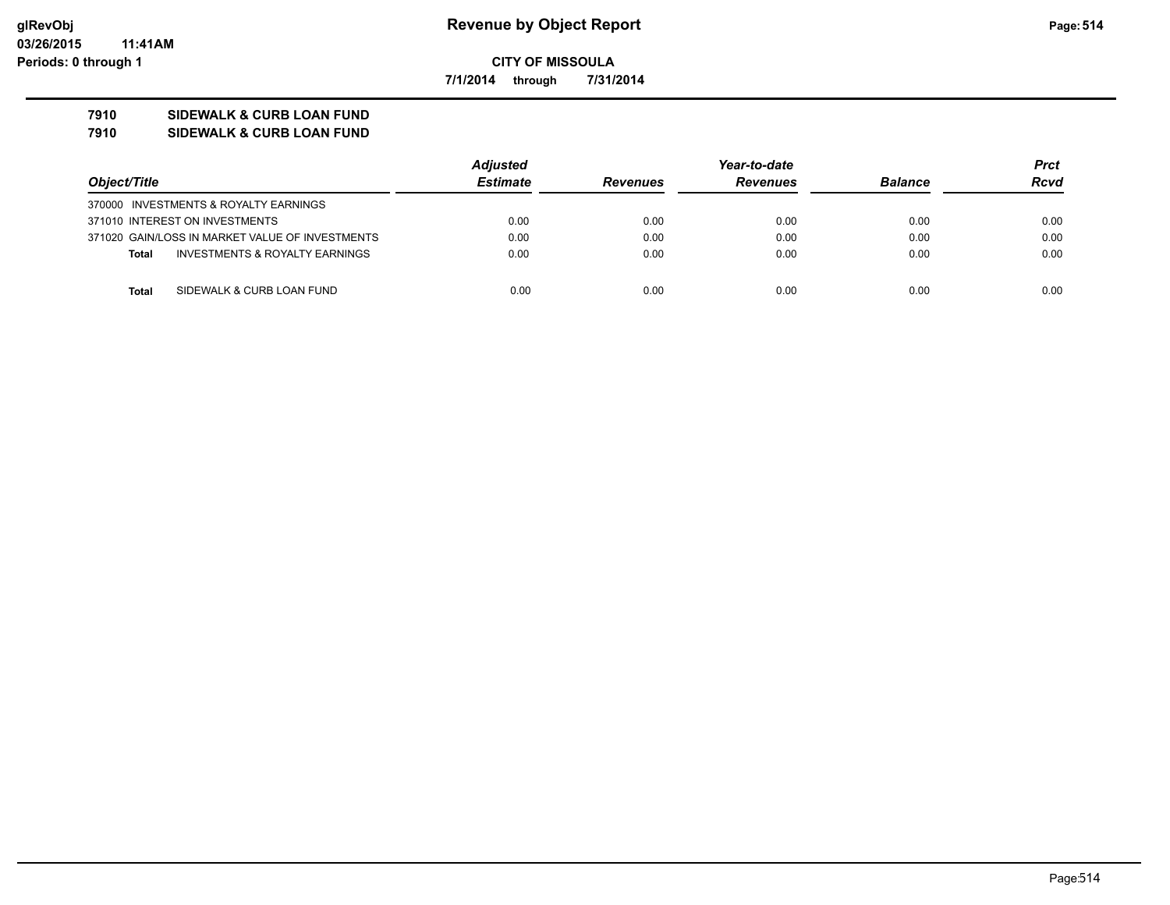**7/1/2014 through 7/31/2014**

### **7910 SIDEWALK & CURB LOAN FUND**

#### **7910 SIDEWALK & CURB LOAN FUND**

|                                                 | <b>Adjusted</b> |                 | Year-to-date    |                | <b>Prct</b> |
|-------------------------------------------------|-----------------|-----------------|-----------------|----------------|-------------|
| Object/Title                                    | <b>Estimate</b> | <b>Revenues</b> | <b>Revenues</b> | <b>Balance</b> | <b>Rcvd</b> |
| 370000 INVESTMENTS & ROYALTY EARNINGS           |                 |                 |                 |                |             |
| 371010 INTEREST ON INVESTMENTS                  | 0.00            | 0.00            | 0.00            | 0.00           | 0.00        |
| 371020 GAIN/LOSS IN MARKET VALUE OF INVESTMENTS | 0.00            | 0.00            | 0.00            | 0.00           | 0.00        |
| INVESTMENTS & ROYALTY EARNINGS<br><b>Total</b>  | 0.00            | 0.00            | 0.00            | 0.00           | 0.00        |
|                                                 |                 |                 |                 |                |             |
| SIDEWALK & CURB LOAN FUND<br>Total              | 0.00            | 0.00            | 0.00            | 0.00           | 0.00        |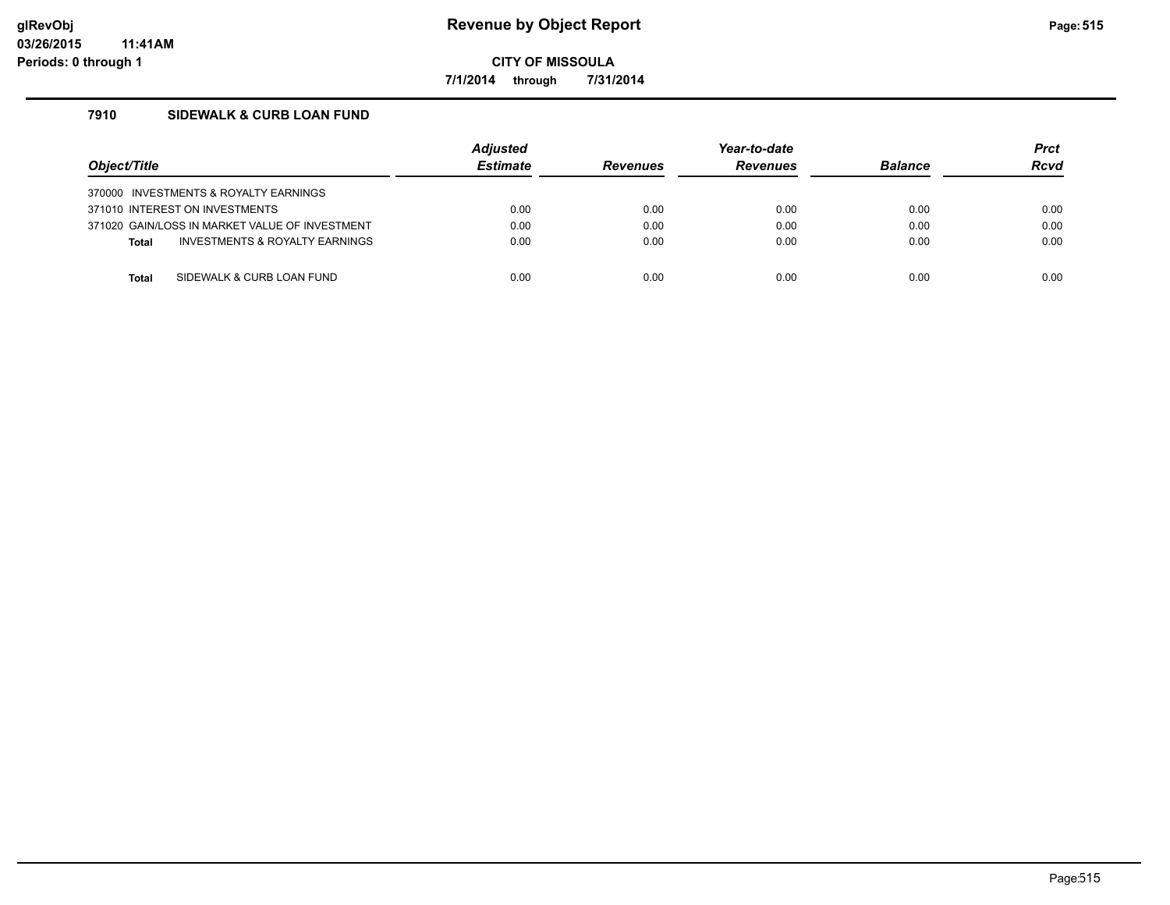**7/1/2014 through 7/31/2014**

### **7910 SIDEWALK & CURB LOAN FUND**

| Object/Title                          |                                                | <b>Adiusted</b><br><b>Estimate</b> | <b>Revenues</b> | Year-to-date<br><b>Revenues</b> | <b>Balance</b> | <b>Prct</b><br><b>Rcvd</b> |
|---------------------------------------|------------------------------------------------|------------------------------------|-----------------|---------------------------------|----------------|----------------------------|
| 370000 INVESTMENTS & ROYALTY EARNINGS |                                                |                                    |                 |                                 |                |                            |
| 371010 INTEREST ON INVESTMENTS        |                                                | 0.00                               | 0.00            | 0.00                            | 0.00           | 0.00                       |
|                                       | 371020 GAIN/LOSS IN MARKET VALUE OF INVESTMENT | 0.00                               | 0.00            | 0.00                            | 0.00           | 0.00                       |
| <b>Total</b>                          | INVESTMENTS & ROYALTY EARNINGS                 | 0.00                               | 0.00            | 0.00                            | 0.00           | 0.00                       |
|                                       |                                                |                                    |                 |                                 |                |                            |
| Total                                 | SIDEWALK & CURB LOAN FUND                      | 0.00                               | 0.00            | 0.00                            | 0.00           | 0.00                       |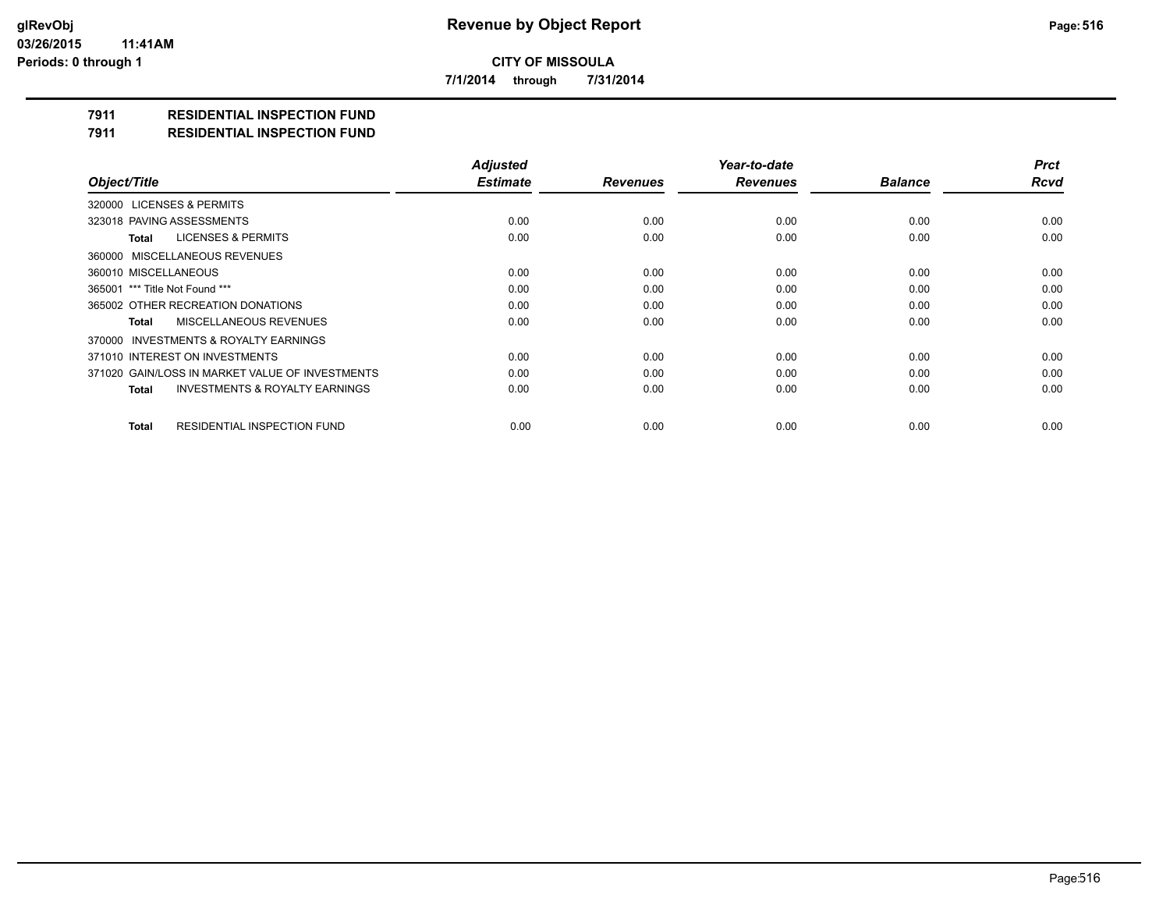**7/1/2014 through 7/31/2014**

### **7911 RESIDENTIAL INSPECTION FUND**

**7911 RESIDENTIAL INSPECTION FUND**

|                                                    | <b>Adjusted</b> |                 | Year-to-date    |                | <b>Prct</b> |
|----------------------------------------------------|-----------------|-----------------|-----------------|----------------|-------------|
| Object/Title                                       | <b>Estimate</b> | <b>Revenues</b> | <b>Revenues</b> | <b>Balance</b> | <b>Rcvd</b> |
| 320000 LICENSES & PERMITS                          |                 |                 |                 |                |             |
| 323018 PAVING ASSESSMENTS                          | 0.00            | 0.00            | 0.00            | 0.00           | 0.00        |
| <b>LICENSES &amp; PERMITS</b><br>Total             | 0.00            | 0.00            | 0.00            | 0.00           | 0.00        |
| 360000 MISCELLANEOUS REVENUES                      |                 |                 |                 |                |             |
| 360010 MISCELLANEOUS                               | 0.00            | 0.00            | 0.00            | 0.00           | 0.00        |
| 365001 *** Title Not Found ***                     | 0.00            | 0.00            | 0.00            | 0.00           | 0.00        |
| 365002 OTHER RECREATION DONATIONS                  | 0.00            | 0.00            | 0.00            | 0.00           | 0.00        |
| MISCELLANEOUS REVENUES<br>Total                    | 0.00            | 0.00            | 0.00            | 0.00           | 0.00        |
| 370000 INVESTMENTS & ROYALTY EARNINGS              |                 |                 |                 |                |             |
| 371010 INTEREST ON INVESTMENTS                     | 0.00            | 0.00            | 0.00            | 0.00           | 0.00        |
| 371020 GAIN/LOSS IN MARKET VALUE OF INVESTMENTS    | 0.00            | 0.00            | 0.00            | 0.00           | 0.00        |
| <b>INVESTMENTS &amp; ROYALTY EARNINGS</b><br>Total | 0.00            | 0.00            | 0.00            | 0.00           | 0.00        |
| RESIDENTIAL INSPECTION FUND<br><b>Total</b>        | 0.00            | 0.00            | 0.00            | 0.00           | 0.00        |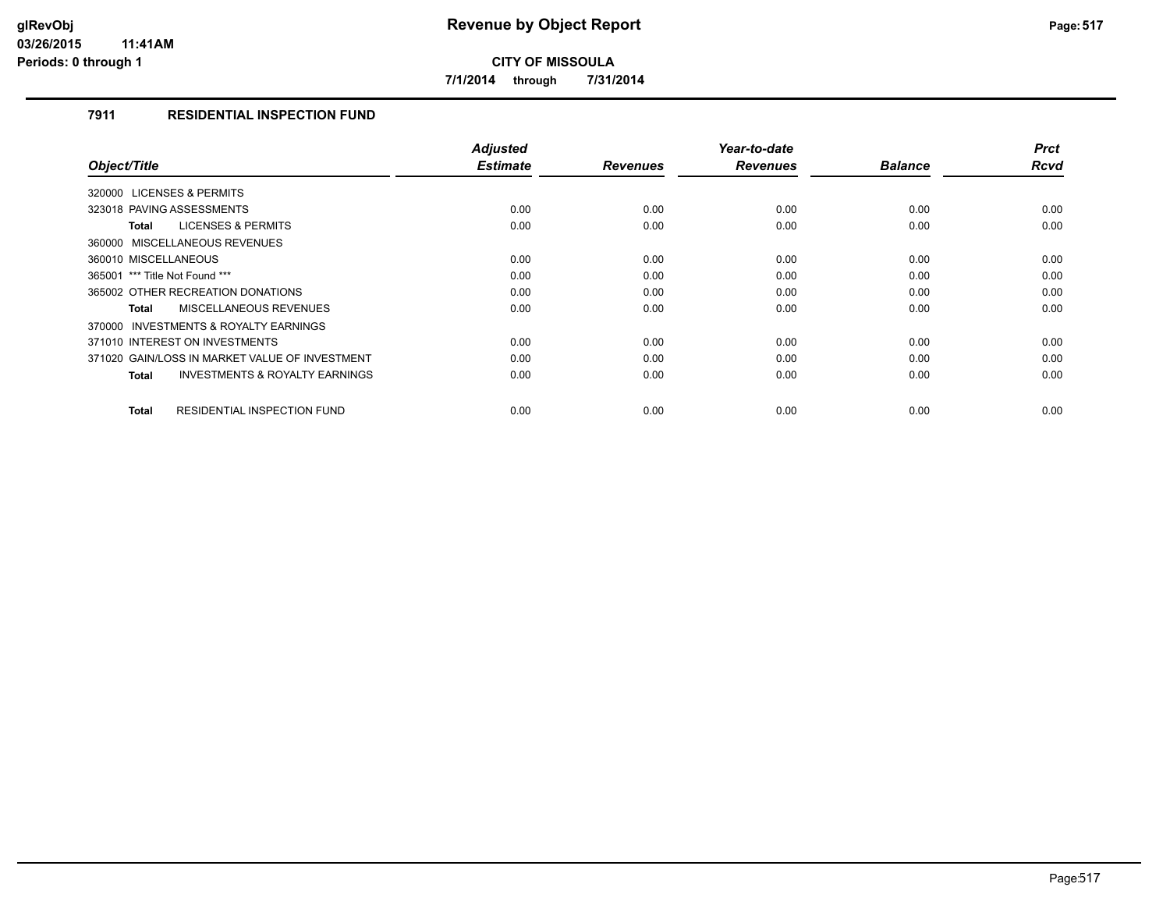**7/1/2014 through 7/31/2014**

### **7911 RESIDENTIAL INSPECTION FUND**

| Object/Title                                       | <b>Adjusted</b><br><b>Estimate</b> | <b>Revenues</b> | Year-to-date<br><b>Revenues</b> | <b>Balance</b> | <b>Prct</b><br><b>Rcvd</b> |
|----------------------------------------------------|------------------------------------|-----------------|---------------------------------|----------------|----------------------------|
|                                                    |                                    |                 |                                 |                |                            |
| 320000 LICENSES & PERMITS                          |                                    |                 |                                 |                |                            |
| 323018 PAVING ASSESSMENTS                          | 0.00                               | 0.00            | 0.00                            | 0.00           | 0.00                       |
| <b>LICENSES &amp; PERMITS</b><br>Total             | 0.00                               | 0.00            | 0.00                            | 0.00           | 0.00                       |
| 360000 MISCELLANEOUS REVENUES                      |                                    |                 |                                 |                |                            |
| 360010 MISCELLANEOUS                               | 0.00                               | 0.00            | 0.00                            | 0.00           | 0.00                       |
| 365001 *** Title Not Found ***                     | 0.00                               | 0.00            | 0.00                            | 0.00           | 0.00                       |
| 365002 OTHER RECREATION DONATIONS                  | 0.00                               | 0.00            | 0.00                            | 0.00           | 0.00                       |
| <b>MISCELLANEOUS REVENUES</b><br>Total             | 0.00                               | 0.00            | 0.00                            | 0.00           | 0.00                       |
| INVESTMENTS & ROYALTY EARNINGS<br>370000           |                                    |                 |                                 |                |                            |
| 371010 INTEREST ON INVESTMENTS                     | 0.00                               | 0.00            | 0.00                            | 0.00           | 0.00                       |
| 371020 GAIN/LOSS IN MARKET VALUE OF INVESTMENT     | 0.00                               | 0.00            | 0.00                            | 0.00           | 0.00                       |
| <b>INVESTMENTS &amp; ROYALTY EARNINGS</b><br>Total | 0.00                               | 0.00            | 0.00                            | 0.00           | 0.00                       |
|                                                    |                                    |                 |                                 |                |                            |
| <b>RESIDENTIAL INSPECTION FUND</b><br><b>Total</b> | 0.00                               | 0.00            | 0.00                            | 0.00           | 0.00                       |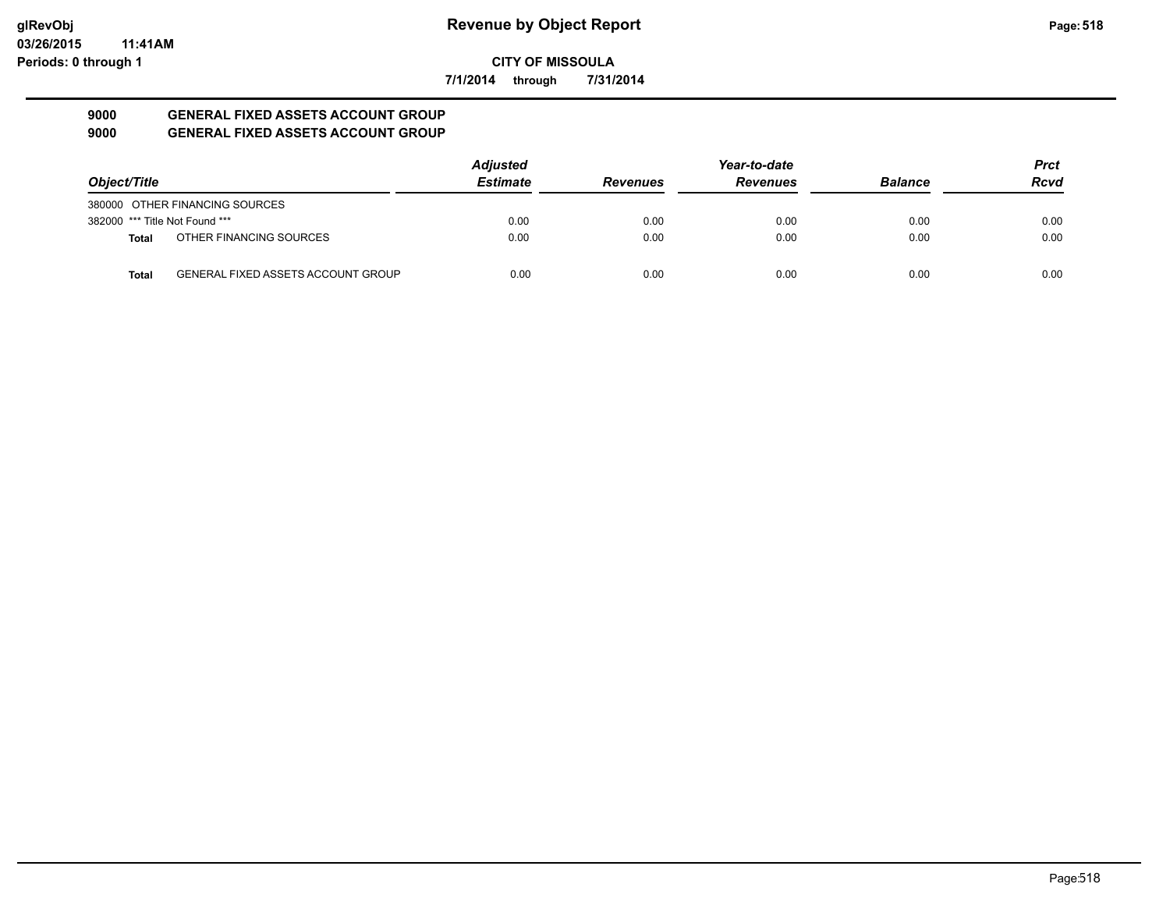**7/1/2014 through 7/31/2014**

#### **9000 GENERAL FIXED ASSETS ACCOUNT GROUP 9000 GENERAL FIXED ASSETS ACCOUNT GROUP**

| Object/Title                   |                                           | <b>Adjusted</b> |                 | Year-to-date    |                | <b>Prct</b> |
|--------------------------------|-------------------------------------------|-----------------|-----------------|-----------------|----------------|-------------|
|                                |                                           | <b>Estimate</b> | <b>Revenues</b> | <b>Revenues</b> | <b>Balance</b> | <b>Rcvd</b> |
|                                | 380000 OTHER FINANCING SOURCES            |                 |                 |                 |                |             |
| 382000 *** Title Not Found *** |                                           | 0.00            | 0.00            | 0.00            | 0.00           | 0.00        |
| <b>Total</b>                   | OTHER FINANCING SOURCES                   | 0.00            | 0.00            | 0.00            | 0.00           | 0.00        |
| <b>Total</b>                   | <b>GENERAL FIXED ASSETS ACCOUNT GROUP</b> | 0.00            | 0.00            | 0.00            | 0.00           | 0.00        |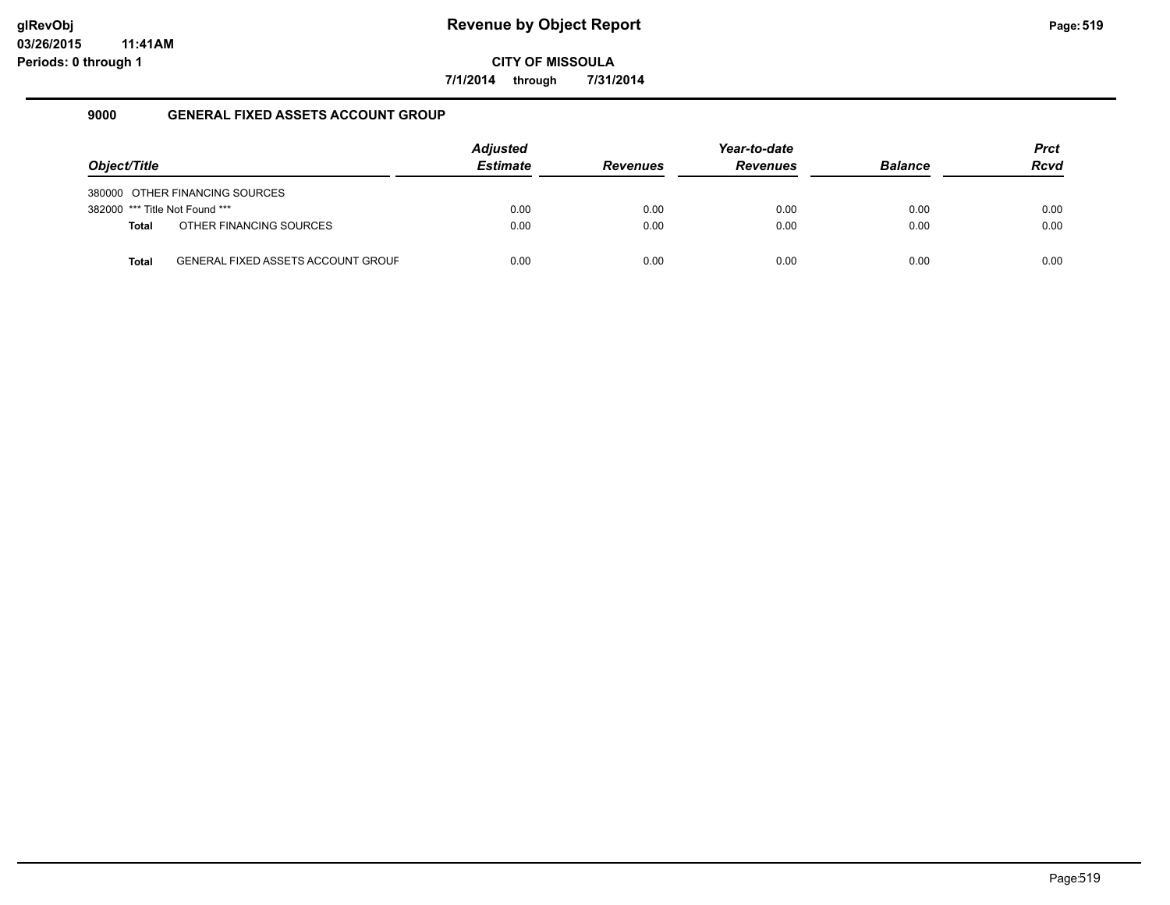**7/1/2014 through 7/31/2014**

### **9000 GENERAL FIXED ASSETS ACCOUNT GROUP**

|                                |                                           | <b>Adjusted</b> |                 | Year-to-date    |                | <b>Prct</b> |
|--------------------------------|-------------------------------------------|-----------------|-----------------|-----------------|----------------|-------------|
| Object/Title                   |                                           | <b>Estimate</b> | <b>Revenues</b> | <b>Revenues</b> | <b>Balance</b> | <b>Rcvd</b> |
|                                | 380000 OTHER FINANCING SOURCES            |                 |                 |                 |                |             |
| 382000 *** Title Not Found *** |                                           | 0.00            | 0.00            | 0.00            | 0.00           | 0.00        |
| <b>Total</b>                   | OTHER FINANCING SOURCES                   | 0.00            | 0.00            | 0.00            | 0.00           | 0.00        |
| <b>Total</b>                   | <b>GENERAL FIXED ASSETS ACCOUNT GROUF</b> | 0.00            | 0.00            | 0.00            | 0.00           | 0.00        |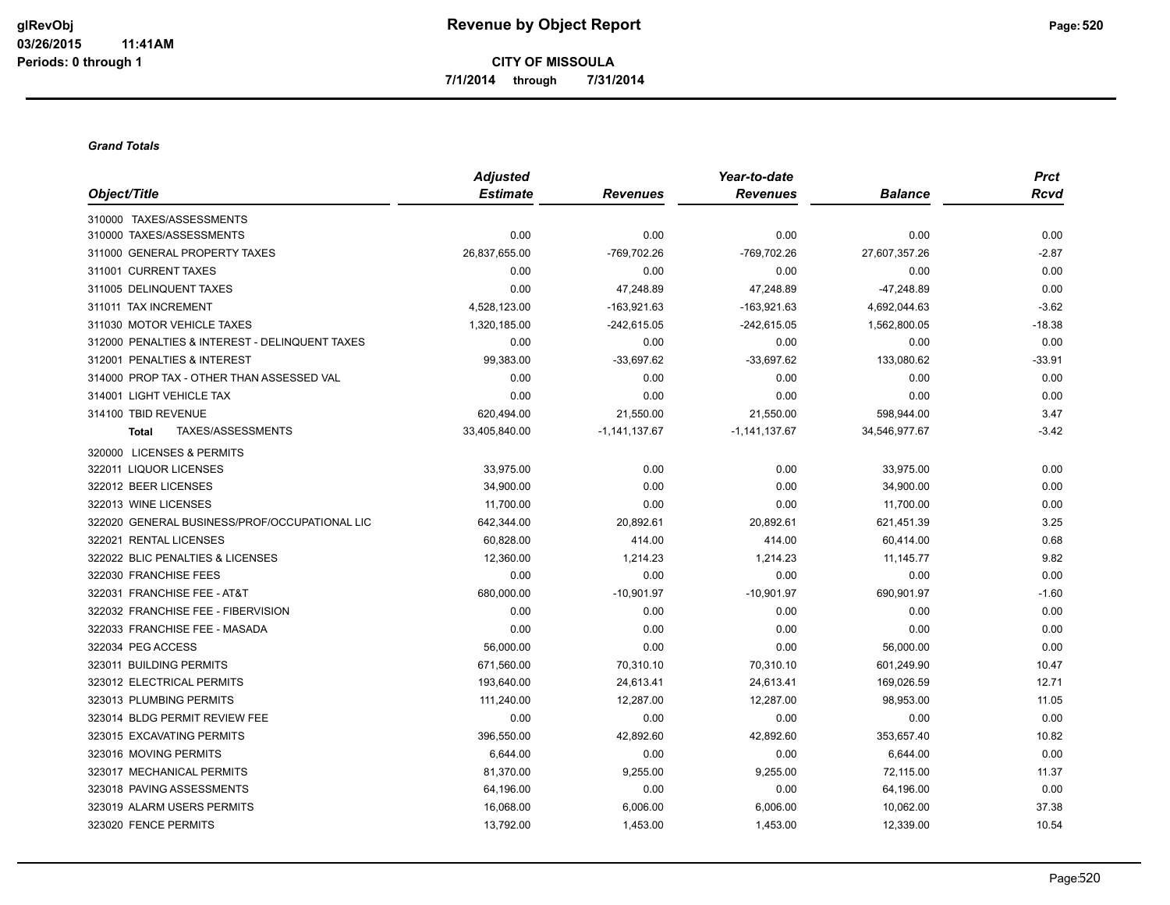**CITY OF MISSOULA 7/1/2014 through 7/31/2014**

#### *Grand Totals*

|                                                | <b>Adjusted</b> |                   | Year-to-date      |                | <b>Prct</b> |
|------------------------------------------------|-----------------|-------------------|-------------------|----------------|-------------|
| Object/Title                                   | <b>Estimate</b> | <b>Revenues</b>   | <b>Revenues</b>   | <b>Balance</b> | <b>Rcvd</b> |
| 310000 TAXES/ASSESSMENTS                       |                 |                   |                   |                |             |
| 310000 TAXES/ASSESSMENTS                       | 0.00            | 0.00              | 0.00              | 0.00           | 0.00        |
| 311000 GENERAL PROPERTY TAXES                  | 26,837,655.00   | -769,702.26       | -769,702.26       | 27,607,357.26  | $-2.87$     |
| 311001 CURRENT TAXES                           | 0.00            | 0.00              | 0.00              | 0.00           | 0.00        |
| 311005 DELINQUENT TAXES                        | 0.00            | 47,248.89         | 47,248.89         | $-47,248.89$   | 0.00        |
| 311011 TAX INCREMENT                           | 4,528,123.00    | $-163,921.63$     | $-163,921.63$     | 4,692,044.63   | $-3.62$     |
| 311030 MOTOR VEHICLE TAXES                     | 1,320,185.00    | $-242,615.05$     | $-242,615.05$     | 1,562,800.05   | $-18.38$    |
| 312000 PENALTIES & INTEREST - DELINQUENT TAXES | 0.00            | 0.00              | 0.00              | 0.00           | 0.00        |
| 312001 PENALTIES & INTEREST                    | 99,383.00       | $-33,697.62$      | $-33,697.62$      | 133,080.62     | $-33.91$    |
| 314000 PROP TAX - OTHER THAN ASSESSED VAL      | 0.00            | 0.00              | 0.00              | 0.00           | 0.00        |
| 314001 LIGHT VEHICLE TAX                       | 0.00            | 0.00              | 0.00              | 0.00           | 0.00        |
| 314100 TBID REVENUE                            | 620,494.00      | 21,550.00         | 21,550.00         | 598,944.00     | 3.47        |
| TAXES/ASSESSMENTS<br><b>Total</b>              | 33,405,840.00   | $-1, 141, 137.67$ | $-1, 141, 137.67$ | 34,546,977.67  | $-3.42$     |
| 320000 LICENSES & PERMITS                      |                 |                   |                   |                |             |
| 322011 LIQUOR LICENSES                         | 33,975.00       | 0.00              | 0.00              | 33,975.00      | 0.00        |
| 322012 BEER LICENSES                           | 34,900.00       | 0.00              | 0.00              | 34,900.00      | 0.00        |
| 322013 WINE LICENSES                           | 11,700.00       | 0.00              | 0.00              | 11,700.00      | 0.00        |
| 322020 GENERAL BUSINESS/PROF/OCCUPATIONAL LIC  | 642,344.00      | 20,892.61         | 20,892.61         | 621,451.39     | 3.25        |
| 322021 RENTAL LICENSES                         | 60,828.00       | 414.00            | 414.00            | 60,414.00      | 0.68        |
| 322022 BLIC PENALTIES & LICENSES               | 12,360.00       | 1,214.23          | 1,214.23          | 11,145.77      | 9.82        |
| 322030 FRANCHISE FEES                          | 0.00            | 0.00              | 0.00              | 0.00           | 0.00        |
| 322031 FRANCHISE FEE - AT&T                    | 680,000.00      | $-10,901.97$      | $-10,901.97$      | 690,901.97     | $-1.60$     |
| 322032 FRANCHISE FEE - FIBERVISION             | 0.00            | 0.00              | 0.00              | 0.00           | 0.00        |
| 322033 FRANCHISE FEE - MASADA                  | 0.00            | 0.00              | 0.00              | 0.00           | 0.00        |
| 322034 PEG ACCESS                              | 56,000.00       | 0.00              | 0.00              | 56,000.00      | 0.00        |
| 323011 BUILDING PERMITS                        | 671,560.00      | 70,310.10         | 70,310.10         | 601,249.90     | 10.47       |
| 323012 ELECTRICAL PERMITS                      | 193,640.00      | 24,613.41         | 24,613.41         | 169,026.59     | 12.71       |
| 323013 PLUMBING PERMITS                        | 111.240.00      | 12,287.00         | 12,287.00         | 98,953.00      | 11.05       |
| 323014 BLDG PERMIT REVIEW FEE                  | 0.00            | 0.00              | 0.00              | 0.00           | 0.00        |
| 323015 EXCAVATING PERMITS                      | 396.550.00      | 42,892.60         | 42,892.60         | 353,657.40     | 10.82       |
| 323016 MOVING PERMITS                          | 6,644.00        | 0.00              | 0.00              | 6,644.00       | 0.00        |
| 323017 MECHANICAL PERMITS                      | 81,370.00       | 9,255.00          | 9,255.00          | 72,115.00      | 11.37       |
| 323018 PAVING ASSESSMENTS                      | 64,196.00       | 0.00              | 0.00              | 64,196.00      | 0.00        |
| 323019 ALARM USERS PERMITS                     | 16,068.00       | 6,006.00          | 6,006.00          | 10,062.00      | 37.38       |
| 323020 FENCE PERMITS                           | 13,792.00       | 1,453.00          | 1,453.00          | 12,339.00      | 10.54       |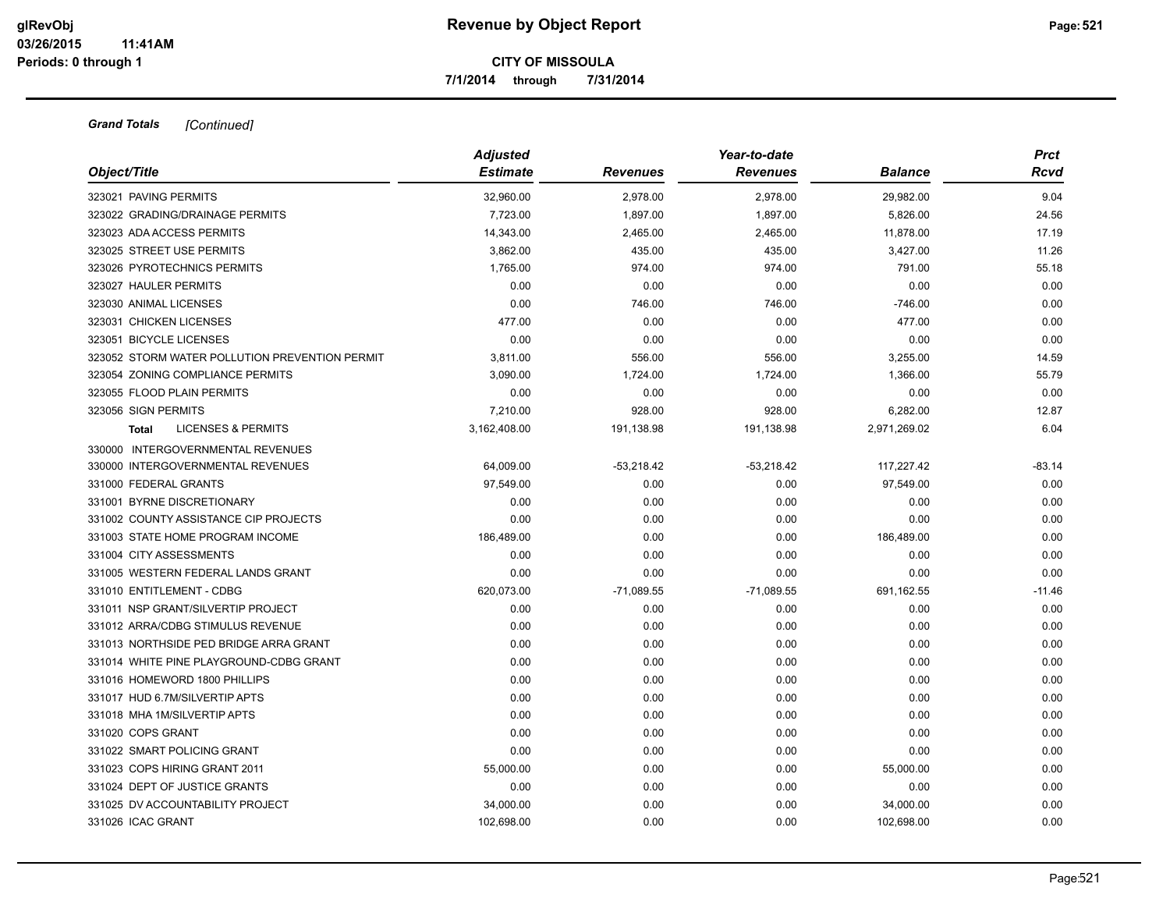**7/1/2014 through 7/31/2014**

| Object/Title                                   | <b>Adjusted</b><br><b>Estimate</b> | <b>Revenues</b> | Year-to-date<br><b>Revenues</b> | <b>Balance</b> | <b>Prct</b><br><b>Rcvd</b> |
|------------------------------------------------|------------------------------------|-----------------|---------------------------------|----------------|----------------------------|
|                                                |                                    |                 |                                 |                |                            |
| 323021 PAVING PERMITS                          | 32,960.00                          | 2,978.00        | 2,978.00                        | 29,982.00      | 9.04                       |
| 323022 GRADING/DRAINAGE PERMITS                | 7,723.00                           | 1,897.00        | 1,897.00                        | 5,826.00       | 24.56                      |
| 323023 ADA ACCESS PERMITS                      | 14,343.00                          | 2,465.00        | 2,465.00                        | 11,878.00      | 17.19                      |
| 323025 STREET USE PERMITS                      | 3,862.00                           | 435.00          | 435.00                          | 3,427.00       | 11.26                      |
| 323026 PYROTECHNICS PERMITS                    | 1,765.00                           | 974.00          | 974.00                          | 791.00         | 55.18                      |
| 323027 HAULER PERMITS                          | 0.00                               | 0.00            | 0.00                            | 0.00           | 0.00                       |
| 323030 ANIMAL LICENSES                         | 0.00                               | 746.00          | 746.00                          | $-746.00$      | 0.00                       |
| 323031 CHICKEN LICENSES                        | 477.00                             | 0.00            | 0.00                            | 477.00         | 0.00                       |
| 323051 BICYCLE LICENSES                        | 0.00                               | 0.00            | 0.00                            | 0.00           | 0.00                       |
| 323052 STORM WATER POLLUTION PREVENTION PERMIT | 3,811.00                           | 556.00          | 556.00                          | 3,255.00       | 14.59                      |
| 323054 ZONING COMPLIANCE PERMITS               | 3,090.00                           | 1,724.00        | 1,724.00                        | 1,366.00       | 55.79                      |
| 323055 FLOOD PLAIN PERMITS                     | 0.00                               | 0.00            | 0.00                            | 0.00           | 0.00                       |
| 323056 SIGN PERMITS                            | 7,210.00                           | 928.00          | 928.00                          | 6,282.00       | 12.87                      |
| <b>LICENSES &amp; PERMITS</b><br><b>Total</b>  | 3,162,408.00                       | 191,138.98      | 191,138.98                      | 2,971,269.02   | 6.04                       |
| 330000 INTERGOVERNMENTAL REVENUES              |                                    |                 |                                 |                |                            |
| 330000 INTERGOVERNMENTAL REVENUES              | 64,009.00                          | $-53,218.42$    | $-53,218.42$                    | 117,227.42     | $-83.14$                   |
| 331000 FEDERAL GRANTS                          | 97,549.00                          | 0.00            | 0.00                            | 97,549.00      | 0.00                       |
| 331001 BYRNE DISCRETIONARY                     | 0.00                               | 0.00            | 0.00                            | 0.00           | 0.00                       |
| 331002 COUNTY ASSISTANCE CIP PROJECTS          | 0.00                               | 0.00            | 0.00                            | 0.00           | 0.00                       |
| 331003 STATE HOME PROGRAM INCOME               | 186,489.00                         | 0.00            | 0.00                            | 186,489.00     | 0.00                       |
| 331004 CITY ASSESSMENTS                        | 0.00                               | 0.00            | 0.00                            | 0.00           | 0.00                       |
| 331005 WESTERN FEDERAL LANDS GRANT             | 0.00                               | 0.00            | 0.00                            | 0.00           | 0.00                       |
| 331010 ENTITLEMENT - CDBG                      | 620,073.00                         | $-71,089.55$    | $-71,089.55$                    | 691,162.55     | $-11.46$                   |
| 331011 NSP GRANT/SILVERTIP PROJECT             | 0.00                               | 0.00            | 0.00                            | 0.00           | 0.00                       |
| 331012 ARRA/CDBG STIMULUS REVENUE              | 0.00                               | 0.00            | 0.00                            | 0.00           | 0.00                       |
| 331013 NORTHSIDE PED BRIDGE ARRA GRANT         | 0.00                               | 0.00            | 0.00                            | 0.00           | 0.00                       |
| 331014 WHITE PINE PLAYGROUND-CDBG GRANT        | 0.00                               | 0.00            | 0.00                            | 0.00           | 0.00                       |
| 331016 HOMEWORD 1800 PHILLIPS                  | 0.00                               | 0.00            | 0.00                            | 0.00           | 0.00                       |
| 331017 HUD 6.7M/SILVERTIP APTS                 | 0.00                               | 0.00            | 0.00                            | 0.00           | 0.00                       |
| 331018 MHA 1M/SILVERTIP APTS                   | 0.00                               | 0.00            | 0.00                            | 0.00           | 0.00                       |
| 331020 COPS GRANT                              | 0.00                               | 0.00            | 0.00                            | 0.00           | 0.00                       |
| 331022 SMART POLICING GRANT                    | 0.00                               | 0.00            | 0.00                            | 0.00           | 0.00                       |
| 331023 COPS HIRING GRANT 2011                  | 55,000.00                          | 0.00            | 0.00                            | 55,000.00      | 0.00                       |
| 331024 DEPT OF JUSTICE GRANTS                  | 0.00                               | 0.00            | 0.00                            | 0.00           | 0.00                       |
| 331025 DV ACCOUNTABILITY PROJECT               | 34,000.00                          | 0.00            | 0.00                            | 34,000.00      | 0.00                       |
| 331026 ICAC GRANT                              | 102,698.00                         | 0.00            | 0.00                            | 102,698.00     | 0.00                       |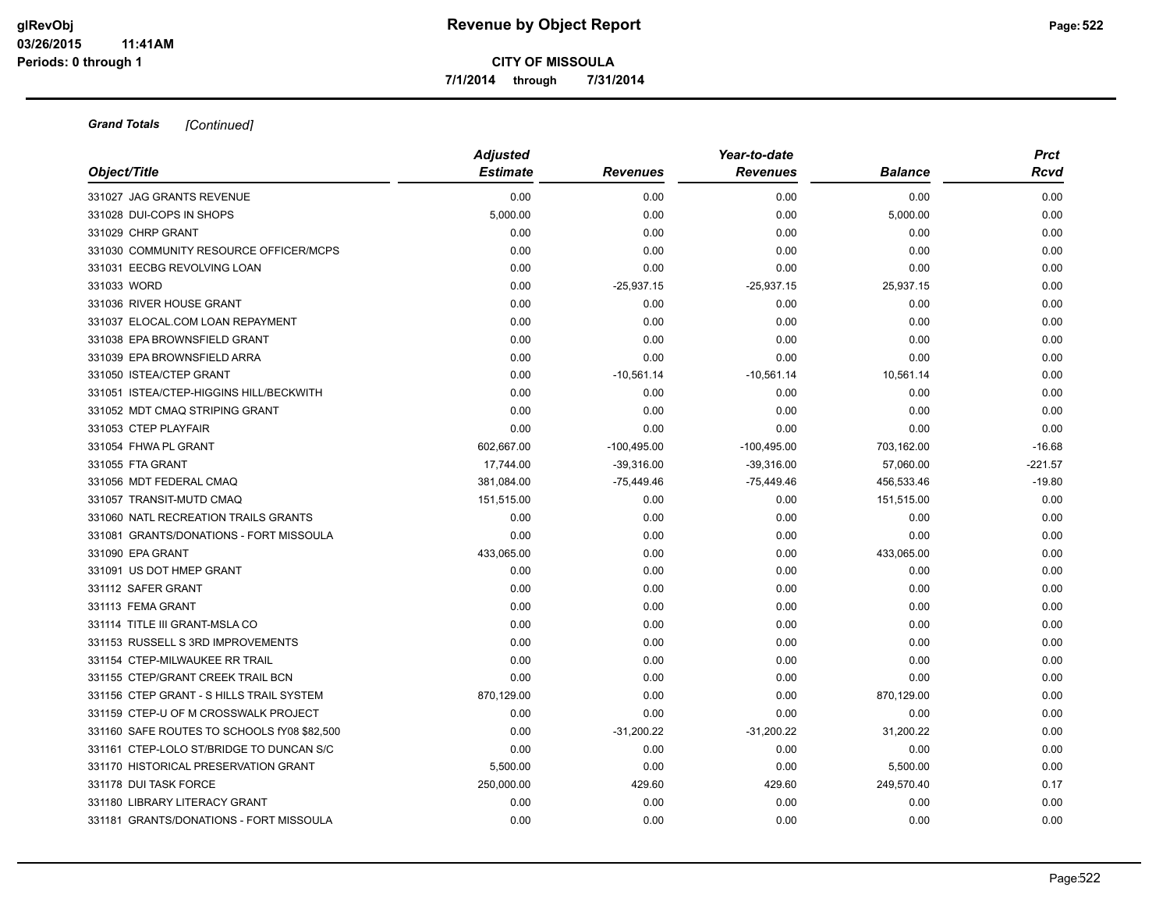**7/1/2014 through 7/31/2014**

| Object/Title                                | <b>Adjusted</b><br><b>Estimate</b> | <b>Revenues</b> | Year-to-date<br><b>Revenues</b> | <b>Balance</b> | <b>Prct</b><br>Rcvd |
|---------------------------------------------|------------------------------------|-----------------|---------------------------------|----------------|---------------------|
| 331027 JAG GRANTS REVENUE                   | 0.00                               | 0.00            | 0.00                            | 0.00           | 0.00                |
| 331028 DUI-COPS IN SHOPS                    | 5,000.00                           | 0.00            | 0.00                            | 5,000.00       | 0.00                |
| 331029 CHRP GRANT                           | 0.00                               | 0.00            | 0.00                            | 0.00           | 0.00                |
| 331030 COMMUNITY RESOURCE OFFICER/MCPS      | 0.00                               | 0.00            | 0.00                            | 0.00           | 0.00                |
| 331031 EECBG REVOLVING LOAN                 | 0.00                               | 0.00            | 0.00                            | 0.00           | 0.00                |
| 331033 WORD                                 | 0.00                               | $-25,937.15$    | $-25,937.15$                    | 25,937.15      | 0.00                |
| 331036 RIVER HOUSE GRANT                    | 0.00                               | 0.00            | 0.00                            | 0.00           | 0.00                |
| 331037 ELOCAL.COM LOAN REPAYMENT            | 0.00                               | 0.00            | 0.00                            | 0.00           | 0.00                |
| 331038 EPA BROWNSFIELD GRANT                | 0.00                               | 0.00            | 0.00                            | 0.00           | 0.00                |
| 331039 EPA BROWNSFIELD ARRA                 | 0.00                               | 0.00            | 0.00                            | 0.00           | 0.00                |
| 331050 ISTEA/CTEP GRANT                     | 0.00                               | $-10,561.14$    | $-10,561.14$                    | 10.561.14      | 0.00                |
| 331051 ISTEA/CTEP-HIGGINS HILL/BECKWITH     | 0.00                               | 0.00            | 0.00                            | 0.00           | 0.00                |
| 331052 MDT CMAQ STRIPING GRANT              | 0.00                               | 0.00            | 0.00                            | 0.00           | 0.00                |
| 331053 CTEP PLAYFAIR                        | 0.00                               | 0.00            | 0.00                            | 0.00           | 0.00                |
| 331054 FHWA PL GRANT                        | 602,667.00                         | $-100,495.00$   | $-100,495.00$                   | 703,162.00     | $-16.68$            |
| 331055 FTA GRANT                            | 17,744.00                          | $-39,316.00$    | $-39,316.00$                    | 57,060.00      | $-221.57$           |
| 331056 MDT FEDERAL CMAQ                     | 381,084.00                         | $-75,449.46$    | $-75,449.46$                    | 456,533.46     | $-19.80$            |
| 331057 TRANSIT-MUTD CMAQ                    | 151,515.00                         | 0.00            | 0.00                            | 151,515.00     | 0.00                |
| 331060 NATL RECREATION TRAILS GRANTS        | 0.00                               | 0.00            | 0.00                            | 0.00           | 0.00                |
| 331081 GRANTS/DONATIONS - FORT MISSOULA     | 0.00                               | 0.00            | 0.00                            | 0.00           | 0.00                |
| 331090 EPA GRANT                            | 433,065.00                         | 0.00            | 0.00                            | 433,065.00     | 0.00                |
| 331091 US DOT HMEP GRANT                    | 0.00                               | 0.00            | 0.00                            | 0.00           | 0.00                |
| 331112 SAFER GRANT                          | 0.00                               | 0.00            | 0.00                            | 0.00           | 0.00                |
| 331113 FEMA GRANT                           | 0.00                               | 0.00            | 0.00                            | 0.00           | 0.00                |
| 331114 TITLE III GRANT-MSLA CO              | 0.00                               | 0.00            | 0.00                            | 0.00           | 0.00                |
| 331153 RUSSELL S 3RD IMPROVEMENTS           | 0.00                               | 0.00            | 0.00                            | 0.00           | 0.00                |
| 331154 CTEP-MILWAUKEE RR TRAIL              | 0.00                               | 0.00            | 0.00                            | 0.00           | 0.00                |
| 331155 CTEP/GRANT CREEK TRAIL BCN           | 0.00                               | 0.00            | 0.00                            | 0.00           | 0.00                |
| 331156 CTEP GRANT - S HILLS TRAIL SYSTEM    | 870,129.00                         | 0.00            | 0.00                            | 870,129.00     | 0.00                |
| 331159 CTEP-U OF M CROSSWALK PROJECT        | 0.00                               | 0.00            | 0.00                            | 0.00           | 0.00                |
| 331160 SAFE ROUTES TO SCHOOLS fY08 \$82,500 | 0.00                               | $-31,200.22$    | $-31,200.22$                    | 31,200.22      | 0.00                |
| 331161 CTEP-LOLO ST/BRIDGE TO DUNCAN S/C    | 0.00                               | 0.00            | 0.00                            | 0.00           | 0.00                |
| 331170 HISTORICAL PRESERVATION GRANT        | 5,500.00                           | 0.00            | 0.00                            | 5,500.00       | 0.00                |
| 331178 DUI TASK FORCE                       | 250,000.00                         | 429.60          | 429.60                          | 249,570.40     | 0.17                |
| 331180 LIBRARY LITERACY GRANT               | 0.00                               | 0.00            | 0.00                            | 0.00           | 0.00                |
| 331181 GRANTS/DONATIONS - FORT MISSOULA     | 0.00                               | 0.00            | 0.00                            | 0.00           | 0.00                |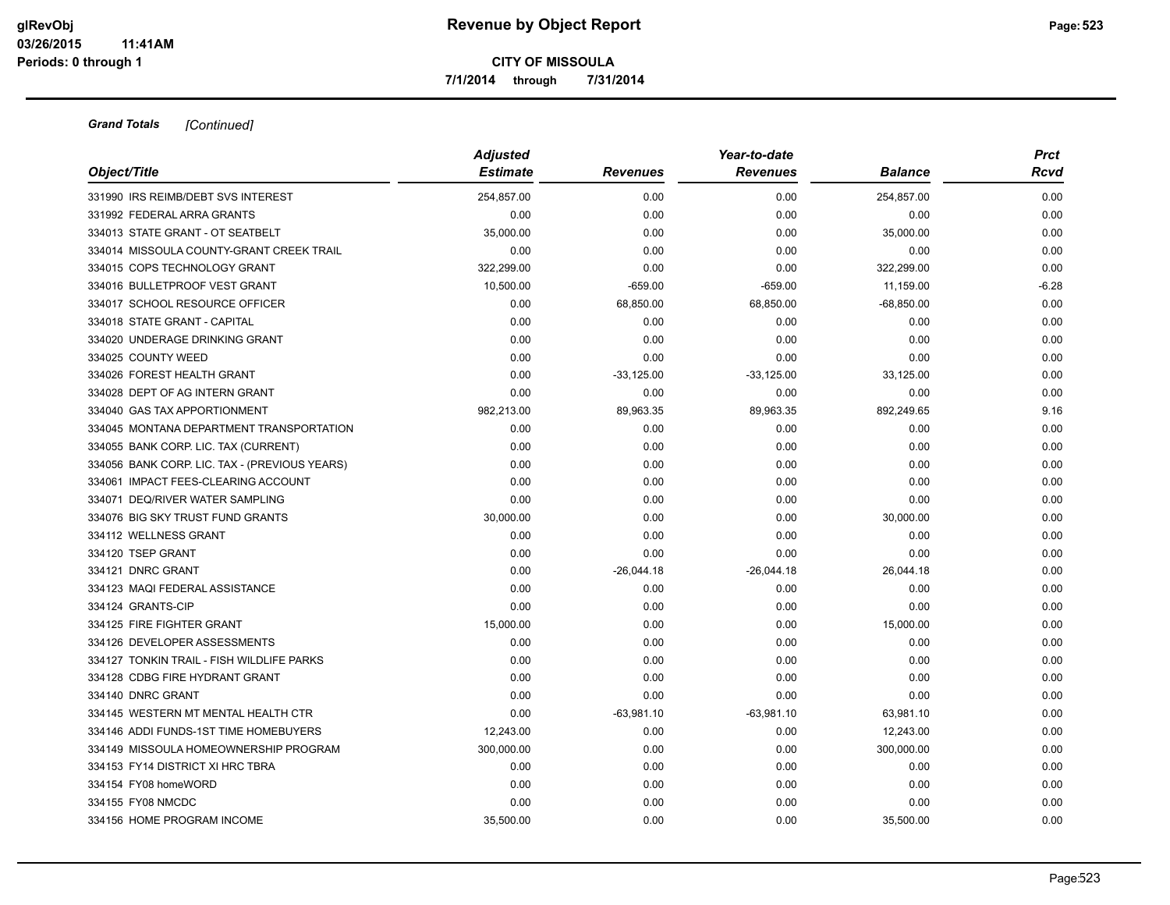**7/1/2014 through 7/31/2014**

|                                               | <b>Adjusted</b> |                 | Year-to-date    |                | <b>Prct</b> |
|-----------------------------------------------|-----------------|-----------------|-----------------|----------------|-------------|
| Object/Title                                  | <b>Estimate</b> | <b>Revenues</b> | <b>Revenues</b> | <b>Balance</b> | Rcvd        |
| 331990 IRS REIMB/DEBT SVS INTEREST            | 254.857.00      | 0.00            | 0.00            | 254,857.00     | 0.00        |
| 331992 FEDERAL ARRA GRANTS                    | 0.00            | 0.00            | 0.00            | 0.00           | 0.00        |
| 334013 STATE GRANT - OT SEATBELT              | 35,000.00       | 0.00            | 0.00            | 35,000.00      | 0.00        |
| 334014 MISSOULA COUNTY-GRANT CREEK TRAIL      | 0.00            | 0.00            | 0.00            | 0.00           | 0.00        |
| 334015 COPS TECHNOLOGY GRANT                  | 322,299.00      | 0.00            | 0.00            | 322,299.00     | 0.00        |
| 334016 BULLETPROOF VEST GRANT                 | 10,500.00       | $-659.00$       | $-659.00$       | 11,159.00      | $-6.28$     |
| 334017 SCHOOL RESOURCE OFFICER                | 0.00            | 68,850.00       | 68,850.00       | $-68,850.00$   | 0.00        |
| 334018 STATE GRANT - CAPITAL                  | 0.00            | 0.00            | 0.00            | 0.00           | 0.00        |
| 334020 UNDERAGE DRINKING GRANT                | 0.00            | 0.00            | 0.00            | 0.00           | 0.00        |
| 334025 COUNTY WEED                            | 0.00            | 0.00            | 0.00            | 0.00           | 0.00        |
| 334026 FOREST HEALTH GRANT                    | 0.00            | $-33,125.00$    | $-33,125.00$    | 33,125.00      | 0.00        |
| 334028 DEPT OF AG INTERN GRANT                | 0.00            | 0.00            | 0.00            | 0.00           | 0.00        |
| 334040 GAS TAX APPORTIONMENT                  | 982,213.00      | 89,963.35       | 89,963.35       | 892,249.65     | 9.16        |
| 334045 MONTANA DEPARTMENT TRANSPORTATION      | 0.00            | 0.00            | 0.00            | 0.00           | 0.00        |
| 334055 BANK CORP. LIC. TAX (CURRENT)          | 0.00            | 0.00            | 0.00            | 0.00           | 0.00        |
| 334056 BANK CORP. LIC. TAX - (PREVIOUS YEARS) | 0.00            | 0.00            | 0.00            | 0.00           | 0.00        |
| 334061 IMPACT FEES-CLEARING ACCOUNT           | 0.00            | 0.00            | 0.00            | 0.00           | 0.00        |
| 334071 DEQ/RIVER WATER SAMPLING               | 0.00            | 0.00            | 0.00            | 0.00           | 0.00        |
| 334076 BIG SKY TRUST FUND GRANTS              | 30,000.00       | 0.00            | 0.00            | 30,000.00      | 0.00        |
| 334112 WELLNESS GRANT                         | 0.00            | 0.00            | 0.00            | 0.00           | 0.00        |
| 334120 TSEP GRANT                             | 0.00            | 0.00            | 0.00            | 0.00           | 0.00        |
| 334121 DNRC GRANT                             | 0.00            | $-26,044.18$    | $-26,044.18$    | 26,044.18      | 0.00        |
| 334123 MAQI FEDERAL ASSISTANCE                | 0.00            | 0.00            | 0.00            | 0.00           | 0.00        |
| 334124 GRANTS-CIP                             | 0.00            | 0.00            | 0.00            | 0.00           | 0.00        |
| 334125 FIRE FIGHTER GRANT                     | 15,000.00       | 0.00            | 0.00            | 15,000.00      | 0.00        |
| 334126 DEVELOPER ASSESSMENTS                  | 0.00            | 0.00            | 0.00            | 0.00           | 0.00        |
| 334127 TONKIN TRAIL - FISH WILDLIFE PARKS     | 0.00            | 0.00            | 0.00            | 0.00           | 0.00        |
| 334128 CDBG FIRE HYDRANT GRANT                | 0.00            | 0.00            | 0.00            | 0.00           | 0.00        |
| 334140 DNRC GRANT                             | 0.00            | 0.00            | 0.00            | 0.00           | 0.00        |
| 334145 WESTERN MT MENTAL HEALTH CTR           | 0.00            | $-63,981.10$    | $-63,981.10$    | 63,981.10      | 0.00        |
| 334146 ADDI FUNDS-1ST TIME HOMEBUYERS         | 12,243.00       | 0.00            | 0.00            | 12,243.00      | 0.00        |
| 334149 MISSOULA HOMEOWNERSHIP PROGRAM         | 300,000.00      | 0.00            | 0.00            | 300,000.00     | 0.00        |
| 334153 FY14 DISTRICT XI HRC TBRA              | 0.00            | 0.00            | 0.00            | 0.00           | 0.00        |
| 334154 FY08 homeWORD                          | 0.00            | 0.00            | 0.00            | 0.00           | 0.00        |
| 334155 FY08 NMCDC                             | 0.00            | 0.00            | 0.00            | 0.00           | 0.00        |
| 334156 HOME PROGRAM INCOME                    | 35.500.00       | 0.00            | 0.00            | 35,500.00      | 0.00        |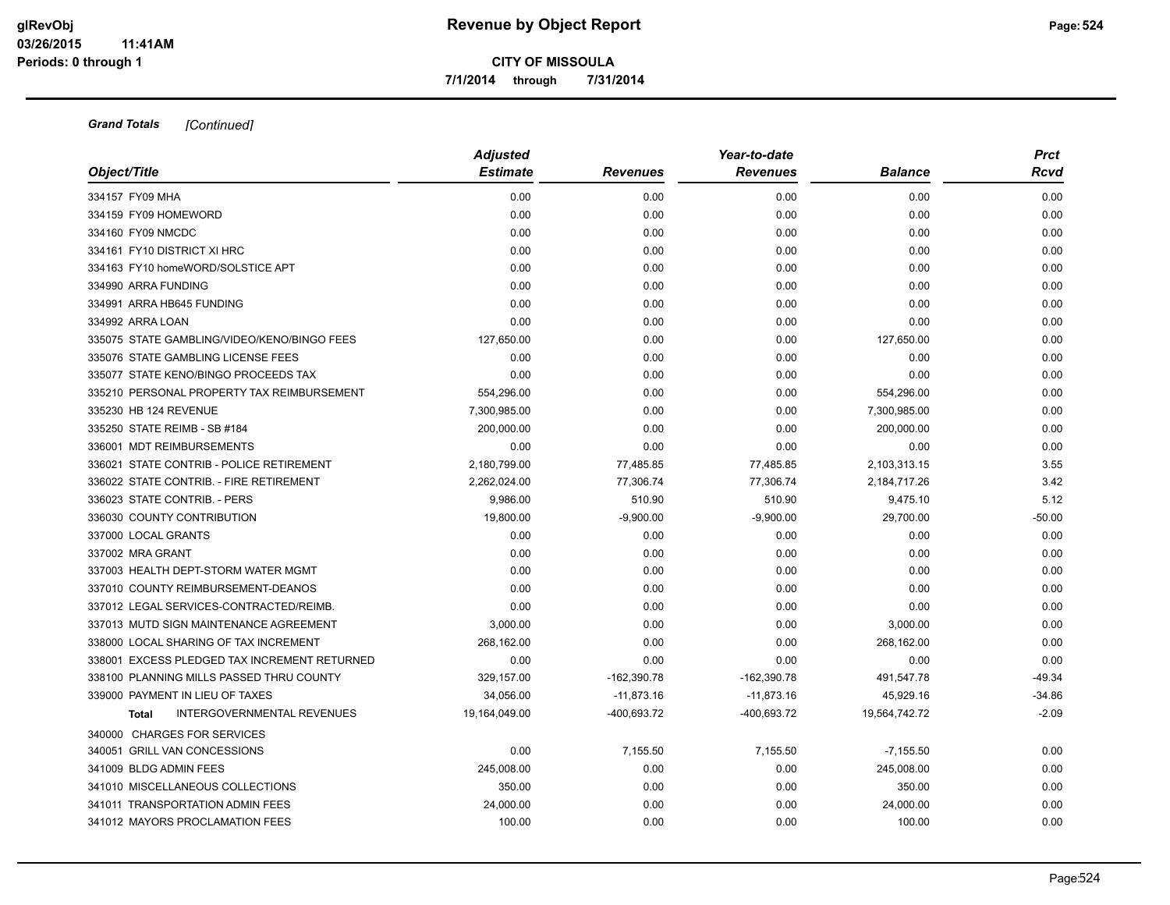**7/1/2014 through 7/31/2014**

|                                                   | <b>Adjusted</b> |                 | Year-to-date    |                | <b>Prct</b> |  |
|---------------------------------------------------|-----------------|-----------------|-----------------|----------------|-------------|--|
| Object/Title                                      | <b>Estimate</b> | <b>Revenues</b> | <b>Revenues</b> | <b>Balance</b> | Rcvd        |  |
| 334157 FY09 MHA                                   | 0.00            | 0.00            | 0.00            | 0.00           | 0.00        |  |
| 334159 FY09 HOMEWORD                              | 0.00            | 0.00            | 0.00            | 0.00           | 0.00        |  |
| 334160 FY09 NMCDC                                 | 0.00            | 0.00            | 0.00            | 0.00           | 0.00        |  |
| 334161 FY10 DISTRICT XI HRC                       | 0.00            | 0.00            | 0.00            | 0.00           | 0.00        |  |
| 334163 FY10 homeWORD/SOLSTICE APT                 | 0.00            | 0.00            | 0.00            | 0.00           | 0.00        |  |
| 334990 ARRA FUNDING                               | 0.00            | 0.00            | 0.00            | 0.00           | 0.00        |  |
| 334991 ARRA HB645 FUNDING                         | 0.00            | 0.00            | 0.00            | 0.00           | 0.00        |  |
| 334992 ARRA LOAN                                  | 0.00            | 0.00            | 0.00            | 0.00           | 0.00        |  |
| 335075 STATE GAMBLING/VIDEO/KENO/BINGO FEES       | 127,650.00      | 0.00            | 0.00            | 127,650.00     | 0.00        |  |
| 335076 STATE GAMBLING LICENSE FEES                | 0.00            | 0.00            | 0.00            | 0.00           | 0.00        |  |
| 335077 STATE KENO/BINGO PROCEEDS TAX              | 0.00            | 0.00            | 0.00            | 0.00           | 0.00        |  |
| 335210 PERSONAL PROPERTY TAX REIMBURSEMENT        | 554,296.00      | 0.00            | 0.00            | 554,296.00     | 0.00        |  |
| 335230 HB 124 REVENUE                             | 7,300,985.00    | 0.00            | 0.00            | 7,300,985.00   | 0.00        |  |
| 335250 STATE REIMB - SB #184                      | 200,000.00      | 0.00            | 0.00            | 200,000.00     | 0.00        |  |
| 336001 MDT REIMBURSEMENTS                         | 0.00            | 0.00            | 0.00            | 0.00           | 0.00        |  |
| 336021 STATE CONTRIB - POLICE RETIREMENT          | 2,180,799.00    | 77,485.85       | 77,485.85       | 2,103,313.15   | 3.55        |  |
| 336022 STATE CONTRIB. - FIRE RETIREMENT           | 2,262,024.00    | 77,306.74       | 77,306.74       | 2,184,717.26   | 3.42        |  |
| 336023 STATE CONTRIB. - PERS                      | 9,986.00        | 510.90          | 510.90          | 9,475.10       | 5.12        |  |
| 336030 COUNTY CONTRIBUTION                        | 19,800.00       | $-9,900.00$     | $-9,900.00$     | 29,700.00      | $-50.00$    |  |
| 337000 LOCAL GRANTS                               | 0.00            | 0.00            | 0.00            | 0.00           | 0.00        |  |
| 337002 MRA GRANT                                  | 0.00            | 0.00            | 0.00            | 0.00           | 0.00        |  |
| 337003 HEALTH DEPT-STORM WATER MGMT               | 0.00            | 0.00            | 0.00            | 0.00           | 0.00        |  |
| 337010 COUNTY REIMBURSEMENT-DEANOS                | 0.00            | 0.00            | 0.00            | 0.00           | 0.00        |  |
| 337012 LEGAL SERVICES-CONTRACTED/REIMB.           | 0.00            | 0.00            | 0.00            | 0.00           | 0.00        |  |
| 337013 MUTD SIGN MAINTENANCE AGREEMENT            | 3,000.00        | 0.00            | 0.00            | 3,000.00       | 0.00        |  |
| 338000 LOCAL SHARING OF TAX INCREMENT             | 268,162.00      | 0.00            | 0.00            | 268,162.00     | 0.00        |  |
| 338001 EXCESS PLEDGED TAX INCREMENT RETURNED      | 0.00            | 0.00            | 0.00            | 0.00           | 0.00        |  |
| 338100 PLANNING MILLS PASSED THRU COUNTY          | 329,157.00      | $-162,390.78$   | $-162,390.78$   | 491,547.78     | $-49.34$    |  |
| 339000 PAYMENT IN LIEU OF TAXES                   | 34,056.00       | $-11,873.16$    | $-11,873.16$    | 45,929.16      | $-34.86$    |  |
| <b>INTERGOVERNMENTAL REVENUES</b><br><b>Total</b> | 19,164,049.00   | -400,693.72     | -400,693.72     | 19,564,742.72  | $-2.09$     |  |
| 340000 CHARGES FOR SERVICES                       |                 |                 |                 |                |             |  |
| 340051 GRILL VAN CONCESSIONS                      | 0.00            | 7,155.50        | 7,155.50        | $-7,155.50$    | 0.00        |  |
| 341009 BLDG ADMIN FEES                            | 245,008.00      | 0.00            | 0.00            | 245,008.00     | 0.00        |  |
| 341010 MISCELLANEOUS COLLECTIONS                  | 350.00          | 0.00            | 0.00            | 350.00         | 0.00        |  |
| 341011 TRANSPORTATION ADMIN FEES                  | 24,000.00       | 0.00            | 0.00            | 24,000.00      | 0.00        |  |
| 341012 MAYORS PROCLAMATION FEES                   | 100.00          | 0.00            | 0.00            | 100.00         | 0.00        |  |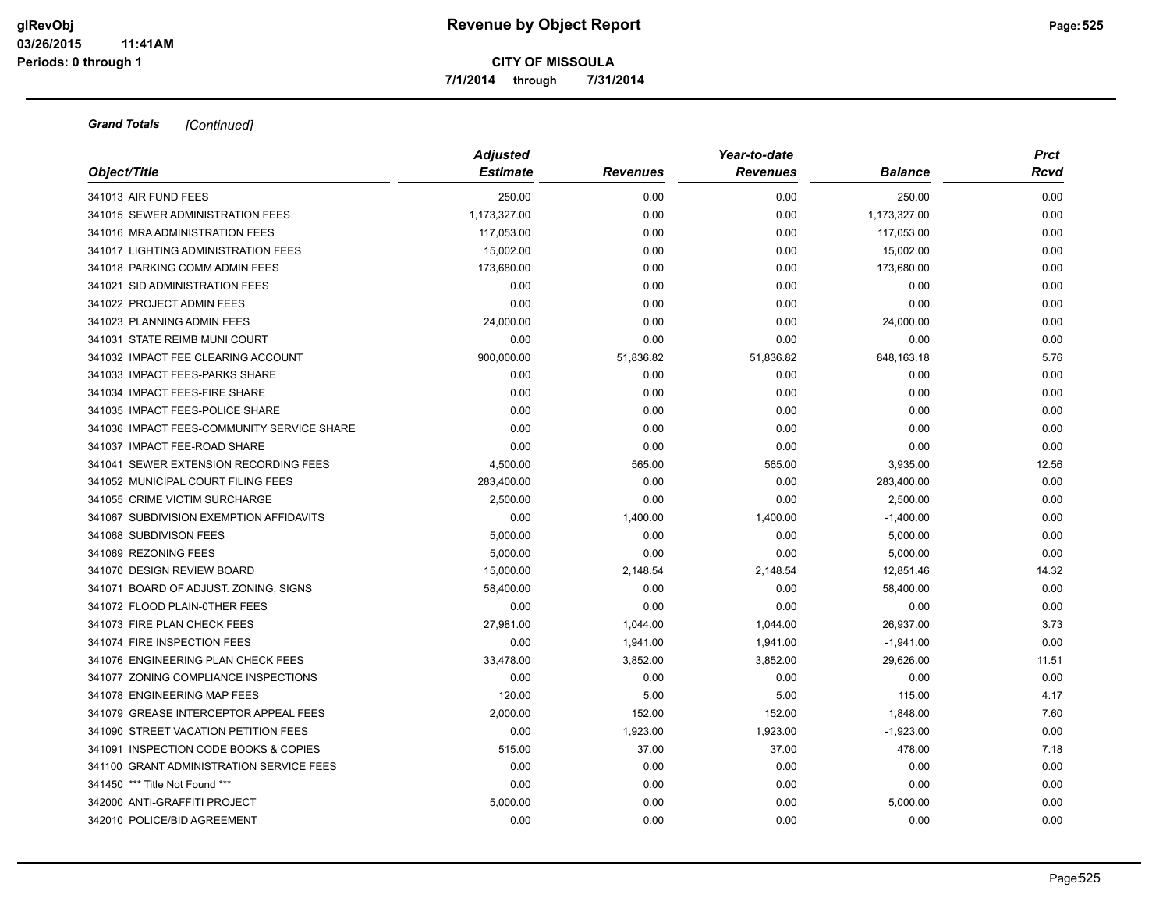**7/1/2014 through 7/31/2014**

|                                            | <b>Adjusted</b> |                 | Year-to-date    |                | <b>Prct</b> |
|--------------------------------------------|-----------------|-----------------|-----------------|----------------|-------------|
| Object/Title                               | <b>Estimate</b> | <b>Revenues</b> | <b>Revenues</b> | <b>Balance</b> | Rcvd        |
| 341013 AIR FUND FEES                       | 250.00          | 0.00            | 0.00            | 250.00         | 0.00        |
| 341015 SEWER ADMINISTRATION FEES           | 1,173,327.00    | 0.00            | 0.00            | 1,173,327.00   | 0.00        |
| 341016 MRA ADMINISTRATION FEES             | 117,053.00      | 0.00            | 0.00            | 117,053.00     | 0.00        |
| 341017 LIGHTING ADMINISTRATION FEES        | 15,002.00       | 0.00            | 0.00            | 15,002.00      | 0.00        |
| 341018 PARKING COMM ADMIN FEES             | 173,680.00      | 0.00            | 0.00            | 173,680.00     | 0.00        |
| 341021 SID ADMINISTRATION FEES             | 0.00            | 0.00            | 0.00            | 0.00           | 0.00        |
| 341022 PROJECT ADMIN FEES                  | 0.00            | 0.00            | 0.00            | 0.00           | 0.00        |
| 341023 PLANNING ADMIN FEES                 | 24,000.00       | 0.00            | 0.00            | 24,000.00      | 0.00        |
| 341031 STATE REIMB MUNI COURT              | 0.00            | 0.00            | 0.00            | 0.00           | 0.00        |
| 341032 IMPACT FEE CLEARING ACCOUNT         | 900,000.00      | 51,836.82       | 51,836.82       | 848,163.18     | 5.76        |
| 341033 IMPACT FEES-PARKS SHARE             | 0.00            | 0.00            | 0.00            | 0.00           | 0.00        |
| 341034 IMPACT FEES-FIRE SHARE              | 0.00            | 0.00            | 0.00            | 0.00           | 0.00        |
| 341035 IMPACT FEES-POLICE SHARE            | 0.00            | 0.00            | 0.00            | 0.00           | 0.00        |
| 341036 IMPACT FEES-COMMUNITY SERVICE SHARE | 0.00            | 0.00            | 0.00            | 0.00           | 0.00        |
| 341037 IMPACT FEE-ROAD SHARE               | 0.00            | 0.00            | 0.00            | 0.00           | 0.00        |
| 341041 SEWER EXTENSION RECORDING FEES      | 4,500.00        | 565.00          | 565.00          | 3,935.00       | 12.56       |
| 341052 MUNICIPAL COURT FILING FEES         | 283,400.00      | 0.00            | 0.00            | 283,400.00     | 0.00        |
| 341055 CRIME VICTIM SURCHARGE              | 2,500.00        | 0.00            | 0.00            | 2,500.00       | 0.00        |
| 341067 SUBDIVISION EXEMPTION AFFIDAVITS    | 0.00            | 1,400.00        | 1,400.00        | $-1,400.00$    | 0.00        |
| 341068 SUBDIVISON FEES                     | 5,000.00        | 0.00            | 0.00            | 5,000.00       | 0.00        |
| 341069 REZONING FEES                       | 5.000.00        | 0.00            | 0.00            | 5,000.00       | 0.00        |
| 341070 DESIGN REVIEW BOARD                 | 15,000.00       | 2,148.54        | 2,148.54        | 12,851.46      | 14.32       |
| 341071 BOARD OF ADJUST. ZONING, SIGNS      | 58,400.00       | 0.00            | 0.00            | 58,400.00      | 0.00        |
| 341072 FLOOD PLAIN-0THER FEES              | 0.00            | 0.00            | 0.00            | 0.00           | 0.00        |
| 341073 FIRE PLAN CHECK FEES                | 27,981.00       | 1,044.00        | 1,044.00        | 26,937.00      | 3.73        |
| 341074 FIRE INSPECTION FEES                | 0.00            | 1,941.00        | 1,941.00        | $-1,941.00$    | 0.00        |
| 341076 ENGINEERING PLAN CHECK FEES         | 33,478.00       | 3,852.00        | 3,852.00        | 29,626.00      | 11.51       |
| 341077 ZONING COMPLIANCE INSPECTIONS       | 0.00            | 0.00            | 0.00            | 0.00           | 0.00        |
| 341078 ENGINEERING MAP FEES                | 120.00          | 5.00            | 5.00            | 115.00         | 4.17        |
| 341079 GREASE INTERCEPTOR APPEAL FEES      | 2,000.00        | 152.00          | 152.00          | 1,848.00       | 7.60        |
| 341090 STREET VACATION PETITION FEES       | 0.00            | 1,923.00        | 1,923.00        | $-1,923.00$    | 0.00        |
| 341091 INSPECTION CODE BOOKS & COPIES      | 515.00          | 37.00           | 37.00           | 478.00         | 7.18        |
| 341100 GRANT ADMINISTRATION SERVICE FEES   | 0.00            | 0.00            | 0.00            | 0.00           | 0.00        |
| 341450 *** Title Not Found ***             | 0.00            | 0.00            | 0.00            | 0.00           | 0.00        |
| 342000 ANTI-GRAFFITI PROJECT               | 5,000.00        | 0.00            | 0.00            | 5,000.00       | 0.00        |
| 342010 POLICE/BID AGREEMENT                | 0.00            | 0.00            | 0.00            | 0.00           | 0.00        |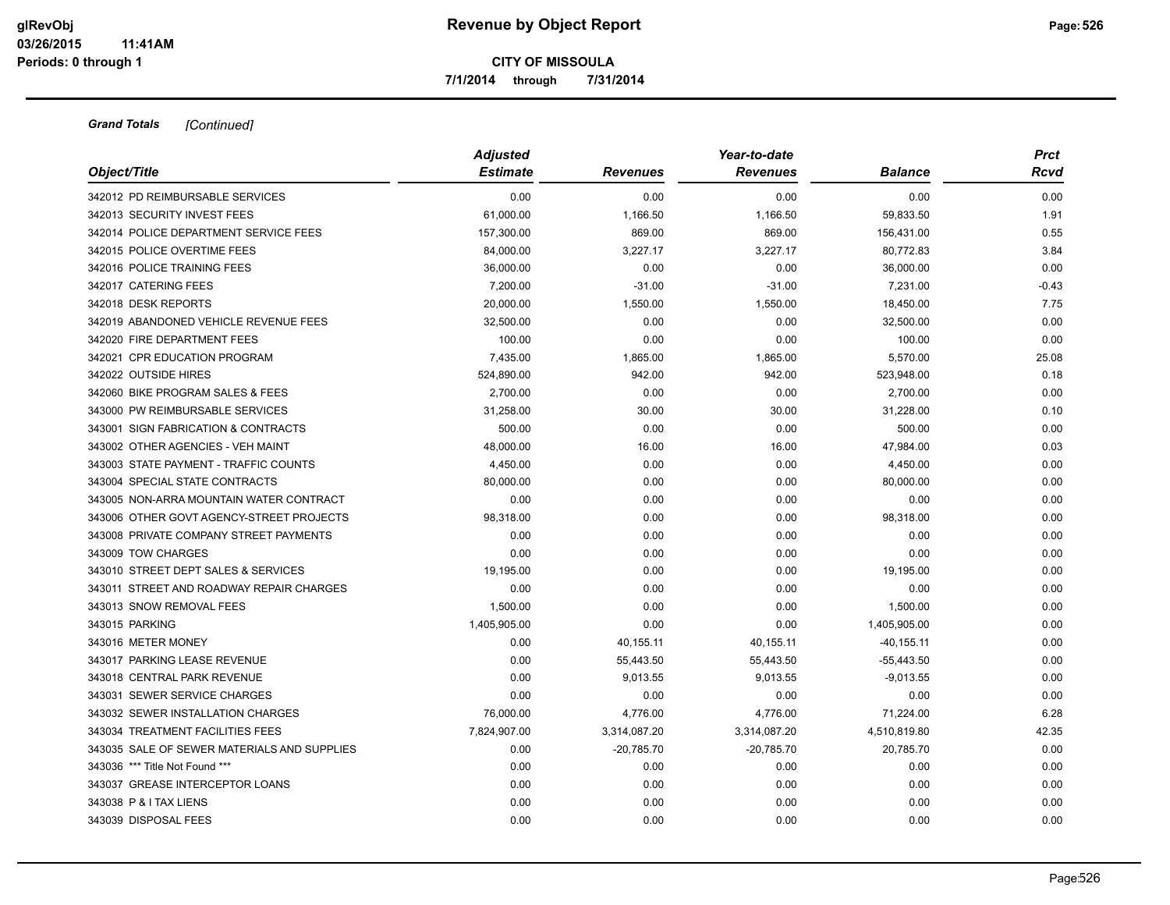**7/1/2014 through 7/31/2014**

|                                             | <b>Adjusted</b> |                 | Year-to-date    |                | <b>Prct</b> |  |
|---------------------------------------------|-----------------|-----------------|-----------------|----------------|-------------|--|
| Object/Title                                | <b>Estimate</b> | <b>Revenues</b> | <b>Revenues</b> | <b>Balance</b> | Rcvd        |  |
| 342012 PD REIMBURSABLE SERVICES             | 0.00            | 0.00            | 0.00            | 0.00           | 0.00        |  |
| 342013 SECURITY INVEST FEES                 | 61,000.00       | 1,166.50        | 1,166.50        | 59,833.50      | 1.91        |  |
| 342014 POLICE DEPARTMENT SERVICE FEES       | 157,300.00      | 869.00          | 869.00          | 156,431.00     | 0.55        |  |
| 342015 POLICE OVERTIME FEES                 | 84,000.00       | 3,227.17        | 3,227.17        | 80,772.83      | 3.84        |  |
| 342016 POLICE TRAINING FEES                 | 36,000.00       | 0.00            | 0.00            | 36,000.00      | 0.00        |  |
| 342017 CATERING FEES                        | 7,200.00        | $-31.00$        | $-31.00$        | 7,231.00       | $-0.43$     |  |
| 342018 DESK REPORTS                         | 20,000.00       | 1,550.00        | 1,550.00        | 18,450.00      | 7.75        |  |
| 342019 ABANDONED VEHICLE REVENUE FEES       | 32,500.00       | 0.00            | 0.00            | 32,500.00      | 0.00        |  |
| 342020 FIRE DEPARTMENT FEES                 | 100.00          | 0.00            | 0.00            | 100.00         | 0.00        |  |
| 342021 CPR EDUCATION PROGRAM                | 7,435.00        | 1,865.00        | 1,865.00        | 5,570.00       | 25.08       |  |
| 342022 OUTSIDE HIRES                        | 524,890.00      | 942.00          | 942.00          | 523,948.00     | 0.18        |  |
| 342060 BIKE PROGRAM SALES & FEES            | 2,700.00        | 0.00            | 0.00            | 2,700.00       | 0.00        |  |
| 343000 PW REIMBURSABLE SERVICES             | 31,258.00       | 30.00           | 30.00           | 31,228.00      | 0.10        |  |
| 343001 SIGN FABRICATION & CONTRACTS         | 500.00          | 0.00            | 0.00            | 500.00         | 0.00        |  |
| 343002 OTHER AGENCIES - VEH MAINT           | 48,000.00       | 16.00           | 16.00           | 47,984.00      | 0.03        |  |
| 343003 STATE PAYMENT - TRAFFIC COUNTS       | 4,450.00        | 0.00            | 0.00            | 4,450.00       | 0.00        |  |
| 343004 SPECIAL STATE CONTRACTS              | 80,000.00       | 0.00            | 0.00            | 80,000.00      | 0.00        |  |
| 343005 NON-ARRA MOUNTAIN WATER CONTRACT     | 0.00            | 0.00            | 0.00            | 0.00           | 0.00        |  |
| 343006 OTHER GOVT AGENCY-STREET PROJECTS    | 98,318.00       | 0.00            | 0.00            | 98,318.00      | 0.00        |  |
| 343008 PRIVATE COMPANY STREET PAYMENTS      | 0.00            | 0.00            | 0.00            | 0.00           | 0.00        |  |
| 343009 TOW CHARGES                          | 0.00            | 0.00            | 0.00            | 0.00           | 0.00        |  |
| 343010 STREET DEPT SALES & SERVICES         | 19,195.00       | 0.00            | 0.00            | 19,195.00      | 0.00        |  |
| 343011 STREET AND ROADWAY REPAIR CHARGES    | 0.00            | 0.00            | 0.00            | 0.00           | 0.00        |  |
| 343013 SNOW REMOVAL FEES                    | 1,500.00        | 0.00            | 0.00            | 1,500.00       | 0.00        |  |
| 343015 PARKING                              | 1,405,905.00    | 0.00            | 0.00            | 1,405,905.00   | 0.00        |  |
| 343016 METER MONEY                          | 0.00            | 40,155.11       | 40,155.11       | $-40, 155.11$  | 0.00        |  |
| 343017 PARKING LEASE REVENUE                | 0.00            | 55,443.50       | 55,443.50       | $-55,443.50$   | 0.00        |  |
| 343018 CENTRAL PARK REVENUE                 | 0.00            | 9,013.55        | 9,013.55        | $-9,013.55$    | 0.00        |  |
| 343031 SEWER SERVICE CHARGES                | 0.00            | 0.00            | 0.00            | 0.00           | 0.00        |  |
| 343032 SEWER INSTALLATION CHARGES           | 76,000.00       | 4,776.00        | 4,776.00        | 71,224.00      | 6.28        |  |
| 343034 TREATMENT FACILITIES FEES            | 7,824,907.00    | 3,314,087.20    | 3,314,087.20    | 4,510,819.80   | 42.35       |  |
| 343035 SALE OF SEWER MATERIALS AND SUPPLIES | 0.00            | $-20,785.70$    | $-20,785.70$    | 20,785.70      | 0.00        |  |
| 343036 *** Title Not Found ***              | 0.00            | 0.00            | 0.00            | 0.00           | 0.00        |  |
| 343037 GREASE INTERCEPTOR LOANS             | 0.00            | 0.00            | 0.00            | 0.00           | 0.00        |  |
| 343038 P & I TAX LIENS                      | 0.00            | 0.00            | 0.00            | 0.00           | 0.00        |  |
| 343039 DISPOSAL FEES                        | 0.00            | 0.00            | 0.00            | 0.00           | 0.00        |  |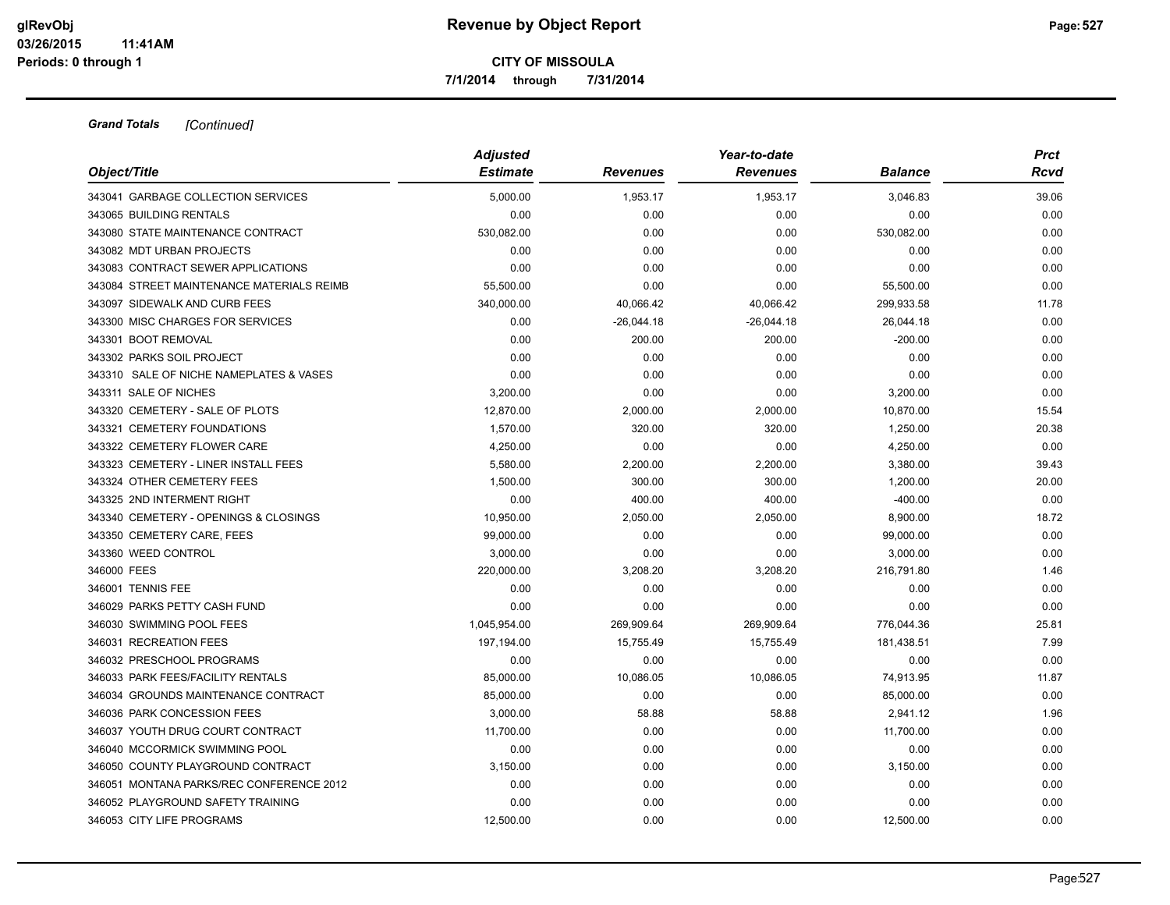**7/1/2014 through 7/31/2014**

|                                           | <b>Adjusted</b> |                 | Year-to-date    |                | <b>Prct</b> |
|-------------------------------------------|-----------------|-----------------|-----------------|----------------|-------------|
| Object/Title                              | <b>Estimate</b> | <b>Revenues</b> | <b>Revenues</b> | <b>Balance</b> | Rcvd        |
| 343041 GARBAGE COLLECTION SERVICES        | 5.000.00        | 1,953.17        | 1,953.17        | 3,046.83       | 39.06       |
| 343065 BUILDING RENTALS                   | 0.00            | 0.00            | 0.00            | 0.00           | 0.00        |
| 343080 STATE MAINTENANCE CONTRACT         | 530,082.00      | 0.00            | 0.00            | 530,082.00     | 0.00        |
| 343082 MDT URBAN PROJECTS                 | 0.00            | 0.00            | 0.00            | 0.00           | 0.00        |
| 343083 CONTRACT SEWER APPLICATIONS        | 0.00            | 0.00            | 0.00            | 0.00           | 0.00        |
| 343084 STREET MAINTENANCE MATERIALS REIMB | 55,500.00       | 0.00            | 0.00            | 55,500.00      | 0.00        |
| 343097 SIDEWALK AND CURB FEES             | 340,000.00      | 40,066.42       | 40,066.42       | 299,933.58     | 11.78       |
| 343300 MISC CHARGES FOR SERVICES          | 0.00            | $-26,044.18$    | $-26,044.18$    | 26,044.18      | 0.00        |
| 343301 BOOT REMOVAL                       | 0.00            | 200.00          | 200.00          | $-200.00$      | 0.00        |
| 343302 PARKS SOIL PROJECT                 | 0.00            | 0.00            | 0.00            | 0.00           | 0.00        |
| 343310 SALE OF NICHE NAMEPLATES & VASES   | 0.00            | 0.00            | 0.00            | 0.00           | 0.00        |
| 343311 SALE OF NICHES                     | 3,200.00        | 0.00            | 0.00            | 3,200.00       | 0.00        |
| 343320 CEMETERY - SALE OF PLOTS           | 12,870.00       | 2,000.00        | 2,000.00        | 10,870.00      | 15.54       |
| 343321 CEMETERY FOUNDATIONS               | 1,570.00        | 320.00          | 320.00          | 1,250.00       | 20.38       |
| 343322 CEMETERY FLOWER CARE               | 4,250.00        | 0.00            | 0.00            | 4,250.00       | 0.00        |
| 343323 CEMETERY - LINER INSTALL FEES      | 5,580.00        | 2,200.00        | 2,200.00        | 3,380.00       | 39.43       |
| 343324 OTHER CEMETERY FEES                | 1,500.00        | 300.00          | 300.00          | 1,200.00       | 20.00       |
| 343325 2ND INTERMENT RIGHT                | 0.00            | 400.00          | 400.00          | $-400.00$      | 0.00        |
| 343340 CEMETERY - OPENINGS & CLOSINGS     | 10,950.00       | 2,050.00        | 2,050.00        | 8,900.00       | 18.72       |
| 343350 CEMETERY CARE, FEES                | 99,000.00       | 0.00            | 0.00            | 99,000.00      | 0.00        |
| 343360 WEED CONTROL                       | 3,000.00        | 0.00            | 0.00            | 3,000.00       | 0.00        |
| 346000 FEES                               | 220,000.00      | 3,208.20        | 3,208.20        | 216,791.80     | 1.46        |
| 346001 TENNIS FEE                         | 0.00            | 0.00            | 0.00            | 0.00           | 0.00        |
| 346029 PARKS PETTY CASH FUND              | 0.00            | 0.00            | 0.00            | 0.00           | 0.00        |
| 346030 SWIMMING POOL FEES                 | 1,045,954.00    | 269,909.64      | 269,909.64      | 776,044.36     | 25.81       |
| 346031 RECREATION FEES                    | 197,194.00      | 15,755.49       | 15,755.49       | 181,438.51     | 7.99        |
| 346032 PRESCHOOL PROGRAMS                 | 0.00            | 0.00            | 0.00            | 0.00           | 0.00        |
| 346033 PARK FEES/FACILITY RENTALS         | 85,000.00       | 10,086.05       | 10,086.05       | 74,913.95      | 11.87       |
| 346034 GROUNDS MAINTENANCE CONTRACT       | 85,000.00       | 0.00            | 0.00            | 85,000.00      | 0.00        |
| 346036 PARK CONCESSION FEES               | 3,000.00        | 58.88           | 58.88           | 2,941.12       | 1.96        |
| 346037 YOUTH DRUG COURT CONTRACT          | 11,700.00       | 0.00            | 0.00            | 11,700.00      | 0.00        |
| 346040 MCCORMICK SWIMMING POOL            | 0.00            | 0.00            | 0.00            | 0.00           | 0.00        |
| 346050 COUNTY PLAYGROUND CONTRACT         | 3,150.00        | 0.00            | 0.00            | 3,150.00       | 0.00        |
| 346051 MONTANA PARKS/REC CONFERENCE 2012  | 0.00            | 0.00            | 0.00            | 0.00           | 0.00        |
| 346052 PLAYGROUND SAFETY TRAINING         | 0.00            | 0.00            | 0.00            | 0.00           | 0.00        |
| 346053 CITY LIFE PROGRAMS                 | 12.500.00       | 0.00            | 0.00            | 12,500.00      | 0.00        |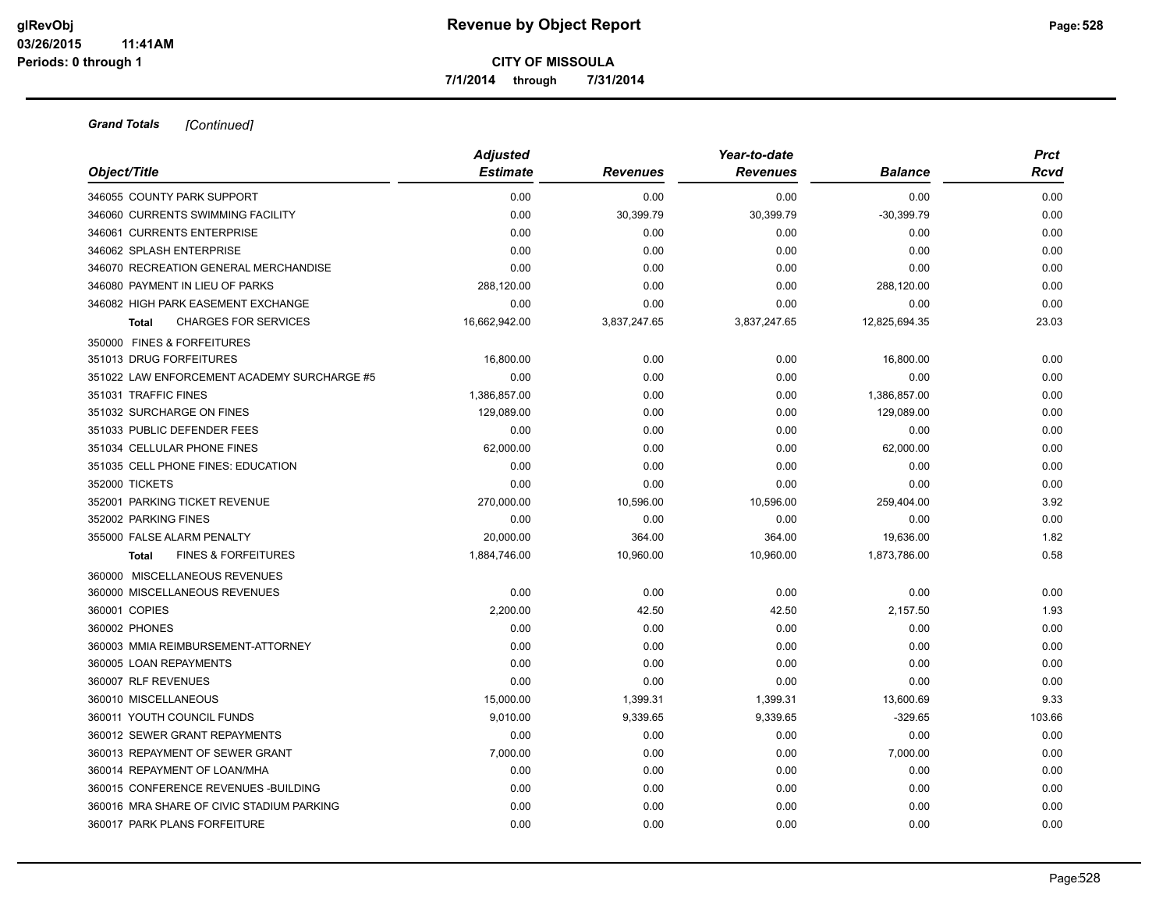**7/1/2014 through 7/31/2014**

| Object/Title                                   | <b>Adjusted</b><br><b>Estimate</b> | <b>Revenues</b> | Year-to-date<br><b>Revenues</b> | <b>Balance</b> | <b>Prct</b><br>Rcvd |
|------------------------------------------------|------------------------------------|-----------------|---------------------------------|----------------|---------------------|
|                                                |                                    |                 |                                 |                |                     |
| 346055 COUNTY PARK SUPPORT                     | 0.00                               | 0.00            | 0.00                            | 0.00           | 0.00                |
| 346060 CURRENTS SWIMMING FACILITY              | 0.00                               | 30,399.79       | 30,399.79                       | $-30,399.79$   | 0.00                |
| 346061 CURRENTS ENTERPRISE                     | 0.00                               | 0.00            | 0.00                            | 0.00           | 0.00                |
| 346062 SPLASH ENTERPRISE                       | 0.00                               | 0.00            | 0.00                            | 0.00           | 0.00                |
| 346070 RECREATION GENERAL MERCHANDISE          | 0.00                               | 0.00            | 0.00                            | 0.00           | 0.00                |
| 346080 PAYMENT IN LIEU OF PARKS                | 288,120.00                         | 0.00            | 0.00                            | 288,120.00     | 0.00                |
| 346082 HIGH PARK EASEMENT EXCHANGE             | 0.00                               | 0.00            | 0.00                            | 0.00           | 0.00                |
| <b>CHARGES FOR SERVICES</b><br><b>Total</b>    | 16,662,942.00                      | 3,837,247.65    | 3,837,247.65                    | 12,825,694.35  | 23.03               |
| 350000 FINES & FORFEITURES                     |                                    |                 |                                 |                |                     |
| 351013 DRUG FORFEITURES                        | 16,800.00                          | 0.00            | 0.00                            | 16,800.00      | 0.00                |
| 351022 LAW ENFORCEMENT ACADEMY SURCHARGE #5    | 0.00                               | 0.00            | 0.00                            | 0.00           | 0.00                |
| 351031 TRAFFIC FINES                           | 1.386.857.00                       | 0.00            | 0.00                            | 1,386,857.00   | 0.00                |
| 351032 SURCHARGE ON FINES                      | 129,089.00                         | 0.00            | 0.00                            | 129,089.00     | 0.00                |
| 351033 PUBLIC DEFENDER FEES                    | 0.00                               | 0.00            | 0.00                            | 0.00           | 0.00                |
| 351034 CELLULAR PHONE FINES                    | 62,000.00                          | 0.00            | 0.00                            | 62,000.00      | 0.00                |
| 351035 CELL PHONE FINES: EDUCATION             | 0.00                               | 0.00            | 0.00                            | 0.00           | 0.00                |
| 352000 TICKETS                                 | 0.00                               | 0.00            | 0.00                            | 0.00           | 0.00                |
| 352001 PARKING TICKET REVENUE                  | 270,000.00                         | 10,596.00       | 10,596.00                       | 259,404.00     | 3.92                |
| 352002 PARKING FINES                           | 0.00                               | 0.00            | 0.00                            | 0.00           | 0.00                |
| 355000 FALSE ALARM PENALTY                     | 20,000.00                          | 364.00          | 364.00                          | 19,636.00      | 1.82                |
| <b>FINES &amp; FORFEITURES</b><br><b>Total</b> | 1,884,746.00                       | 10,960.00       | 10,960.00                       | 1,873,786.00   | 0.58                |
| 360000 MISCELLANEOUS REVENUES                  |                                    |                 |                                 |                |                     |
| 360000 MISCELLANEOUS REVENUES                  | 0.00                               | 0.00            | 0.00                            | 0.00           | 0.00                |
| 360001 COPIES                                  | 2,200.00                           | 42.50           | 42.50                           | 2,157.50       | 1.93                |
| 360002 PHONES                                  | 0.00                               | 0.00            | 0.00                            | 0.00           | 0.00                |
| 360003 MMIA REIMBURSEMENT-ATTORNEY             | 0.00                               | 0.00            | 0.00                            | 0.00           | 0.00                |
| 360005 LOAN REPAYMENTS                         | 0.00                               | 0.00            | 0.00                            | 0.00           | 0.00                |
| 360007 RLF REVENUES                            | 0.00                               | 0.00            | 0.00                            | 0.00           | 0.00                |
| 360010 MISCELLANEOUS                           | 15,000.00                          | 1,399.31        | 1,399.31                        | 13,600.69      | 9.33                |
| 360011 YOUTH COUNCIL FUNDS                     | 9,010.00                           | 9,339.65        | 9,339.65                        | $-329.65$      | 103.66              |
| 360012 SEWER GRANT REPAYMENTS                  | 0.00                               | 0.00            | 0.00                            | 0.00           | 0.00                |
| 360013 REPAYMENT OF SEWER GRANT                | 7,000.00                           | 0.00            | 0.00                            | 7,000.00       | 0.00                |
| 360014 REPAYMENT OF LOAN/MHA                   | 0.00                               | 0.00            | 0.00                            | 0.00           | 0.00                |
| 360015 CONFERENCE REVENUES - BUILDING          | 0.00                               | 0.00            | 0.00                            | 0.00           | 0.00                |
| 360016 MRA SHARE OF CIVIC STADIUM PARKING      | 0.00                               | 0.00            | 0.00                            | 0.00           | 0.00                |
| 360017 PARK PLANS FORFEITURE                   | 0.00                               | 0.00            | 0.00                            | 0.00           | 0.00                |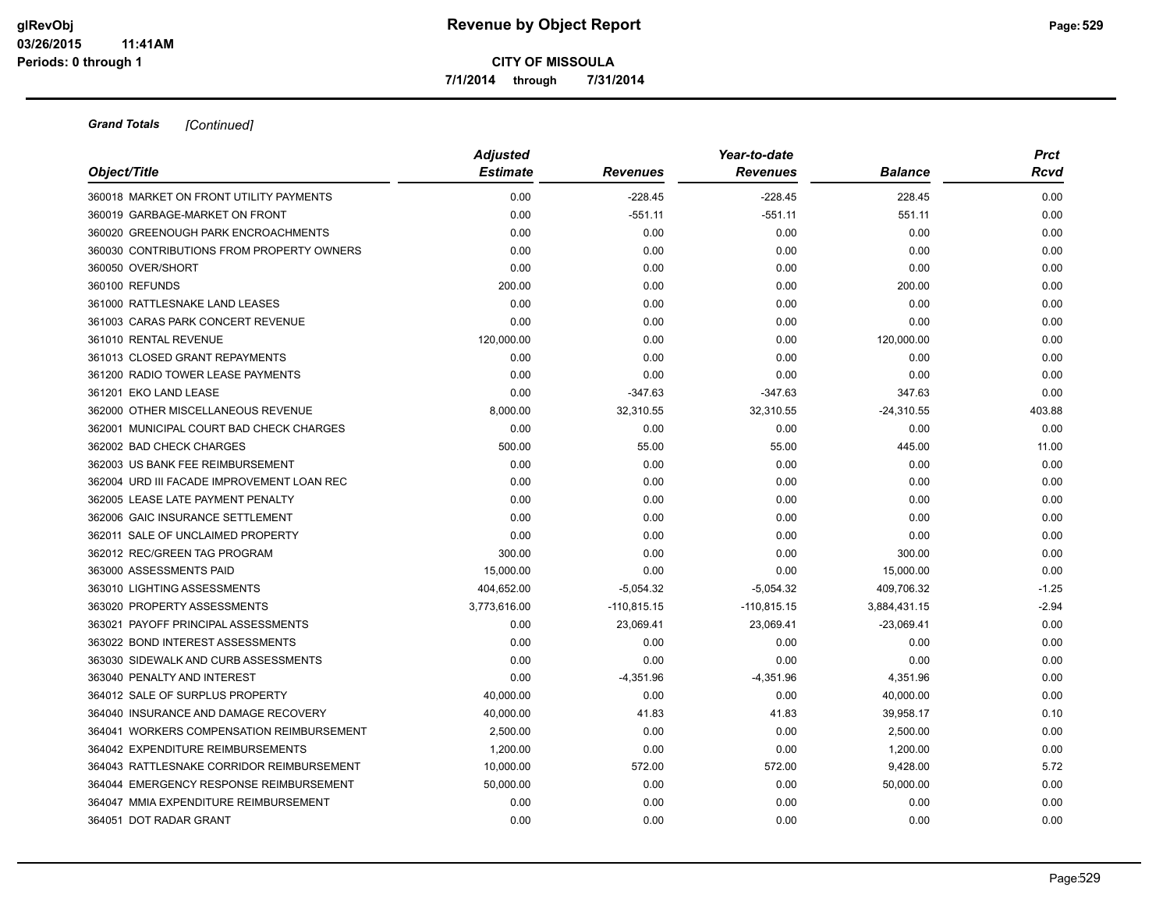**7/1/2014 through 7/31/2014**

| Object/Title                               | <b>Adjusted</b> |                 | Year-to-date    |                | <b>Prct</b> |
|--------------------------------------------|-----------------|-----------------|-----------------|----------------|-------------|
|                                            | <b>Estimate</b> | <b>Revenues</b> | <b>Revenues</b> | <b>Balance</b> | Rcvd        |
| 360018 MARKET ON FRONT UTILITY PAYMENTS    | 0.00            | $-228.45$       | $-228.45$       | 228.45         | 0.00        |
| 360019 GARBAGE-MARKET ON FRONT             | 0.00            | $-551.11$       | $-551.11$       | 551.11         | 0.00        |
| 360020 GREENOUGH PARK ENCROACHMENTS        | 0.00            | 0.00            | 0.00            | 0.00           | 0.00        |
| 360030 CONTRIBUTIONS FROM PROPERTY OWNERS  | 0.00            | 0.00            | 0.00            | 0.00           | 0.00        |
| 360050 OVER/SHORT                          | 0.00            | 0.00            | 0.00            | 0.00           | 0.00        |
| 360100 REFUNDS                             | 200.00          | 0.00            | 0.00            | 200.00         | 0.00        |
| 361000 RATTLESNAKE LAND LEASES             | 0.00            | 0.00            | 0.00            | 0.00           | 0.00        |
| 361003 CARAS PARK CONCERT REVENUE          | 0.00            | 0.00            | 0.00            | 0.00           | 0.00        |
| 361010 RENTAL REVENUE                      | 120,000.00      | 0.00            | 0.00            | 120,000.00     | 0.00        |
| 361013 CLOSED GRANT REPAYMENTS             | 0.00            | 0.00            | 0.00            | 0.00           | 0.00        |
| 361200 RADIO TOWER LEASE PAYMENTS          | 0.00            | 0.00            | 0.00            | 0.00           | 0.00        |
| 361201 EKO LAND LEASE                      | 0.00            | $-347.63$       | $-347.63$       | 347.63         | 0.00        |
| 362000 OTHER MISCELLANEOUS REVENUE         | 8,000.00        | 32,310.55       | 32,310.55       | $-24,310.55$   | 403.88      |
| 362001 MUNICIPAL COURT BAD CHECK CHARGES   | 0.00            | 0.00            | 0.00            | 0.00           | 0.00        |
| 362002 BAD CHECK CHARGES                   | 500.00          | 55.00           | 55.00           | 445.00         | 11.00       |
| 362003 US BANK FEE REIMBURSEMENT           | 0.00            | 0.00            | 0.00            | 0.00           | 0.00        |
| 362004 URD III FACADE IMPROVEMENT LOAN REC | 0.00            | 0.00            | 0.00            | 0.00           | 0.00        |
| 362005 LEASE LATE PAYMENT PENALTY          | 0.00            | 0.00            | 0.00            | 0.00           | 0.00        |
| 362006 GAIC INSURANCE SETTLEMENT           | 0.00            | 0.00            | 0.00            | 0.00           | 0.00        |
| 362011 SALE OF UNCLAIMED PROPERTY          | 0.00            | 0.00            | 0.00            | 0.00           | 0.00        |
| 362012 REC/GREEN TAG PROGRAM               | 300.00          | 0.00            | 0.00            | 300.00         | 0.00        |
| 363000 ASSESSMENTS PAID                    | 15,000.00       | 0.00            | 0.00            | 15,000.00      | 0.00        |
| 363010 LIGHTING ASSESSMENTS                | 404,652.00      | $-5,054.32$     | $-5,054.32$     | 409,706.32     | $-1.25$     |
| 363020 PROPERTY ASSESSMENTS                | 3,773,616.00    | $-110,815.15$   | $-110,815.15$   | 3,884,431.15   | $-2.94$     |
| 363021 PAYOFF PRINCIPAL ASSESSMENTS        | 0.00            | 23,069.41       | 23,069.41       | $-23,069.41$   | 0.00        |
| 363022 BOND INTEREST ASSESSMENTS           | 0.00            | 0.00            | 0.00            | 0.00           | 0.00        |
| 363030 SIDEWALK AND CURB ASSESSMENTS       | 0.00            | 0.00            | 0.00            | 0.00           | 0.00        |
| 363040 PENALTY AND INTEREST                | 0.00            | $-4,351.96$     | $-4,351.96$     | 4,351.96       | 0.00        |
| 364012 SALE OF SURPLUS PROPERTY            | 40,000.00       | 0.00            | 0.00            | 40,000.00      | 0.00        |
| 364040 INSURANCE AND DAMAGE RECOVERY       | 40,000.00       | 41.83           | 41.83           | 39,958.17      | 0.10        |
| 364041 WORKERS COMPENSATION REIMBURSEMENT  | 2,500.00        | 0.00            | 0.00            | 2,500.00       | 0.00        |
| 364042 EXPENDITURE REIMBURSEMENTS          | 1,200.00        | 0.00            | 0.00            | 1,200.00       | 0.00        |
| 364043 RATTLESNAKE CORRIDOR REIMBURSEMENT  | 10,000.00       | 572.00          | 572.00          | 9,428.00       | 5.72        |
| 364044 EMERGENCY RESPONSE REIMBURSEMENT    | 50,000.00       | 0.00            | 0.00            | 50,000.00      | 0.00        |
| 364047 MMIA EXPENDITURE REIMBURSEMENT      | 0.00            | 0.00            | 0.00            | 0.00           | 0.00        |
| 364051 DOT RADAR GRANT                     | 0.00            | 0.00            | 0.00            | 0.00           | 0.00        |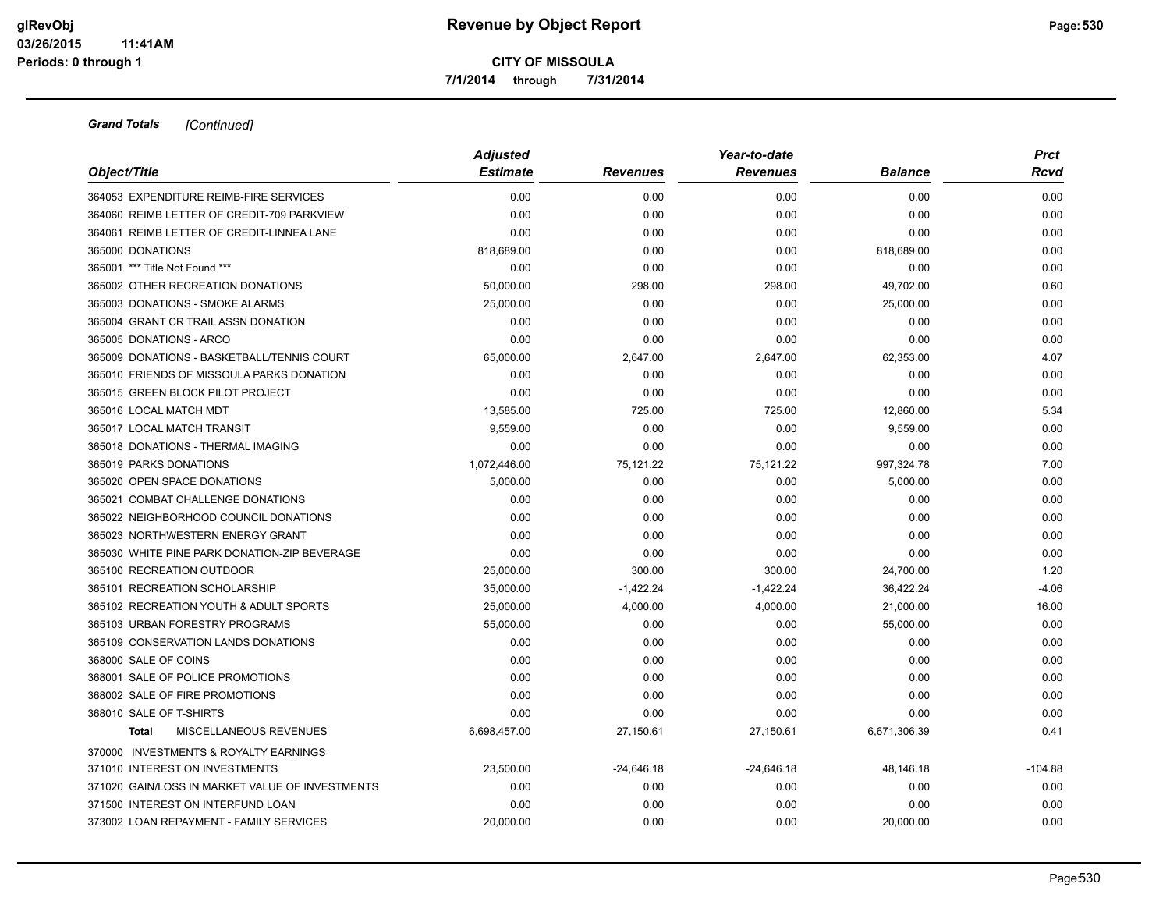**7/1/2014 through 7/31/2014**

| Object/Title                                    | <b>Adjusted</b> |                 | Year-to-date    |                | <b>Prct</b> |
|-------------------------------------------------|-----------------|-----------------|-----------------|----------------|-------------|
|                                                 | <b>Estimate</b> | <b>Revenues</b> | <b>Revenues</b> | <b>Balance</b> | Rcvd        |
| 364053 EXPENDITURE REIMB-FIRE SERVICES          | 0.00            | 0.00            | 0.00            | 0.00           | 0.00        |
| 364060 REIMB LETTER OF CREDIT-709 PARKVIEW      | 0.00            | 0.00            | 0.00            | 0.00           | 0.00        |
| 364061 REIMB LETTER OF CREDIT-LINNEA LANE       | 0.00            | 0.00            | 0.00            | 0.00           | 0.00        |
| 365000 DONATIONS                                | 818,689.00      | 0.00            | 0.00            | 818,689.00     | 0.00        |
| 365001 *** Title Not Found ***                  | 0.00            | 0.00            | 0.00            | 0.00           | 0.00        |
| 365002 OTHER RECREATION DONATIONS               | 50,000.00       | 298.00          | 298.00          | 49,702.00      | 0.60        |
| 365003 DONATIONS - SMOKE ALARMS                 | 25,000.00       | 0.00            | 0.00            | 25,000.00      | 0.00        |
| 365004 GRANT CR TRAIL ASSN DONATION             | 0.00            | 0.00            | 0.00            | 0.00           | 0.00        |
| 365005 DONATIONS - ARCO                         | 0.00            | 0.00            | 0.00            | 0.00           | 0.00        |
| 365009 DONATIONS - BASKETBALL/TENNIS COURT      | 65,000.00       | 2,647.00        | 2,647.00        | 62,353.00      | 4.07        |
| 365010 FRIENDS OF MISSOULA PARKS DONATION       | 0.00            | 0.00            | 0.00            | 0.00           | 0.00        |
| 365015 GREEN BLOCK PILOT PROJECT                | 0.00            | 0.00            | 0.00            | 0.00           | 0.00        |
| 365016 LOCAL MATCH MDT                          | 13,585.00       | 725.00          | 725.00          | 12,860.00      | 5.34        |
| 365017 LOCAL MATCH TRANSIT                      | 9,559.00        | 0.00            | 0.00            | 9,559.00       | 0.00        |
| 365018 DONATIONS - THERMAL IMAGING              | 0.00            | 0.00            | 0.00            | 0.00           | 0.00        |
| 365019 PARKS DONATIONS                          | 1,072,446.00    | 75,121.22       | 75,121.22       | 997,324.78     | 7.00        |
| 365020 OPEN SPACE DONATIONS                     | 5,000.00        | 0.00            | 0.00            | 5,000.00       | 0.00        |
| 365021 COMBAT CHALLENGE DONATIONS               | 0.00            | 0.00            | 0.00            | 0.00           | 0.00        |
| 365022 NEIGHBORHOOD COUNCIL DONATIONS           | 0.00            | 0.00            | 0.00            | 0.00           | 0.00        |
| 365023 NORTHWESTERN ENERGY GRANT                | 0.00            | 0.00            | 0.00            | 0.00           | 0.00        |
| 365030 WHITE PINE PARK DONATION-ZIP BEVERAGE    | 0.00            | 0.00            | 0.00            | 0.00           | 0.00        |
| 365100 RECREATION OUTDOOR                       | 25,000.00       | 300.00          | 300.00          | 24,700.00      | 1.20        |
| 365101 RECREATION SCHOLARSHIP                   | 35,000.00       | $-1,422.24$     | $-1,422.24$     | 36,422.24      | $-4.06$     |
| 365102 RECREATION YOUTH & ADULT SPORTS          | 25,000.00       | 4,000.00        | 4,000.00        | 21,000.00      | 16.00       |
| 365103 URBAN FORESTRY PROGRAMS                  | 55,000.00       | 0.00            | 0.00            | 55,000.00      | 0.00        |
| 365109 CONSERVATION LANDS DONATIONS             | 0.00            | 0.00            | 0.00            | 0.00           | 0.00        |
| 368000 SALE OF COINS                            | 0.00            | 0.00            | 0.00            | 0.00           | 0.00        |
| 368001 SALE OF POLICE PROMOTIONS                | 0.00            | 0.00            | 0.00            | 0.00           | 0.00        |
| 368002 SALE OF FIRE PROMOTIONS                  | 0.00            | 0.00            | 0.00            | 0.00           | 0.00        |
| 368010 SALE OF T-SHIRTS                         | 0.00            | 0.00            | 0.00            | 0.00           | 0.00        |
| <b>MISCELLANEOUS REVENUES</b><br><b>Total</b>   | 6,698,457.00    | 27,150.61       | 27,150.61       | 6,671,306.39   | 0.41        |
| 370000 INVESTMENTS & ROYALTY EARNINGS           |                 |                 |                 |                |             |
| 371010 INTEREST ON INVESTMENTS                  | 23,500.00       | $-24,646.18$    | $-24,646.18$    | 48,146.18      | $-104.88$   |
| 371020 GAIN/LOSS IN MARKET VALUE OF INVESTMENTS | 0.00            | 0.00            | 0.00            | 0.00           | 0.00        |
| 371500 INTEREST ON INTERFUND LOAN               | 0.00            | 0.00            | 0.00            | 0.00           | 0.00        |
| 373002 LOAN REPAYMENT - FAMILY SERVICES         | 20.000.00       | 0.00            | 0.00            | 20,000.00      | 0.00        |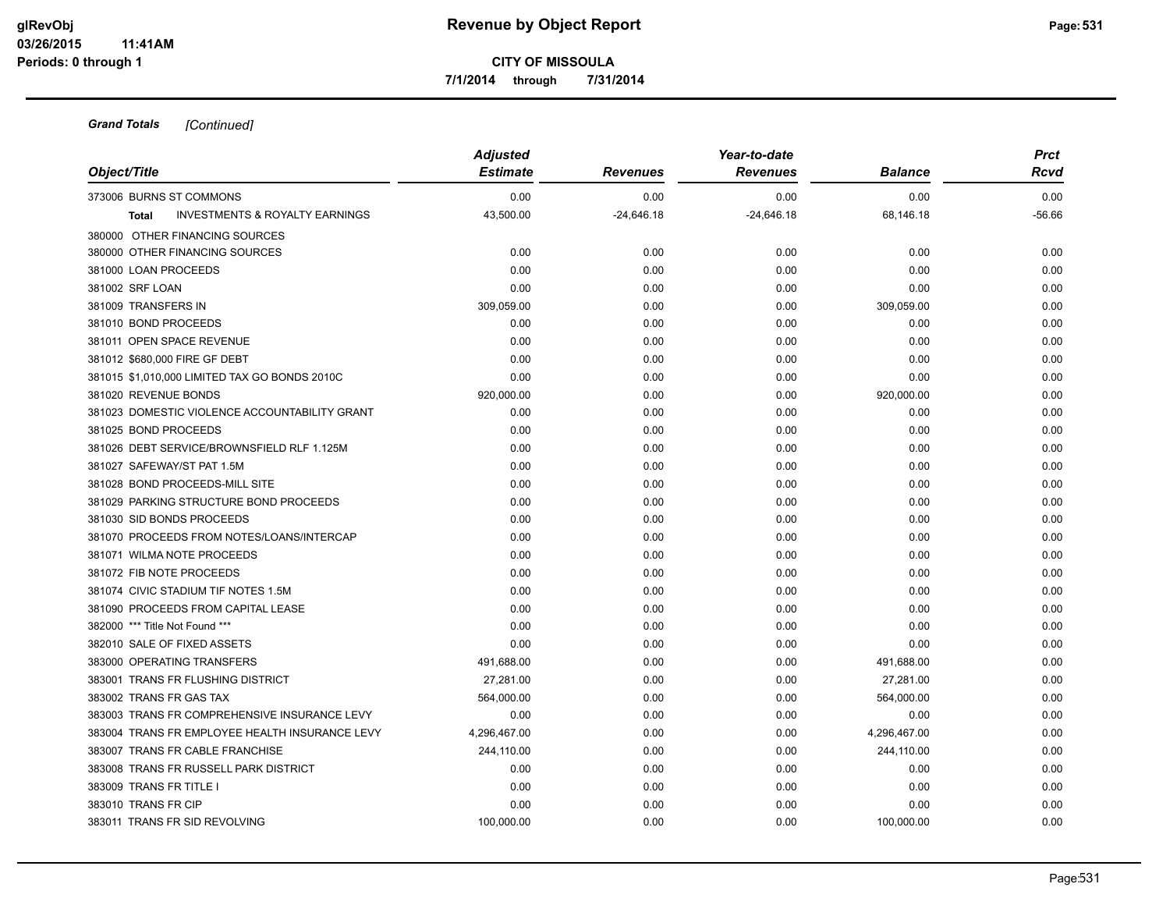**7/1/2014 through 7/31/2014**

| Object/Title                                              | <b>Adjusted</b><br><b>Estimate</b> | <b>Revenues</b> | Year-to-date<br><b>Revenues</b> | <b>Balance</b> | <b>Prct</b><br>Rcvd |
|-----------------------------------------------------------|------------------------------------|-----------------|---------------------------------|----------------|---------------------|
|                                                           |                                    |                 |                                 |                |                     |
| 373006 BURNS ST COMMONS                                   | 0.00                               | 0.00            | 0.00                            | 0.00           | 0.00                |
| <b>INVESTMENTS &amp; ROYALTY EARNINGS</b><br><b>Total</b> | 43,500.00                          | $-24,646.18$    | $-24,646.18$                    | 68,146.18      | $-56.66$            |
| 380000 OTHER FINANCING SOURCES                            |                                    |                 |                                 |                |                     |
| 380000 OTHER FINANCING SOURCES                            | 0.00                               | 0.00            | 0.00                            | 0.00           | 0.00                |
| 381000 LOAN PROCEEDS                                      | 0.00                               | 0.00            | 0.00                            | 0.00           | 0.00                |
| 381002 SRF LOAN                                           | 0.00                               | 0.00            | 0.00                            | 0.00           | 0.00                |
| 381009 TRANSFERS IN                                       | 309,059.00                         | 0.00            | 0.00                            | 309,059.00     | 0.00                |
| 381010 BOND PROCEEDS                                      | 0.00                               | 0.00            | 0.00                            | 0.00           | 0.00                |
| 381011 OPEN SPACE REVENUE                                 | 0.00                               | 0.00            | 0.00                            | 0.00           | 0.00                |
| 381012 \$680,000 FIRE GF DEBT                             | 0.00                               | 0.00            | 0.00                            | 0.00           | 0.00                |
| 381015 \$1,010,000 LIMITED TAX GO BONDS 2010C             | 0.00                               | 0.00            | 0.00                            | 0.00           | 0.00                |
| 381020 REVENUE BONDS                                      | 920,000.00                         | 0.00            | 0.00                            | 920,000.00     | 0.00                |
| 381023 DOMESTIC VIOLENCE ACCOUNTABILITY GRANT             | 0.00                               | 0.00            | 0.00                            | 0.00           | 0.00                |
| 381025 BOND PROCEEDS                                      | 0.00                               | 0.00            | 0.00                            | 0.00           | 0.00                |
| 381026 DEBT SERVICE/BROWNSFIELD RLF 1.125M                | 0.00                               | 0.00            | 0.00                            | 0.00           | 0.00                |
| 381027 SAFEWAY/ST PAT 1.5M                                | 0.00                               | 0.00            | 0.00                            | 0.00           | 0.00                |
| 381028 BOND PROCEEDS-MILL SITE                            | 0.00                               | 0.00            | 0.00                            | 0.00           | 0.00                |
| 381029 PARKING STRUCTURE BOND PROCEEDS                    | 0.00                               | 0.00            | 0.00                            | 0.00           | 0.00                |
| 381030 SID BONDS PROCEEDS                                 | 0.00                               | 0.00            | 0.00                            | 0.00           | 0.00                |
| 381070 PROCEEDS FROM NOTES/LOANS/INTERCAP                 | 0.00                               | 0.00            | 0.00                            | 0.00           | 0.00                |
| 381071 WILMA NOTE PROCEEDS                                | 0.00                               | 0.00            | 0.00                            | 0.00           | 0.00                |
| 381072 FIB NOTE PROCEEDS                                  | 0.00                               | 0.00            | 0.00                            | 0.00           | 0.00                |
| 381074 CIVIC STADIUM TIF NOTES 1.5M                       | 0.00                               | 0.00            | 0.00                            | 0.00           | 0.00                |
| 381090 PROCEEDS FROM CAPITAL LEASE                        | 0.00                               | 0.00            | 0.00                            | 0.00           | 0.00                |
| 382000 *** Title Not Found ***                            | 0.00                               | 0.00            | 0.00                            | 0.00           | 0.00                |
| 382010 SALE OF FIXED ASSETS                               | 0.00                               | 0.00            | 0.00                            | 0.00           | 0.00                |
| 383000 OPERATING TRANSFERS                                | 491,688.00                         | 0.00            | 0.00                            | 491,688.00     | 0.00                |
| 383001 TRANS FR FLUSHING DISTRICT                         | 27,281.00                          | 0.00            | 0.00                            | 27,281.00      | 0.00                |
| 383002 TRANS FR GAS TAX                                   | 564,000.00                         | 0.00            | 0.00                            | 564,000.00     | 0.00                |
| 383003 TRANS FR COMPREHENSIVE INSURANCE LEVY              | 0.00                               | 0.00            | 0.00                            | 0.00           | 0.00                |
| 383004 TRANS FR EMPLOYEE HEALTH INSURANCE LEVY            | 4,296,467.00                       | 0.00            | 0.00                            | 4,296,467.00   | 0.00                |
| 383007 TRANS FR CABLE FRANCHISE                           | 244,110.00                         | 0.00            | 0.00                            | 244,110.00     | 0.00                |
| 383008 TRANS FR RUSSELL PARK DISTRICT                     | 0.00                               | 0.00            | 0.00                            | 0.00           | 0.00                |
| 383009 TRANS FR TITLE I                                   | 0.00                               | 0.00            | 0.00                            | 0.00           | 0.00                |
| 383010 TRANS FR CIP                                       | 0.00                               | 0.00            | 0.00                            | 0.00           | 0.00                |
| 383011 TRANS FR SID REVOLVING                             | 100.000.00                         | 0.00            | 0.00                            | 100,000.00     | 0.00                |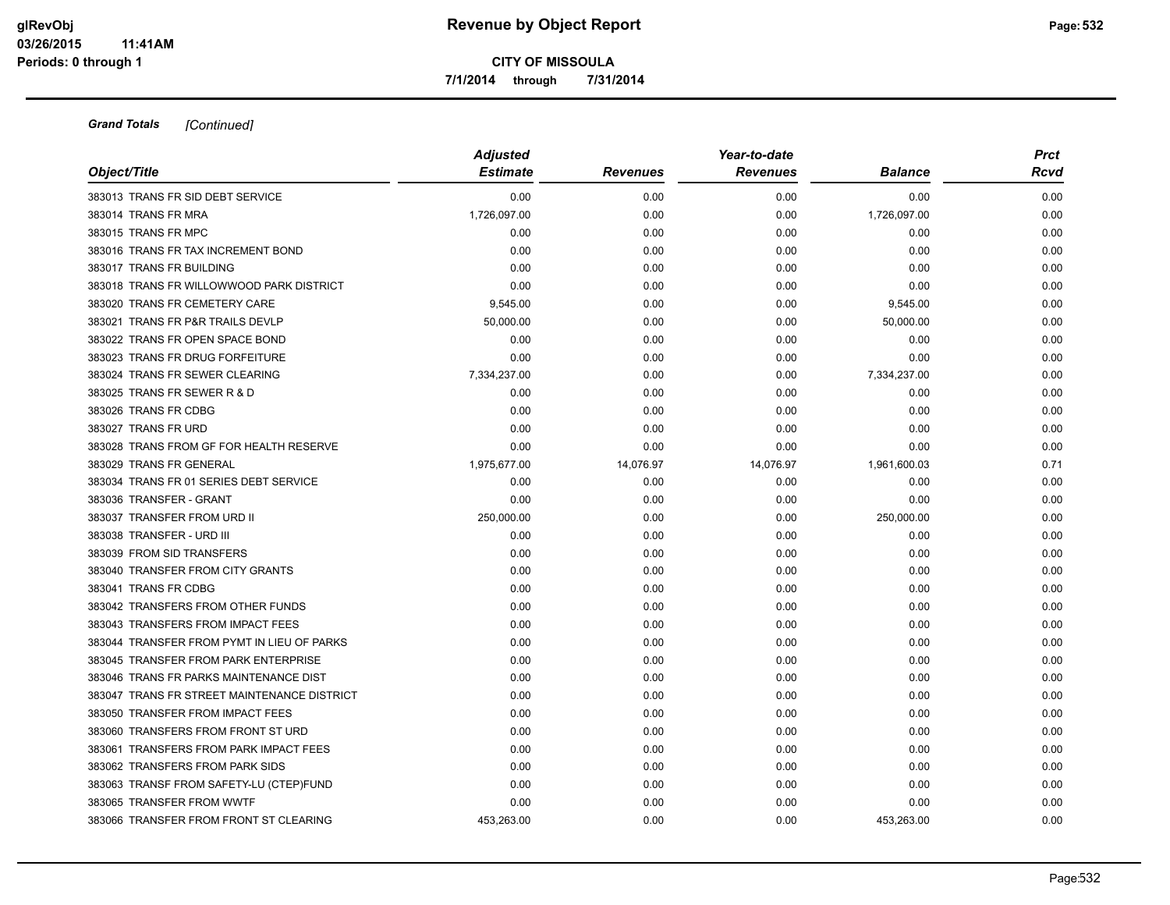**7/1/2014 through 7/31/2014**

| Object/Title                                | <b>Adjusted</b><br><b>Estimate</b> | <b>Revenues</b> | Year-to-date<br><b>Revenues</b> | <b>Balance</b> | <b>Prct</b><br>Rcvd |
|---------------------------------------------|------------------------------------|-----------------|---------------------------------|----------------|---------------------|
|                                             |                                    |                 |                                 |                |                     |
| 383013 TRANS FR SID DEBT SERVICE            | 0.00                               | 0.00            | 0.00                            | 0.00           | 0.00                |
| 383014 TRANS FR MRA                         | 1,726,097.00                       | 0.00            | 0.00                            | 1,726,097.00   | 0.00                |
| 383015 TRANS FR MPC                         | 0.00                               | 0.00            | 0.00                            | 0.00           | 0.00                |
| 383016 TRANS FR TAX INCREMENT BOND          | 0.00                               | 0.00            | 0.00                            | 0.00           | 0.00                |
| 383017 TRANS FR BUILDING                    | 0.00                               | 0.00            | 0.00                            | 0.00           | 0.00                |
| 383018 TRANS FR WILLOWWOOD PARK DISTRICT    | 0.00                               | 0.00            | 0.00                            | 0.00           | 0.00                |
| 383020 TRANS FR CEMETERY CARE               | 9,545.00                           | 0.00            | 0.00                            | 9,545.00       | 0.00                |
| 383021 TRANS FR P&R TRAILS DEVLP            | 50,000.00                          | 0.00            | 0.00                            | 50,000.00      | 0.00                |
| 383022 TRANS FR OPEN SPACE BOND             | 0.00                               | 0.00            | 0.00                            | 0.00           | 0.00                |
| 383023 TRANS FR DRUG FORFEITURE             | 0.00                               | 0.00            | 0.00                            | 0.00           | 0.00                |
| 383024 TRANS FR SEWER CLEARING              | 7,334,237.00                       | 0.00            | 0.00                            | 7,334,237.00   | 0.00                |
| 383025 TRANS FR SEWER R & D                 | 0.00                               | 0.00            | 0.00                            | 0.00           | 0.00                |
| 383026 TRANS FR CDBG                        | 0.00                               | 0.00            | 0.00                            | 0.00           | 0.00                |
| 383027 TRANS FR URD                         | 0.00                               | 0.00            | 0.00                            | 0.00           | 0.00                |
| 383028 TRANS FROM GF FOR HEALTH RESERVE     | 0.00                               | 0.00            | 0.00                            | 0.00           | 0.00                |
| 383029 TRANS FR GENERAL                     | 1,975,677.00                       | 14,076.97       | 14,076.97                       | 1,961,600.03   | 0.71                |
| 383034 TRANS FR 01 SERIES DEBT SERVICE      | 0.00                               | 0.00            | 0.00                            | 0.00           | 0.00                |
| 383036 TRANSFER - GRANT                     | 0.00                               | 0.00            | 0.00                            | 0.00           | 0.00                |
| 383037 TRANSFER FROM URD II                 | 250,000.00                         | 0.00            | 0.00                            | 250,000.00     | 0.00                |
| 383038 TRANSFER - URD III                   | 0.00                               | 0.00            | 0.00                            | 0.00           | 0.00                |
| 383039 FROM SID TRANSFERS                   | 0.00                               | 0.00            | 0.00                            | 0.00           | 0.00                |
| 383040 TRANSFER FROM CITY GRANTS            | 0.00                               | 0.00            | 0.00                            | 0.00           | 0.00                |
| 383041 TRANS FR CDBG                        | 0.00                               | 0.00            | 0.00                            | 0.00           | 0.00                |
| 383042 TRANSFERS FROM OTHER FUNDS           | 0.00                               | 0.00            | 0.00                            | 0.00           | 0.00                |
| 383043 TRANSFERS FROM IMPACT FEES           | 0.00                               | 0.00            | 0.00                            | 0.00           | 0.00                |
| 383044 TRANSFER FROM PYMT IN LIEU OF PARKS  | 0.00                               | 0.00            | 0.00                            | 0.00           | 0.00                |
| 383045 TRANSFER FROM PARK ENTERPRISE        | 0.00                               | 0.00            | 0.00                            | 0.00           | 0.00                |
| 383046 TRANS FR PARKS MAINTENANCE DIST      | 0.00                               | 0.00            | 0.00                            | 0.00           | 0.00                |
| 383047 TRANS FR STREET MAINTENANCE DISTRICT | 0.00                               | 0.00            | 0.00                            | 0.00           | 0.00                |
| 383050 TRANSFER FROM IMPACT FEES            | 0.00                               | 0.00            | 0.00                            | 0.00           | 0.00                |
| 383060 TRANSFERS FROM FRONT ST URD          | 0.00                               | 0.00            | 0.00                            | 0.00           | 0.00                |
| 383061 TRANSFERS FROM PARK IMPACT FEES      | 0.00                               | 0.00            | 0.00                            | 0.00           | 0.00                |
| 383062 TRANSFERS FROM PARK SIDS             | 0.00                               | 0.00            | 0.00                            | 0.00           | 0.00                |
| 383063 TRANSF FROM SAFETY-LU (CTEP)FUND     | 0.00                               | 0.00            | 0.00                            | 0.00           | 0.00                |
| 383065 TRANSFER FROM WWTF                   | 0.00                               | 0.00            | 0.00                            | 0.00           | 0.00                |
| 383066 TRANSFER FROM FRONT ST CLEARING      | 453.263.00                         | 0.00            | 0.00                            | 453,263.00     | 0.00                |